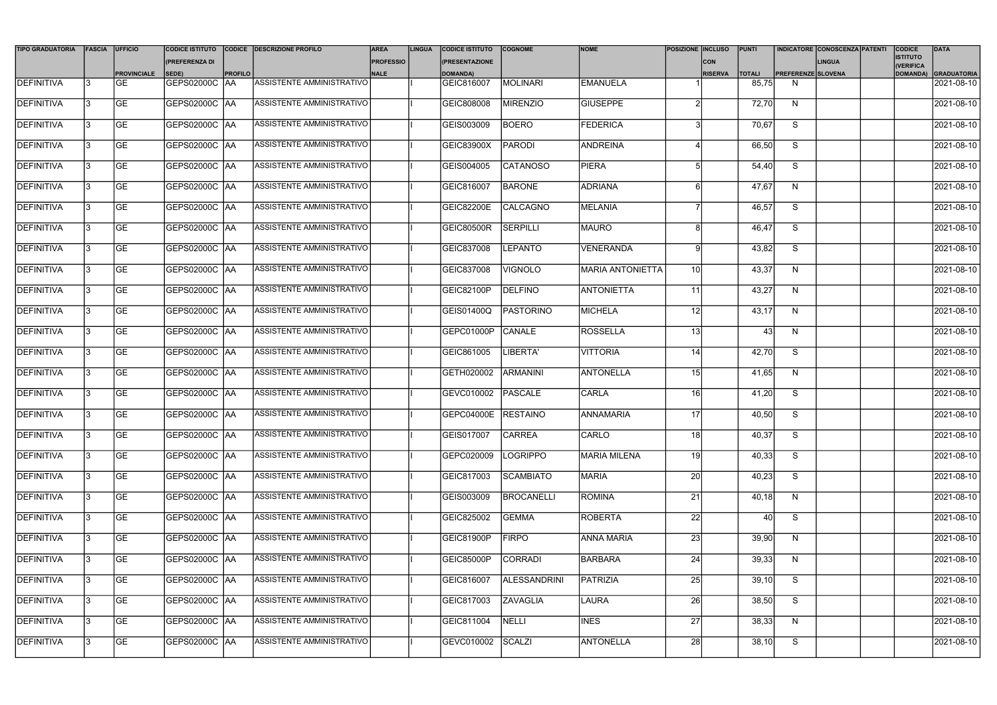| <b>TIPO GRADUATORIA</b> | FASCIA | <b>UFFICIO</b>     | <b>CODICE ISTITUTO</b> |                | CODICE DESCRIZIONE PROFILO       | <b>AREA</b>      | <b>LINGUA</b> | <b>CODICE ISTITUTO</b> | <b>COGNOME</b>      | <b>NOME</b>             | <b>POSIZIONE INCLUSO</b> |                | PUNTI         |                           | <b>INDICATORE CONOSCENZA PATENTI</b> | <b>CODICE</b>                | <b>DATA</b>             |
|-------------------------|--------|--------------------|------------------------|----------------|----------------------------------|------------------|---------------|------------------------|---------------------|-------------------------|--------------------------|----------------|---------------|---------------------------|--------------------------------------|------------------------------|-------------------------|
|                         |        |                    | (PREFERENZA DI         |                |                                  | <b>PROFESSIO</b> |               | (PRESENTAZIONE         |                     |                         |                          | <b>CON</b>     |               |                           | <b>LINGUA</b>                        | <b>ISTITUTO</b><br>(VERIFICA |                         |
|                         |        | <b>PROVINCIALE</b> | SEDE)                  | <b>PROFILO</b> |                                  | <b>NALE</b>      |               | <b>DOMANDA)</b>        |                     |                         |                          | <b>RISERVA</b> | <b>TOTALI</b> | <b>PREFERENZE SLOVENA</b> |                                      |                              | DOMANDA) GRADUATORIA    |
| DEFINITIVA              |        | lGE.               | GEPS02000C AA          |                | <b>ASSISTENTE AMMINISTRATIVO</b> |                  |               | GEIC816007             | MOLINARI            | <b>EMANUELA</b>         |                          |                | 85,75         | N                         |                                      |                              | $2021 - 08 - 10$        |
| <b>DEFINITIVA</b>       |        | <b>GE</b>          | GEPS02000C AA          |                | ASSISTENTE AMMINISTRATIVO        |                  |               | GEIC808008             | MIRENZIO            | <b>GIUSEPPE</b>         |                          |                | 72,70         | N                         |                                      |                              | 2021-08-10              |
| DEFINITIVA              |        | <b>GE</b>          | GEPS02000C   AA        |                | ASSISTENTE AMMINISTRATIVO        |                  |               | GEIS003009             | <b>BOERO</b>        | <b>FEDERICA</b>         |                          |                | 70,67         | S                         |                                      |                              | 2021-08-10              |
| <b>DEFINITIVA</b>       |        | <b>GE</b>          | GEPS02000C   AA        |                | ASSISTENTE AMMINISTRATIVO        |                  |               | GEIC83900X             | PARODI              | ANDREINA                |                          |                | 66,50         | S                         |                                      |                              | 2021-08-10              |
| DEFINITIVA              |        | <b>GE</b>          | GEPS02000C   AA        |                | ASSISTENTE AMMINISTRATIVO        |                  |               | GEIS004005             | <b>CATANOSO</b>     | <b>PIERA</b>            |                          |                | 54,40         | S                         |                                      |                              | 2021-08-10              |
| <b>DEFINITIVA</b>       |        | <b>GE</b>          | GEPS02000C AA          |                | ASSISTENTE AMMINISTRATIVO        |                  |               | GEIC816007             | <b>BARONE</b>       | <b>ADRIANA</b>          |                          |                | 47,67         | N                         |                                      |                              | 2021-08-10              |
| DEFINITIVA              |        | <b>GE</b>          | GEPS02000C   AA        |                | ASSISTENTE AMMINISTRATIVO        |                  |               | GEIC82200E             | CALCAGNO            | MELANIA                 |                          |                | 46,57         | S                         |                                      |                              | 2021-08-10              |
| <b>DEFINITIVA</b>       |        | <b>GE</b>          | GEPS02000C AA          |                | ASSISTENTE AMMINISTRATIVO        |                  |               | GEIC80500R             | SERPILLI            | MAURO                   |                          |                | 46,47         | S                         |                                      |                              | 2021-08-10              |
| DEFINITIVA              |        | <b>GE</b>          | GEPS02000C AA          |                | ASSISTENTE AMMINISTRATIVO        |                  |               | GEIC837008             | <b>LEPANTO</b>      | <b>VENERANDA</b>        |                          |                | 43,82         | S                         |                                      |                              | 2021-08-10              |
| <b>DEFINITIVA</b>       |        | <b>GE</b>          | GEPS02000C   AA        |                | ASSISTENTE AMMINISTRATIVO        |                  |               | GEIC837008             | <b>VIGNOLO</b>      | <b>MARIA ANTONIETTA</b> | 10                       |                | 43,37         | N                         |                                      |                              | 2021-08-10              |
| <b>DEFINITIVA</b>       |        | <b>GE</b>          | GEPS02000C   AA        |                | ASSISTENTE AMMINISTRATIVO        |                  |               | <b>GEIC82100P</b>      | DELFINO             | <b>ANTONIETTA</b>       | 11                       |                | 43,27         | N                         |                                      |                              | 2021-08-10              |
| <b>DEFINITIVA</b>       |        | <b>GE</b>          | GEPS02000C   AA        |                | ASSISTENTE AMMINISTRATIVO        |                  |               | GEIS01400Q             | <b>TPASTORINO</b>   | MICHELA                 | 12                       |                | 43,17         | N                         |                                      |                              | 2021-08-10              |
| DEFINITIVA              |        | <b>GE</b>          | GEPS02000C   AA        |                | ASSISTENTE AMMINISTRATIVO        |                  |               | GEPC01000P             | CANALE              | <b>ROSSELLA</b>         | 13                       |                | 43            | N                         |                                      |                              | 2021-08-10              |
| <b>DEFINITIVA</b>       |        | <b>GE</b>          | GEPS02000C AA          |                | ASSISTENTE AMMINISTRATIVO        |                  |               | GEIC861005             | LIBERTA'            | <b>VITTORIA</b>         | 14                       |                | 42,70         | S                         |                                      |                              | 2021-08-10              |
| DEFINITIVA              |        | <b>GE</b>          | GEPS02000C AA          |                | ASSISTENTE AMMINISTRATIVO        |                  |               | GETH020002             | ARMANINI            | ANTONELLA               | 15                       |                | 41,65         | N                         |                                      |                              | 2021-08-10              |
| <b>DEFINITIVA</b>       |        | <b>GE</b>          | GEPS02000C   AA        |                | ASSISTENTE AMMINISTRATIVO        |                  |               | GEVC010002             | PASCALE             | <b>CARLA</b>            | <u>16</u>                |                | 41,20         | S                         |                                      |                              | 2021-08-10              |
| <b>DEFINITIVA</b>       |        | <b>GE</b>          | <b>GEPS02000C AA</b>   |                | ASSISTENTE AMMINISTRATIVO        |                  |               | GEPC04000E RESTAINO    |                     | ANNAMARIA               | 17 <sup>1</sup>          |                | 40,50         | S                         |                                      |                              | 2021-08-10              |
| <b>DEFINITIVA</b>       |        | <b>GE</b>          | GEPS02000C AA          |                | ASSISTENTE AMMINISTRATIVO        |                  |               | GEIS017007             | <b>CARREA</b>       | CARLO                   | 18l                      |                | 40,37         | S                         |                                      |                              | 2021-08-10              |
| <b>DEFINITIVA</b>       |        | <b>GE</b>          | GEPS02000C AA          |                | ASSISTENTE AMMINISTRATIVO        |                  |               | GEPC020009             | LOGRIPPO            | MARIA MILENA            | 19                       |                | 40,33         | S                         |                                      |                              | 2021-08-10              |
| DEFINITIVA              |        | <b>GE</b>          | GEPS02000C   AA        |                | ASSISTENTE AMMINISTRATIVO        |                  |               | GEIC817003             | <b>SCAMBIATO</b>    | <b>MARIA</b>            | 20                       |                | 40,23         | S                         |                                      |                              | 2021-08-10              |
| DEFINITIVA              |        | <b>GE</b>          | <b>GEPS02000C   AA</b> |                | ASSISTENTE AMMINISTRATIVO        |                  |               | GEIS003009             | BROCANELLI          | ROMINA                  | 21                       |                | 40,18         | N                         |                                      |                              | 2021-08-10              |
| DEFINITIVA              |        | <b>GE</b>          | GEPS02000C AA          |                | ASSISTENTE AMMINISTRATIVO        |                  |               | GEIC825002             | <b>GEMMA</b>        | ROBERTA                 | 22                       |                | 40            | S                         |                                      |                              | 2021-08-10              |
| DEFINITIVA              |        | <b>GE</b>          | GEPS02000C AA          |                | ASSISTENTE AMMINISTRATIVO        |                  |               | <b>GEIC81900P</b>      | <b>FIRPO</b>        | <b>ANNA MARIA</b>       | 23                       |                | 39,90         | N                         |                                      |                              | 2021-08-10              |
| <b>DEFINITIVA</b>       |        | GE                 | GEPS02000C   AA        |                | ASSISTENTE AMMINISTRATIVO        |                  |               | <b>GEIC85000P</b>      | <b>CORRADI</b>      | <b>BARBARA</b>          | 24                       |                | 39,33         | N                         |                                      |                              | $\sqrt{2021 - 08 - 10}$ |
| <b>DEFINITIVA</b>       |        | <b>GE</b>          | GEPS02000C   AA        |                | ASSISTENTE AMMINISTRATIVO        |                  |               | GEIC816007             | <b>ALESSANDRINI</b> | PATRIZIA                | 25                       |                | 39,10         | S                         |                                      |                              | 2021-08-10              |
| <b>DEFINITIVA</b>       |        | <b>IGE</b>         | GEPS02000C AA          |                | ASSISTENTE AMMINISTRATIVO        |                  |               | GEIC817003             | <b>ZAVAGLIA</b>     | <b>LAURA</b>            | 26                       |                | 38,50         | S                         |                                      |                              | 2021-08-10              |
| <b>DEFINITIVA</b>       |        | <b>GE</b>          | GEPS02000C  AA         |                | ASSISTENTE AMMINISTRATIVO        |                  |               | GEIC811004             | NELLI               | <b>INES</b>             | 27                       |                | 38,33         | N                         |                                      |                              | 2021-08-10              |
| <b>DEFINITIVA</b>       |        | <b>GE</b>          | GEPS02000C   AA        |                | ASSISTENTE AMMINISTRATIVO        |                  |               | GEVC010002             | SCALZI              | <b>ANTONELLA</b>        | 28                       |                | 38,10         | S                         |                                      |                              | 2021-08-10              |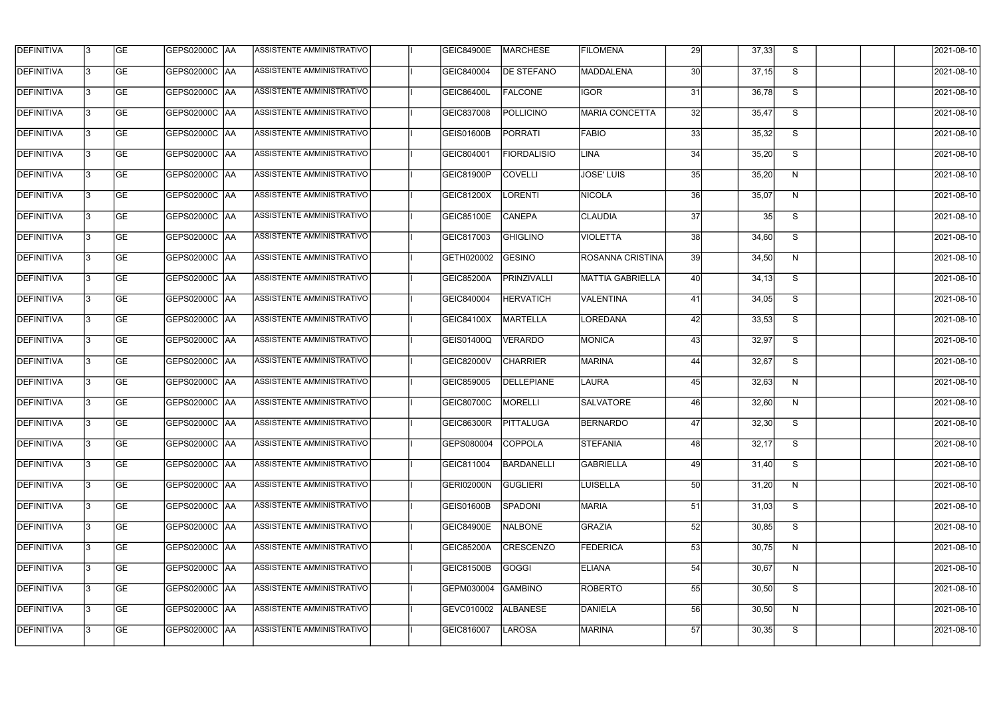| <b>DEFINITIVA</b> | 13  | <b>GE</b> | GEPS02000C  AA       | ASSISTENTE AMMINISTRATIVO        | <b>GEIC84900E</b> | <b>MARCHESE</b>    | <b>FILOMENA</b>         | 29              | 37,33 | S.                      | 2021-08-10 |
|-------------------|-----|-----------|----------------------|----------------------------------|-------------------|--------------------|-------------------------|-----------------|-------|-------------------------|------------|
| DEFINITIVA        | l3  | <b>GE</b> | GEPS02000C  AA       | ASSISTENTE AMMINISTRATIVO        | GEIC840004        | <b>DE STEFANO</b>  | MADDALENA               | 30 <sup>1</sup> | 37,15 | S                       | 2021-08-10 |
| <b>DEFINITIVA</b> | l3  | <b>GE</b> | <b>GEPS02000C AA</b> | ASSISTENTE AMMINISTRATIVO        | GEIC86400L        | <b>FALCONE</b>     | <b>IGOR</b>             | 31              | 36,78 | S                       | 2021-08-10 |
| <b>DEFINITIVA</b> | 13  | <b>GE</b> | <b>GEPS02000C AA</b> | ASSISTENTE AMMINISTRATIVO        | GEIC837008        | <b>POLLICINO</b>   | <b>MARIA CONCETTA</b>   | 32              | 35,47 | S                       | 2021-08-10 |
| <b>DEFINITIVA</b> | l3  | <b>GE</b> | GEPS02000C  AA       | ASSISTENTE AMMINISTRATIVO        | <b>GEIS01600B</b> | <b>PORRATI</b>     | <b>FABIO</b>            | 33              | 35,32 | S                       | 2021-08-10 |
| <b>DEFINITIVA</b> | IЗ  | <b>GE</b> | <b>GEPS02000C AA</b> | <b>ASSISTENTE AMMINISTRATIVO</b> | GEIC804001        | <b>FIORDALISIO</b> | <b>LINA</b>             | 34              | 35,20 | S                       | 2021-08-10 |
| <b>DEFINITIVA</b> | l3  | <b>GE</b> | <b>GEPS02000C AA</b> | <b>ASSISTENTE AMMINISTRATIVO</b> | GEIC81900P        | <b>COVELLI</b>     | <b>JOSE' LUIS</b>       | 35              | 35,20 | N                       | 2021-08-10 |
| <b>DEFINITIVA</b> | l3  | <b>GE</b> | GEPS02000C AA        | ASSISTENTE AMMINISTRATIVO        | GEIC81200X        | <b>LORENTI</b>     | <b>NICOLA</b>           | 36              | 35,07 | N                       | 2021-08-10 |
| <b>DEFINITIVA</b> | l3  | <b>GE</b> | GEPS02000C   AA      | ASSISTENTE AMMINISTRATIVO        | GEIC85100E        | <b>CANEPA</b>      | <b>CLAUDIA</b>          | 37              | 35    | S                       | 2021-08-10 |
| <b>DEFINITIVA</b> | l3  | <b>GE</b> | GEPS02000C AA        | ASSISTENTE AMMINISTRATIVO        | GEIC817003        | <b>GHIGLINO</b>    | <b>VIOLETTA</b>         | 38              | 34,60 | S                       | 2021-08-10 |
| <b>DEFINITIVA</b> | l3  | <b>GE</b> | GEPS02000C AA        | ASSISTENTE AMMINISTRATIVO        | GETH020002        | <b>GESINO</b>      | <b>ROSANNA CRISTINA</b> | 39              | 34,50 | N                       | 2021-08-10 |
| <b>DEFINITIVA</b> | 13  | <b>GE</b> | <b>GEPS02000C AA</b> | ASSISTENTE AMMINISTRATIVO        | GEIC85200A        | PRINZIVALLI        | <b>MATTIA GABRIELLA</b> | 40              | 34,13 | S                       | 2021-08-10 |
| <b>DEFINITIVA</b> | l3  | <b>GE</b> | GEPS02000C  AA       | ASSISTENTE AMMINISTRATIVO        | GEIC840004        | <b>HERVATICH</b>   | <b>VALENTINA</b>        | 41              | 34,05 | S                       | 2021-08-10 |
| <b>DEFINITIVA</b> | l3  | <b>GE</b> | GEPS02000C AA        | ASSISTENTE AMMINISTRATIVO        | GEIC84100X        | MARTELLA           | LOREDANA                | 42              | 33,53 | S                       | 2021-08-10 |
| <b>DEFINITIVA</b> | l3  | <b>GE</b> | GEPS02000C AA        | ASSISTENTE AMMINISTRATIVO        | GEIS01400Q        | <b>VERARDO</b>     | MONICA                  | 43              | 32,97 | S                       | 2021-08-10 |
| <b>DEFINITIVA</b> | IЗ  | <b>GE</b> | GEPS02000C AA        | ASSISTENTE AMMINISTRATIVO        | GEIC82000V        | <b>CHARRIER</b>    | MARINA                  | 44              | 32,67 | S                       | 2021-08-10 |
| <b>DEFINITIVA</b> | l3  | <b>GE</b> | GEPS02000C  AA       | ASSISTENTE AMMINISTRATIVO        | GEIC859005        | <b>DELLEPIANE</b>  | LAURA                   | 45              | 32,63 | N                       | 2021-08-10 |
| <b>DEFINITIVA</b> |     | <b>GE</b> | GEPS02000C  AA       | ASSISTENTE AMMINISTRATIVO        | GEIC80700C        | MORELLI            | <b>SALVATORE</b>        | 46              | 32,60 | N                       | 2021-08-10 |
| <b>DEFINITIVA</b> | IЗ  | GE        | GEPS02000C  AA       | <b>ASSISTENTE AMMINISTRATIVO</b> | <b>GEIC86300R</b> | <b>PITTALUGA</b>   | <b>BERNARDO</b>         | 47I             | 32,30 | S.                      | 2021-08-10 |
| <b>DEFINITIVA</b> | 13  | <b>GE</b> | <b>GEPS02000C AA</b> | ASSISTENTE AMMINISTRATIVO        | GEPS080004        | <b>COPPOLA</b>     | <b>STEFANIA</b>         | 48              | 32,17 | S                       | 2021-08-10 |
| <b>DEFINITIVA</b> | 13  | <b>GE</b> | <b>GEPS02000C AA</b> | ASSISTENTE AMMINISTRATIVO        | GEIC811004        | <b>BARDANELLI</b>  | <b>GABRIELLA</b>        | 49              | 31,40 | S                       | 2021-08-10 |
| <b>DEFINITIVA</b> | 13  | <b>GE</b> | GEPS02000C AA        | ASSISTENTE AMMINISTRATIVO        | GERI02000N        | <b>GUGLIERI</b>    | <b>LUISELLA</b>         | 50 <sup>1</sup> | 31,20 | N                       | 2021-08-10 |
| <b>DEFINITIVA</b> | 13  | <b>GE</b> | <b>GEPS02000C AA</b> | ASSISTENTE AMMINISTRATIVO        | GEIS01600B        | <b>SPADONI</b>     | <b>MARIA</b>            | 51              | 31,03 | S                       | 2021-08-10 |
| <b>DEFINITIVA</b> | 13  | <b>GE</b> | GEPS02000C AA        | ASSISTENTE AMMINISTRATIVO        | <b>GEIC84900E</b> | NALBONE            | <b>GRAZIA</b>           | 52              | 30,85 | $\overline{\mathbf{s}}$ | 2021-08-10 |
| <b>DEFINITIVA</b> | 13. | <b>GE</b> | GEPS02000C  AA       | ASSISTENTE AMMINISTRATIVO        | <b>GEIC85200A</b> | <b>CRESCENZO</b>   | <b>FEDERICA</b>         | 53              | 30,75 | N                       | 2021-08-10 |
| DEFINITIVA        | l3  | <b>GE</b> | GEPS02000C  AA       | ASSISTENTE AMMINISTRATIVO        | GEIC81500B        | GOGGI              | <b>ELIANA</b>           | 54              | 30,67 | N                       | 2021-08-10 |
| DEFINITIVA        | l3  | <b>GE</b> | GEPS02000C  AA       | ASSISTENTE AMMINISTRATIVO        | GEPM030004        | <b>GAMBINO</b>     | <b>ROBERTO</b>          | 55              | 30,50 | S                       | 2021-08-10 |
| <b>DEFINITIVA</b> | l3  | <b>GE</b> | GEPS02000C AA        | ASSISTENTE AMMINISTRATIVO        | GEVC010002        | <b>ALBANESE</b>    | DANIELA                 | 56              | 30,50 | N                       | 2021-08-10 |
| <b>DEFINITIVA</b> | lЗ  | <b>GE</b> | GEPS02000C  AA       | ASSISTENTE AMMINISTRATIVO        | GEIC816007        | <b>LAROSA</b>      | <b>MARINA</b>           | 57              | 30,35 | S                       | 2021-08-10 |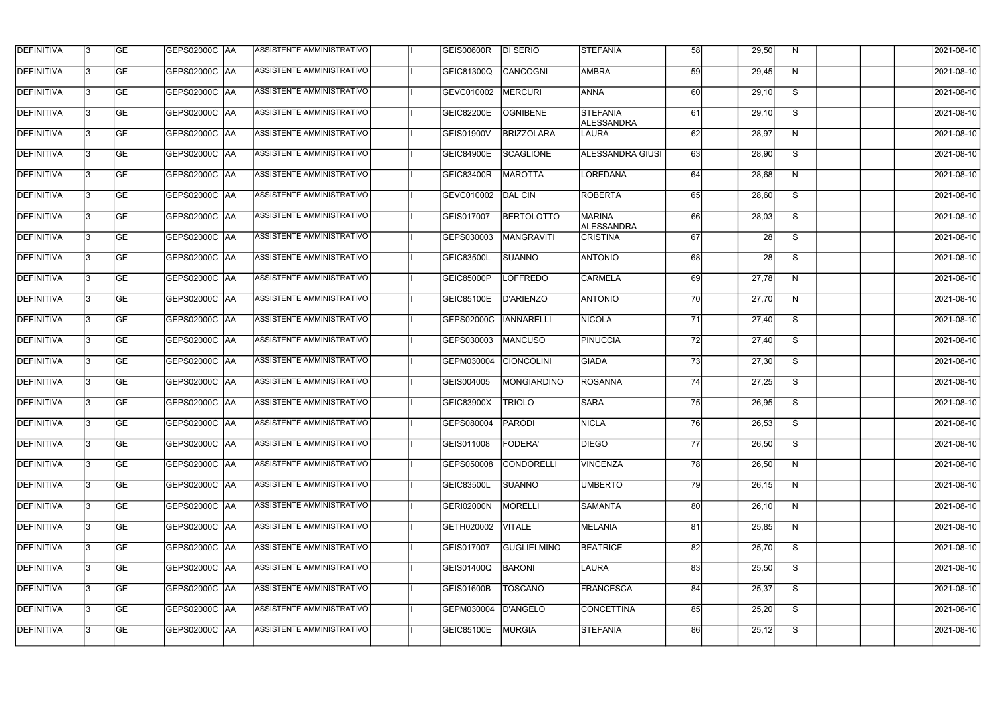| <b>DEFINITIVA</b> | 13  | <b>GE</b> |                      | ASSISTENTE AMMINISTRATIVO        | <b>GEIS00600R</b> | <b>DI SERIO</b>    | <b>STEFANIA</b>               | 58              | 29,50 | N. | 2021-08-10 |
|-------------------|-----|-----------|----------------------|----------------------------------|-------------------|--------------------|-------------------------------|-----------------|-------|----|------------|
| <b>DEFINITIVA</b> | l3  | <b>GE</b> | GEPS02000C  AA       | ASSISTENTE AMMINISTRATIVO        | <b>GEIC81300Q</b> | CANCOGNI           | <b>AMBRA</b>                  | 59              | 29,45 | N  | 2021-08-10 |
| DEFINITIVA        | l3  | <b>GE</b> | <b>GEPS02000C AA</b> | ASSISTENTE AMMINISTRATIVO        | GEVC010002        | <b>MERCURI</b>     | <b>ANNA</b>                   | 60              | 29,10 | S  | 2021-08-10 |
| <b>DEFINITIVA</b> | l3  | <b>GE</b> | <b>GEPS02000C AA</b> | ASSISTENTE AMMINISTRATIVO        | GEIC82200E        | <b>OGNIBENE</b>    | <b>STEFANIA</b><br>ALESSANDRA | 61              | 29,10 | S  | 2021-08-10 |
| <b>DEFINITIVA</b> | l3  | <b>GE</b> | GEPS02000C  AA       | ASSISTENTE AMMINISTRATIVO        | <b>GEIS01900V</b> | <b>BRIZZOLARA</b>  | <b>LAURA</b>                  | 62              | 28,97 | N  | 2021-08-10 |
| <b>DEFINITIVA</b> | IЗ  | <b>GE</b> | <b>GEPS02000C AA</b> | <b>ASSISTENTE AMMINISTRATIVO</b> | <b>GEIC84900E</b> | <b>SCAGLIONE</b>   | <b>ALESSANDRA GIUSI</b>       | 63              | 28,90 | S  | 2021-08-10 |
| <b>DEFINITIVA</b> | l3  | <b>GE</b> | <b>GEPS02000C AA</b> | <b>ASSISTENTE AMMINISTRATIVO</b> | <b>GEIC83400R</b> | <b>MAROTTA</b>     | LOREDANA                      | 64              | 28,68 | N  | 2021-08-10 |
| <b>DEFINITIVA</b> | l3  | <b>GE</b> | GEPS02000C AA        | ASSISTENTE AMMINISTRATIVO        | GEVC010002        | DAL CIN            | <b>ROBERTA</b>                | 65              | 28,60 | S  | 2021-08-10 |
| <b>DEFINITIVA</b> | l3  | <b>GE</b> | GEPS02000C   AA      | ASSISTENTE AMMINISTRATIVO        | GEIS017007        | <b>BERTOLOTTO</b>  | <b>MARINA</b><br>ALESSANDRA   | 66              | 28,03 | S  | 2021-08-10 |
| <b>DEFINITIVA</b> | l3  | <b>GE</b> | GEPS02000C AA        | ASSISTENTE AMMINISTRATIVO        | GEPS030003        | MANGRAVITI         | <b>CRISTINA</b>               | 67              | 28    | S  | 2021-08-10 |
| <b>DEFINITIVA</b> | l3  | <b>GE</b> | GEPS02000C AA        | ASSISTENTE AMMINISTRATIVO        | <b>GEIC83500L</b> | <b>SUANNO</b>      | <b>ANTONIO</b>                | 68              | 28    | S  | 2021-08-10 |
| <b>DEFINITIVA</b> | 13. | <b>GE</b> | GEPS02000C AA        | ASSISTENTE AMMINISTRATIVO        | GEIC85000P        | <b>LOFFREDO</b>    | <b>CARMELA</b>                | 69              | 27,78 | N  | 2021-08-10 |
| <b>DEFINITIVA</b> | l3  | <b>GE</b> | GEPS02000C  AA       | ASSISTENTE AMMINISTRATIVO        | <b>GEIC85100E</b> | D'ARIENZO          | <b>ANTONIO</b>                | 70l             | 27,70 | N  | 2021-08-10 |
| <b>DEFINITIVA</b> | l3  | <b>GE</b> | GEPS02000C AA        | ASSISTENTE AMMINISTRATIVO        | GEPS02000C        | <b>IANNARELLI</b>  | <b>NICOLA</b>                 | 71              | 27,40 | S  | 2021-08-10 |
| <b>DEFINITIVA</b> | l3  | <b>GE</b> | GEPS02000C AA        | ASSISTENTE AMMINISTRATIVO        | GEPS030003        | MANCUSO            | PINUCCIA                      | 72              | 27,40 | S  | 2021-08-10 |
| <b>DEFINITIVA</b> | l3  | <b>GE</b> | GEPS02000C  AA       | ASSISTENTE AMMINISTRATIVO        | GEPM030004        | <b>CIONCOLINI</b>  | <b>GIADA</b>                  | 73              | 27,30 | S  | 2021-08-10 |
| <b>DEFINITIVA</b> | l3  | <b>GE</b> | GEPS02000C  AA       | ASSISTENTE AMMINISTRATIVO        | GEIS004005        | <b>MONGIARDINO</b> | <b>ROSANNA</b>                | 74              | 27,25 | S  | 2021-08-10 |
| <b>DEFINITIVA</b> |     | <b>GE</b> | GEPS02000C  AA       | ASSISTENTE AMMINISTRATIVO        | GEIC83900X        | <b>TRIOLO</b>      | <b>SARA</b>                   | 75              | 26,95 | S  | 2021-08-10 |
| <b>DEFINITIVA</b> | IЗ  | GE        | GEPS02000C  AA       | <b>ASSISTENTE AMMINISTRATIVO</b> | <b>GEPS080004</b> | <b>PARODI</b>      | <b>NICLA</b>                  | 76              | 26,53 | S. | 2021-08-10 |
| <b>DEFINITIVA</b> | 13  | <b>GE</b> | <b>GEPS02000C AA</b> | ASSISTENTE AMMINISTRATIVO        | GEIS011008        | <b>FODERA'</b>     | <b>DIEGO</b>                  | <b>77</b>       | 26,50 | S  | 2021-08-10 |
| <b>DEFINITIVA</b> | 13  | <b>GE</b> | <b>GEPS02000C AA</b> | ASSISTENTE AMMINISTRATIVO        | GEPS050008        | <b>CONDORELLI</b>  | <b>VINCENZA</b>               | 78I             | 26,50 | N  | 2021-08-10 |
| <b>DEFINITIVA</b> | 13  | <b>GE</b> | GEPS02000C AA        | ASSISTENTE AMMINISTRATIVO        | <b>GEIC83500L</b> | SUANNO             | <b>UMBERTO</b>                | $\overline{79}$ | 26,15 | N  | 2021-08-10 |
| <b>DEFINITIVA</b> | 13  | <b>GE</b> | <b>GEPS02000C AA</b> | ASSISTENTE AMMINISTRATIVO        | GERI02000N        | <b>MORELLI</b>     | <b>SAMANTA</b>                | 80 <sup>1</sup> | 26,10 | N  | 2021-08-10 |
| <b>DEFINITIVA</b> | 13  | <b>GE</b> | GEPS02000C AA        | ASSISTENTE AMMINISTRATIVO        | GETH020002        | <b>VITALE</b>      | <b>MELANIA</b>                | 81              | 25,85 | N  | 2021-08-10 |
| <b>DEFINITIVA</b> | 13. | <b>GE</b> | GEPS02000C  AA       | ASSISTENTE AMMINISTRATIVO        | GEIS017007        | <b>GUGLIELMINO</b> | <b>BEATRICE</b>               | 82              | 25,70 | S  | 2021-08-10 |
| DEFINITIVA        | l3  | <b>GE</b> | GEPS02000C  AA       | ASSISTENTE AMMINISTRATIVO        | GEIS01400Q        | BARONI             | LAURA                         | 83              | 25,50 | S  | 2021-08-10 |
| DEFINITIVA        | l3  | <b>GE</b> | GEPS02000C  AA       | ASSISTENTE AMMINISTRATIVO        | <b>GEIS01600B</b> | <b>TOSCANO</b>     | FRANCESCA                     | 84              | 25,37 | S  | 2021-08-10 |
| <b>DEFINITIVA</b> | l3  | <b>GE</b> | GEPS02000C AA        | ASSISTENTE AMMINISTRATIVO        | GEPM030004        | D'ANGELO           | <b>CONCETTINA</b>             | 85              | 25,20 | S  | 2021-08-10 |
| <b>DEFINITIVA</b> | Iз  | <b>GE</b> | GEPS02000C  AA       | ASSISTENTE AMMINISTRATIVO        | <b>GEIC85100E</b> | MURGIA             | <b>STEFANIA</b>               | 86              | 25,12 | S  | 2021-08-10 |
|                   |     |           |                      |                                  |                   |                    |                               |                 |       |    |            |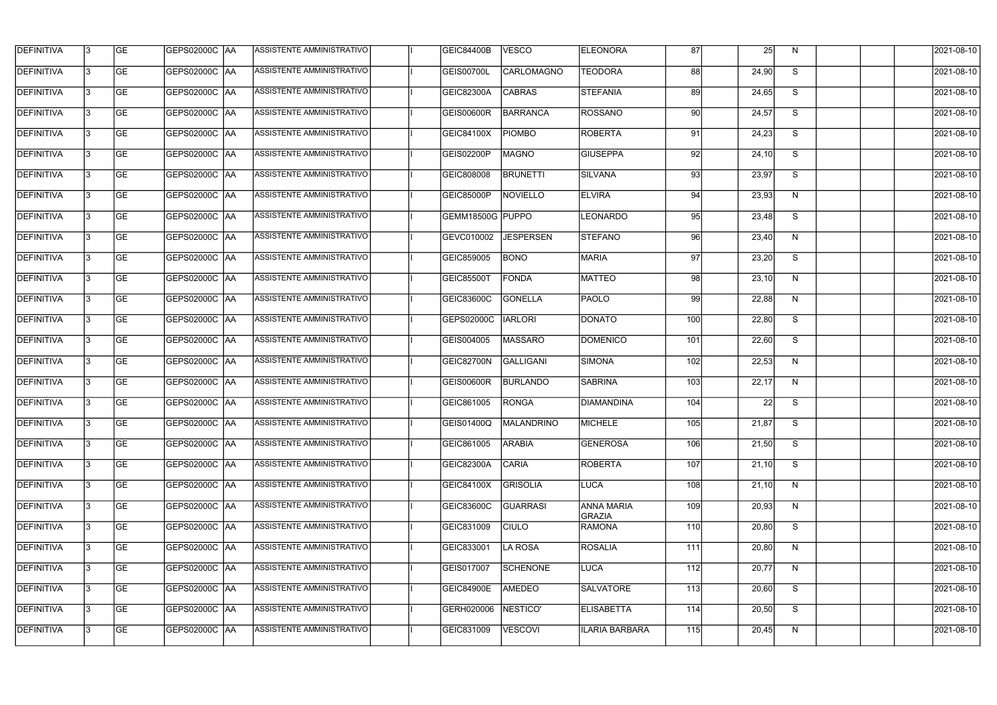| <b>DEFINITIVA</b> | 13  | <b>GE</b> |                      | ASSISTENTE AMMINISTRATIVO        | GEIC84400B        | <b>VESCO</b>      | <b>ELEONORA</b>             | 87  | 25    | N. | 2021-08-10       |
|-------------------|-----|-----------|----------------------|----------------------------------|-------------------|-------------------|-----------------------------|-----|-------|----|------------------|
| DEFINITIVA        | l3  | <b>GE</b> | GEPS02000C  AA       | ASSISTENTE AMMINISTRATIVO        | GEIS00700L        | <b>CARLOMAGNO</b> | <b>TEODORA</b>              | 88  | 24,90 | S  | 2021-08-10       |
| <b>DEFINITIVA</b> | l3  | <b>GE</b> | <b>GEPS02000C AA</b> | ASSISTENTE AMMINISTRATIVO        | <b>GEIC82300A</b> | <b>CABRAS</b>     | <b>STEFANIA</b>             | 89  | 24,65 | S  | 2021-08-10       |
| <b>DEFINITIVA</b> | 13  | <b>GE</b> | <b>GEPS02000C AA</b> | ASSISTENTE AMMINISTRATIVO        | <b>GEIS00600R</b> | <b>BARRANCA</b>   | <b>ROSSANO</b>              | 90  | 24,57 | S  | 2021-08-10       |
| <b>DEFINITIVA</b> | l3  | <b>GE</b> | GEPS02000C  AA       | ASSISTENTE AMMINISTRATIVO        | <b>GEIC84100X</b> | <b>PIOMBO</b>     | <b>ROBERTA</b>              | 91  | 24,23 | S  | 2021-08-10       |
| <b>DEFINITIVA</b> | IЗ  | <b>GE</b> | <b>GEPS02000C AA</b> | <b>ASSISTENTE AMMINISTRATIVO</b> | GEIS02200P        | <b>MAGNO</b>      | <b>GIUSEPPA</b>             | 92  | 24,10 | S  | 2021-08-10       |
| <b>DEFINITIVA</b> | l3  | <b>GE</b> | <b>GEPS02000C AA</b> | <b>ASSISTENTE AMMINISTRATIVO</b> | GEIC808008        | <b>BRUNETTI</b>   | SILVANA                     | 93  | 23,97 | S  | 2021-08-10       |
| <b>DEFINITIVA</b> | l3  | <b>GE</b> | GEPS02000C AA        | ASSISTENTE AMMINISTRATIVO        | GEIC85000P        | NOVIELLO          | <b>ELVIRA</b>               | 94  | 23,93 | N  | 2021-08-10       |
| <b>DEFINITIVA</b> | l3  | <b>GE</b> | GEPS02000C  AA       | ASSISTENTE AMMINISTRATIVO        | GEMM18500G PUPPO  |                   | <b>LEONARDO</b>             | 95  | 23,48 | S  | 2021-08-10       |
| <b>DEFINITIVA</b> | l3  | <b>GE</b> | GEPS02000C AA        | ASSISTENTE AMMINISTRATIVO        | GEVC010002        | <b>JESPERSEN</b>  | <b>STEFANO</b>              | 96  | 23,40 | N  | 2021-08-10       |
| <b>DEFINITIVA</b> | l3  | <b>GE</b> | GEPS02000C AA        | ASSISTENTE AMMINISTRATIVO        | GEIC859005        | <b>BONO</b>       | <b>MARIA</b>                | 97  | 23,20 | S  | 2021-08-10       |
| <b>DEFINITIVA</b> | 13  | <b>GE</b> | <b>GEPS02000C AA</b> | ASSISTENTE AMMINISTRATIVO        | GEIC85500T        | <b>FONDA</b>      | <b>MATTEO</b>               | 98  | 23,10 | N  | 2021-08-10       |
| <b>DEFINITIVA</b> | l3  | <b>GE</b> | GEPS02000C  AA       | ASSISTENTE AMMINISTRATIVO        | GEIC83600C        | <b>GONELLA</b>    | PAOLO                       | -99 | 22,88 | N  | 2021-08-10       |
| <b>DEFINITIVA</b> | l3  | <b>GE</b> | GEPS02000C AA        | ASSISTENTE AMMINISTRATIVO        | GEPS02000C        | <b>IARLORI</b>    | <b>DONATO</b>               | 100 | 22,80 | S  | 2021-08-10       |
| <b>DEFINITIVA</b> | l3  | <b>GE</b> | GEPS02000C  AA       | ASSISTENTE AMMINISTRATIVO        | GEIS004005        | <b>MASSARO</b>    | <b>DOMENICO</b>             | 101 | 22,60 | S  | 2021-08-10       |
| <b>DEFINITIVA</b> | IЗ  | <b>GE</b> | GEPS02000C  AA       | ASSISTENTE AMMINISTRATIVO        | GEIC82700N        | <b>GALLIGANI</b>  | <b>SIMONA</b>               | 102 | 22,53 | N  | 2021-08-10       |
| <b>DEFINITIVA</b> | IЗ  | <b>GE</b> | GEPS02000C  AA       | ASSISTENTE AMMINISTRATIVO        | <b>GEIS00600R</b> | <b>BURLANDO</b>   | <b>SABRINA</b>              | 103 | 22,17 | N  | 2021-08-10       |
| <b>DEFINITIVA</b> |     | <b>GE</b> | GEPS02000C  AA       | ASSISTENTE AMMINISTRATIVO        | GEIC861005        | <b>RONGA</b>      | <b>DIAMANDINA</b>           | 104 | 22    | S  | 2021-08-10       |
| <b>DEFINITIVA</b> | IЗ  | GE        | GEPS02000C  AA       | <b>ASSISTENTE AMMINISTRATIVO</b> | GEIS01400Q        | MALANDRINO        | <b>MICHELE</b>              | 105 | 21,87 | S. | 2021-08-10       |
| <b>DEFINITIVA</b> | 13. | <b>GE</b> | <b>GEPS02000C AA</b> | ASSISTENTE AMMINISTRATIVO        | GEIC861005        | <b>ARABIA</b>     | <b>GENEROSA</b>             | 106 | 21,50 | S  | 2021-08-10       |
| <b>DEFINITIVA</b> | 13  | <b>GE</b> | <b>GEPS02000C AA</b> | ASSISTENTE AMMINISTRATIVO        | GEIC82300A        | <b>CARIA</b>      | <b>ROBERTA</b>              | 107 | 21,10 | S  | 2021-08-10       |
| <b>DEFINITIVA</b> | 13. | <b>GE</b> | GEPS02000C AA        | ASSISTENTE AMMINISTRATIVO        | GEIC84100X        | <b>GRISOLIA</b>   | LUCA                        | 108 | 21,10 | N  | $2021 - 08 - 10$ |
| <b>DEFINITIVA</b> | 13  | <b>GE</b> | GEPS02000C AA        | ASSISTENTE AMMINISTRATIVO        | GEIC83600C        | <b>GUARRASI</b>   | <b>ANNA MARIA</b><br>GRAZIA | 109 | 20,93 | N  | 2021-08-10       |
| <b>DEFINITIVA</b> | 13  | <b>GE</b> | GEPS02000C AA        | ASSISTENTE AMMINISTRATIVO        | GEIC831009        | <b>CIULO</b>      | <b>RAMONA</b>               | 110 | 20,80 | S  | 2021-08-10       |
| <b>DEFINITIVA</b> | 13. | <b>GE</b> | GEPS02000C  AA       | ASSISTENTE AMMINISTRATIVO        | GEIC833001        | LA ROSA           | <b>ROSALIA</b>              | 111 | 20,80 | N  | 2021-08-10       |
| DEFINITIVA        | l3  | <b>GE</b> | GEPS02000C  AA       | ASSISTENTE AMMINISTRATIVO        | GEIS017007        | SCHENONE          | LUCA                        | 112 | 20,77 | N  | 2021-08-10       |
| DEFINITIVA        | l3  | <b>GE</b> | GEPS02000C  AA       | ASSISTENTE AMMINISTRATIVO        | <b>GEIC84900E</b> | AMEDEO            | <b>SALVATORE</b>            | 113 | 20,60 | S  | 2021-08-10       |
| <b>DEFINITIVA</b> | l3  | <b>GE</b> | <b>GEPS02000C AA</b> | ASSISTENTE AMMINISTRATIVO        | GERH020006        | NESTICO'          | <b>ELISABETTA</b>           | 114 | 20,50 | S  | 2021-08-10       |
| <b>DEFINITIVA</b> | lЗ  | <b>GE</b> | GEPS02000C  AA       | ASSISTENTE AMMINISTRATIVO        | GEIC831009        | <b>VESCOVI</b>    | <b>ILARIA BARBARA</b>       | 115 | 20,45 | N  | 2021-08-10       |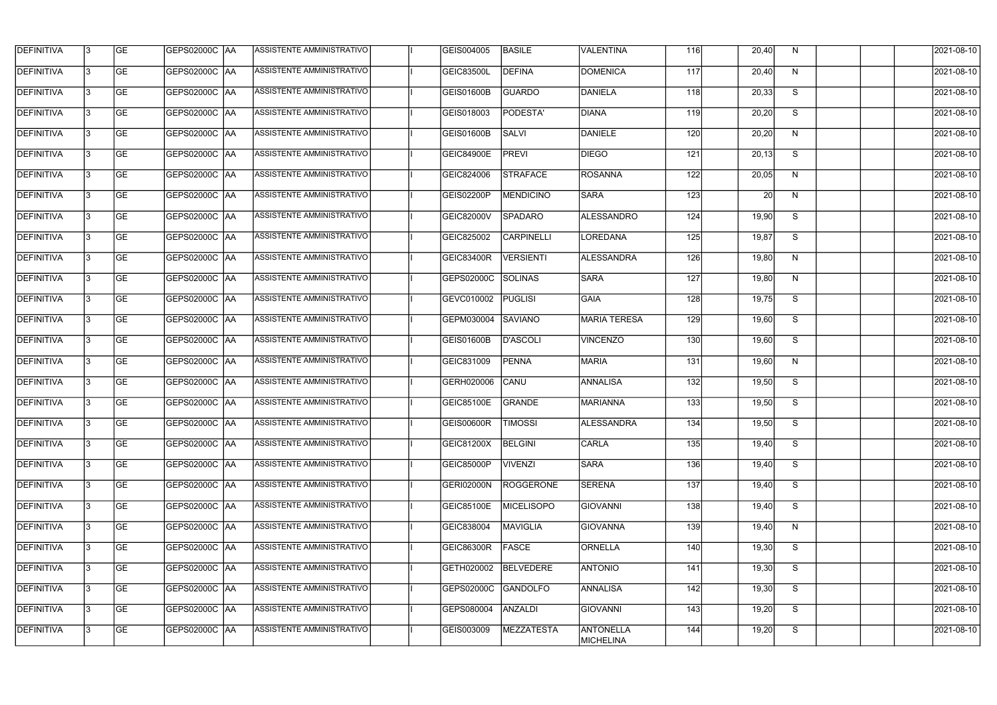| <b>DEFINITIVA</b> | 13  | <b>GE</b> | <b>GEPS02000C AA</b> | ASSISTENTE AMMINISTRATIVO        | GEIS004005        | <b>BASILE</b>     | VALENTINA                     | 116 | 20,40 | N            | 2021-08-10 |
|-------------------|-----|-----------|----------------------|----------------------------------|-------------------|-------------------|-------------------------------|-----|-------|--------------|------------|
| <b>DEFINITIVA</b> | l3  | <b>GE</b> | <b>GEPS02000C AA</b> | <b>ASSISTENTE AMMINISTRATIVO</b> | GEIC83500L        | <b>DEFINA</b>     | <b>DOMENICA</b>               | 117 | 20,40 | N            | 2021-08-10 |
| <b>DEFINITIVA</b> | l3  | <b>GE</b> | GEPS02000C AA        | ASSISTENTE AMMINISTRATIVO        | GEIS01600B        | <b>GUARDO</b>     | DANIELA                       | 118 | 20,33 | S            | 2021-08-10 |
| <b>DEFINITIVA</b> | l3  | <b>GE</b> | <b>GEPS02000C AA</b> | ASSISTENTE AMMINISTRATIVO        | GEIS018003        | PODESTA'          | <b>DIANA</b>                  | 119 | 20,20 | S            | 2021-08-10 |
| <b>DEFINITIVA</b> | l3  | <b>GE</b> | <b>GEPS02000C AA</b> | ASSISTENTE AMMINISTRATIVO        | GEIS01600B        | <b>SALVI</b>      | DANIELE                       | 120 | 20,20 | N            | 2021-08-10 |
| <b>DEFINITIVA</b> | l3  | <b>GE</b> | <b>GEPS02000C AA</b> | <b>ASSISTENTE AMMINISTRATIVO</b> | GEIC84900E        | <b>PREVI</b>      | <b>DIEGO</b>                  | 121 | 20,13 | S            | 2021-08-10 |
| <b>DEFINITIVA</b> | l3  | <b>GE</b> | GEPS02000C AA        | ASSISTENTE AMMINISTRATIVO        | GEIC824006        | <b>STRAFACE</b>   | ROSANNA                       | 122 | 20,05 | N            | 2021-08-10 |
| <b>DEFINITIVA</b> | l3  | <b>GE</b> | <b>GEPS02000C AA</b> | ASSISTENTE AMMINISTRATIVO        | GEIS02200P        | <b>MENDICINO</b>  | <b>SARA</b>                   | 123 | 20    | N            | 2021-08-10 |
| <b>DEFINITIVA</b> |     | <b>GE</b> | GEPS02000C  AA       | ASSISTENTE AMMINISTRATIVO        | <b>GEIC82000V</b> | <b>SPADARO</b>    | <b>ALESSANDRO</b>             | 124 | 19,90 | S            | 2021-08-10 |
| <b>DEFINITIVA</b> | l3  | <b>GE</b> | GEPS02000C  AA       | ASSISTENTE AMMINISTRATIVO        | GEIC825002        | <b>CARPINELLI</b> | LOREDANA                      | 125 | 19,87 | S            | 2021-08-10 |
| DEFINITIVA        | 13  | <b>GE</b> | GEPS02000C AA        | ASSISTENTE AMMINISTRATIVO        | <b>GEIC83400R</b> | <b>VERSIENTI</b>  | <b>ALESSANDRA</b>             | 126 | 19,80 | N            | 2021-08-10 |
| <b>DEFINITIVA</b> | l3  | <b>GE</b> | GEPS02000C  AA       | ASSISTENTE AMMINISTRATIVO        | GEPS02000C        | SOLINAS           | <b>SARA</b>                   | 127 | 19,80 | $\mathsf{N}$ | 2021-08-10 |
| <b>DEFINITIVA</b> | l3  | <b>GE</b> | GEPS02000C AA        | ASSISTENTE AMMINISTRATIVO        | GEVC010002        | <b>PUGLISI</b>    | GAIA                          | 128 | 19,75 | S            | 2021-08-10 |
| <b>DEFINITIVA</b> | l3  | <b>GE</b> | GEPS02000C  AA       | ASSISTENTE AMMINISTRATIVO        | GEPM030004        | <b>SAVIANO</b>    | <b>MARIA TERESA</b>           | 129 | 19,60 | S            | 2021-08-10 |
| <b>DEFINITIVA</b> | l3  | <b>GE</b> | GEPS02000C  AA       | ASSISTENTE AMMINISTRATIVO        | GEIS01600B        | <b>D'ASCOLI</b>   | VINCENZO                      | 130 | 19,60 | S            | 2021-08-10 |
| <b>DEFINITIVA</b> | IЗ  | <b>GE</b> |                      | ASSISTENTE AMMINISTRATIVO        | GEIC831009        | <b>PENNA</b>      | <b>MARIA</b>                  | 131 | 19,60 | N            | 2021-08-10 |
| <b>DEFINITIVA</b> | I3  | <b>GE</b> | GEPS02000C  AA       | ASSISTENTE AMMINISTRATIVO        | GERH020006        | CANU              | <b>ANNALISA</b>               | 132 | 19,50 | S            | 2021-08-10 |
| DEFINITIVA        |     | <b>GE</b> | GEPS02000C  AA       | ASSISTENTE AMMINISTRATIVO        | <b>GEIC85100E</b> | <b>GRANDE</b>     | <b>MARIANNA</b>               | 133 | 19,50 | S            | 2021-08-10 |
| <b>DEFINITIVA</b> | 13  | <b>GE</b> | GEPS02000C  AA       | ASSISTENTE AMMINISTRATIVO        | <b>GEIS00600R</b> | TIMOSSI           | <b>ALESSANDRA</b>             | 134 | 19,50 | S.           | 2021-08-10 |
| <b>DEFINITIVA</b> | 13  | <b>GE</b> | <b>GEPS02000C AA</b> | ASSISTENTE AMMINISTRATIVO        | GEIC81200X        | BELGINI           | <b>CARLA</b>                  | 135 | 19,40 | S            | 2021-08-10 |
| <b>DEFINITIVA</b> | 13  | <b>GE</b> | GEPS02000C  AA       | ASSISTENTE AMMINISTRATIVO        | GEIC85000P        | <b>VIVENZI</b>    | <b>SARA</b>                   | 136 | 19,40 | S            | 2021-08-10 |
| <b>DEFINITIVA</b> | 13. | <b>GE</b> | GEPS02000C AA        | ASSISTENTE AMMINISTRATIVO        | GERI02000N        | ROGGERONE         | <b>SERENA</b>                 | 137 | 19,40 | S            | 2021-08-10 |
| <b>DEFINITIVA</b> | 13  | <b>GE</b> | GEPS02000C AA        | ASSISTENTE AMMINISTRATIVO        | <b>GEIC85100E</b> | MICELISOPO        | GIOVANNI                      | 138 | 19,40 | S            | 2021-08-10 |
| <b>DEFINITIVA</b> | 13  | <b>GE</b> | GEPS02000C  AA       | ASSISTENTE AMMINISTRATIVO        | GEIC838004        | MAVIGLIA          | <b>GIOVANNA</b>               | 139 | 19,40 | N            | 2021-08-10 |
| <b>DEFINITIVA</b> | IЗ  | <b>GE</b> | GEPS02000C  AA       | ASSISTENTE AMMINISTRATIVO        | GEIC86300R        | FASCE             | <b>ORNELLA</b>                | 140 | 19,30 | S            | 2021-08-10 |
| DEFINITIVA        | l3  | <b>GE</b> | GEPS02000C  AA       | ASSISTENTE AMMINISTRATIVO        | GETH020002        | BELVEDERE         | <b>ANTONIO</b>                | 141 | 19,30 | S            | 2021-08-10 |
| <b>DEFINITIVA</b> | l3  | <b>GE</b> | GEPS02000C  AA       | ASSISTENTE AMMINISTRATIVO        | GEPS02000C        | GANDOLFO          | <b>ANNALISA</b>               | 142 | 19,30 | S            | 2021-08-10 |
| <b>DEFINITIVA</b> | 13. | <b>GE</b> | GEPS02000C  AA       | ASSISTENTE AMMINISTRATIVO        | GEPS080004        | ANZALDI           | <b>GIOVANNI</b>               | 143 | 19,20 | S            | 2021-08-10 |
| <b>DEFINITIVA</b> |     | <b>GE</b> | GEPS02000C  AA       | ASSISTENTE AMMINISTRATIVO        | GEIS003009        | <b>MEZZATESTA</b> | <b>ANTONELLA</b><br>MICHELINA | 144 | 19,20 | S            | 2021-08-10 |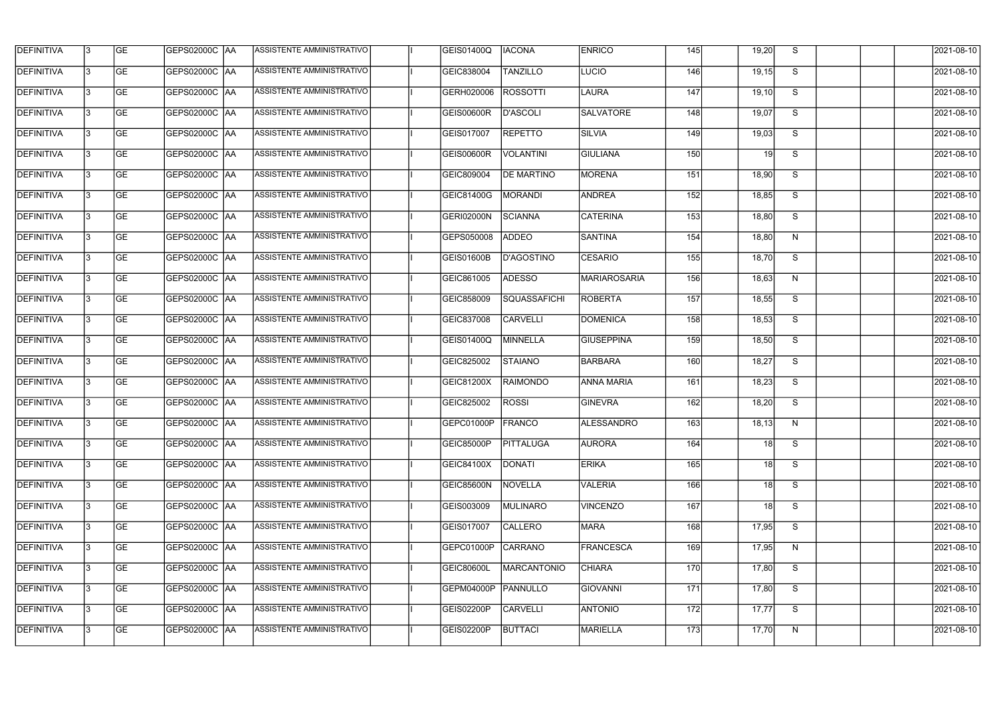| <b>DEFINITIVA</b> | 13  | <b>GE</b> | GEPS02000C  AA       | ASSISTENTE AMMINISTRATIVO        | GEIS01400Q        | <b>IACONA</b>     | <b>ENRICO</b>     | 145        | 19,20           | S.                       | 2021-08-10 |
|-------------------|-----|-----------|----------------------|----------------------------------|-------------------|-------------------|-------------------|------------|-----------------|--------------------------|------------|
| DEFINITIVA        | l3  | <b>GE</b> | GEPS02000C  AA       | ASSISTENTE AMMINISTRATIVO        | GEIC838004        | <b>TANZILLO</b>   | LUCIO             | 146        | 19,15           | S                        | 2021-08-10 |
| <b>DEFINITIVA</b> | l3  | <b>GE</b> | <b>GEPS02000C AA</b> | ASSISTENTE AMMINISTRATIVO        | GERH020006        | <b>ROSSOTTI</b>   | <b>LAURA</b>      | 147        | 19,10           | S                        | 2021-08-10 |
| <b>DEFINITIVA</b> | 13  | <b>GE</b> | <b>GEPS02000C AA</b> | ASSISTENTE AMMINISTRATIVO        | <b>GEIS00600R</b> | <b>D'ASCOLI</b>   | <b>SALVATORE</b>  | 148        | 19,07           | S                        | 2021-08-10 |
| <b>DEFINITIVA</b> | l3  | <b>GE</b> | GEPS02000C AA        | ASSISTENTE AMMINISTRATIVO        | GEIS017007        | <b>REPETTO</b>    | <b>SILVIA</b>     | 149        | 19,03           | S                        | 2021-08-10 |
| <b>DEFINITIVA</b> | IЗ  | <b>GE</b> | <b>GEPS02000C AA</b> | <b>ASSISTENTE AMMINISTRATIVO</b> | <b>GEIS00600R</b> | <b>VOLANTINI</b>  | <b>GIULIANA</b>   | 150        | 19 <sup>1</sup> | S                        | 2021-08-10 |
| <b>DEFINITIVA</b> | l3  | <b>GE</b> | <b>GEPS02000C AA</b> | <b>ASSISTENTE AMMINISTRATIVO</b> | GEIC809004        | <b>DE MARTINO</b> | <b>MORENA</b>     | 151        | 18,90           | S                        | 2021-08-10 |
| <b>DEFINITIVA</b> | l3  | <b>GE</b> | GEPS02000C AA        | ASSISTENTE AMMINISTRATIVO        | GEIC81400G        | <b>MORANDI</b>    | <b>ANDREA</b>     | 152        | 18,85           | S                        | 2021-08-10 |
| <b>DEFINITIVA</b> | l3  | <b>GE</b> | GEPS02000C  AA       | ASSISTENTE AMMINISTRATIVO        | GERI02000N        | SCIANNA           | <b>CATERINA</b>   | 153        | 18,80           | S                        | 2021-08-10 |
| <b>DEFINITIVA</b> | l3  | <b>GE</b> | GEPS02000C AA        | ASSISTENTE AMMINISTRATIVO        | GEPS050008        | <b>ADDEO</b>      | <b>SANTINA</b>    | 154        | 18,80           | N                        | 2021-08-10 |
| <b>DEFINITIVA</b> | l3  | <b>GE</b> | GEPS02000C AA        | ASSISTENTE AMMINISTRATIVO        | GEIS01600B        | <b>D'AGOSTINO</b> | <b>CESARIO</b>    | 155        | 18,70           | S                        | 2021-08-10 |
| <b>DEFINITIVA</b> | 13  | <b>GE</b> | <b>GEPS02000C AA</b> | ASSISTENTE AMMINISTRATIVO        | GEIC861005        | <b>ADESSO</b>     | MARIAROSARIA      | 156        | 18,63           | N                        | 2021-08-10 |
| <b>DEFINITIVA</b> | l3  | <b>GE</b> | GEPS02000C  AA       | ASSISTENTE AMMINISTRATIVO        | GEIC858009        | SQUASSAFICHI      | <b>ROBERTA</b>    | 157        | 18,55           | S                        | 2021-08-10 |
| <b>DEFINITIVA</b> | l3  | <b>GE</b> | GEPS02000C AA        | ASSISTENTE AMMINISTRATIVO        | GEIC837008        | <b>CARVELLI</b>   | <b>DOMENICA</b>   | 158        | 18,53           | S                        | 2021-08-10 |
| <b>DEFINITIVA</b> | l3  | <b>GE</b> | GEPS02000C  AA       | ASSISTENTE AMMINISTRATIVO        | GEIS01400Q        | <b>MINNELLA</b>   | <b>GIUSEPPINA</b> | 159        | 18,50           | S                        | 2021-08-10 |
| <b>DEFINITIVA</b> | IЗ  | <b>GE</b> | GEPS02000C  AA       | ASSISTENTE AMMINISTRATIVO        | GEIC825002        | <b>STAIANO</b>    | <b>BARBARA</b>    | 160        | 18,27           | S                        | 2021-08-10 |
| <b>DEFINITIVA</b> | IЗ  | <b>GE</b> | GEPS02000C  AA       | ASSISTENTE AMMINISTRATIVO        | GEIC81200X        | <b>RAIMONDO</b>   | <b>ANNA MARIA</b> | 161        | 18,23           | S                        | 2021-08-10 |
| <b>DEFINITIVA</b> |     | <b>GE</b> | GEPS02000C  AA       | ASSISTENTE AMMINISTRATIVO        | GEIC825002        | <b>ROSSI</b>      | <b>GINEVRA</b>    | 162        | 18,20           | S                        | 2021-08-10 |
| <b>DEFINITIVA</b> | IЗ  | GE        | GEPS02000C  AA       | <b>ASSISTENTE AMMINISTRATIVO</b> | GEPC01000P FRANCO |                   | ALESSANDRO        | 163        | 18,13           | N,                       | 2021-08-10 |
| <b>DEFINITIVA</b> | 13. | <b>GE</b> | GEPS02000C AA        | ASSISTENTE AMMINISTRATIVO        | GEIC85000P        | <b>PITTALUGA</b>  | <b>AURORA</b>     | 164        | 18              | S                        | 2021-08-10 |
| <b>DEFINITIVA</b> | 13. | <b>GE</b> | <b>GEPS02000C AA</b> | ASSISTENTE AMMINISTRATIVO        | GEIC84100X        | DONATI            | <b>ERIKA</b>      | 165        | 18 <sup>1</sup> | S                        | 2021-08-10 |
| <b>DEFINITIVA</b> | 13. | <b>GE</b> | <b>GEPS02000C AA</b> | ASSISTENTE AMMINISTRATIVO        | GEIC85600N        | NOVELLA           | <b>VALERIA</b>    | 166        | 18              | S                        | 2021-08-10 |
| <b>DEFINITIVA</b> | 13. | <b>GE</b> | <b>GEPS02000C AA</b> | ASSISTENTE AMMINISTRATIVO        | GEIS003009        | <b>MULINARO</b>   | <b>VINCENZO</b>   | 167        | 18              | S                        | 2021-08-10 |
| <b>DEFINITIVA</b> | 13  | <b>GE</b> | GEPS02000C AA        | ASSISTENTE AMMINISTRATIVO        | GEIS017007        | <b>CALLERO</b>    | MARA              | 168        | 17,95           | $\overline{\mathcal{S}}$ | 2021-08-10 |
| <b>DEFINITIVA</b> | l3  | <b>GE</b> | GEPS02000C  AA       | ASSISTENTE AMMINISTRATIVO        | GEPC01000P        | CARRANO           | FRANCESCA         | 169        | 17,95           | N                        | 2021-08-10 |
| DEFINITIVA        | l3  | <b>GE</b> | GEPS02000C  AA       | ASSISTENTE AMMINISTRATIVO        | <b>GEIC80600L</b> | MARCANTONIO       | <b>CHIARA</b>     | <b>170</b> | 17,80           | S                        | 2021-08-10 |
| DEFINITIVA        | l3  | <b>GE</b> | GEPS02000C  AA       | ASSISTENTE AMMINISTRATIVO        | GEPM04000P        | PANNULLO          | <b>GIOVANNI</b>   | 171        | 17,80           | S                        | 2021-08-10 |
| <b>DEFINITIVA</b> | l3  | <b>GE</b> | GEPS02000C AA        | ASSISTENTE AMMINISTRATIVO        | GEIS02200P        | <b>CARVELLI</b>   | <b>ANTONIO</b>    | 172        | 17,77           | S                        | 2021-08-10 |
| <b>DEFINITIVA</b> | IЗ  | <b>GE</b> | GEPS02000C  AA       | ASSISTENTE AMMINISTRATIVO        | GEIS02200P        | <b>BUTTACI</b>    | <b>MARIELLA</b>   | 173        | 17,70           | N                        | 2021-08-10 |
|                   |     |           |                      |                                  |                   |                   |                   |            |                 |                          |            |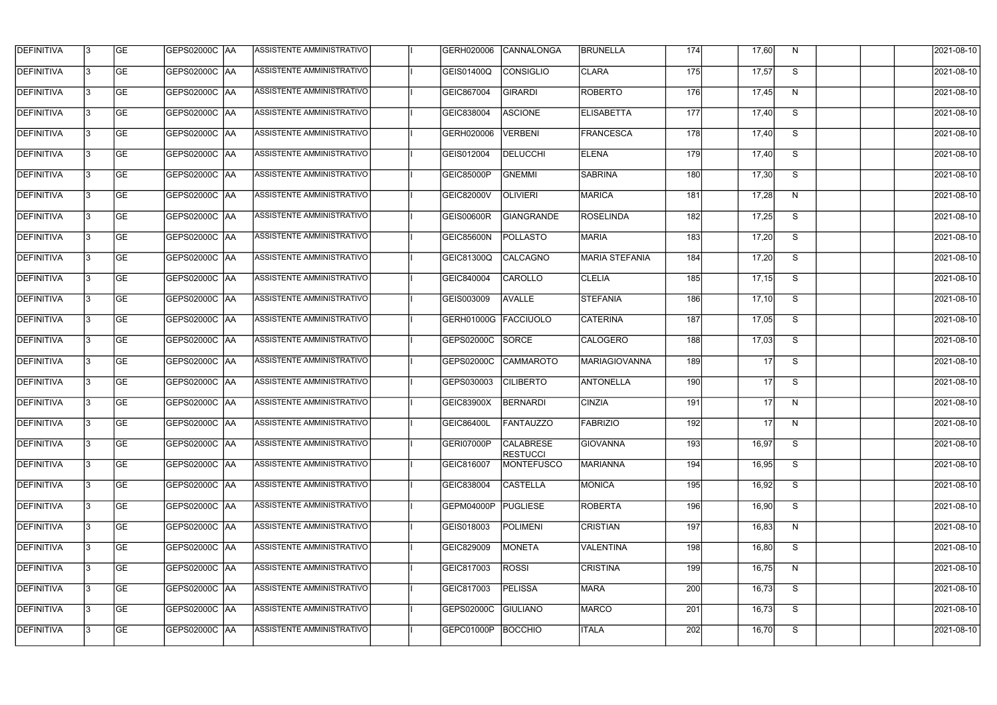| <b>DEFINITIVA</b> | 13  | <b>GE</b> | GEPS02000C  AA       | ASSISTENTE AMMINISTRATIVO        | GERH020006        | CANNALONGA                          | <b>BRUNELLA</b>   | 174 | 17,60           | N, | 2021-08-10       |
|-------------------|-----|-----------|----------------------|----------------------------------|-------------------|-------------------------------------|-------------------|-----|-----------------|----|------------------|
| DEFINITIVA        | l3  | <b>GE</b> | GEPS02000C  AA       | ASSISTENTE AMMINISTRATIVO        | GEIS01400Q        | <b>CONSIGLIO</b>                    | <b>CLARA</b>      | 175 | 17,57           | S  | 2021-08-10       |
| <b>DEFINITIVA</b> | l3  | <b>GE</b> | <b>GEPS02000C AA</b> | ASSISTENTE AMMINISTRATIVO        | GEIC867004        | <b>GIRARDI</b>                      | <b>ROBERTO</b>    | 176 | 17,45           | N  | 2021-08-10       |
| <b>DEFINITIVA</b> | 13  | <b>GE</b> | <b>GEPS02000C AA</b> | ASSISTENTE AMMINISTRATIVO        | GEIC838004        | <b>ASCIONE</b>                      | <b>ELISABETTA</b> | 177 | 17,40           | S  | 2021-08-10       |
| <b>DEFINITIVA</b> | l3  | <b>GE</b> | GEPS02000C  AA       | ASSISTENTE AMMINISTRATIVO        | GERH020006        | <b>VERBENI</b>                      | <b>FRANCESCA</b>  | 178 | 17,40           | S  | 2021-08-10       |
| <b>DEFINITIVA</b> | IЗ  | <b>GE</b> | <b>GEPS02000C AA</b> | <b>ASSISTENTE AMMINISTRATIVO</b> | GEIS012004        | <b>DELUCCHI</b>                     | <b>ELENA</b>      | 179 | 17,40           | S  | 2021-08-10       |
| <b>DEFINITIVA</b> | l3  | <b>GE</b> | <b>GEPS02000C AA</b> | <b>ASSISTENTE AMMINISTRATIVO</b> | GEIC85000P        | <b>GNEMMI</b>                       | <b>SABRINA</b>    | 180 | 17,30           | S  | 2021-08-10       |
| <b>DEFINITIVA</b> | l3  | <b>GE</b> | GEPS02000C AA        | ASSISTENTE AMMINISTRATIVO        | GEIC82000V        | <b>OLIVIERI</b>                     | <b>MARICA</b>     | 181 | 17,28           | N  | 2021-08-10       |
| <b>DEFINITIVA</b> | l3  | <b>GE</b> | GEPS02000C  AA       | ASSISTENTE AMMINISTRATIVO        | <b>GEIS00600R</b> | GIANGRANDE                          | <b>ROSELINDA</b>  | 182 | 17,25           | S  | 2021-08-10       |
| <b>DEFINITIVA</b> | l3  | <b>GE</b> | GEPS02000C AA        | ASSISTENTE AMMINISTRATIVO        | GEIC85600N        | <b>POLLASTO</b>                     | <b>MARIA</b>      | 183 | 17,20           | S  | 2021-08-10       |
| <b>DEFINITIVA</b> | l3  | <b>GE</b> | GEPS02000C AA        | ASSISTENTE AMMINISTRATIVO        | GEIC81300Q        | CALCAGNO                            | MARIA STEFANIA    | 184 | 17,20           | S  | 2021-08-10       |
| <b>DEFINITIVA</b> | 13  | <b>GE</b> | <b>GEPS02000C AA</b> | ASSISTENTE AMMINISTRATIVO        | GEIC840004        | CAROLLO                             | <b>CLELIA</b>     | 185 | 17,15           | S  | 2021-08-10       |
| <b>DEFINITIVA</b> | l3  | <b>GE</b> | GEPS02000C  AA       | ASSISTENTE AMMINISTRATIVO        | GEIS003009        | <b>AVALLE</b>                       | <b>STEFANIA</b>   | 186 | 17,10           | S  | 2021-08-10       |
| <b>DEFINITIVA</b> | l3  | <b>GE</b> | GEPS02000C AA        | ASSISTENTE AMMINISTRATIVO        | GERH01000G        | FACCIUOLO                           | <b>CATERINA</b>   | 187 | 17,05           | S  | 2021-08-10       |
| <b>DEFINITIVA</b> | l3  | <b>GE</b> | GEPS02000C  AA       | ASSISTENTE AMMINISTRATIVO        | GEPS02000C        | SORCE                               | <b>CALOGERO</b>   | 188 | 17,03           | S  | 2021-08-10       |
| <b>DEFINITIVA</b> | l3  | <b>GE</b> | GEPS02000C  AA       | ASSISTENTE AMMINISTRATIVO        | GEPS02000C        | CAMMAROTO                           | MARIAGIOVANNA     | 189 | $\overline{17}$ | S  | 2021-08-10       |
| <b>DEFINITIVA</b> | l3  | <b>GE</b> | GEPS02000C  AA       | ASSISTENTE AMMINISTRATIVO        | GEPS030003        | <b>CILIBERTO</b>                    | <b>ANTONELLA</b>  | 190 | 17              | S  | 2021-08-10       |
| <b>DEFINITIVA</b> |     | <b>GE</b> | GEPS02000C  AA       | ASSISTENTE AMMINISTRATIVO        | GEIC83900X        | <b>BERNARDI</b>                     | <b>CINZIA</b>     | 191 | 17              | N  | 2021-08-10       |
| <b>DEFINITIVA</b> | IЗ  | GE        | GEPS02000C  AA       | <b>ASSISTENTE AMMINISTRATIVO</b> | <b>GEIC86400L</b> | <b>FANTAUZZO</b>                    | FABRIZIO          | 192 | 17 I            | N, | 2021-08-10       |
| <b>DEFINITIVA</b> | 13. | <b>GE</b> | GEPS02000C AA        | ASSISTENTE AMMINISTRATIVO        | GERI07000P        | <b>CALABRESE</b><br><b>RESTUCCI</b> | <b>GIOVANNA</b>   | 193 | 16,97           | S  | 2021-08-10       |
| <b>DEFINITIVA</b> | 13  | <b>GE</b> | <b>GEPS02000C AA</b> | ASSISTENTE AMMINISTRATIVO        | GEIC816007        | <b>MONTEFUSCO</b>                   | <b>MARIANNA</b>   | 194 | 16,95           | S  | 2021-08-10       |
| <b>DEFINITIVA</b> | 13  | <b>GE</b> | <b>GEPS02000C AA</b> | ASSISTENTE AMMINISTRATIVO        | GEIC838004        | <b>CASTELLA</b>                     | MONICA            | 195 | 16,92           | S  | $2021 - 08 - 10$ |
| <b>DEFINITIVA</b> | 13  | <b>GE</b> | GEPS02000C AA        | ASSISTENTE AMMINISTRATIVO        | GEPM04000P        | <b>PUGLIESE</b>                     | <b>ROBERTA</b>    | 196 | 16,90           | S  | 2021-08-10       |
| <b>DEFINITIVA</b> | 13  | <b>GE</b> | GEPS02000C AA        | ASSISTENTE AMMINISTRATIVO        | GEIS018003        | <b>POLIMENI</b>                     | <b>CRISTIAN</b>   | 197 | 16,83           | N  | 2021-08-10       |
| <b>DEFINITIVA</b> | l3  | <b>GE</b> | GEPS02000C  AA       | ASSISTENTE AMMINISTRATIVO        | GEIC829009        | <b>MONETA</b>                       | <b>VALENTINA</b>  | 198 | 16,80           | S  | 2021-08-10       |
| DEFINITIVA        | l3  | <b>GE</b> | GEPS02000C  AA       | ASSISTENTE AMMINISTRATIVO        | GEIC817003        | <b>ROSSI</b>                        | <b>CRISTINA</b>   | 199 | 16,75           | N  | 2021-08-10       |
| DEFINITIVA        | l3  | <b>GE</b> | GEPS02000C  AA       | ASSISTENTE AMMINISTRATIVO        | GEIC817003        | <b>PELISSA</b>                      | MARA              | 200 | 16,73           | S  | 2021-08-10       |
| <b>DEFINITIVA</b> | l3  | <b>GE</b> | GEPS02000C  AA       | ASSISTENTE AMMINISTRATIVO        | GEPS02000C        | <b>GIULIANO</b>                     | <b>MARCO</b>      | 201 | 16,73           | S  | 2021-08-10       |
| <b>DEFINITIVA</b> | 13  | <b>GE</b> | GEPS02000C  AA       | ASSISTENTE AMMINISTRATIVO        | GEPC01000P        | BOCCHIO                             | <b>ITALA</b>      | 202 | 16,70           | S  | 2021-08-10       |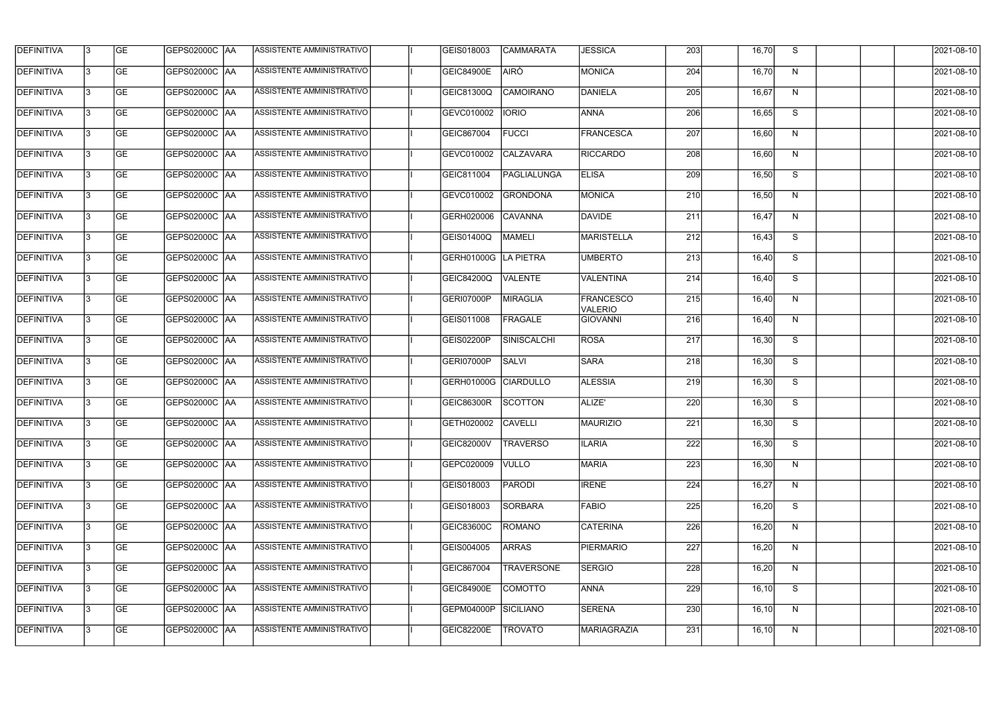| <b>DEFINITIVA</b> | 13  | <b>GE</b> | <b>GEPS02000C AA</b>   | ASSISTENTE AMMINISTRATIVO        | GEIS018003           | <b>CAMMARATA</b>   | <b>JESSICA</b>              | $\overline{203}$ | 16,70  | S  | 2021-08-10 |
|-------------------|-----|-----------|------------------------|----------------------------------|----------------------|--------------------|-----------------------------|------------------|--------|----|------------|
| DEFINITIVA        | l3  | <b>GE</b> | <b>GEPS02000C AA</b>   | ASSISTENTE AMMINISTRATIVO        | <b>GEIC84900E</b>    | <b>AIRÒ</b>        | <b>MONICA</b>               | 204              | 16,70  | N  | 2021-08-10 |
| <b>DEFINITIVA</b> | l3  | <b>GE</b> | <b>GEPS02000C AA</b>   | ASSISTENTE AMMINISTRATIVO        | GEIC81300Q           | <b>CAMOIRANO</b>   | DANIELA                     | 205              | 16,67  | N  | 2021-08-10 |
| <b>DEFINITIVA</b> | l3  | <b>GE</b> | <b>GEPS02000C AA</b>   | ASSISTENTE AMMINISTRATIVO        | GEVC010002           | <b>IORIO</b>       | <b>ANNA</b>                 | 206              | 16,65  | S  | 2021-08-10 |
| <b>DEFINITIVA</b> | l3  | <b>GE</b> | <b>GEPS02000C AA</b>   | ASSISTENTE AMMINISTRATIVO        | GEIC867004           | <b>FUCCI</b>       | FRANCESCA                   | 207              | 16,60  | N  | 2021-08-10 |
| <b>DEFINITIVA</b> | IЗ  | <b>GE</b> | <b>GEPS02000C AA</b>   | <b>ASSISTENTE AMMINISTRATIVO</b> | GEVC010002           | <b>CALZAVARA</b>   | <b>RICCARDO</b>             | 208              | 16,60  | N  | 2021-08-10 |
| <b>DEFINITIVA</b> | l3  | <b>GE</b> | <b>GEPS02000C AA</b>   | ASSISTENTE AMMINISTRATIVO        | GEIC811004           | <b>PAGLIALUNGA</b> | <b>ELISA</b>                | 209              | 16,50  | S  | 2021-08-10 |
| <b>DEFINITIVA</b> | l3  | <b>GE</b> | <b>GEPS02000C AA</b>   | ASSISTENTE AMMINISTRATIVO        | GEVC010002           | <b>GRONDONA</b>    | <b>MONICA</b>               | 210              | 16,50  | N  | 2021-08-10 |
| <b>DEFINITIVA</b> |     | <b>GE</b> | <b>GEPS02000C AA</b>   | ASSISTENTE AMMINISTRATIVO        | GERH020006           | <b>CAVANNA</b>     | DAVIDE                      | 211              | 16,47  | N  | 2021-08-10 |
| <b>DEFINITIVA</b> | l3  | <b>GE</b> | GEPS02000C AA          | ASSISTENTE AMMINISTRATIVO        | GEIS01400Q           | MAMELI             | <b>MARISTELLA</b>           | 212              | 16,43  | S  | 2021-08-10 |
| <b>DEFINITIVA</b> | l3  | <b>GE</b> | GEPS02000C AA          | ASSISTENTE AMMINISTRATIVO        | GERH01000G LA PIETRA |                    | <b>UMBERTO</b>              | 213              | 16,40  | S  | 2021-08-10 |
| <b>DEFINITIVA</b> | l3  | <b>GE</b> |                        | ASSISTENTE AMMINISTRATIVO        | GEIC84200Q           | <b>VALENTE</b>     | VALENTINA                   | 214              | 16,40  | S  | 2021-08-10 |
| <b>DEFINITIVA</b> | l3  | <b>GE</b> | GEPS02000C   AA        | ASSISTENTE AMMINISTRATIVO        | GERI07000P           | <b>MIRAGLIA</b>    | <b>FRANCESCO</b><br>VALERIO | 215              | 16,40  | N  | 2021-08-10 |
| <b>DEFINITIVA</b> | l3  | <b>GE</b> | GEPS02000C  AA         | ASSISTENTE AMMINISTRATIVO        | GEIS011008           | <b>FRAGALE</b>     | GIOVANNI                    | 216              | 16,40  | N  | 2021-08-10 |
| <b>DEFINITIVA</b> | l3  | <b>GE</b> |                        | ASSISTENTE AMMINISTRATIVO        | GEIS02200P           | SINISCALCHI        | ROSA                        | 217              | 16,30  | S  | 2021-08-10 |
| <b>DEFINITIVA</b> | IЗ  | <b>GE</b> | GEPS02000C  AA         | ASSISTENTE AMMINISTRATIVO        | GERI07000P           | <b>SALVI</b>       | <b>SARA</b>                 | 218              | 16,30  | S  | 2021-08-10 |
| <b>DEFINITIVA</b> | I3  | <b>GE</b> | <b>GEPS02000C   AA</b> | ASSISTENTE AMMINISTRATIVO        | GERH01000G           | <b>CIARDULLO</b>   | <b>ALESSIA</b>              | 219              | 16,30  | S  | 2021-08-10 |
| DEFINITIVA        |     | <b>GE</b> | GEPS02000C AA          | ASSISTENTE AMMINISTRATIVO        | GEIC86300R           | <b>SCOTTON</b>     | ALIZE'                      | 220              | 16,30  | S  | 2021-08-10 |
| <b>DEFINITIVA</b> | 13  | <b>GE</b> | GEPS02000C  AA         | ASSISTENTE AMMINISTRATIVO        | GETH020002 CAVELLI   |                    | <b>MAURIZIO</b>             | 221              | 16,30  | S. | 2021-08-10 |
| <b>DEFINITIVA</b> | 13  | <b>GE</b> | <b>GEPS02000C AA</b>   | ASSISTENTE AMMINISTRATIVO        | GEIC82000V           | <b>TRAVERSO</b>    | <b>ILARIA</b>               | 222              | 16,30  | S  | 2021-08-10 |
| <b>DEFINITIVA</b> | 13  | <b>GE</b> | GEPS02000C  AA         | ASSISTENTE AMMINISTRATIVO        | GEPC020009           | <b>VULLO</b>       | <b>MARIA</b>                | 223              | 16,30  | N  | 2021-08-10 |
| <b>DEFINITIVA</b> | 13. | <b>GE</b> | <b>GEPS02000C AA</b>   | ASSISTENTE AMMINISTRATIVO        | GEIS018003           | <b>PARODI</b>      | <b>IRENE</b>                | 224              | 16,27  | N  | 2021-08-10 |
| <b>DEFINITIVA</b> | 13  | <b>GE</b> | GEPS02000C AA          | ASSISTENTE AMMINISTRATIVO        | GEIS018003           | <b>SORBARA</b>     | <b>FABIO</b>                | 225              | 16,20  | S  | 2021-08-10 |
| <b>DEFINITIVA</b> | 13  | <b>GE</b> | GEPS02000C  AA         | ASSISTENTE AMMINISTRATIVO        | GEIC83600C           | ROMANO             | <b>CATERINA</b>             | 226              | 16,20  | N  | 2021-08-10 |
| <b>DEFINITIVA</b> | IЗ  | <b>GE</b> | GEPS02000C  AA         | ASSISTENTE AMMINISTRATIVO        | GEIS004005           | <b>ARRAS</b>       | <b>PIERMARIO</b>            | 227              | 16,20  | N  | 2021-08-10 |
| DEFINITIVA        | l3  | <b>GE</b> | GEPS02000C  AA         | ASSISTENTE AMMINISTRATIVO        | GEIC867004           | <b>TRAVERSONE</b>  | <b>SERGIO</b>               | 228              | 16,20  | N  | 2021-08-10 |
| <b>DEFINITIVA</b> | l3  | <b>GE</b> | GEPS02000C  AA         | ASSISTENTE AMMINISTRATIVO        | <b>GEIC84900E</b>    | COMOTTO            | ANNA                        | 229              | 16, 10 | S  | 2021-08-10 |
| <b>DEFINITIVA</b> | 13. | <b>GE</b> | GEPS02000C AA          | ASSISTENTE AMMINISTRATIVO        | GEPM04000P           | SICILIANO          | <b>SERENA</b>               | 230              | 16, 10 | N  | 2021-08-10 |
| <b>DEFINITIVA</b> | IЗ  | <b>GE</b> | GEPS02000C  AA         | ASSISTENTE AMMINISTRATIVO        | GEIC82200E           | <b>TROVATO</b>     | <b>MARIAGRAZIA</b>          | 231              | 16, 10 | N  | 2021-08-10 |
|                   |     |           |                        |                                  |                      |                    |                             |                  |        |    |            |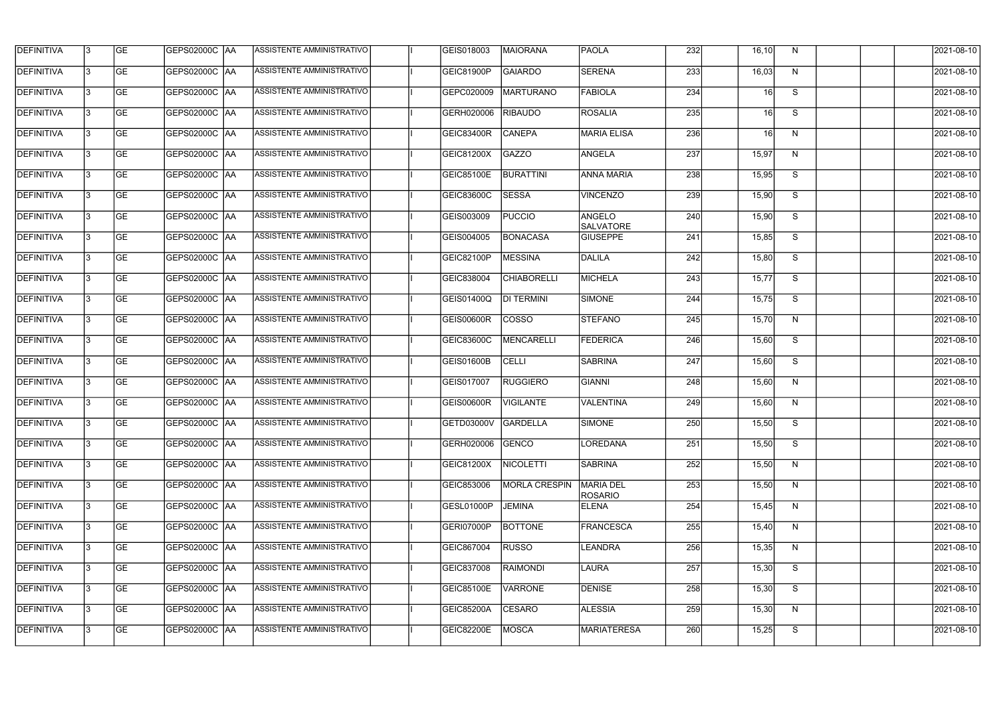| <b>DEFINITIVA</b> | l3 | GE        | GEPS02000C  AA       | ASSISTENTE AMMINISTRATIVO        | GEIS018003          | MAIORANA             | <b>PAOLA</b>                | 232              | 16, 10 | N  | 2021-08-10       |
|-------------------|----|-----------|----------------------|----------------------------------|---------------------|----------------------|-----------------------------|------------------|--------|----|------------------|
| <b>DEFINITIVA</b> | IЗ | GE        | GEPS02000C   AA      | ASSISTENTE AMMINISTRATIVO        | GEIC81900P          | GAIARDO              | <b>SERENA</b>               | 233              | 16,03  | N  | 2021-08-10       |
| <b>DEFINITIVA</b> | 13 | <b>GE</b> | <b>GEPS02000C AA</b> | ASSISTENTE AMMINISTRATIVO        | GEPC020009          | MARTURANO            | <b>FABIOLA</b>              | 234              | 16     | S  | 2021-08-10       |
| <b>DEFINITIVA</b> | l3 | <b>GE</b> | <b>GEPS02000C AA</b> | ASSISTENTE AMMINISTRATIVO        | GERH020006          | <b>RIBAUDO</b>       | ROSALIA                     | 235              | 16     | S  | 2021-08-10       |
| <b>DEFINITIVA</b> | l3 | GE        | GEPS02000C AA        | ASSISTENTE AMMINISTRATIVO        | <b>GEIC83400R</b>   | <b>CANEPA</b>        | <b>MARIA ELISA</b>          | 236              | 16     | N  | 2021-08-10       |
| <b>DEFINITIVA</b> | l3 | <b>GE</b> | <b>GEPS02000C AA</b> | <b>ASSISTENTE AMMINISTRATIVO</b> | GEIC81200X          | <b>GAZZO</b>         | <b>ANGELA</b>               | 237              | 15,97  | N  | 2021-08-10       |
| <b>DEFINITIVA</b> | IЗ | <b>GE</b> | GEPS02000C AA        | ASSISTENTE AMMINISTRATIVO        | GEIC85100E          | <b>BURATTINI</b>     | <b>ANNA MARIA</b>           | 238              | 15,95  | S  | 2021-08-10       |
| <b>DEFINITIVA</b> | l3 | <b>GE</b> | GEPS02000C AA        | <b>ASSISTENTE AMMINISTRATIVO</b> | GEIC83600C          | <b>SESSA</b>         | <b>VINCENZO</b>             | 239              | 15,90  | S  | 2021-08-10       |
| <b>DEFINITIVA</b> | IЗ | <b>GE</b> | GEPS02000C AA        | ASSISTENTE AMMINISTRATIVO        | GEIS003009          | <b>PUCCIO</b>        | ANGELO<br>SALVATORE         | 240              | 15,90  | S  | 2021-08-10       |
| <b>DEFINITIVA</b> | l3 | GE        | GEPS02000C   AA      | ASSISTENTE AMMINISTRATIVO        | GEIS004005          | <b>BONACASA</b>      | <b>GIUSEPPE</b>             | 241              | 15,85  | S  | 2021-08-10       |
| <b>DEFINITIVA</b> | 13 | <b>GE</b> | GEPS02000C AA        | ASSISTENTE AMMINISTRATIVO        | GEIC82100P          | MESSINA              | DALILA                      | 242              | 15,80  | S  | 2021-08-10       |
| <b>DEFINITIVA</b> | l3 | <b>GE</b> | GEPS02000C AA        | ASSISTENTE AMMINISTRATIVO        | GEIC838004          | <b>CHIABORELLI</b>   | MICHELA                     | 243              | 15,77  | S  | 2021-08-10       |
| <b>DEFINITIVA</b> | l3 | GE        | GEPS02000C  AA       | ASSISTENTE AMMINISTRATIVO        | GEIS01400Q          | <b>DI TERMINI</b>    | SIMONE                      | 244              | 15,75  | S  | 2021-08-10       |
| <b>DEFINITIVA</b> | l3 | <b>GE</b> | GEPS02000C AA        | ASSISTENTE AMMINISTRATIVO        | GEIS00600R          | <b>COSSO</b>         | <b>STEFANO</b>              | 245              | 15,70  | N  | 2021-08-10       |
| <b>DEFINITIVA</b> | l3 | <b>GE</b> | GEPS02000C AA        | ASSISTENTE AMMINISTRATIVO        | GEIC83600C          | MENCARELLI           | <b>FEDERICA</b>             | 246              | 15,60  | S  | 2021-08-10       |
| <b>DEFINITIVA</b> | l3 | GE        | <b>GEPS02000C AA</b> | ASSISTENTE AMMINISTRATIVO        | <b>GEIS01600B</b>   | <b>CELLI</b>         | <b>SABRINA</b>              | $\overline{247}$ | 15,60  | S  | 2021-08-10       |
| <b>DEFINITIVA</b> | l3 | <b>GE</b> | GEPS02000C   AA      | ASSISTENTE AMMINISTRATIVO        | GEIS017007          | <b>RUGGIERO</b>      | <b>GIANNI</b>               | 248              | 15,60  | N  | 2021-08-10       |
| <b>DEFINITIVA</b> | l3 | <b>GE</b> | GEPS02000C   AA      | ASSISTENTE AMMINISTRATIVO        | <b>GEIS00600R</b>   | <b>VIGILANTE</b>     | VALENTINA                   | 249              | 15,60  | N  | 2021-08-10       |
| <b>DEFINITIVA</b> | IЗ | GE        | GEPS02000C  AA       | <b>ASSISTENTE AMMINISTRATIVO</b> | GETD03000V GARDELLA |                      | <b>SIMONE</b>               | 250              | 15,50  | S. | 2021-08-10       |
| <b>DEFINITIVA</b> | l3 | GE        | <b>GEPS02000C AA</b> | ASSISTENTE AMMINISTRATIVO        | GERH020006          | GENCO                | LOREDANA                    | 251              | 15,50  | S  | 2021-08-10       |
| <b>DEFINITIVA</b> | l3 | GE        | GEPS02000C AA        | ASSISTENTE AMMINISTRATIVO        | GEIC81200X          | NICOLETTI            | <b>SABRINA</b>              | 252              | 15,50  | N  | 2021-08-10       |
| <b>DEFINITIVA</b> | 13 | <b>GE</b> | GEPS02000C AA        | ASSISTENTE AMMINISTRATIVO        | GEIC853006          | <b>MORLA CRESPIN</b> | <b>MARIA DEL</b><br>ROSARIO | 253              | 15,50  | N  | $2021 - 08 - 10$ |
| <b>DEFINITIVA</b> | l3 | <b>GE</b> | GEPS02000C AA        | ASSISTENTE AMMINISTRATIVO        | GESL01000P          | <b>JEMINA</b>        | ELENA                       | 254              | 15,45  | N  | 2021-08-10       |
| <b>DEFINITIVA</b> | 13 | <b>GE</b> | GEPS02000C AA        | ASSISTENTE AMMINISTRATIVO        | GERI07000P          | <b>BOTTONE</b>       | FRANCESCA                   | 255              | 15,40  | N  | 2021-08-10       |
| <b>DEFINITIVA</b> | l3 | <b>GE</b> | GEPS02000C  AA       | ASSISTENTE AMMINISTRATIVO        | GEIC867004          | <b>RUSSO</b>         | <b>LEANDRA</b>              | 256              | 15,35  | N  | 2021-08-10       |
| <b>DEFINITIVA</b> | l3 | <b>GE</b> | GEPS02000C AA        | ASSISTENTE AMMINISTRATIVO        | GEIC837008          | RAIMONDI             | <b>LAURA</b>                | 257              | 15,30  | S  | 2021-08-10       |
| <b>DEFINITIVA</b> | l3 | GE        | GEPS02000C  AA       | ASSISTENTE AMMINISTRATIVO        | <b>GEIC85100E</b>   | <b>VARRONE</b>       | <b>DENISE</b>               | 258              | 15,30  | S  | 2021-08-10       |
| <b>DEFINITIVA</b> | l3 | GE        | GEPS02000C AA        | ASSISTENTE AMMINISTRATIVO        | GEIC85200A          | <b>CESARO</b>        | <b>ALESSIA</b>              | 259              | 15,30  | N  | 2021-08-10       |
| <b>DEFINITIVA</b> | l3 | GE        | GEPS02000C AA        | ASSISTENTE AMMINISTRATIVO        | GEIC82200E          | MOSCA                | MARIATERESA                 | 260              | 15,25  | S  | 2021-08-10       |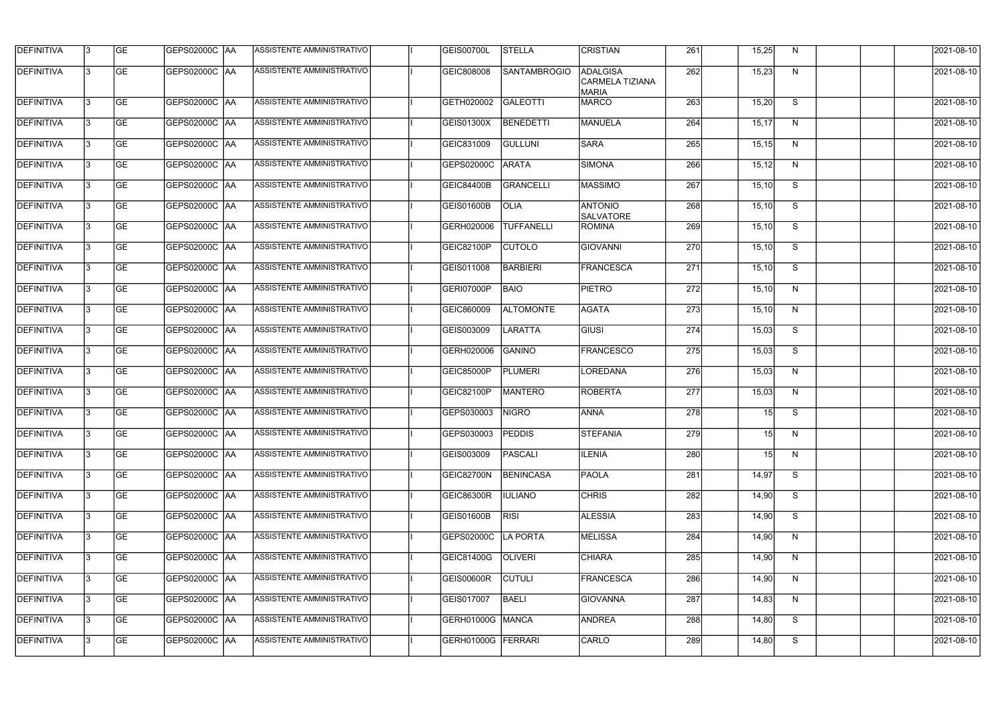| <b>DEFINITIVA</b> | l3 | GE        | GEPS02000C AA         | ASSISTENTE AMMINISTRATIVO        | <b>GEIS00700L</b> | <b>STELLA</b>       | <b>CRISTIAN</b>                             | 261 | 15,25  | N            | 2021-08-10 |
|-------------------|----|-----------|-----------------------|----------------------------------|-------------------|---------------------|---------------------------------------------|-----|--------|--------------|------------|
| <b>DEFINITIVA</b> | l3 | <b>GE</b> | GEPS02000C AA         | ASSISTENTE AMMINISTRATIVO        | GEIC808008        | <b>SANTAMBROGIO</b> | ADALGISA<br>CARMELA TIZIANA<br><b>MARIA</b> | 262 | 15,23  | N            | 2021-08-10 |
| <b>DEFINITIVA</b> | l3 | GE        | GEPS02000C AA         | <b>ASSISTENTE AMMINISTRATIVO</b> | GETH020002        | <b>GALEOTTI</b>     | MARCO                                       | 263 | 15,20  | S            | 2021-08-10 |
| <b>DEFINITIVA</b> | l3 | GE        | GEPS02000C AA         | ASSISTENTE AMMINISTRATIVO        | GEIS01300X        | BENEDETTI           | MANUELA                                     | 264 | 15,17  | N            | 2021-08-10 |
| <b>DEFINITIVA</b> | l3 | <b>GE</b> | GEPS02000C AA         | <b>ASSISTENTE AMMINISTRATIVO</b> | GEIC831009        | <b>GULLUNI</b>      | <b>SARA</b>                                 | 265 | 15, 15 | N            | 2021-08-10 |
| <b>DEFINITIVA</b> | l3 | GE        | <b>GEPS02000C AA</b>  | <b>ASSISTENTE AMMINISTRATIVO</b> | GEPS02000C        | <b>ARATA</b>        | SIMONA                                      | 266 | 15, 12 | N            | 2021-08-10 |
| <b>DEFINITIVA</b> | l3 | GE        | GEPS02000C  AA        | <b>ASSISTENTE AMMINISTRATIVO</b> | <b>GEIC84400B</b> | GRANCELLI           | <b>MASSIMO</b>                              | 267 | 15,10  | S            | 2021-08-10 |
| <b>DEFINITIVA</b> | IЗ | <b>GE</b> | GEPS02000C   AA       | ASSISTENTE AMMINISTRATIVO        | <b>GEIS01600B</b> | <b>OLIA</b>         | <b>ANTONIO</b><br><b>SALVATORE</b>          | 268 | 15,10  | S            | 2021-08-10 |
| <b>DEFINITIVA</b> | l3 | <b>GE</b> | GEPS02000C   AA       | <b>ASSISTENTE AMMINISTRATIVO</b> | GERH020006        | <b>TUFFANELLI</b>   | <b>ROMINA</b>                               | 269 | 15,10  | S            | 2021-08-10 |
| <b>DEFINITIVA</b> | l3 | <b>GE</b> | GEPS02000C AA         | ASSISTENTE AMMINISTRATIVO        | GEIC82100P        | <b>CUTOLO</b>       | <b>GIOVANNI</b>                             | 270 | 15,10  | S            | 2021-08-10 |
| <b>DEFINITIVA</b> | l3 | GE        | GEPS02000C AA         | ASSISTENTE AMMINISTRATIVO        | GEIS011008        | <b>BARBIERI</b>     | <b>FRANCESCA</b>                            | 271 | 15,10  | S            | 2021-08-10 |
| DEFINITIVA        | l3 | <b>GE</b> | GEPS02000C AA         | ASSISTENTE AMMINISTRATIVO        | GERI07000P        | <b>BAIO</b>         | <b>PIETRO</b>                               | 272 | 15,10  | N            | 2021-08-10 |
| <b>DEFINITIVA</b> | l3 | <b>GE</b> | GEPS02000C AA         | ASSISTENTE AMMINISTRATIVO        | GEIC860009        | <b>ALTOMONTE</b>    | <b>AGATA</b>                                | 273 | 15,10  | N            | 2021-08-10 |
| <b>DEFINITIVA</b> | IЗ | <b>GE</b> | GEPS02000C AA         | ASSISTENTE AMMINISTRATIVO        | GEIS003009        | <b>LARATTA</b>      | <b>GIUSI</b>                                | 274 | 15,03  | S            | 2021-08-10 |
| <b>DEFINITIVA</b> | 13 | GE        | GEPS02000C AA         | ASSISTENTE AMMINISTRATIVO        | GERH020006        | <b>GANINO</b>       | FRANCESCO                                   | 275 | 15,03  | S            | 2021-08-10 |
| <b>DEFINITIVA</b> | IЗ | <b>GE</b> | GEPS02000C   AA       | ASSISTENTE AMMINISTRATIVO        | <b>GEIC85000P</b> | PLUMERI             | LOREDANA                                    | 276 | 15,03  | N            | 2021-08-10 |
| <b>DEFINITIVA</b> | l3 | <b>GE</b> | GEPS02000C  AA        | ASSISTENTE AMMINISTRATIVO        | <b>GEIC82100P</b> | MANTERO             | ROBERTA                                     | 277 | 15,03  | N            | 2021-08-10 |
| <b>DEFINITIVA</b> | l3 | <b>GE</b> | GEPS02000C AA         | ASSISTENTE AMMINISTRATIVO        | GEPS030003        | <b>NIGRO</b>        | <b>ANNA</b>                                 | 278 | 15     | S            | 2021-08-10 |
| <b>DEFINITIVA</b> | l3 | GE        | <b>GEPS02000C JAA</b> | ASSISTENTE AMMINISTRATIVO        | GEPS030003        | <b>PEDDIS</b>       | STEFANIA                                    | 279 | 15     | N            | 2021-08-10 |
| <b>DEFINITIVA</b> | l3 | GE        | <b>GEPS02000C AA</b>  | ASSISTENTE AMMINISTRATIVO        | GEIS003009        | PASCALI             | <b>ILENIA</b>                               | 280 | 15     | $\mathsf{N}$ | 2021-08-10 |
| <b>DEFINITIVA</b> | l3 | <b>GE</b> | GEPS02000C AA         | ASSISTENTE AMMINISTRATIVO        | GEIC82700N        | <b>BENINCASA</b>    | <b>PAOLA</b>                                | 281 | 14,97  | S            | 2021-08-10 |
| <b>DEFINITIVA</b> | IЗ | GE        | GEPS02000C AA         | ASSISTENTE AMMINISTRATIVO        | <b>GEIC86300R</b> | <b>IULIANO</b>      | <b>CHRIS</b>                                | 282 | 14,90  | S            | 2021-08-10 |
| <b>DEFINITIVA</b> | 13 | <b>GE</b> | GEPS02000C AA         | ASSISTENTE AMMINISTRATIVO        | GEIS01600B        | <b>RISI</b>         | <b>ALESSIA</b>                              | 283 | 14,90  | S            | 2021-08-10 |
| <b>DEFINITIVA</b> | IЗ | <b>GE</b> | GEPS02000C  AA        | ASSISTENTE AMMINISTRATIVO        | GEPS02000C        | LA PORTA            | <b>MELISSA</b>                              | 284 | 14,90  | N            | 2021-08-10 |
| <b>DEFINITIVA</b> | l3 | <b>GE</b> | GEPS02000C  AA        | ASSISTENTE AMMINISTRATIVO        | <b>GEIC81400G</b> | <b>OLIVERI</b>      | <b>CHIARA</b>                               | 285 | 14,90  | N            | 2021-08-10 |
| <b>DEFINITIVA</b> | l3 | <b>GE</b> | GEPS02000C  AA        | ASSISTENTE AMMINISTRATIVO        | <b>GEIS00600R</b> | <b>CUTULI</b>       | <b>FRANCESCA</b>                            | 286 | 14,90  | N            | 2021-08-10 |
| <b>DEFINITIVA</b> | l3 | GE        | GEPS02000C AA         | ASSISTENTE AMMINISTRATIVO        | GEIS017007        | <b>BAELI</b>        | GIOVANNA                                    | 287 | 14,83  | N            | 2021-08-10 |
| <b>DEFINITIVA</b> | l3 | GE        | GEPS02000C  AA        | ASSISTENTE AMMINISTRATIVO        | GERH01000G        | <b>MANCA</b>        | ANDREA                                      | 288 | 14,80  | S            | 2021-08-10 |
| DEFINITIVA        | l3 | <b>GE</b> | GEPS02000C AA         | ASSISTENTE AMMINISTRATIVO        | GERH01000G        | FERRARI             | CARLO                                       | 289 | 14,80  | S            | 2021-08-10 |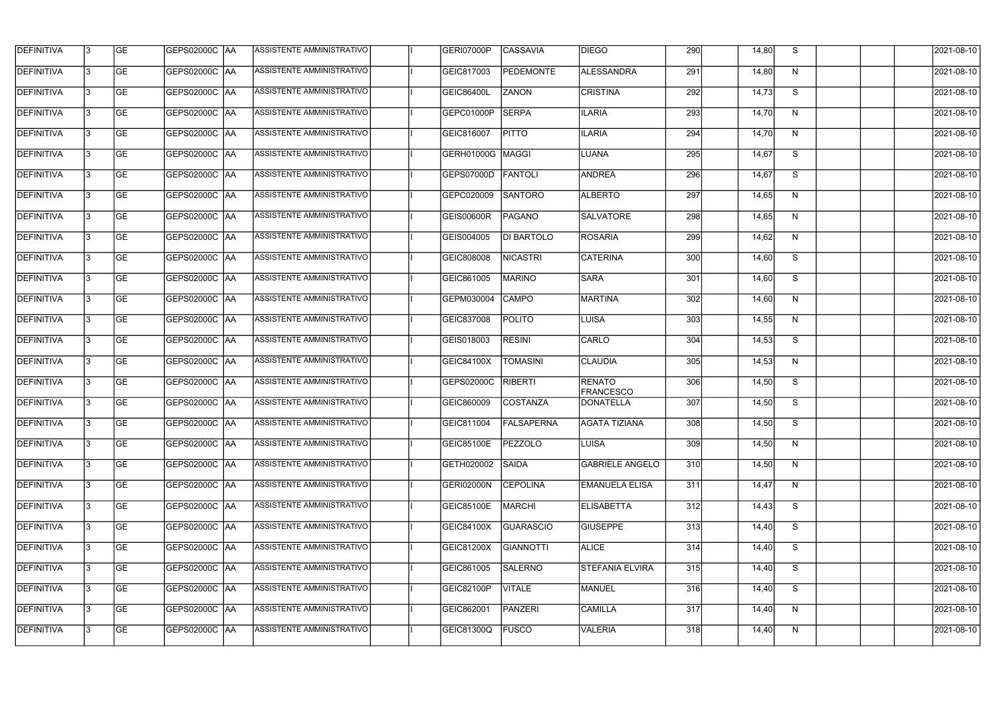| <b>GE</b><br><b>ALESSANDRA</b><br>291<br>DEFINITIVA<br>l3<br>GEPS02000C  AA<br>ASSISTENTE AMMINISTRATIVO<br>GEIC817003<br><b>PEDEMONTE</b><br>N<br>14,80<br><b>DEFINITIVA</b><br><b>GEPS02000C AA</b><br>ASSISTENTE AMMINISTRATIVO<br><b>ZANON</b><br><b>CRISTINA</b><br>292<br>S<br>l3<br><b>GE</b><br><b>GEIC86400L</b><br>14,73<br><b>DEFINITIVA</b><br><b>SERPA</b><br>293<br><b>GE</b><br> GEPS02000C  AA<br>ASSISTENTE AMMINISTRATIVO<br>GEPC01000P<br><b>ILARIA</b><br>14,70<br>$\mathsf{N}$<br>l3<br><b>GEPS02000C AA</b><br>ASSISTENTE AMMINISTRATIVO<br><b>PITTO</b><br><b>ILARIA</b><br>294<br>N<br><b>GE</b><br>GEIC816007<br>14,70<br>l3<br><b>ASSISTENTE AMMINISTRATIVO</b><br><b>GE</b><br><b>GEPS02000C AA</b><br>GERH01000G<br>MAGGI<br><b>LUANA</b><br>295<br>S<br>14,67<br>l3<br>ASSISTENTE AMMINISTRATIVO<br><b>ANDREA</b><br><b>GE</b><br><b>GEPS02000C AA</b><br>GEPS07000D<br><b>FANTOLI</b><br>296<br>S<br>14,67<br>l3<br><b>DEFINITIVA</b><br><b>GE</b><br><b>GEPS02000C AA</b><br>ASSISTENTE AMMINISTRATIVO<br><b>SANTORO</b><br><b>ALBERTO</b><br>297<br>GEPC020009<br>14,65<br>l3<br>N<br><b>DEFINITIVA</b><br><b>GE</b><br>ASSISTENTE AMMINISTRATIVO<br>GEPS02000C AA<br>GEIS00600R<br><b>PAGANO</b><br><b>SALVATORE</b><br>298<br>N<br>14,65<br><b>DEFINITIVA</b><br><b>GE</b><br>ASSISTENTE AMMINISTRATIVO<br>299<br>GEPS02000C AA<br>GEIS004005<br>DI BARTOLO<br><b>ROSARIA</b><br>14,62<br>l3<br>N<br><b>DEFINITIVA</b><br>GEPS02000C AA<br>ASSISTENTE AMMINISTRATIVO<br><b>NICASTRI</b><br><b>CATERINA</b><br>S<br><b>GE</b><br>GEIC808008<br>300<br>14,60<br>13<br><b>DEFINITIVA</b><br>ASSISTENTE AMMINISTRATIVO<br>S<br>l3<br><b>GE</b><br>GEPS02000C  AA<br>GEIC861005<br><b>MARINO</b><br><b>SARA</b><br>301<br>14,60<br><b>GE</b><br>GEPS02000C   AA<br>ASSISTENTE AMMINISTRATIVO<br><b>CAMPO</b><br>MARTINA<br>302<br>GEPM030004<br>14,60<br>N<br>l3<br><b>GE</b><br>GEPS02000C  AA<br>ASSISTENTE AMMINISTRATIVO<br><b>POLITO</b><br>LUISA<br>303<br>l3<br>GEIC837008<br>14,55<br>N<br><b>DEFINITIVA</b><br><b>GE</b><br>ASSISTENTE AMMINISTRATIVO<br><b>RESINI</b><br>CARLO<br>304<br>S<br>GEIS018003<br>14,53<br>l3<br><b>DEFINITIVA</b><br><b>CLAUDIA</b><br><b>GE</b><br> GEPS02000C  AA<br>ASSISTENTE AMMINISTRATIVO<br><b>TOMASINI</b><br>305<br>IЗ<br><b>GEIC84100X</b><br>14,53<br>N<br><b>DEFINITIVA</b><br><b>RENATO</b><br><b>GE</b><br>ASSISTENTE AMMINISTRATIVO<br>RIBERTI<br>306<br>S<br> GEPS02000C  AA<br>GEPS02000C<br>14,50<br>I3<br><b>FRANCESCO</b><br>DEFINITIVA<br><b>GE</b><br>ASSISTENTE AMMINISTRATIVO<br>COSTANZA<br>307<br>S<br>GEPS02000C  AA<br>GEIC860009<br>DONATELLA<br>14,50<br>13<br><b>GE</b><br><b>GEPS02000C   AA</b><br>ASSISTENTE AMMINISTRATIVO<br>GEIC811004<br><b>FALSAPERNA</b><br>AGATA TIZIANA<br>308<br>14,50<br>S.<br><b>GEPS02000C AA</b><br>13.<br><b>GE</b><br>ASSISTENTE AMMINISTRATIVO  <br>GEIC85100E<br>PEZZOLO<br>LUISA<br>309<br>14,50<br>N<br>13<br><b>GE</b><br> GEPS02000C  AA<br>ASSISTENTE AMMINISTRATIVO<br><b>SAIDA</b><br><b>GABRIELE ANGELO</b><br>310<br>GETH020002<br>14,50<br>N<br><b>GE</b><br><b>GEPS02000C AA</b><br>ASSISTENTE AMMINISTRATIVO<br><b>CEPOLINA</b><br>13.<br>GERI02000N<br><b>EMANUELA ELISA</b><br>311<br>14,47<br>N<br>13<br><b>GE</b><br>GEPS02000C AA<br>ASSISTENTE AMMINISTRATIVO<br>312<br>S<br>GEIC85100E<br>MARCHI<br><b>ELISABETTA</b><br>14,43<br><b>DEFINITIVA</b><br><b>GE</b><br>ASSISTENTE AMMINISTRATIVO<br>13<br>GEPS02000C  AA<br><b>GUARASCIO</b><br><b>GIUSEPPE</b><br>313<br>S<br>GEIC84100X<br>14,40<br><b>DEFINITIVA</b><br><b>GE</b><br>GEPS02000C  AA<br>ASSISTENTE AMMINISTRATIVO<br><b>GIANNOTTI</b><br><b>ALICE</b><br>314<br>S<br>IЗ<br>GEIC81200X<br>14,40<br><b>GE</b><br>ASSISTENTE AMMINISTRATIVO<br><b>SALERNO</b><br>315<br>DEFINITIVA<br>GEPS02000C  AA<br>GEIC861005<br><b>STEFANIA ELVIRA</b><br>14,40<br>S<br>l3<br><b>GE</b><br>ASSISTENTE AMMINISTRATIVO<br>l3<br>GEPS02000C  AA<br><b>VITALE</b><br>MANUEL<br>316<br>14,40<br>S<br><b>GEIC82100P</b><br>ASSISTENTE AMMINISTRATIVO<br><b>CAMILLA</b><br>317<br>13.<br><b>GE</b><br>GEPS02000C  AA<br>GEIC862001<br>PANZERI<br>14,40<br>N<br>ASSISTENTE AMMINISTRATIVO<br><b>VALERIA</b><br>318<br><b>GE</b><br>GEPS02000C  AA<br><b>FUSCO</b><br>GEIC81300Q<br>14,40<br>N | <b>DEFINITIVA</b> | 13 | <b>GE</b> | <b>GEPS02000C AA</b> | ASSISTENTE AMMINISTRATIVO | GERI07000P | <b>CASSAVIA</b> | <b>DIEGO</b> | 290 | 14,80 | S | 2021-08-10 |
|--------------------------------------------------------------------------------------------------------------------------------------------------------------------------------------------------------------------------------------------------------------------------------------------------------------------------------------------------------------------------------------------------------------------------------------------------------------------------------------------------------------------------------------------------------------------------------------------------------------------------------------------------------------------------------------------------------------------------------------------------------------------------------------------------------------------------------------------------------------------------------------------------------------------------------------------------------------------------------------------------------------------------------------------------------------------------------------------------------------------------------------------------------------------------------------------------------------------------------------------------------------------------------------------------------------------------------------------------------------------------------------------------------------------------------------------------------------------------------------------------------------------------------------------------------------------------------------------------------------------------------------------------------------------------------------------------------------------------------------------------------------------------------------------------------------------------------------------------------------------------------------------------------------------------------------------------------------------------------------------------------------------------------------------------------------------------------------------------------------------------------------------------------------------------------------------------------------------------------------------------------------------------------------------------------------------------------------------------------------------------------------------------------------------------------------------------------------------------------------------------------------------------------------------------------------------------------------------------------------------------------------------------------------------------------------------------------------------------------------------------------------------------------------------------------------------------------------------------------------------------------------------------------------------------------------------------------------------------------------------------------------------------------------------------------------------------------------------------------------------------------------------------------------------------------------------------------------------------------------------------------------------------------------------------------------------------------------------------------------------------------------------------------------------------------------------------------------------------------------------------------------------------------------------------------------------------------------------------------------------------------------------------------------------------------------------------------------------------------------------------------------------------------------------------------------------------------------------------------------------------------------------------------------------------------------------------------------------------------------------------------------------------------------------------------------------------------------------------------------------------------------------------------------------------------------------------------------------------------------------------------------------------------------------------|-------------------|----|-----------|----------------------|---------------------------|------------|-----------------|--------------|-----|-------|---|------------|
| <b>DEFINITIVA</b><br><b>DEFINITIVA</b>                                                                                                                                                                                                                                                                                                                                                                                                                                                                                                                                                                                                                                                                                                                                                                                                                                                                                                                                                                                                                                                                                                                                                                                                                                                                                                                                                                                                                                                                                                                                                                                                                                                                                                                                                                                                                                                                                                                                                                                                                                                                                                                                                                                                                                                                                                                                                                                                                                                                                                                                                                                                                                                                                                                                                                                                                                                                                                                                                                                                                                                                                                                                                                                                                                                                                                                                                                                                                                                                                                                                                                                                                                                                                                                                                                                                                                                                                                                                                                                                                                                                                                                                                                                                                                                           |                   |    |           |                      |                           |            |                 |              |     |       |   | 2021-08-10 |
|                                                                                                                                                                                                                                                                                                                                                                                                                                                                                                                                                                                                                                                                                                                                                                                                                                                                                                                                                                                                                                                                                                                                                                                                                                                                                                                                                                                                                                                                                                                                                                                                                                                                                                                                                                                                                                                                                                                                                                                                                                                                                                                                                                                                                                                                                                                                                                                                                                                                                                                                                                                                                                                                                                                                                                                                                                                                                                                                                                                                                                                                                                                                                                                                                                                                                                                                                                                                                                                                                                                                                                                                                                                                                                                                                                                                                                                                                                                                                                                                                                                                                                                                                                                                                                                                                                  |                   |    |           |                      |                           |            |                 |              |     |       |   | 2021-08-10 |
|                                                                                                                                                                                                                                                                                                                                                                                                                                                                                                                                                                                                                                                                                                                                                                                                                                                                                                                                                                                                                                                                                                                                                                                                                                                                                                                                                                                                                                                                                                                                                                                                                                                                                                                                                                                                                                                                                                                                                                                                                                                                                                                                                                                                                                                                                                                                                                                                                                                                                                                                                                                                                                                                                                                                                                                                                                                                                                                                                                                                                                                                                                                                                                                                                                                                                                                                                                                                                                                                                                                                                                                                                                                                                                                                                                                                                                                                                                                                                                                                                                                                                                                                                                                                                                                                                                  |                   |    |           |                      |                           |            |                 |              |     |       |   | 2021-08-10 |
| <b>DEFINITIVA</b><br><b>DEFINITIVA</b><br><b>DEFINITIVA</b><br><b>DEFINITIVA</b><br><b>DEFINITIVA</b><br><b>DEFINITIVA</b><br><b>DEFINITIVA</b><br><b>DEFINITIVA</b><br><b>DEFINITIVA</b><br><b>DEFINITIVA</b><br><b>DEFINITIVA</b>                                                                                                                                                                                                                                                                                                                                                                                                                                                                                                                                                                                                                                                                                                                                                                                                                                                                                                                                                                                                                                                                                                                                                                                                                                                                                                                                                                                                                                                                                                                                                                                                                                                                                                                                                                                                                                                                                                                                                                                                                                                                                                                                                                                                                                                                                                                                                                                                                                                                                                                                                                                                                                                                                                                                                                                                                                                                                                                                                                                                                                                                                                                                                                                                                                                                                                                                                                                                                                                                                                                                                                                                                                                                                                                                                                                                                                                                                                                                                                                                                                                              |                   |    |           |                      |                           |            |                 |              |     |       |   | 2021-08-10 |
|                                                                                                                                                                                                                                                                                                                                                                                                                                                                                                                                                                                                                                                                                                                                                                                                                                                                                                                                                                                                                                                                                                                                                                                                                                                                                                                                                                                                                                                                                                                                                                                                                                                                                                                                                                                                                                                                                                                                                                                                                                                                                                                                                                                                                                                                                                                                                                                                                                                                                                                                                                                                                                                                                                                                                                                                                                                                                                                                                                                                                                                                                                                                                                                                                                                                                                                                                                                                                                                                                                                                                                                                                                                                                                                                                                                                                                                                                                                                                                                                                                                                                                                                                                                                                                                                                                  |                   |    |           |                      |                           |            |                 |              |     |       |   | 2021-08-10 |
|                                                                                                                                                                                                                                                                                                                                                                                                                                                                                                                                                                                                                                                                                                                                                                                                                                                                                                                                                                                                                                                                                                                                                                                                                                                                                                                                                                                                                                                                                                                                                                                                                                                                                                                                                                                                                                                                                                                                                                                                                                                                                                                                                                                                                                                                                                                                                                                                                                                                                                                                                                                                                                                                                                                                                                                                                                                                                                                                                                                                                                                                                                                                                                                                                                                                                                                                                                                                                                                                                                                                                                                                                                                                                                                                                                                                                                                                                                                                                                                                                                                                                                                                                                                                                                                                                                  |                   |    |           |                      |                           |            |                 |              |     |       |   | 2021-08-10 |
|                                                                                                                                                                                                                                                                                                                                                                                                                                                                                                                                                                                                                                                                                                                                                                                                                                                                                                                                                                                                                                                                                                                                                                                                                                                                                                                                                                                                                                                                                                                                                                                                                                                                                                                                                                                                                                                                                                                                                                                                                                                                                                                                                                                                                                                                                                                                                                                                                                                                                                                                                                                                                                                                                                                                                                                                                                                                                                                                                                                                                                                                                                                                                                                                                                                                                                                                                                                                                                                                                                                                                                                                                                                                                                                                                                                                                                                                                                                                                                                                                                                                                                                                                                                                                                                                                                  |                   |    |           |                      |                           |            |                 |              |     |       |   | 2021-08-10 |
|                                                                                                                                                                                                                                                                                                                                                                                                                                                                                                                                                                                                                                                                                                                                                                                                                                                                                                                                                                                                                                                                                                                                                                                                                                                                                                                                                                                                                                                                                                                                                                                                                                                                                                                                                                                                                                                                                                                                                                                                                                                                                                                                                                                                                                                                                                                                                                                                                                                                                                                                                                                                                                                                                                                                                                                                                                                                                                                                                                                                                                                                                                                                                                                                                                                                                                                                                                                                                                                                                                                                                                                                                                                                                                                                                                                                                                                                                                                                                                                                                                                                                                                                                                                                                                                                                                  |                   |    |           |                      |                           |            |                 |              |     |       |   | 2021-08-10 |
|                                                                                                                                                                                                                                                                                                                                                                                                                                                                                                                                                                                                                                                                                                                                                                                                                                                                                                                                                                                                                                                                                                                                                                                                                                                                                                                                                                                                                                                                                                                                                                                                                                                                                                                                                                                                                                                                                                                                                                                                                                                                                                                                                                                                                                                                                                                                                                                                                                                                                                                                                                                                                                                                                                                                                                                                                                                                                                                                                                                                                                                                                                                                                                                                                                                                                                                                                                                                                                                                                                                                                                                                                                                                                                                                                                                                                                                                                                                                                                                                                                                                                                                                                                                                                                                                                                  |                   |    |           |                      |                           |            |                 |              |     |       |   | 2021-08-10 |
|                                                                                                                                                                                                                                                                                                                                                                                                                                                                                                                                                                                                                                                                                                                                                                                                                                                                                                                                                                                                                                                                                                                                                                                                                                                                                                                                                                                                                                                                                                                                                                                                                                                                                                                                                                                                                                                                                                                                                                                                                                                                                                                                                                                                                                                                                                                                                                                                                                                                                                                                                                                                                                                                                                                                                                                                                                                                                                                                                                                                                                                                                                                                                                                                                                                                                                                                                                                                                                                                                                                                                                                                                                                                                                                                                                                                                                                                                                                                                                                                                                                                                                                                                                                                                                                                                                  |                   |    |           |                      |                           |            |                 |              |     |       |   | 2021-08-10 |
|                                                                                                                                                                                                                                                                                                                                                                                                                                                                                                                                                                                                                                                                                                                                                                                                                                                                                                                                                                                                                                                                                                                                                                                                                                                                                                                                                                                                                                                                                                                                                                                                                                                                                                                                                                                                                                                                                                                                                                                                                                                                                                                                                                                                                                                                                                                                                                                                                                                                                                                                                                                                                                                                                                                                                                                                                                                                                                                                                                                                                                                                                                                                                                                                                                                                                                                                                                                                                                                                                                                                                                                                                                                                                                                                                                                                                                                                                                                                                                                                                                                                                                                                                                                                                                                                                                  |                   |    |           |                      |                           |            |                 |              |     |       |   | 2021-08-10 |
|                                                                                                                                                                                                                                                                                                                                                                                                                                                                                                                                                                                                                                                                                                                                                                                                                                                                                                                                                                                                                                                                                                                                                                                                                                                                                                                                                                                                                                                                                                                                                                                                                                                                                                                                                                                                                                                                                                                                                                                                                                                                                                                                                                                                                                                                                                                                                                                                                                                                                                                                                                                                                                                                                                                                                                                                                                                                                                                                                                                                                                                                                                                                                                                                                                                                                                                                                                                                                                                                                                                                                                                                                                                                                                                                                                                                                                                                                                                                                                                                                                                                                                                                                                                                                                                                                                  |                   |    |           |                      |                           |            |                 |              |     |       |   | 2021-08-10 |
|                                                                                                                                                                                                                                                                                                                                                                                                                                                                                                                                                                                                                                                                                                                                                                                                                                                                                                                                                                                                                                                                                                                                                                                                                                                                                                                                                                                                                                                                                                                                                                                                                                                                                                                                                                                                                                                                                                                                                                                                                                                                                                                                                                                                                                                                                                                                                                                                                                                                                                                                                                                                                                                                                                                                                                                                                                                                                                                                                                                                                                                                                                                                                                                                                                                                                                                                                                                                                                                                                                                                                                                                                                                                                                                                                                                                                                                                                                                                                                                                                                                                                                                                                                                                                                                                                                  |                   |    |           |                      |                           |            |                 |              |     |       |   | 2021-08-10 |
|                                                                                                                                                                                                                                                                                                                                                                                                                                                                                                                                                                                                                                                                                                                                                                                                                                                                                                                                                                                                                                                                                                                                                                                                                                                                                                                                                                                                                                                                                                                                                                                                                                                                                                                                                                                                                                                                                                                                                                                                                                                                                                                                                                                                                                                                                                                                                                                                                                                                                                                                                                                                                                                                                                                                                                                                                                                                                                                                                                                                                                                                                                                                                                                                                                                                                                                                                                                                                                                                                                                                                                                                                                                                                                                                                                                                                                                                                                                                                                                                                                                                                                                                                                                                                                                                                                  |                   |    |           |                      |                           |            |                 |              |     |       |   | 2021-08-10 |
|                                                                                                                                                                                                                                                                                                                                                                                                                                                                                                                                                                                                                                                                                                                                                                                                                                                                                                                                                                                                                                                                                                                                                                                                                                                                                                                                                                                                                                                                                                                                                                                                                                                                                                                                                                                                                                                                                                                                                                                                                                                                                                                                                                                                                                                                                                                                                                                                                                                                                                                                                                                                                                                                                                                                                                                                                                                                                                                                                                                                                                                                                                                                                                                                                                                                                                                                                                                                                                                                                                                                                                                                                                                                                                                                                                                                                                                                                                                                                                                                                                                                                                                                                                                                                                                                                                  |                   |    |           |                      |                           |            |                 |              |     |       |   | 2021-08-10 |
|                                                                                                                                                                                                                                                                                                                                                                                                                                                                                                                                                                                                                                                                                                                                                                                                                                                                                                                                                                                                                                                                                                                                                                                                                                                                                                                                                                                                                                                                                                                                                                                                                                                                                                                                                                                                                                                                                                                                                                                                                                                                                                                                                                                                                                                                                                                                                                                                                                                                                                                                                                                                                                                                                                                                                                                                                                                                                                                                                                                                                                                                                                                                                                                                                                                                                                                                                                                                                                                                                                                                                                                                                                                                                                                                                                                                                                                                                                                                                                                                                                                                                                                                                                                                                                                                                                  |                   |    |           |                      |                           |            |                 |              |     |       |   | 2021-08-10 |
|                                                                                                                                                                                                                                                                                                                                                                                                                                                                                                                                                                                                                                                                                                                                                                                                                                                                                                                                                                                                                                                                                                                                                                                                                                                                                                                                                                                                                                                                                                                                                                                                                                                                                                                                                                                                                                                                                                                                                                                                                                                                                                                                                                                                                                                                                                                                                                                                                                                                                                                                                                                                                                                                                                                                                                                                                                                                                                                                                                                                                                                                                                                                                                                                                                                                                                                                                                                                                                                                                                                                                                                                                                                                                                                                                                                                                                                                                                                                                                                                                                                                                                                                                                                                                                                                                                  |                   |    |           |                      |                           |            |                 |              |     |       |   | 2021-08-10 |
|                                                                                                                                                                                                                                                                                                                                                                                                                                                                                                                                                                                                                                                                                                                                                                                                                                                                                                                                                                                                                                                                                                                                                                                                                                                                                                                                                                                                                                                                                                                                                                                                                                                                                                                                                                                                                                                                                                                                                                                                                                                                                                                                                                                                                                                                                                                                                                                                                                                                                                                                                                                                                                                                                                                                                                                                                                                                                                                                                                                                                                                                                                                                                                                                                                                                                                                                                                                                                                                                                                                                                                                                                                                                                                                                                                                                                                                                                                                                                                                                                                                                                                                                                                                                                                                                                                  |                   |    |           |                      |                           |            |                 |              |     |       |   | 2021-08-10 |
|                                                                                                                                                                                                                                                                                                                                                                                                                                                                                                                                                                                                                                                                                                                                                                                                                                                                                                                                                                                                                                                                                                                                                                                                                                                                                                                                                                                                                                                                                                                                                                                                                                                                                                                                                                                                                                                                                                                                                                                                                                                                                                                                                                                                                                                                                                                                                                                                                                                                                                                                                                                                                                                                                                                                                                                                                                                                                                                                                                                                                                                                                                                                                                                                                                                                                                                                                                                                                                                                                                                                                                                                                                                                                                                                                                                                                                                                                                                                                                                                                                                                                                                                                                                                                                                                                                  |                   |    |           |                      |                           |            |                 |              |     |       |   | 2021-08-10 |
|                                                                                                                                                                                                                                                                                                                                                                                                                                                                                                                                                                                                                                                                                                                                                                                                                                                                                                                                                                                                                                                                                                                                                                                                                                                                                                                                                                                                                                                                                                                                                                                                                                                                                                                                                                                                                                                                                                                                                                                                                                                                                                                                                                                                                                                                                                                                                                                                                                                                                                                                                                                                                                                                                                                                                                                                                                                                                                                                                                                                                                                                                                                                                                                                                                                                                                                                                                                                                                                                                                                                                                                                                                                                                                                                                                                                                                                                                                                                                                                                                                                                                                                                                                                                                                                                                                  |                   |    |           |                      |                           |            |                 |              |     |       |   | 2021-08-10 |
|                                                                                                                                                                                                                                                                                                                                                                                                                                                                                                                                                                                                                                                                                                                                                                                                                                                                                                                                                                                                                                                                                                                                                                                                                                                                                                                                                                                                                                                                                                                                                                                                                                                                                                                                                                                                                                                                                                                                                                                                                                                                                                                                                                                                                                                                                                                                                                                                                                                                                                                                                                                                                                                                                                                                                                                                                                                                                                                                                                                                                                                                                                                                                                                                                                                                                                                                                                                                                                                                                                                                                                                                                                                                                                                                                                                                                                                                                                                                                                                                                                                                                                                                                                                                                                                                                                  |                   |    |           |                      |                           |            |                 |              |     |       |   | 2021-08-10 |
|                                                                                                                                                                                                                                                                                                                                                                                                                                                                                                                                                                                                                                                                                                                                                                                                                                                                                                                                                                                                                                                                                                                                                                                                                                                                                                                                                                                                                                                                                                                                                                                                                                                                                                                                                                                                                                                                                                                                                                                                                                                                                                                                                                                                                                                                                                                                                                                                                                                                                                                                                                                                                                                                                                                                                                                                                                                                                                                                                                                                                                                                                                                                                                                                                                                                                                                                                                                                                                                                                                                                                                                                                                                                                                                                                                                                                                                                                                                                                                                                                                                                                                                                                                                                                                                                                                  |                   |    |           |                      |                           |            |                 |              |     |       |   | 2021-08-10 |
|                                                                                                                                                                                                                                                                                                                                                                                                                                                                                                                                                                                                                                                                                                                                                                                                                                                                                                                                                                                                                                                                                                                                                                                                                                                                                                                                                                                                                                                                                                                                                                                                                                                                                                                                                                                                                                                                                                                                                                                                                                                                                                                                                                                                                                                                                                                                                                                                                                                                                                                                                                                                                                                                                                                                                                                                                                                                                                                                                                                                                                                                                                                                                                                                                                                                                                                                                                                                                                                                                                                                                                                                                                                                                                                                                                                                                                                                                                                                                                                                                                                                                                                                                                                                                                                                                                  |                   |    |           |                      |                           |            |                 |              |     |       |   | 2021-08-10 |
|                                                                                                                                                                                                                                                                                                                                                                                                                                                                                                                                                                                                                                                                                                                                                                                                                                                                                                                                                                                                                                                                                                                                                                                                                                                                                                                                                                                                                                                                                                                                                                                                                                                                                                                                                                                                                                                                                                                                                                                                                                                                                                                                                                                                                                                                                                                                                                                                                                                                                                                                                                                                                                                                                                                                                                                                                                                                                                                                                                                                                                                                                                                                                                                                                                                                                                                                                                                                                                                                                                                                                                                                                                                                                                                                                                                                                                                                                                                                                                                                                                                                                                                                                                                                                                                                                                  |                   |    |           |                      |                           |            |                 |              |     |       |   | 2021-08-10 |
|                                                                                                                                                                                                                                                                                                                                                                                                                                                                                                                                                                                                                                                                                                                                                                                                                                                                                                                                                                                                                                                                                                                                                                                                                                                                                                                                                                                                                                                                                                                                                                                                                                                                                                                                                                                                                                                                                                                                                                                                                                                                                                                                                                                                                                                                                                                                                                                                                                                                                                                                                                                                                                                                                                                                                                                                                                                                                                                                                                                                                                                                                                                                                                                                                                                                                                                                                                                                                                                                                                                                                                                                                                                                                                                                                                                                                                                                                                                                                                                                                                                                                                                                                                                                                                                                                                  |                   |    |           |                      |                           |            |                 |              |     |       |   | 2021-08-10 |
|                                                                                                                                                                                                                                                                                                                                                                                                                                                                                                                                                                                                                                                                                                                                                                                                                                                                                                                                                                                                                                                                                                                                                                                                                                                                                                                                                                                                                                                                                                                                                                                                                                                                                                                                                                                                                                                                                                                                                                                                                                                                                                                                                                                                                                                                                                                                                                                                                                                                                                                                                                                                                                                                                                                                                                                                                                                                                                                                                                                                                                                                                                                                                                                                                                                                                                                                                                                                                                                                                                                                                                                                                                                                                                                                                                                                                                                                                                                                                                                                                                                                                                                                                                                                                                                                                                  |                   |    |           |                      |                           |            |                 |              |     |       |   | 2021-08-10 |
|                                                                                                                                                                                                                                                                                                                                                                                                                                                                                                                                                                                                                                                                                                                                                                                                                                                                                                                                                                                                                                                                                                                                                                                                                                                                                                                                                                                                                                                                                                                                                                                                                                                                                                                                                                                                                                                                                                                                                                                                                                                                                                                                                                                                                                                                                                                                                                                                                                                                                                                                                                                                                                                                                                                                                                                                                                                                                                                                                                                                                                                                                                                                                                                                                                                                                                                                                                                                                                                                                                                                                                                                                                                                                                                                                                                                                                                                                                                                                                                                                                                                                                                                                                                                                                                                                                  |                   |    |           |                      |                           |            |                 |              |     |       |   | 2021-08-10 |
|                                                                                                                                                                                                                                                                                                                                                                                                                                                                                                                                                                                                                                                                                                                                                                                                                                                                                                                                                                                                                                                                                                                                                                                                                                                                                                                                                                                                                                                                                                                                                                                                                                                                                                                                                                                                                                                                                                                                                                                                                                                                                                                                                                                                                                                                                                                                                                                                                                                                                                                                                                                                                                                                                                                                                                                                                                                                                                                                                                                                                                                                                                                                                                                                                                                                                                                                                                                                                                                                                                                                                                                                                                                                                                                                                                                                                                                                                                                                                                                                                                                                                                                                                                                                                                                                                                  |                   |    |           |                      |                           |            |                 |              |     |       |   | 2021-08-10 |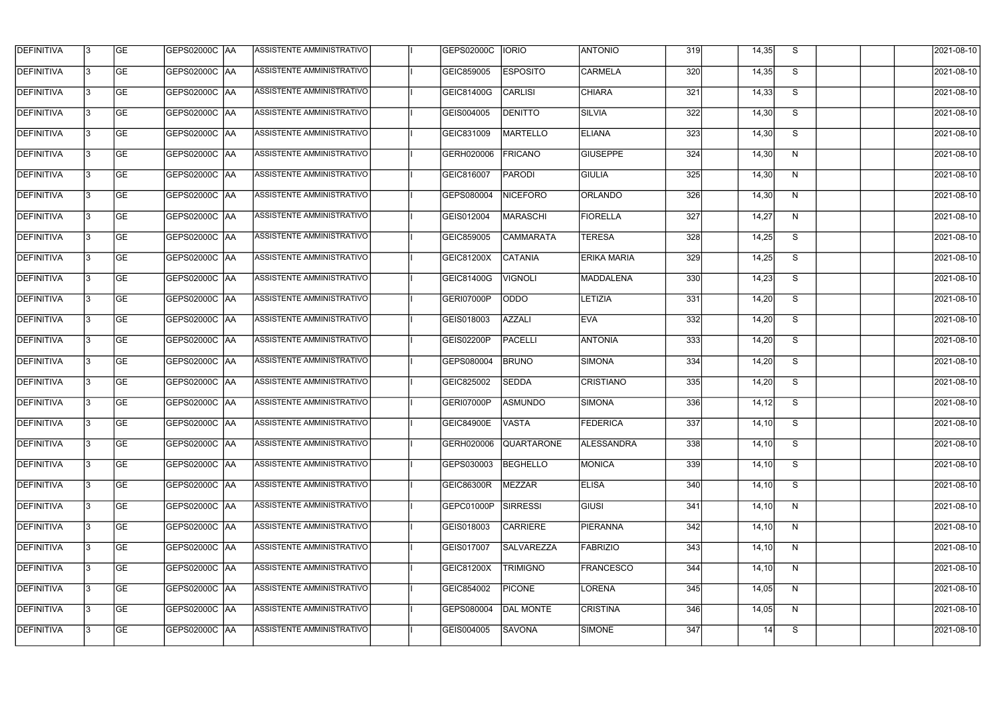| <b>DEFINITIVA</b> | 13  | <b>GE</b> | <b>GEPS02000C AA</b> | ASSISTENTE AMMINISTRATIVO        | GEPS02000C        | <b>IORIO</b>      | <b>ANTONIO</b>     | 319   | 14,35 | S                       | 2021-08-10 |
|-------------------|-----|-----------|----------------------|----------------------------------|-------------------|-------------------|--------------------|-------|-------|-------------------------|------------|
| <b>DEFINITIVA</b> | l3  | <b>GE</b> | <b>GEPS02000C AA</b> | ASSISTENTE AMMINISTRATIVO        | GEIC859005        | <b>ESPOSITO</b>   | <b>CARMELA</b>     | 320   | 14,35 | S                       | 2021-08-10 |
| <b>DEFINITIVA</b> | l3  | <b>GE</b> | GEPS02000C AA        | ASSISTENTE AMMINISTRATIVO        | GEIC81400G        | <b>CARLISI</b>    | <b>CHIARA</b>      | 321   | 14,33 | S                       | 2021-08-10 |
| <b>DEFINITIVA</b> | l3  | <b>GE</b> | <b>GEPS02000C AA</b> | ASSISTENTE AMMINISTRATIVO        | GEIS004005        | <b>DENITTO</b>    | <b>SILVIA</b>      | 322   | 14,30 | S                       | 2021-08-10 |
| <b>DEFINITIVA</b> | l3  | <b>GE</b> | <b>GEPS02000C AA</b> | ASSISTENTE AMMINISTRATIVO        | GEIC831009        | <b>MARTELLO</b>   | <b>ELIANA</b>      | 323   | 14,30 | $\overline{\mathsf{s}}$ | 2021-08-10 |
| <b>DEFINITIVA</b> | l3  | <b>GE</b> | <b>GEPS02000C AA</b> | <b>ASSISTENTE AMMINISTRATIVO</b> | GERH020006        | <b>FRICANO</b>    | <b>GIUSEPPE</b>    | 324   | 14,30 | N                       | 2021-08-10 |
| <b>DEFINITIVA</b> | l3  | <b>GE</b> | GEPS02000C AA        | <b>ASSISTENTE AMMINISTRATIVO</b> | GEIC816007        | <b>PARODI</b>     | <b>GIULIA</b>      | 325   | 14,30 | N                       | 2021-08-10 |
| <b>DEFINITIVA</b> | l3  | <b>GE</b> | <b>GEPS02000C AA</b> | ASSISTENTE AMMINISTRATIVO        | GEPS080004        | <b>NICEFORO</b>   | <b>ORLANDO</b>     | 326   | 14,30 | N                       | 2021-08-10 |
| <b>DEFINITIVA</b> |     | <b>GE</b> | GEPS02000C  AA       | ASSISTENTE AMMINISTRATIVO        | GEIS012004        | MARASCHI          | <b>FIORELLA</b>    | 327   | 14,27 | N                       | 2021-08-10 |
| <b>DEFINITIVA</b> | l3  | <b>GE</b> | GEPS02000C  AA       | ASSISTENTE AMMINISTRATIVO        | GEIC859005        | <b>CAMMARATA</b>  | <b>TERESA</b>      | 328   | 14,25 | S                       | 2021-08-10 |
| <b>DEFINITIVA</b> | 13  | <b>GE</b> | GEPS02000C AA        | ASSISTENTE AMMINISTRATIVO        | GEIC81200X        | <b>CATANIA</b>    | <b>ERIKA MARIA</b> | 329   | 14,25 | S                       | 2021-08-10 |
| <b>DEFINITIVA</b> | l3  | <b>GE</b> |                      | ASSISTENTE AMMINISTRATIVO        | GEIC81400G        | <b>VIGNOLI</b>    | MADDALENA          | 330   | 14,23 | S                       | 2021-08-10 |
| <b>DEFINITIVA</b> | l3  | <b>GE</b> | GEPS02000C AA        | ASSISTENTE AMMINISTRATIVO        | GERI07000P        | OODO              | <b>LETIZIA</b>     | 331   | 14,20 | S                       | 2021-08-10 |
| <b>DEFINITIVA</b> | l3  | <b>GE</b> | GEPS02000C  AA       | ASSISTENTE AMMINISTRATIVO        | GEIS018003        | <b>AZZALI</b>     | <b>EVA</b>         | 332   | 14,20 | S                       | 2021-08-10 |
| <b>DEFINITIVA</b> | l3  | <b>GE</b> | GEPS02000C  AA       | ASSISTENTE AMMINISTRATIVO        | GEIS02200P        | <b>PACELLI</b>    | <b>ANTONIA</b>     | 333   | 14,20 | S                       | 2021-08-10 |
| <b>DEFINITIVA</b> | IЗ  | <b>GE</b> |                      | ASSISTENTE AMMINISTRATIVO        | GEPS080004        | <b>BRUNO</b>      | <b>SIMONA</b>      | $334$ | 14,20 | S                       | 2021-08-10 |
| <b>DEFINITIVA</b> | I3  | <b>GE</b> | GEPS02000C  AA       | ASSISTENTE AMMINISTRATIVO        | GEIC825002        | <b>SEDDA</b>      | <b>CRISTIANO</b>   | 335   | 14,20 | S                       | 2021-08-10 |
| DEFINITIVA        |     | <b>GE</b> | GEPS02000C  AA       | ASSISTENTE AMMINISTRATIVO        | GERI07000P        | <b>ASMUNDO</b>    | <b>SIMONA</b>      | 336   | 14,12 | S                       | 2021-08-10 |
| <b>DEFINITIVA</b> | 13  | <b>GE</b> | GEPS02000C  AA       | ASSISTENTE AMMINISTRATIVO        | GEIC84900E        | <b>VASTA</b>      | <b>FEDERICA</b>    | 337   | 14,10 | S                       | 2021-08-10 |
| <b>DEFINITIVA</b> | 13  | <b>GE</b> | <b>GEPS02000C AA</b> | ASSISTENTE AMMINISTRATIVO        | GERH020006        | <b>QUARTARONE</b> | <b>ALESSANDRA</b>  | 338   | 14,10 | S                       | 2021-08-10 |
| <b>DEFINITIVA</b> | 13  | <b>GE</b> | GEPS02000C  AA       | ASSISTENTE AMMINISTRATIVO        | GEPS030003        | <b>BEGHELLO</b>   | MONICA             | 339   | 14,10 | S                       | 2021-08-10 |
| <b>DEFINITIVA</b> | 13  | <b>GE</b> | <b>GEPS02000C AA</b> | ASSISTENTE AMMINISTRATIVO        | <b>GEIC86300R</b> | MEZZAR            | <b>ELISA</b>       | 340   | 14,10 | S                       | 2021-08-10 |
| <b>DEFINITIVA</b> | 13  | <b>GE</b> | GEPS02000C AA        | ASSISTENTE AMMINISTRATIVO        | GEPC01000P        | <b>SIRRESSI</b>   | <b>GIUSI</b>       | 341   | 14,10 | N                       | 2021-08-10 |
| <b>DEFINITIVA</b> | 13  | <b>GE</b> | <b>GEPS02000C AA</b> | ASSISTENTE AMMINISTRATIVO        | GEIS018003        | <b>CARRIERE</b>   | <b>PIERANNA</b>    | 342   | 14,10 | N                       | 2021-08-10 |
| <b>DEFINITIVA</b> | IЗ  | <b>GE</b> | GEPS02000C  AA       | ASSISTENTE AMMINISTRATIVO        | GEIS017007        | SALVAREZZA        | <b>FABRIZIO</b>    | 343   | 14,10 | N                       | 2021-08-10 |
| DEFINITIVA        | IЗ  | <b>GE</b> | GEPS02000C  AA       | ASSISTENTE AMMINISTRATIVO        | GEIC81200X        | <b>TRIMIGNO</b>   | <b>FRANCESCO</b>   | 344   | 14,10 | N                       | 2021-08-10 |
| <b>DEFINITIVA</b> | l3  | <b>GE</b> | GEPS02000C  AA       | ASSISTENTE AMMINISTRATIVO        | GEIC854002        | <b>PICONE</b>     | LORENA             | 345   | 14,05 | N                       | 2021-08-10 |
| <b>DEFINITIVA</b> | 13. | <b>GE</b> | GEPS02000C  AA       | ASSISTENTE AMMINISTRATIVO        | GEPS080004        | <b>DAL MONTE</b>  | <b>CRISTINA</b>    | 346   | 14,05 | N                       | 2021-08-10 |
| <b>DEFINITIVA</b> | l3  | <b>GE</b> | GEPS02000C  AA       | ASSISTENTE AMMINISTRATIVO        | GEIS004005        | <b>SAVONA</b>     | SIMONE             | 347   | 14    | S                       | 2021-08-10 |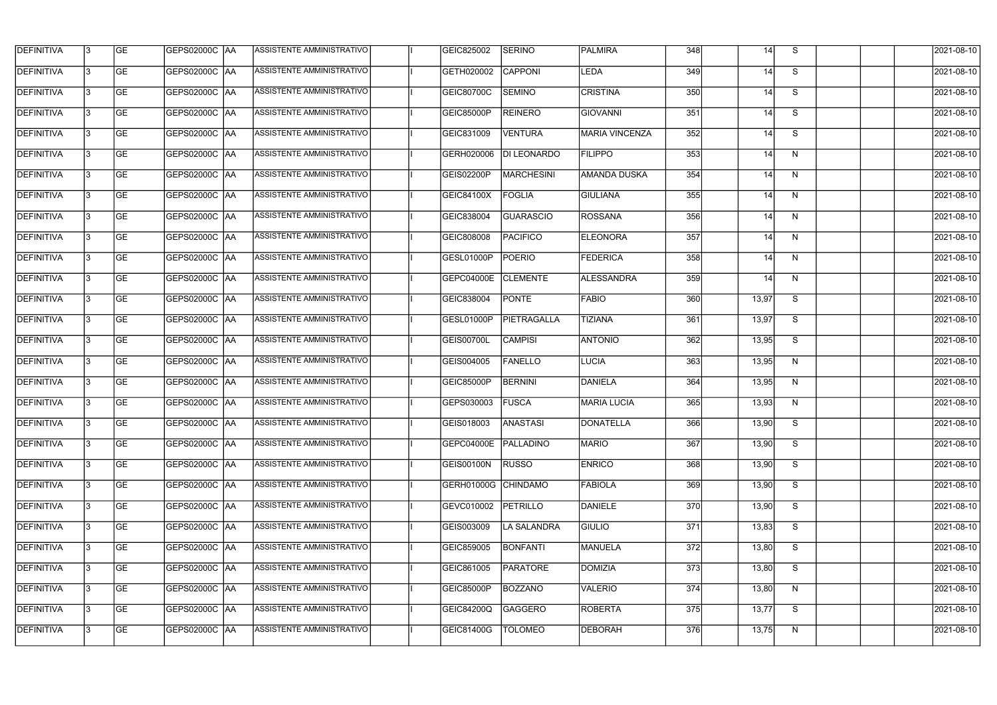| <b>DEFINITIVA</b> | 13 | GE        | GEPS02000C  AA       | ASSISTENTE AMMINISTRATIVO        | GEIC825002          | <b>SERINO</b>      | PALMIRA               | 348 | 14    | S | 2021-08-10          |
|-------------------|----|-----------|----------------------|----------------------------------|---------------------|--------------------|-----------------------|-----|-------|---|---------------------|
| <b>DEFINITIVA</b> | 13 | GE        | GEPS02000C AA        | ASSISTENTE AMMINISTRATIVO        | GETH020002          | <b>CAPPONI</b>     | LEDA                  | 349 | 14    | S | 2021-08-10          |
| <b>DEFINITIVA</b> | l3 | <b>GE</b> | <b>GEPS02000C AA</b> | <b>ASSISTENTE AMMINISTRATIVO</b> | GEIC80700C          | <b>SEMINO</b>      | <b>CRISTINA</b>       | 350 | 14    | S | 2021-08-10          |
| <b>DEFINITIVA</b> | l3 | GE        | GEPS02000C  AA       | ASSISTENTE AMMINISTRATIVO        | <b>GEIC85000P</b>   | <b>REINERO</b>     | <b>GIOVANNI</b>       | 351 | 14    | S | 2021-08-10          |
| <b>DEFINITIVA</b> | l3 | GE        | GEPS02000C AA        | <b>ASSISTENTE AMMINISTRATIVO</b> | GEIC831009          | <b>VENTURA</b>     | <b>MARIA VINCENZA</b> | 352 | 14    | S | 2021-08-10          |
| <b>DEFINITIVA</b> | l3 | GE        | GEPS02000C AA        | <b>ASSISTENTE AMMINISTRATIVO</b> | GERH020006          | <b>DI LEONARDO</b> | <b>FILIPPO</b>        | 353 | 14    | N | 2021-08-10          |
| <b>DEFINITIVA</b> | l3 | <b>GE</b> | <b>GEPS02000C AA</b> | <b>ASSISTENTE AMMINISTRATIVO</b> | <b>GEIS02200P</b>   | MARCHESINI         | <b>AMANDA DUSKA</b>   | 354 | 14    | N | 2021-08-10          |
| <b>DEFINITIVA</b> | l3 | <b>GE</b> | GEPS02000C  AA       | ASSISTENTE AMMINISTRATIVO        | GEIC84100X          | FOGLIA             | <b>GIULIANA</b>       | 355 | 14    | N | 2021-08-10          |
| <b>DEFINITIVA</b> | l3 | GE        | GEPS02000C   AA      | ASSISTENTE AMMINISTRATIVO        | GEIC838004          | <b>GUARASCIO</b>   | ROSSANA               | 356 | 14    | N | 2021-08-10          |
| <b>DEFINITIVA</b> | 13 | GE        | GEPS02000C AA        | ASSISTENTE AMMINISTRATIVO        | GEIC808008          | PACIFICO           | <b>ELEONORA</b>       | 357 | 14    | N | 2021-08-10          |
| <b>DEFINITIVA</b> | l3 | <b>GE</b> | GEPS02000C AA        | ASSISTENTE AMMINISTRATIVO        | GESL01000P          | POERIO             | <b>FEDERICA</b>       | 358 | 14    | N | 2021-08-10          |
| DEFINITIVA        | l3 | <b>GE</b> | GEPS02000C   AA      | ASSISTENTE AMMINISTRATIVO        | <b>GEPC04000E</b>   | <b>CLEMENTE</b>    | ALESSANDRA            | 359 | 14    | N | 2021-08-10          |
| <b>DEFINITIVA</b> | l3 | GE        | GEPS02000C AA        | ASSISTENTE AMMINISTRATIVO        | GEIC838004          | <b>PONTE</b>       | <b>FABIO</b>          | 360 | 13,97 | S | 2021-08-10          |
| <b>DEFINITIVA</b> | l3 | <b>GE</b> | GEPS02000C AA        | ASSISTENTE AMMINISTRATIVO        | GESL01000P          | PIETRAGALLA        | <b>TIZIANA</b>        | 361 | 13,97 | S | 2021-08-10          |
| <b>DEFINITIVA</b> | 13 | <b>GE</b> | GEPS02000C AA        | ASSISTENTE AMMINISTRATIVO        | GEIS00700L          | <b>CAMPISI</b>     | <b>ANTONIO</b>        | 362 | 13,95 | S | 2021-08-10          |
| <b>DEFINITIVA</b> | l3 | GE        | GEPS02000C   AA      | ASSISTENTE AMMINISTRATIVO        | GEIS004005          | FANELLO            | <b>LUCIA</b>          | 363 | 13,95 | N | 2021-08-10          |
| <b>DEFINITIVA</b> | l3 | <b>GE</b> | GEPS02000C  AA       | ASSISTENTE AMMINISTRATIVO        | <b>GEIC85000P</b>   | <b>BERNINI</b>     | DANIELA               | 364 | 13,95 | N | 2021-08-10          |
| <b>DEFINITIVA</b> | IЗ | <b>GE</b> | GEPS02000C   AA      | ASSISTENTE AMMINISTRATIVO        | GEPS030003          | <b>FUSCA</b>       | MARIA LUCIA           | 365 | 13,93 | N | 2021-08-10          |
| <b>DEFINITIVA</b> | 13 | GE        | GEPS02000C  AA       | ASSISTENTE AMMINISTRATIVO        | GEIS018003          | ANASTASI           | <b>DONATELLA</b>      | 366 | 13,90 | S | 2021-08-10          |
| <b>DEFINITIVA</b> | l3 | GE        | <b>GEPS02000C AA</b> | ASSISTENTE AMMINISTRATIVO        | <b>GEPC04000E</b>   | PALLADINO          | <b>MARIO</b>          | 367 | 13,90 | S | 2021-08-10          |
| <b>DEFINITIVA</b> | l3 | <b>GE</b> | <b>GEPS02000C AA</b> | ASSISTENTE AMMINISTRATIVO        | GEIS00100N          | <b>RUSSO</b>       | <b>ENRICO</b>         | 368 | 13,90 | S | $\sqrt{2021-08-10}$ |
| <b>DEFINITIVA</b> | l3 | <b>GE</b> | GEPS02000C AA        | ASSISTENTE AMMINISTRATIVO        | GERH01000G CHINDAMO |                    | <b>FABIOLA</b>        | 369 | 13,90 | S | 2021-08-10          |
| <b>DEFINITIVA</b> | 13 | <b>GE</b> | GEPS02000C AA        | ASSISTENTE AMMINISTRATIVO        | GEVC010002          | PETRILLO           | DANIELE               | 370 | 13,90 | S | 2021-08-10          |
| <b>DEFINITIVA</b> | l3 | <b>GE</b> | GEPS02000C  AA       | ASSISTENTE AMMINISTRATIVO        | GEIS003009          | LA SALANDRA        | <b>GIULIO</b>         | 371 | 13,83 | S | 2021-08-10          |
| <b>DEFINITIVA</b> | l3 | GE        | GEPS02000C  AA       | ASSISTENTE AMMINISTRATIVO        | GEIC859005          | BONFANTI           | <b>MANUELA</b>        | 372 | 13,80 | S | 2021-08-10          |
| <b>DEFINITIVA</b> | l3 | GE        | GEPS02000C  AA       | ASSISTENTE AMMINISTRATIVO        | GEIC861005          | <b>PARATORE</b>    | DOMIZIA               | 373 | 13,80 | S | 2021-08-10          |
| <b>DEFINITIVA</b> | l3 | GE        | GEPS02000C AA        | ASSISTENTE AMMINISTRATIVO        | <b>GEIC85000P</b>   | BOZZANO            | VALERIO               | 374 | 13,80 | N | 2021-08-10          |
| <b>DEFINITIVA</b> | 13 | GE        | GEPS02000C  AA       | ASSISTENTE AMMINISTRATIVO        | GEIC84200Q          | <b>GAGGERO</b>     | <b>ROBERTA</b>        | 375 | 13,77 | S | 2021-08-10          |
| <b>DEFINITIVA</b> |    | <b>GE</b> | GEPS02000C AA        | ASSISTENTE AMMINISTRATIVO        | GEIC81400G          | <b>TOLOMEO</b>     | <b>DEBORAH</b>        | 376 | 13,75 | N | 2021-08-10          |
|                   |    |           |                      |                                  |                     |                    |                       |     |       |   |                     |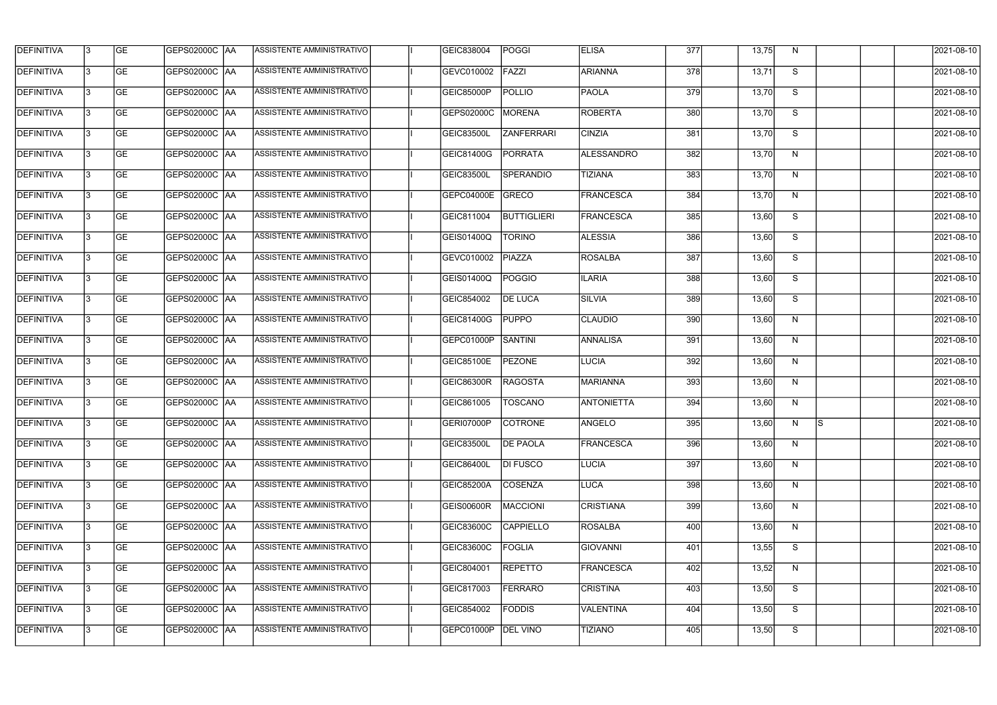| <b>DEFINITIVA</b> | 13  | <b>GE</b> |                      | ASSISTENTE AMMINISTRATIVO        | GEIC838004        | <b>POGGI</b>       | <b>ELISA</b>      | 377   | 13,75 | N. |     | 2021-08-10       |
|-------------------|-----|-----------|----------------------|----------------------------------|-------------------|--------------------|-------------------|-------|-------|----|-----|------------------|
| DEFINITIVA        | l3  | <b>GE</b> | GEPS02000C  AA       | ASSISTENTE AMMINISTRATIVO        | GEVC010002        | FAZZI              | ARIANNA           | 378   | 13,71 | S  |     | 2021-08-10       |
| <b>DEFINITIVA</b> | l3  | <b>GE</b> | <b>GEPS02000C AA</b> | ASSISTENTE AMMINISTRATIVO        | GEIC85000P        | <b>POLLIO</b>      | <b>PAOLA</b>      | 379   | 13,70 | S  |     | 2021-08-10       |
| <b>DEFINITIVA</b> | 13  | <b>GE</b> | <b>GEPS02000C AA</b> | ASSISTENTE AMMINISTRATIVO        | GEPS02000C        | <b>MORENA</b>      | <b>ROBERTA</b>    | 380   | 13,70 | S  |     | 2021-08-10       |
| <b>DEFINITIVA</b> | l3  | <b>GE</b> | GEPS02000C  AA       | ASSISTENTE AMMINISTRATIVO        | <b>GEIC83500L</b> | <b>ZANFERRARI</b>  | <b>CINZIA</b>     | 381   | 13,70 | S  |     | 2021-08-10       |
| <b>DEFINITIVA</b> | IЗ  | <b>GE</b> | GEPS02000C AA        | <b>ASSISTENTE AMMINISTRATIVO</b> | GEIC81400G        | PORRATA            | <b>ALESSANDRO</b> | 382   | 13,70 | N  |     | 2021-08-10       |
| <b>DEFINITIVA</b> | l3  | <b>GE</b> | <b>GEPS02000C AA</b> | <b>ASSISTENTE AMMINISTRATIVO</b> | <b>GEIC83500L</b> | <b>SPERANDIO</b>   | <b>TIZIANA</b>    | 383   | 13,70 | N  |     | 2021-08-10       |
| <b>DEFINITIVA</b> | l3  | <b>GE</b> | GEPS02000C AA        | ASSISTENTE AMMINISTRATIVO        | GEPC04000E        | GRECO              | <b>FRANCESCA</b>  | 384   | 13,70 | N  |     | 2021-08-10       |
| <b>DEFINITIVA</b> | l3  | <b>GE</b> | GEPS02000C  AA       | ASSISTENTE AMMINISTRATIVO        | GEIC811004        | <b>BUTTIGLIERI</b> | <b>FRANCESCA</b>  | 385   | 13,60 | S  |     | 2021-08-10       |
| <b>DEFINITIVA</b> | l3  | <b>GE</b> | GEPS02000C AA        | ASSISTENTE AMMINISTRATIVO        | GEIS01400Q        | <b>TORINO</b>      | <b>ALESSIA</b>    | 386   | 13,60 | S  |     | 2021-08-10       |
| <b>DEFINITIVA</b> | l3  | <b>GE</b> | GEPS02000C AA        | ASSISTENTE AMMINISTRATIVO        | GEVC010002        | <b>PIAZZA</b>      | <b>ROSALBA</b>    | 387   | 13,60 | S  |     | 2021-08-10       |
| <b>DEFINITIVA</b> | 13  | <b>GE</b> | GEPS02000C  AA       | ASSISTENTE AMMINISTRATIVO        | GEIS01400Q        | POGGIO             | <b>ILARIA</b>     | 388   | 13,60 | S  |     | 2021-08-10       |
| <b>DEFINITIVA</b> | l3  | <b>GE</b> | GEPS02000C  AA       | ASSISTENTE AMMINISTRATIVO        | GEIC854002        | <b>DE LUCA</b>     | SILVIA            | 389   | 13,60 | S  |     | 2021-08-10       |
| <b>DEFINITIVA</b> | l3  | <b>GE</b> | GEPS02000C AA        | ASSISTENTE AMMINISTRATIVO        | GEIC81400G        | <b>PUPPO</b>       | <b>CLAUDIO</b>    | 390   | 13,60 | N  |     | 2021-08-10       |
| <b>DEFINITIVA</b> | l3  | <b>GE</b> | GEPS02000C  AA       | ASSISTENTE AMMINISTRATIVO        | GEPC01000P        | SANTINI            | <b>ANNALISA</b>   | 391   | 13,60 | N  |     | 2021-08-10       |
| <b>DEFINITIVA</b> | IЗ  | <b>GE</b> | GEPS02000C  AA       | ASSISTENTE AMMINISTRATIVO        | GEIC85100E        | <b>PEZONE</b>      | LUCIA             | 392   | 13,60 | N  |     | 2021-08-10       |
| <b>DEFINITIVA</b> | IЗ  | <b>GE</b> | GEPS02000C  AA       | ASSISTENTE AMMINISTRATIVO        | <b>GEIC86300R</b> | <b>RAGOSTA</b>     | <b>MARIANNA</b>   | 393   | 13,60 | N  |     | 2021-08-10       |
| <b>DEFINITIVA</b> |     | <b>GE</b> | GEPS02000C AA        | ASSISTENTE AMMINISTRATIVO        | GEIC861005        | <b>TOSCANO</b>     | <b>ANTONIETTA</b> | $394$ | 13,60 | N  |     | 2021-08-10       |
| <b>DEFINITIVA</b> | IЗ  | GE        | GEPS02000C  AA       | <b>ASSISTENTE AMMINISTRATIVO</b> | GERI07000P        | <b>COTRONE</b>     | ANGELO            | 395   | 13,60 | N, | -lS | 2021-08-10       |
| <b>DEFINITIVA</b> | 13  | <b>GE</b> | <b>GEPS02000C AA</b> | ASSISTENTE AMMINISTRATIVO        | <b>GEIC83500L</b> | <b>DE PAOLA</b>    | <b>FRANCESCA</b>  | 396   | 13,60 | N  |     | 2021-08-10       |
| <b>DEFINITIVA</b> | 13  | <b>GE</b> | <b>GEPS02000C AA</b> | ASSISTENTE AMMINISTRATIVO        | <b>GEIC86400L</b> | <b>DI FUSCO</b>    | <b>LUCIA</b>      | 397   | 13,60 | N  |     | 2021-08-10       |
| <b>DEFINITIVA</b> | 13  | <b>GE</b> | GEPS02000C AA        | ASSISTENTE AMMINISTRATIVO        | <b>GEIC85200A</b> | COSENZA            | LUCA              | 398   | 13,60 | N  |     | $2021 - 08 - 10$ |
| <b>DEFINITIVA</b> | 13  | <b>GE</b> | GEPS02000C AA        | ASSISTENTE AMMINISTRATIVO        | <b>GEIS00600R</b> | MACCIONI           | <b>CRISTIANA</b>  | 399   | 13,60 | N  |     | 2021-08-10       |
| <b>DEFINITIVA</b> | 13  | <b>GE</b> | GEPS02000C AA        | ASSISTENTE AMMINISTRATIVO        | GEIC83600C        | <b>CAPPIELLO</b>   | <b>ROSALBA</b>    | 400   | 13,60 | N  |     | 2021-08-10       |
| <b>DEFINITIVA</b> | 13. | <b>GE</b> | GEPS02000C  AA       | ASSISTENTE AMMINISTRATIVO        | GEIC83600C        | FOGLIA             | <b>GIOVANNI</b>   | 401   | 13,55 | S  |     | 2021-08-10       |
| DEFINITIVA        | l3  | <b>GE</b> | GEPS02000C  AA       | ASSISTENTE AMMINISTRATIVO        | GEIC804001        | <b>REPETTO</b>     | <b>FRANCESCA</b>  | 402   | 13,52 | N  |     | 2021-08-10       |
| DEFINITIVA        | l3  | <b>GE</b> | GEPS02000C  AA       | ASSISTENTE AMMINISTRATIVO        | GEIC817003        | <b>FERRARO</b>     | <b>CRISTINA</b>   | 403   | 13,50 | S  |     | 2021-08-10       |
| DEFINITIVA        | l3  | <b>GE</b> | GEPS02000C AA        | ASSISTENTE AMMINISTRATIVO        | GEIC854002        | <b>FODDIS</b>      | <b>VALENTINA</b>  | 404   | 13,50 | S  |     | 2021-08-10       |
| <b>DEFINITIVA</b> | 13  | <b>GE</b> | GEPS02000C  AA       | ASSISTENTE AMMINISTRATIVO        | GEPC01000P        | <b>DEL VINO</b>    | <b>TIZIANO</b>    | 405   | 13,50 | S  |     | 2021-08-10       |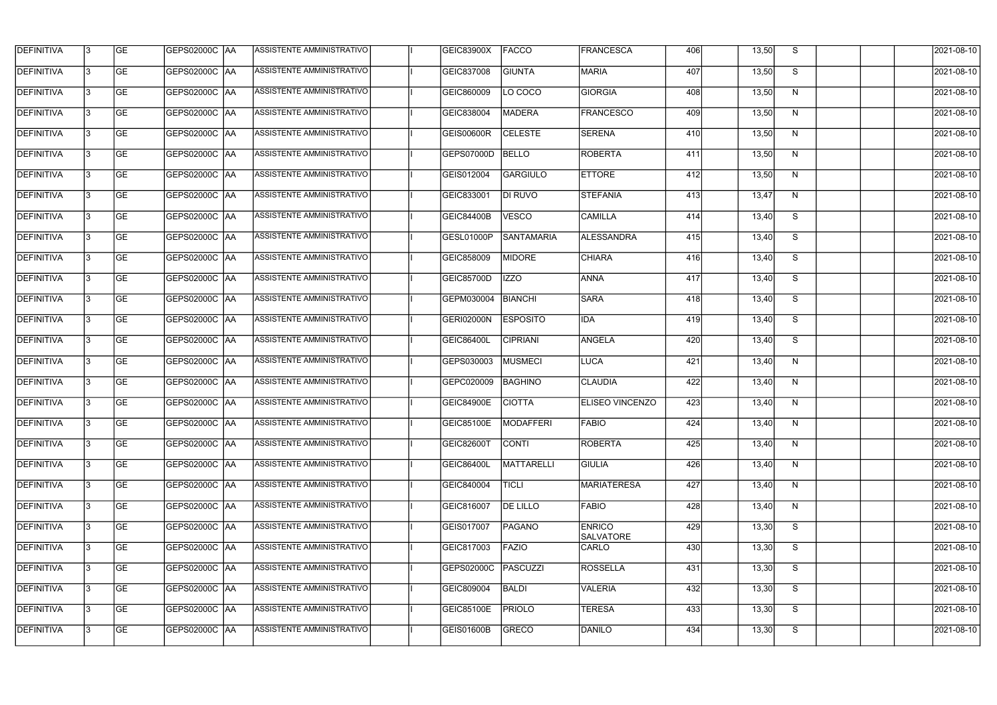| <b>DEFINITIVA</b> | 13  | <b>GE</b> | <b>GEPS02000C AA</b> | ASSISTENTE AMMINISTRATIVO        | GEIC83900X        | <b>FACCO</b>      | <b>FRANCESCA</b>                  | 406 | 13,50 | S | 2021-08-10 |
|-------------------|-----|-----------|----------------------|----------------------------------|-------------------|-------------------|-----------------------------------|-----|-------|---|------------|
| <b>DEFINITIVA</b> | l3  | <b>GE</b> | <b>GEPS02000C AA</b> | ASSISTENTE AMMINISTRATIVO        | GEIC837008        | <b>GIUNTA</b>     | <b>MARIA</b>                      | 407 | 13,50 | S | 2021-08-10 |
| <b>DEFINITIVA</b> | l3  | <b>GE</b> | GEPS02000C AA        | ASSISTENTE AMMINISTRATIVO        | GEIC860009        | LO COCO           | <b>GIORGIA</b>                    | 408 | 13,50 | N | 2021-08-10 |
| <b>DEFINITIVA</b> | l3  | <b>GE</b> | <b>GEPS02000C AA</b> | ASSISTENTE AMMINISTRATIVO        | GEIC838004        | <b>MADERA</b>     | <b>FRANCESCO</b>                  | 409 | 13,50 | N | 2021-08-10 |
| <b>DEFINITIVA</b> | l3  | <b>GE</b> | <b>GEPS02000C AA</b> | ASSISTENTE AMMINISTRATIVO        | <b>GEIS00600R</b> | <b>CELESTE</b>    | <b>SERENA</b>                     | 410 | 13,50 | N | 2021-08-10 |
| <b>DEFINITIVA</b> | l3  | <b>GE</b> | <b>GEPS02000C AA</b> | <b>ASSISTENTE AMMINISTRATIVO</b> | GEPS07000D        | <b>BELLO</b>      | <b>ROBERTA</b>                    | 411 | 13,50 | N | 2021-08-10 |
| <b>DEFINITIVA</b> | l3  | <b>GE</b> | <b>GEPS02000C AA</b> | <b>ASSISTENTE AMMINISTRATIVO</b> | GEIS012004        | <b>GARGIULO</b>   | <b>ETTORE</b>                     | 412 | 13,50 | N | 2021-08-10 |
| <b>DEFINITIVA</b> | l3  | <b>GE</b> | <b>GEPS02000C AA</b> | ASSISTENTE AMMINISTRATIVO        | GEIC833001        | <b>DI RUVO</b>    | <b>STEFANIA</b>                   | 413 | 13,47 | N | 2021-08-10 |
| <b>DEFINITIVA</b> |     | <b>GE</b> | GEPS02000C  AA       | ASSISTENTE AMMINISTRATIVO        | GEIC84400B        | <b>VESCO</b>      | <b>CAMILLA</b>                    | 414 | 13,40 | S | 2021-08-10 |
| <b>DEFINITIVA</b> | l3  | <b>GE</b> |                      | ASSISTENTE AMMINISTRATIVO        | GESL01000P        | <b>SANTAMARIA</b> | <b>ALESSANDRA</b>                 | 415 | 13,40 | S | 2021-08-10 |
| DEFINITIVA        | 13  | <b>GE</b> | GEPS02000C AA        | ASSISTENTE AMMINISTRATIVO        | GEIC858009        | <b>MIDORE</b>     | <b>CHIARA</b>                     | 416 | 13,40 | S | 2021-08-10 |
| <b>DEFINITIVA</b> | l3  | <b>GE</b> |                      | ASSISTENTE AMMINISTRATIVO        | GEIC85700D        | <b>IZZO</b>       | <b>ANNA</b>                       | 417 | 13,40 | S | 2021-08-10 |
| <b>DEFINITIVA</b> | l3  | <b>GE</b> | GEPS02000C AA        | <b>ASSISTENTE AMMINISTRATIVO</b> | GEPM030004        | <b>BIANCHI</b>    | <b>SARA</b>                       | 418 | 13,40 | S | 2021-08-10 |
| <b>DEFINITIVA</b> | l3  | <b>GE</b> | GEPS02000C  AA       | ASSISTENTE AMMINISTRATIVO        | GERI02000N        | <b>ESPOSITO</b>   | <b>IDA</b>                        | 419 | 13,40 | S | 2021-08-10 |
| <b>DEFINITIVA</b> | l3  | <b>GE</b> | GEPS02000C  AA       | ASSISTENTE AMMINISTRATIVO        | <b>GEIC86400L</b> | <b>CIPRIANI</b>   | ANGELA                            | 420 | 13,40 | S | 2021-08-10 |
| <b>DEFINITIVA</b> | IЗ  | <b>GE</b> |                      | ASSISTENTE AMMINISTRATIVO        | GEPS030003        | MUSMECI           | LUCA                              | 421 | 13,40 | N | 2021-08-10 |
| <b>DEFINITIVA</b> | I3  | <b>GE</b> | GEPS02000C  AA       | ASSISTENTE AMMINISTRATIVO        | GEPC020009        | <b>BAGHINO</b>    | <b>CLAUDIA</b>                    | 422 | 13,40 | N | 2021-08-10 |
| DEFINITIVA        |     | <b>GE</b> | GEPS02000C  AA       | ASSISTENTE AMMINISTRATIVO        | <b>GEIC84900E</b> | <b>CIOTTA</b>     | <b>ELISEO VINCENZO</b>            | 423 | 13,40 | N | 2021-08-10 |
| <b>DEFINITIVA</b> | 13  | <b>GE</b> | GEPS02000C  AA       | ASSISTENTE AMMINISTRATIVO        | <b>GEIC85100E</b> | <b>MODAFFERI</b>  | <b>FABIO</b>                      | 424 | 13,40 | N | 2021-08-10 |
| <b>DEFINITIVA</b> | 13  | <b>GE</b> | <b>GEPS02000C AA</b> | ASSISTENTE AMMINISTRATIVO        | <b>GEIC82600T</b> | CONTI             | <b>ROBERTA</b>                    | 425 | 13,40 | N | 2021-08-10 |
| <b>DEFINITIVA</b> | 13  | <b>GE</b> | GEPS02000C  AA       | ASSISTENTE AMMINISTRATIVO        | <b>GEIC86400L</b> | <b>MATTARELLI</b> | <b>GIULIA</b>                     | 426 | 13,40 | N | 2021-08-10 |
| <b>DEFINITIVA</b> | 13. | <b>GE</b> | <b>GEPS02000C AA</b> | ASSISTENTE AMMINISTRATIVO        | GEIC840004        | TICLI             | <b>MARIATERESA</b>                | 427 | 13,40 | N | 2021-08-10 |
| <b>DEFINITIVA</b> | 13  | <b>GE</b> | GEPS02000C AA        | ASSISTENTE AMMINISTRATIVO        | GEIC816007        | <b>DE LILLO</b>   | <b>FABIO</b>                      | 428 | 13,40 | N | 2021-08-10 |
| <b>DEFINITIVA</b> | 13  | <b>GE</b> | GEPS02000C  AA       | ASSISTENTE AMMINISTRATIVO        | GEIS017007        | PAGANO            | <b>ENRICO</b><br><b>SALVATORE</b> | 429 | 13,30 | S | 2021-08-10 |
| <b>DEFINITIVA</b> | IЗ  | <b>GE</b> | GEPS02000C  AA       | ASSISTENTE AMMINISTRATIVO        | GEIC817003        | FAZIO             | <b>CARLO</b>                      | 430 | 13,30 | S | 2021-08-10 |
| DEFINITIVA        | IЗ  | <b>GE</b> | GEPS02000C  AA       | ASSISTENTE AMMINISTRATIVO        | GEPS02000C        | PASCUZZI          | <b>ROSSELLA</b>                   | 431 | 13,30 | S | 2021-08-10 |
| <b>DEFINITIVA</b> | l3  | <b>GE</b> | GEPS02000C  AA       | ASSISTENTE AMMINISTRATIVO        | GEIC809004        | <b>BALDI</b>      | <b>VALERIA</b>                    | 432 | 13,30 | S | 2021-08-10 |
| <b>DEFINITIVA</b> | 13. | <b>GE</b> | GEPS02000C  AA       | ASSISTENTE AMMINISTRATIVO        | <b>GEIC85100E</b> | <b>PRIOLO</b>     | <b>TERESA</b>                     | 433 | 13,30 | S | 2021-08-10 |
| <b>DEFINITIVA</b> | IЗ  | <b>GE</b> | GEPS02000C  AA       | ASSISTENTE AMMINISTRATIVO        | GEIS01600B        | GRECO             | DANILO                            | 434 | 13,30 | S | 2021-08-10 |
|                   |     |           |                      |                                  |                   |                   |                                   |     |       |   |            |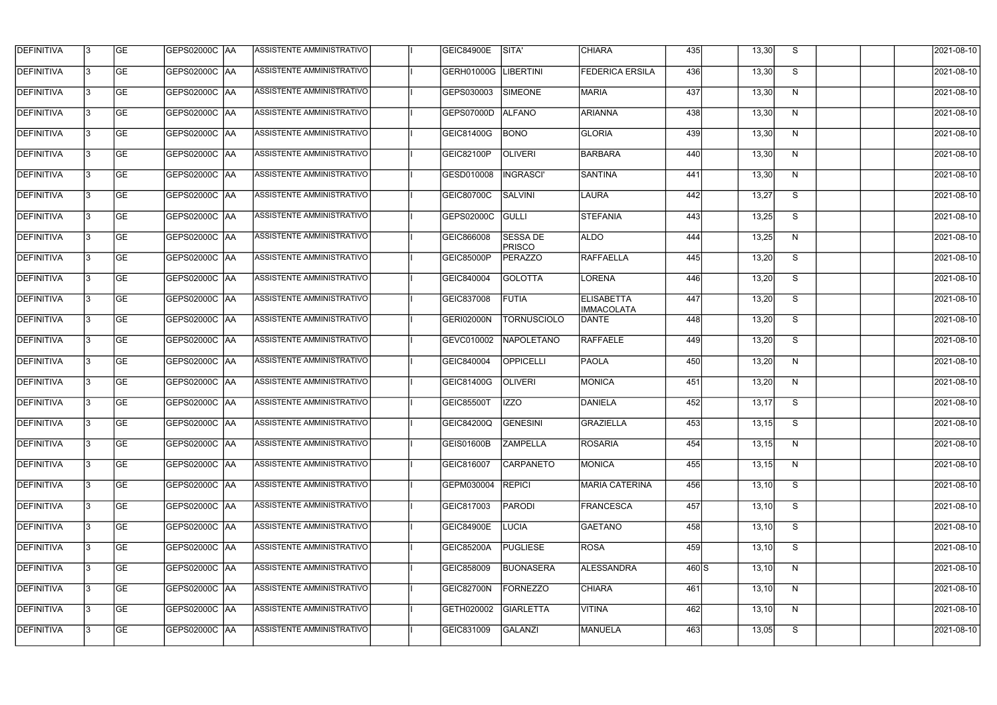| <b>DEFINITIVA</b> | 13  | <b>GE</b> |                      | ASSISTENTE AMMINISTRATIVO        | <b>GEIC84900E</b> | SITA'                            | <b>CHIARA</b>                          | 435              | 13,30 | S. | 2021-08-10 |
|-------------------|-----|-----------|----------------------|----------------------------------|-------------------|----------------------------------|----------------------------------------|------------------|-------|----|------------|
| <b>DEFINITIVA</b> | l3  | <b>GE</b> | GEPS02000C  AA       | ASSISTENTE AMMINISTRATIVO        | GERH01000G        | <b>LIBERTINI</b>                 | <b>FEDERICA ERSILA</b>                 | 436              | 13,30 | S  | 2021-08-10 |
| DEFINITIVA        | l3  | <b>GE</b> | <b>GEPS02000C AA</b> | ASSISTENTE AMMINISTRATIVO        | GEPS030003        | <b>SIMEONE</b>                   | <b>MARIA</b>                           | 437              | 13,30 | N  | 2021-08-10 |
| <b>DEFINITIVA</b> | 13  | <b>GE</b> | <b>GEPS02000C AA</b> | ASSISTENTE AMMINISTRATIVO        | GEPS07000D        | <b>ALFANO</b>                    | <b>ARIANNA</b>                         | 438              | 13,30 | N  | 2021-08-10 |
| <b>DEFINITIVA</b> | l3  | <b>GE</b> | GEPS02000C  AA       | ASSISTENTE AMMINISTRATIVO        | GEIC81400G        | <b>BONO</b>                      | <b>GLORIA</b>                          | 439              | 13,30 | N  | 2021-08-10 |
| <b>DEFINITIVA</b> | IЗ  | <b>GE</b> | <b>GEPS02000C AA</b> | <b>ASSISTENTE AMMINISTRATIVO</b> | GEIC82100P        | <b>OLIVERI</b>                   | <b>BARBARA</b>                         | 440              | 13,30 | N  | 2021-08-10 |
| <b>DEFINITIVA</b> | l3  | <b>GE</b> | <b>GEPS02000C AA</b> | <b>ASSISTENTE AMMINISTRATIVO</b> | GESD010008        | <b>INGRASCI'</b>                 | <b>SANTINA</b>                         | 441              | 13,30 | N  | 2021-08-10 |
| <b>DEFINITIVA</b> | l3  | <b>GE</b> | GEPS02000C AA        | ASSISTENTE AMMINISTRATIVO        | GEIC80700C        | <b>SALVINI</b>                   | LAURA                                  | 442              | 13,27 | S  | 2021-08-10 |
| <b>DEFINITIVA</b> | l3  | <b>GE</b> | GEPS02000C   AA      | ASSISTENTE AMMINISTRATIVO        | GEPS02000C        | GULLI                            | <b>STEFANIA</b>                        | 443              | 13,25 | S  | 2021-08-10 |
| <b>DEFINITIVA</b> | l3  | <b>GE</b> | GEPS02000C AA        | ASSISTENTE AMMINISTRATIVO        | GEIC866008        | <b>SESSA DE</b><br><b>PRISCO</b> | <b>ALDO</b>                            | 444              | 13,25 | N  | 2021-08-10 |
| <b>DEFINITIVA</b> | l3  | <b>GE</b> | GEPS02000C AA        | ASSISTENTE AMMINISTRATIVO        | GEIC85000P        | <b>PERAZZO</b>                   | RAFFAELLA                              | 445              | 13,20 | S  | 2021-08-10 |
| <b>DEFINITIVA</b> | 13  | <b>GE</b> |                      | ASSISTENTE AMMINISTRATIVO        | GEIC840004        | <b>GOLOTTA</b>                   | LORENA                                 | 446              | 13,20 | S  | 2021-08-10 |
| <b>DEFINITIVA</b> | l3  | <b>GE</b> | GEPS02000C  AA       | ASSISTENTE AMMINISTRATIVO        | GEIC837008        | <b>FUTIA</b>                     | <b>ELISABETTA</b><br><b>IMMACOLATA</b> | 447              | 13,20 | S  | 2021-08-10 |
| <b>DEFINITIVA</b> | l3  | <b>GE</b> | GEPS02000C AA        | ASSISTENTE AMMINISTRATIVO        | GERI02000N        | <b>TORNUSCIOLO</b>               | DANTE                                  | 448              | 13,20 | S  | 2021-08-10 |
| <b>DEFINITIVA</b> | l3  | <b>GE</b> | GEPS02000C AA        | ASSISTENTE AMMINISTRATIVO        | GEVC010002        | NAPOLETANO                       | RAFFAELE                               | 449              | 13,20 | S  | 2021-08-10 |
| <b>DEFINITIVA</b> | l3  | <b>GE</b> | GEPS02000C  AA       | ASSISTENTE AMMINISTRATIVO        | GEIC840004        | OPPICELLI                        | PAOLA                                  | 450              | 13,20 | N  | 2021-08-10 |
| <b>DEFINITIVA</b> | l3  | <b>GE</b> | GEPS02000C  AA       | ASSISTENTE AMMINISTRATIVO        | GEIC81400G        | <b>OLIVERI</b>                   | MONICA                                 | 451              | 13,20 | N  | 2021-08-10 |
| <b>DEFINITIVA</b> |     | <b>GE</b> | GEPS02000C  AA       | ASSISTENTE AMMINISTRATIVO        | <b>GEIC85500T</b> | IZZO                             | DANIELA                                | 452              | 13,17 | S  | 2021-08-10 |
| <b>DEFINITIVA</b> | IЗ  | GE        | GEPS02000C  AA       | <b>ASSISTENTE AMMINISTRATIVO</b> | GEIC84200Q        | <b>GENESINI</b>                  | <b>GRAZIELLA</b>                       | 453              | 13,15 | S. | 2021-08-10 |
| <b>DEFINITIVA</b> | 13. | <b>GE</b> | GEPS02000C AA        | ASSISTENTE AMMINISTRATIVO        | <b>GEIS01600B</b> | <b>ZAMPELLA</b>                  | <b>ROSARIA</b>                         | 454              | 13,15 | N  | 2021-08-10 |
| <b>DEFINITIVA</b> | 13  | <b>GE</b> | <b>GEPS02000C AA</b> | ASSISTENTE AMMINISTRATIVO        | GEIC816007        | CARPANETO                        | MONICA                                 | 455              | 13,15 | N  | 2021-08-10 |
| <b>DEFINITIVA</b> | 13. | <b>GE</b> | GEPS02000C AA        | ASSISTENTE AMMINISTRATIVO        | GEPM030004        | <b>REPICI</b>                    | <b>MARIA CATERINA</b>                  | 456              | 13,10 | S  | 2021-08-10 |
| <b>DEFINITIVA</b> | 13  | <b>GE</b> | <b>GEPS02000C AA</b> | ASSISTENTE AMMINISTRATIVO        | GEIC817003        | <b>PARODI</b>                    | FRANCESCA                              | 457              | 13,10 | S  | 2021-08-10 |
| <b>DEFINITIVA</b> | 13  | <b>GE</b> | GEPS02000C AA        | ASSISTENTE AMMINISTRATIVO        | <b>GEIC84900E</b> | <b>LUCIA</b>                     | <b>GAETANO</b>                         | 458              | 13,10 | S  | 2021-08-10 |
| <b>DEFINITIVA</b> | l3  | <b>GE</b> | GEPS02000C  AA       | ASSISTENTE AMMINISTRATIVO        | <b>GEIC85200A</b> | <b>PUGLIESE</b>                  | ROSA                                   | 459              | 13,10 | S  | 2021-08-10 |
| DEFINITIVA        | l3  | <b>GE</b> | GEPS02000C  AA       | ASSISTENTE AMMINISTRATIVO        | GEIC858009        | <b>BUONASERA</b>                 | ALESSANDRA                             | $460$ $\text{S}$ | 13,10 | N  | 2021-08-10 |
| DEFINITIVA        | l3  | <b>GE</b> | GEPS02000C  AA       | ASSISTENTE AMMINISTRATIVO        | GEIC82700N        | FORNEZZO                         | <b>CHIARA</b>                          | 461              | 13,10 | N  | 2021-08-10 |
| <b>DEFINITIVA</b> | l3  | <b>GE</b> | GEPS02000C AA        | ASSISTENTE AMMINISTRATIVO        | GETH020002        | <b>GIARLETTA</b>                 | VITINA                                 | 462              | 13,10 | N  | 2021-08-10 |
| <b>DEFINITIVA</b> | IЗ  | <b>GE</b> | GEPS02000C  AA       | ASSISTENTE AMMINISTRATIVO        | GEIC831009        | GALANZI                          | MANUELA                                | 463              | 13,05 | S  | 2021-08-10 |
|                   |     |           |                      |                                  |                   |                                  |                                        |                  |       |    |            |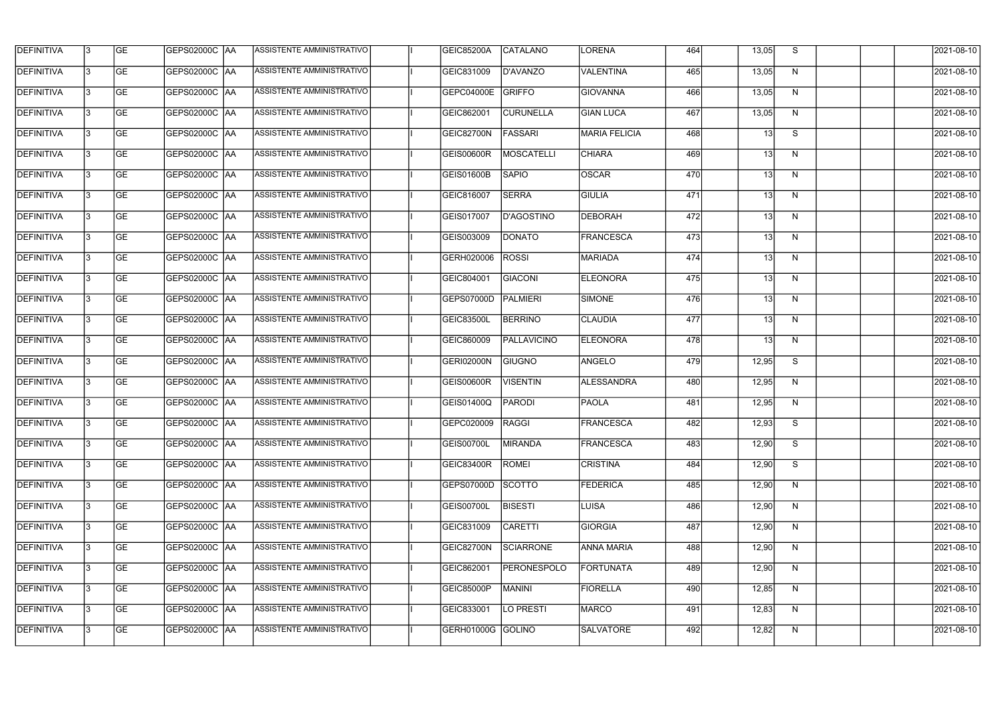| <b>DEFINITIVA</b> | 13  | <b>GE</b> |                      | ASSISTENTE AMMINISTRATIVO        | <b>GEIC85200A</b> | CATALANO           | LORENA               | 464 | 13,05           | S. | 2021-08-10 |
|-------------------|-----|-----------|----------------------|----------------------------------|-------------------|--------------------|----------------------|-----|-----------------|----|------------|
| DEFINITIVA        | l3  | <b>GE</b> | GEPS02000C  AA       | ASSISTENTE AMMINISTRATIVO        | GEIC831009        | D'AVANZO           | VALENTINA            | 465 | 13,05           | N  | 2021-08-10 |
| <b>DEFINITIVA</b> | l3  | <b>GE</b> | <b>GEPS02000C AA</b> | ASSISTENTE AMMINISTRATIVO        | GEPC04000E        | GRIFFO             | <b>GIOVANNA</b>      | 466 | 13,05           | N  | 2021-08-10 |
| <b>DEFINITIVA</b> | 13  | <b>GE</b> | <b>GEPS02000C AA</b> | ASSISTENTE AMMINISTRATIVO        | GEIC862001        | <b>CURUNELLA</b>   | <b>GIAN LUCA</b>     | 467 | 13,05           | N  | 2021-08-10 |
| <b>DEFINITIVA</b> | l3  | <b>GE</b> | GEPS02000C  AA       | ASSISTENTE AMMINISTRATIVO        | GEIC82700N        | <b>FASSARI</b>     | <b>MARIA FELICIA</b> | 468 | 13 <sup>1</sup> | S  | 2021-08-10 |
| <b>DEFINITIVA</b> | IЗ  | <b>GE</b> | GEPS02000C AA        | <b>ASSISTENTE AMMINISTRATIVO</b> | <b>GEIS00600R</b> | <b>MOSCATELLI</b>  | <b>CHIARA</b>        | 469 | 13 <sup>l</sup> | N  | 2021-08-10 |
| <b>DEFINITIVA</b> | l3  | <b>GE</b> | <b>GEPS02000C AA</b> | <b>ASSISTENTE AMMINISTRATIVO</b> | <b>GEIS01600B</b> | <b>SAPIO</b>       | <b>OSCAR</b>         | 470 | 13 <sup>l</sup> | N  | 2021-08-10 |
| <b>DEFINITIVA</b> | l3  | <b>GE</b> | GEPS02000C AA        | ASSISTENTE AMMINISTRATIVO        | GEIC816007        | <b>SERRA</b>       | <b>GIULIA</b>        | 471 | 13              | N  | 2021-08-10 |
| <b>DEFINITIVA</b> | l3  | <b>GE</b> | GEPS02000C  AA       | ASSISTENTE AMMINISTRATIVO        | GEIS017007        | D'AGOSTINO         | DEBORAH              | 472 | 13 <sup>l</sup> | N  | 2021-08-10 |
| <b>DEFINITIVA</b> | l3  | <b>GE</b> | GEPS02000C AA        | ASSISTENTE AMMINISTRATIVO        | GEIS003009        | <b>DONATO</b>      | <b>FRANCESCA</b>     | 473 | 13              | N  | 2021-08-10 |
| <b>DEFINITIVA</b> | l3  | <b>GE</b> | GEPS02000C AA        | ASSISTENTE AMMINISTRATIVO        | GERH020006        | <b>ROSSI</b>       | <b>MARIADA</b>       | 474 | 13              | N  | 2021-08-10 |
| <b>DEFINITIVA</b> | 13  | <b>GE</b> |                      | ASSISTENTE AMMINISTRATIVO        | GEIC804001        | <b>GIACONI</b>     | <b>ELEONORA</b>      | 475 | 13              | N  | 2021-08-10 |
| <b>DEFINITIVA</b> | l3  | <b>GE</b> | GEPS02000C  AA       | ASSISTENTE AMMINISTRATIVO        | GEPS07000D        | PALMIERI           | <b>SIMONE</b>        | 476 | 13              | N  | 2021-08-10 |
| <b>DEFINITIVA</b> | l3  | <b>GE</b> | GEPS02000C AA        | ASSISTENTE AMMINISTRATIVO        | <b>GEIC83500L</b> | <b>BERRINO</b>     | <b>CLAUDIA</b>       | 477 | 13              | N  | 2021-08-10 |
| <b>DEFINITIVA</b> | 13  | <b>GE</b> | GEPS02000C  AA       | ASSISTENTE AMMINISTRATIVO        | GEIC860009        | PALLAVICINO        | <b>ELEONORA</b>      | 478 | 13              | N  | 2021-08-10 |
| <b>DEFINITIVA</b> | l3  | <b>GE</b> | GEPS02000C AA        | ASSISTENTE AMMINISTRATIVO        | GERI02000N        | <b>GIUGNO</b>      | <b>ANGELO</b>        | 479 | 12,95           | S  | 2021-08-10 |
| <b>DEFINITIVA</b> | l3  | <b>GE</b> | GEPS02000C  AA       | ASSISTENTE AMMINISTRATIVO        | <b>GEIS00600R</b> | <b>VISENTIN</b>    | <b>ALESSANDRA</b>    | 480 | 12,95           | N  | 2021-08-10 |
| <b>DEFINITIVA</b> |     | <b>GE</b> | GEPS02000C AA        | ASSISTENTE AMMINISTRATIVO        | GEIS01400Q        | <b>PARODI</b>      | PAOLA                | 481 | 12,95           | N  | 2021-08-10 |
| <b>DEFINITIVA</b> | IЗ  | GE        | GEPS02000C  AA       | <b>ASSISTENTE AMMINISTRATIVO</b> | GEPC020009        | RAGGI              | <b>FRANCESCA</b>     | 482 | 12,93           | S. | 2021-08-10 |
| <b>DEFINITIVA</b> | 13. | <b>GE</b> | <b>GEPS02000C AA</b> | ASSISTENTE AMMINISTRATIVO        | GEIS00700L        | <b>MIRANDA</b>     | <b>FRANCESCA</b>     | 483 | 12,90           | S  | 2021-08-10 |
| <b>DEFINITIVA</b> | 13  | <b>GE</b> | <b>GEPS02000C AA</b> | ASSISTENTE AMMINISTRATIVO        | GEIC83400R        | ROMEI              | <b>CRISTINA</b>      | 484 | 12,90           | S  | 2021-08-10 |
| <b>DEFINITIVA</b> | 13. | <b>GE</b> | GEPS02000C AA        | ASSISTENTE AMMINISTRATIVO        | GEPS07000D        | <b>SCOTTO</b>      | <b>FEDERICA</b>      | 485 | 12,90           | N  | 2021-08-10 |
| <b>DEFINITIVA</b> | 13  | <b>GE</b> | <b>GEPS02000C AA</b> | ASSISTENTE AMMINISTRATIVO        | GEIS00700L        | <b>BISESTI</b>     | LUISA                | 486 | 12,90           | N  | 2021-08-10 |
| <b>DEFINITIVA</b> | 13  | <b>GE</b> | GEPS02000C AA        | ASSISTENTE AMMINISTRATIVO        | GEIC831009        | <b>CARETTI</b>     | <b>GIORGIA</b>       | 487 | 12,90           | N  | 2021-08-10 |
| <b>DEFINITIVA</b> | l3  | <b>GE</b> | GEPS02000C  AA       | ASSISTENTE AMMINISTRATIVO        | GEIC82700N        | SCIARRONE          | <b>ANNA MARIA</b>    | 488 | 12,90           | N  | 2021-08-10 |
| DEFINITIVA        | l3  | <b>GE</b> | GEPS02000C  AA       | ASSISTENTE AMMINISTRATIVO        | GEIC862001        | <b>PERONESPOLO</b> | FORTUNATA            | 489 | 12,90           | N  | 2021-08-10 |
| DEFINITIVA        | l3  | <b>GE</b> | GEPS02000C  AA       | ASSISTENTE AMMINISTRATIVO        | GEIC85000P        | MANINI             | <b>FIORELLA</b>      | 490 | 12,85           | N  | 2021-08-10 |
| <b>DEFINITIVA</b> | l3  | <b>GE</b> | <b>GEPS02000C AA</b> | ASSISTENTE AMMINISTRATIVO        | GEIC833001        | LO PRESTI          | MARCO                | 491 | 12,83           | N  | 2021-08-10 |
| <b>DEFINITIVA</b> | Iз  | <b>GE</b> | GEPS02000C  AA       | ASSISTENTE AMMINISTRATIVO        | GERH01000G        | GOLINO             | <b>SALVATORE</b>     | 492 | 12,82           | N  | 2021-08-10 |
|                   |     |           |                      |                                  |                   |                    |                      |     |                 |    |            |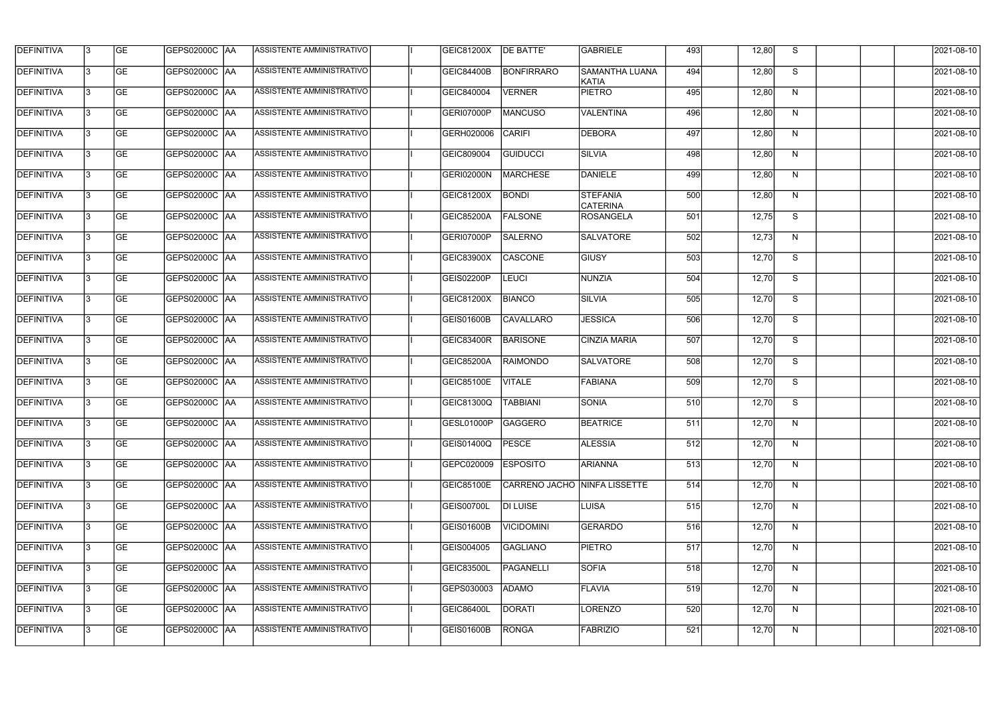| <b>DEFINITIVA</b> | 13 | <b>GE</b> |                      | ASSISTENTE AMMINISTRATIVO        | GEIC81200X        | <b>DE BATTE'</b>  | <b>GABRIELE</b>                    | 493 | 12,80 | S. | 2021-08-10 |
|-------------------|----|-----------|----------------------|----------------------------------|-------------------|-------------------|------------------------------------|-----|-------|----|------------|
| DEFINITIVA        | l3 | <b>GE</b> | GEPS02000C  AA       | ASSISTENTE AMMINISTRATIVO        | GEIC84400B        | <b>BONFIRRARO</b> | <b>SAMANTHA LUANA</b><br>KATIA     | 494 | 12,80 | S  | 2021-08-10 |
| DEFINITIVA        | l3 | <b>GE</b> | <b>GEPS02000C AA</b> | ASSISTENTE AMMINISTRATIVO        | GEIC840004        | <b>VERNER</b>     | <b>PIETRO</b>                      | 495 | 12,80 | N  | 2021-08-10 |
| <b>DEFINITIVA</b> | 13 | <b>GE</b> | <b>GEPS02000C AA</b> | ASSISTENTE AMMINISTRATIVO        | GERI07000P        | <b>MANCUSO</b>    | <b>VALENTINA</b>                   | 496 | 12,80 | N  | 2021-08-10 |
| <b>DEFINITIVA</b> | l3 | <b>GE</b> | GEPS02000C  AA       | ASSISTENTE AMMINISTRATIVO        | GERH020006        | <b>CARIFI</b>     | <b>DEBORA</b>                      | 497 | 12,80 | N  | 2021-08-10 |
| <b>DEFINITIVA</b> | IЗ | <b>GE</b> | <b>GEPS02000C AA</b> | <b>ASSISTENTE AMMINISTRATIVO</b> | GEIC809004        | GUIDUCCI          | SILVIA                             | 498 | 12,80 | N  | 2021-08-10 |
| <b>DEFINITIVA</b> | l3 | <b>GE</b> | <b>GEPS02000C AA</b> | <b>ASSISTENTE AMMINISTRATIVO</b> | GERI02000N        | <b>MARCHESE</b>   | DANIELE                            | 499 | 12,80 | N  | 2021-08-10 |
| <b>DEFINITIVA</b> | l3 | <b>GE</b> | GEPS02000C AA        | ASSISTENTE AMMINISTRATIVO        | GEIC81200X        | <b>BONDI</b>      | <b>STEFANIA</b><br><b>CATERINA</b> | 500 | 12,80 | N  | 2021-08-10 |
| <b>DEFINITIVA</b> | l3 | <b>GE</b> | GEPS02000C  AA       | ASSISTENTE AMMINISTRATIVO        | <b>GEIC85200A</b> | <b>FALSONE</b>    | <b>ROSANGELA</b>                   | 501 | 12,75 | S  | 2021-08-10 |
| <b>DEFINITIVA</b> | l3 | <b>GE</b> | GEPS02000C AA        | ASSISTENTE AMMINISTRATIVO        | GERI07000P        | <b>SALERNO</b>    | <b>SALVATORE</b>                   | 502 | 12,73 | N  | 2021-08-10 |
| <b>DEFINITIVA</b> | l3 | <b>GE</b> | GEPS02000C AA        | ASSISTENTE AMMINISTRATIVO        | GEIC83900X        | <b>CASCONE</b>    | GIUSY                              | 503 | 12,70 | S  | 2021-08-10 |
| <b>DEFINITIVA</b> | 13 | <b>GE</b> | GEPS02000C AA        | ASSISTENTE AMMINISTRATIVO        | GEIS02200P        | <b>LEUCI</b>      | <b>NUNZIA</b>                      | 504 | 12,70 | S  | 2021-08-10 |
| <b>DEFINITIVA</b> | l3 | <b>GE</b> | GEPS02000C  AA       | ASSISTENTE AMMINISTRATIVO        | GEIC81200X        | <b>BIANCO</b>     | SILVIA                             | 505 | 12,70 | S  | 2021-08-10 |
| <b>DEFINITIVA</b> | l3 | <b>GE</b> | GEPS02000C AA        | ASSISTENTE AMMINISTRATIVO        | GEIS01600B        | <b>CAVALLARO</b>  | <b>JESSICA</b>                     | 506 | 12,70 | S  | 2021-08-10 |
| <b>DEFINITIVA</b> | 13 | <b>GE</b> | GEPS02000C  AA       | ASSISTENTE AMMINISTRATIVO        | GEIC83400R        | <b>BARISONE</b>   | <b>CINZIA MARIA</b>                | 507 | 12,70 | S  | 2021-08-10 |
| <b>DEFINITIVA</b> | l3 | <b>GE</b> | GEPS02000C  AA       | ASSISTENTE AMMINISTRATIVO        | <b>GEIC85200A</b> | <b>RAIMONDO</b>   | <b>SALVATORE</b>                   | 508 | 12,70 | S  | 2021-08-10 |
| <b>DEFINITIVA</b> | l3 | <b>GE</b> | GEPS02000C  AA       | ASSISTENTE AMMINISTRATIVO        | <b>GEIC85100E</b> | <b>VITALE</b>     | FABIANA                            | 509 | 12,70 | S  | 2021-08-10 |
| <b>DEFINITIVA</b> |    | <b>GE</b> | GEPS02000C  AA       | ASSISTENTE AMMINISTRATIVO        | GEIC81300Q        | <b>TABBIANI</b>   | SONIA                              | 510 | 12,70 | S  | 2021-08-10 |
| <b>DEFINITIVA</b> | IЗ | GE        | GEPS02000C  AA       | <b>ASSISTENTE AMMINISTRATIVO</b> | GESL01000P        | GAGGERO           | <b>BEATRICE</b>                    | 511 | 12,70 | N, | 2021-08-10 |
| <b>DEFINITIVA</b> | 13 | <b>GE</b> | <b>GEPS02000C AA</b> | ASSISTENTE AMMINISTRATIVO        | GEIS01400Q        | <b>PESCE</b>      | <b>ALESSIA</b>                     | 512 | 12,70 | N  | 2021-08-10 |
| <b>DEFINITIVA</b> | 13 | <b>GE</b> | <b>GEPS02000C AA</b> | ASSISTENTE AMMINISTRATIVO        | GEPC020009        | <b>ESPOSITO</b>   | ARIANNA                            | 513 | 12,70 | N  | 2021-08-10 |
| <b>DEFINITIVA</b> | 13 | <b>GE</b> | GEPS02000C AA        | ASSISTENTE AMMINISTRATIVO        | <b>GEIC85100E</b> |                   | CARRENO JACHO NINFA LISSETTE       | 514 | 12,70 | N  | 2021-08-10 |
| <b>DEFINITIVA</b> | 13 | <b>GE</b> | GEPS02000C AA        | ASSISTENTE AMMINISTRATIVO        | GEIS00700L        | <b>DI LUISE</b>   | LUISA                              | 515 | 12,70 | N  | 2021-08-10 |
| <b>DEFINITIVA</b> | 13 | <b>GE</b> | GEPS02000C AA        | ASSISTENTE AMMINISTRATIVO        | <b>GEIS01600B</b> | <b>VICIDOMINI</b> | <b>GERARDO</b>                     | 516 | 12,70 | N  | 2021-08-10 |
| <b>DEFINITIVA</b> | l3 | <b>GE</b> | GEPS02000C  AA       | ASSISTENTE AMMINISTRATIVO        | GEIS004005        | GAGLIANO          | <b>PIETRO</b>                      | 517 | 12,70 | N  | 2021-08-10 |
| DEFINITIVA        | l3 | <b>GE</b> | GEPS02000C  AA       | ASSISTENTE AMMINISTRATIVO        | <b>GEIC83500L</b> | <b>PAGANELLI</b>  | <b>SOFIA</b>                       | 518 | 12,70 | N  | 2021-08-10 |
| DEFINITIVA        | l3 | <b>GE</b> | GEPS02000C  AA       | ASSISTENTE AMMINISTRATIVO        | GEPS030003        | <b>ADAMO</b>      | FLAVIA                             | 519 | 12,70 | N  | 2021-08-10 |
| DEFINITIVA        | l3 | <b>GE</b> | GEPS02000C AA        | ASSISTENTE AMMINISTRATIVO        | <b>GEIC86400L</b> | DORATI            | LORENZO                            | 520 | 12,70 | N  | 2021-08-10 |
| <b>DEFINITIVA</b> | 13 | <b>GE</b> | GEPS02000C  AA       | ASSISTENTE AMMINISTRATIVO        | <b>GEIS01600B</b> | <b>RONGA</b>      | <b>FABRIZIO</b>                    | 521 | 12,70 | N  | 2021-08-10 |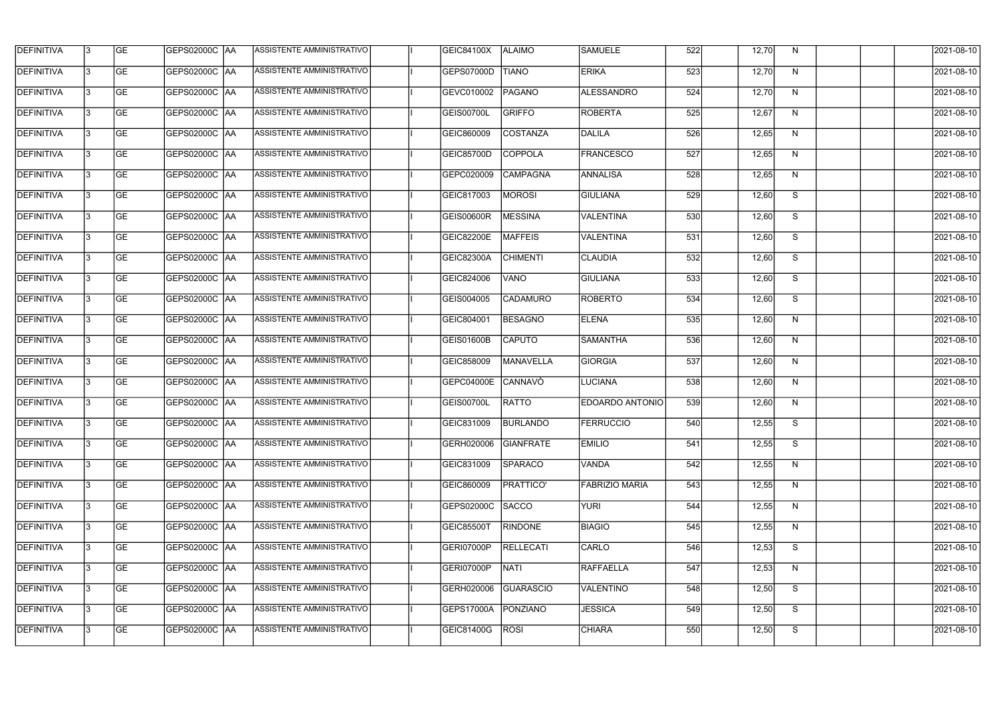| <b>DEFINITIVA</b> | 13  | <b>GE</b> |                      | ASSISTENTE AMMINISTRATIVO        | GEIC84100X        | <b>ALAIMO</b>    | <b>SAMUELE</b>        | 522 | 12,70 | N.           | 2021-08-10 |
|-------------------|-----|-----------|----------------------|----------------------------------|-------------------|------------------|-----------------------|-----|-------|--------------|------------|
| DEFINITIVA        | l3  | <b>GE</b> | GEPS02000C  AA       | ASSISTENTE AMMINISTRATIVO        | GEPS07000D        | <b>TIANO</b>     | <b>ERIKA</b>          | 523 | 12,70 | N            | 2021-08-10 |
| <b>DEFINITIVA</b> | l3  | <b>GE</b> | <b>GEPS02000C AA</b> | ASSISTENTE AMMINISTRATIVO        | GEVC010002        | PAGANO           | <b>ALESSANDRO</b>     | 524 | 12,70 | N            | 2021-08-10 |
| <b>DEFINITIVA</b> | 13  | <b>GE</b> | <b>GEPS02000C AA</b> | ASSISTENTE AMMINISTRATIVO        | GEIS00700L        | <b>GRIFFO</b>    | <b>ROBERTA</b>        | 525 | 12,67 | $\mathsf{N}$ | 2021-08-10 |
| <b>DEFINITIVA</b> | l3  | <b>GE</b> | GEPS02000C AA        | ASSISTENTE AMMINISTRATIVO        | GEIC860009        | <b>COSTANZA</b>  | DALILA                | 526 | 12,65 | N            | 2021-08-10 |
| <b>DEFINITIVA</b> | IЗ  | <b>GE</b> | GEPS02000C AA        | ASSISTENTE AMMINISTRATIVO        | GEIC85700D        | <b>COPPOLA</b>   | <b>FRANCESCO</b>      | 527 | 12,65 | N            | 2021-08-10 |
| <b>DEFINITIVA</b> | l3  | <b>GE</b> | <b>GEPS02000C AA</b> | <b>ASSISTENTE AMMINISTRATIVO</b> | GEPC020009        | <b>CAMPAGNA</b>  | <b>ANNALISA</b>       | 528 | 12,65 | N            | 2021-08-10 |
| <b>DEFINITIVA</b> | l3  | <b>GE</b> | GEPS02000C AA        | ASSISTENTE AMMINISTRATIVO        | GEIC817003        | <b>MOROSI</b>    | <b>GIULIANA</b>       | 529 | 12,60 | S            | 2021-08-10 |
| <b>DEFINITIVA</b> | l3  | <b>GE</b> | GEPS02000C  AA       | ASSISTENTE AMMINISTRATIVO        | <b>GEIS00600R</b> | <b>MESSINA</b>   | VALENTINA             | 530 | 12,60 | S            | 2021-08-10 |
| <b>DEFINITIVA</b> | l3  | <b>GE</b> | GEPS02000C AA        | ASSISTENTE AMMINISTRATIVO        | <b>GEIC82200E</b> | <b>MAFFEIS</b>   | <b>VALENTINA</b>      | 531 | 12,60 | S            | 2021-08-10 |
| <b>DEFINITIVA</b> | l3  | <b>GE</b> | GEPS02000C AA        | ASSISTENTE AMMINISTRATIVO        | GEIC82300A        | <b>CHIMENTI</b>  | <b>CLAUDIA</b>        | 532 | 12,60 | S            | 2021-08-10 |
| <b>DEFINITIVA</b> | 13  | <b>GE</b> | <b>GEPS02000C AA</b> | ASSISTENTE AMMINISTRATIVO        | GEIC824006        | <b>VANO</b>      | <b>GIULIANA</b>       | 533 | 12,60 | S            | 2021-08-10 |
| <b>DEFINITIVA</b> | l3  | <b>GE</b> | GEPS02000C  AA       | ASSISTENTE AMMINISTRATIVO        | GEIS004005        | <b>CADAMURO</b>  | <b>ROBERTO</b>        | 534 | 12,60 | S            | 2021-08-10 |
| <b>DEFINITIVA</b> | l3  | <b>GE</b> | GEPS02000C AA        | ASSISTENTE AMMINISTRATIVO        | GEIC804001        | <b>BESAGNO</b>   | <b>ELENA</b>          | 535 | 12,60 | N            | 2021-08-10 |
| <b>DEFINITIVA</b> | 13  | <b>GE</b> | GEPS02000C  AA       | ASSISTENTE AMMINISTRATIVO        | GEIS01600B        | <b>CAPUTO</b>    | SAMANTHA              | 536 | 12,60 | N            | 2021-08-10 |
| <b>DEFINITIVA</b> | IЗ  | <b>GE</b> | GEPS02000C  AA       | ASSISTENTE AMMINISTRATIVO        | GEIC858009        | <b>MANAVELLA</b> | <b>GIORGIA</b>        | 537 | 12,60 | N            | 2021-08-10 |
| <b>DEFINITIVA</b> | IЗ  | <b>GE</b> | GEPS02000C  AA       | ASSISTENTE AMMINISTRATIVO        | GEPC04000E        | CANNAVO          | <b>LUCIANA</b>        | 538 | 12,60 | N            | 2021-08-10 |
| <b>DEFINITIVA</b> |     | <b>GE</b> | GEPS02000C  AA       | ASSISTENTE AMMINISTRATIVO        | GEIS00700L        | <b>RATTO</b>     | EDOARDO ANTONIO       | 539 | 12,60 | N            | 2021-08-10 |
| <b>DEFINITIVA</b> | IЗ  | GE        | GEPS02000C  AA       | <b>ASSISTENTE AMMINISTRATIVO</b> | GEIC831009        | <b>BURLANDO</b>  | <b>FERRUCCIO</b>      | 540 | 12,55 | S.           | 2021-08-10 |
| <b>DEFINITIVA</b> | 13. | <b>GE</b> | <b>GEPS02000C AA</b> | ASSISTENTE AMMINISTRATIVO        | GERH020006        | <b>GIANFRATE</b> | <b>EMILIO</b>         | 541 | 12,55 | S            | 2021-08-10 |
| <b>DEFINITIVA</b> | 13  | <b>GE</b> | <b>GEPS02000C AA</b> | ASSISTENTE AMMINISTRATIVO        | GEIC831009        | <b>SPARACO</b>   | VANDA                 | 542 | 12,55 | N            | 2021-08-10 |
| <b>DEFINITIVA</b> | 13. | <b>GE</b> | GEPS02000C AA        | ASSISTENTE AMMINISTRATIVO        | GEIC860009        | PRATTICO'        | <b>FABRIZIO MARIA</b> | 543 | 12,55 | N            | 2021-08-10 |
| <b>DEFINITIVA</b> | 13  | <b>GE</b> | <b>GEPS02000C AA</b> | ASSISTENTE AMMINISTRATIVO        | GEPS02000C        | <b>SACCO</b>     | <b>YURI</b>           | 544 | 12,55 | N            | 2021-08-10 |
| <b>DEFINITIVA</b> | 13  | <b>GE</b> | GEPS02000C AA        | ASSISTENTE AMMINISTRATIVO        | <b>GEIC85500T</b> | <b>RINDONE</b>   | <b>BIAGIO</b>         | 545 | 12,55 | N            | 2021-08-10 |
| <b>DEFINITIVA</b> | 13. | <b>GE</b> | GEPS02000C  AA       | ASSISTENTE AMMINISTRATIVO        | GERI07000P        | <b>RELLECATI</b> | <b>CARLO</b>          | 546 | 12,53 | S            | 2021-08-10 |
| DEFINITIVA        | l3  | <b>GE</b> | GEPS02000C  AA       | ASSISTENTE AMMINISTRATIVO        | GERI07000P        | <b>NATI</b>      | RAFFAELLA             | 547 | 12,53 | N            | 2021-08-10 |
| DEFINITIVA        | l3  | <b>GE</b> | GEPS02000C  AA       | ASSISTENTE AMMINISTRATIVO        | GERH020006        | <b>GUARASCIO</b> | <b>VALENTINO</b>      | 548 | 12,50 | S            | 2021-08-10 |
| DEFINITIVA        | l3  | <b>GE</b> | GEPS02000C AA        | ASSISTENTE AMMINISTRATIVO        | GEPS17000A        | PONZIANO         | <b>JESSICA</b>        | 549 | 12,50 | S            | 2021-08-10 |
| <b>DEFINITIVA</b> | lЗ  | <b>GE</b> | GEPS02000C  AA       | ASSISTENTE AMMINISTRATIVO        | GEIC81400G        | <b>ROSI</b>      | <b>CHIARA</b>         | 550 | 12,50 | S            | 2021-08-10 |
|                   |     |           |                      |                                  |                   |                  |                       |     |       |              |            |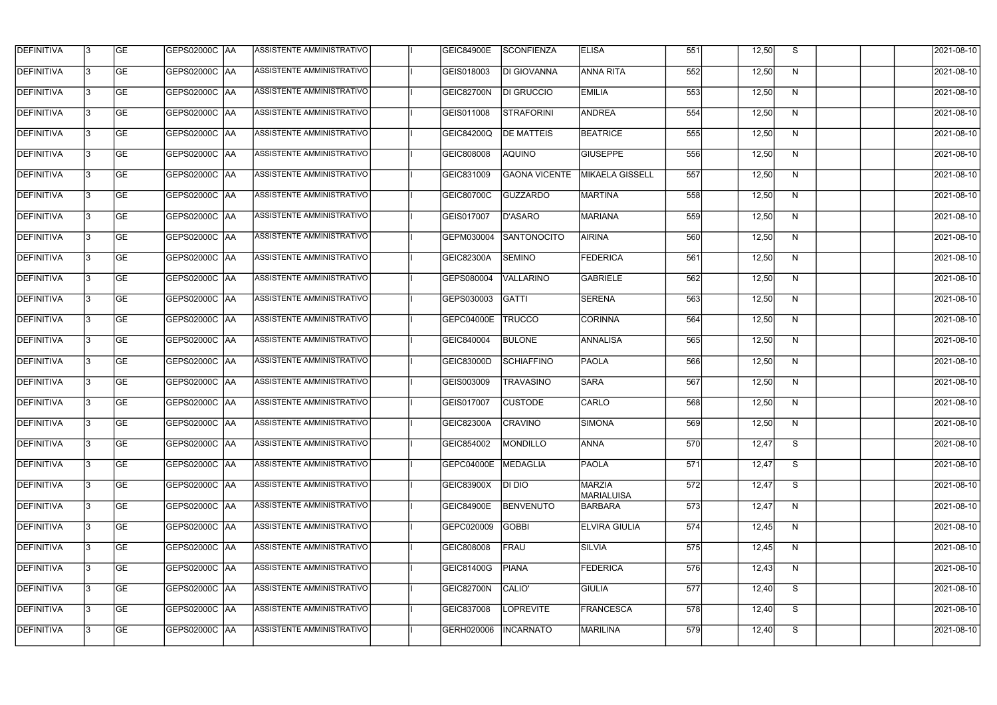| <b>DEFINITIVA</b> | 13  | <b>GE</b> | GEPS02000C  AA       | ASSISTENTE AMMINISTRATIVO        | <b>GEIC84900E</b> | <b>SCONFIENZA</b>    | <b>ELISA</b>                       | 551 | 12,50 | S. | 2021-08-10 |
|-------------------|-----|-----------|----------------------|----------------------------------|-------------------|----------------------|------------------------------------|-----|-------|----|------------|
| DEFINITIVA        | l3  | <b>GE</b> | GEPS02000C  AA       | ASSISTENTE AMMINISTRATIVO        | GEIS018003        | DI GIOVANNA          | <b>ANNA RITA</b>                   | 552 | 12,50 | N  | 2021-08-10 |
| <b>DEFINITIVA</b> | l3  | <b>GE</b> | <b>GEPS02000C AA</b> | ASSISTENTE AMMINISTRATIVO        | GEIC82700N        | DI GRUCCIO           | <b>EMILIA</b>                      | 553 | 12,50 | N  | 2021-08-10 |
| <b>DEFINITIVA</b> | l3  | <b>GE</b> | <b>GEPS02000C AA</b> | ASSISTENTE AMMINISTRATIVO        | GEIS011008        | STRAFORINI           | <b>ANDREA</b>                      | 554 | 12,50 | N  | 2021-08-10 |
| <b>DEFINITIVA</b> | l3  | <b>GE</b> | GEPS02000C  AA       | ASSISTENTE AMMINISTRATIVO        | <b>GEIC84200Q</b> | <b>DE MATTEIS</b>    | <b>BEATRICE</b>                    | 555 | 12,50 | N  | 2021-08-10 |
| <b>DEFINITIVA</b> | IЗ  | <b>GE</b> | GEPS02000C AA        | <b>ASSISTENTE AMMINISTRATIVO</b> | GEIC808008        | <b>AQUINO</b>        | <b>GIUSEPPE</b>                    | 556 | 12,50 | N  | 2021-08-10 |
| <b>DEFINITIVA</b> | l3  | <b>GE</b> | <b>GEPS02000C AA</b> | <b>ASSISTENTE AMMINISTRATIVO</b> | GEIC831009        | <b>GAONA VICENTE</b> | MIKAELA GISSELL                    | 557 | 12,50 | N  | 2021-08-10 |
| <b>DEFINITIVA</b> | l3  | <b>GE</b> | GEPS02000C AA        | ASSISTENTE AMMINISTRATIVO        | GEIC80700C        | <b>GUZZARDO</b>      | MARTINA                            | 558 | 12,50 | N  | 2021-08-10 |
| <b>DEFINITIVA</b> | l3  | <b>GE</b> | GEPS02000C   AA      | ASSISTENTE AMMINISTRATIVO        | GEIS017007        | D'ASARO              | <b>MARIANA</b>                     | 559 | 12,50 | N  | 2021-08-10 |
| <b>DEFINITIVA</b> | l3  | <b>GE</b> | GEPS02000C AA        | ASSISTENTE AMMINISTRATIVO        | GEPM030004        | <b>SANTONOCITO</b>   | <b>AIRINA</b>                      | 560 | 12,50 | N  | 2021-08-10 |
| <b>DEFINITIVA</b> | l3  | <b>GE</b> | GEPS02000C AA        | ASSISTENTE AMMINISTRATIVO        | GEIC82300A        | <b>SEMINO</b>        | <b>FEDERICA</b>                    | 561 | 12,50 | N  | 2021-08-10 |
| <b>DEFINITIVA</b> | 13  | <b>GE</b> |                      | ASSISTENTE AMMINISTRATIVO        | GEPS080004        | <b>VALLARINO</b>     | <b>GABRIELE</b>                    | 562 | 12,50 | N  | 2021-08-10 |
| <b>DEFINITIVA</b> | l3  | <b>GE</b> | GEPS02000C  AA       | ASSISTENTE AMMINISTRATIVO        | GEPS030003        | <b>GATTI</b>         | <b>SERENA</b>                      | 563 | 12,50 | N  | 2021-08-10 |
| <b>DEFINITIVA</b> | l3  | <b>GE</b> | GEPS02000C AA        | ASSISTENTE AMMINISTRATIVO        | GEPC04000E        | <b>TRUCCO</b>        | CORINNA                            | 564 | 12,50 | N  | 2021-08-10 |
| <b>DEFINITIVA</b> | 13  | <b>GE</b> | GEPS02000C  AA       | ASSISTENTE AMMINISTRATIVO        | GEIC840004        | <b>BULONE</b>        | ANNALISA                           | 565 | 12,50 | N  | 2021-08-10 |
| <b>DEFINITIVA</b> | IЗ  | <b>GE</b> | GEPS02000C  AA       | ASSISTENTE AMMINISTRATIVO        | GEIC83000D        | <b>SCHIAFFINO</b>    | PAOLA                              | 566 | 12,50 | N  | 2021-08-10 |
| <b>DEFINITIVA</b> | l3  | <b>GE</b> | GEPS02000C  AA       | ASSISTENTE AMMINISTRATIVO        | GEIS003009        | <b>TRAVASINO</b>     | <b>SARA</b>                        | 567 | 12,50 | N  | 2021-08-10 |
| <b>DEFINITIVA</b> |     | <b>GE</b> | GEPS02000C  AA       | ASSISTENTE AMMINISTRATIVO        | GEIS017007        | <b>CUSTODE</b>       | CARLO                              | 568 | 12,50 | N  | 2021-08-10 |
| <b>DEFINITIVA</b> | IЗ  | GE        | GEPS02000C  AA       | <b>ASSISTENTE AMMINISTRATIVO</b> | <b>GEIC82300A</b> | <b>CRAVINO</b>       | <b>SIMONA</b>                      | 569 | 12,50 | N, | 2021-08-10 |
| <b>DEFINITIVA</b> | 13. | <b>GE</b> | GEPS02000C AA        | ASSISTENTE AMMINISTRATIVO        | GEIC854002        | MONDILLO             | <b>ANNA</b>                        | 570 | 12,47 | S  | 2021-08-10 |
| <b>DEFINITIVA</b> | 13  | <b>GE</b> | <b>GEPS02000C AA</b> | ASSISTENTE AMMINISTRATIVO        | GEPC04000E        | MEDAGLIA             | <b>PAOLA</b>                       | 571 | 12,47 | S  | 2021-08-10 |
| <b>DEFINITIVA</b> | 13. | <b>GE</b> | GEPS02000C AA        | ASSISTENTE AMMINISTRATIVO        | GEIC83900X        | DI DIO               | <b>MARZIA</b><br><b>MARIALUISA</b> | 572 | 12,47 | S  | 2021-08-10 |
| <b>DEFINITIVA</b> | 13  | <b>GE</b> | <b>GEPS02000C AA</b> | ASSISTENTE AMMINISTRATIVO        | <b>GEIC84900E</b> | <b>BENVENUTO</b>     | <b>BARBARA</b>                     | 573 | 12,47 | N  | 2021-08-10 |
| <b>DEFINITIVA</b> | 13  | <b>GE</b> | GEPS02000C AA        | ASSISTENTE AMMINISTRATIVO        | GEPC020009        | <b>GOBBI</b>         | <b>ELVIRA GIULIA</b>               | 574 | 12,45 | N  | 2021-08-10 |
| <b>DEFINITIVA</b> | l3  | <b>GE</b> | GEPS02000C  AA       | ASSISTENTE AMMINISTRATIVO        | GEIC808008        | FRAU                 | <b>SILVIA</b>                      | 575 | 12,45 | N  | 2021-08-10 |
| DEFINITIVA        | l3  | <b>GE</b> | GEPS02000C  AA       | ASSISTENTE AMMINISTRATIVO        | GEIC81400G        | <b>PIANA</b>         | <b>FEDERICA</b>                    | 576 | 12,43 | N  | 2021-08-10 |
| DEFINITIVA        | l3  | <b>GE</b> | GEPS02000C  AA       | ASSISTENTE AMMINISTRATIVO        | GEIC82700N        | CALIO'               | <b>GIULIA</b>                      | 577 | 12,40 | S  | 2021-08-10 |
| DEFINITIVA        | l3  | <b>GE</b> | <b>GEPS02000C AA</b> | ASSISTENTE AMMINISTRATIVO        | GEIC837008        | <b>LOPREVITE</b>     | <b>FRANCESCA</b>                   | 578 | 12,40 | S  | 2021-08-10 |
| <b>DEFINITIVA</b> | Iз  | <b>GE</b> | GEPS02000C  AA       | ASSISTENTE AMMINISTRATIVO        | GERH020006        | <b>INCARNATO</b>     | MARILINA                           | 579 | 12,40 | S  | 2021-08-10 |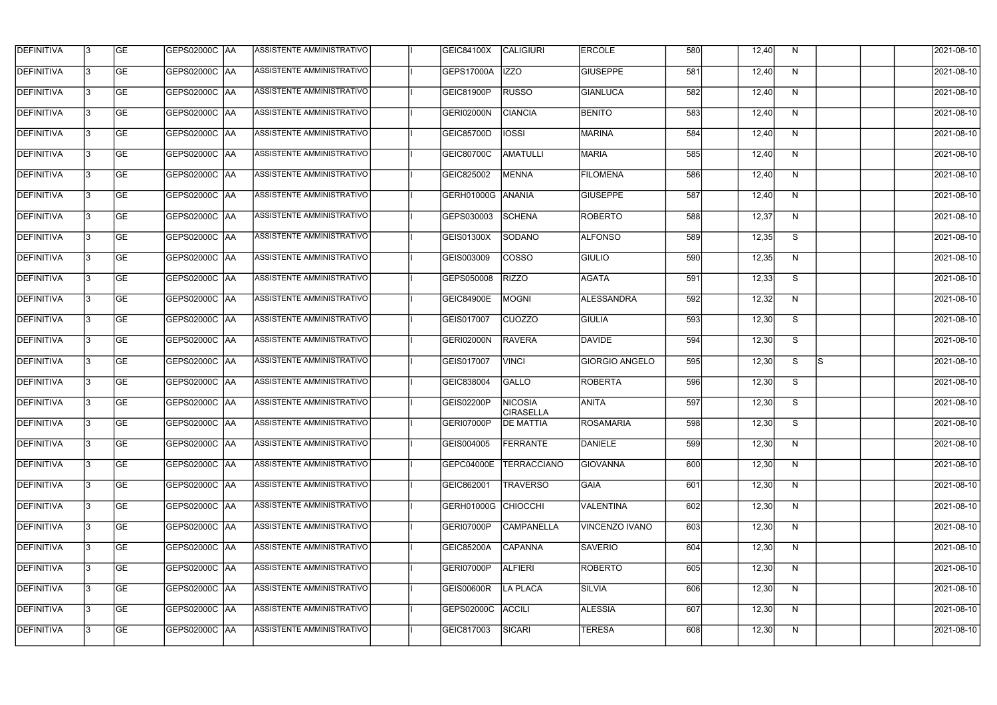| <b>GE</b><br>DEFINITIVA<br>GEPS02000C  AA<br>ASSISTENTE AMMINISTRATIVO<br><b>IZZO</b><br><b>GIUSEPPE</b><br>581<br>N<br>l3<br><b>GEPS17000A</b><br>12,40<br><b>DEFINITIVA</b><br><b>GE</b><br><b>GEPS02000C AA</b><br>ASSISTENTE AMMINISTRATIVO<br><b>RUSSO</b><br><b>GIANLUCA</b><br>582<br>l3<br>12,40<br>N<br>GEIC81900P<br><b>GEPS02000C AA</b><br>ASSISTENTE AMMINISTRATIVO<br><b>CIANCIA</b><br><b>BENITO</b><br>13<br><b>GE</b><br><b>GERI02000N</b><br>583<br>12,40<br>N<br><b>DEFINITIVA</b><br>ASSISTENTE AMMINISTRATIVO<br><b>IOSSI</b><br><b>MARINA</b><br><b>GE</b><br>GEPS02000C  AA<br>584<br>12,40<br>N<br>l3<br>GEIC85700D<br>ASSISTENTE AMMINISTRATIVO<br><b>AMATULLI</b><br><b>GE</b><br>GEPS02000C AA<br><b>MARIA</b><br>585<br>N<br>GEIC80700C<br>12,40<br>IЗ<br><b>ASSISTENTE AMMINISTRATIVO</b><br><b>GE</b><br><b>GEPS02000C AA</b><br>GEIC825002<br><b>MENNA</b><br><b>FILOMENA</b><br>586<br>l3<br>12,40<br>N<br>ASSISTENTE AMMINISTRATIVO<br><b>GE</b><br>GEPS02000C AA<br>GERH01000G ANANIA<br><b>GIUSEPPE</b><br>587<br>l3<br>12,40<br>N<br><b>DEFINITIVA</b><br><b>GE</b><br>ASSISTENTE AMMINISTRATIVO<br><b>ROBERTO</b><br>GEPS02000C  AA<br>GEPS030003<br><b>SCHENA</b><br>588<br>12,37<br>N<br>l3<br><b>GE</b><br>GEPS02000C AA<br>ASSISTENTE AMMINISTRATIVO<br><b>ALFONSO</b><br>589<br>S<br>GEIS01300X<br>SODANO<br>12,35<br>l3<br><b>GE</b><br>GEPS02000C AA<br>ASSISTENTE AMMINISTRATIVO<br>l3<br>GEIS003009<br><b>COSSO</b><br><b>GIULIO</b><br>590<br>12,35<br>N<br>ASSISTENTE AMMINISTRATIVO<br>GEPS02000C AA<br><b>RIZZO</b><br><b>AGATA</b><br>591<br>S<br>13<br><b>GE</b><br>GEPS050008<br>12,33<br><b>DEFINITIVA</b><br><b>GE</b><br>GEPS02000C  AA<br>ASSISTENTE AMMINISTRATIVO<br><b>MOGNI</b><br>ALESSANDRA<br>592<br>l3<br><b>GEIC84900E</b><br>12,32<br>N<br>GEPS02000C AA<br>ASSISTENTE AMMINISTRATIVO<br><b>CUOZZO</b><br>593<br>S<br><b>GE</b><br>GIULIA<br>12,30<br>l3<br>GEIS017007<br>ASSISTENTE AMMINISTRATIVO<br>13<br><b>GE</b><br>GEPS02000C  AA<br>GERI02000N<br><b>RAVERA</b><br><b>DAVIDE</b><br>594<br>S<br>12,30<br><b>GE</b><br>ASSISTENTE AMMINISTRATIVO<br>595<br>S<br>ls.<br>GEPS02000C  AA<br>GEIS017007<br><b>VINCI</b><br><b>GIORGIO ANGELO</b><br>12,30<br>IЗ<br><b>GE</b><br>S<br>GEPS02000C  AA<br>ASSISTENTE AMMINISTRATIVO<br>GEIC838004<br>GALLO<br><b>ROBERTA</b><br>596<br>IЗ<br>12,30<br><b>DEFINITIVA</b><br><b>GE</b><br><b>NICOSIA</b><br>597<br>S<br>GEPS02000C  AA<br><b>ASSISTENTE AMMINISTRATIVO</b><br>GEIS02200P<br><b>ANITA</b><br>12,30<br><b>CIRASELLA</b><br>IЗ<br> GE<br> GEPS02000C  AA<br><b>ASSISTENTE AMMINISTRATIVO</b><br>GERI07000P<br><b>DE MATTIA</b><br>ROSAMARIA<br>598<br>12,30<br>S.<br><b>GEPS02000C AA</b><br>ASSISTENTE AMMINISTRATIVO<br><b>FERRANTE</b><br>DANIELE<br>12,30<br><b>GE</b><br>GEIS004005<br>599<br>13<br>N<br><b>GEPS02000C AA</b><br>13<br><b>GE</b><br>ASSISTENTE AMMINISTRATIVO<br>GEPC04000E<br><b>TERRACCIANO</b><br><b>GIOVANNA</b><br>600<br>12,30<br>N<br><b>GE</b><br>GEPS02000C AA<br>ASSISTENTE AMMINISTRATIVO<br><b>TRAVERSO</b><br>601<br>GEIC862001<br><b>GAIA</b><br>12,30<br>N<br>13.<br><b>GE</b><br><b>GEPS02000C AA</b><br>ASSISTENTE AMMINISTRATIVO<br>GERH01000G CHIOCCHI<br><b>VALENTINA</b><br>602<br>13<br>12,30<br>N<br><b>GE</b><br>GEPS02000C AA<br>ASSISTENTE AMMINISTRATIVO<br><b>CAMPANELLA</b><br>603<br>13<br>GERI07000P<br>VINCENZO IVANO<br>12,30<br>N<br><b>GE</b><br>ASSISTENTE AMMINISTRATIVO<br><b>CAPANNA</b><br><b>SAVERIO</b><br>604<br>13.<br>GEPS02000C  AA<br><b>GEIC85200A</b><br>12,30<br>N<br><b>GE</b><br>ASSISTENTE AMMINISTRATIVO<br>DEFINITIVA<br> GEPS02000C  AA<br>ALFIERI<br><b>ROBERTO</b><br>605<br>GERI07000P<br>12,30<br>N<br>l3<br><b>GE</b><br>ASSISTENTE AMMINISTRATIVO<br>606<br>GEPS02000C  AA<br><b>GEIS00600R</b><br><b>LA PLACA</b><br><b>SILVIA</b><br>l3<br>12,30<br>N | <b>DEFINITIVA</b> | 13 | <b>GE</b> | GEPS02000C  AA       | ASSISTENTE AMMINISTRATIVO | GEIC84100X | CALIGIURI     | <b>ERCOLE</b>  | 580 | 12,40 | N. | 2021-08-10 |
|--------------------------------------------------------------------------------------------------------------------------------------------------------------------------------------------------------------------------------------------------------------------------------------------------------------------------------------------------------------------------------------------------------------------------------------------------------------------------------------------------------------------------------------------------------------------------------------------------------------------------------------------------------------------------------------------------------------------------------------------------------------------------------------------------------------------------------------------------------------------------------------------------------------------------------------------------------------------------------------------------------------------------------------------------------------------------------------------------------------------------------------------------------------------------------------------------------------------------------------------------------------------------------------------------------------------------------------------------------------------------------------------------------------------------------------------------------------------------------------------------------------------------------------------------------------------------------------------------------------------------------------------------------------------------------------------------------------------------------------------------------------------------------------------------------------------------------------------------------------------------------------------------------------------------------------------------------------------------------------------------------------------------------------------------------------------------------------------------------------------------------------------------------------------------------------------------------------------------------------------------------------------------------------------------------------------------------------------------------------------------------------------------------------------------------------------------------------------------------------------------------------------------------------------------------------------------------------------------------------------------------------------------------------------------------------------------------------------------------------------------------------------------------------------------------------------------------------------------------------------------------------------------------------------------------------------------------------------------------------------------------------------------------------------------------------------------------------------------------------------------------------------------------------------------------------------------------------------------------------------------------------------------------------------------------------------------------------------------------------------------------------------------------------------------------------------------------------------------------------------------------------------------------------------------------------------------------------------------------------------------------------------------------------------------------------------------------------------------------------------------------------------------------------------------------------------------------------------------------------------------|-------------------|----|-----------|----------------------|---------------------------|------------|---------------|----------------|-----|-------|----|------------|
| <b>DEFINITIVA</b><br><b>DEFINITIVA</b><br><b>DEFINITIVA</b><br><b>DEFINITIVA</b><br><b>DEFINITIVA</b><br><b>DEFINITIVA</b><br><b>DEFINITIVA</b><br><b>DEFINITIVA</b>                                                                                                                                                                                                                                                                                                                                                                                                                                                                                                                                                                                                                                                                                                                                                                                                                                                                                                                                                                                                                                                                                                                                                                                                                                                                                                                                                                                                                                                                                                                                                                                                                                                                                                                                                                                                                                                                                                                                                                                                                                                                                                                                                                                                                                                                                                                                                                                                                                                                                                                                                                                                                                                                                                                                                                                                                                                                                                                                                                                                                                                                                                                                                                                                                                                                                                                                                                                                                                                                                                                                                                                                                                                                                                     |                   |    |           |                      |                           |            |               |                |     |       |    | 2021-08-10 |
|                                                                                                                                                                                                                                                                                                                                                                                                                                                                                                                                                                                                                                                                                                                                                                                                                                                                                                                                                                                                                                                                                                                                                                                                                                                                                                                                                                                                                                                                                                                                                                                                                                                                                                                                                                                                                                                                                                                                                                                                                                                                                                                                                                                                                                                                                                                                                                                                                                                                                                                                                                                                                                                                                                                                                                                                                                                                                                                                                                                                                                                                                                                                                                                                                                                                                                                                                                                                                                                                                                                                                                                                                                                                                                                                                                                                                                                                          |                   |    |           |                      |                           |            |               |                |     |       |    | 2021-08-10 |
|                                                                                                                                                                                                                                                                                                                                                                                                                                                                                                                                                                                                                                                                                                                                                                                                                                                                                                                                                                                                                                                                                                                                                                                                                                                                                                                                                                                                                                                                                                                                                                                                                                                                                                                                                                                                                                                                                                                                                                                                                                                                                                                                                                                                                                                                                                                                                                                                                                                                                                                                                                                                                                                                                                                                                                                                                                                                                                                                                                                                                                                                                                                                                                                                                                                                                                                                                                                                                                                                                                                                                                                                                                                                                                                                                                                                                                                                          |                   |    |           |                      |                           |            |               |                |     |       |    | 2021-08-10 |
|                                                                                                                                                                                                                                                                                                                                                                                                                                                                                                                                                                                                                                                                                                                                                                                                                                                                                                                                                                                                                                                                                                                                                                                                                                                                                                                                                                                                                                                                                                                                                                                                                                                                                                                                                                                                                                                                                                                                                                                                                                                                                                                                                                                                                                                                                                                                                                                                                                                                                                                                                                                                                                                                                                                                                                                                                                                                                                                                                                                                                                                                                                                                                                                                                                                                                                                                                                                                                                                                                                                                                                                                                                                                                                                                                                                                                                                                          |                   |    |           |                      |                           |            |               |                |     |       |    | 2021-08-10 |
| <b>DEFINITIVA</b><br><b>DEFINITIVA</b><br><b>DEFINITIVA</b><br><b>DEFINITIVA</b><br><b>DEFINITIVA</b><br><b>DEFINITIVA</b><br><b>DEFINITIVA</b><br><b>DEFINITIVA</b><br><b>DEFINITIVA</b><br><b>DEFINITIVA</b><br>DEFINITIVA                                                                                                                                                                                                                                                                                                                                                                                                                                                                                                                                                                                                                                                                                                                                                                                                                                                                                                                                                                                                                                                                                                                                                                                                                                                                                                                                                                                                                                                                                                                                                                                                                                                                                                                                                                                                                                                                                                                                                                                                                                                                                                                                                                                                                                                                                                                                                                                                                                                                                                                                                                                                                                                                                                                                                                                                                                                                                                                                                                                                                                                                                                                                                                                                                                                                                                                                                                                                                                                                                                                                                                                                                                             |                   |    |           |                      |                           |            |               |                |     |       |    | 2021-08-10 |
|                                                                                                                                                                                                                                                                                                                                                                                                                                                                                                                                                                                                                                                                                                                                                                                                                                                                                                                                                                                                                                                                                                                                                                                                                                                                                                                                                                                                                                                                                                                                                                                                                                                                                                                                                                                                                                                                                                                                                                                                                                                                                                                                                                                                                                                                                                                                                                                                                                                                                                                                                                                                                                                                                                                                                                                                                                                                                                                                                                                                                                                                                                                                                                                                                                                                                                                                                                                                                                                                                                                                                                                                                                                                                                                                                                                                                                                                          |                   |    |           |                      |                           |            |               |                |     |       |    | 2021-08-10 |
|                                                                                                                                                                                                                                                                                                                                                                                                                                                                                                                                                                                                                                                                                                                                                                                                                                                                                                                                                                                                                                                                                                                                                                                                                                                                                                                                                                                                                                                                                                                                                                                                                                                                                                                                                                                                                                                                                                                                                                                                                                                                                                                                                                                                                                                                                                                                                                                                                                                                                                                                                                                                                                                                                                                                                                                                                                                                                                                                                                                                                                                                                                                                                                                                                                                                                                                                                                                                                                                                                                                                                                                                                                                                                                                                                                                                                                                                          |                   |    |           |                      |                           |            |               |                |     |       |    | 2021-08-10 |
|                                                                                                                                                                                                                                                                                                                                                                                                                                                                                                                                                                                                                                                                                                                                                                                                                                                                                                                                                                                                                                                                                                                                                                                                                                                                                                                                                                                                                                                                                                                                                                                                                                                                                                                                                                                                                                                                                                                                                                                                                                                                                                                                                                                                                                                                                                                                                                                                                                                                                                                                                                                                                                                                                                                                                                                                                                                                                                                                                                                                                                                                                                                                                                                                                                                                                                                                                                                                                                                                                                                                                                                                                                                                                                                                                                                                                                                                          |                   |    |           |                      |                           |            |               |                |     |       |    | 2021-08-10 |
|                                                                                                                                                                                                                                                                                                                                                                                                                                                                                                                                                                                                                                                                                                                                                                                                                                                                                                                                                                                                                                                                                                                                                                                                                                                                                                                                                                                                                                                                                                                                                                                                                                                                                                                                                                                                                                                                                                                                                                                                                                                                                                                                                                                                                                                                                                                                                                                                                                                                                                                                                                                                                                                                                                                                                                                                                                                                                                                                                                                                                                                                                                                                                                                                                                                                                                                                                                                                                                                                                                                                                                                                                                                                                                                                                                                                                                                                          |                   |    |           |                      |                           |            |               |                |     |       |    | 2021-08-10 |
|                                                                                                                                                                                                                                                                                                                                                                                                                                                                                                                                                                                                                                                                                                                                                                                                                                                                                                                                                                                                                                                                                                                                                                                                                                                                                                                                                                                                                                                                                                                                                                                                                                                                                                                                                                                                                                                                                                                                                                                                                                                                                                                                                                                                                                                                                                                                                                                                                                                                                                                                                                                                                                                                                                                                                                                                                                                                                                                                                                                                                                                                                                                                                                                                                                                                                                                                                                                                                                                                                                                                                                                                                                                                                                                                                                                                                                                                          |                   |    |           |                      |                           |            |               |                |     |       |    | 2021-08-10 |
|                                                                                                                                                                                                                                                                                                                                                                                                                                                                                                                                                                                                                                                                                                                                                                                                                                                                                                                                                                                                                                                                                                                                                                                                                                                                                                                                                                                                                                                                                                                                                                                                                                                                                                                                                                                                                                                                                                                                                                                                                                                                                                                                                                                                                                                                                                                                                                                                                                                                                                                                                                                                                                                                                                                                                                                                                                                                                                                                                                                                                                                                                                                                                                                                                                                                                                                                                                                                                                                                                                                                                                                                                                                                                                                                                                                                                                                                          |                   |    |           |                      |                           |            |               |                |     |       |    | 2021-08-10 |
|                                                                                                                                                                                                                                                                                                                                                                                                                                                                                                                                                                                                                                                                                                                                                                                                                                                                                                                                                                                                                                                                                                                                                                                                                                                                                                                                                                                                                                                                                                                                                                                                                                                                                                                                                                                                                                                                                                                                                                                                                                                                                                                                                                                                                                                                                                                                                                                                                                                                                                                                                                                                                                                                                                                                                                                                                                                                                                                                                                                                                                                                                                                                                                                                                                                                                                                                                                                                                                                                                                                                                                                                                                                                                                                                                                                                                                                                          |                   |    |           |                      |                           |            |               |                |     |       |    | 2021-08-10 |
|                                                                                                                                                                                                                                                                                                                                                                                                                                                                                                                                                                                                                                                                                                                                                                                                                                                                                                                                                                                                                                                                                                                                                                                                                                                                                                                                                                                                                                                                                                                                                                                                                                                                                                                                                                                                                                                                                                                                                                                                                                                                                                                                                                                                                                                                                                                                                                                                                                                                                                                                                                                                                                                                                                                                                                                                                                                                                                                                                                                                                                                                                                                                                                                                                                                                                                                                                                                                                                                                                                                                                                                                                                                                                                                                                                                                                                                                          |                   |    |           |                      |                           |            |               |                |     |       |    | 2021-08-10 |
|                                                                                                                                                                                                                                                                                                                                                                                                                                                                                                                                                                                                                                                                                                                                                                                                                                                                                                                                                                                                                                                                                                                                                                                                                                                                                                                                                                                                                                                                                                                                                                                                                                                                                                                                                                                                                                                                                                                                                                                                                                                                                                                                                                                                                                                                                                                                                                                                                                                                                                                                                                                                                                                                                                                                                                                                                                                                                                                                                                                                                                                                                                                                                                                                                                                                                                                                                                                                                                                                                                                                                                                                                                                                                                                                                                                                                                                                          |                   |    |           |                      |                           |            |               |                |     |       |    | 2021-08-10 |
|                                                                                                                                                                                                                                                                                                                                                                                                                                                                                                                                                                                                                                                                                                                                                                                                                                                                                                                                                                                                                                                                                                                                                                                                                                                                                                                                                                                                                                                                                                                                                                                                                                                                                                                                                                                                                                                                                                                                                                                                                                                                                                                                                                                                                                                                                                                                                                                                                                                                                                                                                                                                                                                                                                                                                                                                                                                                                                                                                                                                                                                                                                                                                                                                                                                                                                                                                                                                                                                                                                                                                                                                                                                                                                                                                                                                                                                                          |                   |    |           |                      |                           |            |               |                |     |       |    | 2021-08-10 |
|                                                                                                                                                                                                                                                                                                                                                                                                                                                                                                                                                                                                                                                                                                                                                                                                                                                                                                                                                                                                                                                                                                                                                                                                                                                                                                                                                                                                                                                                                                                                                                                                                                                                                                                                                                                                                                                                                                                                                                                                                                                                                                                                                                                                                                                                                                                                                                                                                                                                                                                                                                                                                                                                                                                                                                                                                                                                                                                                                                                                                                                                                                                                                                                                                                                                                                                                                                                                                                                                                                                                                                                                                                                                                                                                                                                                                                                                          |                   |    |           |                      |                           |            |               |                |     |       |    | 2021-08-10 |
|                                                                                                                                                                                                                                                                                                                                                                                                                                                                                                                                                                                                                                                                                                                                                                                                                                                                                                                                                                                                                                                                                                                                                                                                                                                                                                                                                                                                                                                                                                                                                                                                                                                                                                                                                                                                                                                                                                                                                                                                                                                                                                                                                                                                                                                                                                                                                                                                                                                                                                                                                                                                                                                                                                                                                                                                                                                                                                                                                                                                                                                                                                                                                                                                                                                                                                                                                                                                                                                                                                                                                                                                                                                                                                                                                                                                                                                                          |                   |    |           |                      |                           |            |               |                |     |       |    | 2021-08-10 |
|                                                                                                                                                                                                                                                                                                                                                                                                                                                                                                                                                                                                                                                                                                                                                                                                                                                                                                                                                                                                                                                                                                                                                                                                                                                                                                                                                                                                                                                                                                                                                                                                                                                                                                                                                                                                                                                                                                                                                                                                                                                                                                                                                                                                                                                                                                                                                                                                                                                                                                                                                                                                                                                                                                                                                                                                                                                                                                                                                                                                                                                                                                                                                                                                                                                                                                                                                                                                                                                                                                                                                                                                                                                                                                                                                                                                                                                                          |                   |    |           |                      |                           |            |               |                |     |       |    | 2021-08-10 |
|                                                                                                                                                                                                                                                                                                                                                                                                                                                                                                                                                                                                                                                                                                                                                                                                                                                                                                                                                                                                                                                                                                                                                                                                                                                                                                                                                                                                                                                                                                                                                                                                                                                                                                                                                                                                                                                                                                                                                                                                                                                                                                                                                                                                                                                                                                                                                                                                                                                                                                                                                                                                                                                                                                                                                                                                                                                                                                                                                                                                                                                                                                                                                                                                                                                                                                                                                                                                                                                                                                                                                                                                                                                                                                                                                                                                                                                                          |                   |    |           |                      |                           |            |               |                |     |       |    | 2021-08-10 |
|                                                                                                                                                                                                                                                                                                                                                                                                                                                                                                                                                                                                                                                                                                                                                                                                                                                                                                                                                                                                                                                                                                                                                                                                                                                                                                                                                                                                                                                                                                                                                                                                                                                                                                                                                                                                                                                                                                                                                                                                                                                                                                                                                                                                                                                                                                                                                                                                                                                                                                                                                                                                                                                                                                                                                                                                                                                                                                                                                                                                                                                                                                                                                                                                                                                                                                                                                                                                                                                                                                                                                                                                                                                                                                                                                                                                                                                                          |                   |    |           |                      |                           |            |               |                |     |       |    | 2021-08-10 |
|                                                                                                                                                                                                                                                                                                                                                                                                                                                                                                                                                                                                                                                                                                                                                                                                                                                                                                                                                                                                                                                                                                                                                                                                                                                                                                                                                                                                                                                                                                                                                                                                                                                                                                                                                                                                                                                                                                                                                                                                                                                                                                                                                                                                                                                                                                                                                                                                                                                                                                                                                                                                                                                                                                                                                                                                                                                                                                                                                                                                                                                                                                                                                                                                                                                                                                                                                                                                                                                                                                                                                                                                                                                                                                                                                                                                                                                                          |                   |    |           |                      |                           |            |               |                |     |       |    | 2021-08-10 |
|                                                                                                                                                                                                                                                                                                                                                                                                                                                                                                                                                                                                                                                                                                                                                                                                                                                                                                                                                                                                                                                                                                                                                                                                                                                                                                                                                                                                                                                                                                                                                                                                                                                                                                                                                                                                                                                                                                                                                                                                                                                                                                                                                                                                                                                                                                                                                                                                                                                                                                                                                                                                                                                                                                                                                                                                                                                                                                                                                                                                                                                                                                                                                                                                                                                                                                                                                                                                                                                                                                                                                                                                                                                                                                                                                                                                                                                                          |                   |    |           |                      |                           |            |               |                |     |       |    | 2021-08-10 |
|                                                                                                                                                                                                                                                                                                                                                                                                                                                                                                                                                                                                                                                                                                                                                                                                                                                                                                                                                                                                                                                                                                                                                                                                                                                                                                                                                                                                                                                                                                                                                                                                                                                                                                                                                                                                                                                                                                                                                                                                                                                                                                                                                                                                                                                                                                                                                                                                                                                                                                                                                                                                                                                                                                                                                                                                                                                                                                                                                                                                                                                                                                                                                                                                                                                                                                                                                                                                                                                                                                                                                                                                                                                                                                                                                                                                                                                                          |                   |    |           |                      |                           |            |               |                |     |       |    | 2021-08-10 |
|                                                                                                                                                                                                                                                                                                                                                                                                                                                                                                                                                                                                                                                                                                                                                                                                                                                                                                                                                                                                                                                                                                                                                                                                                                                                                                                                                                                                                                                                                                                                                                                                                                                                                                                                                                                                                                                                                                                                                                                                                                                                                                                                                                                                                                                                                                                                                                                                                                                                                                                                                                                                                                                                                                                                                                                                                                                                                                                                                                                                                                                                                                                                                                                                                                                                                                                                                                                                                                                                                                                                                                                                                                                                                                                                                                                                                                                                          |                   |    |           |                      |                           |            |               |                |     |       |    | 2021-08-10 |
|                                                                                                                                                                                                                                                                                                                                                                                                                                                                                                                                                                                                                                                                                                                                                                                                                                                                                                                                                                                                                                                                                                                                                                                                                                                                                                                                                                                                                                                                                                                                                                                                                                                                                                                                                                                                                                                                                                                                                                                                                                                                                                                                                                                                                                                                                                                                                                                                                                                                                                                                                                                                                                                                                                                                                                                                                                                                                                                                                                                                                                                                                                                                                                                                                                                                                                                                                                                                                                                                                                                                                                                                                                                                                                                                                                                                                                                                          |                   |    |           |                      |                           |            |               |                |     |       |    | 2021-08-10 |
|                                                                                                                                                                                                                                                                                                                                                                                                                                                                                                                                                                                                                                                                                                                                                                                                                                                                                                                                                                                                                                                                                                                                                                                                                                                                                                                                                                                                                                                                                                                                                                                                                                                                                                                                                                                                                                                                                                                                                                                                                                                                                                                                                                                                                                                                                                                                                                                                                                                                                                                                                                                                                                                                                                                                                                                                                                                                                                                                                                                                                                                                                                                                                                                                                                                                                                                                                                                                                                                                                                                                                                                                                                                                                                                                                                                                                                                                          |                   |    |           |                      |                           |            |               |                |     |       |    | 2021-08-10 |
|                                                                                                                                                                                                                                                                                                                                                                                                                                                                                                                                                                                                                                                                                                                                                                                                                                                                                                                                                                                                                                                                                                                                                                                                                                                                                                                                                                                                                                                                                                                                                                                                                                                                                                                                                                                                                                                                                                                                                                                                                                                                                                                                                                                                                                                                                                                                                                                                                                                                                                                                                                                                                                                                                                                                                                                                                                                                                                                                                                                                                                                                                                                                                                                                                                                                                                                                                                                                                                                                                                                                                                                                                                                                                                                                                                                                                                                                          | DEFINITIVA        | l3 | <b>GE</b> | <b>GEPS02000C AA</b> | ASSISTENTE AMMINISTRATIVO | GEPS02000C | <b>ACCILI</b> | <b>ALESSIA</b> | 607 | 12,30 | N  | 2021-08-10 |
| <b>DEFINITIVA</b><br>ASSISTENTE AMMINISTRATIVO<br>lЗ<br><b>GE</b><br>GEPS02000C  AA<br><b>SICARI</b><br><b>TERESA</b><br>608<br>12,30<br>GEIC817003<br>N                                                                                                                                                                                                                                                                                                                                                                                                                                                                                                                                                                                                                                                                                                                                                                                                                                                                                                                                                                                                                                                                                                                                                                                                                                                                                                                                                                                                                                                                                                                                                                                                                                                                                                                                                                                                                                                                                                                                                                                                                                                                                                                                                                                                                                                                                                                                                                                                                                                                                                                                                                                                                                                                                                                                                                                                                                                                                                                                                                                                                                                                                                                                                                                                                                                                                                                                                                                                                                                                                                                                                                                                                                                                                                                 |                   |    |           |                      |                           |            |               |                |     |       |    | 2021-08-10 |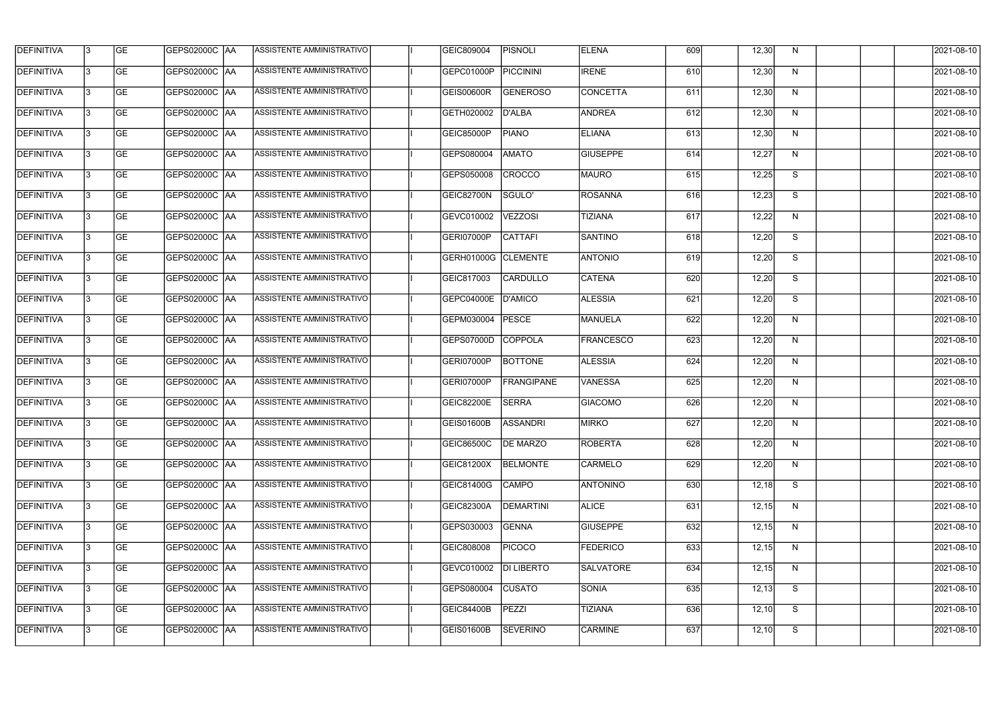| <b>DEFINITIVA</b> | 13  | <b>GE</b> | <b>GEPS02000C AA</b> | ASSISTENTE AMMINISTRATIVO        | GEIC809004          | <b>PISNOLI</b>    | <b>ELENA</b>     | 609 | 12,30 | N | 2021-08-10 |
|-------------------|-----|-----------|----------------------|----------------------------------|---------------------|-------------------|------------------|-----|-------|---|------------|
| <b>DEFINITIVA</b> | l3  | <b>GE</b> | <b>GEPS02000C AA</b> | ASSISTENTE AMMINISTRATIVO        | GEPC01000P          | <b>PICCININI</b>  | <b>IRENE</b>     | 610 | 12,30 | N | 2021-08-10 |
| <b>DEFINITIVA</b> | l3  | <b>GE</b> | GEPS02000C AA        | ASSISTENTE AMMINISTRATIVO        | <b>GEIS00600R</b>   | <b>GENEROSO</b>   | <b>CONCETTA</b>  | 611 | 12,30 | N | 2021-08-10 |
| <b>DEFINITIVA</b> | l3  | <b>GE</b> | <b>GEPS02000C AA</b> | ASSISTENTE AMMINISTRATIVO        | GETH020002          | D'ALBA            | <b>ANDREA</b>    | 612 | 12,30 | N | 2021-08-10 |
| <b>DEFINITIVA</b> | l3  | <b>GE</b> | <b>GEPS02000C AA</b> | <b>ASSISTENTE AMMINISTRATIVO</b> | <b>GEIC85000P</b>   | <b>PIANO</b>      | <b>ELIANA</b>    | 613 | 12,30 | N | 2021-08-10 |
| <b>DEFINITIVA</b> | l3  | <b>GE</b> | <b>GEPS02000C AA</b> | <b>ASSISTENTE AMMINISTRATIVO</b> | GEPS080004          | <b>AMATO</b>      | <b>GIUSEPPE</b>  | 614 | 12,27 | N | 2021-08-10 |
| <b>DEFINITIVA</b> | l3  | <b>GE</b> | GEPS02000C AA        | <b>ASSISTENTE AMMINISTRATIVO</b> | GEPS050008          | <b>CROCCO</b>     | MAURO            | 615 | 12,25 | S | 2021-08-10 |
| <b>DEFINITIVA</b> | l3  | <b>GE</b> | <b>GEPS02000C AA</b> | ASSISTENTE AMMINISTRATIVO        | GEIC82700N          | SGULO'            | <b>ROSANNA</b>   | 616 | 12,23 | S | 2021-08-10 |
| <b>DEFINITIVA</b> |     | <b>GE</b> | GEPS02000C  AA       | ASSISTENTE AMMINISTRATIVO        | GEVC010002          | <b>VEZZOSI</b>    | <b>TIZIANA</b>   | 617 | 12,22 | N | 2021-08-10 |
| <b>DEFINITIVA</b> | l3  | <b>GE</b> | GEPS02000C  AA       | ASSISTENTE AMMINISTRATIVO        | GERI07000P          | <b>CATTAFI</b>    | <b>SANTINO</b>   | 618 | 12,20 | S | 2021-08-10 |
| DEFINITIVA        | 13  | <b>GE</b> | GEPS02000C AA        | ASSISTENTE AMMINISTRATIVO        | GERH01000G CLEMENTE |                   | <b>ANTONIO</b>   | 619 | 12,20 | S | 2021-08-10 |
| <b>DEFINITIVA</b> | l3  | <b>GE</b> |                      | ASSISTENTE AMMINISTRATIVO        | GEIC817003          | CARDULLO          | <b>CATENA</b>    | 620 | 12,20 | S | 2021-08-10 |
| <b>DEFINITIVA</b> | l3  | <b>GE</b> | GEPS02000C AA        | ASSISTENTE AMMINISTRATIVO        | GEPC04000E          | D'AMICO           | <b>ALESSIA</b>   | 621 | 12,20 | S | 2021-08-10 |
| <b>DEFINITIVA</b> | l3  | <b>GE</b> | GEPS02000C  AA       | ASSISTENTE AMMINISTRATIVO        | GEPM030004          | <b>PESCE</b>      | MANUELA          | 622 | 12,20 | N | 2021-08-10 |
| <b>DEFINITIVA</b> | l3  | <b>GE</b> | GEPS02000C  AA       | ASSISTENTE AMMINISTRATIVO        | GEPS07000D          | COPPOLA           | <b>FRANCESCO</b> | 623 | 12,20 | N | 2021-08-10 |
| <b>DEFINITIVA</b> | IЗ  | <b>GE</b> |                      | ASSISTENTE AMMINISTRATIVO        | GERI07000P          | <b>BOTTONE</b>    | <b>ALESSIA</b>   | 624 | 12,20 | N | 2021-08-10 |
| <b>DEFINITIVA</b> | I3  | <b>GE</b> | GEPS02000C  AA       | ASSISTENTE AMMINISTRATIVO        | GERI07000P          | <b>FRANGIPANE</b> | VANESSA          | 625 | 12,20 | N | 2021-08-10 |
| DEFINITIVA        |     | <b>GE</b> | GEPS02000C  AA       | ASSISTENTE AMMINISTRATIVO        | <b>GEIC82200E</b>   | <b>SERRA</b>      | <b>GIACOMO</b>   | 626 | 12,20 | N | 2021-08-10 |
| <b>DEFINITIVA</b> | 13  | <b>GE</b> | GEPS02000C  AA       | ASSISTENTE AMMINISTRATIVO        | <b>GEIS01600B</b>   | <b>ASSANDRI</b>   | MIRKO            | 627 | 12,20 | N | 2021-08-10 |
| <b>DEFINITIVA</b> | 13  | <b>GE</b> | <b>GEPS02000C AA</b> | ASSISTENTE AMMINISTRATIVO        | <b>GEIC86500C</b>   | <b>DE MARZO</b>   | <b>ROBERTA</b>   | 628 | 12,20 | N | 2021-08-10 |
| <b>DEFINITIVA</b> | 13  | <b>GE</b> | GEPS02000C  AA       | ASSISTENTE AMMINISTRATIVO        | GEIC81200X          | <b>BELMONTE</b>   | <b>CARMELO</b>   | 629 | 12,20 | N | 2021-08-10 |
| <b>DEFINITIVA</b> | 13  | <b>GE</b> | <b>GEPS02000C AA</b> | ASSISTENTE AMMINISTRATIVO        | GEIC81400G          | <b>CAMPO</b>      | <b>ANTONINO</b>  | 630 | 12,18 | S | 2021-08-10 |
| <b>DEFINITIVA</b> | 13  | <b>GE</b> | GEPS02000C AA        | ASSISTENTE AMMINISTRATIVO        | GEIC82300A          | <b>DEMARTINI</b>  | <b>ALICE</b>     | 631 | 12,15 | N | 2021-08-10 |
| <b>DEFINITIVA</b> | 13  | <b>GE</b> | <b>GEPS02000C AA</b> | ASSISTENTE AMMINISTRATIVO        | GEPS030003          | <b>GENNA</b>      | <b>GIUSEPPE</b>  | 632 | 12,15 | N | 2021-08-10 |
| <b>DEFINITIVA</b> | IЗ  | <b>GE</b> | GEPS02000C  AA       | ASSISTENTE AMMINISTRATIVO        | GEIC808008          | <b>PICOCO</b>     | <b>FEDERICO</b>  | 633 | 12,15 | N | 2021-08-10 |
| DEFINITIVA        | IЗ  | <b>GE</b> | GEPS02000C  AA       | ASSISTENTE AMMINISTRATIVO        | GEVC010002          | <b>DI LIBERTO</b> | <b>SALVATORE</b> | 634 | 12,15 | N | 2021-08-10 |
| <b>DEFINITIVA</b> | l3  | <b>GE</b> | GEPS02000C  AA       | ASSISTENTE AMMINISTRATIVO        | GEPS080004          | <b>CUSATO</b>     | <b>SONIA</b>     | 635 | 12,13 | S | 2021-08-10 |
| <b>DEFINITIVA</b> | 13. | <b>GE</b> | GEPS02000C  AA       | ASSISTENTE AMMINISTRATIVO        | <b>GEIC84400B</b>   | PEZZI             | <b>TIZIANA</b>   | 636 | 12,10 | S | 2021-08-10 |
| <b>DEFINITIVA</b> | l3  | <b>GE</b> | GEPS02000C  AA       | ASSISTENTE AMMINISTRATIVO        | GEIS01600B          | <b>SEVERINO</b>   | <b>CARMINE</b>   | 637 | 12,10 | S | 2021-08-10 |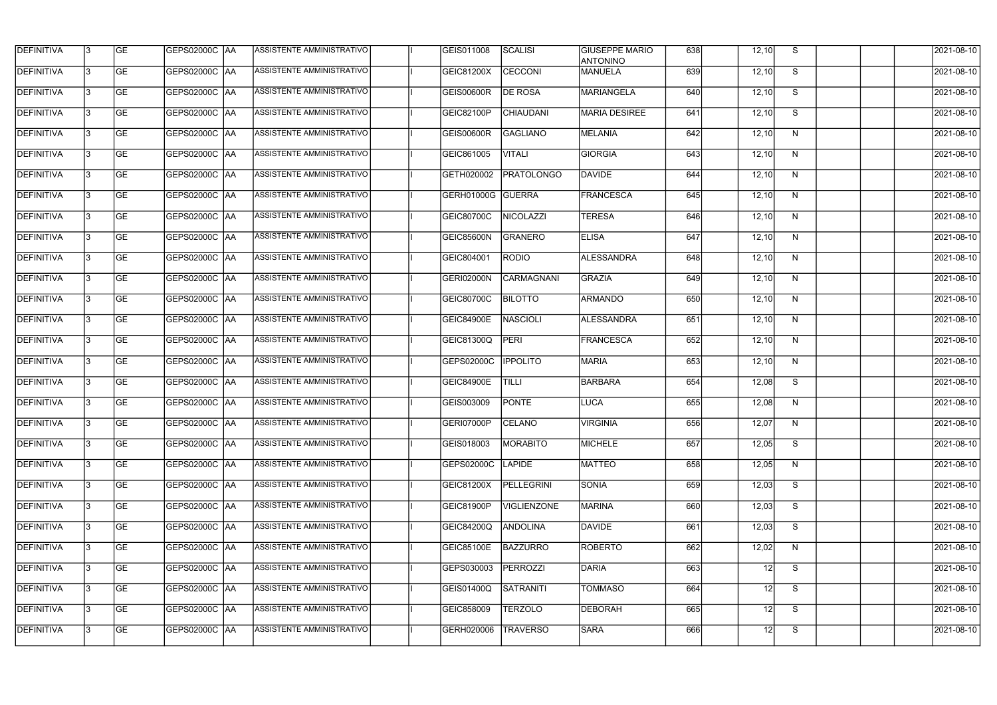| <b>DEFINITIVA</b> | <b>GE</b>       | GEPS02000C  AA         | ASSISTENTE AMMINISTRATIVO        | GEIS011008        | <b>SCALISI</b>     | <b>GIUSEPPE MARIO</b><br><b>ANTONINO</b> | 638 | 12,10 | S.           | 2021-08-10          |
|-------------------|-----------------|------------------------|----------------------------------|-------------------|--------------------|------------------------------------------|-----|-------|--------------|---------------------|
| DEFINITIVA        | <b>GE</b>       | GEPS02000C  AA         | ASSISTENTE AMMINISTRATIVO        | GEIC81200X        | <b>CECCONI</b>     | <b>MANUELA</b>                           | 639 | 12,10 | S            | 2021-08-10          |
| <b>DEFINITIVA</b> | <b>GE</b>       | <b>GEPS02000C AA</b>   | ASSISTENTE AMMINISTRATIVO        | GEIS00600R        | <b>DE ROSA</b>     | MARIANGELA                               | 640 | 12,10 | S            | 2021-08-10          |
| <b>DEFINITIVA</b> | <b>GE</b>       | GEPS02000C AA          | ASSISTENTE AMMINISTRATIVO        | GEIC82100P        | <b>CHIAUDANI</b>   | <b>MARIA DESIREE</b>                     | 641 | 12,10 | S            | 2021-08-10          |
| <b>DEFINITIVA</b> | <b>GE</b>       | GEPS02000C AA          | <b>ASSISTENTE AMMINISTRATIVO</b> | <b>GEIS00600R</b> | GAGLIANO           | <b>MELANIA</b>                           | 642 | 12,10 | N            | 2021-08-10          |
| <b>DEFINITIVA</b> | <b>GE</b>       | GEPS02000C AA          | <b>ASSISTENTE AMMINISTRATIVO</b> | GEIC861005        | <b>VITALI</b>      | <b>GIORGIA</b>                           | 643 | 12,10 | N            | 2021-08-10          |
| <b>DEFINITIVA</b> | <b>GE</b>       | GEPS02000C AA          | ASSISTENTE AMMINISTRATIVO        | GETH020002        | <b>PRATOLONGO</b>  | DAVIDE                                   | 644 | 12,10 | N            | 2021-08-10          |
| <b>DEFINITIVA</b> | <b>GE</b>       | GEPS02000C AA          | ASSISTENTE AMMINISTRATIVO        | GERH01000G GUERRA |                    | <b>FRANCESCA</b>                         | 645 | 12,10 | N            | 2021-08-10          |
| DEFINITIVA        | <b>GE</b>       | GEPS02000C  AA         | ASSISTENTE AMMINISTRATIVO        | GEIC80700C        | NICOLAZZI          | <b>TERESA</b>                            | 646 | 12,10 | N            | 2021-08-10          |
| DEFINITIVA        | <b>GE</b>       | GEPS02000C  AA         | ASSISTENTE AMMINISTRATIVO        | <b>GEIC85600N</b> | GRANERO            | <b>ELISA</b>                             | 647 | 12,10 | N            | 2021-08-10          |
| DEFINITIVA        | <b>GE</b>       | GEPS02000C  AA         | ASSISTENTE AMMINISTRATIVO        | GEIC804001        | <b>RODIO</b>       | <b>ALESSANDRA</b>                        | 648 | 12,10 | N            | 2021-08-10          |
| <b>DEFINITIVA</b> | <b>GE</b>       | GEPS02000C AA          | ASSISTENTE AMMINISTRATIVO        | <b>GERI02000N</b> | CARMAGNANI         | <b>GRAZIA</b>                            | 649 | 12,10 | $\mathsf{N}$ | 2021-08-10          |
| <b>DEFINITIVA</b> | <b>GE</b>       |                        | ASSISTENTE AMMINISTRATIVO        | <b>GEIC80700C</b> | <b>BILOTTO</b>     | <b>ARMANDO</b>                           | 650 | 12,10 | N            | 2021-08-10          |
| <b>DEFINITIVA</b> | <b>GE</b>       |                        | ASSISTENTE AMMINISTRATIVO        | <b>GEIC84900E</b> | <b>NASCIOLI</b>    | ALESSANDRA                               | 651 | 12,10 | N            | 2021-08-10          |
| <b>DEFINITIVA</b> | <b>GE</b>       |                        | ASSISTENTE AMMINISTRATIVO        | GEIC81300Q        | <b>PERI</b>        | <b>FRANCESCA</b>                         | 652 | 12,10 | N            | 2021-08-10          |
| <b>DEFINITIVA</b> | <b>GE</b>       | GEPS02000C  AA         | ASSISTENTE AMMINISTRATIVO        | GEPS02000C        | <b>IPPOLITO</b>    | <b>MARIA</b>                             | 653 | 12,10 | N            | 2021-08-10          |
| DEFINITIVA        | <b>GE</b>       | GEPS02000C  AA         | ASSISTENTE AMMINISTRATIVO        | <b>GEIC84900E</b> | TILLI              | BARBARA                                  | 654 | 12,08 | S            | 2021-08-10          |
| <b>DEFINITIVA</b> | <b>GE</b>       | GEPS02000C  AA         | ASSISTENTE AMMINISTRATIVO        | GEIS003009        | <b>PONTE</b>       | LUCA                                     | 655 | 12,08 | N            | 2021-08-10          |
| DEFINITIVA        | GE              | GEPS02000C  AA         | <b>ASSISTENTE AMMINISTRATIVO</b> | GERI07000P        | <b>CELANO</b>      | VIRGINIA                                 | 656 | 12,07 | N,           | 2021-08-10          |
| <b>DEFINITIVA</b> | <b>GE</b>       | GEPS02000C AA          | ASSISTENTE AMMINISTRATIVO        | GEIS018003        | <b>MORABITO</b>    | MICHELE                                  | 657 | 12,05 | S            | 2021-08-10          |
| <b>DEFINITIVA</b> | <b>GE</b>       | GEPS02000C  AA         | ASSISTENTE AMMINISTRATIVO        | GEPS02000C        | <b>LAPIDE</b>      | MATTEO                                   | 658 | 12,05 | N            | 2021-08-10          |
| <b>DEFINITIVA</b> | GE              | GEPS02000C AA          | ASSISTENTE AMMINISTRATIVO        | GEIC81200X        | PELLEGRINI         | SONIA                                    | 659 | 12,03 | S            | $\sqrt{2021-08-10}$ |
| <b>DEFINITIVA</b> | <b>GE</b>       | GEPS02000C AA          | ASSISTENTE AMMINISTRATIVO        | GEIC81900P        | <b>VIGLIENZONE</b> | <b>MARINA</b>                            | 660 | 12,03 | S            | 2021-08-10          |
| <b>DEFINITIVA</b> | $\overline{GE}$ | <b>GEPS02000C AA</b>   | ASSISTENTE AMMINISTRATIVO        | GEIC84200Q        | <b>ANDOLINA</b>    | <b>DAVIDE</b>                            | 661 | 12,03 | S            | 2021-08-10          |
| <b>DEFINITIVA</b> | <b>GE</b>       | <b>GEPS02000C AA</b>   | ASSISTENTE AMMINISTRATIVO        | <b>GEIC85100E</b> | BAZZURRO           | <b>ROBERTO</b>                           | 662 | 12,02 | N            | 2021-08-10          |
| <b>DEFINITIVA</b> | <b>GE</b>       | GEPS02000C  AA         | ASSISTENTE AMMINISTRATIVO        | GEPS030003        | PERROZZI           | DARIA                                    | 663 | 12    | S            | 2021-08-10          |
| DEFINITIVA        | <b>GE</b>       | <b>GEPS02000C   AA</b> | ASSISTENTE AMMINISTRATIVO        | GEIS01400Q        | SATRANITI          | <b>TOMMASO</b>                           | 664 | 12    | S            | 2021-08-10          |
| <b>DEFINITIVA</b> | <b>GE</b>       | GEPS02000C AA          | ASSISTENTE AMMINISTRATIVO        | GEIC858009        | <b>TERZOLO</b>     | DEBORAH                                  | 665 | 12    | S            | 2021-08-10          |
| <b>DEFINITIVA</b> | <b>GE</b>       | GEPS02000C  AA         | ASSISTENTE AMMINISTRATIVO        | GERH020006        | <b>TRAVERSO</b>    | <b>SARA</b>                              | 666 | 12    | S            | 2021-08-10          |
|                   |                 |                        |                                  |                   |                    |                                          |     |       |              |                     |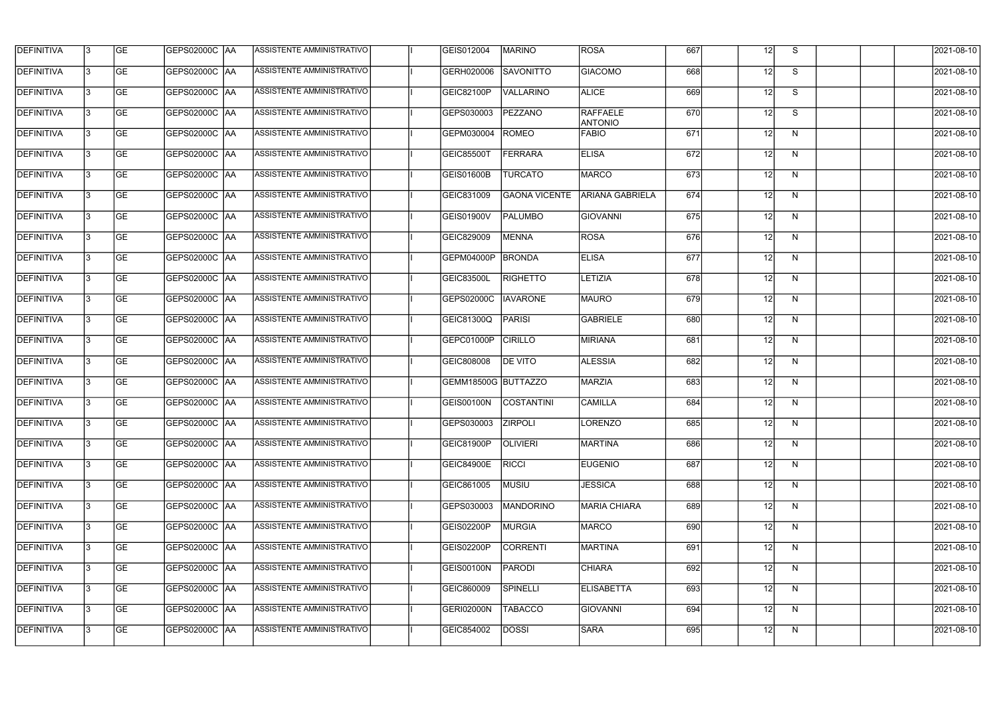| <b>DEFINITIVA</b> | 13  | <b>GE</b> | GEPS02000C  AA       | ASSISTENTE AMMINISTRATIVO        | GEIS012004          | MARINO               | ROSA                              | 667 | 12 <sup>1</sup> | S. | 2021-08-10 |
|-------------------|-----|-----------|----------------------|----------------------------------|---------------------|----------------------|-----------------------------------|-----|-----------------|----|------------|
| DEFINITIVA        | l3  | <b>GE</b> | GEPS02000C  AA       | ASSISTENTE AMMINISTRATIVO        | GERH020006          | <b>SAVONITTO</b>     | <b>GIACOMO</b>                    | 668 | 12              | S  | 2021-08-10 |
| <b>DEFINITIVA</b> | l3  | <b>GE</b> | <b>GEPS02000C AA</b> | ASSISTENTE AMMINISTRATIVO        | GEIC82100P          | <b>VALLARINO</b>     | <b>ALICE</b>                      | 669 | 12              | S  | 2021-08-10 |
| <b>DEFINITIVA</b> | 13  | <b>GE</b> | <b>GEPS02000C AA</b> | ASSISTENTE AMMINISTRATIVO        | GEPS030003          | PEZZANO              | <b>RAFFAELE</b><br><b>ANTONIO</b> | 670 | 12              | S  | 2021-08-10 |
| <b>DEFINITIVA</b> | l3  | <b>GE</b> | GEPS02000C  AA       | ASSISTENTE AMMINISTRATIVO        | GEPM030004          | <b>ROMEO</b>         | <b>FABIO</b>                      | 671 | 12 <sup>1</sup> | N  | 2021-08-10 |
| <b>DEFINITIVA</b> | IЗ  | <b>GE</b> | <b>GEPS02000C AA</b> | <b>ASSISTENTE AMMINISTRATIVO</b> | GEIC85500T          | <b>FERRARA</b>       | <b>ELISA</b>                      | 672 | 12              | N  | 2021-08-10 |
| <b>DEFINITIVA</b> | l3  | <b>GE</b> | <b>GEPS02000C AA</b> | <b>ASSISTENTE AMMINISTRATIVO</b> | GEIS01600B          | <b>TURCATO</b>       | MARCO                             | 673 | 12              | N  | 2021-08-10 |
| <b>DEFINITIVA</b> | l3  | <b>GE</b> | GEPS02000C AA        | ASSISTENTE AMMINISTRATIVO        | GEIC831009          | <b>GAONA VICENTE</b> | <b>ARIANA GABRIELA</b>            | 674 | 12              | N  | 2021-08-10 |
| <b>DEFINITIVA</b> | l3  | <b>GE</b> | GEPS02000C  AA       | ASSISTENTE AMMINISTRATIVO        | <b>GEIS01900V</b>   | <b>PALUMBO</b>       | <b>GIOVANNI</b>                   | 675 | 12 <sup>1</sup> | N  | 2021-08-10 |
| <b>DEFINITIVA</b> | l3  | <b>GE</b> | GEPS02000C AA        | ASSISTENTE AMMINISTRATIVO        | GEIC829009          | <b>MENNA</b>         | <b>ROSA</b>                       | 676 | 12              | N  | 2021-08-10 |
| <b>DEFINITIVA</b> | l3  | <b>GE</b> | GEPS02000C AA        | ASSISTENTE AMMINISTRATIVO        | GEPM04000P          | <b>BRONDA</b>        | <b>ELISA</b>                      | 677 | 12              | N  | 2021-08-10 |
| <b>DEFINITIVA</b> | 13  | <b>GE</b> | GEPS02000C  AA       | ASSISTENTE AMMINISTRATIVO        | <b>GEIC83500L</b>   | <b>RIGHETTO</b>      | LETIZIA                           | 678 | 12              | N  | 2021-08-10 |
| <b>DEFINITIVA</b> | l3  | <b>GE</b> | GEPS02000C  AA       | ASSISTENTE AMMINISTRATIVO        | GEPS02000C          | <b>IAVARONE</b>      | <b>MAURO</b>                      | 679 | 12              | N  | 2021-08-10 |
| <b>DEFINITIVA</b> | l3  | <b>GE</b> | GEPS02000C AA        | ASSISTENTE AMMINISTRATIVO        | GEIC81300Q          | <b>PARISI</b>        | <b>GABRIELE</b>                   | 680 | 12              | N  | 2021-08-10 |
| <b>DEFINITIVA</b> | l3  | <b>GE</b> | GEPS02000C  AA       | ASSISTENTE AMMINISTRATIVO        | GEPC01000P          | <b>CIRILLO</b>       | MIRIANA                           | 681 | 12              | N  | 2021-08-10 |
| <b>DEFINITIVA</b> | l3  | <b>GE</b> | GEPS02000C AA        | ASSISTENTE AMMINISTRATIVO        | GEIC808008          | <b>DE VITO</b>       | <b>ALESSIA</b>                    | 682 | 12              | N  | 2021-08-10 |
| <b>DEFINITIVA</b> | l3  | <b>GE</b> | GEPS02000C  AA       | ASSISTENTE AMMINISTRATIVO        | GEMM18500G BUTTAZZO |                      | MARZIA                            | 683 | 12 <sup>1</sup> | N  | 2021-08-10 |
| <b>DEFINITIVA</b> |     | <b>GE</b> | GEPS02000C  AA       | ASSISTENTE AMMINISTRATIVO        | GEIS00100N          | <b>COSTANTINI</b>    | <b>CAMILLA</b>                    | 684 | 12              | N  | 2021-08-10 |
| <b>DEFINITIVA</b> | IЗ  | GE        | GEPS02000C  AA       | <b>ASSISTENTE AMMINISTRATIVO</b> | GEPS030003 ZIRPOLI  |                      | LORENZO                           | 685 | 12I             | N, | 2021-08-10 |
| <b>DEFINITIVA</b> | 13. | <b>GE</b> | GEPS02000C AA        | ASSISTENTE AMMINISTRATIVO        | GEIC81900P          | <b>OLIVIERI</b>      | <b>MARTINA</b>                    | 686 | 12              | N  | 2021-08-10 |
| <b>DEFINITIVA</b> | 13  | <b>GE</b> | <b>GEPS02000C AA</b> | ASSISTENTE AMMINISTRATIVO        | <b>GEIC84900E</b>   | <b>RICCI</b>         | <b>EUGENIO</b>                    | 687 | 12              | N  | 2021-08-10 |
| <b>DEFINITIVA</b> | 13. | <b>GE</b> | GEPS02000C AA        | ASSISTENTE AMMINISTRATIVO        | GEIC861005          | MUSIU                | <b>JESSICA</b>                    | 688 | 12              | N  | 2021-08-10 |
| <b>DEFINITIVA</b> | 13  | <b>GE</b> | GEPS02000C AA        | ASSISTENTE AMMINISTRATIVO        | GEPS030003          | MANDORINO            | <b>MARIA CHIARA</b>               | 689 | 12              | N  | 2021-08-10 |
| <b>DEFINITIVA</b> | 13  | <b>GE</b> | GEPS02000C AA        | ASSISTENTE AMMINISTRATIVO        | GEIS02200P          | <b>MURGIA</b>        | <b>MARCO</b>                      | 690 | 12              | N  | 2021-08-10 |
| <b>DEFINITIVA</b> | l3  | <b>GE</b> | GEPS02000C  AA       | ASSISTENTE AMMINISTRATIVO        | GEIS02200P          | <b>CORRENTI</b>      | MARTINA                           | 691 | 12              | N  | 2021-08-10 |
| DEFINITIVA        | l3  | <b>GE</b> | GEPS02000C  AA       | ASSISTENTE AMMINISTRATIVO        | <b>GEIS00100N</b>   | PARODI               | <b>CHIARA</b>                     | 692 | 12              | N  | 2021-08-10 |
| DEFINITIVA        | l3  | <b>GE</b> | GEPS02000C  AA       | ASSISTENTE AMMINISTRATIVO        | GEIC860009          | <b>SPINELLI</b>      | <b>ELISABETTA</b>                 | 693 | 12              | N  | 2021-08-10 |
| DEFINITIVA        | l3  | <b>GE</b> | GEPS02000C AA        | ASSISTENTE AMMINISTRATIVO        | GERI02000N          | <b>TABACCO</b>       | <b>GIOVANNI</b>                   | 694 | 12              | N  | 2021-08-10 |
| <b>DEFINITIVA</b> | 13  | <b>GE</b> | GEPS02000C  AA       | ASSISTENTE AMMINISTRATIVO        | GEIC854002          | <b>DOSSI</b>         | <b>SARA</b>                       | 695 | 12              | N  | 2021-08-10 |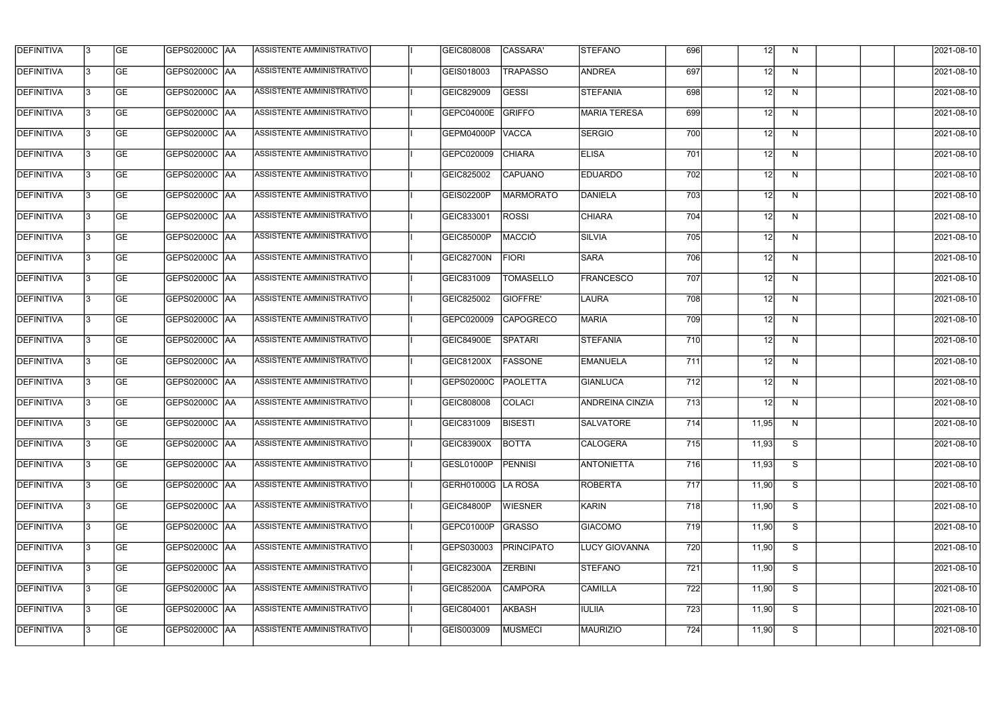| <b>DEFINITIVA</b> | l3 | GE        | GEPS02000C AA        | ASSISTENTE AMMINISTRATIVO        | GEIC808008         | CASSARA'         | <b>STEFANO</b>         | 696 | 12 <sup>1</sup> | N. | 2021-08-10 |
|-------------------|----|-----------|----------------------|----------------------------------|--------------------|------------------|------------------------|-----|-----------------|----|------------|
| <b>DEFINITIVA</b> | IЗ | GE        | GEPS02000C   AA      | ASSISTENTE AMMINISTRATIVO        | GEIS018003         | <b>TRAPASSO</b>  | <b>ANDREA</b>          | 697 | 12              | N  | 2021-08-10 |
| <b>DEFINITIVA</b> | 13 | <b>GE</b> | <b>GEPS02000C AA</b> | ASSISTENTE AMMINISTRATIVO        | GEIC829009         | <b>GESSI</b>     | STEFANIA               | 698 | 12              | N  | 2021-08-10 |
| <b>DEFINITIVA</b> | l3 | <b>GE</b> | <b>GEPS02000C AA</b> | ASSISTENTE AMMINISTRATIVO        | GEPC04000E         | GRIFFO           | <b>MARIA TERESA</b>    | 699 | 12              | N  | 2021-08-10 |
| <b>DEFINITIVA</b> | l3 | GE        | GEPS02000C  AA       | <b>ASSISTENTE AMMINISTRATIVO</b> | <b>GEPM04000P</b>  | <b>VACCA</b>     | <b>SERGIO</b>          | 700 | 12              | N  | 2021-08-10 |
| <b>DEFINITIVA</b> | l3 | <b>GE</b> | <b>GEPS02000C AA</b> | <b>ASSISTENTE AMMINISTRATIVO</b> | GEPC020009         | <b>CHIARA</b>    | <b>ELISA</b>           | 701 | 12 <sup>1</sup> | N  | 2021-08-10 |
| <b>DEFINITIVA</b> | l3 | <b>GE</b> | GEPS02000C AA        | <b>ASSISTENTE AMMINISTRATIVO</b> | GEIC825002         | <b>CAPUANO</b>   | <b>EDUARDO</b>         | 702 | 12              | N  | 2021-08-10 |
| <b>DEFINITIVA</b> | l3 | <b>GE</b> | <b>GEPS02000C AA</b> | <b>ASSISTENTE AMMINISTRATIVO</b> | <b>GEIS02200P</b>  | MARMORATO        | DANIELA                | 703 | 12              | N  | 2021-08-10 |
| <b>DEFINITIVA</b> | l3 | <b>GE</b> | GEPS02000C AA        | ASSISTENTE AMMINISTRATIVO        | GEIC833001         | <b>ROSSI</b>     | <b>CHIARA</b>          | 704 | 12              | N  | 2021-08-10 |
| <b>DEFINITIVA</b> | l3 | GE        | GEPS02000C   AA      | ASSISTENTE AMMINISTRATIVO        | <b>GEIC85000P</b>  | MACCIÒ           | <b>SILVIA</b>          | 705 | 12              | N  | 2021-08-10 |
| <b>DEFINITIVA</b> | 13 | <b>GE</b> | GEPS02000C AA        | ASSISTENTE AMMINISTRATIVO        | GEIC82700N         | <b>FIORI</b>     | <b>SARA</b>            | 706 | 12              | N  | 2021-08-10 |
| <b>DEFINITIVA</b> | l3 | <b>GE</b> | GEPS02000C AA        | <b>ASSISTENTE AMMINISTRATIVO</b> | GEIC831009         | <b>TOMASELLO</b> | <b>FRANCESCO</b>       | 707 | 12              | N  | 2021-08-10 |
| <b>DEFINITIVA</b> | l3 | GE        | GEPS02000C  AA       | ASSISTENTE AMMINISTRATIVO        | GEIC825002         | GIOFFRE'         | LAURA                  | 708 | 12              | N  | 2021-08-10 |
| <b>DEFINITIVA</b> | l3 | <b>GE</b> | GEPS02000C AA        | ASSISTENTE AMMINISTRATIVO        | GEPC020009         | <b>CAPOGRECO</b> | <b>MARIA</b>           | 709 | 12              | N  | 2021-08-10 |
| <b>DEFINITIVA</b> | l3 | <b>GE</b> | GEPS02000C  AA       | ASSISTENTE AMMINISTRATIVO        | <b>GEIC84900E</b>  | SPATARI          | <b>STEFANIA</b>        | 710 | 12              | N  | 2021-08-10 |
| <b>DEFINITIVA</b> | 13 | GE        | GEPS02000C   AA      | ASSISTENTE AMMINISTRATIVO        | GEIC81200X         | <b>FASSONE</b>   | <b>EMANUELA</b>        | 711 | 12              | N  | 2021-08-10 |
| <b>DEFINITIVA</b> | l3 | <b>GE</b> | GEPS02000C   AA      | ASSISTENTE AMMINISTRATIVO        | GEPS02000C         | PAOLETTA         | <b>GIANLUCA</b>        | 712 | 12              | N  | 2021-08-10 |
| <b>DEFINITIVA</b> | l3 | <b>GE</b> | GEPS02000C AA        | ASSISTENTE AMMINISTRATIVO        | GEIC808008         | COLACI           | <b>ANDREINA CINZIA</b> | 713 | 12              | N  | 2021-08-10 |
| <b>DEFINITIVA</b> | IЗ | GE        | GEPS02000C  AA       | <b>ASSISTENTE AMMINISTRATIVO</b> | <b>GEIC831009</b>  | <b>BISESTI</b>   | <b>SALVATORE</b>       | 714 | 11,95           | N, | 2021-08-10 |
| <b>DEFINITIVA</b> | l3 | GE        | GEPS02000C AA        | ASSISTENTE AMMINISTRATIVO        | GEIC83900X         | <b>BOTTA</b>     | CALOGERA               | 715 | 11,93           | S  | 2021-08-10 |
| <b>DEFINITIVA</b> | l3 | GE        | GEPS02000C AA        | ASSISTENTE AMMINISTRATIVO        | GESL01000P         | <b>PENNISI</b>   | <b>ANTONIETTA</b>      | 716 | 11,93           | S  | 2021-08-10 |
| <b>DEFINITIVA</b> | 13 | <b>GE</b> | GEPS02000C AA        | ASSISTENTE AMMINISTRATIVO        | GERH01000G LA ROSA |                  | ROBERTA                | 717 | 11,90           | S  | 2021-08-10 |
| <b>DEFINITIVA</b> | l3 | <b>GE</b> | GEPS02000C AA        | ASSISTENTE AMMINISTRATIVO        | GEIC84800P         | <b>WIESNER</b>   | KARIN                  | 718 | 11,90           | S  | 2021-08-10 |
| <b>DEFINITIVA</b> | 13 | <b>GE</b> | GEPS02000C AA        | ASSISTENTE AMMINISTRATIVO        | GEPC01000P         | GRASSO           | <b>GIACOMO</b>         | 719 | 11,90           | S  | 2021-08-10 |
| <b>DEFINITIVA</b> | l3 | <b>GE</b> | GEPS02000C  AA       | ASSISTENTE AMMINISTRATIVO        | GEPS030003         | PRINCIPATO       | LUCY GIOVANNA          | 720 | 11,90           | S  | 2021-08-10 |
| <b>DEFINITIVA</b> | l3 | <b>GE</b> | GEPS02000C  AA       | ASSISTENTE AMMINISTRATIVO        | <b>GEIC82300A</b>  | <b>ZERBINI</b>   | <b>STEFANO</b>         | 721 | 11,90           | S  | 2021-08-10 |
| <b>DEFINITIVA</b> | l3 | GE        | GEPS02000C  AA       | ASSISTENTE AMMINISTRATIVO        | <b>GEIC85200A</b>  | <b>CAMPORA</b>   | <b>CAMILLA</b>         | 722 | 11,90           | S  | 2021-08-10 |
| <b>DEFINITIVA</b> | l3 | GE        | GEPS02000C AA        | ASSISTENTE AMMINISTRATIVO        | GEIC804001         | AKBASH           | <b>IULIIA</b>          | 723 | 11,90           | S  | 2021-08-10 |
| <b>DEFINITIVA</b> | l3 | GE        | GEPS02000C AA        | ASSISTENTE AMMINISTRATIVO        | GEIS003009         | MUSMECI          | MAURIZIO               | 724 | 11,90           | S  | 2021-08-10 |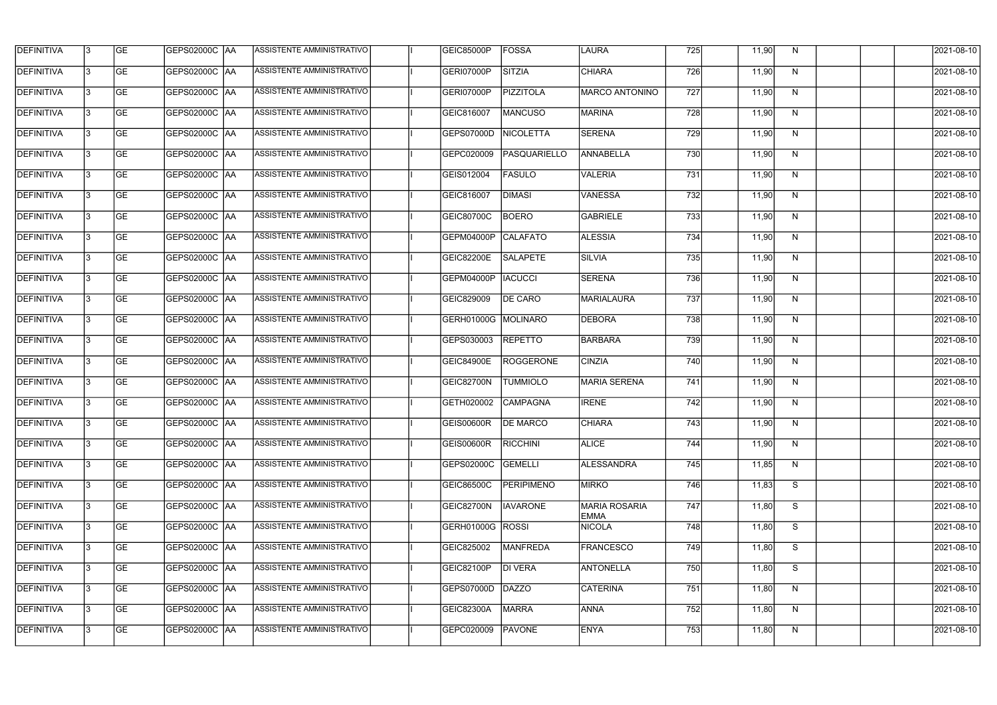| <b>DEFINITIVA</b> | 13 | <b>GE</b> | GEPS02000C  AA       | ASSISTENTE AMMINISTRATIVO        | <b>GEIC85000P</b> | FOSSA             | LAURA                               | 725 | 11,90 | N. | 2021-08-10       |
|-------------------|----|-----------|----------------------|----------------------------------|-------------------|-------------------|-------------------------------------|-----|-------|----|------------------|
| DEFINITIVA        | l3 | <b>GE</b> | GEPS02000C  AA       | ASSISTENTE AMMINISTRATIVO        | GERI07000P        | <b>SITZIA</b>     | <b>CHIARA</b>                       | 726 | 11,90 | N  | 2021-08-10       |
| <b>DEFINITIVA</b> | l3 | <b>GE</b> | <b>GEPS02000C AA</b> | ASSISTENTE AMMINISTRATIVO        | GERI07000P        | <b>PIZZITOLA</b>  | <b>MARCO ANTONINO</b>               | 727 | 11,90 | N  | 2021-08-10       |
| <b>DEFINITIVA</b> | 13 | <b>GE</b> | <b>GEPS02000C AA</b> | ASSISTENTE AMMINISTRATIVO        | GEIC816007        | <b>MANCUSO</b>    | <b>MARINA</b>                       | 728 | 11,90 | N  | 2021-08-10       |
| <b>DEFINITIVA</b> | l3 | <b>GE</b> | GEPS02000C  AA       | ASSISTENTE AMMINISTRATIVO        | GEPS07000D        | <b>NICOLETTA</b>  | <b>SERENA</b>                       | 729 | 11,90 | N  | 2021-08-10       |
| <b>DEFINITIVA</b> | IЗ | <b>GE</b> | GEPS02000C AA        | <b>ASSISTENTE AMMINISTRATIVO</b> | GEPC020009        | PASQUARIELLO      | ANNABELLA                           | 730 | 11,90 | N  | 2021-08-10       |
| <b>DEFINITIVA</b> | l3 | <b>GE</b> | <b>GEPS02000C AA</b> | <b>ASSISTENTE AMMINISTRATIVO</b> | GEIS012004        | <b>FASULO</b>     | <b>VALERIA</b>                      | 731 | 11,90 | N  | 2021-08-10       |
| <b>DEFINITIVA</b> | l3 | <b>GE</b> | GEPS02000C AA        | ASSISTENTE AMMINISTRATIVO        | GEIC816007        | <b>DIMASI</b>     | <b>VANESSA</b>                      | 732 | 11,90 | N  | 2021-08-10       |
| <b>DEFINITIVA</b> | l3 | <b>GE</b> | GEPS02000C  AA       | ASSISTENTE AMMINISTRATIVO        | GEIC80700C        | <b>BOERO</b>      | <b>GABRIELE</b>                     | 733 | 11,90 | N  | 2021-08-10       |
| <b>DEFINITIVA</b> | l3 | <b>GE</b> | GEPS02000C AA        | ASSISTENTE AMMINISTRATIVO        | GEPM04000P        | <b>CALAFATO</b>   | <b>ALESSIA</b>                      | 734 | 11,90 | N  | 2021-08-10       |
| DEFINITIVA        | l3 | <b>GE</b> | GEPS02000C AA        | ASSISTENTE AMMINISTRATIVO        | <b>GEIC82200E</b> | <b>SALAPETE</b>   | SILVIA                              | 735 | 11,90 | N  | 2021-08-10       |
| <b>DEFINITIVA</b> | 13 | <b>GE</b> | GEPS02000C AA        | ASSISTENTE AMMINISTRATIVO        | GEPM04000P        | <b>IACUCCI</b>    | <b>SERENA</b>                       | 736 | 11,90 | N  | 2021-08-10       |
| <b>DEFINITIVA</b> | l3 | <b>GE</b> | GEPS02000C  AA       | ASSISTENTE AMMINISTRATIVO        | GEIC829009        | <b>DE CARO</b>    | MARIALAURA                          | 737 | 11,90 | N  | 2021-08-10       |
| <b>DEFINITIVA</b> | l3 | <b>GE</b> | GEPS02000C AA        | ASSISTENTE AMMINISTRATIVO        | GERH01000G        | MOLINARO          | <b>DEBORA</b>                       | 738 | 11,90 | N  | 2021-08-10       |
| <b>DEFINITIVA</b> | l3 | <b>GE</b> | GEPS02000C  AA       | ASSISTENTE AMMINISTRATIVO        | GEPS030003        | <b>REPETTO</b>    | BARBARA                             | 739 | 11,90 | N  | 2021-08-10       |
| <b>DEFINITIVA</b> | IЗ | <b>GE</b> | GEPS02000C  AA       | ASSISTENTE AMMINISTRATIVO        | <b>GEIC84900E</b> | <b>ROGGERONE</b>  | <b>CINZIA</b>                       | 740 | 11,90 | N  | 2021-08-10       |
| <b>DEFINITIVA</b> | l3 | <b>GE</b> | GEPS02000C  AA       | ASSISTENTE AMMINISTRATIVO        | GEIC82700N        | <b>TUMMIOLO</b>   | <b>MARIA SERENA</b>                 | 741 | 11,90 | N  | 2021-08-10       |
| <b>DEFINITIVA</b> |    | <b>GE</b> | GEPS02000C  AA       | ASSISTENTE AMMINISTRATIVO        | GETH020002        | <b>CAMPAGNA</b>   | <b>IRENE</b>                        | 742 | 11,90 | N  | 2021-08-10       |
| <b>DEFINITIVA</b> | IЗ | GE        | GEPS02000C  AA       | <b>ASSISTENTE AMMINISTRATIVO</b> | <b>GEIS00600R</b> | <b>DE MARCO</b>   | <b>CHIARA</b>                       | 743 | 11,90 | N, | 2021-08-10       |
| <b>DEFINITIVA</b> | 13 | <b>GE</b> | GEPS02000C AA        | ASSISTENTE AMMINISTRATIVO        | GEIS00600R        | RICCHINI          | <b>ALICE</b>                        | 744 | 11,90 | N  | 2021-08-10       |
| <b>DEFINITIVA</b> | 13 | <b>GE</b> | <b>GEPS02000C AA</b> | ASSISTENTE AMMINISTRATIVO        | GEPS02000C        | GEMELLI           | <b>ALESSANDRA</b>                   | 745 | 11,85 | N  | 2021-08-10       |
| <b>DEFINITIVA</b> | 13 | <b>GE</b> | GEPS02000C AA        | ASSISTENTE AMMINISTRATIVO        | <b>GEIC86500C</b> | <b>PERIPIMENO</b> | <b>MIRKO</b>                        | 746 | 11,83 | S  | $2021 - 08 - 10$ |
| <b>DEFINITIVA</b> | 13 | <b>GE</b> | GEPS02000C AA        | ASSISTENTE AMMINISTRATIVO        | GEIC82700N        | <b>IAVARONE</b>   | <b>MARIA ROSARIA</b><br><b>EMMA</b> | 747 | 11,80 | S  | 2021-08-10       |
| <b>DEFINITIVA</b> | 13 | <b>GE</b> | GEPS02000C AA        | ASSISTENTE AMMINISTRATIVO        | GERH01000G ROSSI  |                   | <b>NICOLA</b>                       | 748 | 11,80 | S  | 2021-08-10       |
| <b>DEFINITIVA</b> | l3 | <b>GE</b> | GEPS02000C  AA       | ASSISTENTE AMMINISTRATIVO        | GEIC825002        | <b>MANFREDA</b>   | <b>FRANCESCO</b>                    | 749 | 11,80 | S  | 2021-08-10       |
| DEFINITIVA        | l3 | <b>GE</b> | GEPS02000C  AA       | ASSISTENTE AMMINISTRATIVO        | GEIC82100P        | DI VERA           | <b>ANTONELLA</b>                    | 750 | 11,80 | S  | 2021-08-10       |
| DEFINITIVA        | l3 | <b>GE</b> | GEPS02000C  AA       | ASSISTENTE AMMINISTRATIVO        | GEPS07000D        | DAZZO             | <b>CATERINA</b>                     | 751 | 11,80 | N  | 2021-08-10       |
| <b>DEFINITIVA</b> | l3 | <b>GE</b> | GEPS02000C  AA       | ASSISTENTE AMMINISTRATIVO        | GEIC82300A        | <b>MARRA</b>      | <b>ANNA</b>                         | 752 | 11,80 | N  | 2021-08-10       |
| <b>DEFINITIVA</b> | 13 | <b>GE</b> | GEPS02000C  AA       | ASSISTENTE AMMINISTRATIVO        | GEPC020009        | <b>PAVONE</b>     | ENYA                                | 753 | 11,80 | N  | 2021-08-10       |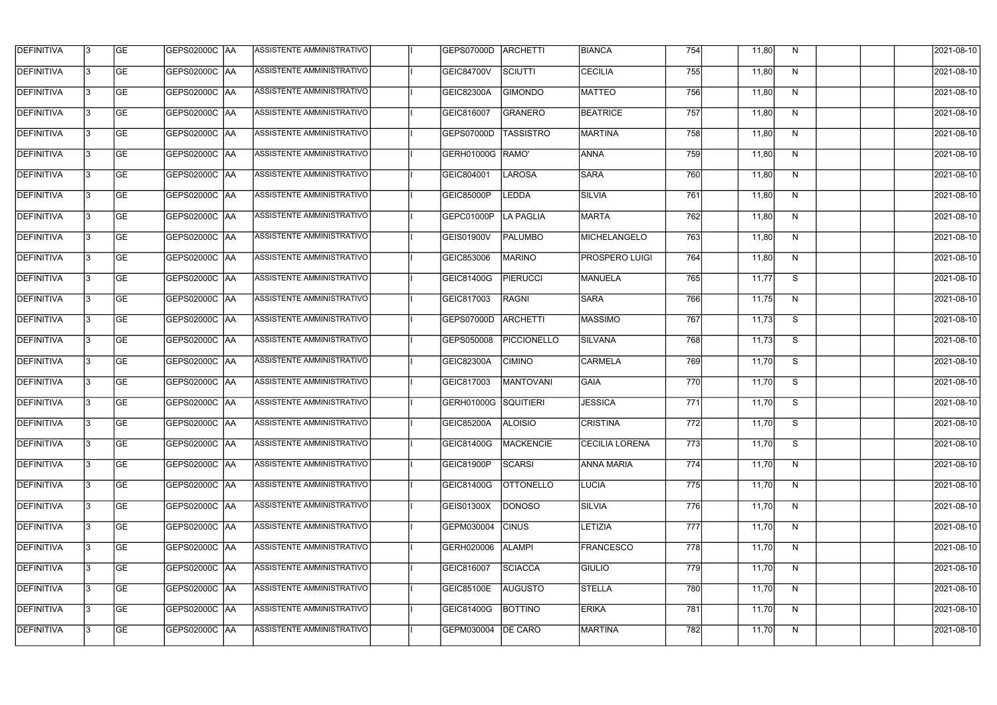| <b>DEFINITIVA</b> | 13  | <b>GE</b> | GEPS02000C  AA       | ASSISTENTE AMMINISTRATIVO        | <b>GEPS07000D</b>           | <b>ARCHETTI</b>  | <b>BIANCA</b>         | 754              | 11,80 | N. | 2021-08-10       |
|-------------------|-----|-----------|----------------------|----------------------------------|-----------------------------|------------------|-----------------------|------------------|-------|----|------------------|
| DEFINITIVA        | l3  | <b>GE</b> | GEPS02000C  AA       | ASSISTENTE AMMINISTRATIVO        | <b>GEIC84700V</b>           | SCIUTTI          | <b>CECILIA</b>        | 755              | 11,80 | N  | 2021-08-10       |
| <b>DEFINITIVA</b> | l3  | <b>GE</b> | <b>GEPS02000C AA</b> | ASSISTENTE AMMINISTRATIVO        | GEIC82300A                  | <b>GIMONDO</b>   | <b>MATTEO</b>         | 756              | 11,80 | N  | 2021-08-10       |
| <b>DEFINITIVA</b> | 13  | <b>GE</b> | <b>GEPS02000C AA</b> | ASSISTENTE AMMINISTRATIVO        | GEIC816007                  | <b>GRANERO</b>   | <b>BEATRICE</b>       | 757              | 11,80 | N  | 2021-08-10       |
| <b>DEFINITIVA</b> | l3  | <b>GE</b> | GEPS02000C  AA       | ASSISTENTE AMMINISTRATIVO        | GEPS07000D                  | <b>TASSISTRO</b> | <b>MARTINA</b>        | 758              | 11,80 | N  | 2021-08-10       |
| <b>DEFINITIVA</b> | IЗ  | <b>GE</b> | <b>GEPS02000C AA</b> | <b>ASSISTENTE AMMINISTRATIVO</b> | GERH01000G RAMO'            |                  | <b>ANNA</b>           | 759              | 11,80 | N  | 2021-08-10       |
| <b>DEFINITIVA</b> | l3  | <b>GE</b> | <b>GEPS02000C AA</b> | <b>ASSISTENTE AMMINISTRATIVO</b> | GEIC804001                  | <b>LAROSA</b>    | <b>SARA</b>           | 760              | 11,80 | N  | 2021-08-10       |
| <b>DEFINITIVA</b> | l3  | <b>GE</b> | GEPS02000C AA        | ASSISTENTE AMMINISTRATIVO        | <b>GEIC85000P</b>           | <b>LEDDA</b>     | <b>SILVIA</b>         | 761              | 11,80 | N  | 2021-08-10       |
| <b>DEFINITIVA</b> | l3  | <b>GE</b> | GEPS02000C  AA       | ASSISTENTE AMMINISTRATIVO        | GEPC01000P                  | <b>LA PAGLIA</b> | MARTA                 | 762              | 11,80 | N  | 2021-08-10       |
| <b>DEFINITIVA</b> | l3  | <b>GE</b> | GEPS02000C AA        | ASSISTENTE AMMINISTRATIVO        | GEIS01900V                  | <b>PALUMBO</b>   | MICHELANGELO          | 763              | 11,80 | N  | 2021-08-10       |
| <b>DEFINITIVA</b> | l3  | <b>GE</b> | GEPS02000C AA        | ASSISTENTE AMMINISTRATIVO        | GEIC853006                  | <b>MARINO</b>    | <b>PROSPERO LUIGI</b> | 764              | 11,80 | N  | 2021-08-10       |
| <b>DEFINITIVA</b> | 13  | <b>GE</b> | <b>GEPS02000C AA</b> | ASSISTENTE AMMINISTRATIVO        | GEIC81400G                  | <b>PIERUCCI</b>  | MANUELA               | 765              | 11,77 | S  | 2021-08-10       |
| <b>DEFINITIVA</b> | l3  | <b>GE</b> | GEPS02000C  AA       | ASSISTENTE AMMINISTRATIVO        | GEIC817003                  | <b>RAGNI</b>     | <b>SARA</b>           | 766              | 11,75 | N  | 2021-08-10       |
| <b>DEFINITIVA</b> | l3  | <b>GE</b> | GEPS02000C AA        | ASSISTENTE AMMINISTRATIVO        | GEPS07000D                  | <b>ARCHETTI</b>  | <b>MASSIMO</b>        | 767              | 11,73 | S  | 2021-08-10       |
| <b>DEFINITIVA</b> | l3  | <b>GE</b> | GEPS02000C  AA       | ASSISTENTE AMMINISTRATIVO        | GEPS050008                  | PICCIONELLO      | SILVANA               | 768              | 11,73 | S  | 2021-08-10       |
| <b>DEFINITIVA</b> | IЗ  | <b>GE</b> | GEPS02000C  AA       | ASSISTENTE AMMINISTRATIVO        | GEIC82300A                  | <b>CIMINO</b>    | <b>CARMELA</b>        | 769              | 11,70 | S  | 2021-08-10       |
| <b>DEFINITIVA</b> | IЗ  | <b>GE</b> | GEPS02000C  AA       | ASSISTENTE AMMINISTRATIVO        | GEIC817003                  | MANTOVANI        | <b>GAIA</b>           | 770              | 11,70 | S  | 2021-08-10       |
| <b>DEFINITIVA</b> |     | <b>GE</b> | GEPS02000C  AA       | ASSISTENTE AMMINISTRATIVO        | <b>GERH01000G SQUITIERI</b> |                  | <b>JESSICA</b>        | $\overline{771}$ | 11,70 | S  | 2021-08-10       |
| <b>DEFINITIVA</b> | IЗ  | GE        | GEPS02000C  AA       | <b>ASSISTENTE AMMINISTRATIVO</b> | GEIC85200A                  | <b>ALOISIO</b>   | <b>CRISTINA</b>       | 772              | 11,70 | S. | 2021-08-10       |
| <b>DEFINITIVA</b> | 13  | <b>GE</b> | GEPS02000C AA        | ASSISTENTE AMMINISTRATIVO        | GEIC81400G                  | MACKENCIE        | <b>CECILIA LORENA</b> | 773              | 11,70 | S  | 2021-08-10       |
| <b>DEFINITIVA</b> | 13  | <b>GE</b> | <b>GEPS02000C AA</b> | ASSISTENTE AMMINISTRATIVO        | GEIC81900P                  | SCARSI           | <b>ANNA MARIA</b>     | 774              | 11,70 | N  | 2021-08-10       |
| <b>DEFINITIVA</b> | 13  | <b>GE</b> | GEPS02000C AA        | ASSISTENTE AMMINISTRATIVO        | GEIC81400G                  | <b>OTTONELLO</b> | <b>LUCIA</b>          | 775              | 11,70 | N  | $2021 - 08 - 10$ |
| <b>DEFINITIVA</b> | 13  | <b>GE</b> | GEPS02000C AA        | ASSISTENTE AMMINISTRATIVO        | GEIS01300X                  | <b>DONOSO</b>    | SILVIA                | 776              | 11,70 | N  | 2021-08-10       |
| <b>DEFINITIVA</b> | 13  | <b>GE</b> | GEPS02000C AA        | ASSISTENTE AMMINISTRATIVO        | GEPM030004                  | <b>CINUS</b>     | <b>LETIZIA</b>        | 777              | 11,70 | N  | 2021-08-10       |
| <b>DEFINITIVA</b> | 13. | <b>GE</b> | GEPS02000C  AA       | ASSISTENTE AMMINISTRATIVO        | GERH020006                  | <b>ALAMPI</b>    | <b>FRANCESCO</b>      | 778              | 11,70 | N  | 2021-08-10       |
| DEFINITIVA        | l3  | <b>GE</b> | GEPS02000C  AA       | ASSISTENTE AMMINISTRATIVO        | GEIC816007                  | <b>SCIACCA</b>   | <b>GIULIO</b>         | 779              | 11,70 | N  | 2021-08-10       |
| DEFINITIVA        | l3  | <b>GE</b> | GEPS02000C  AA       | ASSISTENTE AMMINISTRATIVO        | GEIC85100E                  | <b>AUGUSTO</b>   | <b>STELLA</b>         | 780              | 11,70 | N  | 2021-08-10       |
| <b>DEFINITIVA</b> | l3  | <b>GE</b> | GEPS02000C AA        | ASSISTENTE AMMINISTRATIVO        | GEIC81400G                  | <b>BOTTINO</b>   | <b>ERIKA</b>          | 781              | 11,70 | N  | 2021-08-10       |
| <b>DEFINITIVA</b> | 13  | <b>GE</b> | GEPS02000C  AA       | ASSISTENTE AMMINISTRATIVO        | GEPM030004                  | <b>DE CARO</b>   | MARTINA               | 782              | 11,70 | N  | 2021-08-10       |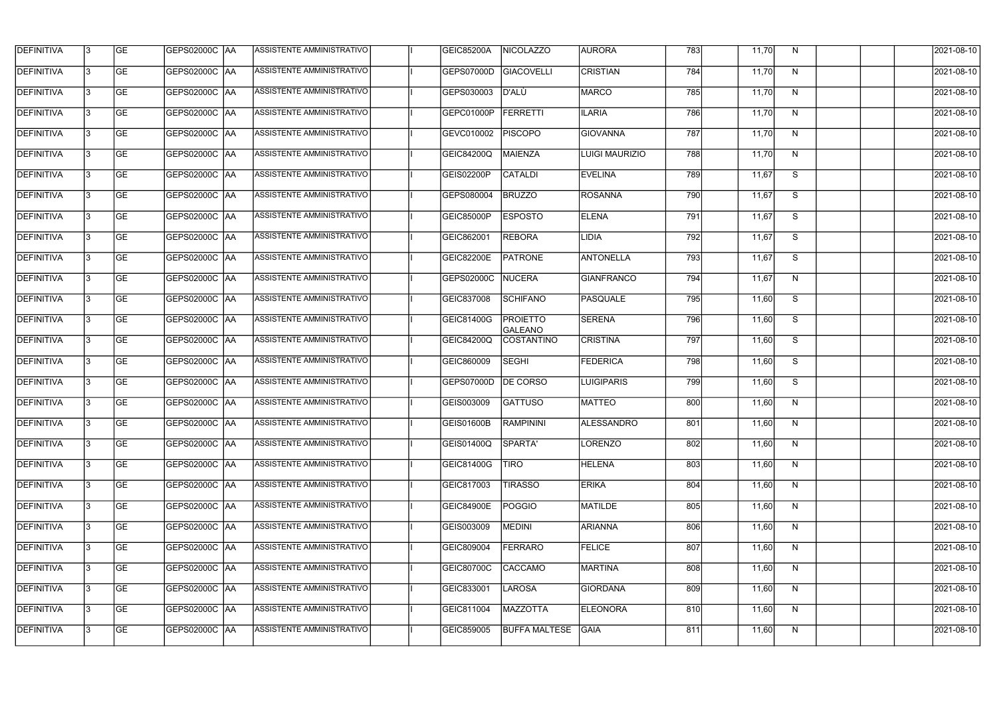| <b>DEFINITIVA</b> | 13  | <b>GE</b> | <b>GEPS02000C AA</b> | ASSISTENTE AMMINISTRATIVO        | GEIC85200A        | <b>NICOLAZZO</b>                  | <b>AURORA</b>         | 783 | 11,70 | N  | 2021-08-10 |
|-------------------|-----|-----------|----------------------|----------------------------------|-------------------|-----------------------------------|-----------------------|-----|-------|----|------------|
| DEFINITIVA        | l3  | <b>GE</b> | GEPS02000C  AA       | ASSISTENTE AMMINISTRATIVO        | GEPS07000D        | <b>GIACOVELLI</b>                 | <b>CRISTIAN</b>       | 784 | 11,70 | N  | 2021-08-10 |
| <b>DEFINITIVA</b> | l3  | <b>GE</b> | <b>GEPS02000C AA</b> | ASSISTENTE AMMINISTRATIVO        | GEPS030003        | D'ALÙ                             | <b>MARCO</b>          | 785 | 11,70 | N  | 2021-08-10 |
| <b>DEFINITIVA</b> | l3  | <b>GE</b> | <b>GEPS02000C AA</b> | ASSISTENTE AMMINISTRATIVO        | GEPC01000P        | <b>FERRETTI</b>                   | <b>ILARIA</b>         | 786 | 11,70 | N  | 2021-08-10 |
| <b>DEFINITIVA</b> | l3  | <b>GE</b> | <b>GEPS02000C AA</b> | ASSISTENTE AMMINISTRATIVO        | GEVC010002        | <b>PISCOPO</b>                    | <b>GIOVANNA</b>       | 787 | 11,70 | N  | 2021-08-10 |
| <b>DEFINITIVA</b> | IЗ  | <b>GE</b> | <b>GEPS02000C AA</b> | <b>ASSISTENTE AMMINISTRATIVO</b> | GEIC84200Q        | <b>MAIENZA</b>                    | <b>LUIGI MAURIZIO</b> | 788 | 11,70 | N  | 2021-08-10 |
| <b>DEFINITIVA</b> | l3  | <b>GE</b> | <b>GEPS02000C AA</b> | ASSISTENTE AMMINISTRATIVO        | GEIS02200P        | <b>CATALDI</b>                    | <b>EVELINA</b>        | 789 | 11,67 | S  | 2021-08-10 |
| <b>DEFINITIVA</b> | l3  | <b>GE</b> | <b>GEPS02000C AA</b> | ASSISTENTE AMMINISTRATIVO        | GEPS080004        | <b>BRUZZO</b>                     | <b>ROSANNA</b>        | 790 | 11,67 | S  | 2021-08-10 |
| <b>DEFINITIVA</b> |     | <b>GE</b> | GEPS02000C AA        | ASSISTENTE AMMINISTRATIVO        | <b>GEIC85000P</b> | <b>ESPOSTO</b>                    | <b>ELENA</b>          | 791 | 11,67 | S  | 2021-08-10 |
| <b>DEFINITIVA</b> | l3  | <b>GE</b> | GEPS02000C  AA       | ASSISTENTE AMMINISTRATIVO        | GEIC862001        | <b>REBORA</b>                     | LIDIA                 | 792 | 11,67 | S  | 2021-08-10 |
| <b>DEFINITIVA</b> | 13  | <b>GE</b> | GEPS02000C AA        | ASSISTENTE AMMINISTRATIVO        | <b>GEIC82200E</b> | <b>PATRONE</b>                    | <b>ANTONELLA</b>      | 793 | 11,67 | S  | 2021-08-10 |
| <b>DEFINITIVA</b> | l3  | <b>GE</b> |                      | ASSISTENTE AMMINISTRATIVO        | GEPS02000C        | NUCERA                            | <b>GIANFRANCO</b>     | 794 | 11,67 | N  | 2021-08-10 |
| <b>DEFINITIVA</b> | l3  | <b>GE</b> | GEPS02000C   AA      | ASSISTENTE AMMINISTRATIVO        | GEIC837008        | <b>SCHIFANO</b>                   | PASQUALE              | 795 | 11,60 | S  | 2021-08-10 |
| <b>DEFINITIVA</b> | l3  | <b>GE</b> | GEPS02000C  AA       | ASSISTENTE AMMINISTRATIVO        | GEIC81400G        | <b>PROIETTO</b><br><b>GALEANO</b> | <b>SERENA</b>         | 796 | 11,60 | S  | 2021-08-10 |
| <b>DEFINITIVA</b> | l3  | <b>GE</b> |                      | ASSISTENTE AMMINISTRATIVO        | <b>GEIC84200Q</b> | COSTANTINO                        | <b>CRISTINA</b>       | 797 | 11,60 | S  | 2021-08-10 |
| <b>DEFINITIVA</b> | IЗ  | <b>GE</b> | GEPS02000C  AA       | ASSISTENTE AMMINISTRATIVO        | GEIC860009        | <b>SEGHI</b>                      | <b>FEDERICA</b>       | 798 | 11,60 | S  | 2021-08-10 |
| <b>DEFINITIVA</b> | I3  | <b>GE</b> | GEPS02000C  AA       | ASSISTENTE AMMINISTRATIVO        | GEPS07000D        | <b>DE CORSO</b>                   | LUIGIPARIS            | 799 | 11,60 | S  | 2021-08-10 |
| <b>DEFINITIVA</b> |     | <b>GE</b> | GEPS02000C  AA       | ASSISTENTE AMMINISTRATIVO        | GEIS003009        | <b>GATTUSO</b>                    | <b>MATTEO</b>         | 800 | 11,60 | N  | 2021-08-10 |
| <b>DEFINITIVA</b> | 13  | <b>GE</b> | GEPS02000C  AA       | ASSISTENTE AMMINISTRATIVO        | <b>GEIS01600B</b> | <b>RAMPININI</b>                  | ALESSANDRO            | 801 | 11,60 | N. | 2021-08-10 |
| <b>DEFINITIVA</b> | 13. | <b>GE</b> | <b>GEPS02000C AA</b> | ASSISTENTE AMMINISTRATIVO        | GEIS01400Q        | SPARTA'                           | LORENZO               | 802 | 11,60 | N  | 2021-08-10 |
| <b>DEFINITIVA</b> | 13  | <b>GE</b> | GEPS02000C  AA       | ASSISTENTE AMMINISTRATIVO        | GEIC81400G        | <b>TIRO</b>                       | <b>HELENA</b>         | 803 | 11,60 | N  | 2021-08-10 |
| <b>DEFINITIVA</b> | 13. | <b>GE</b> | <b>GEPS02000C AA</b> | ASSISTENTE AMMINISTRATIVO        | GEIC817003        | <b>TIRASSO</b>                    | <b>ERIKA</b>          | 804 | 11,60 | N  | 2021-08-10 |
| <b>DEFINITIVA</b> | 13  | <b>GE</b> | GEPS02000C AA        | ASSISTENTE AMMINISTRATIVO        | <b>GEIC84900E</b> | <b>POGGIO</b>                     | MATILDE               | 805 | 11,60 | N  | 2021-08-10 |
| <b>DEFINITIVA</b> | 13  | <b>GE</b> | GEPS02000C  AA       | ASSISTENTE AMMINISTRATIVO        | GEIS003009        | MEDINI                            | <b>ARIANNA</b>        | 806 | 11,60 | N  | 2021-08-10 |
| <b>DEFINITIVA</b> | IЗ  | <b>GE</b> | GEPS02000C  AA       | ASSISTENTE AMMINISTRATIVO        | GEIC809004        | <b>FERRARO</b>                    | FELICE                | 807 | 11,60 | N  | 2021-08-10 |
| DEFINITIVA        | l3  | <b>GE</b> | GEPS02000C  AA       | ASSISTENTE AMMINISTRATIVO        | GEIC80700C        | <b>CACCAMO</b>                    | MARTINA               | 808 | 11,60 | N  | 2021-08-10 |
| <b>DEFINITIVA</b> | l3  | <b>GE</b> | GEPS02000C  AA       | ASSISTENTE AMMINISTRATIVO        | GEIC833001        | LAROSA                            | <b>GIORDANA</b>       | 809 | 11,60 | N  | 2021-08-10 |
| <b>DEFINITIVA</b> | 13. | <b>GE</b> | GEPS02000C  AA       | ASSISTENTE AMMINISTRATIVO        | GEIC811004        | <b>MAZZOTTA</b>                   | <b>ELEONORA</b>       | 810 | 11,60 | N  | 2021-08-10 |
| <b>DEFINITIVA</b> | IЗ  | <b>GE</b> | GEPS02000C  AA       | ASSISTENTE AMMINISTRATIVO        | GEIC859005        | <b>BUFFA MALTESE</b>              | <b>GAIA</b>           | 811 | 11,60 | N  | 2021-08-10 |
|                   |     |           |                      |                                  |                   |                                   |                       |     |       |    |            |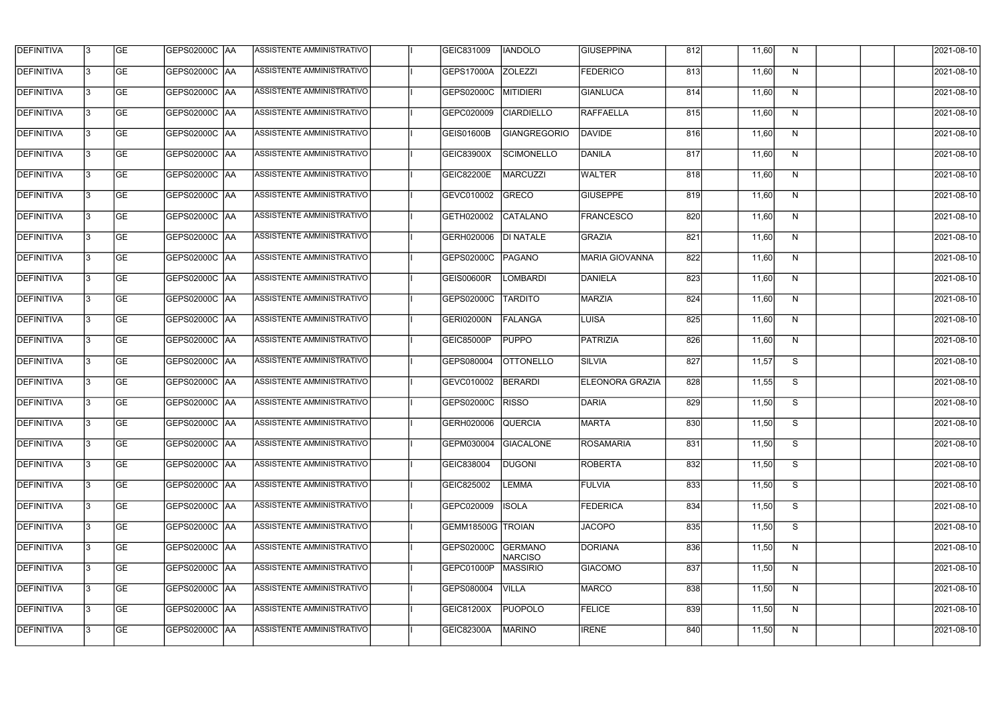| <b>DEFINITIVA</b> | 13  | <b>GE</b> | GEPS02000C AA        | ASSISTENTE AMMINISTRATIVO        | GEIC831009               | <b>IANDOLO</b>                   | <b>GIUSEPPINA</b>      | 812 | 11,60 | N            | 2021-08-10 |
|-------------------|-----|-----------|----------------------|----------------------------------|--------------------------|----------------------------------|------------------------|-----|-------|--------------|------------|
| <b>DEFINITIVA</b> | l3  | <b>GE</b> | GEPS02000C AA        | ASSISTENTE AMMINISTRATIVO        | GEPS17000A               | <b>ZOLEZZI</b>                   | <b>FEDERICO</b>        | 813 | 11,60 | N            | 2021-08-10 |
| <b>DEFINITIVA</b> | l3  | <b>GE</b> | GEPS02000C AA        | ASSISTENTE AMMINISTRATIVO        | GEPS02000C               | <b>MITIDIERI</b>                 | <b>GIANLUCA</b>        | 814 | 11,60 | N            | 2021-08-10 |
| <b>DEFINITIVA</b> | l3  | <b>GE</b> | <b>GEPS02000C AA</b> | ASSISTENTE AMMINISTRATIVO        | GEPC020009               | <b>CIARDIELLO</b>                | RAFFAELLA              | 815 | 11,60 | $\mathsf{N}$ | 2021-08-10 |
| <b>DEFINITIVA</b> | l3  | <b>GE</b> | <b>GEPS02000C AA</b> | ASSISTENTE AMMINISTRATIVO        | GEIS01600B               | <b>GIANGREGORIO</b>              | DAVIDE                 | 816 | 11,60 | N            | 2021-08-10 |
| <b>DEFINITIVA</b> | l3  | <b>GE</b> | <b>GEPS02000C AA</b> | <b>ASSISTENTE AMMINISTRATIVO</b> | GEIC83900X               | <b>SCIMONELLO</b>                | DANILA                 | 817 | 11,60 | N            | 2021-08-10 |
| <b>DEFINITIVA</b> | l3  | <b>GE</b> | <b>GEPS02000C AA</b> | ASSISTENTE AMMINISTRATIVO        | <b>GEIC82200E</b>        | <b>MARCUZZI</b>                  | <b>WALTER</b>          | 818 | 11,60 | N            | 2021-08-10 |
| <b>DEFINITIVA</b> | l3  | <b>GE</b> | <b>GEPS02000C AA</b> | ASSISTENTE AMMINISTRATIVO        | GEVC010002               | GRECO                            | <b>GIUSEPPE</b>        | 819 | 11,60 | N            | 2021-08-10 |
| <b>DEFINITIVA</b> |     | <b>GE</b> |                      | ASSISTENTE AMMINISTRATIVO        | GETH020002               | CATALANO                         | <b>FRANCESCO</b>       | 820 | 11,60 | N            | 2021-08-10 |
| <b>DEFINITIVA</b> | l3  | <b>GE</b> | GEPS02000C  AA       | ASSISTENTE AMMINISTRATIVO        | GERH020006               | <b>DI NATALE</b>                 | GRAZIA                 | 821 | 11,60 | N            | 2021-08-10 |
| <b>DEFINITIVA</b> | 13  | <b>GE</b> | GEPS02000C AA        | ASSISTENTE AMMINISTRATIVO        | GEPS02000C               | PAGANO                           | <b>MARIA GIOVANNA</b>  | 822 | 11,60 | N            | 2021-08-10 |
| <b>DEFINITIVA</b> | l3  | <b>GE</b> |                      | ASSISTENTE AMMINISTRATIVO        | <b>GEIS00600R</b>        | <b>LOMBARDI</b>                  | DANIELA                | 823 | 11,60 | $\mathsf{N}$ | 2021-08-10 |
| <b>DEFINITIVA</b> | l3  | <b>GE</b> | GEPS02000C AA        | <b>ASSISTENTE AMMINISTRATIVO</b> | GEPS02000C               | <b>TARDITO</b>                   | <b>MARZIA</b>          | 824 | 11,60 | N            | 2021-08-10 |
| <b>DEFINITIVA</b> | l3  | <b>GE</b> | GEPS02000C  AA       | ASSISTENTE AMMINISTRATIVO        | GERI02000N               | <b>FALANGA</b>                   | LUISA                  | 825 | 11,60 | N            | 2021-08-10 |
| <b>DEFINITIVA</b> | l3  | <b>GE</b> | GEPS02000C  AA       | ASSISTENTE AMMINISTRATIVO        | GEIC85000P               | <b>PUPPO</b>                     | PATRIZIA               | 826 | 11,60 | N            | 2021-08-10 |
| <b>DEFINITIVA</b> | IЗ  | <b>GE</b> |                      | ASSISTENTE AMMINISTRATIVO        | GEPS080004               | <b>OTTONELLO</b>                 | <b>SILVIA</b>          | 827 | 11,57 | S            | 2021-08-10 |
| <b>DEFINITIVA</b> | I3  | <b>GE</b> | GEPS02000C  AA       | ASSISTENTE AMMINISTRATIVO        | GEVC010002               | <b>BERARDI</b>                   | <b>ELEONORA GRAZIA</b> | 828 | 11,55 | S            | 2021-08-10 |
| DEFINITIVA        |     | <b>GE</b> | GEPS02000C AA        | ASSISTENTE AMMINISTRATIVO        | GEPS02000C               | <b>RISSO</b>                     | DARIA                  | 829 | 11,50 | S            | 2021-08-10 |
| <b>DEFINITIVA</b> | 13  | <b>GE</b> | GEPS02000C  AA       | ASSISTENTE AMMINISTRATIVO        | GERH020006 QUERCIA       |                                  | MARTA                  | 830 | 11,50 | S.           | 2021-08-10 |
| <b>DEFINITIVA</b> | 13  | <b>GE</b> | <b>GEPS02000C AA</b> | ASSISTENTE AMMINISTRATIVO        | GEPM030004               | <b>GIACALONE</b>                 | <b>ROSAMARIA</b>       | 831 | 11,50 | S            | 2021-08-10 |
| <b>DEFINITIVA</b> | 13  | <b>GE</b> | GEPS02000C  AA       | ASSISTENTE AMMINISTRATIVO        | GEIC838004               | <b>DUGONI</b>                    | <b>ROBERTA</b>         | 832 | 11,50 | S            | 2021-08-10 |
| <b>DEFINITIVA</b> | 13. | <b>GE</b> | GEPS02000C AA        | ASSISTENTE AMMINISTRATIVO        | GEIC825002               | <b>LEMMA</b>                     | <b>FULVIA</b>          | 833 | 11,50 | S            | 2021-08-10 |
| <b>DEFINITIVA</b> | 13  | <b>GE</b> | GEPS02000C AA        | ASSISTENTE AMMINISTRATIVO        | GEPC020009               | <b>ISOLA</b>                     | <b>FEDERICA</b>        | 834 | 11,50 | S            | 2021-08-10 |
| <b>DEFINITIVA</b> | 13  | <b>GE</b> | GEPS02000C  AA       | ASSISTENTE AMMINISTRATIVO        | <b>GEMM18500G TROIAN</b> |                                  | <b>JACOPO</b>          | 835 | 11,50 | S            | 2021-08-10 |
| <b>DEFINITIVA</b> | IЗ  | <b>GE</b> | GEPS02000C  AA       | ASSISTENTE AMMINISTRATIVO        | GEPS02000C               | <b>GERMANO</b><br><b>NARCISO</b> | DORIANA                | 836 | 11,50 | N            | 2021-08-10 |
| DEFINITIVA        | l3  | <b>GE</b> | GEPS02000C  AA       | ASSISTENTE AMMINISTRATIVO        | GEPC01000P               | <b>MASSIRIO</b>                  | <b>GIACOMO</b>         | 837 | 11,50 | N            | 2021-08-10 |
| <b>DEFINITIVA</b> | l3  | <b>GE</b> | GEPS02000C  AA       | ASSISTENTE AMMINISTRATIVO        | GEPS080004               | <b>VILLA</b>                     | <b>MARCO</b>           | 838 | 11,50 | N            | 2021-08-10 |
| <b>DEFINITIVA</b> | 13. | <b>GE</b> | GEPS02000C  AA       | ASSISTENTE AMMINISTRATIVO        | <b>GEIC81200X</b>        | <b>PUOPOLO</b>                   | <b>FELICE</b>          | 839 | 11,50 | N            | 2021-08-10 |
| <b>DEFINITIVA</b> | IЗ  | <b>GE</b> | GEPS02000C  AA       | ASSISTENTE AMMINISTRATIVO        | GEIC82300A               | <b>MARINO</b>                    | <b>IRENE</b>           | 840 | 11,50 | N            | 2021-08-10 |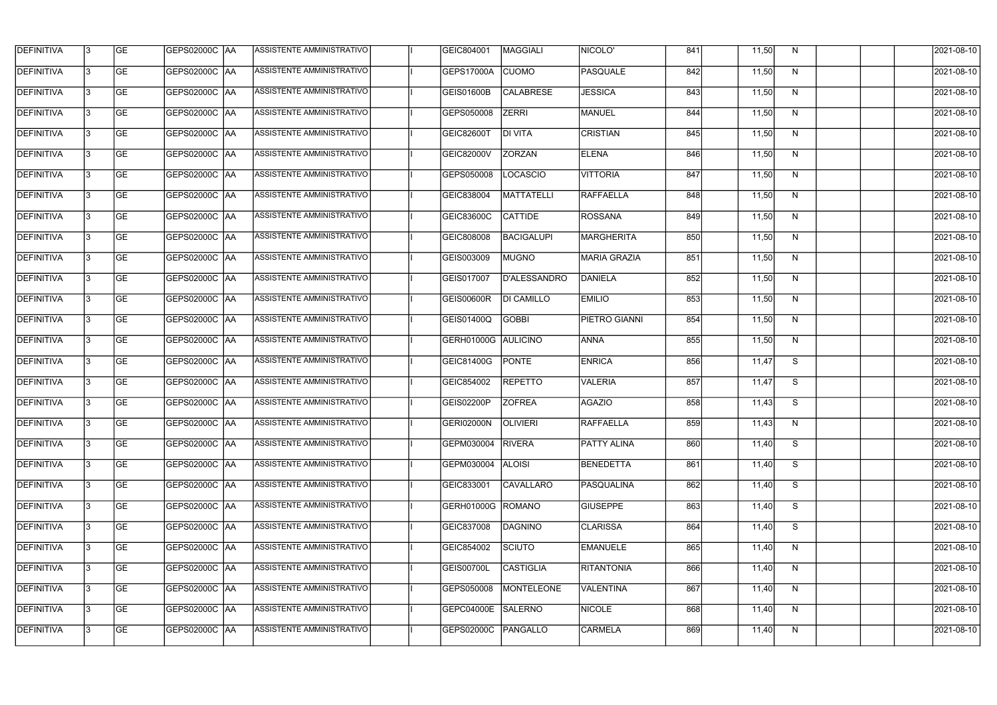| <b>DEFINITIVA</b> | 13  | <b>GE</b> | GEPS02000C  AA       | ASSISTENTE AMMINISTRATIVO        | GEIC804001          | MAGGIALI          | NICOLO'             | 841 | 11,50 | N  | 2021-08-10 |
|-------------------|-----|-----------|----------------------|----------------------------------|---------------------|-------------------|---------------------|-----|-------|----|------------|
| DEFINITIVA        | l3  | <b>GE</b> | GEPS02000C  AA       | ASSISTENTE AMMINISTRATIVO        | GEPS17000A          | <b>CUOMO</b>      | PASQUALE            | 842 | 11,50 | N  | 2021-08-10 |
| <b>DEFINITIVA</b> | l3  | <b>GE</b> | <b>GEPS02000C AA</b> | ASSISTENTE AMMINISTRATIVO        | GEIS01600B          | <b>CALABRESE</b>  | <b>JESSICA</b>      | 843 | 11,50 | N  | 2021-08-10 |
| <b>DEFINITIVA</b> | 13  | <b>GE</b> | <b>GEPS02000C AA</b> | ASSISTENTE AMMINISTRATIVO        | GEPS050008          | <b>ZERRI</b>      | <b>MANUEL</b>       | 844 | 11,50 | N  | 2021-08-10 |
| <b>DEFINITIVA</b> | l3  | <b>GE</b> | GEPS02000C  AA       | ASSISTENTE AMMINISTRATIVO        | <b>GEIC82600T</b>   | <b>DI VITA</b>    | <b>CRISTIAN</b>     | 845 | 11,50 | N  | 2021-08-10 |
| <b>DEFINITIVA</b> | IЗ  | <b>GE</b> | GEPS02000C AA        | <b>ASSISTENTE AMMINISTRATIVO</b> | <b>GEIC82000V</b>   | <b>ZORZAN</b>     | <b>ELENA</b>        | 846 | 11,50 | N  | 2021-08-10 |
| <b>DEFINITIVA</b> | l3  | <b>GE</b> | <b>GEPS02000C AA</b> | <b>ASSISTENTE AMMINISTRATIVO</b> | GEPS050008          | <b>LOCASCIO</b>   | <b>VITTORIA</b>     | 847 | 11,50 | N  | 2021-08-10 |
| <b>DEFINITIVA</b> | l3  | <b>GE</b> | GEPS02000C AA        | ASSISTENTE AMMINISTRATIVO        | GEIC838004          | <b>MATTATELLI</b> | RAFFAELLA           | 848 | 11,50 | N  | 2021-08-10 |
| <b>DEFINITIVA</b> | l3  | <b>GE</b> | GEPS02000C  AA       | ASSISTENTE AMMINISTRATIVO        | <b>GEIC83600C</b>   | <b>CATTIDE</b>    | <b>ROSSANA</b>      | 849 | 11,50 | N  | 2021-08-10 |
| <b>DEFINITIVA</b> | l3  | <b>GE</b> | GEPS02000C AA        | ASSISTENTE AMMINISTRATIVO        | GEIC808008          | <b>BACIGALUPI</b> | <b>MARGHERITA</b>   | 850 | 11,50 | N  | 2021-08-10 |
| <b>DEFINITIVA</b> | l3  | <b>GE</b> | GEPS02000C AA        | ASSISTENTE AMMINISTRATIVO        | GEIS003009          | <b>MUGNO</b>      | <b>MARIA GRAZIA</b> | 851 | 11,50 | N  | 2021-08-10 |
| <b>DEFINITIVA</b> | 13  | <b>GE</b> | GEPS02000C AA        | ASSISTENTE AMMINISTRATIVO        | GEIS017007          | D'ALESSANDRO      | DANIELA             | 852 | 11,50 | N  | 2021-08-10 |
| <b>DEFINITIVA</b> | l3  | <b>GE</b> | GEPS02000C  AA       | ASSISTENTE AMMINISTRATIVO        | <b>GEIS00600R</b>   | <b>DI CAMILLO</b> | <b>EMILIO</b>       | 853 | 11,50 | N  | 2021-08-10 |
| <b>DEFINITIVA</b> | l3  | <b>GE</b> | GEPS02000C AA        | ASSISTENTE AMMINISTRATIVO        | GEIS01400Q          | <b>GOBBI</b>      | PIETRO GIANNI       | 854 | 11,50 | N  | 2021-08-10 |
| <b>DEFINITIVA</b> | l3  | <b>GE</b> | GEPS02000C  AA       | ASSISTENTE AMMINISTRATIVO        | GERH01000G AULICINO |                   | <b>ANNA</b>         | 855 | 11,50 | N  | 2021-08-10 |
| <b>DEFINITIVA</b> | IЗ  | <b>GE</b> | GEPS02000C  AA       | ASSISTENTE AMMINISTRATIVO        | GEIC81400G          | <b>PONTE</b>      | <b>ENRICA</b>       | 856 | 11,47 | S  | 2021-08-10 |
| <b>DEFINITIVA</b> | l3  | <b>GE</b> | GEPS02000C  AA       | ASSISTENTE AMMINISTRATIVO        | GEIC854002          | <b>REPETTO</b>    | <b>VALERIA</b>      | 857 | 11,47 | S  | 2021-08-10 |
| <b>DEFINITIVA</b> |     | <b>GE</b> | GEPS02000C  AA       | ASSISTENTE AMMINISTRATIVO        | GEIS02200P          | <b>ZOFREA</b>     | AGAZIO              | 858 | 11,43 | S  | 2021-08-10 |
| <b>DEFINITIVA</b> | IЗ  | GE        | GEPS02000C  AA       | <b>ASSISTENTE AMMINISTRATIVO</b> | <b>GERI02000N</b>   | OLIVIERI          | <b>RAFFAELLA</b>    | 859 | 11,43 | N, | 2021-08-10 |
| <b>DEFINITIVA</b> | 13. | <b>GE</b> | GEPS02000C AA        | ASSISTENTE AMMINISTRATIVO        | GEPM030004          | <b>RIVERA</b>     | <b>PATTY ALINA</b>  | 860 | 11,40 | S  | 2021-08-10 |
| <b>DEFINITIVA</b> | 13  | <b>GE</b> | <b>GEPS02000C AA</b> | ASSISTENTE AMMINISTRATIVO        | GEPM030004          | <b>ALOISI</b>     | <b>BENEDETTA</b>    | 861 | 11,40 | S  | 2021-08-10 |
| <b>DEFINITIVA</b> | 13. | <b>GE</b> | GEPS02000C AA        | ASSISTENTE AMMINISTRATIVO        | GEIC833001          | <b>CAVALLARO</b>  | PASQUALINA          | 862 | 11,40 | S  | 2021-08-10 |
| <b>DEFINITIVA</b> | 13  | <b>GE</b> | <b>GEPS02000C AA</b> | ASSISTENTE AMMINISTRATIVO        | GERH01000G          | ROMANO            | <b>GIUSEPPE</b>     | 863 | 11,40 | S  | 2021-08-10 |
| <b>DEFINITIVA</b> | 13  | <b>GE</b> | GEPS02000C AA        | ASSISTENTE AMMINISTRATIVO        | GEIC837008          | <b>DAGNINO</b>    | <b>CLARISSA</b>     | 864 | 11,40 | S  | 2021-08-10 |
| <b>DEFINITIVA</b> | l3  | <b>GE</b> | GEPS02000C  AA       | ASSISTENTE AMMINISTRATIVO        | GEIC854002          | SCIUTO            | <b>EMANUELE</b>     | 865 | 11,40 | N  | 2021-08-10 |
| DEFINITIVA        | l3  | <b>GE</b> | GEPS02000C  AA       | ASSISTENTE AMMINISTRATIVO        | GEIS00700L          | <b>CASTIGLIA</b>  | <b>RITANTONIA</b>   | 866 | 11,40 | N  | 2021-08-10 |
| DEFINITIVA        | l3  | <b>GE</b> | GEPS02000C  AA       | ASSISTENTE AMMINISTRATIVO        | GEPS050008          | <b>MONTELEONE</b> | VALENTINA           | 867 | 11,40 | N  | 2021-08-10 |
| <b>DEFINITIVA</b> | l3  | <b>GE</b> | GEPS02000C AA        | ASSISTENTE AMMINISTRATIVO        | GEPC04000E          | SALERNO           | <b>NICOLE</b>       | 868 | 11,40 | N  | 2021-08-10 |
| <b>DEFINITIVA</b> | IЗ  | <b>GE</b> | GEPS02000C  AA       | ASSISTENTE AMMINISTRATIVO        | GEPS02000C          | PANGALLO          | <b>CARMELA</b>      | 869 | 11,40 | N  | 2021-08-10 |
|                   |     |           |                      |                                  |                     |                   |                     |     |       |    |            |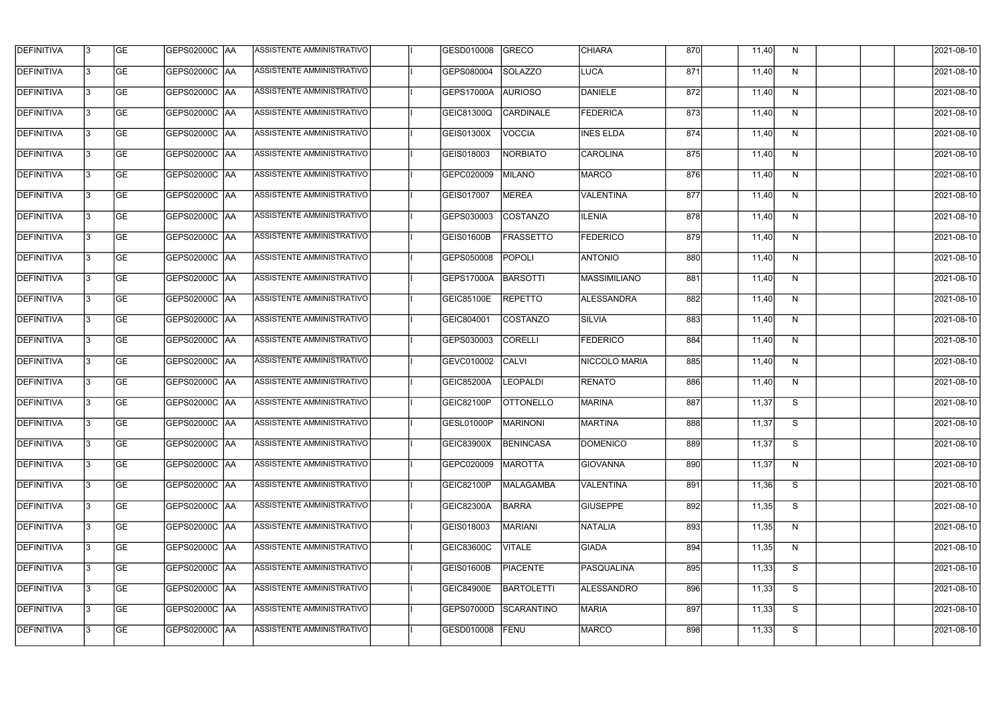| <b>DEFINITIVA</b> | l3 | GE                       | <b>GEPS02000C AA</b> | ASSISTENTE AMMINISTRATIVO        | GESD010008        | GRECO                 | <b>CHIARA</b>     | 870 | 11,40 | N  | 2021-08-10          |
|-------------------|----|--------------------------|----------------------|----------------------------------|-------------------|-----------------------|-------------------|-----|-------|----|---------------------|
| <b>DEFINITIVA</b> | IЗ | $\overline{\mathsf{GE}}$ | GEPS02000C AA        | ASSISTENTE AMMINISTRATIVO        | GEPS080004        | <b>SOLAZZO</b>        | LUCA              | 871 | 11,40 | N  | 2021-08-10          |
| <b>DEFINITIVA</b> | l3 | GE                       | GEPS02000C AA        | ASSISTENTE AMMINISTRATIVO        | GEPS17000A        | <b>AURIOSO</b>        | DANIELE           | 872 | 11,40 | N  | 2021-08-10          |
| <b>DEFINITIVA</b> | l3 | GE                       | <b>GEPS02000C AA</b> | ASSISTENTE AMMINISTRATIVO        | <b>GEIC81300Q</b> | <b>CARDINALE</b>      | FEDERICA          | 873 | 11,40 | N  | 2021-08-10          |
| <b>DEFINITIVA</b> | l3 | <b>GE</b>                | GEPS02000C AA        | ASSISTENTE AMMINISTRATIVO        | GEIS01300X        | <b>VOCCIA</b>         | <b>INES ELDA</b>  | 874 | 11,40 | N  | 2021-08-10          |
| <b>DEFINITIVA</b> | IЗ | <b>GE</b>                | <b>GEPS02000C AA</b> | <b>ASSISTENTE AMMINISTRATIVO</b> | GEIS018003        | NORBIATO              | CAROLINA          | 875 | 11,40 | N  | 2021-08-10          |
| <b>DEFINITIVA</b> | l3 | <b>GE</b>                | GEPS02000C AA        | ASSISTENTE AMMINISTRATIVO        | GEPC020009        | <b>MILANO</b>         | MARCO             | 876 | 11,40 | N  | 2021-08-10          |
| <b>DEFINITIVA</b> | l3 | <b>GE</b>                | GEPS02000C   AA      | ASSISTENTE AMMINISTRATIVO        | GEIS017007        | <b>MEREA</b>          | <b>VALENTINA</b>  | 877 | 11,40 | N  | 2021-08-10          |
| <b>DEFINITIVA</b> | l3 | <b>GE</b>                | GEPS02000C   AA      | ASSISTENTE AMMINISTRATIVO        | GEPS030003        | COSTANZO              | <b>ILENIA</b>     | 878 | 11,40 | N  | 2021-08-10          |
| <b>DEFINITIVA</b> | l3 | GE                       | GEPS02000C AA        | ASSISTENTE AMMINISTRATIVO        | <b>GEIS01600B</b> | <b>FRASSETTO</b>      | <b>FEDERICO</b>   | 879 | 11,40 | N  | 2021-08-10          |
| <b>DEFINITIVA</b> | l3 | GE                       | GEPS02000C AA        | ASSISTENTE AMMINISTRATIVO        | GEPS050008        | POPOLI                | <b>ANTONIO</b>    | 880 | 11,40 | N  | 2021-08-10          |
| <b>DEFINITIVA</b> | l3 | GE                       | GEPS02000C   AA      | ASSISTENTE AMMINISTRATIVO        | GEPS17000A        | BARSOTTI              | MASSIMILIANO      | 881 | 11,40 | N  | 2021-08-10          |
| <b>DEFINITIVA</b> | l3 | <b>GE</b>                | GEPS02000C AA        | ASSISTENTE AMMINISTRATIVO        | <b>GEIC85100E</b> | <b>REPETTO</b>        | <b>ALESSANDRA</b> | 882 | 11,40 | N  | 2021-08-10          |
| <b>DEFINITIVA</b> | IЗ | <b>GE</b>                | GEPS02000C AA        | ASSISTENTE AMMINISTRATIVO        | GEIC804001        | COSTANZO              | <b>SILVIA</b>     | 883 | 11,40 | N  | 2021-08-10          |
| <b>DEFINITIVA</b> | 13 | GE                       | GEPS02000C AA        | ASSISTENTE AMMINISTRATIVO        | GEPS030003        | <b>CORELLI</b>        | <b>FEDERICO</b>   | 884 | 11,40 | N  | 2021-08-10          |
| <b>DEFINITIVA</b> | l3 | <b>GE</b>                | GEPS02000C  AA       | ASSISTENTE AMMINISTRATIVO        | GEVC010002        | CALVI                 | NICCOLO MARIA     | 885 | 11,40 | N  | 2021-08-10          |
| <b>DEFINITIVA</b> | IЗ | GE                       | GEPS02000C  AA       | ASSISTENTE AMMINISTRATIVO        | <b>GEIC85200A</b> | <b>LEOPALDI</b>       | <b>RENATO</b>     | 886 | 11,40 | N  | 2021-08-10          |
| <b>DEFINITIVA</b> | l3 | <b>GE</b>                | GEPS02000C   AA      | ASSISTENTE AMMINISTRATIVO        | <b>GEIC82100P</b> | <b>OTTONELLO</b>      | <b>MARINA</b>     | 887 | 11,37 | S  | 2021-08-10          |
| DEFINITIVA        | 13 | <b>GE</b>                | GEPS02000C  AA       | ASSISTENTE AMMINISTRATIVO        |                   | GESL01000P   MARINONI | <b>MARTINA</b>    | 888 | 11,37 | S. | 2021-08-10          |
| <b>DEFINITIVA</b> | l3 | GE                       | <b>GEPS02000C AA</b> | ASSISTENTE AMMINISTRATIVO        | GEIC83900X        | BENINCASA             | <b>DOMENICO</b>   | 889 | 11,37 | S  | 2021-08-10          |
| <b>DEFINITIVA</b> | 13 | GE                       | GEPS02000C  AA       | ASSISTENTE AMMINISTRATIVO        | GEPC020009        | <b>MAROTTA</b>        | <b>GIOVANNA</b>   | 890 | 11,37 | N  | 2021-08-10          |
| <b>DEFINITIVA</b> | IЗ | GE                       | GEPS02000C AA        | ASSISTENTE AMMINISTRATIVO        | GEIC82100P        | <b>MALAGAMBA</b>      | <b>VALENTINA</b>  | 891 | 11,36 | S  | 2021-08-10          |
| <b>DEFINITIVA</b> | 13 | <b>GE</b>                | GEPS02000C AA        | ASSISTENTE AMMINISTRATIVO        | GEIC82300A        | <b>BARRA</b>          | <b>GIUSEPPE</b>   | 892 | 11,35 | S  | 2021-08-10          |
| <b>DEFINITIVA</b> | 13 | <b>GE</b>                | GEPS02000C  AA       | ASSISTENTE AMMINISTRATIVO        | GEIS018003        | MARIANI               | NATALIA           | 893 | 11,35 | N  | 2021-08-10          |
| <b>DEFINITIVA</b> | l3 | <b>GE</b>                | GEPS02000C  AA       | ASSISTENTE AMMINISTRATIVO        | <b>GEIC83600C</b> | <b>VITALE</b>         | <b>GIADA</b>      | 894 | 11,35 | N  | 2021-08-10          |
| <b>DEFINITIVA</b> | l3 | <b>GE</b>                | GEPS02000C   AA      | ASSISTENTE AMMINISTRATIVO        | <b>GEIS01600B</b> | <b>PIACENTE</b>       | PASQUALINA        | 895 | 11,33 | S  | 2021-08-10          |
| <b>DEFINITIVA</b> | l3 | <b>GE</b>                | GEPS02000C AA        | ASSISTENTE AMMINISTRATIVO        | <b>GEIC84900E</b> | <b>BARTOLETTI</b>     | ALESSANDRO        | 896 | 11,33 | S  | 2021-08-10          |
| <b>DEFINITIVA</b> | l3 | GE                       | GEPS02000C AA        | ASSISTENTE AMMINISTRATIVO        | GEPS07000D        | SCARANTINO            | <b>MARIA</b>      | 897 | 11,33 | S  | 2021-08-10          |
| <b>DEFINITIVA</b> | l3 | GE                       | GEPS02000C AA        | ASSISTENTE AMMINISTRATIVO        | GESD010008        | FENU                  | <b>MARCO</b>      | 898 | 11,33 | S  | $\sqrt{2021-08-10}$ |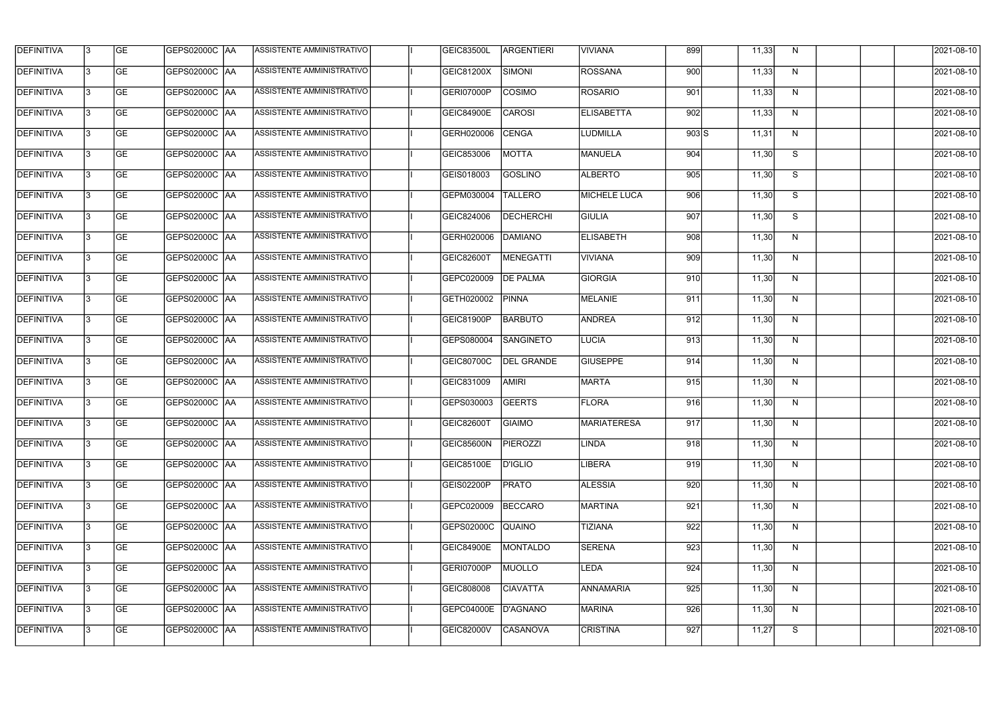| <b>DEFINITIVA</b> | 13  | <b>GE</b> | <b>GEPS02000C AA</b> | ASSISTENTE AMMINISTRATIVO        | <b>GEIC83500L</b> | ARGENTIERI        | <b>VIVIANA</b>      | 899     | 11,33 | N            | 2021-08-10 |
|-------------------|-----|-----------|----------------------|----------------------------------|-------------------|-------------------|---------------------|---------|-------|--------------|------------|
| <b>DEFINITIVA</b> | l3  | <b>GE</b> | <b>GEPS02000C AA</b> | ASSISTENTE AMMINISTRATIVO        | GEIC81200X        | SIMONI            | <b>ROSSANA</b>      | 900     | 11,33 | N            | 2021-08-10 |
| <b>DEFINITIVA</b> | l3  | <b>GE</b> | GEPS02000C AA        | ASSISTENTE AMMINISTRATIVO        | GERI07000P        | <b>COSIMO</b>     | <b>ROSARIO</b>      | 901     | 11,33 | N            | 2021-08-10 |
| <b>DEFINITIVA</b> | l3  | <b>GE</b> | <b>GEPS02000C AA</b> | ASSISTENTE AMMINISTRATIVO        | <b>GEIC84900E</b> | <b>CAROSI</b>     | <b>ELISABETTA</b>   | 902     | 11,33 | $\mathsf{N}$ | 2021-08-10 |
| <b>DEFINITIVA</b> | l3  | <b>GE</b> | <b>GEPS02000C AA</b> | ASSISTENTE AMMINISTRATIVO        | GERH020006        | <b>CENGA</b>      | <b>LUDMILLA</b>     | $903$ S | 11,31 | N            | 2021-08-10 |
| <b>DEFINITIVA</b> | l3  | <b>GE</b> | <b>GEPS02000C AA</b> | <b>ASSISTENTE AMMINISTRATIVO</b> | GEIC853006        | <b>MOTTA</b>      | <b>MANUELA</b>      | 904     | 11,30 | S            | 2021-08-10 |
| <b>DEFINITIVA</b> | l3  | <b>GE</b> | <b>GEPS02000C AA</b> | ASSISTENTE AMMINISTRATIVO        | GEIS018003        | <b>GOSLINO</b>    | <b>ALBERTO</b>      | 905     | 11,30 | S            | 2021-08-10 |
| <b>DEFINITIVA</b> | l3  | <b>GE</b> | <b>GEPS02000C AA</b> | ASSISTENTE AMMINISTRATIVO        | GEPM030004        | <b>TALLERO</b>    | <b>MICHELE LUCA</b> | 906     | 11,30 | S            | 2021-08-10 |
| <b>DEFINITIVA</b> |     | <b>GE</b> | GEPS02000C  AA       | ASSISTENTE AMMINISTRATIVO        | GEIC824006        | <b>DECHERCHI</b>  | <b>GIULIA</b>       | 907     | 11,30 | S            | 2021-08-10 |
| <b>DEFINITIVA</b> | l3  | <b>GE</b> | GEPS02000C  AA       | ASSISTENTE AMMINISTRATIVO        | GERH020006        | DAMIANO           | <b>ELISABETH</b>    | 908     | 11,30 | N            | 2021-08-10 |
| <b>DEFINITIVA</b> | 13  | <b>GE</b> | GEPS02000C AA        | ASSISTENTE AMMINISTRATIVO        | GEIC82600T        | <b>MENEGATTI</b>  | <b>VIVIANA</b>      | 909     | 11,30 | N            | 2021-08-10 |
| <b>DEFINITIVA</b> | l3  | <b>GE</b> |                      | ASSISTENTE AMMINISTRATIVO        | GEPC020009        | <b>DE PALMA</b>   | GIORGIA             | 910     | 11,30 | $\mathsf{N}$ | 2021-08-10 |
| <b>DEFINITIVA</b> | l3  | <b>GE</b> | GEPS02000C AA        | ASSISTENTE AMMINISTRATIVO        | GETH020002        | <b>PINNA</b>      | MELANIE             | 911     | 11,30 | N            | 2021-08-10 |
| <b>DEFINITIVA</b> | l3  | <b>GE</b> | GEPS02000C  AA       | ASSISTENTE AMMINISTRATIVO        | GEIC81900P        | <b>BARBUTO</b>    | ANDREA              | 912     | 11,30 | N            | 2021-08-10 |
| <b>DEFINITIVA</b> | l3  | <b>GE</b> | GEPS02000C  AA       | ASSISTENTE AMMINISTRATIVO        | GEPS080004        | SANGINETO         | LUCIA               | 913     | 11,30 | N            | 2021-08-10 |
| <b>DEFINITIVA</b> | IЗ  | <b>GE</b> |                      | ASSISTENTE AMMINISTRATIVO        | GEIC80700C        | <b>DEL GRANDE</b> | <b>GIUSEPPE</b>     | 914     | 11,30 | N            | 2021-08-10 |
| <b>DEFINITIVA</b> | I3  | <b>GE</b> | GEPS02000C  AA       | ASSISTENTE AMMINISTRATIVO        | GEIC831009        | <b>AMIRI</b>      | <b>MARTA</b>        | 915     | 11,30 | N            | 2021-08-10 |
| DEFINITIVA        |     | <b>GE</b> | GEPS02000C  AA       | ASSISTENTE AMMINISTRATIVO        | GEPS030003        | <b>GEERTS</b>     | <b>FLORA</b>        | 916     | 11,30 | N            | 2021-08-10 |
| <b>DEFINITIVA</b> | 13  | <b>GE</b> | GEPS02000C  AA       | ASSISTENTE AMMINISTRATIVO        | <b>GEIC82600T</b> | <b>GIAIMO</b>     | <b>MARIATERESA</b>  | 917     | 11,30 | N            | 2021-08-10 |
| <b>DEFINITIVA</b> | 13  | <b>GE</b> | <b>GEPS02000C AA</b> | ASSISTENTE AMMINISTRATIVO        | GEIC85600N        | PIEROZZI          | <b>LINDA</b>        | 918     | 11,30 | N            | 2021-08-10 |
| <b>DEFINITIVA</b> | 13  | <b>GE</b> | GEPS02000C  AA       | ASSISTENTE AMMINISTRATIVO        | <b>GEIC85100E</b> | <b>D'IGLIO</b>    | LIBERA              | 919     | 11,30 | N            | 2021-08-10 |
| <b>DEFINITIVA</b> | 13. | <b>GE</b> | <b>GEPS02000C AA</b> | ASSISTENTE AMMINISTRATIVO        | GEIS02200P        | <b>PRATO</b>      | <b>ALESSIA</b>      | 920     | 11,30 | N            | 2021-08-10 |
| <b>DEFINITIVA</b> | 13  | <b>GE</b> | GEPS02000C AA        | ASSISTENTE AMMINISTRATIVO        | GEPC020009        | <b>BECCARO</b>    | MARTINA             | 921     | 11,30 | N            | 2021-08-10 |
| <b>DEFINITIVA</b> | 13  | <b>GE</b> | GEPS02000C  AA       | ASSISTENTE AMMINISTRATIVO        | GEPS02000C        | <b>QUAINO</b>     | <b>TIZIANA</b>      | 922     | 11,30 | N            | 2021-08-10 |
| <b>DEFINITIVA</b> | IЗ  | <b>GE</b> | GEPS02000C  AA       | ASSISTENTE AMMINISTRATIVO        | <b>GEIC84900E</b> | MONTALDO          | <b>SERENA</b>       | 923     | 11,30 | N            | 2021-08-10 |
| DEFINITIVA        | l3  | <b>GE</b> | GEPS02000C  AA       | ASSISTENTE AMMINISTRATIVO        | GERI07000P        | <b>MUOLLO</b>     | LEDA                | 924     | 11,30 | N            | 2021-08-10 |
| <b>DEFINITIVA</b> | l3  | <b>GE</b> | GEPS02000C  AA       | ASSISTENTE AMMINISTRATIVO        | GEIC808008        | <b>CIAVATTA</b>   | <b>ANNAMARIA</b>    | 925     | 11,30 | N            | 2021-08-10 |
| <b>DEFINITIVA</b> | 13. | <b>GE</b> | GEPS02000C  AA       | ASSISTENTE AMMINISTRATIVO        | GEPC04000E        | D'AGNANO          | <b>MARINA</b>       | 926     | 11,30 | N            | 2021-08-10 |
| <b>DEFINITIVA</b> | IЗ  | <b>GE</b> | GEPS02000C  AA       | ASSISTENTE AMMINISTRATIVO        | GEIC82000V        | <b>CASANOVA</b>   | <b>CRISTINA</b>     | 927     | 11,27 | S            | 2021-08-10 |
|                   |     |           |                      |                                  |                   |                   |                     |         |       |              |            |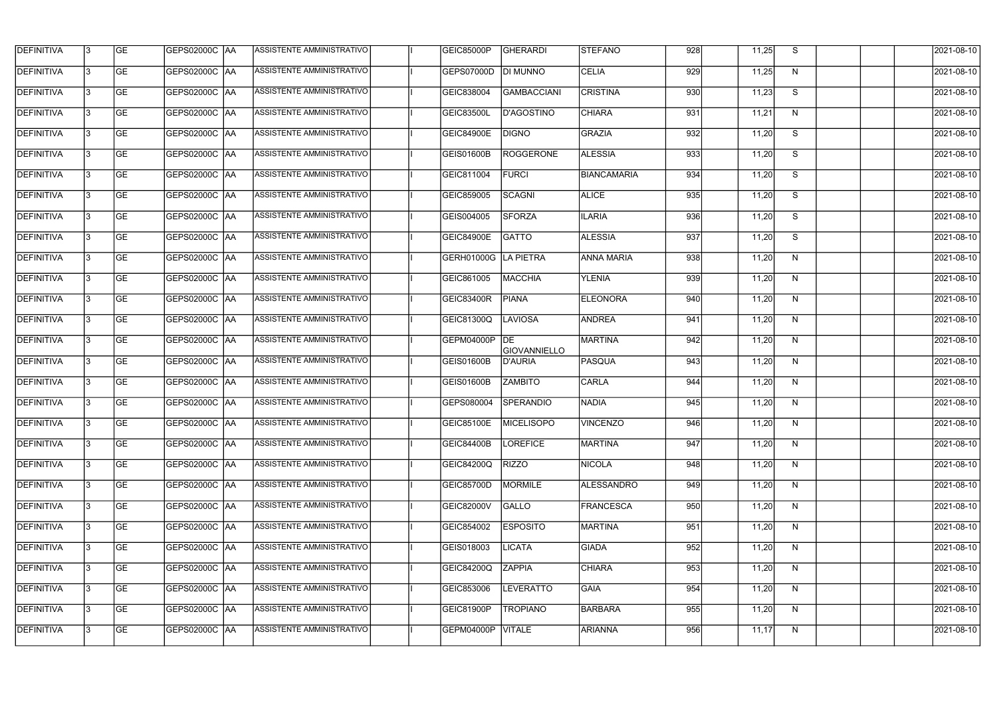| <b>DEFINITIVA</b> | 13  | <b>GE</b> | GEPS02000C  AA       | ASSISTENTE AMMINISTRATIVO        | <b>GEIC85000P</b> | GHERARDI                  | <b>STEFANO</b>     | 928 | 11,25 | S.           | 2021-08-10 |
|-------------------|-----|-----------|----------------------|----------------------------------|-------------------|---------------------------|--------------------|-----|-------|--------------|------------|
| <b>DEFINITIVA</b> | l3  | <b>GE</b> | GEPS02000C  AA       | ASSISTENTE AMMINISTRATIVO        | GEPS07000D        | DI MUNNO                  | <b>CELIA</b>       | 929 | 11,25 | N            | 2021-08-10 |
| DEFINITIVA        | l3  | <b>GE</b> | <b>GEPS02000C AA</b> | ASSISTENTE AMMINISTRATIVO        | GEIC838004        | <b>GAMBACCIANI</b>        | <b>CRISTINA</b>    | 930 | 11,23 | S            | 2021-08-10 |
| <b>DEFINITIVA</b> | 13  | <b>GE</b> | <b>GEPS02000C AA</b> | ASSISTENTE AMMINISTRATIVO        | GEIC83500L        | D'AGOSTINO                | <b>CHIARA</b>      | 931 | 11,21 | $\mathsf{N}$ | 2021-08-10 |
| <b>DEFINITIVA</b> | l3  | <b>GE</b> | GEPS02000C  AA       | ASSISTENTE AMMINISTRATIVO        | <b>GEIC84900E</b> | <b>DIGNO</b>              | GRAZIA             | 932 | 11,20 | S            | 2021-08-10 |
| <b>DEFINITIVA</b> | IЗ  | <b>GE</b> | <b>GEPS02000C AA</b> | <b>ASSISTENTE AMMINISTRATIVO</b> | GEIS01600B        | <b>ROGGERONE</b>          | <b>ALESSIA</b>     | 933 | 11,20 | S            | 2021-08-10 |
| <b>DEFINITIVA</b> | l3  | <b>GE</b> | <b>GEPS02000C AA</b> | <b>ASSISTENTE AMMINISTRATIVO</b> | GEIC811004        | <b>FURCI</b>              | <b>BIANCAMARIA</b> | 934 | 11,20 | S            | 2021-08-10 |
| <b>DEFINITIVA</b> | l3  | <b>GE</b> | GEPS02000C AA        | ASSISTENTE AMMINISTRATIVO        | GEIC859005        | SCAGNI                    | <b>ALICE</b>       | 935 | 11,20 | S            | 2021-08-10 |
| <b>DEFINITIVA</b> | l3  | <b>GE</b> | GEPS02000C   AA      | ASSISTENTE AMMINISTRATIVO        | GEIS004005        | <b>SFORZA</b>             | <b>ILARIA</b>      | 936 | 11,20 | S            | 2021-08-10 |
| <b>DEFINITIVA</b> | l3  | <b>GE</b> | GEPS02000C AA        | ASSISTENTE AMMINISTRATIVO        | <b>GEIC84900E</b> | <b>GATTO</b>              | <b>ALESSIA</b>     | 937 | 11,20 | S            | 2021-08-10 |
| DEFINITIVA        | l3  | <b>GE</b> | GEPS02000C AA        | ASSISTENTE AMMINISTRATIVO        | GERH01000G        | LA PIETRA                 | <b>ANNA MARIA</b>  | 938 | 11,20 | N            | 2021-08-10 |
| <b>DEFINITIVA</b> | 13  | <b>GE</b> | GEPS02000C AA        | ASSISTENTE AMMINISTRATIVO        | GEIC861005        | MACCHIA                   | <b>YLENIA</b>      | 939 | 11,20 | N            | 2021-08-10 |
| <b>DEFINITIVA</b> | l3  | <b>GE</b> | GEPS02000C  AA       | ASSISTENTE AMMINISTRATIVO        | GEIC83400R        | <b>PIANA</b>              | <b>ELEONORA</b>    | 940 | 11,20 | N            | 2021-08-10 |
| <b>DEFINITIVA</b> | l3  | <b>GE</b> | GEPS02000C AA        | ASSISTENTE AMMINISTRATIVO        | GEIC81300Q        | <b>LAVIOSA</b>            | ANDREA             | 941 | 11,20 | N            | 2021-08-10 |
| <b>DEFINITIVA</b> | l3  | <b>GE</b> | GEPS02000C AA        | ASSISTENTE AMMINISTRATIVO        | GEPM04000P        | DE<br><b>GIOVANNIELLO</b> | <b>MARTINA</b>     | 942 | 11,20 | N            | 2021-08-10 |
| <b>DEFINITIVA</b> | l3  | <b>GE</b> | GEPS02000C  AA       | ASSISTENTE AMMINISTRATIVO        | GEIS01600B        | <b>D'AURIA</b>            | <b>PASQUA</b>      | 943 | 11,20 | N            | 2021-08-10 |
| <b>DEFINITIVA</b> | l3  | <b>GE</b> | GEPS02000C  AA       | ASSISTENTE AMMINISTRATIVO        | <b>GEIS01600B</b> | <b>ZAMBITO</b>            | <b>CARLA</b>       | 944 | 11,20 | N            | 2021-08-10 |
| <b>DEFINITIVA</b> |     | <b>GE</b> | GEPS02000C  AA       | ASSISTENTE AMMINISTRATIVO        | GEPS080004        | <b>SPERANDIO</b>          | <b>NADIA</b>       | 945 | 11,20 | N            | 2021-08-10 |
| <b>DEFINITIVA</b> | IЗ  | GE        | GEPS02000C  AA       | <b>ASSISTENTE AMMINISTRATIVO</b> | <b>GEIC85100E</b> | <b>MICELISOPO</b>         | VINCENZO           | 946 | 11,20 | N,           | 2021-08-10 |
| <b>DEFINITIVA</b> | 13. | <b>GE</b> | <b>GEPS02000C AA</b> | ASSISTENTE AMMINISTRATIVO        | <b>GEIC84400B</b> | <b>LOREFICE</b>           | <b>MARTINA</b>     | 947 | 11,20 | N            | 2021-08-10 |
| <b>DEFINITIVA</b> | 13  | <b>GE</b> | <b>GEPS02000C AA</b> | ASSISTENTE AMMINISTRATIVO        | <b>GEIC84200Q</b> | <b>RIZZO</b>              | <b>NICOLA</b>      | 948 | 11,20 | N            | 2021-08-10 |
| <b>DEFINITIVA</b> | 13  | <b>GE</b> | GEPS02000C AA        | ASSISTENTE AMMINISTRATIVO        | GEIC85700D        | <b>MORMILE</b>            | <b>ALESSANDRO</b>  | 949 | 11,20 | N            | 2021-08-10 |
| <b>DEFINITIVA</b> | 13  | <b>GE</b> | GEPS02000C AA        | ASSISTENTE AMMINISTRATIVO        | <b>GEIC82000V</b> | <b>GALLO</b>              | FRANCESCA          | 950 | 11,20 | N            | 2021-08-10 |
| <b>DEFINITIVA</b> | 13  | <b>GE</b> | GEPS02000C AA        | ASSISTENTE AMMINISTRATIVO        | GEIC854002        | <b>ESPOSITO</b>           | MARTINA            | 951 | 11,20 | N            | 2021-08-10 |
| <b>DEFINITIVA</b> | l3  | <b>GE</b> | GEPS02000C  AA       | ASSISTENTE AMMINISTRATIVO        | GEIS018003        | <b>LICATA</b>             | <b>GIADA</b>       | 952 | 11,20 | N            | 2021-08-10 |
| DEFINITIVA        | l3  | <b>GE</b> | GEPS02000C  AA       | ASSISTENTE AMMINISTRATIVO        | <b>GEIC84200Q</b> | <b>ZAPPIA</b>             | <b>CHIARA</b>      | 953 | 11,20 | N            | 2021-08-10 |
| DEFINITIVA        | l3  | <b>GE</b> | GEPS02000C  AA       | ASSISTENTE AMMINISTRATIVO        | GEIC853006        | <b>LEVERATTO</b>          | <b>GAIA</b>        | 954 | 11,20 | N            | 2021-08-10 |
| <b>DEFINITIVA</b> | l3  | <b>GE</b> | GEPS02000C AA        | ASSISTENTE AMMINISTRATIVO        | GEIC81900P        | <b>TROPIANO</b>           | <b>BARBARA</b>     | 955 | 11,20 | N            | 2021-08-10 |
| <b>DEFINITIVA</b> | 13  | <b>GE</b> | GEPS02000C  AA       | ASSISTENTE AMMINISTRATIVO        | GEPM04000P        | <b>VITALE</b>             | <b>ARIANNA</b>     | 956 | 11,17 | N            | 2021-08-10 |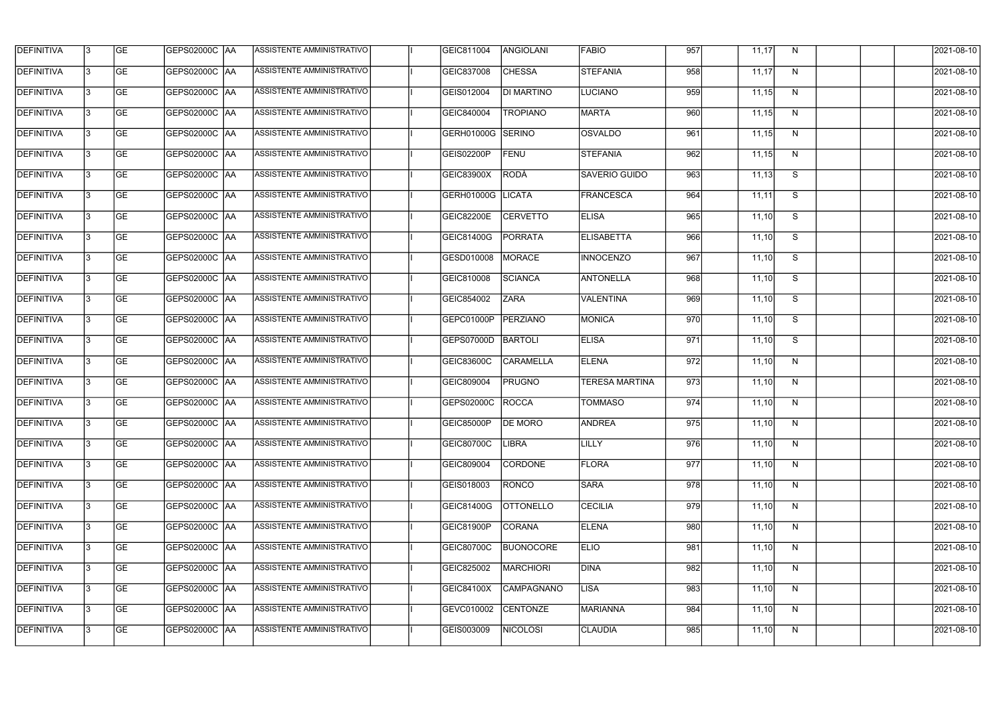| <b>DEFINITIVA</b> | 13  | <b>GE</b> | <b>GEPS02000C AA</b> | ASSISTENTE AMMINISTRATIVO | GEIC811004        | ANGIOLANI         | <b>FABIO</b>          | 957 | 11,17 | N            | 2021-08-10 |
|-------------------|-----|-----------|----------------------|---------------------------|-------------------|-------------------|-----------------------|-----|-------|--------------|------------|
| <b>DEFINITIVA</b> | l3  | <b>GE</b> | <b>GEPS02000C AA</b> | ASSISTENTE AMMINISTRATIVO | GEIC837008        | <b>CHESSA</b>     | <b>STEFANIA</b>       | 958 | 11,17 | N            | 2021-08-10 |
| <b>DEFINITIVA</b> | l3  | <b>GE</b> | GEPS02000C AA        | ASSISTENTE AMMINISTRATIVO | GEIS012004        | <b>DI MARTINO</b> | <b>LUCIANO</b>        | 959 | 11,15 | N            | 2021-08-10 |
| <b>DEFINITIVA</b> | l3  | <b>GE</b> | <b>GEPS02000C AA</b> | ASSISTENTE AMMINISTRATIVO | GEIC840004        | <b>TROPIANO</b>   | <b>MARTA</b>          | 960 | 11,15 | $\mathsf{N}$ | 2021-08-10 |
| <b>DEFINITIVA</b> | l3  | <b>GE</b> | <b>GEPS02000C AA</b> | ASSISTENTE AMMINISTRATIVO | GERH01000G        | SERINO            | <b>OSVALDO</b>        | 961 | 11,15 | N            | 2021-08-10 |
| <b>DEFINITIVA</b> | l3  | <b>GE</b> | <b>GEPS02000C AA</b> | ASSISTENTE AMMINISTRATIVO | GEIS02200P        | <b>FENU</b>       | <b>STEFANIA</b>       | 962 | 11,15 | N            | 2021-08-10 |
| <b>DEFINITIVA</b> | l3  | <b>GE</b> | <b>GEPS02000C AA</b> | ASSISTENTE AMMINISTRATIVO | GEIC83900X        | RODÀ              | <b>SAVERIO GUIDO</b>  | 963 | 11,13 | S            | 2021-08-10 |
| <b>DEFINITIVA</b> | l3  | <b>GE</b> | <b>GEPS02000C AA</b> | ASSISTENTE AMMINISTRATIVO | GERH01000G        | <b>LICATA</b>     | FRANCESCA             | 964 | 11,11 | S            | 2021-08-10 |
| <b>DEFINITIVA</b> |     | <b>GE</b> | GEPS02000C  AA       | ASSISTENTE AMMINISTRATIVO | GEIC82200E        | <b>CERVETTO</b>   | <b>ELISA</b>          | 965 | 11,10 | S            | 2021-08-10 |
| <b>DEFINITIVA</b> | l3  | <b>GE</b> | GEPS02000C  AA       | ASSISTENTE AMMINISTRATIVO | GEIC81400G        | PORRATA           | <b>ELISABETTA</b>     | 966 | 11,10 | S            | 2021-08-10 |
| DEFINITIVA        | 13  | <b>GE</b> | GEPS02000C AA        | ASSISTENTE AMMINISTRATIVO | GESD010008        | <b>MORACE</b>     | <b>INNOCENZO</b>      | 967 | 11,10 | S            | 2021-08-10 |
| <b>DEFINITIVA</b> | l3  | <b>GE</b> |                      | ASSISTENTE AMMINISTRATIVO | GEIC810008        | <b>SCIANCA</b>    | <b>ANTONELLA</b>      | 968 | 11,10 | S            | 2021-08-10 |
| <b>DEFINITIVA</b> | l3  | <b>GE</b> | GEPS02000C AA        | ASSISTENTE AMMINISTRATIVO | GEIC854002        | <b>ZARA</b>       | <b>VALENTINA</b>      | 969 | 11,10 | S            | 2021-08-10 |
| <b>DEFINITIVA</b> | l3  | <b>GE</b> | GEPS02000C  AA       | ASSISTENTE AMMINISTRATIVO | GEPC01000P        | PERZIANO          | MONICA                | 970 | 11,10 | S            | 2021-08-10 |
| <b>DEFINITIVA</b> | l3  | <b>GE</b> | GEPS02000C  AA       | ASSISTENTE AMMINISTRATIVO | GEPS07000D        | <b>BARTOLI</b>    | <b>ELISA</b>          | 971 | 11,10 | S            | 2021-08-10 |
| <b>DEFINITIVA</b> | IЗ  | <b>GE</b> |                      | ASSISTENTE AMMINISTRATIVO | GEIC83600C        | <b>CARAMELLA</b>  | <b>ELENA</b>          | 972 | 11,10 | N            | 2021-08-10 |
| <b>DEFINITIVA</b> | I3  | <b>GE</b> | GEPS02000C  AA       | ASSISTENTE AMMINISTRATIVO | GEIC809004        | <b>PRUGNO</b>     | <b>TERESA MARTINA</b> | 973 | 11,10 | N            | 2021-08-10 |
| DEFINITIVA        |     | <b>GE</b> | GEPS02000C  AA       | ASSISTENTE AMMINISTRATIVO | GEPS02000C        | <b>ROCCA</b>      | <b>TOMMASO</b>        | 974 | 11,10 | N            | 2021-08-10 |
| <b>DEFINITIVA</b> | 13  | <b>GE</b> | GEPS02000C  AA       | ASSISTENTE AMMINISTRATIVO | <b>GEIC85000P</b> | <b>DE MORO</b>    | <b>ANDREA</b>         | 975 | 11,10 | N            | 2021-08-10 |
| <b>DEFINITIVA</b> | 13  | <b>GE</b> | <b>GEPS02000C AA</b> | ASSISTENTE AMMINISTRATIVO | GEIC80700C        | <b>LIBRA</b>      | <b>LILLY</b>          | 976 | 11,10 | N            | 2021-08-10 |
| <b>DEFINITIVA</b> | 13  | <b>GE</b> | GEPS02000C  AA       | ASSISTENTE AMMINISTRATIVO | GEIC809004        | <b>CORDONE</b>    | <b>FLORA</b>          | 977 | 11,10 | N            | 2021-08-10 |
| <b>DEFINITIVA</b> | 13  | <b>GE</b> | <b>GEPS02000C AA</b> | ASSISTENTE AMMINISTRATIVO | GEIS018003        | RONCO             | <b>SARA</b>           | 978 | 11,10 | N            | 2021-08-10 |
| <b>DEFINITIVA</b> | 13  | <b>GE</b> | GEPS02000C AA        | ASSISTENTE AMMINISTRATIVO | <b>GEIC81400G</b> | <b>OTTONELLO</b>  | <b>CECILIA</b>        | 979 | 11,10 | N            | 2021-08-10 |
| <b>DEFINITIVA</b> | 13  | <b>GE</b> | <b>GEPS02000C AA</b> | ASSISTENTE AMMINISTRATIVO | GEIC81900P        | <b>CORANA</b>     | <b>ELENA</b>          | 980 | 11,10 | N            | 2021-08-10 |
| <b>DEFINITIVA</b> | IЗ  | <b>GE</b> | GEPS02000C  AA       | ASSISTENTE AMMINISTRATIVO | GEIC80700C        | <b>BUONOCORE</b>  | <b>ELIO</b>           | 981 | 11,10 | N            | 2021-08-10 |
| DEFINITIVA        | IЗ  | <b>GE</b> | GEPS02000C  AA       | ASSISTENTE AMMINISTRATIVO | GEIC825002        | MARCHIORI         | <b>DINA</b>           | 982 | 11,10 | N            | 2021-08-10 |
| <b>DEFINITIVA</b> | l3  | <b>GE</b> | GEPS02000C  AA       | ASSISTENTE AMMINISTRATIVO | GEIC84100X        | <b>CAMPAGNANO</b> | LISA                  | 983 | 11,10 | N            | 2021-08-10 |
| <b>DEFINITIVA</b> | 13. | <b>GE</b> | GEPS02000C  AA       | ASSISTENTE AMMINISTRATIVO | GEVC010002        | <b>CENTONZE</b>   | <b>MARIANNA</b>       | 984 | 11,10 | N            | 2021-08-10 |
| <b>DEFINITIVA</b> | IЗ  | <b>GE</b> | GEPS02000C  AA       | ASSISTENTE AMMINISTRATIVO | GEIS003009        | <b>NICOLOSI</b>   | <b>CLAUDIA</b>        | 985 | 11,10 | N            | 2021-08-10 |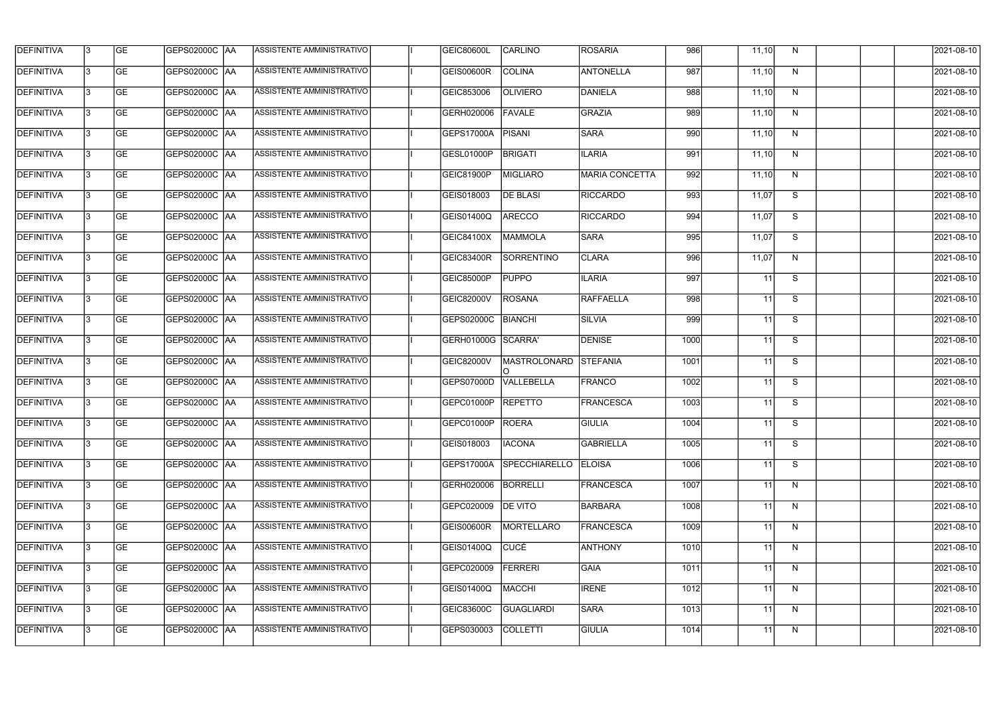| <b>DEFINITIVA</b> | 13  | <b>GE</b> | <b>GEPS02000C AA</b> | ASSISTENTE AMMINISTRATIVO        | <b>GEIC80600L</b>  | <b>CARLINO</b>        | <b>ROSARIA</b>   | 986  | 11,10           | N            | 2021-08-10 |
|-------------------|-----|-----------|----------------------|----------------------------------|--------------------|-----------------------|------------------|------|-----------------|--------------|------------|
| <b>DEFINITIVA</b> | l3  | <b>GE</b> | <b>GEPS02000C AA</b> | ASSISTENTE AMMINISTRATIVO        | GEIS00600R         | <b>COLINA</b>         | <b>ANTONELLA</b> | 987  | 11,10           | N            | 2021-08-10 |
| <b>DEFINITIVA</b> | l3  | <b>GE</b> | <b>GEPS02000C AA</b> | ASSISTENTE AMMINISTRATIVO        | GEIC853006         | <b>OLIVIERO</b>       | DANIELA          | 988  | 11,10           | N            | 2021-08-10 |
| <b>DEFINITIVA</b> | l3  | <b>GE</b> | <b>GEPS02000C AA</b> | ASSISTENTE AMMINISTRATIVO        | GERH020006         | FAVALE                | <b>GRAZIA</b>    | 989  | 11,10           | $\mathsf{N}$ | 2021-08-10 |
| <b>DEFINITIVA</b> | l3  | <b>GE</b> | <b>GEPS02000C AA</b> | ASSISTENTE AMMINISTRATIVO        | GEPS17000A         | <b>PISANI</b>         | <b>SARA</b>      | 990  | 11,10           | N            | 2021-08-10 |
| <b>DEFINITIVA</b> | l3  | <b>GE</b> | <b>GEPS02000C AA</b> | <b>ASSISTENTE AMMINISTRATIVO</b> | GESL01000P         | <b>BRIGATI</b>        | <b>ILARIA</b>    | 991  | 11,10           | N            | 2021-08-10 |
| <b>DEFINITIVA</b> | l3  | <b>GE</b> | GEPS02000C AA        | ASSISTENTE AMMINISTRATIVO        | GEIC81900P         | <b>MIGLIARO</b>       | MARIA CONCETTA   | 992  | 11,10           | N            | 2021-08-10 |
| <b>DEFINITIVA</b> | l3  | <b>GE</b> | <b>GEPS02000C AA</b> | ASSISTENTE AMMINISTRATIVO        | GEIS018003         | <b>DE BLASI</b>       | <b>RICCARDO</b>  | 993  | 11,07           | S            | 2021-08-10 |
| <b>DEFINITIVA</b> |     | <b>GE</b> |                      | ASSISTENTE AMMINISTRATIVO        | <b>GEIS01400Q</b>  | ARECCO                | <b>RICCARDO</b>  | 994  | 11,07           | S            | 2021-08-10 |
| <b>DEFINITIVA</b> | l3  | <b>GE</b> | GEPS02000C AA        | ASSISTENTE AMMINISTRATIVO        | GEIC84100X         | MAMMOLA               | <b>SARA</b>      | 995  | 11,07           | S            | 2021-08-10 |
| <b>DEFINITIVA</b> | 13  | <b>GE</b> | GEPS02000C AA        | ASSISTENTE AMMINISTRATIVO        | <b>GEIC83400R</b>  | <b>SORRENTINO</b>     | <b>CLARA</b>     | 996  | 11,07           | N            | 2021-08-10 |
| <b>DEFINITIVA</b> | l3  | <b>GE</b> |                      | ASSISTENTE AMMINISTRATIVO        | <b>GEIC85000P</b>  | <b>PUPPO</b>          | <b>ILARIA</b>    | 997  | 11              | S            | 2021-08-10 |
| <b>DEFINITIVA</b> | l3  | <b>GE</b> | GEPS02000C AA        | <b>ASSISTENTE AMMINISTRATIVO</b> | <b>GEIC82000V</b>  | <b>ROSANA</b>         | <b>RAFFAELLA</b> | 998  | 11              | S            | 2021-08-10 |
| <b>DEFINITIVA</b> | l3  | <b>GE</b> | GEPS02000C  AA       | ASSISTENTE AMMINISTRATIVO        | GEPS02000C         | <b>BIANCHI</b>        | <b>SILVIA</b>    | 999  | 11              | S            | 2021-08-10 |
| <b>DEFINITIVA</b> | l3  | <b>GE</b> | GEPS02000C  AA       | ASSISTENTE AMMINISTRATIVO        | GERH01000G SCARRA' |                       | <b>DENISE</b>    | 1000 | 11              | S            | 2021-08-10 |
| <b>DEFINITIVA</b> | IЗ  | <b>GE</b> |                      | ASSISTENTE AMMINISTRATIVO        | <b>GEIC82000V</b>  | MASTROLONARD STEFANIA |                  | 1001 | $\overline{11}$ | S            | 2021-08-10 |
| <b>DEFINITIVA</b> | I3  | <b>GE</b> | GEPS02000C  AA       | ASSISTENTE AMMINISTRATIVO        | GEPS07000D         | VALLEBELLA            | FRANCO           | 1002 | 11              | S            | 2021-08-10 |
| DEFINITIVA        |     | <b>GE</b> | GEPS02000C AA        | ASSISTENTE AMMINISTRATIVO        | GEPC01000P         | <b>REPETTO</b>        | <b>FRANCESCA</b> | 1003 | 11              | S            | 2021-08-10 |
| <b>DEFINITIVA</b> | 13  | <b>GE</b> | GEPS02000C  AA       | ASSISTENTE AMMINISTRATIVO        | GEPC01000P ROERA   |                       | <b>GIULIA</b>    | 1004 | 11              | S.           | 2021-08-10 |
| <b>DEFINITIVA</b> | 13  | <b>GE</b> | <b>GEPS02000C AA</b> | ASSISTENTE AMMINISTRATIVO        | GEIS018003         | <b>IACONA</b>         | <b>GABRIELLA</b> | 1005 | 11              | S            | 2021-08-10 |
| <b>DEFINITIVA</b> | 13  | <b>GE</b> | GEPS02000C  AA       | ASSISTENTE AMMINISTRATIVO        | <b>GEPS17000A</b>  | <b>SPECCHIARELLO</b>  | <b>ELOISA</b>    | 1006 | 11              | S            | 2021-08-10 |
| <b>DEFINITIVA</b> | 13. | <b>GE</b> | <b>GEPS02000C AA</b> | ASSISTENTE AMMINISTRATIVO        | GERH020006         | <b>BORRELLI</b>       | FRANCESCA        | 1007 | $\overline{11}$ | N            | 2021-08-10 |
| <b>DEFINITIVA</b> | 13  | <b>GE</b> | GEPS02000C AA        | ASSISTENTE AMMINISTRATIVO        | GEPC020009         | <b>DE VITO</b>        | BARBARA          | 1008 | $\overline{11}$ | N            | 2021-08-10 |
| <b>DEFINITIVA</b> | 13  | <b>GE</b> | GEPS02000C  AA       | ASSISTENTE AMMINISTRATIVO        | <b>GEIS00600R</b>  | <b>MORTELLARO</b>     | <b>FRANCESCA</b> | 1009 | 11              | N            | 2021-08-10 |
| <b>DEFINITIVA</b> | IЗ  | <b>GE</b> | GEPS02000C  AA       | ASSISTENTE AMMINISTRATIVO        | GEIS01400Q         | CUCÉ                  | <b>ANTHONY</b>   | 1010 | 11              | N            | 2021-08-10 |
| DEFINITIVA        | l3  | <b>GE</b> | GEPS02000C  AA       | ASSISTENTE AMMINISTRATIVO        | GEPC020009         | <b>FERRERI</b>        | <b>GAIA</b>      | 1011 | 11              | N            | 2021-08-10 |
| <b>DEFINITIVA</b> | l3  | <b>GE</b> | GEPS02000C  AA       | ASSISTENTE AMMINISTRATIVO        | GEIS01400Q         | MACCHI                | <b>IRENE</b>     | 1012 | 11              | N            | 2021-08-10 |
| <b>DEFINITIVA</b> | 13. | <b>GE</b> | <b>GEPS02000C AA</b> | ASSISTENTE AMMINISTRATIVO        | GEIC83600C         | <b>GUAGLIARDI</b>     | <b>SARA</b>      | 1013 | 11              | N            | 2021-08-10 |
| <b>DEFINITIVA</b> | IЗ  | <b>GE</b> | GEPS02000C  AA       | ASSISTENTE AMMINISTRATIVO        | GEPS030003         | <b>COLLETTI</b>       | <b>GIULIA</b>    | 1014 | 11              | N            | 2021-08-10 |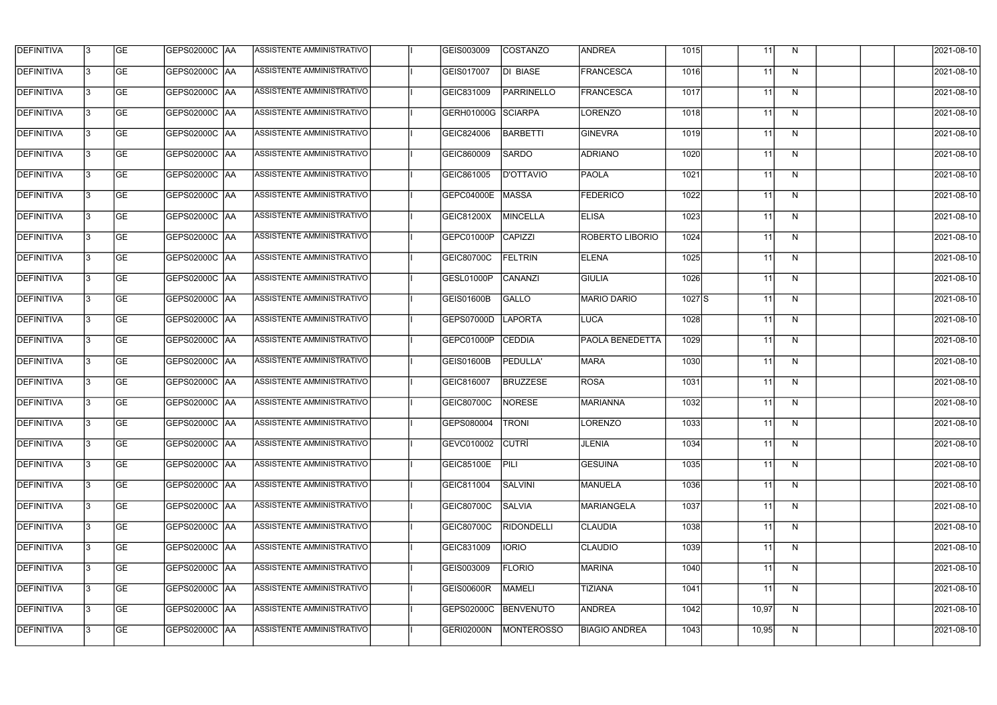| <b>DEFINITIVA</b> | 13  | <b>GE</b> | <b>GEPS02000C AA</b> | ASSISTENTE AMMINISTRATIVO | GEIS003009                | COSTANZO          | <b>ANDREA</b>          | 1015     | 11              | N            | 2021-08-10 |
|-------------------|-----|-----------|----------------------|---------------------------|---------------------------|-------------------|------------------------|----------|-----------------|--------------|------------|
| DEFINITIVA        | l3  | <b>GE</b> | <b>GEPS02000C AA</b> | ASSISTENTE AMMINISTRATIVO | GEIS017007                | DI BIASE          | FRANCESCA              | 1016     | 11              | N            | 2021-08-10 |
| <b>DEFINITIVA</b> | l3  | <b>GE</b> | GEPS02000C AA        | ASSISTENTE AMMINISTRATIVO | GEIC831009                | <b>PARRINELLO</b> | FRANCESCA              | 1017     | 11              | N            | 2021-08-10 |
| <b>DEFINITIVA</b> | l3  | <b>GE</b> | <b>GEPS02000C AA</b> | ASSISTENTE AMMINISTRATIVO | GERH01000G                | SCIARPA           | <b>LORENZO</b>         | 1018     | 11              | N            | 2021-08-10 |
| <b>DEFINITIVA</b> | l3  | <b>GE</b> | GEPS02000C AA        | ASSISTENTE AMMINISTRATIVO | GEIC824006                | <b>BARBETTI</b>   | <b>GINEVRA</b>         | 1019     | 11              | N            | 2021-08-10 |
| <b>DEFINITIVA</b> | IЗ  | <b>GE</b> | <b>GEPS02000C AA</b> | ASSISTENTE AMMINISTRATIVO | GEIC860009                | <b>SARDO</b>      | <b>ADRIANO</b>         | 1020     | 11              | N            | 2021-08-10 |
| <b>DEFINITIVA</b> | l3  | <b>GE</b> | <b>GEPS02000C AA</b> | ASSISTENTE AMMINISTRATIVO | GEIC861005                | <b>D'OTTAVIO</b>  | PAOLA                  | 1021     | 11              | N            | 2021-08-10 |
| <b>DEFINITIVA</b> | l3  | <b>GE</b> | <b>GEPS02000C AA</b> | ASSISTENTE AMMINISTRATIVO | GEPC04000E                | MASSA             | <b>FEDERICO</b>        | 1022     | 11              | N            | 2021-08-10 |
| <b>DEFINITIVA</b> |     | <b>GE</b> |                      | ASSISTENTE AMMINISTRATIVO | GEIC81200X                | MINCELLA          | <b>ELISA</b>           | 1023     | 11              | N            | 2021-08-10 |
| <b>DEFINITIVA</b> | l3  | <b>GE</b> | GEPS02000C  AA       | ASSISTENTE AMMINISTRATIVO | GEPC01000P                | CAPIZZI           | <b>ROBERTO LIBORIO</b> | 1024     | 11              | N            | 2021-08-10 |
| <b>DEFINITIVA</b> | 13  | <b>GE</b> | GEPS02000C AA        | ASSISTENTE AMMINISTRATIVO | GEIC80700C                | <b>FELTRIN</b>    | <b>ELENA</b>           | 1025     | 11              | N            | 2021-08-10 |
| <b>DEFINITIVA</b> | l3  | <b>GE</b> |                      | ASSISTENTE AMMINISTRATIVO | GESL01000P                | CANANZI           | <b>GIULIA</b>          | 1026     | 11              | N            | 2021-08-10 |
| <b>DEFINITIVA</b> | l3  | <b>GE</b> | GEPS02000C AA        | ASSISTENTE AMMINISTRATIVO | GEIS01600B                | <b>GALLO</b>      | <b>MARIO DARIO</b>     | $1027$ S | 11              | N            | 2021-08-10 |
| <b>DEFINITIVA</b> | l3  | <b>GE</b> | GEPS02000C  AA       | ASSISTENTE AMMINISTRATIVO | GEPS07000D                | LAPORTA           | LUCA                   | 1028     | 11              | N            | 2021-08-10 |
| <b>DEFINITIVA</b> | l3  | <b>GE</b> | GEPS02000C  AA       | ASSISTENTE AMMINISTRATIVO | GEPC01000P                | <b>CEDDIA</b>     | <b>PAOLA BENEDETTA</b> | 1029     | 11              | N            | 2021-08-10 |
| <b>DEFINITIVA</b> | IЗ  | <b>GE</b> |                      | ASSISTENTE AMMINISTRATIVO | GEIS01600B                | PEDULLA'          | MARA                   | 1030     | 11              | $\mathsf{N}$ | 2021-08-10 |
| <b>DEFINITIVA</b> | I3  | <b>GE</b> | GEPS02000C  AA       | ASSISTENTE AMMINISTRATIVO | GEIC816007                | <b>BRUZZESE</b>   | ROSA                   | 1031     | 11              | N            | 2021-08-10 |
| DEFINITIVA        |     | <b>GE</b> |                      | ASSISTENTE AMMINISTRATIVO | <b>GEIC80700C</b>         | NORESE            | <b>MARIANNA</b>        | 1032     | 11              | N            | 2021-08-10 |
| <b>DEFINITIVA</b> | 13  | <b>GE</b> | GEPS02000C  AA       | ASSISTENTE AMMINISTRATIVO | <b>GEPS080004   TRONI</b> |                   | <b>LORENZO</b>         | 1033     | 11              | N            | 2021-08-10 |
| <b>DEFINITIVA</b> | 13  | <b>GE</b> | <b>GEPS02000C AA</b> | ASSISTENTE AMMINISTRATIVO | GEVC010002                | <b>CUTRI</b>      | <b>JLENIA</b>          | 1034     | 11              | N            | 2021-08-10 |
| <b>DEFINITIVA</b> | 13  | <b>GE</b> | GEPS02000C  AA       | ASSISTENTE AMMINISTRATIVO | <b>GEIC85100E</b>         | PILI              | <b>GESUINA</b>         | 1035     | 11              | N            | 2021-08-10 |
| <b>DEFINITIVA</b> | 13. | <b>GE</b> | GEPS02000C AA        | ASSISTENTE AMMINISTRATIVO | GEIC811004                | <b>SALVINI</b>    | <b>MANUELA</b>         | 1036     | $\overline{11}$ | N            | 2021-08-10 |
| <b>DEFINITIVA</b> | 13  | <b>GE</b> | GEPS02000C AA        | ASSISTENTE AMMINISTRATIVO | <b>GEIC80700C</b>         | <b>SALVIA</b>     | <b>MARIANGELA</b>      | 1037     | $\overline{11}$ | N            | 2021-08-10 |
| <b>DEFINITIVA</b> | 13  | <b>GE</b> | GEPS02000C  AA       | ASSISTENTE AMMINISTRATIVO | <b>GEIC80700C</b>         | <b>RIDONDELLI</b> | <b>CLAUDIA</b>         | 1038     | 11              | N            | 2021-08-10 |
| <b>DEFINITIVA</b> | IЗ  | <b>GE</b> | GEPS02000C  AA       | ASSISTENTE AMMINISTRATIVO | GEIC831009                | <b>IORIO</b>      | <b>CLAUDIO</b>         | 1039     | 11              | N            | 2021-08-10 |
| DEFINITIVA        | l3  | <b>GE</b> | GEPS02000C  AA       | ASSISTENTE AMMINISTRATIVO | GEIS003009                | <b>FLORIO</b>     | <b>MARINA</b>          | 1040     | 11              | N            | 2021-08-10 |
| <b>DEFINITIVA</b> | l3  | <b>GE</b> | GEPS02000C  AA       | ASSISTENTE AMMINISTRATIVO | <b>GEIS00600R</b>         | <b>MAMELI</b>     | <b>TIZIANA</b>         | 1041     | 11              | N            | 2021-08-10 |
| <b>DEFINITIVA</b> | 13. | <b>GE</b> | GEPS02000C AA        | ASSISTENTE AMMINISTRATIVO | GEPS02000C                | BENVENUTO         | <b>ANDREA</b>          | 1042     | 10,97           | N            | 2021-08-10 |
| <b>DEFINITIVA</b> | IЗ  | <b>GE</b> | GEPS02000C  AA       | ASSISTENTE AMMINISTRATIVO | <b>GERI02000N</b>         | <b>MONTEROSSO</b> | <b>BIAGIO ANDREA</b>   | 1043     | 10,95           | N            | 2021-08-10 |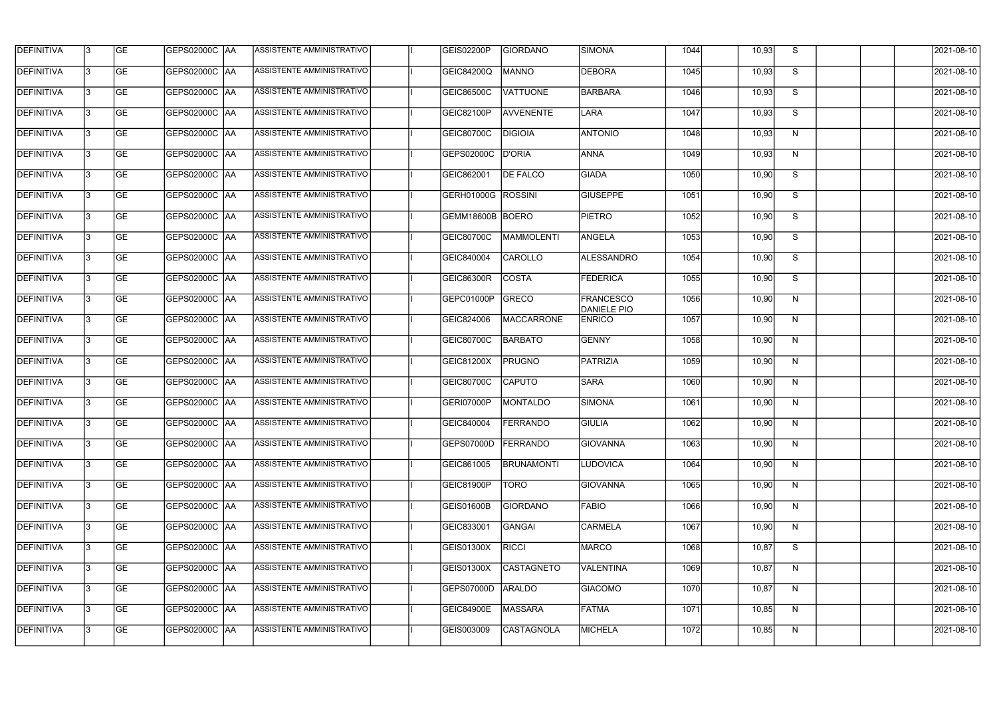| <b>DEFINITIVA</b> | 13  | <b>GE</b> | GEPS02000C  AA       | ASSISTENTE AMMINISTRATIVO        | <b>GEIS02200P</b>         | <b>GIORDANO</b>   | <b>SIMONA</b>                   | 1044 | 10,93 | S  | 2021-08-10       |
|-------------------|-----|-----------|----------------------|----------------------------------|---------------------------|-------------------|---------------------------------|------|-------|----|------------------|
| <b>DEFINITIVA</b> | l3  | <b>GE</b> |                      | ASSISTENTE AMMINISTRATIVO        | <b>GEIC84200Q</b>         | <b>MANNO</b>      | <b>DEBORA</b>                   | 1045 | 10,93 | S  | 2021-08-10       |
| DEFINITIVA        | l3  | <b>GE</b> | <b>GEPS02000C AA</b> | ASSISTENTE AMMINISTRATIVO        | <b>GEIC86500C</b>         | <b>VATTUONE</b>   | <b>BARBARA</b>                  | 1046 | 10,93 | S  | 2021-08-10       |
| <b>DEFINITIVA</b> | l3  | <b>GE</b> | <b>GEPS02000C AA</b> | ASSISTENTE AMMINISTRATIVO        | GEIC82100P                | AVVENENTE         | LARA                            | 1047 | 10,93 | S  | 2021-08-10       |
| <b>DEFINITIVA</b> | l3  | <b>GE</b> | GEPS02000C  AA       | <b>ASSISTENTE AMMINISTRATIVO</b> | GEIC80700C                | <b>DIGIOIA</b>    | <b>ANTONIO</b>                  | 1048 | 10,93 | N  | 2021-08-10       |
| <b>DEFINITIVA</b> | IЗ  | <b>GE</b> | <b>GEPS02000C AA</b> | ASSISTENTE AMMINISTRATIVO        | GEPS02000C                | <b>D'ORIA</b>     | <b>ANNA</b>                     | 1049 | 10,93 | N  | 2021-08-10       |
| <b>DEFINITIVA</b> | l3  | <b>GE</b> | <b>GEPS02000C AA</b> | ASSISTENTE AMMINISTRATIVO        | GEIC862001                | <b>DE FALCO</b>   | <b>GIADA</b>                    | 1050 | 10,90 | S  | 2021-08-10       |
| <b>DEFINITIVA</b> | l3  | <b>GE</b> | GEPS02000C AA        | ASSISTENTE AMMINISTRATIVO        | <b>GERH01000G ROSSINI</b> |                   | <b>GIUSEPPE</b>                 | 1051 | 10,90 | S  | 2021-08-10       |
| <b>DEFINITIVA</b> | l3  | <b>GE</b> | GEPS02000C   AA      | ASSISTENTE AMMINISTRATIVO        | GEMM18600B BOERO          |                   | <b>PIETRO</b>                   | 1052 | 10,90 | S  | 2021-08-10       |
| <b>DEFINITIVA</b> | l3  | <b>GE</b> | GEPS02000C AA        | ASSISTENTE AMMINISTRATIVO        | <b>GEIC80700C</b>         | MAMMOLENTI        | <b>ANGELA</b>                   | 1053 | 10,90 | S  | 2021-08-10       |
| <b>DEFINITIVA</b> | l3  | <b>GE</b> | GEPS02000C AA        | ASSISTENTE AMMINISTRATIVO        | GEIC840004                | <b>CAROLLO</b>    | ALESSANDRO                      | 1054 | 10,90 | S  | 2021-08-10       |
| <b>DEFINITIVA</b> | 13  | <b>GE</b> | GEPS02000C AA        | ASSISTENTE AMMINISTRATIVO        | <b>GEIC86300R</b>         | <b>COSTA</b>      | <b>FEDERICA</b>                 | 1055 | 10,90 | S  | 2021-08-10       |
| <b>DEFINITIVA</b> | l3  | <b>GE</b> | GEPS02000C AA        | ASSISTENTE AMMINISTRATIVO        | GEPC01000P                | GRECO             | <b>FRANCESCO</b><br>DANIELE PIO | 1056 | 10,90 | N  | 2021-08-10       |
| <b>DEFINITIVA</b> | l3  | <b>GE</b> | GEPS02000C AA        | ASSISTENTE AMMINISTRATIVO        | GEIC824006                | <b>MACCARRONE</b> | <b>ENRICO</b>                   | 1057 | 10,90 | N  | 2021-08-10       |
| <b>DEFINITIVA</b> | l3  | <b>GE</b> | GEPS02000C AA        | ASSISTENTE AMMINISTRATIVO        | GEIC80700C                | <b>BARBATO</b>    | GENNY                           | 1058 | 10,90 | N  | 2021-08-10       |
| <b>DEFINITIVA</b> | l3  | <b>GE</b> | GEPS02000C  AA       | ASSISTENTE AMMINISTRATIVO        | GEIC81200X                | <b>PRUGNO</b>     | PATRIZIA                        | 1059 | 10,90 | N  | 2021-08-10       |
| <b>DEFINITIVA</b> | l3  | <b>GE</b> | GEPS02000C  AA       | ASSISTENTE AMMINISTRATIVO        | GEIC80700C                | <b>CAPUTO</b>     | <b>SARA</b>                     | 1060 | 10,90 | N  | 2021-08-10       |
| <b>DEFINITIVA</b> |     | <b>GE</b> | GEPS02000C  AA       | ASSISTENTE AMMINISTRATIVO        | GERI07000P                | <b>MONTALDO</b>   | <b>SIMONA</b>                   | 1061 | 10,90 | N  | 2021-08-10       |
| <b>DEFINITIVA</b> | IЗ  | GE        | GEPS02000C  AA       | <b>ASSISTENTE AMMINISTRATIVO</b> | GEIC840004                | <b>FERRANDO</b>   | GIULIA                          | 1062 | 10,90 | N, | 2021-08-10       |
| <b>DEFINITIVA</b> | 13. | <b>GE</b> | GEPS02000C AA        | ASSISTENTE AMMINISTRATIVO        | GEPS07000D                | FERRANDO          | <b>GIOVANNA</b>                 | 1063 | 10,90 | N  | 2021-08-10       |
| <b>DEFINITIVA</b> | 13  | <b>GE</b> | <b>GEPS02000C AA</b> | ASSISTENTE AMMINISTRATIVO        | GEIC861005                | <b>BRUNAMONTI</b> | <b>LUDOVICA</b>                 | 1064 | 10,90 | N  | 2021-08-10       |
| <b>DEFINITIVA</b> | 13. | <b>GE</b> | GEPS02000C AA        | ASSISTENTE AMMINISTRATIVO        | GEIC81900P                | <b>TORO</b>       | <b>GIOVANNA</b>                 | 1065 | 10,90 | N  | $2021 - 08 - 10$ |
| <b>DEFINITIVA</b> | 13  | <b>GE</b> | <b>GEPS02000C AA</b> | ASSISTENTE AMMINISTRATIVO        | GEIS01600B                | <b>GIORDANO</b>   | <b>FABIO</b>                    | 1066 | 10,90 | N  | 2021-08-10       |
| <b>DEFINITIVA</b> | 13  | <b>GE</b> | GEPS02000C AA        | ASSISTENTE AMMINISTRATIVO        | GEIC833001                | <b>GANGAI</b>     | <b>CARMELA</b>                  | 1067 | 10,90 | N  | 2021-08-10       |
| <b>DEFINITIVA</b> | l3  | <b>GE</b> | GEPS02000C  AA       | ASSISTENTE AMMINISTRATIVO        | GEIS01300X                | RICCI             | <b>MARCO</b>                    | 1068 | 10,87 | S  | 2021-08-10       |
| DEFINITIVA        | l3  | <b>GE</b> | GEPS02000C  AA       | ASSISTENTE AMMINISTRATIVO        | GEIS01300X                | <b>CASTAGNETO</b> | VALENTINA                       | 1069 | 10,87 | N  | 2021-08-10       |
| DEFINITIVA        | l3  | <b>GE</b> | GEPS02000C  AA       | ASSISTENTE AMMINISTRATIVO        | GEPS07000D                | <b>ARALDO</b>     | <b>GIACOMO</b>                  | 1070 | 10,87 | N  | 2021-08-10       |
| <b>DEFINITIVA</b> | l3  | <b>GE</b> | <b>GEPS02000C AA</b> | ASSISTENTE AMMINISTRATIVO        | <b>GEIC84900E</b>         | MASSARA           | <b>FATMA</b>                    | 1071 | 10,85 | N  | 2021-08-10       |
| <b>DEFINITIVA</b> | lЗ  | <b>GE</b> | GEPS02000C  AA       | ASSISTENTE AMMINISTRATIVO        | GEIS003009                | <b>CASTAGNOLA</b> | MICHELA                         | 1072 | 10,85 | N  | 2021-08-10       |
|                   |     |           |                      |                                  |                           |                   |                                 |      |       |    |                  |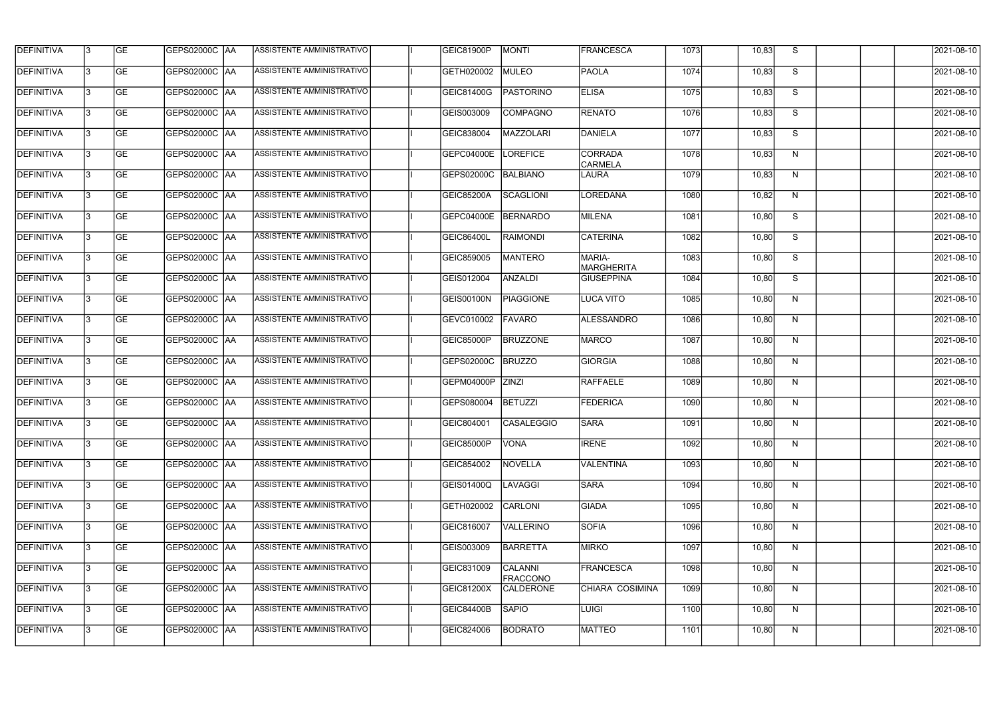| <b>DEFINITIVA</b> | l3 | GE                       | <b>GEPS02000C AA</b> | ASSISTENTE AMMINISTRATIVO        | GEIC81900P        | <b>MONTI</b>               | <b>FRANCESCA</b>                 | 1073 | 10,83 | S              | 2021-08-10          |
|-------------------|----|--------------------------|----------------------|----------------------------------|-------------------|----------------------------|----------------------------------|------|-------|----------------|---------------------|
| <b>DEFINITIVA</b> | IЗ | $\overline{\mathsf{GE}}$ | GEPS02000C AA        | ASSISTENTE AMMINISTRATIVO        | GETH020002        | MULEO                      | <b>PAOLA</b>                     | 1074 | 10,83 | S              | 2021-08-10          |
| <b>DEFINITIVA</b> | l3 | GE                       | GEPS02000C AA        | <b>ASSISTENTE AMMINISTRATIVO</b> | GEIC81400G        | <b>PASTORINO</b>           | <b>ELISA</b>                     | 1075 | 10,83 | S              | 2021-08-10          |
| <b>DEFINITIVA</b> | l3 | GE                       | GEPS02000C   AA      | ASSISTENTE AMMINISTRATIVO        | GEIS003009        | COMPAGNO                   | RENATO                           | 1076 | 10,83 | S              | 2021-08-10          |
| <b>DEFINITIVA</b> | l3 | GE                       | <b>GEPS02000C AA</b> | <b>ASSISTENTE AMMINISTRATIVO</b> | GEIC838004        | MAZZOLARI                  | DANIELA                          | 1077 | 10,83 | $\overline{s}$ | 2021-08-10          |
| <b>DEFINITIVA</b> | IЗ | <b>GE</b>                | GEPS02000C AA        | <b>ASSISTENTE AMMINISTRATIVO</b> | <b>GEPC04000E</b> | LOREFICE                   | <b>CORRADA</b><br><b>CARMELA</b> | 1078 | 10,83 | N              | 2021-08-10          |
| <b>DEFINITIVA</b> | l3 | <b>GE</b>                | GEPS02000C AA        | ASSISTENTE AMMINISTRATIVO        | GEPS02000C        | BALBIANO                   | LAURA                            | 1079 | 10,83 | N              | 2021-08-10          |
| <b>DEFINITIVA</b> | l3 | <b>GE</b>                | GEPS02000C   AA      | ASSISTENTE AMMINISTRATIVO        | <b>GEIC85200A</b> | SCAGLIONI                  | <b>LOREDANA</b>                  | 1080 | 10,82 | N              | 2021-08-10          |
| <b>DEFINITIVA</b> | l3 | <b>GE</b>                | GEPS02000C   AA      | ASSISTENTE AMMINISTRATIVO        | <b>GEPC04000E</b> | BERNARDO                   | MILENA                           | 1081 | 10,80 | S              | 2021-08-10          |
| <b>DEFINITIVA</b> | l3 | GE                       | GEPS02000C AA        | ASSISTENTE AMMINISTRATIVO        | GEIC86400L        | <b>RAIMONDI</b>            | CATERINA                         | 1082 | 10,80 | S              | 2021-08-10          |
| DEFINITIVA        | l3 | GE                       | GEPS02000C AA        | <b>ASSISTENTE AMMINISTRATIVO</b> | GEIC859005        | <b>MANTERO</b>             | MARIA-<br><b>MARGHERITA</b>      | 1083 | 10,80 | S              | $2021 - 08 - 10$    |
| <b>DEFINITIVA</b> | l3 | GE                       | GEPS02000C AA        | ASSISTENTE AMMINISTRATIVO        | GEIS012004        | ANZALDI                    | <b>GIUSEPPINA</b>                | 1084 | 10,80 | S              | 2021-08-10          |
| DEFINITIVA        | l3 | <b>GE</b>                | GEPS02000C   AA      | ASSISTENTE AMMINISTRATIVO        | <b>GEIS00100N</b> | <b>PIAGGIONE</b>           | LUCA VITO                        | 1085 | 10,80 | N              | 2021-08-10          |
| <b>DEFINITIVA</b> | l3 | <b>GE</b>                | GEPS02000C AA        | ASSISTENTE AMMINISTRATIVO        | GEVC010002        | FAVARO                     | ALESSANDRO                       | 1086 | 10,80 | N              | 2021-08-10          |
| <b>DEFINITIVA</b> | l3 | <b>GE</b>                | GEPS02000C AA        | ASSISTENTE AMMINISTRATIVO        | <b>GEIC85000P</b> | <b>BRUZZONE</b>            | <b>MARCO</b>                     | 1087 | 10,80 | N              | 2021-08-10          |
| <b>DEFINITIVA</b> | l3 | <b>GE</b>                | GEPS02000C  AA       | ASSISTENTE AMMINISTRATIVO        | GEPS02000C        | <b>BRUZZO</b>              | <b>GIORGIA</b>                   | 1088 | 10,80 | N              | 2021-08-10          |
| <b>DEFINITIVA</b> | IЗ | GE                       | GEPS02000C  AA       | ASSISTENTE AMMINISTRATIVO        | GEPM04000P        | <b>ZINZI</b>               | <b>RAFFAELE</b>                  | 1089 | 10,80 | N              | 2021-08-10          |
| <b>DEFINITIVA</b> | l3 | GE                       | GEPS02000C   AA      | ASSISTENTE AMMINISTRATIVO        | GEPS080004        | <b>BETUZZI</b>             | FEDERICA                         | 1090 | 10,80 | N              | 2021-08-10          |
| DEFINITIVA        | 13 | <b>GE</b>                | GEPS02000C  AA       | ASSISTENTE AMMINISTRATIVO        | GEIC804001        | <b>CASALEGGIO</b>          | <b>SARA</b>                      | 1091 | 10,80 | N              | 2021-08-10          |
| <b>DEFINITIVA</b> | l3 | GE                       | GEPS02000C AA        | ASSISTENTE AMMINISTRATIVO        | <b>GEIC85000P</b> | <b>VONA</b>                | <b>IRENE</b>                     | 1092 | 10,80 | N              | 2021-08-10          |
| <b>DEFINITIVA</b> | 13 | GE                       | GEPS02000C  AA       | ASSISTENTE AMMINISTRATIVO        | GEIC854002        | NOVELLA                    | VALENTINA                        | 1093 | 10,80 | N              | 2021-08-10          |
| <b>DEFINITIVA</b> | l3 | GE                       | GEPS02000C AA        | ASSISTENTE AMMINISTRATIVO        | <b>GEIS01400Q</b> | LAVAGGI                    | <b>SARA</b>                      | 1094 | 10,80 | N              | 2021-08-10          |
| <b>DEFINITIVA</b> | 13 | <b>GE</b>                | GEPS02000C AA        | ASSISTENTE AMMINISTRATIVO        | GETH020002        | <b>CARLONI</b>             | <b>GIADA</b>                     | 1095 | 10,80 | N              | 2021-08-10          |
| <b>DEFINITIVA</b> | 13 | <b>GE</b>                | GEPS02000C  AA       | ASSISTENTE AMMINISTRATIVO        | GEIC816007        | <b>VALLERINO</b>           | <b>SOFIA</b>                     | 1096 | 10,80 | N              | 2021-08-10          |
| <b>DEFINITIVA</b> | l3 | <b>GE</b>                | GEPS02000C  AA       | ASSISTENTE AMMINISTRATIVO        | GEIS003009        | BARRETTA                   | <b>MIRKO</b>                     | 1097 | 10,80 | N              | 2021-08-10          |
| <b>DEFINITIVA</b> | l3 | <b>GE</b>                | GEPS02000C   AA      | ASSISTENTE AMMINISTRATIVO        | GEIC831009        | CALANNI<br><b>FRACCONO</b> | <b>FRANCESCA</b>                 | 1098 | 10,80 | N              | 2021-08-10          |
| <b>DEFINITIVA</b> | l3 | <b>GE</b>                | GEPS02000C AA        | ASSISTENTE AMMINISTRATIVO        | GEIC81200X        | <b>CALDERONE</b>           | CHIARA COSIMINA                  | 1099 | 10,80 | N              | 2021-08-10          |
| <b>DEFINITIVA</b> | l3 | GE                       | GEPS02000C AA        | ASSISTENTE AMMINISTRATIVO        | GEIC84400B        | <b>SAPIO</b>               | <b>LUIGI</b>                     | 1100 | 10,80 | N              | 2021-08-10          |
| DEFINITIVA        | l3 | GE                       | GEPS02000C AA        | ASSISTENTE AMMINISTRATIVO        | GEIC824006        | <b>BODRATO</b>             | MATTEO                           | 1101 | 10,80 | N              | $\sqrt{2021-08-10}$ |
|                   |    |                          |                      |                                  |                   |                            |                                  |      |       |                |                     |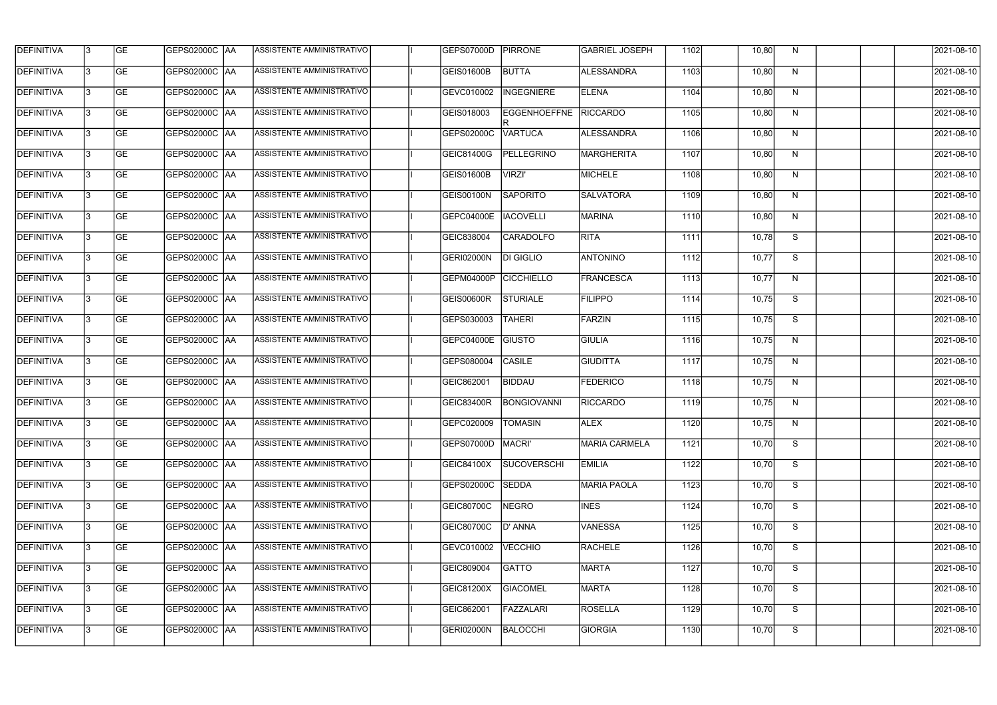| <b>DEFINITIVA</b> | l3 | GE                       | <b>GEPS02000C AA</b> | ASSISTENTE AMMINISTRATIVO        | GEPS07000D          | <b>PIRRONE</b>        | <b>GABRIEL JOSEPH</b> | 1102 | 10,80 | N  | 2021-08-10          |
|-------------------|----|--------------------------|----------------------|----------------------------------|---------------------|-----------------------|-----------------------|------|-------|----|---------------------|
| <b>DEFINITIVA</b> | IЗ | $\overline{\mathsf{GE}}$ | GEPS02000C AA        | ASSISTENTE AMMINISTRATIVO        | <b>GEIS01600B</b>   | <b>BUTTA</b>          | <b>ALESSANDRA</b>     | 1103 | 10,80 | N  | 2021-08-10          |
| <b>DEFINITIVA</b> | l3 | GE                       | GEPS02000C AA        | ASSISTENTE AMMINISTRATIVO        | GEVC010002          | INGEGNIERE            | <b>ELENA</b>          | 1104 | 10,80 | N  | 2021-08-10          |
| <b>DEFINITIVA</b> | l3 | GE                       | GEPS02000C AA        | ASSISTENTE AMMINISTRATIVO        | GEIS018003          | EGGENHOEFFNE RICCARDO |                       | 1105 | 10,80 | N  | 2021-08-10          |
| <b>DEFINITIVA</b> | l3 | GE                       | <b>GEPS02000C AA</b> | ASSISTENTE AMMINISTRATIVO        | GEPS02000C          | <b>VARTUCA</b>        | ALESSANDRA            | 1106 | 10,80 | N  | 2021-08-10          |
| <b>DEFINITIVA</b> | IЗ | <b>GE</b>                | <b>GEPS02000C AA</b> | <b>ASSISTENTE AMMINISTRATIVO</b> | GEIC81400G          | <b>PELLEGRINO</b>     | <b>MARGHERITA</b>     | 1107 | 10,80 | N  | 2021-08-10          |
| <b>DEFINITIVA</b> | l3 | <b>GE</b>                | GEPS02000C AA        | ASSISTENTE AMMINISTRATIVO        | GEIS01600B          | <b>VIRZI'</b>         | MICHELE               | 1108 | 10,80 | N  | 2021-08-10          |
| <b>DEFINITIVA</b> | l3 | <b>GE</b>                | GEPS02000C   AA      | ASSISTENTE AMMINISTRATIVO        | <b>GEIS00100N</b>   | <b>SAPORITO</b>       | <b>SALVATORA</b>      | 1109 | 10,80 | N  | 2021-08-10          |
| <b>DEFINITIVA</b> | l3 | <b>GE</b>                | GEPS02000C   AA      | ASSISTENTE AMMINISTRATIVO        | <b>GEPC04000E</b>   | <b>IACOVELLI</b>      | <b>MARINA</b>         | 1110 | 10,80 | N  | 2021-08-10          |
| <b>DEFINITIVA</b> | l3 | GE                       | GEPS02000C AA        | ASSISTENTE AMMINISTRATIVO        | GEIC838004          | <b>CARADOLFO</b>      | <b>RITA</b>           | 1111 | 10,78 | S  | 2021-08-10          |
| DEFINITIVA        | l3 | GE                       | GEPS02000C AA        | ASSISTENTE AMMINISTRATIVO        | <b>GERI02000N</b>   | <b>DI GIGLIO</b>      | <b>ANTONINO</b>       | 1112 | 10,77 | S  | 2021-08-10          |
| <b>DEFINITIVA</b> | l3 | GE                       | GEPS02000C   AA      | ASSISTENTE AMMINISTRATIVO        | GEPM04000P          | <b>CICCHIELLO</b>     | <b>FRANCESCA</b>      | 1113 | 10,77 | N  | 2021-08-10          |
| <b>DEFINITIVA</b> | l3 | <b>GE</b>                | GEPS02000C   AA      | ASSISTENTE AMMINISTRATIVO        | GEIS00600R          | <b>STURIALE</b>       | <b>FILIPPO</b>        | 1114 | 10,75 | S  | 2021-08-10          |
| <b>DEFINITIVA</b> | IЗ | <b>GE</b>                | GEPS02000C AA        | ASSISTENTE AMMINISTRATIVO        | GEPS030003          | <b>TAHERI</b>         | FARZIN                | 1115 | 10,75 | S  | 2021-08-10          |
| <b>DEFINITIVA</b> | IЗ | GE                       | GEPS02000C AA        | ASSISTENTE AMMINISTRATIVO        | GEPC04000E          | GIUSTO                | <b>GIULIA</b>         | 1116 | 10,75 | N  | 2021-08-10          |
| <b>DEFINITIVA</b> | l3 | <b>GE</b>                | GEPS02000C  AA       | ASSISTENTE AMMINISTRATIVO        | GEPS080004          | <b>CASILE</b>         | GIUDITTA              | 1117 | 10,75 | N  | 2021-08-10          |
| <b>DEFINITIVA</b> | IЗ | GE                       | GEPS02000C  AA       | ASSISTENTE AMMINISTRATIVO        | GEIC862001          | BIDDAU                | <b>FEDERICO</b>       | 1118 | 10,75 | N  | 2021-08-10          |
| <b>DEFINITIVA</b> | l3 | GE                       | GEPS02000C   AA      | ASSISTENTE AMMINISTRATIVO        | GEIC83400R          | BONGIOVANNI           | <b>RICCARDO</b>       | 1119 | 10,75 | N  | 2021-08-10          |
| DEFINITIVA        | 13 | <b>GE</b>                | GEPS02000C  AA       | ASSISTENTE AMMINISTRATIVO        | GEPC020009  TOMASIN |                       | <b>ALEX</b>           | 1120 | 10,75 | N, | 2021-08-10          |
| <b>DEFINITIVA</b> | l3 | <b>GE</b>                | <b>GEPS02000C AA</b> | ASSISTENTE AMMINISTRATIVO        | GEPS07000D          | <b>MACRI'</b>         | <b>MARIA CARMELA</b>  | 1121 | 10,70 | S  | 2021-08-10          |
| <b>DEFINITIVA</b> | 13 | GE                       | GEPS02000C  AA       | ASSISTENTE AMMINISTRATIVO        | <b>GEIC84100X</b>   | <b>SUCOVERSCHI</b>    | <b>EMILIA</b>         | 1122 | 10,70 | S  | 2021-08-10          |
| <b>DEFINITIVA</b> | l3 | GE                       | GEPS02000C AA        | ASSISTENTE AMMINISTRATIVO        | GEPS02000C          | SEDDA                 | <b>MARIA PAOLA</b>    | 1123 | 10,70 | S  | 2021-08-10          |
| <b>DEFINITIVA</b> | 13 | <b>GE</b>                | GEPS02000C AA        | ASSISTENTE AMMINISTRATIVO        | <b>GEIC80700C</b>   | NEGRO                 | <b>INES</b>           | 1124 | 10,70 | S  | 2021-08-10          |
| <b>DEFINITIVA</b> | l3 | <b>GE</b>                | GEPS02000C  AA       | ASSISTENTE AMMINISTRATIVO        | GEIC80700C          | D' ANNA               | <b>VANESSA</b>        | 1125 | 10,70 | S  | 2021-08-10          |
| <b>DEFINITIVA</b> | l3 | <b>GE</b>                | GEPS02000C  AA       | ASSISTENTE AMMINISTRATIVO        | GEVC010002          | <b>VECCHIO</b>        | <b>RACHELE</b>        | 1126 | 10,70 | S  | 2021-08-10          |
| <b>DEFINITIVA</b> | l3 | <b>GE</b>                | GEPS02000C AA        | ASSISTENTE AMMINISTRATIVO        | GEIC809004          | <b>GATTO</b>          | <b>MARTA</b>          | 1127 | 10,70 | S  | 2021-08-10          |
| <b>DEFINITIVA</b> | l3 | <b>GE</b>                | GEPS02000C AA        | ASSISTENTE AMMINISTRATIVO        | GEIC81200X          | <b>GIACOMEL</b>       | MARTA                 | 1128 | 10,70 | S  | 2021-08-10          |
| <b>DEFINITIVA</b> | 13 | GE                       | GEPS02000C AA        | ASSISTENTE AMMINISTRATIVO        | GEIC862001          | FAZZALARI             | <b>ROSELLA</b>        | 1129 | 10,70 | S  | 2021-08-10          |
| DEFINITIVA        | l3 | GE                       |                      | ASSISTENTE AMMINISTRATIVO        | <b>GERI02000N</b>   | BALOCCHI              | <b>GIORGIA</b>        | 1130 | 10,70 | S  | $\sqrt{2021-08-10}$ |
|                   |    |                          |                      |                                  |                     |                       |                       |      |       |    |                     |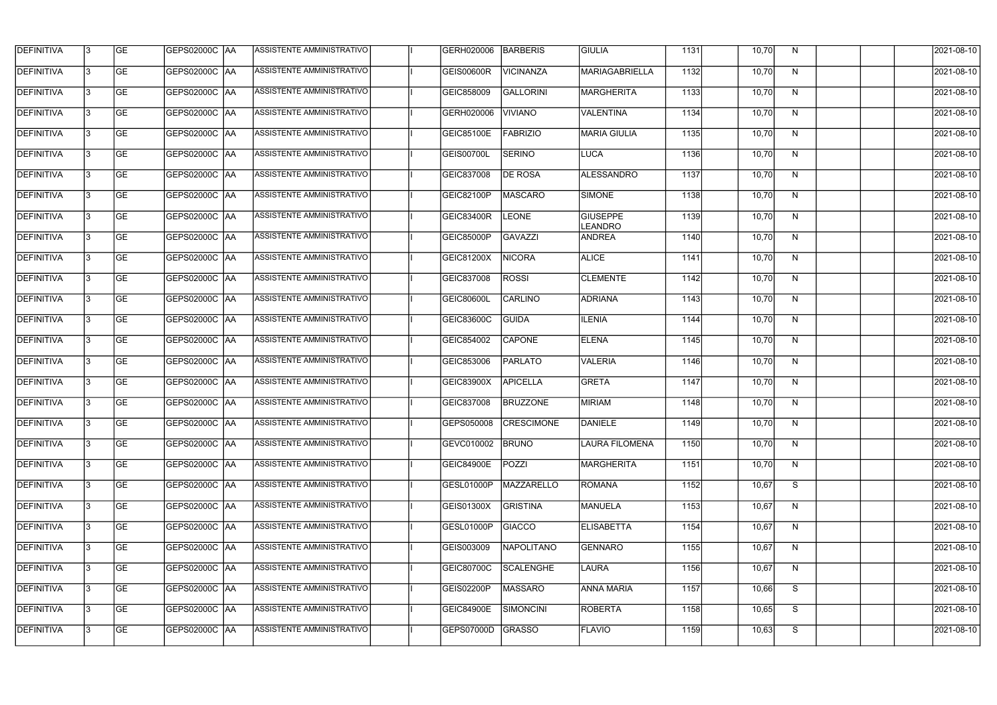| <b>DEFINITIVA</b> | 13  | <b>GE</b> | GEPS02000C  AA       | ASSISTENTE AMMINISTRATIVO        | GERH020006        | <b>BARBERIS</b>       | GIULIA                            | 1131 | 10,70 | N, | 2021-08-10       |
|-------------------|-----|-----------|----------------------|----------------------------------|-------------------|-----------------------|-----------------------------------|------|-------|----|------------------|
| DEFINITIVA        | l3  | <b>GE</b> | GEPS02000C  AA       | ASSISTENTE AMMINISTRATIVO        | GEIS00600R        | <b>VICINANZA</b>      | <b>MARIAGABRIELLA</b>             | 1132 | 10,70 | N  | 2021-08-10       |
| DEFINITIVA        | l3  | <b>GE</b> | <b>GEPS02000C AA</b> | ASSISTENTE AMMINISTRATIVO        | GEIC858009        | <b>GALLORINI</b>      | <b>MARGHERITA</b>                 | 1133 | 10,70 | N  | 2021-08-10       |
| <b>DEFINITIVA</b> | 13  | <b>GE</b> | <b>GEPS02000C AA</b> | ASSISTENTE AMMINISTRATIVO        | GERH020006        | <b>VIVIANO</b>        | <b>VALENTINA</b>                  | 1134 | 10,70 | N  | 2021-08-10       |
| <b>DEFINITIVA</b> | l3  | <b>GE</b> | GEPS02000C  AA       | ASSISTENTE AMMINISTRATIVO        | <b>GEIC85100E</b> | <b>FABRIZIO</b>       | <b>MARIA GIULIA</b>               | 1135 | 10,70 | N  | 2021-08-10       |
| <b>DEFINITIVA</b> | IЗ  | <b>GE</b> | <b>GEPS02000C AA</b> | ASSISTENTE AMMINISTRATIVO        | GEIS00700L        | <b>SERINO</b>         | <b>LUCA</b>                       | 1136 | 10,70 | N  | 2021-08-10       |
| <b>DEFINITIVA</b> | l3  | <b>GE</b> | <b>GEPS02000C AA</b> | <b>ASSISTENTE AMMINISTRATIVO</b> | GEIC837008        | <b>DE ROSA</b>        | <b>ALESSANDRO</b>                 | 1137 | 10,70 | N  | 2021-08-10       |
| <b>DEFINITIVA</b> | l3  | <b>GE</b> | GEPS02000C AA        | ASSISTENTE AMMINISTRATIVO        | GEIC82100P        | <b>MASCARO</b>        | SIMONE                            | 1138 | 10,70 | N  | 2021-08-10       |
| <b>DEFINITIVA</b> | l3  | <b>GE</b> | GEPS02000C  AA       | ASSISTENTE AMMINISTRATIVO        | <b>GEIC83400R</b> | <b>LEONE</b>          | <b>GIUSEPPE</b><br><b>LEANDRO</b> | 1139 | 10,70 | N  | 2021-08-10       |
| <b>DEFINITIVA</b> | l3  | <b>GE</b> | GEPS02000C AA        | ASSISTENTE AMMINISTRATIVO        | GEIC85000P        | <b>GAVAZZI</b>        | <b>ANDREA</b>                     | 1140 | 10,70 | N  | 2021-08-10       |
| DEFINITIVA        | l3  | <b>GE</b> | GEPS02000C AA        | ASSISTENTE AMMINISTRATIVO        | GEIC81200X        | <b>NICORA</b>         | <b>ALICE</b>                      | 1141 | 10,70 | N  | 2021-08-10       |
| <b>DEFINITIVA</b> | 13  | <b>GE</b> |                      | ASSISTENTE AMMINISTRATIVO        | GEIC837008        | <b>ROSSI</b>          | <b>CLEMENTE</b>                   | 1142 | 10,70 | N  | 2021-08-10       |
| <b>DEFINITIVA</b> | l3  | <b>GE</b> | GEPS02000C  AA       | ASSISTENTE AMMINISTRATIVO        | <b>GEIC80600L</b> | <b>CARLINO</b>        | <b>ADRIANA</b>                    | 1143 | 10,70 | N  | 2021-08-10       |
| <b>DEFINITIVA</b> | l3  | <b>GE</b> | GEPS02000C AA        | ASSISTENTE AMMINISTRATIVO        | GEIC83600C        | GUIDA                 | <b>ILENIA</b>                     | 1144 | 10,70 | N  | 2021-08-10       |
| <b>DEFINITIVA</b> | l3  | <b>GE</b> | GEPS02000C  AA       | ASSISTENTE AMMINISTRATIVO        | GEIC854002        | <b>CAPONE</b>         | <b>ELENA</b>                      | 1145 | 10,70 | N  | 2021-08-10       |
| <b>DEFINITIVA</b> | l3  | <b>GE</b> | GEPS02000C  AA       | ASSISTENTE AMMINISTRATIVO        | GEIC853006        | <b>PARLATO</b>        | <b>VALERIA</b>                    | 1146 | 10,70 | N  | 2021-08-10       |
| <b>DEFINITIVA</b> | l3  | <b>GE</b> | GEPS02000C  AA       | ASSISTENTE AMMINISTRATIVO        | GEIC83900X        | <b>APICELLA</b>       | <b>GRETA</b>                      | 1147 | 10,70 | N  | 2021-08-10       |
| <b>DEFINITIVA</b> |     | <b>GE</b> | GEPS02000C  AA       | ASSISTENTE AMMINISTRATIVO        | GEIC837008        | <b>BRUZZONE</b>       | <b>MIRIAM</b>                     | 1148 | 10,70 | N  | 2021-08-10       |
| <b>DEFINITIVA</b> | IЗ  | GE        | GEPS02000C  AA       | <b>ASSISTENTE AMMINISTRATIVO</b> |                   | GEPS050008 CRESCIMONE | <b>DANIELE</b>                    | 1149 | 10,70 | N, | 2021-08-10       |
| <b>DEFINITIVA</b> | 13. | <b>GE</b> | GEPS02000C AA        | ASSISTENTE AMMINISTRATIVO        | GEVC010002        | <b>BRUNO</b>          | <b>LAURA FILOMENA</b>             | 1150 | 10,70 | N  | 2021-08-10       |
| <b>DEFINITIVA</b> | 13  | <b>GE</b> | <b>GEPS02000C AA</b> | ASSISTENTE AMMINISTRATIVO        | <b>GEIC84900E</b> | POZZI                 | MARGHERITA                        | 1151 | 10,70 | N  | 2021-08-10       |
| <b>DEFINITIVA</b> | 13. | <b>GE</b> | GEPS02000C AA        | ASSISTENTE AMMINISTRATIVO        | GESL01000P        | MAZZARELLO            | ROMANA                            | 1152 | 10,67 | S  | $2021 - 08 - 10$ |
| <b>DEFINITIVA</b> | 13  | <b>GE</b> | <b>GEPS02000C AA</b> | ASSISTENTE AMMINISTRATIVO        | GEIS01300X        | <b>GRISTINA</b>       | <b>MANUELA</b>                    | 1153 | 10,67 | N  | 2021-08-10       |
| <b>DEFINITIVA</b> | 13  | <b>GE</b> | GEPS02000C AA        | ASSISTENTE AMMINISTRATIVO        | GESL01000P        | <b>GIACCO</b>         | <b>ELISABETTA</b>                 | 1154 | 10,67 | N  | 2021-08-10       |
| <b>DEFINITIVA</b> | l3  | <b>GE</b> | GEPS02000C  AA       | ASSISTENTE AMMINISTRATIVO        | GEIS003009        | NAPOLITANO            | <b>GENNARO</b>                    | 1155 | 10,67 | N  | 2021-08-10       |
| DEFINITIVA        | l3  | <b>GE</b> | GEPS02000C  AA       | ASSISTENTE AMMINISTRATIVO        | <b>GEIC80700C</b> | <b>SCALENGHE</b>      | LAURA                             | 1156 | 10,67 | N  | 2021-08-10       |
| DEFINITIVA        | l3  | <b>GE</b> | GEPS02000C  AA       | ASSISTENTE AMMINISTRATIVO        | GEIS02200P        | MASSARO               | <b>ANNA MARIA</b>                 | 1157 | 10,66 | S  | 2021-08-10       |
| <b>DEFINITIVA</b> | l3  | <b>GE</b> | GEPS02000C AA        | ASSISTENTE AMMINISTRATIVO        | <b>GEIC84900E</b> | <b>SIMONCINI</b>      | ROBERTA                           | 1158 | 10,65 | S  | 2021-08-10       |
| <b>DEFINITIVA</b> | IЗ  | <b>GE</b> | GEPS02000C  AA       | ASSISTENTE AMMINISTRATIVO        | <b>GEPS07000D</b> | GRASSO                | <b>FLAVIO</b>                     | 1159 | 10,63 | S  | 2021-08-10       |
|                   |     |           |                      |                                  |                   |                       |                                   |      |       |    |                  |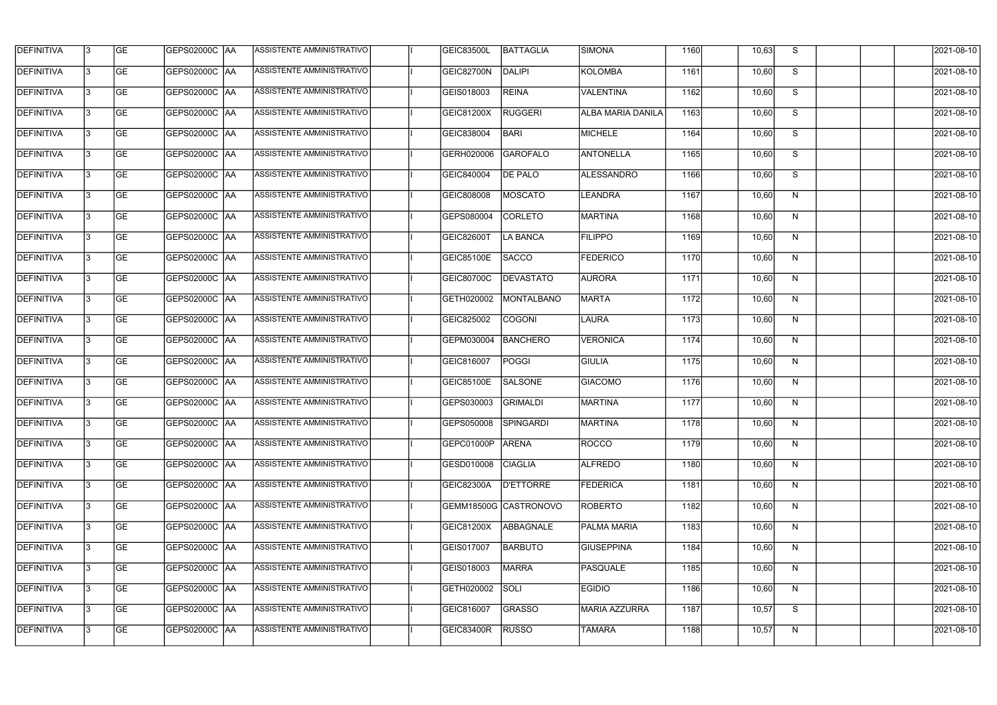| <b>DEFINITIVA</b> | 13  | <b>GE</b> | GEPS02000C  AA       | ASSISTENTE AMMINISTRATIVO        | <b>GEIC83500L</b>    | BATTAGLIA             | <b>SIMONA</b>            | 1160 | 10,63 | S. | 2021-08-10       |
|-------------------|-----|-----------|----------------------|----------------------------------|----------------------|-----------------------|--------------------------|------|-------|----|------------------|
| DEFINITIVA        | l3  | <b>GE</b> | GEPS02000C  AA       | ASSISTENTE AMMINISTRATIVO        | GEIC82700N           | DALIPI                | KOLOMBA                  | 1161 | 10,60 | S  | 2021-08-10       |
| <b>DEFINITIVA</b> | l3  | <b>GE</b> | <b>GEPS02000C AA</b> | ASSISTENTE AMMINISTRATIVO        | GEIS018003           | <b>REINA</b>          | <b>VALENTINA</b>         | 1162 | 10,60 | S  | 2021-08-10       |
| <b>DEFINITIVA</b> | 13  | <b>GE</b> | <b>GEPS02000C AA</b> | ASSISTENTE AMMINISTRATIVO        | GEIC81200X           | <b>RUGGERI</b>        | <b>ALBA MARIA DANILA</b> | 1163 | 10,60 | S  | 2021-08-10       |
| <b>DEFINITIVA</b> | l3  | <b>GE</b> | GEPS02000C  AA       | ASSISTENTE AMMINISTRATIVO        | GEIC838004           | <b>BARI</b>           | <b>MICHELE</b>           | 1164 | 10,60 | S  | 2021-08-10       |
| <b>DEFINITIVA</b> | IЗ  | <b>GE</b> | <b>GEPS02000C AA</b> | <b>ASSISTENTE AMMINISTRATIVO</b> | GERH020006           | <b>GAROFALO</b>       | <b>ANTONELLA</b>         | 1165 | 10,60 | S  | 2021-08-10       |
| <b>DEFINITIVA</b> | l3  | <b>GE</b> | <b>GEPS02000C AA</b> | <b>ASSISTENTE AMMINISTRATIVO</b> | GEIC840004           | <b>DE PALO</b>        | <b>ALESSANDRO</b>        | 1166 | 10,60 | S  | 2021-08-10       |
| <b>DEFINITIVA</b> | l3  | <b>GE</b> | GEPS02000C AA        | ASSISTENTE AMMINISTRATIVO        | GEIC808008           | <b>MOSCATO</b>        | <b>LEANDRA</b>           | 1167 | 10,60 | N  | 2021-08-10       |
| <b>DEFINITIVA</b> | l3  | <b>GE</b> | GEPS02000C  AA       | ASSISTENTE AMMINISTRATIVO        | GEPS080004           | <b>CORLETO</b>        | MARTINA                  | 1168 | 10,60 | N  | 2021-08-10       |
| <b>DEFINITIVA</b> | l3  | <b>GE</b> | GEPS02000C  AA       | ASSISTENTE AMMINISTRATIVO        | GEIC82600T           | LA BANCA              | <b>FILIPPO</b>           | 1169 | 10,60 | N  | 2021-08-10       |
| <b>DEFINITIVA</b> | l3  | <b>GE</b> | GEPS02000C AA        | ASSISTENTE AMMINISTRATIVO        | <b>GEIC85100E</b>    | <b>SACCO</b>          | <b>FEDERICO</b>          | 1170 | 10,60 | N  | 2021-08-10       |
| <b>DEFINITIVA</b> | 13  | <b>GE</b> | GEPS02000C   AA      | ASSISTENTE AMMINISTRATIVO        | GEIC80700C           | <b>DEVASTATO</b>      | <b>AURORA</b>            | 1171 | 10,60 | N  | 2021-08-10       |
| <b>DEFINITIVA</b> | IЗ  | <b>GE</b> | GEPS02000C  AA       | ASSISTENTE AMMINISTRATIVO        | GETH020002           | MONTALBANO            | MARTA                    | 1172 | 10,60 | N  | 2021-08-10       |
| <b>DEFINITIVA</b> | l3  | <b>GE</b> | GEPS02000C AA        | ASSISTENTE AMMINISTRATIVO        | GEIC825002           | <b>COGONI</b>         | <b>LAURA</b>             | 1173 | 10,60 | N  | 2021-08-10       |
| <b>DEFINITIVA</b> | l3  | <b>GE</b> | GEPS02000C  AA       | ASSISTENTE AMMINISTRATIVO        | GEPM030004           | <b>BANCHERO</b>       | VERONICA                 | 1174 | 10,60 | N  | 2021-08-10       |
| <b>DEFINITIVA</b> | IЗ  | <b>GE</b> | GEPS02000C  AA       | ASSISTENTE AMMINISTRATIVO        | GEIC816007           | <b>POGGI</b>          | <b>GIULIA</b>            | 1175 | 10,60 | N  | 2021-08-10       |
| <b>DEFINITIVA</b> | l3  | <b>GE</b> | GEPS02000C  AA       | ASSISTENTE AMMINISTRATIVO        | <b>GEIC85100E</b>    | <b>SALSONE</b>        | <b>GIACOMO</b>           | 1176 | 10,60 | N  | 2021-08-10       |
| <b>DEFINITIVA</b> |     | <b>GE</b> | GEPS02000C  AA       | ASSISTENTE AMMINISTRATIVO        | GEPS030003           | <b>GRIMALDI</b>       | <b>MARTINA</b>           | 1177 | 10,60 | N  | 2021-08-10       |
| <b>DEFINITIVA</b> | IЗ  | GE        | GEPS02000C  AA       | <b>ASSISTENTE AMMINISTRATIVO</b> | GEPS050008 SPINGARDI |                       | <b>MARTINA</b>           | 1178 | 10,60 | N, | 2021-08-10       |
| <b>DEFINITIVA</b> | 13. | <b>GE</b> | GEPS02000C AA        | ASSISTENTE AMMINISTRATIVO        | GEPC01000P           | <b>ARENA</b>          | ROCCO                    | 1179 | 10,60 | N  | 2021-08-10       |
| <b>DEFINITIVA</b> | 13  | <b>GE</b> | <b>GEPS02000C AA</b> | ASSISTENTE AMMINISTRATIVO        | GESD010008           | <b>CIAGLIA</b>        | <b>ALFREDO</b>           | 1180 | 10,60 | N  | 2021-08-10       |
| <b>DEFINITIVA</b> | 13  | <b>GE</b> | GEPS02000C AA        | ASSISTENTE AMMINISTRATIVO        | GEIC82300A           | <b>D'ETTORRE</b>      | <b>FEDERICA</b>          | 1181 | 10,60 | N  | $2021 - 08 - 10$ |
| <b>DEFINITIVA</b> | 13  | <b>GE</b> | <b>GEPS02000C AA</b> | ASSISTENTE AMMINISTRATIVO        |                      | GEMM18500G CASTRONOVO | <b>ROBERTO</b>           | 1182 | 10,60 | N  | 2021-08-10       |
| <b>DEFINITIVA</b> | 13  | <b>GE</b> | GEPS02000C AA        | ASSISTENTE AMMINISTRATIVO        | <b>GEIC81200X</b>    | ABBAGNALE             | <b>PALMA MARIA</b>       | 1183 | 10,60 | N  | 2021-08-10       |
| <b>DEFINITIVA</b> | l3  | <b>GE</b> | GEPS02000C  AA       | ASSISTENTE AMMINISTRATIVO        | GEIS017007           | <b>BARBUTO</b>        | <b>GIUSEPPINA</b>        | 1184 | 10,60 | N  | 2021-08-10       |
| DEFINITIVA        | l3  | <b>GE</b> | GEPS02000C  AA       | ASSISTENTE AMMINISTRATIVO        | GEIS018003           | MARRA                 | PASQUALE                 | 1185 | 10,60 | N  | 2021-08-10       |
| DEFINITIVA        | l3  | <b>GE</b> | GEPS02000C  AA       | ASSISTENTE AMMINISTRATIVO        | GETH020002           | SOLI                  | <b>EGIDIO</b>            | 1186 | 10,60 | N  | 2021-08-10       |
| <b>DEFINITIVA</b> | l3  | <b>GE</b> | <b>GEPS02000C AA</b> | ASSISTENTE AMMINISTRATIVO        | GEIC816007           | <b>GRASSO</b>         | <b>MARIA AZZURRA</b>     | 1187 | 10,57 | S  | 2021-08-10       |
| <b>DEFINITIVA</b> | 13  | <b>GE</b> | GEPS02000C  AA       | ASSISTENTE AMMINISTRATIVO        | <b>GEIC83400R</b>    | <b>RUSSO</b>          | <b>TAMARA</b>            | 1188 | 10,57 | N  | 2021-08-10       |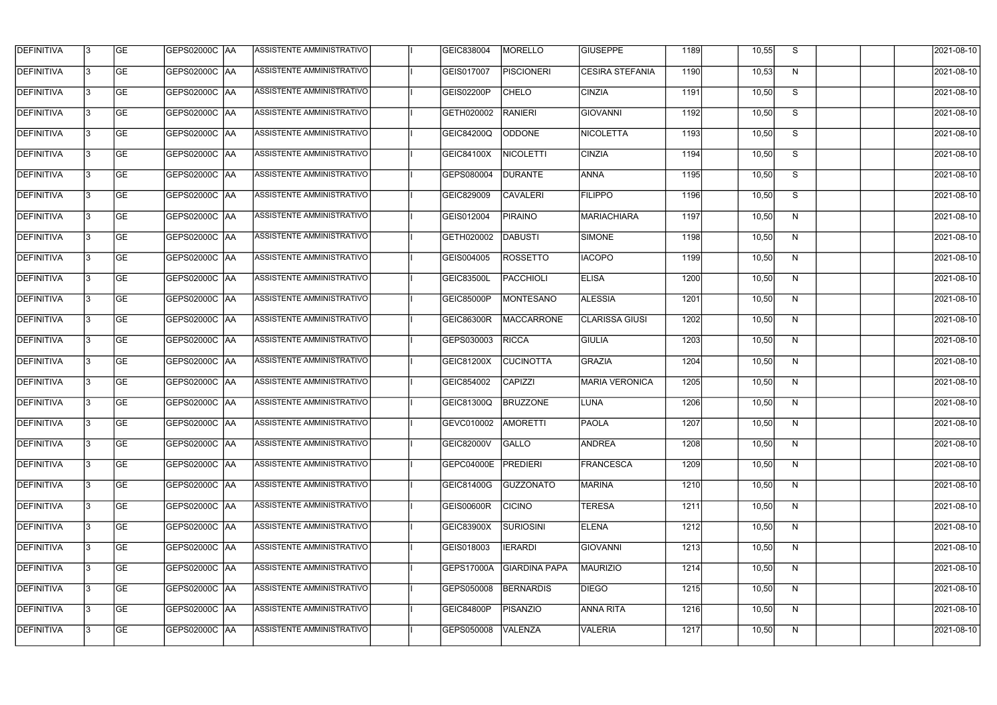| <b>DEFINITIVA</b> | 13  | <b>GE</b> | GEPS02000C AA        | ASSISTENTE AMMINISTRATIVO        | GEIC838004            | MORELLO              | <b>GIUSEPPE</b>        | 1189 | 10,55 | S              | 2021-08-10 |
|-------------------|-----|-----------|----------------------|----------------------------------|-----------------------|----------------------|------------------------|------|-------|----------------|------------|
| <b>DEFINITIVA</b> | l3  | <b>GE</b> | GEPS02000C AA        | ASSISTENTE AMMINISTRATIVO        | GEIS017007            | <b>PISCIONERI</b>    | <b>CESIRA STEFANIA</b> | 1190 | 10,53 | N              | 2021-08-10 |
| <b>DEFINITIVA</b> | l3  | <b>GE</b> | GEPS02000C AA        | ASSISTENTE AMMINISTRATIVO        | GEIS02200P            | <b>CHELO</b>         | <b>CINZIA</b>          | 1191 | 10,50 | S              | 2021-08-10 |
| <b>DEFINITIVA</b> | l3  | <b>GE</b> | <b>GEPS02000C AA</b> | ASSISTENTE AMMINISTRATIVO        | GETH020002            | <b>RANIERI</b>       | <b>GIOVANNI</b>        | 1192 | 10,50 | S              | 2021-08-10 |
| <b>DEFINITIVA</b> | l3  | <b>GE</b> | GEPS02000C AA        | ASSISTENTE AMMINISTRATIVO        | GEIC84200Q            | <b>ODDONE</b>        | <b>NICOLETTA</b>       | 1193 | 10,50 | $\overline{s}$ | 2021-08-10 |
| <b>DEFINITIVA</b> | l3  | <b>GE</b> | <b>GEPS02000C AA</b> | <b>ASSISTENTE AMMINISTRATIVO</b> | GEIC84100X            | <b>NICOLETTI</b>     | <b>CINZIA</b>          | 1194 | 10,50 | S              | 2021-08-10 |
| <b>DEFINITIVA</b> | l3  | <b>GE</b> | GEPS02000C AA        | ASSISTENTE AMMINISTRATIVO        | GEPS080004            | <b>DURANTE</b>       | <b>ANNA</b>            | 1195 | 10,50 | S              | 2021-08-10 |
| <b>DEFINITIVA</b> | l3  | <b>GE</b> | <b>GEPS02000C AA</b> | ASSISTENTE AMMINISTRATIVO        | GEIC829009            | <b>CAVALERI</b>      | <b>FILIPPO</b>         | 1196 | 10,50 | S              | 2021-08-10 |
| <b>DEFINITIVA</b> |     | <b>GE</b> |                      | ASSISTENTE AMMINISTRATIVO        | GEIS012004            | <b>PIRAINO</b>       | MARIACHIARA            | 1197 | 10,50 | N              | 2021-08-10 |
| <b>DEFINITIVA</b> | l3  | <b>GE</b> | GEPS02000C  AA       | ASSISTENTE AMMINISTRATIVO        | GETH020002            | DABUSTI              | <b>SIMONE</b>          | 1198 | 10,50 | N              | 2021-08-10 |
| DEFINITIVA        | 13  | <b>GE</b> | GEPS02000C AA        | ASSISTENTE AMMINISTRATIVO        | GEIS004005            | <b>ROSSETTO</b>      | <b>IACOPO</b>          | 1199 | 10,50 | N              | 2021-08-10 |
| <b>DEFINITIVA</b> | l3  | <b>GE</b> |                      | ASSISTENTE AMMINISTRATIVO        | <b>GEIC83500L</b>     | <b>PACCHIOLI</b>     | <b>ELISA</b>           | 1200 | 10,50 | $\mathsf{N}$   | 2021-08-10 |
| <b>DEFINITIVA</b> | l3  | <b>GE</b> | GEPS02000C AA        | ASSISTENTE AMMINISTRATIVO        | GEIC85000P            | <b>MONTESANO</b>     | <b>ALESSIA</b>         | 1201 | 10,50 | N              | 2021-08-10 |
| <b>DEFINITIVA</b> | l3  | <b>GE</b> | GEPS02000C  AA       | ASSISTENTE AMMINISTRATIVO        | <b>GEIC86300R</b>     | MACCARRONE           | <b>CLARISSA GIUSI</b>  | 1202 | 10,50 | N              | 2021-08-10 |
| <b>DEFINITIVA</b> | l3  | <b>GE</b> | GEPS02000C  AA       | ASSISTENTE AMMINISTRATIVO        | GEPS030003            | <b>RICCA</b>         | <b>GIULIA</b>          | 1203 | 10,50 | N              | 2021-08-10 |
| <b>DEFINITIVA</b> | IЗ  | <b>GE</b> |                      | ASSISTENTE AMMINISTRATIVO        | GEIC81200X            | <b>CUCINOTTA</b>     | <b>GRAZIA</b>          | 1204 | 10,50 | N              | 2021-08-10 |
| <b>DEFINITIVA</b> | I3  | <b>GE</b> | GEPS02000C  AA       | ASSISTENTE AMMINISTRATIVO        | GEIC854002            | <b>CAPIZZI</b>       | <b>MARIA VERONICA</b>  | 1205 | 10,50 | N              | 2021-08-10 |
| DEFINITIVA        |     | <b>GE</b> |                      | ASSISTENTE AMMINISTRATIVO        | GEIC81300Q            | <b>BRUZZONE</b>      | LUNA                   | 1206 | 10,50 | N              | 2021-08-10 |
| <b>DEFINITIVA</b> | 13  | <b>GE</b> | GEPS02000C  AA       | ASSISTENTE AMMINISTRATIVO        | GEVC010002   AMORETTI |                      | <b>PAOLA</b>           | 1207 | 10,50 | N              | 2021-08-10 |
| <b>DEFINITIVA</b> | 13  | <b>GE</b> | <b>GEPS02000C AA</b> | ASSISTENTE AMMINISTRATIVO        | GEIC82000V            | <b>GALLO</b>         | <b>ANDREA</b>          | 1208 | 10,50 | N              | 2021-08-10 |
| <b>DEFINITIVA</b> | 13  | <b>GE</b> | GEPS02000C  AA       | ASSISTENTE AMMINISTRATIVO        | GEPC04000E            | PREDIERI             | FRANCESCA              | 1209 | 10,50 | N              | 2021-08-10 |
| <b>DEFINITIVA</b> | 13. | <b>GE</b> | <b>GEPS02000C AA</b> | ASSISTENTE AMMINISTRATIVO        | GEIC81400G            | GUZZONATO            | <b>MARINA</b>          | 1210 | 10,50 | N              | 2021-08-10 |
| <b>DEFINITIVA</b> | 13  | <b>GE</b> | GEPS02000C AA        | ASSISTENTE AMMINISTRATIVO        | GEIS00600R            | <b>CICINO</b>        | <b>TERESA</b>          | 1211 | 10,50 | N              | 2021-08-10 |
| <b>DEFINITIVA</b> | 13  | <b>GE</b> | GEPS02000C  AA       | ASSISTENTE AMMINISTRATIVO        | <b>GEIC83900X</b>     | SURIOSINI            | <b>ELENA</b>           | 1212 | 10,50 | N              | 2021-08-10 |
| <b>DEFINITIVA</b> | IЗ  | <b>GE</b> | GEPS02000C  AA       | ASSISTENTE AMMINISTRATIVO        | GEIS018003            | <b>IERARDI</b>       | <b>GIOVANNI</b>        | 1213 | 10,50 | N              | 2021-08-10 |
| DEFINITIVA        | IЗ  | <b>GE</b> | GEPS02000C  AA       | ASSISTENTE AMMINISTRATIVO        | GEPS17000A            | <b>GIARDINA PAPA</b> | <b>MAURIZIO</b>        | 1214 | 10,50 | N              | 2021-08-10 |
| <b>DEFINITIVA</b> | l3  | <b>GE</b> | GEPS02000C  AA       | ASSISTENTE AMMINISTRATIVO        | GEPS050008            | <b>BERNARDIS</b>     | DIEGO                  | 1215 | 10,50 | N              | 2021-08-10 |
| <b>DEFINITIVA</b> | 13. | <b>GE</b> | GEPS02000C  AA       | ASSISTENTE AMMINISTRATIVO        | GEIC84800P            | <b>PISANZIO</b>      | <b>ANNA RITA</b>       | 1216 | 10,50 | N              | 2021-08-10 |
| <b>DEFINITIVA</b> | IЗ  | <b>GE</b> | GEPS02000C  AA       | ASSISTENTE AMMINISTRATIVO        | GEPS050008            | <b>VALENZA</b>       | <b>VALERIA</b>         | 1217 | 10,50 | N              | 2021-08-10 |
|                   |     |           |                      |                                  |                       |                      |                        |      |       |                |            |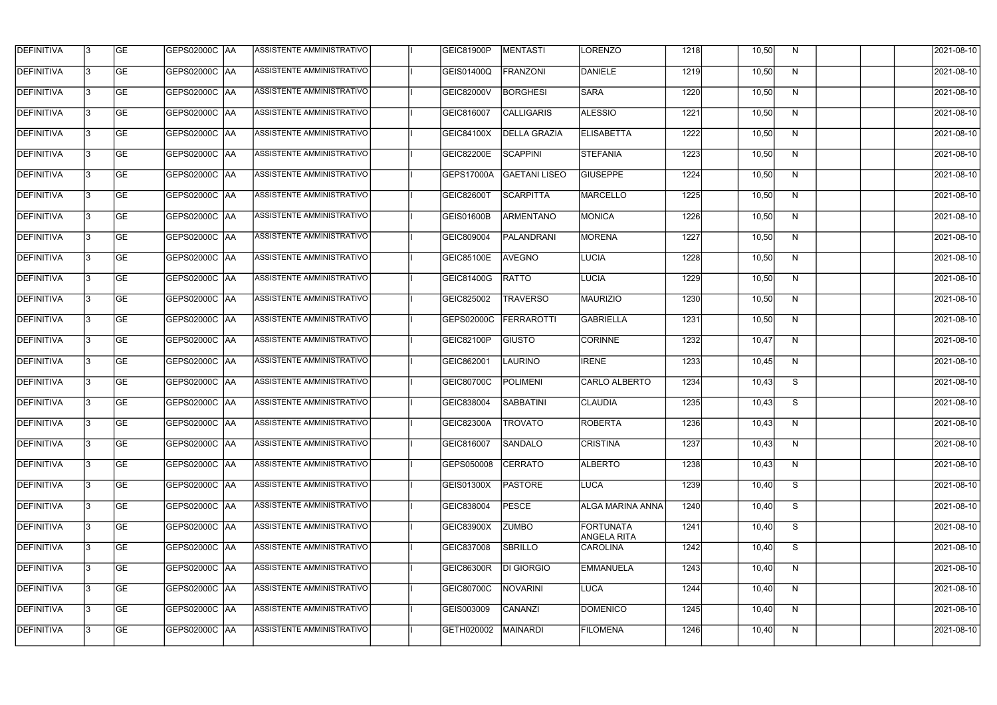| <b>DEFINITIVA</b> | 13  | <b>GE</b> | GEPS02000C AA        | ASSISTENTE AMMINISTRATIVO | GEIC81900P        | MENTASTI             | LORENZO                         | 1218 | 10,50 | N            | 2021-08-10 |
|-------------------|-----|-----------|----------------------|---------------------------|-------------------|----------------------|---------------------------------|------|-------|--------------|------------|
| <b>DEFINITIVA</b> | l3  | <b>GE</b> | GEPS02000C AA        | ASSISTENTE AMMINISTRATIVO | GEIS01400Q        | <b>FRANZONI</b>      | DANIELE                         | 1219 | 10,50 | N            | 2021-08-10 |
| <b>DEFINITIVA</b> | l3  | <b>GE</b> | GEPS02000C AA        | ASSISTENTE AMMINISTRATIVO | GEIC82000V        | <b>BORGHESI</b>      | <b>SARA</b>                     | 1220 | 10,50 | N            | 2021-08-10 |
| <b>DEFINITIVA</b> | l3  | <b>GE</b> | <b>GEPS02000C AA</b> | ASSISTENTE AMMINISTRATIVO | GEIC816007        | <b>CALLIGARIS</b>    | <b>ALESSIO</b>                  | 1221 | 10,50 | $\mathsf{N}$ | 2021-08-10 |
| <b>DEFINITIVA</b> | l3  | <b>GE</b> | GEPS02000C AA        | ASSISTENTE AMMINISTRATIVO | GEIC84100X        | <b>DELLA GRAZIA</b>  | <b>ELISABETTA</b>               | 1222 | 10,50 | N            | 2021-08-10 |
| <b>DEFINITIVA</b> | l3  | <b>GE</b> | <b>GEPS02000C AA</b> | ASSISTENTE AMMINISTRATIVO | GEIC82200E        | <b>SCAPPINI</b>      | <b>STEFANIA</b>                 | 1223 | 10,50 | N            | 2021-08-10 |
| <b>DEFINITIVA</b> | l3  | <b>GE</b> | GEPS02000C AA        | ASSISTENTE AMMINISTRATIVO | GEPS17000A        | <b>GAETANI LISEO</b> | <b>GIUSEPPE</b>                 | 1224 | 10,50 | N            | 2021-08-10 |
| <b>DEFINITIVA</b> | l3  | <b>GE</b> | <b>GEPS02000C AA</b> | ASSISTENTE AMMINISTRATIVO | <b>GEIC82600T</b> | <b>SCARPITTA</b>     | <b>MARCELLO</b>                 | 1225 | 10,50 | N            | 2021-08-10 |
| <b>DEFINITIVA</b> |     | <b>GE</b> |                      | ASSISTENTE AMMINISTRATIVO | GEIS01600B        | <b>ARMENTANO</b>     | MONICA                          | 1226 | 10,50 | N            | 2021-08-10 |
| <b>DEFINITIVA</b> | l3  | <b>GE</b> | GEPS02000C  AA       | ASSISTENTE AMMINISTRATIVO | GEIC809004        | PALANDRANI           | MORENA                          | 1227 | 10,50 | N            | 2021-08-10 |
| DEFINITIVA        | l3  | <b>GE</b> | GEPS02000C AA        | ASSISTENTE AMMINISTRATIVO | <b>GEIC85100E</b> | <b>AVEGNO</b>        | LUCIA                           | 1228 | 10,50 | N            | 2021-08-10 |
| <b>DEFINITIVA</b> | l3  | <b>GE</b> | GEPS02000C  AA       | ASSISTENTE AMMINISTRATIVO | GEIC81400G        | <b>RATTO</b>         | <b>LUCIA</b>                    | 1229 | 10,50 | $\mathsf{N}$ | 2021-08-10 |
| <b>DEFINITIVA</b> | l3  | <b>GE</b> | GEPS02000C AA        | ASSISTENTE AMMINISTRATIVO | GEIC825002        | <b>TRAVERSO</b>      | <b>MAURIZIO</b>                 | 1230 | 10,50 | N            | 2021-08-10 |
| <b>DEFINITIVA</b> | l3  | <b>GE</b> | GEPS02000C  AA       | ASSISTENTE AMMINISTRATIVO | GEPS02000C        | <b>FERRAROTTI</b>    | <b>GABRIELLA</b>                | 1231 | 10,50 | N            | 2021-08-10 |
| <b>DEFINITIVA</b> | l3  | <b>GE</b> | GEPS02000C  AA       | ASSISTENTE AMMINISTRATIVO | GEIC82100P        | <b>GIUSTO</b>        | <b>CORINNE</b>                  | 1232 | 10,47 | N            | 2021-08-10 |
| <b>DEFINITIVA</b> | IЗ  | <b>GE</b> |                      | ASSISTENTE AMMINISTRATIVO | GEIC862001        | <b>LAURINO</b>       | <b>IRENE</b>                    | 1233 | 10,45 | N            | 2021-08-10 |
| <b>DEFINITIVA</b> | I3  | <b>GE</b> | GEPS02000C  AA       | ASSISTENTE AMMINISTRATIVO | <b>GEIC80700C</b> | <b>POLIMENI</b>      | CARLO ALBERTO                   | 1234 | 10,43 | S            | 2021-08-10 |
| DEFINITIVA        |     | <b>GE</b> | GEPS02000C  AA       | ASSISTENTE AMMINISTRATIVO | GEIC838004        | SABBATINI            | <b>CLAUDIA</b>                  | 1235 | 10,43 | S            | 2021-08-10 |
| DEFINITIVA        | 13  | <b>GE</b> | GEPS02000C  AA       | ASSISTENTE AMMINISTRATIVO | GEIC82300A        | <b>TROVATO</b>       | ROBERTA                         | 1236 | 10,43 | N            | 2021-08-10 |
| <b>DEFINITIVA</b> | 13  | <b>GE</b> | <b>GEPS02000C AA</b> | ASSISTENTE AMMINISTRATIVO | GEIC816007        | SANDALO              | <b>CRISTINA</b>                 | 1237 | 10,43 | N            | 2021-08-10 |
| <b>DEFINITIVA</b> | 13  | <b>GE</b> | GEPS02000C  AA       | ASSISTENTE AMMINISTRATIVO | GEPS050008        | <b>CERRATO</b>       | <b>ALBERTO</b>                  | 1238 | 10,43 | N            | 2021-08-10 |
| <b>DEFINITIVA</b> | 13. | <b>GE</b> | <b>GEPS02000C AA</b> | ASSISTENTE AMMINISTRATIVO | GEIS01300X        | <b>PASTORE</b>       | LUCA                            | 1239 | 10,40 | S            | 2021-08-10 |
| <b>DEFINITIVA</b> | 13  | <b>GE</b> | GEPS02000C AA        | ASSISTENTE AMMINISTRATIVO | GEIC838004        | <b>PESCE</b>         | <b>ALGA MARINA ANNA</b>         | 1240 | 10,40 | S            | 2021-08-10 |
| <b>DEFINITIVA</b> | 13  | <b>GE</b> | <b>GEPS02000C AA</b> | ASSISTENTE AMMINISTRATIVO | GEIC83900X        | <b>ZUMBO</b>         | FORTUNATA<br><b>ANGELA RITA</b> | 1241 | 10,40 | S            | 2021-08-10 |
| <b>DEFINITIVA</b> | IЗ  | <b>GE</b> | GEPS02000C  AA       | ASSISTENTE AMMINISTRATIVO | GEIC837008        | SBRILLO              | <b>CAROLINA</b>                 | 1242 | 10,40 | S            | 2021-08-10 |
| DEFINITIVA        | l3  | <b>GE</b> | GEPS02000C  AA       | ASSISTENTE AMMINISTRATIVO | <b>GEIC86300R</b> | DI GIORGIO           | <b>EMMANUELA</b>                | 1243 | 10,40 | N            | 2021-08-10 |
| <b>DEFINITIVA</b> | l3  | <b>GE</b> | GEPS02000C  AA       | ASSISTENTE AMMINISTRATIVO | GEIC80700C        | NOVARINI             | LUCA                            | 1244 | 10,40 | N            | 2021-08-10 |
| <b>DEFINITIVA</b> | 13. | <b>GE</b> | GEPS02000C  AA       | ASSISTENTE AMMINISTRATIVO | GEIS003009        | CANANZI              | DOMENICO                        | 1245 | 10,40 | N            | 2021-08-10 |
| <b>DEFINITIVA</b> | IЗ  | <b>GE</b> | GEPS02000C  AA       | ASSISTENTE AMMINISTRATIVO | GETH020002        | <b>MAINARDI</b>      | <b>FILOMENA</b>                 | 1246 | 10,40 | N            | 2021-08-10 |
|                   |     |           |                      |                           |                   |                      |                                 |      |       |              |            |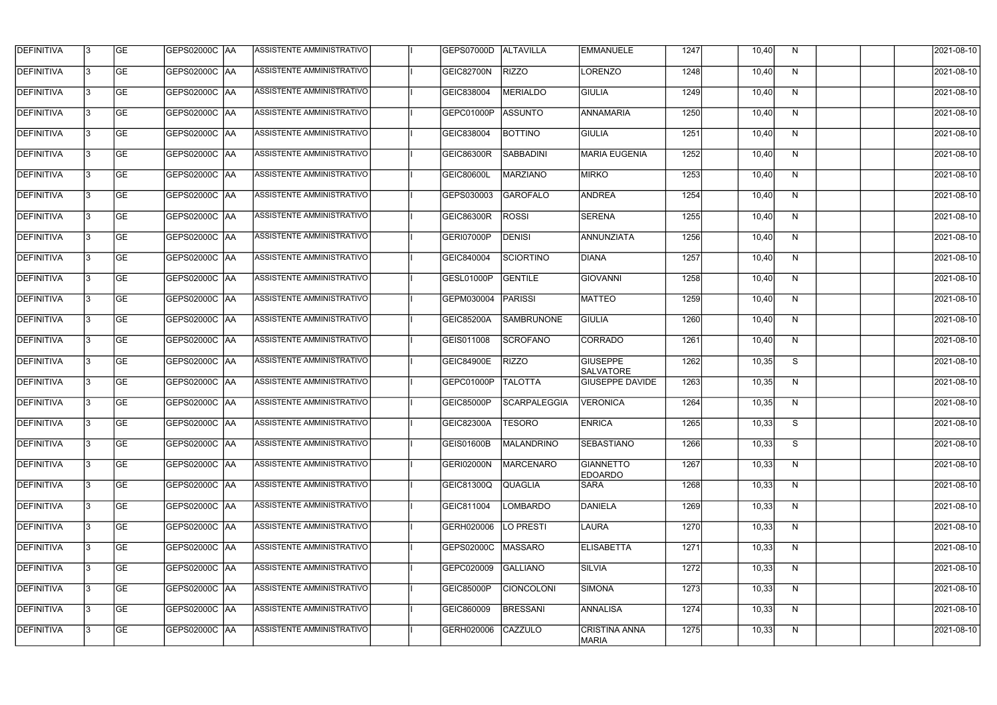| <b>DEFINITIVA</b> | 13  | <b>GE</b> | <b>GEPS02000C AA</b>   | ASSISTENTE AMMINISTRATIVO        | GEPS07000D        | ALTAVILLA           | <b>EMMANUELE</b>                     | 1247 | 10,40 | N            | 2021-08-10 |
|-------------------|-----|-----------|------------------------|----------------------------------|-------------------|---------------------|--------------------------------------|------|-------|--------------|------------|
| <b>DEFINITIVA</b> | l3  | <b>GE</b> |                        | ASSISTENTE AMMINISTRATIVO        | GEIC82700N        | <b>RIZZO</b>        | LORENZO                              | 1248 | 10,40 | N            | 2021-08-10 |
| <b>DEFINITIVA</b> | l3  | <b>GE</b> | <b>GEPS02000C AA</b>   | <b>ASSISTENTE AMMINISTRATIVO</b> | GEIC838004        | <b>MERIALDO</b>     | <b>GIULIA</b>                        | 1249 | 10,40 | N            | 2021-08-10 |
| <b>DEFINITIVA</b> | l3  | <b>GE</b> |                        | ASSISTENTE AMMINISTRATIVO        | GEPC01000P        | <b>ASSUNTO</b>      | <b>ANNAMARIA</b>                     | 1250 | 10,40 | $\mathsf{N}$ | 2021-08-10 |
| <b>DEFINITIVA</b> | l3  | <b>GE</b> | <b>GEPS02000C AA</b>   | ASSISTENTE AMMINISTRATIVO        | GEIC838004        | <b>BOTTINO</b>      | <b>GIULIA</b>                        | 1251 | 10,40 | N            | 2021-08-10 |
| <b>DEFINITIVA</b> | IЗ  | <b>GE</b> | <b>GEPS02000C AA</b>   | ASSISTENTE AMMINISTRATIVO        | <b>GEIC86300R</b> | <b>SABBADINI</b>    | <b>MARIA EUGENIA</b>                 | 1252 | 10,40 | N            | 2021-08-10 |
| <b>DEFINITIVA</b> | l3  | <b>GE</b> | <b>GEPS02000C AA</b>   | ASSISTENTE AMMINISTRATIVO        | <b>GEIC80600L</b> | <b>MARZIANO</b>     | <b>MIRKO</b>                         | 1253 | 10,40 | N            | 2021-08-10 |
| <b>DEFINITIVA</b> | l3  | <b>GE</b> | <b>GEPS02000C AA</b>   | ASSISTENTE AMMINISTRATIVO        | GEPS030003        | <b>GAROFALO</b>     | <b>ANDREA</b>                        | 1254 | 10,40 | N            | 2021-08-10 |
| <b>DEFINITIVA</b> |     | <b>GE</b> | GEPS02000C AA          | ASSISTENTE AMMINISTRATIVO        | GEIC86300R        | <b>ROSSI</b>        | <b>SERENA</b>                        | 1255 | 10,40 | N            | 2021-08-10 |
| DEFINITIVA        | l3  | <b>GE</b> |                        | ASSISTENTE AMMINISTRATIVO        | GERI07000P        | <b>DENISI</b>       | ANNUNZIATA                           | 1256 | 10,40 | N            | 2021-08-10 |
| <b>DEFINITIVA</b> | l3  | <b>GE</b> | GEPS02000C AA          | ASSISTENTE AMMINISTRATIVO        | GEIC840004        | <b>SCIORTINO</b>    | DIANA                                | 1257 | 10,40 | N            | 2021-08-10 |
| <b>DEFINITIVA</b> | l3  | <b>GE</b> | GEPS02000C  AA         | ASSISTENTE AMMINISTRATIVO        | GESL01000P        | <b>GENTILE</b>      | GIOVANNI                             | 1258 | 10,40 | $\mathsf{N}$ | 2021-08-10 |
| <b>DEFINITIVA</b> | l3  | <b>GE</b> | <b>GEPS02000C   AA</b> | ASSISTENTE AMMINISTRATIVO        | GEPM030004        | <b>PARISSI</b>      | <b>MATTEO</b>                        | 1259 | 10,40 | N            | 2021-08-10 |
| <b>DEFINITIVA</b> | l3  | <b>GE</b> |                        | ASSISTENTE AMMINISTRATIVO        | GEIC85200A        | <b>SAMBRUNONE</b>   | GIULIA                               | 1260 | 10,40 | N            | 2021-08-10 |
| <b>DEFINITIVA</b> | l3  | <b>GE</b> |                        | ASSISTENTE AMMINISTRATIVO        | GEIS011008        | <b>SCROFANO</b>     | CORRADO                              | 1261 | 10,40 | $\mathsf{N}$ | 2021-08-10 |
| <b>DEFINITIVA</b> | IЗ  | <b>GE</b> |                        | ASSISTENTE AMMINISTRATIVO        | <b>GEIC84900E</b> | <b>RIZZO</b>        | <b>GIUSEPPE</b><br><b>SALVATORE</b>  | 1262 | 10,35 | S            | 2021-08-10 |
| <b>DEFINITIVA</b> | l3  | <b>GE</b> | GEPS02000C  AA         | ASSISTENTE AMMINISTRATIVO        | GEPC01000P        | <b>TALOTTA</b>      | <b>GIUSEPPE DAVIDE</b>               | 1263 | 10,35 | N            | 2021-08-10 |
| DEFINITIVA        |     | <b>GE</b> | GEPS02000C  AA         | ASSISTENTE AMMINISTRATIVO        | GEIC85000P        | <b>SCARPALEGGIA</b> | <b>VERONICA</b>                      | 1264 | 10,35 | N            | 2021-08-10 |
| <b>DEFINITIVA</b> | 13  | <b>GE</b> | GEPS02000C  AA         | ASSISTENTE AMMINISTRATIVO        | GEIC82300A        | TESORO              | <b>ENRICA</b>                        | 1265 | 10,33 | S.           | 2021-08-10 |
| <b>DEFINITIVA</b> | 13  | <b>GE</b> | <b>GEPS02000C AA</b>   | ASSISTENTE AMMINISTRATIVO        | GEIS01600B        | MALANDRINO          | <b>SEBASTIANO</b>                    | 1266 | 10,33 | S            | 2021-08-10 |
| <b>DEFINITIVA</b> | 13  | <b>GE</b> | GEPS02000C  AA         | ASSISTENTE AMMINISTRATIVO        | GERI02000N        | MARCENARO           | <b>GIANNETTO</b><br><b>EDOARDO</b>   | 1267 | 10,33 | N            | 2021-08-10 |
| <b>DEFINITIVA</b> | 13. | <b>GE</b> | GEPS02000C AA          | ASSISTENTE AMMINISTRATIVO        | <b>GEIC81300Q</b> | QUAGLIA             | <b>SARA</b>                          | 1268 | 10,33 | N            | 2021-08-10 |
| <b>DEFINITIVA</b> | 13  | <b>GE</b> | GEPS02000C AA          | ASSISTENTE AMMINISTRATIVO        | GEIC811004        | <b>LOMBARDO</b>     | DANIELA                              | 1269 | 10,33 | N            | 2021-08-10 |
| <b>DEFINITIVA</b> | 13  | <b>GE</b> | GEPS02000C  AA         | ASSISTENTE AMMINISTRATIVO        | GERH020006        | LO PRESTI           | LAURA                                | 1270 | 10,33 | N            | 2021-08-10 |
| <b>DEFINITIVA</b> | IЗ  | <b>GE</b> | GEPS02000C  AA         | ASSISTENTE AMMINISTRATIVO        | GEPS02000C        | MASSARO             | <b>ELISABETTA</b>                    | 1271 | 10,33 | N            | 2021-08-10 |
| DEFINITIVA        | l3  | <b>GE</b> | GEPS02000C  AA         | ASSISTENTE AMMINISTRATIVO        | GEPC020009        | <b>GALLIANO</b>     | <b>SILVIA</b>                        | 1272 | 10,33 | N            | 2021-08-10 |
| <b>DEFINITIVA</b> | l3  | <b>GE</b> | GEPS02000C  AA         | ASSISTENTE AMMINISTRATIVO        | GEIC85000P        | <b>CIONCOLONI</b>   | SIMONA                               | 1273 | 10,33 | N            | 2021-08-10 |
| <b>DEFINITIVA</b> | 13. | <b>GE</b> | GEPS02000C  AA         | ASSISTENTE AMMINISTRATIVO        | GEIC860009        | <b>BRESSANI</b>     | <b>ANNALISA</b>                      | 1274 | 10,33 | N            | 2021-08-10 |
| <b>DEFINITIVA</b> | IЗ  | <b>GE</b> | GEPS02000C  AA         | ASSISTENTE AMMINISTRATIVO        | GERH020006        | CAZZULO             | <b>CRISTINA ANNA</b><br><b>MARIA</b> | 1275 | 10,33 | N            | 2021-08-10 |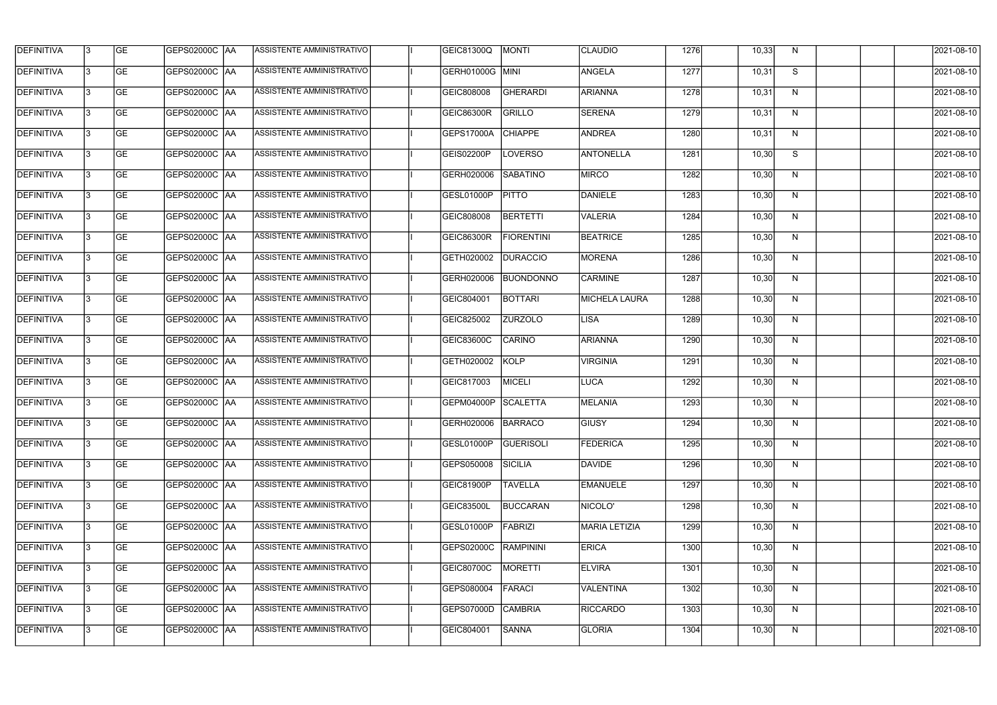| <b>DEFINITIVA</b> | 13  | <b>GE</b> | <b>GEPS02000C AA</b> | ASSISTENTE AMMINISTRATIVO        | GEIC81300Q         | MONTI             | <b>CLAUDIO</b>       | 1276 | 10,33 | N            | 2021-08-10 |
|-------------------|-----|-----------|----------------------|----------------------------------|--------------------|-------------------|----------------------|------|-------|--------------|------------|
| <b>DEFINITIVA</b> | l3  | <b>GE</b> | GEPS02000C  AA       | ASSISTENTE AMMINISTRATIVO        | GERH01000G MINI    |                   | <b>ANGELA</b>        | 1277 | 10,31 | S            | 2021-08-10 |
| <b>DEFINITIVA</b> | l3  | <b>GE</b> | GEPS02000C AA        | ASSISTENTE AMMINISTRATIVO        | GEIC808008         | <b>GHERARDI</b>   | <b>ARIANNA</b>       | 1278 | 10,31 | N            | 2021-08-10 |
| <b>DEFINITIVA</b> | l3  | <b>GE</b> | <b>GEPS02000C AA</b> | ASSISTENTE AMMINISTRATIVO        | <b>GEIC86300R</b>  | <b>GRILLO</b>     | <b>SERENA</b>        | 1279 | 10,31 | $\mathsf{N}$ | 2021-08-10 |
| <b>DEFINITIVA</b> | l3  | <b>GE</b> | <b>GEPS02000C AA</b> | ASSISTENTE AMMINISTRATIVO        | GEPS17000A         | <b>CHIAPPE</b>    | <b>ANDREA</b>        | 1280 | 10,31 | N            | 2021-08-10 |
| <b>DEFINITIVA</b> | l3  | <b>GE</b> | <b>GEPS02000C AA</b> | <b>ASSISTENTE AMMINISTRATIVO</b> | GEIS02200P         | <b>LOVERSO</b>    | <b>ANTONELLA</b>     | 1281 | 10,30 | S            | 2021-08-10 |
| <b>DEFINITIVA</b> | l3  | <b>GE</b> | GEPS02000C AA        | ASSISTENTE AMMINISTRATIVO        | GERH020006         | <b>SABATINO</b>   | MIRCO                | 1282 | 10,30 | N            | 2021-08-10 |
| <b>DEFINITIVA</b> | l3  | <b>GE</b> | <b>GEPS02000C AA</b> | ASSISTENTE AMMINISTRATIVO        | GESL01000P         | <b>PITTO</b>      | DANIELE              | 1283 | 10,30 | N            | 2021-08-10 |
| <b>DEFINITIVA</b> |     | <b>GE</b> |                      | ASSISTENTE AMMINISTRATIVO        | GEIC808008         | <b>BERTETTI</b>   | <b>VALERIA</b>       | 1284 | 10,30 | N            | 2021-08-10 |
| <b>DEFINITIVA</b> | l3  | <b>GE</b> | GEPS02000C  AA       | ASSISTENTE AMMINISTRATIVO        | <b>GEIC86300R</b>  | <b>FIORENTINI</b> | <b>BEATRICE</b>      | 1285 | 10,30 | N            | 2021-08-10 |
| <b>DEFINITIVA</b> | 13  | <b>GE</b> | GEPS02000C AA        | ASSISTENTE AMMINISTRATIVO        | GETH020002         | <b>DURACCIO</b>   | <b>MORENA</b>        | 1286 | 10,30 | N            | 2021-08-10 |
| <b>DEFINITIVA</b> | l3  | <b>GE</b> | GEPS02000C  AA       | ASSISTENTE AMMINISTRATIVO        | GERH020006         | BUONDONNO         | <b>CARMINE</b>       | 1287 | 10,30 | $\mathsf{N}$ | 2021-08-10 |
| <b>DEFINITIVA</b> | l3  | <b>GE</b> | GEPS02000C AA        | ASSISTENTE AMMINISTRATIVO        | GEIC804001         | <b>BOTTARI</b>    | <b>MICHELA LAURA</b> | 1288 | 10,30 | N            | 2021-08-10 |
| <b>DEFINITIVA</b> | IЗ  | <b>GE</b> | GEPS02000C  AA       | ASSISTENTE AMMINISTRATIVO        | GEIC825002         | <b>ZURZOLO</b>    | LISA                 | 1289 | 10,30 | N            | 2021-08-10 |
| <b>DEFINITIVA</b> | IЗ  | <b>GE</b> | GEPS02000C  AA       | ASSISTENTE AMMINISTRATIVO        | GEIC83600C         | CARINO            | <b>ARIANNA</b>       | 1290 | 10,30 | N            | 2021-08-10 |
| <b>DEFINITIVA</b> | IЗ  | <b>GE</b> |                      | ASSISTENTE AMMINISTRATIVO        | GETH020002         | KOLP              | <b>VIRGINIA</b>      | 1291 | 10,30 | N            | 2021-08-10 |
| <b>DEFINITIVA</b> | I3  | <b>GE</b> | GEPS02000C  AA       | ASSISTENTE AMMINISTRATIVO        | GEIC817003         | MICELI            | LUCA                 | 1292 | 10,30 | N            | 2021-08-10 |
| DEFINITIVA        |     | <b>GE</b> | GEPS02000C  AA       | ASSISTENTE AMMINISTRATIVO        | GEPM04000P         | SCALETTA          | <b>MELANIA</b>       | 1293 | 10,30 | N            | 2021-08-10 |
| <b>DEFINITIVA</b> | 13  | <b>GE</b> | GEPS02000C  AA       | ASSISTENTE AMMINISTRATIVO        | GERH020006 BARRACO |                   | <b>GIUSY</b>         | 1294 | 10,30 | N            | 2021-08-10 |
| <b>DEFINITIVA</b> | 13  | <b>GE</b> | <b>GEPS02000C AA</b> | ASSISTENTE AMMINISTRATIVO        | GESL01000P         | <b>GUERISOLI</b>  | <b>FEDERICA</b>      | 1295 | 10,30 | N            | 2021-08-10 |
| <b>DEFINITIVA</b> | 13  | <b>GE</b> | GEPS02000C  AA       | ASSISTENTE AMMINISTRATIVO        | GEPS050008         | SICILIA           | <b>DAVIDE</b>        | 1296 | 10,30 | N            | 2021-08-10 |
| <b>DEFINITIVA</b> | 13. | <b>GE</b> | <b>GEPS02000C AA</b> | ASSISTENTE AMMINISTRATIVO        | GEIC81900P         | <b>TAVELLA</b>    | <b>EMANUELE</b>      | 1297 | 10,30 | N            | 2021-08-10 |
| <b>DEFINITIVA</b> | 13  | <b>GE</b> | GEPS02000C AA        | ASSISTENTE AMMINISTRATIVO        | <b>GEIC83500L</b>  | <b>BUCCARAN</b>   | NICOLO'              | 1298 | 10,30 | N            | 2021-08-10 |
| <b>DEFINITIVA</b> | 13  | <b>GE</b> | GEPS02000C  AA       | ASSISTENTE AMMINISTRATIVO        | GESL01000P         | FABRIZI           | MARIA LETIZIA        | 1299 | 10,30 | N            | 2021-08-10 |
| <b>DEFINITIVA</b> | IЗ  | <b>GE</b> | GEPS02000C  AA       | ASSISTENTE AMMINISTRATIVO        | GEPS02000C         | <b>RAMPININI</b>  | <b>ERICA</b>         | 1300 | 10,30 | N            | 2021-08-10 |
| DEFINITIVA        | IЗ  | <b>GE</b> | GEPS02000C  AA       | ASSISTENTE AMMINISTRATIVO        | GEIC80700C         | MORETTI           | <b>ELVIRA</b>        | 1301 | 10,30 | N            | 2021-08-10 |
| <b>DEFINITIVA</b> | l3  | <b>GE</b> | GEPS02000C  AA       | ASSISTENTE AMMINISTRATIVO        | GEPS080004         | <b>FARACI</b>     | VALENTINA            | 1302 | 10,30 | N            | 2021-08-10 |
| <b>DEFINITIVA</b> | 13. | <b>GE</b> | GEPS02000C  AA       | ASSISTENTE AMMINISTRATIVO        | GEPS07000D         | <b>CAMBRIA</b>    | <b>RICCARDO</b>      | 1303 | 10,30 | N            | 2021-08-10 |
| <b>DEFINITIVA</b> | IЗ  | <b>GE</b> | GEPS02000C  AA       | ASSISTENTE AMMINISTRATIVO        | GEIC804001         | <b>SANNA</b>      | <b>GLORIA</b>        | 1304 | 10,30 | N            | 2021-08-10 |
|                   |     |           |                      |                                  |                    |                   |                      |      |       |              |            |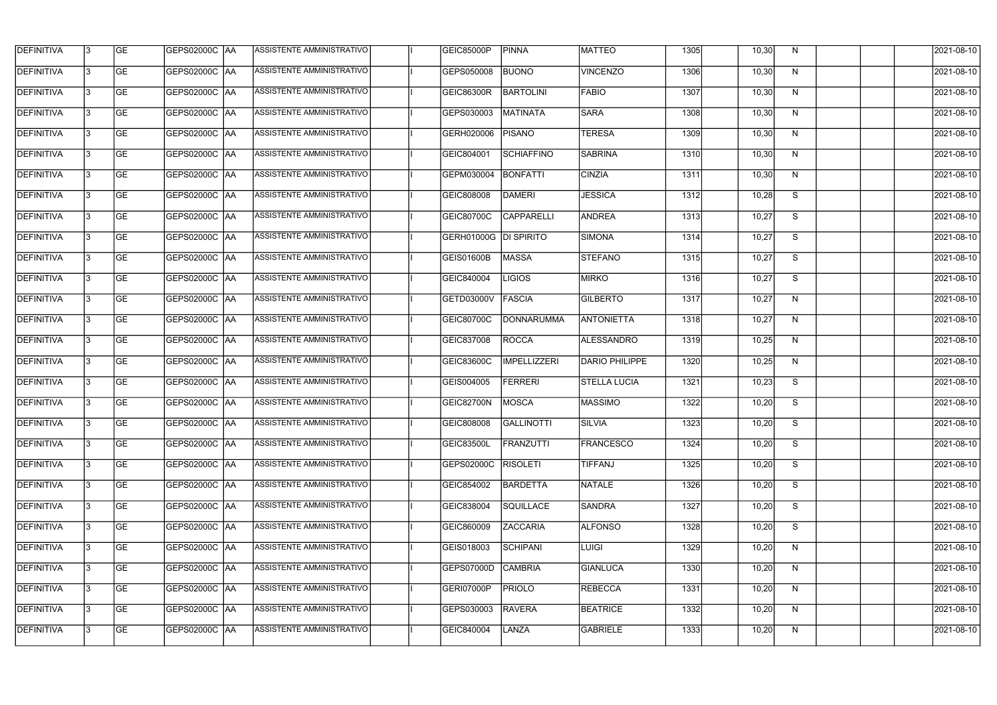| <b>DEFINITIVA</b> | 13  | <b>GE</b> | GEPS02000C  AA       | ASSISTENTE AMMINISTRATIVO        | GEIC85000P        | <b>PINNA</b>        | <b>MATTEO</b>       | 1305 | 10,30 | N. | 2021-08-10 |
|-------------------|-----|-----------|----------------------|----------------------------------|-------------------|---------------------|---------------------|------|-------|----|------------|
| DEFINITIVA        | l3  | <b>GE</b> | GEPS02000C  AA       | ASSISTENTE AMMINISTRATIVO        | GEPS050008        | <b>BUONO</b>        | <b>VINCENZO</b>     | 1306 | 10,30 | N  | 2021-08-10 |
| <b>DEFINITIVA</b> | l3  | <b>GE</b> | <b>GEPS02000C AA</b> | ASSISTENTE AMMINISTRATIVO        | GEIC86300R        | <b>BARTOLINI</b>    | <b>FABIO</b>        | 1307 | 10,30 | N  | 2021-08-10 |
| <b>DEFINITIVA</b> | 13  | <b>GE</b> | <b>GEPS02000C AA</b> | ASSISTENTE AMMINISTRATIVO        | GEPS030003        | <b>MATINATA</b>     | <b>SARA</b>         | 1308 | 10,30 | N  | 2021-08-10 |
| <b>DEFINITIVA</b> | l3  | <b>GE</b> | GEPS02000C  AA       | ASSISTENTE AMMINISTRATIVO        | GERH020006        | <b>PISANO</b>       | <b>TERESA</b>       | 1309 | 10,30 | N  | 2021-08-10 |
| <b>DEFINITIVA</b> | IЗ  | <b>GE</b> | GEPS02000C AA        | ASSISTENTE AMMINISTRATIVO        | GEIC804001        | <b>SCHIAFFINO</b>   | <b>SABRINA</b>      | 1310 | 10,30 | N  | 2021-08-10 |
| <b>DEFINITIVA</b> | l3  | <b>GE</b> | <b>GEPS02000C AA</b> | <b>ASSISTENTE AMMINISTRATIVO</b> | GEPM030004        | <b>BONFATTI</b>     | <b>CINZIA</b>       | 1311 | 10,30 | N  | 2021-08-10 |
| <b>DEFINITIVA</b> | l3  | <b>GE</b> | GEPS02000C AA        | ASSISTENTE AMMINISTRATIVO        | GEIC808008        | <b>DAMERI</b>       | <b>JESSICA</b>      | 1312 | 10,28 | S  | 2021-08-10 |
| <b>DEFINITIVA</b> | l3  | <b>GE</b> | GEPS02000C  AA       | ASSISTENTE AMMINISTRATIVO        | GEIC80700C        | <b>CAPPARELLI</b>   | <b>ANDREA</b>       | 1313 | 10,27 | S  | 2021-08-10 |
| <b>DEFINITIVA</b> | l3  | <b>GE</b> | GEPS02000C AA        | ASSISTENTE AMMINISTRATIVO        | GERH01000G        | <b>DI SPIRITO</b>   | SIMONA              | 1314 | 10,27 | S  | 2021-08-10 |
| <b>DEFINITIVA</b> | l3  | <b>GE</b> | GEPS02000C AA        | ASSISTENTE AMMINISTRATIVO        | <b>GEIS01600B</b> | MASSA               | <b>STEFANO</b>      | 1315 | 10,27 | S  | 2021-08-10 |
| <b>DEFINITIVA</b> | 13  | <b>GE</b> | <b>GEPS02000C AA</b> | ASSISTENTE AMMINISTRATIVO        | GEIC840004        | <b>LIGIOS</b>       | <b>MIRKO</b>        | 1316 | 10,27 | S  | 2021-08-10 |
| <b>DEFINITIVA</b> | l3  | <b>GE</b> | GEPS02000C  AA       | ASSISTENTE AMMINISTRATIVO        | GETD03000V        | FASCIA              | GILBERTO            | 1317 | 10,27 | N  | 2021-08-10 |
| <b>DEFINITIVA</b> | l3  | <b>GE</b> | GEPS02000C AA        | ASSISTENTE AMMINISTRATIVO        | GEIC80700C        | <b>DONNARUMMA</b>   | <b>ANTONIETTA</b>   | 1318 | 10,27 | N  | 2021-08-10 |
| <b>DEFINITIVA</b> | l3  | <b>GE</b> | GEPS02000C  AA       | ASSISTENTE AMMINISTRATIVO        | GEIC837008        | <b>ROCCA</b>        | ALESSANDRO          | 1319 | 10,25 | N  | 2021-08-10 |
| <b>DEFINITIVA</b> | IЗ  | <b>GE</b> | GEPS02000C  AA       | ASSISTENTE AMMINISTRATIVO        | GEIC83600C        | <b>IMPELLIZZERI</b> | DARIO PHILIPPE      | 1320 | 10,25 | N  | 2021-08-10 |
| <b>DEFINITIVA</b> | IЗ  | <b>GE</b> | GEPS02000C  AA       | ASSISTENTE AMMINISTRATIVO        | GEIS004005        | <b>FERRERI</b>      | <b>STELLA LUCIA</b> | 1321 | 10,23 | S  | 2021-08-10 |
| <b>DEFINITIVA</b> |     | <b>GE</b> | GEPS02000C  AA       | ASSISTENTE AMMINISTRATIVO        | GEIC82700N        | MOSCA               | <b>MASSIMO</b>      | 1322 | 10,20 | S  | 2021-08-10 |
| <b>DEFINITIVA</b> | IЗ  | GE        | GEPS02000C  AA       | <b>ASSISTENTE AMMINISTRATIVO</b> | GEIC808008        | <b>GALLINOTTI</b>   | SILVIA              | 1323 | 10,20 | S. | 2021-08-10 |
| <b>DEFINITIVA</b> | 13. | <b>GE</b> | GEPS02000C AA        | ASSISTENTE AMMINISTRATIVO        | <b>GEIC83500L</b> | <b>FRANZUTTI</b>    | FRANCESCO           | 1324 | 10,20 | S  | 2021-08-10 |
| <b>DEFINITIVA</b> | 13  | <b>GE</b> | <b>GEPS02000C AA</b> | ASSISTENTE AMMINISTRATIVO        | GEPS02000C        | <b>RISOLETI</b>     | <b>TIFFANJ</b>      | 1325 | 10,20 | S  | 2021-08-10 |
| <b>DEFINITIVA</b> | 13. | <b>GE</b> | GEPS02000C AA        | ASSISTENTE AMMINISTRATIVO        | GEIC854002        | <b>BARDETTA</b>     | NATALE              | 1326 | 10,20 | S  | 2021-08-10 |
| <b>DEFINITIVA</b> | 13  | <b>GE</b> | <b>GEPS02000C AA</b> | ASSISTENTE AMMINISTRATIVO        | GEIC838004        | <b>SQUILLACE</b>    | <b>SANDRA</b>       | 1327 | 10,20 | S  | 2021-08-10 |
| <b>DEFINITIVA</b> | 13  | <b>GE</b> | GEPS02000C AA        | ASSISTENTE AMMINISTRATIVO        | GEIC860009        | <b>ZACCARIA</b>     | <b>ALFONSO</b>      | 1328 | 10,20 | S  | 2021-08-10 |
| <b>DEFINITIVA</b> | l3  | <b>GE</b> | GEPS02000C  AA       | ASSISTENTE AMMINISTRATIVO        | GEIS018003        | <b>SCHIPANI</b>     | <b>LUIGI</b>        | 1329 | 10,20 | N  | 2021-08-10 |
| DEFINITIVA        | l3  | <b>GE</b> | GEPS02000C  AA       | ASSISTENTE AMMINISTRATIVO        | GEPS07000D        | <b>CAMBRIA</b>      | GIANLUCA            | 1330 | 10,20 | N  | 2021-08-10 |
| DEFINITIVA        | l3  | <b>GE</b> | GEPS02000C  AA       | ASSISTENTE AMMINISTRATIVO        | GERI07000P        | <b>PRIOLO</b>       | <b>REBECCA</b>      | 1331 | 10,20 | N  | 2021-08-10 |
| <b>DEFINITIVA</b> | l3  | <b>GE</b> | GEPS02000C AA        | ASSISTENTE AMMINISTRATIVO        | GEPS030003        | <b>RAVERA</b>       | <b>BEATRICE</b>     | 1332 | 10,20 | N  | 2021-08-10 |
| <b>DEFINITIVA</b> | Iз  | <b>GE</b> | GEPS02000C  AA       | ASSISTENTE AMMINISTRATIVO        | GEIC840004        | <b>LANZA</b>        | <b>GABRIELE</b>     | 1333 | 10,20 | N  | 2021-08-10 |
|                   |     |           |                      |                                  |                   |                     |                     |      |       |    |            |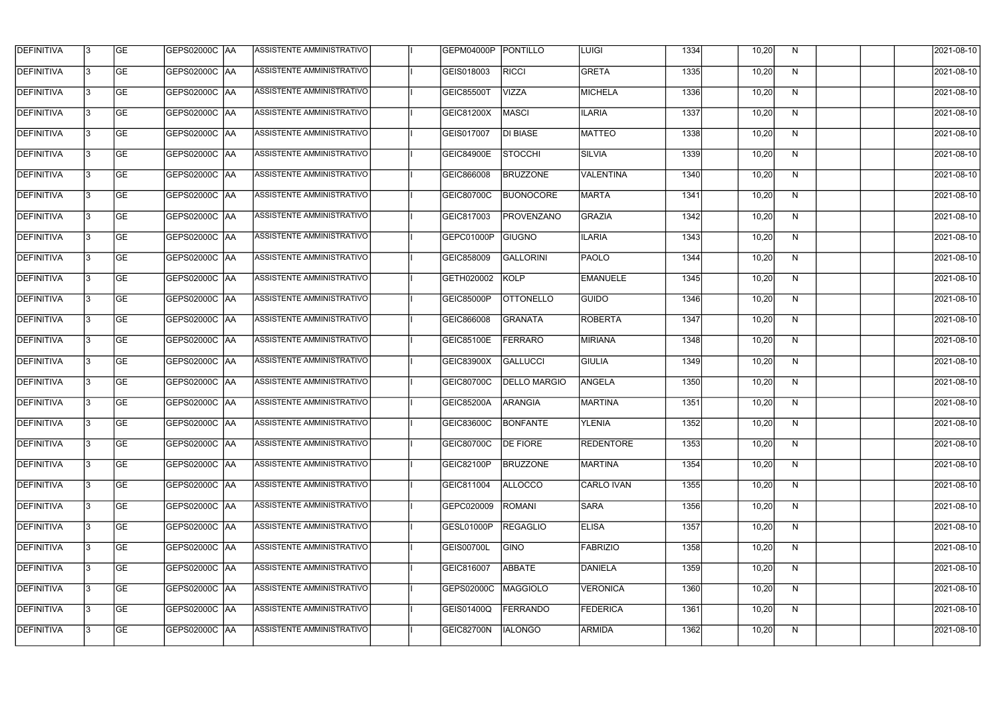| <b>DEFINITIVA</b> | 13  | <b>GE</b> | GEPS02000C  AA       | ASSISTENTE AMMINISTRATIVO        | GEPM04000P PONTILLO |                     | LUIGI             | 1334 | 10,20 | N, | 2021-08-10       |
|-------------------|-----|-----------|----------------------|----------------------------------|---------------------|---------------------|-------------------|------|-------|----|------------------|
| DEFINITIVA        | l3  | <b>GE</b> | GEPS02000C  AA       | ASSISTENTE AMMINISTRATIVO        | GEIS018003          | <b>RICCI</b>        | <b>GRETA</b>      | 1335 | 10,20 | N  | 2021-08-10       |
| <b>DEFINITIVA</b> | l3  | <b>GE</b> | <b>GEPS02000C AA</b> | ASSISTENTE AMMINISTRATIVO        | GEIC85500T          | <b>VIZZA</b>        | <b>MICHELA</b>    | 1336 | 10,20 | N  | 2021-08-10       |
| <b>DEFINITIVA</b> | 13  | <b>GE</b> | <b>GEPS02000C AA</b> | ASSISTENTE AMMINISTRATIVO        | GEIC81200X          | MASCI               | <b>ILARIA</b>     | 1337 | 10,20 | N  | 2021-08-10       |
| <b>DEFINITIVA</b> | l3  | <b>GE</b> | GEPS02000C  AA       | ASSISTENTE AMMINISTRATIVO        | GEIS017007          | <b>DI BIASE</b>     | <b>MATTEO</b>     | 1338 | 10,20 | N  | 2021-08-10       |
| <b>DEFINITIVA</b> | IЗ  | <b>GE</b> | <b>GEPS02000C AA</b> | ASSISTENTE AMMINISTRATIVO        | <b>GEIC84900E</b>   | <b>STOCCHI</b>      | SILVIA            | 1339 | 10,20 | N  | 2021-08-10       |
| <b>DEFINITIVA</b> | l3  | <b>GE</b> | <b>GEPS02000C AA</b> | <b>ASSISTENTE AMMINISTRATIVO</b> | GEIC866008          | <b>BRUZZONE</b>     | <b>VALENTINA</b>  | 1340 | 10,20 | N  | 2021-08-10       |
| <b>DEFINITIVA</b> | l3  | <b>GE</b> | GEPS02000C AA        | ASSISTENTE AMMINISTRATIVO        | GEIC80700C          | <b>BUONOCORE</b>    | <b>MARTA</b>      | 1341 | 10,20 | N  | 2021-08-10       |
| <b>DEFINITIVA</b> | l3  | <b>GE</b> | GEPS02000C  AA       | ASSISTENTE AMMINISTRATIVO        | GEIC817003          | <b>PROVENZANO</b>   | GRAZIA            | 1342 | 10,20 | N  | 2021-08-10       |
| <b>DEFINITIVA</b> | l3  | <b>GE</b> | GEPS02000C AA        | ASSISTENTE AMMINISTRATIVO        | GEPC01000P          | <b>GIUGNO</b>       | <b>ILARIA</b>     | 1343 | 10,20 | N  | 2021-08-10       |
| <b>DEFINITIVA</b> | l3  | <b>GE</b> | GEPS02000C AA        | ASSISTENTE AMMINISTRATIVO        | GEIC858009          | <b>GALLORINI</b>    | <b>PAOLO</b>      | 1344 | 10,20 | N  | 2021-08-10       |
| <b>DEFINITIVA</b> | 13  | <b>GE</b> | GEPS02000C  AA       | <b>ASSISTENTE AMMINISTRATIVO</b> | GETH020002          | <b>KOLP</b>         | <b>EMANUELE</b>   | 1345 | 10,20 | N  | 2021-08-10       |
| <b>DEFINITIVA</b> | l3  | <b>GE</b> | GEPS02000C  AA       | ASSISTENTE AMMINISTRATIVO        | GEIC85000P          | <b>OTTONELLO</b>    | <b>GUIDO</b>      | 1346 | 10,20 | N  | 2021-08-10       |
| <b>DEFINITIVA</b> | l3  | <b>GE</b> | GEPS02000C AA        | ASSISTENTE AMMINISTRATIVO        | GEIC866008          | <b>GRANATA</b>      | <b>ROBERTA</b>    | 1347 | 10,20 | N  | 2021-08-10       |
| <b>DEFINITIVA</b> | l3  | <b>GE</b> | GEPS02000C  AA       | ASSISTENTE AMMINISTRATIVO        | GEIC85100E          | <b>FERRARO</b>      | MIRIANA           | 1348 | 10,20 | N  | 2021-08-10       |
| <b>DEFINITIVA</b> | IЗ  | <b>GE</b> | GEPS02000C  AA       | ASSISTENTE AMMINISTRATIVO        | GEIC83900X          | GALLUCCI            | <b>GIULIA</b>     | 1349 | 10,20 | N  | 2021-08-10       |
| <b>DEFINITIVA</b> | IЗ  | <b>GE</b> | GEPS02000C  AA       | ASSISTENTE AMMINISTRATIVO        | GEIC80700C          | <b>DELLO MARGIO</b> | ANGELA            | 1350 | 10,20 | N  | 2021-08-10       |
| <b>DEFINITIVA</b> |     | <b>GE</b> | GEPS02000C  AA       | ASSISTENTE AMMINISTRATIVO        | <b>GEIC85200A</b>   | <b>ARANGIA</b>      | <b>MARTINA</b>    | 1351 | 10,20 | N  | 2021-08-10       |
| <b>DEFINITIVA</b> | IЗ  | GE        | GEPS02000C  AA       | <b>ASSISTENTE AMMINISTRATIVO</b> | <b>GEIC83600C</b>   | <b>BONFANTE</b>     | YLENIA            | 1352 | 10,20 | N, | 2021-08-10       |
| <b>DEFINITIVA</b> | 13. | <b>GE</b> | GEPS02000C AA        | ASSISTENTE AMMINISTRATIVO        | <b>GEIC80700C</b>   | <b>DE FIORE</b>     | <b>REDENTORE</b>  | 1353 | 10,20 | N  | 2021-08-10       |
| <b>DEFINITIVA</b> | 13  | <b>GE</b> | <b>GEPS02000C AA</b> | ASSISTENTE AMMINISTRATIVO        | GEIC82100P          | <b>BRUZZONE</b>     | <b>MARTINA</b>    | 1354 | 10,20 | N  | 2021-08-10       |
| <b>DEFINITIVA</b> | 13. | <b>GE</b> | <b>GEPS02000C AA</b> | ASSISTENTE AMMINISTRATIVO        | GEIC811004          | ALLOCCO             | <b>CARLO IVAN</b> | 1355 | 10,20 | N  | $2021 - 08 - 10$ |
| <b>DEFINITIVA</b> | 13  | <b>GE</b> | GEPS02000C AA        | ASSISTENTE AMMINISTRATIVO        | GEPC020009          | <b>ROMANI</b>       | <b>SARA</b>       | 1356 | 10,20 | N  | 2021-08-10       |
| <b>DEFINITIVA</b> | 13  | <b>GE</b> | GEPS02000C AA        | ASSISTENTE AMMINISTRATIVO        | GESL01000P          | <b>REGAGLIO</b>     | <b>ELISA</b>      | 1357 | 10,20 | N  | 2021-08-10       |
| <b>DEFINITIVA</b> | IЗ  | <b>GE</b> | GEPS02000C  AA       | ASSISTENTE AMMINISTRATIVO        | GEIS00700L          | <b>GINO</b>         | <b>FABRIZIO</b>   | 1358 | 10,20 | N  | 2021-08-10       |
| DEFINITIVA        | l3  | <b>GE</b> | GEPS02000C  AA       | ASSISTENTE AMMINISTRATIVO        | GEIC816007          | ABBATE              | DANIELA           | 1359 | 10,20 | N  | 2021-08-10       |
| DEFINITIVA        | l3  | <b>GE</b> | GEPS02000C  AA       | ASSISTENTE AMMINISTRATIVO        | GEPS02000C          | MAGGIOLO            | <b>VERONICA</b>   | 1360 | 10,20 | N  | 2021-08-10       |
| <b>DEFINITIVA</b> | l3  | <b>GE</b> | <b>GEPS02000C AA</b> | ASSISTENTE AMMINISTRATIVO        | <b>GEIS01400Q</b>   | <b>FERRANDO</b>     | <b>FEDERICA</b>   | 1361 | 10,20 | N  | 2021-08-10       |
| <b>DEFINITIVA</b> | IЗ  | <b>GE</b> | GEPS02000C  AA       | ASSISTENTE AMMINISTRATIVO        | GEIC82700N          | <b>IALONGO</b>      | <b>ARMIDA</b>     | 1362 | 10,20 | N  | 2021-08-10       |
|                   |     |           |                      |                                  |                     |                     |                   |      |       |    |                  |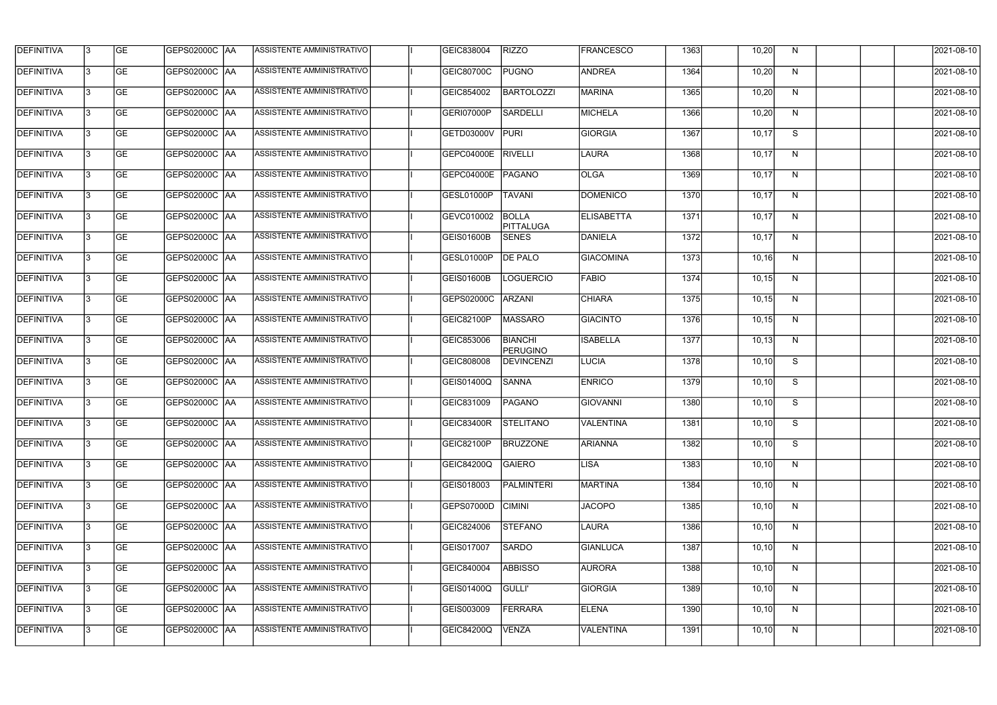| <b>GE</b><br><b>PUGNO</b><br><b>ANDREA</b><br>DEFINITIVA<br>l3<br>GEPS02000C  AA<br>ASSISTENTE AMMINISTRATIVO<br>GEIC80700C<br>1364<br>10,20<br>N<br><b>DEFINITIVA</b><br><b>GEPS02000C AA</b><br>ASSISTENTE AMMINISTRATIVO<br><b>BARTOLOZZI</b><br><b>MARINA</b><br>l3<br><b>GE</b><br>1365<br>10,20<br>N<br>GEIC854002<br><b>DEFINITIVA</b><br><b>GEPS02000C AA</b><br><b>SARDELLI</b><br><b>MICHELA</b><br>l3<br><b>GE</b><br>ASSISTENTE AMMINISTRATIVO<br>GERI07000P<br>1366<br>10,20<br>N<br>$\overline{s}$<br><b>GEPS02000C AA</b><br>ASSISTENTE AMMINISTRATIVO<br><b>PURI</b><br><b>GIORGIA</b><br><b>GE</b><br>GETD03000V<br>1367<br>10,17<br>l3<br><b>ASSISTENTE AMMINISTRATIVO</b><br><b>GE</b><br><b>GEPS02000C AA</b><br>GEPC04000E<br><b>RIVELLI</b><br><b>LAURA</b><br>1368<br>10, 17<br>N<br>IЗ<br>ASSISTENTE AMMINISTRATIVO<br><b>GE</b><br><b>GEPS02000C AA</b><br>GEPC04000E<br>PAGANO<br><b>OLGA</b><br>1369<br>10,17<br>N<br>l3<br><b>DEFINITIVA</b><br><b>GE</b><br><b>GEPS02000C AA</b><br>ASSISTENTE AMMINISTRATIVO<br><b>TAVANI</b><br><b>DOMENICO</b><br>GESL01000P<br>1370<br>l3<br>10,17<br>N<br><b>DEFINITIVA</b><br><b>GE</b><br>ASSISTENTE AMMINISTRATIVO<br><b>BOLLA</b><br>GEPS02000C AA<br>GEVC010002<br><b>ELISABETTA</b><br>1371<br>10,17<br>N<br>PITTALUGA<br><b>DEFINITIVA</b><br><b>GE</b><br>ASSISTENTE AMMINISTRATIVO<br>GEIS01600B<br>DANIELA<br>1372<br>10,17<br>l3<br><b>SENES</b><br>N<br><b>DEFINITIVA</b><br>GEPS02000C AA<br>ASSISTENTE AMMINISTRATIVO<br><b>DE PALO</b><br><b>GIACOMINA</b><br><b>GE</b><br>GESL01000P<br>1373<br>10,16<br>13<br>N<br><b>DEFINITIVA</b><br>ASSISTENTE AMMINISTRATIVO<br>l3<br><b>GE</b><br>GEIS01600B<br><b>LOGUERCIO</b><br><b>FABIO</b><br>1374<br>10,15<br>$\mathsf{N}$<br><b>GE</b><br><b>GEPS02000C   AA</b><br>ASSISTENTE AMMINISTRATIVO<br><b>ARZANI</b><br><b>CHIARA</b><br>N<br>GEPS02000C<br>1375<br>10, 15<br>l3<br><b>GE</b><br>GEPS02000C  AA<br>ASSISTENTE AMMINISTRATIVO<br><b>MASSARO</b><br>GIACINTO<br>1376<br>l3<br>GEIC82100P<br>10, 15<br>N<br><b>DEFINITIVA</b><br><b>BIANCHI</b><br><b>ISABELLA</b><br><b>GE</b><br>ASSISTENTE AMMINISTRATIVO<br>1377<br>GEIC853006<br>10, 13<br>N<br>l3<br><b>PERUGINO</b><br><b>DEFINITIVA</b><br><b>GE</b><br>ASSISTENTE AMMINISTRATIVO<br><b>DEVINCENZI</b><br>LUCIA<br>1378<br>S<br>IЗ<br>GEIC808008<br>10, 10<br><b>GE</b><br>ASSISTENTE AMMINISTRATIVO<br><b>SANNA</b><br><b>ENRICO</b><br>S<br> GEPS02000C  AA<br>GEIS01400Q<br>1379<br>10, 10<br>I3<br><b>DEFINITIVA</b><br><b>GE</b><br>ASSISTENTE AMMINISTRATIVO<br><b>PAGANO</b><br>1380<br>S<br> GEPS02000C  AA<br>GEIC831009<br>GIOVANNI<br>10, 10<br>13<br><b>GE</b><br><b>GEPS02000C   AA</b><br>ASSISTENTE AMMINISTRATIVO<br>GEIC83400R STELITANO<br>VALENTINA<br>1381<br>10, 10<br>S.<br><b>GEPS02000C AA</b><br>13<br><b>GE</b><br>ASSISTENTE AMMINISTRATIVO  <br>GEIC82100P<br><b>BRUZZONE</b><br>ARIANNA<br>1382<br>10, 10<br>S<br>13<br><b>GE</b><br> GEPS02000C  AA<br>ASSISTENTE AMMINISTRATIVO<br><b>GAIERO</b><br><b>GEIC84200Q</b><br>LISA<br>1383<br>10, 10<br>N<br><b>GE</b><br><b>GEPS02000C AA</b><br>ASSISTENTE AMMINISTRATIVO<br><b>MARTINA</b><br>13<br>GEIS018003<br><b>PALMINTERI</b><br>1384<br>10, 10<br>N | 2021-08-10<br>2021-08-10<br>2021-08-10<br>2021-08-10<br>2021-08-10 |
|-----------------------------------------------------------------------------------------------------------------------------------------------------------------------------------------------------------------------------------------------------------------------------------------------------------------------------------------------------------------------------------------------------------------------------------------------------------------------------------------------------------------------------------------------------------------------------------------------------------------------------------------------------------------------------------------------------------------------------------------------------------------------------------------------------------------------------------------------------------------------------------------------------------------------------------------------------------------------------------------------------------------------------------------------------------------------------------------------------------------------------------------------------------------------------------------------------------------------------------------------------------------------------------------------------------------------------------------------------------------------------------------------------------------------------------------------------------------------------------------------------------------------------------------------------------------------------------------------------------------------------------------------------------------------------------------------------------------------------------------------------------------------------------------------------------------------------------------------------------------------------------------------------------------------------------------------------------------------------------------------------------------------------------------------------------------------------------------------------------------------------------------------------------------------------------------------------------------------------------------------------------------------------------------------------------------------------------------------------------------------------------------------------------------------------------------------------------------------------------------------------------------------------------------------------------------------------------------------------------------------------------------------------------------------------------------------------------------------------------------------------------------------------------------------------------------------------------------------------------------------------------------------------------------------------------------------------------------------------------------------------------------------------------------------------------------------------------------------------------------------------------------------------------------------------------------------------------------------------------------|--------------------------------------------------------------------|
| <b>DEFINITIVA</b><br><b>DEFINITIVA</b><br><b>DEFINITIVA</b>                                                                                                                                                                                                                                                                                                                                                                                                                                                                                                                                                                                                                                                                                                                                                                                                                                                                                                                                                                                                                                                                                                                                                                                                                                                                                                                                                                                                                                                                                                                                                                                                                                                                                                                                                                                                                                                                                                                                                                                                                                                                                                                                                                                                                                                                                                                                                                                                                                                                                                                                                                                                                                                                                                                                                                                                                                                                                                                                                                                                                                                                                                                                                                             |                                                                    |
|                                                                                                                                                                                                                                                                                                                                                                                                                                                                                                                                                                                                                                                                                                                                                                                                                                                                                                                                                                                                                                                                                                                                                                                                                                                                                                                                                                                                                                                                                                                                                                                                                                                                                                                                                                                                                                                                                                                                                                                                                                                                                                                                                                                                                                                                                                                                                                                                                                                                                                                                                                                                                                                                                                                                                                                                                                                                                                                                                                                                                                                                                                                                                                                                                                         |                                                                    |
|                                                                                                                                                                                                                                                                                                                                                                                                                                                                                                                                                                                                                                                                                                                                                                                                                                                                                                                                                                                                                                                                                                                                                                                                                                                                                                                                                                                                                                                                                                                                                                                                                                                                                                                                                                                                                                                                                                                                                                                                                                                                                                                                                                                                                                                                                                                                                                                                                                                                                                                                                                                                                                                                                                                                                                                                                                                                                                                                                                                                                                                                                                                                                                                                                                         |                                                                    |
| <b>DEFINITIVA</b><br><b>DEFINITIVA</b><br><b>DEFINITIVA</b><br><b>DEFINITIVA</b><br><b>DEFINITIVA</b><br><b>DEFINITIVA</b><br><b>DEFINITIVA</b>                                                                                                                                                                                                                                                                                                                                                                                                                                                                                                                                                                                                                                                                                                                                                                                                                                                                                                                                                                                                                                                                                                                                                                                                                                                                                                                                                                                                                                                                                                                                                                                                                                                                                                                                                                                                                                                                                                                                                                                                                                                                                                                                                                                                                                                                                                                                                                                                                                                                                                                                                                                                                                                                                                                                                                                                                                                                                                                                                                                                                                                                                         |                                                                    |
|                                                                                                                                                                                                                                                                                                                                                                                                                                                                                                                                                                                                                                                                                                                                                                                                                                                                                                                                                                                                                                                                                                                                                                                                                                                                                                                                                                                                                                                                                                                                                                                                                                                                                                                                                                                                                                                                                                                                                                                                                                                                                                                                                                                                                                                                                                                                                                                                                                                                                                                                                                                                                                                                                                                                                                                                                                                                                                                                                                                                                                                                                                                                                                                                                                         |                                                                    |
|                                                                                                                                                                                                                                                                                                                                                                                                                                                                                                                                                                                                                                                                                                                                                                                                                                                                                                                                                                                                                                                                                                                                                                                                                                                                                                                                                                                                                                                                                                                                                                                                                                                                                                                                                                                                                                                                                                                                                                                                                                                                                                                                                                                                                                                                                                                                                                                                                                                                                                                                                                                                                                                                                                                                                                                                                                                                                                                                                                                                                                                                                                                                                                                                                                         | 2021-08-10                                                         |
|                                                                                                                                                                                                                                                                                                                                                                                                                                                                                                                                                                                                                                                                                                                                                                                                                                                                                                                                                                                                                                                                                                                                                                                                                                                                                                                                                                                                                                                                                                                                                                                                                                                                                                                                                                                                                                                                                                                                                                                                                                                                                                                                                                                                                                                                                                                                                                                                                                                                                                                                                                                                                                                                                                                                                                                                                                                                                                                                                                                                                                                                                                                                                                                                                                         | 2021-08-10                                                         |
|                                                                                                                                                                                                                                                                                                                                                                                                                                                                                                                                                                                                                                                                                                                                                                                                                                                                                                                                                                                                                                                                                                                                                                                                                                                                                                                                                                                                                                                                                                                                                                                                                                                                                                                                                                                                                                                                                                                                                                                                                                                                                                                                                                                                                                                                                                                                                                                                                                                                                                                                                                                                                                                                                                                                                                                                                                                                                                                                                                                                                                                                                                                                                                                                                                         | 2021-08-10                                                         |
|                                                                                                                                                                                                                                                                                                                                                                                                                                                                                                                                                                                                                                                                                                                                                                                                                                                                                                                                                                                                                                                                                                                                                                                                                                                                                                                                                                                                                                                                                                                                                                                                                                                                                                                                                                                                                                                                                                                                                                                                                                                                                                                                                                                                                                                                                                                                                                                                                                                                                                                                                                                                                                                                                                                                                                                                                                                                                                                                                                                                                                                                                                                                                                                                                                         | 2021-08-10                                                         |
|                                                                                                                                                                                                                                                                                                                                                                                                                                                                                                                                                                                                                                                                                                                                                                                                                                                                                                                                                                                                                                                                                                                                                                                                                                                                                                                                                                                                                                                                                                                                                                                                                                                                                                                                                                                                                                                                                                                                                                                                                                                                                                                                                                                                                                                                                                                                                                                                                                                                                                                                                                                                                                                                                                                                                                                                                                                                                                                                                                                                                                                                                                                                                                                                                                         | 2021-08-10                                                         |
|                                                                                                                                                                                                                                                                                                                                                                                                                                                                                                                                                                                                                                                                                                                                                                                                                                                                                                                                                                                                                                                                                                                                                                                                                                                                                                                                                                                                                                                                                                                                                                                                                                                                                                                                                                                                                                                                                                                                                                                                                                                                                                                                                                                                                                                                                                                                                                                                                                                                                                                                                                                                                                                                                                                                                                                                                                                                                                                                                                                                                                                                                                                                                                                                                                         | 2021-08-10                                                         |
|                                                                                                                                                                                                                                                                                                                                                                                                                                                                                                                                                                                                                                                                                                                                                                                                                                                                                                                                                                                                                                                                                                                                                                                                                                                                                                                                                                                                                                                                                                                                                                                                                                                                                                                                                                                                                                                                                                                                                                                                                                                                                                                                                                                                                                                                                                                                                                                                                                                                                                                                                                                                                                                                                                                                                                                                                                                                                                                                                                                                                                                                                                                                                                                                                                         | 2021-08-10                                                         |
|                                                                                                                                                                                                                                                                                                                                                                                                                                                                                                                                                                                                                                                                                                                                                                                                                                                                                                                                                                                                                                                                                                                                                                                                                                                                                                                                                                                                                                                                                                                                                                                                                                                                                                                                                                                                                                                                                                                                                                                                                                                                                                                                                                                                                                                                                                                                                                                                                                                                                                                                                                                                                                                                                                                                                                                                                                                                                                                                                                                                                                                                                                                                                                                                                                         | 2021-08-10                                                         |
|                                                                                                                                                                                                                                                                                                                                                                                                                                                                                                                                                                                                                                                                                                                                                                                                                                                                                                                                                                                                                                                                                                                                                                                                                                                                                                                                                                                                                                                                                                                                                                                                                                                                                                                                                                                                                                                                                                                                                                                                                                                                                                                                                                                                                                                                                                                                                                                                                                                                                                                                                                                                                                                                                                                                                                                                                                                                                                                                                                                                                                                                                                                                                                                                                                         | 2021-08-10                                                         |
|                                                                                                                                                                                                                                                                                                                                                                                                                                                                                                                                                                                                                                                                                                                                                                                                                                                                                                                                                                                                                                                                                                                                                                                                                                                                                                                                                                                                                                                                                                                                                                                                                                                                                                                                                                                                                                                                                                                                                                                                                                                                                                                                                                                                                                                                                                                                                                                                                                                                                                                                                                                                                                                                                                                                                                                                                                                                                                                                                                                                                                                                                                                                                                                                                                         | 2021-08-10                                                         |
|                                                                                                                                                                                                                                                                                                                                                                                                                                                                                                                                                                                                                                                                                                                                                                                                                                                                                                                                                                                                                                                                                                                                                                                                                                                                                                                                                                                                                                                                                                                                                                                                                                                                                                                                                                                                                                                                                                                                                                                                                                                                                                                                                                                                                                                                                                                                                                                                                                                                                                                                                                                                                                                                                                                                                                                                                                                                                                                                                                                                                                                                                                                                                                                                                                         | 2021-08-10                                                         |
|                                                                                                                                                                                                                                                                                                                                                                                                                                                                                                                                                                                                                                                                                                                                                                                                                                                                                                                                                                                                                                                                                                                                                                                                                                                                                                                                                                                                                                                                                                                                                                                                                                                                                                                                                                                                                                                                                                                                                                                                                                                                                                                                                                                                                                                                                                                                                                                                                                                                                                                                                                                                                                                                                                                                                                                                                                                                                                                                                                                                                                                                                                                                                                                                                                         | 2021-08-10                                                         |
|                                                                                                                                                                                                                                                                                                                                                                                                                                                                                                                                                                                                                                                                                                                                                                                                                                                                                                                                                                                                                                                                                                                                                                                                                                                                                                                                                                                                                                                                                                                                                                                                                                                                                                                                                                                                                                                                                                                                                                                                                                                                                                                                                                                                                                                                                                                                                                                                                                                                                                                                                                                                                                                                                                                                                                                                                                                                                                                                                                                                                                                                                                                                                                                                                                         | 2021-08-10                                                         |
|                                                                                                                                                                                                                                                                                                                                                                                                                                                                                                                                                                                                                                                                                                                                                                                                                                                                                                                                                                                                                                                                                                                                                                                                                                                                                                                                                                                                                                                                                                                                                                                                                                                                                                                                                                                                                                                                                                                                                                                                                                                                                                                                                                                                                                                                                                                                                                                                                                                                                                                                                                                                                                                                                                                                                                                                                                                                                                                                                                                                                                                                                                                                                                                                                                         | 2021-08-10                                                         |
|                                                                                                                                                                                                                                                                                                                                                                                                                                                                                                                                                                                                                                                                                                                                                                                                                                                                                                                                                                                                                                                                                                                                                                                                                                                                                                                                                                                                                                                                                                                                                                                                                                                                                                                                                                                                                                                                                                                                                                                                                                                                                                                                                                                                                                                                                                                                                                                                                                                                                                                                                                                                                                                                                                                                                                                                                                                                                                                                                                                                                                                                                                                                                                                                                                         | 2021-08-10                                                         |
|                                                                                                                                                                                                                                                                                                                                                                                                                                                                                                                                                                                                                                                                                                                                                                                                                                                                                                                                                                                                                                                                                                                                                                                                                                                                                                                                                                                                                                                                                                                                                                                                                                                                                                                                                                                                                                                                                                                                                                                                                                                                                                                                                                                                                                                                                                                                                                                                                                                                                                                                                                                                                                                                                                                                                                                                                                                                                                                                                                                                                                                                                                                                                                                                                                         | 2021-08-10                                                         |
| <b>DEFINITIVA</b><br>13<br><b>GE</b><br>GEPS02000C AA<br>ASSISTENTE AMMINISTRATIVO<br><b>JACOPO</b><br>GEPS07000D<br><b>CIMINI</b><br>1385<br>10, 10<br>N                                                                                                                                                                                                                                                                                                                                                                                                                                                                                                                                                                                                                                                                                                                                                                                                                                                                                                                                                                                                                                                                                                                                                                                                                                                                                                                                                                                                                                                                                                                                                                                                                                                                                                                                                                                                                                                                                                                                                                                                                                                                                                                                                                                                                                                                                                                                                                                                                                                                                                                                                                                                                                                                                                                                                                                                                                                                                                                                                                                                                                                                               | 2021-08-10                                                         |
| <b>DEFINITIVA</b><br><b>GE</b><br>ASSISTENTE AMMINISTRATIVO<br>13<br>GEPS02000C  AA<br><b>STEFANO</b><br>LAURA<br>1386<br>GEIC824006<br>10, 10<br>N                                                                                                                                                                                                                                                                                                                                                                                                                                                                                                                                                                                                                                                                                                                                                                                                                                                                                                                                                                                                                                                                                                                                                                                                                                                                                                                                                                                                                                                                                                                                                                                                                                                                                                                                                                                                                                                                                                                                                                                                                                                                                                                                                                                                                                                                                                                                                                                                                                                                                                                                                                                                                                                                                                                                                                                                                                                                                                                                                                                                                                                                                     | 2021-08-10                                                         |
| <b>DEFINITIVA</b><br><b>GE</b><br>GEPS02000C  AA<br>ASSISTENTE AMMINISTRATIVO<br>SARDO<br><b>GIANLUCA</b><br>IЗ<br>GEIS017007<br>1387<br>10, 10<br>N                                                                                                                                                                                                                                                                                                                                                                                                                                                                                                                                                                                                                                                                                                                                                                                                                                                                                                                                                                                                                                                                                                                                                                                                                                                                                                                                                                                                                                                                                                                                                                                                                                                                                                                                                                                                                                                                                                                                                                                                                                                                                                                                                                                                                                                                                                                                                                                                                                                                                                                                                                                                                                                                                                                                                                                                                                                                                                                                                                                                                                                                                    | 2021-08-10                                                         |
| <b>GE</b><br>ASSISTENTE AMMINISTRATIVO<br><b>ABBISSO</b><br><b>AURORA</b><br>DEFINITIVA<br>GEPS02000C  AA<br>GEIC840004<br>1388<br>10, 10<br>N<br>IЗ                                                                                                                                                                                                                                                                                                                                                                                                                                                                                                                                                                                                                                                                                                                                                                                                                                                                                                                                                                                                                                                                                                                                                                                                                                                                                                                                                                                                                                                                                                                                                                                                                                                                                                                                                                                                                                                                                                                                                                                                                                                                                                                                                                                                                                                                                                                                                                                                                                                                                                                                                                                                                                                                                                                                                                                                                                                                                                                                                                                                                                                                                    | 2021-08-10                                                         |
| <b>DEFINITIVA</b><br><b>GE</b><br>ASSISTENTE AMMINISTRATIVO<br>l3<br>GEPS02000C  AA<br>GULLI'<br><b>GIORGIA</b><br>1389<br>GEIS01400Q<br>10, 10<br>N                                                                                                                                                                                                                                                                                                                                                                                                                                                                                                                                                                                                                                                                                                                                                                                                                                                                                                                                                                                                                                                                                                                                                                                                                                                                                                                                                                                                                                                                                                                                                                                                                                                                                                                                                                                                                                                                                                                                                                                                                                                                                                                                                                                                                                                                                                                                                                                                                                                                                                                                                                                                                                                                                                                                                                                                                                                                                                                                                                                                                                                                                    | 2021-08-10                                                         |
| <b>DEFINITIVA</b><br>ASSISTENTE AMMINISTRATIVO<br>13.<br><b>GE</b><br>GEPS02000C  AA<br>GEIS003009<br><b>FERRARA</b><br><b>ELENA</b><br>1390<br>10, 10<br>N                                                                                                                                                                                                                                                                                                                                                                                                                                                                                                                                                                                                                                                                                                                                                                                                                                                                                                                                                                                                                                                                                                                                                                                                                                                                                                                                                                                                                                                                                                                                                                                                                                                                                                                                                                                                                                                                                                                                                                                                                                                                                                                                                                                                                                                                                                                                                                                                                                                                                                                                                                                                                                                                                                                                                                                                                                                                                                                                                                                                                                                                             | 2021-08-10                                                         |
| <b>DEFINITIVA</b><br>ASSISTENTE AMMINISTRATIVO<br><b>VENZA</b><br><b>VALENTINA</b><br><b>GE</b><br>GEPS02000C  AA<br>GEIC84200Q<br>1391<br>IЗ<br>10, 10<br>N                                                                                                                                                                                                                                                                                                                                                                                                                                                                                                                                                                                                                                                                                                                                                                                                                                                                                                                                                                                                                                                                                                                                                                                                                                                                                                                                                                                                                                                                                                                                                                                                                                                                                                                                                                                                                                                                                                                                                                                                                                                                                                                                                                                                                                                                                                                                                                                                                                                                                                                                                                                                                                                                                                                                                                                                                                                                                                                                                                                                                                                                            | 2021-08-10                                                         |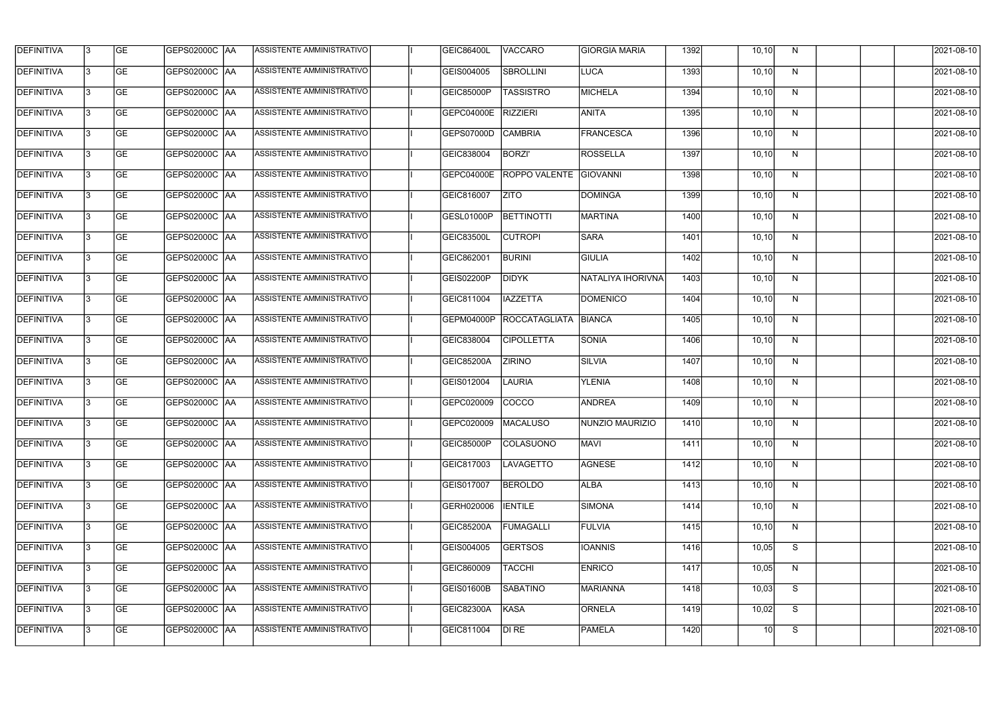| <b>DEFINITIVA</b> | l3 | GE                       | <b>GEPS02000C AA</b> | ASSISTENTE AMMINISTRATIVO        | <b>GEIC86400L</b>    | <b>VACCARO</b>         | <b>GIORGIA MARIA</b> | 1392 | 10, 10 | N  | 2021-08-10          |
|-------------------|----|--------------------------|----------------------|----------------------------------|----------------------|------------------------|----------------------|------|--------|----|---------------------|
| <b>DEFINITIVA</b> | IЗ | $\overline{\mathsf{GE}}$ | GEPS02000C AA        | <b>ASSISTENTE AMMINISTRATIVO</b> | GEIS004005           | <b>SBROLLINI</b>       | LUCA                 | 1393 | 10, 10 | N  | 2021-08-10          |
| <b>DEFINITIVA</b> | l3 | GE                       | GEPS02000C AA        | ASSISTENTE AMMINISTRATIVO        | <b>GEIC85000P</b>    | <b>TASSISTRO</b>       | MICHELA              | 1394 | 10, 10 | N  | 2021-08-10          |
| <b>DEFINITIVA</b> | l3 | GE                       | GEPS02000C   AA      | ASSISTENTE AMMINISTRATIVO        | <b>GEPC04000E</b>    | <b>RIZZIERI</b>        | <b>ANITA</b>         | 1395 | 10, 10 | N  | 2021-08-10          |
| <b>DEFINITIVA</b> | l3 | <b>GE</b>                | <b>GEPS02000C AA</b> | ASSISTENTE AMMINISTRATIVO        | GEPS07000D           | <b>CAMBRIA</b>         | FRANCESCA            | 1396 | 10, 10 | N  | 2021-08-10          |
| <b>DEFINITIVA</b> | IЗ | <b>GE</b>                | GEPS02000C AA        | <b>ASSISTENTE AMMINISTRATIVO</b> | GEIC838004           | <b>BORZI'</b>          | ROSSELLA             | 1397 | 10, 10 | N  | 2021-08-10          |
| <b>DEFINITIVA</b> | l3 | <b>GE</b>                | GEPS02000C AA        | ASSISTENTE AMMINISTRATIVO        | GEPC04000E           | ROPPO VALENTE GIOVANNI |                      | 1398 | 10, 10 | N  | 2021-08-10          |
| <b>DEFINITIVA</b> | l3 | <b>GE</b>                | GEPS02000C   AA      | ASSISTENTE AMMINISTRATIVO        | GEIC816007           | <b>ZITO</b>            | <b>DOMINGA</b>       | 1399 | 10, 10 | N  | 2021-08-10          |
| <b>DEFINITIVA</b> | IЗ | <b>GE</b>                | GEPS02000C   AA      | ASSISTENTE AMMINISTRATIVO        | GESL01000P           | BETTINOTTI             | <b>MARTINA</b>       | 1400 | 10, 10 | N  | 2021-08-10          |
| <b>DEFINITIVA</b> | IЗ | GE                       | GEPS02000C AA        | ASSISTENTE AMMINISTRATIVO        | GEIC83500L           | <b>CUTROPI</b>         | <b>SARA</b>          | 1401 | 10, 10 | N  | 2021-08-10          |
| <b>DEFINITIVA</b> | l3 | GE                       | GEPS02000C AA        | <b>ASSISTENTE AMMINISTRATIVO</b> | GEIC862001           | <b>BURINI</b>          | <b>GIULIA</b>        | 1402 | 10, 10 | N  | 2021-08-10          |
| <b>DEFINITIVA</b> | l3 | GE                       | GEPS02000C   AA      | ASSISTENTE AMMINISTRATIVO        | GEIS02200P           | <b>DIDYK</b>           | NATALIYA IHORIVNA    | 1403 | 10, 10 | N  | 2021-08-10          |
| <b>DEFINITIVA</b> | l3 | <b>GE</b>                | GEPS02000C   AA      | ASSISTENTE AMMINISTRATIVO        | GEIC811004           | <b>IAZZETTA</b>        | DOMENICO             | 1404 | 10, 10 | N  | 2021-08-10          |
| <b>DEFINITIVA</b> | IЗ | <b>GE</b>                | GEPS02000C AA        | ASSISTENTE AMMINISTRATIVO        | GEPM04000P           | ROCCATAGLIATA          | BIANCA               | 1405 | 10, 10 | N  | 2021-08-10          |
| <b>DEFINITIVA</b> | 13 | GE                       | GEPS02000C AA        | ASSISTENTE AMMINISTRATIVO        | GEIC838004           | <b>CIPOLLETTA</b>      | <b>SONIA</b>         | 1406 | 10, 10 | N  | 2021-08-10          |
| <b>DEFINITIVA</b> | l3 | <b>GE</b>                | GEPS02000C  AA       | ASSISTENTE AMMINISTRATIVO        | <b>GEIC85200A</b>    | <b>ZIRINO</b>          | <b>SILVIA</b>        | 1407 | 10, 10 | N  | 2021-08-10          |
| <b>DEFINITIVA</b> | IЗ | GE                       | GEPS02000C  AA       | ASSISTENTE AMMINISTRATIVO        | GEIS012004           | <b>LAURIA</b>          | <b>YLENIA</b>        | 1408 | 10, 10 | N  | 2021-08-10          |
| <b>DEFINITIVA</b> | l3 | GE                       | GEPS02000C   AA      | ASSISTENTE AMMINISTRATIVO        | GEPC020009           | <b>COCCO</b>           | <b>ANDREA</b>        | 1409 | 10, 10 | N  | 2021-08-10          |
| DEFINITIVA        | 13 | <b>GE</b>                | GEPS02000C  AA       | ASSISTENTE AMMINISTRATIVO        | GEPC020009  MACALUSO |                        | NUNZIO MAURIZIO      | 1410 | 10, 10 | N, | 2021-08-10          |
| <b>DEFINITIVA</b> | l3 | GE                       | <b>GEPS02000C AA</b> | ASSISTENTE AMMINISTRATIVO        | <b>GEIC85000P</b>    | <b>COLASUONO</b>       | <b>MAVI</b>          | 1411 | 10, 10 | N  | 2021-08-10          |
| <b>DEFINITIVA</b> | 13 | GE                       |                      | ASSISTENTE AMMINISTRATIVO        | GEIC817003           | LAVAGETTO              | <b>AGNESE</b>        | 1412 | 10, 10 | N  | 2021-08-10          |
| <b>DEFINITIVA</b> | l3 | GE                       | GEPS02000C AA        | ASSISTENTE AMMINISTRATIVO        | GEIS017007           | <b>BEROLDO</b>         | <b>ALBA</b>          | 1413 | 10, 10 | N  | 2021-08-10          |
| <b>DEFINITIVA</b> | 13 | GE                       | GEPS02000C AA        | ASSISTENTE AMMINISTRATIVO        | GERH020006           | <b>IENTILE</b>         | SIMONA               | 1414 | 10, 10 | N  | 2021-08-10          |
| <b>DEFINITIVA</b> | 13 | <b>GE</b>                | GEPS02000C  AA       | ASSISTENTE AMMINISTRATIVO        | GEIC85200A           | <b>FUMAGALLI</b>       | FULVIA               | 1415 | 10, 10 | N  | 2021-08-10          |
| <b>DEFINITIVA</b> | l3 | <b>GE</b>                | GEPS02000C  AA       | ASSISTENTE AMMINISTRATIVO        | GEIS004005           | <b>GERTSOS</b>         | <b>IOANNIS</b>       | 1416 | 10,05  | S  | 2021-08-10          |
| <b>DEFINITIVA</b> | l3 | <b>GE</b>                | GEPS02000C AA        | ASSISTENTE AMMINISTRATIVO        | GEIC860009           | <b>TACCHI</b>          | <b>ENRICO</b>        | 1417 | 10,05  | N  | 2021-08-10          |
| <b>DEFINITIVA</b> | l3 | <b>GE</b>                | GEPS02000C AA        | ASSISTENTE AMMINISTRATIVO        | <b>GEIS01600B</b>    | <b>SABATINO</b>        | <b>MARIANNA</b>      | 1418 | 10,03  | S  | 2021-08-10          |
| <b>DEFINITIVA</b> | 13 | GE                       | GEPS02000C AA        | ASSISTENTE AMMINISTRATIVO        | GEIC82300A           | KASA                   | <b>ORNELA</b>        | 1419 | 10,02  | S  | 2021-08-10          |
| <b>DEFINITIVA</b> | l3 | GE                       | GEPS02000C AA        | ASSISTENTE AMMINISTRATIVO        | GEIC811004           | DI RE                  | <b>PAMELA</b>        | 1420 | 10     | S  | $\sqrt{2021-08-10}$ |
|                   |    |                          |                      |                                  |                      |                        |                      |      |        |    |                     |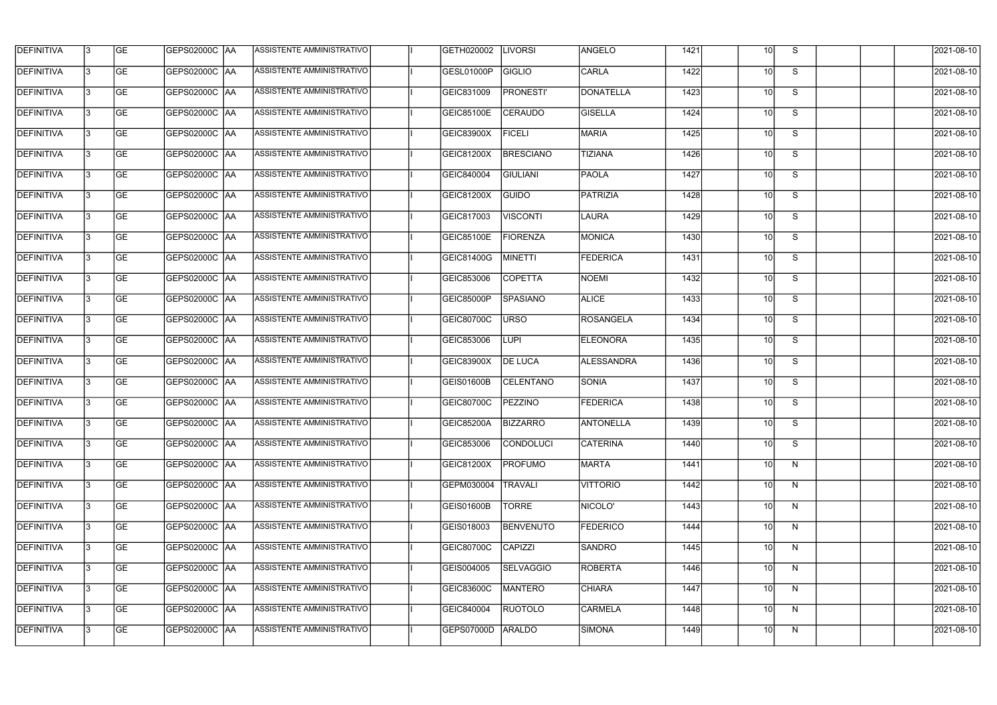| <b>DEFINITIVA</b> | 13  | <b>GE</b> | GEPS02000C  AA       | ASSISTENTE AMMINISTRATIVO        | GETH020002        | <b>LIVORSI</b>   | <b>ANGELO</b>     | 1421 | 10 <sup>1</sup> | S. | 2021-08-10 |
|-------------------|-----|-----------|----------------------|----------------------------------|-------------------|------------------|-------------------|------|-----------------|----|------------|
| DEFINITIVA        | l3  | <b>GE</b> | GEPS02000C  AA       | ASSISTENTE AMMINISTRATIVO        | GESL01000P        | GIGLIO           | <b>CARLA</b>      | 1422 | 10 <sup>1</sup> | S  | 2021-08-10 |
| <b>DEFINITIVA</b> | l3  | <b>GE</b> | <b>GEPS02000C AA</b> | ASSISTENTE AMMINISTRATIVO        | GEIC831009        | <b>PRONESTI'</b> | DONATELLA         | 1423 | 10 <sup>1</sup> | S  | 2021-08-10 |
| <b>DEFINITIVA</b> | 13  | <b>GE</b> | <b>GEPS02000C AA</b> | ASSISTENTE AMMINISTRATIVO        | GEIC85100E        | <b>CERAUDO</b>   | <b>GISELLA</b>    | 1424 | 10 <sup>1</sup> | S  | 2021-08-10 |
| <b>DEFINITIVA</b> | l3  | <b>GE</b> | GEPS02000C  AA       | ASSISTENTE AMMINISTRATIVO        | <b>GEIC83900X</b> | <b>FICELI</b>    | <b>MARIA</b>      | 1425 | 10 <sup>1</sup> | S  | 2021-08-10 |
| <b>DEFINITIVA</b> | IЗ  | <b>GE</b> | <b>GEPS02000C AA</b> | ASSISTENTE AMMINISTRATIVO        | GEIC81200X        | <b>BRESCIANO</b> | <b>TIZIANA</b>    | 1426 | 10 <sup>1</sup> | S  | 2021-08-10 |
| <b>DEFINITIVA</b> | l3  | <b>GE</b> | <b>GEPS02000C AA</b> | <b>ASSISTENTE AMMINISTRATIVO</b> | GEIC840004        | <b>GIULIANI</b>  | PAOLA             | 1427 | 10 <sup>1</sup> | S  | 2021-08-10 |
| <b>DEFINITIVA</b> | l3  | <b>GE</b> | GEPS02000C AA        | ASSISTENTE AMMINISTRATIVO        | GEIC81200X        | <b>GUIDO</b>     | PATRIZIA          | 1428 | 10 <sup>1</sup> | S  | 2021-08-10 |
| <b>DEFINITIVA</b> | l3  | <b>GE</b> | GEPS02000C  AA       | ASSISTENTE AMMINISTRATIVO        | GEIC817003        | <b>VISCONTI</b>  | LAURA             | 1429 | 10 <sup>1</sup> | S  | 2021-08-10 |
| <b>DEFINITIVA</b> | l3  | <b>GE</b> | GEPS02000C AA        | ASSISTENTE AMMINISTRATIVO        | <b>GEIC85100E</b> | <b>FIORENZA</b>  | <b>MONICA</b>     | 1430 | 10 <sup>1</sup> | S  | 2021-08-10 |
| <b>DEFINITIVA</b> | l3  | <b>GE</b> | GEPS02000C AA        | ASSISTENTE AMMINISTRATIVO        | GEIC81400G        | MINETTI          | <b>FEDERICA</b>   | 1431 | 10 <sup>1</sup> | S  | 2021-08-10 |
| <b>DEFINITIVA</b> | 13  | <b>GE</b> |                      | ASSISTENTE AMMINISTRATIVO        | GEIC853006        | <b>COPETTA</b>   | <b>NOEMI</b>      | 1432 | 10 <sup>1</sup> | S  | 2021-08-10 |
| <b>DEFINITIVA</b> | l3  | <b>GE</b> | GEPS02000C  AA       | ASSISTENTE AMMINISTRATIVO        | GEIC85000P        | <b>SPASIANO</b>  | <b>ALICE</b>      | 1433 | 10 <sup>1</sup> | S  | 2021-08-10 |
| <b>DEFINITIVA</b> | l3  | <b>GE</b> | GEPS02000C AA        | ASSISTENTE AMMINISTRATIVO        | GEIC80700C        | <b>URSO</b>      | <b>ROSANGELA</b>  | 1434 | 10 <sup>1</sup> | S  | 2021-08-10 |
| <b>DEFINITIVA</b> | l3  | <b>GE</b> | GEPS02000C  AA       | ASSISTENTE AMMINISTRATIVO        | GEIC853006        | <b>LUPI</b>      | <b>ELEONORA</b>   | 1435 | 10 <sup>1</sup> | S  | 2021-08-10 |
| <b>DEFINITIVA</b> | IЗ  | <b>GE</b> | GEPS02000C  AA       | ASSISTENTE AMMINISTRATIVO        | GEIC83900X        | <b>DE LUCA</b>   | <b>ALESSANDRA</b> | 1436 | 10 <sup>1</sup> | S  | 2021-08-10 |
| <b>DEFINITIVA</b> | l3  | <b>GE</b> | GEPS02000C  AA       | ASSISTENTE AMMINISTRATIVO        | <b>GEIS01600B</b> | <b>CELENTANO</b> | <b>SONIA</b>      | 1437 | 10I             | S  | 2021-08-10 |
| <b>DEFINITIVA</b> |     | <b>GE</b> | GEPS02000C  AA       | <b>ASSISTENTE AMMINISTRATIVO</b> | GEIC80700C        | <b>PEZZINO</b>   | <b>FEDERICA</b>   | 1438 | 10 <sup>1</sup> | S  | 2021-08-10 |
| <b>DEFINITIVA</b> | IЗ  | GE        | GEPS02000C  AA       | <b>ASSISTENTE AMMINISTRATIVO</b> | <b>GEIC85200A</b> | <b>BIZZARRO</b>  | <b>ANTONELLA</b>  | 1439 | 10I             | S. | 2021-08-10 |
| <b>DEFINITIVA</b> | 13. | <b>GE</b> | <b>GEPS02000C AA</b> | ASSISTENTE AMMINISTRATIVO        | GEIC853006        | <b>CONDOLUCI</b> | <b>CATERINA</b>   | 1440 | 10 <sup>1</sup> | S  | 2021-08-10 |
| <b>DEFINITIVA</b> | 13. | <b>GE</b> | <b>GEPS02000C AA</b> | ASSISTENTE AMMINISTRATIVO        | <b>GEIC81200X</b> | <b>PROFUMO</b>   | <b>MARTA</b>      | 1441 | 10 <sup>1</sup> | N  | 2021-08-10 |
| <b>DEFINITIVA</b> | 13. | <b>GE</b> | <b>GEPS02000C AA</b> | ASSISTENTE AMMINISTRATIVO        | GEPM030004        | <b>TRAVALI</b>   | <b>VITTORIO</b>   | 1442 | 10 <sup>1</sup> | N  | 2021-08-10 |
| <b>DEFINITIVA</b> | 13. | <b>GE</b> | <b>GEPS02000C AA</b> | ASSISTENTE AMMINISTRATIVO        | <b>GEIS01600B</b> | <b>TORRE</b>     | NICOLO'           | 1443 | 10 <sup>1</sup> | N  | 2021-08-10 |
| <b>DEFINITIVA</b> | 13  | <b>GE</b> | GEPS02000C AA        | ASSISTENTE AMMINISTRATIVO        | GEIS018003        | <b>BENVENUTO</b> | <b>FEDERICO</b>   | 1444 | 10 <sup>1</sup> | N  | 2021-08-10 |
| <b>DEFINITIVA</b> | l3  | <b>GE</b> | GEPS02000C  AA       | ASSISTENTE AMMINISTRATIVO        | GEIC80700C        | CAPIZZI          | <b>SANDRO</b>     | 1445 | 10 <sup>1</sup> | N  | 2021-08-10 |
| DEFINITIVA        | l3  | <b>GE</b> | GEPS02000C  AA       | ASSISTENTE AMMINISTRATIVO        | GEIS004005        | <b>SELVAGGIO</b> | <b>ROBERTA</b>    | 1446 | 10 <sup>1</sup> | N  | 2021-08-10 |
| <b>DEFINITIVA</b> | l3  | <b>GE</b> | GEPS02000C  AA       | ASSISTENTE AMMINISTRATIVO        | GEIC83600C        | <b>MANTERO</b>   | <b>CHIARA</b>     | 1447 | 10 <sup>1</sup> | N  | 2021-08-10 |
| <b>DEFINITIVA</b> | l3  | <b>GE</b> | GEPS02000C AA        | ASSISTENTE AMMINISTRATIVO        | GEIC840004        | <b>RUOTOLO</b>   | <b>CARMELA</b>    | 1448 | 10 <sup>1</sup> | N  | 2021-08-10 |
| <b>DEFINITIVA</b> | IЗ  | <b>GE</b> | GEPS02000C  AA       | ASSISTENTE AMMINISTRATIVO        | <b>GEPS07000D</b> | ARALDO           | SIMONA            | 1449 | 10 <sup>1</sup> | N  | 2021-08-10 |
|                   |     |           |                      |                                  |                   |                  |                   |      |                 |    |            |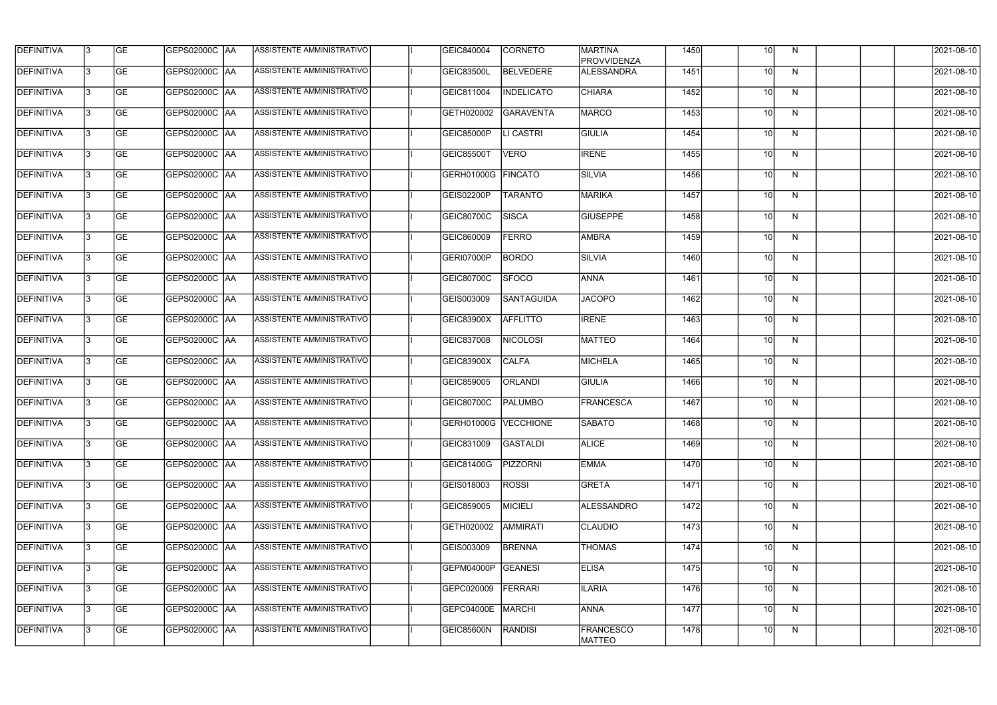| <b>DEFINITIVA</b> | 13  | <b>GE</b> | GEPS02000C  AA       | ASSISTENTE AMMINISTRATIVO        | GEIC840004             | <b>CORNETO</b>    | <b>MARTINA</b><br><b>PROVVIDENZA</b> | 1450 | 10 <sup>1</sup> | N. | 2021-08-10 |
|-------------------|-----|-----------|----------------------|----------------------------------|------------------------|-------------------|--------------------------------------|------|-----------------|----|------------|
| DEFINITIVA        | l3  | <b>GE</b> | GEPS02000C  AA       | ASSISTENTE AMMINISTRATIVO        | GEIC83500L             | <b>BELVEDERE</b>  | ALESSANDRA                           | 1451 | 10 <sup>1</sup> | N  | 2021-08-10 |
| <b>DEFINITIVA</b> | l3  | <b>GE</b> | <b>GEPS02000C AA</b> | ASSISTENTE AMMINISTRATIVO        | GEIC811004             | <b>INDELICATO</b> | <b>CHIARA</b>                        | 1452 | 10 <sup>1</sup> | N  | 2021-08-10 |
| <b>DEFINITIVA</b> | 13  | <b>GE</b> | <b>GEPS02000C AA</b> | ASSISTENTE AMMINISTRATIVO        | GETH020002             | <b>GARAVENTA</b>  | <b>MARCO</b>                         | 1453 | 10 <sup>1</sup> | N  | 2021-08-10 |
| <b>DEFINITIVA</b> | l3  | <b>GE</b> | GEPS02000C  AA       | ASSISTENTE AMMINISTRATIVO        | <b>GEIC85000P</b>      | LI CASTRI         | <b>GIULIA</b>                        | 1454 | 10              | N  | 2021-08-10 |
| <b>DEFINITIVA</b> | IЗ  | <b>GE</b> | <b>GEPS02000C AA</b> | ASSISTENTE AMMINISTRATIVO        | <b>GEIC85500T</b>      | <b>VERO</b>       | <b>IRENE</b>                         | 1455 | 10 <sup>1</sup> | N  | 2021-08-10 |
| <b>DEFINITIVA</b> | l3  | <b>GE</b> | <b>GEPS02000C AA</b> | <b>ASSISTENTE AMMINISTRATIVO</b> | GERH01000G             | <b>FINCATO</b>    | SILVIA                               | 1456 | 10 <sup>1</sup> | N  | 2021-08-10 |
| <b>DEFINITIVA</b> | l3  | <b>GE</b> | GEPS02000C AA        | ASSISTENTE AMMINISTRATIVO        | GEIS02200P             | <b>TARANTO</b>    | MARIKA                               | 1457 | 10 <sup>1</sup> | N  | 2021-08-10 |
| <b>DEFINITIVA</b> | l3  | <b>GE</b> | GEPS02000C  AA       | ASSISTENTE AMMINISTRATIVO        | GEIC80700C             | <b>SISCA</b>      | <b>GIUSEPPE</b>                      | 1458 | 10              | N  | 2021-08-10 |
| <b>DEFINITIVA</b> | l3  | <b>GE</b> | GEPS02000C AA        | ASSISTENTE AMMINISTRATIVO        | GEIC860009             | <b>FERRO</b>      | <b>AMBRA</b>                         | 1459 | 10 <sup>1</sup> | N  | 2021-08-10 |
| <b>DEFINITIVA</b> | l3  | <b>GE</b> | GEPS02000C AA        | ASSISTENTE AMMINISTRATIVO        | GERI07000P             | <b>BORDO</b>      | <b>SILVIA</b>                        | 1460 | 10 <sup>1</sup> | N  | 2021-08-10 |
| <b>DEFINITIVA</b> | 13  | <b>GE</b> | GEPS02000C AA        | ASSISTENTE AMMINISTRATIVO        | GEIC80700C             | <b>SFOCO</b>      | <b>ANNA</b>                          | 1461 | 10 <sup>1</sup> | N  | 2021-08-10 |
| <b>DEFINITIVA</b> | l3  | <b>GE</b> | GEPS02000C  AA       | ASSISTENTE AMMINISTRATIVO        | GEIS003009             | SANTAGUIDA        | <b>JACOPO</b>                        | 1462 | 10 <sup>1</sup> | N  | 2021-08-10 |
| <b>DEFINITIVA</b> | l3  | <b>GE</b> | GEPS02000C AA        | ASSISTENTE AMMINISTRATIVO        | GEIC83900X             | <b>AFFLITTO</b>   | <b>IRENE</b>                         | 1463 | 10 <sup>1</sup> | N  | 2021-08-10 |
| <b>DEFINITIVA</b> | l3  | <b>GE</b> | GEPS02000C  AA       | ASSISTENTE AMMINISTRATIVO        | GEIC837008             | <b>NICOLOSI</b>   | <b>MATTEO</b>                        | 1464 | 10 <sup>1</sup> | N  | 2021-08-10 |
| <b>DEFINITIVA</b> | l3  | <b>GE</b> | GEPS02000C  AA       | ASSISTENTE AMMINISTRATIVO        | GEIC83900X             | <b>CALFA</b>      | <b>MICHELA</b>                       | 1465 | 10 <sup>1</sup> | N  | 2021-08-10 |
| <b>DEFINITIVA</b> | l3  | <b>GE</b> | GEPS02000C  AA       | ASSISTENTE AMMINISTRATIVO        | GEIC859005             | <b>ORLANDI</b>    | <b>GIULIA</b>                        | 1466 | 10              | N  | 2021-08-10 |
| <b>DEFINITIVA</b> |     | <b>GE</b> | GEPS02000C  AA       | ASSISTENTE AMMINISTRATIVO        | GEIC80700C             | <b>PALUMBO</b>    | <b>FRANCESCA</b>                     | 1467 | 10 <sup>1</sup> | N  | 2021-08-10 |
| <b>DEFINITIVA</b> | IЗ  | GE        | GEPS02000C  AA       | <b>ASSISTENTE AMMINISTRATIVO</b> | GERH01000G   VECCHIONE |                   | SABATO                               | 1468 | 10I             | N, | 2021-08-10 |
| <b>DEFINITIVA</b> | 13. | <b>GE</b> | <b>GEPS02000C AA</b> | ASSISTENTE AMMINISTRATIVO        | GEIC831009             | <b>GASTALDI</b>   | <b>ALICE</b>                         | 1469 | 10 <sup>1</sup> | N  | 2021-08-10 |
| <b>DEFINITIVA</b> | 13  | <b>GE</b> | <b>GEPS02000C AA</b> | ASSISTENTE AMMINISTRATIVO        | GEIC81400G             | <b>PIZZORNI</b>   | <b>EMMA</b>                          | 1470 | 10 <sup>1</sup> | N  | 2021-08-10 |
| <b>DEFINITIVA</b> | 13. | <b>GE</b> | <b>GEPS02000C AA</b> | ASSISTENTE AMMINISTRATIVO        | GEIS018003             | <b>ROSSI</b>      | <b>GRETA</b>                         | 1471 | 10 <sup>1</sup> | N  | 2021-08-10 |
| <b>DEFINITIVA</b> | 13  | <b>GE</b> | <b>GEPS02000C AA</b> | ASSISTENTE AMMINISTRATIVO        | GEIC859005             | <b>MICIELI</b>    | <b>ALESSANDRO</b>                    | 1472 | 10 <sup>1</sup> | N  | 2021-08-10 |
| <b>DEFINITIVA</b> | 13  | <b>GE</b> | GEPS02000C AA        | ASSISTENTE AMMINISTRATIVO        | GETH020002             | AMMIRATI          | <b>CLAUDIO</b>                       | 1473 | 10 <sup>1</sup> | N  | 2021-08-10 |
| <b>DEFINITIVA</b> | 13. | <b>GE</b> | GEPS02000C  AA       | ASSISTENTE AMMINISTRATIVO        | GEIS003009             | <b>BRENNA</b>     | <b>THOMAS</b>                        | 1474 | 10 <sup>1</sup> | N  | 2021-08-10 |
| DEFINITIVA        | l3  | <b>GE</b> | GEPS02000C  AA       | ASSISTENTE AMMINISTRATIVO        | GEPM04000P             | <b>GEANESI</b>    | <b>ELISA</b>                         | 1475 | 10 <sup>1</sup> | N  | 2021-08-10 |
| DEFINITIVA        | l3  | <b>GE</b> | GEPS02000C  AA       | ASSISTENTE AMMINISTRATIVO        | GEPC020009             | FERRARI           | <b>ILARIA</b>                        | 1476 | 10 <sup>1</sup> | N  | 2021-08-10 |
| <b>DEFINITIVA</b> | l3  | <b>GE</b> | <b>GEPS02000C AA</b> | ASSISTENTE AMMINISTRATIVO        | GEPC04000E             | MARCHI            | ANNA                                 | 1477 | 10 <sup>1</sup> | N  | 2021-08-10 |
| <b>DEFINITIVA</b> | lЗ  | <b>GE</b> | GEPS02000C  AA       | ASSISTENTE AMMINISTRATIVO        | GEIC85600N             | RANDISI           | <b>FRANCESCO</b><br><b>MATTEO</b>    | 1478 | 10 <sup>1</sup> | N  | 2021-08-10 |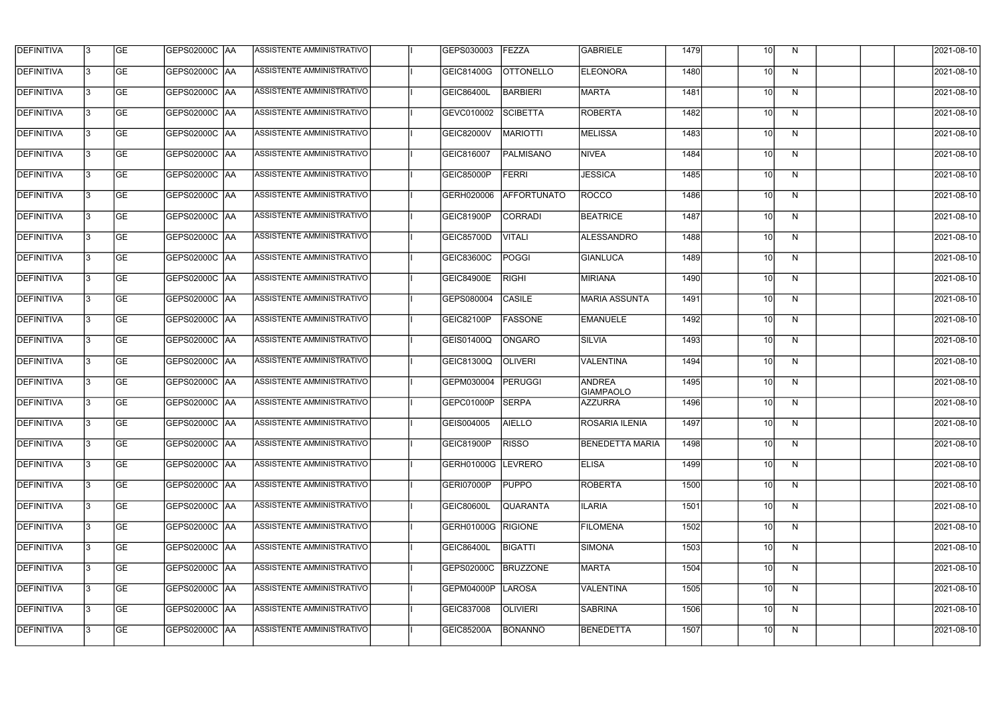| <b>DEFINITIVA</b> | 13  | <b>GE</b> | <b>GEPS02000C AA</b> | ASSISTENTE AMMINISTRATIVO        | GEPS030003         | FEZZA            | <b>GABRIELE</b>                   | 1479 | 10 <sup>1</sup> | N            | 2021-08-10 |
|-------------------|-----|-----------|----------------------|----------------------------------|--------------------|------------------|-----------------------------------|------|-----------------|--------------|------------|
| <b>DEFINITIVA</b> | l3  | <b>GE</b> | <b>GEPS02000C AA</b> | ASSISTENTE AMMINISTRATIVO        | <b>GEIC81400G</b>  | <b>OTTONELLO</b> | <b>ELEONORA</b>                   | 1480 | 10 <sup>1</sup> | N            | 2021-08-10 |
| <b>DEFINITIVA</b> | l3  | <b>GE</b> | <b>GEPS02000C AA</b> | ASSISTENTE AMMINISTRATIVO        | <b>GEIC86400L</b>  | <b>BARBIERI</b>  | <b>MARTA</b>                      | 1481 | 10 <sup>1</sup> | N            | 2021-08-10 |
| <b>DEFINITIVA</b> | l3  | <b>GE</b> | <b>GEPS02000C AA</b> | ASSISTENTE AMMINISTRATIVO        | GEVC010002         | <b>SCIBETTA</b>  | <b>ROBERTA</b>                    | 1482 | 10              | N            | 2021-08-10 |
| <b>DEFINITIVA</b> | l3  | <b>GE</b> | <b>GEPS02000C AA</b> | <b>ASSISTENTE AMMINISTRATIVO</b> | <b>GEIC82000V</b>  | <b>MARIOTTI</b>  | <b>MELISSA</b>                    | 1483 | 10 <sup>1</sup> | N            | 2021-08-10 |
| <b>DEFINITIVA</b> | lЗ  | <b>GE</b> | <b>GEPS02000C AA</b> | <b>ASSISTENTE AMMINISTRATIVO</b> | GEIC816007         | <b>PALMISANO</b> | <b>NIVEA</b>                      | 1484 | 10l             | N            | 2021-08-10 |
| <b>DEFINITIVA</b> | l3  | <b>GE</b> | <b>GEPS02000C AA</b> | ASSISTENTE AMMINISTRATIVO        | GEIC85000P         | <b>FERRI</b>     | <b>JESSICA</b>                    | 1485 | 10              | N            | 2021-08-10 |
| <b>DEFINITIVA</b> | l3  | <b>GE</b> | <b>GEPS02000C AA</b> | ASSISTENTE AMMINISTRATIVO        | GERH020006         | AFFORTUNATO      | ROCCO                             | 1486 | 10              | N            | 2021-08-10 |
| <b>DEFINITIVA</b> | l3  | <b>GE</b> |                      | ASSISTENTE AMMINISTRATIVO        | GEIC81900P         | <b>CORRADI</b>   | <b>BEATRICE</b>                   | 1487 | 10              | N            | 2021-08-10 |
| <b>DEFINITIVA</b> | l3  | <b>GE</b> | GEPS02000C AA        | ASSISTENTE AMMINISTRATIVO        | <b>GEIC85700D</b>  | <b>VITALI</b>    | ALESSANDRO                        | 1488 | 10 <sup>1</sup> | N            | 2021-08-10 |
| <b>DEFINITIVA</b> | 13  | <b>GE</b> | GEPS02000C AA        | ASSISTENTE AMMINISTRATIVO        | <b>GEIC83600C</b>  | <b>POGGI</b>     | GIANLUCA                          | 1489 | 10 <sup>1</sup> | N            | 2021-08-10 |
| <b>DEFINITIVA</b> | l3  | <b>GE</b> |                      | ASSISTENTE AMMINISTRATIVO        | <b>GEIC84900E</b>  | <b>RIGHI</b>     | MIRIANA                           | 1490 | 10 <sup>1</sup> | N            | 2021-08-10 |
| <b>DEFINITIVA</b> | l3  | <b>GE</b> | GEPS02000C   AA      | ASSISTENTE AMMINISTRATIVO        | GEPS080004         | <b>CASILE</b>    | <b>MARIA ASSUNTA</b>              | 1491 | 10              | N            | 2021-08-10 |
| <b>DEFINITIVA</b> | l3  | <b>GE</b> |                      | ASSISTENTE AMMINISTRATIVO        | GEIC82100P         | <b>FASSONE</b>   | <b>EMANUELE</b>                   | 1492 | 10 <sup>1</sup> | N            | 2021-08-10 |
| <b>DEFINITIVA</b> | l3  | <b>GE</b> |                      | ASSISTENTE AMMINISTRATIVO        | GEIS01400Q         | <b>ONGARO</b>    | <b>SILVIA</b>                     | 1493 | 10              | $\mathsf{N}$ | 2021-08-10 |
| <b>DEFINITIVA</b> | IЗ  | <b>GE</b> | GEPS02000C  AA       | ASSISTENTE AMMINISTRATIVO        | GEIC81300Q         | <b>OLIVERI</b>   | <b>VALENTINA</b>                  | 1494 | 10              | N            | 2021-08-10 |
| <b>DEFINITIVA</b> | l3  | <b>GE</b> | GEPS02000C  AA       | ASSISTENTE AMMINISTRATIVO        | GEPM030004         | <b>PERUGGI</b>   | <b>ANDREA</b><br><b>GIAMPAOLO</b> | 1495 | 10 <sup>1</sup> | N            | 2021-08-10 |
| DEFINITIVA        |     | <b>GE</b> | <b>GEPS02000C AA</b> | ASSISTENTE AMMINISTRATIVO        | GEPC01000P         | <b>SERPA</b>     | <b>AZZURRA</b>                    | 1496 | 10 <sup>1</sup> | N            | 2021-08-10 |
| <b>DEFINITIVA</b> | 13  | <b>GE</b> | GEPS02000C  AA       | ASSISTENTE AMMINISTRATIVO        | GEIS004005         | <b>AIELLO</b>    | <b>ROSARIA ILENIA</b>             | 1497 | 10 <sub>l</sub> | N            | 2021-08-10 |
| <b>DEFINITIVA</b> | 13  | <b>GE</b> | <b>GEPS02000C AA</b> | ASSISTENTE AMMINISTRATIVO        | GEIC81900P         | <b>RISSO</b>     | <b>BENEDETTA MARIA</b>            | 1498 | 10 <sup>1</sup> | N            | 2021-08-10 |
| <b>DEFINITIVA</b> | 13  | <b>GE</b> | GEPS02000C  AA       | ASSISTENTE AMMINISTRATIVO        | GERH01000G         | <b>LEVRERO</b>   | <b>ELISA</b>                      | 1499 | 10 <sup>1</sup> | N            | 2021-08-10 |
| <b>DEFINITIVA</b> | 13. | <b>GE</b> | GEPS02000C AA        | ASSISTENTE AMMINISTRATIVO        | GERI07000P         | <b>PUPPO</b>     | <b>ROBERTA</b>                    | 1500 | 10 <sup>1</sup> | N            | 2021-08-10 |
| <b>DEFINITIVA</b> | 13  | <b>GE</b> | GEPS02000C AA        | ASSISTENTE AMMINISTRATIVO        | <b>GEIC80600L</b>  | <b>QUARANTA</b>  | <b>ILARIA</b>                     | 1501 | 10 <sup>1</sup> | N            | 2021-08-10 |
| <b>DEFINITIVA</b> | 13  | <b>GE</b> | GEPS02000C  AA       | ASSISTENTE AMMINISTRATIVO        | GERH01000G RIGIONE |                  | <b>FILOMENA</b>                   | 1502 | 10 <sup>1</sup> | N            | 2021-08-10 |
| <b>DEFINITIVA</b> | IЗ  | <b>GE</b> | GEPS02000C  AA       | ASSISTENTE AMMINISTRATIVO        | <b>GEIC86400L</b>  | BIGATTI          | SIMONA                            | 1503 | 10 <sup>1</sup> | N            | 2021-08-10 |
| DEFINITIVA        | l3  | <b>GE</b> | GEPS02000C  AA       | ASSISTENTE AMMINISTRATIVO        | GEPS02000C         | <b>BRUZZONE</b>  | MARTA                             | 1504 | 10 <sup>1</sup> | N            | 2021-08-10 |
| <b>DEFINITIVA</b> | l3  | <b>GE</b> | GEPS02000C  AA       | ASSISTENTE AMMINISTRATIVO        | GEPM04000P         | LAROSA           | <b>VALENTINA</b>                  | 1505 | 10 <sup>1</sup> | N.           | 2021-08-10 |
| <b>DEFINITIVA</b> | 13. | <b>GE</b> | GEPS02000C  AA       | ASSISTENTE AMMINISTRATIVO        | GEIC837008         | <b>OLIVIERI</b>  | <b>SABRINA</b>                    | 1506 | 10 <sup>1</sup> | N            | 2021-08-10 |
| <b>DEFINITIVA</b> | IЗ  | <b>GE</b> | GEPS02000C  AA       | ASSISTENTE AMMINISTRATIVO        | GEIC85200A         | <b>BONANNO</b>   | BENEDETTA                         | 1507 | 10 <sup>1</sup> | N            | 2021-08-10 |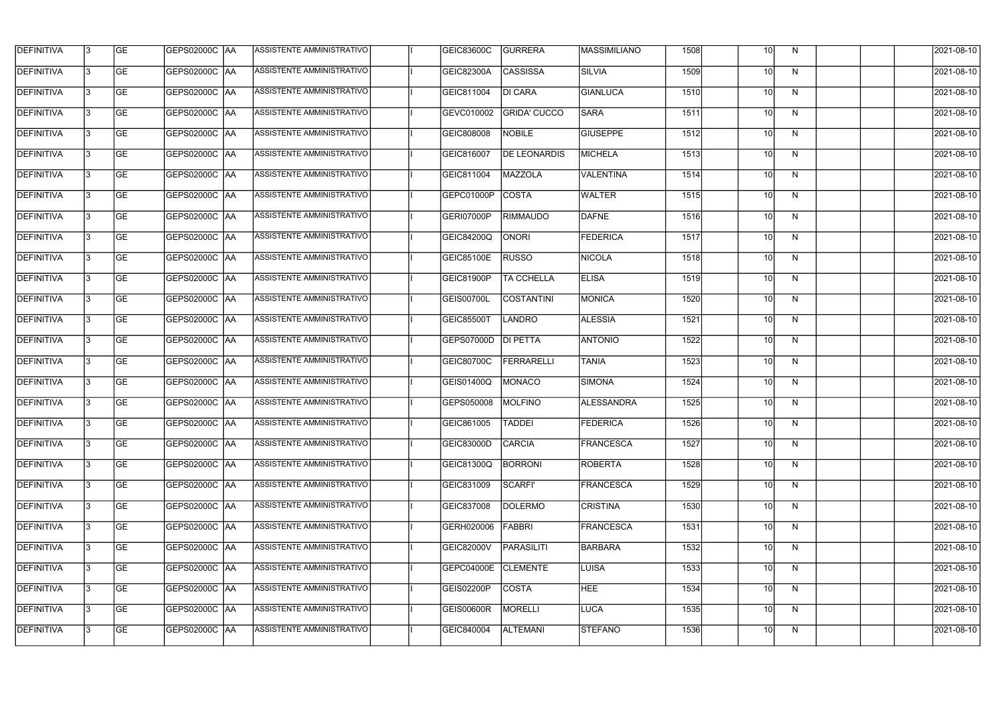| <b>DEFINITIVA</b> | 13  | <b>GE</b> |                      | ASSISTENTE AMMINISTRATIVO        | GEIC83600C        | <b>GURRERA</b>      | <b>MASSIMILIANO</b> | 1508 | 10 <sup>1</sup> | N,           | 2021-08-10 |
|-------------------|-----|-----------|----------------------|----------------------------------|-------------------|---------------------|---------------------|------|-----------------|--------------|------------|
| DEFINITIVA        | l3  | <b>GE</b> | GEPS02000C  AA       | ASSISTENTE AMMINISTRATIVO        | <b>GEIC82300A</b> | <b>CASSISSA</b>     | <b>SILVIA</b>       | 1509 | 10 <sup>1</sup> | N            | 2021-08-10 |
| <b>DEFINITIVA</b> | l3  | <b>GE</b> | <b>GEPS02000C AA</b> | ASSISTENTE AMMINISTRATIVO        | GEIC811004        | <b>DI CARA</b>      | <b>GIANLUCA</b>     | 1510 | 10 <sup>1</sup> | N            | 2021-08-10 |
| <b>DEFINITIVA</b> | 13  | <b>GE</b> | <b>GEPS02000C AA</b> | ASSISTENTE AMMINISTRATIVO        | GEVC010002        | <b>GRIDA' CUCCO</b> | <b>SARA</b>         | 1511 | 10 <sup>1</sup> | $\mathsf{N}$ | 2021-08-10 |
| <b>DEFINITIVA</b> | l3  | <b>GE</b> | GEPS02000C  AA       | ASSISTENTE AMMINISTRATIVO        | GEIC808008        | <b>NOBILE</b>       | <b>GIUSEPPE</b>     | 1512 | 10              | N            | 2021-08-10 |
| <b>DEFINITIVA</b> | IЗ  | <b>GE</b> | GEPS02000C AA        | ASSISTENTE AMMINISTRATIVO        | GEIC816007        | <b>DE LEONARDIS</b> | <b>MICHELA</b>      | 1513 | 10 <sup>1</sup> | N            | 2021-08-10 |
| <b>DEFINITIVA</b> | l3  | <b>GE</b> | <b>GEPS02000C AA</b> | <b>ASSISTENTE AMMINISTRATIVO</b> | GEIC811004        | <b>MAZZOLA</b>      | <b>VALENTINA</b>    | 1514 | 10 <sup>1</sup> | N            | 2021-08-10 |
| <b>DEFINITIVA</b> | l3  | <b>GE</b> | GEPS02000C AA        | ASSISTENTE AMMINISTRATIVO        | GEPC01000P        | COSTA               | <b>WALTER</b>       | 1515 | 10 <sup>1</sup> | N            | 2021-08-10 |
| <b>DEFINITIVA</b> | l3  | <b>GE</b> | GEPS02000C  AA       | ASSISTENTE AMMINISTRATIVO        | GERI07000P        | <b>RIMMAUDO</b>     | DAFNE               | 1516 | 10              | N            | 2021-08-10 |
| <b>DEFINITIVA</b> | l3  | <b>GE</b> | GEPS02000C AA        | ASSISTENTE AMMINISTRATIVO        | <b>GEIC84200Q</b> | <b>ONORI</b>        | <b>FEDERICA</b>     | 1517 | 10 <sup>1</sup> | N            | 2021-08-10 |
| <b>DEFINITIVA</b> | l3  | <b>GE</b> | GEPS02000C AA        | ASSISTENTE AMMINISTRATIVO        | <b>GEIC85100E</b> | <b>RUSSO</b>        | <b>NICOLA</b>       | 1518 | 10 <sup>1</sup> | N            | 2021-08-10 |
| <b>DEFINITIVA</b> | 13  | <b>GE</b> | GEPS02000C  AA       | ASSISTENTE AMMINISTRATIVO        | GEIC81900P        | <b>TA CCHELLA</b>   | <b>ELISA</b>        | 1519 | 10 <sup>1</sup> | N            | 2021-08-10 |
| <b>DEFINITIVA</b> | l3  | <b>GE</b> | GEPS02000C  AA       | ASSISTENTE AMMINISTRATIVO        | GEIS00700L        | COSTANTINI          | <b>MONICA</b>       | 1520 | 10 <sup>1</sup> | N            | 2021-08-10 |
| <b>DEFINITIVA</b> | l3  | <b>GE</b> | GEPS02000C AA        | ASSISTENTE AMMINISTRATIVO        | GEIC85500T        | <b>LANDRO</b>       | <b>ALESSIA</b>      | 1521 | 10 <sup>1</sup> | N            | 2021-08-10 |
| <b>DEFINITIVA</b> | l3  | <b>GE</b> | GEPS02000C  AA       | ASSISTENTE AMMINISTRATIVO        | GEPS07000D        | DI PETTA            | <b>ANTONIO</b>      | 1522 | 10 <sup>1</sup> | N            | 2021-08-10 |
| <b>DEFINITIVA</b> | l3  | <b>GE</b> | GEPS02000C AA        | ASSISTENTE AMMINISTRATIVO        | GEIC80700C        | <b>FERRARELLI</b>   | <b>TANIA</b>        | 1523 | 10 <sup>1</sup> | N            | 2021-08-10 |
| <b>DEFINITIVA</b> | l3  | <b>GE</b> | GEPS02000C  AA       | ASSISTENTE AMMINISTRATIVO        | GEIS01400Q        | MONACO              | <b>SIMONA</b>       | 1524 | 10              | N            | 2021-08-10 |
| <b>DEFINITIVA</b> |     | <b>GE</b> | GEPS02000C  AA       | ASSISTENTE AMMINISTRATIVO        | GEPS050008        | MOLFINO             | <b>ALESSANDRA</b>   | 1525 | 10 <sup>1</sup> | N            | 2021-08-10 |
| <b>DEFINITIVA</b> | IЗ  | GE        | GEPS02000C  AA       | <b>ASSISTENTE AMMINISTRATIVO</b> | GEIC861005        | <b>TADDEI</b>       | <b>FEDERICA</b>     | 1526 | 10I             | N,           | 2021-08-10 |
| <b>DEFINITIVA</b> | 13. | <b>GE</b> | GEPS02000C AA        | ASSISTENTE AMMINISTRATIVO        | <b>GEIC83000D</b> | <b>CARCIA</b>       | <b>FRANCESCA</b>    | 1527 | 10 <sup>1</sup> | N            | 2021-08-10 |
| <b>DEFINITIVA</b> | 13. | <b>GE</b> | <b>GEPS02000C AA</b> | ASSISTENTE AMMINISTRATIVO        | GEIC81300Q        | <b>BORRONI</b>      | <b>ROBERTA</b>      | 1528 | 10 <sup>1</sup> | N            | 2021-08-10 |
| <b>DEFINITIVA</b> | 13. | <b>GE</b> | <b>GEPS02000C AA</b> | ASSISTENTE AMMINISTRATIVO        | GEIC831009        | <b>SCARFI'</b>      | FRANCESCA           | 1529 | 10 <sup>1</sup> | N            | 2021-08-10 |
| <b>DEFINITIVA</b> | 13  | <b>GE</b> | <b>GEPS02000C AA</b> | ASSISTENTE AMMINISTRATIVO        | GEIC837008        | <b>DOLERMO</b>      | <b>CRISTINA</b>     | 1530 | 10 <sup>1</sup> | N            | 2021-08-10 |
| <b>DEFINITIVA</b> | 13  | <b>GE</b> | GEPS02000C AA        | ASSISTENTE AMMINISTRATIVO        | GERH020006        | FABBRI              | <b>FRANCESCA</b>    | 1531 | 10 <sup>1</sup> | N            | 2021-08-10 |
| <b>DEFINITIVA</b> | l3  | <b>GE</b> | GEPS02000C  AA       | ASSISTENTE AMMINISTRATIVO        | GEIC82000V        | PARASILITI          | <b>BARBARA</b>      | 1532 | 10 <sup>1</sup> | N            | 2021-08-10 |
| DEFINITIVA        | l3  | <b>GE</b> | GEPS02000C  AA       | ASSISTENTE AMMINISTRATIVO        | GEPC04000E        | <b>CLEMENTE</b>     | LUISA               | 1533 | 10 <sup>1</sup> | N            | 2021-08-10 |
| DEFINITIVA        | l3  | <b>GE</b> | GEPS02000C  AA       | ASSISTENTE AMMINISTRATIVO        | GEIS02200P        | <b>COSTA</b>        | <b>HEE</b>          | 1534 | 10 <sup>1</sup> | N            | 2021-08-10 |
| <b>DEFINITIVA</b> | l3  | <b>GE</b> | GEPS02000C AA        | ASSISTENTE AMMINISTRATIVO        | <b>GEIS00600R</b> | MORELLI             | <b>LUCA</b>         | 1535 | 10 <sup>1</sup> | N            | 2021-08-10 |
| <b>DEFINITIVA</b> | IЗ  | <b>GE</b> | GEPS02000C  AA       | ASSISTENTE AMMINISTRATIVO        | GEIC840004        | <b>ALTEMANI</b>     | <b>STEFANO</b>      | 1536 | 10 <sup>1</sup> | N            | 2021-08-10 |
|                   |     |           |                      |                                  |                   |                     |                     |      |                 |              |            |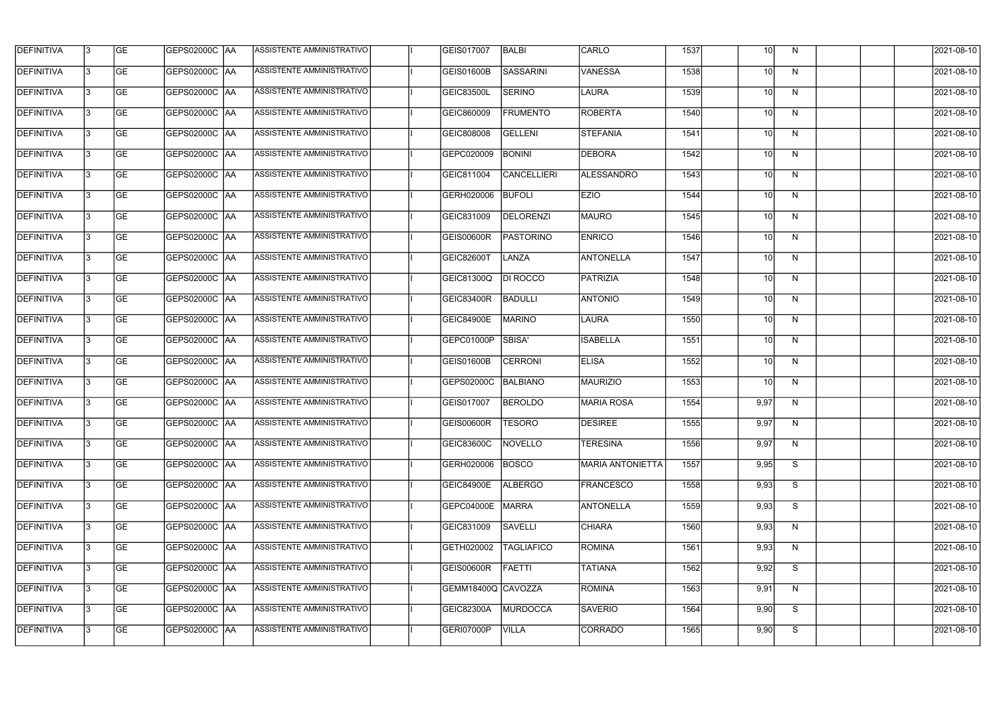| <b>DEFINITIVA</b> | l3 | GE                       | <b>GEPS02000C AA</b> | ASSISTENTE AMMINISTRATIVO        | GEIS017007         | BALBI              | <b>CARLO</b>            | 1537 | 10   | N | 2021-08-10          |
|-------------------|----|--------------------------|----------------------|----------------------------------|--------------------|--------------------|-------------------------|------|------|---|---------------------|
| <b>DEFINITIVA</b> | IЗ | $\overline{\mathsf{GE}}$ | GEPS02000C AA        | ASSISTENTE AMMINISTRATIVO        | <b>GEIS01600B</b>  | SASSARINI          | <b>VANESSA</b>          | 1538 | 10   | N | 2021-08-10          |
| <b>DEFINITIVA</b> | l3 | GE                       | GEPS02000C AA        | <b>ASSISTENTE AMMINISTRATIVO</b> | GEIC83500L         | <b>SERINO</b>      | <b>LAURA</b>            | 1539 | 10   | N | 2021-08-10          |
| <b>DEFINITIVA</b> | l3 | GE                       | <b>GEPS02000C AA</b> | ASSISTENTE AMMINISTRATIVO        | GEIC860009         | <b>FRUMENTO</b>    | <b>ROBERTA</b>          | 1540 | 10   | N | 2021-08-10          |
| <b>DEFINITIVA</b> | l3 | <b>GE</b>                | GEPS02000C AA        | <b>ASSISTENTE AMMINISTRATIVO</b> | GEIC808008         | <b>GELLENI</b>     | STEFANIA                | 1541 | 10   | N | 2021-08-10          |
| <b>DEFINITIVA</b> | IЗ | <b>GE</b>                | <b>GEPS02000C AA</b> | <b>ASSISTENTE AMMINISTRATIVO</b> | GEPC020009         | <b>BONINI</b>      | <b>DEBORA</b>           | 1542 | 10   | N | 2021-08-10          |
| <b>DEFINITIVA</b> | l3 | <b>GE</b>                | GEPS02000C AA        | ASSISTENTE AMMINISTRATIVO        | GEIC811004         | <b>CANCELLIERI</b> | ALESSANDRO              | 1543 | 10   | N | 2021-08-10          |
| <b>DEFINITIVA</b> | l3 | <b>GE</b>                | GEPS02000C   AA      | ASSISTENTE AMMINISTRATIVO        | GERH020006         | <b>BUFOLI</b>      | <b>EZIO</b>             | 1544 | 10   | N | 2021-08-10          |
| <b>DEFINITIVA</b> | l3 | <b>GE</b>                | GEPS02000C   AA      | ASSISTENTE AMMINISTRATIVO        | GEIC831009         | DELORENZI          | MAURO                   | 1545 | 10   | N | 2021-08-10          |
| <b>DEFINITIVA</b> | l3 | GE                       | GEPS02000C AA        | ASSISTENTE AMMINISTRATIVO        | <b>GEIS00600R</b>  | PASTORINO          | <b>ENRICO</b>           | 1546 | 10   | N | 2021-08-10          |
| <b>DEFINITIVA</b> | l3 | GE                       | GEPS02000C AA        | ASSISTENTE AMMINISTRATIVO        | <b>GEIC82600T</b>  | LANZA              | ANTONELLA               | 1547 | 10   | N | 2021-08-10          |
| <b>DEFINITIVA</b> | l3 | GE                       | GEPS02000C   AA      | ASSISTENTE AMMINISTRATIVO        | <b>GEIC81300Q</b>  | DI ROCCO           | PATRIZIA                | 1548 | 10   | N | 2021-08-10          |
| <b>DEFINITIVA</b> | l3 | <b>GE</b>                | GEPS02000C AA        | ASSISTENTE AMMINISTRATIVO        | GEIC83400R         | <b>BADULLI</b>     | <b>ANTONIO</b>          | 1549 | 10   | N | 2021-08-10          |
| <b>DEFINITIVA</b> | IЗ | <b>GE</b>                | GEPS02000C AA        | ASSISTENTE AMMINISTRATIVO        | <b>GEIC84900E</b>  | <b>MARINO</b>      | LAURA                   | 1550 | 10   | N | 2021-08-10          |
| <b>DEFINITIVA</b> | 13 | GE                       | GEPS02000C AA        | ASSISTENTE AMMINISTRATIVO        | GEPC01000P         | SBISA'             | <b>ISABELLA</b>         | 1551 | 10   | N | 2021-08-10          |
| <b>DEFINITIVA</b> | l3 | <b>GE</b>                | GEPS02000C  AA       | ASSISTENTE AMMINISTRATIVO        | <b>GEIS01600B</b>  | <b>CERRONI</b>     | <b>ELISA</b>            | 1552 | 10   | N | 2021-08-10          |
| <b>DEFINITIVA</b> | IЗ | GE                       | GEPS02000C  AA       | ASSISTENTE AMMINISTRATIVO        | GEPS02000C         | BALBIANO           | <b>MAURIZIO</b>         | 1553 | 10   | N | 2021-08-10          |
| <b>DEFINITIVA</b> | l3 | GE                       | GEPS02000C   AA      | ASSISTENTE AMMINISTRATIVO        | GEIS017007         | <b>BEROLDO</b>     | MARIA ROSA              | 1554 | 9,97 | N | 2021-08-10          |
| DEFINITIVA        | 13 | <b>GE</b>                | GEPS02000C  AA       | ASSISTENTE AMMINISTRATIVO        | GEIS00600R  TESORO |                    | <b>DESIREE</b>          | 1555 | 9,97 | N | 2021-08-10          |
| <b>DEFINITIVA</b> | l3 | GE                       | <b>GEPS02000C AA</b> | ASSISTENTE AMMINISTRATIVO        | GEIC83600C         | NOVELLO            | <b>TERESINA</b>         | 1556 | 9,97 | N | 2021-08-10          |
| <b>DEFINITIVA</b> | l3 | GE                       |                      | ASSISTENTE AMMINISTRATIVO        | GERH020006         | BOSCO              | <b>MARIA ANTONIETTA</b> | 1557 | 9,95 | S | 2021-08-10          |
| <b>DEFINITIVA</b> | l3 | GE                       | GEPS02000C AA        | ASSISTENTE AMMINISTRATIVO        | <b>GEIC84900E</b>  | <b>ALBERGO</b>     | <b>FRANCESCO</b>        | 1558 | 9,93 | S | 2021-08-10          |
| <b>DEFINITIVA</b> | 13 | GE                       | GEPS02000C AA        | ASSISTENTE AMMINISTRATIVO        | GEPC04000E         | MARRA              | <b>ANTONELLA</b>        | 1559 | 9,93 | S | 2021-08-10          |
| <b>DEFINITIVA</b> | l3 | <b>GE</b>                | GEPS02000C  AA       | ASSISTENTE AMMINISTRATIVO        | GEIC831009         | <b>SAVELLI</b>     | <b>CHIARA</b>           | 1560 | 9,93 | N | 2021-08-10          |
| <b>DEFINITIVA</b> | l3 | <b>GE</b>                | GEPS02000C  AA       | ASSISTENTE AMMINISTRATIVO        | GETH020002         | <b>TAGLIAFICO</b>  | ROMINA                  | 1561 | 9,93 | N | 2021-08-10          |
| <b>DEFINITIVA</b> | l3 | <b>GE</b>                | GEPS02000C AA        | ASSISTENTE AMMINISTRATIVO        | <b>GEIS00600R</b>  | FAETTI             | <b>TATIANA</b>          | 1562 | 9,92 | S | 2021-08-10          |
| <b>DEFINITIVA</b> | l3 | <b>GE</b>                | GEPS02000C AA        | ASSISTENTE AMMINISTRATIVO        | GEMM18400Q CAVOZZA |                    | ROMINA                  | 1563 | 9,91 | N | 2021-08-10          |
| <b>DEFINITIVA</b> | 13 | GE                       | GEPS02000C AA        | ASSISTENTE AMMINISTRATIVO        | GEIC82300A         | MURDOCCA           | SAVERIO                 | 1564 | 9,90 | S | 2021-08-10          |
| DEFINITIVA        | l3 | GE                       |                      | ASSISTENTE AMMINISTRATIVO        | <b>GERI07000P</b>  | <b>VILLA</b>       | <b>CORRADO</b>          | 1565 | 9,90 | S | $\sqrt{2021-08-10}$ |
|                   |    |                          |                      |                                  |                    |                    |                         |      |      |   |                     |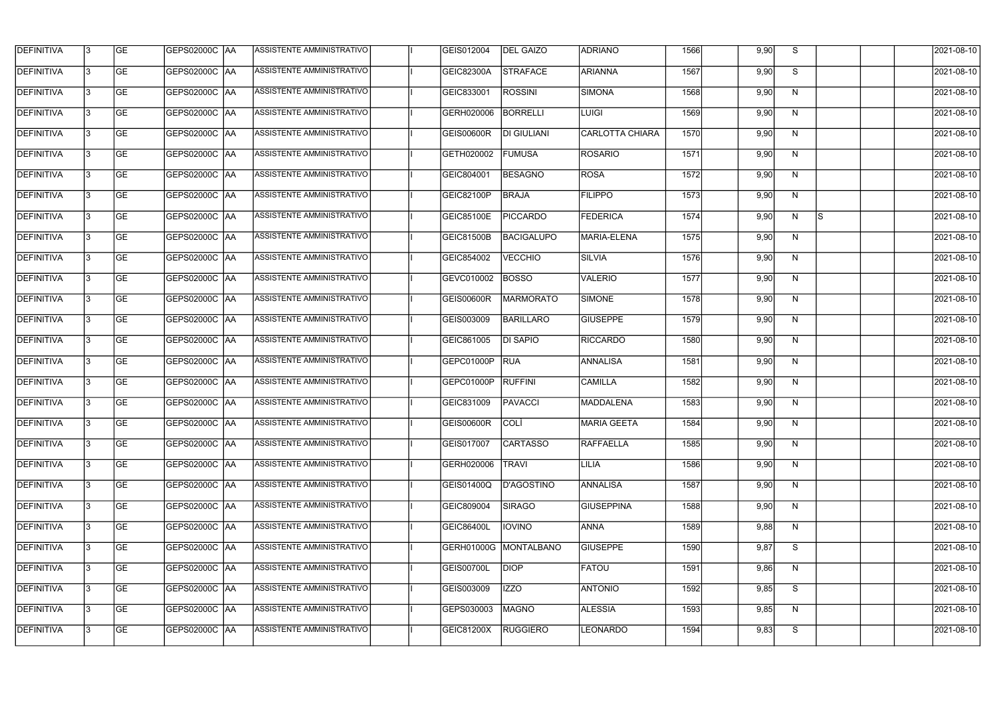| <b>DEFINITIVA</b> | l3 | GE                       | <b>GEPS02000C AA</b> | ASSISTENTE AMMINISTRATIVO        | GEIS012004        | <b>DEL GAIZO</b>   | <b>ADRIANO</b>         | 1566 | 9,90 | S  |           | 2021-08-10          |
|-------------------|----|--------------------------|----------------------|----------------------------------|-------------------|--------------------|------------------------|------|------|----|-----------|---------------------|
| <b>DEFINITIVA</b> | IЗ | $\overline{\mathsf{GE}}$ | GEPS02000C AA        | ASSISTENTE AMMINISTRATIVO        | GEIC82300A        | <b>STRAFACE</b>    | <b>ARIANNA</b>         | 1567 | 9,90 | S  |           | 2021-08-10          |
| <b>DEFINITIVA</b> | l3 | GE                       | GEPS02000C AA        | <b>ASSISTENTE AMMINISTRATIVO</b> | GEIC833001        | <b>ROSSINI</b>     | SIMONA                 | 1568 | 9,90 | N  |           | 2021-08-10          |
| <b>DEFINITIVA</b> | l3 | GE                       | GEPS02000C AA        | ASSISTENTE AMMINISTRATIVO        | GERH020006        | <b>BORRELLI</b>    | <b>LUIGI</b>           | 1569 | 9,90 | N  |           | 2021-08-10          |
| <b>DEFINITIVA</b> | l3 | GE                       | GEPS02000C AA        | ASSISTENTE AMMINISTRATIVO        | <b>GEIS00600R</b> | <b>DI GIULIANI</b> | <b>CARLOTTA CHIARA</b> | 1570 | 9,90 | N  |           | 2021-08-10          |
| <b>DEFINITIVA</b> | IЗ | <b>GE</b>                | GEPS02000C AA        | <b>ASSISTENTE AMMINISTRATIVO</b> | GETH020002        | <b>FUMUSA</b>      | <b>ROSARIO</b>         | 1571 | 9,90 | N  |           | 2021-08-10          |
| <b>DEFINITIVA</b> | l3 | <b>GE</b>                | GEPS02000C AA        | ASSISTENTE AMMINISTRATIVO        | GEIC804001        | <b>BESAGNO</b>     | <b>ROSA</b>            | 1572 | 9,90 | N  |           | 2021-08-10          |
| <b>DEFINITIVA</b> | l3 | <b>GE</b>                | GEPS02000C   AA      | ASSISTENTE AMMINISTRATIVO        | GEIC82100P        | <b>BRAJA</b>       | <b>FILIPPO</b>         | 1573 | 9,90 | N  |           | 2021-08-10          |
| <b>DEFINITIVA</b> | l3 | <b>GE</b>                | GEPS02000C   AA      | ASSISTENTE AMMINISTRATIVO        | GEIC85100E        | <b>PICCARDO</b>    | <b>FEDERICA</b>        | 1574 | 9,90 | N  | <b>IS</b> | 2021-08-10          |
| <b>DEFINITIVA</b> | l3 | GE                       | GEPS02000C AA        | ASSISTENTE AMMINISTRATIVO        | <b>GEIC81500B</b> | <b>BACIGALUPO</b>  | MARIA-ELENA            | 1575 | 9,90 | N  |           | 2021-08-10          |
| <b>DEFINITIVA</b> | l3 | GE                       | GEPS02000C AA        | ASSISTENTE AMMINISTRATIVO        | GEIC854002        | <b>VECCHIO</b>     | <b>SILVIA</b>          | 1576 | 9,90 | N  |           | 2021-08-10          |
| <b>DEFINITIVA</b> | l3 | GE                       | GEPS02000C   AA      | ASSISTENTE AMMINISTRATIVO        | GEVC010002        | <b>BOSSO</b>       | VALERIO                | 1577 | 9,90 | N  |           | 2021-08-10          |
| <b>DEFINITIVA</b> | l3 | <b>GE</b>                | GEPS02000C AA        | ASSISTENTE AMMINISTRATIVO        | GEIS00600R        | <b>MARMORATO</b>   | SIMONE                 | 1578 | 9,90 | N  |           | 2021-08-10          |
| <b>DEFINITIVA</b> | IЗ | <b>GE</b>                | GEPS02000C AA        | ASSISTENTE AMMINISTRATIVO        | GEIS003009        | <b>BARILLARO</b>   | <b>GIUSEPPE</b>        | 1579 | 9,90 | N  |           | 2021-08-10          |
| <b>DEFINITIVA</b> | 13 | GE                       | GEPS02000C AA        | ASSISTENTE AMMINISTRATIVO        | GEIC861005        | <b>DI SAPIO</b>    | <b>RICCARDO</b>        | 1580 | 9,90 | N  |           | 2021-08-10          |
| <b>DEFINITIVA</b> | l3 | <b>GE</b>                | GEPS02000C  AA       | ASSISTENTE AMMINISTRATIVO        | GEPC01000P        | <b>RUA</b>         | <b>ANNALISA</b>        | 1581 | 9,90 | N  |           | 2021-08-10          |
| <b>DEFINITIVA</b> | IЗ | GE                       | GEPS02000C  AA       | ASSISTENTE AMMINISTRATIVO        | GEPC01000P        | <b>RUFFINI</b>     | CAMILLA                | 1582 | 9,90 | N  |           | 2021-08-10          |
| <b>DEFINITIVA</b> | l3 | GE                       | GEPS02000C   AA      | ASSISTENTE AMMINISTRATIVO        | GEIC831009        | <b>PAVACCI</b>     | MADDALENA              | 1583 | 9,90 | N  |           | 2021-08-10          |
| DEFINITIVA        | 13 | <b>GE</b>                | GEPS02000C  AA       | ASSISTENTE AMMINISTRATIVO        | GEIS00600R COLI   |                    | <b>MARIA GEETA</b>     | 1584 | 9,90 | N. |           | 2021-08-10          |
| <b>DEFINITIVA</b> | l3 | GE                       | <b>GEPS02000C AA</b> | ASSISTENTE AMMINISTRATIVO        | GEIS017007        | <b>CARTASSO</b>    | <b>RAFFAELLA</b>       | 1585 | 9,90 | N  |           | 2021-08-10          |
| <b>DEFINITIVA</b> | l3 | GE                       |                      | ASSISTENTE AMMINISTRATIVO        | GERH020006        | <b>TRAVI</b>       | <b>LILIA</b>           | 1586 | 9,90 | N  |           | 2021-08-10          |
| <b>DEFINITIVA</b> | l3 | GE                       | GEPS02000C AA        | ASSISTENTE AMMINISTRATIVO        | <b>GEIS01400Q</b> | D'AGOSTINO         | <b>ANNALISA</b>        | 1587 | 9,90 | N  |           | 2021-08-10          |
| <b>DEFINITIVA</b> | 13 | <b>GE</b>                | GEPS02000C AA        | ASSISTENTE AMMINISTRATIVO        | GEIC809004        | <b>SIRAGO</b>      | <b>GIUSEPPINA</b>      | 1588 | 9,90 | N  |           | 2021-08-10          |
| <b>DEFINITIVA</b> | 13 | <b>GE</b>                | GEPS02000C  AA       | ASSISTENTE AMMINISTRATIVO        | GEIC86400L        | <b>IOVINO</b>      | <b>ANNA</b>            | 1589 | 9,88 | N  |           | 2021-08-10          |
| <b>DEFINITIVA</b> | l3 | <b>GE</b>                | GEPS02000C  AA       | ASSISTENTE AMMINISTRATIVO        | GERH01000G        | MONTALBANO         | <b>GIUSEPPE</b>        | 1590 | 9,87 | S  |           | 2021-08-10          |
| <b>DEFINITIVA</b> | l3 | <b>GE</b>                | GEPS02000C   AA      | ASSISTENTE AMMINISTRATIVO        | GEIS00700L        | <b>DIOP</b>        | <b>FATOU</b>           | 1591 | 9,86 | N  |           | 2021-08-10          |
| <b>DEFINITIVA</b> | l3 | <b>GE</b>                | GEPS02000C AA        | ASSISTENTE AMMINISTRATIVO        | GEIS003009        | <b>IZZO</b>        | <b>ANTONIO</b>         | 1592 | 9,85 | S  |           | 2021-08-10          |
| <b>DEFINITIVA</b> | 13 | GE                       | GEPS02000C AA        | ASSISTENTE AMMINISTRATIVO        | GEPS030003        | MAGNO              | <b>ALESSIA</b>         | 1593 | 9,85 | N  |           | 2021-08-10          |
| DEFINITIVA        | l3 | GE                       |                      | ASSISTENTE AMMINISTRATIVO        | GEIC81200X        | <b>RUGGIERO</b>    | <b>LEONARDO</b>        | 1594 | 9,83 | S  |           | $\sqrt{2021-08-10}$ |
|                   |    |                          |                      |                                  |                   |                    |                        |      |      |    |           |                     |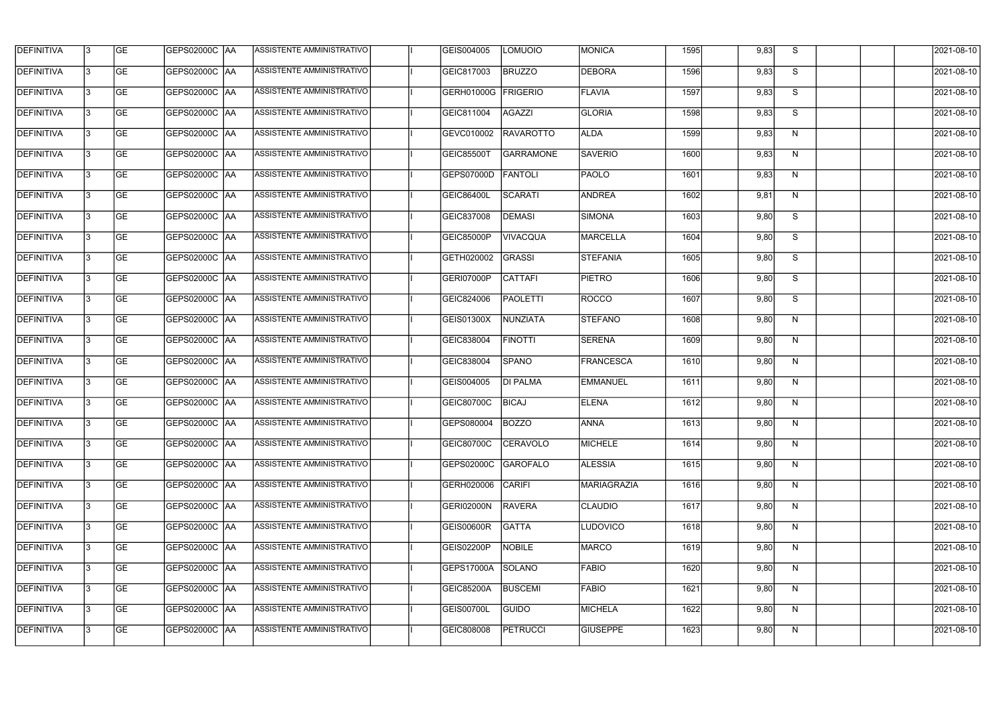| <b>DEFINITIVA</b> | 13 | GE        | GEPS02000C  AA       | ASSISTENTE AMMINISTRATIVO        | GEIS004005        | <b>LOMUOIO</b>   | <b>MONICA</b>   | 1595 | 9,83 | S. | 2021-08-10       |
|-------------------|----|-----------|----------------------|----------------------------------|-------------------|------------------|-----------------|------|------|----|------------------|
| <b>DEFINITIVA</b> | IЗ | GE        | GEPS02000C  AA       | ASSISTENTE AMMINISTRATIVO        | GEIC817003        | <b>BRUZZO</b>    | DEBORA          | 1596 | 9,83 | S  | 2021-08-10       |
| <b>DEFINITIVA</b> | 13 | GE        | <b>GEPS02000C AA</b> | ASSISTENTE AMMINISTRATIVO        | GERH01000G        | FRIGERIO         | <b>FLAVIA</b>   | 1597 | 9,83 | S  | 2021-08-10       |
| <b>DEFINITIVA</b> | l3 | <b>GE</b> | <b>GEPS02000C AA</b> | ASSISTENTE AMMINISTRATIVO        | GEIC811004        | AGAZZI           | <b>GLORIA</b>   | 1598 | 9,83 | S  | 2021-08-10       |
| <b>DEFINITIVA</b> | l3 | GE        | GEPS02000C AA        | ASSISTENTE AMMINISTRATIVO        | GEVC010002        | RAVAROTTO        | <b>ALDA</b>     | 1599 | 9,83 | N  | 2021-08-10       |
| <b>DEFINITIVA</b> | l3 | <b>GE</b> | <b>GEPS02000C AA</b> | <b>ASSISTENTE AMMINISTRATIVO</b> | <b>GEIC85500T</b> | <b>GARRAMONE</b> | <b>SAVERIO</b>  | 1600 | 9,83 | N  | 2021-08-10       |
| <b>DEFINITIVA</b> | l3 | <b>GE</b> | GEPS02000C AA        | ASSISTENTE AMMINISTRATIVO        | GEPS07000D        | FANTOLI          | <b>PAOLO</b>    | 1601 | 9,83 | N  | 2021-08-10       |
| <b>DEFINITIVA</b> | l3 | <b>GE</b> | <b>GEPS02000C AA</b> | ASSISTENTE AMMINISTRATIVO        | GEIC86400L        | SCARATI          | <b>ANDREA</b>   | 1602 | 9,81 | N  | 2021-08-10       |
| <b>DEFINITIVA</b> | l3 | <b>GE</b> | GEPS02000C AA        | ASSISTENTE AMMINISTRATIVO        | GEIC837008        | <b>DEMASI</b>    | SIMONA          | 1603 | 9,80 | S  | 2021-08-10       |
| <b>DEFINITIVA</b> | l3 | GE        | GEPS02000C   AA      | ASSISTENTE AMMINISTRATIVO        | <b>GEIC85000P</b> | <b>VIVACQUA</b>  | <b>MARCELLA</b> | 1604 | 9,80 | S  | 2021-08-10       |
| <b>DEFINITIVA</b> | 13 | GE        | GEPS02000C AA        | ASSISTENTE AMMINISTRATIVO        | GETH020002        | GRASSI           | <b>STEFANIA</b> | 1605 | 9,80 | S  | 2021-08-10       |
| <b>DEFINITIVA</b> | l3 | <b>GE</b> | GEPS02000C AA        | ASSISTENTE AMMINISTRATIVO        | GERI07000P        | <b>CATTAFI</b>   | <b>PIETRO</b>   | 1606 | 9,80 | S  | 2021-08-10       |
| <b>DEFINITIVA</b> | l3 | GE        | GEPS02000C  AA       | ASSISTENTE AMMINISTRATIVO        | GEIC824006        | <b>PAOLETTI</b>  | ROCCO           | 1607 | 9,80 | S  | 2021-08-10       |
| <b>DEFINITIVA</b> | l3 | <b>GE</b> | GEPS02000C AA        | ASSISTENTE AMMINISTRATIVO        | GEIS01300X        | NUNZIATA         | <b>STEFANO</b>  | 1608 | 9,80 | N  | 2021-08-10       |
| <b>DEFINITIVA</b> | l3 | <b>GE</b> | GEPS02000C  AA       | ASSISTENTE AMMINISTRATIVO        | GEIC838004        | <b>FINOTTI</b>   | <b>SERENA</b>   | 1609 | 9,80 | N  | 2021-08-10       |
| <b>DEFINITIVA</b> | 13 | GE        | GEPS02000C   AA      | ASSISTENTE AMMINISTRATIVO        | GEIC838004        | SPANO            | FRANCESCA       | 1610 | 9,80 | N  | 2021-08-10       |
| <b>DEFINITIVA</b> | l3 | <b>GE</b> | GEPS02000C   AA      | ASSISTENTE AMMINISTRATIVO        | GEIS004005        | <b>DI PALMA</b>  | <b>EMMANUEL</b> | 1611 | 9,80 | N  | 2021-08-10       |
| <b>DEFINITIVA</b> | IЗ | <b>GE</b> | GEPS02000C AA        | ASSISTENTE AMMINISTRATIVO        | GEIC80700C        | <b>BICAJ</b>     | <b>ELENA</b>    | 1612 | 9,80 | N  | 2021-08-10       |
| <b>DEFINITIVA</b> | IЗ | GE        | GEPS02000C  AA       | <b>ASSISTENTE AMMINISTRATIVO</b> | GEPS080004  BOZZO |                  | <b>ANNA</b>     | 1613 | 9,80 | N, | 2021-08-10       |
| <b>DEFINITIVA</b> | l3 | GE        | GEPS02000C AA        | ASSISTENTE AMMINISTRATIVO        | GEIC80700C        | CERAVOLO         | MICHELE         | 1614 | 9,80 | N  | 2021-08-10       |
| <b>DEFINITIVA</b> | l3 | GE        | GEPS02000C AA        | ASSISTENTE AMMINISTRATIVO        | GEPS02000C        | GAROFALO         | <b>ALESSIA</b>  | 1615 | 9,80 | N  | 2021-08-10       |
| <b>DEFINITIVA</b> | 13 | <b>GE</b> | GEPS02000C AA        | ASSISTENTE AMMINISTRATIVO        | GERH020006        | <b>CARIFI</b>    | MARIAGRAZIA     | 1616 | 9,80 | N  | $2021 - 08 - 10$ |
| <b>DEFINITIVA</b> | l3 | <b>GE</b> | GEPS02000C AA        | ASSISTENTE AMMINISTRATIVO        | <b>GERI02000N</b> | <b>RAVERA</b>    | <b>CLAUDIO</b>  | 1617 | 9,80 | N  | 2021-08-10       |
| <b>DEFINITIVA</b> | 13 | <b>GE</b> | GEPS02000C AA        | ASSISTENTE AMMINISTRATIVO        | GEIS00600R        | <b>GATTA</b>     | <b>LUDOVICO</b> | 1618 | 9,80 | N  | 2021-08-10       |
| <b>DEFINITIVA</b> | l3 | <b>GE</b> | GEPS02000C  AA       | ASSISTENTE AMMINISTRATIVO        | GEIS02200P        | <b>NOBILE</b>    | <b>MARCO</b>    | 1619 | 9,80 | N  | 2021-08-10       |
| <b>DEFINITIVA</b> | l3 | <b>GE</b> | GEPS02000C  AA       | ASSISTENTE AMMINISTRATIVO        | GEPS17000A        | SOLANO           | <b>FABIO</b>    | 1620 | 9,80 | N  | 2021-08-10       |
| <b>DEFINITIVA</b> | l3 | GE        | GEPS02000C  AA       | ASSISTENTE AMMINISTRATIVO        | <b>GEIC85200A</b> | <b>BUSCEMI</b>   | <b>FABIO</b>    | 1621 | 9,80 | N  | 2021-08-10       |
| <b>DEFINITIVA</b> | l3 | GE        | GEPS02000C AA        | ASSISTENTE AMMINISTRATIVO        | <b>GEIS00700L</b> | GUIDO            | MICHELA         | 1622 | 9,80 | N  | 2021-08-10       |
| <b>DEFINITIVA</b> | l3 | GE        | GEPS02000C AA        | ASSISTENTE AMMINISTRATIVO        | GEIC808008        | <b>PETRUCCI</b>  | <b>GIUSEPPE</b> | 1623 | 9,80 | N  | 2021-08-10       |
|                   |    |           |                      |                                  |                   |                  |                 |      |      |    |                  |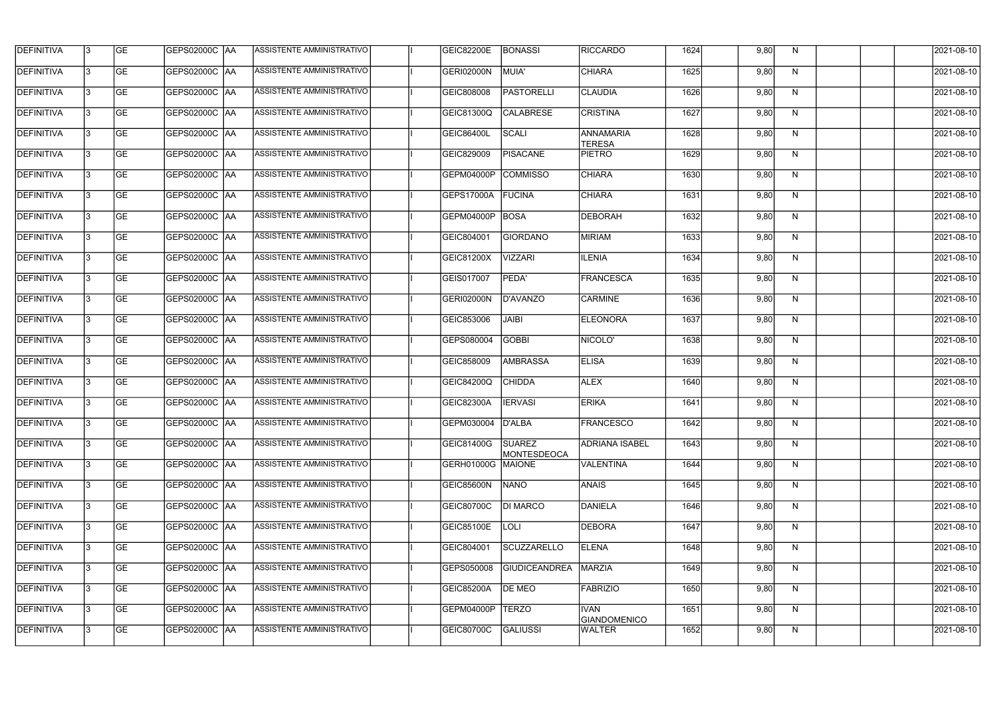| <b>DEFINITIVA</b> | l3 | GE                       | <b>GEPS02000C AA</b> | ASSISTENTE AMMINISTRATIVO        | <b>GEIC82200E</b> | BONASSI                             | <b>RICCARDO</b>                   | 1624 | 9,80 | N  | 2021-08-10          |
|-------------------|----|--------------------------|----------------------|----------------------------------|-------------------|-------------------------------------|-----------------------------------|------|------|----|---------------------|
| <b>DEFINITIVA</b> | IЗ | $\overline{\mathsf{GE}}$ | GEPS02000C AA        | ASSISTENTE AMMINISTRATIVO        | GERI02000N        | MUIA'                               | <b>CHIARA</b>                     | 1625 | 9,80 | N  | 2021-08-10          |
| <b>DEFINITIVA</b> | l3 | GE                       | GEPS02000C AA        | ASSISTENTE AMMINISTRATIVO        | GEIC808008        | <b>PASTORELLI</b>                   | <b>CLAUDIA</b>                    | 1626 | 9,80 | N  | 2021-08-10          |
| <b>DEFINITIVA</b> | l3 | GE                       | GEPS02000C   AA      | ASSISTENTE AMMINISTRATIVO        | <b>GEIC81300Q</b> | <b>CALABRESE</b>                    | <b>CRISTINA</b>                   | 1627 | 9,80 | N  | 2021-08-10          |
| <b>DEFINITIVA</b> | l3 | <b>GE</b>                | GEPS02000C AA        | ASSISTENTE AMMINISTRATIVO        | <b>GEIC86400L</b> | SCALI                               | <b>ANNAMARIA</b><br><b>TERESA</b> | 1628 | 9,80 | N  | 2021-08-10          |
| <b>DEFINITIVA</b> | IЗ | <b>GE</b>                | <b>GEPS02000C AA</b> | <b>ASSISTENTE AMMINISTRATIVO</b> | GEIC829009        | <b>PISACANE</b>                     | <b>PIETRO</b>                     | 1629 | 9,80 | N  | 2021-08-10          |
| <b>DEFINITIVA</b> | l3 | <b>GE</b>                | GEPS02000C AA        | ASSISTENTE AMMINISTRATIVO        | GEPM04000P        | <b>COMMISSO</b>                     | <b>CHIARA</b>                     | 1630 | 9,80 | N  | 2021-08-10          |
| <b>DEFINITIVA</b> | l3 | <b>GE</b>                | GEPS02000C   AA      | ASSISTENTE AMMINISTRATIVO        | GEPS17000A        | FUCINA                              | <b>CHIARA</b>                     | 1631 | 9,80 | N  | 2021-08-10          |
| <b>DEFINITIVA</b> | l3 | <b>GE</b>                | GEPS02000C   AA      | ASSISTENTE AMMINISTRATIVO        | GEPM04000P        | BOSA                                | <b>DEBORAH</b>                    | 1632 | 9,80 | N  | 2021-08-10          |
| <b>DEFINITIVA</b> | l3 | GE                       | GEPS02000C AA        | ASSISTENTE AMMINISTRATIVO        | GEIC804001        | <b>GIORDANO</b>                     | <b>MIRIAM</b>                     | 1633 | 9,80 | N  | 2021-08-10          |
| <b>DEFINITIVA</b> | l3 | GE                       | GEPS02000C AA        | ASSISTENTE AMMINISTRATIVO        | GEIC81200X        | <b>VIZZARI</b>                      | <b>ILENIA</b>                     | 1634 | 9,80 | N  | 2021-08-10          |
| <b>DEFINITIVA</b> | l3 | GE                       | GEPS02000C   AA      | ASSISTENTE AMMINISTRATIVO        | GEIS017007        | PEDA'                               | FRANCESCA                         | 1635 | 9,80 | N  | 2021-08-10          |
| <b>DEFINITIVA</b> | l3 | <b>GE</b>                | GEPS02000C   AA      | ASSISTENTE AMMINISTRATIVO        | GERI02000N        | D'AVANZO                            | <b>CARMINE</b>                    | 1636 | 9,80 | N  | 2021-08-10          |
| <b>DEFINITIVA</b> | IЗ | <b>GE</b>                | GEPS02000C AA        | ASSISTENTE AMMINISTRATIVO        | GEIC853006        | <b>JAIBI</b>                        | <b>ELEONORA</b>                   | 1637 | 9,80 | N  | 2021-08-10          |
| <b>DEFINITIVA</b> | 13 | GE                       | GEPS02000C AA        | ASSISTENTE AMMINISTRATIVO        | GEPS080004        | <b>GOBBI</b>                        | NICOLO'                           | 1638 | 9,80 | N  | 2021-08-10          |
| <b>DEFINITIVA</b> | l3 | <b>GE</b>                | GEPS02000C  AA       | ASSISTENTE AMMINISTRATIVO        | GEIC858009        | <b>AMBRASSA</b>                     | <b>ELISA</b>                      | 1639 | 9,80 | N  | 2021-08-10          |
| <b>DEFINITIVA</b> | IЗ | GE                       | GEPS02000C  AA       | ASSISTENTE AMMINISTRATIVO        | <b>GEIC84200Q</b> | <b>CHIDDA</b>                       | <b>ALEX</b>                       | 1640 | 9,80 | N  | 2021-08-10          |
| <b>DEFINITIVA</b> | l3 | GE                       | GEPS02000C   AA      | ASSISTENTE AMMINISTRATIVO        | <b>GEIC82300A</b> | <b>IERVASI</b>                      | <b>ERIKA</b>                      | 1641 | 9,80 | N  | 2021-08-10          |
| DEFINITIVA        | 13 | <b>GE</b>                | GEPS02000C  AA       | ASSISTENTE AMMINISTRATIVO        | GEPM030004 D'ALBA |                                     | <b>FRANCESCO</b>                  | 1642 | 9,80 | N. | 2021-08-10          |
| <b>DEFINITIVA</b> | l3 | GE                       | GEPS02000C AA        | ASSISTENTE AMMINISTRATIVO        | GEIC81400G        | <b>SUAREZ</b><br><b>MONTESDEOCA</b> | <b>ADRIANA ISABEL</b>             | 1643 | 9,80 | N  | 2021-08-10          |
| <b>DEFINITIVA</b> | l3 | GE                       | GEPS02000C AA        | ASSISTENTE AMMINISTRATIVO        | <b>GERH01000G</b> | <b>MAIONE</b>                       | VALENTINA                         | 1644 | 9,80 | N  | 2021-08-10          |
| <b>DEFINITIVA</b> | l3 | GE                       | GEPS02000C AA        | ASSISTENTE AMMINISTRATIVO        | GEIC85600N        | <b>NANO</b>                         | ANAIS                             | 1645 | 9,80 | N  | 2021-08-10          |
| <b>DEFINITIVA</b> | 13 | GE                       | GEPS02000C AA        | ASSISTENTE AMMINISTRATIVO        | <b>GEIC80700C</b> | <b>DI MARCO</b>                     | DANIELA                           | 1646 | 9,80 | N  | 2021-08-10          |
| <b>DEFINITIVA</b> | l3 | <b>GE</b>                | GEPS02000C  AA       | ASSISTENTE AMMINISTRATIVO        | GEIC85100E        | LOLI                                | <b>DEBORA</b>                     | 1647 | 9,80 | N  | 2021-08-10          |
| <b>DEFINITIVA</b> | l3 | <b>GE</b>                | GEPS02000C  AA       | ASSISTENTE AMMINISTRATIVO        | GEIC804001        | SCUZZARELLO                         | <b>ELENA</b>                      | 1648 | 9,80 | N  | 2021-08-10          |
| <b>DEFINITIVA</b> | l3 | <b>GE</b>                | GEPS02000C   AA      | ASSISTENTE AMMINISTRATIVO        | GEPS050008        | <b>GIUDICEANDREA</b>                | MARZIA                            | 1649 | 9,80 | N  | 2021-08-10          |
| <b>DEFINITIVA</b> | l3 | <b>GE</b>                | GEPS02000C AA        | ASSISTENTE AMMINISTRATIVO        | <b>GEIC85200A</b> | <b>DE MEO</b>                       | FABRIZIO                          | 1650 | 9,80 | N. | 2021-08-10          |
| <b>DEFINITIVA</b> | 13 | GE                       | GEPS02000C AA        | ASSISTENTE AMMINISTRATIVO        | GEPM04000P        | <b>TERZO</b>                        | <b>IVAN</b><br>GIANDOMENICO       | 1651 | 9,80 | N  | 2021-08-10          |
| DEFINITIVA        | l3 | GE                       | GEPS02000C AA        | ASSISTENTE AMMINISTRATIVO        | GEIC80700C        | GALIUSSI                            | WALTER                            | 1652 | 9,80 | N, | $\sqrt{2021-08-10}$ |
|                   |    |                          |                      |                                  |                   |                                     |                                   |      |      |    |                     |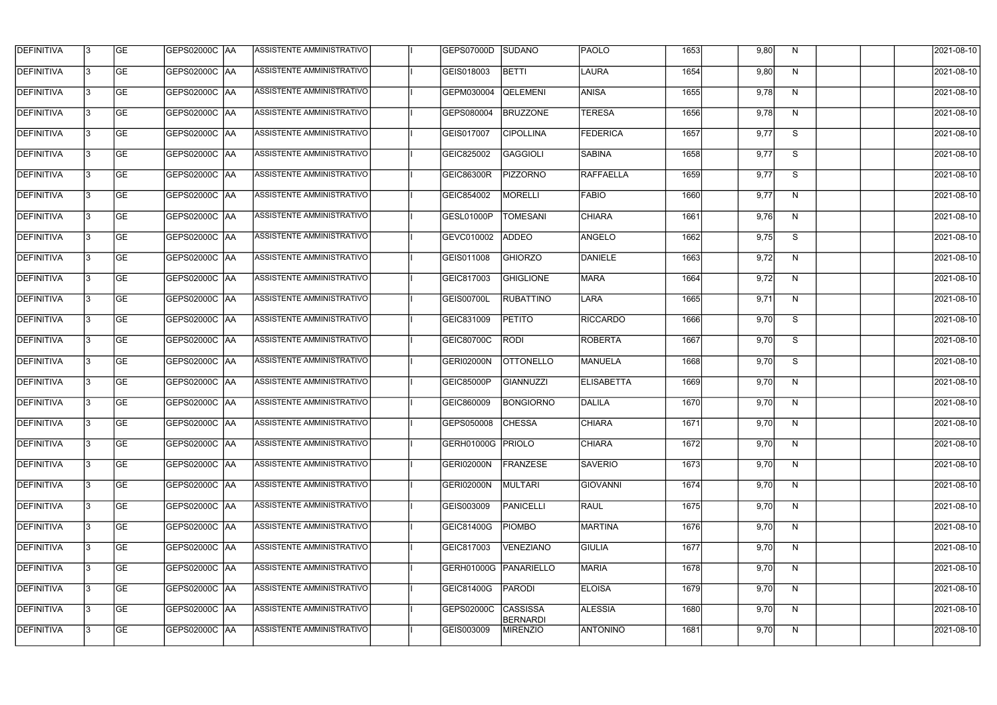| <b>DEFINITIVA</b> | 13 | GE        | GEPS02000C  AA       | ASSISTENTE AMMINISTRATIVO        | GEPS07000D        | SUDANO                             | <b>PAOLO</b>      | 1653 | 9,80 | N. | 2021-08-10 |
|-------------------|----|-----------|----------------------|----------------------------------|-------------------|------------------------------------|-------------------|------|------|----|------------|
| <b>DEFINITIVA</b> | IЗ | GE        | GEPS02000C  AA       | ASSISTENTE AMMINISTRATIVO        | GEIS018003        | <b>BETTI</b>                       | LAURA             | 1654 | 9,80 | N  | 2021-08-10 |
| <b>DEFINITIVA</b> | 13 | GE        | GEPS02000C AA        | ASSISTENTE AMMINISTRATIVO        | GEPM030004        | <b>QELEMENI</b>                    | <b>ANISA</b>      | 1655 | 9,78 | N  | 2021-08-10 |
| <b>DEFINITIVA</b> | l3 | <b>GE</b> | <b>GEPS02000C AA</b> | ASSISTENTE AMMINISTRATIVO        | GEPS080004        | <b>BRUZZONE</b>                    | <b>TERESA</b>     | 1656 | 9,78 | N  | 2021-08-10 |
| <b>DEFINITIVA</b> | l3 | GE        | GEPS02000C AA        | ASSISTENTE AMMINISTRATIVO        | GEIS017007        | <b>CIPOLLINA</b>                   | <b>FEDERICA</b>   | 1657 | 9,77 | S  | 2021-08-10 |
| <b>DEFINITIVA</b> | l3 | <b>GE</b> | <b>GEPS02000C AA</b> | ASSISTENTE AMMINISTRATIVO        | GEIC825002        | GAGGIOLI                           | <b>SABINA</b>     | 1658 | 9,77 | S  | 2021-08-10 |
| <b>DEFINITIVA</b> | l3 | <b>GE</b> | GEPS02000C AA        | ASSISTENTE AMMINISTRATIVO        | <b>GEIC86300R</b> | <b>PIZZORNO</b>                    | <b>RAFFAELLA</b>  | 1659 | 9,77 | S  | 2021-08-10 |
| <b>DEFINITIVA</b> | l3 | <b>GE</b> | GEPS02000C AA        | ASSISTENTE AMMINISTRATIVO        | GEIC854002        | <b>MORELLI</b>                     | <b>FABIO</b>      | 1660 | 9,77 | N  | 2021-08-10 |
| <b>DEFINITIVA</b> | l3 | <b>GE</b> | GEPS02000C AA        | ASSISTENTE AMMINISTRATIVO        | GESL01000P        | <b>TOMESANI</b>                    | <b>CHIARA</b>     | 1661 | 9,76 | N  | 2021-08-10 |
| <b>DEFINITIVA</b> | l3 | GE        | GEPS02000C   AA      | ASSISTENTE AMMINISTRATIVO        | GEVC010002        | <b>ADDEO</b>                       | ANGELO            | 1662 | 9,75 | S  | 2021-08-10 |
| <b>DEFINITIVA</b> | 13 | GE        | GEPS02000C AA        | ASSISTENTE AMMINISTRATIVO        | GEIS011008        | <b>GHIORZO</b>                     | DANIELE           | 1663 | 9,72 | N  | 2021-08-10 |
| <b>DEFINITIVA</b> | l3 | <b>GE</b> | GEPS02000C AA        | <b>ASSISTENTE AMMINISTRATIVO</b> | GEIC817003        | <b>GHIGLIONE</b>                   | <b>MARA</b>       | 1664 | 9,72 | N  | 2021-08-10 |
| <b>DEFINITIVA</b> | l3 | GE        | GEPS02000C  AA       | ASSISTENTE AMMINISTRATIVO        | GEIS00700L        | <b>RUBATTINO</b>                   | LARA              | 1665 | 9,71 | N  | 2021-08-10 |
| <b>DEFINITIVA</b> | l3 | <b>GE</b> | GEPS02000C AA        | ASSISTENTE AMMINISTRATIVO        | GEIC831009        | <b>PETITO</b>                      | <b>RICCARDO</b>   | 1666 | 9,70 | S  | 2021-08-10 |
| <b>DEFINITIVA</b> | l3 | <b>GE</b> | GEPS02000C  AA       | ASSISTENTE AMMINISTRATIVO        | GEIC80700C        | <b>RODI</b>                        | ROBERTA           | 1667 | 9,70 | S  | 2021-08-10 |
| <b>DEFINITIVA</b> | 13 | GE        | GEPS02000C   AA      | ASSISTENTE AMMINISTRATIVO        | GERI02000N        | <b>OTTONELLO</b>                   | MANUELA           | 1668 | 9,70 | S  | 2021-08-10 |
| <b>DEFINITIVA</b> | l3 | <b>GE</b> | GEPS02000C   AA      | ASSISTENTE AMMINISTRATIVO        | <b>GEIC85000P</b> | <b>GIANNUZZI</b>                   | <b>ELISABETTA</b> | 1669 | 9,70 | N  | 2021-08-10 |
| <b>DEFINITIVA</b> | IЗ | <b>GE</b> | GEPS02000C  AA       | ASSISTENTE AMMINISTRATIVO        | GEIC860009        | <b>BONGIORNO</b>                   | <b>DALILA</b>     | 1670 | 9,70 | N  | 2021-08-10 |
| <b>DEFINITIVA</b> | IЗ | GE        | GEPS02000C  AA       | <b>ASSISTENTE AMMINISTRATIVO</b> | GEPS050008 CHESSA |                                    | <b>CHIARA</b>     | 1671 | 9,70 | N, | 2021-08-10 |
| <b>DEFINITIVA</b> | l3 | GE        | <b>GEPS02000C AA</b> | ASSISTENTE AMMINISTRATIVO        | GERH01000G PRIOLO |                                    | <b>CHIARA</b>     | 1672 | 9,70 | N  | 2021-08-10 |
| <b>DEFINITIVA</b> | l3 | GE        | GEPS02000C AA        | ASSISTENTE AMMINISTRATIVO        | <b>GERI02000N</b> | FRANZESE                           | <b>SAVERIO</b>    | 1673 | 9,70 | N  | 2021-08-10 |
| <b>DEFINITIVA</b> | 13 | <b>GE</b> | GEPS02000C AA        | ASSISTENTE AMMINISTRATIVO        | <b>GERI02000N</b> | MULTARI                            | <b>GIOVANNI</b>   | 1674 | 9,70 | N  | 2021-08-10 |
| <b>DEFINITIVA</b> | l3 | <b>GE</b> | GEPS02000C AA        | ASSISTENTE AMMINISTRATIVO        | GEIS003009        | <b>PANICELLI</b>                   | <b>RAUL</b>       | 1675 | 9,70 | N  | 2021-08-10 |
| <b>DEFINITIVA</b> | 13 | <b>GE</b> | GEPS02000C AA        | ASSISTENTE AMMINISTRATIVO        | GEIC81400G        | <b>PIOMBO</b>                      | MARTINA           | 1676 | 9,70 | N  | 2021-08-10 |
| <b>DEFINITIVA</b> | l3 | <b>GE</b> | GEPS02000C  AA       | ASSISTENTE AMMINISTRATIVO        | GEIC817003        | VENEZIANO                          | <b>GIULIA</b>     | 1677 | 9,70 | N  | 2021-08-10 |
| <b>DEFINITIVA</b> | l3 | <b>GE</b> | GEPS02000C AA        | ASSISTENTE AMMINISTRATIVO        | GERH01000G        | PANARIELLO                         | <b>MARIA</b>      | 1678 | 9,70 | N  | 2021-08-10 |
| <b>DEFINITIVA</b> | l3 | GE        | GEPS02000C  AA       | ASSISTENTE AMMINISTRATIVO        | <b>GEIC81400G</b> | PARODI                             | <b>ELOISA</b>     | 1679 | 9,70 | N  | 2021-08-10 |
| <b>DEFINITIVA</b> | l3 | GE        | GEPS02000C AA        | ASSISTENTE AMMINISTRATIVO        | GEPS02000C        | <b>CASSISSA</b><br><b>BERNARDI</b> | <b>ALESSIA</b>    | 1680 | 9,70 | N  | 2021-08-10 |
| <b>DEFINITIVA</b> | l3 | GE        | GEPS02000C AA        | ASSISTENTE AMMINISTRATIVO        | GEIS003009        | <b>MIRENZIO</b>                    | <b>ANTONINO</b>   | 1681 | 9,70 | N  | 2021-08-10 |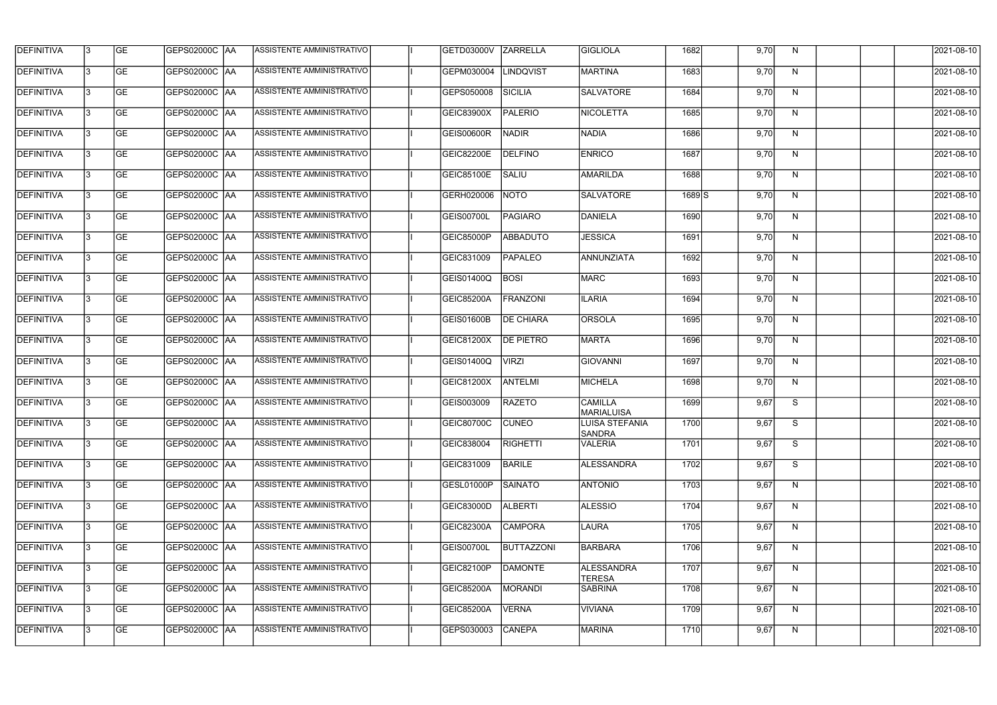| <b>DEFINITIVA</b> | 13  | <b>GE</b> |                      | ASSISTENTE AMMINISTRATIVO        | GETD03000V        | <b>ZARRELLA</b>   | <b>GIGLIOLA</b>                        | 1682  | 9,70 | N. | 2021-08-10       |
|-------------------|-----|-----------|----------------------|----------------------------------|-------------------|-------------------|----------------------------------------|-------|------|----|------------------|
| DEFINITIVA        | l3  | <b>GE</b> | GEPS02000C  AA       | ASSISTENTE AMMINISTRATIVO        | GEPM030004        | <b>LINDQVIST</b>  | <b>MARTINA</b>                         | 1683  | 9,70 | N  | 2021-08-10       |
| <b>DEFINITIVA</b> | l3  | <b>GE</b> | <b>GEPS02000C AA</b> | ASSISTENTE AMMINISTRATIVO        | GEPS050008        | SICILIA           | <b>SALVATORE</b>                       | 1684  | 9,70 | N  | 2021-08-10       |
| <b>DEFINITIVA</b> | 13  | <b>GE</b> | <b>GEPS02000C AA</b> | ASSISTENTE AMMINISTRATIVO        | GEIC83900X        | <b>PALERIO</b>    | <b>NICOLETTA</b>                       | 1685  | 9,70 | N  | 2021-08-10       |
| <b>DEFINITIVA</b> | l3  | <b>GE</b> | GEPS02000C  AA       | ASSISTENTE AMMINISTRATIVO        | <b>GEIS00600R</b> | <b>NADIR</b>      | NADIA                                  | 1686  | 9,70 | N  | 2021-08-10       |
| <b>DEFINITIVA</b> | IЗ  | <b>GE</b> | GEPS02000C AA        | ASSISTENTE AMMINISTRATIVO        | <b>GEIC82200E</b> | <b>DELFINO</b>    | <b>ENRICO</b>                          | 1687  | 9,70 | N  | 2021-08-10       |
| <b>DEFINITIVA</b> | l3  | <b>GE</b> | <b>GEPS02000C AA</b> | <b>ASSISTENTE AMMINISTRATIVO</b> | GEIC85100E        | SALIU             | <b>AMARILDA</b>                        | 1688  | 9,70 | N  | 2021-08-10       |
| <b>DEFINITIVA</b> | l3  | <b>GE</b> | GEPS02000C AA        | ASSISTENTE AMMINISTRATIVO        | GERH020006        | NOTO              | <b>SALVATORE</b>                       | 1689S | 9,70 | N  | 2021-08-10       |
| <b>DEFINITIVA</b> | l3  | <b>GE</b> | GEPS02000C  AA       | ASSISTENTE AMMINISTRATIVO        | GEIS00700L        | <b>PAGIARO</b>    | DANIELA                                | 1690  | 9,70 | N  | 2021-08-10       |
| <b>DEFINITIVA</b> | l3  | <b>GE</b> | GEPS02000C AA        | ASSISTENTE AMMINISTRATIVO        | GEIC85000P        | <b>ABBADUTO</b>   | <b>JESSICA</b>                         | 1691  | 9,70 | N  | 2021-08-10       |
| <b>DEFINITIVA</b> | l3  | <b>GE</b> | GEPS02000C AA        | ASSISTENTE AMMINISTRATIVO        | GEIC831009        | <b>PAPALEO</b>    | ANNUNZIATA                             | 1692  | 9,70 | N  | 2021-08-10       |
| <b>DEFINITIVA</b> | 13  | <b>GE</b> | GEPS02000C  AA       | ASSISTENTE AMMINISTRATIVO        | GEIS01400Q        | <b>BOSI</b>       | <b>MARC</b>                            | 1693  | 9,70 | N  | 2021-08-10       |
| <b>DEFINITIVA</b> | l3  | <b>GE</b> | GEPS02000C  AA       | ASSISTENTE AMMINISTRATIVO        | <b>GEIC85200A</b> | <b>FRANZONI</b>   | <b>ILARIA</b>                          | 1694  | 9,70 | N  | 2021-08-10       |
| <b>DEFINITIVA</b> | l3  | <b>GE</b> | GEPS02000C AA        | ASSISTENTE AMMINISTRATIVO        | GEIS01600B        | <b>DE CHIARA</b>  | ORSOLA                                 | 1695  | 9,70 | N  | 2021-08-10       |
| <b>DEFINITIVA</b> | l3  | <b>GE</b> | GEPS02000C  AA       | ASSISTENTE AMMINISTRATIVO        | <b>GEIC81200X</b> | <b>DE PIETRO</b>  | <b>MARTA</b>                           | 1696  | 9,70 | N  | 2021-08-10       |
| <b>DEFINITIVA</b> | IЗ  | <b>GE</b> | GEPS02000C  AA       | ASSISTENTE AMMINISTRATIVO        | GEIS01400Q        | <b>VIRZI</b>      | <b>GIOVANNI</b>                        | 1697  | 9,70 | N  | 2021-08-10       |
| <b>DEFINITIVA</b> | IЗ  | <b>GE</b> | GEPS02000C  AA       | ASSISTENTE AMMINISTRATIVO        | GEIC81200X        | <b>ANTELMI</b>    | <b>MICHELA</b>                         | 1698  | 9,70 | N  | 2021-08-10       |
| <b>DEFINITIVA</b> |     | <b>GE</b> | GEPS02000C  AA       | ASSISTENTE AMMINISTRATIVO        | GEIS003009        | <b>RAZETO</b>     | <b>CAMILLA</b><br><b>MARIALUISA</b>    | 1699  | 9,67 | S  | 2021-08-10       |
| <b>DEFINITIVA</b> | IЗ  | GE        | GEPS02000C  AA       | <b>ASSISTENTE AMMINISTRATIVO</b> | <b>GEIC80700C</b> | <b>CUNEO</b>      | <b>LUISA STEFANIA</b><br><b>SANDRA</b> | 1700  | 9,67 | S. | 2021-08-10       |
| <b>DEFINITIVA</b> | 13. | <b>GE</b> | GEPS02000C AA        | ASSISTENTE AMMINISTRATIVO        | GEIC838004        | <b>RIGHETTI</b>   | <b>VALERIA</b>                         | 1701  | 9,67 | S  | 2021-08-10       |
| <b>DEFINITIVA</b> | 13  | <b>GE</b> | <b>GEPS02000C AA</b> | ASSISTENTE AMMINISTRATIVO        | GEIC831009        | <b>BARILE</b>     | <b>ALESSANDRA</b>                      | 1702  | 9,67 | S  | 2021-08-10       |
| <b>DEFINITIVA</b> | 13. | <b>GE</b> | <b>GEPS02000C AA</b> | ASSISTENTE AMMINISTRATIVO        | GESL01000P        | <b>SAINATO</b>    | <b>ANTONIO</b>                         | 1703  | 9,67 | N  | $2021 - 08 - 10$ |
| <b>DEFINITIVA</b> | 13  | <b>GE</b> | GEPS02000C AA        | ASSISTENTE AMMINISTRATIVO        | <b>GEIC83000D</b> | <b>ALBERTI</b>    | <b>ALESSIO</b>                         | 1704  | 9,67 | N  | 2021-08-10       |
| <b>DEFINITIVA</b> | 13  | <b>GE</b> | GEPS02000C AA        | ASSISTENTE AMMINISTRATIVO        | GEIC82300A        | <b>CAMPORA</b>    | LAURA                                  | 1705  | 9,67 | N  | 2021-08-10       |
| <b>DEFINITIVA</b> | 13. | <b>GE</b> | GEPS02000C  AA       | ASSISTENTE AMMINISTRATIVO        | GEIS00700L        | <b>BUTTAZZONI</b> | BARBARA                                | 1706  | 9,67 | N  | 2021-08-10       |
| DEFINITIVA        | l3  | <b>GE</b> | GEPS02000C  AA       | ASSISTENTE AMMINISTRATIVO        | <b>GEIC82100P</b> | <b>DAMONTE</b>    | ALESSANDRA<br><b>TERESA</b>            | 1707  | 9,67 | N  | 2021-08-10       |
| DEFINITIVA        | l3  | <b>GE</b> | GEPS02000C  AA       | ASSISTENTE AMMINISTRATIVO        | <b>GEIC85200A</b> | MORANDI           | SABRINA                                | 1708  | 9,67 | N  | 2021-08-10       |
| <b>DEFINITIVA</b> | l3  | <b>GE</b> | GEPS02000C  AA       | ASSISTENTE AMMINISTRATIVO        | <b>GEIC85200A</b> | <b>VERNA</b>      | <b>VIVIANA</b>                         | 1709  | 9,67 | N  | 2021-08-10       |
| <b>DEFINITIVA</b> | lЗ  | <b>GE</b> | GEPS02000C  AA       | ASSISTENTE AMMINISTRATIVO        | GEPS030003        | <b>CANEPA</b>     | <b>MARINA</b>                          | 1710  | 9,67 | N  | 2021-08-10       |
|                   |     |           |                      |                                  |                   |                   |                                        |       |      |    |                  |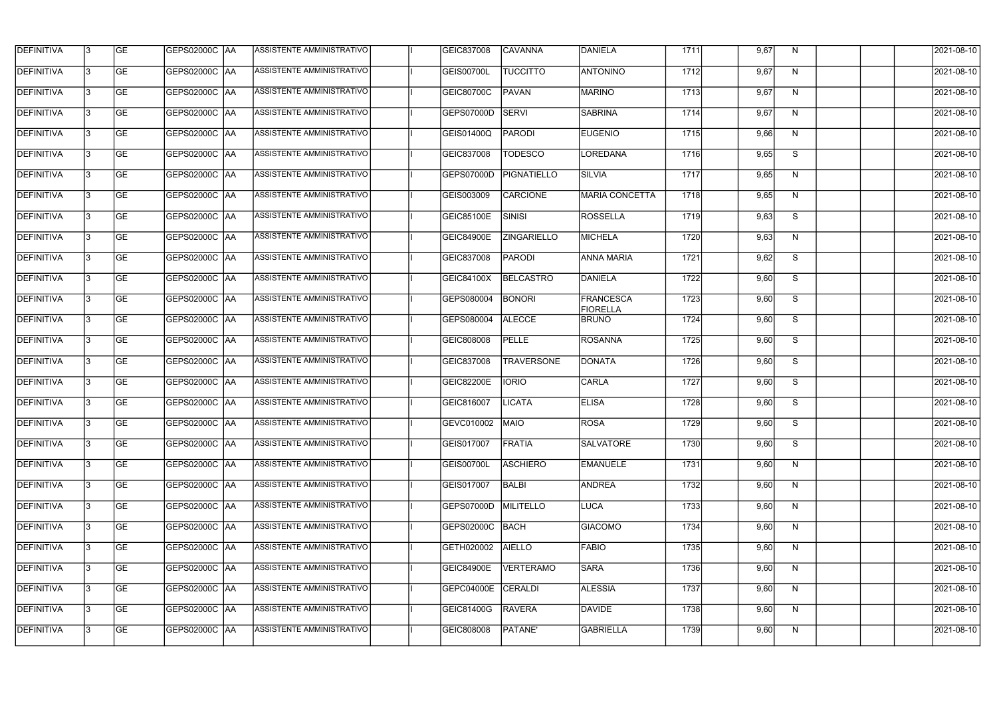| <b>DEFINITIVA</b> | 13  | <b>GE</b> | <b>GEPS02000C AA</b> | ASSISTENTE AMMINISTRATIVO | GEIC837008        | <b>CAVANNA</b>     | DANIELA                             | 1711 | 9,67 | N            | 2021-08-10 |
|-------------------|-----|-----------|----------------------|---------------------------|-------------------|--------------------|-------------------------------------|------|------|--------------|------------|
| DEFINITIVA        | l3  | <b>GE</b> | <b>GEPS02000C AA</b> | ASSISTENTE AMMINISTRATIVO | GEIS00700L        | <b>TUCCITTO</b>    | <b>ANTONINO</b>                     | 1712 | 9,67 | N            | 2021-08-10 |
| <b>DEFINITIVA</b> | l3  | <b>GE</b> | <b>GEPS02000C AA</b> | ASSISTENTE AMMINISTRATIVO | GEIC80700C        | <b>PAVAN</b>       | <b>MARINO</b>                       | 1713 | 9,67 | N            | 2021-08-10 |
| <b>DEFINITIVA</b> | l3  | <b>GE</b> | <b>GEPS02000C AA</b> | ASSISTENTE AMMINISTRATIVO | GEPS07000D        | <b>SERVI</b>       | <b>SABRINA</b>                      | 1714 | 9,67 | $\mathsf{N}$ | 2021-08-10 |
| <b>DEFINITIVA</b> | l3  | <b>GE</b> | <b>GEPS02000C AA</b> | ASSISTENTE AMMINISTRATIVO | GEIS01400Q        | <b>PARODI</b>      | <b>EUGENIO</b>                      | 1715 | 9,66 | N            | 2021-08-10 |
| <b>DEFINITIVA</b> | IЗ  | <b>GE</b> | <b>GEPS02000C AA</b> | ASSISTENTE AMMINISTRATIVO | GEIC837008        | <b>TODESCO</b>     | LOREDANA                            | 1716 | 9,65 | S            | 2021-08-10 |
| <b>DEFINITIVA</b> | l3  | <b>GE</b> | GEPS02000C AA        | ASSISTENTE AMMINISTRATIVO | GEPS07000D        | <b>PIGNATIELLO</b> | SILVIA                              | 1717 | 9,65 | N            | 2021-08-10 |
| <b>DEFINITIVA</b> | l3  | <b>GE</b> | <b>GEPS02000C AA</b> | ASSISTENTE AMMINISTRATIVO | GEIS003009        | <b>CARCIONE</b>    | <b>MARIA CONCETTA</b>               | 1718 | 9,65 | N            | 2021-08-10 |
| <b>DEFINITIVA</b> |     | <b>GE</b> |                      | ASSISTENTE AMMINISTRATIVO | <b>GEIC85100E</b> | SINISI             | <b>ROSSELLA</b>                     | 1719 | 9,63 | S            | 2021-08-10 |
| <b>DEFINITIVA</b> | l3  | <b>GE</b> | GEPS02000C AA        | ASSISTENTE AMMINISTRATIVO | <b>GEIC84900E</b> | <b>ZINGARIELLO</b> | MICHELA                             | 1720 | 9,63 | N            | 2021-08-10 |
| <b>DEFINITIVA</b> | l3  | <b>GE</b> | GEPS02000C AA        | ASSISTENTE AMMINISTRATIVO | GEIC837008        | <b>PARODI</b>      | <b>ANNA MARIA</b>                   | 1721 | 9,62 | S            | 2021-08-10 |
| <b>DEFINITIVA</b> | l3  | <b>GE</b> |                      | ASSISTENTE AMMINISTRATIVO | GEIC84100X        | <b>BELCASTRO</b>   | DANIELA                             | 1722 | 9,60 | S            | 2021-08-10 |
| <b>DEFINITIVA</b> | l3  | <b>GE</b> | GEPS02000C AA        | ASSISTENTE AMMINISTRATIVO | GEPS080004        | <b>BONORI</b>      | <b>FRANCESCA</b><br><b>FIORELLA</b> | 1723 | 9,60 | S            | 2021-08-10 |
| <b>DEFINITIVA</b> | l3  | <b>GE</b> | GEPS02000C  AA       | ASSISTENTE AMMINISTRATIVO | GEPS080004        | <b>ALECCE</b>      | <b>BRUNO</b>                        | 1724 | 9,60 | S            | 2021-08-10 |
| <b>DEFINITIVA</b> | l3  | <b>GE</b> |                      | ASSISTENTE AMMINISTRATIVO | GEIC808008        | <b>PELLE</b>       | <b>ROSANNA</b>                      | 1725 | 9,60 | S            | 2021-08-10 |
| <b>DEFINITIVA</b> | IЗ  | <b>GE</b> | GEPS02000C  AA       | ASSISTENTE AMMINISTRATIVO | GEIC837008        | <b>TRAVERSONE</b>  | <b>DONATA</b>                       | 1726 | 9,60 | S            | 2021-08-10 |
| <b>DEFINITIVA</b> | I3  | <b>GE</b> | GEPS02000C  AA       | ASSISTENTE AMMINISTRATIVO | <b>GEIC82200E</b> | <b>IORIO</b>       | <b>CARLA</b>                        | 1727 | 9,60 | S            | 2021-08-10 |
| DEFINITIVA        |     | <b>GE</b> | GEPS02000C AA        | ASSISTENTE AMMINISTRATIVO | GEIC816007        | <b>LICATA</b>      | <b>ELISA</b>                        | 1728 | 9,60 | S            | 2021-08-10 |
| <b>DEFINITIVA</b> | 13  | <b>GE</b> | GEPS02000C  AA       | ASSISTENTE AMMINISTRATIVO | GEVC010002   MAIO |                    | ROSA                                | 1729 | 9,60 | S.           | 2021-08-10 |
| <b>DEFINITIVA</b> | 13  | <b>GE</b> | <b>GEPS02000C AA</b> | ASSISTENTE AMMINISTRATIVO | GEIS017007        | FRATIA             | <b>SALVATORE</b>                    | 1730 | 9,60 | S            | 2021-08-10 |
| <b>DEFINITIVA</b> | 13  | <b>GE</b> | GEPS02000C  AA       | ASSISTENTE AMMINISTRATIVO | GEIS00700L        | <b>ASCHIERO</b>    | <b>EMANUELE</b>                     | 1731 | 9,60 | N            | 2021-08-10 |
| <b>DEFINITIVA</b> | 13. | <b>GE</b> | GEPS02000C AA        | ASSISTENTE AMMINISTRATIVO | GEIS017007        | BALBI              | <b>ANDREA</b>                       | 1732 | 9,60 | N            | 2021-08-10 |
| <b>DEFINITIVA</b> | 13  | <b>GE</b> | GEPS02000C AA        | ASSISTENTE AMMINISTRATIVO | GEPS07000D        | <b>MILITELLO</b>   | <b>LUCA</b>                         | 1733 | 9,60 | N            | 2021-08-10 |
| <b>DEFINITIVA</b> | 13  | <b>GE</b> | GEPS02000C  AA       | ASSISTENTE AMMINISTRATIVO | GEPS02000C        | BACH               | <b>GIACOMO</b>                      | 1734 | 9,60 | N            | 2021-08-10 |
| <b>DEFINITIVA</b> | IЗ  | <b>GE</b> | GEPS02000C  AA       | ASSISTENTE AMMINISTRATIVO | GETH020002        | <b>AIELLO</b>      | <b>FABIO</b>                        | 1735 | 9,60 | N            | 2021-08-10 |
| DEFINITIVA        | IЗ  | <b>GE</b> | GEPS02000C  AA       | ASSISTENTE AMMINISTRATIVO | <b>GEIC84900E</b> | <b>VERTERAMO</b>   | <b>SARA</b>                         | 1736 | 9,60 | N            | 2021-08-10 |
| <b>DEFINITIVA</b> | l3  | <b>GE</b> | GEPS02000C  AA       | ASSISTENTE AMMINISTRATIVO | GEPC04000E        | CERALDI            | <b>ALESSIA</b>                      | 1737 | 9,60 | N.           | 2021-08-10 |
| <b>DEFINITIVA</b> | 13. | <b>GE</b> | GEPS02000C  AA       | ASSISTENTE AMMINISTRATIVO | GEIC81400G        | <b>RAVERA</b>      | DAVIDE                              | 1738 | 9,60 | N            | 2021-08-10 |
| <b>DEFINITIVA</b> | IЗ  | <b>GE</b> | GEPS02000C  AA       | ASSISTENTE AMMINISTRATIVO | GEIC808008        | PATANE'            | <b>GABRIELLA</b>                    | 1739 | 9,60 | N            | 2021-08-10 |
|                   |     |           |                      |                           |                   |                    |                                     |      |      |              |            |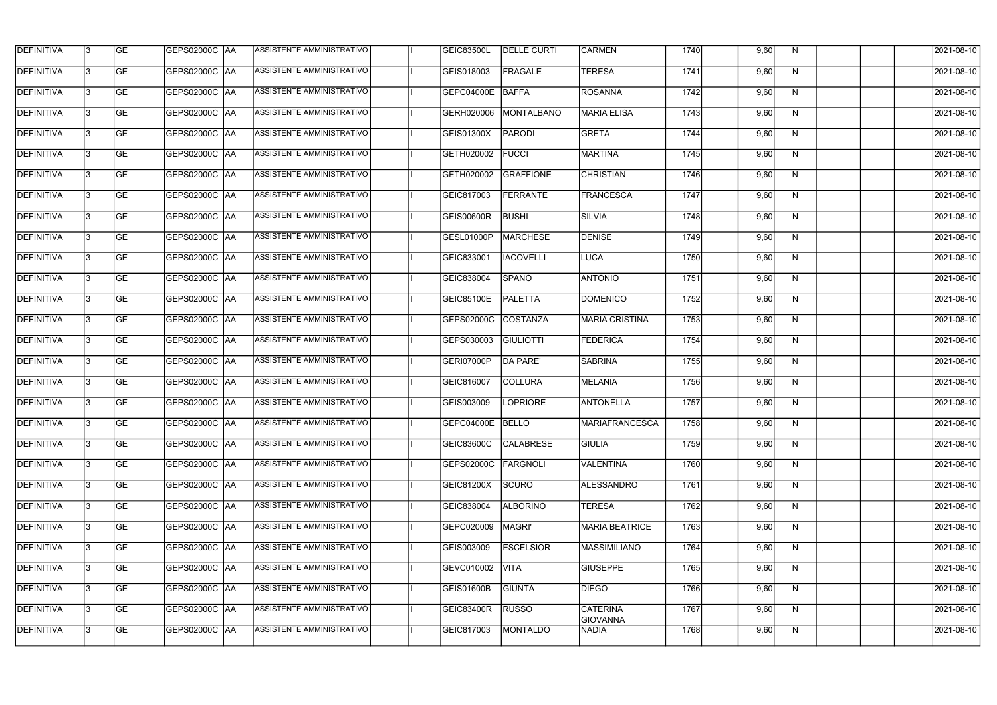| <b>DEFINITIVA</b> | 13  | <b>GE</b> | GEPS02000C  AA       | ASSISTENTE AMMINISTRATIVO        | <b>GEIC83500L</b> | <b>DELLE CURTI</b> | <b>CARMEN</b>                      | 1740 | 9,60 | N. | 2021-08-10       |
|-------------------|-----|-----------|----------------------|----------------------------------|-------------------|--------------------|------------------------------------|------|------|----|------------------|
| DEFINITIVA        | l3  | <b>GE</b> | GEPS02000C  AA       | ASSISTENTE AMMINISTRATIVO        | GEIS018003        | <b>FRAGALE</b>     | <b>TERESA</b>                      | 1741 | 9,60 | N  | 2021-08-10       |
| <b>DEFINITIVA</b> | l3  | <b>GE</b> | <b>GEPS02000C AA</b> | ASSISTENTE AMMINISTRATIVO        | GEPC04000E        | BAFFA              | <b>ROSANNA</b>                     | 1742 | 9,60 | N  | 2021-08-10       |
| <b>DEFINITIVA</b> | l3  | <b>GE</b> | <b>GEPS02000C AA</b> | ASSISTENTE AMMINISTRATIVO        | GERH020006        | MONTALBANO         | <b>MARIA ELISA</b>                 | 1743 | 9,60 | N  | 2021-08-10       |
| <b>DEFINITIVA</b> | l3  | <b>GE</b> | GEPS02000C  AA       | ASSISTENTE AMMINISTRATIVO        | GEIS01300X        | <b>PARODI</b>      | <b>GRETA</b>                       | 1744 | 9,60 | N  | 2021-08-10       |
| <b>DEFINITIVA</b> | IЗ  | <b>GE</b> | GEPS02000C AA        | ASSISTENTE AMMINISTRATIVO        | GETH020002        | <b>FUCCI</b>       | <b>MARTINA</b>                     | 1745 | 9,60 | N  | 2021-08-10       |
| <b>DEFINITIVA</b> | l3  | <b>GE</b> | <b>GEPS02000C AA</b> | <b>ASSISTENTE AMMINISTRATIVO</b> | GETH020002        | <b>GRAFFIONE</b>   | <b>CHRISTIAN</b>                   | 1746 | 9,60 | N  | 2021-08-10       |
| <b>DEFINITIVA</b> | l3  | <b>GE</b> | GEPS02000C AA        | ASSISTENTE AMMINISTRATIVO        | GEIC817003        | <b>FERRANTE</b>    | FRANCESCA                          | 1747 | 9,60 | N  | 2021-08-10       |
| <b>DEFINITIVA</b> | l3  | <b>GE</b> | GEPS02000C  AA       | ASSISTENTE AMMINISTRATIVO        | <b>GEIS00600R</b> | <b>BUSHI</b>       | <b>SILVIA</b>                      | 1748 | 9,60 | N  | 2021-08-10       |
| <b>DEFINITIVA</b> | l3  | <b>GE</b> | GEPS02000C AA        | ASSISTENTE AMMINISTRATIVO        | GESL01000P        | <b>MARCHESE</b>    | <b>DENISE</b>                      | 1749 | 9,60 | N  | 2021-08-10       |
| <b>DEFINITIVA</b> | l3  | <b>GE</b> | GEPS02000C AA        | ASSISTENTE AMMINISTRATIVO        | GEIC833001        | <b>IACOVELLI</b>   | LUCA                               | 1750 | 9,60 | N  | 2021-08-10       |
| <b>DEFINITIVA</b> | 13  | <b>GE</b> | GEPS02000C  AA       | ASSISTENTE AMMINISTRATIVO        | GEIC838004        | <b>SPANO</b>       | <b>ANTONIO</b>                     | 1751 | 9,60 | N  | 2021-08-10       |
| <b>DEFINITIVA</b> | l3  | <b>GE</b> | GEPS02000C  AA       | ASSISTENTE AMMINISTRATIVO        | <b>GEIC85100E</b> | PALETTA            | <b>DOMENICO</b>                    | 1752 | 9,60 | N  | 2021-08-10       |
| <b>DEFINITIVA</b> | l3  | <b>GE</b> | GEPS02000C AA        | ASSISTENTE AMMINISTRATIVO        | GEPS02000C        | COSTANZA           | <b>MARIA CRISTINA</b>              | 1753 | 9,60 | N  | 2021-08-10       |
| <b>DEFINITIVA</b> | l3  | <b>GE</b> | GEPS02000C  AA       | ASSISTENTE AMMINISTRATIVO        | GEPS030003        | <b>GIULIOTTI</b>   | <b>FEDERICA</b>                    | 1754 | 9,60 | N  | 2021-08-10       |
| <b>DEFINITIVA</b> | IЗ  | <b>GE</b> | GEPS02000C  AA       | ASSISTENTE AMMINISTRATIVO        | GERI07000P        | DA PARE'           | <b>SABRINA</b>                     | 1755 | 9,60 | N  | 2021-08-10       |
| <b>DEFINITIVA</b> | l3  | <b>GE</b> | GEPS02000C  AA       | ASSISTENTE AMMINISTRATIVO        | GEIC816007        | <b>COLLURA</b>     | <b>MELANIA</b>                     | 1756 | 9,60 | N  | 2021-08-10       |
| <b>DEFINITIVA</b> |     | <b>GE</b> | GEPS02000C  AA       | ASSISTENTE AMMINISTRATIVO        | GEIS003009        | <b>LOPRIORE</b>    | <b>ANTONELLA</b>                   | 1757 | 9,60 | N  | 2021-08-10       |
| <b>DEFINITIVA</b> | IЗ  | GE        | GEPS02000C  AA       | <b>ASSISTENTE AMMINISTRATIVO</b> | GEPC04000E BELLO  |                    | <b> MARIAFRANCESCA</b>             | 1758 | 9,60 | N, | 2021-08-10       |
| <b>DEFINITIVA</b> | 13. | <b>GE</b> | GEPS02000C AA        | ASSISTENTE AMMINISTRATIVO        | <b>GEIC83600C</b> | <b>CALABRESE</b>   | <b>GIULIA</b>                      | 1759 | 9,60 | N  | 2021-08-10       |
| <b>DEFINITIVA</b> | 13. | <b>GE</b> | <b>GEPS02000C AA</b> | ASSISTENTE AMMINISTRATIVO        | GEPS02000C        | FARGNOLI           | VALENTINA                          | 1760 | 9,60 | N  | 2021-08-10       |
| <b>DEFINITIVA</b> | 13. | <b>GE</b> | <b>GEPS02000C AA</b> | ASSISTENTE AMMINISTRATIVO        | GEIC81200X        | SCURO              | ALESSANDRO                         | 1761 | 9,60 | N  | $2021 - 08 - 10$ |
| <b>DEFINITIVA</b> | 13  | <b>GE</b> | GEPS02000C AA        | ASSISTENTE AMMINISTRATIVO        | GEIC838004        | <b>ALBORINO</b>    | TERESA                             | 1762 | 9,60 | N  | 2021-08-10       |
| <b>DEFINITIVA</b> | 13  | <b>GE</b> | GEPS02000C AA        | ASSISTENTE AMMINISTRATIVO        | GEPC020009        | MAGRI'             | <b>MARIA BEATRICE</b>              | 1763 | 9,60 | N  | 2021-08-10       |
| <b>DEFINITIVA</b> | l3  | <b>GE</b> | GEPS02000C  AA       | ASSISTENTE AMMINISTRATIVO        | GEIS003009        | <b>ESCELSIOR</b>   | <b>MASSIMILIANO</b>                | 1764 | 9,60 | N  | 2021-08-10       |
| DEFINITIVA        | l3  | <b>GE</b> | GEPS02000C  AA       | ASSISTENTE AMMINISTRATIVO        | GEVC010002        | <b>VITA</b>        | <b>GIUSEPPE</b>                    | 1765 | 9,60 | N  | 2021-08-10       |
| DEFINITIVA        | l3  | <b>GE</b> | GEPS02000C  AA       | ASSISTENTE AMMINISTRATIVO        | <b>GEIS01600B</b> | <b>GIUNTA</b>      | <b>DIEGO</b>                       | 1766 | 9,60 | N  | 2021-08-10       |
| <b>DEFINITIVA</b> | l3  | <b>GE</b> | <b>GEPS02000C AA</b> | ASSISTENTE AMMINISTRATIVO        | GEIC83400R        | <b>RUSSO</b>       | <b>CATERINA</b><br><b>GIOVANNA</b> | 1767 | 9,60 | N  | 2021-08-10       |
| <b>DEFINITIVA</b> | IЗ  | <b>GE</b> | GEPS02000C  AA       | ASSISTENTE AMMINISTRATIVO        | GEIC817003        | <b>MONTALDO</b>    | NADIA                              | 1768 | 9,60 | N  | 2021-08-10       |
|                   |     |           |                      |                                  |                   |                    |                                    |      |      |    |                  |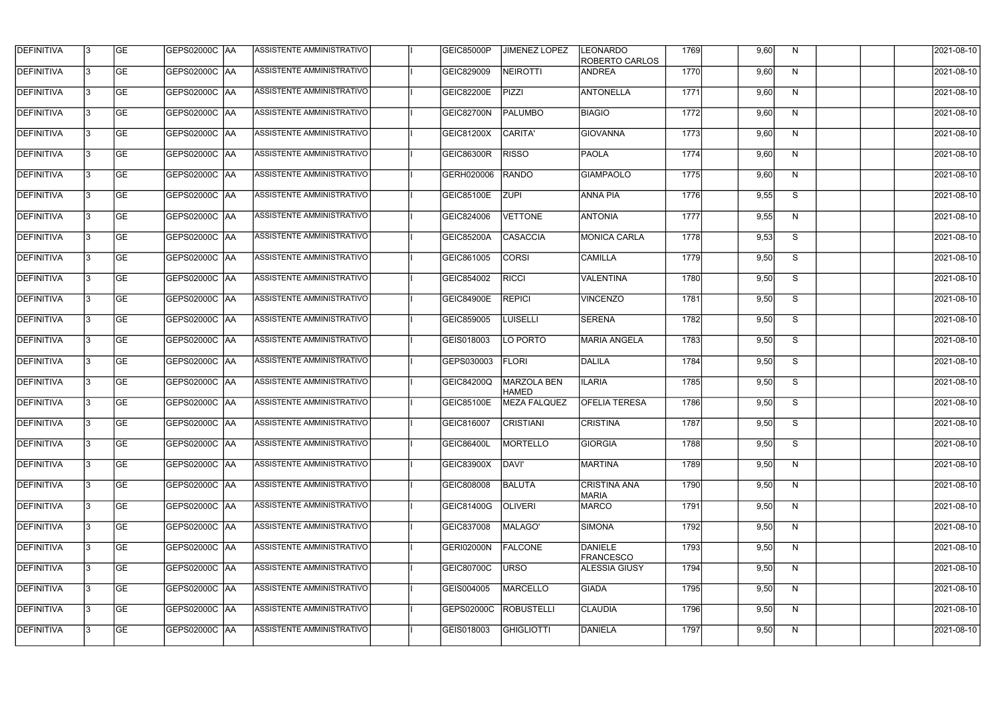| <b>DEFINITIVA</b> | l3  | <b>GE</b> | GEPS02000C  AA       | ASSISTENTE AMMINISTRATIVO        | GEIC85000P        | <b>JIMENEZ LOPEZ</b>        | <b>LEONARDO</b><br>ROBERTO CARLOS   | 1769 | 9,60 | N.           | 2021-08-10       |
|-------------------|-----|-----------|----------------------|----------------------------------|-------------------|-----------------------------|-------------------------------------|------|------|--------------|------------------|
| DEFINITIVA        | l3  | <b>GE</b> | GEPS02000C  AA       | ASSISTENTE AMMINISTRATIVO        | GEIC829009        | <b>NEIROTTI</b>             | <b>ANDREA</b>                       | 1770 | 9,60 | N            | 2021-08-10       |
| DEFINITIVA        | l3  | <b>GE</b> | <b>GEPS02000C AA</b> | <b>ASSISTENTE AMMINISTRATIVO</b> | <b>GEIC82200E</b> | <b>PIZZI</b>                | <b>ANTONELLA</b>                    | 1771 | 9,60 | N            | 2021-08-10       |
| <b>DEFINITIVA</b> | l3  | <b>GE</b> | GEPS02000C  AA       | ASSISTENTE AMMINISTRATIVO        | GEIC82700N        | <b>PALUMBO</b>              | <b>BIAGIO</b>                       | 1772 | 9,60 | $\mathsf{N}$ | 2021-08-10       |
| <b>DEFINITIVA</b> | l3  | <b>GE</b> | GEPS02000C  AA       | ASSISTENTE AMMINISTRATIVO        | GEIC81200X        | CARITA'                     | <b>GIOVANNA</b>                     | 1773 | 9,60 | N            | 2021-08-10       |
| <b>DEFINITIVA</b> | IЗ  | <b>GE</b> | <b>GEPS02000C AA</b> | <b>ASSISTENTE AMMINISTRATIVO</b> | <b>GEIC86300R</b> | <b>RISSO</b>                | <b>PAOLA</b>                        | 1774 | 9,60 | N            | 2021-08-10       |
| <b>DEFINITIVA</b> | l3  | <b>GE</b> | <b>GEPS02000C AA</b> | ASSISTENTE AMMINISTRATIVO        | GERH020006        | <b>RANDO</b>                | <b>GIAMPAOLO</b>                    | 1775 | 9,60 | N            | 2021-08-10       |
| <b>DEFINITIVA</b> | l3  | <b>GE</b> | GEPS02000C AA        | ASSISTENTE AMMINISTRATIVO        | <b>GEIC85100E</b> | <b>ZUPI</b>                 | <b>ANNA PIA</b>                     | 1776 | 9,55 | S            | 2021-08-10       |
| <b>DEFINITIVA</b> | l3  | <b>GE</b> | GEPS02000C AA        | ASSISTENTE AMMINISTRATIVO        | GEIC824006        | <b>VETTONE</b>              | <b>ANTONIA</b>                      | 1777 | 9,55 | N            | 2021-08-10       |
| <b>DEFINITIVA</b> | l3  | <b>GE</b> | GEPS02000C  AA       | ASSISTENTE AMMINISTRATIVO        | <b>GEIC85200A</b> | <b>CASACCIA</b>             | <b>MONICA CARLA</b>                 | 1778 | 9,53 | S            | 2021-08-10       |
| <b>DEFINITIVA</b> | l3  | <b>GE</b> | GEPS02000C AA        | ASSISTENTE AMMINISTRATIVO        | GEIC861005        | <b>CORSI</b>                | <b>CAMILLA</b>                      | 1779 | 9,50 | S            | 2021-08-10       |
| <b>DEFINITIVA</b> | 13  | <b>GE</b> | GEPS02000C AA        | ASSISTENTE AMMINISTRATIVO        | GEIC854002        | <b>RICCI</b>                | <b>VALENTINA</b>                    | 1780 | 9,50 | S            | 2021-08-10       |
| <b>DEFINITIVA</b> | l3  | <b>GE</b> | GEPS02000C AA        | ASSISTENTE AMMINISTRATIVO        | <b>GEIC84900E</b> | <b>REPICI</b>               | <b>VINCENZO</b>                     | 1781 | 9,50 | S            | 2021-08-10       |
| <b>DEFINITIVA</b> | l3  | <b>GE</b> | GEPS02000C AA        | ASSISTENTE AMMINISTRATIVO        | GEIC859005        | <b>LUISELLI</b>             | <b>SERENA</b>                       | 1782 | 9,50 | S            | 2021-08-10       |
| <b>DEFINITIVA</b> | l3  | <b>GE</b> | GEPS02000C AA        | ASSISTENTE AMMINISTRATIVO        | GEIS018003        | LO PORTO                    | <b>MARIA ANGELA</b>                 | 1783 | 9,50 | S            | 2021-08-10       |
| <b>DEFINITIVA</b> | l3  | <b>GE</b> | GEPS02000C  AA       | ASSISTENTE AMMINISTRATIVO        | GEPS030003        | <b>FLORI</b>                | DALILA                              | 1784 | 9,50 | S            | 2021-08-10       |
| <b>DEFINITIVA</b> | l3  | <b>GE</b> |                      | ASSISTENTE AMMINISTRATIVO        | <b>GEIC84200Q</b> | MARZOLA BEN<br><b>HAMED</b> | <b>ILARIA</b>                       | 1785 | 9,50 | S            | 2021-08-10       |
| <b>DEFINITIVA</b> |     | <b>GE</b> | GEPS02000C  AA       | ASSISTENTE AMMINISTRATIVO        | <b>GEIC85100E</b> | <b>MEZA FALQUEZ</b>         | <b>OFELIA TERESA</b>                | 1786 | 9,50 | S            | 2021-08-10       |
| <b>DEFINITIVA</b> | IЗ  | GE        | GEPS02000C  AA       | <b>ASSISTENTE AMMINISTRATIVO</b> | GEIC816007        | <b>CRISTIANI</b>            | <b>CRISTINA</b>                     | 1787 | 9,50 | S.           | 2021-08-10       |
| <b>DEFINITIVA</b> | 13. | <b>GE</b> | GEPS02000C AA        | ASSISTENTE AMMINISTRATIVO        | <b>GEIC86400L</b> | <b>MORTELLO</b>             | <b>GIORGIA</b>                      | 1788 | 9,50 | S            | 2021-08-10       |
| <b>DEFINITIVA</b> | 13. | <b>GE</b> | <b>GEPS02000C AA</b> | ASSISTENTE AMMINISTRATIVO        | GEIC83900X        | DAVI'                       | <b>MARTINA</b>                      | 1789 | 9,50 | N            | 2021-08-10       |
| <b>DEFINITIVA</b> | 13. | <b>GE</b> | <b>GEPS02000C AA</b> | ASSISTENTE AMMINISTRATIVO        | GEIC808008        | <b>BALUTA</b>               | <b>CRISTINA ANA</b><br><b>MARIA</b> | 1790 | 9,50 | N            | $2021 - 08 - 10$ |
| <b>DEFINITIVA</b> | 13. | <b>GE</b> | GEPS02000C AA        | ASSISTENTE AMMINISTRATIVO        | GEIC81400G        | <b>OLIVERI</b>              | <b>MARCO</b>                        | 1791 | 9,50 | N            | 2021-08-10       |
| <b>DEFINITIVA</b> | 13  | <b>GE</b> | GEPS02000C AA        | ASSISTENTE AMMINISTRATIVO        | GEIC837008        | MALAGO'                     | SIMONA                              | 1792 | 9,50 | N            | 2021-08-10       |
| <b>DEFINITIVA</b> | l3  | <b>GE</b> | GEPS02000C  AA       | ASSISTENTE AMMINISTRATIVO        | <b>GERI02000N</b> | <b>FALCONE</b>              | DANIELE<br><b>FRANCESCO</b>         | 1793 | 9,50 | N            | 2021-08-10       |
| DEFINITIVA        | l3  | <b>GE</b> | GEPS02000C  AA       | ASSISTENTE AMMINISTRATIVO        | GEIC80700C        | URSO                        | <b>ALESSIA GIUSY</b>                | 1794 | 9,50 | N            | 2021-08-10       |
| DEFINITIVA        | l3  | <b>GE</b> | GEPS02000C  AA       | ASSISTENTE AMMINISTRATIVO        | GEIS004005        | <b>MARCELLO</b>             | <b>GIADA</b>                        | 1795 | 9,50 | N            | 2021-08-10       |
| <b>DEFINITIVA</b> | l3  | <b>GE</b> | GEPS02000C AA        | ASSISTENTE AMMINISTRATIVO        | GEPS02000C        | <b>ROBUSTELLI</b>           | <b>CLAUDIA</b>                      | 1796 | 9,50 | N            | 2021-08-10       |
| <b>DEFINITIVA</b> | IЗ  | <b>GE</b> | GEPS02000C  AA       | ASSISTENTE AMMINISTRATIVO        | GEIS018003        | <b>GHIGLIOTTI</b>           | DANIELA                             | 1797 | 9,50 | N            | 2021-08-10       |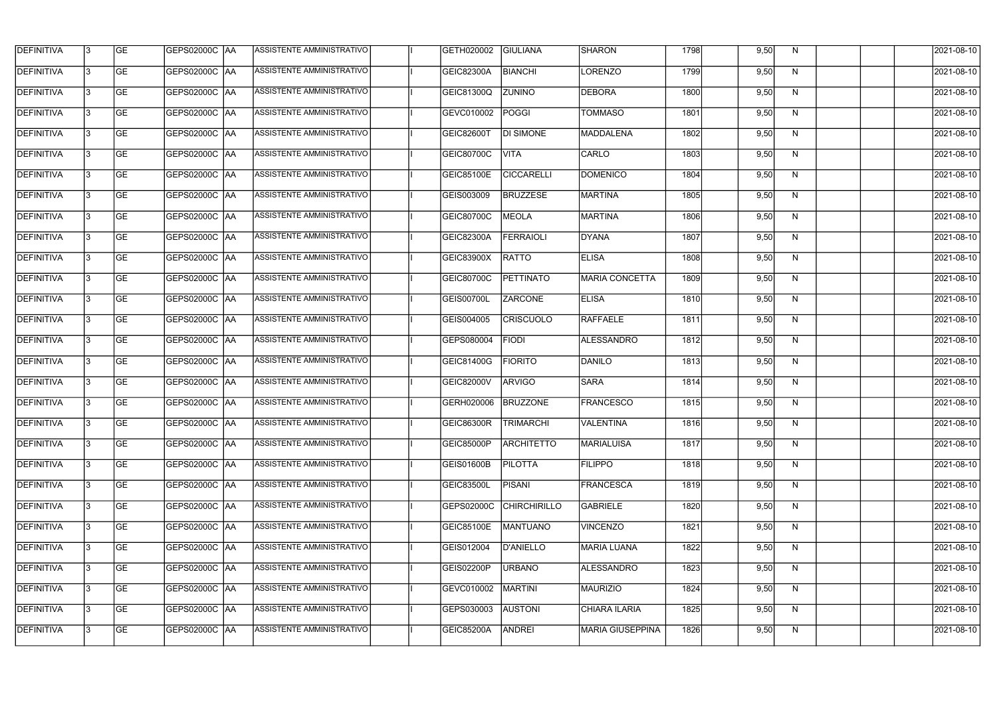| <b>DEFINITIVA</b> | 13  | <b>GE</b> | GEPS02000C  AA       | ASSISTENTE AMMINISTRATIVO        | GETH020002        | <b>GIULIANA</b>     | <b>SHARON</b>           | 1798 | 9,50 | N.           | 2021-08-10       |
|-------------------|-----|-----------|----------------------|----------------------------------|-------------------|---------------------|-------------------------|------|------|--------------|------------------|
| DEFINITIVA        | l3  | <b>GE</b> | GEPS02000C  AA       | ASSISTENTE AMMINISTRATIVO        | <b>GEIC82300A</b> | <b>BIANCHI</b>      | LORENZO                 | 1799 | 9,50 | N            | 2021-08-10       |
| <b>DEFINITIVA</b> | l3  | <b>GE</b> | <b>GEPS02000C AA</b> | ASSISTENTE AMMINISTRATIVO        | <b>GEIC81300Q</b> | <b>ZUNINO</b>       | <b>DEBORA</b>           | 1800 | 9,50 | N            | 2021-08-10       |
| <b>DEFINITIVA</b> | 13  | <b>GE</b> | <b>GEPS02000C AA</b> | ASSISTENTE AMMINISTRATIVO        | GEVC010002        | POGGI               | <b>TOMMASO</b>          | 1801 | 9,50 | N            | 2021-08-10       |
| <b>DEFINITIVA</b> | l3  | <b>GE</b> | GEPS02000C AA        | ASSISTENTE AMMINISTRATIVO        | <b>GEIC82600T</b> | <b>DI SIMONE</b>    | <b>MADDALENA</b>        | 1802 | 9,50 | N            | 2021-08-10       |
| <b>DEFINITIVA</b> | IЗ  | <b>GE</b> | <b>GEPS02000C AA</b> | ASSISTENTE AMMINISTRATIVO        | GEIC80700C        | <b>VITA</b>         | CARLO                   | 1803 | 9,50 | N            | 2021-08-10       |
| <b>DEFINITIVA</b> | l3  | <b>GE</b> | <b>GEPS02000C AA</b> | <b>ASSISTENTE AMMINISTRATIVO</b> | GEIC85100E        | <b>CICCARELLI</b>   | <b>DOMENICO</b>         | 1804 | 9,50 | N            | 2021-08-10       |
| <b>DEFINITIVA</b> | l3  | <b>GE</b> | GEPS02000C AA        | ASSISTENTE AMMINISTRATIVO        | GEIS003009        | <b>BRUZZESE</b>     | <b>MARTINA</b>          | 1805 | 9,50 | N            | 2021-08-10       |
| <b>DEFINITIVA</b> | l3  | <b>GE</b> | GEPS02000C  AA       | ASSISTENTE AMMINISTRATIVO        | <b>GEIC80700C</b> | MEOLA               | MARTINA                 | 1806 | 9,50 | N            | 2021-08-10       |
| <b>DEFINITIVA</b> | l3  | <b>GE</b> | GEPS02000C AA        | ASSISTENTE AMMINISTRATIVO        | <b>GEIC82300A</b> | <b>FERRAIOLI</b>    | <b>DYANA</b>            | 1807 | 9,50 | N            | 2021-08-10       |
| <b>DEFINITIVA</b> | l3  | <b>GE</b> | GEPS02000C AA        | ASSISTENTE AMMINISTRATIVO        | GEIC83900X        | <b>RATTO</b>        | <b>ELISA</b>            | 1808 | 9,50 | N            | 2021-08-10       |
| <b>DEFINITIVA</b> | 13  | <b>GE</b> | GEPS02000C  AA       | ASSISTENTE AMMINISTRATIVO        | GEIC80700C        | PETTINATO           | <b>MARIA CONCETTA</b>   | 1809 | 9,50 | $\mathsf{N}$ | 2021-08-10       |
| <b>DEFINITIVA</b> | l3  | <b>GE</b> | GEPS02000C  AA       | ASSISTENTE AMMINISTRATIVO        | GEIS00700L        | <b>ZARCONE</b>      | <b>ELISA</b>            | 1810 | 9,50 | N            | 2021-08-10       |
| <b>DEFINITIVA</b> | l3  | <b>GE</b> | GEPS02000C AA        | ASSISTENTE AMMINISTRATIVO        | GEIS004005        | <b>CRISCUOLO</b>    | RAFFAELE                | 1811 | 9,50 | N            | 2021-08-10       |
| <b>DEFINITIVA</b> | l3  | <b>GE</b> | GEPS02000C  AA       | ASSISTENTE AMMINISTRATIVO        | GEPS080004        | <b>FIODI</b>        | ALESSANDRO              | 1812 | 9,50 | N            | 2021-08-10       |
| <b>DEFINITIVA</b> | IЗ  | <b>GE</b> | GEPS02000C  AA       | ASSISTENTE AMMINISTRATIVO        | GEIC81400G        | <b>FIORITO</b>      | DANILO                  | 1813 | 9,50 | N            | 2021-08-10       |
| <b>DEFINITIVA</b> | l3  | <b>GE</b> | GEPS02000C  AA       | ASSISTENTE AMMINISTRATIVO        | GEIC82000V        | <b>ARVIGO</b>       | <b>SARA</b>             | 1814 | 9,50 | N            | 2021-08-10       |
| <b>DEFINITIVA</b> |     | <b>GE</b> | GEPS02000C AA        | ASSISTENTE AMMINISTRATIVO        | GERH020006        | <b>BRUZZONE</b>     | <b>FRANCESCO</b>        | 1815 | 9,50 | N            | 2021-08-10       |
| <b>DEFINITIVA</b> | IЗ  | GE        | GEPS02000C  AA       | <b>ASSISTENTE AMMINISTRATIVO</b> | <b>GEIC86300R</b> | <b>TRIMARCHI</b>    | VALENTINA               | 1816 | 9,50 | N,           | 2021-08-10       |
| <b>DEFINITIVA</b> | 13. | <b>GE</b> | <b>GEPS02000C AA</b> | ASSISTENTE AMMINISTRATIVO        | GEIC85000P        | <b>ARCHITETTO</b>   | <b>MARIALUISA</b>       | 1817 | 9,50 | N            | 2021-08-10       |
| <b>DEFINITIVA</b> | 13. | <b>GE</b> | <b>GEPS02000C AA</b> | ASSISTENTE AMMINISTRATIVO        | <b>GEIS01600B</b> | <b>PILOTTA</b>      | <b>FILIPPO</b>          | 1818 | 9,50 | N            | 2021-08-10       |
| <b>DEFINITIVA</b> | 13. | <b>GE</b> | GEPS02000C AA        | ASSISTENTE AMMINISTRATIVO        | <b>GEIC83500L</b> | <b>PISANI</b>       | <b>FRANCESCA</b>        | 1819 | 9,50 | N            | $2021 - 08 - 10$ |
| <b>DEFINITIVA</b> | 13  | <b>GE</b> | GEPS02000C AA        | ASSISTENTE AMMINISTRATIVO        | GEPS02000C        | <b>CHIRCHIRILLO</b> | <b>GABRIELE</b>         | 1820 | 9,50 | N            | 2021-08-10       |
| <b>DEFINITIVA</b> | 13  | <b>GE</b> | GEPS02000C AA        | ASSISTENTE AMMINISTRATIVO        | <b>GEIC85100E</b> | MANTUANO            | <b>VINCENZO</b>         | 1821 | 9,50 | N            | 2021-08-10       |
| <b>DEFINITIVA</b> | l3  | <b>GE</b> | GEPS02000C  AA       | ASSISTENTE AMMINISTRATIVO        | GEIS012004        | D'ANIELLO           | MARIA LUANA             | 1822 | 9,50 | N            | 2021-08-10       |
| DEFINITIVA        | l3  | <b>GE</b> | GEPS02000C  AA       | ASSISTENTE AMMINISTRATIVO        | GEIS02200P        | <b>URBANO</b>       | <b>ALESSANDRO</b>       | 1823 | 9,50 | N            | 2021-08-10       |
| DEFINITIVA        | l3  | <b>GE</b> | GEPS02000C  AA       | ASSISTENTE AMMINISTRATIVO        | GEVC010002        | MARTINI             | <b>MAURIZIO</b>         | 1824 | 9,50 | N            | 2021-08-10       |
| <b>DEFINITIVA</b> | l3  | <b>GE</b> | GEPS02000C AA        | ASSISTENTE AMMINISTRATIVO        | GEPS030003        | <b>AUSTONI</b>      | CHIARA ILARIA           | 1825 | 9,50 | N            | 2021-08-10       |
| <b>DEFINITIVA</b> | IЗ  | <b>GE</b> | GEPS02000C  AA       | ASSISTENTE AMMINISTRATIVO        | <b>GEIC85200A</b> | ANDREI              | <b>MARIA GIUSEPPINA</b> | 1826 | 9,50 | N            | 2021-08-10       |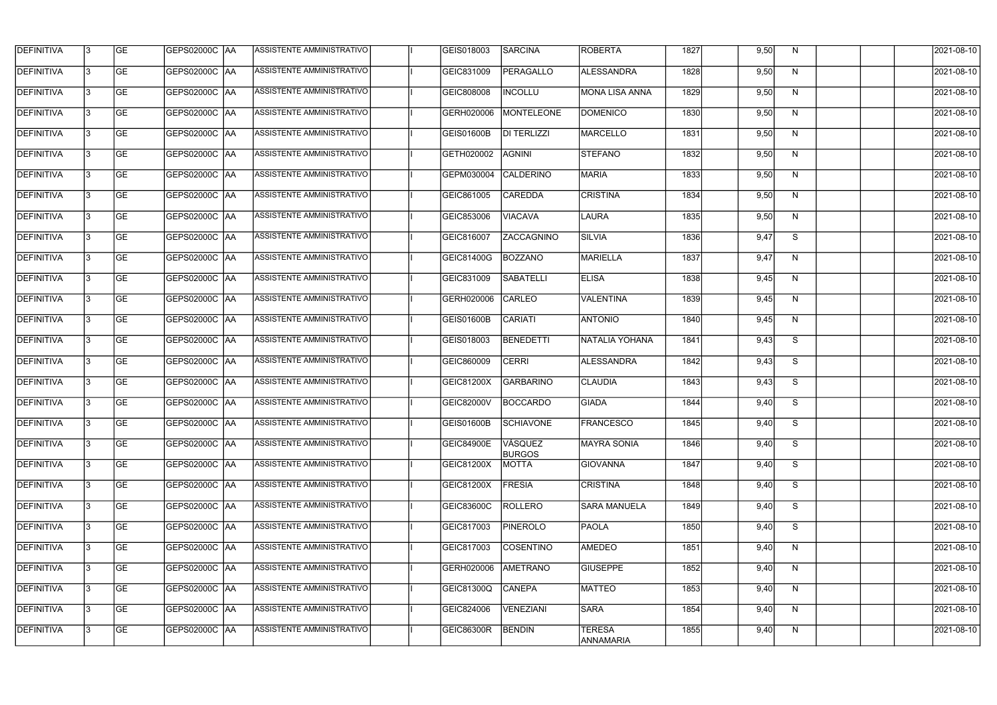| <b>DEFINITIVA</b> | l3 | GE        | GEPS02000C  AA       | ASSISTENTE AMMINISTRATIVO        | GEIS018003        | SARCINA                  | <b>ROBERTA</b>                    | 1827 | 9,50 | N. | 2021-08-10       |
|-------------------|----|-----------|----------------------|----------------------------------|-------------------|--------------------------|-----------------------------------|------|------|----|------------------|
| <b>DEFINITIVA</b> | IЗ | GE        | GEPS02000C   AA      | ASSISTENTE AMMINISTRATIVO        | GEIC831009        | PERAGALLO                | ALESSANDRA                        | 1828 | 9,50 | N  | 2021-08-10       |
| <b>DEFINITIVA</b> | 13 | <b>GE</b> | GEPS02000C AA        | ASSISTENTE AMMINISTRATIVO        | GEIC808008        | <b>INCOLLU</b>           | <b>MONA LISA ANNA</b>             | 1829 | 9,50 | N  | 2021-08-10       |
| <b>DEFINITIVA</b> | l3 | <b>GE</b> | <b>GEPS02000C AA</b> | ASSISTENTE AMMINISTRATIVO        | GERH020006        | MONTELEONE               | <b>DOMENICO</b>                   | 1830 | 9,50 | N  | 2021-08-10       |
| <b>DEFINITIVA</b> | l3 | GE        | GEPS02000C AA        | ASSISTENTE AMMINISTRATIVO        | <b>GEIS01600B</b> | <b>DI TERLIZZI</b>       | <b>MARCELLO</b>                   | 1831 | 9,50 | N  | 2021-08-10       |
| <b>DEFINITIVA</b> | l3 | <b>GE</b> | GEPS02000C AA        | <b>ASSISTENTE AMMINISTRATIVO</b> | GETH020002        | <b>AGNINI</b>            | STEFANO                           | 1832 | 9,50 | N  | 2021-08-10       |
| <b>DEFINITIVA</b> | IЗ | <b>GE</b> | GEPS02000C AA        | ASSISTENTE AMMINISTRATIVO        | GEPM030004        | CALDERINO                | <b>MARIA</b>                      | 1833 | 9,50 | N  | 2021-08-10       |
| <b>DEFINITIVA</b> | l3 | <b>GE</b> | GEPS02000C AA        | <b>ASSISTENTE AMMINISTRATIVO</b> | GEIC861005        | <b>CAREDDA</b>           | <b>CRISTINA</b>                   | 1834 | 9,50 | N  | 2021-08-10       |
| <b>DEFINITIVA</b> | IЗ | <b>GE</b> | GEPS02000C AA        | ASSISTENTE AMMINISTRATIVO        | GEIC853006        | <b>VIACAVA</b>           | LAURA                             | 1835 | 9,50 | N  | 2021-08-10       |
| <b>DEFINITIVA</b> | l3 | GE        | GEPS02000C   AA      | ASSISTENTE AMMINISTRATIVO        | GEIC816007        | <b>ZACCAGNINO</b>        | <b>SILVIA</b>                     | 1836 | 9,47 | S  | 2021-08-10       |
| <b>DEFINITIVA</b> | 13 | <b>GE</b> | GEPS02000C AA        | <b>ASSISTENTE AMMINISTRATIVO</b> | GEIC81400G        | BOZZANO                  | MARIELLA                          | 1837 | 9,47 | N  | 2021-08-10       |
| <b>DEFINITIVA</b> | l3 | <b>GE</b> | GEPS02000C AA        | ASSISTENTE AMMINISTRATIVO        | GEIC831009        | <b>SABATELLI</b>         | <b>ELISA</b>                      | 1838 | 9,45 | N  | 2021-08-10       |
| <b>DEFINITIVA</b> | l3 | GE        | GEPS02000C  AA       | ASSISTENTE AMMINISTRATIVO        | GERH020006        | <b>CARLEO</b>            | VALENTINA                         | 1839 | 9,45 | N  | 2021-08-10       |
| <b>DEFINITIVA</b> | l3 | <b>GE</b> | GEPS02000C AA        | ASSISTENTE AMMINISTRATIVO        | GEIS01600B        | CARIATI                  | <b>ANTONIO</b>                    | 1840 | 9,45 | N  | 2021-08-10       |
| <b>DEFINITIVA</b> | l3 | <b>GE</b> | GEPS02000C AA        | ASSISTENTE AMMINISTRATIVO        | GEIS018003        | <b>BENEDETTI</b>         | NATALIA YOHANA                    | 1841 | 9,43 | S  | 2021-08-10       |
| <b>DEFINITIVA</b> | 13 | GE        | GEPS02000C  AA       | ASSISTENTE AMMINISTRATIVO        | GEIC860009        | <b>CERRI</b>             | <b>ALESSANDRA</b>                 | 1842 | 9,43 | S  | 2021-08-10       |
| <b>DEFINITIVA</b> | l3 | <b>GE</b> | GEPS02000C   AA      | ASSISTENTE AMMINISTRATIVO        | GEIC81200X        | GARBARINO                | <b>CLAUDIA</b>                    | 1843 | 9,43 | S  | 2021-08-10       |
| <b>DEFINITIVA</b> | IЗ | <b>GE</b> | GEPS02000C AA        | ASSISTENTE AMMINISTRATIVO        | <b>GEIC82000V</b> | <b>BOCCARDO</b>          | <b>GIADA</b>                      | 1844 | 9,40 | S  | 2021-08-10       |
| <b>DEFINITIVA</b> | IЗ | GE        | GEPS02000C  AA       | <b>ASSISTENTE AMMINISTRATIVO</b> | <b>GEIS01600B</b> | <b>SCHIAVONE</b>         | <b>FRANCESCO</b>                  | 1845 | 9,40 | S. | 2021-08-10       |
| <b>DEFINITIVA</b> | l3 | GE        | <b>GEPS02000C AA</b> | ASSISTENTE AMMINISTRATIVO        | <b>GEIC84900E</b> | VÁSQUEZ<br><b>BURGOS</b> | MAYRA SONIA                       | 1846 | 9,40 | S  | 2021-08-10       |
| <b>DEFINITIVA</b> | l3 | GE        | GEPS02000C AA        | ASSISTENTE AMMINISTRATIVO        | GEIC81200X        | <b>MOTTA</b>             | <b>GIOVANNA</b>                   | 1847 | 9,40 | S  | 2021-08-10       |
| <b>DEFINITIVA</b> | l3 | <b>GE</b> | GEPS02000C AA        | ASSISTENTE AMMINISTRATIVO        | GEIC81200X        | <b>FRESIA</b>            | <b>CRISTINA</b>                   | 1848 | 9,40 | S  | $2021 - 08 - 10$ |
| <b>DEFINITIVA</b> | l3 | <b>GE</b> | GEPS02000C AA        | ASSISTENTE AMMINISTRATIVO        | GEIC83600C        | <b>ROLLERO</b>           | SARA MANUELA                      | 1849 | 9,40 | S  | 2021-08-10       |
| <b>DEFINITIVA</b> | l3 | <b>GE</b> | GEPS02000C AA        | ASSISTENTE AMMINISTRATIVO        | GEIC817003        | <b>PINEROLO</b>          | <b>PAOLA</b>                      | 1850 | 9,40 | S  | 2021-08-10       |
| <b>DEFINITIVA</b> | l3 | <b>GE</b> | GEPS02000C  AA       | ASSISTENTE AMMINISTRATIVO        | GEIC817003        | <b>COSENTINO</b>         | AMEDEO                            | 1851 | 9,40 | N  | 2021-08-10       |
| <b>DEFINITIVA</b> | l3 | <b>GE</b> | GEPS02000C  AA       | ASSISTENTE AMMINISTRATIVO        | GERH020006        | <b>AMETRANO</b>          | <b>GIUSEPPE</b>                   | 1852 | 9,40 | N  | 2021-08-10       |
| <b>DEFINITIVA</b> | l3 | GE        | GEPS02000C  AA       | ASSISTENTE AMMINISTRATIVO        | <b>GEIC81300Q</b> | <b>CANEPA</b>            | MATTEO                            | 1853 | 9,40 | N  | 2021-08-10       |
| <b>DEFINITIVA</b> | l3 | GE        | GEPS02000C AA        | ASSISTENTE AMMINISTRATIVO        | GEIC824006        | <b>VENEZIANI</b>         | <b>SARA</b>                       | 1854 | 9,40 | N  | 2021-08-10       |
| <b>DEFINITIVA</b> | l3 | GE        | GEPS02000C  AA       | ASSISTENTE AMMINISTRATIVO        | GEIC86300R        | <b>BENDIN</b>            | <b>TERESA</b><br><b>ANNAMARIA</b> | 1855 | 9,40 | N  | 2021-08-10       |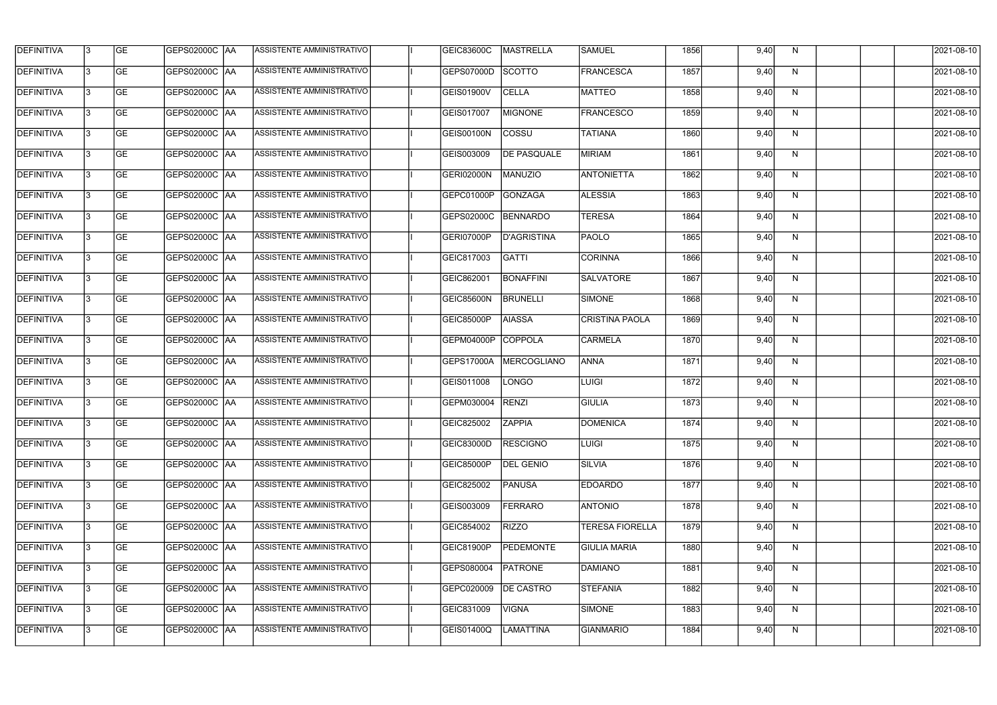| <b>DEFINITIVA</b> | 13  | <b>GE</b> | GEPS02000C  AA       | ASSISTENTE AMMINISTRATIVO        | <b>GEIC83600C</b> | <b>MASTRELLA</b>   | <b>SAMUEL</b>          | 1856 | 9,40 | N. | 2021-08-10       |
|-------------------|-----|-----------|----------------------|----------------------------------|-------------------|--------------------|------------------------|------|------|----|------------------|
| DEFINITIVA        | l3  | <b>GE</b> | GEPS02000C  AA       | ASSISTENTE AMMINISTRATIVO        | GEPS07000D        | <b>SCOTTO</b>      | <b>FRANCESCA</b>       | 1857 | 9,40 | N  | 2021-08-10       |
| <b>DEFINITIVA</b> | l3  | <b>GE</b> | <b>GEPS02000C AA</b> | ASSISTENTE AMMINISTRATIVO        | GEIS01900V        | <b>CELLA</b>       | <b>MATTEO</b>          | 1858 | 9,40 | N  | 2021-08-10       |
| <b>DEFINITIVA</b> | 13  | <b>GE</b> | <b>GEPS02000C AA</b> | ASSISTENTE AMMINISTRATIVO        | GEIS017007        | <b>MIGNONE</b>     | <b>FRANCESCO</b>       | 1859 | 9,40 | N  | 2021-08-10       |
| <b>DEFINITIVA</b> | l3  | <b>GE</b> | GEPS02000C  AA       | ASSISTENTE AMMINISTRATIVO        | <b>GEIS00100N</b> | <b>COSSU</b>       | <b>TATIANA</b>         | 1860 | 9,40 | N  | 2021-08-10       |
| <b>DEFINITIVA</b> | IЗ  | <b>GE</b> | <b>GEPS02000C AA</b> | <b>ASSISTENTE AMMINISTRATIVO</b> | GEIS003009        | <b>DE PASQUALE</b> | <b>MIRIAM</b>          | 1861 | 9,40 | N  | 2021-08-10       |
| <b>DEFINITIVA</b> | l3  | <b>GE</b> | <b>GEPS02000C AA</b> | <b>ASSISTENTE AMMINISTRATIVO</b> | GERI02000N        | <b>MANUZIO</b>     | <b>ANTONIETTA</b>      | 1862 | 9,40 | N  | 2021-08-10       |
| <b>DEFINITIVA</b> | l3  | <b>GE</b> | GEPS02000C AA        | ASSISTENTE AMMINISTRATIVO        | GEPC01000P        | GONZAGA            | <b>ALESSIA</b>         | 1863 | 9,40 | N  | 2021-08-10       |
| <b>DEFINITIVA</b> | l3  | <b>GE</b> | GEPS02000C  AA       | ASSISTENTE AMMINISTRATIVO        | GEPS02000C        | <b>BENNARDO</b>    | <b>TERESA</b>          | 1864 | 9,40 | N  | 2021-08-10       |
| <b>DEFINITIVA</b> | l3  | <b>GE</b> | GEPS02000C AA        | ASSISTENTE AMMINISTRATIVO        | GERI07000P        | <b>D'AGRISTINA</b> | PAOLO                  | 1865 | 9,40 | N  | 2021-08-10       |
| <b>DEFINITIVA</b> | l3  | <b>GE</b> | GEPS02000C AA        | ASSISTENTE AMMINISTRATIVO        | GEIC817003        | <b>GATTI</b>       | <b>CORINNA</b>         | 1866 | 9,40 | N  | 2021-08-10       |
| <b>DEFINITIVA</b> | 13  | <b>GE</b> | <b>GEPS02000C AA</b> | <b>ASSISTENTE AMMINISTRATIVO</b> | GEIC862001        | <b>BONAFFINI</b>   | <b>SALVATORE</b>       | 1867 | 9,40 | N  | 2021-08-10       |
| <b>DEFINITIVA</b> | l3  | <b>GE</b> | GEPS02000C  AA       | ASSISTENTE AMMINISTRATIVO        | GEIC85600N        | <b>BRUNELLI</b>    | SIMONE                 | 1868 | 9,40 | N  | 2021-08-10       |
| <b>DEFINITIVA</b> | l3  | <b>GE</b> | GEPS02000C AA        | ASSISTENTE AMMINISTRATIVO        | GEIC85000P        | <b>AIASSA</b>      | <b>CRISTINA PAOLA</b>  | 1869 | 9,40 | N  | 2021-08-10       |
| <b>DEFINITIVA</b> | l3  | <b>GE</b> | GEPS02000C  AA       | ASSISTENTE AMMINISTRATIVO        | GEPM04000P        | <b>COPPOLA</b>     | <b>CARMELA</b>         | 1870 | 9,40 | N  | 2021-08-10       |
| <b>DEFINITIVA</b> | IЗ  | <b>GE</b> | GEPS02000C  AA       | ASSISTENTE AMMINISTRATIVO        | GEPS17000A        | MERCOGLIANO        | <b>ANNA</b>            | 1871 | 9,40 | N  | 2021-08-10       |
| <b>DEFINITIVA</b> | IЗ  | <b>GE</b> | GEPS02000C  AA       | ASSISTENTE AMMINISTRATIVO        | GEIS011008        | LONGO              | <b>LUIGI</b>           | 1872 | 9,40 | N  | 2021-08-10       |
| <b>DEFINITIVA</b> |     | <b>GE</b> | GEPS02000C  AA       | ASSISTENTE AMMINISTRATIVO        | GEPM030004        | <b>RENZI</b>       | <b>GIULIA</b>          | 1873 | 9,40 | N  | 2021-08-10       |
| <b>DEFINITIVA</b> | IЗ  | GE        | GEPS02000C  AA       | <b>ASSISTENTE AMMINISTRATIVO</b> | GEIC825002        | <b>ZAPPIA</b>      | <b>DOMENICA</b>        | 1874 | 9,40 | N, | 2021-08-10       |
| <b>DEFINITIVA</b> | 13. | <b>GE</b> | <b>GEPS02000C AA</b> | ASSISTENTE AMMINISTRATIVO        | <b>GEIC83000D</b> | <b>RESCIGNO</b>    | LUIGI                  | 1875 | 9,40 | N  | 2021-08-10       |
| <b>DEFINITIVA</b> | 13  | <b>GE</b> | <b>GEPS02000C AA</b> | ASSISTENTE AMMINISTRATIVO        | GEIC85000P        | <b>DEL GENIO</b>   | <b>SILVIA</b>          | 1876 | 9,40 | N  | 2021-08-10       |
| <b>DEFINITIVA</b> | 13  | <b>GE</b> | GEPS02000C AA        | ASSISTENTE AMMINISTRATIVO        | GEIC825002        | <b>PANUSA</b>      | <b>EDOARDO</b>         | 1877 | 9,40 | N  | $2021 - 08 - 10$ |
| <b>DEFINITIVA</b> | 13  | <b>GE</b> | <b>GEPS02000C AA</b> | ASSISTENTE AMMINISTRATIVO        | GEIS003009        | <b>FERRARO</b>     | <b>ANTONIO</b>         | 1878 | 9,40 | N  | 2021-08-10       |
| <b>DEFINITIVA</b> | 13  | <b>GE</b> | GEPS02000C AA        | ASSISTENTE AMMINISTRATIVO        | GEIC854002        | <b>RIZZO</b>       | <b>TERESA FIORELLA</b> | 1879 | 9,40 | N  | 2021-08-10       |
| <b>DEFINITIVA</b> | l3  | <b>GE</b> | GEPS02000C  AA       | ASSISTENTE AMMINISTRATIVO        | GEIC81900P        | <b>PEDEMONTE</b>   | <b>GIULIA MARIA</b>    | 1880 | 9,40 | N  | 2021-08-10       |
| DEFINITIVA        | l3  | <b>GE</b> | GEPS02000C  AA       | ASSISTENTE AMMINISTRATIVO        | GEPS080004        | <b>PATRONE</b>     | DAMIANO                | 1881 | 9,40 | N  | 2021-08-10       |
| DEFINITIVA        | l3  | <b>GE</b> | GEPS02000C  AA       | ASSISTENTE AMMINISTRATIVO        | GEPC020009        | <b>DE CASTRO</b>   | <b>STEFANIA</b>        | 1882 | 9,40 | N  | 2021-08-10       |
| <b>DEFINITIVA</b> | l3  | <b>GE</b> | GEPS02000C AA        | ASSISTENTE AMMINISTRATIVO        | GEIC831009        | <b>VIGNA</b>       | SIMONE                 | 1883 | 9,40 | N  | 2021-08-10       |
| <b>DEFINITIVA</b> | lЗ  | <b>GE</b> | GEPS02000C  AA       | ASSISTENTE AMMINISTRATIVO        | <b>GEIS01400Q</b> | <b>LAMATTINA</b>   | <b>GIANMARIO</b>       | 1884 | 9,40 | N  | 2021-08-10       |
|                   |     |           |                      |                                  |                   |                    |                        |      |      |    |                  |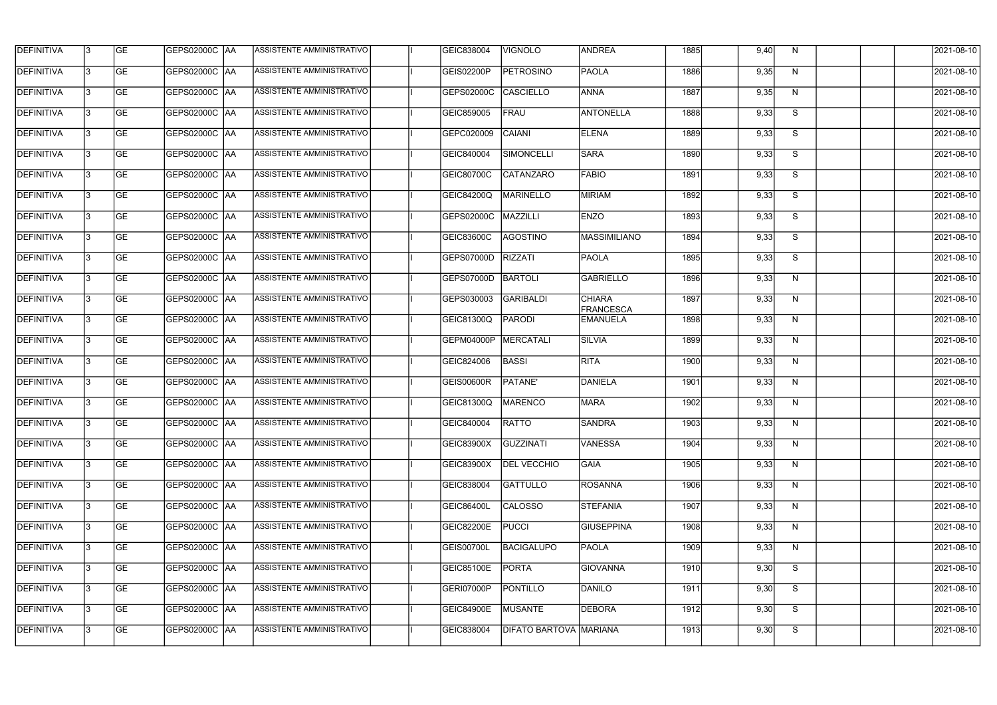| <b>DEFINITIVA</b> | 13 | GE        | GEPS02000C  AA       | ASSISTENTE AMMINISTRATIVO        | GEIC838004        | VIGNOLO                | <b>ANDREA</b>                     | 1885 | 9,40 | N. | 2021-08-10       |
|-------------------|----|-----------|----------------------|----------------------------------|-------------------|------------------------|-----------------------------------|------|------|----|------------------|
| <b>DEFINITIVA</b> | IЗ | GE        | GEPS02000C   AA      | ASSISTENTE AMMINISTRATIVO        | GEIS02200P        | <b>PETROSINO</b>       | <b>PAOLA</b>                      | 1886 | 9,35 | N  | 2021-08-10       |
| <b>DEFINITIVA</b> | 13 | <b>GE</b> | GEPS02000C AA        | ASSISTENTE AMMINISTRATIVO        | GEPS02000C        | <b>CASCIELLO</b>       | <b>ANNA</b>                       | 1887 | 9,35 | N  | 2021-08-10       |
| <b>DEFINITIVA</b> | l3 | <b>GE</b> | <b>GEPS02000C AA</b> | ASSISTENTE AMMINISTRATIVO        | GEIC859005        | FRAU                   | ANTONELLA                         | 1888 | 9,33 | S  | 2021-08-10       |
| <b>DEFINITIVA</b> | l3 | GE        | GEPS02000C AA        | ASSISTENTE AMMINISTRATIVO        | GEPC020009        | <b>CAIANI</b>          | <b>ELENA</b>                      | 1889 | 9,33 | S  | 2021-08-10       |
| <b>DEFINITIVA</b> | l3 | <b>GE</b> | GEPS02000C AA        | <b>ASSISTENTE AMMINISTRATIVO</b> | GEIC840004        | SIMONCELLI             | <b>SARA</b>                       | 1890 | 9,33 | S  | 2021-08-10       |
| <b>DEFINITIVA</b> | l3 | <b>GE</b> | <b>GEPS02000C AA</b> | ASSISTENTE AMMINISTRATIVO        | GEIC80700C        | <b>CATANZARO</b>       | <b>FABIO</b>                      | 1891 | 9,33 | S  | 2021-08-10       |
| DEFINITIVA        | l3 | <b>GE</b> | GEPS02000C AA        | <b>ASSISTENTE AMMINISTRATIVO</b> | GEIC84200Q        | MARINELLO              | MIRIAM                            | 1892 | 9,33 | S  | 2021-08-10       |
| <b>DEFINITIVA</b> | l3 | <b>GE</b> | GEPS02000C AA        | ASSISTENTE AMMINISTRATIVO        | GEPS02000C        | MAZZILLI               | <b>ENZO</b>                       | 1893 | 9,33 | S  | 2021-08-10       |
| <b>DEFINITIVA</b> | l3 | GE        | GEPS02000C AA        | ASSISTENTE AMMINISTRATIVO        | <b>GEIC83600C</b> | <b>AGOSTINO</b>        | MASSIMILIANO                      | 1894 | 9,33 | S  | 2021-08-10       |
| DEFINITIVA        | 13 | <b>GE</b> | GEPS02000C AA        | ASSISTENTE AMMINISTRATIVO        | GEPS07000D        | <b>RIZZATI</b>         | <b>PAOLA</b>                      | 1895 | 9,33 | S  | 2021-08-10       |
| <b>DEFINITIVA</b> | l3 | <b>GE</b> | GEPS02000C AA        | ASSISTENTE AMMINISTRATIVO        | GEPS07000D        | <b>BARTOLI</b>         | <b>GABRIELLO</b>                  | 1896 | 9,33 | N  | 2021-08-10       |
| <b>DEFINITIVA</b> | l3 | GE        | GEPS02000C  AA       | ASSISTENTE AMMINISTRATIVO        | GEPS030003        | GARIBALDI              | <b>CHIARA</b><br><b>FRANCESCA</b> | 1897 | 9,33 | N  | 2021-08-10       |
| <b>DEFINITIVA</b> | l3 | <b>GE</b> | GEPS02000C AA        | ASSISTENTE AMMINISTRATIVO        | GEIC81300Q        | <b>PARODI</b>          | EMANUELA                          | 1898 | 9,33 | N  | 2021-08-10       |
| <b>DEFINITIVA</b> | l3 | <b>GE</b> | GEPS02000C AA        | ASSISTENTE AMMINISTRATIVO        | GEPM04000P        | MERCATALI              | <b>SILVIA</b>                     | 1899 | 9,33 | N  | 2021-08-10       |
| <b>DEFINITIVA</b> | 13 | GE        | GEPS02000C  AA       | ASSISTENTE AMMINISTRATIVO        | GEIC824006        | <b>BASSI</b>           | <b>RITA</b>                       | 1900 | 9,33 | N  | 2021-08-10       |
| <b>DEFINITIVA</b> | l3 | <b>GE</b> | GEPS02000C   AA      | ASSISTENTE AMMINISTRATIVO        | <b>GEIS00600R</b> | PATANE'                | DANIELA                           | 1901 | 9,33 | N  | 2021-08-10       |
| <b>DEFINITIVA</b> | IЗ | <b>GE</b> | GEPS02000C   AA      | ASSISTENTE AMMINISTRATIVO        | GEIC81300Q        | <b>MARENCO</b>         | <b>MARA</b>                       | 1902 | 9,33 | N  | 2021-08-10       |
| <b>DEFINITIVA</b> | IЗ | GE        | GEPS02000C  AA       | <b>ASSISTENTE AMMINISTRATIVO</b> | <b>GEIC840004</b> | <b>RATTO</b>           | SANDRA                            | 1903 | 9,33 | N, | 2021-08-10       |
| <b>DEFINITIVA</b> | l3 | GE        | <b>GEPS02000C AA</b> | ASSISTENTE AMMINISTRATIVO        | GEIC83900X        | GUZZINATI              | <b>VANESSA</b>                    | 1904 | 9,33 | N  | 2021-08-10       |
| <b>DEFINITIVA</b> | l3 | GE        | <b>GEPS02000C AA</b> | ASSISTENTE AMMINISTRATIVO        | <b>GEIC83900X</b> | <b>DEL VECCHIO</b>     | <b>GAIA</b>                       | 1905 | 9,33 | N  | 2021-08-10       |
| <b>DEFINITIVA</b> | 13 | <b>GE</b> | GEPS02000C AA        | ASSISTENTE AMMINISTRATIVO        | GEIC838004        | GATTULLO               | ROSANNA                           | 1906 | 9,33 | N  | $2021 - 08 - 10$ |
| <b>DEFINITIVA</b> | l3 | <b>GE</b> | GEPS02000C AA        | ASSISTENTE AMMINISTRATIVO        | <b>GEIC86400L</b> | <b>CALOSSO</b>         | STEFANIA                          | 1907 | 9,33 | N  | 2021-08-10       |
| <b>DEFINITIVA</b> | 13 | <b>GE</b> | GEPS02000C AA        | ASSISTENTE AMMINISTRATIVO        | <b>GEIC82200E</b> | <b>PUCCI</b>           | <b>GIUSEPPINA</b>                 | 1908 | 9,33 | N  | 2021-08-10       |
| <b>DEFINITIVA</b> | l3 | <b>GE</b> | GEPS02000C  AA       | ASSISTENTE AMMINISTRATIVO        | <b>GEIS00700L</b> | <b>BACIGALUPO</b>      | <b>PAOLA</b>                      | 1909 | 9,33 | N  | 2021-08-10       |
| <b>DEFINITIVA</b> | l3 | <b>GE</b> | GEPS02000C  AA       | ASSISTENTE AMMINISTRATIVO        | GEIC85100E        | PORTA                  | <b>GIOVANNA</b>                   | 1910 | 9,30 | S  | 2021-08-10       |
| <b>DEFINITIVA</b> | l3 | GE        | GEPS02000C  AA       | ASSISTENTE AMMINISTRATIVO        | GERI07000P        | <b>PONTILLO</b>        | DANILO                            | 1911 | 9,30 | S  | 2021-08-10       |
| <b>DEFINITIVA</b> | l3 | GE        | GEPS02000C AA        | ASSISTENTE AMMINISTRATIVO        | <b>GEIC84900E</b> | <b>MUSANTE</b>         | DEBORA                            | 1912 | 9,30 | S  | 2021-08-10       |
| <b>DEFINITIVA</b> | l3 | GE        | GEPS02000C AA        | ASSISTENTE AMMINISTRATIVO        | GEIC838004        | DIFATO BARTOVA MARIANA |                                   | 1913 | 9,30 | S  | 2021-08-10       |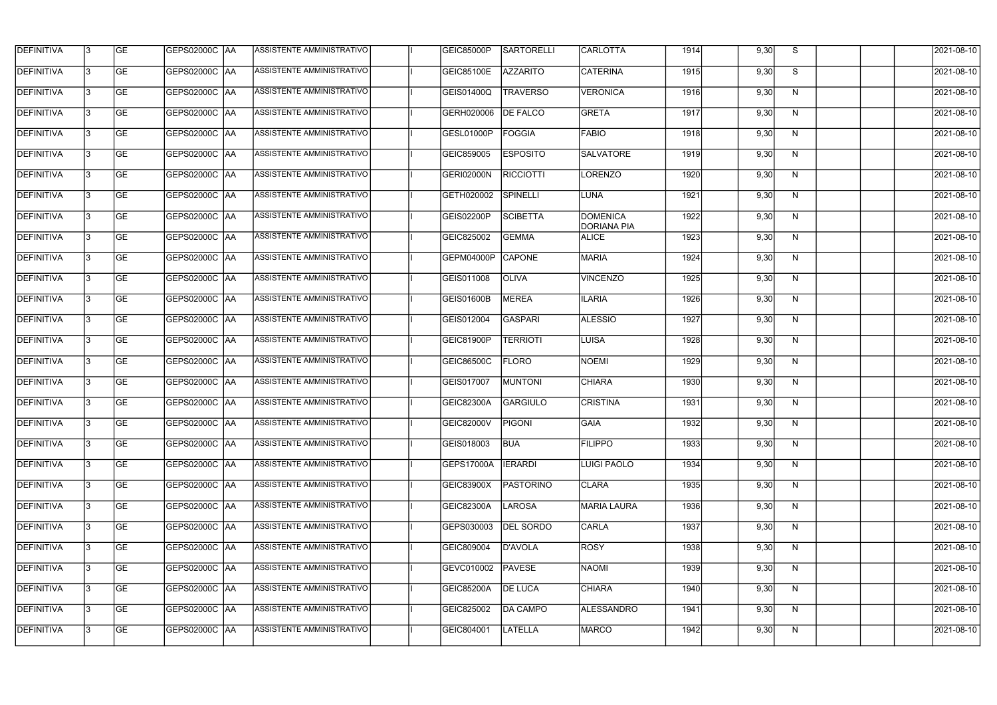| <b>DEFINITIVA</b> | 13  | <b>GE</b> | <b>GEPS02000C AA</b> | ASSISTENTE AMMINISTRATIVO | GEIC85000P        | <b>SARTORELLI</b> | <b>CARLOTTA</b>                       | 1914 | 9,30 | S            | 2021-08-10 |
|-------------------|-----|-----------|----------------------|---------------------------|-------------------|-------------------|---------------------------------------|------|------|--------------|------------|
| DEFINITIVA        | l3  | <b>GE</b> | GEPS02000C  AA       | ASSISTENTE AMMINISTRATIVO | <b>GEIC85100E</b> | <b>AZZARITO</b>   | <b>CATERINA</b>                       | 1915 | 9,30 | S            | 2021-08-10 |
| <b>DEFINITIVA</b> | l3  | <b>GE</b> | GEPS02000C AA        | ASSISTENTE AMMINISTRATIVO | GEIS01400Q        | <b>TRAVERSO</b>   | <b>VERONICA</b>                       | 1916 | 9,30 | N            | 2021-08-10 |
| <b>DEFINITIVA</b> | l3  | <b>GE</b> | <b>GEPS02000C AA</b> | ASSISTENTE AMMINISTRATIVO | GERH020006        | <b>DE FALCO</b>   | <b>GRETA</b>                          | 1917 | 9,30 | N            | 2021-08-10 |
| <b>DEFINITIVA</b> | l3  | <b>GE</b> | <b>GEPS02000C AA</b> | ASSISTENTE AMMINISTRATIVO | GESL01000P        | <b>FOGGIA</b>     | <b>FABIO</b>                          | 1918 | 9,30 | N            | 2021-08-10 |
| <b>DEFINITIVA</b> | l3  | <b>GE</b> | <b>GEPS02000C AA</b> | ASSISTENTE AMMINISTRATIVO | GEIC859005        | <b>ESPOSITO</b>   | <b>SALVATORE</b>                      | 1919 | 9,30 | N            | 2021-08-10 |
| <b>DEFINITIVA</b> | l3  | <b>GE</b> | GEPS02000C AA        | ASSISTENTE AMMINISTRATIVO | GERI02000N        | <b>RICCIOTTI</b>  | LORENZO                               | 1920 | 9,30 | N            | 2021-08-10 |
| <b>DEFINITIVA</b> | l3  | <b>GE</b> | <b>GEPS02000C AA</b> | ASSISTENTE AMMINISTRATIVO | GETH020002        | <b>SPINELLI</b>   | LUNA                                  | 1921 | 9,30 | N            | 2021-08-10 |
| <b>DEFINITIVA</b> |     | <b>GE</b> | GEPS02000C  AA       | ASSISTENTE AMMINISTRATIVO | GEIS02200P        | <b>SCIBETTA</b>   | <b>DOMENICA</b><br><b>DORIANA PIA</b> | 1922 | 9,30 | N            | 2021-08-10 |
| <b>DEFINITIVA</b> | l3  | <b>GE</b> |                      | ASSISTENTE AMMINISTRATIVO | GEIC825002        | <b>GEMMA</b>      | <b>ALICE</b>                          | 1923 | 9,30 | N            | 2021-08-10 |
| <b>DEFINITIVA</b> | 13  | <b>GE</b> | GEPS02000C AA        | ASSISTENTE AMMINISTRATIVO | GEPM04000P        | <b>CAPONE</b>     | <b>MARIA</b>                          | 1924 | 9,30 | N            | 2021-08-10 |
| <b>DEFINITIVA</b> | l3  | <b>GE</b> |                      | ASSISTENTE AMMINISTRATIVO | GEIS011008        | <b>OLIVA</b>      | <b>VINCENZO</b>                       | 1925 | 9,30 | $\mathsf{N}$ | 2021-08-10 |
| <b>DEFINITIVA</b> | l3  | <b>GE</b> | GEPS02000C AA        | ASSISTENTE AMMINISTRATIVO | GEIS01600B        | <b>MEREA</b>      | <b>ILARIA</b>                         | 1926 | 9,30 | N            | 2021-08-10 |
| <b>DEFINITIVA</b> | l3  | <b>GE</b> | GEPS02000C  AA       | ASSISTENTE AMMINISTRATIVO | GEIS012004        | <b>GASPARI</b>    | <b>ALESSIO</b>                        | 1927 | 9,30 | N            | 2021-08-10 |
| <b>DEFINITIVA</b> | l3  | <b>GE</b> | GEPS02000C  AA       | ASSISTENTE AMMINISTRATIVO | GEIC81900P        | <b>TERRIOTI</b>   | LUISA                                 | 1928 | 9,30 | N            | 2021-08-10 |
| <b>DEFINITIVA</b> | IЗ  | <b>GE</b> |                      | ASSISTENTE AMMINISTRATIVO | GEIC86500C        | <b>FLORO</b>      | NOEMI                                 | 1929 | 9,30 | N            | 2021-08-10 |
| <b>DEFINITIVA</b> | I3  | <b>GE</b> | GEPS02000C  AA       | ASSISTENTE AMMINISTRATIVO | GEIS017007        | <b>MUNTONI</b>    | <b>CHIARA</b>                         | 1930 | 9,30 | N            | 2021-08-10 |
| DEFINITIVA        |     | <b>GE</b> | GEPS02000C  AA       | ASSISTENTE AMMINISTRATIVO | <b>GEIC82300A</b> | <b>GARGIULO</b>   | <b>CRISTINA</b>                       | 1931 | 9,30 | N            | 2021-08-10 |
| <b>DEFINITIVA</b> | 13  | <b>GE</b> | GEPS02000C  AA       | ASSISTENTE AMMINISTRATIVO | <b>GEIC82000V</b> | <b>PIGONI</b>     | <b>GAIA</b>                           | 1932 | 9,30 | N            | 2021-08-10 |
| <b>DEFINITIVA</b> | 13  | <b>GE</b> | <b>GEPS02000C AA</b> | ASSISTENTE AMMINISTRATIVO | GEIS018003        | <b>BUA</b>        | <b>FILIPPO</b>                        | 1933 | 9,30 | N            | 2021-08-10 |
| <b>DEFINITIVA</b> | 13  | <b>GE</b> | GEPS02000C  AA       | ASSISTENTE AMMINISTRATIVO | <b>GEPS17000A</b> | <b>IERARDI</b>    | LUIGI PAOLO                           | 1934 | 9,30 | N            | 2021-08-10 |
| <b>DEFINITIVA</b> | 13  | <b>GE</b> | <b>GEPS02000C AA</b> | ASSISTENTE AMMINISTRATIVO | GEIC83900X        | PASTORINO         | <b>CLARA</b>                          | 1935 | 9,30 | N            | 2021-08-10 |
| <b>DEFINITIVA</b> | 13  | <b>GE</b> | GEPS02000C AA        | ASSISTENTE AMMINISTRATIVO | GEIC82300A        | LAROSA            | MARIA LAURA                           | 1936 | 9,30 | N            | 2021-08-10 |
| <b>DEFINITIVA</b> | 13  | <b>GE</b> | GEPS02000C  AA       | ASSISTENTE AMMINISTRATIVO | GEPS030003        | <b>DEL SORDO</b>  | CARLA                                 | 1937 | 9,30 | N            | 2021-08-10 |
| <b>DEFINITIVA</b> | IЗ  | <b>GE</b> | GEPS02000C  AA       | ASSISTENTE AMMINISTRATIVO | GEIC809004        | D'AVOLA           | ROSY                                  | 1938 | 9,30 | N            | 2021-08-10 |
| DEFINITIVA        | IЗ  | <b>GE</b> | GEPS02000C  AA       | ASSISTENTE AMMINISTRATIVO | GEVC010002        | PAVESE            | <b>NAOMI</b>                          | 1939 | 9,30 | N            | 2021-08-10 |
| <b>DEFINITIVA</b> | l3  | <b>GE</b> | GEPS02000C  AA       | ASSISTENTE AMMINISTRATIVO | <b>GEIC85200A</b> | <b>DE LUCA</b>    | <b>CHIARA</b>                         | 1940 | 9,30 | N,           | 2021-08-10 |
| <b>DEFINITIVA</b> | 13. | <b>GE</b> | GEPS02000C  AA       | ASSISTENTE AMMINISTRATIVO | GEIC825002        | <b>DA CAMPO</b>   | <b>ALESSANDRO</b>                     | 1941 | 9,30 | N            | 2021-08-10 |
| <b>DEFINITIVA</b> | IЗ  | <b>GE</b> | GEPS02000C  AA       | ASSISTENTE AMMINISTRATIVO | GEIC804001        | <b>LATELLA</b>    | <b>MARCO</b>                          | 1942 | 9,30 | N            | 2021-08-10 |
|                   |     |           |                      |                           |                   |                   |                                       |      |      |              |            |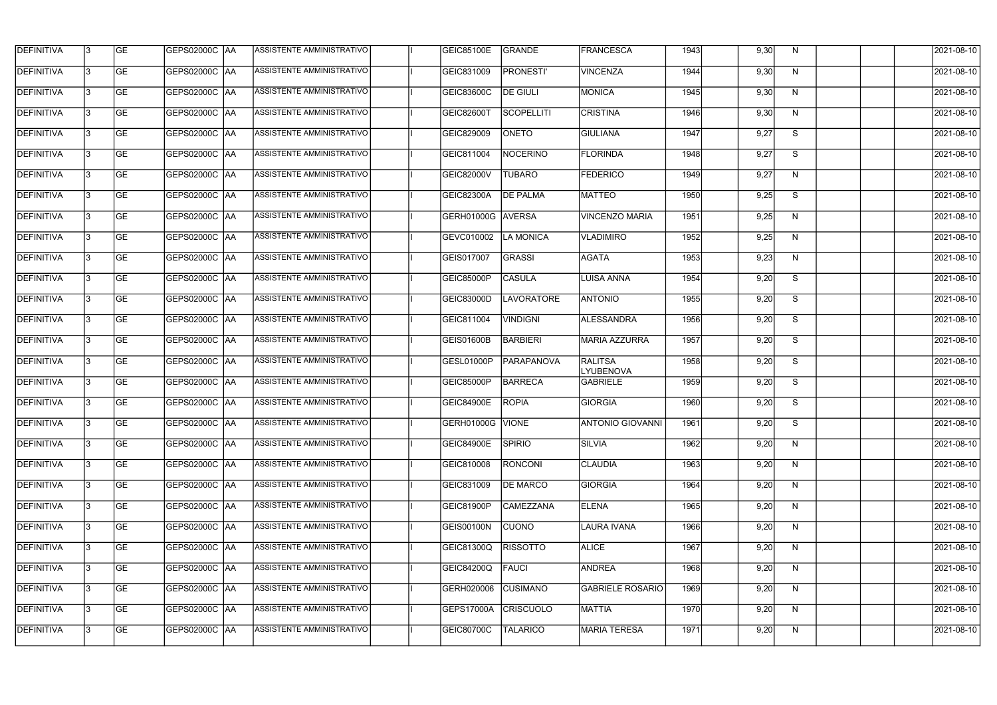| <b>DEFINITIVA</b> | 13  | <b>GE</b> | <b>GEPS02000C AA</b> | ASSISTENTE AMMINISTRATIVO        | <b>GEIC85100E</b> | GRANDE            | <b>FRANCESCA</b>                   | 1943 | 9,30 | N,           | 2021-08-10 |
|-------------------|-----|-----------|----------------------|----------------------------------|-------------------|-------------------|------------------------------------|------|------|--------------|------------|
| DEFINITIVA        | l3  | <b>GE</b> | <b>GEPS02000C AA</b> | ASSISTENTE AMMINISTRATIVO        | GEIC831009        | <b>PRONESTI'</b>  | <b>VINCENZA</b>                    | 1944 | 9,30 | N            | 2021-08-10 |
| <b>DEFINITIVA</b> | l3  | <b>GE</b> | <b>GEPS02000C AA</b> | ASSISTENTE AMMINISTRATIVO        | GEIC83600C        | <b>DE GIULI</b>   | <b>MONICA</b>                      | 1945 | 9,30 | N            | 2021-08-10 |
| <b>DEFINITIVA</b> | l3  | <b>GE</b> | <b>GEPS02000C AA</b> | ASSISTENTE AMMINISTRATIVO        | GEIC82600T        | <b>SCOPELLITI</b> | <b>CRISTINA</b>                    | 1946 | 9,30 | $\mathsf{N}$ | 2021-08-10 |
| <b>DEFINITIVA</b> | l3  | <b>GE</b> | <b>GEPS02000C AA</b> | ASSISTENTE AMMINISTRATIVO        | GEIC829009        | <b>ONETO</b>      | <b>GIULIANA</b>                    | 1947 | 9,27 | S            | 2021-08-10 |
| <b>DEFINITIVA</b> | l3  | <b>GE</b> | <b>GEPS02000C AA</b> | <b>ASSISTENTE AMMINISTRATIVO</b> | GEIC811004        | <b>NOCERINO</b>   | <b>FLORINDA</b>                    | 1948 | 9,27 | S            | 2021-08-10 |
| <b>DEFINITIVA</b> | l3  | <b>GE</b> | <b>GEPS02000C AA</b> | ASSISTENTE AMMINISTRATIVO        | GEIC82000V        | <b>TUBARO</b>     | <b>FEDERICO</b>                    | 1949 | 9,27 | N            | 2021-08-10 |
| <b>DEFINITIVA</b> | l3  | <b>GE</b> | <b>GEPS02000C AA</b> | ASSISTENTE AMMINISTRATIVO        | GEIC82300A        | <b>DE PALMA</b>   | <b>MATTEO</b>                      | 1950 | 9,25 | S            | 2021-08-10 |
| <b>DEFINITIVA</b> |     | <b>GE</b> |                      | ASSISTENTE AMMINISTRATIVO        | GERH01000G        | <b>AVERSA</b>     | <b>VINCENZO MARIA</b>              | 1951 | 9,25 | N            | 2021-08-10 |
| <b>DEFINITIVA</b> | l3  | <b>GE</b> | GEPS02000C AA        | ASSISTENTE AMMINISTRATIVO        | GEVC010002        | <b>LA MONICA</b>  | <b>VLADIMIRO</b>                   | 1952 | 9,25 | N            | 2021-08-10 |
| <b>DEFINITIVA</b> | l3  | <b>GE</b> | GEPS02000C AA        | ASSISTENTE AMMINISTRATIVO        | GEIS017007        | GRASSI            | <b>AGATA</b>                       | 1953 | 9,23 | N            | 2021-08-10 |
| <b>DEFINITIVA</b> | l3  | <b>GE</b> |                      | ASSISTENTE AMMINISTRATIVO        | <b>GEIC85000P</b> | <b>CASULA</b>     | LUISA ANNA                         | 1954 | 9,20 | S            | 2021-08-10 |
| <b>DEFINITIVA</b> | l3  | <b>GE</b> | GEPS02000C   AA      | ASSISTENTE AMMINISTRATIVO        | <b>GEIC83000D</b> | <b>LAVORATORE</b> | <b>ANTONIO</b>                     | 1955 | 9,20 | S            | 2021-08-10 |
| <b>DEFINITIVA</b> | l3  | <b>GE</b> | GEPS02000C  AA       | ASSISTENTE AMMINISTRATIVO        | GEIC811004        | <b>VINDIGNI</b>   | ALESSANDRA                         | 1956 | 9,20 | S            | 2021-08-10 |
| <b>DEFINITIVA</b> | l3  | <b>GE</b> |                      | ASSISTENTE AMMINISTRATIVO        | GEIS01600B        | <b>BARBIERI</b>   | <b>MARIA AZZURRA</b>               | 1957 | 9,20 | S            | 2021-08-10 |
| <b>DEFINITIVA</b> | IЗ  | <b>GE</b> |                      | ASSISTENTE AMMINISTRATIVO        | GESL01000P        | PARAPANOVA        | <b>RALITSA</b><br><b>LYUBENOVA</b> | 1958 | 9,20 | S            | 2021-08-10 |
| <b>DEFINITIVA</b> | I3  | <b>GE</b> | GEPS02000C  AA       | ASSISTENTE AMMINISTRATIVO        | GEIC85000P        | <b>BARRECA</b>    | <b>GABRIELE</b>                    | 1959 | 9,20 | S            | 2021-08-10 |
| <b>DEFINITIVA</b> |     | <b>GE</b> | GEPS02000C  AA       | ASSISTENTE AMMINISTRATIVO        | <b>GEIC84900E</b> | <b>ROPIA</b>      | <b>GIORGIA</b>                     | 1960 | 9,20 | S            | 2021-08-10 |
| <b>DEFINITIVA</b> | 13  | <b>GE</b> | <b>GEPS02000C AA</b> | ASSISTENTE AMMINISTRATIVO        | GERH01000G VIONE  |                   | <b>ANTONIO GIOVANNI</b>            | 1961 | 9,20 | S.           | 2021-08-10 |
| <b>DEFINITIVA</b> | 13. | <b>GE</b> | <b>GEPS02000C AA</b> | ASSISTENTE AMMINISTRATIVO        | <b>GEIC84900E</b> | <b>SPIRIO</b>     | <b>SILVIA</b>                      | 1962 | 9,20 | N            | 2021-08-10 |
| <b>DEFINITIVA</b> | 13  | <b>GE</b> | GEPS02000C  AA       | ASSISTENTE AMMINISTRATIVO        | GEIC810008        | <b>RONCONI</b>    | <b>CLAUDIA</b>                     | 1963 | 9,20 | N            | 2021-08-10 |
| <b>DEFINITIVA</b> | 13. | <b>GE</b> | <b>GEPS02000C AA</b> | ASSISTENTE AMMINISTRATIVO        | GEIC831009        | <b>DE MARCO</b>   | <b>GIORGIA</b>                     | 1964 | 9,20 | N            | 2021-08-10 |
| <b>DEFINITIVA</b> | 13  | <b>GE</b> | GEPS02000C AA        | ASSISTENTE AMMINISTRATIVO        | GEIC81900P        | <b>CAMEZZANA</b>  | <b>ELENA</b>                       | 1965 | 9,20 | N            | 2021-08-10 |
| <b>DEFINITIVA</b> | 13  | <b>GE</b> | GEPS02000C  AA       | ASSISTENTE AMMINISTRATIVO        | GEIS00100N        | <b>CUONO</b>      | LAURA IVANA                        | 1966 | 9,20 | N            | 2021-08-10 |
| <b>DEFINITIVA</b> | IЗ  | <b>GE</b> | GEPS02000C  AA       | ASSISTENTE AMMINISTRATIVO        | GEIC81300Q        | <b>RISSOTTO</b>   | <b>ALICE</b>                       | 1967 | 9,20 | N            | 2021-08-10 |
| DEFINITIVA        | l3  | <b>GE</b> | GEPS02000C  AA       | ASSISTENTE AMMINISTRATIVO        | GEIC84200Q        | FAUCI             | <b>ANDREA</b>                      | 1968 | 9,20 | N            | 2021-08-10 |
| <b>DEFINITIVA</b> | l3  | <b>GE</b> | GEPS02000C  AA       | ASSISTENTE AMMINISTRATIVO        | GERH020006        | <b>CUSIMANO</b>   | <b>GABRIELE ROSARIO</b>            | 1969 | 9,20 | N.           | 2021-08-10 |
| <b>DEFINITIVA</b> | 13. | <b>GE</b> | GEPS02000C  AA       | ASSISTENTE AMMINISTRATIVO        | GEPS17000A        | <b>CRISCUOLO</b>  | <b>MATTIA</b>                      | 1970 | 9,20 | N            | 2021-08-10 |
| <b>DEFINITIVA</b> | IЗ  | <b>GE</b> | GEPS02000C  AA       | ASSISTENTE AMMINISTRATIVO        | GEIC80700C        | <b>TALARICO</b>   | <b>MARIA TERESA</b>                | 1971 | 9,20 | N            | 2021-08-10 |
|                   |     |           |                      |                                  |                   |                   |                                    |      |      |              |            |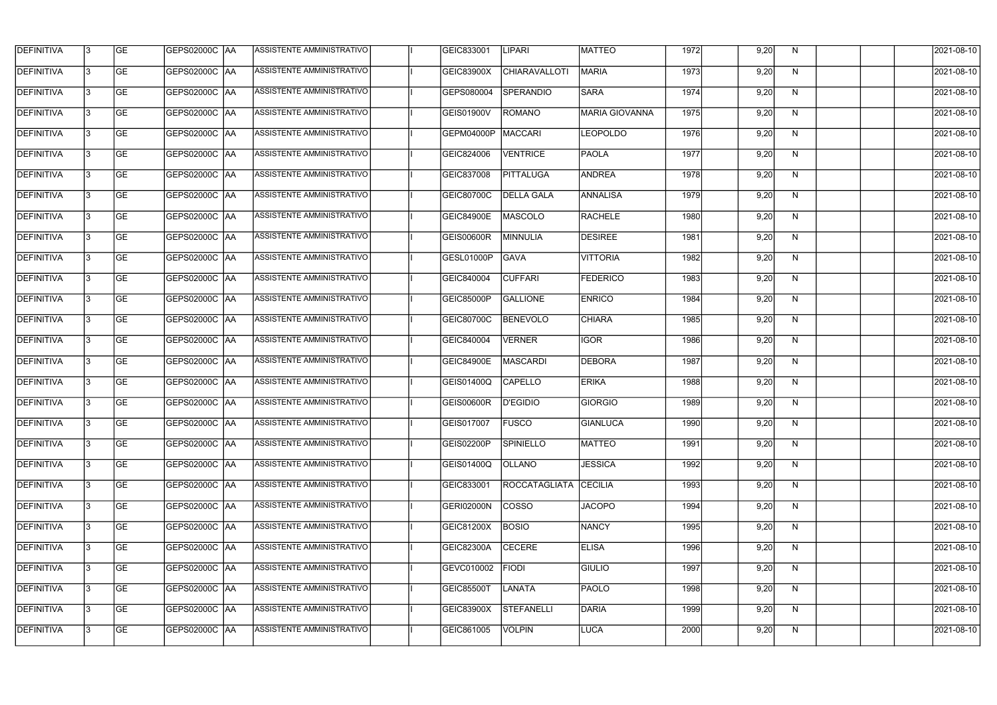| <b>DEFINITIVA</b> | 13 | GE        | GEPS02000C  AA       | ASSISTENTE AMMINISTRATIVO        | GEIC833001        | <b>LIPARI</b>         | MATTEO                | 1972 | 9,20 | N. | 2021-08-10       |
|-------------------|----|-----------|----------------------|----------------------------------|-------------------|-----------------------|-----------------------|------|------|----|------------------|
| <b>DEFINITIVA</b> | IЗ | GE        | GEPS02000C  AA       | ASSISTENTE AMMINISTRATIVO        | <b>GEIC83900X</b> | <b>CHIARAVALLOTI</b>  | MARIA                 | 1973 | 9,20 | N  | 2021-08-10       |
| <b>DEFINITIVA</b> | 13 | <b>GE</b> | <b>GEPS02000C AA</b> | ASSISTENTE AMMINISTRATIVO        | GEPS080004        | SPERANDIO             | <b>SARA</b>           | 1974 | 9,20 | N  | 2021-08-10       |
| <b>DEFINITIVA</b> | l3 | <b>GE</b> | <b>GEPS02000C AA</b> | ASSISTENTE AMMINISTRATIVO        | GEIS01900V        | ROMANO                | <b>MARIA GIOVANNA</b> | 1975 | 9,20 | N  | 2021-08-10       |
| <b>DEFINITIVA</b> | l3 | GE        | GEPS02000C AA        | ASSISTENTE AMMINISTRATIVO        | GEPM04000P        | MACCARI               | <b>LEOPOLDO</b>       | 1976 | 9,20 | N  | 2021-08-10       |
| <b>DEFINITIVA</b> | l3 | <b>GE</b> | <b>GEPS02000C AA</b> | ASSISTENTE AMMINISTRATIVO        | GEIC824006        | <b>VENTRICE</b>       | <b>PAOLA</b>          | 1977 | 9,20 | N  | 2021-08-10       |
| <b>DEFINITIVA</b> | l3 | <b>GE</b> | GEPS02000C AA        | ASSISTENTE AMMINISTRATIVO        | GEIC837008        | <b>PITTALUGA</b>      | ANDREA                | 1978 | 9,20 | N  | 2021-08-10       |
| <b>DEFINITIVA</b> | l3 | <b>GE</b> | GEPS02000C AA        | <b>ASSISTENTE AMMINISTRATIVO</b> | GEIC80700C        | <b>DELLA GALA</b>     | ANNALISA              | 1979 | 9,20 | N  | 2021-08-10       |
| <b>DEFINITIVA</b> | l3 | <b>GE</b> | GEPS02000C AA        | ASSISTENTE AMMINISTRATIVO        | <b>GEIC84900E</b> | MASCOLO               | <b>RACHELE</b>        | 1980 | 9,20 | N  | 2021-08-10       |
| <b>DEFINITIVA</b> | l3 | GE        | GEPS02000C   AA      | ASSISTENTE AMMINISTRATIVO        | <b>GEIS00600R</b> | MINNULIA              | <b>DESIREE</b>        | 1981 | 9,20 | N  | 2021-08-10       |
| <b>DEFINITIVA</b> | 13 | <b>GE</b> | GEPS02000C AA        | ASSISTENTE AMMINISTRATIVO        | GESL01000P        | <b>GAVA</b>           | <b>VITTORIA</b>       | 1982 | 9,20 | N  | 2021-08-10       |
| <b>DEFINITIVA</b> | l3 | <b>GE</b> | GEPS02000C AA        | <b>ASSISTENTE AMMINISTRATIVO</b> | GEIC840004        | <b>CUFFARI</b>        | <b>FEDERICO</b>       | 1983 | 9,20 | N  | 2021-08-10       |
| <b>DEFINITIVA</b> | l3 | GE        | GEPS02000C  AA       | ASSISTENTE AMMINISTRATIVO        | <b>GEIC85000P</b> | <b>GALLIONE</b>       | <b>ENRICO</b>         | 1984 | 9,20 | N  | 2021-08-10       |
| <b>DEFINITIVA</b> | l3 | <b>GE</b> | GEPS02000C AA        | ASSISTENTE AMMINISTRATIVO        | GEIC80700C        | <b>BENEVOLO</b>       | <b>CHIARA</b>         | 1985 | 9,20 | N  | 2021-08-10       |
| <b>DEFINITIVA</b> | l3 | <b>GE</b> | GEPS02000C AA        | ASSISTENTE AMMINISTRATIVO        | GEIC840004        | <b>VERNER</b>         | IGOR                  | 1986 | 9,20 | N  | 2021-08-10       |
| <b>DEFINITIVA</b> | 13 | GE        | GEPS02000C   AA      | ASSISTENTE AMMINISTRATIVO        | <b>GEIC84900E</b> | <b>MASCARDI</b>       | <b>DEBORA</b>         | 1987 | 9,20 | N  | 2021-08-10       |
| <b>DEFINITIVA</b> | l3 | <b>GE</b> | GEPS02000C   AA      | ASSISTENTE AMMINISTRATIVO        | <b>GEIS01400Q</b> | <b>CAPELLO</b>        | <b>ERIKA</b>          | 1988 | 9,20 | N  | 2021-08-10       |
| <b>DEFINITIVA</b> | IЗ | <b>GE</b> | GEPS02000C AA        | ASSISTENTE AMMINISTRATIVO        | <b>GEIS00600R</b> | D'EGIDIO              | <b>GIORGIO</b>        | 1989 | 9,20 | N  | 2021-08-10       |
| <b>DEFINITIVA</b> | IЗ | GE        | GEPS02000C  AA       | <b>ASSISTENTE AMMINISTRATIVO</b> | <b>GEIS017007</b> | <b>FUSCO</b>          | <b>GIANLUCA</b>       | 1990 | 9,20 | N, | 2021-08-10       |
| <b>DEFINITIVA</b> | l3 | GE        | GEPS02000C AA        | ASSISTENTE AMMINISTRATIVO        | <b>GEIS02200P</b> | SPINIELLO             | <b>MATTEO</b>         | 1991 | 9,20 | N  | 2021-08-10       |
| <b>DEFINITIVA</b> | l3 | GE        | GEPS02000C AA        | ASSISTENTE AMMINISTRATIVO        | GEIS01400Q        | <b>OLLANO</b>         | <b>JESSICA</b>        | 1992 | 9,20 | N  | 2021-08-10       |
| <b>DEFINITIVA</b> | 13 | <b>GE</b> | GEPS02000C AA        | ASSISTENTE AMMINISTRATIVO        | GEIC833001        | ROCCATAGLIATA CECILIA |                       | 1993 | 9,20 | N  | $2021 - 08 - 10$ |
| <b>DEFINITIVA</b> | l3 | <b>GE</b> | GEPS02000C AA        | ASSISTENTE AMMINISTRATIVO        | GERI02000N        | <b>COSSO</b>          | <b>JACOPO</b>         | 1994 | 9,20 | N  | 2021-08-10       |
| <b>DEFINITIVA</b> | 13 | <b>GE</b> | GEPS02000C AA        | ASSISTENTE AMMINISTRATIVO        | GEIC81200X        | BOSIO                 | <b>NANCY</b>          | 1995 | 9,20 | N  | 2021-08-10       |
| <b>DEFINITIVA</b> | l3 | <b>GE</b> | GEPS02000C  AA       | ASSISTENTE AMMINISTRATIVO        | GEIC82300A        | <b>CECERE</b>         | <b>ELISA</b>          | 1996 | 9,20 | N  | 2021-08-10       |
| <b>DEFINITIVA</b> | l3 | <b>GE</b> | GEPS02000C  AA       | ASSISTENTE AMMINISTRATIVO        | GEVC010002        | <b>FIODI</b>          | <b>GIULIO</b>         | 1997 | 9,20 | N  | 2021-08-10       |
| <b>DEFINITIVA</b> | l3 | GE        | GEPS02000C  AA       | ASSISTENTE AMMINISTRATIVO        | <b>GEIC85500T</b> | LANATA                | <b>PAOLO</b>          | 1998 | 9,20 | N  | 2021-08-10       |
| <b>DEFINITIVA</b> | l3 | GE        | GEPS02000C AA        | ASSISTENTE AMMINISTRATIVO        | GEIC83900X        | STEFANELLI            | DARIA                 | 1999 | 9,20 | N  | 2021-08-10       |
| <b>DEFINITIVA</b> | l3 | GE        | GEPS02000C AA        | ASSISTENTE AMMINISTRATIVO        | GEIC861005        | <b>VOLPIN</b>         | LUCA                  | 2000 | 9,20 | N  | 2021-08-10       |
|                   |    |           |                      |                                  |                   |                       |                       |      |      |    |                  |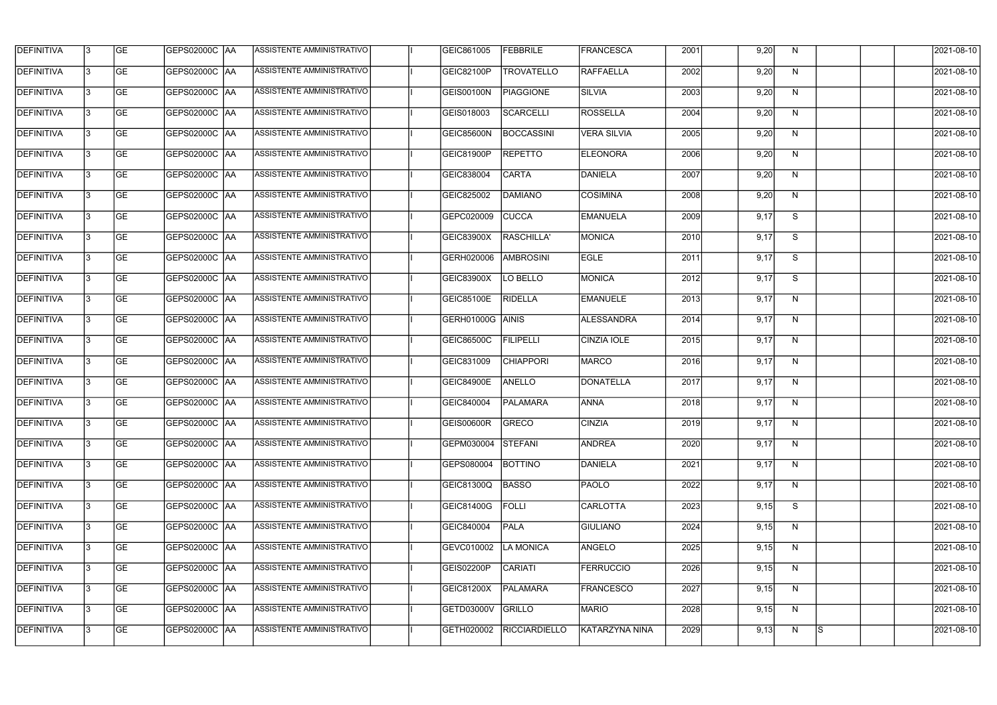| <b>DEFINITIVA</b> | l3 | GE                       | <b>GEPS02000C AA</b> | ASSISTENTE AMMINISTRATIVO        | GEIC861005        | <b>FEBBRILE</b>      | <b>FRANCESCA</b>   | 2001 | 9,20 | N  |   | 2021-08-10          |
|-------------------|----|--------------------------|----------------------|----------------------------------|-------------------|----------------------|--------------------|------|------|----|---|---------------------|
| <b>DEFINITIVA</b> | IЗ | $\overline{\mathsf{GE}}$ | GEPS02000C AA        | ASSISTENTE AMMINISTRATIVO        | GEIC82100P        | <b>TROVATELLO</b>    | RAFFAELLA          | 2002 | 9,20 | N  |   | 2021-08-10          |
| <b>DEFINITIVA</b> | l3 | GE                       | GEPS02000C AA        | ASSISTENTE AMMINISTRATIVO        | <b>GEIS00100N</b> | <b>PIAGGIONE</b>     | <b>SILVIA</b>      | 2003 | 9,20 | N  |   | 2021-08-10          |
| <b>DEFINITIVA</b> | l3 | GE                       | <b>GEPS02000C AA</b> | ASSISTENTE AMMINISTRATIVO        | GEIS018003        | SCARCELLI            | <b>ROSSELLA</b>    | 2004 | 9,20 | N  |   | 2021-08-10          |
| <b>DEFINITIVA</b> | l3 | <b>GE</b>                | GEPS02000C AA        | ASSISTENTE AMMINISTRATIVO        | GEIC85600N        | BOCCASSINI           | <b>VERA SILVIA</b> | 2005 | 9,20 | N  |   | 2021-08-10          |
| <b>DEFINITIVA</b> | IЗ | <b>GE</b>                | <b>GEPS02000C AA</b> | <b>ASSISTENTE AMMINISTRATIVO</b> | GEIC81900P        | <b>REPETTO</b>       | ELEONORA           | 2006 | 9,20 | N  |   | 2021-08-10          |
| <b>DEFINITIVA</b> | l3 | <b>GE</b>                | GEPS02000C AA        | ASSISTENTE AMMINISTRATIVO        | GEIC838004        | <b>CARTA</b>         | DANIELA            | 2007 | 9,20 | N  |   | 2021-08-10          |
| <b>DEFINITIVA</b> | l3 | <b>GE</b>                | GEPS02000C   AA      | ASSISTENTE AMMINISTRATIVO        | GEIC825002        | DAMIANO              | <b>COSIMINA</b>    | 2008 | 9,20 | N  |   | 2021-08-10          |
| <b>DEFINITIVA</b> | l3 | <b>GE</b>                | GEPS02000C   AA      | ASSISTENTE AMMINISTRATIVO        | GEPC020009        | <b>CUCCA</b>         | <b>EMANUELA</b>    | 2009 | 9,17 | S  |   | 2021-08-10          |
| <b>DEFINITIVA</b> | l3 | GE                       | GEPS02000C AA        | ASSISTENTE AMMINISTRATIVO        | <b>GEIC83900X</b> | RASCHILLA'           | MONICA             | 2010 | 9,17 | S  |   | 2021-08-10          |
| <b>DEFINITIVA</b> | l3 | GE                       | GEPS02000C AA        | ASSISTENTE AMMINISTRATIVO        | GERH020006        | <b>AMBROSINI</b>     | <b>EGLE</b>        | 2011 | 9,17 | S  |   | 2021-08-10          |
| <b>DEFINITIVA</b> | l3 | GE                       | GEPS02000C   AA      | ASSISTENTE AMMINISTRATIVO        | <b>GEIC83900X</b> | LO BELLO             | <b>MONICA</b>      | 2012 | 9,17 | S  |   | 2021-08-10          |
| <b>DEFINITIVA</b> | l3 | <b>GE</b>                | GEPS02000C AA        | ASSISTENTE AMMINISTRATIVO        | <b>GEIC85100E</b> | <b>RIDELLA</b>       | <b>EMANUELE</b>    | 2013 | 9,17 | N  |   | 2021-08-10          |
| <b>DEFINITIVA</b> | IЗ | <b>GE</b>                | GEPS02000C AA        | ASSISTENTE AMMINISTRATIVO        | GERH01000G        | <b>AINIS</b>         | ALESSANDRA         | 2014 | 9,17 | N  |   | 2021-08-10          |
| <b>DEFINITIVA</b> | 13 | GE                       | GEPS02000C AA        | ASSISTENTE AMMINISTRATIVO        | GEIC86500C        | <b>FILIPELLI</b>     | CINZIA IOLE        | 2015 | 9,17 | N  |   | 2021-08-10          |
| <b>DEFINITIVA</b> | l3 | <b>GE</b>                | GEPS02000C  AA       | ASSISTENTE AMMINISTRATIVO        | GEIC831009        | <b>CHIAPPORI</b>     | <b>MARCO</b>       | 2016 | 9,17 | N  |   | 2021-08-10          |
| <b>DEFINITIVA</b> | IЗ | GE                       | GEPS02000C  AA       | ASSISTENTE AMMINISTRATIVO        | <b>GEIC84900E</b> | ANELLO               | <b>DONATELLA</b>   | 2017 | 9,17 | N  |   | 2021-08-10          |
| <b>DEFINITIVA</b> | l3 | GE                       | GEPS02000C   AA      | ASSISTENTE AMMINISTRATIVO        | GEIC840004        | <b>PALAMARA</b>      | <b>ANNA</b>        | 2018 | 9,17 | N  |   | 2021-08-10          |
| DEFINITIVA        | 13 | <b>GE</b>                | GEPS02000C  AA       | ASSISTENTE AMMINISTRATIVO        | GEIS00600R GRECO  |                      | <b>CINZIA</b>      | 2019 | 9,17 | N, |   | 2021-08-10          |
| <b>DEFINITIVA</b> | l3 | GE                       | <b>GEPS02000C AA</b> | ASSISTENTE AMMINISTRATIVO        | GEPM030004        | STEFANI              | ANDREA             | 2020 | 9,17 | N  |   | 2021-08-10          |
| <b>DEFINITIVA</b> | l3 | GE                       | GEPS02000C  AA       | ASSISTENTE AMMINISTRATIVO        | GEPS080004        | <b>BOTTINO</b>       | DANIELA            | 2021 | 9,17 | N  |   | 2021-08-10          |
| <b>DEFINITIVA</b> | l3 | GE                       | GEPS02000C AA        | ASSISTENTE AMMINISTRATIVO        | GEIC81300Q        | <b>BASSO</b>         | <b>PAOLO</b>       | 2022 | 9,17 | N  |   | 2021-08-10          |
| <b>DEFINITIVA</b> | 13 | <b>GE</b>                | GEPS02000C AA        | ASSISTENTE AMMINISTRATIVO        | <b>GEIC81400G</b> | FOLLI                | CARLOTTA           | 2023 | 9,15 | S  |   | 2021-08-10          |
| <b>DEFINITIVA</b> | l3 | <b>GE</b>                | GEPS02000C  AA       | ASSISTENTE AMMINISTRATIVO        | GEIC840004        | PALA                 | GIULIANO           | 2024 | 9,15 | N  |   | 2021-08-10          |
| <b>DEFINITIVA</b> | l3 | <b>GE</b>                | GEPS02000C  AA       | ASSISTENTE AMMINISTRATIVO        | GEVC010002        | <b>LA MONICA</b>     | ANGELO             | 2025 | 9,15 | N  |   | 2021-08-10          |
| <b>DEFINITIVA</b> | l3 | <b>GE</b>                | GEPS02000C   AA      | ASSISTENTE AMMINISTRATIVO        | GEIS02200P        | CARIATI              | <b>FERRUCCIO</b>   | 2026 | 9,15 | N  |   | 2021-08-10          |
| <b>DEFINITIVA</b> | l3 | <b>GE</b>                | GEPS02000C AA        | ASSISTENTE AMMINISTRATIVO        | GEIC81200X        | PALAMARA             | FRANCESCO          | 2027 | 9,15 | N  |   | 2021-08-10          |
| <b>DEFINITIVA</b> | 13 | GE                       | GEPS02000C AA        | ASSISTENTE AMMINISTRATIVO        | GETD03000V        | GRILLO               | <b>MARIO</b>       | 2028 | 9,15 | N  |   | 2021-08-10          |
| DEFINITIVA        | l3 | GE                       |                      | ASSISTENTE AMMINISTRATIVO        | GETH020002        | <b>RICCIARDIELLO</b> | KATARZYNA NINA     | 2029 | 9,13 | N  | S | $\sqrt{2021-08-10}$ |
|                   |    |                          |                      |                                  |                   |                      |                    |      |      |    |   |                     |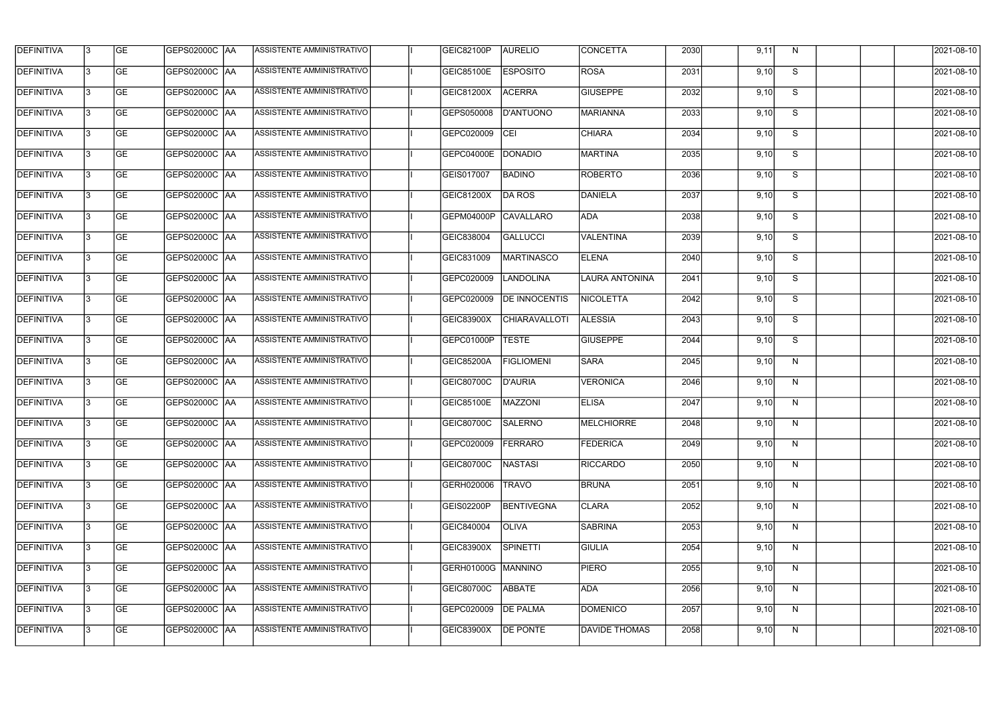| <b>DEFINITIVA</b> | 13  | <b>GE</b> | GEPS02000C  AA       | ASSISTENTE AMMINISTRATIVO        | <b>GEIC82100P</b>  | <b>AURELIO</b>       | <b>CONCETTA</b>       | 2030 | 9,11 | N. | 2021-08-10       |
|-------------------|-----|-----------|----------------------|----------------------------------|--------------------|----------------------|-----------------------|------|------|----|------------------|
| DEFINITIVA        | l3  | <b>GE</b> | GEPS02000C  AA       | ASSISTENTE AMMINISTRATIVO        | <b>GEIC85100E</b>  | <b>ESPOSITO</b>      | ROSA                  | 2031 | 9,10 | S  | 2021-08-10       |
| <b>DEFINITIVA</b> | l3  | <b>GE</b> | <b>GEPS02000C AA</b> | ASSISTENTE AMMINISTRATIVO        | <b>GEIC81200X</b>  | <b>ACERRA</b>        | <b>GIUSEPPE</b>       | 2032 | 9,10 | S  | 2021-08-10       |
| <b>DEFINITIVA</b> | 13  | <b>GE</b> | <b>GEPS02000C AA</b> | ASSISTENTE AMMINISTRATIVO        | GEPS050008         | D'ANTUONO            | <b>MARIANNA</b>       | 2033 | 9,10 | S  | 2021-08-10       |
| <b>DEFINITIVA</b> | l3  | <b>GE</b> | GEPS02000C  AA       | ASSISTENTE AMMINISTRATIVO        | GEPC020009         | CEI                  | <b>CHIARA</b>         | 2034 | 9,10 | S  | 2021-08-10       |
| <b>DEFINITIVA</b> | IЗ  | <b>GE</b> | <b>GEPS02000C AA</b> | <b>ASSISTENTE AMMINISTRATIVO</b> | <b>GEPC04000E</b>  | DONADIO              | <b>MARTINA</b>        | 2035 | 9,10 | S  | 2021-08-10       |
| <b>DEFINITIVA</b> | l3  | <b>GE</b> | <b>GEPS02000C AA</b> | <b>ASSISTENTE AMMINISTRATIVO</b> | GEIS017007         | <b>BADINO</b>        | <b>ROBERTO</b>        | 2036 | 9,10 | S  | 2021-08-10       |
| <b>DEFINITIVA</b> | l3  | <b>GE</b> | GEPS02000C AA        | ASSISTENTE AMMINISTRATIVO        | GEIC81200X         | <b>DA ROS</b>        | DANIELA               | 2037 | 9,10 | S  | 2021-08-10       |
| <b>DEFINITIVA</b> | l3  | <b>GE</b> | GEPS02000C  AA       | ASSISTENTE AMMINISTRATIVO        | GEPM04000P         | CAVALLARO            | ADA                   | 2038 | 9,10 | S  | 2021-08-10       |
| <b>DEFINITIVA</b> | l3  | <b>GE</b> | GEPS02000C AA        | ASSISTENTE AMMINISTRATIVO        | GEIC838004         | <b>GALLUCCI</b>      | <b>VALENTINA</b>      | 2039 | 9,10 | S  | 2021-08-10       |
| <b>DEFINITIVA</b> | l3  | <b>GE</b> | GEPS02000C AA        | ASSISTENTE AMMINISTRATIVO        | GEIC831009         | <b>MARTINASCO</b>    | <b>ELENA</b>          | 2040 | 9,10 | S  | 2021-08-10       |
| <b>DEFINITIVA</b> | 13  | <b>GE</b> | <b>GEPS02000C AA</b> | ASSISTENTE AMMINISTRATIVO        | GEPC020009         | LANDOLINA            | <b>LAURA ANTONINA</b> | 2041 | 9,10 | S  | 2021-08-10       |
| <b>DEFINITIVA</b> | l3  | <b>GE</b> | GEPS02000C  AA       | ASSISTENTE AMMINISTRATIVO        | GEPC020009         | <b>DE INNOCENTIS</b> | <b>NICOLETTA</b>      | 2042 | 9,10 | S  | 2021-08-10       |
| <b>DEFINITIVA</b> | l3  | <b>GE</b> | GEPS02000C AA        | ASSISTENTE AMMINISTRATIVO        | GEIC83900X         | <b>CHIARAVALLOTI</b> | <b>ALESSIA</b>        | 2043 | 9,10 | S  | 2021-08-10       |
| <b>DEFINITIVA</b> | l3  | <b>GE</b> | GEPS02000C  AA       | ASSISTENTE AMMINISTRATIVO        | GEPC01000P         | <b>TESTE</b>         | <b>GIUSEPPE</b>       | 2044 | 9,10 | S  | 2021-08-10       |
| <b>DEFINITIVA</b> | IЗ  | <b>GE</b> | GEPS02000C  AA       | ASSISTENTE AMMINISTRATIVO        | <b>GEIC85200A</b>  | <b>FIGLIOMENI</b>    | <b>SARA</b>           | 2045 | 9,10 | N  | 2021-08-10       |
| <b>DEFINITIVA</b> | IЗ  | <b>GE</b> | GEPS02000C  AA       | ASSISTENTE AMMINISTRATIVO        | GEIC80700C         | <b>D'AURIA</b>       | <b>VERONICA</b>       | 2046 | 9,10 | N  | 2021-08-10       |
| <b>DEFINITIVA</b> |     | <b>GE</b> | GEPS02000C  AA       | ASSISTENTE AMMINISTRATIVO        | GEIC85100E         | MAZZONI              | <b>ELISA</b>          | 2047 | 9,10 | N  | 2021-08-10       |
| <b>DEFINITIVA</b> | IЗ  | GE        | GEPS02000C  AA       | <b>ASSISTENTE AMMINISTRATIVO</b> | GEIC80700C         | SALERNO              | <b>MELCHIORRE</b>     | 2048 | 9,10 | N, | 2021-08-10       |
| <b>DEFINITIVA</b> | 13. | <b>GE</b> | GEPS02000C AA        | ASSISTENTE AMMINISTRATIVO        | GEPC020009         | FERRARO              | <b>FEDERICA</b>       | 2049 | 9,10 | N  | 2021-08-10       |
| <b>DEFINITIVA</b> | 13  | <b>GE</b> | <b>GEPS02000C AA</b> | ASSISTENTE AMMINISTRATIVO        | GEIC80700C         | NASTASI              | <b>RICCARDO</b>       | 2050 | 9,10 | N  | 2021-08-10       |
| <b>DEFINITIVA</b> | 13. | <b>GE</b> | GEPS02000C AA        | ASSISTENTE AMMINISTRATIVO        | GERH020006         | <b>TRAVO</b>         | <b>BRUNA</b>          | 2051 | 9,10 | N  | $2021 - 08 - 10$ |
| <b>DEFINITIVA</b> | 13  | <b>GE</b> | <b>GEPS02000C AA</b> | ASSISTENTE AMMINISTRATIVO        | GEIS02200P         | <b>BENTIVEGNA</b>    | <b>CLARA</b>          | 2052 | 9,10 | N  | 2021-08-10       |
| <b>DEFINITIVA</b> | 13  | <b>GE</b> | GEPS02000C AA        | ASSISTENTE AMMINISTRATIVO        | GEIC840004         | <b>OLIVA</b>         | <b>SABRINA</b>        | 2053 | 9,10 | N  | 2021-08-10       |
| <b>DEFINITIVA</b> | l3  | <b>GE</b> | GEPS02000C  AA       | ASSISTENTE AMMINISTRATIVO        | GEIC83900X         | <b>SPINETTI</b>      | <b>GIULIA</b>         | 2054 | 9,10 | N  | 2021-08-10       |
| DEFINITIVA        | l3  | <b>GE</b> | GEPS02000C  AA       | ASSISTENTE AMMINISTRATIVO        | GERH01000G MANNINO |                      | <b>PIERO</b>          | 2055 | 9,10 | N  | 2021-08-10       |
| DEFINITIVA        | l3  | <b>GE</b> | GEPS02000C  AA       | ASSISTENTE AMMINISTRATIVO        | GEIC80700C         | ABBATE               | ADA                   | 2056 | 9,10 | N  | 2021-08-10       |
| <b>DEFINITIVA</b> | l3  | <b>GE</b> | GEPS02000C AA        | ASSISTENTE AMMINISTRATIVO        | GEPC020009         | <b>DE PALMA</b>      | <b>DOMENICO</b>       | 2057 | 9,10 | N  | 2021-08-10       |
| <b>DEFINITIVA</b> | lЗ  | <b>GE</b> | GEPS02000C  AA       | ASSISTENTE AMMINISTRATIVO        | GEIC83900X         | <b>DE PONTE</b>      | DAVIDE THOMAS         | 2058 | 9,10 | N  | 2021-08-10       |
|                   |     |           |                      |                                  |                    |                      |                       |      |      |    |                  |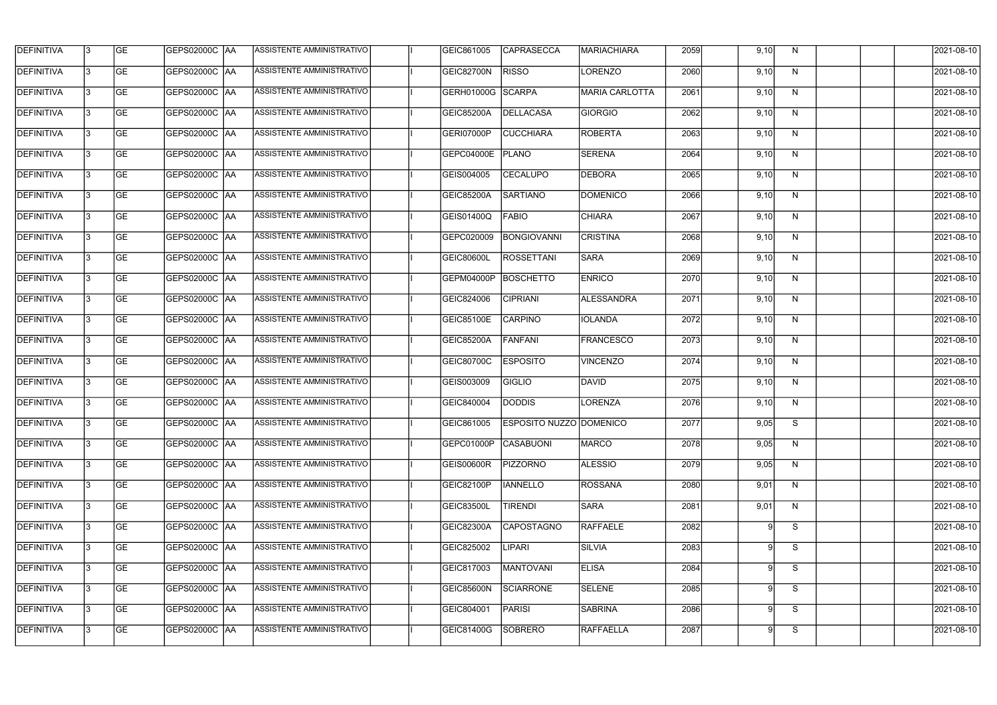| <b>DEFINITIVA</b> | 13  | <b>GE</b> |                      | ASSISTENTE AMMINISTRATIVO        | GEIC861005        | <b>CAPRASECCA</b>              | MARIACHIARA           | 2059 | 9,10 | N            | 2021-08-10 |
|-------------------|-----|-----------|----------------------|----------------------------------|-------------------|--------------------------------|-----------------------|------|------|--------------|------------|
| DEFINITIVA        | l3  | <b>GE</b> | GEPS02000C  AA       | ASSISTENTE AMMINISTRATIVO        | GEIC82700N        | <b>RISSO</b>                   | LORENZO               | 2060 | 9,10 | N            | 2021-08-10 |
| <b>DEFINITIVA</b> | l3  | <b>GE</b> | <b>GEPS02000C AA</b> | ASSISTENTE AMMINISTRATIVO        | GERH01000G SCARPA |                                | <b>MARIA CARLOTTA</b> | 2061 | 9,10 | N            | 2021-08-10 |
| <b>DEFINITIVA</b> | 13  | <b>GE</b> | <b>GEPS02000C AA</b> | ASSISTENTE AMMINISTRATIVO        | GEIC85200A        | DELLACASA                      | GIORGIO               | 2062 | 9,10 | $\mathsf{N}$ | 2021-08-10 |
| <b>DEFINITIVA</b> | l3  | <b>GE</b> | GEPS02000C  AA       | ASSISTENTE AMMINISTRATIVO        | GERI07000P        | <b>CUCCHIARA</b>               | <b>ROBERTA</b>        | 2063 | 9,10 | N            | 2021-08-10 |
| <b>DEFINITIVA</b> | IЗ  | <b>GE</b> | GEPS02000C AA        | <b>ASSISTENTE AMMINISTRATIVO</b> | GEPC04000E        | PLANO                          | <b>SERENA</b>         | 2064 | 9,10 | N            | 2021-08-10 |
| <b>DEFINITIVA</b> | l3  | <b>GE</b> | <b>GEPS02000C AA</b> | <b>ASSISTENTE AMMINISTRATIVO</b> | GEIS004005        | <b>CECALUPO</b>                | <b>DEBORA</b>         | 2065 | 9,10 | N            | 2021-08-10 |
| <b>DEFINITIVA</b> | l3  | <b>GE</b> | GEPS02000C AA        | ASSISTENTE AMMINISTRATIVO        | <b>GEIC85200A</b> | <b>SARTIANO</b>                | <b>DOMENICO</b>       | 2066 | 9,10 | N            | 2021-08-10 |
| <b>DEFINITIVA</b> | l3  | <b>GE</b> | GEPS02000C  AA       | ASSISTENTE AMMINISTRATIVO        | GEIS01400Q        | <b>FABIO</b>                   | <b>CHIARA</b>         | 2067 | 9,10 | N            | 2021-08-10 |
| <b>DEFINITIVA</b> | l3  | <b>GE</b> | GEPS02000C AA        | ASSISTENTE AMMINISTRATIVO        | GEPC020009        | <b>BONGIOVANNI</b>             | <b>CRISTINA</b>       | 2068 | 9,10 | N            | 2021-08-10 |
| <b>DEFINITIVA</b> | l3  | <b>GE</b> | GEPS02000C AA        | ASSISTENTE AMMINISTRATIVO        | <b>GEIC80600L</b> | <b>ROSSETTANI</b>              | <b>SARA</b>           | 2069 | 9,10 | N            | 2021-08-10 |
| <b>DEFINITIVA</b> | 13  | <b>GE</b> | <b>GEPS02000C AA</b> | ASSISTENTE AMMINISTRATIVO        | GEPM04000P        | BOSCHETTO                      | <b>ENRICO</b>         | 2070 | 9,10 | $\mathsf{N}$ | 2021-08-10 |
| <b>DEFINITIVA</b> | l3  | <b>GE</b> | GEPS02000C  AA       | ASSISTENTE AMMINISTRATIVO        | GEIC824006        | <b>CIPRIANI</b>                | ALESSANDRA            | 2071 | 9,10 | N            | 2021-08-10 |
| <b>DEFINITIVA</b> | l3  | <b>GE</b> | GEPS02000C AA        | ASSISTENTE AMMINISTRATIVO        | GEIC85100E        | <b>CARPINO</b>                 | <b>IOLANDA</b>        | 2072 | 9,10 | N            | 2021-08-10 |
| <b>DEFINITIVA</b> | l3  | <b>GE</b> | GEPS02000C  AA       | ASSISTENTE AMMINISTRATIVO        | GEIC85200A        | <b>FANFANI</b>                 | <b>FRANCESCO</b>      | 2073 | 9,10 | N            | 2021-08-10 |
| <b>DEFINITIVA</b> | IЗ  | <b>GE</b> | GEPS02000C  AA       | ASSISTENTE AMMINISTRATIVO        | GEIC80700C        | <b>ESPOSITO</b>                | VINCENZO              | 2074 | 9,10 | N            | 2021-08-10 |
| <b>DEFINITIVA</b> | l3  | <b>GE</b> | GEPS02000C  AA       | ASSISTENTE AMMINISTRATIVO        | GEIS003009        | <b>GIGLIO</b>                  | DAVID                 | 2075 | 9,10 | N            | 2021-08-10 |
| <b>DEFINITIVA</b> |     | <b>GE</b> | GEPS02000C  AA       | ASSISTENTE AMMINISTRATIVO        | GEIC840004        | <b>DODDIS</b>                  | LORENZA               | 2076 | 9,10 | N            | 2021-08-10 |
| <b>DEFINITIVA</b> | IЗ  | GE        | GEPS02000C  AA       | <b>ASSISTENTE AMMINISTRATIVO</b> | GEIC861005        | <b>ESPOSITO NUZZO DOMENICO</b> |                       | 2077 | 9,05 | S.           | 2021-08-10 |
| <b>DEFINITIVA</b> | 13. | <b>GE</b> | <b>GEPS02000C AA</b> | ASSISTENTE AMMINISTRATIVO        | GEPC01000P        | CASABUONI                      | <b>MARCO</b>          | 2078 | 9,05 | N            | 2021-08-10 |
| <b>DEFINITIVA</b> | 13. | <b>GE</b> | <b>GEPS02000C AA</b> | ASSISTENTE AMMINISTRATIVO        | <b>GEIS00600R</b> | <b>PIZZORNO</b>                | <b>ALESSIO</b>        | 2079 | 9,05 | N            | 2021-08-10 |
| <b>DEFINITIVA</b> | 13. | <b>GE</b> | GEPS02000C AA        | ASSISTENTE AMMINISTRATIVO        | GEIC82100P        | <b>IANNELLO</b>                | <b>ROSSANA</b>        | 2080 | 9,01 | N            | 2021-08-10 |
| <b>DEFINITIVA</b> | 13  | <b>GE</b> | <b>GEPS02000C AA</b> | ASSISTENTE AMMINISTRATIVO        | <b>GEIC83500L</b> | <b>TIRENDI</b>                 | <b>SARA</b>           | 2081 | 9,01 | N            | 2021-08-10 |
| <b>DEFINITIVA</b> | 13  | <b>GE</b> | GEPS02000C AA        | ASSISTENTE AMMINISTRATIVO        | GEIC82300A        | <b>CAPOSTAGNO</b>              | RAFFAELE              | 2082 | q    | S            | 2021-08-10 |
| <b>DEFINITIVA</b> | l3  | <b>GE</b> | GEPS02000C  AA       | ASSISTENTE AMMINISTRATIVO        | GEIC825002        | <b>LIPARI</b>                  | <b>SILVIA</b>         | 2083 |      | S            | 2021-08-10 |
| DEFINITIVA        | l3  | <b>GE</b> | GEPS02000C  AA       | ASSISTENTE AMMINISTRATIVO        | GEIC817003        | MANTOVANI                      | <b>ELISA</b>          | 2084 |      | S            | 2021-08-10 |
| DEFINITIVA        | l3  | <b>GE</b> | GEPS02000C  AA       | ASSISTENTE AMMINISTRATIVO        | GEIC85600N        | <b>SCIARRONE</b>               | <b>SELENE</b>         | 2085 |      | S            | 2021-08-10 |
| <b>DEFINITIVA</b> | l3  | <b>GE</b> | <b>GEPS02000C AA</b> | ASSISTENTE AMMINISTRATIVO        | GEIC804001        | <b>PARISI</b>                  | SABRINA               | 2086 | g    | S            | 2021-08-10 |
| <b>DEFINITIVA</b> | lЗ  | <b>GE</b> | GEPS02000C  AA       | ASSISTENTE AMMINISTRATIVO        | GEIC81400G        | SOBRERO                        | RAFFAELLA             | 2087 | 9    | S            | 2021-08-10 |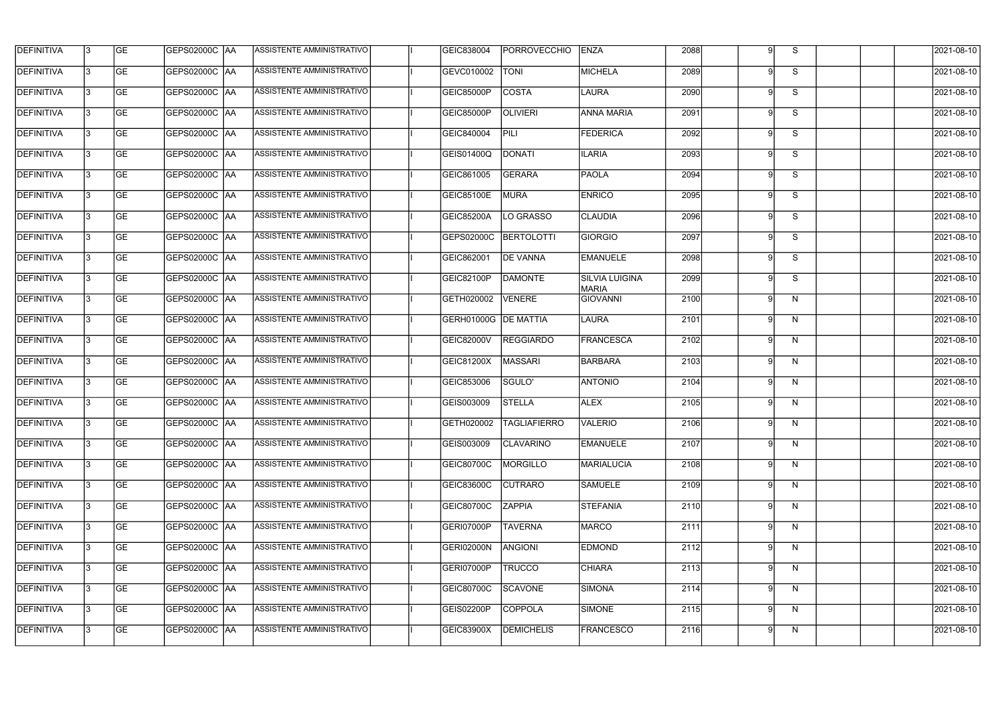| <b>DEFINITIVA</b> | l3  | <b>GE</b> |                      | ASSISTENTE AMMINISTRATIVO        | GEIC838004           | PORROVECCHIO            | ENZA                                  | 2088 |   | <sub>S</sub>            | 2021-08-10 |
|-------------------|-----|-----------|----------------------|----------------------------------|----------------------|-------------------------|---------------------------------------|------|---|-------------------------|------------|
| <b>DEFINITIVA</b> | l3  | <b>GE</b> | GEPS02000C  AA       | ASSISTENTE AMMINISTRATIVO        | GEVC010002           | <b>TONI</b>             | <b>MICHELA</b>                        | 2089 | g | S                       | 2021-08-10 |
| <b>DEFINITIVA</b> | l3  | <b>GE</b> | <b>GEPS02000C AA</b> | ASSISTENTE AMMINISTRATIVO        | GEIC85000P           | <b>COSTA</b>            | LAURA                                 | 2090 | a | S                       | 2021-08-10 |
| <b>DEFINITIVA</b> | l3  | <b>GE</b> | GEPS02000C AA        | ASSISTENTE AMMINISTRATIVO        | GEIC85000P           | <b>OLIVIERI</b>         | <b>ANNA MARIA</b>                     | 2091 | 9 | S                       | 2021-08-10 |
| <b>DEFINITIVA</b> | l3  | <b>GE</b> | <b>GEPS02000C AA</b> | ASSISTENTE AMMINISTRATIVO        | GEIC840004           | PILI                    | <b>FEDERICA</b>                       | 2092 | q | S                       | 2021-08-10 |
| <b>DEFINITIVA</b> | l3  | <b>GE</b> | GEPS02000C AA        | <b>ASSISTENTE AMMINISTRATIVO</b> | GEIS01400Q           | <b>DONATI</b>           | <b>ILARIA</b>                         | 2093 | g | S                       | 2021-08-10 |
| <b>DEFINITIVA</b> | lЗ  | <b>GE</b> | <b>GEPS02000C AA</b> | ASSISTENTE AMMINISTRATIVO        | GEIC861005           | <b>GERARA</b>           | <b>PAOLA</b>                          | 2094 | q | S                       | 2021-08-10 |
| <b>DEFINITIVA</b> | l3  | <b>GE</b> | <b>GEPS02000C AA</b> | <b>ASSISTENTE AMMINISTRATIVO</b> | <b>GEIC85100E</b>    | <b>MURA</b>             | <b>ENRICO</b>                         | 2095 | Q | $\overline{\mathbf{S}}$ | 2021-08-10 |
| <b>DEFINITIVA</b> | l3  | <b>GE</b> | GEPS02000C AA        | ASSISTENTE AMMINISTRATIVO        | GEIC85200A           | LO GRASSO               | <b>CLAUDIA</b>                        | 2096 |   | S                       | 2021-08-10 |
| <b>DEFINITIVA</b> |     | <b>GE</b> | GEPS02000C  AA       | ASSISTENTE AMMINISTRATIVO        | GEPS02000C           | <b>BERTOLOTTI</b>       | <b>GIORGIO</b>                        | 2097 |   | S                       | 2021-08-10 |
| <b>DEFINITIVA</b> | l3  | <b>GE</b> | GEPS02000C AA        | ASSISTENTE AMMINISTRATIVO        | GEIC862001           | <b>DE VANNA</b>         | <b>EMANUELE</b>                       | 2098 | a | S                       | 2021-08-10 |
| <b>DEFINITIVA</b> | 13  | <b>GE</b> |                      | ASSISTENTE AMMINISTRATIVO        | GEIC82100P           | <b>DAMONTE</b>          | <b>SILVIA LUIGINA</b><br><b>MARIA</b> | 2099 | q | S                       | 2021-08-10 |
| <b>DEFINITIVA</b> | 13  | <b>GE</b> | GEPS02000C   AA      | ASSISTENTE AMMINISTRATIVO        | GETH020002           | VENERE                  | <b>GIOVANNI</b>                       | 2100 |   | $\mathsf{N}$            | 2021-08-10 |
| <b>DEFINITIVA</b> | l3  | <b>GE</b> | GEPS02000C AA        | ASSISTENTE AMMINISTRATIVO        | GERH01000G DE MATTIA |                         | LAURA                                 | 2101 | a | N                       | 2021-08-10 |
| <b>DEFINITIVA</b> | l3  | <b>GE</b> | GEPS02000C  AA       | ASSISTENTE AMMINISTRATIVO        | <b>GEIC82000V</b>    | <b>REGGIARDO</b>        | FRANCESCA                             | 2102 | a | N                       | 2021-08-10 |
| <b>DEFINITIVA</b> | l3  | <b>GE</b> | GEPS02000C AA        | ASSISTENTE AMMINISTRATIVO        | GEIC81200X           | MASSARI                 | <b>BARBARA</b>                        | 2103 | a | N                       | 2021-08-10 |
| <b>DEFINITIVA</b> | IЗ  | <b>GE</b> |                      | ASSISTENTE AMMINISTRATIVO        | GEIC853006           | SGULO'                  | <b>ANTONIO</b>                        | 2104 | q | N                       | 2021-08-10 |
| <b>DEFINITIVA</b> |     | <b>GE</b> | GEPS02000C  AA       | ASSISTENTE AMMINISTRATIVO        | GEIS003009           | <b>STELLA</b>           | <b>ALEX</b>                           | 2105 |   | N                       | 2021-08-10 |
| <b>DEFINITIVA</b> |     | GE        | <b>GEPS02000C AA</b> | ASSISTENTE AMMINISTRATIVO        |                      | GETH020002 TAGLIAFIERRO | <b>VALERIO</b>                        | 2106 |   | N.                      | 2021-08-10 |
| <b>DEFINITIVA</b> | 13  | <b>GE</b> | GEPS02000C AA        | ASSISTENTE AMMINISTRATIVO        | GEIS003009           | <b>CLAVARINO</b>        | <b>EMANUELE</b>                       | 2107 | q | N                       | 2021-08-10 |
| <b>DEFINITIVA</b> | 13  | <b>GE</b> | <b>GEPS02000C AA</b> | ASSISTENTE AMMINISTRATIVO        | GEIC80700C           | MORGILLO                | <b>MARIALUCIA</b>                     | 2108 | 9 | N                       | 2021-08-10 |
| <b>DEFINITIVA</b> | 13  | <b>GE</b> | GEPS02000C  AA       | ASSISTENTE AMMINISTRATIVO        | <b>GEIC83600C</b>    | <b>CUTRARO</b>          | <b>SAMUELE</b>                        | 2109 |   | N                       | 2021-08-10 |
| <b>DEFINITIVA</b> | 13. | <b>GE</b> | <b>GEPS02000C AA</b> | ASSISTENTE AMMINISTRATIVO        | <b>GEIC80700C</b>    | <b>ZAPPIA</b>           | <b>STEFANIA</b>                       | 2110 | g | N                       | 2021-08-10 |
| <b>DEFINITIVA</b> | 13  | <b>GE</b> | GEPS02000C AA        | ASSISTENTE AMMINISTRATIVO        | GERI07000P           | <b>TAVERNA</b>          | MARCO                                 | 2111 | a | N                       | 2021-08-10 |
| <b>DEFINITIVA</b> | 13  | <b>GE</b> | GEPS02000C  AA       | ASSISTENTE AMMINISTRATIVO        | GERI02000N           | ANGIONI                 | <b>EDMOND</b>                         | 2112 | q | N                       | 2021-08-10 |
| <b>DEFINITIVA</b> | IЗ  | <b>GE</b> | GEPS02000C  AA       | ASSISTENTE AMMINISTRATIVO        | GERI07000P           | TRUCCO                  | <b>CHIARA</b>                         | 2113 |   | N                       | 2021-08-10 |
| DEFINITIVA        | l3  | <b>GE</b> | GEPS02000C  AA       | ASSISTENTE AMMINISTRATIVO        | GEIC80700C           | SCAVONE                 | <b>SIMONA</b>                         | 2114 |   | N                       | 2021-08-10 |
| DEFINITIVA        | l3  | <b>GE</b> | GEPS02000C  AA       | ASSISTENTE AMMINISTRATIVO        | GEIS02200P           | <b>COPPOLA</b>          | SIMONE                                | 2115 | g | N,                      | 2021-08-10 |
| <b>DEFINITIVA</b> | IЗ  | <b>GE</b> | GEPS02000C  AA       | ASSISTENTE AMMINISTRATIVO        | GEIC83900X           | <b>DEMICHELIS</b>       | <b>FRANCESCO</b>                      | 2116 | 9 | N                       | 2021-08-10 |
|                   |     |           |                      |                                  |                      |                         |                                       |      |   |                         |            |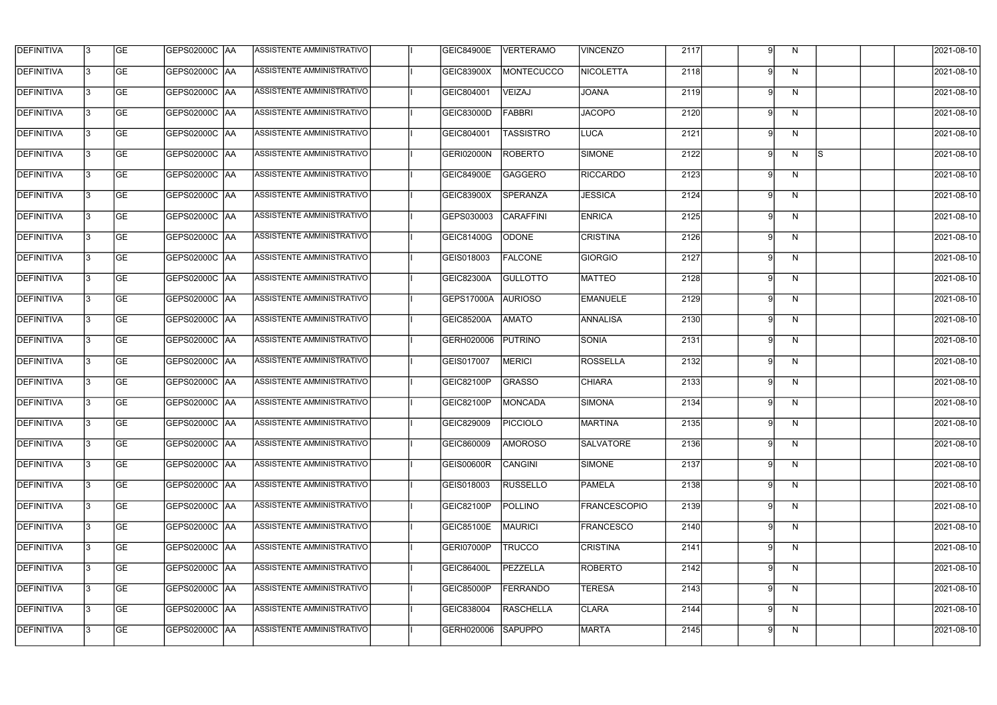| <b>DEFINITIVA</b> | 13 | GE        | GEPS02000C  AA         | ASSISTENTE AMMINISTRATIVO        | <b>GEIC84900E</b> | <b>VERTERAMO</b> | <b>VINCENZO</b>     | 2117 |          | N            |     | 2021-08-10       |
|-------------------|----|-----------|------------------------|----------------------------------|-------------------|------------------|---------------------|------|----------|--------------|-----|------------------|
| <b>DEFINITIVA</b> | IЗ | GE        | GEPS02000C   AA        | ASSISTENTE AMMINISTRATIVO        | <b>GEIC83900X</b> | MONTECUCCO       | NICOLETTA           | 2118 |          | N            |     | 2021-08-10       |
| <b>DEFINITIVA</b> | 13 | <b>GE</b> | <b>GEPS02000C AA</b>   | ASSISTENTE AMMINISTRATIVO        | GEIC804001        | VEIZAJ           | <b>JOANA</b>        | 2119 | O        | N            |     | 2021-08-10       |
| <b>DEFINITIVA</b> | l3 | <b>GE</b> | <b>GEPS02000C AA</b>   | ASSISTENTE AMMINISTRATIVO        | GEIC83000D        | FABBRI           | <b>JACOPO</b>       | 2120 | g        | $\mathsf{N}$ |     | 2021-08-10       |
| <b>DEFINITIVA</b> | l3 | GE        | GEPS02000C AA          | <b>ASSISTENTE AMMINISTRATIVO</b> | GEIC804001        | <b>TASSISTRO</b> | <b>LUCA</b>         | 2121 | Q        | $\mathsf{N}$ |     | 2021-08-10       |
| <b>DEFINITIVA</b> | l3 | <b>GE</b> | GEPS02000C AA          | ASSISTENTE AMMINISTRATIVO        | <b>GERI02000N</b> | <b>ROBERTO</b>   | SIMONE              | 2122 | Q        | N            | ls. | 2021-08-10       |
| <b>DEFINITIVA</b> | l3 | <b>GE</b> | GEPS02000C AA          | ASSISTENTE AMMINISTRATIVO        | <b>GEIC84900E</b> | <b>GAGGERO</b>   | <b>RICCARDO</b>     | 2123 | Ω        | N            |     | 2021-08-10       |
| <b>DEFINITIVA</b> | l3 | <b>GE</b> | GEPS02000C AA          | ASSISTENTE AMMINISTRATIVO        | GEIC83900X        | SPERANZA         | <b>JESSICA</b>      | 2124 |          | N            |     | 2021-08-10       |
| <b>DEFINITIVA</b> | l3 | <b>GE</b> | GEPS02000C AA          | ASSISTENTE AMMINISTRATIVO        | GEPS030003        | <b>CARAFFINI</b> | <b>ENRICA</b>       | 2125 |          | N            |     | 2021-08-10       |
| <b>DEFINITIVA</b> | l3 | GE        | GEPS02000C   AA        | ASSISTENTE AMMINISTRATIVO        | GEIC81400G        | <b>ODONE</b>     | <b>CRISTINA</b>     | 2126 |          | N            |     | 2021-08-10       |
| <b>DEFINITIVA</b> | 13 | GE        | GEPS02000C AA          | ASSISTENTE AMMINISTRATIVO        | GEIS018003        | <b>FALCONE</b>   | GIORGIO             | 2127 |          | N            |     | 2021-08-10       |
| <b>DEFINITIVA</b> | l3 | <b>GE</b> | GEPS02000C AA          | ASSISTENTE AMMINISTRATIVO        | GEIC82300A        | <b>GULLOTTO</b>  | <b>MATTEO</b>       | 2128 | Q        | N            |     | 2021-08-10       |
| <b>DEFINITIVA</b> | l3 | GE        | <b>GEPS02000C   AA</b> | ASSISTENTE AMMINISTRATIVO        | GEPS17000A        | <b>AURIOSO</b>   | <b>EMANUELE</b>     | 2129 |          | N            |     | 2021-08-10       |
| <b>DEFINITIVA</b> | l3 | <b>GE</b> | GEPS02000C AA          | ASSISTENTE AMMINISTRATIVO        | <b>GEIC85200A</b> | <b>AMATO</b>     | ANNALISA            | 2130 | q        | N            |     | 2021-08-10       |
| <b>DEFINITIVA</b> | l3 | <b>GE</b> | GEPS02000C AA          | ASSISTENTE AMMINISTRATIVO        | GERH020006        | <b>PUTRINO</b>   | <b>SONIA</b>        | 2131 |          | N            |     | 2021-08-10       |
| <b>DEFINITIVA</b> | 13 | GE        | GEPS02000C AA          | ASSISTENTE AMMINISTRATIVO        | GEIS017007        | <b>MERICI</b>    | <b>ROSSELLA</b>     | 2132 | $\Omega$ | N            |     | 2021-08-10       |
| <b>DEFINITIVA</b> | l3 | <b>GE</b> | GEPS02000C   AA        | ASSISTENTE AMMINISTRATIVO        | GEIC82100P        | GRASSO           | <b>CHIARA</b>       | 2133 |          | N            |     | 2021-08-10       |
| <b>DEFINITIVA</b> | IЗ | <b>GE</b> | GEPS02000C  AA         | ASSISTENTE AMMINISTRATIVO        | GEIC82100P        | MONCADA          | <b>SIMONA</b>       | 2134 |          | N            |     | 2021-08-10       |
| <b>DEFINITIVA</b> | IЗ | GE        | GEPS02000C  AA         | <b>ASSISTENTE AMMINISTRATIVO</b> | GEIC829009        | <b>PICCIOLO</b>  | <b>MARTINA</b>      | 2135 |          | N            |     | 2021-08-10       |
| <b>DEFINITIVA</b> | l3 | GE        | <b>GEPS02000C AA</b>   | ASSISTENTE AMMINISTRATIVO        | GEIC860009        | <b>AMOROSO</b>   | SALVATORE           | 2136 | Q        | N            |     | 2021-08-10       |
| <b>DEFINITIVA</b> | l3 | GE        | <b>GEPS02000C AA</b>   | ASSISTENTE AMMINISTRATIVO        | <b>GEIS00600R</b> | CANGINI          | SIMONE              | 2137 |          | N            |     | 2021-08-10       |
| <b>DEFINITIVA</b> | 13 | <b>GE</b> | GEPS02000C AA          | ASSISTENTE AMMINISTRATIVO        | GEIS018003        | <b>RUSSELLO</b>  | <b>PAMELA</b>       | 2138 | q        | N            |     | $2021 - 08 - 10$ |
| <b>DEFINITIVA</b> | l3 | <b>GE</b> | GEPS02000C AA          | ASSISTENTE AMMINISTRATIVO        | GEIC82100P        | <b>POLLINO</b>   | <b>FRANCESCOPIO</b> | 2139 |          | N            |     | 2021-08-10       |
| <b>DEFINITIVA</b> | l3 | <b>GE</b> | GEPS02000C AA          | ASSISTENTE AMMINISTRATIVO        | GEIC85100E        | <b>MAURICI</b>   | FRANCESCO           | 2140 | Q        | N            |     | 2021-08-10       |
| <b>DEFINITIVA</b> | l3 | <b>GE</b> | GEPS02000C  AA         | ASSISTENTE AMMINISTRATIVO        | GERI07000P        | <b>TRUCCO</b>    | <b>CRISTINA</b>     | 2141 |          | N            |     | 2021-08-10       |
| <b>DEFINITIVA</b> | l3 | <b>GE</b> | GEPS02000C  AA         | ASSISTENTE AMMINISTRATIVO        | <b>GEIC86400L</b> | PEZZELLA         | <b>ROBERTO</b>      | 2142 |          | N            |     | 2021-08-10       |
| <b>DEFINITIVA</b> | l3 | GE        | GEPS02000C  AA         | ASSISTENTE AMMINISTRATIVO        | <b>GEIC85000P</b> | <b>FERRANDO</b>  | <b>TERESA</b>       | 2143 |          | N            |     | 2021-08-10       |
| <b>DEFINITIVA</b> | l3 | GE        | GEPS02000C AA          | ASSISTENTE AMMINISTRATIVO        | GEIC838004        | <b>RASCHELLA</b> | <b>CLARA</b>        | 2144 | Q        | N            |     | 2021-08-10       |
| <b>DEFINITIVA</b> | l3 | GE        | GEPS02000C AA          | ASSISTENTE AMMINISTRATIVO        | GERH020006        | <b>SAPUPPO</b>   | <b>MARTA</b>        | 2145 | .9       | N            |     | 2021-08-10       |
|                   |    |           |                        |                                  |                   |                  |                     |      |          |              |     |                  |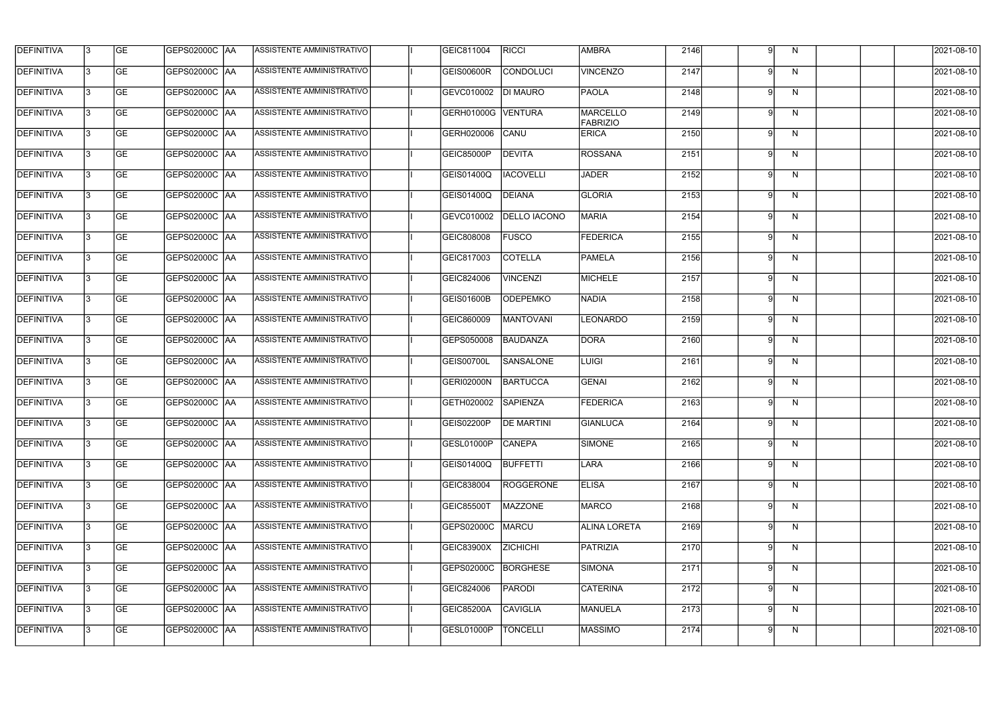| <b>DEFINITIVA</b> | 13  | <b>GE</b> | <b>GEPS02000C AA</b> | ASSISTENTE AMMINISTRATIVO        | GEIC811004        | <b>RICCI</b>        | <b>AMBRA</b>                | 2146 | g        | N            | 2021-08-10 |
|-------------------|-----|-----------|----------------------|----------------------------------|-------------------|---------------------|-----------------------------|------|----------|--------------|------------|
| DEFINITIVA        | l3  | <b>GE</b> | <b>GEPS02000C AA</b> | ASSISTENTE AMMINISTRATIVO        | GEIS00600R        | <b>CONDOLUCI</b>    | <b>VINCENZO</b>             | 2147 | a        | N            | 2021-08-10 |
| <b>DEFINITIVA</b> | l3  | <b>GE</b> | <b>GEPS02000C AA</b> | ASSISTENTE AMMINISTRATIVO        | GEVC010002        | <b>DI MAURO</b>     | PAOLA                       | 2148 | 9        | $\mathsf{N}$ | 2021-08-10 |
| <b>DEFINITIVA</b> | l3  | <b>GE</b> | <b>GEPS02000C AA</b> | ASSISTENTE AMMINISTRATIVO        | GERH01000G        | <b>VENTURA</b>      | <b>MARCELLO</b><br>FABRIZIO | 2149 | 9        | $\mathsf{N}$ | 2021-08-10 |
| <b>DEFINITIVA</b> | l3  | <b>GE</b> | <b>GEPS02000C AA</b> | ASSISTENTE AMMINISTRATIVO        | GERH020006        | CANU                | <b>ERICA</b>                | 2150 | 9        | N            | 2021-08-10 |
| <b>DEFINITIVA</b> | l3  | <b>GE</b> | <b>GEPS02000C AA</b> | <b>ASSISTENTE AMMINISTRATIVO</b> | GEIC85000P        | <b>DEVITA</b>       | <b>ROSSANA</b>              | 2151 | a        | N            | 2021-08-10 |
| <b>DEFINITIVA</b> | l3  | <b>GE</b> | <b>GEPS02000C AA</b> | ASSISTENTE AMMINISTRATIVO        | GEIS01400Q        | <b>IACOVELLI</b>    | <b>JADER</b>                | 2152 | a        | N            | 2021-08-10 |
| <b>DEFINITIVA</b> | l3  | <b>GE</b> | <b>GEPS02000C AA</b> | ASSISTENTE AMMINISTRATIVO        | GEIS01400Q        | <b>DEIANA</b>       | <b>GLORIA</b>               | 2153 |          | $\mathsf{N}$ | 2021-08-10 |
| <b>DEFINITIVA</b> |     | <b>GE</b> |                      | ASSISTENTE AMMINISTRATIVO        | GEVC010002        | <b>DELLO IACONO</b> | <b>MARIA</b>                | 2154 |          | N            | 2021-08-10 |
| <b>DEFINITIVA</b> | l3  | <b>GE</b> | GEPS02000C AA        | ASSISTENTE AMMINISTRATIVO        | GEIC808008        | <b>FUSCO</b>        | <b>FEDERICA</b>             | 2155 |          | N            | 2021-08-10 |
| <b>DEFINITIVA</b> | 13  | <b>GE</b> | GEPS02000C AA        | ASSISTENTE AMMINISTRATIVO        | GEIC817003        | <b>COTELLA</b>      | <b>PAMELA</b>               | 2156 | a        | N            | 2021-08-10 |
| <b>DEFINITIVA</b> | l3  | <b>GE</b> |                      | ASSISTENTE AMMINISTRATIVO        | GEIC824006        | <b>VINCENZI</b>     | <b>MICHELE</b>              | 2157 |          | $\mathsf{N}$ | 2021-08-10 |
| <b>DEFINITIVA</b> | l3  | <b>GE</b> | GEPS02000C AA        | ASSISTENTE AMMINISTRATIVO        | GEIS01600B        | <b>ODEPEMKO</b>     | NADIA                       | 2158 | 9        | N            | 2021-08-10 |
| <b>DEFINITIVA</b> | l3  | <b>GE</b> | GEPS02000C  AA       | ASSISTENTE AMMINISTRATIVO        | GEIC860009        | <b>MANTOVANI</b>    | <b>LEONARDO</b>             | 2159 | q        | N            | 2021-08-10 |
| <b>DEFINITIVA</b> | l3  | <b>GE</b> |                      | ASSISTENTE AMMINISTRATIVO        | GEPS050008        | <b>BAUDANZA</b>     | DORA                        | 2160 | $\Omega$ | N            | 2021-08-10 |
| <b>DEFINITIVA</b> | IЗ  | <b>GE</b> |                      | ASSISTENTE AMMINISTRATIVO        | GEIS00700L        | SANSALONE           | LUIGI                       | 2161 | q        | N            | 2021-08-10 |
| <b>DEFINITIVA</b> | I3  | <b>GE</b> | GEPS02000C   AA      | ASSISTENTE AMMINISTRATIVO        | GERI02000N        | <b>BARTUCCA</b>     | GENAI                       | 2162 |          | N            | 2021-08-10 |
| DEFINITIVA        |     | <b>GE</b> | GEPS02000C AA        | ASSISTENTE AMMINISTRATIVO        | GETH020002        | <b>SAPIENZA</b>     | <b>FEDERICA</b>             | 2163 | g        | N            | 2021-08-10 |
| <b>DEFINITIVA</b> | 13  | <b>GE</b> | GEPS02000C  AA       | ASSISTENTE AMMINISTRATIVO        | <b>GEIS02200P</b> | <b>DE MARTINI</b>   | <b>GIANLUCA</b>             | 2164 |          | N.           | 2021-08-10 |
| <b>DEFINITIVA</b> | 13  | <b>GE</b> | <b>GEPS02000C AA</b> | ASSISTENTE AMMINISTRATIVO        | GESL01000P        | <b>CANEPA</b>       | SIMONE                      | 2165 | 9        | N            | 2021-08-10 |
| <b>DEFINITIVA</b> | 13  | <b>GE</b> | GEPS02000C AA        | ASSISTENTE AMMINISTRATIVO        | GEIS01400Q        | <b>BUFFETTI</b>     | LARA                        | 2166 | .9       | N            | 2021-08-10 |
| <b>DEFINITIVA</b> | 13. | <b>GE</b> | <b>GEPS02000C AA</b> | ASSISTENTE AMMINISTRATIVO        | GEIC838004        | <b>ROGGERONE</b>    | <b>ELISA</b>                | 2167 | g        | N            | 2021-08-10 |
| <b>DEFINITIVA</b> | 13  | <b>GE</b> | GEPS02000C AA        | ASSISTENTE AMMINISTRATIVO        | <b>GEIC85500T</b> | <b>MAZZONE</b>      | MARCO                       | 2168 | q        | N            | 2021-08-10 |
| <b>DEFINITIVA</b> | 13  | <b>GE</b> | GEPS02000C  AA       | ASSISTENTE AMMINISTRATIVO        | GEPS02000C        | MARCU               | <b>ALINA LORETA</b>         | 2169 | q        | N            | 2021-08-10 |
| <b>DEFINITIVA</b> | IЗ  | <b>GE</b> | GEPS02000C  AA       | ASSISTENTE AMMINISTRATIVO        | GEIC83900X        | <b>ZICHICHI</b>     | PATRIZIA                    | 2170 |          | N            | 2021-08-10 |
| DEFINITIVA        | l3  | <b>GE</b> | GEPS02000C  AA       | ASSISTENTE AMMINISTRATIVO        | GEPS02000C        | <b>BORGHESE</b>     | SIMONA                      | 2171 |          | N            | 2021-08-10 |
| <b>DEFINITIVA</b> | l3  | <b>GE</b> | GEPS02000C  AA       | ASSISTENTE AMMINISTRATIVO        | GEIC824006        | <b>PARODI</b>       | <b>CATERINA</b>             | 2172 | g        | N,           | 2021-08-10 |
| <b>DEFINITIVA</b> | 13. | <b>GE</b> | GEPS02000C AA        | ASSISTENTE AMMINISTRATIVO        | <b>GEIC85200A</b> | <b>CAVIGLIA</b>     | <b>MANUELA</b>              | 2173 | 9        | N            | 2021-08-10 |
| <b>DEFINITIVA</b> |     | <b>GE</b> | GEPS02000C  AA       | ASSISTENTE AMMINISTRATIVO        | GESL01000P        | <b>TONCELLI</b>     | <b>MASSIMO</b>              | 2174 | 9        | N            | 2021-08-10 |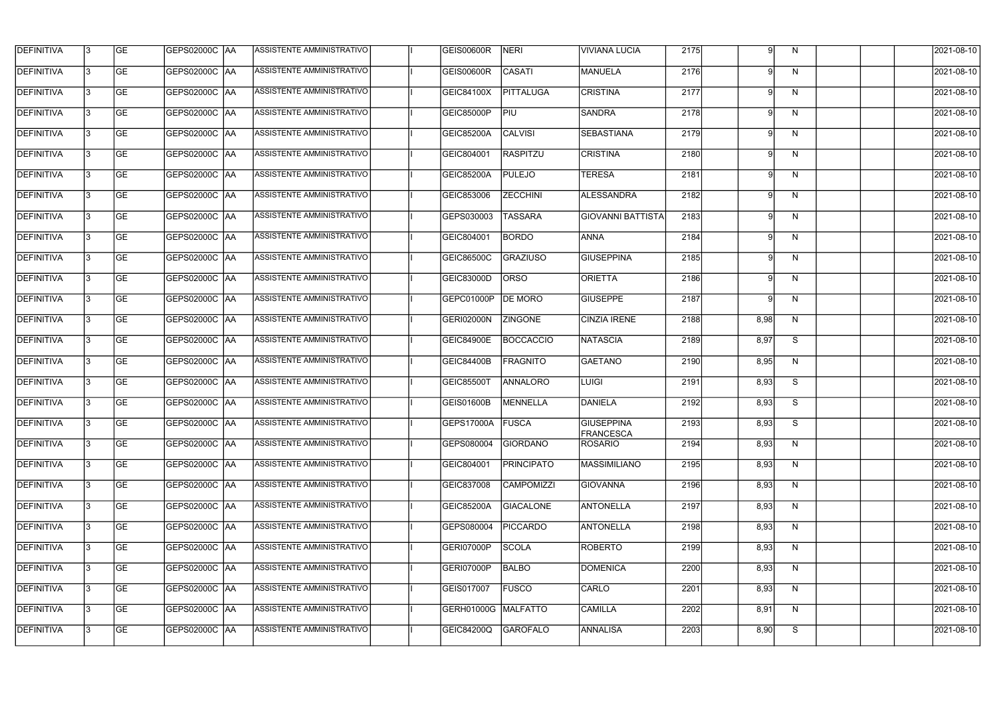| <b>DEFINITIVA</b> | 13  | <b>GE</b> | <b>GEPS02000C AA</b> | ASSISTENTE AMMINISTRATIVO        | <b>GEIS00600R</b>          | NERI              | <b>VIVIANA LUCIA</b>           | 2175 | 9    | N            | 2021-08-10 |
|-------------------|-----|-----------|----------------------|----------------------------------|----------------------------|-------------------|--------------------------------|------|------|--------------|------------|
| <b>DEFINITIVA</b> | l3  | <b>GE</b> | GEPS02000C AA        | ASSISTENTE AMMINISTRATIVO        | GEIS00600R                 | <b>CASATI</b>     | MANUELA                        | 2176 |      | N            | 2021-08-10 |
| <b>DEFINITIVA</b> | l3  | <b>GE</b> | GEPS02000C AA        | ASSISTENTE AMMINISTRATIVO        | GEIC84100X                 | <b>PITTALUGA</b>  | <b>CRISTINA</b>                | 2177 | 9    | N            | 2021-08-10 |
| <b>DEFINITIVA</b> | l3  | <b>GE</b> | <b>GEPS02000C AA</b> | ASSISTENTE AMMINISTRATIVO        | GEIC85000P                 | PIU               | <b>SANDRA</b>                  | 2178 | g    | $\mathsf{N}$ | 2021-08-10 |
| <b>DEFINITIVA</b> | l3  | <b>GE</b> | <b>GEPS02000C AA</b> | ASSISTENTE AMMINISTRATIVO        | <b>GEIC85200A</b>          | <b>CALVISI</b>    | <b>SEBASTIANA</b>              | 2179 | 9    | N            | 2021-08-10 |
| <b>DEFINITIVA</b> | l3  | <b>GE</b> | <b>GEPS02000C AA</b> | <b>ASSISTENTE AMMINISTRATIVO</b> | GEIC804001                 | <b>RASPITZU</b>   | <b>CRISTINA</b>                | 2180 | a    | N            | 2021-08-10 |
| <b>DEFINITIVA</b> | l3  | <b>GE</b> | <b>GEPS02000C AA</b> | ASSISTENTE AMMINISTRATIVO        | <b>GEIC85200A</b>          | <b>PULEJO</b>     | <b>TERESA</b>                  | 2181 | q    | N            | 2021-08-10 |
| <b>DEFINITIVA</b> | l3  | <b>GE</b> | <b>GEPS02000C AA</b> | ASSISTENTE AMMINISTRATIVO        | GEIC853006                 | <b>ZECCHINI</b>   | <b>ALESSANDRA</b>              | 2182 |      | N            | 2021-08-10 |
| <b>DEFINITIVA</b> |     | <b>GE</b> |                      | ASSISTENTE AMMINISTRATIVO        | GEPS030003                 | <b>TASSARA</b>    | <b>GIOVANNI BATTISTA</b>       | 2183 |      | N            | 2021-08-10 |
| <b>DEFINITIVA</b> | l3  | <b>GE</b> |                      | ASSISTENTE AMMINISTRATIVO        | GEIC804001                 | <b>BORDO</b>      | <b>ANNA</b>                    | 2184 |      | N            | 2021-08-10 |
| <b>DEFINITIVA</b> | 13  | <b>GE</b> | GEPS02000C AA        | ASSISTENTE AMMINISTRATIVO        | <b>GEIC86500C</b>          | <b>GRAZIUSO</b>   | <b>GIUSEPPINA</b>              | 2185 | g    | N            | 2021-08-10 |
| <b>DEFINITIVA</b> | l3  | <b>GE</b> |                      | ASSISTENTE AMMINISTRATIVO        | GEIC83000D                 | <b>ORSO</b>       | <b>ORIETTA</b>                 | 2186 |      | $\mathsf{N}$ | 2021-08-10 |
| <b>DEFINITIVA</b> | l3  | <b>GE</b> | GEPS02000C AA        | <b>ASSISTENTE AMMINISTRATIVO</b> | GEPC01000P                 | <b>DE MORO</b>    | <b>GIUSEPPE</b>                | 2187 | q    | N            | 2021-08-10 |
| <b>DEFINITIVA</b> | l3  | <b>GE</b> | GEPS02000C  AA       | ASSISTENTE AMMINISTRATIVO        | GERI02000N                 | <b>ZINGONE</b>    | <b>CINZIA IRENE</b>            | 2188 | 8,98 | N            | 2021-08-10 |
| <b>DEFINITIVA</b> | l3  | <b>GE</b> |                      | ASSISTENTE AMMINISTRATIVO        | <b>GEIC84900E</b>          | <b>BOCCACCIO</b>  | <b>NATASCIA</b>                | 2189 | 8,97 | S            | 2021-08-10 |
| <b>DEFINITIVA</b> | IЗ  | <b>GE</b> |                      | ASSISTENTE AMMINISTRATIVO        | <b>GEIC84400B</b>          | <b>FRAGNITO</b>   | <b>GAETANO</b>                 | 2190 | 8,95 | N            | 2021-08-10 |
| <b>DEFINITIVA</b> | I3  | <b>GE</b> | GEPS02000C  AA       | ASSISTENTE AMMINISTRATIVO        | <b>GEIC85500T</b>          | <b>ANNALORO</b>   | <b>LUIGI</b>                   | 2191 | 8,93 | S            | 2021-08-10 |
| DEFINITIVA        |     | <b>GE</b> |                      | ASSISTENTE AMMINISTRATIVO        | <b>GEIS01600B</b>          | <b>MENNELLA</b>   | <b>DANIELA</b>                 | 2192 | 8,93 | S            | 2021-08-10 |
| <b>DEFINITIVA</b> | 13  | <b>GE</b> | GEPS02000C  AA       | ASSISTENTE AMMINISTRATIVO        | GEPS17000A FUSCA           |                   | <b>GIUSEPPINA</b><br>FRANCESCA | 2193 | 8,93 | S.           | 2021-08-10 |
| <b>DEFINITIVA</b> | 13  | <b>GE</b> | <b>GEPS02000C AA</b> | ASSISTENTE AMMINISTRATIVO        | GEPS080004                 | GIORDANO          | <b>ROSARIO</b>                 | 2194 | 8,93 | N            | 2021-08-10 |
| <b>DEFINITIVA</b> | 13  | <b>GE</b> | GEPS02000C  AA       | ASSISTENTE AMMINISTRATIVO        | GEIC804001                 | <b>PRINCIPATO</b> | <b>MASSIMILIANO</b>            | 2195 | 8,93 | N            | 2021-08-10 |
| <b>DEFINITIVA</b> | 13. | <b>GE</b> | <b>GEPS02000C AA</b> | ASSISTENTE AMMINISTRATIVO        | GEIC837008                 | <b>CAMPOMIZZI</b> | <b>GIOVANNA</b>                | 2196 | 8,93 | N            | 2021-08-10 |
| <b>DEFINITIVA</b> | 13  | <b>GE</b> | GEPS02000C AA        | ASSISTENTE AMMINISTRATIVO        | <b>GEIC85200A</b>          | <b>GIACALONE</b>  | <b>ANTONELLA</b>               | 2197 | 8,93 | N            | 2021-08-10 |
| <b>DEFINITIVA</b> | 13  | <b>GE</b> | GEPS02000C  AA       | ASSISTENTE AMMINISTRATIVO        | GEPS080004                 | <b>PICCARDO</b>   | <b>ANTONELLA</b>               | 2198 | 8,93 | N            | 2021-08-10 |
| <b>DEFINITIVA</b> | IЗ  | <b>GE</b> | GEPS02000C  AA       | ASSISTENTE AMMINISTRATIVO        | GERI07000P                 | <b>SCOLA</b>      | <b>ROBERTO</b>                 | 2199 | 8,93 | N            | 2021-08-10 |
| DEFINITIVA        | l3  | <b>GE</b> | GEPS02000C  AA       | ASSISTENTE AMMINISTRATIVO        | GERI07000P                 | <b>BALBO</b>      | <b>DOMENICA</b>                | 2200 | 8,93 | N            | 2021-08-10 |
| <b>DEFINITIVA</b> | l3  | <b>GE</b> | GEPS02000C  AA       | ASSISTENTE AMMINISTRATIVO        | GEIS017007                 | <b>FUSCO</b>      | CARLO                          | 2201 | 8,93 | N,           | 2021-08-10 |
| <b>DEFINITIVA</b> | 13. | <b>GE</b> | GEPS02000C  AA       | ASSISTENTE AMMINISTRATIVO        | <b>GERH01000G MALFATTO</b> |                   | <b>CAMILLA</b>                 | 2202 | 8,91 | N            | 2021-08-10 |
| <b>DEFINITIVA</b> | IЗ  | <b>GE</b> | GEPS02000C  AA       | ASSISTENTE AMMINISTRATIVO        | GEIC84200Q                 | GAROFALO          | <b>ANNALISA</b>                | 2203 | 8,90 | S            | 2021-08-10 |
|                   |     |           |                      |                                  |                            |                   |                                |      |      |              |            |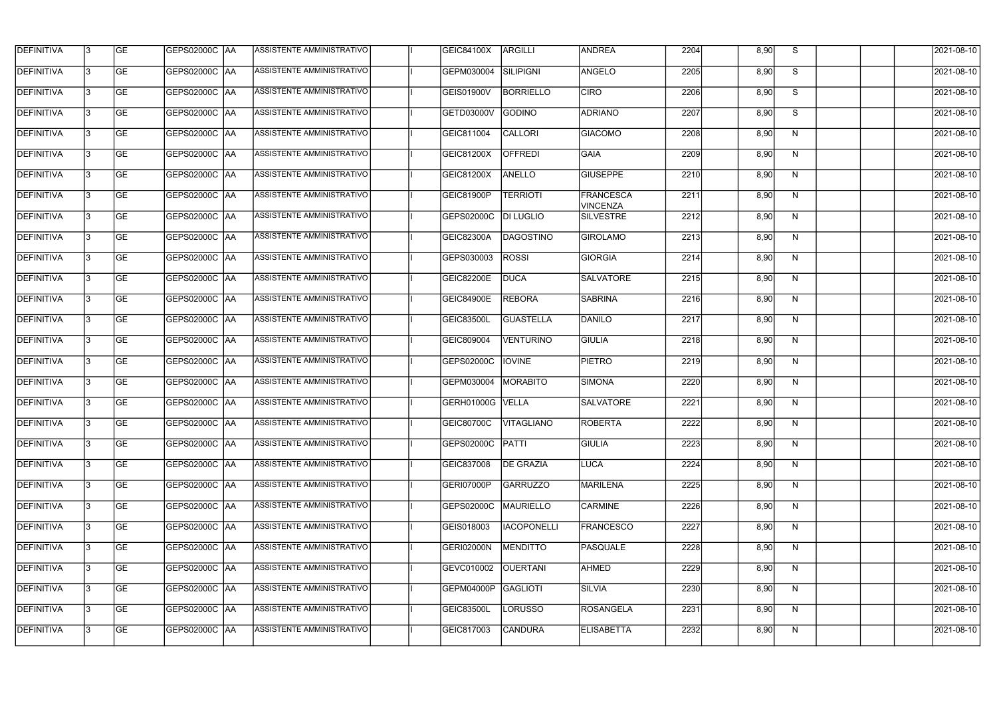| <b>DEFINITIVA</b> | l3 | GE        | GEPS02000C  AA       | ASSISTENTE AMMINISTRATIVO        | <b>GEIC84100X</b> | <b>ARGILLI</b>     | <b>ANDREA</b>         | 2204 | 8,90 | S  | 2021-08-10       |
|-------------------|----|-----------|----------------------|----------------------------------|-------------------|--------------------|-----------------------|------|------|----|------------------|
| <b>DEFINITIVA</b> | IЗ | GE        | GEPS02000C   AA      | ASSISTENTE AMMINISTRATIVO        | GEPM030004        | SILIPIGNI          | ANGELO                | 2205 | 8,90 | S  | 2021-08-10       |
| <b>DEFINITIVA</b> | 13 | <b>GE</b> | GEPS02000C AA        | ASSISTENTE AMMINISTRATIVO        | <b>GEIS01900V</b> | <b>BORRIELLO</b>   | <b>CIRO</b>           | 2206 | 8,90 | S  | 2021-08-10       |
| <b>DEFINITIVA</b> | l3 | <b>GE</b> | <b>GEPS02000C AA</b> | ASSISTENTE AMMINISTRATIVO        | GETD03000V        | GODINO             | <b>ADRIANO</b>        | 2207 | 8,90 | S  | 2021-08-10       |
| <b>DEFINITIVA</b> | l3 | GE        | GEPS02000C AA        | <b>ASSISTENTE AMMINISTRATIVO</b> | GEIC811004        | CALLORI            | <b>GIACOMO</b>        | 2208 | 8,90 | N  | 2021-08-10       |
| <b>DEFINITIVA</b> | l3 | <b>GE</b> | GEPS02000C AA        | <b>ASSISTENTE AMMINISTRATIVO</b> | GEIC81200X        | <b>OFFREDI</b>     | <b>GAIA</b>           | 2209 | 8,90 | N  | 2021-08-10       |
| <b>DEFINITIVA</b> | l3 | <b>GE</b> | GEPS02000C AA        | ASSISTENTE AMMINISTRATIVO        | GEIC81200X        | <b>ANELLO</b>      | <b>GIUSEPPE</b>       | 2210 | 8,90 | N  | 2021-08-10       |
| DEFINITIVA        | l3 | <b>GE</b> | GEPS02000C AA        | <b>ASSISTENTE AMMINISTRATIVO</b> | GEIC81900P        | <b>TERRIOTI</b>    | FRANCESCA<br>VINCENZA | 2211 | 8,90 | N  | 2021-08-10       |
| <b>DEFINITIVA</b> | IЗ | <b>GE</b> | GEPS02000C  AA       | ASSISTENTE AMMINISTRATIVO        | GEPS02000C        | <b>DI LUGLIO</b>   | <b>SILVESTRE</b>      | 2212 | 8,90 | N  | 2021-08-10       |
| <b>DEFINITIVA</b> | l3 | GE        | GEPS02000C AA        | ASSISTENTE AMMINISTRATIVO        | GEIC82300A        | DAGOSTINO          | <b>GIROLAMO</b>       | 2213 | 8,90 | N  | 2021-08-10       |
| <b>DEFINITIVA</b> | 13 | <b>GE</b> | GEPS02000C AA        | <b>ASSISTENTE AMMINISTRATIVO</b> | GEPS030003        | <b>ROSSI</b>       | <b>GIORGIA</b>        | 2214 | 8,90 | N  | 2021-08-10       |
| <b>DEFINITIVA</b> | l3 | <b>GE</b> | GEPS02000C AA        | ASSISTENTE AMMINISTRATIVO        | GEIC82200E        | <b>DUCA</b>        | <b>SALVATORE</b>      | 2215 | 8,90 | N  | 2021-08-10       |
| <b>DEFINITIVA</b> | l3 | GE        | GEPS02000C  AA       | ASSISTENTE AMMINISTRATIVO        | <b>GEIC84900E</b> | <b>REBORA</b>      | <b>SABRINA</b>        | 2216 | 8,90 | N  | 2021-08-10       |
| <b>DEFINITIVA</b> | l3 | <b>GE</b> | GEPS02000C AA        | ASSISTENTE AMMINISTRATIVO        | <b>GEIC83500L</b> | <b>GUASTELLA</b>   | DANILO                | 2217 | 8,90 | N  | 2021-08-10       |
| <b>DEFINITIVA</b> | l3 | <b>GE</b> | GEPS02000C AA        | ASSISTENTE AMMINISTRATIVO        | GEIC809004        | <b>VENTURINO</b>   | <b>GIULIA</b>         | 2218 | 8,90 | N  | 2021-08-10       |
| <b>DEFINITIVA</b> | 13 | GE        | GEPS02000C  AA       | ASSISTENTE AMMINISTRATIVO        | GEPS02000C        | <b>IOVINE</b>      | <b>PIETRO</b>         | 2219 | 8,90 | N  | 2021-08-10       |
| <b>DEFINITIVA</b> | l3 | <b>GE</b> | GEPS02000C   AA      | ASSISTENTE AMMINISTRATIVO        | GEPM030004        | MORABITO           | <b>SIMONA</b>         | 2220 | 8,90 | N  | 2021-08-10       |
| <b>DEFINITIVA</b> | IЗ | <b>GE</b> | GEPS02000C AA        | ASSISTENTE AMMINISTRATIVO        | GERH01000G VELLA  |                    | <b>SALVATORE</b>      | 2221 | 8,90 | N  | 2021-08-10       |
| <b>DEFINITIVA</b> | IЗ | GE        | GEPS02000C  AA       | <b>ASSISTENTE AMMINISTRATIVO</b> | <b>GEIC80700C</b> | VITAGLIANO         | <b>ROBERTA</b>        | 2222 | 8,90 | N, | 2021-08-10       |
| <b>DEFINITIVA</b> | l3 | GE        | GEPS02000C AA        | ASSISTENTE AMMINISTRATIVO        | GEPS02000C        | PATTI              | <b>GIULIA</b>         | 2223 | 8,90 | N  | 2021-08-10       |
| <b>DEFINITIVA</b> | l3 | GE        | GEPS02000C AA        | ASSISTENTE AMMINISTRATIVO        | GEIC837008        | <b>DE GRAZIA</b>   | <b>LUCA</b>           | 2224 | 8,90 | N  | 2021-08-10       |
| <b>DEFINITIVA</b> | 13 | <b>GE</b> | GEPS02000C AA        | ASSISTENTE AMMINISTRATIVO        | GERI07000P        | <b>GARRUZZO</b>    | MARILENA              | 2225 | 8,90 | N  | $2021 - 08 - 10$ |
| <b>DEFINITIVA</b> | l3 | <b>GE</b> | GEPS02000C AA        | ASSISTENTE AMMINISTRATIVO        | GEPS02000C        | MAURIELLO          | <b>CARMINE</b>        | 2226 | 8,90 | N  | 2021-08-10       |
| <b>DEFINITIVA</b> | 13 | <b>GE</b> | GEPS02000C AA        | ASSISTENTE AMMINISTRATIVO        | GEIS018003        | <b>IACOPONELLI</b> | <b>FRANCESCO</b>      | 2227 | 8,90 | N  | 2021-08-10       |
| <b>DEFINITIVA</b> | l3 | <b>GE</b> | GEPS02000C  AA       | ASSISTENTE AMMINISTRATIVO        | GERI02000N        | MENDITTO           | PASQUALE              | 2228 | 8,90 | N  | 2021-08-10       |
| <b>DEFINITIVA</b> | l3 | <b>GE</b> | GEPS02000C  AA       | ASSISTENTE AMMINISTRATIVO        | GEVC010002        | <b>OUERTANI</b>    | <b>AHMED</b>          | 2229 | 8,90 | N  | 2021-08-10       |
| <b>DEFINITIVA</b> | l3 | GE        | GEPS02000C  AA       | ASSISTENTE AMMINISTRATIVO        | GEPM04000P        | GAGLIOTI           | <b>SILVIA</b>         | 2230 | 8,90 | N  | 2021-08-10       |
| <b>DEFINITIVA</b> | l3 | GE        | GEPS02000C AA        | ASSISTENTE AMMINISTRATIVO        | GEIC83500L        | <b>LORUSSO</b>     | <b>ROSANGELA</b>      | 2231 | 8,90 | N  | 2021-08-10       |
| <b>DEFINITIVA</b> | l3 | GE        | GEPS02000C AA        | ASSISTENTE AMMINISTRATIVO        | GEIC817003        | <b>CANDURA</b>     | <b>ELISABETTA</b>     | 2232 | 8,90 | N  | 2021-08-10       |
|                   |    |           |                      |                                  |                   |                    |                       |      |      |    |                  |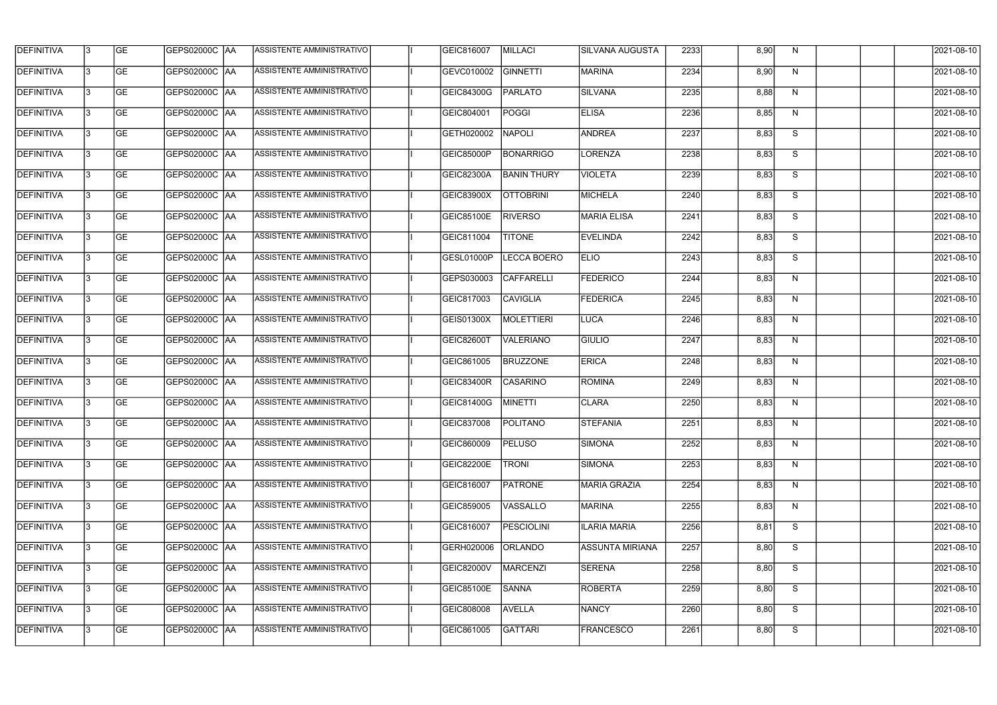| <b>DEFINITIVA</b> | l3 | GE                       | <b>GEPS02000C AA</b> | ASSISTENTE AMMINISTRATIVO        | GEIC816007        | MILLACI            | SILVANA AUGUSTA        | 2233 | 8,90 | N              | 2021-08-10          |
|-------------------|----|--------------------------|----------------------|----------------------------------|-------------------|--------------------|------------------------|------|------|----------------|---------------------|
| <b>DEFINITIVA</b> | IЗ | $\overline{\mathsf{GE}}$ | GEPS02000C AA        | ASSISTENTE AMMINISTRATIVO        | GEVC010002        | <b>GINNETTI</b>    | <b>MARINA</b>          | 2234 | 8,90 | N              | 2021-08-10          |
| <b>DEFINITIVA</b> | l3 | GE                       | GEPS02000C AA        | ASSISTENTE AMMINISTRATIVO        | GEIC84300G        | <b>PARLATO</b>     | SILVANA                | 2235 | 8,88 | N              | 2021-08-10          |
| <b>DEFINITIVA</b> | l3 | GE                       | <b>GEPS02000C AA</b> | ASSISTENTE AMMINISTRATIVO        | GEIC804001        | <b>POGGI</b>       | <b>ELISA</b>           | 2236 | 8,85 | N              | 2021-08-10          |
| <b>DEFINITIVA</b> | l3 | GE                       | GEPS02000C AA        | ASSISTENTE AMMINISTRATIVO        | GETH020002        | <b>NAPOLI</b>      | <b>ANDREA</b>          | 2237 | 8,83 | $\overline{s}$ | 2021-08-10          |
| <b>DEFINITIVA</b> | IЗ | <b>GE</b>                | <b>GEPS02000C AA</b> | <b>ASSISTENTE AMMINISTRATIVO</b> | <b>GEIC85000P</b> | <b>BONARRIGO</b>   | LORENZA                | 2238 | 8,83 | S              | 2021-08-10          |
| <b>DEFINITIVA</b> | l3 | <b>GE</b>                | GEPS02000C AA        | ASSISTENTE AMMINISTRATIVO        | GEIC82300A        | <b>BANIN THURY</b> | <b>VIOLETA</b>         | 2239 | 8,83 | S              | 2021-08-10          |
| <b>DEFINITIVA</b> | l3 | <b>GE</b>                | GEPS02000C   AA      | ASSISTENTE AMMINISTRATIVO        | GEIC83900X        | <b>OTTOBRINI</b>   | MICHELA                | 2240 | 8,83 | S              | 2021-08-10          |
| <b>DEFINITIVA</b> | IЗ | <b>GE</b>                | GEPS02000C AA        | ASSISTENTE AMMINISTRATIVO        | GEIC85100E        | <b>RIVERSO</b>     | MARIA ELISA            | 2241 | 8,83 | S              | 2021-08-10          |
| <b>DEFINITIVA</b> | l3 | GE                       | GEPS02000C AA        | ASSISTENTE AMMINISTRATIVO        | GEIC811004        | <b>TITONE</b>      | <b>EVELINDA</b>        | 2242 | 8,83 | S              | 2021-08-10          |
| <b>DEFINITIVA</b> | l3 | GE                       | GEPS02000C AA        | ASSISTENTE AMMINISTRATIVO        | GESL01000P        | <b>LECCA BOERO</b> | <b>ELIO</b>            | 2243 | 8,83 | S              | 2021-08-10          |
| <b>DEFINITIVA</b> | l3 | GE                       | GEPS02000C   AA      | ASSISTENTE AMMINISTRATIVO        | GEPS030003        | <b>CAFFARELLI</b>  | <b>FEDERICO</b>        | 2244 | 8,83 | N              | 2021-08-10          |
| <b>DEFINITIVA</b> | l3 | <b>GE</b>                | GEPS02000C AA        | ASSISTENTE AMMINISTRATIVO        | GEIC817003        | <b>CAVIGLIA</b>    | <b>FEDERICA</b>        | 2245 | 8,83 | N              | 2021-08-10          |
| <b>DEFINITIVA</b> | IЗ | <b>GE</b>                | GEPS02000C  AA       | ASSISTENTE AMMINISTRATIVO        | GEIS01300X        | MOLETTIERI         | LUCA                   | 2246 | 8,83 | N              | 2021-08-10          |
| <b>DEFINITIVA</b> | 13 | GE                       | GEPS02000C AA        | ASSISTENTE AMMINISTRATIVO        | <b>GEIC82600T</b> | <b>VALERIANO</b>   | <b>GIULIO</b>          | 2247 | 8,83 | N              | 2021-08-10          |
| <b>DEFINITIVA</b> | l3 | <b>GE</b>                | GEPS02000C  AA       | ASSISTENTE AMMINISTRATIVO        | GEIC861005        | <b>BRUZZONE</b>    | <b>ERICA</b>           | 2248 | 8,83 | N              | 2021-08-10          |
| <b>DEFINITIVA</b> | IЗ | GE                       | GEPS02000C  AA       | ASSISTENTE AMMINISTRATIVO        | <b>GEIC83400R</b> | <b>CASARINO</b>    | <b>ROMINA</b>          | 2249 | 8,83 | N              | 2021-08-10          |
| <b>DEFINITIVA</b> | l3 | GE                       | GEPS02000C   AA      | ASSISTENTE AMMINISTRATIVO        | <b>GEIC81400G</b> | MINETTI            | CLARA                  | 2250 | 8,83 | N              | 2021-08-10          |
| DEFINITIVA        | 13 | <b>GE</b>                | GEPS02000C  AA       | ASSISTENTE AMMINISTRATIVO        | <b>GEIC837008</b> | <b>POLITANO</b>    | <b>STEFANIA</b>        | 2251 | 8,83 | N              | 2021-08-10          |
| <b>DEFINITIVA</b> | l3 | GE                       | GEPS02000C AA        | ASSISTENTE AMMINISTRATIVO        | GEIC860009        | <b>PELUSO</b>      | SIMONA                 | 2252 | 8,83 | N              | 2021-08-10          |
| <b>DEFINITIVA</b> | l3 | GE                       | GEPS02000C  AA       | ASSISTENTE AMMINISTRATIVO        | <b>GEIC82200E</b> | <b>TRONI</b>       | SIMONA                 | 2253 | 8,83 | N              | 2021-08-10          |
| <b>DEFINITIVA</b> | l3 | GE                       | GEPS02000C AA        | ASSISTENTE AMMINISTRATIVO        | GEIC816007        | <b>PATRONE</b>     | MARIA GRAZIA           | 2254 | 8,83 | N              | 2021-08-10          |
| <b>DEFINITIVA</b> | 13 | <b>GE</b>                | GEPS02000C AA        | ASSISTENTE AMMINISTRATIVO        | GEIC859005        | VASSALLO           | MARINA                 | 2255 | 8,83 | N              | 2021-08-10          |
| <b>DEFINITIVA</b> | 13 | <b>GE</b>                | GEPS02000C  AA       | ASSISTENTE AMMINISTRATIVO        | GEIC816007        | PESCIOLINI         | <b>ILARIA MARIA</b>    | 2256 | 8,81 | S              | 2021-08-10          |
| <b>DEFINITIVA</b> | l3 | <b>GE</b>                | GEPS02000C  AA       | ASSISTENTE AMMINISTRATIVO        | GERH020006        | <b>ORLANDO</b>     | <b>ASSUNTA MIRIANA</b> | 2257 | 8,80 | S              | 2021-08-10          |
| <b>DEFINITIVA</b> | l3 | <b>GE</b>                | GEPS02000C   AA      | ASSISTENTE AMMINISTRATIVO        | <b>GEIC82000V</b> | <b>MARCENZI</b>    | SERENA                 | 2258 | 8,80 | S              | 2021-08-10          |
| <b>DEFINITIVA</b> | l3 | <b>GE</b>                | GEPS02000C AA        | ASSISTENTE AMMINISTRATIVO        | <b>GEIC85100E</b> | <b>SANNA</b>       | ROBERTA                | 2259 | 8,80 | S              | 2021-08-10          |
| <b>DEFINITIVA</b> | 13 | GE                       | GEPS02000C AA        | ASSISTENTE AMMINISTRATIVO        | GEIC808008        | <b>AVELLA</b>      | <b>NANCY</b>           | 2260 | 8,80 | S              | 2021-08-10          |
| DEFINITIVA        | l3 | GE                       |                      | ASSISTENTE AMMINISTRATIVO        | GEIC861005        | <b>GATTARI</b>     | <b>FRANCESCO</b>       | 2261 | 8,80 | S              | $\sqrt{2021-08-10}$ |
|                   |    |                          |                      |                                  |                   |                    |                        |      |      |                |                     |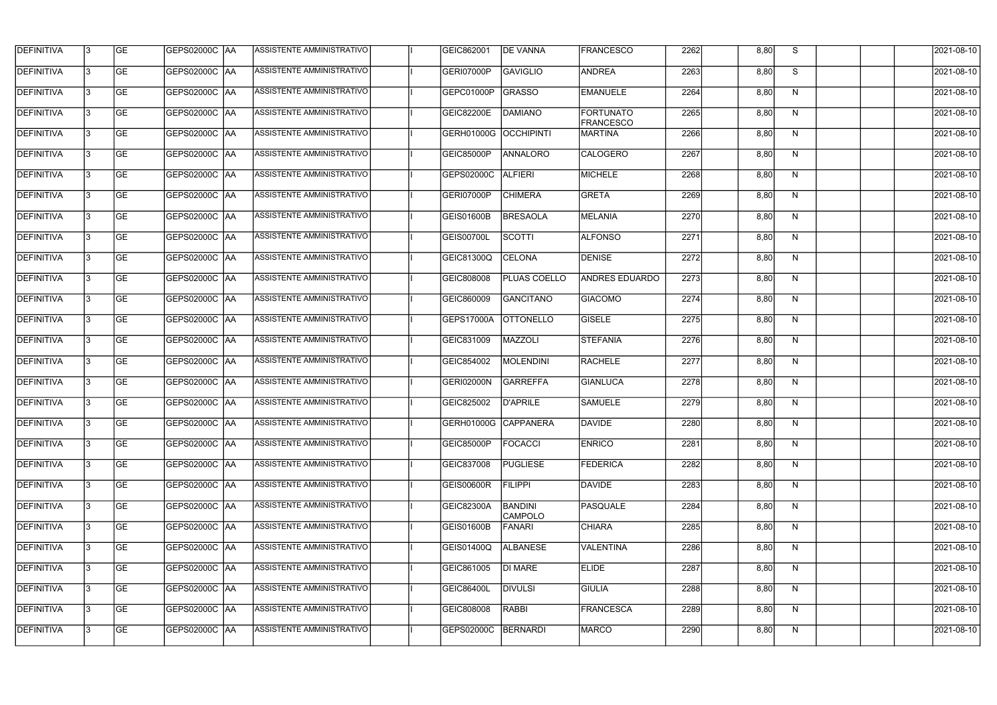| <b>DEFINITIVA</b> | l3 | GE        | GEPS02000C  AA       | ASSISTENTE AMMINISTRATIVO        | GEIC862001           | <b>DE VANNA</b>                  | <b>FRANCESCO</b>              | 2262 | 8,80 | S  | 2021-08-10       |
|-------------------|----|-----------|----------------------|----------------------------------|----------------------|----------------------------------|-------------------------------|------|------|----|------------------|
| <b>DEFINITIVA</b> | IЗ | GE        | GEPS02000C   AA      | ASSISTENTE AMMINISTRATIVO        | GERI07000P           | GAVIGLIO                         | <b>ANDREA</b>                 | 2263 | 8,80 | S  | 2021-08-10       |
| <b>DEFINITIVA</b> | 13 | <b>GE</b> | <b>GEPS02000C AA</b> | ASSISTENTE AMMINISTRATIVO        | GEPC01000P           | GRASSO                           | EMANUELE                      | 2264 | 8,80 | N  | 2021-08-10       |
| <b>DEFINITIVA</b> | l3 | <b>GE</b> | <b>GEPS02000C AA</b> | ASSISTENTE AMMINISTRATIVO        | GEIC82200E           | <b>DAMIANO</b>                   | FORTUNATO<br><b>FRANCESCO</b> | 2265 | 8,80 | N  | 2021-08-10       |
| <b>DEFINITIVA</b> | l3 | GE        | GEPS02000C AA        | ASSISTENTE AMMINISTRATIVO        | <b>GERH01000G</b>    | <b>OCCHIPINTI</b>                | <b>MARTINA</b>                | 2266 | 8,80 | N  | 2021-08-10       |
| <b>DEFINITIVA</b> | l3 | <b>GE</b> | GEPS02000C AA        | <b>ASSISTENTE AMMINISTRATIVO</b> | <b>GEIC85000P</b>    | <b>ANNALORO</b>                  | CALOGERO                      | 2267 | 8,80 | N  | 2021-08-10       |
| <b>DEFINITIVA</b> | l3 | <b>GE</b> | <b>GEPS02000C AA</b> | <b>ASSISTENTE AMMINISTRATIVO</b> | GEPS02000C           | <b>ALFIERI</b>                   | MICHELE                       | 2268 | 8,80 | N  | 2021-08-10       |
| <b>DEFINITIVA</b> | l3 | <b>GE</b> | GEPS02000C AA        | <b>ASSISTENTE AMMINISTRATIVO</b> | GERI07000P           | <b>CHIMERA</b>                   | GRETA                         | 2269 | 8,80 | N  | 2021-08-10       |
| <b>DEFINITIVA</b> | l3 | <b>GE</b> | GEPS02000C AA        | ASSISTENTE AMMINISTRATIVO        | <b>GEIS01600B</b>    | <b>BRESAOLA</b>                  | MELANIA                       | 2270 | 8,80 | N  | 2021-08-10       |
| <b>DEFINITIVA</b> | l3 | GE        | GEPS02000C   AA      | ASSISTENTE AMMINISTRATIVO        | GEIS00700L           | SCOTTI                           | <b>ALFONSO</b>                | 2271 | 8,80 | N  | 2021-08-10       |
| <b>DEFINITIVA</b> | l3 | <b>GE</b> | GEPS02000C AA        | ASSISTENTE AMMINISTRATIVO        | GEIC81300Q           | <b>CELONA</b>                    | DENISE                        | 2272 | 8,80 | N  | 2021-08-10       |
| <b>DEFINITIVA</b> | l3 | <b>GE</b> | GEPS02000C AA        | ASSISTENTE AMMINISTRATIVO        | GEIC808008           | PLUAS COELLO                     | <b>ANDRES EDUARDO</b>         | 2273 | 8,80 | N  | 2021-08-10       |
| <b>DEFINITIVA</b> | l3 | GE        | GEPS02000C  AA       | ASSISTENTE AMMINISTRATIVO        | GEIC860009           | <b>GANCITANO</b>                 | <b>GIACOMO</b>                | 2274 | 8,80 | N  | 2021-08-10       |
| <b>DEFINITIVA</b> | l3 | <b>GE</b> | GEPS02000C AA        | ASSISTENTE AMMINISTRATIVO        | GEPS17000A           | <b>OTTONELLO</b>                 | GISELE                        | 2275 | 8,80 | N  | 2021-08-10       |
| <b>DEFINITIVA</b> | l3 | <b>GE</b> | GEPS02000C AA        | ASSISTENTE AMMINISTRATIVO        | GEIC831009           | MAZZOLI                          | <b>STEFANIA</b>               | 2276 | 8,80 | N  | 2021-08-10       |
| <b>DEFINITIVA</b> | l3 | GE        | GEPS02000C  AA       | ASSISTENTE AMMINISTRATIVO        | GEIC854002           | MOLENDINI                        | <b>RACHELE</b>                | 2277 | 8,80 | N  | 2021-08-10       |
| <b>DEFINITIVA</b> | l3 | <b>GE</b> | GEPS02000C   AA      | ASSISTENTE AMMINISTRATIVO        | <b>GERI02000N</b>    | GARREFFA                         | <b>GIANLUCA</b>               | 2278 | 8,80 | N  | 2021-08-10       |
| <b>DEFINITIVA</b> | IЗ | <b>GE</b> | GEPS02000C AA        | ASSISTENTE AMMINISTRATIVO        | GEIC825002           | <b>D'APRILE</b>                  | <b>SAMUELE</b>                | 2279 | 8,80 | N  | 2021-08-10       |
| <b>DEFINITIVA</b> | IЗ | GE        | GEPS02000C  AA       | <b>ASSISTENTE AMMINISTRATIVO</b> | GERH01000G CAPPANERA |                                  | <b>DAVIDE</b>                 | 2280 | 8,80 | N, | 2021-08-10       |
| <b>DEFINITIVA</b> | l3 | GE        | GEPS02000C AA        | ASSISTENTE AMMINISTRATIVO        | <b>GEIC85000P</b>    | <b>FOCACCI</b>                   | <b>ENRICO</b>                 | 2281 | 8,80 | N  | 2021-08-10       |
| <b>DEFINITIVA</b> | l3 | GE        | GEPS02000C AA        | ASSISTENTE AMMINISTRATIVO        | GEIC837008           | PUGLIESE                         | FEDERICA                      | 2282 | 8,80 | N  | 2021-08-10       |
| <b>DEFINITIVA</b> | 13 | <b>GE</b> | GEPS02000C AA        | ASSISTENTE AMMINISTRATIVO        | GEIS00600R           | <b>FILIPPI</b>                   | DAVIDE                        | 2283 | 8,80 | N  | $2021 - 08 - 10$ |
| <b>DEFINITIVA</b> | l3 | <b>GE</b> | GEPS02000C AA        | ASSISTENTE AMMINISTRATIVO        | GEIC82300A           | <b>BANDINI</b><br><b>CAMPOLO</b> | PASQUALE                      | 2284 | 8,80 | N  | 2021-08-10       |
| <b>DEFINITIVA</b> | 13 | <b>GE</b> | GEPS02000C AA        | ASSISTENTE AMMINISTRATIVO        | <b>GEIS01600B</b>    | FANARI                           | <b>CHIARA</b>                 | 2285 | 8,80 | N  | 2021-08-10       |
| <b>DEFINITIVA</b> | l3 | <b>GE</b> | GEPS02000C  AA       | ASSISTENTE AMMINISTRATIVO        | GEIS01400Q           | <b>ALBANESE</b>                  | <b>VALENTINA</b>              | 2286 | 8,80 | N  | 2021-08-10       |
| <b>DEFINITIVA</b> | l3 | <b>GE</b> | GEPS02000C AA        | ASSISTENTE AMMINISTRATIVO        | GEIC861005           | DI MARE                          | <b>ELIDE</b>                  | 2287 | 8,80 | N  | 2021-08-10       |
| <b>DEFINITIVA</b> | l3 | GE        | GEPS02000C  AA       | ASSISTENTE AMMINISTRATIVO        | <b>GEIC86400L</b>    | <b>DIVULSI</b>                   | <b>GIULIA</b>                 | 2288 | 8,80 | N  | 2021-08-10       |
| <b>DEFINITIVA</b> | l3 | GE        | GEPS02000C AA        | ASSISTENTE AMMINISTRATIVO        | GEIC808008           | RABBI                            | FRANCESCA                     | 2289 | 8,80 | N  | 2021-08-10       |
| <b>DEFINITIVA</b> | l3 | GE        | GEPS02000C AA        | ASSISTENTE AMMINISTRATIVO        | GEPS02000C           | BERNARDI                         | <b>MARCO</b>                  | 2290 | 8,80 | N  | 2021-08-10       |
|                   |    |           |                      |                                  |                      |                                  |                               |      |      |    |                  |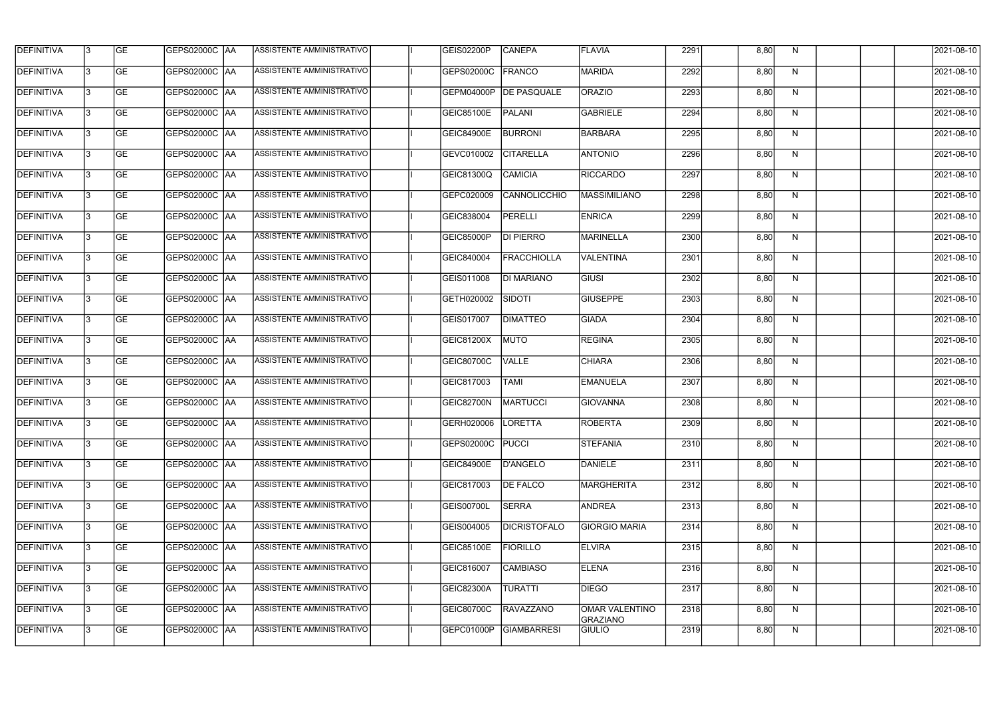| <b>DEFINITIVA</b> | 13 | GE        | GEPS02000C  AA       | ASSISTENTE AMMINISTRATIVO        | GEIS02200P          | <b>CANEPA</b>       | <b>FLAVIA</b>                     | 2291 | 8,80 | N. | 2021-08-10       |
|-------------------|----|-----------|----------------------|----------------------------------|---------------------|---------------------|-----------------------------------|------|------|----|------------------|
| <b>DEFINITIVA</b> | IЗ | GE        | GEPS02000C   AA      | ASSISTENTE AMMINISTRATIVO        | GEPS02000C          | FRANCO              | <b>MARIDA</b>                     | 2292 | 8,80 | N  | 2021-08-10       |
| <b>DEFINITIVA</b> | 13 | <b>GE</b> | GEPS02000C AA        | ASSISTENTE AMMINISTRATIVO        | GEPM04000P          | <b>DE PASQUALE</b>  | <b>ORAZIO</b>                     | 2293 | 8,80 | N  | 2021-08-10       |
| <b>DEFINITIVA</b> | l3 | <b>GE</b> | <b>GEPS02000C AA</b> | ASSISTENTE AMMINISTRATIVO        | GEIC85100E          | PALANI              | <b>GABRIELE</b>                   | 2294 | 8,80 | N  | 2021-08-10       |
| <b>DEFINITIVA</b> | l3 | GE        | GEPS02000C AA        | ASSISTENTE AMMINISTRATIVO        | <b>GEIC84900E</b>   | <b>BURRONI</b>      | BARBARA                           | 2295 | 8,80 | N  | 2021-08-10       |
| <b>DEFINITIVA</b> | l3 | <b>GE</b> | GEPS02000C AA        | ASSISTENTE AMMINISTRATIVO        | GEVC010002          | <b>CITARELLA</b>    | <b>ANTONIO</b>                    | 2296 | 8,80 | N  | 2021-08-10       |
| <b>DEFINITIVA</b> | l3 | <b>GE</b> | GEPS02000C AA        | <b>ASSISTENTE AMMINISTRATIVO</b> | GEIC81300Q          | <b>CAMICIA</b>      | RICCARDO                          | 2297 | 8,80 | N  | 2021-08-10       |
| <b>DEFINITIVA</b> | l3 | <b>GE</b> | GEPS02000C AA        | <b>ASSISTENTE AMMINISTRATIVO</b> | GEPC020009          | CANNOLICCHIO        | MASSIMILIANO                      | 2298 | 8,80 | N  | 2021-08-10       |
| <b>DEFINITIVA</b> | IЗ | <b>GE</b> | GEPS02000C AA        | ASSISTENTE AMMINISTRATIVO        | GEIC838004          | PERELLI             | <b>ENRICA</b>                     | 2299 | 8,80 | N  | 2021-08-10       |
| <b>DEFINITIVA</b> | l3 | GE        | GEPS02000C   AA      | ASSISTENTE AMMINISTRATIVO        | <b>GEIC85000P</b>   | DI PIERRO           | <b>MARINELLA</b>                  | 2300 | 8,80 | N  | 2021-08-10       |
| DEFINITIVA        | 13 | <b>GE</b> | GEPS02000C AA        | ASSISTENTE AMMINISTRATIVO        | GEIC840004          | <b>FRACCHIOLLA</b>  | <b>VALENTINA</b>                  | 2301 | 8,80 | N  | 2021-08-10       |
| <b>DEFINITIVA</b> | l3 | <b>GE</b> | GEPS02000C AA        | <b>ASSISTENTE AMMINISTRATIVO</b> | GEIS011008          | DI MARIANO          | GIUSI∶                            | 2302 | 8,80 | N  | 2021-08-10       |
| <b>DEFINITIVA</b> | l3 | GE        | GEPS02000C  AA       | ASSISTENTE AMMINISTRATIVO        | GETH020002          | <b>SIDOTI</b>       | <b>GIUSEPPE</b>                   | 2303 | 8,80 | N  | 2021-08-10       |
| <b>DEFINITIVA</b> | l3 | <b>GE</b> | GEPS02000C AA        | ASSISTENTE AMMINISTRATIVO        | GEIS017007          | <b>DIMATTEO</b>     | <b>GIADA</b>                      | 2304 | 8,80 | N  | 2021-08-10       |
| <b>DEFINITIVA</b> | l3 | <b>GE</b> | GEPS02000C AA        | ASSISTENTE AMMINISTRATIVO        | GEIC81200X          | <b>MUTO</b>         | <b>REGINA</b>                     | 2305 | 8,80 | N  | 2021-08-10       |
| <b>DEFINITIVA</b> | 13 | GE        | GEPS02000C  AA       | ASSISTENTE AMMINISTRATIVO        | GEIC80700C          | <b>VALLE</b>        | <b>CHIARA</b>                     | 2306 | 8,80 | N  | 2021-08-10       |
| <b>DEFINITIVA</b> | l3 | <b>GE</b> | GEPS02000C   AA      | ASSISTENTE AMMINISTRATIVO        | GEIC817003          | <b>TAMI</b>         | EMANUELA                          | 2307 | 8,80 | N  | 2021-08-10       |
| <b>DEFINITIVA</b> | IЗ | <b>GE</b> | GEPS02000C AA        | ASSISTENTE AMMINISTRATIVO        | GEIC82700N          | <b>MARTUCCI</b>     | GIOVANNA                          | 2308 | 8,80 | N  | 2021-08-10       |
| <b>DEFINITIVA</b> | IЗ | GE        | GEPS02000C  AA       | <b>ASSISTENTE AMMINISTRATIVO</b> | GERH020006  LORETTA |                     | <b>ROBERTA</b>                    | 2309 | 8,80 | N, | 2021-08-10       |
| <b>DEFINITIVA</b> | l3 | GE        | <b>GEPS02000C AA</b> | ASSISTENTE AMMINISTRATIVO        | GEPS02000C          | <b>PUCCI</b>        | <b>STEFANIA</b>                   | 2310 | 8,80 | N  | 2021-08-10       |
| <b>DEFINITIVA</b> | l3 | GE        | GEPS02000C AA        | ASSISTENTE AMMINISTRATIVO        | <b>GEIC84900E</b>   | D'ANGELO            | DANIELE                           | 2311 | 8,80 | N  | 2021-08-10       |
| <b>DEFINITIVA</b> | 13 | <b>GE</b> | GEPS02000C AA        | ASSISTENTE AMMINISTRATIVO        | GEIC817003          | <b>DE FALCO</b>     | <b>MARGHERITA</b>                 | 2312 | 8,80 | N  | $2021 - 08 - 10$ |
| <b>DEFINITIVA</b> | l3 | <b>GE</b> | GEPS02000C AA        | ASSISTENTE AMMINISTRATIVO        | <b>GEIS00700L</b>   | <b>SERRA</b>        | <b>ANDREA</b>                     | 2313 | 8,80 | N  | 2021-08-10       |
| <b>DEFINITIVA</b> | 13 | <b>GE</b> | GEPS02000C AA        | ASSISTENTE AMMINISTRATIVO        | GEIS004005          | <b>DICRISTOFALO</b> | <b>GIORGIO MARIA</b>              | 2314 | 8,80 | N  | 2021-08-10       |
| <b>DEFINITIVA</b> | l3 | <b>GE</b> | GEPS02000C  AA       | ASSISTENTE AMMINISTRATIVO        | GEIC85100E          | <b>FIORILLO</b>     | <b>ELVIRA</b>                     | 2315 | 8,80 | N  | 2021-08-10       |
| <b>DEFINITIVA</b> | l3 | <b>GE</b> | GEPS02000C AA        | ASSISTENTE AMMINISTRATIVO        | GEIC816007          | <b>CAMBIASO</b>     | <b>ELENA</b>                      | 2316 | 8,80 | N  | 2021-08-10       |
| <b>DEFINITIVA</b> | l3 | GE        | GEPS02000C  AA       | ASSISTENTE AMMINISTRATIVO        | <b>GEIC82300A</b>   | TURATTI             | <b>DIEGO</b>                      | 2317 | 8,80 | N  | 2021-08-10       |
| <b>DEFINITIVA</b> | l3 | GE        | GEPS02000C AA        | ASSISTENTE AMMINISTRATIVO        | GEIC80700C          | <b>RAVAZZANO</b>    | OMAR VALENTINO<br><b>GRAZIANO</b> | 2318 | 8,80 | N  | 2021-08-10       |
| <b>DEFINITIVA</b> | l3 | GE        | GEPS02000C AA        | ASSISTENTE AMMINISTRATIVO        | GEPC01000P          | <b>GIAMBARRESI</b>  | <b>GIULIO</b>                     | 2319 | 8,80 | N  | 2021-08-10       |
|                   |    |           |                      |                                  |                     |                     |                                   |      |      |    |                  |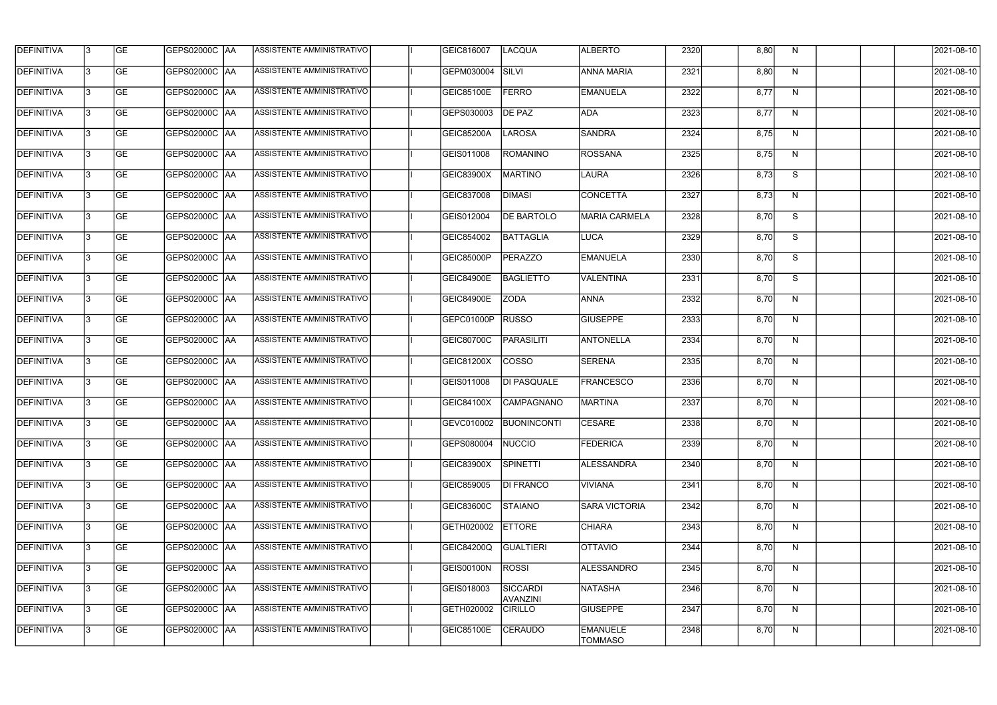| <b>DEFINITIVA</b> | 13  | <b>GE</b> | GEPS02000C  AA       | ASSISTENTE AMMINISTRATIVO        | GEIC816007        | <b>LACQUA</b>                      | <b>ALBERTO</b>                    | 2320 | 8,80 | N.           | 2021-08-10       |
|-------------------|-----|-----------|----------------------|----------------------------------|-------------------|------------------------------------|-----------------------------------|------|------|--------------|------------------|
| DEFINITIVA        | l3  | <b>GE</b> | GEPS02000C  AA       | ASSISTENTE AMMINISTRATIVO        | GEPM030004        | SILVI                              | <b>ANNA MARIA</b>                 | 2321 | 8,80 | N            | 2021-08-10       |
| <b>DEFINITIVA</b> | l3  | <b>GE</b> | <b>GEPS02000C AA</b> | ASSISTENTE AMMINISTRATIVO        | <b>GEIC85100E</b> | <b>FERRO</b>                       | <b>EMANUELA</b>                   | 2322 | 8,77 | N            | 2021-08-10       |
| <b>DEFINITIVA</b> | 13  | <b>GE</b> | <b>GEPS02000C AA</b> | ASSISTENTE AMMINISTRATIVO        | GEPS030003        | <b>DE PAZ</b>                      | <b>ADA</b>                        | 2323 | 8,77 | $\mathsf{N}$ | 2021-08-10       |
| <b>DEFINITIVA</b> | l3  | <b>GE</b> | GEPS02000C  AA       | ASSISTENTE AMMINISTRATIVO        | <b>GEIC85200A</b> | <b>LAROSA</b>                      | <b>SANDRA</b>                     | 2324 | 8,75 | N            | 2021-08-10       |
| <b>DEFINITIVA</b> | IЗ  | <b>GE</b> | GEPS02000C AA        | ASSISTENTE AMMINISTRATIVO        | GEIS011008        | <b>ROMANINO</b>                    | <b>ROSSANA</b>                    | 2325 | 8,75 | N            | 2021-08-10       |
| <b>DEFINITIVA</b> | l3  | <b>GE</b> | <b>GEPS02000C AA</b> | <b>ASSISTENTE AMMINISTRATIVO</b> | GEIC83900X        | <b>MARTINO</b>                     | LAURA                             | 2326 | 8,73 | S            | 2021-08-10       |
| <b>DEFINITIVA</b> | l3  | <b>GE</b> | GEPS02000C AA        | ASSISTENTE AMMINISTRATIVO        | GEIC837008        | <b>DIMASI</b>                      | <b>CONCETTA</b>                   | 2327 | 8,73 | N            | 2021-08-10       |
| <b>DEFINITIVA</b> | l3  | <b>GE</b> | GEPS02000C  AA       | ASSISTENTE AMMINISTRATIVO        | GEIS012004        | <b>DE BARTOLO</b>                  | <b>MARIA CARMELA</b>              | 2328 | 8,70 | S            | 2021-08-10       |
| <b>DEFINITIVA</b> | l3  | <b>GE</b> | GEPS02000C AA        | ASSISTENTE AMMINISTRATIVO        | GEIC854002        | <b>BATTAGLIA</b>                   | LUCA                              | 2329 | 8,70 | S            | 2021-08-10       |
| <b>DEFINITIVA</b> | l3  | <b>GE</b> | GEPS02000C AA        | ASSISTENTE AMMINISTRATIVO        | GEIC85000P        | <b>PERAZZO</b>                     | <b>EMANUELA</b>                   | 2330 | 8,70 | S            | 2021-08-10       |
| <b>DEFINITIVA</b> | 13  | <b>GE</b> | GEPS02000C  AA       | ASSISTENTE AMMINISTRATIVO        | <b>GEIC84900E</b> | <b>BAGLIETTO</b>                   | VALENTINA                         | 2331 | 8,70 | S            | 2021-08-10       |
| <b>DEFINITIVA</b> | l3  | <b>GE</b> | GEPS02000C  AA       | ASSISTENTE AMMINISTRATIVO        | <b>GEIC84900E</b> | <b>ZODA</b>                        | <b>ANNA</b>                       | 2332 | 8,70 | N            | 2021-08-10       |
| <b>DEFINITIVA</b> | l3  | <b>GE</b> | GEPS02000C AA        | ASSISTENTE AMMINISTRATIVO        | GEPC01000P        | <b>RUSSO</b>                       | <b>GIUSEPPE</b>                   | 2333 | 8,70 | N            | 2021-08-10       |
| <b>DEFINITIVA</b> | l3  | <b>GE</b> | GEPS02000C  AA       | ASSISTENTE AMMINISTRATIVO        | GEIC80700C        | <b>PARASILITI</b>                  | <b>ANTONELLA</b>                  | 2334 | 8,70 | N            | 2021-08-10       |
| <b>DEFINITIVA</b> | IЗ  | <b>GE</b> | GEPS02000C  AA       | ASSISTENTE AMMINISTRATIVO        | GEIC81200X        | <b>COSSO</b>                       | <b>SERENA</b>                     | 2335 | 8,70 | N            | 2021-08-10       |
| <b>DEFINITIVA</b> | IЗ  | <b>GE</b> | GEPS02000C  AA       | ASSISTENTE AMMINISTRATIVO        | GEIS011008        | DI PASQUALE                        | <b>FRANCESCO</b>                  | 2336 | 8,70 | N            | 2021-08-10       |
| <b>DEFINITIVA</b> |     | <b>GE</b> | GEPS02000C AA        | ASSISTENTE AMMINISTRATIVO        | GEIC84100X        | CAMPAGNANO                         | MARTINA                           | 2337 | 8,70 | N            | 2021-08-10       |
| <b>DEFINITIVA</b> | IЗ  | GE        | GEPS02000C  AA       | <b>ASSISTENTE AMMINISTRATIVO</b> |                   | GEVC010002 BUONINCONTI             | <b>CESARE</b>                     | 2338 | 8,70 | N,           | 2021-08-10       |
| <b>DEFINITIVA</b> | 13. | <b>GE</b> | GEPS02000C AA        | ASSISTENTE AMMINISTRATIVO        | GEPS080004        | NUCCIO                             | <b>FEDERICA</b>                   | 2339 | 8,70 | N            | 2021-08-10       |
| <b>DEFINITIVA</b> | 13. | <b>GE</b> | <b>GEPS02000C AA</b> | ASSISTENTE AMMINISTRATIVO        | GEIC83900X        | <b>SPINETTI</b>                    | ALESSANDRA                        | 2340 | 8,70 | N            | 2021-08-10       |
| <b>DEFINITIVA</b> | 13. | <b>GE</b> | GEPS02000C AA        | ASSISTENTE AMMINISTRATIVO        | GEIC859005        | <b>DI FRANCO</b>                   | <b>VIVIANA</b>                    | 2341 | 8,70 | N            | $2021 - 08 - 10$ |
| <b>DEFINITIVA</b> | 13  | <b>GE</b> | GEPS02000C AA        | ASSISTENTE AMMINISTRATIVO        | GEIC83600C        | <b>STAIANO</b>                     | <b>SARA VICTORIA</b>              | 2342 | 8,70 | N            | 2021-08-10       |
| <b>DEFINITIVA</b> | 13  | <b>GE</b> | GEPS02000C AA        | ASSISTENTE AMMINISTRATIVO        | GETH020002        | <b>ETTORE</b>                      | <b>CHIARA</b>                     | 2343 | 8,70 | N            | 2021-08-10       |
| <b>DEFINITIVA</b> | l3  | <b>GE</b> | GEPS02000C  AA       | ASSISTENTE AMMINISTRATIVO        | GEIC84200Q        | <b>GUALTIERI</b>                   | <b>OITAVIO</b>                    | 2344 | 8,70 | N            | 2021-08-10       |
| DEFINITIVA        | l3  | <b>GE</b> | GEPS02000C  AA       | ASSISTENTE AMMINISTRATIVO        | <b>GEIS00100N</b> | <b>ROSSI</b>                       | ALESSANDRO                        | 2345 | 8,70 | N            | 2021-08-10       |
| DEFINITIVA        | l3  | <b>GE</b> | GEPS02000C  AA       | ASSISTENTE AMMINISTRATIVO        | GEIS018003        | <b>SICCARDI</b><br><b>AVANZINI</b> | <b>NATASHA</b>                    | 2346 | 8,70 | N            | 2021-08-10       |
| <b>DEFINITIVA</b> | l3  | <b>GE</b> | GEPS02000C AA        | ASSISTENTE AMMINISTRATIVO        | GETH020002        | <b>CIRILLO</b>                     | <b>GIUSEPPE</b>                   | 2347 | 8,70 | N            | 2021-08-10       |
| <b>DEFINITIVA</b> | IЗ  | <b>GE</b> | GEPS02000C  AA       | ASSISTENTE AMMINISTRATIVO        | <b>GEIC85100E</b> | <b>CERAUDO</b>                     | <b>EMANUELE</b><br><b>TOMMASO</b> | 2348 | 8,70 | N            | 2021-08-10       |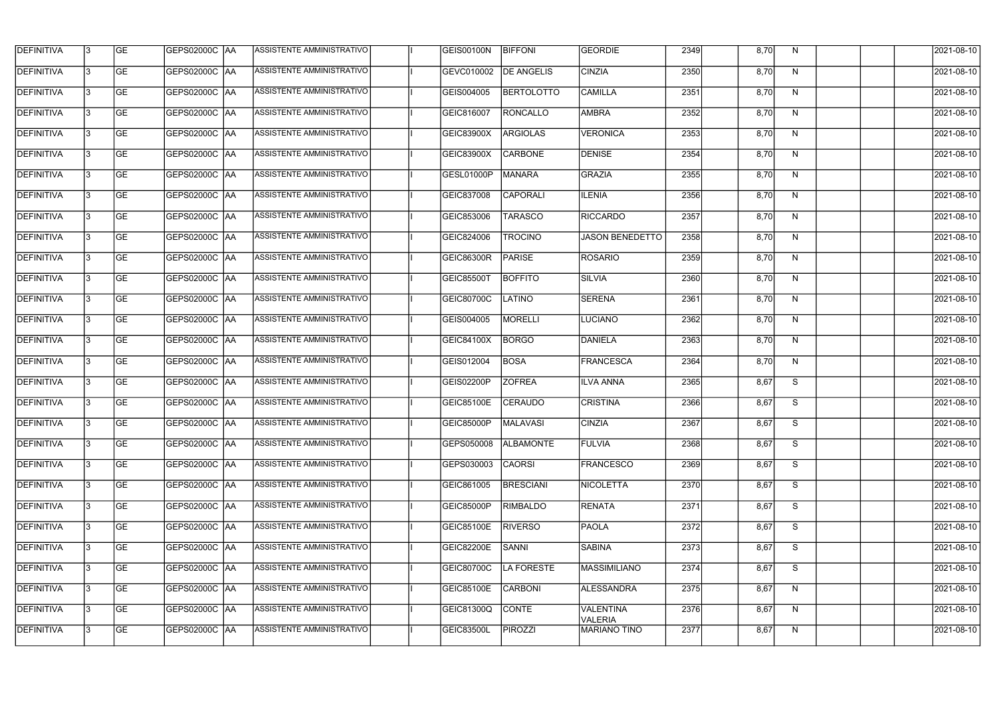| <b>DEFINITIVA</b> | 13  | <b>GE</b> | GEPS02000C  AA       | ASSISTENTE AMMINISTRATIVO        | <b>GEIS00100N</b> | <b>BIFFONI</b>    | <b>GEORDIE</b>              | 2349 | 8,70 | N. | 2021-08-10       |
|-------------------|-----|-----------|----------------------|----------------------------------|-------------------|-------------------|-----------------------------|------|------|----|------------------|
| DEFINITIVA        | l3  | <b>GE</b> | GEPS02000C  AA       | ASSISTENTE AMMINISTRATIVO        | GEVC010002        | <b>DE ANGELIS</b> | <b>CINZIA</b>               | 2350 | 8,70 | N  | 2021-08-10       |
| <b>DEFINITIVA</b> | l3  | <b>GE</b> | <b>GEPS02000C AA</b> | ASSISTENTE AMMINISTRATIVO        | GEIS004005        | <b>BERTOLOTTO</b> | <b>CAMILLA</b>              | 2351 | 8,70 | N  | 2021-08-10       |
| <b>DEFINITIVA</b> | 13  | <b>GE</b> | <b>GEPS02000C AA</b> | ASSISTENTE AMMINISTRATIVO        | GEIC816007        | RONCALLO          | <b>AMBRA</b>                | 2352 | 8,70 | N  | 2021-08-10       |
| <b>DEFINITIVA</b> | l3  | <b>GE</b> | GEPS02000C AA        | ASSISTENTE AMMINISTRATIVO        | <b>GEIC83900X</b> | <b>ARGIOLAS</b>   | <b>VERONICA</b>             | 2353 | 8,70 | N  | 2021-08-10       |
| <b>DEFINITIVA</b> | IЗ  | <b>GE</b> | GEPS02000C AA        | ASSISTENTE AMMINISTRATIVO        | GEIC83900X        | <b>CARBONE</b>    | <b>DENISE</b>               | 2354 | 8,70 | N  | 2021-08-10       |
| <b>DEFINITIVA</b> | l3  | <b>GE</b> | <b>GEPS02000C AA</b> | <b>ASSISTENTE AMMINISTRATIVO</b> | GESL01000P        | <b>MANARA</b>     | <b>GRAZIA</b>               | 2355 | 8,70 | N  | 2021-08-10       |
| <b>DEFINITIVA</b> | l3  | <b>GE</b> | GEPS02000C AA        | ASSISTENTE AMMINISTRATIVO        | GEIC837008        | <b>CAPORALI</b>   | <b>ILENIA</b>               | 2356 | 8,70 | N  | 2021-08-10       |
| <b>DEFINITIVA</b> | l3  | <b>GE</b> | GEPS02000C  AA       | ASSISTENTE AMMINISTRATIVO        | GEIC853006        | <b>TARASCO</b>    | <b>RICCARDO</b>             | 2357 | 8,70 | N  | 2021-08-10       |
| <b>DEFINITIVA</b> | l3  | <b>GE</b> | GEPS02000C AA        | ASSISTENTE AMMINISTRATIVO        | GEIC824006        | <b>TROCINO</b>    | <b>JASON BENEDETTO</b>      | 2358 | 8,70 | N  | 2021-08-10       |
| <b>DEFINITIVA</b> | l3  | <b>GE</b> | GEPS02000C AA        | ASSISTENTE AMMINISTRATIVO        | <b>GEIC86300R</b> | PARISE            | <b>ROSARIO</b>              | 2359 | 8,70 | N  | 2021-08-10       |
| <b>DEFINITIVA</b> | 13  | <b>GE</b> | GEPS02000C  AA       | ASSISTENTE AMMINISTRATIVO        | GEIC85500T        | <b>BOFFITO</b>    | <b>SILVIA</b>               | 2360 | 8,70 | N  | 2021-08-10       |
| <b>DEFINITIVA</b> | l3  | <b>GE</b> | GEPS02000C  AA       | ASSISTENTE AMMINISTRATIVO        | GEIC80700C        | <b>LATINO</b>     | <b>SERENA</b>               | 2361 | 8,70 | N  | 2021-08-10       |
| <b>DEFINITIVA</b> | l3  | <b>GE</b> | GEPS02000C AA        | ASSISTENTE AMMINISTRATIVO        | GEIS004005        | <b>MORELLI</b>    | <b>LUCIANO</b>              | 2362 | 8,70 | N  | 2021-08-10       |
| <b>DEFINITIVA</b> | l3  | <b>GE</b> | GEPS02000C  AA       | ASSISTENTE AMMINISTRATIVO        | <b>GEIC84100X</b> | <b>BORGO</b>      | DANIELA                     | 2363 | 8,70 | N  | 2021-08-10       |
| <b>DEFINITIVA</b> | IЗ  | <b>GE</b> | GEPS02000C  AA       | ASSISTENTE AMMINISTRATIVO        | GEIS012004        | <b>BOSA</b>       | FRANCESCA                   | 2364 | 8,70 | N  | 2021-08-10       |
| <b>DEFINITIVA</b> | IЗ  | <b>GE</b> | GEPS02000C  AA       | ASSISTENTE AMMINISTRATIVO        | GEIS02200P        | <b>ZOFREA</b>     | <b>ILVA ANNA</b>            | 2365 | 8,67 | S  | 2021-08-10       |
| <b>DEFINITIVA</b> |     | <b>GE</b> | GEPS02000C AA        | ASSISTENTE AMMINISTRATIVO        | GEIC85100E        | <b>CERAUDO</b>    | <b>CRISTINA</b>             | 2366 | 8,67 | S  | 2021-08-10       |
| <b>DEFINITIVA</b> | IЗ  | GE        | GEPS02000C  AA       | <b>ASSISTENTE AMMINISTRATIVO</b> | <b>GEIC85000P</b> | MALAVASI          | <b>CINZIA</b>               | 2367 | 8,67 | S. | 2021-08-10       |
| <b>DEFINITIVA</b> | 13. | <b>GE</b> | GEPS02000C AA        | ASSISTENTE AMMINISTRATIVO        | GEPS050008        | <b>ALBAMONTE</b>  | <b>FULVIA</b>               | 2368 | 8,67 | S  | 2021-08-10       |
| <b>DEFINITIVA</b> | 13  | <b>GE</b> | <b>GEPS02000C AA</b> | ASSISTENTE AMMINISTRATIVO        | GEPS030003        | <b>CAORSI</b>     | FRANCESCO                   | 2369 | 8,67 | S  | 2021-08-10       |
| <b>DEFINITIVA</b> | 13. | <b>GE</b> | GEPS02000C AA        | ASSISTENTE AMMINISTRATIVO        | GEIC861005        | <b>BRESCIANI</b>  | NICOLETTA                   | 2370 | 8,67 | S  | $2021 - 08 - 10$ |
| <b>DEFINITIVA</b> | 13  | <b>GE</b> | GEPS02000C AA        | ASSISTENTE AMMINISTRATIVO        | GEIC85000P        | <b>RIMBALDO</b>   | <b>RENATA</b>               | 2371 | 8,67 | S  | 2021-08-10       |
| <b>DEFINITIVA</b> | 13  | <b>GE</b> | GEPS02000C AA        | ASSISTENTE AMMINISTRATIVO        | <b>GEIC85100E</b> | <b>RIVERSO</b>    | <b>PAOLA</b>                | 2372 | 8,67 | S  | 2021-08-10       |
| <b>DEFINITIVA</b> | IЗ  | <b>GE</b> | GEPS02000C  AA       | ASSISTENTE AMMINISTRATIVO        | GEIC82200E        | SANNI             | <b>SABINA</b>               | 2373 | 8,67 | S  | 2021-08-10       |
| DEFINITIVA        | l3  | <b>GE</b> | GEPS02000C  AA       | ASSISTENTE AMMINISTRATIVO        | <b>GEIC80700C</b> | LA FORESTE        | MASSIMILIANO                | 2374 | 8,67 | S  | 2021-08-10       |
| DEFINITIVA        | l3  | <b>GE</b> | GEPS02000C  AA       | ASSISTENTE AMMINISTRATIVO        | <b>GEIC85100E</b> | <b>CARBONI</b>    | <b>ALESSANDRA</b>           | 2375 | 8,67 | N  | 2021-08-10       |
| <b>DEFINITIVA</b> | l3  | <b>GE</b> | GEPS02000C AA        | ASSISTENTE AMMINISTRATIVO        | GEIC81300Q        | <b>CONTE</b>      | <b>VALENTINA</b><br>VALERIA | 2376 | 8,67 | N  | 2021-08-10       |
| <b>DEFINITIVA</b> | Iз  | <b>GE</b> | GEPS02000C  AA       | ASSISTENTE AMMINISTRATIVO        | <b>GEIC83500L</b> | <b>PIROZZI</b>    | <b>MARIANO TINO</b>         | 2377 | 8,67 | N  | 2021-08-10       |
|                   |     |           |                      |                                  |                   |                   |                             |      |      |    |                  |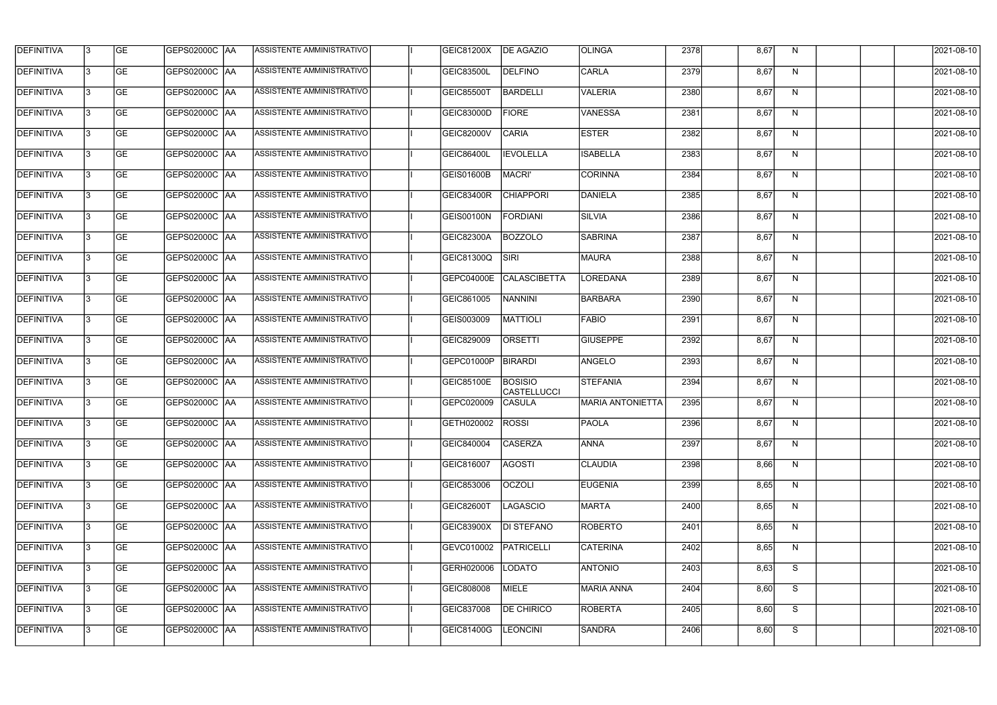| <b>DEFINITIVA</b> | l3 | GE        | GEPS02000C  AA       | <b>ASSISTENTE AMMINISTRATIVO</b> | GEIC81200X              | <b>DE AGAZIO</b>                     | <b>OLINGA</b>           | 2378 | 8,67 | N  | 2021-08-10       |
|-------------------|----|-----------|----------------------|----------------------------------|-------------------------|--------------------------------------|-------------------------|------|------|----|------------------|
| <b>DEFINITIVA</b> | IЗ | GE        | GEPS02000C   AA      | ASSISTENTE AMMINISTRATIVO        | <b>GEIC83500L</b>       | <b>DELFINO</b>                       | CARLA                   | 2379 | 8,67 | N  | 2021-08-10       |
| <b>DEFINITIVA</b> | 13 | <b>GE</b> | GEPS02000C AA        | ASSISTENTE AMMINISTRATIVO        | <b>GEIC85500T</b>       | <b>BARDELLI</b>                      | <b>VALERIA</b>          | 2380 | 8,67 | N  | 2021-08-10       |
| <b>DEFINITIVA</b> | l3 | <b>GE</b> | <b>GEPS02000C AA</b> | ASSISTENTE AMMINISTRATIVO        | GEIC83000D              | <b>FIORE</b>                         | <b>VANESSA</b>          | 2381 | 8,67 | N  | 2021-08-10       |
| <b>DEFINITIVA</b> | l3 | GE        | GEPS02000C AA        | ASSISTENTE AMMINISTRATIVO        | GEIC82000V              | <b>CARIA</b>                         | <b>ESTER</b>            | 2382 | 8,67 | N  | 2021-08-10       |
| <b>DEFINITIVA</b> | l3 | <b>GE</b> | GEPS02000C AA        | <b>ASSISTENTE AMMINISTRATIVO</b> | GEIC86400L              | <b>IEVOLELLA</b>                     | <b>ISABELLA</b>         | 2383 | 8,67 | N  | 2021-08-10       |
| <b>DEFINITIVA</b> | l3 | <b>GE</b> | <b>GEPS02000C AA</b> | ASSISTENTE AMMINISTRATIVO        | <b>GEIS01600B</b>       | MACRI'                               | <b>CORINNA</b>          | 2384 | 8,67 | N  | 2021-08-10       |
| DEFINITIVA        | l3 | <b>GE</b> | GEPS02000C AA        | <b>ASSISTENTE AMMINISTRATIVO</b> | GEIC83400R              | <b>CHIAPPORI</b>                     | DANIELA                 | 2385 | 8,67 | N  | 2021-08-10       |
| <b>DEFINITIVA</b> | IЗ | <b>GE</b> | GEPS02000C AA        | ASSISTENTE AMMINISTRATIVO        | <b>GEIS00100N</b>       | FORDIANI                             | <b>SILVIA</b>           | 2386 | 8,67 | N  | 2021-08-10       |
| <b>DEFINITIVA</b> | l3 | GE        | GEPS02000C AA        | <b>ASSISTENTE AMMINISTRATIVO</b> | GEIC82300A              | <b>BOZZOLO</b>                       | <b>SABRINA</b>          | 2387 | 8,67 | N  | 2021-08-10       |
| DEFINITIVA        | l3 | <b>GE</b> | GEPS02000C AA        | ASSISTENTE AMMINISTRATIVO        | GEIC81300Q              | <b>SIRI</b>                          | <b>MAURA</b>            | 2388 | 8,67 | N  | 2021-08-10       |
| <b>DEFINITIVA</b> | l3 | <b>GE</b> | GEPS02000C AA        | ASSISTENTE AMMINISTRATIVO        | <b>GEPC04000E</b>       | <b>CALASCIBETTA</b>                  | LOREDANA                | 2389 | 8,67 | N  | 2021-08-10       |
| <b>DEFINITIVA</b> | l3 | GE        | GEPS02000C  AA       | ASSISTENTE AMMINISTRATIVO        | GEIC861005              | <b>NANNINI</b>                       | BARBARA                 | 2390 | 8,67 | N  | 2021-08-10       |
| <b>DEFINITIVA</b> | l3 | <b>GE</b> | GEPS02000C AA        | ASSISTENTE AMMINISTRATIVO        | GEIS003009              | MATTIOLI                             | <b>FABIO</b>            | 2391 | 8,67 | N  | 2021-08-10       |
| <b>DEFINITIVA</b> | l3 | <b>GE</b> | GEPS02000C AA        | ASSISTENTE AMMINISTRATIVO        | GEIC829009              | <b>ORSETTI</b>                       | <b>GIUSEPPE</b>         | 2392 | 8,67 | N  | 2021-08-10       |
| <b>DEFINITIVA</b> | l3 | GE        | GEPS02000C  AA       | ASSISTENTE AMMINISTRATIVO        | GEPC01000P              | <b>BIRARDI</b>                       | ANGELO                  | 2393 | 8,67 | N  | 2021-08-10       |
| <b>DEFINITIVA</b> | l3 | <b>GE</b> | GEPS02000C   AA      | ASSISTENTE AMMINISTRATIVO        | <b>GEIC85100E</b>       | <b>BOSISIO</b><br><b>CASTELLUCCI</b> | STEFANIA                | 2394 | 8,67 | N  | 2021-08-10       |
| <b>DEFINITIVA</b> | IЗ | <b>GE</b> | GEPS02000C AA        | ASSISTENTE AMMINISTRATIVO        | GEPC020009              | <b>CASULA</b>                        | <b>MARIA ANTONIETTA</b> | 2395 | 8,67 | N  | 2021-08-10       |
| <b>DEFINITIVA</b> | IЗ | GE        | GEPS02000C  AA       | <b>ASSISTENTE AMMINISTRATIVO</b> | <b>GETH020002 ROSSI</b> |                                      | <b>PAOLA</b>            | 2396 | 8,67 | N, | 2021-08-10       |
| <b>DEFINITIVA</b> | l3 | GE        | GEPS02000C AA        | ASSISTENTE AMMINISTRATIVO        | GEIC840004              | <b>CASERZA</b>                       | <b>ANNA</b>             | 2397 | 8,67 | N  | 2021-08-10       |
| <b>DEFINITIVA</b> | l3 | GE        | GEPS02000C AA        | ASSISTENTE AMMINISTRATIVO        | GEIC816007              | <b>AGOSTI</b>                        | <b>CLAUDIA</b>          | 2398 | 8,66 | N  | 2021-08-10       |
| <b>DEFINITIVA</b> | 13 | <b>GE</b> | GEPS02000C AA        | ASSISTENTE AMMINISTRATIVO        | GEIC853006              | <b>OCZOLI</b>                        | <b>EUGENIA</b>          | 2399 | 8,65 | N  | $2021 - 08 - 10$ |
| <b>DEFINITIVA</b> | l3 | <b>GE</b> | GEPS02000C AA        | ASSISTENTE AMMINISTRATIVO        | <b>GEIC82600T</b>       | LAGASCIO                             | MARTA                   | 2400 | 8,65 | N  | 2021-08-10       |
| <b>DEFINITIVA</b> | 13 | <b>GE</b> | GEPS02000C AA        | ASSISTENTE AMMINISTRATIVO        | GEIC83900X              | <b>DI STEFANO</b>                    | <b>ROBERTO</b>          | 2401 | 8,65 | N  | 2021-08-10       |
| <b>DEFINITIVA</b> | l3 | <b>GE</b> | GEPS02000C  AA       | ASSISTENTE AMMINISTRATIVO        | GEVC010002              | PATRICELLI                           | <b>CATERINA</b>         | 2402 | 8,65 | N  | 2021-08-10       |
| <b>DEFINITIVA</b> | l3 | <b>GE</b> | GEPS02000C  AA       | ASSISTENTE AMMINISTRATIVO        | GERH020006              | LODATO                               | ANTONIO                 | 2403 | 8,63 | S  | 2021-08-10       |
| <b>DEFINITIVA</b> | l3 | GE        | GEPS02000C  AA       | ASSISTENTE AMMINISTRATIVO        | GEIC808008              | <b>MIELE</b>                         | MARIA ANNA              | 2404 | 8,60 | S  | 2021-08-10       |
| <b>DEFINITIVA</b> | l3 | GE        | GEPS02000C AA        | ASSISTENTE AMMINISTRATIVO        | GEIC837008              | <b>DE CHIRICO</b>                    | <b>ROBERTA</b>          | 2405 | 8,60 | S  | 2021-08-10       |
| <b>DEFINITIVA</b> | l3 | GE        | GEPS02000C  AA       | ASSISTENTE AMMINISTRATIVO        | GEIC81400G              | <b>LEONCINI</b>                      | SANDRA                  | 2406 | 8,60 | S  | 2021-08-10       |
|                   |    |           |                      |                                  |                         |                                      |                         |      |      |    |                  |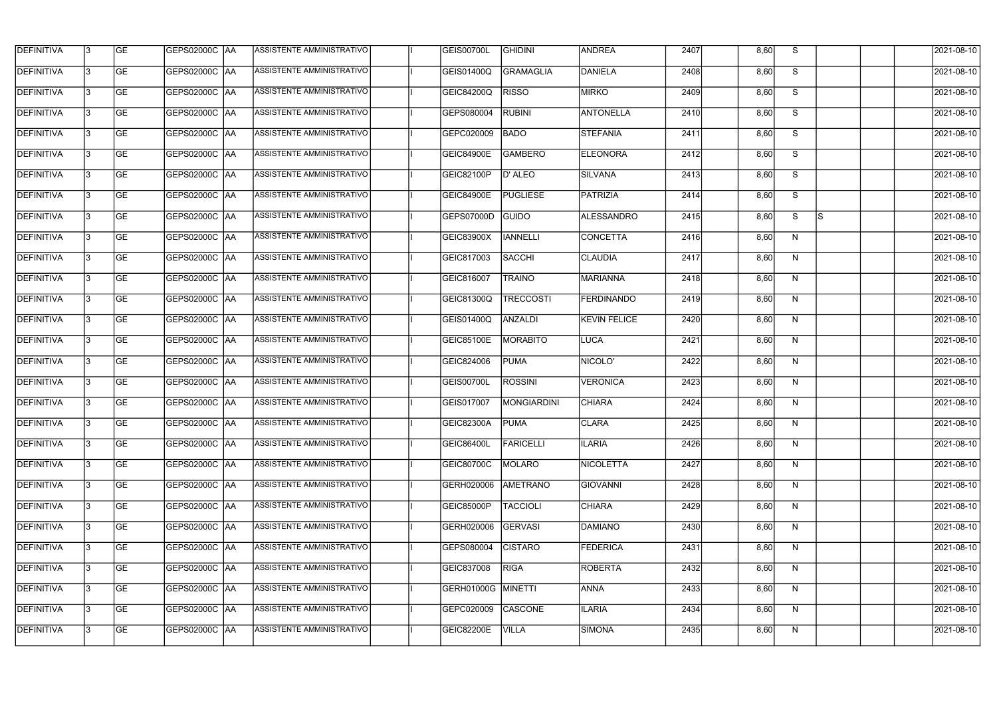| <b>DEFINITIVA</b> | 13 | GE        | GEPS02000C  AA       | ASSISTENTE AMMINISTRATIVO        | <b>GEIS00700L</b>  | <b>GHIDINI</b>   | <b>ANDREA</b>     | 2407 | 8,60 | S. |          | 2021-08-10       |
|-------------------|----|-----------|----------------------|----------------------------------|--------------------|------------------|-------------------|------|------|----|----------|------------------|
| <b>DEFINITIVA</b> | IЗ | GE        | GEPS02000C   AA      | ASSISTENTE AMMINISTRATIVO        | GEIS01400Q         | GRAMAGLIA        | DANIELA           | 2408 | 8,60 | S  |          | 2021-08-10       |
| <b>DEFINITIVA</b> | 13 | <b>GE</b> | GEPS02000C AA        | ASSISTENTE AMMINISTRATIVO        | <b>GEIC84200Q</b>  | <b>RISSO</b>     | <b>MIRKO</b>      | 2409 | 8,60 | S  |          | 2021-08-10       |
| <b>DEFINITIVA</b> | l3 | <b>GE</b> | <b>GEPS02000C AA</b> | ASSISTENTE AMMINISTRATIVO        | GEPS080004         | <b>RUBINI</b>    | ANTONELLA         | 2410 | 8,60 | S  |          | 2021-08-10       |
| <b>DEFINITIVA</b> | l3 | GE        | GEPS02000C AA        | ASSISTENTE AMMINISTRATIVO        | GEPC020009         | <b>BADO</b>      | <b>STEFANIA</b>   | 2411 | 8,60 | S  |          | 2021-08-10       |
| <b>DEFINITIVA</b> | l3 | <b>GE</b> | GEPS02000C AA        | <b>ASSISTENTE AMMINISTRATIVO</b> | <b>GEIC84900E</b>  | <b>GAMBERO</b>   | ELEONORA          | 2412 | 8,60 | S  |          | 2021-08-10       |
| <b>DEFINITIVA</b> | l3 | <b>GE</b> | GEPS02000C AA        | ASSISTENTE AMMINISTRATIVO        | GEIC82100P         | D' ALEO          | <b>SILVANA</b>    | 2413 | 8,60 | S  |          | 2021-08-10       |
| <b>DEFINITIVA</b> | l3 | <b>GE</b> | GEPS02000C AA        | <b>ASSISTENTE AMMINISTRATIVO</b> | <b>GEIC84900E</b>  | <b>PUGLIESE</b>  | PATRIZIA          | 2414 | 8,60 | S  |          | 2021-08-10       |
| <b>DEFINITIVA</b> | IЗ | <b>GE</b> | GEPS02000C  AA       | ASSISTENTE AMMINISTRATIVO        | <b>GEPS07000D</b>  | GUIDO            | <b>ALESSANDRO</b> | 2415 | 8,60 | S  | <b>S</b> | 2021-08-10       |
| <b>DEFINITIVA</b> | l3 | GE        | GEPS02000C AA        | ASSISTENTE AMMINISTRATIVO        | GEIC83900X         | <b>IANNELLI</b>  | <b>CONCETTA</b>   | 2416 | 8,60 | N  |          | 2021-08-10       |
| DEFINITIVA        | 13 | <b>GE</b> | GEPS02000C AA        | ASSISTENTE AMMINISTRATIVO        | GEIC817003         | SACCHI           | <b>CLAUDIA</b>    | 2417 | 8,60 | N  |          | 2021-08-10       |
| <b>DEFINITIVA</b> | l3 | <b>GE</b> | GEPS02000C AA        | ASSISTENTE AMMINISTRATIVO        | GEIC816007         | <b>TRAINO</b>    | <b>MARIANNA</b>   | 2418 | 8,60 | N  |          | 2021-08-10       |
| <b>DEFINITIVA</b> | l3 | GE        | GEPS02000C  AA       | ASSISTENTE AMMINISTRATIVO        | GEIC81300Q         | <b>TRECCOSTI</b> | <b>FERDINANDO</b> | 2419 | 8,60 | N  |          | 2021-08-10       |
| <b>DEFINITIVA</b> | l3 | <b>GE</b> | GEPS02000C AA        | ASSISTENTE AMMINISTRATIVO        | GEIS01400Q         | ANZALDI          | KEVIN FELICE      | 2420 | 8,60 | N  |          | 2021-08-10       |
| <b>DEFINITIVA</b> | l3 | <b>GE</b> | GEPS02000C AA        | ASSISTENTE AMMINISTRATIVO        | GEIC85100E         | <b>MORABITO</b>  | LUCA              | 2421 | 8,60 | N  |          | 2021-08-10       |
| <b>DEFINITIVA</b> | 13 | GE        | GEPS02000C  AA       | ASSISTENTE AMMINISTRATIVO        | GEIC824006         | <b>PUMA</b>      | NICOLO'           | 2422 | 8,60 | N  |          | 2021-08-10       |
| <b>DEFINITIVA</b> | l3 | <b>GE</b> | GEPS02000C   AA      | ASSISTENTE AMMINISTRATIVO        | <b>GEIS00700L</b>  | <b>ROSSINI</b>   | <b>VERONICA</b>   | 2423 | 8,60 | N  |          | 2021-08-10       |
| <b>DEFINITIVA</b> | IЗ | <b>GE</b> | GEPS02000C AA        | ASSISTENTE AMMINISTRATIVO        | GEIS017007         | MONGIARDINI      | <b>CHIARA</b>     | 2424 | 8,60 | N  |          | 2021-08-10       |
| <b>DEFINITIVA</b> | IЗ | GE        | GEPS02000C  AA       | <b>ASSISTENTE AMMINISTRATIVO</b> | <b>GEIC82300A</b>  | <b>PUMA</b>      | <b>CLARA</b>      | 2425 | 8,60 | N, |          | 2021-08-10       |
| <b>DEFINITIVA</b> | l3 | GE        | GEPS02000C AA        | ASSISTENTE AMMINISTRATIVO        | <b>GEIC86400L</b>  | <b>FARICELLI</b> | <b>ILARIA</b>     | 2426 | 8,60 | N  |          | 2021-08-10       |
| <b>DEFINITIVA</b> | l3 | GE        | GEPS02000C AA        | ASSISTENTE AMMINISTRATIVO        | GEIC80700C         | MOLARO           | <b>NICOLETTA</b>  | 2427 | 8,60 | N  |          | 2021-08-10       |
| <b>DEFINITIVA</b> | 13 | <b>GE</b> | GEPS02000C AA        | ASSISTENTE AMMINISTRATIVO        | GERH020006         | AMETRANO         | <b>GIOVANNI</b>   | 2428 | 8,60 | N  |          | $2021 - 08 - 10$ |
| <b>DEFINITIVA</b> | l3 | <b>GE</b> | GEPS02000C AA        | ASSISTENTE AMMINISTRATIVO        | GEIC85000P         | <b>TACCIOLI</b>  | <b>CHIARA</b>     | 2429 | 8,60 | N  |          | 2021-08-10       |
| <b>DEFINITIVA</b> | 13 | <b>GE</b> | GEPS02000C AA        | ASSISTENTE AMMINISTRATIVO        | GERH020006         | GERVASI          | DAMIANO           | 2430 | 8,60 | N  |          | 2021-08-10       |
| <b>DEFINITIVA</b> | l3 | <b>GE</b> | GEPS02000C  AA       | ASSISTENTE AMMINISTRATIVO        | GEPS080004         | <b>CISTARO</b>   | FEDERICA          | 2431 | 8,60 | N  |          | 2021-08-10       |
| <b>DEFINITIVA</b> | l3 | <b>GE</b> | GEPS02000C  AA       | ASSISTENTE AMMINISTRATIVO        | GEIC837008         | <b>RIGA</b>      | ROBERTA           | 2432 | 8,60 | N  |          | 2021-08-10       |
| <b>DEFINITIVA</b> | l3 | GE        | GEPS02000C  AA       | ASSISTENTE AMMINISTRATIVO        | GERH01000G MINETTI |                  | <b>ANNA</b>       | 2433 | 8,60 | N  |          | 2021-08-10       |
| <b>DEFINITIVA</b> | l3 | GE        | GEPS02000C AA        | ASSISTENTE AMMINISTRATIVO        | GEPC020009         | <b>CASCONE</b>   | <b>ILARIA</b>     | 2434 | 8,60 | N  |          | 2021-08-10       |
| <b>DEFINITIVA</b> | l3 | GE        | GEPS02000C AA        | ASSISTENTE AMMINISTRATIVO        | GEIC82200E         | <b>VILLA</b>     | SIMONA            | 2435 | 8,60 | N  |          | 2021-08-10       |
|                   |    |           |                      |                                  |                    |                  |                   |      |      |    |          |                  |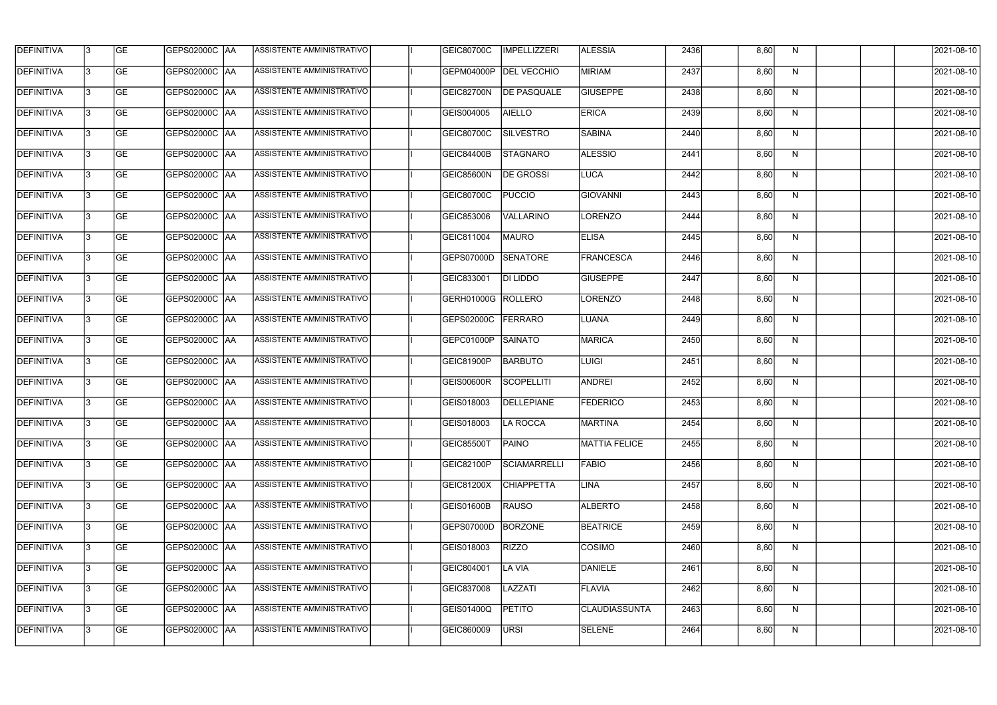| <b>DEFINITIVA</b> | 13 | <b>GE</b> | GEPS02000C   AA | ASSISTENTE AMMINISTRATIVO        | GEIC80700C        | IMPELLIZZERI       | <b>ALESSIA</b>       | 2436 | 8,60 | N  | 2021-08-10       |
|-------------------|----|-----------|-----------------|----------------------------------|-------------------|--------------------|----------------------|------|------|----|------------------|
| <b>DEFINITIVA</b> |    | <b>GE</b> | GEPS02000C AA   | ASSISTENTE AMMINISTRATIVO        | GEPM04000P        | <b>DEL VECCHIO</b> | <b>MIRIAM</b>        | 2437 | 8,60 | N  | 2021-08-10       |
| DEFINITIVA        | IЗ | <b>GE</b> | GEPS02000C   AA | ASSISTENTE AMMINISTRATIVO        | GEIC82700N        | <b>DE PASQUALE</b> | <b>GIUSEPPE</b>      | 2438 | 8,60 | N  | 2021-08-10       |
| <b>DEFINITIVA</b> |    | <b>GE</b> | GEPS02000C AA   | ASSISTENTE AMMINISTRATIVO        | GEIS004005        | <b>AIELLO</b>      | <b>ERICA</b>         | 2439 | 8,60 | N  | 2021-08-10       |
| <b>DEFINITIVA</b> |    | <b>GE</b> | GEPS02000C   AA | ASSISTENTE AMMINISTRATIVO        | GEIC80700C        | SILVESTRO          | SABINA               | 2440 | 8,60 | N  | 2021-08-10       |
| <b>DEFINITIVA</b> |    | <b>GE</b> | GEPS02000C AA   | <b>ASSISTENTE AMMINISTRATIVO</b> | GEIC84400B        | STAGNARO           | <b>ALESSIO</b>       | 2441 | 8,60 | N  | 2021-08-10       |
| <b>DEFINITIVA</b> |    | <b>GE</b> | GEPS02000C AA   | ASSISTENTE AMMINISTRATIVO        | GEIC85600N        | <b>DE GROSSI</b>   | LUCA                 | 2442 | 8,60 | N  | 2021-08-10       |
| <b>DEFINITIVA</b> |    | <b>GE</b> | GEPS02000C AA   | ASSISTENTE AMMINISTRATIVO        | GEIC80700C        | <b>PUCCIO</b>      | <b>GIOVANNI</b>      | 2443 | 8,60 | N  | 2021-08-10       |
| <b>DEFINITIVA</b> |    | <b>GE</b> | GEPS02000C   AA | ASSISTENTE AMMINISTRATIVO        | GEIC853006        | VALLARINO          | LORENZO              | 2444 | 8,60 | N  | 2021-08-10       |
| <b>DEFINITIVA</b> |    | <b>GE</b> | GEPS02000C   AA | ASSISTENTE AMMINISTRATIVO        | GEIC811004        | MAURO              | <b>ELISA</b>         | 2445 | 8,60 | N  | 2021-08-10       |
| DEFINITIVA        | l3 | <b>GE</b> | GEPS02000C AA   | ASSISTENTE AMMINISTRATIVO        | GEPS07000D        | <b>SENATORE</b>    | <b>FRANCESCA</b>     | 2446 | 8,60 | N  | 2021-08-10       |
| <b>DEFINITIVA</b> |    | <b>GE</b> | GEPS02000C AA   | ASSISTENTE AMMINISTRATIVO        | GEIC833001        | DI LIDDO           | <b>GIUSEPPE</b>      | 2447 | 8,60 | N  | 2021-08-10       |
| <b>DEFINITIVA</b> |    | <b>GE</b> | GEPS02000C   AA | ASSISTENTE AMMINISTRATIVO        | <b>GERH01000G</b> | ROLLERO            | LORENZO              | 2448 | 8,60 | N  | 2021-08-10       |
| <b>DEFINITIVA</b> |    | <b>GE</b> | GEPS02000C AA   | ASSISTENTE AMMINISTRATIVO        | GEPS02000C        | FERRARO            | LUANA                | 2449 | 8,60 | N  | 2021-08-10       |
| <b>DEFINITIVA</b> |    | <b>GE</b> | GEPS02000C AA   | ASSISTENTE AMMINISTRATIVO        | GEPC01000P        | <b>SAINATO</b>     | MARICA               | 2450 | 8,60 | N  | 2021-08-10       |
| <b>DEFINITIVA</b> |    | <b>GE</b> | GEPS02000C   AA | ASSISTENTE AMMINISTRATIVO        | GEIC81900P        | <b>BARBUTO</b>     | LUIGI                | 2451 | 8,60 | N  | 2021-08-10       |
| <b>DEFINITIVA</b> |    | <b>GE</b> | GEPS02000C   AA | ASSISTENTE AMMINISTRATIVO        | <b>GEIS00600R</b> | <b>SCOPELLITI</b>  | <b>ANDREI</b>        | 2452 | 8,60 | N  | 2021-08-10       |
| <b>DEFINITIVA</b> |    | <b>GE</b> | GEPS02000C AA   | ASSISTENTE AMMINISTRATIVO        | GEIS018003        | DELLEPIANE         | <b>FEDERICO</b>      | 2453 | 8,60 | N  | 2021-08-10       |
| <b>DEFINITIVA</b> | 13 | GE        | GEPS02000C  AA  | <b>ASSISTENTE AMMINISTRATIVO</b> | GEIS018003        | LA ROCCA           | MARTINA              | 2454 | 8,60 | N, | 2021-08-10       |
| <b>DEFINITIVA</b> | l3 | <b>GE</b> | GEPS02000C AA   | ASSISTENTE AMMINISTRATIVO        | <b>GEIC85500T</b> | PAINO              | MATTIA FELICE        | 2455 | 8,60 | N  | 2021-08-10       |
| <b>DEFINITIVA</b> | l3 | <b>GE</b> | GEPS02000C   AA | ASSISTENTE AMMINISTRATIVO        | GEIC82100P        | SCIAMARRELLI       | <b>FABIO</b>         | 2456 | 8,60 | N  | 2021-08-10       |
| <b>DEFINITIVA</b> | l3 | GE        | GEPS02000C AA   | ASSISTENTE AMMINISTRATIVO        | GEIC81200X        | <b>CHIAPPETTA</b>  | LINA                 | 2457 | 8,60 | N  | $2021 - 08 - 10$ |
| <b>DEFINITIVA</b> | IЗ | <b>GE</b> | GEPS02000C AA   | ASSISTENTE AMMINISTRATIVO        | GEIS01600B        | <b>RAUSO</b>       | <b>ALBERTO</b>       | 2458 | 8,60 | N  | 2021-08-10       |
| <b>DEFINITIVA</b> | l3 | <b>GE</b> | GEPS02000C AA   | ASSISTENTE AMMINISTRATIVO        | GEPS07000D        | BORZONE            | <b>BEATRICE</b>      | 2459 | 8,60 | N  | 2021-08-10       |
| <b>DEFINITIVA</b> |    | <b>GE</b> | GEPS02000C   AA | ASSISTENTE AMMINISTRATIVO        | GEIS018003        | <b>RIZZO</b>       | COSIMO               | 2460 | 8,60 | N  | 2021-08-10       |
| <b>DEFINITIVA</b> |    | <b>GE</b> | GEPS02000C   AA | ASSISTENTE AMMINISTRATIVO        | GEIC804001        | <b>LA VIA</b>      | DANIELE              | 2461 | 8,60 | N  | 2021-08-10       |
| DEFINITIVA        |    | <b>GE</b> | GEPS02000C   AA | ASSISTENTE AMMINISTRATIVO        | GEIC837008        | LAZZATI            | <b>FLAVIA</b>        | 2462 | 8,60 | N  | 2021-08-10       |
| <b>DEFINITIVA</b> | l3 | <b>GE</b> | GEPS02000C AA   | ASSISTENTE AMMINISTRATIVO        | GEIS01400Q        | <b>PETITO</b>      | <b>CLAUDIASSUNTA</b> | 2463 | 8,60 | N  | 2021-08-10       |
| <b>DEFINITIVA</b> |    | <b>GE</b> | GEPS02000C   AA | ASSISTENTE AMMINISTRATIVO        | GEIC860009        | URSI               | SELENE               | 2464 | 8,60 | N  | 2021-08-10       |
|                   |    |           |                 |                                  |                   |                    |                      |      |      |    |                  |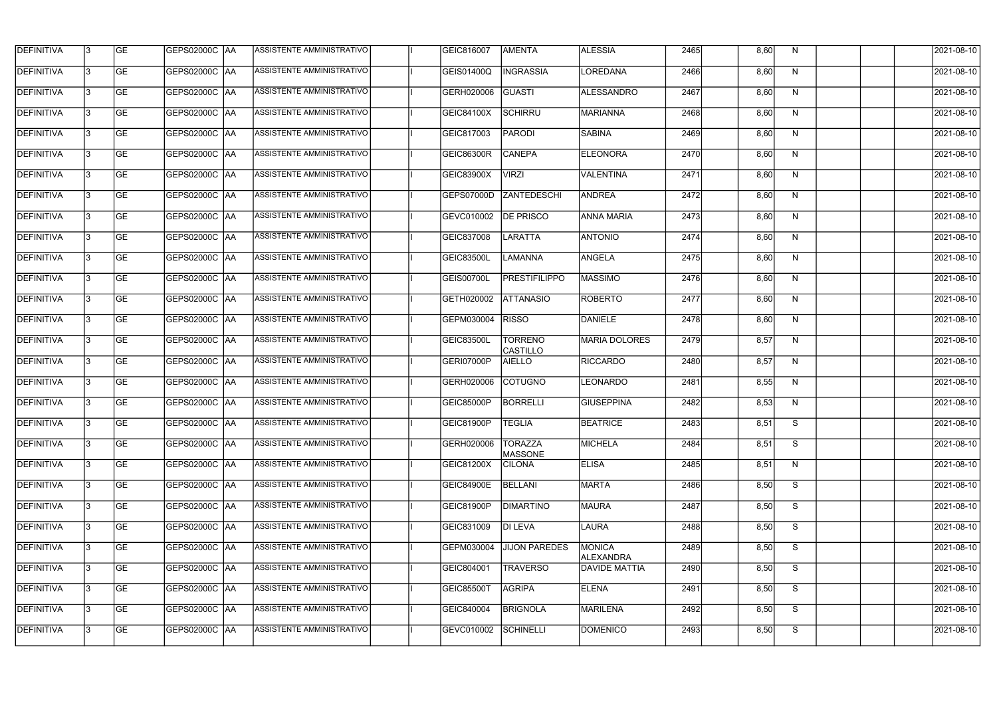| <b>DEFINITIVA</b> | l3 | GE        | GEPS02000C  AA       | ASSISTENTE AMMINISTRATIVO        | GEIC816007        | AMENTA                            | <b>ALESSIA</b>             | 2465 | 8,60 | N  | 2021-08-10       |
|-------------------|----|-----------|----------------------|----------------------------------|-------------------|-----------------------------------|----------------------------|------|------|----|------------------|
| <b>DEFINITIVA</b> | l3 | GE        | GEPS02000C   AA      | ASSISTENTE AMMINISTRATIVO        | GEIS01400Q        | <b>INGRASSIA</b>                  | <b>LOREDANA</b>            | 2466 | 8,60 | N  | 2021-08-10       |
| <b>DEFINITIVA</b> | 13 | <b>GE</b> | <b>GEPS02000C AA</b> | ASSISTENTE AMMINISTRATIVO        | GERH020006        | <b>GUASTI</b>                     | ALESSANDRO                 | 2467 | 8,60 | N  | 2021-08-10       |
| <b>DEFINITIVA</b> | l3 | <b>GE</b> | <b>GEPS02000C AA</b> | ASSISTENTE AMMINISTRATIVO        | GEIC84100X        | <b>SCHIRRU</b>                    | MARIANNA                   | 2468 | 8,60 | N  | 2021-08-10       |
| <b>DEFINITIVA</b> | l3 | GE        | GEPS02000C AA        | ASSISTENTE AMMINISTRATIVO        | GEIC817003        | <b>PARODI</b>                     | <b>SABINA</b>              | 2469 | 8,60 | N  | 2021-08-10       |
| <b>DEFINITIVA</b> | l3 | <b>GE</b> | GEPS02000C AA        | <b>ASSISTENTE AMMINISTRATIVO</b> | <b>GEIC86300R</b> | <b>CANEPA</b>                     | ELEONORA                   | 2470 | 8,60 | N  | 2021-08-10       |
| DEFINITIVA        | l3 | <b>GE</b> | <b>GEPS02000C AA</b> | ASSISTENTE AMMINISTRATIVO        | GEIC83900X        | <b>VIRZI</b>                      | <b>VALENTINA</b>           | 2471 | 8,60 | N  | 2021-08-10       |
| <b>DEFINITIVA</b> | l3 | <b>GE</b> | GEPS02000C AA        | <b>ASSISTENTE AMMINISTRATIVO</b> | GEPS07000D        | <b>ZANTEDESCHI</b>                | ANDREA                     | 2472 | 8,60 | N  | 2021-08-10       |
| <b>DEFINITIVA</b> | IЗ | <b>GE</b> | GEPS02000C AA        | ASSISTENTE AMMINISTRATIVO        | GEVC010002        | <b>DE PRISCO</b>                  | <b>ANNA MARIA</b>          | 2473 | 8,60 | N  | 2021-08-10       |
| <b>DEFINITIVA</b> | l3 | GE        | GEPS02000C   AA      | ASSISTENTE AMMINISTRATIVO        | GEIC837008        | LARATTA                           | <b>ANTONIO</b>             | 2474 | 8,60 | N  | 2021-08-10       |
| DEFINITIVA        | l3 | <b>GE</b> | GEPS02000C AA        | ASSISTENTE AMMINISTRATIVO        | <b>GEIC83500L</b> | <b>LAMANNA</b>                    | ANGELA                     | 2475 | 8,60 | N  | 2021-08-10       |
| <b>DEFINITIVA</b> | l3 | <b>GE</b> | GEPS02000C AA        | ASSISTENTE AMMINISTRATIVO        | GEIS00700L        | <b>PRESTIFILIPPO</b>              | <b>MASSIMO</b>             | 2476 | 8,60 | N  | 2021-08-10       |
| <b>DEFINITIVA</b> | l3 | GE        | GEPS02000C  AA       | ASSISTENTE AMMINISTRATIVO        | GETH020002        | <b>ATTANASIO</b>                  | ROBERTO                    | 2477 | 8,60 | N  | 2021-08-10       |
| <b>DEFINITIVA</b> | l3 | <b>GE</b> | GEPS02000C AA        | ASSISTENTE AMMINISTRATIVO        | GEPM030004        | <b>RISSO</b>                      | DANIELE                    | 2478 | 8,60 | N  | 2021-08-10       |
| <b>DEFINITIVA</b> | l3 | <b>GE</b> | GEPS02000C AA        | ASSISTENTE AMMINISTRATIVO        | GEIC83500L        | <b>TORRENO</b><br><b>CASTILLO</b> | MARIA DOLORES              | 2479 | 8,57 | N  | 2021-08-10       |
| <b>DEFINITIVA</b> | l3 | GE        | GEPS02000C  AA       | ASSISTENTE AMMINISTRATIVO        | GERI07000P        | <b>AIELLO</b>                     | <b>RICCARDO</b>            | 2480 | 8,57 | N  | 2021-08-10       |
| <b>DEFINITIVA</b> | l3 | <b>GE</b> | GEPS02000C   AA      | ASSISTENTE AMMINISTRATIVO        | GERH020006        | <b>COTUGNO</b>                    | <b>LEONARDO</b>            | 2481 | 8,55 | N  | 2021-08-10       |
| <b>DEFINITIVA</b> | l3 | <b>GE</b> | GEPS02000C AA        | ASSISTENTE AMMINISTRATIVO        | <b>GEIC85000P</b> | <b>BORRELLI</b>                   | GIUSEPPINA                 | 2482 | 8,53 | N  | 2021-08-10       |
| <b>DEFINITIVA</b> | IЗ | GE        | GEPS02000C  AA       | <b>ASSISTENTE AMMINISTRATIVO</b> | <b>GEIC81900P</b> | <b>TEGLIA</b>                     | <b>BEATRICE</b>            | 2483 | 8,51 | S. | 2021-08-10       |
| <b>DEFINITIVA</b> | l3 | GE        | <b>GEPS02000C AA</b> | ASSISTENTE AMMINISTRATIVO        | GERH020006        | <b>TORAZZA</b><br><b>MASSONE</b>  | MICHELA                    | 2484 | 8,51 | S  | 2021-08-10       |
| <b>DEFINITIVA</b> | l3 | GE        | <b>GEPS02000C AA</b> | ASSISTENTE AMMINISTRATIVO        | GEIC81200X        | <b>CILONA</b>                     | <b>ELISA</b>               | 2485 | 8,51 | N  | 2021-08-10       |
| <b>DEFINITIVA</b> | 13 | <b>GE</b> | <b>GEPS02000C AA</b> | ASSISTENTE AMMINISTRATIVO        | <b>GEIC84900E</b> | BELLANI                           | <b>MARTA</b>               | 2486 | 8,50 | S  | $2021 - 08 - 10$ |
| <b>DEFINITIVA</b> | l3 | <b>GE</b> | GEPS02000C AA        | ASSISTENTE AMMINISTRATIVO        | GEIC81900P        | <b>DIMARTINO</b>                  | MAURA                      | 2487 | 8,50 | S  | 2021-08-10       |
| <b>DEFINITIVA</b> | 13 | <b>GE</b> | GEPS02000C AA        | ASSISTENTE AMMINISTRATIVO        | GEIC831009        | <b>DI LEVA</b>                    | LAURA                      | 2488 | 8,50 | S  | 2021-08-10       |
| <b>DEFINITIVA</b> | l3 | <b>GE</b> | GEPS02000C  AA       | ASSISTENTE AMMINISTRATIVO        | GEPM030004        | <b>JIJON PAREDES</b>              | <b>MONICA</b><br>ALEXANDRA | 2489 | 8,50 | S  | 2021-08-10       |
| <b>DEFINITIVA</b> | l3 | <b>GE</b> | GEPS02000C AA        | ASSISTENTE AMMINISTRATIVO        | GEIC804001        | <b>TRAVERSO</b>                   | <b>DAVIDE MATTIA</b>       | 2490 | 8,50 | S  | 2021-08-10       |
| <b>DEFINITIVA</b> | l3 | GE        | GEPS02000C  AA       | ASSISTENTE AMMINISTRATIVO        | <b>GEIC85500T</b> | <b>AGRIPA</b>                     | <b>ELENA</b>               | 2491 | 8,50 | S  | 2021-08-10       |
| <b>DEFINITIVA</b> | l3 | GE        | GEPS02000C AA        | ASSISTENTE AMMINISTRATIVO        | GEIC840004        | <b>BRIGNOLA</b>                   | <b>MARILENA</b>            | 2492 | 8,50 | S  | 2021-08-10       |
| <b>DEFINITIVA</b> | l3 | GE        | GEPS02000C AA        | ASSISTENTE AMMINISTRATIVO        | GEVC010002        | SCHINELLI                         | <b>DOMENICO</b>            | 2493 | 8,50 | S  | 2021-08-10       |
|                   |    |           |                      |                                  |                   |                                   |                            |      |      |    |                  |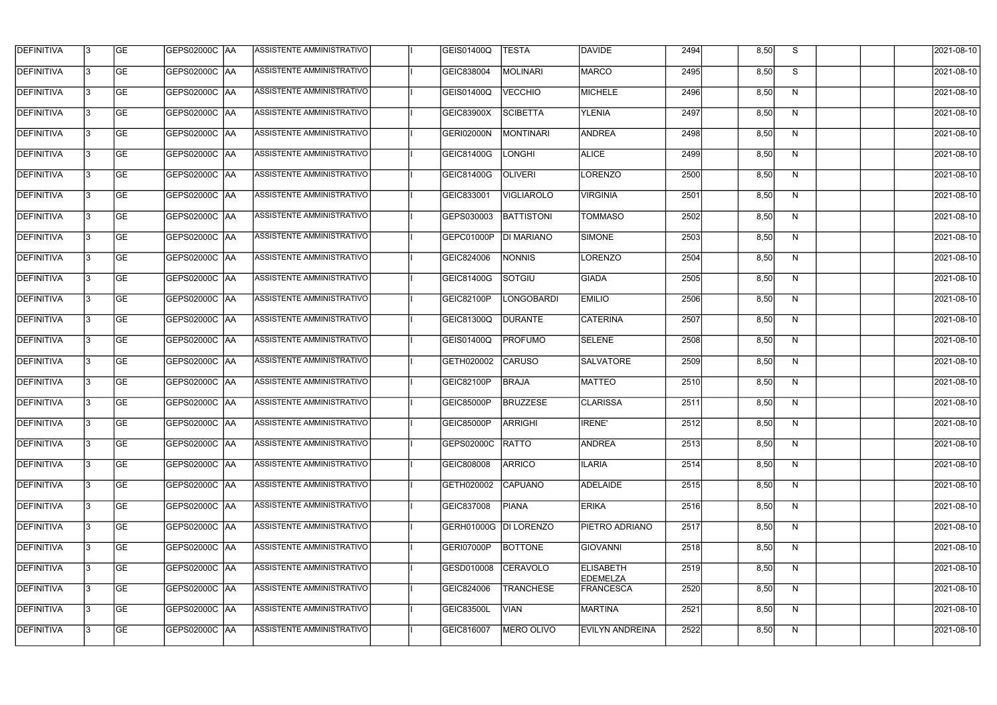| <b>DEFINITIVA</b> | 13 | GE        | GEPS02000C  AA       | ASSISTENTE AMMINISTRATIVO        | <b>GEIS01400Q</b>     | <b>TESTA</b>      | DAVIDE                              | 2494 | 8,50 | S. | 2021-08-10 |
|-------------------|----|-----------|----------------------|----------------------------------|-----------------------|-------------------|-------------------------------------|------|------|----|------------|
| <b>DEFINITIVA</b> | IЗ | GE        | GEPS02000C  AA       | ASSISTENTE AMMINISTRATIVO        | GEIC838004            | MOLINARI          | <b>MARCO</b>                        | 2495 | 8,50 | S  | 2021-08-10 |
| <b>DEFINITIVA</b> | 13 | <b>GE</b> | GEPS02000C  AA       | ASSISTENTE AMMINISTRATIVO        | GEIS01400Q            | <b>VECCHIO</b>    | MICHELE                             | 2496 | 8,50 | N  | 2021-08-10 |
| <b>DEFINITIVA</b> | l3 | <b>GE</b> | <b>GEPS02000C AA</b> | ASSISTENTE AMMINISTRATIVO        | GEIC83900X            | <b>SCIBETTA</b>   | <b>YLENIA</b>                       | 2497 | 8,50 | N  | 2021-08-10 |
| <b>DEFINITIVA</b> | l3 | GE        | GEPS02000C AA        | ASSISTENTE AMMINISTRATIVO        | <b>GERI02000N</b>     | <b>MONTINARI</b>  | <b>ANDREA</b>                       | 2498 | 8,50 | N  | 2021-08-10 |
| <b>DEFINITIVA</b> | l3 | <b>GE</b> | GEPS02000C AA        | <b>ASSISTENTE AMMINISTRATIVO</b> | GEIC81400G            | <b>LONGHI</b>     | <b>ALICE</b>                        | 2499 | 8,50 | N  | 2021-08-10 |
| <b>DEFINITIVA</b> | l3 | <b>GE</b> | GEPS02000C AA        | ASSISTENTE AMMINISTRATIVO        | GEIC81400G            | <b>OLIVERI</b>    | LORENZO                             | 2500 | 8,50 | N  | 2021-08-10 |
| <b>DEFINITIVA</b> | l3 | <b>GE</b> | GEPS02000C AA        | ASSISTENTE AMMINISTRATIVO        | GEIC833001            | <b>VIGLIAROLO</b> | <b>VIRGINIA</b>                     | 2501 | 8,50 | N  | 2021-08-10 |
| <b>DEFINITIVA</b> | IЗ | <b>GE</b> | GEPS02000C AA        | ASSISTENTE AMMINISTRATIVO        | GEPS030003            | <b>BATTISTONI</b> | <b>TOMMASO</b>                      | 2502 | 8,50 | N  | 2021-08-10 |
| <b>DEFINITIVA</b> | l3 | GE        | GEPS02000C   AA      | ASSISTENTE AMMINISTRATIVO        | GEPC01000P            | <b>DI MARIANO</b> | SIMONE                              | 2503 | 8,50 | N  | 2021-08-10 |
| DEFINITIVA        | 13 | GE        | GEPS02000C AA        | ASSISTENTE AMMINISTRATIVO        | GEIC824006            | <b>NONNIS</b>     | LORENZO                             | 2504 | 8,50 | N  | 2021-08-10 |
| <b>DEFINITIVA</b> | l3 | <b>GE</b> | GEPS02000C   AA      | <b>ASSISTENTE AMMINISTRATIVO</b> | GEIC81400G            | SOTGIU            | <b>GIADA</b>                        | 2505 | 8,50 | N  | 2021-08-10 |
| <b>DEFINITIVA</b> | l3 | GE        | GEPS02000C  AA       | ASSISTENTE AMMINISTRATIVO        | GEIC82100P            | <b>LONGOBARDI</b> | <b>EMILIO</b>                       | 2506 | 8,50 | N  | 2021-08-10 |
| <b>DEFINITIVA</b> | l3 | <b>GE</b> | GEPS02000C AA        | ASSISTENTE AMMINISTRATIVO        | GEIC81300Q            | <b>DURANTE</b>    | <b>CATERINA</b>                     | 2507 | 8,50 | N  | 2021-08-10 |
| <b>DEFINITIVA</b> | l3 | <b>GE</b> | GEPS02000C  AA       | ASSISTENTE AMMINISTRATIVO        | GEIS01400Q            | <b>PROFUMO</b>    | SELENE                              | 2508 | 8,50 | N  | 2021-08-10 |
| <b>DEFINITIVA</b> | 13 | GE        | GEPS02000C  AA       | ASSISTENTE AMMINISTRATIVO        | GETH020002            | <b>CARUSO</b>     | <b>SALVATORE</b>                    | 2509 | 8,50 | N  | 2021-08-10 |
| <b>DEFINITIVA</b> | l3 | <b>GE</b> | GEPS02000C   AA      | ASSISTENTE AMMINISTRATIVO        | GEIC82100P            | <b>BRAJA</b>      | MATTEO                              | 2510 | 8,50 | N  | 2021-08-10 |
| <b>DEFINITIVA</b> | IЗ | <b>GE</b> | GEPS02000C  AA       | ASSISTENTE AMMINISTRATIVO        | <b>GEIC85000P</b>     | <b>BRUZZESE</b>   | <b>CLARISSA</b>                     | 2511 | 8,50 | N  | 2021-08-10 |
| <b>DEFINITIVA</b> | IЗ | GE        | GEPS02000C  AA       | <b>ASSISTENTE AMMINISTRATIVO</b> | <b>GEIC85000P</b>     | <b>ARRIGHI</b>    | <b>IRENE'</b>                       | 2512 | 8,50 | N, | 2021-08-10 |
| <b>DEFINITIVA</b> | l3 | GE        | <b>GEPS02000C AA</b> | ASSISTENTE AMMINISTRATIVO        | GEPS02000C            | <b>RATTO</b>      | ANDREA                              | 2513 | 8,50 | N  | 2021-08-10 |
| <b>DEFINITIVA</b> | l3 | GE        | GEPS02000C AA        | ASSISTENTE AMMINISTRATIVO        | GEIC808008            | <b>ARRICO</b>     | <b>ILARIA</b>                       | 2514 | 8,50 | N  | 2021-08-10 |
| <b>DEFINITIVA</b> | 13 | <b>GE</b> | GEPS02000C AA        | ASSISTENTE AMMINISTRATIVO        | GETH020002            | <b>CAPUANO</b>    | ADELAIDE                            | 2515 | 8,50 | N  | 2021-08-10 |
| <b>DEFINITIVA</b> | l3 | <b>GE</b> | GEPS02000C AA        | ASSISTENTE AMMINISTRATIVO        | GEIC837008            | <b>PIANA</b>      | <b>ERIKA</b>                        | 2516 | 8,50 | N  | 2021-08-10 |
| <b>DEFINITIVA</b> | 13 | <b>GE</b> | GEPS02000C AA        | ASSISTENTE AMMINISTRATIVO        | GERH01000G DI LORENZO |                   | <b>PIETRO ADRIANO</b>               | 2517 | 8,50 | N  | 2021-08-10 |
| <b>DEFINITIVA</b> | l3 | <b>GE</b> | GEPS02000C  AA       | ASSISTENTE AMMINISTRATIVO        | GERI07000P            | <b>BOTTONE</b>    | <b>GIOVANNI</b>                     | 2518 | 8,50 | N  | 2021-08-10 |
| <b>DEFINITIVA</b> | l3 | <b>GE</b> | GEPS02000C  AA       | ASSISTENTE AMMINISTRATIVO        | GESD010008            | <b>CERAVOLO</b>   | <b>ELISABETH</b><br><b>EDEMELZA</b> | 2519 | 8,50 | N  | 2021-08-10 |
| <b>DEFINITIVA</b> | l3 | GE        | GEPS02000C  AA       | ASSISTENTE AMMINISTRATIVO        | GEIC824006            | <b>TRANCHESE</b>  | <b>FRANCESCA</b>                    | 2520 | 8,50 | N  | 2021-08-10 |
| <b>DEFINITIVA</b> | l3 | GE        | GEPS02000C AA        | ASSISTENTE AMMINISTRATIVO        | <b>GEIC83500L</b>     | <b>VIAN</b>       | <b>MARTINA</b>                      | 2521 | 8,50 | N  | 2021-08-10 |
| <b>DEFINITIVA</b> | l3 | GE        | GEPS02000C  AA       | ASSISTENTE AMMINISTRATIVO        | GEIC816007            | MERO OLIVO        | <b>EVILYN ANDREINA</b>              | 2522 | 8,50 | N  | 2021-08-10 |
|                   |    |           |                      |                                  |                       |                   |                                     |      |      |    |            |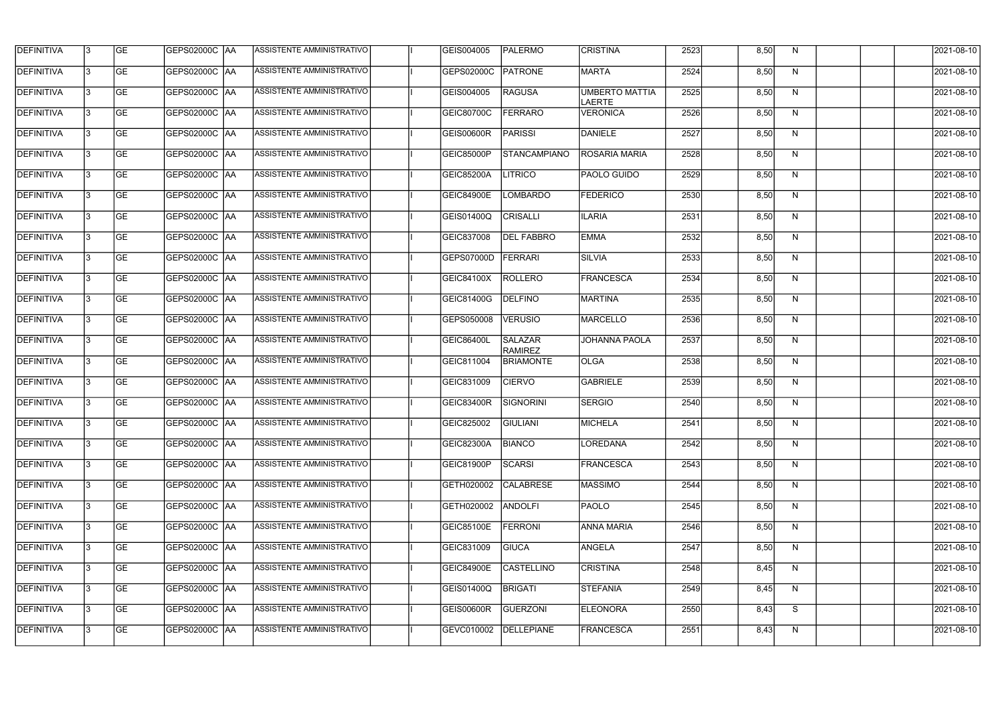| <b>DEFINITIVA</b> | 13  | <b>GE</b> | GEPS02000C  AA       | ASSISTENTE AMMINISTRATIVO        | GEIS004005        | PALERMO                          | <b>CRISTINA</b>                        | 2523 | 8,50 | N.           | 2021-08-10       |
|-------------------|-----|-----------|----------------------|----------------------------------|-------------------|----------------------------------|----------------------------------------|------|------|--------------|------------------|
| <b>DEFINITIVA</b> | l3  | <b>GE</b> |                      | ASSISTENTE AMMINISTRATIVO        | GEPS02000C        | <b>PATRONE</b>                   | <b>MARTA</b>                           | 2524 | 8,50 | N            | 2021-08-10       |
| DEFINITIVA        | l3  | <b>GE</b> | <b>GEPS02000C AA</b> | ASSISTENTE AMMINISTRATIVO        | GEIS004005        | <b>RAGUSA</b>                    | <b>UMBERTO MATTIA</b><br><b>LAERTE</b> | 2525 | 8,50 | N            | 2021-08-10       |
| <b>DEFINITIVA</b> | l3  | <b>GE</b> | <b>GEPS02000C AA</b> | ASSISTENTE AMMINISTRATIVO        | GEIC80700C        | <b>FERRARO</b>                   | <b>VERONICA</b>                        | 2526 | 8,50 | $\mathsf{N}$ | 2021-08-10       |
| <b>DEFINITIVA</b> | l3  | <b>GE</b> | GEPS02000C AA        | ASSISTENTE AMMINISTRATIVO        | <b>GEIS00600R</b> | <b>PARISSI</b>                   | DANIELE                                | 2527 | 8,50 | N            | 2021-08-10       |
| <b>DEFINITIVA</b> | IЗ  | <b>GE</b> | <b>GEPS02000C AA</b> | ASSISTENTE AMMINISTRATIVO        | GEIC85000P        | <b>STANCAMPIANO</b>              | <b>ROSARIA MARIA</b>                   | 2528 | 8,50 | N            | 2021-08-10       |
| <b>DEFINITIVA</b> | l3  | <b>GE</b> | <b>GEPS02000C AA</b> | <b>ASSISTENTE AMMINISTRATIVO</b> | GEIC85200A        | <b>LITRICO</b>                   | PAOLO GUIDO                            | 2529 | 8,50 | N            | 2021-08-10       |
| <b>DEFINITIVA</b> | l3  | <b>GE</b> | GEPS02000C AA        | ASSISTENTE AMMINISTRATIVO        | <b>GEIC84900E</b> | <b>LOMBARDO</b>                  | <b>FEDERICO</b>                        | 2530 | 8,50 | N            | 2021-08-10       |
| <b>DEFINITIVA</b> | l3  | <b>GE</b> | GEPS02000C AA        | ASSISTENTE AMMINISTRATIVO        | <b>GEIS01400Q</b> | <b>CRISALLI</b>                  | <b>ILARIA</b>                          | 2531 | 8,50 | N            | 2021-08-10       |
| <b>DEFINITIVA</b> | l3  | <b>GE</b> | GEPS02000C  AA       | ASSISTENTE AMMINISTRATIVO        | GEIC837008        | <b>DEL FABBRO</b>                | <b>EMMA</b>                            | 2532 | 8,50 | N            | 2021-08-10       |
| DEFINITIVA        | l3  | <b>GE</b> | GEPS02000C AA        | ASSISTENTE AMMINISTRATIVO        | GEPS07000D        | <b>FERRARI</b>                   | <b>SILVIA</b>                          | 2533 | 8,50 | N            | 2021-08-10       |
| <b>DEFINITIVA</b> | 13  | <b>GE</b> | GEPS02000C AA        | ASSISTENTE AMMINISTRATIVO        | GEIC84100X        | <b>ROLLERO</b>                   | FRANCESCA                              | 2534 | 8,50 | N            | 2021-08-10       |
| <b>DEFINITIVA</b> | l3  | <b>GE</b> | GEPS02000C  AA       | ASSISTENTE AMMINISTRATIVO        | GEIC81400G        | DELFINO                          | MARTINA                                | 2535 | 8,50 | N            | 2021-08-10       |
| <b>DEFINITIVA</b> | l3  | <b>GE</b> | GEPS02000C AA        | ASSISTENTE AMMINISTRATIVO        | GEPS050008        | <b>VERUSIO</b>                   | <b>MARCELLO</b>                        | 2536 | 8,50 | N            | 2021-08-10       |
| <b>DEFINITIVA</b> | 13  | <b>GE</b> | GEPS02000C AA        | ASSISTENTE AMMINISTRATIVO        | <b>GEIC86400L</b> | <b>SALAZAR</b><br><b>RAMIREZ</b> | <b>JOHANNA PAOLA</b>                   | 2537 | 8,50 | N            | 2021-08-10       |
| <b>DEFINITIVA</b> | l3  | <b>GE</b> | GEPS02000C  AA       | ASSISTENTE AMMINISTRATIVO        | GEIC811004        | <b>BRIAMONTE</b>                 | OLGA                                   | 2538 | 8,50 | N            | 2021-08-10       |
| <b>DEFINITIVA</b> | l3  | <b>GE</b> | GEPS02000C  AA       | ASSISTENTE AMMINISTRATIVO        | GEIC831009        | <b>CIERVO</b>                    | <b>GABRIELE</b>                        | 2539 | 8,50 | N            | 2021-08-10       |
| <b>DEFINITIVA</b> |     | <b>GE</b> | GEPS02000C  AA       | ASSISTENTE AMMINISTRATIVO        | <b>GEIC83400R</b> | SIGNORINI                        | <b>SERGIO</b>                          | 2540 | 8,50 | N            | 2021-08-10       |
| <b>DEFINITIVA</b> | IЗ  | GE        | GEPS02000C  AA       | <b>ASSISTENTE AMMINISTRATIVO</b> | GEIC825002        | <b>GIULIANI</b>                  | <b>MICHELA</b>                         | 2541 | 8,50 | N,           | 2021-08-10       |
| <b>DEFINITIVA</b> | 13. | <b>GE</b> | GEPS02000C AA        | ASSISTENTE AMMINISTRATIVO        | GEIC82300A        | <b>BIANCO</b>                    | LOREDANA                               | 2542 | 8,50 | N            | 2021-08-10       |
| <b>DEFINITIVA</b> | 13  | <b>GE</b> | <b>GEPS02000C AA</b> | ASSISTENTE AMMINISTRATIVO        | GEIC81900P        | SCARSI                           | FRANCESCA                              | 2543 | 8,50 | N            | 2021-08-10       |
| <b>DEFINITIVA</b> | 13. | <b>GE</b> | GEPS02000C AA        | ASSISTENTE AMMINISTRATIVO        | GETH020002        | <b>CALABRESE</b>                 | MASSIMO                                | 2544 | 8,50 | N            | $2021 - 08 - 10$ |
| <b>DEFINITIVA</b> | 13  | <b>GE</b> | GEPS02000C AA        | ASSISTENTE AMMINISTRATIVO        | GETH020002        | <b>ANDOLFI</b>                   | PAOLO                                  | 2545 | 8,50 | N            | 2021-08-10       |
| <b>DEFINITIVA</b> | 13  | <b>GE</b> | GEPS02000C AA        | ASSISTENTE AMMINISTRATIVO        | <b>GEIC85100E</b> | <b>FERRONI</b>                   | <b>ANNA MARIA</b>                      | 2546 | 8,50 | N            | 2021-08-10       |
| <b>DEFINITIVA</b> | IЗ  | <b>GE</b> | GEPS02000C  AA       | ASSISTENTE AMMINISTRATIVO        | GEIC831009        | <b>GIUCA</b>                     | ANGELA                                 | 2547 | 8,50 | N            | 2021-08-10       |
| DEFINITIVA        | l3  | <b>GE</b> | GEPS02000C  AA       | ASSISTENTE AMMINISTRATIVO        | <b>GEIC84900E</b> | <b>CASTELLINO</b>                | <b>CRISTINA</b>                        | 2548 | 8,45 | N            | 2021-08-10       |
| DEFINITIVA        | l3  | <b>GE</b> | GEPS02000C  AA       | ASSISTENTE AMMINISTRATIVO        | GEIS01400Q        | <b>BRIGATI</b>                   | <b>STEFANIA</b>                        | 2549 | 8,45 | N            | 2021-08-10       |
| <b>DEFINITIVA</b> | l3  | <b>GE</b> | GEPS02000C AA        | ASSISTENTE AMMINISTRATIVO        | GEIS00600R        | <b>GUERZONI</b>                  | <b>ELEONORA</b>                        | 2550 | 8,43 | S            | 2021-08-10       |
| <b>DEFINITIVA</b> | IЗ  | <b>GE</b> | GEPS02000C  AA       | ASSISTENTE AMMINISTRATIVO        | GEVC010002        | DELLEPIANE                       | <b>FRANCESCA</b>                       | 2551 | 8,43 | N            | 2021-08-10       |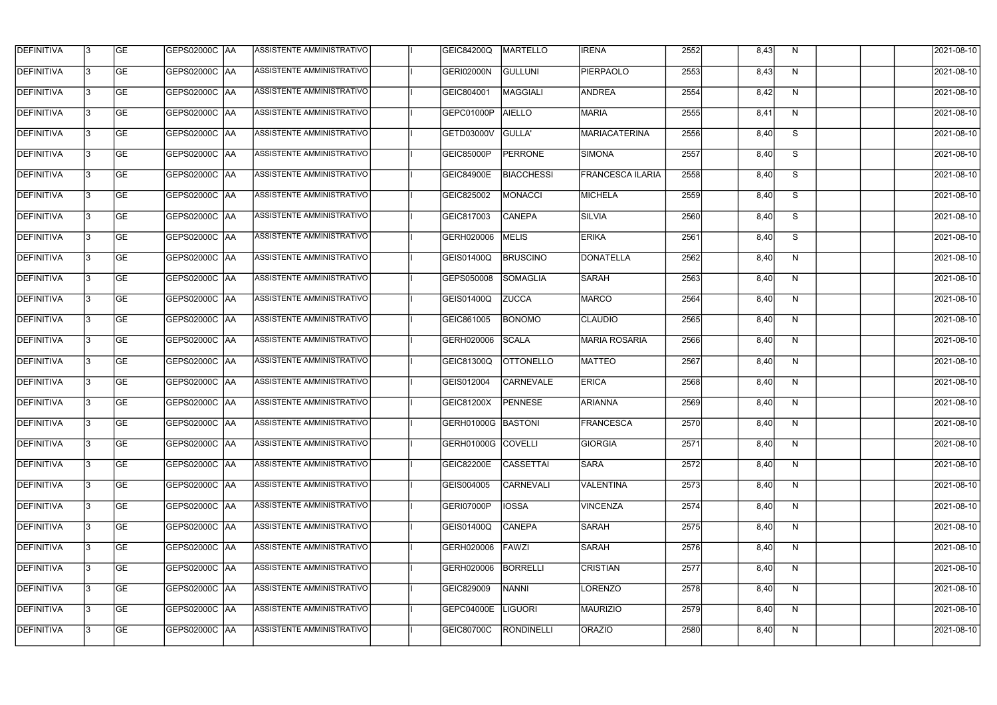| <b>DEFINITIVA</b> | 13 | GE        |                      | ASSISTENTE AMMINISTRATIVO        | <b>GEIC84200Q</b>  | <b>MARTELLO</b>   | <b>IRENA</b>            | 2552 | 8,43 | N, | 2021-08-10       |
|-------------------|----|-----------|----------------------|----------------------------------|--------------------|-------------------|-------------------------|------|------|----|------------------|
| <b>DEFINITIVA</b> | IЗ | GE        | GEPS02000C  AA       | ASSISTENTE AMMINISTRATIVO        | GERI02000N         | GULLUNI           | <b>PIERPAOLO</b>        | 2553 | 8,43 | N  | 2021-08-10       |
| <b>DEFINITIVA</b> | 13 | <b>GE</b> | GEPS02000C AA        | ASSISTENTE AMMINISTRATIVO        | GEIC804001         | <b>MAGGIALI</b>   | ANDREA                  | 2554 | 8,42 | N  | 2021-08-10       |
| <b>DEFINITIVA</b> | l3 | <b>GE</b> | <b>GEPS02000C AA</b> | ASSISTENTE AMMINISTRATIVO        | GEPC01000P         | <b>AIELLO</b>     | <b>MARIA</b>            | 2555 | 8,41 | N  | 2021-08-10       |
| <b>DEFINITIVA</b> | l3 | GE        | GEPS02000C AA        | ASSISTENTE AMMINISTRATIVO        | <b>GETD03000V</b>  | GULLA'            | <b>MARIACATERINA</b>    | 2556 | 8,40 | S  | 2021-08-10       |
| <b>DEFINITIVA</b> | l3 | <b>GE</b> | GEPS02000C AA        | ASSISTENTE AMMINISTRATIVO        | <b>GEIC85000P</b>  | <b>PERRONE</b>    | SIMONA                  | 2557 | 8,40 | S  | 2021-08-10       |
| <b>DEFINITIVA</b> | l3 | <b>GE</b> | GEPS02000C AA        | ASSISTENTE AMMINISTRATIVO        | <b>GEIC84900E</b>  | <b>BIACCHESSI</b> | <b>FRANCESCA ILARIA</b> | 2558 | 8,40 | S  | 2021-08-10       |
| <b>DEFINITIVA</b> | l3 | <b>GE</b> | GEPS02000C AA        | <b>ASSISTENTE AMMINISTRATIVO</b> | GEIC825002         | MONACCI           | MICHELA                 | 2559 | 8,40 | S  | 2021-08-10       |
| <b>DEFINITIVA</b> | l3 | <b>GE</b> | GEPS02000C AA        | ASSISTENTE AMMINISTRATIVO        | GEIC817003         | <b>CANEPA</b>     | <b>SILVIA</b>           | 2560 | 8,40 | S  | 2021-08-10       |
| <b>DEFINITIVA</b> | l3 | GE        | GEPS02000C   AA      | ASSISTENTE AMMINISTRATIVO        | GERH020006         | <b>MELIS</b>      | <b>ERIKA</b>            | 2561 | 8,40 | S  | 2021-08-10       |
| DEFINITIVA        | 13 | GE        | GEPS02000C AA        | ASSISTENTE AMMINISTRATIVO        | GEIS01400Q         | <b>BRUSCINO</b>   | DONATELLA               | 2562 | 8,40 | N  | 2021-08-10       |
| <b>DEFINITIVA</b> | l3 | <b>GE</b> | GEPS02000C AA        | ASSISTENTE AMMINISTRATIVO        | GEPS050008         | SOMAGLIA          | <b>SARAH</b>            | 2563 | 8,40 | N  | 2021-08-10       |
| <b>DEFINITIVA</b> | l3 | GE        | GEPS02000C  AA       | ASSISTENTE AMMINISTRATIVO        | <b>GEIS01400Q</b>  | <b>ZUCCA</b>      | <b>MARCO</b>            | 2564 | 8,40 | N  | 2021-08-10       |
| <b>DEFINITIVA</b> | l3 | <b>GE</b> | GEPS02000C AA        | ASSISTENTE AMMINISTRATIVO        | GEIC861005         | <b>BONOMO</b>     | <b>CLAUDIO</b>          | 2565 | 8,40 | N  | 2021-08-10       |
| <b>DEFINITIVA</b> | l3 | <b>GE</b> | GEPS02000C AA        | ASSISTENTE AMMINISTRATIVO        | GERH020006         | <b>SCALA</b>      | <b>MARIA ROSARIA</b>    | 2566 | 8,40 | N  | 2021-08-10       |
| <b>DEFINITIVA</b> | 13 | GE        | GEPS02000C   AA      | ASSISTENTE AMMINISTRATIVO        | GEIC81300Q         | <b>OTTONELLO</b>  | <b>MATTEO</b>           | 2567 | 8,40 | N  | 2021-08-10       |
| <b>DEFINITIVA</b> | l3 | <b>GE</b> | GEPS02000C   AA      | ASSISTENTE AMMINISTRATIVO        | GEIS012004         | <b>CARNEVALE</b>  | <b>ERICA</b>            | 2568 | 8,40 | N  | 2021-08-10       |
| <b>DEFINITIVA</b> | IЗ | <b>GE</b> | GEPS02000C AA        | ASSISTENTE AMMINISTRATIVO        | GEIC81200X         | <b>PENNESE</b>    | <b>ARIANNA</b>          | 2569 | 8,40 | N  | 2021-08-10       |
| <b>DEFINITIVA</b> | IЗ | GE        | GEPS02000C  AA       | <b>ASSISTENTE AMMINISTRATIVO</b> | GERH01000G BASTONI |                   | <b>FRANCESCA</b>        | 2570 | 8,40 | N, | 2021-08-10       |
| <b>DEFINITIVA</b> | l3 | GE        | <b>GEPS02000C AA</b> | ASSISTENTE AMMINISTRATIVO        | GERH01000G COVELLI |                   | <b>GIORGIA</b>          | 2571 | 8,40 | N  | 2021-08-10       |
| <b>DEFINITIVA</b> | l3 | GE        | GEPS02000C AA        | ASSISTENTE AMMINISTRATIVO        | <b>GEIC82200E</b>  | <b>CASSETTAI</b>  | <b>SARA</b>             | 2572 | 8,40 | N  | 2021-08-10       |
| <b>DEFINITIVA</b> | 13 | <b>GE</b> | GEPS02000C AA        | ASSISTENTE AMMINISTRATIVO        | GEIS004005         | <b>CARNEVALI</b>  | VALENTINA               | 2573 | 8,40 | N  | $2021 - 08 - 10$ |
| <b>DEFINITIVA</b> | l3 | <b>GE</b> | GEPS02000C AA        | ASSISTENTE AMMINISTRATIVO        | GERI07000P         | <b>IOSSA</b>      | <b>VINCENZA</b>         | 2574 | 8,40 | N  | 2021-08-10       |
| <b>DEFINITIVA</b> | 13 | <b>GE</b> | GEPS02000C AA        | ASSISTENTE AMMINISTRATIVO        | GEIS01400Q         | <b>CANEPA</b>     | <b>SARAH</b>            | 2575 | 8,40 | N  | 2021-08-10       |
| <b>DEFINITIVA</b> | l3 | <b>GE</b> | GEPS02000C  AA       | ASSISTENTE AMMINISTRATIVO        | GERH020006         | FAWZI             | <b>SARAH</b>            | 2576 | 8,40 | N  | 2021-08-10       |
| <b>DEFINITIVA</b> | l3 | <b>GE</b> | GEPS02000C  AA       | ASSISTENTE AMMINISTRATIVO        | GERH020006         | <b>BORRELLI</b>   | <b>CRISTIAN</b>         | 2577 | 8,40 | N  | 2021-08-10       |
| <b>DEFINITIVA</b> | l3 | GE        | GEPS02000C  AA       | ASSISTENTE AMMINISTRATIVO        | GEIC829009         | <b>NANNI</b>      | LORENZO                 | 2578 | 8,40 | N  | 2021-08-10       |
| <b>DEFINITIVA</b> | l3 | GE        | GEPS02000C AA        | ASSISTENTE AMMINISTRATIVO        | <b>GEPC04000E</b>  | <b>LIGUORI</b>    | <b>MAURIZIO</b>         | 2579 | 8,40 | N  | 2021-08-10       |
| <b>DEFINITIVA</b> | l3 | GE        | GEPS02000C  AA       | ASSISTENTE AMMINISTRATIVO        | GEIC80700C         | RONDINELLI        | ORAZIO                  | 2580 | 8,40 | N  | 2021-08-10       |
|                   |    |           |                      |                                  |                    |                   |                         |      |      |    |                  |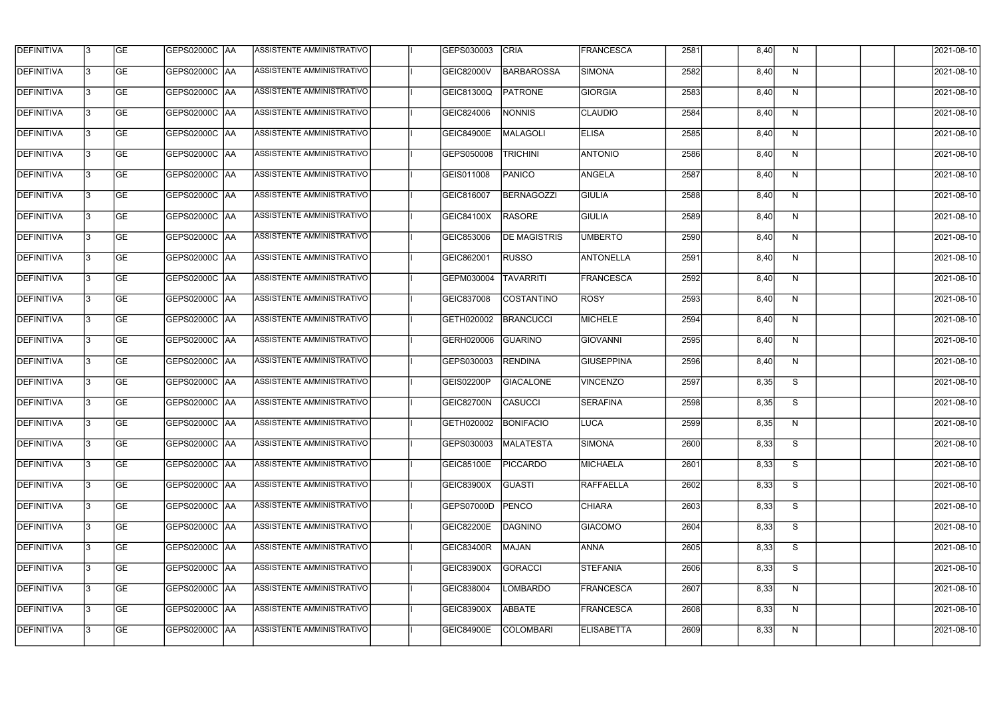| <b>DEFINITIVA</b> | 13  | <b>GE</b> | GEPS02000C AA        | ASSISTENTE AMMINISTRATIVO        | GEPS030003           | <b>CRIA</b>         | <b>FRANCESCA</b>  | 2581 | 8,40 | N,           | 2021-08-10 |
|-------------------|-----|-----------|----------------------|----------------------------------|----------------------|---------------------|-------------------|------|------|--------------|------------|
| <b>DEFINITIVA</b> | l3  | <b>GE</b> | GEPS02000C AA        | ASSISTENTE AMMINISTRATIVO        | <b>GEIC82000V</b>    | <b>BARBAROSSA</b>   | <b>SIMONA</b>     | 2582 | 8,40 | N            | 2021-08-10 |
| <b>DEFINITIVA</b> | l3  | <b>GE</b> | GEPS02000C AA        | ASSISTENTE AMMINISTRATIVO        | GEIC81300Q           | <b>PATRONE</b>      | <b>GIORGIA</b>    | 2583 | 8,40 | N            | 2021-08-10 |
| <b>DEFINITIVA</b> | l3  | <b>GE</b> | <b>GEPS02000C AA</b> | ASSISTENTE AMMINISTRATIVO        | GEIC824006           | <b>NONNIS</b>       | <b>CLAUDIO</b>    | 2584 | 8,40 | $\mathsf{N}$ | 2021-08-10 |
| <b>DEFINITIVA</b> | l3  | <b>GE</b> | <b>GEPS02000C AA</b> | ASSISTENTE AMMINISTRATIVO        | <b>GEIC84900E</b>    | <b>MALAGOLI</b>     | <b>ELISA</b>      | 2585 | 8,40 | N            | 2021-08-10 |
| <b>DEFINITIVA</b> | l3  | <b>GE</b> | <b>GEPS02000C AA</b> | <b>ASSISTENTE AMMINISTRATIVO</b> | GEPS050008           | <b>TRICHINI</b>     | <b>ANTONIO</b>    | 2586 | 8,40 | N            | 2021-08-10 |
| <b>DEFINITIVA</b> | l3  | <b>GE</b> | GEPS02000C AA        | ASSISTENTE AMMINISTRATIVO        | GEIS011008           | <b>PANICO</b>       | <b>ANGELA</b>     | 2587 | 8,40 | N            | 2021-08-10 |
| <b>DEFINITIVA</b> | l3  | <b>GE</b> | <b>GEPS02000C AA</b> | ASSISTENTE AMMINISTRATIVO        | GEIC816007           | <b>BERNAGOZZI</b>   | <b>GIULIA</b>     | 2588 | 8,40 | N            | 2021-08-10 |
| <b>DEFINITIVA</b> |     | <b>GE</b> |                      | ASSISTENTE AMMINISTRATIVO        | <b>GEIC84100X</b>    | <b>RASORE</b>       | <b>GIULIA</b>     | 2589 | 8,40 | N            | 2021-08-10 |
| <b>DEFINITIVA</b> | l3  | <b>GE</b> | GEPS02000C  AA       | ASSISTENTE AMMINISTRATIVO        | GEIC853006           | <b>DE MAGISTRIS</b> | <b>UMBERTO</b>    | 2590 | 8,40 | N            | 2021-08-10 |
| <b>DEFINITIVA</b> | 13  | <b>GE</b> | GEPS02000C AA        | ASSISTENTE AMMINISTRATIVO        | GEIC862001           | <b>RUSSO</b>        | <b>ANTONELLA</b>  | 2591 | 8,40 | N            | 2021-08-10 |
| <b>DEFINITIVA</b> | l3  | <b>GE</b> |                      | ASSISTENTE AMMINISTRATIVO        | GEPM030004           | <b>TAVARRITI</b>    | FRANCESCA         | 2592 | 8,40 | $\mathsf{N}$ | 2021-08-10 |
| <b>DEFINITIVA</b> | l3  | <b>GE</b> | GEPS02000C AA        | <b>ASSISTENTE AMMINISTRATIVO</b> | GEIC837008           | COSTANTINO          | <b>ROSY</b>       | 2593 | 8,40 | N            | 2021-08-10 |
| <b>DEFINITIVA</b> | l3  | <b>GE</b> | GEPS02000C  AA       | ASSISTENTE AMMINISTRATIVO        | GETH020002           | <b>BRANCUCCI</b>    | <b>MICHELE</b>    | 2594 | 8,40 | N            | 2021-08-10 |
| <b>DEFINITIVA</b> | l3  | <b>GE</b> |                      | ASSISTENTE AMMINISTRATIVO        | GERH020006           | <b>GUARINO</b>      | GIOVANNI          | 2595 | 8,40 | N            | 2021-08-10 |
| <b>DEFINITIVA</b> | IЗ  | <b>GE</b> |                      | ASSISTENTE AMMINISTRATIVO        | GEPS030003           | <b>RENDINA</b>      | <b>GIUSEPPINA</b> | 2596 | 8,40 | N            | 2021-08-10 |
| <b>DEFINITIVA</b> | I3  | <b>GE</b> | GEPS02000C  AA       | ASSISTENTE AMMINISTRATIVO        | GEIS02200P           | <b>GIACALONE</b>    | <b>VINCENZO</b>   | 2597 | 8,35 | S            | 2021-08-10 |
| DEFINITIVA        |     | <b>GE</b> |                      | ASSISTENTE AMMINISTRATIVO        | GEIC82700N           | CASUCCI             | <b>SERAFINA</b>   | 2598 | 8,35 | S            | 2021-08-10 |
| <b>DEFINITIVA</b> | 13  | <b>GE</b> | GEPS02000C  AA       | ASSISTENTE AMMINISTRATIVO        | GETH020002 BONIFACIO |                     | <b>LUCA</b>       | 2599 | 8,35 | N            | 2021-08-10 |
| <b>DEFINITIVA</b> | 13  | <b>GE</b> | <b>GEPS02000C AA</b> | ASSISTENTE AMMINISTRATIVO        | GEPS030003           | <b>MALATESTA</b>    | <b>SIMONA</b>     | 2600 | 8,33 | S            | 2021-08-10 |
| <b>DEFINITIVA</b> | 13  | <b>GE</b> | GEPS02000C  AA       | ASSISTENTE AMMINISTRATIVO        | <b>GEIC85100E</b>    | <b>PICCARDO</b>     | MICHAELA          | 2601 | 8,33 | S            | 2021-08-10 |
| <b>DEFINITIVA</b> | 13. | <b>GE</b> | <b>GEPS02000C AA</b> | ASSISTENTE AMMINISTRATIVO        | GEIC83900X           | GUASTI              | <b>RAFFAELLA</b>  | 2602 | 8,33 | S            | 2021-08-10 |
| <b>DEFINITIVA</b> | 13  | <b>GE</b> | GEPS02000C AA        | ASSISTENTE AMMINISTRATIVO        | GEPS07000D           | PENCO               | <b>CHIARA</b>     | 2603 | 8,33 | S            | 2021-08-10 |
| <b>DEFINITIVA</b> | 13  | <b>GE</b> | GEPS02000C  AA       | ASSISTENTE AMMINISTRATIVO        | GEIC82200E           | DAGNINO             | <b>GIACOMO</b>    | 2604 | 8,33 | S            | 2021-08-10 |
| <b>DEFINITIVA</b> | IЗ  | <b>GE</b> | GEPS02000C  AA       | ASSISTENTE AMMINISTRATIVO        | GEIC83400R           | <b>MAJAN</b>        | <b>ANNA</b>       | 2605 | 8,33 | S            | 2021-08-10 |
| DEFINITIVA        | IЗ  | <b>GE</b> | GEPS02000C  AA       | ASSISTENTE AMMINISTRATIVO        | GEIC83900X           | <b>GORACCI</b>      | <b>STEFANIA</b>   | 2606 | 8,33 | S            | 2021-08-10 |
| <b>DEFINITIVA</b> | l3  | <b>GE</b> | GEPS02000C  AA       | ASSISTENTE AMMINISTRATIVO        | GEIC838004           | <b>LOMBARDO</b>     | FRANCESCA         | 2607 | 8,33 | N            | 2021-08-10 |
| <b>DEFINITIVA</b> | 13. | <b>GE</b> | GEPS02000C  AA       | ASSISTENTE AMMINISTRATIVO        | GEIC83900X           | ABBATE              | <b>FRANCESCA</b>  | 2608 | 8,33 | N            | 2021-08-10 |
| <b>DEFINITIVA</b> | IЗ  | <b>GE</b> | GEPS02000C  AA       | ASSISTENTE AMMINISTRATIVO        | <b>GEIC84900E</b>    | <b>COLOMBARI</b>    | <b>ELISABETTA</b> | 2609 | 8,33 | N            | 2021-08-10 |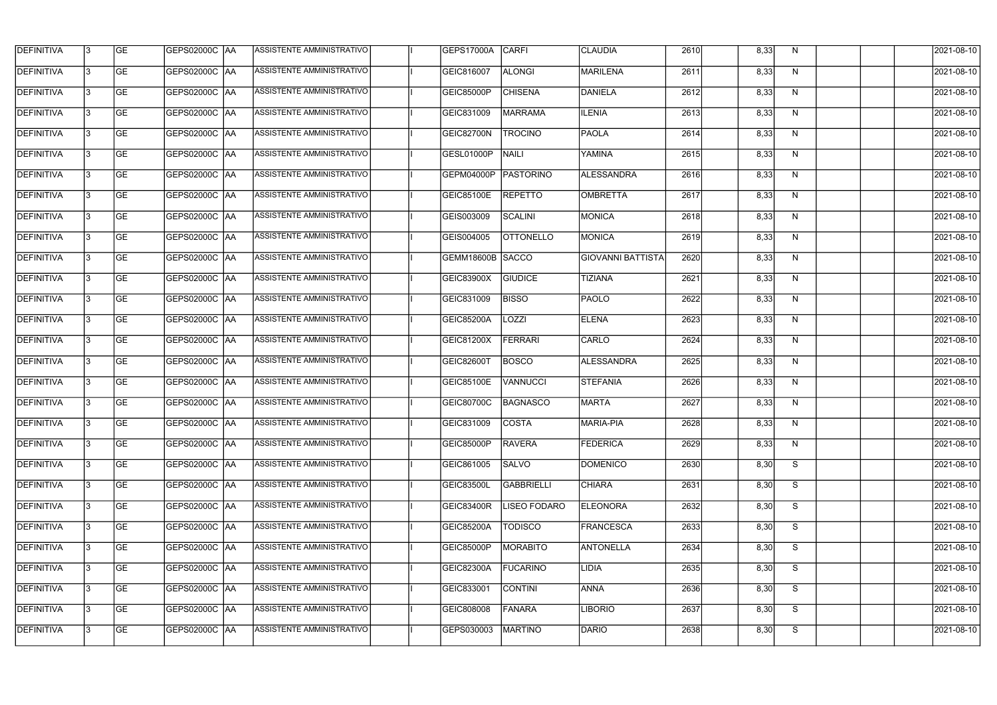| <b>DEFINITIVA</b> | 13 | GE                       | <b>GEPS02000C AA</b> | ASSISTENTE AMMINISTRATIVO        | GEPS17000A        | <b>CARFI</b>        | <b>CLAUDIA</b>           | 2610 | 8,33 | N            | 2021-08-10          |
|-------------------|----|--------------------------|----------------------|----------------------------------|-------------------|---------------------|--------------------------|------|------|--------------|---------------------|
| <b>DEFINITIVA</b> | IЗ | $\overline{\mathsf{GE}}$ | GEPS02000C AA        | ASSISTENTE AMMINISTRATIVO        | GEIC816007        | <b>ALONGI</b>       | MARILENA                 | 2611 | 8,33 | N            | 2021-08-10          |
| <b>DEFINITIVA</b> | l3 | GE                       | GEPS02000C AA        | ASSISTENTE AMMINISTRATIVO        | <b>GEIC85000P</b> | <b>CHISENA</b>      | DANIELA                  | 2612 | 8,33 | N            | 2021-08-10          |
| <b>DEFINITIVA</b> | l3 | GE                       | GEPS02000C AA        | ASSISTENTE AMMINISTRATIVO        | GEIC831009        | MARRAMA             | <b>ILENIA</b>            | 2613 | 8,33 | $\mathsf{N}$ | 2021-08-10          |
| <b>DEFINITIVA</b> | l3 | GE                       | GEPS02000C AA        | ASSISTENTE AMMINISTRATIVO        | GEIC82700N        | <b>TROCINO</b>      | PAOLA                    | 2614 | 8,33 | N            | 2021-08-10          |
| <b>DEFINITIVA</b> | IЗ | <b>GE</b>                | GEPS02000C AA        | <b>ASSISTENTE AMMINISTRATIVO</b> | GESL01000P        | <b>NAILI</b>        | <b>YAMINA</b>            | 2615 | 8,33 | N            | 2021-08-10          |
| <b>DEFINITIVA</b> | l3 | <b>GE</b>                | GEPS02000C AA        | ASSISTENTE AMMINISTRATIVO        | GEPM04000P        | PASTORINO           | ALESSANDRA               | 2616 | 8,33 | N            | 2021-08-10          |
| <b>DEFINITIVA</b> | l3 | <b>GE</b>                | GEPS02000C   AA      | ASSISTENTE AMMINISTRATIVO        | GEIC85100E        | <b>REPETTO</b>      | OMBRETTA                 | 2617 | 8,33 | N            | 2021-08-10          |
| <b>DEFINITIVA</b> | IЗ | <b>GE</b>                | GEPS02000C   AA      | ASSISTENTE AMMINISTRATIVO        | GEIS003009        | SCALINI             | MONICA                   | 2618 | 8,33 | N            | 2021-08-10          |
| <b>DEFINITIVA</b> | l3 | GE                       | GEPS02000C AA        | ASSISTENTE AMMINISTRATIVO        | GEIS004005        | <b>OTTONELLO</b>    | <b>MONICA</b>            | 2619 | 8,33 | N            | 2021-08-10          |
| <b>DEFINITIVA</b> | l3 | GE                       | GEPS02000C AA        | ASSISTENTE AMMINISTRATIVO        | GEMM18600B SACCO  |                     | <b>GIOVANNI BATTISTA</b> | 2620 | 8,33 | N            | 2021-08-10          |
| <b>DEFINITIVA</b> | l3 | GE                       | GEPS02000C   AA      | ASSISTENTE AMMINISTRATIVO        | <b>GEIC83900X</b> | <b>GIUDICE</b>      | <b>TIZIANA</b>           | 2621 | 8,33 | N            | 2021-08-10          |
| <b>DEFINITIVA</b> | l3 | <b>GE</b>                | GEPS02000C AA        | ASSISTENTE AMMINISTRATIVO        | GEIC831009        | <b>BISSO</b>        | <b>PAOLO</b>             | 2622 | 8,33 | N            | 2021-08-10          |
| <b>DEFINITIVA</b> | IЗ | <b>GE</b>                | GEPS02000C AA        | ASSISTENTE AMMINISTRATIVO        | <b>GEIC85200A</b> | LOZZI               | <b>ELENA</b>             | 2623 | 8,33 | N            | 2021-08-10          |
| <b>DEFINITIVA</b> | 13 | GE                       | GEPS02000C AA        | ASSISTENTE AMMINISTRATIVO        | GEIC81200X        | FERRARI             | CARLO                    | 2624 | 8,33 | N            | 2021-08-10          |
| <b>DEFINITIVA</b> | l3 | <b>GE</b>                | GEPS02000C  AA       | ASSISTENTE AMMINISTRATIVO        | <b>GEIC82600T</b> | <b>BOSCO</b>        | ALESSANDRA               | 2625 | 8,33 | N            | 2021-08-10          |
| <b>DEFINITIVA</b> | IЗ | GE                       | GEPS02000C  AA       | ASSISTENTE AMMINISTRATIVO        | <b>GEIC85100E</b> | <b>VANNUCCI</b>     | <b>STEFANIA</b>          | 2626 | 8,33 | N            | 2021-08-10          |
| <b>DEFINITIVA</b> | IЗ | GE                       | GEPS02000C   AA      | ASSISTENTE AMMINISTRATIVO        | <b>GEIC80700C</b> | BAGNASCO            | <b>MARTA</b>             | 2627 | 8,33 | N            | 2021-08-10          |
| DEFINITIVA        | 13 | <b>GE</b>                | GEPS02000C  AA       | ASSISTENTE AMMINISTRATIVO        | GEIC831009        | <b>COSTA</b>        | <b>MARIA-PIA</b>         | 2628 | 8,33 | N            | 2021-08-10          |
| <b>DEFINITIVA</b> | l3 | GE                       | <b>GEPS02000C AA</b> | ASSISTENTE AMMINISTRATIVO        | <b>GEIC85000P</b> | RAVERA              | <b>FEDERICA</b>          | 2629 | 8,33 | N            | 2021-08-10          |
| <b>DEFINITIVA</b> | 13 | GE                       | GEPS02000C  AA       | ASSISTENTE AMMINISTRATIVO        | GEIC861005        | <b>SALVO</b>        | <b>DOMENICO</b>          | 2630 | 8,30 | S            | 2021-08-10          |
| <b>DEFINITIVA</b> | IЗ | GE                       | GEPS02000C AA        | ASSISTENTE AMMINISTRATIVO        | <b>GEIC83500L</b> | <b>GABBRIELLI</b>   | <b>CHIARA</b>            | 2631 | 8,30 | S            | 2021-08-10          |
| <b>DEFINITIVA</b> | 13 | <b>GE</b>                | GEPS02000C AA        | ASSISTENTE AMMINISTRATIVO        | GEIC83400R        | <b>LISEO FODARO</b> | <b>ELEONORA</b>          | 2632 | 8,30 | S            | 2021-08-10          |
| <b>DEFINITIVA</b> | 13 | <b>GE</b>                | GEPS02000C  AA       | ASSISTENTE AMMINISTRATIVO        | GEIC85200A        | <b>TODISCO</b>      | <b>FRANCESCA</b>         | 2633 | 8,30 | S            | 2021-08-10          |
| <b>DEFINITIVA</b> | l3 | <b>GE</b>                | GEPS02000C  AA       | ASSISTENTE AMMINISTRATIVO        | <b>GEIC85000P</b> | MORABITO            | <b>ANTONELLA</b>         | 2634 | 8,30 | S            | 2021-08-10          |
| <b>DEFINITIVA</b> | l3 | <b>GE</b>                | GEPS02000C   AA      | ASSISTENTE AMMINISTRATIVO        | GEIC82300A        | <b>FUCARINO</b>     | <b>LIDIA</b>             | 2635 | 8,30 | S            | 2021-08-10          |
| <b>DEFINITIVA</b> | 13 | <b>GE</b>                | GEPS02000C AA        | ASSISTENTE AMMINISTRATIVO        | GEIC833001        | CONTINI             | <b>ANNA</b>              | 2636 | 8,30 | S            | 2021-08-10          |
| <b>DEFINITIVA</b> | l3 | GE                       | GEPS02000C AA        | ASSISTENTE AMMINISTRATIVO        | GEIC808008        | <b>FANARA</b>       | <b>LIBORIO</b>           | 2637 | 8,30 | S            | 2021-08-10          |
| DEFINITIVA        | l3 | GE                       | GEPS02000C  AA       | ASSISTENTE AMMINISTRATIVO        | GEPS030003        | <b>MARTINO</b>      | DARIO                    | 2638 | 8,30 | S            | $\sqrt{2021-08-10}$ |
|                   |    |                          |                      |                                  |                   |                     |                          |      |      |              |                     |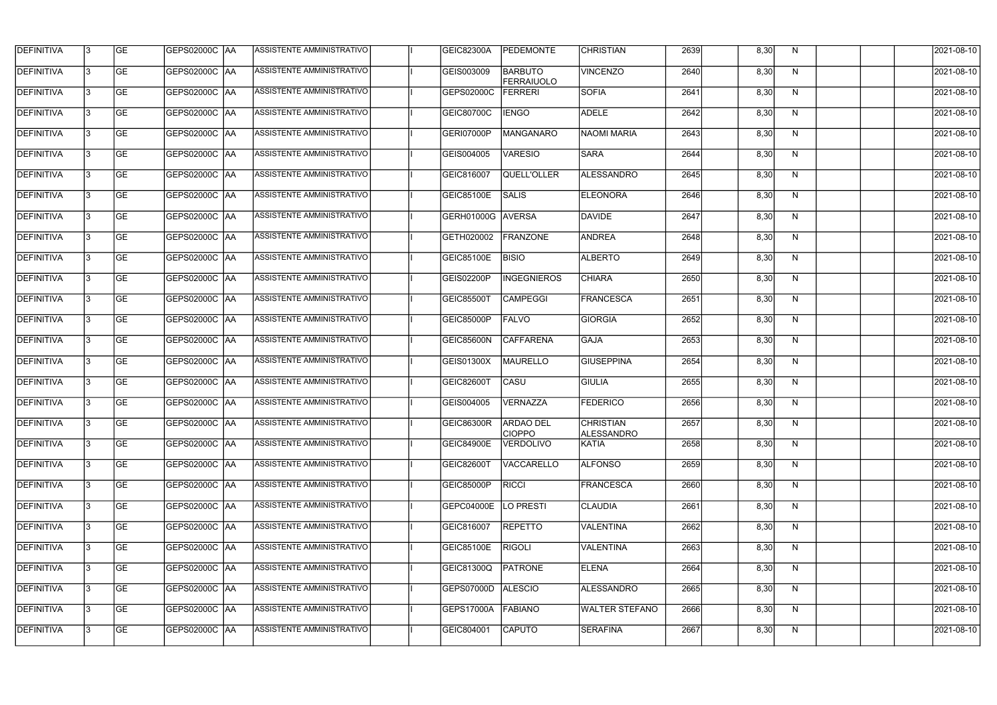| <b>DEFINITIVA</b> | l3 | GE                       | GEPS02000C AA        | ASSISTENTE AMMINISTRATIVO        | GEIC82300A        | <b>PEDEMONTE</b>                    | <b>CHRISTIAN</b>                      | 2639 | 8,30 | N | 2021-08-10          |
|-------------------|----|--------------------------|----------------------|----------------------------------|-------------------|-------------------------------------|---------------------------------------|------|------|---|---------------------|
| <b>DEFINITIVA</b> | IЗ | $\overline{\mathsf{GE}}$ | GEPS02000C AA        | ASSISTENTE AMMINISTRATIVO        | GEIS003009        | <b>BARBUTO</b><br><b>FERRAIUOLO</b> | <b>VINCENZO</b>                       | 2640 | 8,30 | N | 2021-08-10          |
| <b>DEFINITIVA</b> | l3 | GE                       | GEPS02000C AA        | <b>ASSISTENTE AMMINISTRATIVO</b> | GEPS02000C        | FERRERI                             | <b>SOFIA</b>                          | 2641 | 8,30 | N | 2021-08-10          |
| <b>DEFINITIVA</b> | l3 | GE                       | GEPS02000C   AA      | ASSISTENTE AMMINISTRATIVO        | GEIC80700C        | <b>IENGO</b>                        | <b>ADELE</b>                          | 2642 | 8,30 | N | 2021-08-10          |
| <b>DEFINITIVA</b> | l3 | GE                       | GEPS02000C AA        | ASSISTENTE AMMINISTRATIVO        | GERI07000P        | MANGANARO                           | NAOMI MARIA                           | 2643 | 8,30 | N | 2021-08-10          |
| <b>DEFINITIVA</b> | IЗ | <b>GE</b>                | GEPS02000C AA        | ASSISTENTE AMMINISTRATIVO        | GEIS004005        | <b>VARESIO</b>                      | <b>SARA</b>                           | 2644 | 8,30 | N | 2021-08-10          |
| <b>DEFINITIVA</b> | l3 | <b>GE</b>                | GEPS02000C AA        | ASSISTENTE AMMINISTRATIVO        | GEIC816007        | QUELL'OLLER                         | ALESSANDRO                            | 2645 | 8,30 | N | 2021-08-10          |
| <b>DEFINITIVA</b> | l3 | <b>GE</b>                | GEPS02000C   AA      | ASSISTENTE AMMINISTRATIVO        | GEIC85100E        | SALIS                               | <b>ELEONORA</b>                       | 2646 | 8,30 | N | 2021-08-10          |
| <b>DEFINITIVA</b> | l3 | <b>GE</b>                | GEPS02000C   AA      | ASSISTENTE AMMINISTRATIVO        | GERH01000G AVERSA |                                     | DAVIDE                                | 2647 | 8,30 | N | 2021-08-10          |
| <b>DEFINITIVA</b> | l3 | GE                       | GEPS02000C   AA      | ASSISTENTE AMMINISTRATIVO        | GETH020002        | <b>FRANZONE</b>                     | <b>ANDREA</b>                         | 2648 | 8,30 | N | 2021-08-10          |
| <b>DEFINITIVA</b> | l3 | GE                       | GEPS02000C   AA      | ASSISTENTE AMMINISTRATIVO        | GEIC85100E        | <b>BISIO</b>                        | <b>ALBERTO</b>                        | 2649 | 8,30 | N | 2021-08-10          |
| <b>DEFINITIVA</b> | l3 | GE                       | GEPS02000C AA        | ASSISTENTE AMMINISTRATIVO        | GEIS02200P        | <b>INGEGNIEROS</b>                  | <b>CHIARA</b>                         | 2650 | 8,30 | N | 2021-08-10          |
| <b>DEFINITIVA</b> | l3 | <b>GE</b>                | GEPS02000C   AA      | ASSISTENTE AMMINISTRATIVO        | <b>GEIC85500T</b> | <b>CAMPEGGI</b>                     | FRANCESCA                             | 2651 | 8,30 | N | 2021-08-10          |
| <b>DEFINITIVA</b> | IЗ | <b>GE</b>                | GEPS02000C AA        | ASSISTENTE AMMINISTRATIVO        | <b>GEIC85000P</b> | <b>FALVO</b>                        | <b>GIORGIA</b>                        | 2652 | 8,30 | N | 2021-08-10          |
| <b>DEFINITIVA</b> | IЗ | <b>GE</b>                | GEPS02000C AA        | ASSISTENTE AMMINISTRATIVO        | GEIC85600N        | <b>CAFFARENA</b>                    | <b>GAJA</b>                           | 2653 | 8,30 | N | 2021-08-10          |
| <b>DEFINITIVA</b> | l3 | <b>GE</b>                | GEPS02000C  AA       | ASSISTENTE AMMINISTRATIVO        | GEIS01300X        | MAURELLO                            | <b>GIUSEPPINA</b>                     | 2654 | 8,30 | N | 2021-08-10          |
| <b>DEFINITIVA</b> | IЗ | GE                       | GEPS02000C  AA       | ASSISTENTE AMMINISTRATIVO        | <b>GEIC82600T</b> | CASU                                | <b>GIULIA</b>                         | 2655 | 8,30 | N | 2021-08-10          |
| <b>DEFINITIVA</b> | l3 | GE                       | GEPS02000C   AA      | ASSISTENTE AMMINISTRATIVO        | GEIS004005        | <b>VERNAZZA</b>                     | <b>FEDERICO</b>                       | 2656 | 8,30 | N | 2021-08-10          |
| DEFINITIVA        | 13 | <b>GE</b>                | GEPS02000C  AA       | ASSISTENTE AMMINISTRATIVO        | <b>GEIC86300R</b> | ARDAO DEL<br><b>CIOPPO</b>          | <b>CHRISTIAN</b><br><b>ALESSANDRO</b> | 2657 | 8,30 | N | 2021-08-10          |
| <b>DEFINITIVA</b> | l3 | GE                       | GEPS02000C AA        | <b>ASSISTENTE AMMINISTRATIVO</b> | <b>GEIC84900E</b> | VERDOLIVO                           | KATIA                                 | 2658 | 8,30 | N | 2021-08-10          |
| <b>DEFINITIVA</b> | 13 | GE                       | GEPS02000C  AA       | ASSISTENTE AMMINISTRATIVO        | <b>GEIC82600T</b> | <b>VACCARELLO</b>                   | <b>ALFONSO</b>                        | 2659 | 8,30 | N | 2021-08-10          |
| <b>DEFINITIVA</b> | l3 | GE                       | GEPS02000C AA        | ASSISTENTE AMMINISTRATIVO        | <b>GEIC85000P</b> | <b>RICCI</b>                        | <b>FRANCESCA</b>                      | 2660 | 8,30 | N | 2021-08-10          |
| <b>DEFINITIVA</b> | 13 | <b>GE</b>                | GEPS02000C AA        | ASSISTENTE AMMINISTRATIVO        | <b>GEPC04000E</b> | LO PRESTI                           | <b>CLAUDIA</b>                        | 2661 | 8,30 | N | 2021-08-10          |
| <b>DEFINITIVA</b> | l3 | <b>GE</b>                | <b>GEPS02000C AA</b> | ASSISTENTE AMMINISTRATIVO        | GEIC816007        | <b>REPETTO</b>                      | VALENTINA                             | 2662 | 8,30 | N | 2021-08-10          |
| <b>DEFINITIVA</b> | l3 | <b>GE</b>                | GEPS02000C  AA       | ASSISTENTE AMMINISTRATIVO        | <b>GEIC85100E</b> | <b>RIGOLI</b>                       | VALENTINA                             | 2663 | 8,30 | N | 2021-08-10          |
| <b>DEFINITIVA</b> | l3 | <b>GE</b>                | GEPS02000C   AA      | ASSISTENTE AMMINISTRATIVO        | <b>GEIC81300Q</b> | <b>PATRONE</b>                      | <b>ELENA</b>                          | 2664 | 8,30 | N | 2021-08-10          |
| <b>DEFINITIVA</b> | l3 | <b>GE</b>                | GEPS02000C AA        | ASSISTENTE AMMINISTRATIVO        | GEPS07000D        | <b>ALESCIO</b>                      | ALESSANDRO                            | 2665 | 8,30 | N | 2021-08-10          |
| <b>DEFINITIVA</b> | 13 | GE                       | GEPS02000C AA        | ASSISTENTE AMMINISTRATIVO        | GEPS17000A        | FABIANO                             | <b>WALTER STEFANO</b>                 | 2666 | 8,30 | N | 2021-08-10          |
| DEFINITIVA        | l3 | GE                       | GEPS02000C  AA       | ASSISTENTE AMMINISTRATIVO        | GEIC804001        | <b>CAPUTO</b>                       | <b>SERAFINA</b>                       | 2667 | 8,30 | N | $\sqrt{2021-08-10}$ |
|                   |    |                          |                      |                                  |                   |                                     |                                       |      |      |   |                     |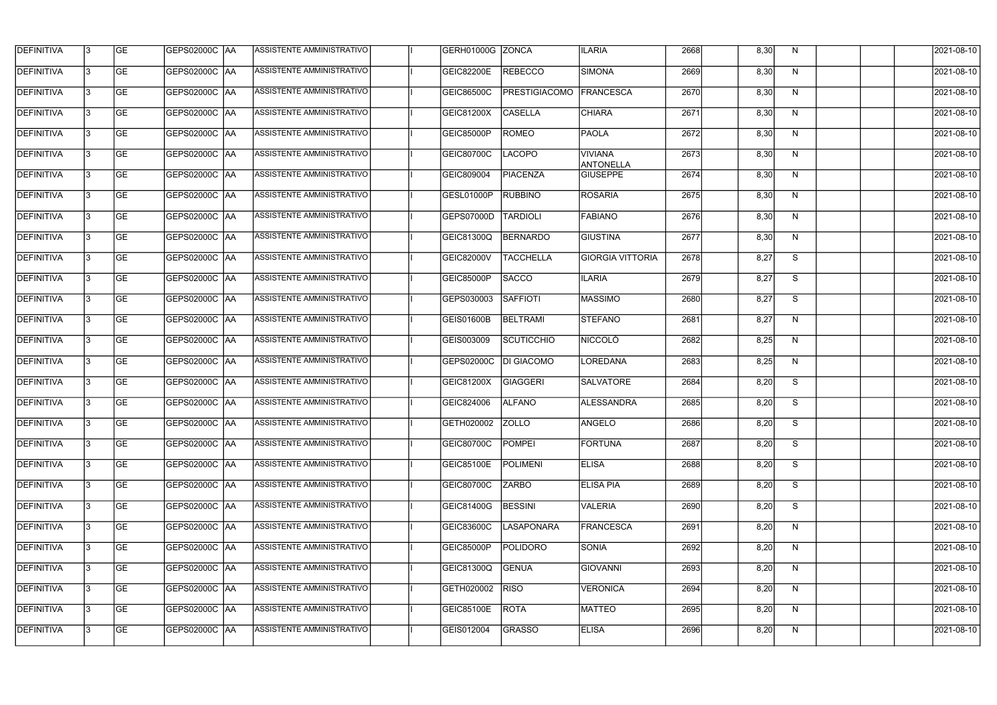| <b>DEFINITIVA</b> | 13 | GE        | GEPS02000C  AA       | ASSISTENTE AMMINISTRATIVO        | GERH01000G ZONCA  |                         | <b>ILARIA</b>                      | 2668 | 8,30 | N. | 2021-08-10       |
|-------------------|----|-----------|----------------------|----------------------------------|-------------------|-------------------------|------------------------------------|------|------|----|------------------|
| <b>DEFINITIVA</b> | IЗ | GE        | GEPS02000C  AA       | ASSISTENTE AMMINISTRATIVO        | <b>GEIC82200E</b> | <b>REBECCO</b>          | <b>SIMONA</b>                      | 2669 | 8,30 | N  | 2021-08-10       |
| <b>DEFINITIVA</b> | 13 | GE        | GEPS02000C  AA       | ASSISTENTE AMMINISTRATIVO        | <b>GEIC86500C</b> | PRESTIGIACOMO FRANCESCA |                                    | 2670 | 8,30 | N  | 2021-08-10       |
| <b>DEFINITIVA</b> | l3 | <b>GE</b> | <b>GEPS02000C AA</b> | ASSISTENTE AMMINISTRATIVO        | GEIC81200X        | <b>CASELLA</b>          | <b>CHIARA</b>                      | 2671 | 8,30 | N  | 2021-08-10       |
| <b>DEFINITIVA</b> | l3 | GE        | GEPS02000C AA        | ASSISTENTE AMMINISTRATIVO        | <b>GEIC85000P</b> | <b>ROMEO</b>            | <b>PAOLA</b>                       | 2672 | 8,30 | N  | 2021-08-10       |
| <b>DEFINITIVA</b> | l3 | <b>GE</b> | GEPS02000C AA        | <b>ASSISTENTE AMMINISTRATIVO</b> | GEIC80700C        | <b>LACOPO</b>           | <b>VIVIANA</b><br><b>ANTONELLA</b> | 2673 | 8,30 | N  | 2021-08-10       |
| <b>DEFINITIVA</b> | l3 | <b>GE</b> | GEPS02000C AA        | ASSISTENTE AMMINISTRATIVO        | GEIC809004        | <b>PIACENZA</b>         | <b>GIUSEPPE</b>                    | 2674 | 8,30 | N  | 2021-08-10       |
| <b>DEFINITIVA</b> | l3 | <b>GE</b> | GEPS02000C AA        | <b>ASSISTENTE AMMINISTRATIVO</b> | GESL01000P        | <b>RUBBINO</b>          | <b>ROSARIA</b>                     | 2675 | 8,30 | N  | 2021-08-10       |
| <b>DEFINITIVA</b> | IЗ | <b>GE</b> | GEPS02000C AA        | ASSISTENTE AMMINISTRATIVO        | <b>GEPS07000D</b> | <b>TARDIOLI</b>         | <b>FABIANO</b>                     | 2676 | 8,30 | N  | 2021-08-10       |
| <b>DEFINITIVA</b> | l3 | GE        | GEPS02000C   AA      | ASSISTENTE AMMINISTRATIVO        | GEIC81300Q        | <b>BERNARDO</b>         | <b>GIUSTINA</b>                    | 2677 | 8,30 | N  | 2021-08-10       |
| DEFINITIVA        | 13 | GE        | GEPS02000C AA        | ASSISTENTE AMMINISTRATIVO        | GEIC82000V        | <b>TACCHELLA</b>        | <b>GIORGIA VITTORIA</b>            | 2678 | 8,27 | S  | 2021-08-10       |
| <b>DEFINITIVA</b> | l3 | <b>GE</b> | GEPS02000C AA        | ASSISTENTE AMMINISTRATIVO        | <b>GEIC85000P</b> | <b>SACCO</b>            | <b>ILARIA</b>                      | 2679 | 8,27 | S  | 2021-08-10       |
| <b>DEFINITIVA</b> | l3 | GE        | GEPS02000C  AA       | ASSISTENTE AMMINISTRATIVO        | GEPS030003        | <b>SAFFIOTI</b>         | <b>MASSIMO</b>                     | 2680 | 8,27 | S  | 2021-08-10       |
| <b>DEFINITIVA</b> | l3 | <b>GE</b> | GEPS02000C AA        | ASSISTENTE AMMINISTRATIVO        | GEIS01600B        | <b>BELTRAMI</b>         | <b>STEFANO</b>                     | 2681 | 8,27 | N  | 2021-08-10       |
| <b>DEFINITIVA</b> | l3 | <b>GE</b> | GEPS02000C AA        | ASSISTENTE AMMINISTRATIVO        | GEIS003009        | <b>SCUTICCHIO</b>       | <b>NICCOLO</b>                     | 2682 | 8,25 | N  | 2021-08-10       |
| <b>DEFINITIVA</b> | 13 | GE        | GEPS02000C   AA      | ASSISTENTE AMMINISTRATIVO        | GEPS02000C        | <b>DI GIACOMO</b>       | LOREDANA                           | 2683 | 8,25 | N  | 2021-08-10       |
| <b>DEFINITIVA</b> | l3 | <b>GE</b> | GEPS02000C   AA      | ASSISTENTE AMMINISTRATIVO        | GEIC81200X        | GIAGGERI                | <b>SALVATORE</b>                   | 2684 | 8,20 | S  | 2021-08-10       |
| <b>DEFINITIVA</b> | IЗ | <b>GE</b> | GEPS02000C  AA       | ASSISTENTE AMMINISTRATIVO        | GEIC824006        | <b>ALFANO</b>           | ALESSANDRA                         | 2685 | 8,20 | S  | 2021-08-10       |
| <b>DEFINITIVA</b> | IЗ | GE        | GEPS02000C  AA       | <b>ASSISTENTE AMMINISTRATIVO</b> | GETH020002 ZOLLO  |                         | <b>ANGELO</b>                      | 2686 | 8,20 | S. | 2021-08-10       |
| <b>DEFINITIVA</b> | l3 | GE        | <b>GEPS02000C AA</b> | ASSISTENTE AMMINISTRATIVO        | GEIC80700C        | POMPEI                  | FORTUNA                            | 2687 | 8,20 | S  | 2021-08-10       |
| <b>DEFINITIVA</b> | l3 | GE        | <b>GEPS02000C AA</b> | ASSISTENTE AMMINISTRATIVO        | <b>GEIC85100E</b> | POLIMENI                | <b>ELISA</b>                       | 2688 | 8,20 | S  | 2021-08-10       |
| <b>DEFINITIVA</b> | 13 | <b>GE</b> | GEPS02000C AA        | ASSISTENTE AMMINISTRATIVO        | GEIC80700C        | <b>ZARBO</b>            | <b>ELISA PIA</b>                   | 2689 | 8,20 | S  | $2021 - 08 - 10$ |
| <b>DEFINITIVA</b> | l3 | <b>GE</b> | GEPS02000C AA        | ASSISTENTE AMMINISTRATIVO        | <b>GEIC81400G</b> | <b>BESSINI</b>          | <b>VALERIA</b>                     | 2690 | 8,20 | S  | 2021-08-10       |
| <b>DEFINITIVA</b> | 13 | <b>GE</b> | GEPS02000C AA        | ASSISTENTE AMMINISTRATIVO        | <b>GEIC83600C</b> | <b>LASAPONARA</b>       | FRANCESCA                          | 2691 | 8,20 | N  | 2021-08-10       |
| <b>DEFINITIVA</b> | l3 | <b>GE</b> | GEPS02000C  AA       | ASSISTENTE AMMINISTRATIVO        | <b>GEIC85000P</b> | POLIDORO                | <b>SONIA</b>                       | 2692 | 8,20 | N  | 2021-08-10       |
| <b>DEFINITIVA</b> | l3 | <b>GE</b> | GEPS02000C  AA       | ASSISTENTE AMMINISTRATIVO        | GEIC81300Q        | <b>GENUA</b>            | <b>GIOVANNI</b>                    | 2693 | 8,20 | N  | 2021-08-10       |
| <b>DEFINITIVA</b> | l3 | GE        | GEPS02000C  AA       | ASSISTENTE AMMINISTRATIVO        | GETH020002        | <b>RISO</b>             | <b>VERONICA</b>                    | 2694 | 8,20 | N  | 2021-08-10       |
| <b>DEFINITIVA</b> | l3 | GE        | GEPS02000C AA        | ASSISTENTE AMMINISTRATIVO        | GEIC85100E        | <b>ROTA</b>             | <b>MATTEO</b>                      | 2695 | 8,20 | N  | 2021-08-10       |
| <b>DEFINITIVA</b> | l3 | GE        | GEPS02000C  AA       | ASSISTENTE AMMINISTRATIVO        | GEIS012004        | GRASSO                  | <b>ELISA</b>                       | 2696 | 8,20 | N  | 2021-08-10       |
|                   |    |           |                      |                                  |                   |                         |                                    |      |      |    |                  |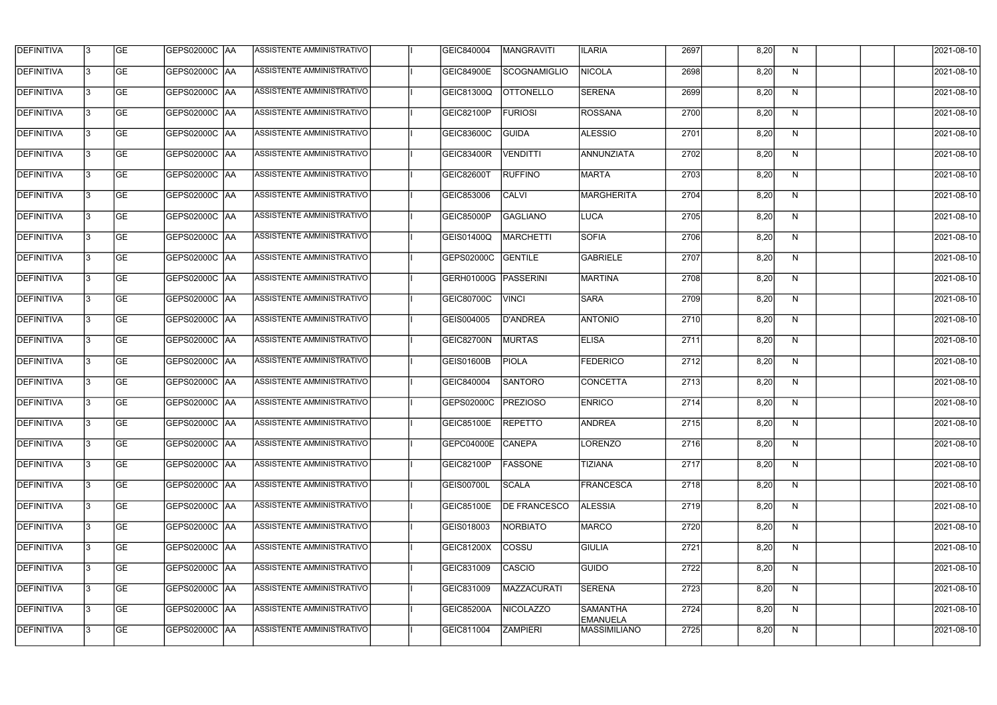| <b>DEFINITIVA</b> | 13 | GE        | GEPS02000C  AA       | ASSISTENTE AMMINISTRATIVO        | GEIC840004        | MANGRAVITI          | <b>ILARIA</b>                      | 2697 | 8,20 | N. | 2021-08-10       |
|-------------------|----|-----------|----------------------|----------------------------------|-------------------|---------------------|------------------------------------|------|------|----|------------------|
| <b>DEFINITIVA</b> | IЗ | GE        | GEPS02000C   AA      | ASSISTENTE AMMINISTRATIVO        | <b>GEIC84900E</b> | SCOGNAMIGLIO        | <b>NICOLA</b>                      | 2698 | 8,20 | N  | 2021-08-10       |
| <b>DEFINITIVA</b> | 13 | <b>GE</b> | GEPS02000C AA        | ASSISTENTE AMMINISTRATIVO        | <b>GEIC81300Q</b> | <b>OTTONELLO</b>    | <b>SERENA</b>                      | 2699 | 8,20 | N  | 2021-08-10       |
| <b>DEFINITIVA</b> | l3 | <b>GE</b> | <b>GEPS02000C AA</b> | ASSISTENTE AMMINISTRATIVO        | GEIC82100P        | <b>FURIOSI</b>      | <b>ROSSANA</b>                     | 2700 | 8,20 | N  | 2021-08-10       |
| <b>DEFINITIVA</b> | l3 | GE        | GEPS02000C  AA       | ASSISTENTE AMMINISTRATIVO        | <b>GEIC83600C</b> | <b>GUIDA</b>        | <b>ALESSIO</b>                     | 2701 | 8,20 | N  | 2021-08-10       |
| <b>DEFINITIVA</b> | l3 | <b>GE</b> | GEPS02000C AA        | <b>ASSISTENTE AMMINISTRATIVO</b> | <b>GEIC83400R</b> | VENDITTI            | ANNUNZIATA                         | 2702 | 8,20 | N  | 2021-08-10       |
| <b>DEFINITIVA</b> | IЗ | <b>GE</b> | GEPS02000C AA        | <b>ASSISTENTE AMMINISTRATIVO</b> | <b>GEIC82600T</b> | <b>RUFFINO</b>      | MARTA                              | 2703 | 8,20 | N  | 2021-08-10       |
| <b>DEFINITIVA</b> | l3 | <b>GE</b> | GEPS02000C AA        | <b>ASSISTENTE AMMINISTRATIVO</b> | GEIC853006        | <b>CALVI</b>        | MARGHERITA                         | 2704 | 8,20 | N  | 2021-08-10       |
| <b>DEFINITIVA</b> | IЗ | <b>GE</b> | GEPS02000C  AA       | ASSISTENTE AMMINISTRATIVO        | <b>GEIC85000P</b> | <b>GAGLIANO</b>     | LUCA                               | 2705 | 8,20 | N  | 2021-08-10       |
| <b>DEFINITIVA</b> | l3 | GE        | GEPS02000C   AA      | ASSISTENTE AMMINISTRATIVO        | GEIS01400Q        | MARCHETTI           | <b>SOFIA</b>                       | 2706 | 8,20 | N  | 2021-08-10       |
| DEFINITIVA        | 13 | <b>GE</b> | GEPS02000C AA        | ASSISTENTE AMMINISTRATIVO        | GEPS02000C        | <b>GENTILE</b>      | GABRIELE                           | 2707 | 8,20 | N  | 2021-08-10       |
| <b>DEFINITIVA</b> | l3 | <b>GE</b> | GEPS02000C AA        | ASSISTENTE AMMINISTRATIVO        | <b>GERH01000G</b> | PASSERINI           | MARTINA                            | 2708 | 8,20 | N  | 2021-08-10       |
| <b>DEFINITIVA</b> | l3 | GE        | GEPS02000C  AA       | ASSISTENTE AMMINISTRATIVO        | GEIC80700C        | <b>VINCI</b>        | <b>SARA</b>                        | 2709 | 8,20 | N  | 2021-08-10       |
| <b>DEFINITIVA</b> | l3 | <b>GE</b> | GEPS02000C AA        | ASSISTENTE AMMINISTRATIVO        | GEIS004005        | <b>D'ANDREA</b>     | <b>ANTONIO</b>                     | 2710 | 8,20 | N  | 2021-08-10       |
| <b>DEFINITIVA</b> | l3 | <b>GE</b> | GEPS02000C AA        | ASSISTENTE AMMINISTRATIVO        | GEIC82700N        | <b>MURTAS</b>       | <b>ELISA</b>                       | 2711 | 8,20 | N  | 2021-08-10       |
| <b>DEFINITIVA</b> | 13 | GE        | GEPS02000C  AA       | ASSISTENTE AMMINISTRATIVO        | <b>GEIS01600B</b> | <b>PIOLA</b>        | <b>FEDERICO</b>                    | 2712 | 8,20 | N  | 2021-08-10       |
| <b>DEFINITIVA</b> | l3 | <b>GE</b> | GEPS02000C   AA      | ASSISTENTE AMMINISTRATIVO        | GEIC840004        | <b>SANTORO</b>      | CONCETTA                           | 2713 | 8,20 | N  | 2021-08-10       |
| <b>DEFINITIVA</b> | IЗ | <b>GE</b> | GEPS02000C AA        | ASSISTENTE AMMINISTRATIVO        | GEPS02000C        | <b>PREZIOSO</b>     | <b>ENRICO</b>                      | 2714 | 8,20 | N  | 2021-08-10       |
| <b>DEFINITIVA</b> | IЗ | GE        | GEPS02000C  AA       | <b>ASSISTENTE AMMINISTRATIVO</b> | <b>GEIC85100E</b> | <b>REPETTO</b>      | <b>ANDREA</b>                      | 2715 | 8,20 | N, | 2021-08-10       |
| <b>DEFINITIVA</b> | l3 | GE        | GEPS02000C AA        | ASSISTENTE AMMINISTRATIVO        | GEPC04000E        | <b>CANEPA</b>       | LORENZO                            | 2716 | 8,20 | N  | 2021-08-10       |
| <b>DEFINITIVA</b> | l3 | GE        | GEPS02000C AA        | ASSISTENTE AMMINISTRATIVO        | GEIC82100P        | FASSONE             | <b>TIZIANA</b>                     | 2717 | 8,20 | N  | 2021-08-10       |
| <b>DEFINITIVA</b> | 13 | <b>GE</b> | GEPS02000C AA        | ASSISTENTE AMMINISTRATIVO        | <b>GEIS00700L</b> | <b>SCALA</b>        | FRANCESCA                          | 2718 | 8,20 | N  | $2021 - 08 - 10$ |
| <b>DEFINITIVA</b> | l3 | <b>GE</b> | GEPS02000C AA        | ASSISTENTE AMMINISTRATIVO        | GEIC85100E        | <b>DE FRANCESCO</b> | <b>ALESSIA</b>                     | 2719 | 8,20 | N  | 2021-08-10       |
| <b>DEFINITIVA</b> | 13 | <b>GE</b> | GEPS02000C AA        | ASSISTENTE AMMINISTRATIVO        | GEIS018003        | NORBIATO            | MARCO                              | 2720 | 8,20 | N  | 2021-08-10       |
| <b>DEFINITIVA</b> | l3 | <b>GE</b> | GEPS02000C  AA       | ASSISTENTE AMMINISTRATIVO        | GEIC81200X        | <b>COSSU</b>        | <b>GIULIA</b>                      | 2721 | 8,20 | N  | 2021-08-10       |
| <b>DEFINITIVA</b> | l3 | <b>GE</b> | GEPS02000C  AA       | ASSISTENTE AMMINISTRATIVO        | GEIC831009        | CASCIO              | GUIDO                              | 2722 | 8,20 | N  | 2021-08-10       |
| <b>DEFINITIVA</b> | l3 | GE        | GEPS02000C  AA       | ASSISTENTE AMMINISTRATIVO        | GEIC831009        | MAZZACURATI         | <b>SERENA</b>                      | 2723 | 8,20 | N  | 2021-08-10       |
| <b>DEFINITIVA</b> | l3 | GE        | GEPS02000C AA        | ASSISTENTE AMMINISTRATIVO        | GEIC85200A        | NICOLAZZO           | <b>SAMANTHA</b><br><b>EMANUELA</b> | 2724 | 8,20 | N  | 2021-08-10       |
| <b>DEFINITIVA</b> | l3 | GE        | GEPS02000C  AA       | ASSISTENTE AMMINISTRATIVO        | GEIC811004        | <b>ZAMPIERI</b>     | MASSIMILIANO                       | 2725 | 8,20 | N  | 2021-08-10       |
|                   |    |           |                      |                                  |                   |                     |                                    |      |      |    |                  |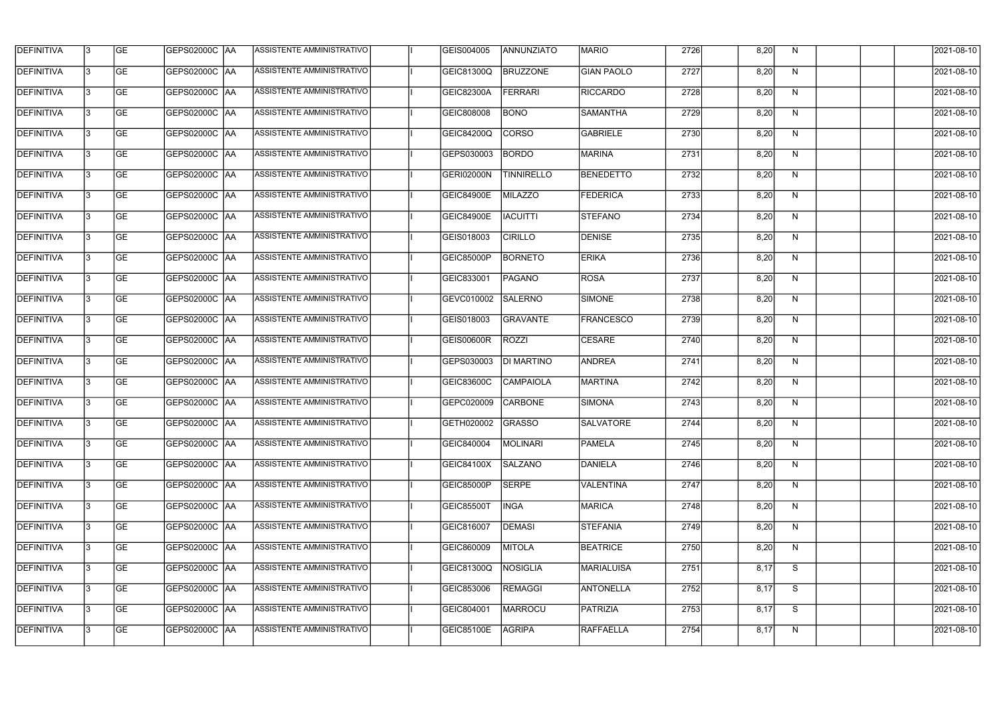| <b>DEFINITIVA</b> | l3 | GE                       | <b>GEPS02000C AA</b> | ASSISTENTE AMMINISTRATIVO        | GEIS004005        | ANNUNZIATO        | <b>MARIO</b>      | 2726 | 8,20 | N            | 2021-08-10          |
|-------------------|----|--------------------------|----------------------|----------------------------------|-------------------|-------------------|-------------------|------|------|--------------|---------------------|
| <b>DEFINITIVA</b> | IЗ | $\overline{\mathsf{GE}}$ | GEPS02000C AA        | ASSISTENTE AMMINISTRATIVO        | <b>GEIC81300Q</b> | <b>BRUZZONE</b>   | <b>GIAN PAOLO</b> | 2727 | 8,20 | N            | 2021-08-10          |
| <b>DEFINITIVA</b> | l3 | GE                       | GEPS02000C AA        | ASSISTENTE AMMINISTRATIVO        | GEIC82300A        | <b>FERRARI</b>    | <b>RICCARDO</b>   | 2728 | 8,20 | N            | 2021-08-10          |
| <b>DEFINITIVA</b> | l3 | GE                       | GEPS02000C AA        | ASSISTENTE AMMINISTRATIVO        | GEIC808008        | <b>BONO</b>       | <b>SAMANTHA</b>   | 2729 | 8,20 | $\mathsf{N}$ | 2021-08-10          |
| <b>DEFINITIVA</b> | l3 | GE                       | GEPS02000C AA        | ASSISTENTE AMMINISTRATIVO        | GEIC84200Q        | <b>CORSO</b>      | <b>GABRIELE</b>   | 2730 | 8,20 | N            | 2021-08-10          |
| <b>DEFINITIVA</b> | IЗ | <b>GE</b>                | <b>GEPS02000C AA</b> | <b>ASSISTENTE AMMINISTRATIVO</b> | GEPS030003        | <b>BORDO</b>      | MARINA            | 2731 | 8,20 | N            | 2021-08-10          |
| <b>DEFINITIVA</b> | l3 | <b>GE</b>                | GEPS02000C AA        | ASSISTENTE AMMINISTRATIVO        | <b>GERI02000N</b> | <b>TINNIRELLO</b> | <b>BENEDETTO</b>  | 2732 | 8,20 | N            | 2021-08-10          |
| <b>DEFINITIVA</b> | l3 | <b>GE</b>                | GEPS02000C   AA      | ASSISTENTE AMMINISTRATIVO        | <b>GEIC84900E</b> | MILAZZO           | <b>FEDERICA</b>   | 2733 | 8,20 | N            | 2021-08-10          |
| <b>DEFINITIVA</b> | l3 | <b>GE</b>                | GEPS02000C AA        | ASSISTENTE AMMINISTRATIVO        | <b>GEIC84900E</b> | <b>IACUITTI</b>   | <b>STEFANO</b>    | 2734 | 8,20 | N            | 2021-08-10          |
| <b>DEFINITIVA</b> | l3 | GE                       | GEPS02000C AA        | ASSISTENTE AMMINISTRATIVO        | GEIS018003        | <b>CIRILLO</b>    | <b>DENISE</b>     | 2735 | 8,20 | N            | 2021-08-10          |
| <b>DEFINITIVA</b> | l3 | GE                       | GEPS02000C AA        | ASSISTENTE AMMINISTRATIVO        | <b>GEIC85000P</b> | <b>BORNETO</b>    | <b>ERIKA</b>      | 2736 | 8,20 | N            | 2021-08-10          |
| <b>DEFINITIVA</b> | l3 | GE                       | GEPS02000C   AA      | ASSISTENTE AMMINISTRATIVO        | GEIC833001        | <b>PAGANO</b>     | ROSA              | 2737 | 8,20 | N            | 2021-08-10          |
| <b>DEFINITIVA</b> | l3 | <b>GE</b>                | GEPS02000C AA        | ASSISTENTE AMMINISTRATIVO        | GEVC010002        | <b>SALERNO</b>    | SIMONE            | 2738 | 8,20 | N            | 2021-08-10          |
| <b>DEFINITIVA</b> | IЗ | <b>GE</b>                | GEPS02000C AA        | ASSISTENTE AMMINISTRATIVO        | GEIS018003        | GRAVANTE          | <b>FRANCESCO</b>  | 2739 | 8,20 | N            | 2021-08-10          |
| <b>DEFINITIVA</b> | 13 | GE                       | GEPS02000C AA        | ASSISTENTE AMMINISTRATIVO        | <b>GEIS00600R</b> | <b>ROZZI</b>      | <b>CESARE</b>     | 2740 | 8,20 | N            | 2021-08-10          |
| <b>DEFINITIVA</b> | l3 | <b>GE</b>                | GEPS02000C  AA       | ASSISTENTE AMMINISTRATIVO        | GEPS030003        | <b>DI MARTINO</b> | <b>ANDREA</b>     | 2741 | 8,20 | N            | 2021-08-10          |
| <b>DEFINITIVA</b> | IЗ | GE                       | GEPS02000C  AA       | ASSISTENTE AMMINISTRATIVO        | <b>GEIC83600C</b> | <b>CAMPAIOLA</b>  | <b>MARTINA</b>    | 2742 | 8,20 | N            | 2021-08-10          |
| <b>DEFINITIVA</b> | l3 | GE                       | GEPS02000C   AA      | ASSISTENTE AMMINISTRATIVO        | GEPC020009        | <b>CARBONE</b>    | <b>SIMONA</b>     | 2743 | 8,20 | N            | 2021-08-10          |
| DEFINITIVA        | 13 | <b>GE</b>                | GEPS02000C  AA       | ASSISTENTE AMMINISTRATIVO        | GETH020002 GRASSO |                   | <b>SALVATORE</b>  | 2744 | 8,20 | N            | 2021-08-10          |
| <b>DEFINITIVA</b> | l3 | GE                       | <b>GEPS02000C AA</b> | ASSISTENTE AMMINISTRATIVO        | GEIC840004        | MOLINARI          | <b>PAMELA</b>     | 2745 | 8,20 | N            | 2021-08-10          |
| <b>DEFINITIVA</b> | 13 | GE                       | GEPS02000C  AA       | ASSISTENTE AMMINISTRATIVO        | <b>GEIC84100X</b> | <b>SALZANO</b>    | DANIELA           | 2746 | 8,20 | N            | 2021-08-10          |
| <b>DEFINITIVA</b> | l3 | GE                       | GEPS02000C AA        | ASSISTENTE AMMINISTRATIVO        | GEIC85000P        | <b>SERPE</b>      | VALENTINA         | 2747 | 8,20 | N            | 2021-08-10          |
| <b>DEFINITIVA</b> | 13 | <b>GE</b>                | GEPS02000C AA        | ASSISTENTE AMMINISTRATIVO        | GEIC85500T        | <b>INGA</b>       | MARICA            | 2748 | 8,20 | N            | 2021-08-10          |
| <b>DEFINITIVA</b> | 13 | <b>GE</b>                | GEPS02000C  AA       | ASSISTENTE AMMINISTRATIVO        | GEIC816007        | DEMASI            | <b>STEFANIA</b>   | 2749 | 8,20 | N            | 2021-08-10          |
| <b>DEFINITIVA</b> | l3 | <b>GE</b>                | GEPS02000C  AA       | ASSISTENTE AMMINISTRATIVO        | GEIC860009        | MITOLA            | <b>BEATRICE</b>   | 2750 | 8,20 | N            | 2021-08-10          |
| <b>DEFINITIVA</b> | l3 | <b>GE</b>                | GEPS02000C AA        | ASSISTENTE AMMINISTRATIVO        | <b>GEIC81300Q</b> | NOSIGLIA          | <b>MARIALUISA</b> | 2751 | 8,17 | S            | 2021-08-10          |
| <b>DEFINITIVA</b> | l3 | <b>GE</b>                | GEPS02000C AA        | ASSISTENTE AMMINISTRATIVO        | GEIC853006        | <b>REMAGGI</b>    | <b>ANTONELLA</b>  | 2752 | 8,17 | S            | 2021-08-10          |
| <b>DEFINITIVA</b> | l3 | GE                       | GEPS02000C AA        | ASSISTENTE AMMINISTRATIVO        | GEIC804001        | MARROCU           | PATRIZIA          | 2753 | 8,17 | S            | 2021-08-10          |
| DEFINITIVA        | l3 | GE                       | GEPS02000C  AA       | ASSISTENTE AMMINISTRATIVO        | GEIC85100E        | <b>AGRIPA</b>     | RAFFAELLA         | 2754 | 8,17 | N            | $\sqrt{2021-08-10}$ |
|                   |    |                          |                      |                                  |                   |                   |                   |      |      |              |                     |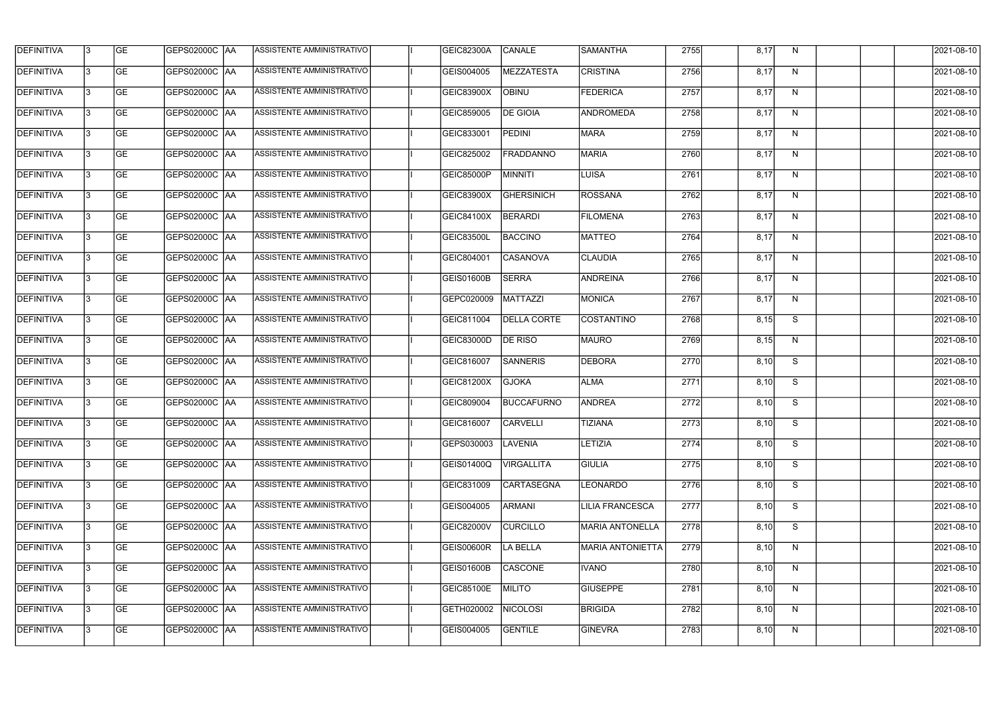| <b>DEFINITIVA</b> | 13  | <b>GE</b> | GEPS02000C  AA       | ASSISTENTE AMMINISTRATIVO        | GEIC82300A        | <b>CANALE</b>      | <b>SAMANTHA</b>         | 2755 | 8,17 | N.           | 2021-08-10 |
|-------------------|-----|-----------|----------------------|----------------------------------|-------------------|--------------------|-------------------------|------|------|--------------|------------|
| DEFINITIVA        | l3  | <b>GE</b> | GEPS02000C  AA       | ASSISTENTE AMMINISTRATIVO        | GEIS004005        | <b>MEZZATESTA</b>  | <b>CRISTINA</b>         | 2756 | 8,17 | N            | 2021-08-10 |
| <b>DEFINITIVA</b> | l3  | <b>GE</b> | <b>GEPS02000C AA</b> | ASSISTENTE AMMINISTRATIVO        | GEIC83900X        | <b>OBINU</b>       | <b>FEDERICA</b>         | 2757 | 8,17 | N            | 2021-08-10 |
| <b>DEFINITIVA</b> | 13  | <b>GE</b> | <b>GEPS02000C AA</b> | ASSISTENTE AMMINISTRATIVO        | GEIC859005        | <b>DE GIOIA</b>    | <b>ANDROMEDA</b>        | 2758 | 8,17 | N            | 2021-08-10 |
| <b>DEFINITIVA</b> | l3  | <b>GE</b> | GEPS02000C  AA       | ASSISTENTE AMMINISTRATIVO        | GEIC833001        | <b>PEDINI</b>      | <b>MARA</b>             | 2759 | 8,17 | N            | 2021-08-10 |
| <b>DEFINITIVA</b> | IЗ  | <b>GE</b> | GEPS02000C AA        | <b>ASSISTENTE AMMINISTRATIVO</b> | GEIC825002        | <b>FRADDANNO</b>   | <b>MARIA</b>            | 2760 | 8,17 | N            | 2021-08-10 |
| <b>DEFINITIVA</b> | l3  | <b>GE</b> | <b>GEPS02000C AA</b> | <b>ASSISTENTE AMMINISTRATIVO</b> | GEIC85000P        | <b>MINNITI</b>     | LUISA                   | 2761 | 8,17 | N            | 2021-08-10 |
| <b>DEFINITIVA</b> | l3  | <b>GE</b> | GEPS02000C AA        | ASSISTENTE AMMINISTRATIVO        | GEIC83900X        | <b>GHERSINICH</b>  | <b>ROSSANA</b>          | 2762 | 8,17 | N            | 2021-08-10 |
| <b>DEFINITIVA</b> | l3  | <b>GE</b> | GEPS02000C  AA       | ASSISTENTE AMMINISTRATIVO        | <b>GEIC84100X</b> | <b>BERARDI</b>     | <b>FILOMENA</b>         | 2763 | 8,17 | N            | 2021-08-10 |
| <b>DEFINITIVA</b> | l3  | <b>GE</b> | GEPS02000C AA        | ASSISTENTE AMMINISTRATIVO        | <b>GEIC83500L</b> | <b>BACCINO</b>     | <b>MATTEO</b>           | 2764 | 8,17 | N            | 2021-08-10 |
| <b>DEFINITIVA</b> | l3  | <b>GE</b> | GEPS02000C AA        | ASSISTENTE AMMINISTRATIVO        | GEIC804001        | <b>CASANOVA</b>    | <b>CLAUDIA</b>          | 2765 | 8,17 | N            | 2021-08-10 |
| <b>DEFINITIVA</b> | 13  | <b>GE</b> | GEPS02000C AA        | ASSISTENTE AMMINISTRATIVO        | GEIS01600B        | <b>SERRA</b>       | ANDREINA                | 2766 | 8,17 | $\mathsf{N}$ | 2021-08-10 |
| <b>DEFINITIVA</b> | l3  | <b>GE</b> | GEPS02000C  AA       | ASSISTENTE AMMINISTRATIVO        | GEPC020009        | MATTAZZI           | <b>MONICA</b>           | 2767 | 8,17 | N            | 2021-08-10 |
| <b>DEFINITIVA</b> | l3  | <b>GE</b> | GEPS02000C AA        | ASSISTENTE AMMINISTRATIVO        | GEIC811004        | <b>DELLA CORTE</b> | COSTANTINO              | 2768 | 8,15 | S            | 2021-08-10 |
| <b>DEFINITIVA</b> | 13  | <b>GE</b> | GEPS02000C  AA       | ASSISTENTE AMMINISTRATIVO        | <b>GEIC83000D</b> | <b>DE RISO</b>     | <b>MAURO</b>            | 2769 | 8,15 | N            | 2021-08-10 |
| <b>DEFINITIVA</b> | IЗ  | <b>GE</b> | GEPS02000C  AA       | ASSISTENTE AMMINISTRATIVO        | GEIC816007        | <b>SANNERIS</b>    | <b>DEBORA</b>           | 2770 | 8,10 | S            | 2021-08-10 |
| <b>DEFINITIVA</b> | l3  | <b>GE</b> | GEPS02000C  AA       | ASSISTENTE AMMINISTRATIVO        | GEIC81200X        | <b>GJOKA</b>       | <b>ALMA</b>             | 2771 | 8,10 | S            | 2021-08-10 |
| <b>DEFINITIVA</b> |     | <b>GE</b> | GEPS02000C  AA       | ASSISTENTE AMMINISTRATIVO        | GEIC809004        | <b>BUCCAFURNO</b>  | <b>ANDREA</b>           | 2772 | 8,10 | S            | 2021-08-10 |
| <b>DEFINITIVA</b> | IЗ  | GE        | GEPS02000C  AA       | <b>ASSISTENTE AMMINISTRATIVO</b> | GEIC816007        | <b>CARVELLI</b>    | TIZIANA                 | 2773 | 8,10 | S.           | 2021-08-10 |
| <b>DEFINITIVA</b> | 13. | <b>GE</b> | GEPS02000C AA        | ASSISTENTE AMMINISTRATIVO        | GEPS030003        | <b>LAVENIA</b>     | LETIZIA                 | 2774 | 8,10 | S            | 2021-08-10 |
| <b>DEFINITIVA</b> | 13  | <b>GE</b> | <b>GEPS02000C AA</b> | ASSISTENTE AMMINISTRATIVO        | GEIS01400Q        | VIRGALLITA         | <b>GIULIA</b>           | 2775 | 8,10 | S            | 2021-08-10 |
| <b>DEFINITIVA</b> | 13. | <b>GE</b> | GEPS02000C AA        | ASSISTENTE AMMINISTRATIVO        | GEIC831009        | <b>CARTASEGNA</b>  | <b>LEONARDO</b>         | 2776 | 8,10 | S            | 2021-08-10 |
| <b>DEFINITIVA</b> | 13  | <b>GE</b> | <b>GEPS02000C AA</b> | ASSISTENTE AMMINISTRATIVO        | GEIS004005        | <b>ARMANI</b>      | <b>LILIA FRANCESCA</b>  | 2777 | 8,10 | S            | 2021-08-10 |
| <b>DEFINITIVA</b> | 13  | <b>GE</b> | GEPS02000C AA        | ASSISTENTE AMMINISTRATIVO        | <b>GEIC82000V</b> | <b>CURCILLO</b>    | MARIA ANTONELLA         | 2778 | 8,10 | S            | 2021-08-10 |
| <b>DEFINITIVA</b> | l3  | <b>GE</b> | GEPS02000C  AA       | ASSISTENTE AMMINISTRATIVO        | GEIS00600R        | LA BELLA           | <b>MARIA ANTONIETTA</b> | 2779 | 8,10 | N            | 2021-08-10 |
| DEFINITIVA        | l3  | <b>GE</b> | GEPS02000C  AA       | ASSISTENTE AMMINISTRATIVO        | <b>GEIS01600B</b> | <b>CASCONE</b>     | <b>IVANO</b>            | 2780 | 8,10 | N            | 2021-08-10 |
| DEFINITIVA        | l3  | <b>GE</b> | GEPS02000C  AA       | ASSISTENTE AMMINISTRATIVO        | GEIC85100E        | <b>MILITO</b>      | <b>GIUSEPPE</b>         | 2781 | 8,10 | N            | 2021-08-10 |
| <b>DEFINITIVA</b> | l3  | <b>GE</b> | GEPS02000C AA        | ASSISTENTE AMMINISTRATIVO        | GETH020002        | <b>NICOLOSI</b>    | <b>BRIGIDA</b>          | 2782 | 8,10 | N            | 2021-08-10 |
| <b>DEFINITIVA</b> | lЗ  | <b>GE</b> | GEPS02000C  AA       | ASSISTENTE AMMINISTRATIVO        | GEIS004005        | GENTILE            | <b>GINEVRA</b>          | 2783 | 8,10 | N            | 2021-08-10 |
|                   |     |           |                      |                                  |                   |                    |                         |      |      |              |            |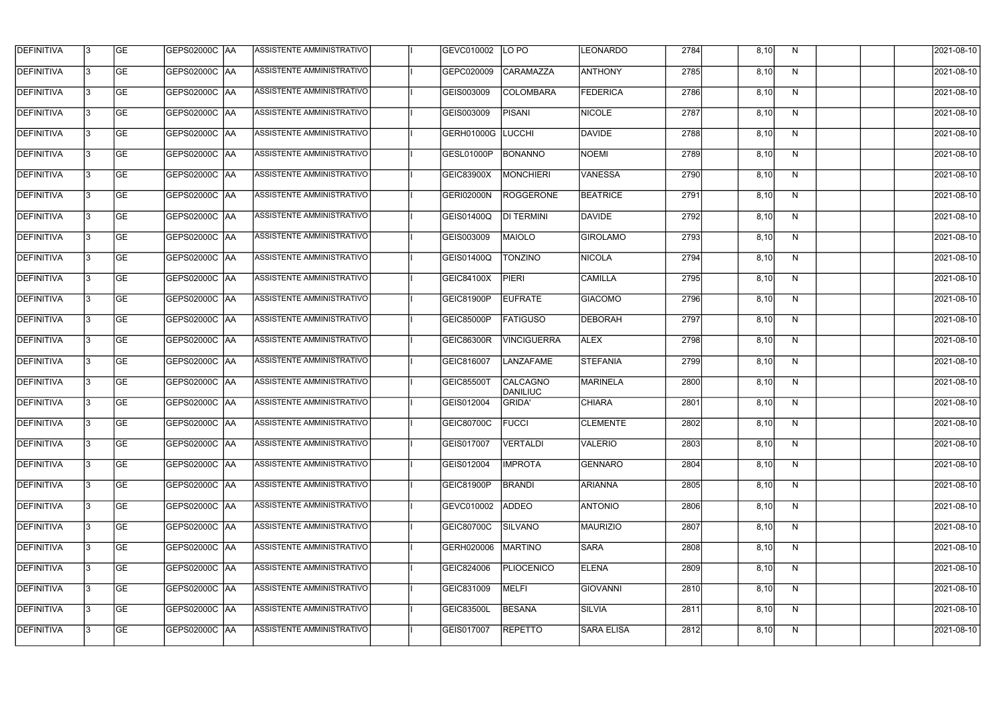| <b>DEFINITIVA</b> | l3 | GE                       | <b>GEPS02000C AA</b> | ASSISTENTE AMMINISTRATIVO        | GEVC010002        | LO PO                       | <b>LEONARDO</b> | 2784 | 8,10 | N  | 2021-08-10          |
|-------------------|----|--------------------------|----------------------|----------------------------------|-------------------|-----------------------------|-----------------|------|------|----|---------------------|
| <b>DEFINITIVA</b> | IЗ | $\overline{\mathsf{GE}}$ | GEPS02000C AA        | ASSISTENTE AMMINISTRATIVO        | GEPC020009        | CARAMAZZA                   | <b>ANTHONY</b>  | 2785 | 8,10 | N  | 2021-08-10          |
| <b>DEFINITIVA</b> | l3 | GE                       | GEPS02000C AA        | ASSISTENTE AMMINISTRATIVO        | GEIS003009        | COLOMBARA                   | <b>FEDERICA</b> | 2786 | 8,10 | N  | 2021-08-10          |
| <b>DEFINITIVA</b> | l3 | GE                       | GEPS02000C AA        | ASSISTENTE AMMINISTRATIVO        | GEIS003009        | <b>PISANI</b>               | NICOLE          | 2787 | 8,10 | N  | 2021-08-10          |
| <b>DEFINITIVA</b> | l3 | GE                       | GEPS02000C AA        | ASSISTENTE AMMINISTRATIVO        | <b>GERH01000G</b> | <b>LUCCHI</b>               | <b>DAVIDE</b>   | 2788 | 8,10 | N  | 2021-08-10          |
| <b>DEFINITIVA</b> | IЗ | <b>GE</b>                | GEPS02000C AA        | <b>ASSISTENTE AMMINISTRATIVO</b> | GESL01000P        | <b>BONANNO</b>              | NOEMI           | 2789 | 8,10 | N  | 2021-08-10          |
| <b>DEFINITIVA</b> | l3 | <b>GE</b>                | GEPS02000C AA        | ASSISTENTE AMMINISTRATIVO        | GEIC83900X        | <b>MONCHIERI</b>            | <b>VANESSA</b>  | 2790 | 8,10 | N  | 2021-08-10          |
| <b>DEFINITIVA</b> | l3 | <b>GE</b>                | GEPS02000C   AA      | ASSISTENTE AMMINISTRATIVO        | <b>GERI02000N</b> | ROGGERONE                   | BEATRICE        | 2791 | 8,10 | N  | 2021-08-10          |
| <b>DEFINITIVA</b> | IЗ | <b>GE</b>                | GEPS02000C   AA      | ASSISTENTE AMMINISTRATIVO        | GEIS01400Q        | <b>DI TERMINI</b>           | DAVIDE          | 2792 | 8,10 | N  | 2021-08-10          |
| <b>DEFINITIVA</b> | l3 | GE                       | GEPS02000C AA        | ASSISTENTE AMMINISTRATIVO        | GEIS003009        | MAIOLO                      | <b>GIROLAMO</b> | 2793 | 8,10 | N  | 2021-08-10          |
| <b>DEFINITIVA</b> | l3 | GE                       | GEPS02000C AA        | ASSISTENTE AMMINISTRATIVO        | GEIS01400Q        | <b>TONZINO</b>              | NICOLA          | 2794 | 8,10 | N  | 2021-08-10          |
| <b>DEFINITIVA</b> | l3 | GE                       | GEPS02000C   AA      | ASSISTENTE AMMINISTRATIVO        | GEIC84100X        | <b>PIERI</b>                | <b>CAMILLA</b>  | 2795 | 8,10 | N  | 2021-08-10          |
| <b>DEFINITIVA</b> | l3 | <b>GE</b>                | GEPS02000C   AA      | ASSISTENTE AMMINISTRATIVO        | GEIC81900P        | <b>EUFRATE</b>              | <b>GIACOMO</b>  | 2796 | 8,10 | N  | 2021-08-10          |
| <b>DEFINITIVA</b> | IЗ | <b>GE</b>                | GEPS02000C AA        | ASSISTENTE AMMINISTRATIVO        | <b>GEIC85000P</b> | <b>FATIGUSO</b>             | <b>DEBORAH</b>  | 2797 | 8,10 | N  | 2021-08-10          |
| <b>DEFINITIVA</b> | 13 | GE                       | GEPS02000C AA        | ASSISTENTE AMMINISTRATIVO        | <b>GEIC86300R</b> | <b>VINCIGUERRA</b>          | <b>ALEX</b>     | 2798 | 8,10 | N  | 2021-08-10          |
| <b>DEFINITIVA</b> | l3 | <b>GE</b>                | GEPS02000C  AA       | ASSISTENTE AMMINISTRATIVO        | GEIC816007        | LANZAFAME                   | STEFANIA        | 2799 | 8,10 | N  | 2021-08-10          |
| <b>DEFINITIVA</b> | IЗ | GE                       | GEPS02000C  AA       | ASSISTENTE AMMINISTRATIVO        | <b>GEIC85500T</b> | CALCAGNO<br><b>DANILIUC</b> | <b>MARINELA</b> | 2800 | 8,10 | N  | 2021-08-10          |
| <b>DEFINITIVA</b> | l3 | GE                       | GEPS02000C   AA      | ASSISTENTE AMMINISTRATIVO        | GEIS012004        | <b>GRIDA'</b>               | <b>CHIARA</b>   | 2801 | 8,10 | N  | 2021-08-10          |
| DEFINITIVA        | 13 | <b>GE</b>                | GEPS02000C  AA       | ASSISTENTE AMMINISTRATIVO        | <b>GEIC80700C</b> | <b>FUCCI</b>                | <b>CLEMENTE</b> | 2802 | 8,10 | N, | 2021-08-10          |
| <b>DEFINITIVA</b> | l3 | GE                       | <b>GEPS02000C AA</b> | ASSISTENTE AMMINISTRATIVO        | GEIS017007        | VERTALDI                    | <b>VALERIO</b>  | 2803 | 8,10 | N  | 2021-08-10          |
| <b>DEFINITIVA</b> | l3 | GE                       | GEPS02000C  AA       | ASSISTENTE AMMINISTRATIVO        | GEIS012004        | <b>IMPROTA</b>              | <b>GENNARO</b>  | 2804 | 8,10 | N  | 2021-08-10          |
| <b>DEFINITIVA</b> | l3 | GE                       | GEPS02000C AA        | ASSISTENTE AMMINISTRATIVO        | GEIC81900P        | <b>BRANDI</b>               | ARIANNA         | 2805 | 8,10 | N  | 2021-08-10          |
| <b>DEFINITIVA</b> | 13 | <b>GE</b>                | GEPS02000C AA        | ASSISTENTE AMMINISTRATIVO        | GEVC010002        | <b>ADDEO</b>                | <b>ANTONIO</b>  | 2806 | 8,10 | N  | 2021-08-10          |
| <b>DEFINITIVA</b> | 13 | <b>GE</b>                | GEPS02000C  AA       | ASSISTENTE AMMINISTRATIVO        | GEIC80700C        | SILVANO                     | MAURIZIO        | 2807 | 8,10 | N  | 2021-08-10          |
| <b>DEFINITIVA</b> | l3 | <b>GE</b>                | GEPS02000C  AA       | ASSISTENTE AMMINISTRATIVO        | GERH020006        | <b>MARTINO</b>              | <b>SARA</b>     | 2808 | 8,10 | N  | 2021-08-10          |
| <b>DEFINITIVA</b> | l3 | <b>GE</b>                | GEPS02000C AA        | ASSISTENTE AMMINISTRATIVO        | GEIC824006        | PLIOCENICO                  | <b>ELENA</b>    | 2809 | 8,10 | N  | 2021-08-10          |
| <b>DEFINITIVA</b> | l3 | <b>GE</b>                | GEPS02000C AA        | ASSISTENTE AMMINISTRATIVO        | GEIC831009        | <b>MELFI</b>                | <b>GIOVANNI</b> | 2810 | 8,10 | N  | 2021-08-10          |
| <b>DEFINITIVA</b> | 13 | GE                       | GEPS02000C AA        | ASSISTENTE AMMINISTRATIVO        | GEIC83500L        | <b>BESANA</b>               | <b>SILVIA</b>   | 2811 | 8,10 | N  | 2021-08-10          |
| DEFINITIVA        | l3 | GE                       |                      | ASSISTENTE AMMINISTRATIVO        | GEIS017007        | <b>REPETTO</b>              | SARA ELISA      | 2812 | 8,10 | N  | $\sqrt{2021-08-10}$ |
|                   |    |                          |                      |                                  |                   |                             |                 |      |      |    |                     |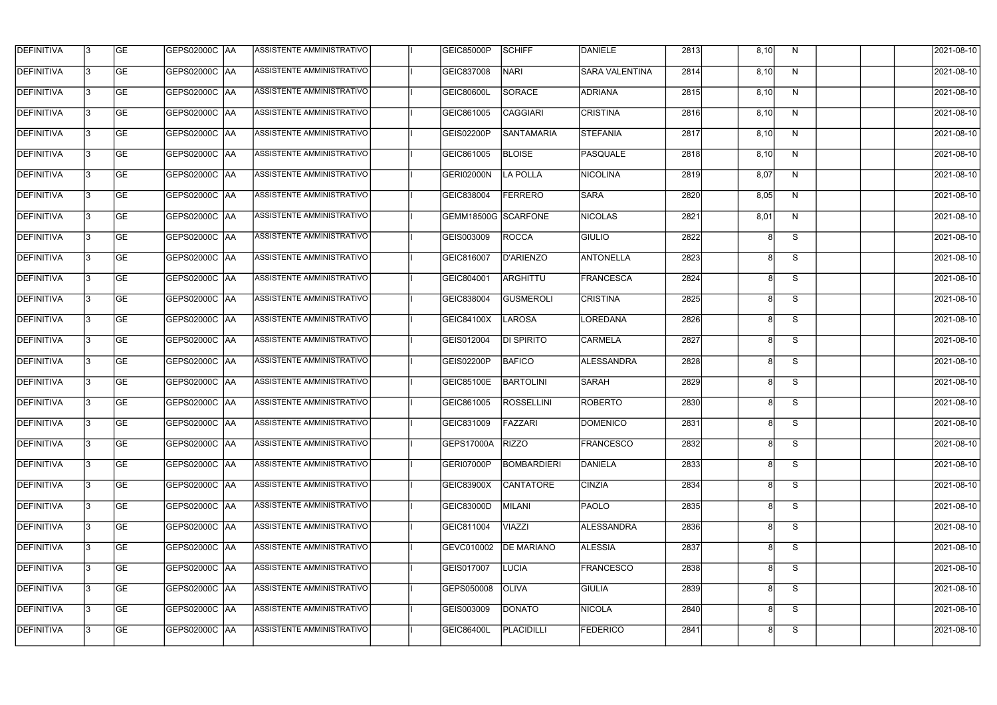| <b>DEFINITIVA</b> | 13  | <b>GE</b> | GEPS02000C  AA       | ASSISTENTE AMMINISTRATIVO        | <b>GEIC85000P</b>          | <b>SCHIFF</b>      | DANIELE               | 2813 | 8,10 | N  | 2021-08-10 |
|-------------------|-----|-----------|----------------------|----------------------------------|----------------------------|--------------------|-----------------------|------|------|----|------------|
| DEFINITIVA        | l3  | <b>GE</b> | GEPS02000C  AA       | ASSISTENTE AMMINISTRATIVO        | GEIC837008                 | <b>NARI</b>        | <b>SARA VALENTINA</b> | 2814 | 8,10 | N  | 2021-08-10 |
| <b>DEFINITIVA</b> | l3  | <b>GE</b> | <b>GEPS02000C AA</b> | ASSISTENTE AMMINISTRATIVO        | <b>GEIC80600L</b>          | <b>SORACE</b>      | <b>ADRIANA</b>        | 2815 | 8,10 | N  | 2021-08-10 |
| <b>DEFINITIVA</b> | 13  | <b>GE</b> | <b>GEPS02000C AA</b> | ASSISTENTE AMMINISTRATIVO        | GEIC861005                 | <b>CAGGIARI</b>    | <b>CRISTINA</b>       | 2816 | 8,10 | N  | 2021-08-10 |
| <b>DEFINITIVA</b> | l3  | <b>GE</b> | GEPS02000C  AA       | ASSISTENTE AMMINISTRATIVO        | GEIS02200P                 | SANTAMARIA         | <b>STEFANIA</b>       | 2817 | 8,10 | N  | 2021-08-10 |
| <b>DEFINITIVA</b> | IЗ  | <b>GE</b> | <b>GEPS02000C AA</b> | <b>ASSISTENTE AMMINISTRATIVO</b> | GEIC861005                 | <b>BLOISE</b>      | PASQUALE              | 2818 | 8,10 | N  | 2021-08-10 |
| <b>DEFINITIVA</b> | l3  | <b>GE</b> | <b>GEPS02000C AA</b> | <b>ASSISTENTE AMMINISTRATIVO</b> | GERI02000N                 | <b>LA POLLA</b>    | <b>NICOLINA</b>       | 2819 | 8,07 | N  | 2021-08-10 |
| <b>DEFINITIVA</b> | l3  | <b>GE</b> | GEPS02000C AA        | ASSISTENTE AMMINISTRATIVO        | GEIC838004                 | <b>FERRERO</b>     | <b>SARA</b>           | 2820 | 8,05 | N  | 2021-08-10 |
| <b>DEFINITIVA</b> | l3  | <b>GE</b> | GEPS02000C  AA       | ASSISTENTE AMMINISTRATIVO        | <b>GEMM18500G SCARFONE</b> |                    | <b>NICOLAS</b>        | 2821 | 8,01 | N  | 2021-08-10 |
| <b>DEFINITIVA</b> | l3  | <b>GE</b> | GEPS02000C AA        | ASSISTENTE AMMINISTRATIVO        | GEIS003009                 | <b>ROCCA</b>       | <b>GIULIO</b>         | 2822 |      | S  | 2021-08-10 |
| <b>DEFINITIVA</b> | l3  | <b>GE</b> | GEPS02000C AA        | ASSISTENTE AMMINISTRATIVO        | GEIC816007                 | <b>D'ARIENZO</b>   | <b>ANTONELLA</b>      | 2823 | 8    | S  | 2021-08-10 |
| <b>DEFINITIVA</b> | 13  | <b>GE</b> | <b>GEPS02000C AA</b> | ASSISTENTE AMMINISTRATIVO        | GEIC804001                 | ARGHITTU           | FRANCESCA             | 2824 | 8    | S  | 2021-08-10 |
| <b>DEFINITIVA</b> | l3  | <b>GE</b> | GEPS02000C  AA       | ASSISTENTE AMMINISTRATIVO        | GEIC838004                 | <b>GUSMEROLI</b>   | <b>CRISTINA</b>       | 2825 |      | S  | 2021-08-10 |
| <b>DEFINITIVA</b> | l3  | <b>GE</b> | GEPS02000C AA        | ASSISTENTE AMMINISTRATIVO        | GEIC84100X                 | <b>LAROSA</b>      | LOREDANA              | 2826 | 8    | S  | 2021-08-10 |
| <b>DEFINITIVA</b> | 13  | <b>GE</b> | GEPS02000C  AA       | ASSISTENTE AMMINISTRATIVO        | GEIS012004                 | DI SPIRITO         | <b>CARMELA</b>        | 2827 | 8    | S  | 2021-08-10 |
| <b>DEFINITIVA</b> | IЗ  | <b>GE</b> | GEPS02000C  AA       | ASSISTENTE AMMINISTRATIVO        | GEIS02200P                 | <b>BAFICO</b>      | <b>ALESSANDRA</b>     | 2828 | 8    | S  | 2021-08-10 |
| <b>DEFINITIVA</b> | l3  | <b>GE</b> | GEPS02000C  AA       | ASSISTENTE AMMINISTRATIVO        | GEIC85100E                 | <b>BARTOLINI</b>   | <b>SARAH</b>          | 2829 |      | S  | 2021-08-10 |
| <b>DEFINITIVA</b> |     | <b>GE</b> | GEPS02000C  AA       | ASSISTENTE AMMINISTRATIVO        | GEIC861005                 | <b>ROSSELLINI</b>  | <b>ROBERTO</b>        | 2830 | 8    | S  | 2021-08-10 |
| <b>DEFINITIVA</b> | IЗ  | GE        | GEPS02000C  AA       | <b>ASSISTENTE AMMINISTRATIVO</b> | GEIC831009                 | <b>FAZZARI</b>     | <b>DOMENICO</b>       | 2831 |      | S. | 2021-08-10 |
| <b>DEFINITIVA</b> | 13. | <b>GE</b> | <b>GEPS02000C AA</b> | ASSISTENTE AMMINISTRATIVO        | <b>GEPS17000A</b>          | <b>RIZZO</b>       | FRANCESCO             | 2832 | 8    | S  | 2021-08-10 |
| <b>DEFINITIVA</b> | 13. | <b>GE</b> | <b>GEPS02000C AA</b> | ASSISTENTE AMMINISTRATIVO        | GERI07000P                 | <b>BOMBARDIERI</b> | DANIELA               | 2833 | 8    | S  | 2021-08-10 |
| <b>DEFINITIVA</b> | 13. | <b>GE</b> | GEPS02000C AA        | ASSISTENTE AMMINISTRATIVO        | GEIC83900X                 | <b>CANTATORE</b>   | <b>CINZIA</b>         | 2834 | 8    | S  | 2021-08-10 |
| <b>DEFINITIVA</b> | 13. | <b>GE</b> | GEPS02000C AA        | ASSISTENTE AMMINISTRATIVO        | <b>GEIC83000D</b>          | <b>MILANI</b>      | <b>PAOLO</b>          | 2835 | 8    | S  | 2021-08-10 |
| <b>DEFINITIVA</b> | 13  | <b>GE</b> | <b>GEPS02000C AA</b> | ASSISTENTE AMMINISTRATIVO        | GEIC811004                 | VIAZZI             | <b>ALESSANDRA</b>     | 2836 | 8    | S  | 2021-08-10 |
| <b>DEFINITIVA</b> | l3  | <b>GE</b> | GEPS02000C  AA       | ASSISTENTE AMMINISTRATIVO        | GEVC010002                 | <b>DE MARIANO</b>  | <b>ALESSIA</b>        | 2837 |      | S  | 2021-08-10 |
| DEFINITIVA        | l3  | <b>GE</b> | GEPS02000C  AA       | ASSISTENTE AMMINISTRATIVO        | GEIS017007                 | LUCIA              | <b>FRANCESCO</b>      | 2838 |      | S  | 2021-08-10 |
| DEFINITIVA        | l3  | <b>GE</b> | GEPS02000C  AA       | ASSISTENTE AMMINISTRATIVO        | GEPS050008                 | <b>OLIVA</b>       | <b>GIULIA</b>         | 2839 |      | S  | 2021-08-10 |
| <b>DEFINITIVA</b> | l3  | <b>GE</b> | GEPS02000C AA        | ASSISTENTE AMMINISTRATIVO        | GEIS003009                 | <b>DONATO</b>      | <b>NICOLA</b>         | 2840 | 8    | S  | 2021-08-10 |
| <b>DEFINITIVA</b> | IЗ  | <b>GE</b> | GEPS02000C  AA       | ASSISTENTE AMMINISTRATIVO        | <b>GEIC86400L</b>          | PLACIDILLI         | <b>FEDERICO</b>       | 2841 | 8    | S  | 2021-08-10 |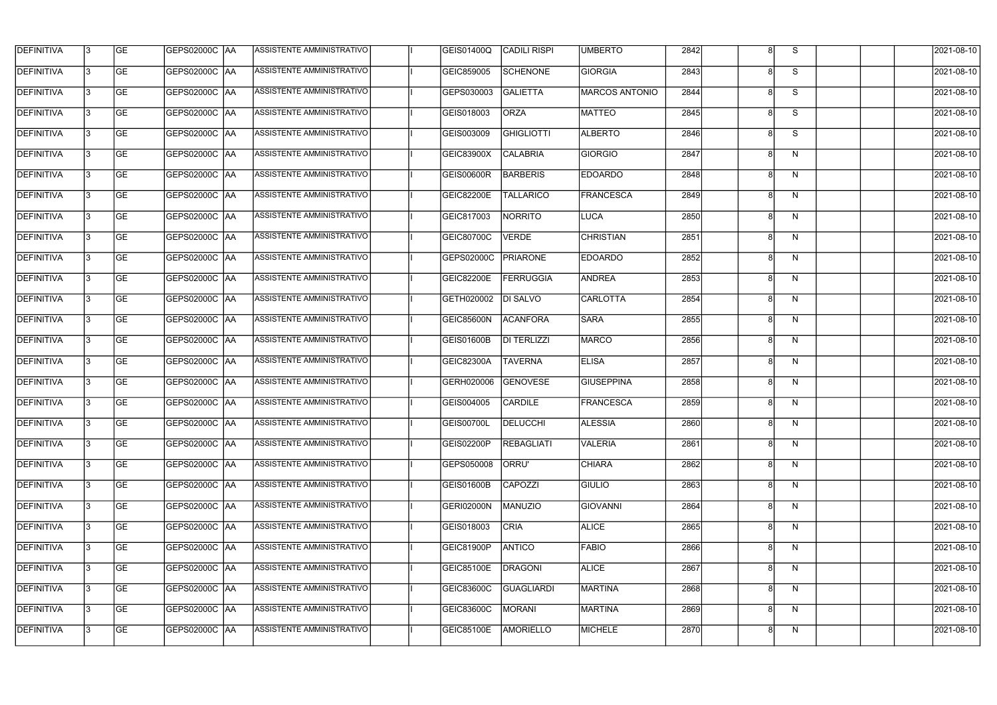| <b>DEFINITIVA</b> | 13  | <b>GE</b> | GEPS02000C  AA       | ASSISTENTE AMMINISTRATIVO        | GEIS01400Q        | <b>CADILI RISPI</b> | <b>UMBERTO</b>        | 2842 |   | S.           | 2021-08-10 |
|-------------------|-----|-----------|----------------------|----------------------------------|-------------------|---------------------|-----------------------|------|---|--------------|------------|
| DEFINITIVA        | l3  | <b>GE</b> | GEPS02000C  AA       | ASSISTENTE AMMINISTRATIVO        | GEIC859005        | <b>SCHENONE</b>     | <b>GIORGIA</b>        | 2843 | 8 | S            | 2021-08-10 |
| <b>DEFINITIVA</b> | l3  | <b>GE</b> | <b>GEPS02000C AA</b> | ASSISTENTE AMMINISTRATIVO        | GEPS030003        | <b>GALIETTA</b>     | <b>MARCOS ANTONIO</b> | 2844 | 8 | S            | 2021-08-10 |
| <b>DEFINITIVA</b> | 13  | <b>GE</b> | <b>GEPS02000C AA</b> | ASSISTENTE AMMINISTRATIVO        | GEIS018003        | <b>ORZA</b>         | <b>MATTEO</b>         | 2845 | 8 | S            | 2021-08-10 |
| <b>DEFINITIVA</b> | l3  | <b>GE</b> | GEPS02000C  AA       | ASSISTENTE AMMINISTRATIVO        | GEIS003009        | <b>GHIGLIOTTI</b>   | <b>ALBERTO</b>        | 2846 |   | S            | 2021-08-10 |
| <b>DEFINITIVA</b> | IЗ  | <b>GE</b> | <b>GEPS02000C AA</b> | <b>ASSISTENTE AMMINISTRATIVO</b> | GEIC83900X        | <b>CALABRIA</b>     | GIORGIO               | 2847 | 8 | N            | 2021-08-10 |
| <b>DEFINITIVA</b> | l3  | <b>GE</b> | <b>GEPS02000C AA</b> | <b>ASSISTENTE AMMINISTRATIVO</b> | GEIS00600R        | <b>BARBERIS</b>     | <b>EDOARDO</b>        | 2848 | 8 | N            | 2021-08-10 |
| <b>DEFINITIVA</b> | l3  | <b>GE</b> | GEPS02000C AA        | ASSISTENTE AMMINISTRATIVO        | GEIC82200E        | <b>TALLARICO</b>    | FRANCESCA             | 2849 |   | N            | 2021-08-10 |
| <b>DEFINITIVA</b> | l3  | <b>GE</b> | GEPS02000C  AA       | ASSISTENTE AMMINISTRATIVO        | GEIC817003        | <b>NORRITO</b>      | LUCA                  | 2850 |   | N            | 2021-08-10 |
| <b>DEFINITIVA</b> | l3  | <b>GE</b> | GEPS02000C AA        | ASSISTENTE AMMINISTRATIVO        | <b>GEIC80700C</b> | <b>VERDE</b>        | <b>CHRISTIAN</b>      | 2851 |   | N            | 2021-08-10 |
| <b>DEFINITIVA</b> | l3  | <b>GE</b> | GEPS02000C AA        | ASSISTENTE AMMINISTRATIVO        | GEPS02000C        | PRIARONE            | <b>EDOARDO</b>        | 2852 | 8 | N            | 2021-08-10 |
| <b>DEFINITIVA</b> | 13  | <b>GE</b> | GEPS02000C  AA       | <b>ASSISTENTE AMMINISTRATIVO</b> | GEIC82200E        | <b>FERRUGGIA</b>    | ANDREA                | 2853 | 8 | $\mathsf{N}$ | 2021-08-10 |
| <b>DEFINITIVA</b> | l3  | <b>GE</b> | GEPS02000C  AA       | ASSISTENTE AMMINISTRATIVO        | GETH020002        | <b>DI SALVO</b>     | <b>CARLOTTA</b>       | 2854 |   | N            | 2021-08-10 |
| <b>DEFINITIVA</b> | l3  | <b>GE</b> | GEPS02000C AA        | ASSISTENTE AMMINISTRATIVO        | GEIC85600N        | <b>ACANFORA</b>     | <b>SARA</b>           | 2855 |   | N            | 2021-08-10 |
| <b>DEFINITIVA</b> | l3  | <b>GE</b> | GEPS02000C  AA       | ASSISTENTE AMMINISTRATIVO        | GEIS01600B        | <b>DI TERLIZZI</b>  | <b>MARCO</b>          | 2856 | 8 | N            | 2021-08-10 |
| <b>DEFINITIVA</b> | IЗ  | <b>GE</b> | GEPS02000C AA        | ASSISTENTE AMMINISTRATIVO        | <b>GEIC82300A</b> | <b>TAVERNA</b>      | <b>ELISA</b>          | 2857 | 8 | N            | 2021-08-10 |
| <b>DEFINITIVA</b> | l3  | <b>GE</b> | GEPS02000C  AA       | ASSISTENTE AMMINISTRATIVO        | GERH020006        | <b>GENOVESE</b>     | <b>GIUSEPPINA</b>     | 2858 |   | N            | 2021-08-10 |
| <b>DEFINITIVA</b> |     | <b>GE</b> | GEPS02000C  AA       | ASSISTENTE AMMINISTRATIVO        | GEIS004005        | <b>CARDILE</b>      | FRANCESCA             | 2859 |   | N            | 2021-08-10 |
| <b>DEFINITIVA</b> | IЗ  | GE        | GEPS02000C  AA       | <b>ASSISTENTE AMMINISTRATIVO</b> | <b>GEIS00700L</b> | <b>DELUCCHI</b>     | <b>ALESSIA</b>        | 2860 |   | N            | 2021-08-10 |
| <b>DEFINITIVA</b> | 13. | <b>GE</b> | GEPS02000C AA        | ASSISTENTE AMMINISTRATIVO        | GEIS02200P        | <b>REBAGLIATI</b>   | <b>VALERIA</b>        | 2861 | 8 | N            | 2021-08-10 |
| <b>DEFINITIVA</b> | 13  | <b>GE</b> | <b>GEPS02000C AA</b> | ASSISTENTE AMMINISTRATIVO        | GEPS050008        | ORRU'               | <b>CHIARA</b>         | 2862 | 8 | N            | 2021-08-10 |
| <b>DEFINITIVA</b> | 13. | <b>GE</b> | GEPS02000C AA        | ASSISTENTE AMMINISTRATIVO        | <b>GEIS01600B</b> | <b>CAPOZZI</b>      | <b>GIULIO</b>         | 2863 |   | N            | 2021-08-10 |
| <b>DEFINITIVA</b> | 13  | <b>GE</b> | <b>GEPS02000C AA</b> | ASSISTENTE AMMINISTRATIVO        | GERI02000N        | <b>MANUZIO</b>      | <b>GIOVANNI</b>       | 2864 | 8 | N            | 2021-08-10 |
| <b>DEFINITIVA</b> | 13  | <b>GE</b> | <b>GEPS02000C AA</b> | ASSISTENTE AMMINISTRATIVO        | GEIS018003        | <b>CRIA</b>         | <b>ALICE</b>          | 2865 | 8 | N            | 2021-08-10 |
| <b>DEFINITIVA</b> | l3  | <b>GE</b> | GEPS02000C  AA       | ASSISTENTE AMMINISTRATIVO        | GEIC81900P        | <b>ANTICO</b>       | <b>FABIO</b>          | 2866 |   | N            | 2021-08-10 |
| DEFINITIVA        | l3  | <b>GE</b> | GEPS02000C  AA       | ASSISTENTE AMMINISTRATIVO        | <b>GEIC85100E</b> | <b>DRAGONI</b>      | <b>ALICE</b>          | 2867 |   | N            | 2021-08-10 |
| <b>DEFINITIVA</b> | l3  | <b>GE</b> | GEPS02000C  AA       | ASSISTENTE AMMINISTRATIVO        | GEIC83600C        | <b>GUAGLIARDI</b>   | MARTINA               | 2868 |   | N            | 2021-08-10 |
| <b>DEFINITIVA</b> | l3  | <b>GE</b> | GEPS02000C AA        | ASSISTENTE AMMINISTRATIVO        | GEIC83600C        | MORANI              | <b>MARTINA</b>        | 2869 | 8 | N            | 2021-08-10 |
| <b>DEFINITIVA</b> | lЗ  | <b>GE</b> | GEPS02000C  AA       | ASSISTENTE AMMINISTRATIVO        | <b>GEIC85100E</b> | <b>AMORIELLO</b>    | <b>MICHELE</b>        | 2870 | 8 | N            | 2021-08-10 |
|                   |     |           |                      |                                  |                   |                     |                       |      |   |              |            |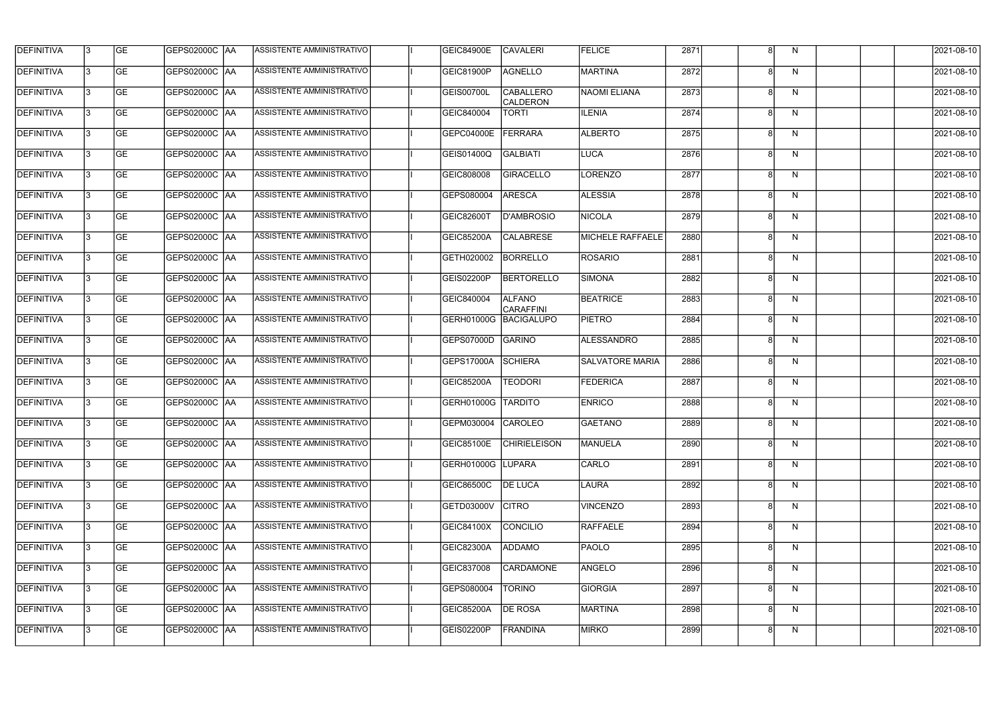| <b>DEFINITIVA</b> | 13  | <b>GE</b> | GEPS02000C  AA       | ASSISTENTE AMMINISTRATIVO        | <b>GEIC84900E</b>  | <b>CAVALERI</b>                     | <b>FELICE</b>           | 2871 |   | N.           | 2021-08-10 |
|-------------------|-----|-----------|----------------------|----------------------------------|--------------------|-------------------------------------|-------------------------|------|---|--------------|------------|
| <b>DEFINITIVA</b> | l3  | <b>GE</b> |                      | ASSISTENTE AMMINISTRATIVO        | GEIC81900P         | <b>AGNELLO</b>                      | <b>MARTINA</b>          | 2872 |   | N            | 2021-08-10 |
| DEFINITIVA        | l3  | <b>GE</b> | <b>GEPS02000C AA</b> | ASSISTENTE AMMINISTRATIVO        | GEIS00700L         | <b>CABALLERO</b><br><b>CALDERON</b> | NAOMI ELIANA            | 2873 | 8 | N            | 2021-08-10 |
| <b>DEFINITIVA</b> | 13  | <b>GE</b> | <b>GEPS02000C AA</b> | ASSISTENTE AMMINISTRATIVO        | GEIC840004         | <b>TORTI</b>                        | <b>ILENIA</b>           | 2874 | 8 | $\mathsf{N}$ | 2021-08-10 |
| <b>DEFINITIVA</b> | l3  | <b>GE</b> | GEPS02000C  AA       | ASSISTENTE AMMINISTRATIVO        | GEPC04000E         | FERRARA                             | <b>ALBERTO</b>          | 2875 |   | N            | 2021-08-10 |
| <b>DEFINITIVA</b> | IЗ  | <b>GE</b> | <b>GEPS02000C AA</b> | <b>ASSISTENTE AMMINISTRATIVO</b> | GEIS01400Q         | <b>GALBIATI</b>                     | <b>LUCA</b>             | 2876 | 8 | N            | 2021-08-10 |
| <b>DEFINITIVA</b> | l3  | <b>GE</b> | <b>GEPS02000C AA</b> | ASSISTENTE AMMINISTRATIVO        | GEIC808008         | <b>GIRACELLO</b>                    | LORENZO                 | 2877 | 8 | N            | 2021-08-10 |
| <b>DEFINITIVA</b> | l3  | <b>GE</b> | GEPS02000C AA        | ASSISTENTE AMMINISTRATIVO        | GEPS080004         | <b>ARESCA</b>                       | <b>ALESSIA</b>          | 2878 |   | $\mathsf{N}$ | 2021-08-10 |
| <b>DEFINITIVA</b> | l3  | <b>GE</b> | GEPS02000C AA        | ASSISTENTE AMMINISTRATIVO        | <b>GEIC82600T</b>  | <b>D'AMBROSIO</b>                   | <b>NICOLA</b>           | 2879 |   | N            | 2021-08-10 |
| <b>DEFINITIVA</b> | l3  | <b>GE</b> | GEPS02000C AA        | ASSISTENTE AMMINISTRATIVO        | <b>GEIC85200A</b>  | <b>CALABRESE</b>                    | <b>MICHELE RAFFAELE</b> | 2880 |   | N            | 2021-08-10 |
| <b>DEFINITIVA</b> | l3  | <b>GE</b> | GEPS02000C AA        | ASSISTENTE AMMINISTRATIVO        | GETH020002         | <b>BORRELLO</b>                     | <b>ROSARIO</b>          | 2881 |   | N            | 2021-08-10 |
| <b>DEFINITIVA</b> | 13  | <b>GE</b> | GEPS02000C AA        | ASSISTENTE AMMINISTRATIVO        | GEIS02200P         | <b>BERTORELLO</b>                   | SIMONA                  | 2882 | 8 | N            | 2021-08-10 |
| <b>DEFINITIVA</b> | l3  | <b>GE</b> | GEPS02000C AA        | ASSISTENTE AMMINISTRATIVO        | GEIC840004         | <b>ALFANO</b><br><b>CARAFFINI</b>   | <b>BEATRICE</b>         | 2883 |   | N            | 2021-08-10 |
| <b>DEFINITIVA</b> | l3  | <b>GE</b> | GEPS02000C AA        | ASSISTENTE AMMINISTRATIVO        | GERH01000G         | BACIGALUPO                          | <b>PIETRO</b>           | 2884 |   | N            | 2021-08-10 |
| <b>DEFINITIVA</b> | l3  | <b>GE</b> | GEPS02000C AA        | ASSISTENTE AMMINISTRATIVO        | GEPS07000D         | GARINO                              | ALESSANDRO              | 2885 | 8 | N            | 2021-08-10 |
| <b>DEFINITIVA</b> | l3  | <b>GE</b> |                      | ASSISTENTE AMMINISTRATIVO        | GEPS17000A         | <b>SCHIERA</b>                      | <b>SALVATORE MARIA</b>  | 2886 | 8 | N            | 2021-08-10 |
| <b>DEFINITIVA</b> | l3  | <b>GE</b> |                      | ASSISTENTE AMMINISTRATIVO        | <b>GEIC85200A</b>  | <b>TEODORI</b>                      | FEDERICA                | 2887 |   | N            | 2021-08-10 |
| <b>DEFINITIVA</b> |     | <b>GE</b> |                      | ASSISTENTE AMMINISTRATIVO        | GERH01000G         | <b>TARDITO</b>                      | <b>ENRICO</b>           | 2888 |   | N            | 2021-08-10 |
| <b>DEFINITIVA</b> | IЗ  | GE        | GEPS02000C  AA       | <b>ASSISTENTE AMMINISTRATIVO</b> | GEPM030004 CAROLEO |                                     | GAETANO                 | 2889 |   | N            | 2021-08-10 |
| <b>DEFINITIVA</b> | 13. | <b>GE</b> | GEPS02000C AA        | ASSISTENTE AMMINISTRATIVO        | GEIC85100E         | <b>CHIRIELEISON</b>                 | <b>MANUELA</b>          | 2890 | 8 | N            | 2021-08-10 |
| <b>DEFINITIVA</b> | 13  | <b>GE</b> | <b>GEPS02000C AA</b> | ASSISTENTE AMMINISTRATIVO        | GERH01000G LUPARA  |                                     | CARLO                   | 2891 | 8 | N            | 2021-08-10 |
| <b>DEFINITIVA</b> | 13. | <b>GE</b> | GEPS02000C AA        | ASSISTENTE AMMINISTRATIVO        | <b>GEIC86500C</b>  | <b>DE LUCA</b>                      | LAURA                   | 2892 |   | N            | 2021-08-10 |
| <b>DEFINITIVA</b> | 13  | <b>GE</b> | <b>GEPS02000C AA</b> | ASSISTENTE AMMINISTRATIVO        | GETD03000V         | <b>CITRO</b>                        | <b>VINCENZO</b>         | 2893 |   | N            | 2021-08-10 |
| <b>DEFINITIVA</b> | 13  | <b>GE</b> | <b>GEPS02000C AA</b> | ASSISTENTE AMMINISTRATIVO        | GEIC84100X         | CONCILIO                            | RAFFAELE                | 2894 | 8 | N            | 2021-08-10 |
| <b>DEFINITIVA</b> | l3  | <b>GE</b> | GEPS02000C  AA       | ASSISTENTE AMMINISTRATIVO        | GEIC82300A         | <b>ADDAMO</b>                       | <b>PAOLO</b>            | 2895 |   | N            | 2021-08-10 |
| DEFINITIVA        | l3  | <b>GE</b> | GEPS02000C  AA       | ASSISTENTE AMMINISTRATIVO        | GEIC837008         | <b>CARDAMONE</b>                    | ANGELO                  | 2896 |   | N            | 2021-08-10 |
| DEFINITIVA        | l3  | <b>GE</b> | GEPS02000C  AA       | ASSISTENTE AMMINISTRATIVO        | GEPS080004         | <b>TORINO</b>                       | <b>GIORGIA</b>          | 2897 |   | N            | 2021-08-10 |
| <b>DEFINITIVA</b> | l3  | <b>GE</b> | GEPS02000C AA        | ASSISTENTE AMMINISTRATIVO        | <b>GEIC85200A</b>  | <b>DE ROSA</b>                      | <b>MARTINA</b>          | 2898 | 8 | N            | 2021-08-10 |
| <b>DEFINITIVA</b> | Iз  | <b>GE</b> | GEPS02000C  AA       | ASSISTENTE AMMINISTRATIVO        | GEIS02200P         | <b>FRANDINA</b>                     | <b>MIRKO</b>            | 2899 |   | N            | 2021-08-10 |
|                   |     |           |                      |                                  |                    |                                     |                         |      |   |              |            |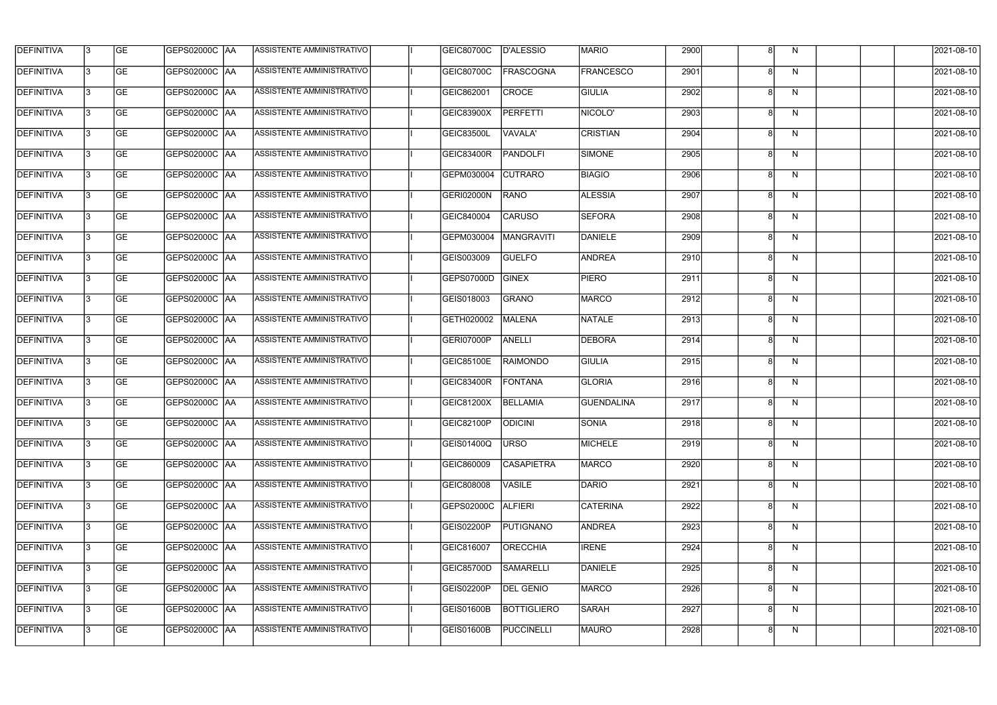| <b>DEFINITIVA</b> | l3 | GE                       | <b>GEPS02000C AA</b> | ASSISTENTE AMMINISTRATIVO        | GEIC80700C        | D'ALESSIO          | <b>MARIO</b>      | 2900 |   | N            | 2021-08-10          |
|-------------------|----|--------------------------|----------------------|----------------------------------|-------------------|--------------------|-------------------|------|---|--------------|---------------------|
| <b>DEFINITIVA</b> | IЗ | $\overline{\mathsf{GE}}$ | GEPS02000C AA        | ASSISTENTE AMMINISTRATIVO        | <b>GEIC80700C</b> | <b>FRASCOGNA</b>   | <b>FRANCESCO</b>  | 2901 |   | N            | 2021-08-10          |
| <b>DEFINITIVA</b> | l3 | GE                       | GEPS02000C AA        | ASSISTENTE AMMINISTRATIVO        | GEIC862001        | <b>CROCE</b>       | <b>GIULIA</b>     | 2902 | 8 | N            | 2021-08-10          |
| <b>DEFINITIVA</b> | l3 | GE                       | <b>GEPS02000C AA</b> | ASSISTENTE AMMINISTRATIVO        | <b>GEIC83900X</b> | <b>PERFETTI</b>    | NICOLO'           | 2903 |   | $\mathsf{N}$ | 2021-08-10          |
| <b>DEFINITIVA</b> | l3 | <b>GE</b>                | GEPS02000C AA        | ASSISTENTE AMMINISTRATIVO        | <b>GEIC83500L</b> | VAVALA'            | <b>CRISTIAN</b>   | 2904 |   | N            | 2021-08-10          |
| <b>DEFINITIVA</b> | l3 | <b>GE</b>                | <b>GEPS02000C AA</b> | <b>ASSISTENTE AMMINISTRATIVO</b> | <b>GEIC83400R</b> | <b>PANDOLFI</b>    | SIMONE            | 2905 |   | N            | 2021-08-10          |
| <b>DEFINITIVA</b> | l3 | <b>GE</b>                | GEPS02000C AA        | ASSISTENTE AMMINISTRATIVO        | GEPM030004        | <b>CUTRARO</b>     | <b>BIAGIO</b>     | 2906 | Я | N            | 2021-08-10          |
| <b>DEFINITIVA</b> | l3 | <b>GE</b>                | GEPS02000C   AA      | ASSISTENTE AMMINISTRATIVO        | <b>GERI02000N</b> | RANO               | <b>ALESSIA</b>    | 2907 |   | N            | 2021-08-10          |
| <b>DEFINITIVA</b> | IЗ | <b>GE</b>                | GEPS02000C   AA      | ASSISTENTE AMMINISTRATIVO        | GEIC840004        | <b>CARUSO</b>      | <b>SEFORA</b>     | 2908 |   | N            | 2021-08-10          |
| <b>DEFINITIVA</b> | l3 | GE                       | GEPS02000C AA        | ASSISTENTE AMMINISTRATIVO        | GEPM030004        | <b>MANGRAVITI</b>  | DANIELE           | 2909 |   | N            | 2021-08-10          |
| <b>DEFINITIVA</b> | l3 | GE                       | GEPS02000C AA        | ASSISTENTE AMMINISTRATIVO        | GEIS003009        | <b>GUELFO</b>      | <b>ANDREA</b>     | 2910 |   | N            | 2021-08-10          |
| <b>DEFINITIVA</b> | l3 | GE                       | GEPS02000C   AA      | ASSISTENTE AMMINISTRATIVO        | GEPS07000D        | <b>GINEX</b>       | <b>PIERO</b>      | 2911 |   | N            | 2021-08-10          |
| <b>DEFINITIVA</b> | l3 | <b>GE</b>                | GEPS02000C AA        | ASSISTENTE AMMINISTRATIVO        | GEIS018003        | GRANO              | <b>MARCO</b>      | 2912 |   | N            | 2021-08-10          |
| <b>DEFINITIVA</b> | IЗ | GE                       | GEPS02000C AA        | ASSISTENTE AMMINISTRATIVO        | GETH020002        | MALENA             | NATALE            | 2913 |   | $\mathsf{N}$ | 2021-08-10          |
| <b>DEFINITIVA</b> | 13 | GE                       | GEPS02000C AA        | ASSISTENTE AMMINISTRATIVO        | GERI07000P        | ANELLI             | <b>DEBORA</b>     | 2914 | Я | N            | 2021-08-10          |
| <b>DEFINITIVA</b> | l3 | <b>GE</b>                | GEPS02000C  AA       | ASSISTENTE AMMINISTRATIVO        | GEIC85100E        | <b>RAIMONDO</b>    | <b>GIULIA</b>     | 2915 |   | $\mathsf{N}$ | 2021-08-10          |
| <b>DEFINITIVA</b> | IЗ | GE                       | GEPS02000C  AA       | ASSISTENTE AMMINISTRATIVO        | <b>GEIC83400R</b> | FONTANA            | <b>GLORIA</b>     | 2916 |   | N            | 2021-08-10          |
| <b>DEFINITIVA</b> | l3 | GE                       | GEPS02000C   AA      | ASSISTENTE AMMINISTRATIVO        | GEIC81200X        | <b>BELLAMIA</b>    | <b>GUENDALINA</b> | 2917 |   | N            | 2021-08-10          |
| DEFINITIVA        | 13 | <b>GE</b>                | GEPS02000C  AA       | ASSISTENTE AMMINISTRATIVO        | <b>GEIC82100P</b> | <b>ODICINI</b>     | <b>SONIA</b>      | 2918 |   | N.           | 2021-08-10          |
| <b>DEFINITIVA</b> | l3 | GE                       | <b>GEPS02000C AA</b> | ASSISTENTE AMMINISTRATIVO        | GEIS01400Q        | <b>URSO</b>        | MICHELE           | 2919 |   | N            | 2021-08-10          |
| <b>DEFINITIVA</b> | 13 | GE                       | GEPS02000C  AA       | ASSISTENTE AMMINISTRATIVO        | GEIC860009        | <b>CASAPIETRA</b>  | <b>MARCO</b>      | 2920 |   | N            | 2021-08-10          |
| <b>DEFINITIVA</b> | l3 | GE                       | GEPS02000C AA        | ASSISTENTE AMMINISTRATIVO        | GEIC808008        | <b>VASILE</b>      | DARIO             | 2921 |   | N            | 2021-08-10          |
| DEFINITIVA        | 13 | GE                       | GEPS02000C AA        | ASSISTENTE AMMINISTRATIVO        | GEPS02000C        | ALFIERI            | CATERINA          | 2922 |   | N            | 2021-08-10          |
| <b>DEFINITIVA</b> | l3 | <b>GE</b>                | GEPS02000C  AA       | ASSISTENTE AMMINISTRATIVO        | GEIS02200P        | PUTIGNANO          | <b>ANDREA</b>     | 2923 |   | N            | 2021-08-10          |
| <b>DEFINITIVA</b> | l3 | <b>GE</b>                | GEPS02000C  AA       | ASSISTENTE AMMINISTRATIVO        | GEIC816007        | <b>ORECCHIA</b>    | <b>IRENE</b>      | 2924 |   | N            | 2021-08-10          |
| <b>DEFINITIVA</b> | l3 | <b>GE</b>                | GEPS02000C   AA      | ASSISTENTE AMMINISTRATIVO        | <b>GEIC85700D</b> | <b>SAMARELLI</b>   | DANIELE           | 2925 |   | N            | 2021-08-10          |
| <b>DEFINITIVA</b> | l3 | <b>GE</b>                | GEPS02000C AA        | ASSISTENTE AMMINISTRATIVO        | GEIS02200P        | <b>DEL GENIO</b>   | MARCO             | 2926 |   | N            | 2021-08-10          |
| <b>DEFINITIVA</b> | 13 | GE                       | GEPS02000C AA        | ASSISTENTE AMMINISTRATIVO        | <b>GEIS01600B</b> | <b>BOTTIGLIERO</b> | <b>SARAH</b>      | 2927 |   | N            | 2021-08-10          |
| DEFINITIVA        | l3 | GE                       |                      | ASSISTENTE AMMINISTRATIVO        | <b>GEIS01600B</b> | <b>PUCCINELLI</b>  | MAURO             | 2928 |   | N            | $\sqrt{2021-08-10}$ |
|                   |    |                          |                      |                                  |                   |                    |                   |      |   |              |                     |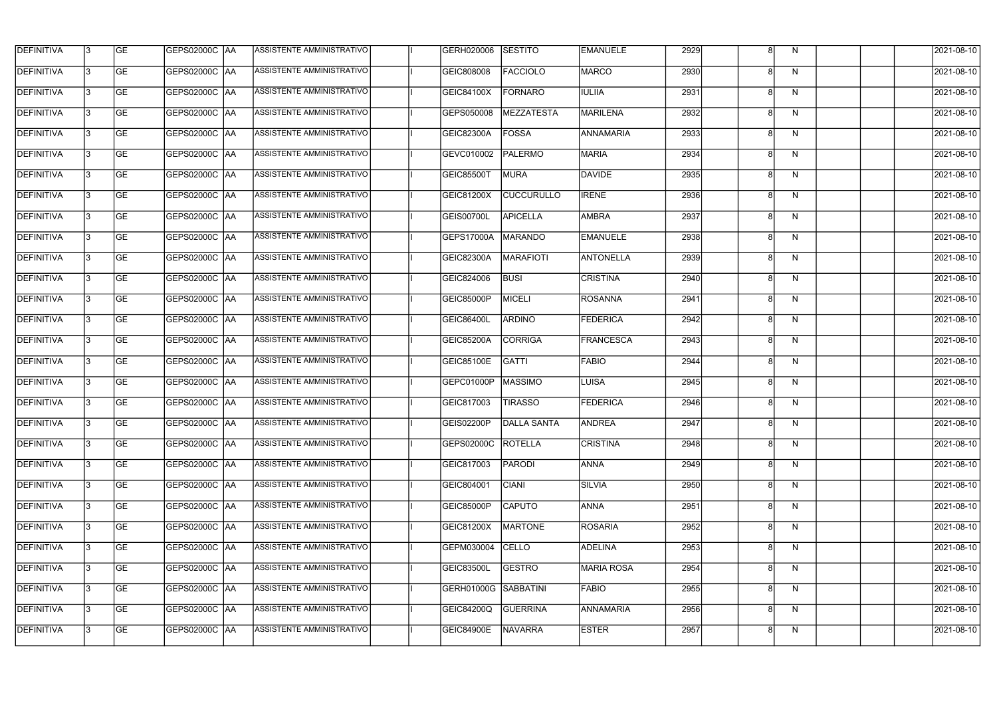| <b>DEFINITIVA</b> | 13 | GE        | GEPS02000C  AA       | ASSISTENTE AMMINISTRATIVO        | GERH020006           | SESTITO            | <b>EMANUELE</b>  | 2929 |   | N            | 2021-08-10       |
|-------------------|----|-----------|----------------------|----------------------------------|----------------------|--------------------|------------------|------|---|--------------|------------------|
| <b>DEFINITIVA</b> | IЗ | GE        | GEPS02000C  AA       | ASSISTENTE AMMINISTRATIVO        | GEIC808008           | <b>FACCIOLO</b>    | <b>MARCO</b>     | 2930 |   | N            | 2021-08-10       |
| <b>DEFINITIVA</b> | 13 | <b>GE</b> | GEPS02000C AA        | ASSISTENTE AMMINISTRATIVO        | <b>GEIC84100X</b>    | <b>FORNARO</b>     | <b>IULIIA</b>    | 2931 |   | N            | 2021-08-10       |
| <b>DEFINITIVA</b> | l3 | <b>GE</b> | <b>GEPS02000C AA</b> | ASSISTENTE AMMINISTRATIVO        | GEPS050008           | MEZZATESTA         | MARILENA         | 2932 | 8 | $\mathsf{N}$ | 2021-08-10       |
| <b>DEFINITIVA</b> | l3 | GE        | <b>GEPS02000C AA</b> | <b>ASSISTENTE AMMINISTRATIVO</b> | GEIC82300A           | <b>FOSSA</b>       | <b>ANNAMARIA</b> | 2933 |   | $\mathsf{N}$ | 2021-08-10       |
| <b>DEFINITIVA</b> | l3 | <b>GE</b> | GEPS02000C AA        | <b>ASSISTENTE AMMINISTRATIVO</b> | GEVC010002           | PALERMO            | MARIA            | 2934 | 8 | N            | 2021-08-10       |
| <b>DEFINITIVA</b> | l3 | <b>GE</b> | GEPS02000C AA        | ASSISTENTE AMMINISTRATIVO        | <b>GEIC85500T</b>    | <b>MURA</b>        | DAVIDE           | 2935 |   | N            | 2021-08-10       |
| <b>DEFINITIVA</b> | l3 | <b>GE</b> | GEPS02000C AA        | ASSISTENTE AMMINISTRATIVO        | GEIC81200X           | <b>CUCCURULLO</b>  | <b>IRENE</b>     | 2936 |   | N            | 2021-08-10       |
| <b>DEFINITIVA</b> | l3 | <b>GE</b> | GEPS02000C AA        | ASSISTENTE AMMINISTRATIVO        | <b>GEIS00700L</b>    | <b>APICELLA</b>    | AMBRA            | 2937 |   | N            | 2021-08-10       |
| <b>DEFINITIVA</b> | l3 | GE        | GEPS02000C   AA      | ASSISTENTE AMMINISTRATIVO        | GEPS17000A           | <b>MARANDO</b>     | <b>EMANUELE</b>  | 2938 |   | N            | 2021-08-10       |
| <b>DEFINITIVA</b> | 13 | GE        | GEPS02000C AA        | ASSISTENTE AMMINISTRATIVO        | GEIC82300A           | MARAFIOTI          | <b>ANTONELLA</b> | 2939 |   | N            | 2021-08-10       |
| <b>DEFINITIVA</b> | l3 | <b>GE</b> | <b>GEPS02000C AA</b> | <b>ASSISTENTE AMMINISTRATIVO</b> | GEIC824006           | <b>BUSI</b>        | <b>CRISTINA</b>  | 2940 |   | N            | 2021-08-10       |
| <b>DEFINITIVA</b> | l3 | GE        | GEPS02000C   AA      | ASSISTENTE AMMINISTRATIVO        | <b>GEIC85000P</b>    | <b>MICELI</b>      | <b>ROSANNA</b>   | 2941 |   | N            | 2021-08-10       |
| <b>DEFINITIVA</b> | l3 | <b>GE</b> | GEPS02000C AA        | ASSISTENTE AMMINISTRATIVO        | <b>GEIC86400L</b>    | <b>ARDINO</b>      | <b>FEDERICA</b>  | 2942 | 8 | N            | 2021-08-10       |
| <b>DEFINITIVA</b> | l3 | <b>GE</b> | GEPS02000C AA        | ASSISTENTE AMMINISTRATIVO        | GEIC85200A           | <b>CORRIGA</b>     | FRANCESCA        | 2943 |   | N            | 2021-08-10       |
| <b>DEFINITIVA</b> | 13 | GE        | GEPS02000C AA        | ASSISTENTE AMMINISTRATIVO        | GEIC85100E           | GATTI              | <b>FABIO</b>     | 2944 | Я | N            | 2021-08-10       |
| <b>DEFINITIVA</b> | l3 | <b>GE</b> | GEPS02000C   AA      | ASSISTENTE AMMINISTRATIVO        | GEPC01000P           | MASSIMO            | LUISA            | 2945 |   | N            | 2021-08-10       |
| <b>DEFINITIVA</b> | IЗ | <b>GE</b> | GEPS02000C AA        | ASSISTENTE AMMINISTRATIVO        | GEIC817003           | <b>TIRASSO</b>     | <b>FEDERICA</b>  | 2946 |   | N            | 2021-08-10       |
| <b>DEFINITIVA</b> | IЗ | GE        | GEPS02000C  AA       | <b>ASSISTENTE AMMINISTRATIVO</b> | <b>GEIS02200P</b>    | <b>DALLA SANTA</b> | <b>ANDREA</b>    | 2947 |   | N.           | 2021-08-10       |
| <b>DEFINITIVA</b> | l3 | GE        | GEPS02000C AA        | ASSISTENTE AMMINISTRATIVO        | GEPS02000C           | <b>ROTELLA</b>     | <b>CRISTINA</b>  | 2948 |   | N            | 2021-08-10       |
| <b>DEFINITIVA</b> | l3 | GE        | <b>GEPS02000C AA</b> | ASSISTENTE AMMINISTRATIVO        | GEIC817003           | PARODI             | <b>ANNA</b>      | 2949 |   | N            | 2021-08-10       |
| <b>DEFINITIVA</b> | 13 | <b>GE</b> | GEPS02000C AA        | ASSISTENTE AMMINISTRATIVO        | GEIC804001           | <b>CIANI</b>       | <b>SILVIA</b>    | 2950 |   | N            | $2021 - 08 - 10$ |
| <b>DEFINITIVA</b> | l3 | <b>GE</b> | GEPS02000C AA        | ASSISTENTE AMMINISTRATIVO        | <b>GEIC85000P</b>    | <b>CAPUTO</b>      | <b>ANNA</b>      | 2951 |   | N            | 2021-08-10       |
| <b>DEFINITIVA</b> | 13 | <b>GE</b> | GEPS02000C AA        | ASSISTENTE AMMINISTRATIVO        | GEIC81200X           | <b>MARTONE</b>     | <b>ROSARIA</b>   | 2952 | Я | N            | 2021-08-10       |
| <b>DEFINITIVA</b> | l3 | <b>GE</b> | GEPS02000C  AA       | ASSISTENTE AMMINISTRATIVO        | GEPM030004           | CELLO              | ADELINA          | 2953 |   | N            | 2021-08-10       |
| <b>DEFINITIVA</b> | l3 | <b>GE</b> | GEPS02000C  AA       | ASSISTENTE AMMINISTRATIVO        | <b>GEIC83500L</b>    | <b>GESTRO</b>      | MARIA ROSA       | 2954 |   | N            | 2021-08-10       |
| <b>DEFINITIVA</b> | l3 | GE        | GEPS02000C  AA       | ASSISTENTE AMMINISTRATIVO        | GERH01000G SABBATINI |                    | FABIO            | 2955 |   | N            | 2021-08-10       |
| <b>DEFINITIVA</b> | l3 | GE        | GEPS02000C AA        | ASSISTENTE AMMINISTRATIVO        | GEIC84200Q           | <b>GUERRINA</b>    | ANNAMARIA        | 2956 | 8 | N            | 2021-08-10       |
| <b>DEFINITIVA</b> | l3 | GE        | GEPS02000C AA        | ASSISTENTE AMMINISTRATIVO        | <b>GEIC84900E</b>    | <b>NAVARRA</b>     | <b>ESTER</b>     | 2957 |   | N            | 2021-08-10       |
|                   |    |           |                      |                                  |                      |                    |                  |      |   |              |                  |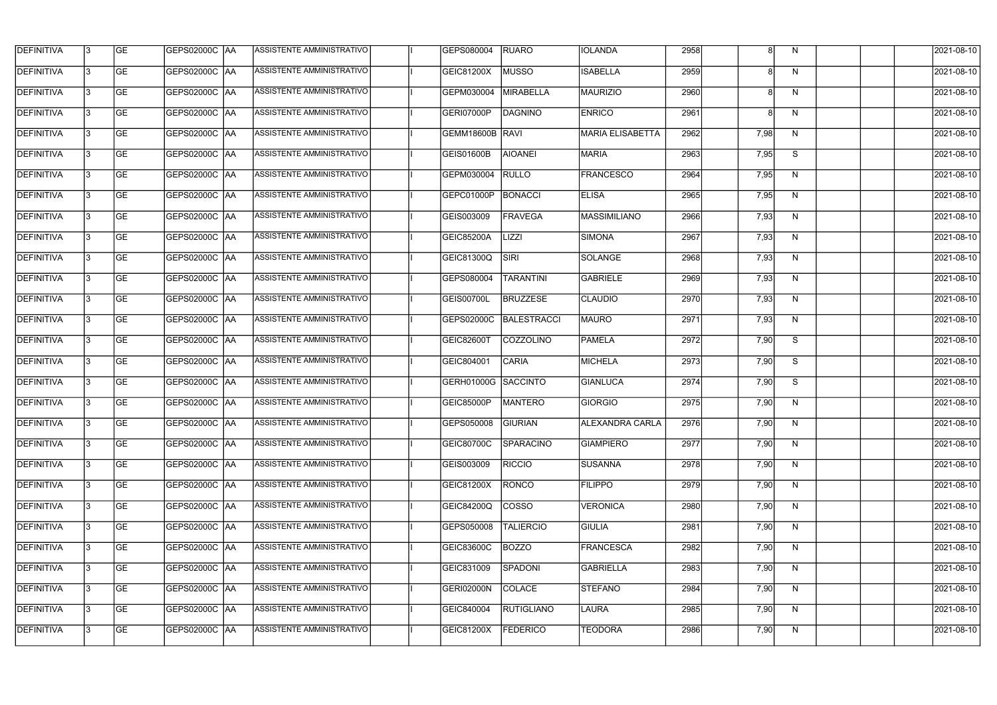| <b>DEFINITIVA</b> | 13 | GE        | GEPS02000C  AA       | ASSISTENTE AMMINISTRATIVO        | GEPS080004          | <b>RUARO</b>      | <b>IOLANDA</b>          | 2958 |      | N  | 2021-08-10       |
|-------------------|----|-----------|----------------------|----------------------------------|---------------------|-------------------|-------------------------|------|------|----|------------------|
| <b>DEFINITIVA</b> | IЗ | GE        | GEPS02000C   AA      | ASSISTENTE AMMINISTRATIVO        | GEIC81200X          | <b>MUSSO</b>      | <b>ISABELLA</b>         | 2959 |      | N  | 2021-08-10       |
| <b>DEFINITIVA</b> | 13 | <b>GE</b> | <b>GEPS02000C AA</b> | ASSISTENTE AMMINISTRATIVO        | GEPM030004          | MIRABELLA         | MAURIZIO                | 2960 |      | N  | 2021-08-10       |
| <b>DEFINITIVA</b> | l3 | <b>GE</b> | <b>GEPS02000C AA</b> | ASSISTENTE AMMINISTRATIVO        | GERI07000P          | <b>DAGNINO</b>    | <b>ENRICO</b>           | 2961 |      | N  | 2021-08-10       |
| <b>DEFINITIVA</b> | l3 | GE        | GEPS02000C AA        | ASSISTENTE AMMINISTRATIVO        | GEMM18600B RAVI     |                   | <b>MARIA ELISABETTA</b> | 2962 | 7,98 | N  | 2021-08-10       |
| <b>DEFINITIVA</b> | l3 | <b>GE</b> | <b>GEPS02000C AA</b> | <b>ASSISTENTE AMMINISTRATIVO</b> | <b>GEIS01600B</b>   | <b>AIOANEI</b>    | <b>MARIA</b>            | 2963 | 7,95 | S  | 2021-08-10       |
| <b>DEFINITIVA</b> | l3 | <b>GE</b> | GEPS02000C AA        | ASSISTENTE AMMINISTRATIVO        | GEPM030004          | <b>RULLO</b>      | <b>FRANCESCO</b>        | 2964 | 7,95 | N  | 2021-08-10       |
| <b>DEFINITIVA</b> | l3 | <b>GE</b> | GEPS02000C AA        | <b>ASSISTENTE AMMINISTRATIVO</b> | GEPC01000P          | BONACCI           | <b>ELISA</b>            | 2965 | 7,95 | N  | 2021-08-10       |
| <b>DEFINITIVA</b> | IЗ | <b>GE</b> | GEPS02000C AA        | ASSISTENTE AMMINISTRATIVO        | GEIS003009          | FRAVEGA           | MASSIMILIANO            | 2966 | 7,93 | N  | 2021-08-10       |
| <b>DEFINITIVA</b> | l3 | GE        | GEPS02000C   AA      | ASSISTENTE AMMINISTRATIVO        | <b>GEIC85200A</b>   | <b>LIZZI</b>      | <b>SIMONA</b>           | 2967 | 7,93 | N  | 2021-08-10       |
| <b>DEFINITIVA</b> | 13 | <b>GE</b> | GEPS02000C AA        | ASSISTENTE AMMINISTRATIVO        | GEIC81300Q          | SIRI              | SOLANGE                 | 2968 | 7,93 | N  | 2021-08-10       |
| <b>DEFINITIVA</b> | l3 | <b>GE</b> | GEPS02000C AA        | <b>ASSISTENTE AMMINISTRATIVO</b> | GEPS080004          | <b>TARANTINI</b>  | GABRIELE                | 2969 | 7,93 | N  | 2021-08-10       |
| <b>DEFINITIVA</b> | l3 | GE        | GEPS02000C  AA       | ASSISTENTE AMMINISTRATIVO        | <b>GEIS00700L</b>   | <b>BRUZZESE</b>   | <b>CLAUDIO</b>          | 2970 | 7,93 | N  | 2021-08-10       |
| <b>DEFINITIVA</b> | l3 | <b>GE</b> | GEPS02000C AA        | ASSISTENTE AMMINISTRATIVO        | GEPS02000C          | BALESTRACCI       | <b>MAURO</b>            | 2971 | 7,93 | N  | 2021-08-10       |
| <b>DEFINITIVA</b> | l3 | <b>GE</b> | GEPS02000C AA        | ASSISTENTE AMMINISTRATIVO        | <b>GEIC82600T</b>   | COZZOLINO         | <b>PAMELA</b>           | 2972 | 7,90 | S  | 2021-08-10       |
| <b>DEFINITIVA</b> | 13 | GE        | GEPS02000C   AA      | ASSISTENTE AMMINISTRATIVO        | GEIC804001          | <b>CARIA</b>      | MICHELA                 | 2973 | 7,90 | S  | 2021-08-10       |
| <b>DEFINITIVA</b> | l3 | <b>GE</b> | GEPS02000C   AA      | ASSISTENTE AMMINISTRATIVO        | GERH01000G SACCINTO |                   | GIANLUCA                | 2974 | 7,90 | S  | 2021-08-10       |
| <b>DEFINITIVA</b> | IЗ | <b>GE</b> | GEPS02000C AA        | ASSISTENTE AMMINISTRATIVO        | <b>GEIC85000P</b>   | <b>MANTERO</b>    | <b>GIORGIO</b>          | 2975 | 7,90 | N  | 2021-08-10       |
| <b>DEFINITIVA</b> | IЗ | GE        | GEPS02000C  AA       | <b>ASSISTENTE AMMINISTRATIVO</b> | GEPS050008 GIURIAN  |                   | <b>ALEXANDRA CARLA</b>  | 2976 | 7,90 | N, | 2021-08-10       |
| <b>DEFINITIVA</b> | l3 | GE        | GEPS02000C AA        | ASSISTENTE AMMINISTRATIVO        | GEIC80700C          | SPARACINO         | <b>GIAMPIERO</b>        | 2977 | 7,90 | N  | 2021-08-10       |
| <b>DEFINITIVA</b> | l3 | GE        | GEPS02000C AA        | ASSISTENTE AMMINISTRATIVO        | GEIS003009          | <b>RICCIO</b>     | <b>SUSANNA</b>          | 2978 | 7,90 | N  | 2021-08-10       |
| <b>DEFINITIVA</b> | 13 | <b>GE</b> | GEPS02000C AA        | ASSISTENTE AMMINISTRATIVO        | <b>GEIC81200X</b>   | <b>RONCO</b>      | <b>FILIPPO</b>          | 2979 | 7,90 | N  | $2021 - 08 - 10$ |
| <b>DEFINITIVA</b> | l3 | <b>GE</b> | GEPS02000C AA        | ASSISTENTE AMMINISTRATIVO        | <b>GEIC84200Q</b>   | <b>COSSO</b>      | <b>VERONICA</b>         | 2980 | 7,90 | N  | 2021-08-10       |
| <b>DEFINITIVA</b> | 13 | <b>GE</b> | GEPS02000C AA        | ASSISTENTE AMMINISTRATIVO        | GEPS050008          | <b>TALIERCIO</b>  | <b>GIULIA</b>           | 2981 | 7,90 | N  | 2021-08-10       |
| <b>DEFINITIVA</b> | l3 | <b>GE</b> | GEPS02000C  AA       | ASSISTENTE AMMINISTRATIVO        | <b>GEIC83600C</b>   | BOZZO             | FRANCESCA               | 2982 | 7,90 | N  | 2021-08-10       |
| <b>DEFINITIVA</b> | l3 | <b>GE</b> | GEPS02000C  AA       | ASSISTENTE AMMINISTRATIVO        | GEIC831009          | SPADONI           | <b>GABRIELLA</b>        | 2983 | 7,90 | N  | 2021-08-10       |
| <b>DEFINITIVA</b> | l3 | GE        | GEPS02000C  AA       | ASSISTENTE AMMINISTRATIVO        | GERI02000N          | COLACE            | STEFANO                 | 2984 | 7,90 | N, | 2021-08-10       |
| <b>DEFINITIVA</b> | l3 | GE        | GEPS02000C AA        | ASSISTENTE AMMINISTRATIVO        | GEIC840004          | <b>RUTIGLIANO</b> | LAURA                   | 2985 | 7,90 | N  | 2021-08-10       |
| <b>DEFINITIVA</b> | l3 | GE        | GEPS02000C AA        | ASSISTENTE AMMINISTRATIVO        | GEIC81200X          | <b>FEDERICO</b>   | <b>TEODORA</b>          | 2986 | 7,90 | N  | 2021-08-10       |
|                   |    |           |                      |                                  |                     |                   |                         |      |      |    |                  |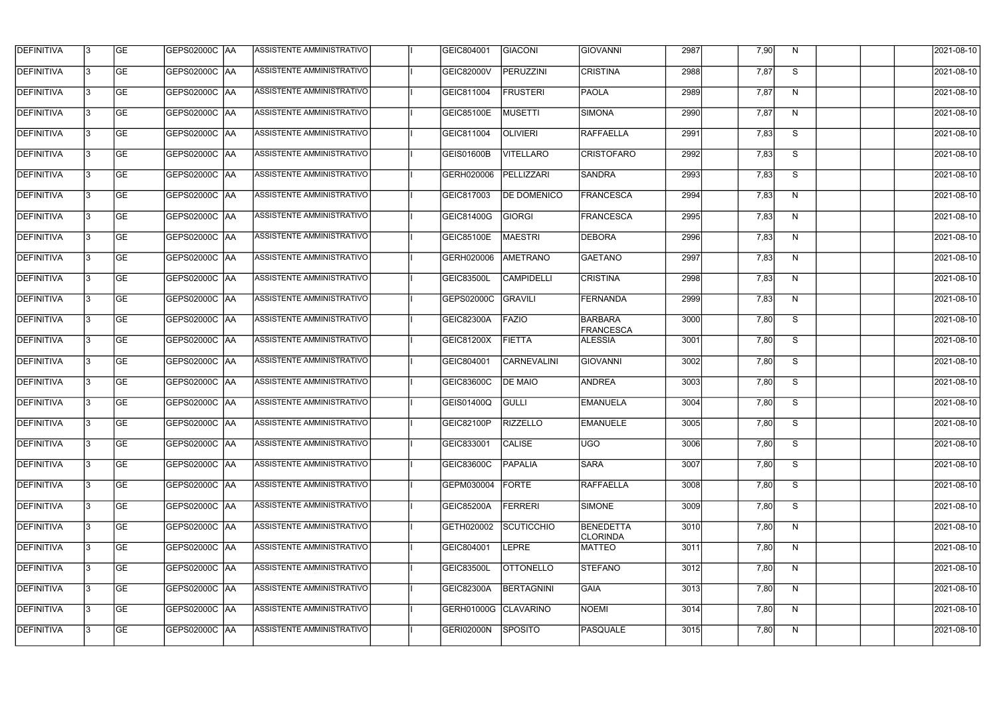| <b>DEFINITIVA</b> | 13  | <b>GE</b> |                      | ASSISTENTE AMMINISTRATIVO        | GEIC804001           | GIACONI            | GIOVANNI                     | 2987 | 7,90 | N.           | 2021-08-10       |
|-------------------|-----|-----------|----------------------|----------------------------------|----------------------|--------------------|------------------------------|------|------|--------------|------------------|
| DEFINITIVA        | l3  | <b>GE</b> |                      | ASSISTENTE AMMINISTRATIVO        | <b>GEIC82000V</b>    | PERUZZINI          | <b>CRISTINA</b>              | 2988 | 7,87 | S            | 2021-08-10       |
| DEFINITIVA        | l3  | <b>GE</b> | <b>GEPS02000C AA</b> | ASSISTENTE AMMINISTRATIVO        | GEIC811004           | <b>FRUSTERI</b>    | <b>PAOLA</b>                 | 2989 | 7,87 | N            | 2021-08-10       |
| <b>DEFINITIVA</b> | 13  | <b>GE</b> | <b>GEPS02000C AA</b> | ASSISTENTE AMMINISTRATIVO        | GEIC85100E           | <b>MUSETTI</b>     | <b>SIMONA</b>                | 2990 | 7,87 | $\mathsf{N}$ | 2021-08-10       |
| <b>DEFINITIVA</b> | l3  | <b>GE</b> | GEPS02000C  AA       | ASSISTENTE AMMINISTRATIVO        | GEIC811004           | <b>OLIVIERI</b>    | <b>RAFFAELLA</b>             | 2991 | 7,83 | S            | 2021-08-10       |
| <b>DEFINITIVA</b> | IЗ  | <b>GE</b> | GEPS02000C AA        | <b>ASSISTENTE AMMINISTRATIVO</b> | <b>GEIS01600B</b>    | <b>VITELLARO</b>   | <b>CRISTOFARO</b>            | 2992 | 7,83 | S            | 2021-08-10       |
| <b>DEFINITIVA</b> | l3  | <b>GE</b> | <b>GEPS02000C AA</b> | <b>ASSISTENTE AMMINISTRATIVO</b> | GERH020006           | PELLIZZARI         | <b>SANDRA</b>                | 2993 | 7,83 | S            | 2021-08-10       |
| <b>DEFINITIVA</b> | l3  | <b>GE</b> | GEPS02000C AA        | ASSISTENTE AMMINISTRATIVO        | GEIC817003           | <b>DE DOMENICO</b> | FRANCESCA                    | 2994 | 7,83 | N            | 2021-08-10       |
| <b>DEFINITIVA</b> | l3  | <b>GE</b> | GEPS02000C  AA       | ASSISTENTE AMMINISTRATIVO        | GEIC81400G           | <b>GIORGI</b>      | <b>FRANCESCA</b>             | 2995 | 7,83 | N            | 2021-08-10       |
| <b>DEFINITIVA</b> | l3  | <b>GE</b> | GEPS02000C AA        | ASSISTENTE AMMINISTRATIVO        | <b>GEIC85100E</b>    | MAESTRI            | <b>DEBORA</b>                | 2996 | 7,83 | N            | 2021-08-10       |
| DEFINITIVA        | l3  | <b>GE</b> | GEPS02000C AA        | ASSISTENTE AMMINISTRATIVO        | GERH020006           | AMETRANO           | <b>GAETANO</b>               | 2997 | 7,83 | N            | 2021-08-10       |
| <b>DEFINITIVA</b> | 13  | <b>GE</b> | GEPS02000C AA        | ASSISTENTE AMMINISTRATIVO        | <b>GEIC83500L</b>    | <b>CAMPIDELLI</b>  | <b>CRISTINA</b>              | 2998 | 7,83 | N            | 2021-08-10       |
| <b>DEFINITIVA</b> | l3  | <b>GE</b> | GEPS02000C  AA       | ASSISTENTE AMMINISTRATIVO        | GEPS02000C           | GRAVILI            | <b>FERNANDA</b>              | 2999 | 7,83 | N            | 2021-08-10       |
| <b>DEFINITIVA</b> | l3  | <b>GE</b> | GEPS02000C AA        | ASSISTENTE AMMINISTRATIVO        | GEIC82300A           | <b>FAZIO</b>       | <b>BARBARA</b><br>FRANCESCA  | 3000 | 7,80 | S            | 2021-08-10       |
| <b>DEFINITIVA</b> | l3  | <b>GE</b> | GEPS02000C  AA       | ASSISTENTE AMMINISTRATIVO        | GEIC81200X           | <b>FIETTA</b>      | <b>ALESSIA</b>               | 3001 | 7,80 | S            | 2021-08-10       |
| <b>DEFINITIVA</b> | l3  | <b>GE</b> | GEPS02000C  AA       | ASSISTENTE AMMINISTRATIVO        | GEIC804001           | <b>CARNEVALINI</b> | <b>GIOVANNI</b>              | 3002 | 7,80 | S            | 2021-08-10       |
| <b>DEFINITIVA</b> | l3  | <b>GE</b> | GEPS02000C  AA       | ASSISTENTE AMMINISTRATIVO        | GEIC83600C           | <b>DE MAIO</b>     | <b>ANDREA</b>                | 3003 | 7,80 | S            | 2021-08-10       |
| <b>DEFINITIVA</b> |     | <b>GE</b> | GEPS02000C  AA       | ASSISTENTE AMMINISTRATIVO        | GEIS01400Q           | <b>GULLI</b>       | <b>EMANUELA</b>              | 3004 | 7,80 | S            | 2021-08-10       |
| <b>DEFINITIVA</b> | IЗ  | GE        | GEPS02000C  AA       | <b>ASSISTENTE AMMINISTRATIVO</b> | <b>GEIC82100P</b>    | <b>RIZZELLO</b>    | <b>EMANUELE</b>              | 3005 | 7,80 | S.           | 2021-08-10       |
| <b>DEFINITIVA</b> | 13. | <b>GE</b> | <b>GEPS02000C AA</b> | ASSISTENTE AMMINISTRATIVO        | GEIC833001           | CALISE             | <b>JUGO</b>                  | 3006 | 7,80 | S            | 2021-08-10       |
| <b>DEFINITIVA</b> | 13. | <b>GE</b> | <b>GEPS02000C AA</b> | ASSISTENTE AMMINISTRATIVO        | GEIC83600C           | PAPALIA            | <b>SARA</b>                  | 3007 | 7,80 | S            | 2021-08-10       |
| <b>DEFINITIVA</b> | 13. | <b>GE</b> | GEPS02000C AA        | ASSISTENTE AMMINISTRATIVO        | GEPM030004           | <b>FORTE</b>       | RAFFAELLA                    | 3008 | 7,80 | S            | $2021 - 08 - 10$ |
| <b>DEFINITIVA</b> | 13  | <b>GE</b> | GEPS02000C AA        | ASSISTENTE AMMINISTRATIVO        | GEIC85200A           | <b>FERRERI</b>     | SIMONE                       | 3009 | 7,80 | S            | 2021-08-10       |
| <b>DEFINITIVA</b> | 13  | <b>GE</b> | GEPS02000C AA        | ASSISTENTE AMMINISTRATIVO        | GETH020002           | <b>SCUTICCHIO</b>  | BENEDETTA<br><b>CLORINDA</b> | 3010 | 7,80 | N            | 2021-08-10       |
| <b>DEFINITIVA</b> | l3  | <b>GE</b> | GEPS02000C  AA       | ASSISTENTE AMMINISTRATIVO        | GEIC804001           | LEPRE              | MATTEO                       | 3011 | 7,80 | N            | 2021-08-10       |
| DEFINITIVA        | l3  | <b>GE</b> | GEPS02000C  AA       | ASSISTENTE AMMINISTRATIVO        | <b>GEIC83500L</b>    | <b>OTTONELLO</b>   | <b>STEFANO</b>               | 3012 | 7,80 | N            | 2021-08-10       |
| DEFINITIVA        | l3  | <b>GE</b> | GEPS02000C  AA       | ASSISTENTE AMMINISTRATIVO        | GEIC82300A           | <b>BERTAGNINI</b>  | <b>GAIA</b>                  | 3013 | 7,80 | N            | 2021-08-10       |
| <b>DEFINITIVA</b> | l3  | <b>GE</b> | GEPS02000C AA        | ASSISTENTE AMMINISTRATIVO        | GERH01000G CLAVARINO |                    | NOEMI                        | 3014 | 7,80 | N            | 2021-08-10       |
| <b>DEFINITIVA</b> | IЗ  | <b>GE</b> | GEPS02000C  AA       | ASSISTENTE AMMINISTRATIVO        | GERI02000N           | <b>SPOSITO</b>     | <b>PASQUALE</b>              | 3015 | 7,80 | N            | 2021-08-10       |
|                   |     |           |                      |                                  |                      |                    |                              |      |      |              |                  |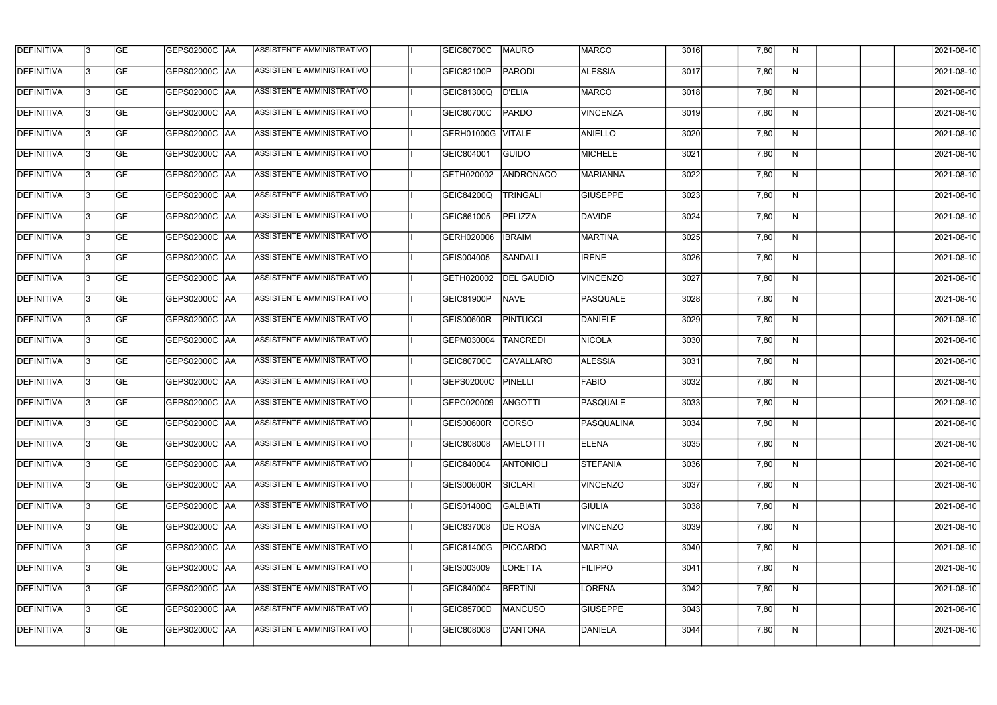| <b>DEFINITIVA</b> | 13 | GE        | GEPS02000C  AA       | ASSISTENTE AMMINISTRATIVO        | <b>GEIC80700C</b> | MAURO             | <b>MARCO</b>      | 3016 | 7,80 | N, | 2021-08-10       |
|-------------------|----|-----------|----------------------|----------------------------------|-------------------|-------------------|-------------------|------|------|----|------------------|
| <b>DEFINITIVA</b> | IЗ | GE        | GEPS02000C  AA       | ASSISTENTE AMMINISTRATIVO        | <b>GEIC82100P</b> | <b>PARODI</b>     | <b>ALESSIA</b>    | 3017 | 7,80 | N  | 2021-08-10       |
| <b>DEFINITIVA</b> | 13 | GE        | GEPS02000C  AA       | ASSISTENTE AMMINISTRATIVO        | <b>GEIC81300Q</b> | <b>D'ELIA</b>     | MARCO             | 3018 | 7,80 | N  | 2021-08-10       |
| <b>DEFINITIVA</b> | l3 | <b>GE</b> | <b>GEPS02000C AA</b> | ASSISTENTE AMMINISTRATIVO        | GEIC80700C        | PARDO             | <b>VINCENZA</b>   | 3019 | 7,80 | N  | 2021-08-10       |
| <b>DEFINITIVA</b> | l3 | GE        | GEPS02000C AA        | ASSISTENTE AMMINISTRATIVO        | <b>GERH01000G</b> | <b>VITALE</b>     | <b>ANIELLO</b>    | 3020 | 7,80 | N  | 2021-08-10       |
| <b>DEFINITIVA</b> | l3 | <b>GE</b> | <b>GEPS02000C AA</b> | <b>ASSISTENTE AMMINISTRATIVO</b> | GEIC804001        | GUIDO             | MICHELE           | 3021 | 7,80 | N  | 2021-08-10       |
| <b>DEFINITIVA</b> | l3 | <b>GE</b> | GEPS02000C AA        | ASSISTENTE AMMINISTRATIVO        | GETH020002        | ANDRONACO         | MARIANNA          | 3022 | 7,80 | N  | 2021-08-10       |
| <b>DEFINITIVA</b> | l3 | <b>GE</b> | GEPS02000C AA        | ASSISTENTE AMMINISTRATIVO        | GEIC84200Q        | <b>TRINGALI</b>   | <b>GIUSEPPE</b>   | 3023 | 7,80 | N  | 2021-08-10       |
| <b>DEFINITIVA</b> | IЗ | <b>GE</b> | GEPS02000C AA        | ASSISTENTE AMMINISTRATIVO        | GEIC861005        | PELIZZA           | DAVIDE            | 3024 | 7,80 | N  | 2021-08-10       |
| <b>DEFINITIVA</b> | l3 | GE        | GEPS02000C   AA      | ASSISTENTE AMMINISTRATIVO        | GERH020006        | <b>IBRAIM</b>     | <b>MARTINA</b>    | 3025 | 7,80 | N  | 2021-08-10       |
| DEFINITIVA        | 13 | GE        | GEPS02000C AA        | ASSISTENTE AMMINISTRATIVO        | GEIS004005        | SANDALI           | <b>IRENE</b>      | 3026 | 7,80 | N  | 2021-08-10       |
| <b>DEFINITIVA</b> | l3 | <b>GE</b> | GEPS02000C AA        | ASSISTENTE AMMINISTRATIVO        | GETH020002        | <b>DEL GAUDIO</b> | <b>VINCENZO</b>   | 3027 | 7,80 | N  | 2021-08-10       |
| <b>DEFINITIVA</b> | l3 | GE        | GEPS02000C  AA       | ASSISTENTE AMMINISTRATIVO        | GEIC81900P        | <b>NAVE</b>       | PASQUALE          | 3028 | 7,80 | N  | 2021-08-10       |
| <b>DEFINITIVA</b> | l3 | GE        | GEPS02000C AA        | ASSISTENTE AMMINISTRATIVO        | <b>GEIS00600R</b> | <b>PINTUCCI</b>   | DANIELE           | 3029 | 7,80 | N  | 2021-08-10       |
| <b>DEFINITIVA</b> | l3 | <b>GE</b> | GEPS02000C  AA       | ASSISTENTE AMMINISTRATIVO        | GEPM030004        | <b>TANCREDI</b>   | NICOLA            | 3030 | 7,80 | N  | 2021-08-10       |
| <b>DEFINITIVA</b> | 13 | GE        | GEPS02000C  AA       | ASSISTENTE AMMINISTRATIVO        | GEIC80700C        | <b>CAVALLARO</b>  | <b>ALESSIA</b>    | 3031 | 7,80 | N  | 2021-08-10       |
| <b>DEFINITIVA</b> | l3 | <b>GE</b> | GEPS02000C   AA      | ASSISTENTE AMMINISTRATIVO        | GEPS02000C        | PINELLI           | <b>FABIO</b>      | 3032 | 7,80 | N  | 2021-08-10       |
| <b>DEFINITIVA</b> | IЗ | <b>GE</b> | GEPS02000C  AA       | ASSISTENTE AMMINISTRATIVO        | GEPC020009        | <b>ANGOTTI</b>    | <b>PASQUALE</b>   | 3033 | 7,80 | N  | 2021-08-10       |
| <b>DEFINITIVA</b> | IЗ | GE        | GEPS02000C  AA       | <b>ASSISTENTE AMMINISTRATIVO</b> | <b>GEIS00600R</b> | <b>CORSO</b>      | <b>PASQUALINA</b> | 3034 | 7,80 | N, | 2021-08-10       |
| <b>DEFINITIVA</b> | l3 | GE        | GEPS02000C AA        | ASSISTENTE AMMINISTRATIVO        | GEIC808008        | <b>AMELOTTI</b>   | <b>ELENA</b>      | 3035 | 7,80 | N  | 2021-08-10       |
| <b>DEFINITIVA</b> | l3 | GE        | GEPS02000C AA        | ASSISTENTE AMMINISTRATIVO        | GEIC840004        | <b>ANTONIOLI</b>  | <b>STEFANIA</b>   | 3036 | 7,80 | N  | 2021-08-10       |
| <b>DEFINITIVA</b> | 13 | <b>GE</b> | GEPS02000C AA        | ASSISTENTE AMMINISTRATIVO        | <b>GEIS00600R</b> | SICLARI           | <b>VINCENZO</b>   | 3037 | 7,80 | N  | $2021 - 08 - 10$ |
| <b>DEFINITIVA</b> | IЗ | <b>GE</b> | GEPS02000C AA        | ASSISTENTE AMMINISTRATIVO        | GEIS01400Q        | <b>GALBIATI</b>   | <b>GIULIA</b>     | 3038 | 7,80 | N  | 2021-08-10       |
| <b>DEFINITIVA</b> | 13 | <b>GE</b> | GEPS02000C AA        | ASSISTENTE AMMINISTRATIVO        | GEIC837008        | <b>DE ROSA</b>    | <b>VINCENZO</b>   | 3039 | 7,80 | N  | 2021-08-10       |
| <b>DEFINITIVA</b> | l3 | <b>GE</b> | GEPS02000C  AA       | ASSISTENTE AMMINISTRATIVO        | GEIC81400G        | <b>PICCARDO</b>   | <b>MARTINA</b>    | 3040 | 7,80 | N  | 2021-08-10       |
| <b>DEFINITIVA</b> | l3 | <b>GE</b> | GEPS02000C  AA       | ASSISTENTE AMMINISTRATIVO        | GEIS003009        | LORETTA           | <b>FILIPPO</b>    | 3041 | 7,80 | N  | 2021-08-10       |
| <b>DEFINITIVA</b> | l3 | GE        | GEPS02000C  AA       | ASSISTENTE AMMINISTRATIVO        | GEIC840004        | <b>BERTINI</b>    | LORENA            | 3042 | 7,80 | N  | 2021-08-10       |
| <b>DEFINITIVA</b> | l3 | GE        | GEPS02000C AA        | ASSISTENTE AMMINISTRATIVO        | GEIC85700D        | <b>MANCUSO</b>    | <b>GIUSEPPE</b>   | 3043 | 7,80 | N  | 2021-08-10       |
| <b>DEFINITIVA</b> | l3 | GE        | GEPS02000C  AA       | ASSISTENTE AMMINISTRATIVO        | GEIC808008        | D'ANTONA          | DANIELA           | 3044 | 7,80 | N  | 2021-08-10       |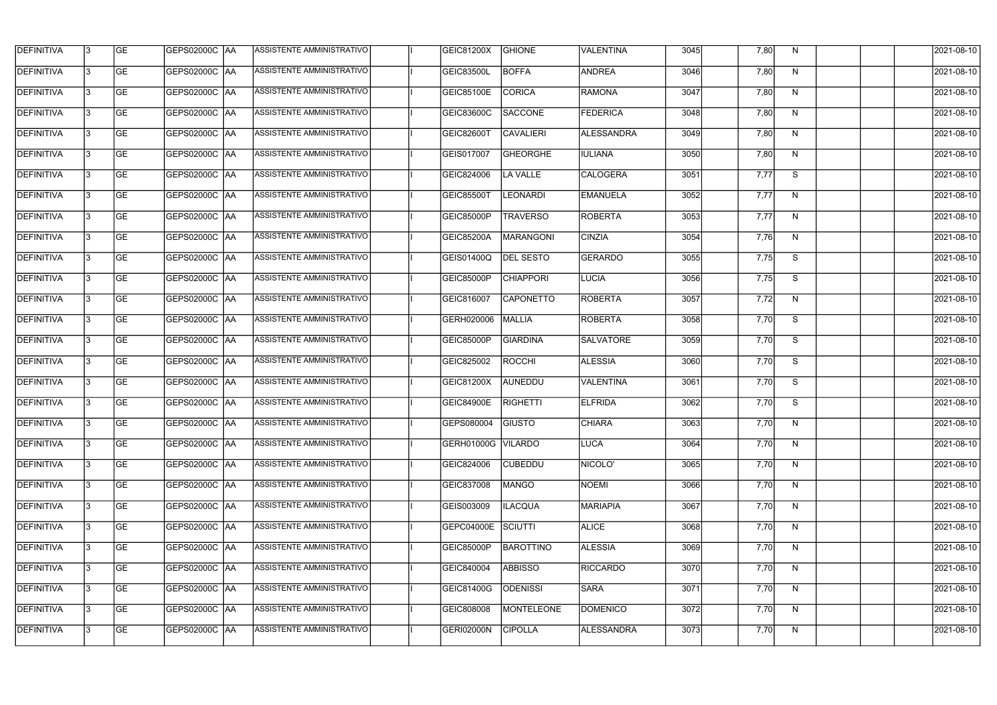| <b>DEFINITIVA</b> | 13 | GE        | GEPS02000C  AA       | ASSISTENTE AMMINISTRATIVO        | GEIC81200X         | <b>GHIONE</b>    | VALENTINA         | 3045 | 7,80 | N, | 2021-08-10       |
|-------------------|----|-----------|----------------------|----------------------------------|--------------------|------------------|-------------------|------|------|----|------------------|
| <b>DEFINITIVA</b> | IЗ | GE        | GEPS02000C   AA      | ASSISTENTE AMMINISTRATIVO        | <b>GEIC83500L</b>  | <b>BOFFA</b>     | <b>ANDREA</b>     | 3046 | 7,80 | N  | 2021-08-10       |
| <b>DEFINITIVA</b> | 13 | <b>GE</b> | <b>GEPS02000C AA</b> | ASSISTENTE AMMINISTRATIVO        | <b>GEIC85100E</b>  | <b>CORICA</b>    | RAMONA            | 3047 | 7,80 | N  | 2021-08-10       |
| <b>DEFINITIVA</b> | l3 | <b>GE</b> | <b>GEPS02000C AA</b> | ASSISTENTE AMMINISTRATIVO        | GEIC83600C         | <b>SACCONE</b>   | FEDERICA          | 3048 | 7,80 | N  | 2021-08-10       |
| <b>DEFINITIVA</b> | l3 | GE        | GEPS02000C AA        | ASSISTENTE AMMINISTRATIVO        | <b>GEIC82600T</b>  | <b>CAVALIERI</b> | <b>ALESSANDRA</b> | 3049 | 7,80 | N  | 2021-08-10       |
| <b>DEFINITIVA</b> | l3 | <b>GE</b> | <b>GEPS02000C AA</b> | <b>ASSISTENTE AMMINISTRATIVO</b> | GEIS017007         | <b>GHEORGHE</b>  | <b>IULIANA</b>    | 3050 | 7,80 | N  | 2021-08-10       |
| <b>DEFINITIVA</b> | l3 | <b>GE</b> | GEPS02000C AA        | ASSISTENTE AMMINISTRATIVO        | GEIC824006         | <b>LA VALLE</b>  | CALOGERA          | 3051 | 7,77 | S  | 2021-08-10       |
| <b>DEFINITIVA</b> | l3 | <b>GE</b> | GEPS02000C AA        | <b>ASSISTENTE AMMINISTRATIVO</b> | <b>GEIC85500T</b>  | <b>LEONARDI</b>  | EMANUELA          | 3052 | 7,77 | N  | 2021-08-10       |
| <b>DEFINITIVA</b> | l3 | <b>GE</b> | GEPS02000C AA        | ASSISTENTE AMMINISTRATIVO        | <b>GEIC85000P</b>  | <b>TRAVERSO</b>  | <b>ROBERTA</b>    | 3053 | 7,77 | N  | 2021-08-10       |
| <b>DEFINITIVA</b> | l3 | GE        | GEPS02000C   AA      | ASSISTENTE AMMINISTRATIVO        | <b>GEIC85200A</b>  | MARANGONI        | <b>CINZIA</b>     | 3054 | 7,76 | N  | 2021-08-10       |
| DEFINITIVA        | 13 | <b>GE</b> | GEPS02000C AA        | ASSISTENTE AMMINISTRATIVO        | GEIS01400Q         | <b>DEL SESTO</b> | GERARDO           | 3055 | 7,75 | S  | 2021-08-10       |
| <b>DEFINITIVA</b> | l3 | <b>GE</b> | GEPS02000C AA        | ASSISTENTE AMMINISTRATIVO        | GEIC85000P         | <b>CHIAPPORI</b> | <b>LUCIA</b>      | 3056 | 7,75 | S  | 2021-08-10       |
| <b>DEFINITIVA</b> | l3 | GE        | GEPS02000C  AA       | ASSISTENTE AMMINISTRATIVO        | GEIC816007         | <b>CAPONETTO</b> | ROBERTA           | 3057 | 7,72 | N  | 2021-08-10       |
| <b>DEFINITIVA</b> | l3 | <b>GE</b> | GEPS02000C AA        | ASSISTENTE AMMINISTRATIVO        | GERH020006         | MALLIA           | <b>ROBERTA</b>    | 3058 | 7,70 | S  | 2021-08-10       |
| <b>DEFINITIVA</b> | l3 | <b>GE</b> | GEPS02000C AA        | ASSISTENTE AMMINISTRATIVO        | <b>GEIC85000P</b>  | <b>GIARDINA</b>  | SALVATORE         | 3059 | 7,70 | S  | 2021-08-10       |
| <b>DEFINITIVA</b> | 13 | GE        | GEPS02000C AA        | ASSISTENTE AMMINISTRATIVO        | GEIC825002         | ROCCHI           | <b>ALESSIA</b>    | 3060 | 7,70 | S  | 2021-08-10       |
| <b>DEFINITIVA</b> | l3 | <b>GE</b> | GEPS02000C   AA      | ASSISTENTE AMMINISTRATIVO        | GEIC81200X         | AUNEDDU          | VALENTINA         | 3061 | 7,70 | S  | 2021-08-10       |
| <b>DEFINITIVA</b> | IЗ | <b>GE</b> | GEPS02000C  AA       | ASSISTENTE AMMINISTRATIVO        | <b>GEIC84900E</b>  | <b>RIGHETTI</b>  | <b>ELFRIDA</b>    | 3062 | 7,70 | S  | 2021-08-10       |
| <b>DEFINITIVA</b> | IЗ | GE        | GEPS02000C  AA       | <b>ASSISTENTE AMMINISTRATIVO</b> | GEPS080004 GIUSTO  |                  | <b>CHIARA</b>     | 3063 | 7,70 | N, | 2021-08-10       |
| <b>DEFINITIVA</b> | l3 | GE        | GEPS02000C AA        | ASSISTENTE AMMINISTRATIVO        | GERH01000G VILARDO |                  | LUCA              | 3064 | 7,70 | N  | 2021-08-10       |
| <b>DEFINITIVA</b> | l3 | GE        | GEPS02000C AA        | ASSISTENTE AMMINISTRATIVO        | GEIC824006         | <b>CUBEDDU</b>   | NICOLO'           | 3065 | 7,70 | N  | 2021-08-10       |
| <b>DEFINITIVA</b> | 13 | <b>GE</b> | GEPS02000C AA        | ASSISTENTE AMMINISTRATIVO        | GEIC837008         | <b>MANGO</b>     | NOEMI             | 3066 | 7,70 | N  | $2021 - 08 - 10$ |
| <b>DEFINITIVA</b> | l3 | <b>GE</b> | GEPS02000C AA        | ASSISTENTE AMMINISTRATIVO        | GEIS003009         | <b>ILACQUA</b>   | MARIAPIA          | 3067 | 7,70 | N  | 2021-08-10       |
| <b>DEFINITIVA</b> | 13 | <b>GE</b> | GEPS02000C AA        | ASSISTENTE AMMINISTRATIVO        | GEPC04000E SCIUTTI |                  | <b>ALICE</b>      | 3068 | 7,70 | N  | 2021-08-10       |
| <b>DEFINITIVA</b> | l3 | <b>GE</b> | GEPS02000C  AA       | ASSISTENTE AMMINISTRATIVO        | GEIC85000P         | <b>BAROTTINO</b> | <b>ALESSIA</b>    | 3069 | 7,70 | N  | 2021-08-10       |
| <b>DEFINITIVA</b> | l3 | <b>GE</b> | GEPS02000C  AA       | ASSISTENTE AMMINISTRATIVO        | GEIC840004         | <b>ABBISSO</b>   | <b>RICCARDO</b>   | 3070 | 7,70 | N  | 2021-08-10       |
| <b>DEFINITIVA</b> | l3 | GE        | GEPS02000C  AA       | ASSISTENTE AMMINISTRATIVO        | <b>GEIC81400G</b>  | <b>ODENISSI</b>  | <b>SARA</b>       | 3071 | 7,70 | N  | 2021-08-10       |
| <b>DEFINITIVA</b> | l3 | GE        | GEPS02000C AA        | ASSISTENTE AMMINISTRATIVO        | GEIC808008         | MONTELEONE       | <b>DOMENICO</b>   | 3072 | 7,70 | N  | 2021-08-10       |
| <b>DEFINITIVA</b> | l3 | GE        | GEPS02000C  AA       | ASSISTENTE AMMINISTRATIVO        | <b>GERI02000N</b>  | <b>CIPOLLA</b>   | ALESSANDRA        | 3073 | 7,70 | N  | 2021-08-10       |
|                   |    |           |                      |                                  |                    |                  |                   |      |      |    |                  |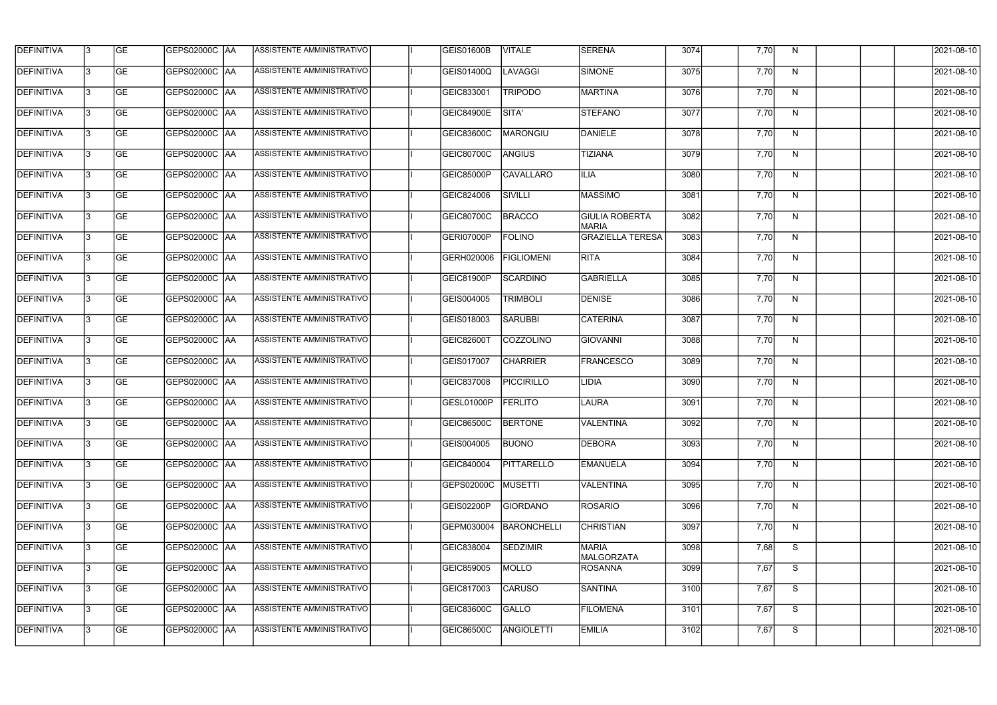| <b>DEFINITIVA</b> | 13 | GE        | GEPS02000C  AA       | ASSISTENTE AMMINISTRATIVO        | <b>GEIS01600B</b> | <b>VITALE</b>     | <b>SERENA</b>                         | 3074 | 7,70 | N, | 2021-08-10       |
|-------------------|----|-----------|----------------------|----------------------------------|-------------------|-------------------|---------------------------------------|------|------|----|------------------|
| <b>DEFINITIVA</b> | IЗ | GE        | GEPS02000C   AA      | ASSISTENTE AMMINISTRATIVO        | GEIS01400Q        | LAVAGGI           | SIMONE                                | 3075 | 7,70 | N  | 2021-08-10       |
| <b>DEFINITIVA</b> | 13 | <b>GE</b> | GEPS02000C AA        | ASSISTENTE AMMINISTRATIVO        | GEIC833001        | <b>TRIPODO</b>    | MARTINA                               | 3076 | 7,70 | N  | 2021-08-10       |
| <b>DEFINITIVA</b> | l3 | <b>GE</b> | <b>GEPS02000C AA</b> | ASSISTENTE AMMINISTRATIVO        | <b>GEIC84900E</b> | SITA'             | STEFANO                               | 3077 | 7,70 | N  | 2021-08-10       |
| <b>DEFINITIVA</b> | l3 | GE        | GEPS02000C AA        | ASSISTENTE AMMINISTRATIVO        | <b>GEIC83600C</b> | MARONGIU          | DANIELE                               | 3078 | 7,70 | N  | 2021-08-10       |
| <b>DEFINITIVA</b> | l3 | <b>GE</b> | GEPS02000C AA        | <b>ASSISTENTE AMMINISTRATIVO</b> | GEIC80700C        | <b>ANGIUS</b>     | <b>TIZIANA</b>                        | 3079 | 7,70 | N  | 2021-08-10       |
| <b>DEFINITIVA</b> | l3 | <b>GE</b> | GEPS02000C AA        | ASSISTENTE AMMINISTRATIVO        | <b>GEIC85000P</b> | <b>CAVALLARO</b>  | ILIA.                                 | 3080 | 7,70 | N  | 2021-08-10       |
| <b>DEFINITIVA</b> | l3 | <b>GE</b> | GEPS02000C AA        | <b>ASSISTENTE AMMINISTRATIVO</b> | GEIC824006        | SIVILLI           | <b>MASSIMO</b>                        | 3081 | 7,70 | N  | 2021-08-10       |
| <b>DEFINITIVA</b> | IЗ | <b>GE</b> | GEPS02000C AA        | ASSISTENTE AMMINISTRATIVO        | GEIC80700C        | <b>BRACCO</b>     | <b>GIULIA ROBERTA</b><br><b>MARIA</b> | 3082 | 7,70 | N  | 2021-08-10       |
| <b>DEFINITIVA</b> | l3 | GE        | GEPS02000C   AA      | ASSISTENTE AMMINISTRATIVO        | GERI07000P        | <b>FOLINO</b>     | <b>GRAZIELLA TERESA</b>               | 3083 | 7,70 | N  | 2021-08-10       |
| DEFINITIVA        | 13 | <b>GE</b> | GEPS02000C AA        | ASSISTENTE AMMINISTRATIVO        | GERH020006        | <b>FIGLIOMENI</b> | <b>RITA</b>                           | 3084 | 7,70 | N  | 2021-08-10       |
| <b>DEFINITIVA</b> | l3 | <b>GE</b> | GEPS02000C AA        | <b>ASSISTENTE AMMINISTRATIVO</b> | GEIC81900P        | SCARDINO          | <b>GABRIELLA</b>                      | 3085 | 7,70 | N  | 2021-08-10       |
| <b>DEFINITIVA</b> | l3 | GE        | GEPS02000C  AA       | ASSISTENTE AMMINISTRATIVO        | GEIS004005        | TRIMBOLI          | <b>DENISE</b>                         | 3086 | 7,70 | N  | 2021-08-10       |
| <b>DEFINITIVA</b> | l3 | <b>GE</b> | GEPS02000C AA        | ASSISTENTE AMMINISTRATIVO        | GEIS018003        | <b>SARUBBI</b>    | <b>CATERINA</b>                       | 3087 | 7,70 | N  | 2021-08-10       |
| <b>DEFINITIVA</b> | l3 | <b>GE</b> | GEPS02000C AA        | ASSISTENTE AMMINISTRATIVO        | <b>GEIC82600T</b> | COZZOLINO         | <b>GIOVANNI</b>                       | 3088 | 7,70 | N  | 2021-08-10       |
| <b>DEFINITIVA</b> | 13 | GE        | GEPS02000C  AA       | ASSISTENTE AMMINISTRATIVO        | GEIS017007        | <b>CHARRIER</b>   | <b>FRANCESCO</b>                      | 3089 | 7,70 | N  | 2021-08-10       |
| <b>DEFINITIVA</b> | l3 | <b>GE</b> | GEPS02000C   AA      | ASSISTENTE AMMINISTRATIVO        | GEIC837008        | PICCIRILLO        | <b>LIDIA</b>                          | 3090 | 7,70 | N  | 2021-08-10       |
| <b>DEFINITIVA</b> | IЗ | <b>GE</b> | GEPS02000C AA        | ASSISTENTE AMMINISTRATIVO        | GESL01000P        | <b>FERLITO</b>    | <b>LAURA</b>                          | 3091 | 7,70 | N  | 2021-08-10       |
| <b>DEFINITIVA</b> | IЗ | GE        | GEPS02000C  AA       | <b>ASSISTENTE AMMINISTRATIVO</b> | <b>GEIC86500C</b> | <b>BERTONE</b>    | VALENTINA                             | 3092 | 7,70 | N, | 2021-08-10       |
| <b>DEFINITIVA</b> | l3 | GE        | GEPS02000C AA        | ASSISTENTE AMMINISTRATIVO        | GEIS004005        | <b>BUONO</b>      | <b>DEBORA</b>                         | 3093 | 7,70 | N  | 2021-08-10       |
| <b>DEFINITIVA</b> | l3 | GE        | GEPS02000C AA        | ASSISTENTE AMMINISTRATIVO        | GEIC840004        | PITTARELLO        | EMANUELA                              | 3094 | 7,70 | N  | 2021-08-10       |
| <b>DEFINITIVA</b> | 13 | <b>GE</b> | GEPS02000C AA        | ASSISTENTE AMMINISTRATIVO        | GEPS02000C        | MUSETTI           | VALENTINA                             | 3095 | 7,70 | N  | $2021 - 08 - 10$ |
| <b>DEFINITIVA</b> | l3 | <b>GE</b> | GEPS02000C AA        | ASSISTENTE AMMINISTRATIVO        | GEIS02200P        | <b>GIORDANO</b>   | <b>ROSARIO</b>                        | 3096 | 7,70 | N  | 2021-08-10       |
| <b>DEFINITIVA</b> | 13 | <b>GE</b> | GEPS02000C AA        | ASSISTENTE AMMINISTRATIVO        | GEPM030004        | BARONCHELLI       | <b>CHRISTIAN</b>                      | 3097 | 7,70 | N  | 2021-08-10       |
| <b>DEFINITIVA</b> | l3 | <b>GE</b> | GEPS02000C  AA       | ASSISTENTE AMMINISTRATIVO        | GEIC838004        | <b>SEDZIMIR</b>   | <b>MARIA</b><br><b>MALGORZATA</b>     | 3098 | 7,68 | S  | 2021-08-10       |
| <b>DEFINITIVA</b> | l3 | <b>GE</b> | GEPS02000C  AA       | ASSISTENTE AMMINISTRATIVO        | GEIC859005        | <b>MOLLO</b>      | ROSANNA                               | 3099 | 7,67 | S  | 2021-08-10       |
| <b>DEFINITIVA</b> | l3 | GE        | GEPS02000C  AA       | ASSISTENTE AMMINISTRATIVO        | GEIC817003        | <b>CARUSO</b>     | SANTINA                               | 3100 | 7,67 | S  | 2021-08-10       |
| <b>DEFINITIVA</b> | l3 | GE        | GEPS02000C AA        | ASSISTENTE AMMINISTRATIVO        | GEIC83600C        | <b>GALLO</b>      | <b>FILOMENA</b>                       | 3101 | 7,67 | S  | 2021-08-10       |
| <b>DEFINITIVA</b> | l3 | GE        | GEPS02000C  AA       | ASSISTENTE AMMINISTRATIVO        | GEIC86500C        | ANGIOLETTI        | <b>EMILIA</b>                         | 3102 | 7,67 | S  | 2021-08-10       |
|                   |    |           |                      |                                  |                   |                   |                                       |      |      |    |                  |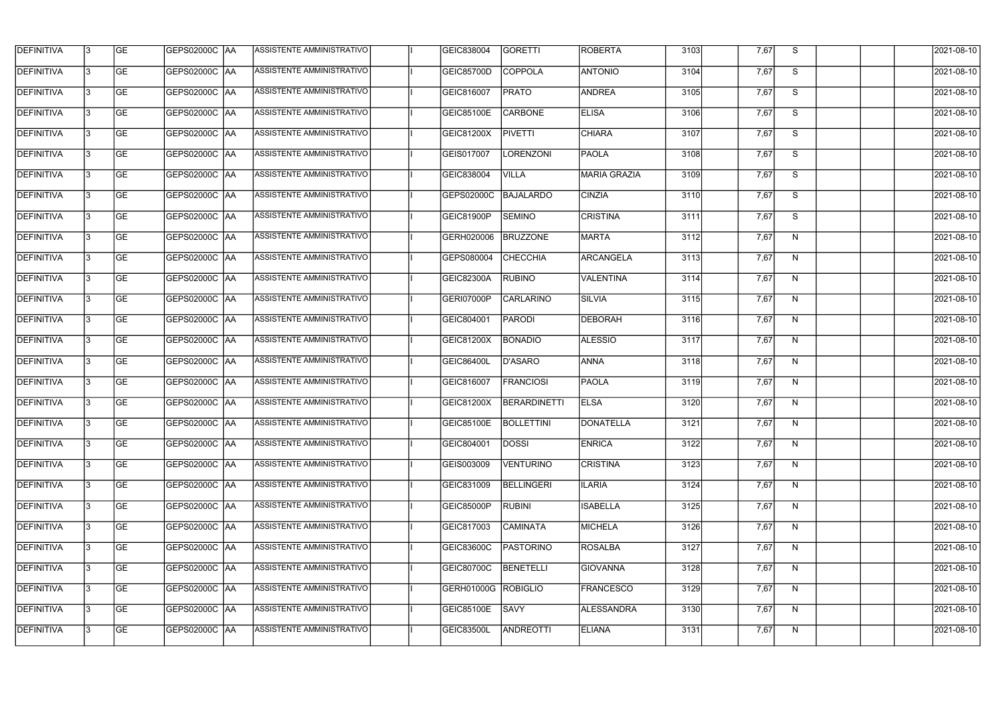| <b>DEFINITIVA</b> | l3 | GE                       | <b>GEPS02000C AA</b> | ASSISTENTE AMMINISTRATIVO        | GEIC838004          | <b>GORETTI</b>      | <b>ROBERTA</b>   | 3103 | 7,67 | S              | 2021-08-10          |
|-------------------|----|--------------------------|----------------------|----------------------------------|---------------------|---------------------|------------------|------|------|----------------|---------------------|
| <b>DEFINITIVA</b> | IЗ | $\overline{\mathsf{GE}}$ | GEPS02000C AA        | ASSISTENTE AMMINISTRATIVO        | GEIC85700D          | COPPOLA             | <b>ANTONIO</b>   | 3104 | 7,67 | S              | 2021-08-10          |
| <b>DEFINITIVA</b> | l3 | GE                       | GEPS02000C AA        | ASSISTENTE AMMINISTRATIVO        | GEIC816007          | <b>PRATO</b>        | <b>ANDREA</b>    | 3105 | 7,67 | S              | 2021-08-10          |
| <b>DEFINITIVA</b> | l3 | GE                       | GEPS02000C AA        | ASSISTENTE AMMINISTRATIVO        | <b>GEIC85100E</b>   | <b>CARBONE</b>      | <b>ELISA</b>     | 3106 | 7,67 | S              | 2021-08-10          |
| <b>DEFINITIVA</b> | l3 | <b>GE</b>                | GEPS02000C AA        | ASSISTENTE AMMINISTRATIVO        | GEIC81200X          | <b>PIVETTI</b>      | <b>CHIARA</b>    | 3107 | 7,67 | $\overline{s}$ | 2021-08-10          |
| <b>DEFINITIVA</b> | IЗ | <b>GE</b>                | <b>GEPS02000C AA</b> | <b>ASSISTENTE AMMINISTRATIVO</b> | GEIS017007          | <b>LORENZONI</b>    | <b>PAOLA</b>     | 3108 | 7,67 | S              | 2021-08-10          |
| <b>DEFINITIVA</b> | l3 | <b>GE</b>                | GEPS02000C AA        | ASSISTENTE AMMINISTRATIVO        | GEIC838004          | <b>VILLA</b>        | MARIA GRAZIA     | 3109 | 7,67 | S              | 2021-08-10          |
| <b>DEFINITIVA</b> | l3 | <b>GE</b>                | GEPS02000C   AA      | ASSISTENTE AMMINISTRATIVO        | GEPS02000C          | BAJALARDO           | <b>CINZIA</b>    | 3110 | 7,67 | S              | 2021-08-10          |
| <b>DEFINITIVA</b> | IЗ | <b>GE</b>                | GEPS02000C   AA      | ASSISTENTE AMMINISTRATIVO        | GEIC81900P          | <b>SEMINO</b>       | <b>CRISTINA</b>  | 3111 | 7,67 | S              | 2021-08-10          |
| <b>DEFINITIVA</b> | l3 | GE                       | GEPS02000C AA        | ASSISTENTE AMMINISTRATIVO        | GERH020006          | <b>BRUZZONE</b>     | <b>MARTA</b>     | 3112 | 7,67 | N              | 2021-08-10          |
| <b>DEFINITIVA</b> | l3 | GE                       | GEPS02000C AA        | ASSISTENTE AMMINISTRATIVO        | GEPS080004          | <b>CHECCHIA</b>     | ARCANGELA        | 3113 | 7,67 | N              | 2021-08-10          |
| <b>DEFINITIVA</b> | l3 | GE                       | GEPS02000C   AA      | ASSISTENTE AMMINISTRATIVO        | GEIC82300A          | <b>RUBINO</b>       | VALENTINA        | 3114 | 7,67 | N              | 2021-08-10          |
| <b>DEFINITIVA</b> | l3 | <b>GE</b>                | GEPS02000C AA        | ASSISTENTE AMMINISTRATIVO        | GERI07000P          | CARLARINO           | <b>SILVIA</b>    | 3115 | 7,67 | N              | 2021-08-10          |
| <b>DEFINITIVA</b> | IЗ | <b>GE</b>                | GEPS02000C AA        | ASSISTENTE AMMINISTRATIVO        | GEIC804001          | <b>PARODI</b>       | <b>DEBORAH</b>   | 3116 | 7,67 | N              | 2021-08-10          |
| <b>DEFINITIVA</b> | 13 | GE                       | GEPS02000C AA        | ASSISTENTE AMMINISTRATIVO        | GEIC81200X          | <b>BONADIO</b>      | <b>ALESSIO</b>   | 3117 | 7,67 | N              | 2021-08-10          |
| <b>DEFINITIVA</b> | l3 | <b>GE</b>                | GEPS02000C  AA       | ASSISTENTE AMMINISTRATIVO        | <b>GEIC86400L</b>   | <b>D'ASARO</b>      | <b>ANNA</b>      | 3118 | 7,67 | N              | 2021-08-10          |
| <b>DEFINITIVA</b> | IЗ | GE                       | GEPS02000C  AA       | ASSISTENTE AMMINISTRATIVO        | GEIC816007          | <b>FRANCIOSI</b>    | <b>FAOLA</b>     | 3119 | 7,67 | N              | 2021-08-10          |
| <b>DEFINITIVA</b> | l3 | GE                       | GEPS02000C   AA      | ASSISTENTE AMMINISTRATIVO        | GEIC81200X          | <b>BERARDINETTI</b> | <b>ELSA</b>      | 3120 | 7,67 | N              | 2021-08-10          |
| DEFINITIVA        | 13 | <b>GE</b>                | GEPS02000C  AA       | ASSISTENTE AMMINISTRATIVO        | <b>GEIC85100E</b>   | <b>BOLLETTINI</b>   | <b>DONATELLA</b> | 3121 | 7,67 | N              | 2021-08-10          |
| <b>DEFINITIVA</b> | l3 | GE                       | <b>GEPS02000C AA</b> | ASSISTENTE AMMINISTRATIVO        | GEIC804001          | <b>DOSSI</b>        | <b>ENRICA</b>    | 3122 | 7,67 | N              | 2021-08-10          |
| <b>DEFINITIVA</b> | 13 | GE                       |                      | ASSISTENTE AMMINISTRATIVO        | GEIS003009          | <b>VENTURINO</b>    | <b>CRISTINA</b>  | 3123 | 7,67 | N              | 2021-08-10          |
| <b>DEFINITIVA</b> | l3 | GE                       | GEPS02000C AA        | ASSISTENTE AMMINISTRATIVO        | GEIC831009          | <b>BELLINGERI</b>   | <b>ILARIA</b>    | 3124 | 7,67 | N              | 2021-08-10          |
| <b>DEFINITIVA</b> | 13 | <b>GE</b>                | GEPS02000C AA        | ASSISTENTE AMMINISTRATIVO        | GEIC85000P          | <b>RUBINI</b>       | <b>ISABELLA</b>  | 3125 | 7,67 | N              | 2021-08-10          |
| <b>DEFINITIVA</b> | l3 | <b>GE</b>                | GEPS02000C  AA       | ASSISTENTE AMMINISTRATIVO        | GEIC817003          | <b>CAMINATA</b>     | MICHELA          | 3126 | 7,67 | N              | 2021-08-10          |
| <b>DEFINITIVA</b> | l3 | <b>GE</b>                | GEPS02000C  AA       | ASSISTENTE AMMINISTRATIVO        | <b>GEIC83600C</b>   | PASTORINO           | <b>ROSALBA</b>   | 3127 | 7,67 | N              | 2021-08-10          |
| <b>DEFINITIVA</b> | l3 | <b>GE</b>                | GEPS02000C AA        | ASSISTENTE AMMINISTRATIVO        | <b>GEIC80700C</b>   | <b>BENETELLI</b>    | <b>GIOVANNA</b>  | 3128 | 7,67 | N              | 2021-08-10          |
| <b>DEFINITIVA</b> | l3 | <b>GE</b>                | GEPS02000C AA        | ASSISTENTE AMMINISTRATIVO        | GERH01000G ROBIGLIO |                     | <b>FRANCESCO</b> | 3129 | 7,67 | N              | 2021-08-10          |
| <b>DEFINITIVA</b> | 13 | GE                       | GEPS02000C AA        | ASSISTENTE AMMINISTRATIVO        | GEIC85100E          | SAVY                | ALESSANDRA       | 3130 | 7,67 | N              | 2021-08-10          |
| DEFINITIVA        | l3 | GE                       |                      | ASSISTENTE AMMINISTRATIVO        | <b>GEIC83500L</b>   | <b>ANDREOTTI</b>    | <b>ELIANA</b>    | 3131 | 7,67 | N              | $\sqrt{2021-08-10}$ |
|                   |    |                          |                      |                                  |                     |                     |                  |      |      |                |                     |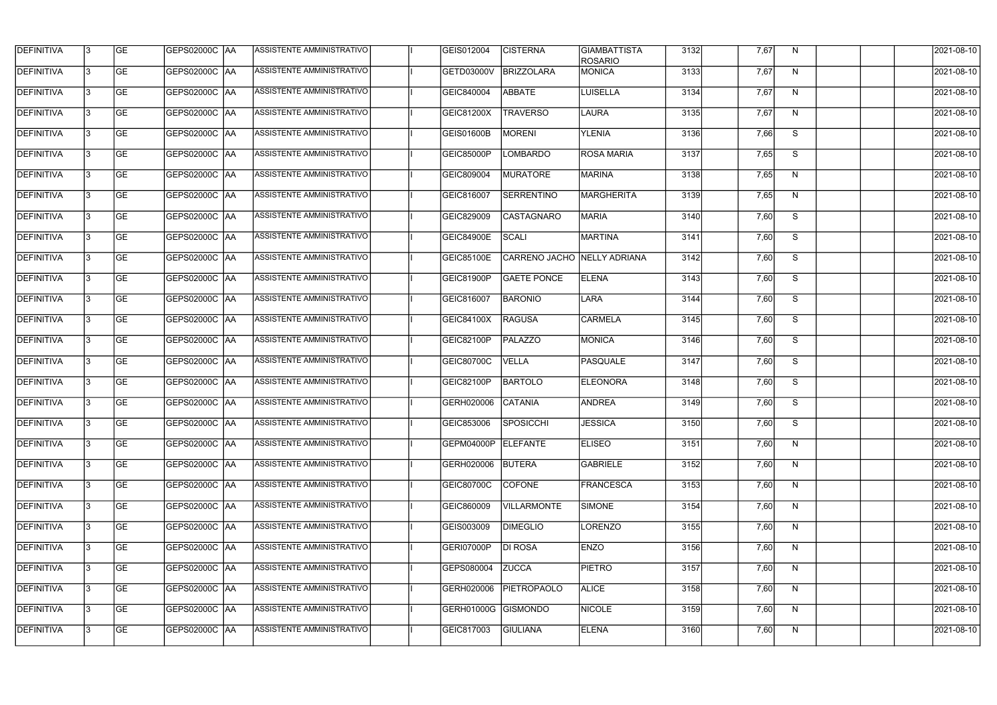| <b>DEFINITIVA</b> | l3 | GE        | GEPS02000C  AA       | ASSISTENTE AMMINISTRATIVO        | GEIS012004           | <b>CISTERNA</b>             | <b>GIAMBATTISTA</b><br><b>ROSARIO</b> | 3132 | 7,67 | N  | 2021-08-10       |
|-------------------|----|-----------|----------------------|----------------------------------|----------------------|-----------------------------|---------------------------------------|------|------|----|------------------|
| <b>DEFINITIVA</b> | IЗ | GE        | GEPS02000C   AA      | ASSISTENTE AMMINISTRATIVO        | GETD03000V           | BRIZZOLARA                  | MONICA                                | 3133 | 7,67 | N  | 2021-08-10       |
| <b>DEFINITIVA</b> | 13 | <b>GE</b> | <b>GEPS02000C AA</b> | ASSISTENTE AMMINISTRATIVO        | GEIC840004           | ABBATE                      | <b>LUISELLA</b>                       | 3134 | 7,67 | N  | 2021-08-10       |
| <b>DEFINITIVA</b> | l3 | <b>GE</b> | <b>GEPS02000C AA</b> | ASSISTENTE AMMINISTRATIVO        | GEIC81200X           | <b>TRAVERSO</b>             | LAURA                                 | 3135 | 7,67 | N  | 2021-08-10       |
| <b>DEFINITIVA</b> | l3 | GE        | GEPS02000C AA        | ASSISTENTE AMMINISTRATIVO        | <b>GEIS01600B</b>    | <b>MORENI</b>               | <b>YLENIA</b>                         | 3136 | 7,66 | S  | 2021-08-10       |
| <b>DEFINITIVA</b> | l3 | <b>GE</b> | <b>GEPS02000C AA</b> | <b>ASSISTENTE AMMINISTRATIVO</b> | <b>GEIC85000P</b>    | <b>LOMBARDO</b>             | <b>ROSA MARIA</b>                     | 3137 | 7,65 | S  | 2021-08-10       |
| <b>DEFINITIVA</b> | l3 | <b>GE</b> | GEPS02000C AA        | ASSISTENTE AMMINISTRATIVO        | GEIC809004           | <b>MURATORE</b>             | MARINA                                | 3138 | 7,65 | N  | 2021-08-10       |
| <b>DEFINITIVA</b> | l3 | <b>GE</b> | <b>GEPS02000C AA</b> | <b>ASSISTENTE AMMINISTRATIVO</b> | GEIC816007           | SERRENTINO                  | MARGHERITA                            | 3139 | 7,65 | N  | 2021-08-10       |
| <b>DEFINITIVA</b> | l3 | <b>GE</b> | GEPS02000C AA        | ASSISTENTE AMMINISTRATIVO        | GEIC829009           | <b>CASTAGNARO</b>           | <b>MARIA</b>                          | 3140 | 7,60 | S  | 2021-08-10       |
| <b>DEFINITIVA</b> | l3 | GE        | GEPS02000C   AA      | ASSISTENTE AMMINISTRATIVO        | <b>GEIC84900E</b>    | <b>SCALI</b>                | <b>MARTINA</b>                        | 3141 | 7,60 | S  | 2021-08-10       |
| <b>DEFINITIVA</b> | 13 | <b>GE</b> | GEPS02000C AA        | ASSISTENTE AMMINISTRATIVO        | <b>GEIC85100E</b>    | CARRENO JACHO NELLY ADRIANA |                                       | 3142 | 7,60 | S  | 2021-08-10       |
| <b>DEFINITIVA</b> | l3 | <b>GE</b> | GEPS02000C AA        | ASSISTENTE AMMINISTRATIVO        | GEIC81900P           | <b>GAETE PONCE</b>          | <b>ELENA</b>                          | 3143 | 7,60 | S  | 2021-08-10       |
| <b>DEFINITIVA</b> | l3 | GE        | GEPS02000C  AA       | ASSISTENTE AMMINISTRATIVO        | GEIC816007           | <b>BARONIO</b>              | LARA                                  | 3144 | 7,60 | S  | 2021-08-10       |
| <b>DEFINITIVA</b> | l3 | <b>GE</b> | GEPS02000C AA        | ASSISTENTE AMMINISTRATIVO        | GEIC84100X           | <b>RAGUSA</b>               | <b>CARMELA</b>                        | 3145 | 7,60 | S  | 2021-08-10       |
| <b>DEFINITIVA</b> | l3 | <b>GE</b> | GEPS02000C AA        | ASSISTENTE AMMINISTRATIVO        | GEIC82100P           | <b>PALAZZO</b>              | MONICA                                | 3146 | 7,60 | S  | 2021-08-10       |
| <b>DEFINITIVA</b> | l3 | GE        | GEPS02000C  AA       | ASSISTENTE AMMINISTRATIVO        | GEIC80700C           | <b>VELLA</b>                | <b>PASQUALE</b>                       | 3147 | 7,60 | S  | 2021-08-10       |
| <b>DEFINITIVA</b> | l3 | <b>GE</b> | GEPS02000C   AA      | ASSISTENTE AMMINISTRATIVO        | GEIC82100P           | BARTOLO                     | <b>ELEONORA</b>                       | 3148 | 7,60 | S  | 2021-08-10       |
| <b>DEFINITIVA</b> | IЗ | <b>GE</b> | GEPS02000C AA        | ASSISTENTE AMMINISTRATIVO        | GERH020006           | <b>CATANIA</b>              | <b>ANDREA</b>                         | 3149 | 7,60 | S  | 2021-08-10       |
| <b>DEFINITIVA</b> | IЗ | GE        | GEPS02000C  AA       | <b>ASSISTENTE AMMINISTRATIVO</b> | GEIC853006 SPOSICCHI |                             | JESSICA                               | 3150 | 7,60 | S. | 2021-08-10       |
| <b>DEFINITIVA</b> | l3 | GE        | <b>GEPS02000C AA</b> | ASSISTENTE AMMINISTRATIVO        | GEPM04000P ELEFANTE  |                             | <b>ELISEO</b>                         | 3151 | 7,60 | N  | 2021-08-10       |
| <b>DEFINITIVA</b> | l3 | GE        | <b>GEPS02000C AA</b> | ASSISTENTE AMMINISTRATIVO        | GERH020006           | BUTERA                      | GABRIELE                              | 3152 | 7,60 | N  | 2021-08-10       |
| <b>DEFINITIVA</b> | 13 | <b>GE</b> | GEPS02000C AA        | ASSISTENTE AMMINISTRATIVO        | <b>GEIC80700C</b>    | <b>COFONE</b>               | FRANCESCA                             | 3153 | 7,60 | N  | $2021 - 08 - 10$ |
| <b>DEFINITIVA</b> | l3 | <b>GE</b> | GEPS02000C AA        | ASSISTENTE AMMINISTRATIVO        | GEIC860009           | <b>VILLARMONTE</b>          | SIMONE                                | 3154 | 7,60 | N  | 2021-08-10       |
| <b>DEFINITIVA</b> | 13 | <b>GE</b> | GEPS02000C AA        | ASSISTENTE AMMINISTRATIVO        | GEIS003009           | <b>DIMEGLIO</b>             | LORENZO                               | 3155 | 7,60 | N  | 2021-08-10       |
| <b>DEFINITIVA</b> | l3 | <b>GE</b> | GEPS02000C  AA       | ASSISTENTE AMMINISTRATIVO        | GERI07000P           | <b>DI ROSA</b>              | <b>ENZO</b>                           | 3156 | 7,60 | N  | 2021-08-10       |
| <b>DEFINITIVA</b> | l3 | <b>GE</b> | GEPS02000C  AA       | ASSISTENTE AMMINISTRATIVO        | GEPS080004           | <b>ZUCCA</b>                | <b>PIETRO</b>                         | 3157 | 7,60 | N  | 2021-08-10       |
| <b>DEFINITIVA</b> | l3 | GE        | GEPS02000C  AA       | ASSISTENTE AMMINISTRATIVO        | GERH020006           | <b>PIETROPAOLO</b>          | <b>ALICE</b>                          | 3158 | 7,60 | N, | 2021-08-10       |
| <b>DEFINITIVA</b> | l3 | GE        | GEPS02000C AA        | ASSISTENTE AMMINISTRATIVO        | GERH01000G GISMONDO  |                             | <b>NICOLE</b>                         | 3159 | 7,60 | N  | 2021-08-10       |
| <b>DEFINITIVA</b> | l3 | GE        | GEPS02000C AA        | ASSISTENTE AMMINISTRATIVO        | GEIC817003           | <b>GIULIANA</b>             | <b>ELENA</b>                          | 3160 | 7,60 | N  | 2021-08-10       |
|                   |    |           |                      |                                  |                      |                             |                                       |      |      |    |                  |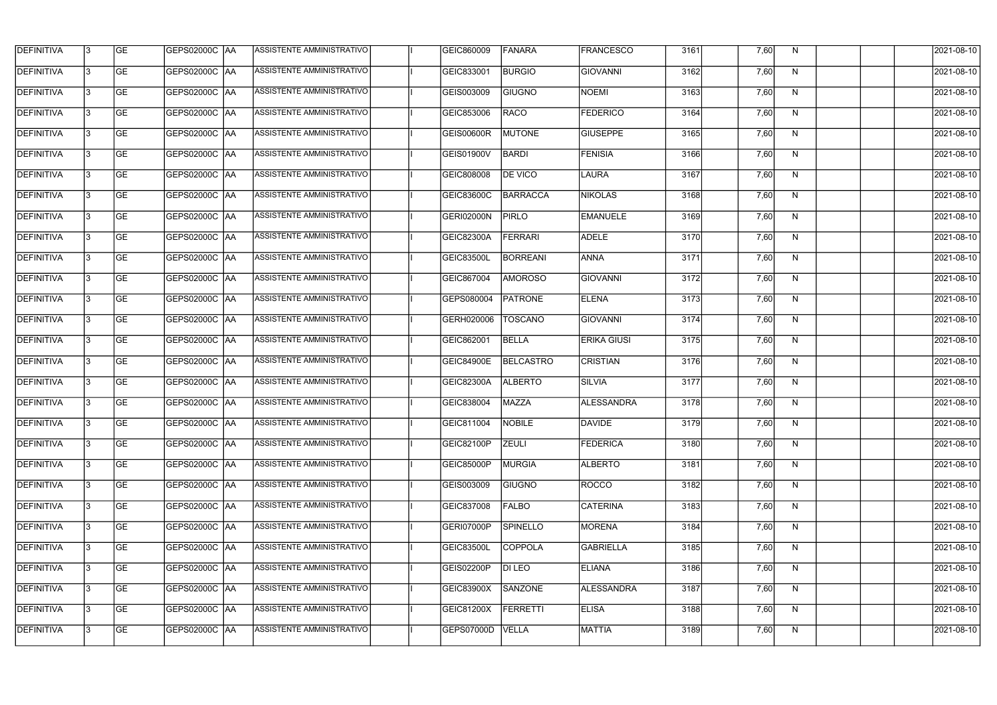| <b>DEFINITIVA</b> | 13  | <b>GE</b> | <b>GEPS02000C AA</b> | ASSISTENTE AMMINISTRATIVO | GEIC860009        | <b>FANARA</b>    | <b>FRANCESCO</b>   | 3161 | 7,60 | N,           | 2021-08-10 |
|-------------------|-----|-----------|----------------------|---------------------------|-------------------|------------------|--------------------|------|------|--------------|------------|
| DEFINITIVA        | l3  | <b>GE</b> | <b>GEPS02000C AA</b> | ASSISTENTE AMMINISTRATIVO | GEIC833001        | <b>BURGIO</b>    | <b>GIOVANNI</b>    | 3162 | 7,60 | N            | 2021-08-10 |
| <b>DEFINITIVA</b> | l3  | <b>GE</b> | GEPS02000C AA        | ASSISTENTE AMMINISTRATIVO | GEIS003009        | <b>GIUGNO</b>    | <b>NOEMI</b>       | 3163 | 7,60 | N            | 2021-08-10 |
| <b>DEFINITIVA</b> | l3  | <b>GE</b> | <b>GEPS02000C AA</b> | ASSISTENTE AMMINISTRATIVO | GEIC853006        | <b>RACO</b>      | <b>FEDERICO</b>    | 3164 | 7,60 | N            | 2021-08-10 |
| <b>DEFINITIVA</b> | l3  | <b>GE</b> | <b>GEPS02000C AA</b> | ASSISTENTE AMMINISTRATIVO | <b>GEIS00600R</b> | <b>MUTONE</b>    | <b>GIUSEPPE</b>    | 3165 | 7,60 | N            | 2021-08-10 |
| <b>DEFINITIVA</b> | l3  | <b>GE</b> | <b>GEPS02000C AA</b> | ASSISTENTE AMMINISTRATIVO | GEIS01900V        | <b>BARDI</b>     | <b>FENISIA</b>     | 3166 | 7,60 | N            | 2021-08-10 |
| <b>DEFINITIVA</b> | l3  | <b>GE</b> | <b>GEPS02000C AA</b> | ASSISTENTE AMMINISTRATIVO | GEIC808008        | <b>DE VICO</b>   | <b>LAURA</b>       | 3167 | 7,60 | N            | 2021-08-10 |
| <b>DEFINITIVA</b> | l3  | <b>GE</b> | <b>GEPS02000C AA</b> | ASSISTENTE AMMINISTRATIVO | GEIC83600C        | <b>BARRACCA</b>  | <b>NIKOLAS</b>     | 3168 | 7,60 | N            | 2021-08-10 |
| <b>DEFINITIVA</b> |     | <b>GE</b> |                      | ASSISTENTE AMMINISTRATIVO | GERI02000N        | <b>PIRLO</b>     | <b>EMANUELE</b>    | 3169 | 7,60 | N            | 2021-08-10 |
| <b>DEFINITIVA</b> | l3  | <b>GE</b> | GEPS02000C  AA       | ASSISTENTE AMMINISTRATIVO | GEIC82300A        | <b>FERRARI</b>   | <b>ADELE</b>       | 3170 | 7,60 | N            | 2021-08-10 |
| <b>DEFINITIVA</b> | 13  | <b>GE</b> | GEPS02000C AA        | ASSISTENTE AMMINISTRATIVO | <b>GEIC83500L</b> | <b>BORREANI</b>  | <b>ANNA</b>        | 3171 | 7,60 | N            | 2021-08-10 |
| <b>DEFINITIVA</b> | l3  | <b>GE</b> |                      | ASSISTENTE AMMINISTRATIVO | GEIC867004        | <b>AMOROSO</b>   | GIOVANNI           | 3172 | 7,60 | $\mathsf{N}$ | 2021-08-10 |
| <b>DEFINITIVA</b> | l3  | <b>GE</b> | GEPS02000C AA        | ASSISTENTE AMMINISTRATIVO | GEPS080004        | <b>PATRONE</b>   | <b>ELENA</b>       | 3173 | 7,60 | N            | 2021-08-10 |
| <b>DEFINITIVA</b> | l3  | <b>GE</b> | GEPS02000C  AA       | ASSISTENTE AMMINISTRATIVO | GERH020006        | <b>TOSCANO</b>   | GIOVANNI           | 3174 | 7,60 | N            | 2021-08-10 |
| <b>DEFINITIVA</b> | l3  | <b>GE</b> | GEPS02000C  AA       | ASSISTENTE AMMINISTRATIVO | GEIC862001        | <b>BELLA</b>     | <b>ERIKA GIUSI</b> | 3175 | 7,60 | N            | 2021-08-10 |
| <b>DEFINITIVA</b> | IЗ  | <b>GE</b> |                      | ASSISTENTE AMMINISTRATIVO | <b>GEIC84900E</b> | <b>BELCASTRO</b> | <b>CRISTIAN</b>    | 3176 | 7,60 | N            | 2021-08-10 |
| <b>DEFINITIVA</b> | l3  | <b>GE</b> | GEPS02000C  AA       | ASSISTENTE AMMINISTRATIVO | <b>GEIC82300A</b> | <b>ALBERTO</b>   | <b>SILVIA</b>      | 3177 | 7,60 | N            | 2021-08-10 |
| DEFINITIVA        |     | <b>GE</b> | GEPS02000C  AA       | ASSISTENTE AMMINISTRATIVO | GEIC838004        | MAZZA            | <b>ALESSANDRA</b>  | 3178 | 7,60 | N            | 2021-08-10 |
| <b>DEFINITIVA</b> | 13  | <b>GE</b> | GEPS02000C  AA       | ASSISTENTE AMMINISTRATIVO | GEIC811004        | NOBILE           | <b>DAVIDE</b>      | 3179 | 7,60 | N            | 2021-08-10 |
| <b>DEFINITIVA</b> | 13  | <b>GE</b> | <b>GEPS02000C AA</b> | ASSISTENTE AMMINISTRATIVO | GEIC82100P        | <b>ZEULI</b>     | <b>FEDERICA</b>    | 3180 | 7,60 | N            | 2021-08-10 |
| <b>DEFINITIVA</b> | 13  | <b>GE</b> | GEPS02000C  AA       | ASSISTENTE AMMINISTRATIVO | GEIC85000P        | MURGIA           | <b>ALBERTO</b>     | 3181 | 7,60 | N            | 2021-08-10 |
| <b>DEFINITIVA</b> | 13. | <b>GE</b> | GEPS02000C AA        | ASSISTENTE AMMINISTRATIVO | GEIS003009        | <b>GIUGNO</b>    | ROCCO              | 3182 | 7,60 | N            | 2021-08-10 |
| <b>DEFINITIVA</b> | 13  | <b>GE</b> | GEPS02000C AA        | ASSISTENTE AMMINISTRATIVO | GEIC837008        | <b>FALBO</b>     | <b>CATERINA</b>    | 3183 | 7,60 | N            | 2021-08-10 |
| <b>DEFINITIVA</b> | 13  | <b>GE</b> | GEPS02000C  AA       | ASSISTENTE AMMINISTRATIVO | GERI07000P        | <b>SPINELLO</b>  | MORENA             | 3184 | 7,60 | N            | 2021-08-10 |
| <b>DEFINITIVA</b> | IЗ  | <b>GE</b> | GEPS02000C  AA       | ASSISTENTE AMMINISTRATIVO | <b>GEIC83500L</b> | <b>COPPOLA</b>   | <b>GABRIELLA</b>   | 3185 | 7,60 | N            | 2021-08-10 |
| DEFINITIVA        | IЗ  | <b>GE</b> | GEPS02000C  AA       | ASSISTENTE AMMINISTRATIVO | GEIS02200P        | DI LEO           | <b>ELIANA</b>      | 3186 | 7,60 | N            | 2021-08-10 |
| <b>DEFINITIVA</b> | l3  | <b>GE</b> | GEPS02000C  AA       | ASSISTENTE AMMINISTRATIVO | GEIC83900X        | SANZONE          | ALESSANDRA         | 3187 | 7,60 | N,           | 2021-08-10 |
| <b>DEFINITIVA</b> | 13. | <b>GE</b> | GEPS02000C  AA       | ASSISTENTE AMMINISTRATIVO | <b>GEIC81200X</b> | FERRETTI         | <b>ELISA</b>       | 3188 | 7,60 | N            | 2021-08-10 |
| <b>DEFINITIVA</b> | IЗ  | <b>GE</b> | GEPS02000C  AA       | ASSISTENTE AMMINISTRATIVO | GEPS07000D        | <b>VELLA</b>     | <b>MATTIA</b>      | 3189 | 7,60 | N            | 2021-08-10 |
|                   |     |           |                      |                           |                   |                  |                    |      |      |              |            |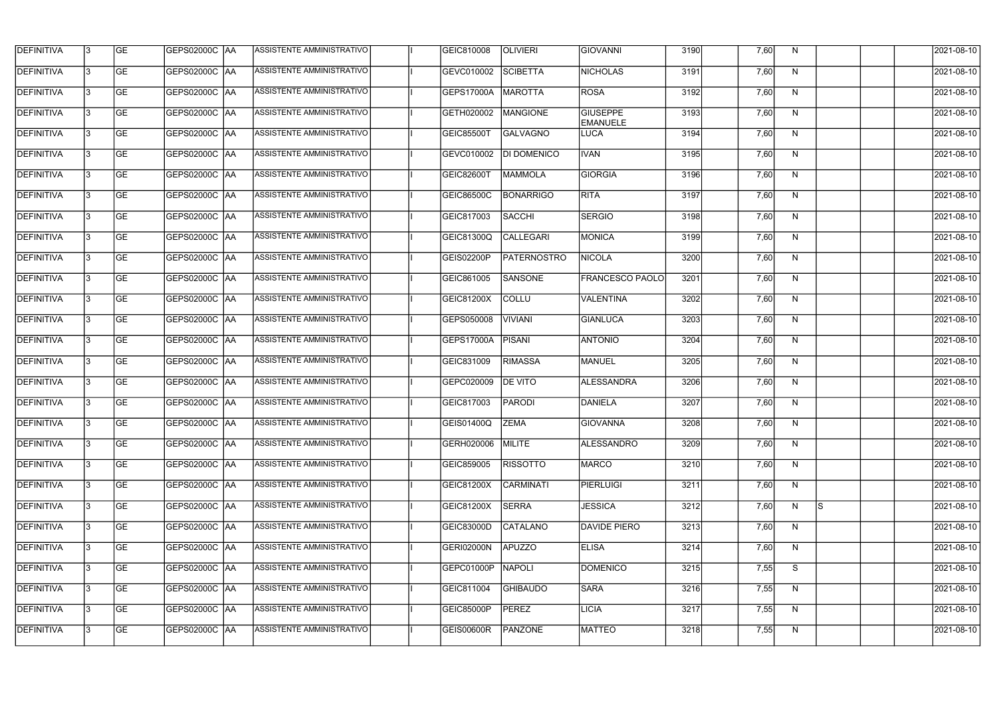| <b>DEFINITIVA</b> | l3 | GE        | GEPS02000C  AA       | ASSISTENTE AMMINISTRATIVO        | GEIC810008        | <b>OLIVIERI</b>    | GIOVANNI                           | 3190 | 7,60 | N  |     | 2021-08-10 |
|-------------------|----|-----------|----------------------|----------------------------------|-------------------|--------------------|------------------------------------|------|------|----|-----|------------|
| <b>DEFINITIVA</b> | IЗ | GE        | GEPS02000C   AA      | ASSISTENTE AMMINISTRATIVO        | GEVC010002        | <b>SCIBETTA</b>    | <b>NICHOLAS</b>                    | 3191 | 7,60 | N  |     | 2021-08-10 |
| <b>DEFINITIVA</b> | 13 | <b>GE</b> | GEPS02000C AA        | ASSISTENTE AMMINISTRATIVO        | <b>GEPS17000A</b> | <b>MAROTTA</b>     | <b>ROSA</b>                        | 3192 | 7,60 | N  |     | 2021-08-10 |
| <b>DEFINITIVA</b> | l3 | <b>GE</b> | <b>GEPS02000C AA</b> | ASSISTENTE AMMINISTRATIVO        | GETH020002        | <b>MANGIONE</b>    | <b>GIUSEPPE</b><br><b>EMANUELE</b> | 3193 | 7,60 | N  |     | 2021-08-10 |
| <b>DEFINITIVA</b> | l3 | GE        | GEPS02000C AA        | ASSISTENTE AMMINISTRATIVO        | <b>GEIC85500T</b> | GALVAGNO           | LUCA                               | 3194 | 7,60 | N  |     | 2021-08-10 |
| <b>DEFINITIVA</b> | l3 | <b>GE</b> | GEPS02000C AA        | <b>ASSISTENTE AMMINISTRATIVO</b> | GEVC010002        | DI DOMENICO        | <b>IVAN</b>                        | 3195 | 7,60 | N  |     | 2021-08-10 |
| <b>DEFINITIVA</b> | l3 | <b>GE</b> | <b>GEPS02000C AA</b> | ASSISTENTE AMMINISTRATIVO        | <b>GEIC82600T</b> | <b>MAMMOLA</b>     | GIORGIA                            | 3196 | 7,60 | N  |     | 2021-08-10 |
| <b>DEFINITIVA</b> | l3 | <b>GE</b> | GEPS02000C AA        | <b>ASSISTENTE AMMINISTRATIVO</b> | GEIC86500C        | BONARRIGO          | <b>RITA</b>                        | 3197 | 7,60 | N  |     | 2021-08-10 |
| <b>DEFINITIVA</b> | IЗ | <b>GE</b> | GEPS02000C AA        | ASSISTENTE AMMINISTRATIVO        | GEIC817003        | SACCHI             | <b>SERGIO</b>                      | 3198 | 7,60 | N  |     | 2021-08-10 |
| <b>DEFINITIVA</b> | l3 | GE        | GEPS02000C   AA      | ASSISTENTE AMMINISTRATIVO        | GEIC81300Q        | <b>CALLEGARI</b>   | <b>MONICA</b>                      | 3199 | 7,60 | N  |     | 2021-08-10 |
| DEFINITIVA        | 13 | <b>GE</b> | GEPS02000C AA        | ASSISTENTE AMMINISTRATIVO        | GEIS02200P        | <b>PATERNOSTRO</b> | NICOLA                             | 3200 | 7,60 | N  |     | 2021-08-10 |
| <b>DEFINITIVA</b> | l3 | <b>GE</b> | GEPS02000C AA        | ASSISTENTE AMMINISTRATIVO        | GEIC861005        | SANSONE            | <b>FRANCESCO PAOLO</b>             | 3201 | 7,60 | N  |     | 2021-08-10 |
| <b>DEFINITIVA</b> | l3 | GE        | GEPS02000C  AA       | ASSISTENTE AMMINISTRATIVO        | GEIC81200X        | COLLU              | VALENTINA                          | 3202 | 7,60 | N  |     | 2021-08-10 |
| <b>DEFINITIVA</b> | l3 | <b>GE</b> | GEPS02000C AA        | ASSISTENTE AMMINISTRATIVO        | GEPS050008        | VIVIANI            | GIANLUCA                           | 3203 | 7,60 | N  |     | 2021-08-10 |
| <b>DEFINITIVA</b> | l3 | <b>GE</b> | GEPS02000C AA        | ASSISTENTE AMMINISTRATIVO        | GEPS17000A        | PISANI             | <b>ANTONIO</b>                     | 3204 | 7,60 | N  |     | 2021-08-10 |
| <b>DEFINITIVA</b> | l3 | GE        | GEPS02000C  AA       | ASSISTENTE AMMINISTRATIVO        | GEIC831009        | <b>RIMASSA</b>     | MANUEL                             | 3205 | 7,60 | N  |     | 2021-08-10 |
| <b>DEFINITIVA</b> | l3 | <b>GE</b> | GEPS02000C   AA      | ASSISTENTE AMMINISTRATIVO        | GEPC020009        | <b>DE VITO</b>     | ALESSANDRA                         | 3206 | 7,60 | N  |     | 2021-08-10 |
| <b>DEFINITIVA</b> | IЗ | <b>GE</b> | GEPS02000C   AA      | ASSISTENTE AMMINISTRATIVO        | GEIC817003        | <b>PARODI</b>      | DANIELA                            | 3207 | 7,60 | N  |     | 2021-08-10 |
| <b>DEFINITIVA</b> | IЗ | GE        | GEPS02000C  AA       | <b>ASSISTENTE AMMINISTRATIVO</b> | GEIS01400Q ZEMA   |                    | <b>GIOVANNA</b>                    | 3208 | 7,60 | N, |     | 2021-08-10 |
| <b>DEFINITIVA</b> | l3 | GE        | GEPS02000C AA        | ASSISTENTE AMMINISTRATIVO        | GERH020006        | MILITE             | <b>ALESSANDRO</b>                  | 3209 | 7,60 | N  |     | 2021-08-10 |
| <b>DEFINITIVA</b> | l3 | GE        | GEPS02000C AA        | ASSISTENTE AMMINISTRATIVO        | GEIC859005        | <b>RISSOTTO</b>    | <b>MARCO</b>                       | 3210 | 7,60 | N  |     | 2021-08-10 |
| <b>DEFINITIVA</b> | 13 | <b>GE</b> | GEPS02000C AA        | ASSISTENTE AMMINISTRATIVO        | GEIC81200X        | <b>CARMINATI</b>   | <b>PIERLUIGI</b>                   | 3211 | 7,60 | N  |     | 2021-08-10 |
| <b>DEFINITIVA</b> | l3 | <b>GE</b> | GEPS02000C AA        | ASSISTENTE AMMINISTRATIVO        | <b>GEIC81200X</b> | <b>SERRA</b>       | <b>JESSICA</b>                     | 3212 | 7,60 | N  | Is. | 2021-08-10 |
| <b>DEFINITIVA</b> | 13 | <b>GE</b> | GEPS02000C AA        | ASSISTENTE AMMINISTRATIVO        | <b>GEIC83000D</b> | <b>CATALANO</b>    | DAVIDE PIERO                       | 3213 | 7,60 | N  |     | 2021-08-10 |
| <b>DEFINITIVA</b> | l3 | <b>GE</b> | GEPS02000C  AA       | ASSISTENTE AMMINISTRATIVO        | <b>GERI02000N</b> | APUZZO             | <b>ELISA</b>                       | 3214 | 7,60 | N  |     | 2021-08-10 |
| <b>DEFINITIVA</b> | l3 | <b>GE</b> | GEPS02000C  AA       | ASSISTENTE AMMINISTRATIVO        | GEPC01000P        | NAPOLI             | <b>DOMENICO</b>                    | 3215 | 7,55 | S  |     | 2021-08-10 |
| <b>DEFINITIVA</b> | l3 | GE        | GEPS02000C  AA       | ASSISTENTE AMMINISTRATIVO        | GEIC811004        | <b>GHIBAUDO</b>    | <b>SARA</b>                        | 3216 | 7,55 | N  |     | 2021-08-10 |
| <b>DEFINITIVA</b> | l3 | GE        | GEPS02000C AA        | ASSISTENTE AMMINISTRATIVO        | <b>GEIC85000P</b> | <b>PEREZ</b>       | LICIA                              | 3217 | 7,55 | N  |     | 2021-08-10 |
| <b>DEFINITIVA</b> | l3 | GE        | GEPS02000C AA        | ASSISTENTE AMMINISTRATIVO        | <b>GEIS00600R</b> | PANZONE            | <b>MATTEO</b>                      | 3218 | 7,55 | N  |     | 2021-08-10 |
|                   |    |           |                      |                                  |                   |                    |                                    |      |      |    |     |            |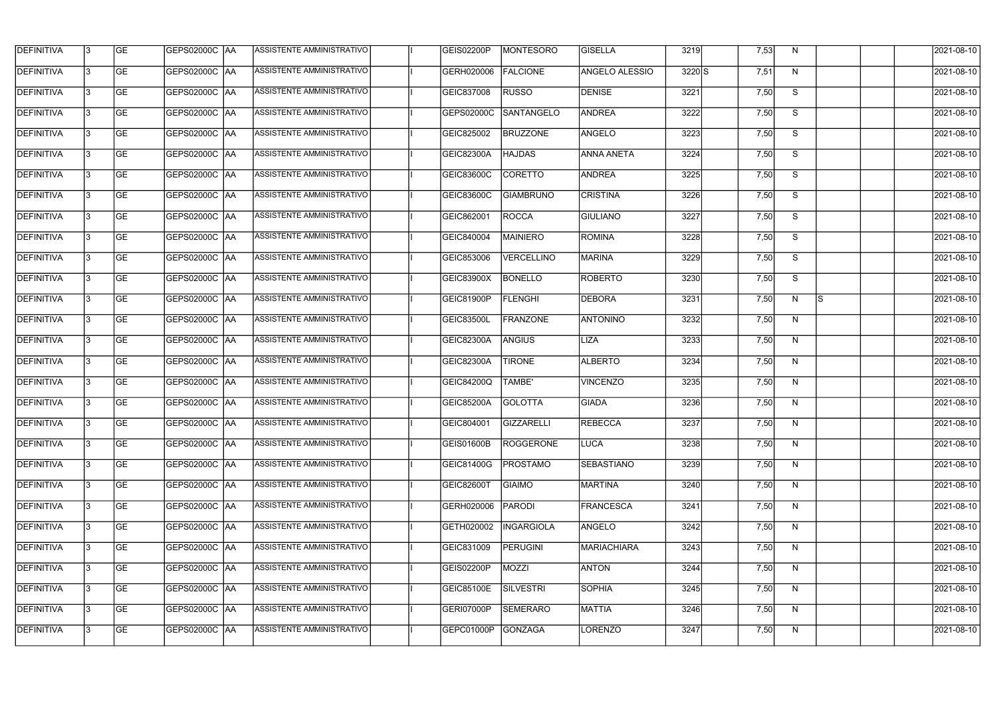| <b>DEFINITIVA</b> | l3 | GE                       | <b>GEPS02000C AA</b> | ASSISTENTE AMMINISTRATIVO        | GEIS02200P        | MONTESORO         | <b>GISELLA</b>        | 3219     | 7,53 | N              |          | 2021-08-10          |
|-------------------|----|--------------------------|----------------------|----------------------------------|-------------------|-------------------|-----------------------|----------|------|----------------|----------|---------------------|
| <b>DEFINITIVA</b> | IЗ | $\overline{\mathsf{GE}}$ | GEPS02000C AA        | ASSISTENTE AMMINISTRATIVO        | GERH020006        | <b>FALCIONE</b>   | <b>ANGELO ALESSIO</b> | $3220$ S | 7,51 | N              |          | 2021-08-10          |
| <b>DEFINITIVA</b> | l3 | GE                       | GEPS02000C AA        | ASSISTENTE AMMINISTRATIVO        | GEIC837008        | <b>RUSSO</b>      | <b>DENISE</b>         | 3221     | 7,50 | S              |          | 2021-08-10          |
| <b>DEFINITIVA</b> | l3 | GE                       | <b>GEPS02000C AA</b> | ASSISTENTE AMMINISTRATIVO        | GEPS02000C        | <b>SANTANGELO</b> | <b>ANDREA</b>         | 3222     | 7,50 | S              |          | 2021-08-10          |
| <b>DEFINITIVA</b> | l3 | <b>GE</b>                | GEPS02000C AA        | ASSISTENTE AMMINISTRATIVO        | GEIC825002        | <b>BRUZZONE</b>   | ANGELO                | 3223     | 7,50 | $\overline{s}$ |          | 2021-08-10          |
| <b>DEFINITIVA</b> | IЗ | <b>GE</b>                | <b>GEPS02000C AA</b> | <b>ASSISTENTE AMMINISTRATIVO</b> | <b>GEIC82300A</b> | <b>HAJDAS</b>     | <b>ANNA ANETA</b>     | 3224     | 7,50 | S              |          | 2021-08-10          |
| <b>DEFINITIVA</b> | l3 | <b>GE</b>                | GEPS02000C AA        | ASSISTENTE AMMINISTRATIVO        | GEIC83600C        | <b>CORETTO</b>    | <b>ANDREA</b>         | 3225     | 7,50 | S              |          | 2021-08-10          |
| <b>DEFINITIVA</b> | l3 | <b>GE</b>                | GEPS02000C   AA      | ASSISTENTE AMMINISTRATIVO        | <b>GEIC83600C</b> | <b>GIAMBRUNO</b>  | <b>CRISTINA</b>       | 3226     | 7,50 | S              |          | 2021-08-10          |
| <b>DEFINITIVA</b> | l3 | <b>GE</b>                | GEPS02000C   AA      | ASSISTENTE AMMINISTRATIVO        | GEIC862001        | <b>ROCCA</b>      | <b>GIULIANO</b>       | 3227     | 7,50 | S              |          | 2021-08-10          |
| <b>DEFINITIVA</b> | l3 | GE                       | GEPS02000C AA        | ASSISTENTE AMMINISTRATIVO        | GEIC840004        | MAINIERO          | <b>ROMINA</b>         | 3228     | 7,50 | S              |          | 2021-08-10          |
| <b>DEFINITIVA</b> | l3 | GE                       | GEPS02000C AA        | ASSISTENTE AMMINISTRATIVO        | GEIC853006        | <b>VERCELLINO</b> | <b>MARINA</b>         | 3229     | 7,50 | S              |          | 2021-08-10          |
| <b>DEFINITIVA</b> | l3 | GE                       | GEPS02000C   AA      | ASSISTENTE AMMINISTRATIVO        | GEIC83900X        | <b>BONELLO</b>    | ROBERTO               | 3230     | 7,50 | S              |          | 2021-08-10          |
| <b>DEFINITIVA</b> | l3 | <b>GE</b>                | GEPS02000C AA        | ASSISTENTE AMMINISTRATIVO        | GEIC81900P        | <b>FLENGHI</b>    | <b>DEBORA</b>         | 3231     | 7,50 | N              | <b>S</b> | 2021-08-10          |
| <b>DEFINITIVA</b> | IЗ | <b>GE</b>                | GEPS02000C AA        | ASSISTENTE AMMINISTRATIVO        | <b>GEIC83500L</b> | <b>FRANZONE</b>   | <b>ANTONINO</b>       | 3232     | 7,50 | N              |          | 2021-08-10          |
| <b>DEFINITIVA</b> | 13 | GE                       | GEPS02000C AA        | ASSISTENTE AMMINISTRATIVO        | GEIC82300A        | ANGIUS            | LIZA                  | 3233     | 7,50 | N              |          | 2021-08-10          |
| <b>DEFINITIVA</b> | l3 | <b>GE</b>                | GEPS02000C  AA       | ASSISTENTE AMMINISTRATIVO        | GEIC82300A        | <b>TIRONE</b>     | <b>ALBERTO</b>        | 3234     | 7,50 | N              |          | 2021-08-10          |
| <b>DEFINITIVA</b> | IЗ | GE                       | GEPS02000C  AA       | ASSISTENTE AMMINISTRATIVO        | <b>GEIC84200Q</b> | TAMBE'            | <b>VINCENZO</b>       | 3235     | 7,50 | N              |          | 2021-08-10          |
| <b>DEFINITIVA</b> | l3 | GE                       | GEPS02000C   AA      | ASSISTENTE AMMINISTRATIVO        | <b>GEIC85200A</b> | <b>GOLOTTA</b>    | <b>GIADA</b>          | 3236     | 7,50 | N              |          | 2021-08-10          |
| DEFINITIVA        | 13 | <b>GE</b>                | GEPS02000C  AA       | ASSISTENTE AMMINISTRATIVO        | GEIC804001        | GIZZARELLI        | <b>REBECCA</b>        | 3237     | 7,50 | N              |          | 2021-08-10          |
| <b>DEFINITIVA</b> | l3 | GE                       | GEPS02000C AA        | ASSISTENTE AMMINISTRATIVO        | <b>GEIS01600B</b> | ROGGERONE         | LUCA                  | 3238     | 7,50 | N              |          | 2021-08-10          |
| <b>DEFINITIVA</b> | l3 | GE                       | GEPS02000C  AA       | ASSISTENTE AMMINISTRATIVO        | <b>GEIC81400G</b> | <b>PROSTAMO</b>   | <b>SEBASTIANO</b>     | 3239     | 7,50 | N              |          | 2021-08-10          |
| <b>DEFINITIVA</b> | l3 | GE                       | GEPS02000C AA        | ASSISTENTE AMMINISTRATIVO        | <b>GEIC82600T</b> | <b>GIAIMO</b>     | <b>MARTINA</b>        | 3240     | 7,50 | N              |          | 2021-08-10          |
| <b>DEFINITIVA</b> | 13 | <b>GE</b>                | GEPS02000C AA        | ASSISTENTE AMMINISTRATIVO        | GERH020006        | PARODI            | FRANCESCA             | 3241     | 7,50 | N              |          | 2021-08-10          |
| <b>DEFINITIVA</b> | l3 | <b>GE</b>                | GEPS02000C  AA       | ASSISTENTE AMMINISTRATIVO        | GETH020002        | INGARGIOLA        | ANGELO                | 3242     | 7,50 | N              |          | 2021-08-10          |
| <b>DEFINITIVA</b> | l3 | <b>GE</b>                | GEPS02000C  AA       | ASSISTENTE AMMINISTRATIVO        | GEIC831009        | <b>PERUGINI</b>   | <b>MARIACHIARA</b>    | 3243     | 7,50 | N              |          | 2021-08-10          |
| <b>DEFINITIVA</b> | l3 | <b>GE</b>                | GEPS02000C   AA      | ASSISTENTE AMMINISTRATIVO        | GEIS02200P        | <b>MOZZI</b>      | <b>ANTON</b>          | 3244     | 7,50 | N              |          | 2021-08-10          |
| <b>DEFINITIVA</b> | l3 | <b>GE</b>                | GEPS02000C AA        | ASSISTENTE AMMINISTRATIVO        | <b>GEIC85100E</b> | SILVESTRI         | <b>SOPHIA</b>         | 3245     | 7,50 | N              |          | 2021-08-10          |
| <b>DEFINITIVA</b> | 13 | GE                       | GEPS02000C AA        | ASSISTENTE AMMINISTRATIVO        | GERI07000P        | <b>SEMERARO</b>   | <b>MATTIA</b>         | 3246     | 7,50 | N              |          | 2021-08-10          |
| DEFINITIVA        | l3 | GE                       |                      | ASSISTENTE AMMINISTRATIVO        | <b>GEPC01000P</b> | GONZAGA           | LORENZO               | 3247     | 7,50 | N              |          | $\sqrt{2021-08-10}$ |
|                   |    |                          |                      |                                  |                   |                   |                       |          |      |                |          |                     |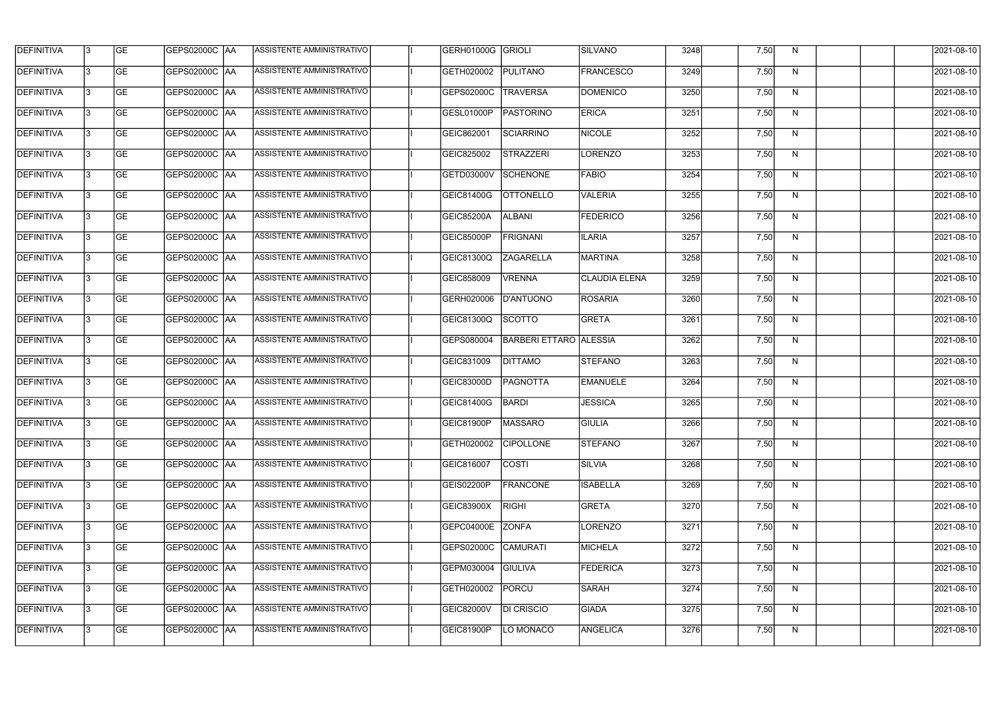| <b>DEFINITIVA</b> | 13  | <b>GE</b> | GEPS02000C  AA       | ASSISTENTE AMMINISTRATIVO        | GERH01000G GRIOLI |                               | <b>SILVANO</b>       | 3248 | 7,50 | N, | 2021-08-10       |
|-------------------|-----|-----------|----------------------|----------------------------------|-------------------|-------------------------------|----------------------|------|------|----|------------------|
| DEFINITIVA        | l3  | <b>GE</b> | GEPS02000C  AA       | ASSISTENTE AMMINISTRATIVO        | GETH020002        | PULITANO                      | <b>FRANCESCO</b>     | 3249 | 7,50 | N  | 2021-08-10       |
| <b>DEFINITIVA</b> | l3  | <b>GE</b> | <b>GEPS02000C AA</b> | ASSISTENTE AMMINISTRATIVO        | GEPS02000C        | <b>TRAVERSA</b>               | <b>DOMENICO</b>      | 3250 | 7,50 | N  | 2021-08-10       |
| <b>DEFINITIVA</b> | 13  | <b>GE</b> | <b>GEPS02000C AA</b> | ASSISTENTE AMMINISTRATIVO        | GESL01000P        | PASTORINO                     | <b>ERICA</b>         | 3251 | 7,50 | N  | 2021-08-10       |
| <b>DEFINITIVA</b> | l3  | <b>GE</b> | GEPS02000C  AA       | ASSISTENTE AMMINISTRATIVO        | GEIC862001        | SCIARRINO                     | <b>NICOLE</b>        | 3252 | 7,50 | N  | 2021-08-10       |
| <b>DEFINITIVA</b> | IЗ  | <b>GE</b> | <b>GEPS02000C AA</b> | <b>ASSISTENTE AMMINISTRATIVO</b> | GEIC825002        | <b>STRAZZERI</b>              | LORENZO              | 3253 | 7,50 | N  | 2021-08-10       |
| <b>DEFINITIVA</b> | l3  | <b>GE</b> | <b>GEPS02000C AA</b> | <b>ASSISTENTE AMMINISTRATIVO</b> | GETD03000V        | <b>SCHENONE</b>               | <b>FABIO</b>         | 3254 | 7,50 | N  | 2021-08-10       |
| <b>DEFINITIVA</b> | l3  | <b>GE</b> | GEPS02000C AA        | ASSISTENTE AMMINISTRATIVO        | GEIC81400G        | <b>OTTONELLO</b>              | <b>VALERIA</b>       | 3255 | 7,50 | N  | 2021-08-10       |
| <b>DEFINITIVA</b> | l3  | <b>GE</b> | GEPS02000C  AA       | ASSISTENTE AMMINISTRATIVO        | <b>GEIC85200A</b> | <b>ALBANI</b>                 | <b>FEDERICO</b>      | 3256 | 7,50 | N  | 2021-08-10       |
| <b>DEFINITIVA</b> | l3  | <b>GE</b> | GEPS02000C AA        | ASSISTENTE AMMINISTRATIVO        | GEIC85000P        | <b>FRIGNANI</b>               | <b>ILARIA</b>        | 3257 | 7,50 | N  | 2021-08-10       |
| <b>DEFINITIVA</b> | l3  | <b>GE</b> | GEPS02000C AA        | ASSISTENTE AMMINISTRATIVO        | GEIC81300Q        | <b>ZAGARELLA</b>              | <b>MARTINA</b>       | 3258 | 7,50 | N  | 2021-08-10       |
| <b>DEFINITIVA</b> | 13  | <b>GE</b> | GEPS02000C  AA       | <b>ASSISTENTE AMMINISTRATIVO</b> | GEIC858009        | <b>VRENNA</b>                 | <b>CLAUDIA ELENA</b> | 3259 | 7,50 | N  | 2021-08-10       |
| <b>DEFINITIVA</b> | l3  | <b>GE</b> | GEPS02000C  AA       | ASSISTENTE AMMINISTRATIVO        | GERH020006        | D'ANTUONO                     | <b>ROSARIA</b>       | 3260 | 7,50 | N  | 2021-08-10       |
| <b>DEFINITIVA</b> | l3  | <b>GE</b> | GEPS02000C AA        | ASSISTENTE AMMINISTRATIVO        | GEIC81300Q        | <b>SCOTTO</b>                 | <b>GRETA</b>         | 3261 | 7,50 | N  | 2021-08-10       |
| <b>DEFINITIVA</b> | 13  | <b>GE</b> | GEPS02000C  AA       | ASSISTENTE AMMINISTRATIVO        | GEPS080004        | <b>BARBERI ETTARO ALESSIA</b> |                      | 3262 | 7,50 | N  | 2021-08-10       |
| <b>DEFINITIVA</b> | IЗ  | <b>GE</b> | GEPS02000C  AA       | ASSISTENTE AMMINISTRATIVO        | GEIC831009        | <b>DITTAMO</b>                | <b>STEFANO</b>       | 3263 | 7,50 | N  | 2021-08-10       |
| <b>DEFINITIVA</b> | IЗ  | <b>GE</b> | GEPS02000C  AA       | ASSISTENTE AMMINISTRATIVO        | GEIC83000D        | <b>PAGNOTTA</b>               | <b>EMANUELE</b>      | 3264 | 7,50 | N  | 2021-08-10       |
| <b>DEFINITIVA</b> |     | <b>GE</b> | GEPS02000C  AA       | ASSISTENTE AMMINISTRATIVO        | GEIC81400G        | <b>BARDI</b>                  | <b>JESSICA</b>       | 3265 | 7,50 | N  | 2021-08-10       |
| <b>DEFINITIVA</b> | IЗ  | GE        | GEPS02000C  AA       | <b>ASSISTENTE AMMINISTRATIVO</b> | <b>GEIC81900P</b> | MASSARO                       | <b>GIULIA</b>        | 3266 | 7,50 | N, | 2021-08-10       |
| <b>DEFINITIVA</b> | 13. | <b>GE</b> | GEPS02000C AA        | ASSISTENTE AMMINISTRATIVO        | GETH020002        | <b>CIPOLLONE</b>              | <b>STEFANO</b>       | 3267 | 7,50 | N  | 2021-08-10       |
| <b>DEFINITIVA</b> | 13  | <b>GE</b> | <b>GEPS02000C AA</b> | ASSISTENTE AMMINISTRATIVO        | GEIC816007        | <b>COSTI</b>                  | SILVIA               | 3268 | 7,50 | N  | 2021-08-10       |
| <b>DEFINITIVA</b> | 13. | <b>GE</b> | <b>GEPS02000C AA</b> | ASSISTENTE AMMINISTRATIVO        | GEIS02200P        | <b>FRANCONE</b>               | <b>ISABELLA</b>      | 3269 | 7,50 | N  | $2021 - 08 - 10$ |
| <b>DEFINITIVA</b> | 13  | <b>GE</b> | <b>GEPS02000C AA</b> | ASSISTENTE AMMINISTRATIVO        | GEIC83900X        | <b>RIGHI</b>                  | <b>GRETA</b>         | 3270 | 7,50 | N  | 2021-08-10       |
| <b>DEFINITIVA</b> | 13  | <b>GE</b> | GEPS02000C AA        | ASSISTENTE AMMINISTRATIVO        | GEPC04000E        | <b>ZONFA</b>                  | LORENZO              | 3271 | 7,50 | N  | 2021-08-10       |
| <b>DEFINITIVA</b> | IЗ  | <b>GE</b> | GEPS02000C  AA       | ASSISTENTE AMMINISTRATIVO        | GEPS02000C        | <b>CAMURATI</b>               | MICHELA              | 3272 | 7,50 | N  | 2021-08-10       |
| DEFINITIVA        | l3  | <b>GE</b> | GEPS02000C  AA       | ASSISTENTE AMMINISTRATIVO        | GEPM030004        | <b>GIULIVA</b>                | <b>FEDERICA</b>      | 3273 | 7,50 | N  | 2021-08-10       |
| DEFINITIVA        | l3  | <b>GE</b> | GEPS02000C  AA       | ASSISTENTE AMMINISTRATIVO        | GETH020002        | PORCU                         | <b>SARAH</b>         | 3274 | 7,50 | N  | 2021-08-10       |
| <b>DEFINITIVA</b> | l3  | <b>GE</b> | <b>GEPS02000C AA</b> | ASSISTENTE AMMINISTRATIVO        | GEIC82000V        | <b>DI CRISCIO</b>             | <b>GIADA</b>         | 3275 | 7,50 | N  | 2021-08-10       |
| <b>DEFINITIVA</b> | IЗ  | <b>GE</b> | GEPS02000C  AA       | ASSISTENTE AMMINISTRATIVO        | <b>GEIC81900P</b> | LO MONACO                     | ANGELICA             | 3276 | 7,50 | N  | 2021-08-10       |
|                   |     |           |                      |                                  |                   |                               |                      |      |      |    |                  |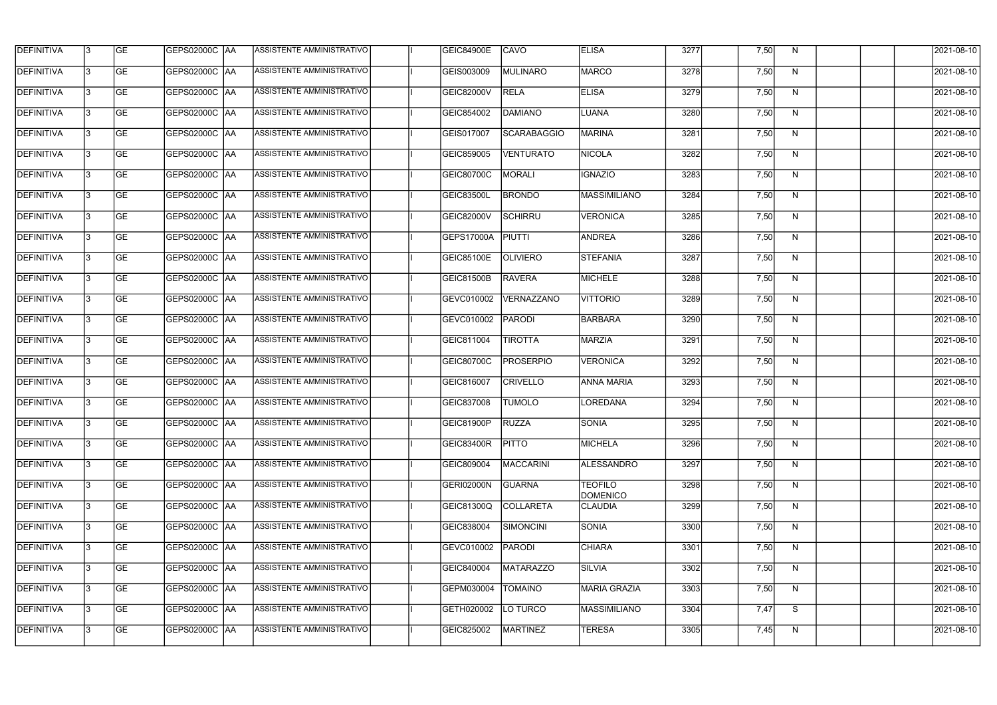| <b>DEFINITIVA</b> | 13 | GE        | GEPS02000C  AA       | ASSISTENTE AMMINISTRATIVO        | <b>GEIC84900E</b> | <b>CAVO</b>      | <b>ELISA</b>                      | 3277 | 7,50 | N. | 2021-08-10       |
|-------------------|----|-----------|----------------------|----------------------------------|-------------------|------------------|-----------------------------------|------|------|----|------------------|
| <b>DEFINITIVA</b> | IЗ | GE        | GEPS02000C   AA      | ASSISTENTE AMMINISTRATIVO        | GEIS003009        | MULINARO         | <b>MARCO</b>                      | 3278 | 7,50 | N  | 2021-08-10       |
| <b>DEFINITIVA</b> | 13 | <b>GE</b> | GEPS02000C AA        | ASSISTENTE AMMINISTRATIVO        | <b>GEIC82000V</b> | <b>RELA</b>      | <b>ELISA</b>                      | 3279 | 7,50 | N  | 2021-08-10       |
| <b>DEFINITIVA</b> | l3 | <b>GE</b> | <b>GEPS02000C AA</b> | ASSISTENTE AMMINISTRATIVO        | GEIC854002        | <b>DAMIANO</b>   | <b>LUANA</b>                      | 3280 | 7,50 | N  | 2021-08-10       |
| <b>DEFINITIVA</b> | l3 | GE        | GEPS02000C AA        | ASSISTENTE AMMINISTRATIVO        | GEIS017007        | SCARABAGGIO      | <b>MARINA</b>                     | 3281 | 7,50 | N  | 2021-08-10       |
| <b>DEFINITIVA</b> | l3 | <b>GE</b> | GEPS02000C AA        | ASSISTENTE AMMINISTRATIVO        | GEIC859005        | <b>VENTURATO</b> | NICOLA                            | 3282 | 7,50 | N  | 2021-08-10       |
| <b>DEFINITIVA</b> | l3 | <b>GE</b> | GEPS02000C AA        | <b>ASSISTENTE AMMINISTRATIVO</b> | GEIC80700C        | MORALI           | <b>IGNAZIO</b>                    | 3283 | 7,50 | N  | 2021-08-10       |
| <b>DEFINITIVA</b> | l3 | <b>GE</b> | GEPS02000C AA        | <b>ASSISTENTE AMMINISTRATIVO</b> | GEIC83500L        | <b>BRONDO</b>    | MASSIMILIANO                      | 3284 | 7,50 | N  | 2021-08-10       |
| <b>DEFINITIVA</b> | IЗ | <b>GE</b> | GEPS02000C AA        | ASSISTENTE AMMINISTRATIVO        | <b>GEIC82000V</b> | <b>SCHIRRU</b>   | <b>VERONICA</b>                   | 3285 | 7,50 | N  | 2021-08-10       |
| <b>DEFINITIVA</b> | l3 | GE        | GEPS02000C   AA      | ASSISTENTE AMMINISTRATIVO        | <b>GEPS17000A</b> | PIUTTI           | <b>ANDREA</b>                     | 3286 | 7,50 | N  | 2021-08-10       |
| DEFINITIVA        | 13 | <b>GE</b> | GEPS02000C AA        | ASSISTENTE AMMINISTRATIVO        | GEIC85100E        | <b>OLIVIERO</b>  | <b>STEFANIA</b>                   | 3287 | 7,50 | N  | 2021-08-10       |
| <b>DEFINITIVA</b> | l3 | <b>GE</b> | GEPS02000C AA        | <b>ASSISTENTE AMMINISTRATIVO</b> | <b>GEIC81500B</b> | <b>RAVERA</b>    | <b>MICHELE</b>                    | 3288 | 7,50 | N  | 2021-08-10       |
| <b>DEFINITIVA</b> | l3 | GE        | GEPS02000C  AA       | ASSISTENTE AMMINISTRATIVO        | GEVC010002        | VERNAZZANO       | <b>VITTORIO</b>                   | 3289 | 7,50 | N  | 2021-08-10       |
| <b>DEFINITIVA</b> | l3 | <b>GE</b> | GEPS02000C AA        | ASSISTENTE AMMINISTRATIVO        | GEVC010002        | PARODI           | BARBARA                           | 3290 | 7,50 | N  | 2021-08-10       |
| <b>DEFINITIVA</b> | l3 | <b>GE</b> | GEPS02000C AA        | ASSISTENTE AMMINISTRATIVO        | GEIC811004        | <b>TIROTTA</b>   | <b>MARZIA</b>                     | 3291 | 7,50 | N  | 2021-08-10       |
| <b>DEFINITIVA</b> | 13 | GE        | GEPS02000C  AA       | ASSISTENTE AMMINISTRATIVO        | GEIC80700C        | <b>PROSERPIO</b> | <b>VERONICA</b>                   | 3292 | 7,50 | N  | 2021-08-10       |
| <b>DEFINITIVA</b> | l3 | <b>GE</b> | GEPS02000C   AA      | ASSISTENTE AMMINISTRATIVO        | GEIC816007        | <b>CRIVELLO</b>  | <b>ANNA MARIA</b>                 | 3293 | 7,50 | N  | 2021-08-10       |
| <b>DEFINITIVA</b> | IЗ | <b>GE</b> | GEPS02000C AA        | ASSISTENTE AMMINISTRATIVO        | GEIC837008        | <b>TUMOLO</b>    | LOREDANA                          | 3294 | 7,50 | N  | 2021-08-10       |
| <b>DEFINITIVA</b> | IЗ | GE        | GEPS02000C  AA       | ASSISTENTE AMMINISTRATIVO        | <b>GEIC81900P</b> | <b>RUZZA</b>     | SONIA                             | 3295 | 7,50 | N, | 2021-08-10       |
| <b>DEFINITIVA</b> | l3 | GE        | <b>GEPS02000C AA</b> | ASSISTENTE AMMINISTRATIVO        | GEIC83400R        | <b>PITTO</b>     | MICHELA                           | 3296 | 7,50 | N  | 2021-08-10       |
| <b>DEFINITIVA</b> | l3 | GE        | GEPS02000C AA        | ASSISTENTE AMMINISTRATIVO        | GEIC809004        | MACCARINI        | ALESSANDRO                        | 3297 | 7,50 | N  | 2021-08-10       |
| <b>DEFINITIVA</b> | 13 | <b>GE</b> | <b>GEPS02000C AA</b> | ASSISTENTE AMMINISTRATIVO        | <b>GERI02000N</b> | <b>GUARNA</b>    | <b>TEOFILO</b><br><b>DOMENICO</b> | 3298 | 7,50 | N  | $2021 - 08 - 10$ |
| <b>DEFINITIVA</b> | l3 | <b>GE</b> | GEPS02000C AA        | ASSISTENTE AMMINISTRATIVO        | GEIC81300Q        | COLLARETA        | <b>CLAUDIA</b>                    | 3299 | 7,50 | N  | 2021-08-10       |
| <b>DEFINITIVA</b> | 13 | <b>GE</b> | GEPS02000C AA        | ASSISTENTE AMMINISTRATIVO        | GEIC838004        | SIMONCINI        | <b>SONIA</b>                      | 3300 | 7,50 | N  | 2021-08-10       |
| <b>DEFINITIVA</b> | l3 | <b>GE</b> | GEPS02000C  AA       | ASSISTENTE AMMINISTRATIVO        | GEVC010002        | PARODI           | <b>CHIARA</b>                     | 3301 | 7,50 | N  | 2021-08-10       |
| <b>DEFINITIVA</b> | l3 | <b>GE</b> | GEPS02000C  AA       | ASSISTENTE AMMINISTRATIVO        | GEIC840004        | <b>MATARAZZO</b> | <b>SILVIA</b>                     | 3302 | 7,50 | N  | 2021-08-10       |
| <b>DEFINITIVA</b> | l3 | GE        | GEPS02000C  AA       | ASSISTENTE AMMINISTRATIVO        | GEPM030004        | <b>TOMAINO</b>   | MARIA GRAZIA                      | 3303 | 7,50 | N, | 2021-08-10       |
| <b>DEFINITIVA</b> | l3 | GE        | GEPS02000C AA        | ASSISTENTE AMMINISTRATIVO        | GETH020002        | LO TURCO         | <b>MASSIMILIANO</b>               | 3304 | 7,47 | S  | 2021-08-10       |
| <b>DEFINITIVA</b> | l3 | GE        | GEPS02000C  AA       | ASSISTENTE AMMINISTRATIVO        | GEIC825002        | MARTINEZ         | <b>TERESA</b>                     | 3305 | 7,45 | N  | 2021-08-10       |
|                   |    |           |                      |                                  |                   |                  |                                   |      |      |    |                  |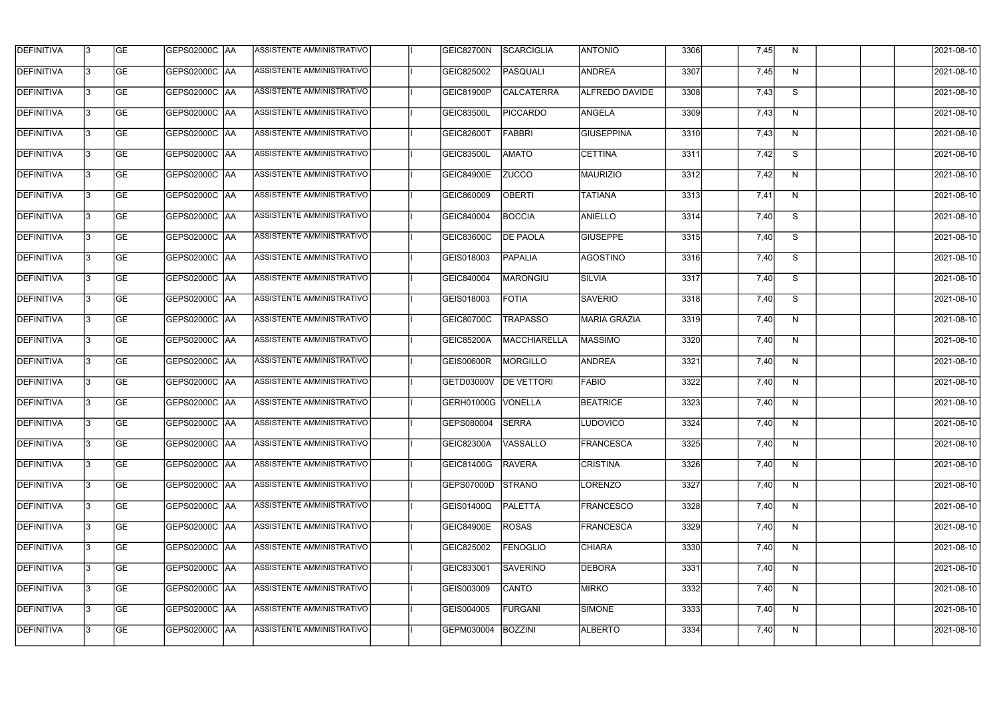| <b>DEFINITIVA</b> | 13 | GE        | GEPS02000C  AA       | ASSISTENTE AMMINISTRATIVO        | GEIC82700N         | SCARCIGLIA        | <b>ANTONIO</b>        | 3306 | 7,45 | N, | 2021-08-10       |
|-------------------|----|-----------|----------------------|----------------------------------|--------------------|-------------------|-----------------------|------|------|----|------------------|
| <b>DEFINITIVA</b> | IЗ | GE        | GEPS02000C   AA      | ASSISTENTE AMMINISTRATIVO        | GEIC825002         | PASQUALI          | <b>ANDREA</b>         | 3307 | 7,45 | N  | 2021-08-10       |
| <b>DEFINITIVA</b> | 13 | <b>GE</b> | <b>GEPS02000C AA</b> | ASSISTENTE AMMINISTRATIVO        | GEIC81900P         | <b>CALCATERRA</b> | <b>ALFREDO DAVIDE</b> | 3308 | 7,43 | S  | 2021-08-10       |
| <b>DEFINITIVA</b> | l3 | <b>GE</b> | <b>GEPS02000C AA</b> | ASSISTENTE AMMINISTRATIVO        | GEIC83500L         | <b>PICCARDO</b>   | ANGELA                | 3309 | 7,43 | N  | 2021-08-10       |
| <b>DEFINITIVA</b> | l3 | GE        | GEPS02000C AA        | ASSISTENTE AMMINISTRATIVO        | <b>GEIC82600T</b>  | <b>FABBRI</b>     | <b>GIUSEPPINA</b>     | 3310 | 7,43 | N  | 2021-08-10       |
| <b>DEFINITIVA</b> | l3 | <b>GE</b> | <b>GEPS02000C AA</b> | ASSISTENTE AMMINISTRATIVO        | <b>GEIC83500L</b>  | <b>AMATO</b>      | <b>CETTINA</b>        | 3311 | 7,42 | S  | 2021-08-10       |
| <b>DEFINITIVA</b> | IЗ | <b>GE</b> | GEPS02000C AA        | ASSISTENTE AMMINISTRATIVO        | <b>GEIC84900E</b>  | <b>ZUCCO</b>      | MAURIZIO              | 3312 | 7,42 | N  | 2021-08-10       |
| <b>DEFINITIVA</b> | l3 | <b>GE</b> | GEPS02000C AA        | <b>ASSISTENTE AMMINISTRATIVO</b> | GEIC860009         | <b>OBERTI</b>     | <b>TATIANA</b>        | 3313 | 7,41 | N  | 2021-08-10       |
| <b>DEFINITIVA</b> | IЗ | <b>GE</b> | GEPS02000C AA        | ASSISTENTE AMMINISTRATIVO        | GEIC840004         | <b>BOCCIA</b>     | <b>ANIELLO</b>        | 3314 | 7,40 | S  | 2021-08-10       |
| <b>DEFINITIVA</b> | l3 | GE        | GEPS02000C   AA      | ASSISTENTE AMMINISTRATIVO        | <b>GEIC83600C</b>  | <b>DE PAOLA</b>   | <b>GIUSEPPE</b>       | 3315 | 7,40 | S  | 2021-08-10       |
| DEFINITIVA        | 13 | <b>GE</b> | GEPS02000C AA        | ASSISTENTE AMMINISTRATIVO        | GEIS018003         | PAPALIA           | <b>AGOSTINO</b>       | 3316 | 7,40 | S  | 2021-08-10       |
| <b>DEFINITIVA</b> | l3 | <b>GE</b> | GEPS02000C AA        | <b>ASSISTENTE AMMINISTRATIVO</b> | GEIC840004         | MARONGIU          | SILVIA                | 3317 | 7,40 | S  | 2021-08-10       |
| <b>DEFINITIVA</b> | l3 | GE        | GEPS02000C  AA       | ASSISTENTE AMMINISTRATIVO        | GEIS018003         | <b>FOTIA</b>      | <b>SAVERIO</b>        | 3318 | 7,40 | S  | 2021-08-10       |
| <b>DEFINITIVA</b> | l3 | <b>GE</b> | GEPS02000C AA        | ASSISTENTE AMMINISTRATIVO        | GEIC80700C         | <b>TRAPASSO</b>   | MARIA GRAZIA          | 3319 | 7,40 | N  | 2021-08-10       |
| <b>DEFINITIVA</b> | l3 | <b>GE</b> | GEPS02000C AA        | ASSISTENTE AMMINISTRATIVO        | <b>GEIC85200A</b>  | MACCHIARELLA      | <b>MASSIMO</b>        | 3320 | 7,40 | N  | 2021-08-10       |
| <b>DEFINITIVA</b> | 13 | GE        | GEPS02000C AA        | ASSISTENTE AMMINISTRATIVO        | <b>GEIS00600R</b>  | MORGILLO          | <b>ANDREA</b>         | 3321 | 7,40 | N  | 2021-08-10       |
| <b>DEFINITIVA</b> | l3 | <b>GE</b> | GEPS02000C   AA      | ASSISTENTE AMMINISTRATIVO        | <b>GETD03000V</b>  | <b>DE VETTORI</b> | <b>FABIO</b>          | 3322 | 7,40 | N  | 2021-08-10       |
| <b>DEFINITIVA</b> | l3 | <b>GE</b> | GEPS02000C AA        | ASSISTENTE AMMINISTRATIVO        | GERH01000G VONELLA |                   | <b>BEATRICE</b>       | 3323 | 7,40 | N  | 2021-08-10       |
| <b>DEFINITIVA</b> | IЗ | GE        | GEPS02000C  AA       | <b>ASSISTENTE AMMINISTRATIVO</b> | GEPS080004 SERRA   |                   | <b>LUDOVICO</b>       | 3324 | 7,40 | N, | 2021-08-10       |
| <b>DEFINITIVA</b> | l3 | GE        | GEPS02000C AA        | ASSISTENTE AMMINISTRATIVO        | GEIC82300A         | VASSALLO          | FRANCESCA             | 3325 | 7,40 | N  | 2021-08-10       |
| <b>DEFINITIVA</b> | l3 | GE        | GEPS02000C AA        | ASSISTENTE AMMINISTRATIVO        | GEIC81400G         | <b>RAVERA</b>     | <b>CRISTINA</b>       | 3326 | 7,40 | N  | 2021-08-10       |
| <b>DEFINITIVA</b> | 13 | <b>GE</b> | GEPS02000C AA        | ASSISTENTE AMMINISTRATIVO        | <b>GEPS07000D</b>  | <b>STRANO</b>     | LORENZO               | 3327 | 7,40 | N  | $2021 - 08 - 10$ |
| <b>DEFINITIVA</b> | l3 | <b>GE</b> | GEPS02000C AA        | ASSISTENTE AMMINISTRATIVO        | GEIS01400Q         | PALETTA           | <b>FRANCESCO</b>      | 3328 | 7,40 | N  | 2021-08-10       |
| <b>DEFINITIVA</b> | 13 | <b>GE</b> | GEPS02000C AA        | ASSISTENTE AMMINISTRATIVO        | GEIC84900E         | <b>ROSAS</b>      | FRANCESCA             | 3329 | 7,40 | N  | 2021-08-10       |
| <b>DEFINITIVA</b> | l3 | <b>GE</b> | GEPS02000C  AA       | ASSISTENTE AMMINISTRATIVO        | GEIC825002         | <b>FENOGLIO</b>   | <b>CHIARA</b>         | 3330 | 7,40 | N  | 2021-08-10       |
| <b>DEFINITIVA</b> | l3 | <b>GE</b> | GEPS02000C  AA       | ASSISTENTE AMMINISTRATIVO        | GEIC833001         | <b>SAVERINO</b>   | DEBORA                | 3331 | 7,40 | N  | 2021-08-10       |
| <b>DEFINITIVA</b> | l3 | GE        | GEPS02000C  AA       | ASSISTENTE AMMINISTRATIVO        | GEIS003009         | CANTO             | <b>MIRKO</b>          | 3332 | 7,40 | N  | 2021-08-10       |
| <b>DEFINITIVA</b> | l3 | GE        | GEPS02000C AA        | ASSISTENTE AMMINISTRATIVO        | GEIS004005         | FURGANI           | SIMONE                | 3333 | 7,40 | N  | 2021-08-10       |
| <b>DEFINITIVA</b> | l3 | GE        | GEPS02000C AA        | ASSISTENTE AMMINISTRATIVO        | GEPM030004         | BOZZINI           | <b>ALBERTO</b>        | 3334 | 7,40 | N  | 2021-08-10       |
|                   |    |           |                      |                                  |                    |                   |                       |      |      |    |                  |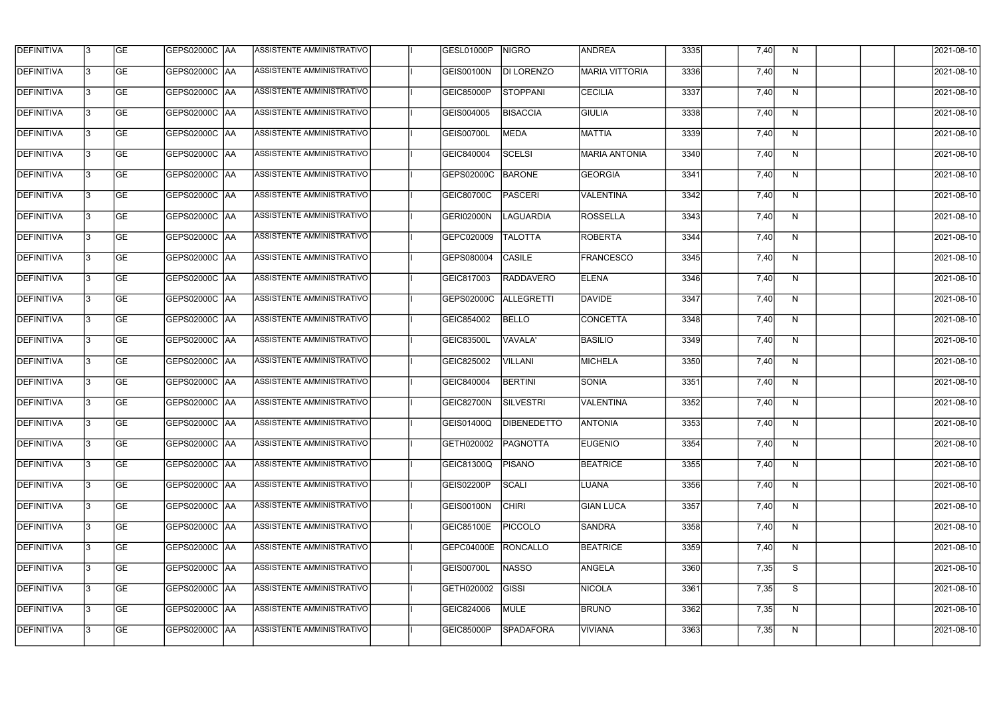| <b>DEFINITIVA</b> | l3 | GE                       | <b>GEPS02000C AA</b> | ASSISTENTE AMMINISTRATIVO        | GESL01000P        | NIGRO              | <b>ANDREA</b>         | 3335 | 7,40 | N            | 2021-08-10          |
|-------------------|----|--------------------------|----------------------|----------------------------------|-------------------|--------------------|-----------------------|------|------|--------------|---------------------|
| <b>DEFINITIVA</b> | IЗ | $\overline{\mathsf{GE}}$ | GEPS02000C AA        | ASSISTENTE AMMINISTRATIVO        | <b>GEIS00100N</b> | <b>DI LORENZO</b>  | <b>MARIA VITTORIA</b> | 3336 | 7,40 | N            | 2021-08-10          |
| <b>DEFINITIVA</b> | l3 | GE                       | GEPS02000C AA        | ASSISTENTE AMMINISTRATIVO        | <b>GEIC85000P</b> | <b>STOPPANI</b>    | <b>CECILIA</b>        | 3337 | 7,40 | N            | 2021-08-10          |
| <b>DEFINITIVA</b> | l3 | GE                       | GEPS02000C AA        | ASSISTENTE AMMINISTRATIVO        | GEIS004005        | <b>BISACCIA</b>    | <b>GIULIA</b>         | 3338 | 7,40 | $\mathsf{N}$ | 2021-08-10          |
| <b>DEFINITIVA</b> | l3 | <b>GE</b>                | GEPS02000C AA        | ASSISTENTE AMMINISTRATIVO        | GEIS00700L        | <b>MEDA</b>        | <b>MATTIA</b>         | 3339 | 7,40 | N            | 2021-08-10          |
| <b>DEFINITIVA</b> | IЗ | <b>GE</b>                | GEPS02000C AA        | <b>ASSISTENTE AMMINISTRATIVO</b> | GEIC840004        | <b>SCELSI</b>      | <b>MARIA ANTONIA</b>  | 3340 | 7,40 | N            | 2021-08-10          |
| <b>DEFINITIVA</b> | l3 | <b>GE</b>                | GEPS02000C AA        | ASSISTENTE AMMINISTRATIVO        | GEPS02000C        | <b>BARONE</b>      | <b>GEORGIA</b>        | 3341 | 7,40 | N            | 2021-08-10          |
| <b>DEFINITIVA</b> | l3 | <b>GE</b>                | GEPS02000C   AA      | ASSISTENTE AMMINISTRATIVO        | GEIC80700C        | <b>PASCERI</b>     | VALENTINA             | 3342 | 7,40 | N            | 2021-08-10          |
| <b>DEFINITIVA</b> | IЗ | <b>GE</b>                | GEPS02000C   AA      | ASSISTENTE AMMINISTRATIVO        | GERI02000N        | LAGUARDIA          | <b>ROSSELLA</b>       | 3343 | 7,40 | N            | 2021-08-10          |
| <b>DEFINITIVA</b> | l3 | GE                       | GEPS02000C AA        | ASSISTENTE AMMINISTRATIVO        | GEPC020009        | <b>TALOTTA</b>     | ROBERTA               | 3344 | 7,40 | N            | 2021-08-10          |
| <b>DEFINITIVA</b> | l3 | GE                       | GEPS02000C AA        | ASSISTENTE AMMINISTRATIVO        | GEPS080004        | <b>CASILE</b>      | <b>FRANCESCO</b>      | 3345 | 7,40 | N            | 2021-08-10          |
| <b>DEFINITIVA</b> | l3 | GE                       | GEPS02000C   AA      | ASSISTENTE AMMINISTRATIVO        | GEIC817003        | <b>RADDAVERO</b>   | <b>ELENA</b>          | 3346 | 7,40 | N            | 2021-08-10          |
| <b>DEFINITIVA</b> | l3 | <b>GE</b>                | GEPS02000C AA        | ASSISTENTE AMMINISTRATIVO        | GEPS02000C        | ALLEGRETTI         | DAVIDE                | 3347 | 7,40 | N            | 2021-08-10          |
| <b>DEFINITIVA</b> | IЗ | <b>GE</b>                | GEPS02000C AA        | ASSISTENTE AMMINISTRATIVO        | GEIC854002        | <b>BELLO</b>       | CONCETTA              | 3348 | 7,40 | N            | 2021-08-10          |
| <b>DEFINITIVA</b> | 13 | GE                       | GEPS02000C AA        | ASSISTENTE AMMINISTRATIVO        | <b>GEIC83500L</b> | VAVALA'            | <b>BASILIO</b>        | 3349 | 7,40 | N            | 2021-08-10          |
| <b>DEFINITIVA</b> | l3 | <b>GE</b>                | GEPS02000C  AA       | ASSISTENTE AMMINISTRATIVO        | GEIC825002        | <b>VILLANI</b>     | MICHELA               | 3350 | 7,40 | N            | 2021-08-10          |
| <b>DEFINITIVA</b> | IЗ | GE                       | GEPS02000C  AA       | ASSISTENTE AMMINISTRATIVO        | GEIC840004        | <b>BERTINI</b>     | SONIA                 | 3351 | 7,40 | N            | 2021-08-10          |
| <b>DEFINITIVA</b> | l3 | GE                       | GEPS02000C   AA      | ASSISTENTE AMMINISTRATIVO        | GEIC82700N        | SILVESTRI          | VALENTINA             | 3352 | 7,40 | N            | 2021-08-10          |
| DEFINITIVA        | 13 | <b>GE</b>                | GEPS02000C  AA       | ASSISTENTE AMMINISTRATIVO        | <b>GEIS01400Q</b> | <b>DIBENEDETTO</b> | <b>ANTONIA</b>        | 3353 | 7,40 | N            | 2021-08-10          |
| <b>DEFINITIVA</b> | l3 | GE                       | <b>GEPS02000C AA</b> | ASSISTENTE AMMINISTRATIVO        | GETH020002        | PAGNOTTA           | <b>EUGENIO</b>        | 3354 | 7,40 | N            | 2021-08-10          |
| <b>DEFINITIVA</b> | l3 | GE                       |                      | ASSISTENTE AMMINISTRATIVO        | GEIC81300Q        | <b>PISANO</b>      | <b>BEATRICE</b>       | 3355 | 7,40 | N            | 2021-08-10          |
| <b>DEFINITIVA</b> | l3 | GE                       | GEPS02000C AA        | ASSISTENTE AMMINISTRATIVO        | GEIS02200P        | SCALI              | LUANA                 | 3356 | 7,40 | N            | 2021-08-10          |
| <b>DEFINITIVA</b> | 13 | <b>GE</b>                | GEPS02000C AA        | ASSISTENTE AMMINISTRATIVO        | GEIS00100N        | <b>CHIRI</b>       | <b>GIAN LUCA</b>      | 3357 | 7,40 | N            | 2021-08-10          |
| <b>DEFINITIVA</b> | 13 | <b>GE</b>                | GEPS02000C  AA       | ASSISTENTE AMMINISTRATIVO        | GEIC85100E        | <b>PICCOLO</b>     | SANDRA                | 3358 | 7,40 | N            | 2021-08-10          |
| <b>DEFINITIVA</b> | l3 | <b>GE</b>                | GEPS02000C  AA       | ASSISTENTE AMMINISTRATIVO        | <b>GEPC04000E</b> | RONCALLO           | <b>BEATRICE</b>       | 3359 | 7,40 | N            | 2021-08-10          |
| <b>DEFINITIVA</b> | l3 | <b>GE</b>                | GEPS02000C AA        | ASSISTENTE AMMINISTRATIVO        | <b>GEIS00700L</b> | <b>NASSO</b>       | <b>ANGELA</b>         | 3360 | 7,35 | S            | 2021-08-10          |
| <b>DEFINITIVA</b> | l3 | <b>GE</b>                | GEPS02000C AA        | ASSISTENTE AMMINISTRATIVO        | GETH020002        | <b>GISSI</b>       | NICOLA                | 3361 | 7,35 | S            | 2021-08-10          |
| <b>DEFINITIVA</b> | 13 | GE                       | GEPS02000C AA        | ASSISTENTE AMMINISTRATIVO        | GEIC824006        | MULE               | <b>BRUNO</b>          | 3362 | 7,35 | N            | 2021-08-10          |
| <b>DEFINITIVA</b> | l3 | GE                       |                      | ASSISTENTE AMMINISTRATIVO        | <b>GEIC85000P</b> | <b>SPADAFORA</b>   | <b>VIVIANA</b>        | 3363 | 7,35 | N            | $\sqrt{2021-08-10}$ |
|                   |    |                          |                      |                                  |                   |                    |                       |      |      |              |                     |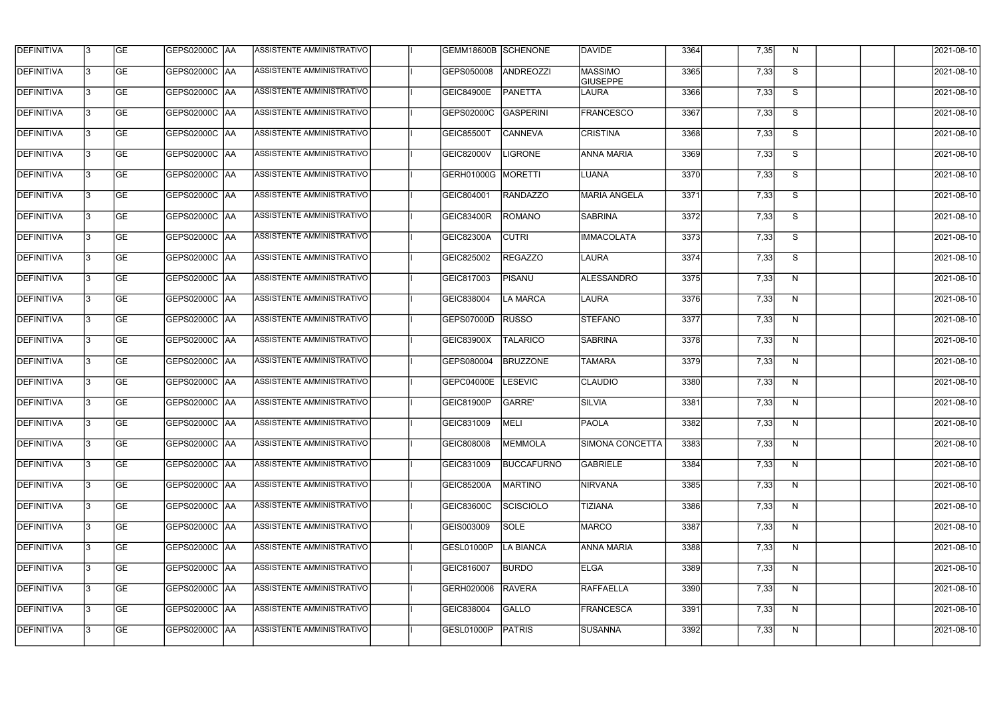| <b>DEFINITIVA</b> | 13 | <b>GE</b> | GEPS02000C  AA       | ASSISTENTE AMMINISTRATIVO        | GEMM18600B SCHENONE |                   | <b>DAVIDE</b>                     | 3364 | 7,35 | N. | 2021-08-10       |
|-------------------|----|-----------|----------------------|----------------------------------|---------------------|-------------------|-----------------------------------|------|------|----|------------------|
| DEFINITIVA        | l3 | <b>GE</b> | GEPS02000C  AA       | ASSISTENTE AMMINISTRATIVO        | GEPS050008          | ANDREOZZI         | <b>MASSIMO</b><br><b>GIUSEPPE</b> | 3365 | 7,33 | S  | 2021-08-10       |
| <b>DEFINITIVA</b> | l3 | <b>GE</b> | <b>GEPS02000C AA</b> | ASSISTENTE AMMINISTRATIVO        | GEIC84900E          | <b>PANETTA</b>    | LAURA                             | 3366 | 7,33 | S  | 2021-08-10       |
| <b>DEFINITIVA</b> | 13 | <b>GE</b> | <b>GEPS02000C AA</b> | ASSISTENTE AMMINISTRATIVO        | GEPS02000C          | <b>GASPERINI</b>  | <b>FRANCESCO</b>                  | 3367 | 7,33 | S  | 2021-08-10       |
| <b>DEFINITIVA</b> | l3 | <b>GE</b> | GEPS02000C  AA       | ASSISTENTE AMMINISTRATIVO        | <b>GEIC85500T</b>   | <b>CANNEVA</b>    | <b>CRISTINA</b>                   | 3368 | 7,33 | S  | 2021-08-10       |
| <b>DEFINITIVA</b> | IЗ | <b>GE</b> | <b>GEPS02000C AA</b> | <b>ASSISTENTE AMMINISTRATIVO</b> | <b>GEIC82000V</b>   | <b>LIGRONE</b>    | <b>ANNA MARIA</b>                 | 3369 | 7,33 | S  | 2021-08-10       |
| <b>DEFINITIVA</b> | l3 | <b>GE</b> | <b>GEPS02000C AA</b> | <b>ASSISTENTE AMMINISTRATIVO</b> | GERH01000G          | MORETTI           | LUANA                             | 3370 | 7,33 | S  | 2021-08-10       |
| <b>DEFINITIVA</b> | l3 | <b>GE</b> | GEPS02000C AA        | ASSISTENTE AMMINISTRATIVO        | GEIC804001          | <b>RANDAZZO</b>   | <b>MARIA ANGELA</b>               | 3371 | 7,33 | S  | 2021-08-10       |
| <b>DEFINITIVA</b> | l3 | <b>GE</b> | GEPS02000C  AA       | ASSISTENTE AMMINISTRATIVO        | GEIC83400R          | ROMANO            | SABRINA                           | 3372 | 7,33 | S  | 2021-08-10       |
| <b>DEFINITIVA</b> | l3 | <b>GE</b> | GEPS02000C AA        | ASSISTENTE AMMINISTRATIVO        | <b>GEIC82300A</b>   | <b>CUTRI</b>      | <b>IMMACOLATA</b>                 | 3373 | 7,33 | S  | 2021-08-10       |
| <b>DEFINITIVA</b> | l3 | <b>GE</b> | GEPS02000C AA        | ASSISTENTE AMMINISTRATIVO        | GEIC825002          | <b>REGAZZO</b>    | LAURA                             | 3374 | 7,33 | S  | 2021-08-10       |
| <b>DEFINITIVA</b> | 13 | <b>GE</b> | GEPS02000C  AA       | ASSISTENTE AMMINISTRATIVO        | GEIC817003          | <b>PISANU</b>     | ALESSANDRO                        | 3375 | 7,33 | N  | 2021-08-10       |
| <b>DEFINITIVA</b> | IЗ | <b>GE</b> | GEPS02000C  AA       | ASSISTENTE AMMINISTRATIVO        | GEIC838004          | <b>LA MARCA</b>   | LAURA                             | 3376 | 7,33 | N  | 2021-08-10       |
| <b>DEFINITIVA</b> | l3 | <b>GE</b> | GEPS02000C AA        | ASSISTENTE AMMINISTRATIVO        | GEPS07000D          | <b>RUSSO</b>      | <b>STEFANO</b>                    | 3377 | 7,33 | N  | 2021-08-10       |
| <b>DEFINITIVA</b> | 13 | <b>GE</b> | GEPS02000C  AA       | ASSISTENTE AMMINISTRATIVO        | GEIC83900X          | <b>TALARICO</b>   | <b>SABRINA</b>                    | 3378 | 7,33 | N  | 2021-08-10       |
| <b>DEFINITIVA</b> | l3 | <b>GE</b> | GEPS02000C  AA       | ASSISTENTE AMMINISTRATIVO        | GEPS080004          | <b>BRUZZONE</b>   | <b>TAMARA</b>                     | 3379 | 7,33 | N  | 2021-08-10       |
| <b>DEFINITIVA</b> | l3 | <b>GE</b> | GEPS02000C  AA       | ASSISTENTE AMMINISTRATIVO        | GEPC04000E          | <b>LESEVIC</b>    | <b>CLAUDIO</b>                    | 3380 | 7,33 | N  | 2021-08-10       |
| <b>DEFINITIVA</b> |    | <b>GE</b> | GEPS02000C  AA       | ASSISTENTE AMMINISTRATIVO        | GEIC81900P          | <b>GARRE'</b>     | SILVIA                            | 3381 | 7,33 | N  | 2021-08-10       |
| <b>DEFINITIVA</b> | IЗ | GE        | GEPS02000C  AA       | <b>ASSISTENTE AMMINISTRATIVO</b> | GEIC831009          | MELI              | <b>PAOLA</b>                      | 3382 | 7,33 | N, | 2021-08-10       |
| <b>DEFINITIVA</b> | 13 | <b>GE</b> | GEPS02000C AA        | ASSISTENTE AMMINISTRATIVO        | GEIC808008          | <b>MEMMOLA</b>    | <b>SIMONA CONCETTA</b>            | 3383 | 7,33 | N  | 2021-08-10       |
| <b>DEFINITIVA</b> | 13 | <b>GE</b> | <b>GEPS02000C AA</b> | ASSISTENTE AMMINISTRATIVO        | GEIC831009          | <b>BUCCAFURNO</b> | <b>GABRIELE</b>                   | 3384 | 7,33 | N  | 2021-08-10       |
| <b>DEFINITIVA</b> | 13 | <b>GE</b> | <b>GEPS02000C AA</b> | ASSISTENTE AMMINISTRATIVO        | <b>GEIC85200A</b>   | <b>MARTINO</b>    | <b>NIRVANA</b>                    | 3385 | 7,33 | N  | $2021 - 08 - 10$ |
| <b>DEFINITIVA</b> | 13 | <b>GE</b> | GEPS02000C AA        | ASSISTENTE AMMINISTRATIVO        | GEIC83600C          | <b>SCISCIOLO</b>  | <b>TIZIANA</b>                    | 3386 | 7,33 | N  | 2021-08-10       |
| <b>DEFINITIVA</b> | 13 | <b>GE</b> | GEPS02000C AA        | ASSISTENTE AMMINISTRATIVO        | GEIS003009          | SOLE              | MARCO                             | 3387 | 7,33 | N  | 2021-08-10       |
| <b>DEFINITIVA</b> | l3 | <b>GE</b> | GEPS02000C  AA       | ASSISTENTE AMMINISTRATIVO        | GESL01000P          | <b>LA BIANCA</b>  | <b>ANNA MARIA</b>                 | 3388 | 7,33 | N  | 2021-08-10       |
| DEFINITIVA        | l3 | <b>GE</b> | GEPS02000C  AA       | ASSISTENTE AMMINISTRATIVO        | GEIC816007          | <b>BURDO</b>      | ELGA                              | 3389 | 7,33 | N  | 2021-08-10       |
| DEFINITIVA        | l3 | <b>GE</b> | GEPS02000C  AA       | ASSISTENTE AMMINISTRATIVO        | GERH020006          | <b>RAVERA</b>     | RAFFAELLA                         | 3390 | 7,33 | N  | 2021-08-10       |
| DEFINITIVA        | l3 | <b>GE</b> | GEPS02000C AA        | ASSISTENTE AMMINISTRATIVO        | GEIC838004          | GALLO             | <b>FRANCESCA</b>                  | 3391 | 7,33 | N  | 2021-08-10       |
| <b>DEFINITIVA</b> | Iз | <b>GE</b> | GEPS02000C  AA       | ASSISTENTE AMMINISTRATIVO        | GESL01000P          | PATRIS            | <b>SUSANNA</b>                    | 3392 | 7,33 | N  | 2021-08-10       |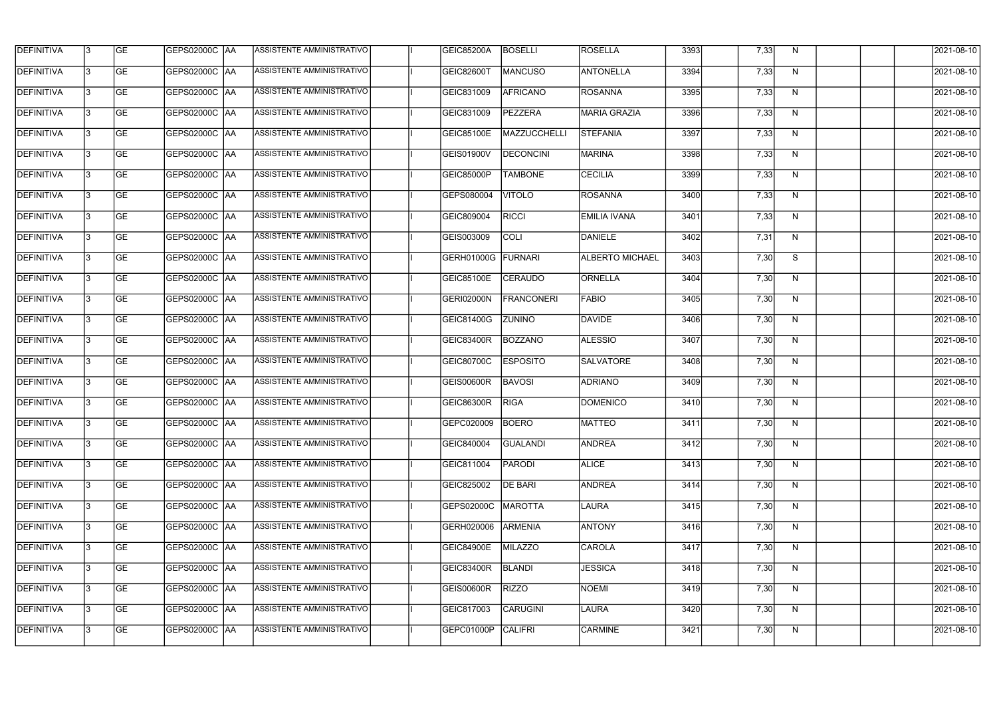| <b>DEFINITIVA</b> | 13  | <b>GE</b> | GEPS02000C  AA       | ASSISTENTE AMMINISTRATIVO        | <b>GEIC85200A</b> | <b>BOSELLI</b>   | <b>ROSELLA</b>         | 3393 | 7,33 | N.           | 2021-08-10       |
|-------------------|-----|-----------|----------------------|----------------------------------|-------------------|------------------|------------------------|------|------|--------------|------------------|
| DEFINITIVA        | l3  | <b>GE</b> | GEPS02000C  AA       | ASSISTENTE AMMINISTRATIVO        | GEIC82600T        | MANCUSO          | <b>ANTONELLA</b>       | 3394 | 7,33 | N            | 2021-08-10       |
| <b>DEFINITIVA</b> | l3  | <b>GE</b> | <b>GEPS02000C AA</b> | ASSISTENTE AMMINISTRATIVO        | GEIC831009        | <b>AFRICANO</b>  | <b>ROSANNA</b>         | 3395 | 7,33 | N            | 2021-08-10       |
| <b>DEFINITIVA</b> | 13  | <b>GE</b> | <b>GEPS02000C AA</b> | ASSISTENTE AMMINISTRATIVO        | GEIC831009        | <b>PEZZERA</b>   | <b>MARIA GRAZIA</b>    | 3396 | 7,33 | $\mathsf{N}$ | 2021-08-10       |
| <b>DEFINITIVA</b> | l3  | <b>GE</b> | GEPS02000C  AA       | ASSISTENTE AMMINISTRATIVO        | <b>GEIC85100E</b> | MAZZUCCHELLI     | <b>STEFANIA</b>        | 3397 | 7,33 | N            | 2021-08-10       |
| <b>DEFINITIVA</b> | IЗ  | <b>GE</b> | GEPS02000C AA        | <b>ASSISTENTE AMMINISTRATIVO</b> | GEIS01900V        | <b>DECONCINI</b> | <b>MARINA</b>          | 3398 | 7,33 | N            | 2021-08-10       |
| <b>DEFINITIVA</b> | l3  | <b>GE</b> | <b>GEPS02000C AA</b> | <b>ASSISTENTE AMMINISTRATIVO</b> | GEIC85000P        | <b>TAMBONE</b>   | <b>CECILIA</b>         | 3399 | 7,33 | N            | 2021-08-10       |
| <b>DEFINITIVA</b> | l3  | <b>GE</b> | GEPS02000C AA        | ASSISTENTE AMMINISTRATIVO        | GEPS080004        | <b>VITOLO</b>    | <b>ROSANNA</b>         | 3400 | 7,33 | N            | 2021-08-10       |
| <b>DEFINITIVA</b> | l3  | <b>GE</b> | GEPS02000C  AA       | ASSISTENTE AMMINISTRATIVO        | GEIC809004        | <b>RICCI</b>     | <b>EMILIA IVANA</b>    | 3401 | 7,33 | N            | 2021-08-10       |
| <b>DEFINITIVA</b> | l3  | <b>GE</b> | GEPS02000C AA        | ASSISTENTE AMMINISTRATIVO        | GEIS003009        | <b>COLI</b>      | DANIELE                | 3402 | 7,31 | N            | 2021-08-10       |
| <b>DEFINITIVA</b> | l3  | <b>GE</b> | GEPS02000C AA        | ASSISTENTE AMMINISTRATIVO        | GERH01000G        | FURNARI          | <b>ALBERTO MICHAEL</b> | 3403 | 7,30 | S            | 2021-08-10       |
| <b>DEFINITIVA</b> | 13  | <b>GE</b> | <b>GEPS02000C AA</b> | ASSISTENTE AMMINISTRATIVO        | GEIC85100E        | <b>CERAUDO</b>   | ORNELLA                | 3404 | 7,30 | N            | 2021-08-10       |
| <b>DEFINITIVA</b> | l3  | <b>GE</b> | GEPS02000C  AA       | ASSISTENTE AMMINISTRATIVO        | GERI02000N        | FRANCONERI       | FABIO                  | 3405 | 7,30 | N            | 2021-08-10       |
| <b>DEFINITIVA</b> | l3  | <b>GE</b> | GEPS02000C AA        | ASSISTENTE AMMINISTRATIVO        | GEIC81400G        | <b>ZUNINO</b>    | DAVIDE                 | 3406 | 7,30 | N            | 2021-08-10       |
| <b>DEFINITIVA</b> | l3  | <b>GE</b> | GEPS02000C  AA       | ASSISTENTE AMMINISTRATIVO        | GEIC83400R        | <b>BOZZANO</b>   | <b>ALESSIO</b>         | 3407 | 7,30 | N            | 2021-08-10       |
| <b>DEFINITIVA</b> | IЗ  | <b>GE</b> | GEPS02000C  AA       | ASSISTENTE AMMINISTRATIVO        | GEIC80700C        | <b>ESPOSITO</b>  | <b>SALVATORE</b>       | 3408 | 7,30 | N            | 2021-08-10       |
| <b>DEFINITIVA</b> | l3  | <b>GE</b> | GEPS02000C  AA       | ASSISTENTE AMMINISTRATIVO        | <b>GEIS00600R</b> | <b>BAVOSI</b>    | <b>ADRIANO</b>         | 3409 | 7,30 | N            | 2021-08-10       |
| <b>DEFINITIVA</b> |     | <b>GE</b> | GEPS02000C AA        | ASSISTENTE AMMINISTRATIVO        | <b>GEIC86300R</b> | <b>RIGA</b>      | DOMENICO               | 3410 | 7,30 | N            | 2021-08-10       |
| <b>DEFINITIVA</b> | IЗ  | GE        | GEPS02000C  AA       | <b>ASSISTENTE AMMINISTRATIVO</b> | GEPC020009 BOERO  |                  | MATTEO                 | 3411 | 7,30 | N,           | 2021-08-10       |
| <b>DEFINITIVA</b> | 13. | <b>GE</b> | GEPS02000C AA        | ASSISTENTE AMMINISTRATIVO        | GEIC840004        | <b>GUALANDI</b>  | <b>ANDREA</b>          | 3412 | 7,30 | N            | 2021-08-10       |
| <b>DEFINITIVA</b> | 13  | <b>GE</b> | <b>GEPS02000C AA</b> | ASSISTENTE AMMINISTRATIVO        | GEIC811004        | PARODI           | <b>ALICE</b>           | 3413 | 7,30 | N            | 2021-08-10       |
| <b>DEFINITIVA</b> | 13. | <b>GE</b> | <b>GEPS02000C AA</b> | ASSISTENTE AMMINISTRATIVO        | GEIC825002        | <b>DE BARI</b>   | <b>ANDREA</b>          | 3414 | 7,30 | N            | $2021 - 08 - 10$ |
| <b>DEFINITIVA</b> | 13  | <b>GE</b> | GEPS02000C AA        | ASSISTENTE AMMINISTRATIVO        | GEPS02000C        | <b>MAROTTA</b>   | LAURA                  | 3415 | 7,30 | N            | 2021-08-10       |
| <b>DEFINITIVA</b> | 13  | <b>GE</b> | GEPS02000C AA        | ASSISTENTE AMMINISTRATIVO        | GERH020006        | <b>ARMENIA</b>   | <b>ANTONY</b>          | 3416 | 7,30 | N            | 2021-08-10       |
| <b>DEFINITIVA</b> | 13. | <b>GE</b> | GEPS02000C  AA       | ASSISTENTE AMMINISTRATIVO        | <b>GEIC84900E</b> | MILAZZO          | <b>CAROLA</b>          | 3417 | 7,30 | N            | 2021-08-10       |
| DEFINITIVA        | l3  | <b>GE</b> | GEPS02000C  AA       | ASSISTENTE AMMINISTRATIVO        | GEIC83400R        | <b>BLANDI</b>    | <b>JESSICA</b>         | 3418 | 7,30 | N            | 2021-08-10       |
| DEFINITIVA        | l3  | <b>GE</b> | GEPS02000C  AA       | ASSISTENTE AMMINISTRATIVO        | GEIS00600R        | <b>RIZZO</b>     | NOEMI                  | 3419 | 7,30 | N            | 2021-08-10       |
| <b>DEFINITIVA</b> | l3  | <b>GE</b> | <b>GEPS02000C AA</b> | ASSISTENTE AMMINISTRATIVO        | GEIC817003        | CARUGINI         | LAURA                  | 3420 | 7,30 | N            | 2021-08-10       |
| <b>DEFINITIVA</b> | Iз  | <b>GE</b> | GEPS02000C  AA       | ASSISTENTE AMMINISTRATIVO        | GEPC01000P        | <b>CALIFRI</b>   | <b>CARMINE</b>         | 3421 | 7,30 | N            | 2021-08-10       |
|                   |     |           |                      |                                  |                   |                  |                        |      |      |              |                  |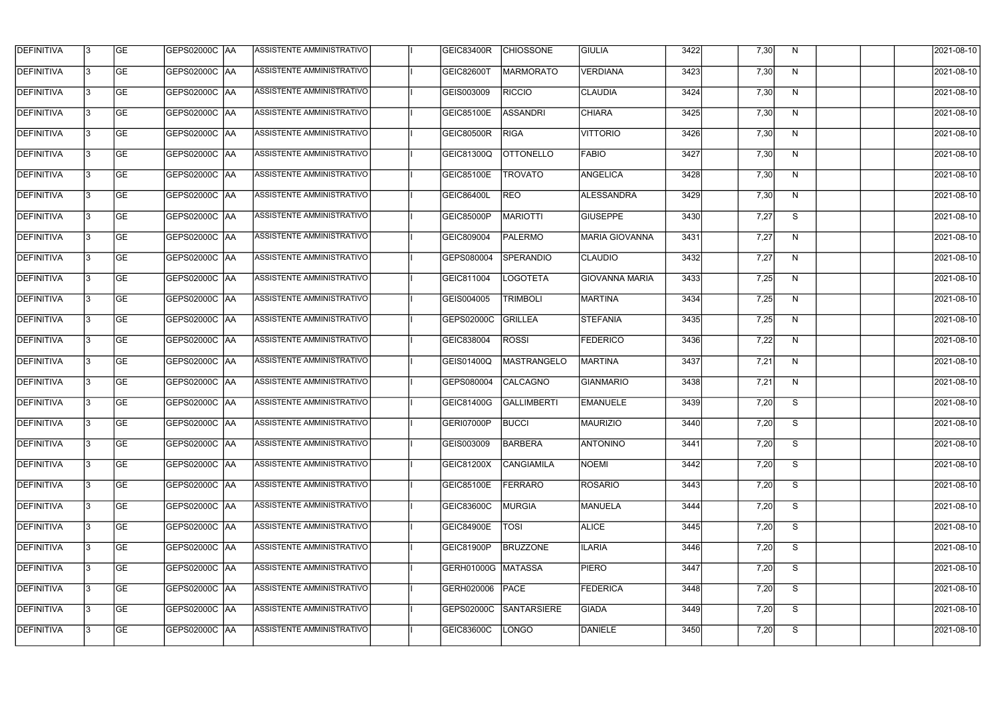| <b>DEFINITIVA</b> | 13  | <b>GE</b> | GEPS02000C  AA       | ASSISTENTE AMMINISTRATIVO        | GEIC83400R         | <b>CHIOSSONE</b>   | <b>GIULIA</b>         | 3422 | 7,30 | N.           | 2021-08-10 |
|-------------------|-----|-----------|----------------------|----------------------------------|--------------------|--------------------|-----------------------|------|------|--------------|------------|
| DEFINITIVA        | l3  | <b>GE</b> | GEPS02000C  AA       | ASSISTENTE AMMINISTRATIVO        | GEIC82600T         | MARMORATO          | <b>VERDIANA</b>       | 3423 | 7,30 | N            | 2021-08-10 |
| <b>DEFINITIVA</b> | l3  | <b>GE</b> | <b>GEPS02000C AA</b> | ASSISTENTE AMMINISTRATIVO        | GEIS003009         | <b>RICCIO</b>      | <b>CLAUDIA</b>        | 3424 | 7,30 | N            | 2021-08-10 |
| <b>DEFINITIVA</b> | l3  | <b>GE</b> | <b>GEPS02000C AA</b> | ASSISTENTE AMMINISTRATIVO        | GEIC85100E         | <b>ASSANDRI</b>    | <b>CHIARA</b>         | 3425 | 7,30 | $\mathsf{N}$ | 2021-08-10 |
| <b>DEFINITIVA</b> | l3  | <b>GE</b> | GEPS02000C AA        | ASSISTENTE AMMINISTRATIVO        | <b>GEIC80500R</b>  | <b>RIGA</b>        | <b>VITTORIO</b>       | 3426 | 7,30 | N            | 2021-08-10 |
| <b>DEFINITIVA</b> | IЗ  | <b>GE</b> | <b>GEPS02000C AA</b> | <b>ASSISTENTE AMMINISTRATIVO</b> | GEIC81300Q         | <b>OTTONELLO</b>   | <b>FABIO</b>          | 3427 | 7,30 | N            | 2021-08-10 |
| <b>DEFINITIVA</b> | l3  | <b>GE</b> | <b>GEPS02000C AA</b> | <b>ASSISTENTE AMMINISTRATIVO</b> | <b>GEIC85100E</b>  | <b>TROVATO</b>     | <b>ANGELICA</b>       | 3428 | 7,30 | N            | 2021-08-10 |
| <b>DEFINITIVA</b> | l3  | <b>GE</b> | GEPS02000C AA        | ASSISTENTE AMMINISTRATIVO        | <b>GEIC86400L</b>  | <b>REO</b>         | <b>ALESSANDRA</b>     | 3429 | 7,30 | N            | 2021-08-10 |
| <b>DEFINITIVA</b> | l3  | <b>GE</b> | GEPS02000C   AA      | ASSISTENTE AMMINISTRATIVO        | <b>GEIC85000P</b>  | <b>MARIOTTI</b>    | <b>GIUSEPPE</b>       | 3430 | 7,27 | S            | 2021-08-10 |
| <b>DEFINITIVA</b> | l3  | <b>GE</b> | GEPS02000C AA        | ASSISTENTE AMMINISTRATIVO        | GEIC809004         | <b>PALERMO</b>     | <b>MARIA GIOVANNA</b> | 3431 | 7,27 | N            | 2021-08-10 |
| <b>DEFINITIVA</b> | l3  | <b>GE</b> | GEPS02000C AA        | ASSISTENTE AMMINISTRATIVO        | GEPS080004         | <b>SPERANDIO</b>   | <b>CLAUDIO</b>        | 3432 | 7,27 | N            | 2021-08-10 |
| <b>DEFINITIVA</b> | 13  | <b>GE</b> | GEPS02000C AA        | ASSISTENTE AMMINISTRATIVO        | GEIC811004         | <b>LOGOTETA</b>    | <b>GIOVANNA MARIA</b> | 3433 | 7,25 | $\mathsf{N}$ | 2021-08-10 |
| <b>DEFINITIVA</b> | IЗ  | <b>GE</b> | GEPS02000C AA        | ASSISTENTE AMMINISTRATIVO        | GEIS004005         | <b>TRIMBOLI</b>    | MARTINA               | 3434 | 7,25 | N            | 2021-08-10 |
| <b>DEFINITIVA</b> | l3  | <b>GE</b> | GEPS02000C AA        | ASSISTENTE AMMINISTRATIVO        | GEPS02000C         | <b>GRILLEA</b>     | <b>STEFANIA</b>       | 3435 | 7,25 | N            | 2021-08-10 |
| <b>DEFINITIVA</b> | l3  | <b>GE</b> | GEPS02000C AA        | ASSISTENTE AMMINISTRATIVO        | GEIC838004         | <b>ROSSI</b>       | <b>FEDERICO</b>       | 3436 | 7,22 | N            | 2021-08-10 |
| <b>DEFINITIVA</b> | IЗ  | <b>GE</b> | GEPS02000C  AA       | ASSISTENTE AMMINISTRATIVO        | GEIS01400Q         | <b>MASTRANGELO</b> | <b>MARTINA</b>        | 3437 | 7,21 | N            | 2021-08-10 |
| <b>DEFINITIVA</b> | l3  | <b>GE</b> | GEPS02000C  AA       | ASSISTENTE AMMINISTRATIVO        | GEPS080004         | <b>CALCAGNO</b>    | <b>GIANMARIO</b>      | 3438 | 7,21 | N            | 2021-08-10 |
| <b>DEFINITIVA</b> |     | <b>GE</b> | GEPS02000C AA        | ASSISTENTE AMMINISTRATIVO        | GEIC81400G         | <b>GALLIMBERTI</b> | <b>EMANUELE</b>       | 3439 | 7,20 | S            | 2021-08-10 |
| <b>DEFINITIVA</b> | IЗ  | GE        | GEPS02000C  AA       | <b>ASSISTENTE AMMINISTRATIVO</b> | GERI07000P         | <b>BUCCI</b>       | <b>MAURIZIO</b>       | 3440 | 7,20 | S.           | 2021-08-10 |
| <b>DEFINITIVA</b> | 13. | <b>GE</b> | GEPS02000C AA        | ASSISTENTE AMMINISTRATIVO        | GEIS003009         | <b>BARBERA</b>     | <b>ANTONINO</b>       | 3441 | 7,20 | S            | 2021-08-10 |
| <b>DEFINITIVA</b> | 13. | <b>GE</b> | <b>GEPS02000C AA</b> | ASSISTENTE AMMINISTRATIVO        | GEIC81200X         | CANGIAMILA         | NOEMI                 | 3442 | 7,20 | S            | 2021-08-10 |
| <b>DEFINITIVA</b> | 13. | <b>GE</b> | <b>GEPS02000C AA</b> | ASSISTENTE AMMINISTRATIVO        | <b>GEIC85100E</b>  | FERRARO            | <b>ROSARIO</b>        | 3443 | 7,20 | S            | 2021-08-10 |
| <b>DEFINITIVA</b> | 13  | <b>GE</b> | <b>GEPS02000C AA</b> | ASSISTENTE AMMINISTRATIVO        | GEIC83600C         | <b>MURGIA</b>      | <b>MANUELA</b>        | 3444 | 7,20 | S            | 2021-08-10 |
| <b>DEFINITIVA</b> | 13  | <b>GE</b> | GEPS02000C AA        | ASSISTENTE AMMINISTRATIVO        | <b>GEIC84900E</b>  | <b>TOSI</b>        | <b>ALICE</b>          | 3445 | 7,20 | S            | 2021-08-10 |
| <b>DEFINITIVA</b> | l3  | <b>GE</b> | GEPS02000C  AA       | ASSISTENTE AMMINISTRATIVO        | GEIC81900P         | <b>BRUZZONE</b>    | <b>ILARIA</b>         | 3446 | 7,20 | S            | 2021-08-10 |
| DEFINITIVA        | l3  | <b>GE</b> | GEPS02000C  AA       | ASSISTENTE AMMINISTRATIVO        | GERH01000G MATASSA |                    | <b>PIERO</b>          | 3447 | 7,20 | S            | 2021-08-10 |
| DEFINITIVA        | l3  | <b>GE</b> | GEPS02000C  AA       | ASSISTENTE AMMINISTRATIVO        | GERH020006         | PACE               | <b>FEDERICA</b>       | 3448 | 7,20 | S            | 2021-08-10 |
| <b>DEFINITIVA</b> | l3  | <b>GE</b> | GEPS02000C AA        | ASSISTENTE AMMINISTRATIVO        | GEPS02000C         | SANTARSIERE        | <b>GIADA</b>          | 3449 | 7,20 | S            | 2021-08-10 |
| <b>DEFINITIVA</b> | IЗ  | <b>GE</b> | GEPS02000C  AA       | ASSISTENTE AMMINISTRATIVO        | <b>GEIC83600C</b>  | <b>LONGO</b>       | DANIELE               | 3450 | 7,20 | S            | 2021-08-10 |
|                   |     |           |                      |                                  |                    |                    |                       |      |      |              |            |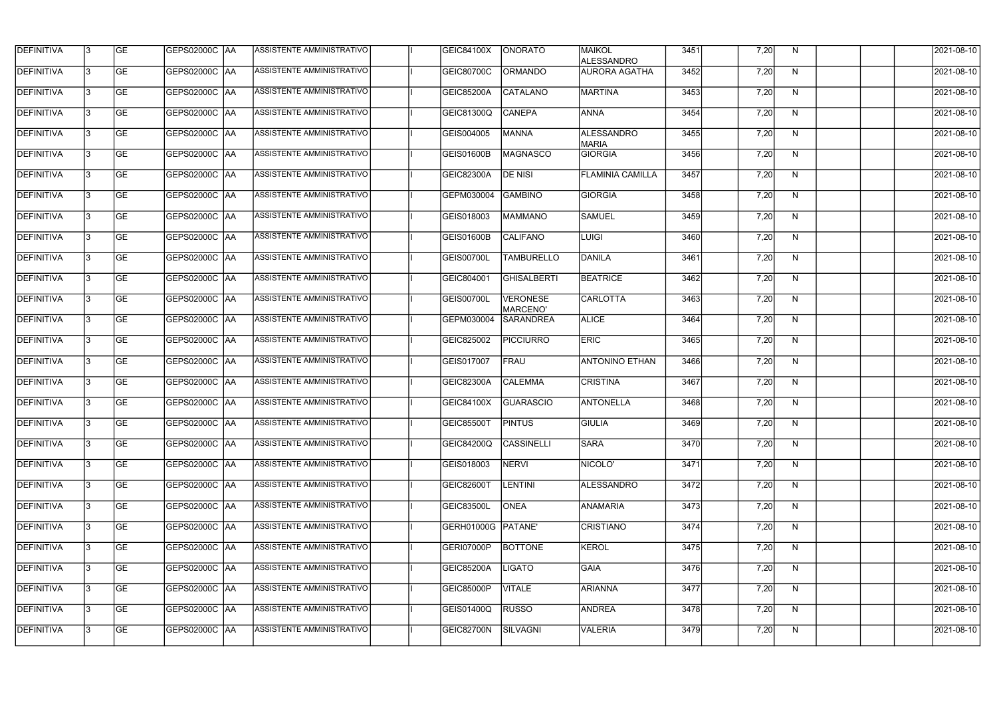| <b>DEFINITIVA</b> | l3  | <b>GE</b> | GEPS02000C  AA       | ASSISTENTE AMMINISTRATIVO        | GEIC84100X         | <b>ONORATO</b>                     | <b>MAIKOL</b><br><b>ALESSANDRO</b> | 3451 | 7,20 | N.           | 2021-08-10       |
|-------------------|-----|-----------|----------------------|----------------------------------|--------------------|------------------------------------|------------------------------------|------|------|--------------|------------------|
| DEFINITIVA        | l3  | <b>GE</b> | GEPS02000C  AA       | ASSISTENTE AMMINISTRATIVO        | GEIC80700C         | <b>ORMANDO</b>                     | <b>AURORA AGATHA</b>               | 3452 | 7,20 | N            | 2021-08-10       |
| DEFINITIVA        | l3  | <b>GE</b> | <b>GEPS02000C AA</b> | <b>ASSISTENTE AMMINISTRATIVO</b> | GEIC85200A         | <b>CATALANO</b>                    | <b>MARTINA</b>                     | 3453 | 7,20 | N            | 2021-08-10       |
| <b>DEFINITIVA</b> | l3  | <b>GE</b> | <b>GEPS02000C AA</b> | ASSISTENTE AMMINISTRATIVO        | GEIC81300Q         | <b>CANEPA</b>                      | <b>ANNA</b>                        | 3454 | 7,20 | $\mathsf{N}$ | 2021-08-10       |
| <b>DEFINITIVA</b> | l3  | <b>GE</b> | GEPS02000C  AA       | ASSISTENTE AMMINISTRATIVO        | GEIS004005         | <b>MANNA</b>                       | <b>ALESSANDRO</b><br><b>MARIA</b>  | 3455 | 7,20 | N            | 2021-08-10       |
| <b>DEFINITIVA</b> | IЗ  | <b>GE</b> | GEPS02000C AA        | <b>ASSISTENTE AMMINISTRATIVO</b> | GEIS01600B         | <b>MAGNASCO</b>                    | <b>GIORGIA</b>                     | 3456 | 7,20 | N            | 2021-08-10       |
| <b>DEFINITIVA</b> | l3  | <b>GE</b> | <b>GEPS02000C AA</b> | ASSISTENTE AMMINISTRATIVO        | <b>GEIC82300A</b>  | <b>DE NISI</b>                     | <b>FLAMINIA CAMILLA</b>            | 3457 | 7,20 | N            | 2021-08-10       |
| <b>DEFINITIVA</b> | l3  | <b>GE</b> | GEPS02000C AA        | ASSISTENTE AMMINISTRATIVO        | GEPM030004         | <b>GAMBINO</b>                     | GIORGIA                            | 3458 | 7,20 | N            | 2021-08-10       |
| <b>DEFINITIVA</b> | l3  | <b>GE</b> | GEPS02000C AA        | ASSISTENTE AMMINISTRATIVO        | GEIS018003         | <b>MAMMANO</b>                     | <b>SAMUEL</b>                      | 3459 | 7,20 | N            | 2021-08-10       |
| <b>DEFINITIVA</b> | l3  | <b>GE</b> | GEPS02000C AA        | ASSISTENTE AMMINISTRATIVO        | GEIS01600B         | <b>CALIFANO</b>                    | LUIGI                              | 3460 | 7,20 | N            | 2021-08-10       |
| DEFINITIVA        | l3  | <b>GE</b> | GEPS02000C AA        | ASSISTENTE AMMINISTRATIVO        | GEIS00700L         | <b>TAMBURELLO</b>                  | DANILA                             | 3461 | 7,20 | N            | 2021-08-10       |
| <b>DEFINITIVA</b> | 13  | <b>GE</b> | GEPS02000C AA        | ASSISTENTE AMMINISTRATIVO        | GEIC804001         | GHISALBERTI                        | <b>BEATRICE</b>                    | 3462 | 7,20 | N            | 2021-08-10       |
| <b>DEFINITIVA</b> | l3  | <b>GE</b> | GEPS02000C AA        | ASSISTENTE AMMINISTRATIVO        | GEIS00700L         | <b>VERONESE</b><br><b>MARCENO'</b> | <b>CARLOTTA</b>                    | 3463 | 7,20 | N            | 2021-08-10       |
| <b>DEFINITIVA</b> | l3  | <b>GE</b> | GEPS02000C AA        | ASSISTENTE AMMINISTRATIVO        | GEPM030004         | <b>SARANDREA</b>                   | <b>ALICE</b>                       | 3464 | 7,20 | N            | 2021-08-10       |
| <b>DEFINITIVA</b> | 13  | <b>GE</b> | GEPS02000C AA        | ASSISTENTE AMMINISTRATIVO        | GEIC825002         | <b>PICCIURRO</b>                   | <b>ERIC</b>                        | 3465 | 7,20 | N            | 2021-08-10       |
| <b>DEFINITIVA</b> | l3  | <b>GE</b> |                      | ASSISTENTE AMMINISTRATIVO        | GEIS017007         | <b>FRAU</b>                        | <b>ANTONINO ETHAN</b>              | 3466 | 7,20 | N            | 2021-08-10       |
| <b>DEFINITIVA</b> | l3  | <b>GE</b> | GEPS02000C  AA       | ASSISTENTE AMMINISTRATIVO        | GEIC82300A         | <b>CALEMMA</b>                     | <b>CRISTINA</b>                    | 3467 | 7,20 | N            | 2021-08-10       |
| <b>DEFINITIVA</b> |     | <b>GE</b> | GEPS02000C  AA       | ASSISTENTE AMMINISTRATIVO        | <b>GEIC84100X</b>  | <b>GUARASCIO</b>                   | <b>ANTONELLA</b>                   | 3468 | 7,20 | N            | 2021-08-10       |
| <b>DEFINITIVA</b> | IЗ  | GE        | GEPS02000C  AA       | <b>ASSISTENTE AMMINISTRATIVO</b> | <b>GEIC85500T</b>  | <b>PINTUS</b>                      | GIULIA                             | 3469 | 7,20 | N,           | 2021-08-10       |
| <b>DEFINITIVA</b> | 13. | <b>GE</b> | GEPS02000C AA        | ASSISTENTE AMMINISTRATIVO        | <b>GEIC84200Q</b>  | <b>CASSINELLI</b>                  | <b>SARA</b>                        | 3470 | 7,20 | N            | 2021-08-10       |
| <b>DEFINITIVA</b> | 13  | <b>GE</b> | <b>GEPS02000C AA</b> | ASSISTENTE AMMINISTRATIVO        | GEIS018003         | <b>NERVI</b>                       | NICOLO'                            | 3471 | 7,20 | N            | 2021-08-10       |
| <b>DEFINITIVA</b> | 13. | <b>GE</b> | <b>GEPS02000C AA</b> | ASSISTENTE AMMINISTRATIVO        | GEIC82600T         | <b>LENTINI</b>                     | <b>ALESSANDRO</b>                  | 3472 | 7,20 | N            | $2021 - 08 - 10$ |
| <b>DEFINITIVA</b> | 13  | <b>GE</b> | GEPS02000C AA        | ASSISTENTE AMMINISTRATIVO        | <b>GEIC83500L</b>  | <b>ONEA</b>                        | <b>ANAMARIA</b>                    | 3473 | 7,20 | N            | 2021-08-10       |
| <b>DEFINITIVA</b> | 13  | <b>GE</b> | GEPS02000C AA        | ASSISTENTE AMMINISTRATIVO        | GERH01000G PATANE' |                                    | <b>CRISTIANO</b>                   | 3474 | 7,20 | N            | 2021-08-10       |
| <b>DEFINITIVA</b> | l3  | <b>GE</b> | GEPS02000C  AA       | ASSISTENTE AMMINISTRATIVO        | GERI07000P         | <b>BOTTONE</b>                     | KEROL                              | 3475 | 7,20 | N            | 2021-08-10       |
| DEFINITIVA        | l3  | <b>GE</b> | GEPS02000C  AA       | ASSISTENTE AMMINISTRATIVO        | <b>GEIC85200A</b>  | <b>LIGATO</b>                      | <b>GAIA</b>                        | 3476 | 7,20 | N            | 2021-08-10       |
| DEFINITIVA        | l3  | <b>GE</b> | GEPS02000C  AA       | ASSISTENTE AMMINISTRATIVO        | GEIC85000P         | <b>VITALE</b>                      | ARIANNA                            | 3477 | 7,20 | N            | 2021-08-10       |
| <b>DEFINITIVA</b> | l3  | <b>GE</b> | <b>GEPS02000C AA</b> | ASSISTENTE AMMINISTRATIVO        | GEIS01400Q         | <b>RUSSO</b>                       | <b>ANDREA</b>                      | 3478 | 7,20 | N            | 2021-08-10       |
| <b>DEFINITIVA</b> | IЗ  | <b>GE</b> | GEPS02000C  AA       | ASSISTENTE AMMINISTRATIVO        | GEIC82700N         | SILVAGNI                           | <b>VALERIA</b>                     | 3479 | 7,20 | N            | 2021-08-10       |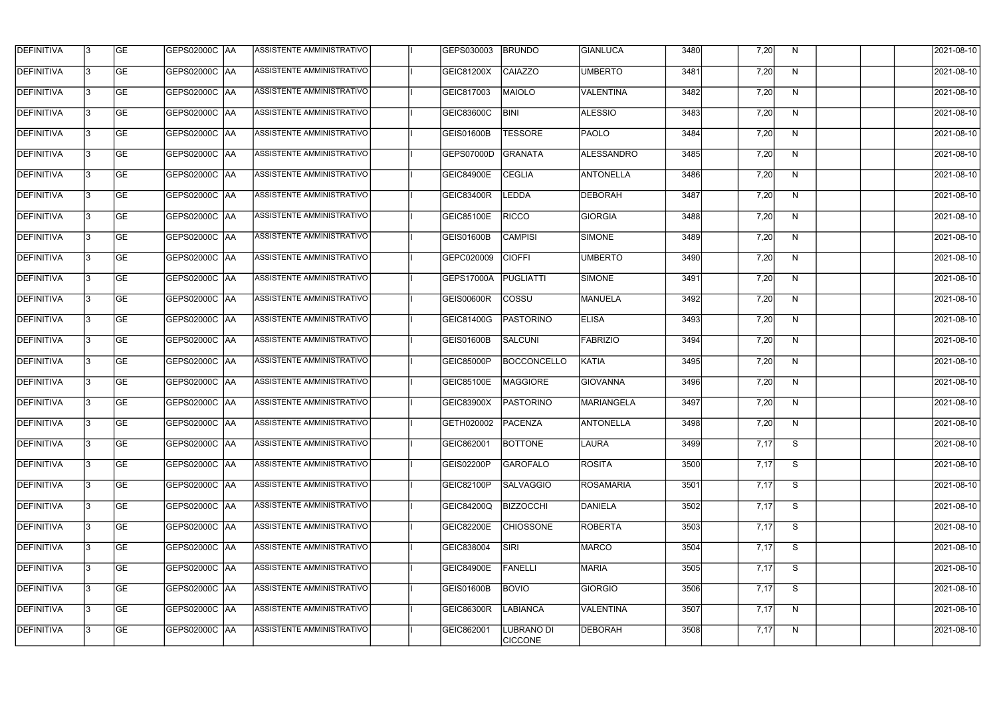| <b>DEFINITIVA</b> | 13  | <b>GE</b> | GEPS02000C  AA       | ASSISTENTE AMMINISTRATIVO        | GEPS030003          | <b>BRUNDO</b>                       | GIANLUCA          | 3480 | 7,20 | N. | 2021-08-10 |
|-------------------|-----|-----------|----------------------|----------------------------------|---------------------|-------------------------------------|-------------------|------|------|----|------------|
| DEFINITIVA        | l3  | <b>GE</b> | GEPS02000C  AA       | ASSISTENTE AMMINISTRATIVO        | GEIC81200X          | CAIAZZO                             | <b>UMBERTO</b>    | 3481 | 7,20 | N  | 2021-08-10 |
| <b>DEFINITIVA</b> | l3  | <b>GE</b> | <b>GEPS02000C AA</b> | ASSISTENTE AMMINISTRATIVO        | GEIC817003          | MAIOLO                              | <b>VALENTINA</b>  | 3482 | 7,20 | N  | 2021-08-10 |
| <b>DEFINITIVA</b> | 13  | <b>GE</b> | <b>GEPS02000C AA</b> | ASSISTENTE AMMINISTRATIVO        | GEIC83600C          | <b>BINI</b>                         | <b>ALESSIO</b>    | 3483 | 7,20 | N  | 2021-08-10 |
| <b>DEFINITIVA</b> | l3  | <b>GE</b> | GEPS02000C  AA       | ASSISTENTE AMMINISTRATIVO        | <b>GEIS01600B</b>   | <b>TESSORE</b>                      | PAOLO             | 3484 | 7,20 | N  | 2021-08-10 |
| <b>DEFINITIVA</b> | IЗ  | <b>GE</b> | GEPS02000C AA        | <b>ASSISTENTE AMMINISTRATIVO</b> | GEPS07000D          | GRANATA                             | <b>ALESSANDRO</b> | 3485 | 7,20 | N  | 2021-08-10 |
| <b>DEFINITIVA</b> | l3  | <b>GE</b> | <b>GEPS02000C AA</b> | <b>ASSISTENTE AMMINISTRATIVO</b> | <b>GEIC84900E</b>   | <b>CEGLIA</b>                       | <b>ANTONELLA</b>  | 3486 | 7,20 | N  | 2021-08-10 |
| <b>DEFINITIVA</b> | l3  | <b>GE</b> | GEPS02000C AA        | ASSISTENTE AMMINISTRATIVO        | <b>GEIC83400R</b>   | <b>LEDDA</b>                        | <b>DEBORAH</b>    | 3487 | 7,20 | N  | 2021-08-10 |
| <b>DEFINITIVA</b> | l3  | <b>GE</b> | GEPS02000C  AA       | ASSISTENTE AMMINISTRATIVO        | <b>GEIC85100E</b>   | <b>RICCO</b>                        | <b>GIORGIA</b>    | 3488 | 7,20 | N  | 2021-08-10 |
| <b>DEFINITIVA</b> | l3  | <b>GE</b> | GEPS02000C  AA       | ASSISTENTE AMMINISTRATIVO        | <b>GEIS01600B</b>   | <b>CAMPISI</b>                      | <b>SIMONE</b>     | 3489 | 7,20 | N  | 2021-08-10 |
| <b>DEFINITIVA</b> | l3  | <b>GE</b> | GEPS02000C AA        | ASSISTENTE AMMINISTRATIVO        | GEPC020009          | <b>CIOFFI</b>                       | <b>UMBERTO</b>    | 3490 | 7,20 | N  | 2021-08-10 |
| <b>DEFINITIVA</b> | 13  | <b>GE</b> | GEPS02000C  AA       | ASSISTENTE AMMINISTRATIVO        | GEPS17000A          | PUGLIATTI                           | SIMONE            | 3491 | 7,20 | N  | 2021-08-10 |
| <b>DEFINITIVA</b> | l3  | <b>GE</b> | GEPS02000C  AA       | ASSISTENTE AMMINISTRATIVO        | <b>GEIS00600R</b>   | <b>COSSU</b>                        | MANUELA           | 3492 | 7,20 | N  | 2021-08-10 |
| <b>DEFINITIVA</b> | l3  | <b>GE</b> | GEPS02000C AA        | ASSISTENTE AMMINISTRATIVO        | GEIC81400G          | PASTORINO                           | <b>ELISA</b>      | 3493 | 7,20 | N  | 2021-08-10 |
| <b>DEFINITIVA</b> | l3  | <b>GE</b> | GEPS02000C  AA       | ASSISTENTE AMMINISTRATIVO        | GEIS01600B          | SALCUNI                             | <b>FABRIZIO</b>   | 3494 | 7,20 | N  | 2021-08-10 |
| <b>DEFINITIVA</b> | IЗ  | <b>GE</b> | GEPS02000C  AA       | ASSISTENTE AMMINISTRATIVO        | GEIC85000P          | <b>BOCCONCELLO</b>                  | KATIA             | 3495 | 7,20 | N  | 2021-08-10 |
| <b>DEFINITIVA</b> | IЗ  | <b>GE</b> | GEPS02000C  AA       | ASSISTENTE AMMINISTRATIVO        | GEIC85100E          | MAGGIORE                            | <b>GIOVANNA</b>   | 3496 | 7,20 | N  | 2021-08-10 |
| <b>DEFINITIVA</b> |     | <b>GE</b> | GEPS02000C AA        | ASSISTENTE AMMINISTRATIVO        | GEIC83900X          | PASTORINO                           | MARIANGELA        | 3497 | 7,20 | N  | 2021-08-10 |
| <b>DEFINITIVA</b> | IЗ  | GE        | GEPS02000C  AA       | <b>ASSISTENTE AMMINISTRATIVO</b> | GETH020002  PACENZA |                                     | <b>ANTONELLA</b>  | 3498 | 7,20 | N, | 2021-08-10 |
| <b>DEFINITIVA</b> | 13. | <b>GE</b> | GEPS02000C AA        | ASSISTENTE AMMINISTRATIVO        | GEIC862001          | <b>BOTTONE</b>                      | LAURA             | 3499 | 7,17 | S  | 2021-08-10 |
| <b>DEFINITIVA</b> | 13  | <b>GE</b> | <b>GEPS02000C AA</b> | ASSISTENTE AMMINISTRATIVO        | GEIS02200P          | GAROFALO                            | <b>ROSITA</b>     | 3500 | 7,17 | S  | 2021-08-10 |
| <b>DEFINITIVA</b> | 13. | <b>GE</b> | <b>GEPS02000C AA</b> | ASSISTENTE AMMINISTRATIVO        | GEIC82100P          | <b>SALVAGGIO</b>                    | <b>ROSAMARIA</b>  | 3501 | 7,17 | S  | 2021-08-10 |
| <b>DEFINITIVA</b> | 13  | <b>GE</b> | <b>GEPS02000C AA</b> | ASSISTENTE AMMINISTRATIVO        | GEIC84200Q          | <b>BIZZOCCHI</b>                    | DANIELA           | 3502 | 7,17 | S  | 2021-08-10 |
| <b>DEFINITIVA</b> | 13  | <b>GE</b> | GEPS02000C AA        | ASSISTENTE AMMINISTRATIVO        | <b>GEIC82200E</b>   | <b>CHIOSSONE</b>                    | <b>ROBERTA</b>    | 3503 | 7,17 | S  | 2021-08-10 |
| <b>DEFINITIVA</b> | l3  | <b>GE</b> | GEPS02000C  AA       | ASSISTENTE AMMINISTRATIVO        | GEIC838004          | SIRI                                | MARCO             | 3504 | 7,17 | S  | 2021-08-10 |
| DEFINITIVA        | l3  | <b>GE</b> | GEPS02000C  AA       | ASSISTENTE AMMINISTRATIVO        | <b>GEIC84900E</b>   | <b>FANELLI</b>                      | <b>MARIA</b>      | 3505 | 7,17 | S  | 2021-08-10 |
| DEFINITIVA        | l3  | <b>GE</b> | GEPS02000C  AA       | ASSISTENTE AMMINISTRATIVO        | <b>GEIS01600B</b>   | <b>BOVIO</b>                        | <b>GIORGIO</b>    | 3506 | 7,17 | S  | 2021-08-10 |
| <b>DEFINITIVA</b> | l3  | <b>GE</b> | <b>GEPS02000C AA</b> | ASSISTENTE AMMINISTRATIVO        | <b>GEIC86300R</b>   | <b>LABIANCA</b>                     | <b>VALENTINA</b>  | 3507 | 7,17 | N  | 2021-08-10 |
| <b>DEFINITIVA</b> | Iз  | <b>GE</b> | GEPS02000C  AA       | ASSISTENTE AMMINISTRATIVO        | GEIC862001          | <b>LUBRANO DI</b><br><b>CICCONE</b> | DEBORAH           | 3508 | 7,17 | N  | 2021-08-10 |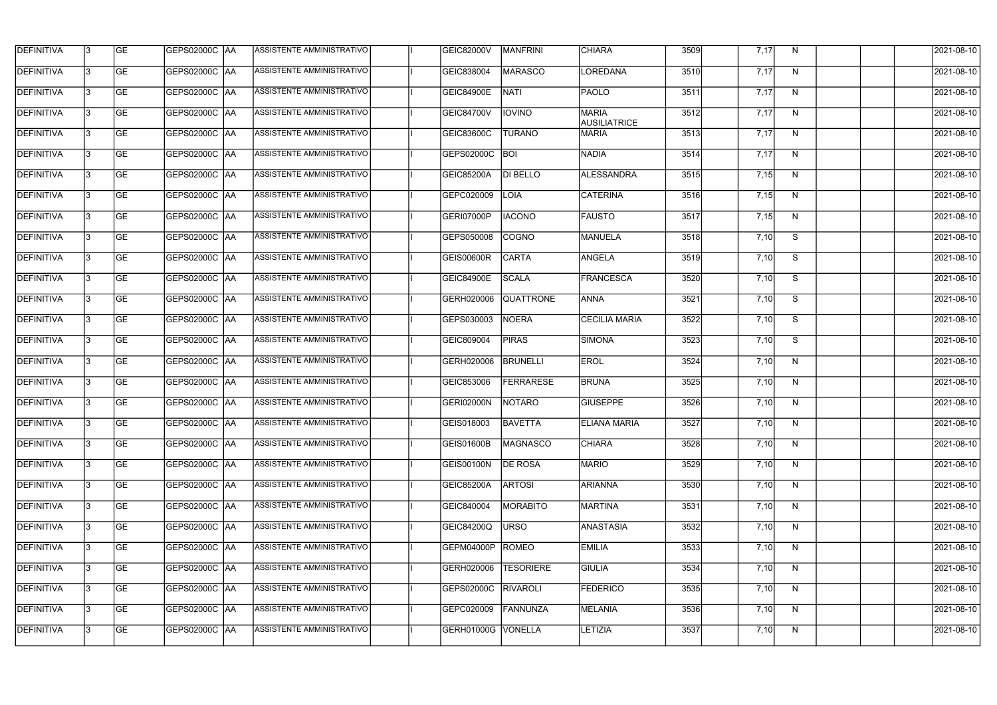| <b>DEFINITIVA</b> | 13  | <b>GE</b> | GEPS02000C AA        | ASSISTENTE AMMINISTRATIVO        | GEIC82000V         | <b>MANFRINI</b>  | <b>CHIARA</b>                       | 3509 | 7,17 | N            | 2021-08-10 |
|-------------------|-----|-----------|----------------------|----------------------------------|--------------------|------------------|-------------------------------------|------|------|--------------|------------|
| <b>DEFINITIVA</b> | l3  | <b>GE</b> | GEPS02000C AA        | ASSISTENTE AMMINISTRATIVO        | GEIC838004         | <b>MARASCO</b>   | <b>LOREDANA</b>                     | 3510 | 7,17 | N            | 2021-08-10 |
| <b>DEFINITIVA</b> | l3  | <b>GE</b> | GEPS02000C AA        | ASSISTENTE AMMINISTRATIVO        | <b>GEIC84900E</b>  | <b>NATI</b>      | <b>PAOLO</b>                        | 3511 | 7,17 | N            | 2021-08-10 |
| <b>DEFINITIVA</b> | l3  | <b>GE</b> | <b>GEPS02000C AA</b> | ASSISTENTE AMMINISTRATIVO        | <b>GEIC84700V</b>  | <b>IOVINO</b>    | <b>MARIA</b><br><b>AUSILIATRICE</b> | 3512 | 7,17 | $\mathsf{N}$ | 2021-08-10 |
| <b>DEFINITIVA</b> | l3  | <b>GE</b> | <b>GEPS02000C AA</b> | ASSISTENTE AMMINISTRATIVO        | GEIC83600C         | <b>TURANO</b>    | <b>MARIA</b>                        | 3513 | 7,17 | N            | 2021-08-10 |
| <b>DEFINITIVA</b> | l3  | <b>GE</b> | <b>GEPS02000C AA</b> | <b>ASSISTENTE AMMINISTRATIVO</b> | GEPS02000C         | <b>BOI</b>       | NADIA                               | 3514 | 7,17 | N            | 2021-08-10 |
| <b>DEFINITIVA</b> | l3  | <b>GE</b> | GEPS02000C AA        | ASSISTENTE AMMINISTRATIVO        | <b>GEIC85200A</b>  | <b>DI BELLO</b>  | <b>ALESSANDRA</b>                   | 3515 | 7,15 | N            | 2021-08-10 |
| <b>DEFINITIVA</b> | l3  | <b>GE</b> | <b>GEPS02000C AA</b> | ASSISTENTE AMMINISTRATIVO        | GEPC020009         | <b>LOIA</b>      | <b>CATERINA</b>                     | 3516 | 7,15 | N            | 2021-08-10 |
| <b>DEFINITIVA</b> |     | <b>GE</b> |                      | ASSISTENTE AMMINISTRATIVO        | GERI07000P         | <b>IACONO</b>    | <b>FAUSTO</b>                       | 3517 | 7,15 | N            | 2021-08-10 |
| <b>DEFINITIVA</b> | l3  | <b>GE</b> | GEPS02000C  AA       | ASSISTENTE AMMINISTRATIVO        | GEPS050008         | <b>COGNO</b>     | MANUELA                             | 3518 | 7,10 | S            | 2021-08-10 |
| <b>DEFINITIVA</b> | 13  | <b>GE</b> | GEPS02000C AA        | ASSISTENTE AMMINISTRATIVO        | GEIS00600R         | <b>CARTA</b>     | <b>ANGELA</b>                       | 3519 | 7,10 | S            | 2021-08-10 |
| <b>DEFINITIVA</b> | l3  | <b>GE</b> |                      | ASSISTENTE AMMINISTRATIVO        | <b>GEIC84900E</b>  | <b>SCALA</b>     | FRANCESCA                           | 3520 | 7,10 | S            | 2021-08-10 |
| <b>DEFINITIVA</b> | l3  | <b>GE</b> | GEPS02000C AA        | ASSISTENTE AMMINISTRATIVO        | GERH020006         | <b>QUATTRONE</b> | <b>ANNA</b>                         | 3521 | 7,10 | S            | 2021-08-10 |
| <b>DEFINITIVA</b> | l3  | <b>GE</b> | GEPS02000C  AA       | ASSISTENTE AMMINISTRATIVO        | GEPS030003         | NOERA            | <b>CECILIA MARIA</b>                | 3522 | 7,10 | S            | 2021-08-10 |
| <b>DEFINITIVA</b> | l3  | <b>GE</b> | GEPS02000C  AA       | ASSISTENTE AMMINISTRATIVO        | GEIC809004         | <b>PIRAS</b>     | <b>SIMONA</b>                       | 3523 | 7,10 | S            | 2021-08-10 |
| <b>DEFINITIVA</b> | IЗ  | <b>GE</b> |                      | ASSISTENTE AMMINISTRATIVO        | GERH020006         | <b>BRUNELLI</b>  | <b>EROL</b>                         | 3524 | 7,10 | N            | 2021-08-10 |
| <b>DEFINITIVA</b> | I3  | <b>GE</b> | GEPS02000C  AA       | ASSISTENTE AMMINISTRATIVO        | GEIC853006         | <b>FERRARESE</b> | <b>BRUNA</b>                        | 3525 | 7,10 | N            | 2021-08-10 |
| DEFINITIVA        |     | <b>GE</b> |                      | ASSISTENTE AMMINISTRATIVO        | GERI02000N         | NOTARO           | <b>GIUSEPPE</b>                     | 3526 | 7,10 | N            | 2021-08-10 |
| <b>DEFINITIVA</b> | 13  | <b>GE</b> | GEPS02000C  AA       | ASSISTENTE AMMINISTRATIVO        | GEIS018003         | <b>BAVETTA</b>   | <b>ELIANA MARIA</b>                 | 3527 | 7,10 | N            | 2021-08-10 |
| <b>DEFINITIVA</b> | 13  | <b>GE</b> | <b>GEPS02000C AA</b> | ASSISTENTE AMMINISTRATIVO        | GEIS01600B         | MAGNASCO         | <b>CHIARA</b>                       | 3528 | 7,10 | N            | 2021-08-10 |
| <b>DEFINITIVA</b> | 13  | <b>GE</b> | GEPS02000C  AA       | ASSISTENTE AMMINISTRATIVO        | <b>GEIS00100N</b>  | <b>DE ROSA</b>   | <b>MARIO</b>                        | 3529 | 7,10 | N            | 2021-08-10 |
| <b>DEFINITIVA</b> | 13. | <b>GE</b> | <b>GEPS02000C AA</b> | ASSISTENTE AMMINISTRATIVO        | <b>GEIC85200A</b>  | <b>ARTOSI</b>    | <b>ARIANNA</b>                      | 3530 | 7,10 | N            | 2021-08-10 |
| <b>DEFINITIVA</b> | 13  | <b>GE</b> | GEPS02000C AA        | ASSISTENTE AMMINISTRATIVO        | GEIC840004         | <b>MORABITO</b>  | MARTINA                             | 3531 | 7,10 | N            | 2021-08-10 |
| <b>DEFINITIVA</b> | 13  | <b>GE</b> | GEPS02000C  AA       | ASSISTENTE AMMINISTRATIVO        | <b>GEIC84200Q</b>  | URSO             | <b>ANASTASIA</b>                    | 3532 | 7,10 | N            | 2021-08-10 |
| <b>DEFINITIVA</b> | IЗ  | <b>GE</b> | GEPS02000C  AA       | ASSISTENTE AMMINISTRATIVO        | GEPM04000P         | ROMEO            | <b>EMILIA</b>                       | 3533 | 7,10 | N            | 2021-08-10 |
| DEFINITIVA        | IЗ  | <b>GE</b> | GEPS02000C  AA       | ASSISTENTE AMMINISTRATIVO        | GERH020006         | <b>TESORIERE</b> | <b>GIULIA</b>                       | 3534 | 7,10 | N            | 2021-08-10 |
| <b>DEFINITIVA</b> | l3  | <b>GE</b> | GEPS02000C  AA       | ASSISTENTE AMMINISTRATIVO        | GEPS02000C         | <b>RIVAROLI</b>  | <b>FEDERICO</b>                     | 3535 | 7,10 | N            | 2021-08-10 |
| <b>DEFINITIVA</b> | 13. | <b>GE</b> | GEPS02000C  AA       | ASSISTENTE AMMINISTRATIVO        | GEPC020009         | FANNUNZA         | MELANIA                             | 3536 | 7,10 | N            | 2021-08-10 |
| <b>DEFINITIVA</b> | IЗ  | <b>GE</b> | GEPS02000C  AA       | ASSISTENTE AMMINISTRATIVO        | GERH01000G VONELLA |                  | LETIZIA                             | 3537 | 7,10 | N            | 2021-08-10 |
|                   |     |           |                      |                                  |                    |                  |                                     |      |      |              |            |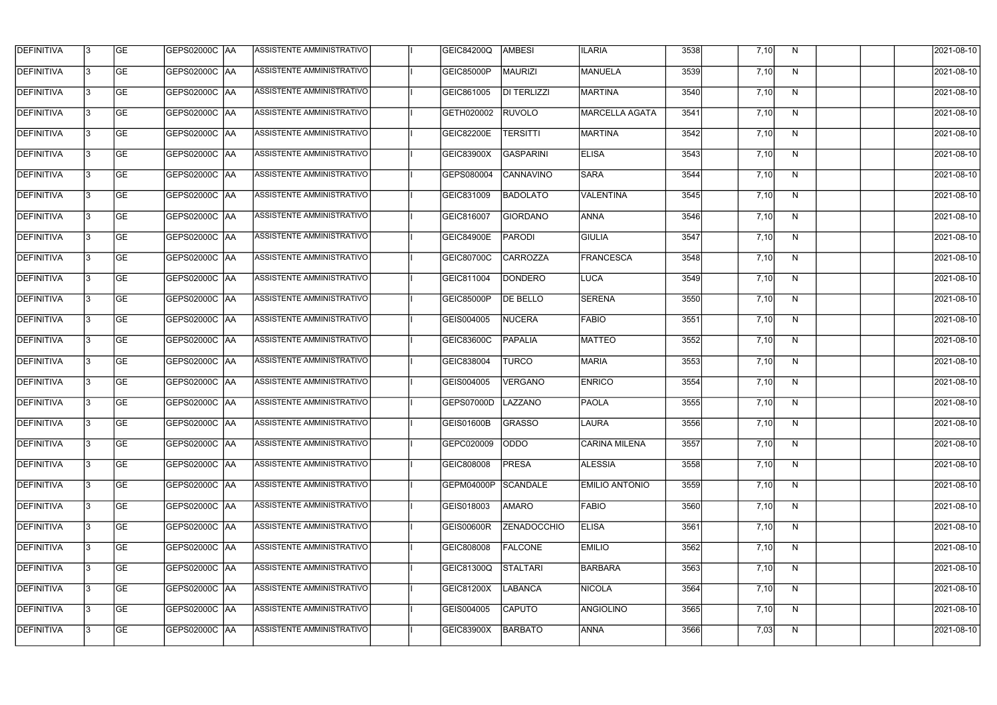| <b>DEFINITIVA</b> | 13 | GE        | GEPS02000C  AA       | ASSISTENTE AMMINISTRATIVO        | <b>GEIC84200Q</b> | <b>AMBESI</b>      | <b>ILARIA</b>         | 3538 | 7,10 | N, | 2021-08-10       |
|-------------------|----|-----------|----------------------|----------------------------------|-------------------|--------------------|-----------------------|------|------|----|------------------|
| <b>DEFINITIVA</b> | IЗ | GE        | GEPS02000C   AA      | ASSISTENTE AMMINISTRATIVO        | <b>GEIC85000P</b> | MAURIZI            | MANUELA               | 3539 | 7,10 | N  | 2021-08-10       |
| <b>DEFINITIVA</b> | 13 | <b>GE</b> | GEPS02000C AA        | ASSISTENTE AMMINISTRATIVO        | GEIC861005        | <b>DI TERLIZZI</b> | MARTINA               | 3540 | 7,10 | N  | 2021-08-10       |
| <b>DEFINITIVA</b> | l3 | <b>GE</b> | <b>GEPS02000C AA</b> | ASSISTENTE AMMINISTRATIVO        | GETH020002        | <b>RUVOLO</b>      | MARCELLA AGATA        | 3541 | 7,10 | N  | 2021-08-10       |
| <b>DEFINITIVA</b> | l3 | GE        | GEPS02000C AA        | ASSISTENTE AMMINISTRATIVO        | <b>GEIC82200E</b> | <b>TERSITTI</b>    | <b>MARTINA</b>        | 3542 | 7,10 | N  | 2021-08-10       |
| <b>DEFINITIVA</b> | l3 | <b>GE</b> | <b>GEPS02000C AA</b> | <b>ASSISTENTE AMMINISTRATIVO</b> | <b>GEIC83900X</b> | GASPARINI          | <b>ELISA</b>          | 3543 | 7,10 | N  | 2021-08-10       |
| <b>DEFINITIVA</b> | l3 | <b>GE</b> | GEPS02000C AA        | ASSISTENTE AMMINISTRATIVO        | GEPS080004        | CANNAVINO          | <b>SARA</b>           | 3544 | 7,10 | N  | 2021-08-10       |
| <b>DEFINITIVA</b> | l3 | <b>GE</b> | GEPS02000C AA        | <b>ASSISTENTE AMMINISTRATIVO</b> | GEIC831009        | <b>BADOLATO</b>    | VALENTINA             | 3545 | 7,10 | N  | 2021-08-10       |
| <b>DEFINITIVA</b> | l3 | <b>GE</b> | GEPS02000C AA        | ASSISTENTE AMMINISTRATIVO        | GEIC816007        | GIORDANO           | <b>ANNA</b>           | 3546 | 7,10 | N  | 2021-08-10       |
| <b>DEFINITIVA</b> | l3 | GE        | GEPS02000C   AA      | ASSISTENTE AMMINISTRATIVO        | <b>GEIC84900E</b> | <b>PARODI</b>      | <b>GIULIA</b>         | 3547 | 7,10 | N  | 2021-08-10       |
| <b>DEFINITIVA</b> | 13 | GE        | GEPS02000C AA        | ASSISTENTE AMMINISTRATIVO        | GEIC80700C        | <b>CARROZZA</b>    | <b>FRANCESCA</b>      | 3548 | 7,10 | N  | 2021-08-10       |
| <b>DEFINITIVA</b> | l3 | <b>GE</b> | GEPS02000C AA        | <b>ASSISTENTE AMMINISTRATIVO</b> | GEIC811004        | DONDERO            | LUCA                  | 3549 | 7,10 | N  | 2021-08-10       |
| <b>DEFINITIVA</b> | l3 | GE        | GEPS02000C  AA       | ASSISTENTE AMMINISTRATIVO        | <b>GEIC85000P</b> | <b>DE BELLO</b>    | <b>SERENA</b>         | 3550 | 7,10 | N  | 2021-08-10       |
| <b>DEFINITIVA</b> | l3 | <b>GE</b> | GEPS02000C AA        | ASSISTENTE AMMINISTRATIVO        | GEIS004005        | NUCERA             | <b>FABIO</b>          | 3551 | 7,10 | N  | 2021-08-10       |
| <b>DEFINITIVA</b> | l3 | <b>GE</b> | GEPS02000C AA        | ASSISTENTE AMMINISTRATIVO        | GEIC83600C        | <b>PAPALIA</b>     | <b>MATTEO</b>         | 3552 | 7,10 | N  | 2021-08-10       |
| <b>DEFINITIVA</b> | 13 | GE        | GEPS02000C AA        | ASSISTENTE AMMINISTRATIVO        | GEIC838004        | <b>TURCO</b>       | <b>MARIA</b>          | 3553 | 7,10 | N  | 2021-08-10       |
| <b>DEFINITIVA</b> | l3 | <b>GE</b> | GEPS02000C   AA      | ASSISTENTE AMMINISTRATIVO        | GEIS004005        | <b>VERGANO</b>     | <b>ENRICO</b>         | 3554 | 7,10 | N  | 2021-08-10       |
| <b>DEFINITIVA</b> | IЗ | <b>GE</b> | GEPS02000C AA        | ASSISTENTE AMMINISTRATIVO        | GEPS07000D        | LAZZANO            | <b>PAOLA</b>          | 3555 | 7,10 | N  | 2021-08-10       |
| <b>DEFINITIVA</b> | IЗ | GE        | GEPS02000C  AA       | <b>ASSISTENTE AMMINISTRATIVO</b> | <b>GEIS01600B</b> | <b>GRASSO</b>      | <b>LAURA</b>          | 3556 | 7,10 | N, | 2021-08-10       |
| <b>DEFINITIVA</b> | l3 | GE        | GEPS02000C AA        | ASSISTENTE AMMINISTRATIVO        | GEPC020009        | <b>ODDO</b>        | <b>CARINA MILENA</b>  | 3557 | 7,10 | N  | 2021-08-10       |
| <b>DEFINITIVA</b> | l3 | GE        | GEPS02000C AA        | ASSISTENTE AMMINISTRATIVO        | GEIC808008        | <b>PRESA</b>       | <b>ALESSIA</b>        | 3558 | 7,10 | N  | 2021-08-10       |
| <b>DEFINITIVA</b> | 13 | <b>GE</b> | GEPS02000C AA        | ASSISTENTE AMMINISTRATIVO        | GEPM04000P        | SCANDALE           | <b>EMILIO ANTONIO</b> | 3559 | 7,10 | N  | $2021 - 08 - 10$ |
| <b>DEFINITIVA</b> | l3 | <b>GE</b> | GEPS02000C AA        | ASSISTENTE AMMINISTRATIVO        | GEIS018003        | AMARO              | <b>FABIO</b>          | 3560 | 7,10 | N  | 2021-08-10       |
| <b>DEFINITIVA</b> | 13 | <b>GE</b> | GEPS02000C AA        | ASSISTENTE AMMINISTRATIVO        | <b>GEIS00600R</b> | <b>ZENADOCCHIO</b> | <b>ELISA</b>          | 3561 | 7,10 | N  | 2021-08-10       |
| <b>DEFINITIVA</b> | l3 | <b>GE</b> | GEPS02000C  AA       | ASSISTENTE AMMINISTRATIVO        | GEIC808008        | <b>FALCONE</b>     | <b>EMILIO</b>         | 3562 | 7,10 | N  | 2021-08-10       |
| <b>DEFINITIVA</b> | l3 | <b>GE</b> | GEPS02000C  AA       | ASSISTENTE AMMINISTRATIVO        | <b>GEIC81300Q</b> | STALTARI           | BARBARA               | 3563 | 7,10 | N  | 2021-08-10       |
| <b>DEFINITIVA</b> | l3 | GE        | GEPS02000C  AA       | ASSISTENTE AMMINISTRATIVO        | GEIC81200X        | <b>LABANCA</b>     | <b>NICOLA</b>         | 3564 | 7,10 | N  | 2021-08-10       |
| <b>DEFINITIVA</b> | l3 | GE        | GEPS02000C AA        | ASSISTENTE AMMINISTRATIVO        | GEIS004005        | <b>CAPUTO</b>      | ANGIOLINO             | 3565 | 7,10 | N  | 2021-08-10       |
| <b>DEFINITIVA</b> | l3 | GE        | GEPS02000C AA        | ASSISTENTE AMMINISTRATIVO        | GEIC83900X        | BARBATO            | ANNA                  | 3566 | 7,03 | N  | 2021-08-10       |
|                   |    |           |                      |                                  |                   |                    |                       |      |      |    |                  |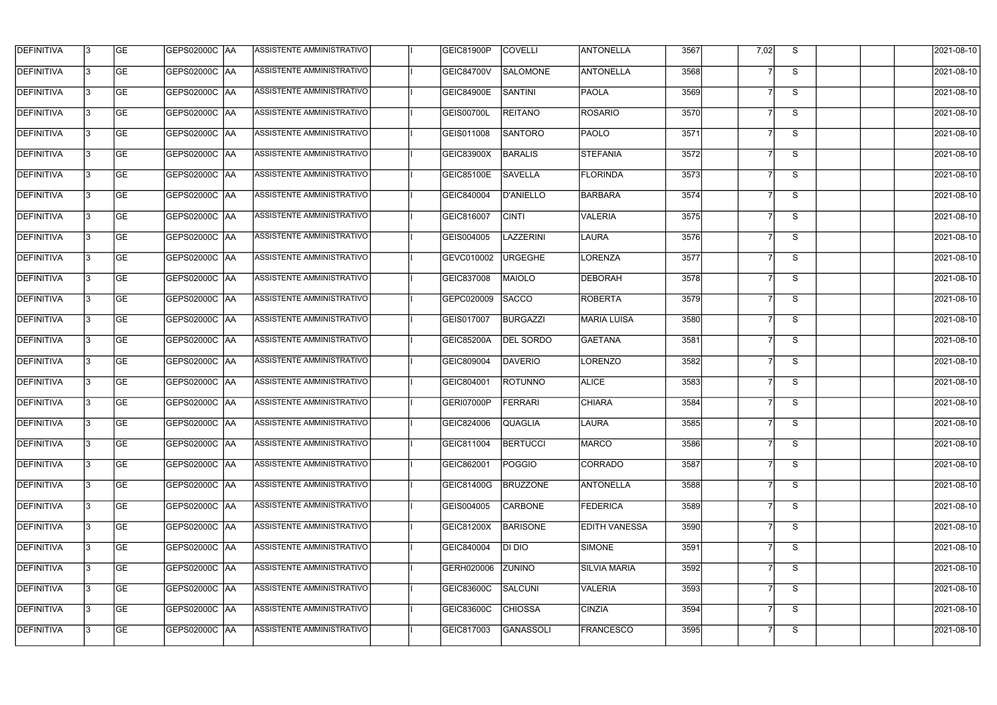| <b>DEFINITIVA</b> | 13 | GE        | GEPS02000C AA          | ASSISTENTE AMMINISTRATIVO        | GEIC81900P        | <b>COVELLI</b>   | <b>ANTONELLA</b>     | 3567 | 7,02           | S. | 2021-08-10       |
|-------------------|----|-----------|------------------------|----------------------------------|-------------------|------------------|----------------------|------|----------------|----|------------------|
| <b>DEFINITIVA</b> | IЗ | GE        | GEPS02000C   AA        | ASSISTENTE AMMINISTRATIVO        | <b>GEIC84700V</b> | SALOMONE         | <b>ANTONELLA</b>     | 3568 |                | S  | 2021-08-10       |
| <b>DEFINITIVA</b> | 13 | GE        | GEPS02000C AA          | ASSISTENTE AMMINISTRATIVO        | <b>GEIC84900E</b> | SANTINI          | <b>PAOLA</b>         | 3569 |                | S  | 2021-08-10       |
| <b>DEFINITIVA</b> | l3 | <b>GE</b> | <b>GEPS02000C AA</b>   | ASSISTENTE AMMINISTRATIVO        | <b>GEIS00700L</b> | <b>REITANO</b>   | <b>ROSARIO</b>       | 3570 | 7              | S  | 2021-08-10       |
| <b>DEFINITIVA</b> | l3 | GE        | GEPS02000C AA          | <b>ASSISTENTE AMMINISTRATIVO</b> | GEIS011008        | <b>SANTORO</b>   | <b>PAOLO</b>         | 3571 |                | S  | 2021-08-10       |
| <b>DEFINITIVA</b> | l3 | <b>GE</b> | GEPS02000C AA          | <b>ASSISTENTE AMMINISTRATIVO</b> | <b>GEIC83900X</b> | <b>BARALIS</b>   | STEFANIA             | 3572 | $\overline{7}$ | S  | 2021-08-10       |
| <b>DEFINITIVA</b> | l3 | <b>GE</b> | GEPS02000C AA          | ASSISTENTE AMMINISTRATIVO        | GEIC85100E        | <b>SAVELLA</b>   | FLORINDA             | 3573 |                | S  | 2021-08-10       |
| <b>DEFINITIVA</b> | l3 | <b>GE</b> | GEPS02000C AA          | <b>ASSISTENTE AMMINISTRATIVO</b> | GEIC840004        | <b>D'ANIELLO</b> | <b>BARBARA</b>       | 3574 |                | S  | 2021-08-10       |
| <b>DEFINITIVA</b> | l3 | <b>GE</b> | GEPS02000C  AA         | ASSISTENTE AMMINISTRATIVO        | GEIC816007        | <b>CINTI</b>     | <b>VALERIA</b>       | 3575 |                | S  | 2021-08-10       |
| <b>DEFINITIVA</b> | l3 | GE        | GEPS02000C   AA        | ASSISTENTE AMMINISTRATIVO        | GEIS004005        | LAZZERINI        | LAURA                | 3576 |                | S  | 2021-08-10       |
| <b>DEFINITIVA</b> | 13 | <b>GE</b> | GEPS02000C AA          | ASSISTENTE AMMINISTRATIVO        | GEVC010002        | URGEGHE          | LORENZA              | 3577 |                | S  | 2021-08-10       |
| <b>DEFINITIVA</b> | l3 | <b>GE</b> | GEPS02000C AA          | ASSISTENTE AMMINISTRATIVO        | GEIC837008        | MAIOLO           | DEBORAH              | 3578 | 7              | S  | 2021-08-10       |
| <b>DEFINITIVA</b> | l3 | GE        | <b>GEPS02000C   AA</b> | ASSISTENTE AMMINISTRATIVO        | GEPC020009        | <b>SACCO</b>     | <b>ROBERTA</b>       | 3579 |                | S  | 2021-08-10       |
| <b>DEFINITIVA</b> | l3 | <b>GE</b> | GEPS02000C AA          | ASSISTENTE AMMINISTRATIVO        | GEIS017007        | <b>BURGAZZI</b>  | MARIA LUISA          | 3580 | $\overline{7}$ | S  | 2021-08-10       |
| <b>DEFINITIVA</b> | l3 | <b>GE</b> | GEPS02000C AA          | ASSISTENTE AMMINISTRATIVO        | <b>GEIC85200A</b> | <b>DEL SORDO</b> | GAETANA              | 3581 |                | S  | 2021-08-10       |
| <b>DEFINITIVA</b> | 13 | GE        | GEPS02000C AA          | ASSISTENTE AMMINISTRATIVO        | GEIC809004        | <b>DAVERIO</b>   | LORENZO              | 3582 |                | S  | 2021-08-10       |
| <b>DEFINITIVA</b> | l3 | <b>GE</b> | GEPS02000C   AA        | ASSISTENTE AMMINISTRATIVO        | GEIC804001        | <b>ROTUNNO</b>   | <b>ALICE</b>         | 3583 |                | S  | 2021-08-10       |
| <b>DEFINITIVA</b> | IЗ | <b>GE</b> | GEPS02000C  AA         | ASSISTENTE AMMINISTRATIVO        | GERI07000P        | <b>FERRARI</b>   | <b>CHIARA</b>        | 3584 |                | S  | 2021-08-10       |
| <b>DEFINITIVA</b> | I3 | GE        | GEPS02000C  AA         | <b>ASSISTENTE AMMINISTRATIVO</b> | GEIC824006        | <b>QUAGLIA</b>   | <b>LAURA</b>         | 3585 |                | S. | 2021-08-10       |
| <b>DEFINITIVA</b> | l3 | GE        | <b>GEPS02000C AA</b>   | ASSISTENTE AMMINISTRATIVO        | GEIC811004        | <b>BERTUCCI</b>  | MARCO                | 3586 |                | S  | 2021-08-10       |
| <b>DEFINITIVA</b> | l3 | GE        | <b>GEPS02000C AA</b>   | ASSISTENTE AMMINISTRATIVO        | GEIC862001        | POGGIO           | CORRADO              | 3587 |                | S  | 2021-08-10       |
| <b>DEFINITIVA</b> | 13 | <b>GE</b> | GEPS02000C AA          | ASSISTENTE AMMINISTRATIVO        | GEIC81400G        | <b>BRUZZONE</b>  | <b>ANTONELLA</b>     | 3588 |                | S  | $2021 - 08 - 10$ |
| <b>DEFINITIVA</b> | l3 | <b>GE</b> | GEPS02000C AA          | ASSISTENTE AMMINISTRATIVO        | GEIS004005        | <b>CARBONE</b>   | <b>FEDERICA</b>      | 3589 |                | S  | 2021-08-10       |
| <b>DEFINITIVA</b> | l3 | <b>GE</b> | GEPS02000C AA          | ASSISTENTE AMMINISTRATIVO        | GEIC81200X        | <b>BARISONE</b>  | <b>EDITH VANESSA</b> | 3590 |                | S  | 2021-08-10       |
| <b>DEFINITIVA</b> | l3 | <b>GE</b> | GEPS02000C  AA         | ASSISTENTE AMMINISTRATIVO        | GEIC840004        | DI DIO           | SIMONE               | 3591 |                | S  | 2021-08-10       |
| <b>DEFINITIVA</b> | l3 | <b>GE</b> | GEPS02000C  AA         | ASSISTENTE AMMINISTRATIVO        | GERH020006        | <b>ZUNINO</b>    | SILVIA MARIA         | 3592 |                | S  | 2021-08-10       |
| <b>DEFINITIVA</b> | l3 | GE        | GEPS02000C  AA         | ASSISTENTE AMMINISTRATIVO        | <b>GEIC83600C</b> | SALCUNI          | VALERIA              | 3593 |                | S  | 2021-08-10       |
| <b>DEFINITIVA</b> | l3 | GE        | GEPS02000C AA          | ASSISTENTE AMMINISTRATIVO        | GEIC83600C        | <b>CHIOSSA</b>   | <b>CINZIA</b>        | 3594 | 7              | S  | 2021-08-10       |
| <b>DEFINITIVA</b> | l3 | GE        | GEPS02000C AA          | ASSISTENTE AMMINISTRATIVO        | GEIC817003        | GANASSOLI        | FRANCESCO            | 3595 |                | S  | 2021-08-10       |
|                   |    |           |                        |                                  |                   |                  |                      |      |                |    |                  |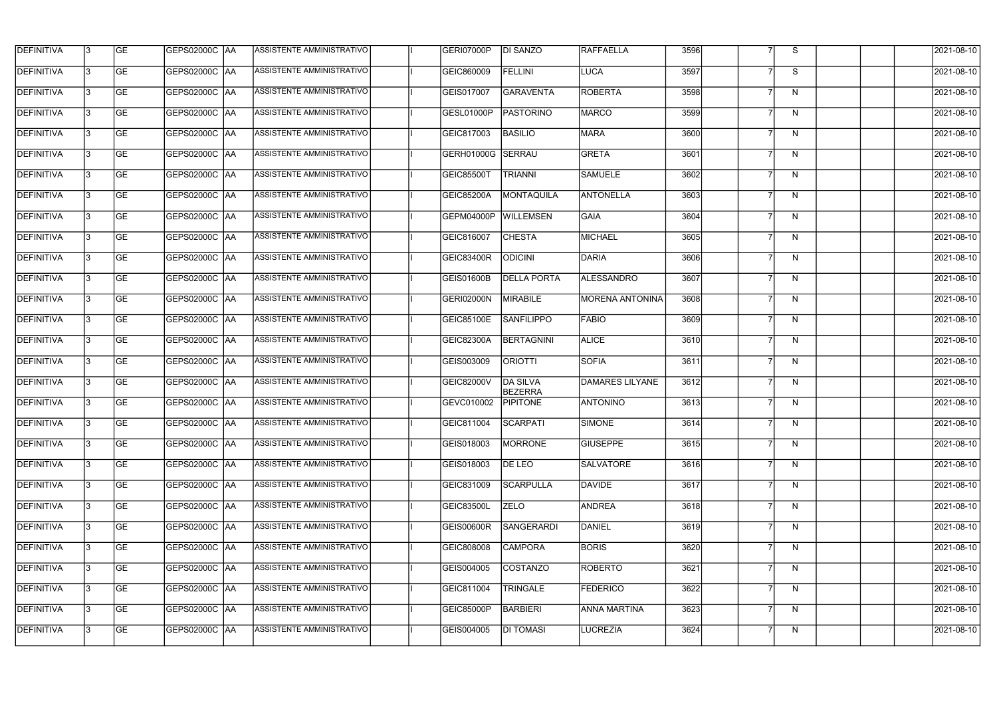| <b>DEFINITIVA</b> | 13  | <b>GE</b> | GEPS02000C  AA       | ASSISTENTE AMMINISTRATIVO        | GERI07000P        | <b>DI SANZO</b>                   | RAFFAELLA              | 3596 |                | S.           | 2021-08-10 |
|-------------------|-----|-----------|----------------------|----------------------------------|-------------------|-----------------------------------|------------------------|------|----------------|--------------|------------|
| DEFINITIVA        | l3  | <b>GE</b> |                      | ASSISTENTE AMMINISTRATIVO        | GEIC860009        | <b>FELLINI</b>                    | LUCA                   | 3597 |                | S            | 2021-08-10 |
| <b>DEFINITIVA</b> | l3  | <b>GE</b> | <b>GEPS02000C AA</b> | ASSISTENTE AMMINISTRATIVO        | GEIS017007        | <b>GARAVENTA</b>                  | <b>ROBERTA</b>         | 3598 |                | N            | 2021-08-10 |
| <b>DEFINITIVA</b> | l3  | <b>GE</b> | <b>GEPS02000C AA</b> | ASSISTENTE AMMINISTRATIVO        | GESL01000P        | PASTORINO                         | <b>MARCO</b>           | 3599 | 7              | $\mathsf{N}$ | 2021-08-10 |
| <b>DEFINITIVA</b> | l3  | <b>GE</b> | GEPS02000C  AA       | ASSISTENTE AMMINISTRATIVO        | GEIC817003        | <b>BASILIO</b>                    | <b>MARA</b>            | 3600 |                | N            | 2021-08-10 |
| <b>DEFINITIVA</b> | IЗ  | <b>GE</b> | <b>GEPS02000C AA</b> | ASSISTENTE AMMINISTRATIVO        | GERH01000G        | <b>SERRAU</b>                     | <b>GRETA</b>           | 3601 | $\overline{7}$ | N            | 2021-08-10 |
| <b>DEFINITIVA</b> | l3  | <b>GE</b> | <b>GEPS02000C AA</b> | ASSISTENTE AMMINISTRATIVO        | GEIC85500T        | <b>TRIANNI</b>                    | <b>SAMUELE</b>         | 3602 |                | N            | 2021-08-10 |
| <b>DEFINITIVA</b> | l3  | <b>GE</b> | GEPS02000C AA        | ASSISTENTE AMMINISTRATIVO        | <b>GEIC85200A</b> | MONTAQUILA                        | <b>ANTONELLA</b>       | 3603 | $\overline{7}$ | N            | 2021-08-10 |
| <b>DEFINITIVA</b> | l3  | <b>GE</b> | GEPS02000C AA        | ASSISTENTE AMMINISTRATIVO        | GEPM04000P        | <b>WILLEMSEN</b>                  | <b>GAIA</b>            | 3604 |                | N            | 2021-08-10 |
| <b>DEFINITIVA</b> | l3  | <b>GE</b> | GEPS02000C AA        | ASSISTENTE AMMINISTRATIVO        | GEIC816007        | <b>CHESTA</b>                     | <b>MICHAEL</b>         | 3605 |                | N            | 2021-08-10 |
| <b>DEFINITIVA</b> | l3  | <b>GE</b> | GEPS02000C AA        | ASSISTENTE AMMINISTRATIVO        | GEIC83400R        | <b>ODICINI</b>                    | DARIA                  | 3606 |                | N            | 2021-08-10 |
| <b>DEFINITIVA</b> | 13  | <b>GE</b> | GEPS02000C AA        | ASSISTENTE AMMINISTRATIVO        | GEIS01600B        | <b>DELLA PORTA</b>                | ALESSANDRO             | 3607 | $\overline{7}$ | N            | 2021-08-10 |
| <b>DEFINITIVA</b> | l3  | <b>GE</b> | GEPS02000C AA        | ASSISTENTE AMMINISTRATIVO        | GERI02000N        | <b>MIRABILE</b>                   | <b>MORENA ANTONINA</b> | 3608 |                | N            | 2021-08-10 |
| <b>DEFINITIVA</b> | l3  | <b>GE</b> | GEPS02000C AA        | ASSISTENTE AMMINISTRATIVO        | GEIC85100E        | <b>SANFILIPPO</b>                 | FABIO                  | 3609 | 7              | N            | 2021-08-10 |
| <b>DEFINITIVA</b> | l3  | <b>GE</b> | GEPS02000C AA        | ASSISTENTE AMMINISTRATIVO        | <b>GEIC82300A</b> | <b>BERTAGNINI</b>                 | <b>ALICE</b>           | 3610 |                | N            | 2021-08-10 |
| <b>DEFINITIVA</b> | l3  | <b>GE</b> | GEPS02000C AA        | ASSISTENTE AMMINISTRATIVO        | GEIS003009        | <b>ORIOTTI</b>                    | <b>SOFIA</b>           | 3611 |                | N            | 2021-08-10 |
| <b>DEFINITIVA</b> | l3  | <b>GE</b> | GEPS02000C  AA       | ASSISTENTE AMMINISTRATIVO        | GEIC82000V        | <b>DA SILVA</b><br><b>BEZERRA</b> | DAMARES LILYANE        | 3612 |                | N            | 2021-08-10 |
| <b>DEFINITIVA</b> |     | <b>GE</b> | GEPS02000C  AA       | ASSISTENTE AMMINISTRATIVO        | GEVC010002        | <b>PIPITONE</b>                   | <b>ANTONINO</b>        | 3613 |                | N            | 2021-08-10 |
| <b>DEFINITIVA</b> | IЗ  | GE        | GEPS02000C  AA       | <b>ASSISTENTE AMMINISTRATIVO</b> | GEIC811004        | <b>SCARPATI</b>                   | <b>SIMONE</b>          | 3614 |                | N            | 2021-08-10 |
| <b>DEFINITIVA</b> | 13. | <b>GE</b> | <b>GEPS02000C AA</b> | ASSISTENTE AMMINISTRATIVO        | GEIS018003        | <b>MORRONE</b>                    | <b>GIUSEPPE</b>        | 3615 | $\overline{7}$ | N            | 2021-08-10 |
| <b>DEFINITIVA</b> | 13  | <b>GE</b> | <b>GEPS02000C AA</b> | ASSISTENTE AMMINISTRATIVO        | GEIS018003        | DE LEO                            | <b>SALVATORE</b>       | 3616 | 7              | N            | 2021-08-10 |
| <b>DEFINITIVA</b> | 13. | <b>GE</b> | <b>GEPS02000C AA</b> | ASSISTENTE AMMINISTRATIVO        | GEIC831009        | <b>SCARPULLA</b>                  | DAVIDE                 | 3617 |                | N            | 2021-08-10 |
| <b>DEFINITIVA</b> | 13  | <b>GE</b> | <b>GEPS02000C AA</b> | ASSISTENTE AMMINISTRATIVO        | <b>GEIC83500L</b> | <b>ZELO</b>                       | <b>ANDREA</b>          | 3618 |                | N            | 2021-08-10 |
| <b>DEFINITIVA</b> | 13  | <b>GE</b> | GEPS02000C AA        | ASSISTENTE AMMINISTRATIVO        | GEIS00600R        | <b>SANGERARDI</b>                 | DANIEL                 | 3619 | 7              | N            | 2021-08-10 |
| <b>DEFINITIVA</b> | l3  | <b>GE</b> | GEPS02000C  AA       | ASSISTENTE AMMINISTRATIVO        | GEIC808008        | <b>CAMPORA</b>                    | <b>BORIS</b>           | 3620 |                | N            | 2021-08-10 |
| DEFINITIVA        | l3  | <b>GE</b> | GEPS02000C  AA       | ASSISTENTE AMMINISTRATIVO        | GEIS004005        | <b>COSTANZO</b>                   | ROBERTO                | 3621 |                | N            | 2021-08-10 |
| <b>DEFINITIVA</b> | l3  | <b>GE</b> | GEPS02000C  AA       | ASSISTENTE AMMINISTRATIVO        | GEIC811004        | <b>TRINGALE</b>                   | <b>FEDERICO</b>        | 3622 |                | N            | 2021-08-10 |
| <b>DEFINITIVA</b> | l3  | <b>GE</b> | GEPS02000C AA        | ASSISTENTE AMMINISTRATIVO        | GEIC85000P        | <b>BARBIERI</b>                   | <b>ANNA MARTINA</b>    | 3623 | 7              | N            | 2021-08-10 |
| <b>DEFINITIVA</b> | IЗ  | <b>GE</b> | GEPS02000C  AA       | ASSISTENTE AMMINISTRATIVO        | GEIS004005        | <b>DI TOMASI</b>                  | LUCREZIA               | 3624 | $\overline{7}$ | N            | 2021-08-10 |
|                   |     |           |                      |                                  |                   |                                   |                        |      |                |              |            |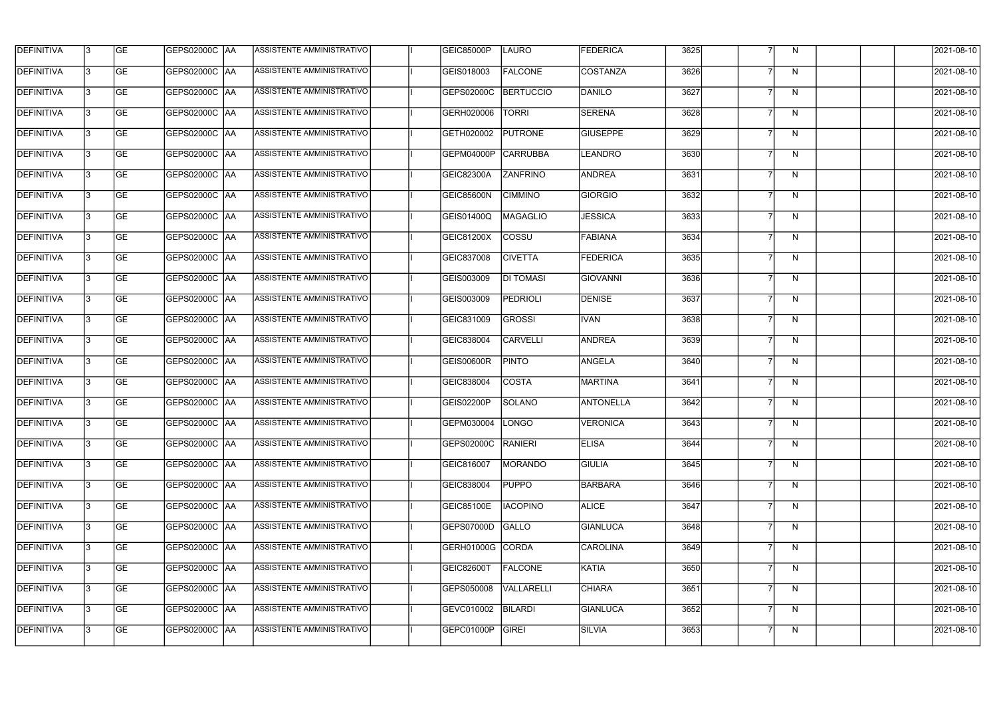| <b>DEFINITIVA</b> | 13  | <b>GE</b> | GEPS02000C  AA       | ASSISTENTE AMMINISTRATIVO        | GEIC85000P        | <b>LAURO</b>     | <b>FEDERICA</b>  | 3625   |                | N.           | 2021-08-10 |
|-------------------|-----|-----------|----------------------|----------------------------------|-------------------|------------------|------------------|--------|----------------|--------------|------------|
| DEFINITIVA        | l3  | <b>GE</b> | GEPS02000C  AA       | ASSISTENTE AMMINISTRATIVO        | GEIS018003        | <b>FALCONE</b>   | COSTANZA         | 3626   | 7              | N            | 2021-08-10 |
| <b>DEFINITIVA</b> | l3  | <b>GE</b> | <b>GEPS02000C AA</b> | ASSISTENTE AMMINISTRATIVO        | GEPS02000C        | <b>BERTUCCIO</b> | DANILO           | 3627   | 7              | N            | 2021-08-10 |
| <b>DEFINITIVA</b> | 13  | <b>GE</b> | <b>GEPS02000C AA</b> | ASSISTENTE AMMINISTRATIVO        | GERH020006        | <b>TORRI</b>     | <b>SERENA</b>    | 3628   | $\overline{7}$ | $\mathsf{N}$ | 2021-08-10 |
| <b>DEFINITIVA</b> | l3  | <b>GE</b> | GEPS02000C  AA       | ASSISTENTE AMMINISTRATIVO        | GETH020002        | <b>PUTRONE</b>   | <b>GIUSEPPE</b>  | 3629   |                | $\mathsf{N}$ | 2021-08-10 |
| <b>DEFINITIVA</b> | IЗ  | <b>GE</b> | <b>GEPS02000C AA</b> | <b>ASSISTENTE AMMINISTRATIVO</b> | GEPM04000P        | <b>CARRUBBA</b>  | <b>LEANDRO</b>   | 3630   | $\overline{7}$ | N            | 2021-08-10 |
| <b>DEFINITIVA</b> | l3  | <b>GE</b> | <b>GEPS02000C AA</b> | <b>ASSISTENTE AMMINISTRATIVO</b> | <b>GEIC82300A</b> | <b>ZANFRINO</b>  | <b>ANDREA</b>    | 3631   |                | N            | 2021-08-10 |
| <b>DEFINITIVA</b> | l3  | <b>GE</b> | GEPS02000C AA        | ASSISTENTE AMMINISTRATIVO        | GEIC85600N        | <b>CIMMINO</b>   | <b>GIORGIO</b>   | 3632   |                | N            | 2021-08-10 |
| <b>DEFINITIVA</b> | l3  | <b>GE</b> | GEPS02000C  AA       | ASSISTENTE AMMINISTRATIVO        | <b>GEIS01400Q</b> | <b>MAGAGLIO</b>  | <b>JESSICA</b>   | 3633   |                | N            | 2021-08-10 |
| <b>DEFINITIVA</b> | l3  | <b>GE</b> | GEPS02000C AA        | ASSISTENTE AMMINISTRATIVO        | GEIC81200X        | <b>COSSU</b>     | FABIANA          | 3634   |                | N            | 2021-08-10 |
| <b>DEFINITIVA</b> | l3  | <b>GE</b> | GEPS02000C AA        | ASSISTENTE AMMINISTRATIVO        | GEIC837008        | <b>CIVETTA</b>   | <b>FEDERICA</b>  | 3635   |                | N            | 2021-08-10 |
| <b>DEFINITIVA</b> | 13  | <b>GE</b> | GEPS02000C  AA       | ASSISTENTE AMMINISTRATIVO        | GEIS003009        | <b>DI TOMASI</b> | GIOVANNI         | 3636   | $\overline{7}$ | N            | 2021-08-10 |
| <b>DEFINITIVA</b> | l3  | <b>GE</b> | GEPS02000C  AA       | ASSISTENTE AMMINISTRATIVO        | GEIS003009        | <b>PEDRIOLI</b>  | <b>DENISE</b>    | 3637   | 7              | N            | 2021-08-10 |
| <b>DEFINITIVA</b> | l3  | <b>GE</b> | GEPS02000C AA        | ASSISTENTE AMMINISTRATIVO        | GEIC831009        | <b>GROSSI</b>    | <b>IVAN</b>      | 3638   | 7              | N            | 2021-08-10 |
| <b>DEFINITIVA</b> | l3  | <b>GE</b> | GEPS02000C  AA       | ASSISTENTE AMMINISTRATIVO        | GEIC838004        | <b>CARVELLI</b>  | ANDREA           | 3639   |                | N            | 2021-08-10 |
| <b>DEFINITIVA</b> | IЗ  | <b>GE</b> | GEPS02000C  AA       | ASSISTENTE AMMINISTRATIVO        | <b>GEIS00600R</b> | <b>PINTO</b>     | <b>ANGELA</b>    | 3640   |                | N            | 2021-08-10 |
| <b>DEFINITIVA</b> | l3  | <b>GE</b> | GEPS02000C  AA       | ASSISTENTE AMMINISTRATIVO        | GEIC838004        | <b>COSTA</b>     | <b>MARTINA</b>   | 3641   |                | N            | 2021-08-10 |
| <b>DEFINITIVA</b> |     | <b>GE</b> | GEPS02000C  AA       | ASSISTENTE AMMINISTRATIVO        | GEIS02200P        | SOLANO           | <b>ANTONELLA</b> | 3642   |                | N            | 2021-08-10 |
| <b>DEFINITIVA</b> | IЗ  | GE        | GEPS02000C  AA       | <b>ASSISTENTE AMMINISTRATIVO</b> | GEPM030004  LONGO |                  | VERONICA         | 3643   |                | N            | 2021-08-10 |
| <b>DEFINITIVA</b> | 13. | <b>GE</b> | <b>GEPS02000C AA</b> | ASSISTENTE AMMINISTRATIVO        | GEPS02000C        | RANIERI          | <b>ELISA</b>     | 3644   | $\overline{7}$ | N            | 2021-08-10 |
| <b>DEFINITIVA</b> | 13  | <b>GE</b> | <b>GEPS02000C AA</b> | ASSISTENTE AMMINISTRATIVO        | GEIC816007        | MORANDO          | <b>GIULIA</b>    | 3645   | 7              | N            | 2021-08-10 |
| <b>DEFINITIVA</b> | 13. | <b>GE</b> | <b>GEPS02000C AA</b> | ASSISTENTE AMMINISTRATIVO        | GEIC838004        | <b>PUPPO</b>     | <b>BARBARA</b>   | 3646   |                | N            | 2021-08-10 |
| <b>DEFINITIVA</b> | 13  | <b>GE</b> | GEPS02000C AA        | ASSISTENTE AMMINISTRATIVO        | <b>GEIC85100E</b> | <b>IACOPINO</b>  | <b>ALICE</b>     | 3647   |                | N            | 2021-08-10 |
| <b>DEFINITIVA</b> | 13  | <b>GE</b> | GEPS02000C AA        | ASSISTENTE AMMINISTRATIVO        | GEPS07000D        | GALLO            | <b>GIANLUCA</b>  | 3648   | $\overline{7}$ | N            | 2021-08-10 |
| <b>DEFINITIVA</b> | l3  | <b>GE</b> | GEPS02000C  AA       | ASSISTENTE AMMINISTRATIVO        | GERH01000G CORDA  |                  | <b>CAROLINA</b>  | 3649   |                | N            | 2021-08-10 |
| DEFINITIVA        | l3  | <b>GE</b> | GEPS02000C  AA       | ASSISTENTE AMMINISTRATIVO        | GEIC82600T        | <b>FALCONE</b>   | KATIA            | 3650   |                | N            | 2021-08-10 |
| <b>DEFINITIVA</b> | l3  | <b>GE</b> | GEPS02000C  AA       | ASSISTENTE AMMINISTRATIVO        | GEPS050008        | VALLARELLI       | <b>CHIARA</b>    | 3651   |                | N            | 2021-08-10 |
| <b>DEFINITIVA</b> | l3  | <b>GE</b> | <b>GEPS02000C AA</b> | ASSISTENTE AMMINISTRATIVO        | GEVC010002        | BILARDI          | <b>GIANLUCA</b>  | $3652$ | 7              | N            | 2021-08-10 |
| <b>DEFINITIVA</b> | lЗ  | <b>GE</b> | GEPS02000C  AA       | ASSISTENTE AMMINISTRATIVO        | GEPC01000P        | GIREI            | <b>SILVIA</b>    | 3653   | $\overline{7}$ | N            | 2021-08-10 |
|                   |     |           |                      |                                  |                   |                  |                  |        |                |              |            |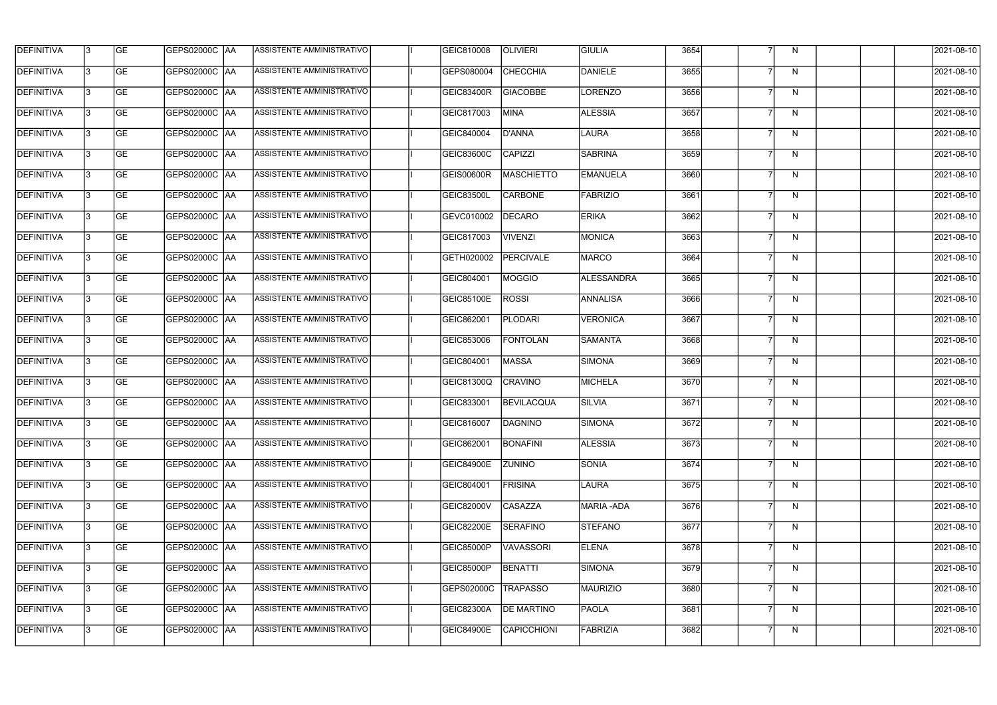| <b>DEFINITIVA</b> | 13  | <b>GE</b> | GEPS02000C  AA       | ASSISTENTE AMMINISTRATIVO        | GEIC810008        | <b>OLIVIERI</b>    | <b>GIULIA</b>     | 3654 |                | N.           | 2021-08-10 |
|-------------------|-----|-----------|----------------------|----------------------------------|-------------------|--------------------|-------------------|------|----------------|--------------|------------|
| DEFINITIVA        | l3  | <b>GE</b> | GEPS02000C  AA       | ASSISTENTE AMMINISTRATIVO        | GEPS080004        | <b>CHECCHIA</b>    | DANIELE           | 3655 |                | N            | 2021-08-10 |
| <b>DEFINITIVA</b> | l3  | <b>GE</b> | <b>GEPS02000C AA</b> | ASSISTENTE AMMINISTRATIVO        | GEIC83400R        | <b>GIACOBBE</b>    | LORENZO           | 3656 | 7              | N            | 2021-08-10 |
| <b>DEFINITIVA</b> | 13  | <b>GE</b> | <b>GEPS02000C AA</b> | ASSISTENTE AMMINISTRATIVO        | GEIC817003        | MINA               | <b>ALESSIA</b>    | 3657 | $\overline{7}$ | $\mathsf{N}$ | 2021-08-10 |
| <b>DEFINITIVA</b> | l3  | <b>GE</b> | GEPS02000C  AA       | ASSISTENTE AMMINISTRATIVO        | GEIC840004        | <b>D'ANNA</b>      | <b>LAURA</b>      | 3658 |                | $\mathsf{N}$ | 2021-08-10 |
| <b>DEFINITIVA</b> | IЗ  | <b>GE</b> | <b>GEPS02000C AA</b> | <b>ASSISTENTE AMMINISTRATIVO</b> | <b>GEIC83600C</b> | <b>CAPIZZI</b>     | <b>SABRINA</b>    | 3659 | $\overline{7}$ | N            | 2021-08-10 |
| <b>DEFINITIVA</b> | l3  | <b>GE</b> | <b>GEPS02000C AA</b> | <b>ASSISTENTE AMMINISTRATIVO</b> | <b>GEIS00600R</b> | <b>MASCHIETTO</b>  | <b>EMANUELA</b>   | 3660 |                | N            | 2021-08-10 |
| <b>DEFINITIVA</b> | l3  | <b>GE</b> | GEPS02000C AA        | ASSISTENTE AMMINISTRATIVO        | <b>GEIC83500L</b> | <b>CARBONE</b>     | FABRIZIO          | 3661 |                | N            | 2021-08-10 |
| <b>DEFINITIVA</b> | l3  | <b>GE</b> | GEPS02000C  AA       | ASSISTENTE AMMINISTRATIVO        | GEVC010002        | DECARO             | <b>ERIKA</b>      | 3662 |                | N            | 2021-08-10 |
| <b>DEFINITIVA</b> | l3  | <b>GE</b> | GEPS02000C AA        | ASSISTENTE AMMINISTRATIVO        | GEIC817003        | <b>VIVENZI</b>     | <b>MONICA</b>     | 3663 |                | N            | 2021-08-10 |
| <b>DEFINITIVA</b> | l3  | <b>GE</b> | GEPS02000C AA        | ASSISTENTE AMMINISTRATIVO        | GETH020002        | <b>PERCIVALE</b>   | <b>MARCO</b>      | 3664 |                | N            | 2021-08-10 |
| <b>DEFINITIVA</b> | 13  | <b>GE</b> | GEPS02000C  AA       | <b>ASSISTENTE AMMINISTRATIVO</b> | GEIC804001        | <b>MOGGIO</b>      | <b>ALESSANDRA</b> | 3665 | $\overline{7}$ | N            | 2021-08-10 |
| <b>DEFINITIVA</b> | l3  | <b>GE</b> | GEPS02000C  AA       | ASSISTENTE AMMINISTRATIVO        | <b>GEIC85100E</b> | <b>ROSSI</b>       | <b>ANNALISA</b>   | 3666 | 7              | N            | 2021-08-10 |
| <b>DEFINITIVA</b> | l3  | <b>GE</b> | GEPS02000C AA        | ASSISTENTE AMMINISTRATIVO        | GEIC862001        | <b>PLODARI</b>     | <b>VERONICA</b>   | 3667 | 7              | N            | 2021-08-10 |
| <b>DEFINITIVA</b> | l3  | <b>GE</b> | GEPS02000C  AA       | ASSISTENTE AMMINISTRATIVO        | GEIC853006        | <b>FONTOLAN</b>    | <b>SAMANTA</b>    | 3668 |                | N            | 2021-08-10 |
| <b>DEFINITIVA</b> | IЗ  | <b>GE</b> | GEPS02000C  AA       | ASSISTENTE AMMINISTRATIVO        | GEIC804001        | <b>MASSA</b>       | <b>SIMONA</b>     | 3669 |                | N            | 2021-08-10 |
| <b>DEFINITIVA</b> | l3  | <b>GE</b> | GEPS02000C  AA       | ASSISTENTE AMMINISTRATIVO        | GEIC81300Q        | <b>CRAVINO</b>     | <b>MICHELA</b>    | 3670 |                | N            | 2021-08-10 |
| <b>DEFINITIVA</b> |     | <b>GE</b> | GEPS02000C  AA       | ASSISTENTE AMMINISTRATIVO        | GEIC833001        | <b>BEVILACQUA</b>  | <b>SILVIA</b>     | 3671 |                | N            | 2021-08-10 |
| <b>DEFINITIVA</b> | IЗ  | GE        | GEPS02000C  AA       | <b>ASSISTENTE AMMINISTRATIVO</b> | GEIC816007        | <b>DAGNINO</b>     | <b>SIMONA</b>     | 3672 |                | N,           | 2021-08-10 |
| <b>DEFINITIVA</b> | 13. | <b>GE</b> | <b>GEPS02000C AA</b> | ASSISTENTE AMMINISTRATIVO        | GEIC862001        | <b>BONAFINI</b>    | <b>ALESSIA</b>    | 3673 | 7              | N            | 2021-08-10 |
| <b>DEFINITIVA</b> | 13  | <b>GE</b> | <b>GEPS02000C AA</b> | ASSISTENTE AMMINISTRATIVO        | <b>GEIC84900E</b> | <b>ZUNINO</b>      | <b>SONIA</b>      | 3674 | 7              | N            | 2021-08-10 |
| <b>DEFINITIVA</b> | 13. | <b>GE</b> | GEPS02000C AA        | ASSISTENTE AMMINISTRATIVO        | GEIC804001        | <b>FRISINA</b>     | LAURA             | 3675 |                | N            | 2021-08-10 |
| <b>DEFINITIVA</b> | 13  | <b>GE</b> | <b>GEPS02000C AA</b> | ASSISTENTE AMMINISTRATIVO        | GEIC82000V        | <b>CASAZZA</b>     | <b>MARIA-ADA</b>  | 3676 |                | N            | 2021-08-10 |
| <b>DEFINITIVA</b> | 13  | <b>GE</b> | GEPS02000C AA        | ASSISTENTE AMMINISTRATIVO        | <b>GEIC82200E</b> | <b>SERAFINO</b>    | STEFANO           | 3677 | $\overline{7}$ | N            | 2021-08-10 |
| <b>DEFINITIVA</b> | 13. | <b>GE</b> | GEPS02000C  AA       | ASSISTENTE AMMINISTRATIVO        | <b>GEIC85000P</b> | <b>VAVASSORI</b>   | <b>ELENA</b>      | 3678 |                | N            | 2021-08-10 |
| DEFINITIVA        | l3  | <b>GE</b> | GEPS02000C  AA       | ASSISTENTE AMMINISTRATIVO        | <b>GEIC85000P</b> | <b>BENATTI</b>     | SIMONA            | 3679 |                | N            | 2021-08-10 |
| DEFINITIVA        | l3  | <b>GE</b> | GEPS02000C  AA       | ASSISTENTE AMMINISTRATIVO        | GEPS02000C        | <b>TRAPASSO</b>    | <b>MAURIZIO</b>   | 3680 |                | N            | 2021-08-10 |
| <b>DEFINITIVA</b> | l3  | <b>GE</b> | GEPS02000C AA        | ASSISTENTE AMMINISTRATIVO        | GEIC82300A        | <b>DE MARTINO</b>  | <b>PAOLA</b>      | 3681 | 7              | N            | 2021-08-10 |
| <b>DEFINITIVA</b> | lЗ  | <b>GE</b> | GEPS02000C  AA       | ASSISTENTE AMMINISTRATIVO        | <b>GEIC84900E</b> | <b>CAPICCHIONI</b> | FABRIZIA          | 3682 | $\overline{7}$ | N            | 2021-08-10 |
|                   |     |           |                      |                                  |                   |                    |                   |      |                |              |            |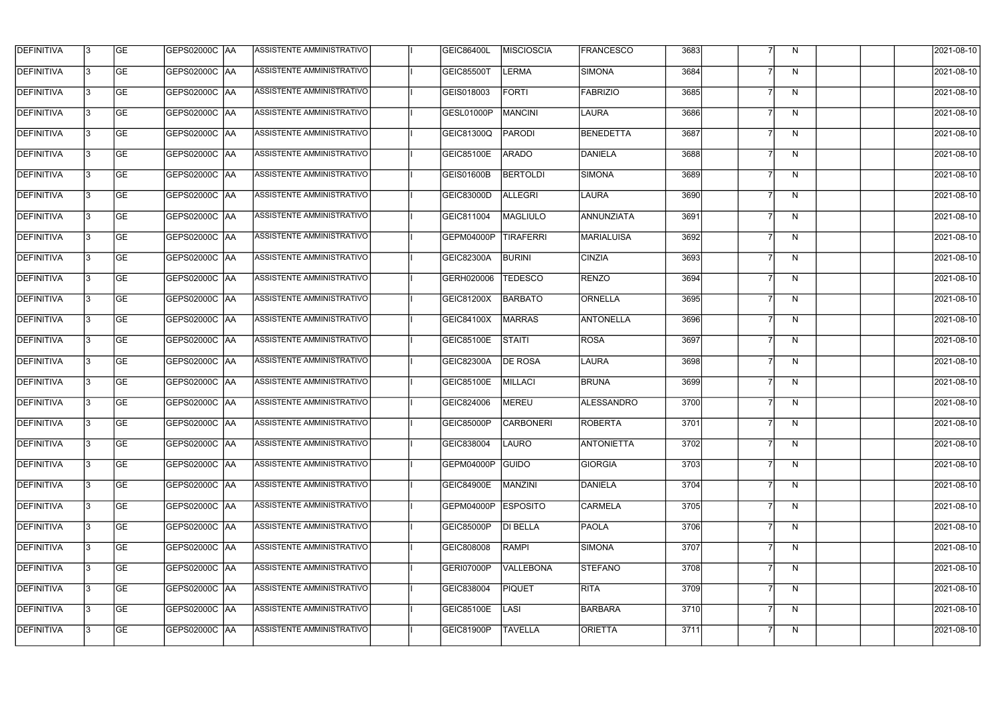| <b>DEFINITIVA</b> | 13 | GE        | GEPS02000C  AA       | ASSISTENTE AMMINISTRATIVO        | GEIC86400L        | <b>MISCIOSCIA</b> | <b>FRANCESCO</b>  | 3683 |   | N            | 2021-08-10       |
|-------------------|----|-----------|----------------------|----------------------------------|-------------------|-------------------|-------------------|------|---|--------------|------------------|
| <b>DEFINITIVA</b> | IЗ | GE        | GEPS02000C   AA      | ASSISTENTE AMMINISTRATIVO        | <b>GEIC85500T</b> | <b>LERMA</b>      | SIMONA            | 3684 |   | N            | 2021-08-10       |
| <b>DEFINITIVA</b> | 13 | <b>GE</b> | <b>GEPS02000C AA</b> | ASSISTENTE AMMINISTRATIVO        | GEIS018003        | <b>FORTI</b>      | FABRIZIO          | 3685 |   | N            | 2021-08-10       |
| <b>DEFINITIVA</b> | l3 | <b>GE</b> | <b>GEPS02000C AA</b> | ASSISTENTE AMMINISTRATIVO        | GESL01000P        | MANCINI           | LAURA             | 3686 | 7 | N            | 2021-08-10       |
| <b>DEFINITIVA</b> | l3 | <b>GE</b> | GEPS02000C AA        | <b>ASSISTENTE AMMINISTRATIVO</b> | GEIC81300Q        | PARODI            | BENEDETTA         | 3687 |   | N            | 2021-08-10       |
| <b>DEFINITIVA</b> | l3 | <b>GE</b> | GEPS02000C AA        | <b>ASSISTENTE AMMINISTRATIVO</b> | GEIC85100E        | <b>ARADO</b>      | DANIELA           | 3688 | 7 | N            | 2021-08-10       |
| <b>DEFINITIVA</b> | l3 | <b>GE</b> | <b>GEPS02000C AA</b> | ASSISTENTE AMMINISTRATIVO        | GEIS01600B        | <b>BERTOLDI</b>   | SIMONA            | 3689 |   | N            | 2021-08-10       |
| <b>DEFINITIVA</b> | l3 | <b>GE</b> | GEPS02000C AA        | <b>ASSISTENTE AMMINISTRATIVO</b> | GEIC83000D        | <b>ALLEGRI</b>    | LAURA             | 3690 |   | $\mathsf{N}$ | 2021-08-10       |
| <b>DEFINITIVA</b> | l3 | <b>GE</b> | GEPS02000C  AA       | ASSISTENTE AMMINISTRATIVO        | GEIC811004        | <b>MAGLIULO</b>   | ANNUNZIATA        | 3691 |   | N            | 2021-08-10       |
| <b>DEFINITIVA</b> | l3 | GE        | GEPS02000C   AA      | ASSISTENTE AMMINISTRATIVO        | GEPM04000P        | <b>TIRAFERRI</b>  | <b>MARIALUISA</b> | 3692 |   | N            | 2021-08-10       |
| <b>DEFINITIVA</b> | 13 | <b>GE</b> | GEPS02000C AA        | ASSISTENTE AMMINISTRATIVO        | GEIC82300A        | <b>BURINI</b>     | <b>CINZIA</b>     | 3693 |   | N            | 2021-08-10       |
| <b>DEFINITIVA</b> | l3 | <b>GE</b> | GEPS02000C AA        | <b>ASSISTENTE AMMINISTRATIVO</b> | GERH020006        | <b>TEDESCO</b>    | RENZO             | 3694 | 7 | N            | 2021-08-10       |
| DEFINITIVA        | l3 | GE        | GEPS02000C AA        | ASSISTENTE AMMINISTRATIVO        | GEIC81200X        | <b>BARBATO</b>    | <b>ORNELLA</b>    | 3695 |   | N            | 2021-08-10       |
| <b>DEFINITIVA</b> | l3 | <b>GE</b> | GEPS02000C AA        | ASSISTENTE AMMINISTRATIVO        | GEIC84100X        | MARRAS            | ANTONELLA         | 3696 | 7 | N            | 2021-08-10       |
| <b>DEFINITIVA</b> | l3 | <b>GE</b> | GEPS02000C AA        | ASSISTENTE AMMINISTRATIVO        | <b>GEIC85100E</b> | <b>STAITI</b>     | ROSA              | 3697 |   | N            | 2021-08-10       |
| <b>DEFINITIVA</b> | 13 | GE        | GEPS02000C AA        | ASSISTENTE AMMINISTRATIVO        | GEIC82300A        | <b>DE ROSA</b>    | LAURA             | 3698 |   | N            | 2021-08-10       |
| <b>DEFINITIVA</b> | l3 | <b>GE</b> | GEPS02000C   AA      | ASSISTENTE AMMINISTRATIVO        | GEIC85100E        | <b>MILLACI</b>    | <b>BRUNA</b>      | 3699 |   | N            | 2021-08-10       |
| <b>DEFINITIVA</b> | IЗ | <b>GE</b> | GEPS02000C AA        | ASSISTENTE AMMINISTRATIVO        | GEIC824006        | MEREU             | ALESSANDRO        | 3700 |   | N            | 2021-08-10       |
| <b>DEFINITIVA</b> | IЗ | GE        | GEPS02000C  AA       | <b>ASSISTENTE AMMINISTRATIVO</b> | <b>GEIC85000P</b> | <b>CARBONERI</b>  | <b>ROBERTA</b>    | 3701 |   | N            | 2021-08-10       |
| <b>DEFINITIVA</b> | l3 | GE        | GEPS02000C AA        | ASSISTENTE AMMINISTRATIVO        | GEIC838004        | LAURO             | <b>ANTONIETTA</b> | 3702 |   | N            | 2021-08-10       |
| <b>DEFINITIVA</b> | l3 | GE        | <b>GEPS02000C AA</b> | ASSISTENTE AMMINISTRATIVO        | GEPM04000P        | <b>GUIDO</b>      | <b>GIORGIA</b>    | 3703 |   | N            | 2021-08-10       |
| <b>DEFINITIVA</b> | 13 | <b>GE</b> | GEPS02000C AA        | ASSISTENTE AMMINISTRATIVO        | <b>GEIC84900E</b> | MANZINI           | DANIELA           | 3704 |   | N            | $2021 - 08 - 10$ |
| <b>DEFINITIVA</b> | l3 | <b>GE</b> | GEPS02000C AA        | ASSISTENTE AMMINISTRATIVO        | GEPM04000P        | <b>ESPOSITO</b>   | <b>CARMELA</b>    | 3705 |   | N            | 2021-08-10       |
| <b>DEFINITIVA</b> | 13 | <b>GE</b> | GEPS02000C AA        | ASSISTENTE AMMINISTRATIVO        | <b>GEIC85000P</b> | <b>DI BELLA</b>   | <b>PAOLA</b>      | 3706 |   | N            | 2021-08-10       |
| <b>DEFINITIVA</b> | l3 | <b>GE</b> | GEPS02000C  AA       | ASSISTENTE AMMINISTRATIVO        | GEIC808008        | <b>RAMPI</b>      | <b>SIMONA</b>     | 3707 |   | N            | 2021-08-10       |
| <b>DEFINITIVA</b> | l3 | <b>GE</b> | GEPS02000C  AA       | ASSISTENTE AMMINISTRATIVO        | GERI07000P        | VALLEBONA         | <b>STEFANO</b>    | 3708 |   | N            | 2021-08-10       |
| <b>DEFINITIVA</b> | l3 | GE        | GEPS02000C  AA       | ASSISTENTE AMMINISTRATIVO        | GEIC838004        | <b>PIQUET</b>     | <b>RITA</b>       | 3709 |   | N            | 2021-08-10       |
| <b>DEFINITIVA</b> | l3 | GE        | GEPS02000C AA        | ASSISTENTE AMMINISTRATIVO        | GEIC85100E        | LASI              | BARBARA           | 3710 | 7 | N            | 2021-08-10       |
| <b>DEFINITIVA</b> | l3 | GE        | GEPS02000C AA        | ASSISTENTE AMMINISTRATIVO        | GEIC81900P        | <b>TAVELLA</b>    | <b>ORIETTA</b>    | 3711 |   | N            | 2021-08-10       |
|                   |    |           |                      |                                  |                   |                   |                   |      |   |              |                  |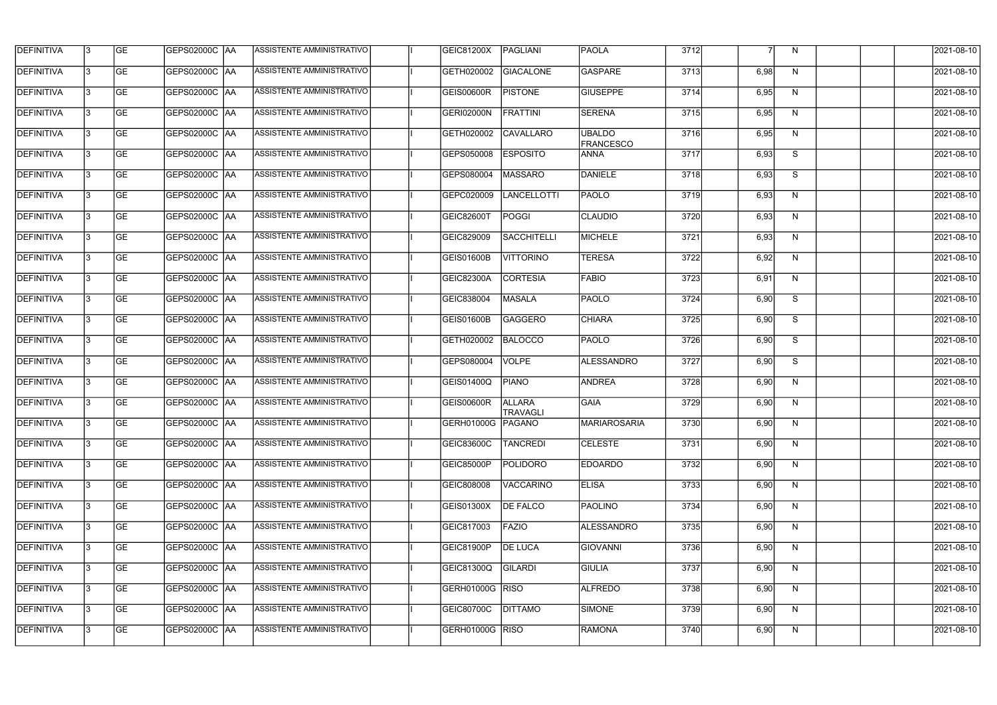| <b>DEFINITIVA</b> | l3 | GE                       | GEPS02000C AA        | ASSISTENTE AMMINISTRATIVO        | GEIC81200X          | PAGLIANI                         | <b>PAOLA</b>                      | 3712 |      | N | 2021-08-10          |
|-------------------|----|--------------------------|----------------------|----------------------------------|---------------------|----------------------------------|-----------------------------------|------|------|---|---------------------|
| <b>DEFINITIVA</b> | IЗ | $\overline{\mathsf{GE}}$ | GEPS02000C AA        | ASSISTENTE AMMINISTRATIVO        | GETH020002          | GIACALONE                        | GASPARE                           | 3713 | 6,98 | N | 2021-08-10          |
| <b>DEFINITIVA</b> | l3 | GE                       | GEPS02000C AA        | ASSISTENTE AMMINISTRATIVO        | <b>GEIS00600R</b>   | <b>PISTONE</b>                   | <b>GIUSEPPE</b>                   | 3714 | 6,95 | N | 2021-08-10          |
| <b>DEFINITIVA</b> | l3 | GE                       | GEPS02000C AA        | ASSISTENTE AMMINISTRATIVO        | <b>GERI02000N</b>   | <b>FRATTINI</b>                  | <b>SERENA</b>                     | 3715 | 6,95 | N | 2021-08-10          |
| <b>DEFINITIVA</b> | l3 | GE                       | <b>GEPS02000C AA</b> | <b>ASSISTENTE AMMINISTRATIVO</b> | GETH020002          | <b>CAVALLARO</b>                 | <b>UBALDO</b><br><b>FRANCESCO</b> | 3716 | 6,95 | N | 2021-08-10          |
| <b>DEFINITIVA</b> | IЗ | <b>GE</b>                | GEPS02000C AA        | <b>ASSISTENTE AMMINISTRATIVO</b> | GEPS050008          | <b>ESPOSITO</b>                  | <b>ANNA</b>                       | 3717 | 6,93 | S | 2021-08-10          |
| <b>DEFINITIVA</b> | l3 | <b>GE</b>                | GEPS02000C AA        | ASSISTENTE AMMINISTRATIVO        | GEPS080004          | MASSARO                          | DANIELE                           | 3718 | 6,93 | S | 2021-08-10          |
| <b>DEFINITIVA</b> | l3 | <b>GE</b>                | GEPS02000C   AA      | ASSISTENTE AMMINISTRATIVO        | GEPC020009          | LANCELLOTTI                      | <b>PAOLO</b>                      | 3719 | 6,93 | N | 2021-08-10          |
| <b>DEFINITIVA</b> | l3 | <b>GE</b>                | GEPS02000C   AA      | ASSISTENTE AMMINISTRATIVO        | <b>GEIC82600T</b>   | POGGI                            | <b>CLAUDIO</b>                    | 3720 | 6,93 | N | 2021-08-10          |
| <b>DEFINITIVA</b> | l3 | GE                       | GEPS02000C AA        | ASSISTENTE AMMINISTRATIVO        | GEIC829009          | <b>SACCHITELLI</b>               | MICHELE                           | 3721 | 6,93 | N | 2021-08-10          |
| <b>DEFINITIVA</b> | l3 | GE                       | GEPS02000C AA        | ASSISTENTE AMMINISTRATIVO        | <b>GEIS01600B</b>   | <b>VITTORINO</b>                 | <b>TERESA</b>                     | 3722 | 6,92 | N | 2021-08-10          |
| <b>DEFINITIVA</b> | l3 | GE                       | GEPS02000C AA        | ASSISTENTE AMMINISTRATIVO        | GEIC82300A          | <b>CORTESIA</b>                  | <b>FABIO</b>                      | 3723 | 6,91 | N | 2021-08-10          |
| <b>DEFINITIVA</b> | l3 | <b>GE</b>                | GEPS02000C   AA      | ASSISTENTE AMMINISTRATIVO        | GEIC838004          | MASALA                           | <b>PAOLO</b>                      | 3724 | 6,90 | S | 2021-08-10          |
| <b>DEFINITIVA</b> | IЗ | <b>GE</b>                | GEPS02000C AA        | ASSISTENTE AMMINISTRATIVO        | GEIS01600B          | GAGGERO                          | <b>CHIARA</b>                     | 3725 | 6,90 | S | 2021-08-10          |
| <b>DEFINITIVA</b> | 13 | GE                       | GEPS02000C AA        | ASSISTENTE AMMINISTRATIVO        | GETH020002          | BALOCCO                          | <b>PAOLO</b>                      | 3726 | 6,90 | S | 2021-08-10          |
| <b>DEFINITIVA</b> | l3 | <b>GE</b>                | GEPS02000C  AA       | ASSISTENTE AMMINISTRATIVO        | GEPS080004          | <b>VOLPE</b>                     | ALESSANDRO                        | 3727 | 6,90 | S | 2021-08-10          |
| <b>DEFINITIVA</b> | IЗ | GE                       | GEPS02000C  AA       | ASSISTENTE AMMINISTRATIVO        | GEIS01400Q          | <b>PIANO</b>                     | <b>ANDREA</b>                     | 3728 | 6,90 | N | 2021-08-10          |
| <b>DEFINITIVA</b> | l3 | GE                       | GEPS02000C   AA      | ASSISTENTE AMMINISTRATIVO        | <b>GEIS00600R</b>   | <b>ALLARA</b><br><b>TRAVAGLI</b> | <b>GAIA</b>                       | 3729 | 6,90 | N | 2021-08-10          |
| DEFINITIVA        | 13 | <b>GE</b>                | GEPS02000C  AA       | ASSISTENTE AMMINISTRATIVO        | GERH01000G   PAGANO |                                  | <b>MARIAROSARIA</b>               | 3730 | 6,90 | N | 2021-08-10          |
| <b>DEFINITIVA</b> | l3 | <b>GE</b>                | <b>GEPS02000C AA</b> | ASSISTENTE AMMINISTRATIVO        | GEIC83600C          | <b>TANCREDI</b>                  | <b>CELESTE</b>                    | 3731 | 6,90 | N | 2021-08-10          |
| <b>DEFINITIVA</b> | l3 | GE                       |                      | ASSISTENTE AMMINISTRATIVO        | GEIC85000P          | <b>POLIDORO</b>                  | <b>EDOARDO</b>                    | 3732 | 6,90 | N | 2021-08-10          |
| <b>DEFINITIVA</b> | l3 | GE                       | GEPS02000C AA        | ASSISTENTE AMMINISTRATIVO        | GEIC808008          | VACCARINO                        | <b>ELISA</b>                      | 3733 | 6,90 | N | 2021-08-10          |
| <b>DEFINITIVA</b> | 13 | <b>GE</b>                | GEPS02000C AA        | ASSISTENTE AMMINISTRATIVO        | <b>GEIS01300X</b>   | <b>DE FALCO</b>                  | <b>PAOLINO</b>                    | 3734 | 6,90 | N | 2021-08-10          |
| <b>DEFINITIVA</b> | l3 | <b>GE</b>                | GEPS02000C  AA       | ASSISTENTE AMMINISTRATIVO        | GEIC817003          | FAZIO                            | <b>ALESSANDRO</b>                 | 3735 | 6,90 | N | 2021-08-10          |
| <b>DEFINITIVA</b> | l3 | <b>GE</b>                | GEPS02000C  AA       | ASSISTENTE AMMINISTRATIVO        | GEIC81900P          | <b>DE LUCA</b>                   | <b>GIOVANNI</b>                   | 3736 | 6,90 | N | 2021-08-10          |
| <b>DEFINITIVA</b> | l3 | <b>GE</b>                | GEPS02000C AA        | ASSISTENTE AMMINISTRATIVO        | GEIC81300Q          | GILARDI                          | <b>GIULIA</b>                     | 3737 | 6,90 | N | 2021-08-10          |
| <b>DEFINITIVA</b> | l3 | <b>GE</b>                | GEPS02000C AA        | ASSISTENTE AMMINISTRATIVO        | GERH01000G RISO     |                                  | ALFREDO                           | 3738 | 6,90 | N | 2021-08-10          |
| <b>DEFINITIVA</b> | 13 | GE                       | GEPS02000C AA        | ASSISTENTE AMMINISTRATIVO        | GEIC80700C          | <b>DITTAMO</b>                   | SIMONE                            | 3739 | 6,90 | N | 2021-08-10          |
| DEFINITIVA        | l3 | GE                       |                      | ASSISTENTE AMMINISTRATIVO        | GERH01000G RISO     |                                  | RAMONA                            | 3740 | 6,90 | N | $\sqrt{2021-08-10}$ |
|                   |    |                          |                      |                                  |                     |                                  |                                   |      |      |   |                     |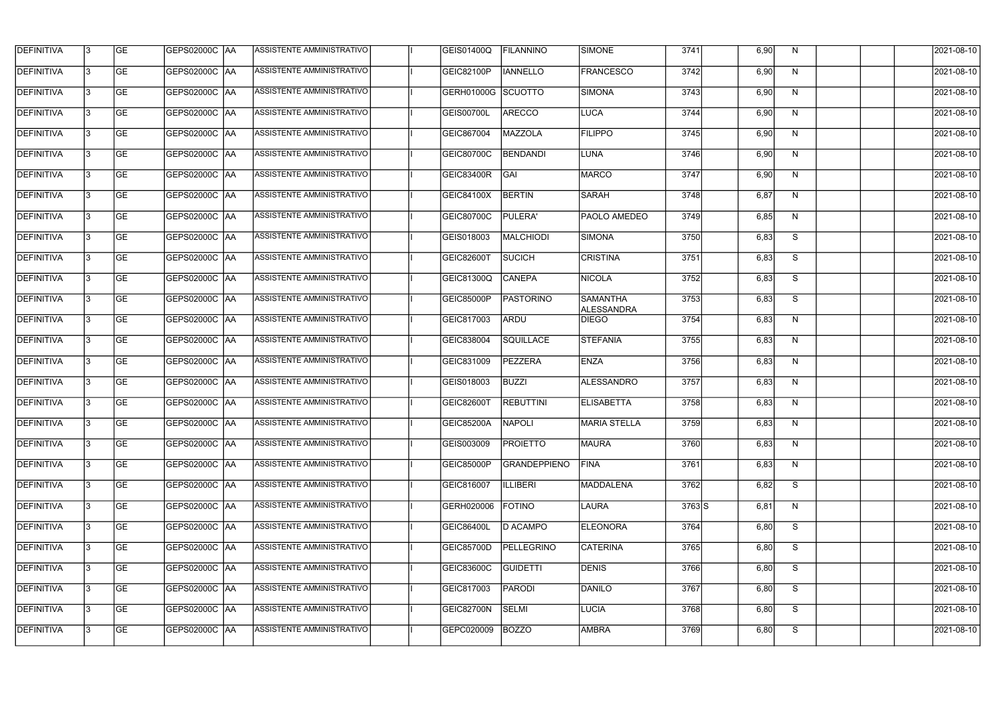| <b>DEFINITIVA</b> | l3 | GE        | GEPS02000C  AA       | <b>ASSISTENTE AMMINISTRATIVO</b> | <b>GEIS01400Q</b>  | <b>FILANNINO</b>    | SIMONE                        | 3741     | 6,90 | N. | 2021-08-10 |
|-------------------|----|-----------|----------------------|----------------------------------|--------------------|---------------------|-------------------------------|----------|------|----|------------|
| <b>DEFINITIVA</b> | IЗ | GE        | GEPS02000C   AA      | ASSISTENTE AMMINISTRATIVO        | <b>GEIC82100P</b>  | <b>IANNELLO</b>     | <b>FRANCESCO</b>              | 3742     | 6,90 | N  | 2021-08-10 |
| <b>DEFINITIVA</b> | 13 | <b>GE</b> | GEPS02000C AA        | ASSISTENTE AMMINISTRATIVO        | GERH01000G SCUOTTO |                     | SIMONA                        | 3743     | 6,90 | N  | 2021-08-10 |
| <b>DEFINITIVA</b> | l3 | <b>GE</b> | <b>GEPS02000C AA</b> | ASSISTENTE AMMINISTRATIVO        | <b>GEIS00700L</b>  | <b>ARECCO</b>       | LUCA                          | 3744     | 6,90 | N  | 2021-08-10 |
| <b>DEFINITIVA</b> | l3 | GE        | GEPS02000C AA        | <b>ASSISTENTE AMMINISTRATIVO</b> | GEIC867004         | MAZZOLA             | <b>FILIPPO</b>                | 3745     | 6,90 | N  | 2021-08-10 |
| <b>DEFINITIVA</b> | l3 | <b>GE</b> | GEPS02000C AA        | <b>ASSISTENTE AMMINISTRATIVO</b> | GEIC80700C         | <b>BENDANDI</b>     | LUNA                          | 3746     | 6,90 | N  | 2021-08-10 |
| <b>DEFINITIVA</b> | l3 | <b>GE</b> | <b>GEPS02000C AA</b> | ASSISTENTE AMMINISTRATIVO        | GEIC83400R         | GAI                 | MARCO                         | 3747     | 6,90 | N  | 2021-08-10 |
| <b>DEFINITIVA</b> | l3 | <b>GE</b> | GEPS02000C AA        | <b>ASSISTENTE AMMINISTRATIVO</b> | GEIC84100X         | <b>BERTIN</b>       | <b>SARAH</b>                  | 3748     | 6,87 | N  | 2021-08-10 |
| <b>DEFINITIVA</b> | IЗ | <b>GE</b> | GEPS02000C AA        | ASSISTENTE AMMINISTRATIVO        | GEIC80700C         | PULERA'             | PAOLO AMEDEO                  | 3749     | 6,85 | N  | 2021-08-10 |
| <b>DEFINITIVA</b> | l3 | GE        | GEPS02000C   AA      | ASSISTENTE AMMINISTRATIVO        | GEIS018003         | MALCHIODI           | <b>SIMONA</b>                 | 3750     | 6,83 | S  | 2021-08-10 |
| <b>DEFINITIVA</b> | 13 | <b>GE</b> | GEPS02000C AA        | <b>ASSISTENTE AMMINISTRATIVO</b> | <b>GEIC82600T</b>  | <b>SUCICH</b>       | <b>CRISTINA</b>               | 3751     | 6,83 | S  | 2021-08-10 |
| <b>DEFINITIVA</b> | l3 | <b>GE</b> | GEPS02000C AA        | ASSISTENTE AMMINISTRATIVO        | GEIC81300Q         | <b>CANEPA</b>       | <b>NICOLA</b>                 | 3752     | 6,83 | S  | 2021-08-10 |
| <b>DEFINITIVA</b> | l3 | GE        | GEPS02000C  AA       | ASSISTENTE AMMINISTRATIVO        | <b>GEIC85000P</b>  | <b>PASTORINO</b>    | <b>SAMANTHA</b><br>ALESSANDRA | 3753     | 6,83 | S  | 2021-08-10 |
| <b>DEFINITIVA</b> | l3 | <b>GE</b> | GEPS02000C AA        | ASSISTENTE AMMINISTRATIVO        | GEIC817003         | ARDU                | <b>DIEGO</b>                  | 3754     | 6,83 | N  | 2021-08-10 |
| <b>DEFINITIVA</b> | l3 | <b>GE</b> | GEPS02000C AA        | ASSISTENTE AMMINISTRATIVO        | GEIC838004         | SQUILLACE           | <b>STEFANIA</b>               | 3755     | 6,83 | N  | 2021-08-10 |
| <b>DEFINITIVA</b> | l3 | GE        | GEPS02000C  AA       | ASSISTENTE AMMINISTRATIVO        | GEIC831009         | <b>PEZZERA</b>      | <b>ENZA</b>                   | 3756     | 6,83 | N  | 2021-08-10 |
| <b>DEFINITIVA</b> | l3 | <b>GE</b> | GEPS02000C   AA      | ASSISTENTE AMMINISTRATIVO        | GEIS018003         | <b>BUZZI</b>        | ALESSANDRO                    | 3757     | 6,83 | N  | 2021-08-10 |
| <b>DEFINITIVA</b> | l3 | <b>GE</b> | GEPS02000C   AA      | ASSISTENTE AMMINISTRATIVO        | <b>GEIC82600T</b>  | <b>REBUTTINI</b>    | <b>ELISABETTA</b>             | 3758     | 6,83 | N  | 2021-08-10 |
| <b>DEFINITIVA</b> | IЗ | GE        | GEPS02000C  AA       | <b>ASSISTENTE AMMINISTRATIVO</b> | <b>GEIC85200A</b>  | <b>NAPOLI</b>       | <b>MARIA STELLA</b>           | 3759     | 6,83 | N, | 2021-08-10 |
| <b>DEFINITIVA</b> | l3 | GE        | GEPS02000C AA        | ASSISTENTE AMMINISTRATIVO        | GEIS003009         | <b>PROIETTO</b>     | <b>MAURA</b>                  | 3760     | 6,83 | N  | 2021-08-10 |
| <b>DEFINITIVA</b> | l3 | GE        | <b>GEPS02000C AA</b> | ASSISTENTE AMMINISTRATIVO        | <b>GEIC85000P</b>  | <b>GRANDEPPIENO</b> | <b>FINA</b>                   | 3761     | 6,83 | N  | 2021-08-10 |
| <b>DEFINITIVA</b> | 13 | <b>GE</b> | GEPS02000C AA        | ASSISTENTE AMMINISTRATIVO        | GEIC816007         | <b>ILLIBERI</b>     | MADDALENA                     | 3762     | 6,82 | S  | 2021-08-10 |
| <b>DEFINITIVA</b> | l3 | <b>GE</b> | GEPS02000C AA        | ASSISTENTE AMMINISTRATIVO        | GERH020006         | <b>FOTINO</b>       | LAURA                         | $3763$ S | 6,81 | N  | 2021-08-10 |
| <b>DEFINITIVA</b> | 13 | <b>GE</b> | GEPS02000C AA        | ASSISTENTE AMMINISTRATIVO        | <b>GEIC86400L</b>  | D ACAMPO            | <b>ELEONORA</b>               | 3764     | 6,80 | S  | 2021-08-10 |
| <b>DEFINITIVA</b> | l3 | <b>GE</b> | GEPS02000C  AA       | ASSISTENTE AMMINISTRATIVO        | <b>GEIC85700D</b>  | PELLEGRINO          | <b>CATERINA</b>               | 3765     | 6,80 | S  | 2021-08-10 |
| <b>DEFINITIVA</b> | l3 | <b>GE</b> | GEPS02000C  AA       | ASSISTENTE AMMINISTRATIVO        | <b>GEIC83600C</b>  | <b>GUIDETTI</b>     | DENIS                         | 3766     | 6,80 | S  | 2021-08-10 |
| <b>DEFINITIVA</b> | l3 | GE        | GEPS02000C  AA       | ASSISTENTE AMMINISTRATIVO        | GEIC817003         | <b>PARODI</b>       | DANILO                        | 3767     | 6,80 | S  | 2021-08-10 |
| <b>DEFINITIVA</b> | l3 | GE        | GEPS02000C AA        | ASSISTENTE AMMINISTRATIVO        | GEIC82700N         | SELMI               | <b>LUCIA</b>                  | 3768     | 6,80 | S  | 2021-08-10 |
| <b>DEFINITIVA</b> | l3 | GE        | GEPS02000C  AA       | ASSISTENTE AMMINISTRATIVO        | GEPC020009         | <b>BOZZO</b>        | <b>AMBRA</b>                  | 3769     | 6,80 | S  | 2021-08-10 |
|                   |    |           |                      |                                  |                    |                     |                               |          |      |    |            |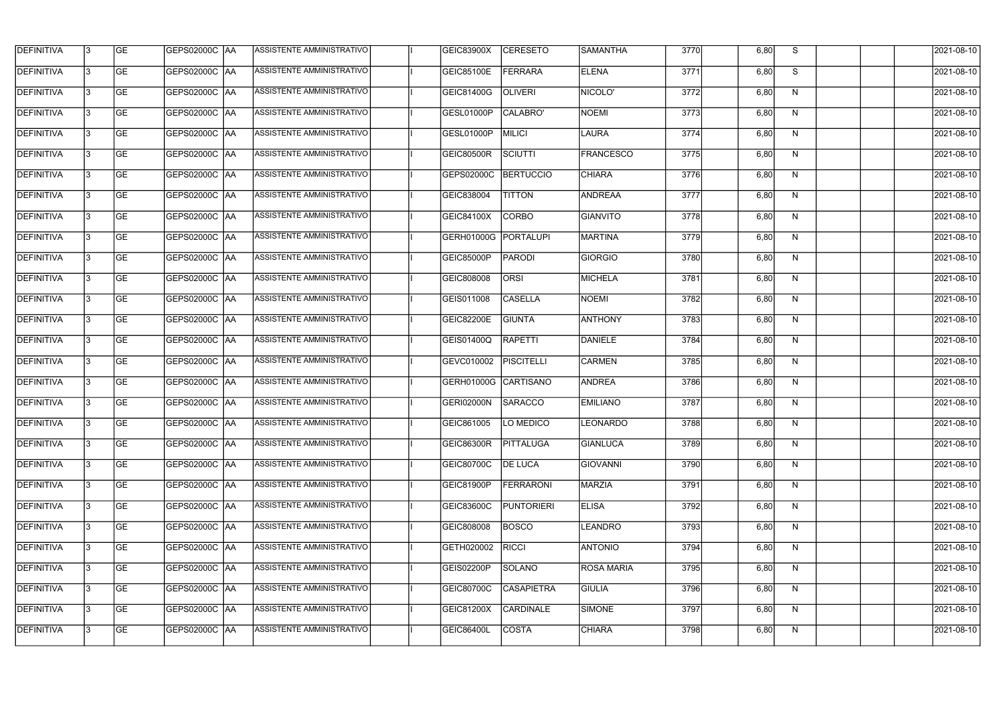| <b>DEFINITIVA</b> | l3 | GE                       | <b>GEPS02000C AA</b> | ASSISTENTE AMMINISTRATIVO        | <b>GEIC83900X</b>    | <b>CERESETO</b>   | <b>SAMANTHA</b>   | 3770 | 6,80 | S | 2021-08-10          |
|-------------------|----|--------------------------|----------------------|----------------------------------|----------------------|-------------------|-------------------|------|------|---|---------------------|
| <b>DEFINITIVA</b> | IЗ | $\overline{\mathsf{GE}}$ | GEPS02000C AA        | ASSISTENTE AMMINISTRATIVO        | GEIC85100E           | <b>FERRARA</b>    | <b>ELENA</b>      | 3771 | 6,80 | S | 2021-08-10          |
| <b>DEFINITIVA</b> | l3 | GE                       | GEPS02000C AA        | ASSISTENTE AMMINISTRATIVO        | GEIC81400G           | <b>OLIVERI</b>    | NICOLO'           | 3772 | 6,80 | N | 2021-08-10          |
| <b>DEFINITIVA</b> | l3 | GE                       | GEPS02000C AA        | ASSISTENTE AMMINISTRATIVO        | GESL01000P           | CALABRO'          | NOEMI             | 3773 | 6,80 | N | 2021-08-10          |
| <b>DEFINITIVA</b> | l3 | GE                       | GEPS02000C AA        | <b>ASSISTENTE AMMINISTRATIVO</b> | GESL01000P           | MILICI            | LAURA             | 3774 | 6,80 | N | 2021-08-10          |
| <b>DEFINITIVA</b> | IЗ | <b>GE</b>                | <b>GEPS02000C AA</b> | <b>ASSISTENTE AMMINISTRATIVO</b> | <b>GEIC80500R</b>    | SCIUTTI           | <b>FRANCESCO</b>  | 3775 | 6,80 | N | 2021-08-10          |
| <b>DEFINITIVA</b> | l3 | <b>GE</b>                | GEPS02000C AA        | ASSISTENTE AMMINISTRATIVO        | GEPS02000C           | <b>BERTUCCIO</b>  | <b>CHIARA</b>     | 3776 | 6,80 | N | 2021-08-10          |
| <b>DEFINITIVA</b> | l3 | <b>GE</b>                | GEPS02000C   AA      | ASSISTENTE AMMINISTRATIVO        | GEIC838004           | <b>TITTON</b>     | ANDREAA           | 3777 | 6,80 | N | 2021-08-10          |
| <b>DEFINITIVA</b> | IЗ | <b>GE</b>                | GEPS02000C   AA      | ASSISTENTE AMMINISTRATIVO        | GEIC84100X           | <b>CORBO</b>      | <b>GIANVITO</b>   | 3778 | 6,80 | N | 2021-08-10          |
| <b>DEFINITIVA</b> | l3 | GE                       | GEPS02000C AA        | ASSISTENTE AMMINISTRATIVO        | <b>GERH01000G</b>    | PORTALUPI         | MARTINA           | 3779 | 6,80 | N | 2021-08-10          |
| DEFINITIVA        | l3 | GE                       | GEPS02000C AA        | ASSISTENTE AMMINISTRATIVO        | <b>GEIC85000P</b>    | <b>PARODI</b>     | GIORGIO           | 3780 | 6,80 | N | 2021-08-10          |
| <b>DEFINITIVA</b> | l3 | GE                       | GEPS02000C   AA      | ASSISTENTE AMMINISTRATIVO        | GEIC808008           | <b>ORSI</b>       | MICHELA           | 3781 | 6,80 | N | 2021-08-10          |
| <b>DEFINITIVA</b> | l3 | <b>GE</b>                | GEPS02000C   AA      | ASSISTENTE AMMINISTRATIVO        | GEIS011008           | <b>CASELLA</b>    | <b>NOEMI</b>      | 3782 | 6,80 | N | 2021-08-10          |
| <b>DEFINITIVA</b> | IЗ | <b>GE</b>                | GEPS02000C AA        | ASSISTENTE AMMINISTRATIVO        | <b>GEIC82200E</b>    | <b>GIUNTA</b>     | <b>ANTHONY</b>    | 3783 | 6,80 | N | 2021-08-10          |
| <b>DEFINITIVA</b> | 13 | GE                       | GEPS02000C AA        | ASSISTENTE AMMINISTRATIVO        | GEIS01400Q           | RAPETTI           | DANIELE           | 3784 | 6,80 | N | 2021-08-10          |
| <b>DEFINITIVA</b> | l3 | <b>GE</b>                | GEPS02000C  AA       | ASSISTENTE AMMINISTRATIVO        | GEVC010002           | <b>PISCITELLI</b> | <b>CARMEN</b>     | 3785 | 6,80 | N | 2021-08-10          |
| <b>DEFINITIVA</b> | IЗ | GE                       | GEPS02000C  AA       | ASSISTENTE AMMINISTRATIVO        | GERH01000G CARTISANO |                   | <b>ANDREA</b>     | 3786 | 6,80 | N | 2021-08-10          |
| <b>DEFINITIVA</b> | IЗ | GE                       | GEPS02000C   AA      | ASSISTENTE AMMINISTRATIVO        | GERI02000N           | <b>SARACCO</b>    | <b>EMILIANO</b>   | 3787 | 6,80 | N | 2021-08-10          |
| DEFINITIVA        | 13 | <b>GE</b>                | GEPS02000C  AA       | ASSISTENTE AMMINISTRATIVO        | GEIC861005           | <b>LO MEDICO</b>  | <b>LEONARDO</b>   | 3788 | 6,80 | N | 2021-08-10          |
| <b>DEFINITIVA</b> | l3 | GE                       | <b>GEPS02000C AA</b> | ASSISTENTE AMMINISTRATIVO        | GEIC86300R           | PITTALUGA         | <b>GIANLUCA</b>   | 3789 | 6,80 | N | 2021-08-10          |
| <b>DEFINITIVA</b> | l3 | GE                       | GEPS02000C  AA       | ASSISTENTE AMMINISTRATIVO        | <b>GEIC80700C</b>    | <b>DE LUCA</b>    | GIOVANNI          | 3790 | 6,80 | N | 2021-08-10          |
| <b>DEFINITIVA</b> | l3 | GE                       | GEPS02000C AA        | ASSISTENTE AMMINISTRATIVO        | GEIC81900P           | <b>FERRARONI</b>  | <b>MARZIA</b>     | 3791 | 6,80 | N | 2021-08-10          |
| <b>DEFINITIVA</b> | 13 | <b>GE</b>                | GEPS02000C AA        | ASSISTENTE AMMINISTRATIVO        | GEIC83600C           | <b>PUNTORIERI</b> | <b>ELISA</b>      | 3792 | 6,80 | N | 2021-08-10          |
| <b>DEFINITIVA</b> | 13 | <b>GE</b>                | GEPS02000C  AA       | ASSISTENTE AMMINISTRATIVO        | GEIC808008           | <b>BOSCO</b>      | <b>LEANDRO</b>    | 3793 | 6,80 | N | 2021-08-10          |
| <b>DEFINITIVA</b> | l3 | <b>GE</b>                | GEPS02000C  AA       | ASSISTENTE AMMINISTRATIVO        | GETH020002           | <b>RICCI</b>      | ANTONIO           | 3794 | 6,80 | N | 2021-08-10          |
| <b>DEFINITIVA</b> | l3 | <b>GE</b>                | GEPS02000C   AA      | ASSISTENTE AMMINISTRATIVO        | GEIS02200P           | SOLANO            | <b>ROSA MARIA</b> | 3795 | 6,80 | N | 2021-08-10          |
| <b>DEFINITIVA</b> | l3 | <b>GE</b>                | GEPS02000C AA        | ASSISTENTE AMMINISTRATIVO        | <b>GEIC80700C</b>    | <b>CASAPIETRA</b> | <b>GIULIA</b>     | 3796 | 6,80 | N | 2021-08-10          |
| <b>DEFINITIVA</b> | 13 | GE                       | GEPS02000C AA        | ASSISTENTE AMMINISTRATIVO        | GEIC81200X           | <b>CARDINALE</b>  | SIMONE            | 3797 | 6,80 | N | 2021-08-10          |
| DEFINITIVA        | l3 | GE                       |                      | ASSISTENTE AMMINISTRATIVO        | <b>GEIC86400L</b>    | <b>COSTA</b>      | CHIARA            | 3798 | 6,80 | N | $\sqrt{2021-08-10}$ |
|                   |    |                          |                      |                                  |                      |                   |                   |      |      |   |                     |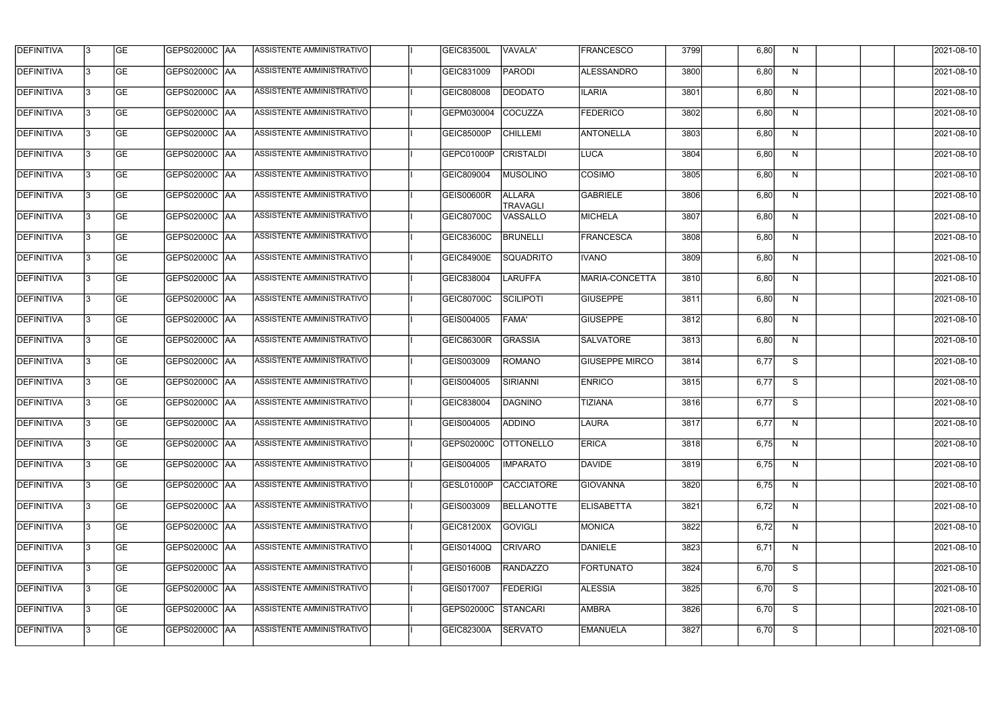| <b>DEFINITIVA</b> | l3 | GE                       | <b>GEPS02000C AA</b> | ASSISTENTE AMMINISTRATIVO        | <b>GEIC83500L</b> | VAVALA'                          | <b>FRANCESCO</b>      | 3799 | 6,80 | N | 2021-08-10          |
|-------------------|----|--------------------------|----------------------|----------------------------------|-------------------|----------------------------------|-----------------------|------|------|---|---------------------|
| <b>DEFINITIVA</b> | IЗ | $\overline{\mathsf{GE}}$ | GEPS02000C AA        | ASSISTENTE AMMINISTRATIVO        | GEIC831009        | <b>PARODI</b>                    | ALESSANDRO            | 3800 | 6,80 | N | 2021-08-10          |
| <b>DEFINITIVA</b> | l3 | GE                       | GEPS02000C AA        | ASSISTENTE AMMINISTRATIVO        | GEIC808008        | <b>DEODATO</b>                   | <b>ILARIA</b>         | 3801 | 6,80 | N | 2021-08-10          |
| <b>DEFINITIVA</b> | l3 | GE                       | GEPS02000C   AA      | ASSISTENTE AMMINISTRATIVO        | GEPM030004        | COCUZZA                          | <b>FEDERICO</b>       | 3802 | 6,80 | N | 2021-08-10          |
| <b>DEFINITIVA</b> | l3 | GE                       | GEPS02000C AA        | ASSISTENTE AMMINISTRATIVO        | GEIC85000P        | <b>CHILLEMI</b>                  | ANTONELLA             | 3803 | 6,80 | N | 2021-08-10          |
| <b>DEFINITIVA</b> | IЗ | <b>GE</b>                | GEPS02000C AA        | <b>ASSISTENTE AMMINISTRATIVO</b> | GEPC01000P        | <b>CRISTALDI</b>                 | <b>LUCA</b>           | 3804 | 6,80 | N | 2021-08-10          |
| <b>DEFINITIVA</b> | l3 | <b>GE</b>                | GEPS02000C AA        | ASSISTENTE AMMINISTRATIVO        | GEIC809004        | <b>MUSOLINO</b>                  | <b>COSIMO</b>         | 3805 | 6,80 | N | 2021-08-10          |
| <b>DEFINITIVA</b> | l3 | <b>GE</b>                | GEPS02000C   AA      | ASSISTENTE AMMINISTRATIVO        | <b>GEIS00600R</b> | <b>ALLARA</b><br><b>TRAVAGLI</b> | GABRIELE              | 3806 | 6,80 | N | 2021-08-10          |
| <b>DEFINITIVA</b> | l3 | <b>GE</b>                | GEPS02000C   AA      | ASSISTENTE AMMINISTRATIVO        | GEIC80700C        | VASSALLO                         | <b>MICHELA</b>        | 3807 | 6,80 | N | 2021-08-10          |
| <b>DEFINITIVA</b> | l3 | GE                       | GEPS02000C AA        | ASSISTENTE AMMINISTRATIVO        | <b>GEIC83600C</b> | <b>BRUNELLI</b>                  | FRANCESCA             | 3808 | 6,80 | N | 2021-08-10          |
| <b>DEFINITIVA</b> | l3 | GE                       | GEPS02000C AA        | ASSISTENTE AMMINISTRATIVO        | <b>GEIC84900E</b> | <b>SQUADRITO</b>                 | <b>IVANO</b>          | 3809 | 6,80 | N | 2021-08-10          |
| <b>DEFINITIVA</b> | l3 | GE                       | GEPS02000C   AA      | ASSISTENTE AMMINISTRATIVO        | GEIC838004        | <b>LARUFFA</b>                   | MARIA-CONCETTA        | 3810 | 6,80 | N | 2021-08-10          |
| <b>DEFINITIVA</b> | l3 | <b>GE</b>                | GEPS02000C   AA      | ASSISTENTE AMMINISTRATIVO        | GEIC80700C        | SCILIPOTI                        | <b>GIUSEPPE</b>       | 3811 | 6,80 | N | 2021-08-10          |
| <b>DEFINITIVA</b> | IЗ | <b>GE</b>                | GEPS02000C AA        | ASSISTENTE AMMINISTRATIVO        | GEIS004005        | FAMA'                            | <b>GIUSEPPE</b>       | 3812 | 6,80 | N | 2021-08-10          |
| <b>DEFINITIVA</b> | 13 | GE                       | GEPS02000C AA        | ASSISTENTE AMMINISTRATIVO        | <b>GEIC86300R</b> | GRASSIA                          | SALVATORE             | 3813 | 6,80 | N | 2021-08-10          |
| <b>DEFINITIVA</b> | l3 | <b>GE</b>                | GEPS02000C  AA       | ASSISTENTE AMMINISTRATIVO        | GEIS003009        | ROMANO                           | <b>GIUSEPPE MIRCO</b> | 3814 | 6,77 | S | 2021-08-10          |
| <b>DEFINITIVA</b> | IЗ | GE                       | GEPS02000C  AA       | ASSISTENTE AMMINISTRATIVO        | GEIS004005        | SIRIANNI                         | <b>ENRICO</b>         | 3815 | 6,77 | S | 2021-08-10          |
| <b>DEFINITIVA</b> | IЗ | GE                       | GEPS02000C   AA      | ASSISTENTE AMMINISTRATIVO        | GEIC838004        | DAGNINO                          | <b>TIZIANA</b>        | 3816 | 6,77 | S | 2021-08-10          |
| DEFINITIVA        | 13 | <b>GE</b>                | GEPS02000C  AA       | ASSISTENTE AMMINISTRATIVO        | GEIS004005        | <b>ADDINO</b>                    | <b>LAURA</b>          | 3817 | 6,77 | N | 2021-08-10          |
| <b>DEFINITIVA</b> | l3 | GE                       | <b>GEPS02000C AA</b> | ASSISTENTE AMMINISTRATIVO        | GEPS02000C        | <b>OTTONELLO</b>                 | <b>ERICA</b>          | 3818 | 6,75 | N | 2021-08-10          |
| <b>DEFINITIVA</b> | l3 | GE                       | GEPS02000C  AA       | ASSISTENTE AMMINISTRATIVO        | GEIS004005        | <b>IMPARATO</b>                  | DAVIDE                | 3819 | 6,75 | N | 2021-08-10          |
| <b>DEFINITIVA</b> | l3 | GE                       | GEPS02000C AA        | ASSISTENTE AMMINISTRATIVO        | GESL01000P        | <b>CACCIATORE</b>                | <b>GIOVANNA</b>       | 3820 | 6,75 | N | 2021-08-10          |
| <b>DEFINITIVA</b> | 13 | <b>GE</b>                | GEPS02000C AA        | ASSISTENTE AMMINISTRATIVO        | GEIS003009        | BELLANOTTE                       | <b>ELISABETTA</b>     | 3821 | 6,72 | N | 2021-08-10          |
| <b>DEFINITIVA</b> | l3 | <b>GE</b>                | GEPS02000C  AA       | ASSISTENTE AMMINISTRATIVO        | GEIC81200X        | <b>GOVIGLI</b>                   | MONICA                | 3822 | 6,72 | N | 2021-08-10          |
| <b>DEFINITIVA</b> | l3 | <b>GE</b>                | GEPS02000C  AA       | ASSISTENTE AMMINISTRATIVO        | <b>GEIS01400Q</b> | <b>CRIVARO</b>                   | DANIELE               | 3823 | 6,71 | N | 2021-08-10          |
| <b>DEFINITIVA</b> | l3 | <b>GE</b>                | GEPS02000C   AA      | ASSISTENTE AMMINISTRATIVO        | <b>GEIS01600B</b> | <b>RANDAZZO</b>                  | <b>FORTUNATO</b>      | 3824 | 6,70 | S | 2021-08-10          |
| <b>DEFINITIVA</b> | l3 | <b>GE</b>                | GEPS02000C AA        | ASSISTENTE AMMINISTRATIVO        | GEIS017007        | <b>FEDERIGI</b>                  | <b>ALESSIA</b>        | 3825 | 6,70 | S | 2021-08-10          |
| <b>DEFINITIVA</b> | 13 | GE                       | GEPS02000C AA        | ASSISTENTE AMMINISTRATIVO        | GEPS02000C        | STANCARI                         | <b>AMBRA</b>          | 3826 | 6,70 | S | 2021-08-10          |
| DEFINITIVA        | l3 | GE                       |                      | ASSISTENTE AMMINISTRATIVO        | GEIC82300A        | <b>SERVATO</b>                   | EMANUELA              | 3827 | 6,70 | S | $\sqrt{2021-08-10}$ |
|                   |    |                          |                      |                                  |                   |                                  |                       |      |      |   |                     |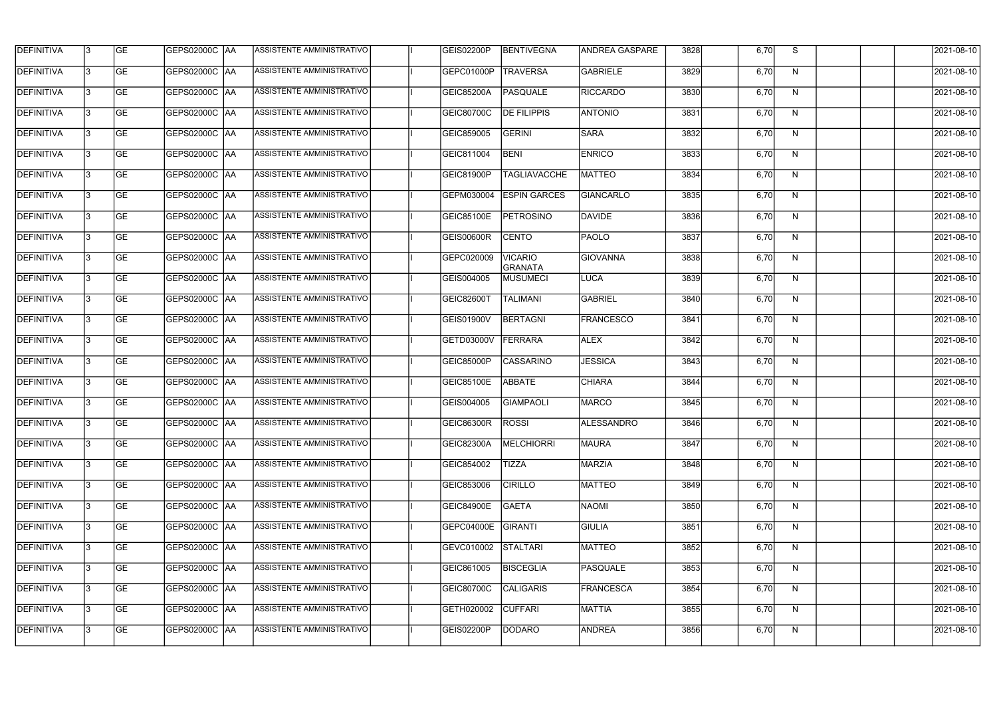| <b>DEFINITIVA</b> | 13  | <b>GE</b> | <b>GEPS02000C AA</b> | ASSISTENTE AMMINISTRATIVO        | GEIS02200P        | <b>BENTIVEGNA</b>                | <b>ANDREA GASPARE</b> | 3828 | 6,70 | S            | 2021-08-10 |
|-------------------|-----|-----------|----------------------|----------------------------------|-------------------|----------------------------------|-----------------------|------|------|--------------|------------|
| <b>DEFINITIVA</b> | l3  | <b>GE</b> | GEPS02000C AA        | ASSISTENTE AMMINISTRATIVO        | GEPC01000P        | <b>TRAVERSA</b>                  | <b>GABRIELE</b>       | 3829 | 6,70 | N            | 2021-08-10 |
| <b>DEFINITIVA</b> | l3  | <b>GE</b> | GEPS02000C AA        | ASSISTENTE AMMINISTRATIVO        | GEIC85200A        | <b>PASQUALE</b>                  | <b>RICCARDO</b>       | 3830 | 6,70 | N            | 2021-08-10 |
| <b>DEFINITIVA</b> | l3  | <b>GE</b> | <b>GEPS02000C AA</b> | ASSISTENTE AMMINISTRATIVO        | <b>GEIC80700C</b> | <b>DE FILIPPIS</b>               | <b>ANTONIO</b>        | 3831 | 6,70 | $\mathsf{N}$ | 2021-08-10 |
| <b>DEFINITIVA</b> | l3  | <b>GE</b> | <b>GEPS02000C AA</b> | ASSISTENTE AMMINISTRATIVO        | GEIC859005        | <b>GERINI</b>                    | <b>SARA</b>           | 3832 | 6,70 | N            | 2021-08-10 |
| <b>DEFINITIVA</b> | l3  | <b>GE</b> | <b>GEPS02000C AA</b> | <b>ASSISTENTE AMMINISTRATIVO</b> | GEIC811004        | <b>BENI</b>                      | <b>ENRICO</b>         | 3833 | 6,70 | N            | 2021-08-10 |
| <b>DEFINITIVA</b> | l3  | <b>GE</b> | GEPS02000C AA        | ASSISTENTE AMMINISTRATIVO        | GEIC81900P        | <b>TAGLIAVACCHE</b>              | <b>MATTEO</b>         | 3834 | 6,70 | N            | 2021-08-10 |
| <b>DEFINITIVA</b> | l3  | <b>GE</b> | <b>GEPS02000C AA</b> | ASSISTENTE AMMINISTRATIVO        | GEPM030004        | <b>ESPIN GARCES</b>              | <b>GIANCARLO</b>      | 3835 | 6,70 | N            | 2021-08-10 |
| <b>DEFINITIVA</b> |     | <b>GE</b> |                      | ASSISTENTE AMMINISTRATIVO        | <b>GEIC85100E</b> | <b>PETROSINO</b>                 | DAVIDE                | 3836 | 6,70 | N            | 2021-08-10 |
| <b>DEFINITIVA</b> | l3  | <b>GE</b> |                      | ASSISTENTE AMMINISTRATIVO        | GEIS00600R        | <b>CENTO</b>                     | PAOLO                 | 3837 | 6,70 | N            | 2021-08-10 |
| <b>DEFINITIVA</b> | 13  | <b>GE</b> | GEPS02000C AA        | ASSISTENTE AMMINISTRATIVO        | GEPC020009        | <b>VICARIO</b><br><b>GRANATA</b> | <b>GIOVANNA</b>       | 3838 | 6,70 | N            | 2021-08-10 |
| <b>DEFINITIVA</b> | l3  | <b>GE</b> |                      | ASSISTENTE AMMINISTRATIVO        | GEIS004005        | <b>MUSUMECI</b>                  | LUCA                  | 3839 | 6,70 | $\mathsf{N}$ | 2021-08-10 |
| <b>DEFINITIVA</b> | l3  | <b>GE</b> | GEPS02000C AA        | ASSISTENTE AMMINISTRATIVO        | GEIC82600T        | <b>TALIMANI</b>                  | <b>GABRIEL</b>        | 3840 | 6,70 | N            | 2021-08-10 |
| <b>DEFINITIVA</b> | l3  | <b>GE</b> | GEPS02000C  AA       | ASSISTENTE AMMINISTRATIVO        | GEIS01900V        | <b>BERTAGNI</b>                  | <b>FRANCESCO</b>      | 3841 | 6,70 | N            | 2021-08-10 |
| <b>DEFINITIVA</b> | l3  | <b>GE</b> | GEPS02000C  AA       | ASSISTENTE AMMINISTRATIVO        | GETD03000V        | FERRARA                          | <b>ALEX</b>           | 3842 | 6,70 | N            | 2021-08-10 |
| <b>DEFINITIVA</b> | IЗ  | <b>GE</b> |                      | ASSISTENTE AMMINISTRATIVO        | GEIC85000P        | <b>CASSARINO</b>                 | <b>JESSICA</b>        | 3843 | 6,70 | N            | 2021-08-10 |
| <b>DEFINITIVA</b> | I3  | <b>GE</b> | GEPS02000C  AA       | ASSISTENTE AMMINISTRATIVO        | <b>GEIC85100E</b> | <b>ABBATE</b>                    | <b>CHIARA</b>         | 3844 | 6,70 | N            | 2021-08-10 |
| DEFINITIVA        |     | <b>GE</b> |                      | ASSISTENTE AMMINISTRATIVO        | GEIS004005        | <b>GIAMPAOLI</b>                 | <b>MARCO</b>          | 3845 | 6,70 | N            | 2021-08-10 |
| <b>DEFINITIVA</b> | 13  | <b>GE</b> | GEPS02000C  AA       | ASSISTENTE AMMINISTRATIVO        | GEIC86300R ROSSI  |                                  | ALESSANDRO            | 3846 | 6,70 | N            | 2021-08-10 |
| <b>DEFINITIVA</b> | 13  | <b>GE</b> | <b>GEPS02000C AA</b> | ASSISTENTE AMMINISTRATIVO        | GEIC82300A        | MELCHIORRI                       | <b>MAURA</b>          | 3847 | 6,70 | N            | 2021-08-10 |
| <b>DEFINITIVA</b> | 13  | <b>GE</b> | GEPS02000C  AA       | ASSISTENTE AMMINISTRATIVO        | GEIC854002        | <b>TIZZA</b>                     | <b>MARZIA</b>         | 3848 | 6,70 | N            | 2021-08-10 |
| <b>DEFINITIVA</b> | 13. | <b>GE</b> | <b>GEPS02000C AA</b> | ASSISTENTE AMMINISTRATIVO        | GEIC853006        | <b>CIRILLO</b>                   | <b>MATTEO</b>         | 3849 | 6,70 | N            | 2021-08-10 |
| <b>DEFINITIVA</b> | 13  | <b>GE</b> | GEPS02000C AA        | ASSISTENTE AMMINISTRATIVO        | <b>GEIC84900E</b> | <b>GAETA</b>                     | <b>NAOMI</b>          | 3850 | 6,70 | N            | 2021-08-10 |
| <b>DEFINITIVA</b> | 13  | <b>GE</b> | GEPS02000C  AA       | ASSISTENTE AMMINISTRATIVO        | GEPC04000E        | GIRANTI                          | <b>GIULIA</b>         | 3851 | 6,70 | N            | 2021-08-10 |
| <b>DEFINITIVA</b> | IЗ  | <b>GE</b> | GEPS02000C  AA       | ASSISTENTE AMMINISTRATIVO        | GEVC010002        | <b>STALTARI</b>                  | <b>MATTEO</b>         | 3852 | 6,70 | N            | 2021-08-10 |
| DEFINITIVA        | IЗ  | <b>GE</b> | GEPS02000C  AA       | ASSISTENTE AMMINISTRATIVO        | GEIC861005        | <b>BISCEGLIA</b>                 | PASQUALE              | 3853 | 6,70 | N            | 2021-08-10 |
| <b>DEFINITIVA</b> | l3  | <b>GE</b> | GEPS02000C  AA       | ASSISTENTE AMMINISTRATIVO        | GEIC80700C        | <b>CALIGARIS</b>                 | <b>FRANCESCA</b>      | 3854 | 6,70 | N            | 2021-08-10 |
| <b>DEFINITIVA</b> | 13. | <b>GE</b> | GEPS02000C  AA       | ASSISTENTE AMMINISTRATIVO        | GETH020002        | <b>CUFFARI</b>                   | <b>MATTIA</b>         | 3855 | 6,70 | N            | 2021-08-10 |
| <b>DEFINITIVA</b> | IЗ  | <b>GE</b> | GEPS02000C  AA       | ASSISTENTE AMMINISTRATIVO        | GEIS02200P        | <b>DODARO</b>                    | <b>ANDREA</b>         | 3856 | 6,70 | N            | 2021-08-10 |
|                   |     |           |                      |                                  |                   |                                  |                       |      |      |              |            |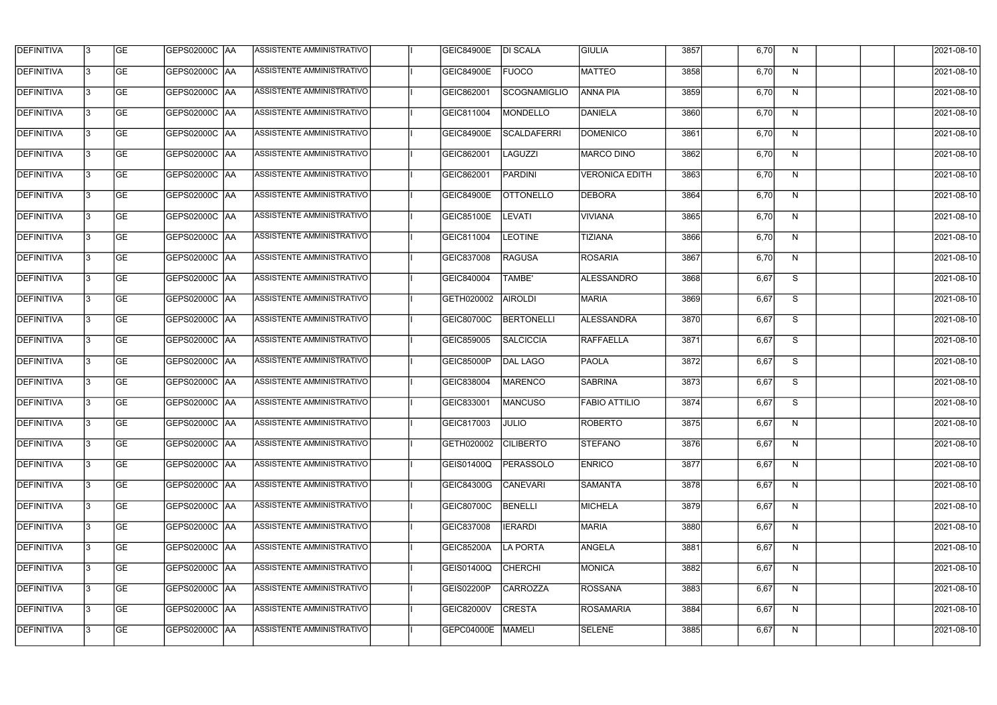| <b>DEFINITIVA</b> | 13  | <b>GE</b> |                      | ASSISTENTE AMMINISTRATIVO        | <b>GEIC84900E</b> | <b>DI SCALA</b>     | <b>GIULIA</b>         | 3857 | 6,70 | N.           | 2021-08-10 |
|-------------------|-----|-----------|----------------------|----------------------------------|-------------------|---------------------|-----------------------|------|------|--------------|------------|
| DEFINITIVA        | l3  | <b>GE</b> | GEPS02000C  AA       | ASSISTENTE AMMINISTRATIVO        | <b>GEIC84900E</b> | <b>FUOCO</b>        | <b>MATTEO</b>         | 3858 | 6,70 | N            | 2021-08-10 |
| <b>DEFINITIVA</b> | l3  | <b>GE</b> | <b>GEPS02000C AA</b> | ASSISTENTE AMMINISTRATIVO        | GEIC862001        | <b>SCOGNAMIGLIO</b> | <b>ANNA PIA</b>       | 3859 | 6,70 | N            | 2021-08-10 |
| <b>DEFINITIVA</b> | 13  | <b>GE</b> | <b>GEPS02000C AA</b> | ASSISTENTE AMMINISTRATIVO        | GEIC811004        | MONDELLO            | DANIELA               | 3860 | 6,70 | $\mathsf{N}$ | 2021-08-10 |
| <b>DEFINITIVA</b> | l3  | <b>GE</b> | GEPS02000C AA        | ASSISTENTE AMMINISTRATIVO        | <b>GEIC84900E</b> | SCALDAFERRI         | <b>DOMENICO</b>       | 3861 | 6,70 | N            | 2021-08-10 |
| <b>DEFINITIVA</b> | IЗ  | <b>GE</b> | GEPS02000C AA        | <b>ASSISTENTE AMMINISTRATIVO</b> | GEIC862001        | <b>LAGUZZI</b>      | <b>MARCO DINO</b>     | 3862 | 6,70 | N            | 2021-08-10 |
| <b>DEFINITIVA</b> | l3  | <b>GE</b> | <b>GEPS02000C AA</b> | <b>ASSISTENTE AMMINISTRATIVO</b> | GEIC862001        | <b>PARDINI</b>      | <b>VERONICA EDITH</b> | 3863 | 6,70 | N            | 2021-08-10 |
| <b>DEFINITIVA</b> | l3  | <b>GE</b> | GEPS02000C AA        | ASSISTENTE AMMINISTRATIVO        | <b>GEIC84900E</b> | <b>OTTONELLO</b>    | <b>DEBORA</b>         | 3864 | 6,70 | N            | 2021-08-10 |
| <b>DEFINITIVA</b> | l3  | <b>GE</b> | GEPS02000C  AA       | ASSISTENTE AMMINISTRATIVO        | GEIC85100E        | <b>LEVATI</b>       | <b>VIVIANA</b>        | 3865 | 6,70 | N            | 2021-08-10 |
| <b>DEFINITIVA</b> | l3  | <b>GE</b> | GEPS02000C AA        | ASSISTENTE AMMINISTRATIVO        | GEIC811004        | <b>LEOTINE</b>      | <b>TIZIANA</b>        | 3866 | 6,70 | N            | 2021-08-10 |
| <b>DEFINITIVA</b> | l3  | <b>GE</b> | GEPS02000C AA        | ASSISTENTE AMMINISTRATIVO        | GEIC837008        | <b>RAGUSA</b>       | <b>ROSARIA</b>        | 3867 | 6,70 | N            | 2021-08-10 |
| <b>DEFINITIVA</b> | 13  | <b>GE</b> |                      | ASSISTENTE AMMINISTRATIVO        | GEIC840004        | <b>TAMBE'</b>       | ALESSANDRO            | 3868 | 6,67 | S            | 2021-08-10 |
| <b>DEFINITIVA</b> | l3  | <b>GE</b> | GEPS02000C  AA       | ASSISTENTE AMMINISTRATIVO        | GETH020002        | <b>AIROLDI</b>      | <b>MARIA</b>          | 3869 | 6,67 | S            | 2021-08-10 |
| <b>DEFINITIVA</b> | l3  | <b>GE</b> | GEPS02000C AA        | ASSISTENTE AMMINISTRATIVO        | GEIC80700C        | <b>BERTONELLI</b>   | ALESSANDRA            | 3870 | 6,67 | S            | 2021-08-10 |
| <b>DEFINITIVA</b> | l3  | <b>GE</b> | GEPS02000C  AA       | ASSISTENTE AMMINISTRATIVO        | GEIC859005        | <b>SALCICCIA</b>    | <b>RAFFAELLA</b>      | 3871 | 6,67 | S            | 2021-08-10 |
| <b>DEFINITIVA</b> | IЗ  | <b>GE</b> | GEPS02000C  AA       | ASSISTENTE AMMINISTRATIVO        | GEIC85000P        | DAL LAGO            | <b>PAOLA</b>          | 3872 | 6,67 | S            | 2021-08-10 |
| <b>DEFINITIVA</b> | l3  | <b>GE</b> | GEPS02000C  AA       | ASSISTENTE AMMINISTRATIVO        | GEIC838004        | MARENCO             | SABRINA               | 3873 | 6,67 | S            | 2021-08-10 |
| <b>DEFINITIVA</b> |     | <b>GE</b> | GEPS02000C AA        | ASSISTENTE AMMINISTRATIVO        | GEIC833001        | <b>MANCUSO</b>      | <b>FABIO ATTILIO</b>  | 3874 | 6,67 | S            | 2021-08-10 |
| <b>DEFINITIVA</b> | IЗ  | GE        | GEPS02000C  AA       | <b>ASSISTENTE AMMINISTRATIVO</b> | GEIC817003        | <b>JULIO</b>        | ROBERTO               | 3875 | 6,67 | N,           | 2021-08-10 |
| <b>DEFINITIVA</b> | 13. | <b>GE</b> | GEPS02000C AA        | ASSISTENTE AMMINISTRATIVO        | GETH020002        | <b>CILIBERTO</b>    | <b>STEFANO</b>        | 3876 | 6,67 | N            | 2021-08-10 |
| <b>DEFINITIVA</b> | 13  | <b>GE</b> | <b>GEPS02000C AA</b> | ASSISTENTE AMMINISTRATIVO        | GEIS01400Q        | PERASSOLO           | <b>ENRICO</b>         | 3877 | 6,67 | N            | 2021-08-10 |
| <b>DEFINITIVA</b> | 13. | <b>GE</b> | GEPS02000C AA        | ASSISTENTE AMMINISTRATIVO        | GEIC84300G        | <b>CANEVARI</b>     | <b>SAMANTA</b>        | 3878 | 6,67 | N            | 2021-08-10 |
| <b>DEFINITIVA</b> | 13  | <b>GE</b> | GEPS02000C AA        | ASSISTENTE AMMINISTRATIVO        | GEIC80700C        | <b>BENELLI</b>      | <b>MICHELA</b>        | 3879 | 6,67 | N            | 2021-08-10 |
| <b>DEFINITIVA</b> | 13  | <b>GE</b> | GEPS02000C AA        | ASSISTENTE AMMINISTRATIVO        | GEIC837008        | <b>IERARDI</b>      | <b>MARIA</b>          | 3880 | 6,67 | N            | 2021-08-10 |
| <b>DEFINITIVA</b> | 13. | <b>GE</b> | GEPS02000C  AA       | ASSISTENTE AMMINISTRATIVO        | <b>GEIC85200A</b> | LA PORTA            | ANGELA                | 3881 | 6,67 | N            | 2021-08-10 |
| DEFINITIVA        | l3  | <b>GE</b> | GEPS02000C  AA       | ASSISTENTE AMMINISTRATIVO        | GEIS01400Q        | <b>CHERCHI</b>      | MONICA                | 3882 | 6,67 | N            | 2021-08-10 |
| DEFINITIVA        | l3  | <b>GE</b> | GEPS02000C  AA       | ASSISTENTE AMMINISTRATIVO        | GEIS02200P        | <b>CARROZZA</b>     | <b>ROSSANA</b>        | 3883 | 6,67 | N            | 2021-08-10 |
| <b>DEFINITIVA</b> | l3  | <b>GE</b> | GEPS02000C AA        | ASSISTENTE AMMINISTRATIVO        | GEIC82000V        | <b>CRESTA</b>       | <b>ROSAMARIA</b>      | 3884 | 6,67 | N            | 2021-08-10 |
| <b>DEFINITIVA</b> | lЗ  | <b>GE</b> | GEPS02000C  AA       | ASSISTENTE AMMINISTRATIVO        | GEPC04000E        | <b>MAMELI</b>       | <b>SELENE</b>         | 3885 | 6,67 | N            | 2021-08-10 |
|                   |     |           |                      |                                  |                   |                     |                       |      |      |              |            |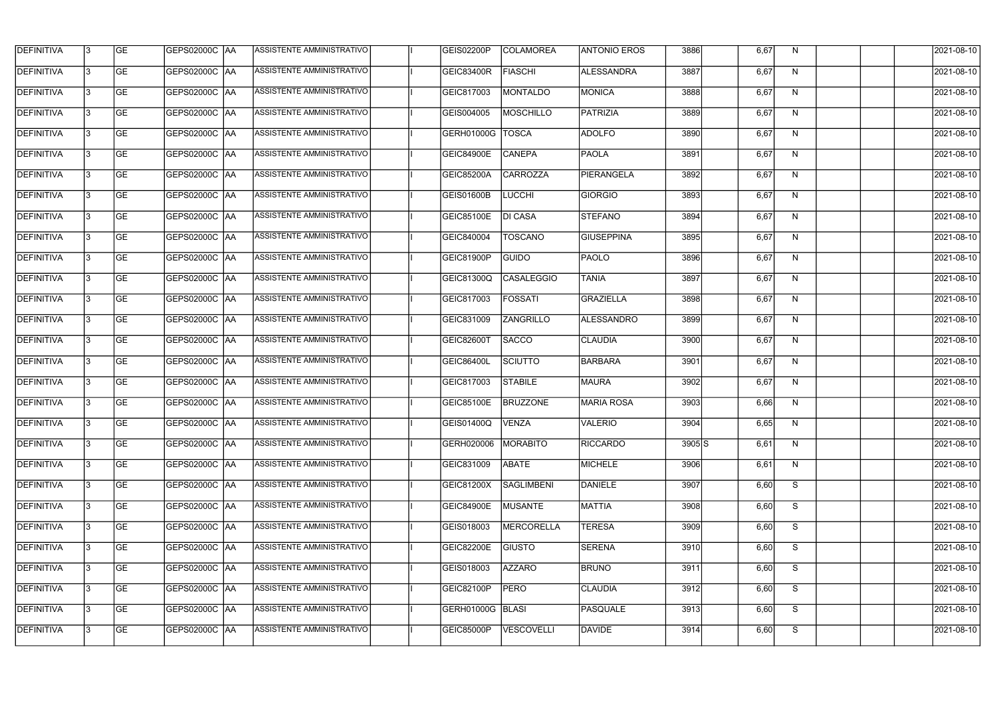| <b>DEFINITIVA</b> | 13  | <b>GE</b> | <b>GEPS02000C AA</b> | ASSISTENTE AMMINISTRATIVO | GEIS02200P        | <b>COLAMOREA</b>  | <b>ANTONIO EROS</b> | 3886     | 6,67 | N            | 2021-08-10 |
|-------------------|-----|-----------|----------------------|---------------------------|-------------------|-------------------|---------------------|----------|------|--------------|------------|
| DEFINITIVA        | l3  | <b>GE</b> | GEPS02000C  AA       | ASSISTENTE AMMINISTRATIVO | GEIC83400R        | <b>FIASCHI</b>    | <b>ALESSANDRA</b>   | 3887     | 6,67 | N            | 2021-08-10 |
| <b>DEFINITIVA</b> | l3  | <b>GE</b> | GEPS02000C AA        | ASSISTENTE AMMINISTRATIVO | GEIC817003        | <b>MONTALDO</b>   | <b>MONICA</b>       | 3888     | 6,67 | N            | 2021-08-10 |
| <b>DEFINITIVA</b> | l3  | <b>GE</b> | <b>GEPS02000C AA</b> | ASSISTENTE AMMINISTRATIVO | GEIS004005        | <b>MOSCHILLO</b>  | PATRIZIA            | 3889     | 6,67 | $\mathsf{N}$ | 2021-08-10 |
| <b>DEFINITIVA</b> | l3  | <b>GE</b> | <b>GEPS02000C AA</b> | ASSISTENTE AMMINISTRATIVO | GERH01000G        | <b>TOSCA</b>      | <b>ADOLFO</b>       | 3890     | 6,67 | N            | 2021-08-10 |
| <b>DEFINITIVA</b> | l3  | <b>GE</b> | <b>GEPS02000C AA</b> | ASSISTENTE AMMINISTRATIVO | <b>GEIC84900E</b> | <b>CANEPA</b>     | <b>PAOLA</b>        | 3891     | 6,67 | N            | 2021-08-10 |
| <b>DEFINITIVA</b> | l3  | <b>GE</b> | GEPS02000C AA        | ASSISTENTE AMMINISTRATIVO | <b>GEIC85200A</b> | <b>CARROZZA</b>   | PIERANGELA          | 3892     | 6,67 | N            | 2021-08-10 |
| <b>DEFINITIVA</b> | l3  | <b>GE</b> | <b>GEPS02000C AA</b> | ASSISTENTE AMMINISTRATIVO | GEIS01600B        | <b>LUCCHI</b>     | <b>GIORGIO</b>      | 3893     | 6,67 | N            | 2021-08-10 |
| <b>DEFINITIVA</b> |     | <b>GE</b> |                      | ASSISTENTE AMMINISTRATIVO | GEIC85100E        | <b>DI CASA</b>    | <b>STEFANO</b>      | 3894     | 6,67 | N            | 2021-08-10 |
| <b>DEFINITIVA</b> | l3  | <b>GE</b> |                      | ASSISTENTE AMMINISTRATIVO | GEIC840004        | <b>TOSCANO</b>    | <b>GIUSEPPINA</b>   | 3895     | 6,67 | N            | 2021-08-10 |
| <b>DEFINITIVA</b> | 13  | <b>GE</b> | GEPS02000C AA        | ASSISTENTE AMMINISTRATIVO | GEIC81900P        | <b>GUIDO</b>      | PAOLO               | 3896     | 6,67 | N            | 2021-08-10 |
| <b>DEFINITIVA</b> | l3  | <b>GE</b> |                      | ASSISTENTE AMMINISTRATIVO | GEIC81300Q        | <b>CASALEGGIO</b> | <b>TANIA</b>        | 3897     | 6,67 | $\mathsf{N}$ | 2021-08-10 |
| <b>DEFINITIVA</b> | l3  | <b>GE</b> | GEPS02000C AA        | ASSISTENTE AMMINISTRATIVO | GEIC817003        | <b>FOSSATI</b>    | <b>GRAZIELLA</b>    | 3898     | 6,67 | N            | 2021-08-10 |
| <b>DEFINITIVA</b> | l3  | <b>GE</b> | GEPS02000C  AA       | ASSISTENTE AMMINISTRATIVO | GEIC831009        | <b>ZANGRILLO</b>  | ALESSANDRO          | 3899     | 6,67 | N            | 2021-08-10 |
| <b>DEFINITIVA</b> | l3  | <b>GE</b> | GEPS02000C  AA       | ASSISTENTE AMMINISTRATIVO | GEIC82600T        | <b>SACCO</b>      | <b>CLAUDIA</b>      | 3900     | 6,67 | N            | 2021-08-10 |
| <b>DEFINITIVA</b> | IЗ  | <b>GE</b> |                      | ASSISTENTE AMMINISTRATIVO | <b>GEIC86400L</b> | <b>SCIUTTO</b>    | <b>BARBARA</b>      | 3901     | 6,67 | N            | 2021-08-10 |
| <b>DEFINITIVA</b> | I3  | <b>GE</b> | GEPS02000C  AA       | ASSISTENTE AMMINISTRATIVO | GEIC817003        | <b>STABILE</b>    | <b>MAURA</b>        | 3902     | 6,67 | N            | 2021-08-10 |
| DEFINITIVA        |     | <b>GE</b> | GEPS02000C  AA       | ASSISTENTE AMMINISTRATIVO | <b>GEIC85100E</b> | <b>BRUZZONE</b>   | MARIA ROSA          | 3903     | 6,66 | N            | 2021-08-10 |
| <b>DEFINITIVA</b> | 13  | <b>GE</b> | GEPS02000C  AA       | ASSISTENTE AMMINISTRATIVO | GEIS01400Q        | <b>VENZA</b>      | VALERIO             | 3904     | 6,65 | N            | 2021-08-10 |
| <b>DEFINITIVA</b> | 13  | <b>GE</b> | <b>GEPS02000C AA</b> | ASSISTENTE AMMINISTRATIVO | GERH020006        | <b>MORABITO</b>   | <b>RICCARDO</b>     | $3905$ S | 6,61 | N            | 2021-08-10 |
| <b>DEFINITIVA</b> | 13  | <b>GE</b> | GEPS02000C  AA       | ASSISTENTE AMMINISTRATIVO | GEIC831009        | ABATE             | MICHELE             | 3906     | 6,61 | N            | 2021-08-10 |
| <b>DEFINITIVA</b> | 13. | <b>GE</b> | <b>GEPS02000C AA</b> | ASSISTENTE AMMINISTRATIVO | GEIC81200X        | <b>SAGLIMBENI</b> | DANIELE             | 3907     | 6,60 | S            | 2021-08-10 |
| <b>DEFINITIVA</b> | 13  | <b>GE</b> | GEPS02000C AA        | ASSISTENTE AMMINISTRATIVO | <b>GEIC84900E</b> | <b>MUSANTE</b>    | MATTIA              | 3908     | 6,60 | S            | 2021-08-10 |
| <b>DEFINITIVA</b> | 13  | <b>GE</b> | GEPS02000C  AA       | ASSISTENTE AMMINISTRATIVO | GEIS018003        | MERCORELLA        | <b>TERESA</b>       | 3909     | 6,60 | S            | 2021-08-10 |
| <b>DEFINITIVA</b> | IЗ  | <b>GE</b> | GEPS02000C  AA       | ASSISTENTE AMMINISTRATIVO | <b>GEIC82200E</b> | <b>GIUSTO</b>     | <b>SERENA</b>       | 3910     | 6,60 | S            | 2021-08-10 |
| DEFINITIVA        | I3  | <b>GE</b> | GEPS02000C  AA       | ASSISTENTE AMMINISTRATIVO | GEIS018003        | <b>AZZARO</b>     | <b>BRUNO</b>        | 3911     | 6,60 | S            | 2021-08-10 |
| <b>DEFINITIVA</b> | l3  | <b>GE</b> | GEPS02000C  AA       | ASSISTENTE AMMINISTRATIVO | GEIC82100P        | <b>PERO</b>       | <b>CLAUDIA</b>      | 3912     | 6,60 | S            | 2021-08-10 |
| <b>DEFINITIVA</b> | 13. | <b>GE</b> | GEPS02000C  AA       | ASSISTENTE AMMINISTRATIVO | GERH01000G BLASI  |                   | <b>PASQUALE</b>     | 3913     | 6,60 | S            | 2021-08-10 |
| <b>DEFINITIVA</b> | IЗ  | <b>GE</b> | GEPS02000C  AA       | ASSISTENTE AMMINISTRATIVO | <b>GEIC85000P</b> | <b>VESCOVELLI</b> | DAVIDE              | 3914     | 6,60 | S            | 2021-08-10 |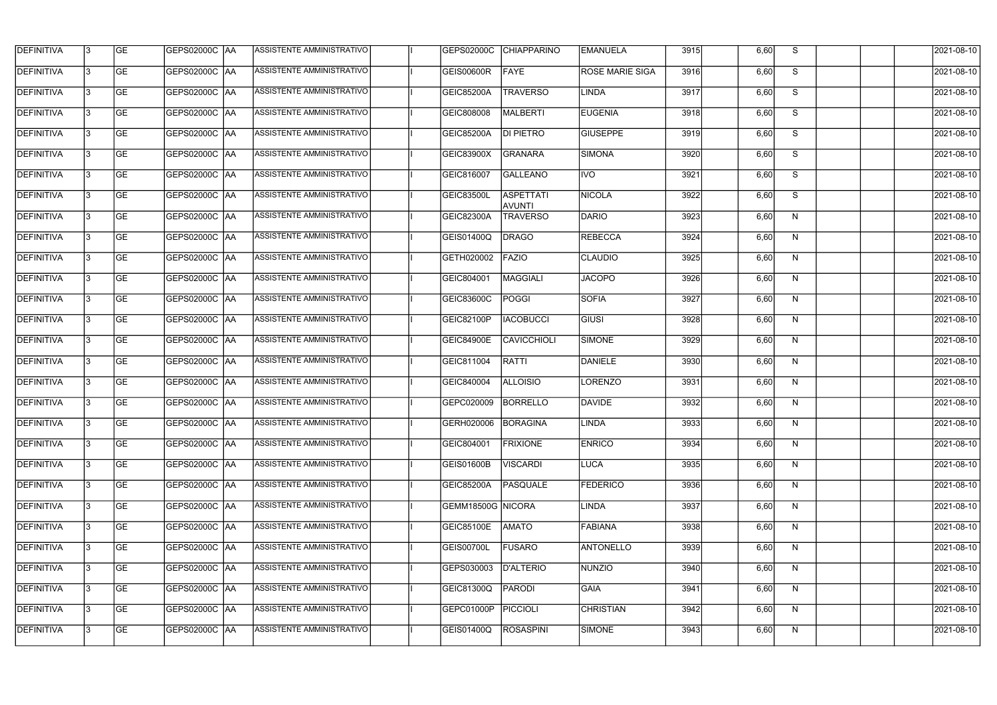| <b>DEFINITIVA</b> | 13 | GE        | GEPS02000C AA        | ASSISTENTE AMMINISTRATIVO        |                     | GEPS02000C CHIAPPARINO            | <b>EMANUELA</b>        | 3915 | 6,60 | S. | 2021-08-10 |
|-------------------|----|-----------|----------------------|----------------------------------|---------------------|-----------------------------------|------------------------|------|------|----|------------|
| <b>DEFINITIVA</b> | IЗ | GE        | GEPS02000C  AA       | ASSISTENTE AMMINISTRATIVO        | GEIS00600R          | FAYE                              | <b>ROSE MARIE SIGA</b> | 3916 | 6,60 | S  | 2021-08-10 |
| <b>DEFINITIVA</b> | 13 | <b>GE</b> | GEPS02000C  AA       | ASSISTENTE AMMINISTRATIVO        | <b>GEIC85200A</b>   | <b>TRAVERSO</b>                   | LINDA                  | 3917 | 6,60 | S  | 2021-08-10 |
| <b>DEFINITIVA</b> | l3 | <b>GE</b> | <b>GEPS02000C AA</b> | ASSISTENTE AMMINISTRATIVO        | GEIC808008          | MALBERTI                          | <b>EUGENIA</b>         | 3918 | 6,60 | S  | 2021-08-10 |
| <b>DEFINITIVA</b> | l3 | GE        | GEPS02000C  AA       | ASSISTENTE AMMINISTRATIVO        | <b>GEIC85200A</b>   | <b>DI PIETRO</b>                  | <b>GIUSEPPE</b>        | 3919 | 6,60 | S  | 2021-08-10 |
| <b>DEFINITIVA</b> | l3 | <b>GE</b> | <b>GEPS02000C AA</b> | ASSISTENTE AMMINISTRATIVO        | <b>GEIC83900X</b>   | <b>GRANARA</b>                    | SIMONA                 | 3920 | 6,60 | S  | 2021-08-10 |
| <b>DEFINITIVA</b> | IЗ | <b>GE</b> | GEPS02000C AA        | ASSISTENTE AMMINISTRATIVO        | GEIC816007          | <b>GALLEANO</b>                   | <b>IVO</b>             | 3921 | 6,60 | S  | 2021-08-10 |
| <b>DEFINITIVA</b> | l3 | <b>GE</b> | GEPS02000C AA        | ASSISTENTE AMMINISTRATIVO        | GEIC83500L          | <b>ASPETTATI</b><br><b>AVUNTI</b> | <b>NICOLA</b>          | 3922 | 6,60 | S  | 2021-08-10 |
| <b>DEFINITIVA</b> | IЗ | <b>GE</b> | GEPS02000C AA        | ASSISTENTE AMMINISTRATIVO        | GEIC82300A          | <b>TRAVERSO</b>                   | DARIO                  | 3923 | 6,60 | N  | 2021-08-10 |
| <b>DEFINITIVA</b> | l3 | GE        | GEPS02000C   AA      | ASSISTENTE AMMINISTRATIVO        | GEIS01400Q          | <b>DRAGO</b>                      | <b>REBECCA</b>         | 3924 | 6,60 | N  | 2021-08-10 |
| <b>DEFINITIVA</b> | 13 | GE        | GEPS02000C AA        | ASSISTENTE AMMINISTRATIVO        | GETH020002          | FAZIO                             | <b>CLAUDIO</b>         | 3925 | 6,60 | N  | 2021-08-10 |
| <b>DEFINITIVA</b> | l3 | <b>GE</b> | GEPS02000C AA        | ASSISTENTE AMMINISTRATIVO        | GEIC804001          | MAGGIALI                          | <b>JACOPO</b>          | 3926 | 6,60 | N  | 2021-08-10 |
| <b>DEFINITIVA</b> | l3 | GE        | GEPS02000C  AA       | ASSISTENTE AMMINISTRATIVO        | GEIC83600C          | POGGI                             | <b>SOFIA</b>           | 3927 | 6,60 | N  | 2021-08-10 |
| <b>DEFINITIVA</b> | l3 | <b>GE</b> | GEPS02000C AA        | ASSISTENTE AMMINISTRATIVO        | GEIC82100P          | <b>IACOBUCCI</b>                  | <b>GIUSI</b>           | 3928 | 6,60 | N  | 2021-08-10 |
| <b>DEFINITIVA</b> | l3 | <b>GE</b> | GEPS02000C  AA       | ASSISTENTE AMMINISTRATIVO        | <b>GEIC84900E</b>   | CAVICCHIOLI                       | <b>SIMONE</b>          | 3929 | 6,60 | N  | 2021-08-10 |
| <b>DEFINITIVA</b> | 13 | GE        | GEPS02000C   AA      | ASSISTENTE AMMINISTRATIVO        | GEIC811004          | <b>RATTI</b>                      | DANIELE                | 3930 | 6,60 | N  | 2021-08-10 |
| <b>DEFINITIVA</b> | l3 | <b>GE</b> | GEPS02000C   AA      | ASSISTENTE AMMINISTRATIVO        | GEIC840004          | <b>ALLOISIO</b>                   | LORENZO                | 3931 | 6,60 | N  | 2021-08-10 |
| <b>DEFINITIVA</b> | IЗ | <b>GE</b> | GEPS02000C  AA       | ASSISTENTE AMMINISTRATIVO        | GEPC020009          | <b>BORRELLO</b>                   | <b>DAVIDE</b>          | 3932 | 6,60 | N  | 2021-08-10 |
| <b>DEFINITIVA</b> | IЗ | GE        | GEPS02000C  AA       | <b>ASSISTENTE AMMINISTRATIVO</b> | GERH020006 BORAGINA |                                   | LINDA                  | 3933 | 6,60 | N, | 2021-08-10 |
| <b>DEFINITIVA</b> | l3 | GE        | GEPS02000C AA        | ASSISTENTE AMMINISTRATIVO        | GEIC804001          | <b>FRIXIONE</b>                   | <b>ENRICO</b>          | 3934 | 6,60 | N  | 2021-08-10 |
| <b>DEFINITIVA</b> | l3 | GE        | GEPS02000C AA        | ASSISTENTE AMMINISTRATIVO        | <b>GEIS01600B</b>   | <b>VISCARDI</b>                   | LUCA                   | 3935 | 6,60 | N  | 2021-08-10 |
| <b>DEFINITIVA</b> | 13 | <b>GE</b> | GEPS02000C AA        | ASSISTENTE AMMINISTRATIVO        | <b>GEIC85200A</b>   | PASQUALE                          | <b>FEDERICO</b>        | 3936 | 6,60 | N  | 2021-08-10 |
| <b>DEFINITIVA</b> | l3 | <b>GE</b> | GEPS02000C AA        | ASSISTENTE AMMINISTRATIVO        | GEMM18500G NICORA   |                                   | <b>LINDA</b>           | 3937 | 6,60 | N  | 2021-08-10 |
| <b>DEFINITIVA</b> | 13 | <b>GE</b> | GEPS02000C AA        | ASSISTENTE AMMINISTRATIVO        | GEIC85100E          | <b>AMATO</b>                      | FABIANA                | 3938 | 6,60 | N  | 2021-08-10 |
| <b>DEFINITIVA</b> | l3 | <b>GE</b> | GEPS02000C  AA       | ASSISTENTE AMMINISTRATIVO        | <b>GEIS00700L</b>   | <b>FUSARO</b>                     | <b>ANTONELLO</b>       | 3939 | 6,60 | N  | 2021-08-10 |
| <b>DEFINITIVA</b> | l3 | <b>GE</b> | GEPS02000C  AA       | ASSISTENTE AMMINISTRATIVO        | GEPS030003          | D'ALTERIO                         | <b>NUNZIO</b>          | 3940 | 6,60 | N  | 2021-08-10 |
| <b>DEFINITIVA</b> | l3 | GE        | GEPS02000C  AA       | ASSISTENTE AMMINISTRATIVO        | <b>GEIC81300Q</b>   | PARODI                            | <b>GAIA</b>            | 3941 | 6,60 | N  | 2021-08-10 |
| <b>DEFINITIVA</b> | l3 | GE        | GEPS02000C AA        | ASSISTENTE AMMINISTRATIVO        | GEPC01000P          | PICCIOLI                          | <b>CHRISTIAN</b>       | 3942 | 6,60 | N  | 2021-08-10 |
| <b>DEFINITIVA</b> | l3 | GE        | GEPS02000C AA        | ASSISTENTE AMMINISTRATIVO        | GEIS01400Q          | <b>ROSASPINI</b>                  | SIMONE                 | 3943 | 6,60 | N  | 2021-08-10 |
|                   |    |           |                      |                                  |                     |                                   |                        |      |      |    |            |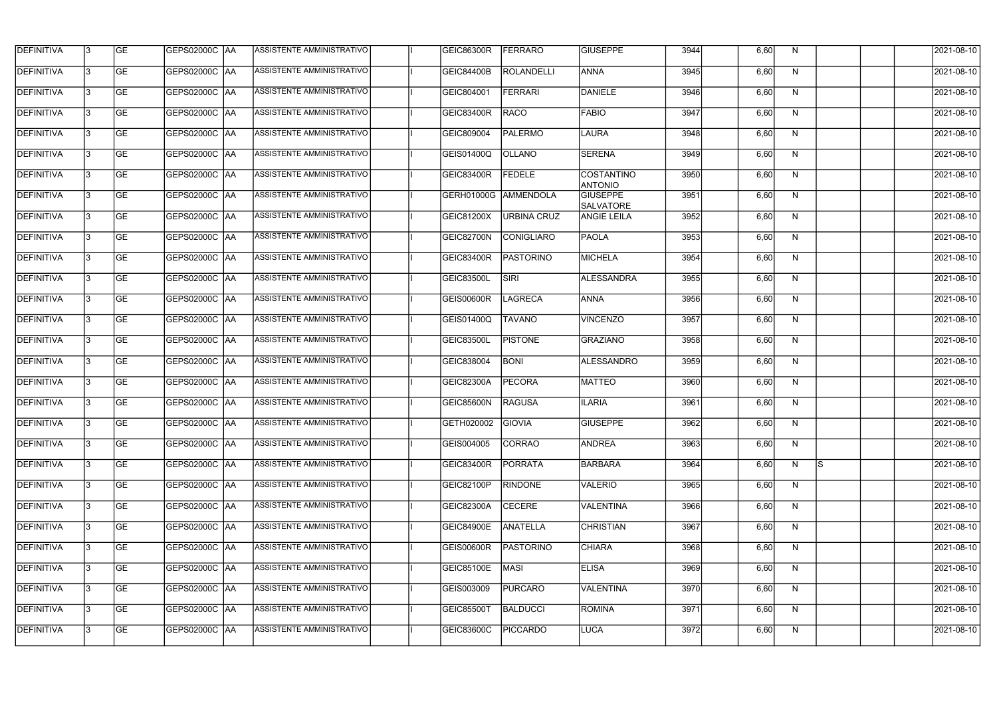| <b>DEFINITIVA</b> | 13  | <b>GE</b> | GEPS02000C  AA       | ASSISTENTE AMMINISTRATIVO        | <b>GEIC86300R</b> | <b>FERRARO</b>     | <b>GIUSEPPE</b>                     | 3944 | 6,60 | N.           |   | 2021-08-10       |
|-------------------|-----|-----------|----------------------|----------------------------------|-------------------|--------------------|-------------------------------------|------|------|--------------|---|------------------|
| DEFINITIVA        | l3  | <b>GE</b> | GEPS02000C  AA       | ASSISTENTE AMMINISTRATIVO        | GEIC84400B        | <b>ROLANDELLI</b>  | <b>ANNA</b>                         | 3945 | 6,60 | N            |   | 2021-08-10       |
| <b>DEFINITIVA</b> | l3  | <b>GE</b> | <b>GEPS02000C AA</b> | ASSISTENTE AMMINISTRATIVO        | GEIC804001        | <b>FERRARI</b>     | DANIELE                             | 3946 | 6,60 | N            |   | 2021-08-10       |
| <b>DEFINITIVA</b> | 13  | <b>GE</b> | GEPS02000C  AA       | ASSISTENTE AMMINISTRATIVO        | <b>GEIC83400R</b> | <b>RACO</b>        | <b>FABIO</b>                        | 3947 | 6,60 | $\mathsf{N}$ |   | 2021-08-10       |
| <b>DEFINITIVA</b> | l3  | <b>GE</b> | GEPS02000C  AA       | <b>ASSISTENTE AMMINISTRATIVO</b> | GEIC809004        | <b>PALERMO</b>     | <b>LAURA</b>                        | 3948 | 6,60 | N            |   | 2021-08-10       |
| <b>DEFINITIVA</b> | IЗ  | <b>GE</b> | GEPS02000C AA        | <b>ASSISTENTE AMMINISTRATIVO</b> | <b>GEIS01400Q</b> | <b>OLLANO</b>      | <b>SERENA</b>                       | 3949 | 6,60 | N            |   | 2021-08-10       |
| <b>DEFINITIVA</b> | l3  | <b>GE</b> | <b>GEPS02000C AA</b> | ASSISTENTE AMMINISTRATIVO        | <b>GEIC83400R</b> | <b>FEDELE</b>      | <b>COSTANTINO</b><br><b>ANTONIO</b> | 3950 | 6,60 | N            |   | 2021-08-10       |
| <b>DEFINITIVA</b> | l3  | <b>GE</b> | GEPS02000C AA        | ASSISTENTE AMMINISTRATIVO        | GERH01000G        | AMMENDOLA          | <b>GIUSEPPE</b><br><b>SALVATORE</b> | 3951 | 6,60 | N            |   | 2021-08-10       |
| <b>DEFINITIVA</b> | l3  | <b>GE</b> | GEPS02000C AA        | ASSISTENTE AMMINISTRATIVO        | GEIC81200X        | <b>URBINA CRUZ</b> | <b>ANGIE LEILA</b>                  | 3952 | 6,60 | N            |   | 2021-08-10       |
| <b>DEFINITIVA</b> | l3  | <b>GE</b> | GEPS02000C  AA       | ASSISTENTE AMMINISTRATIVO        | GEIC82700N        | <b>CONIGLIARO</b>  | PAOLA                               | 3953 | 6,60 | N            |   | 2021-08-10       |
| <b>DEFINITIVA</b> | l3  | <b>GE</b> | GEPS02000C AA        | ASSISTENTE AMMINISTRATIVO        | GEIC83400R        | PASTORINO          | <b>MICHELA</b>                      | 3954 | 6,60 | N            |   | 2021-08-10       |
| <b>DEFINITIVA</b> | 13  | <b>GE</b> | GEPS02000C AA        | ASSISTENTE AMMINISTRATIVO        | <b>GEIC83500L</b> | SIRI               | <b>ALESSANDRA</b>                   | 3955 | 6,60 | N            |   | 2021-08-10       |
| <b>DEFINITIVA</b> | l3  | <b>GE</b> |                      | ASSISTENTE AMMINISTRATIVO        | <b>GEIS00600R</b> | <b>LAGRECA</b>     | <b>ANNA</b>                         | 3956 | 6,60 | N            |   | 2021-08-10       |
| <b>DEFINITIVA</b> | l3  | <b>GE</b> | GEPS02000C AA        | ASSISTENTE AMMINISTRATIVO        | GEIS01400Q        | <b>TAVANO</b>      | <b>VINCENZO</b>                     | 3957 | 6,60 | N            |   | 2021-08-10       |
| <b>DEFINITIVA</b> | 13  | <b>GE</b> | GEPS02000C AA        | ASSISTENTE AMMINISTRATIVO        | <b>GEIC83500L</b> | <b>PISTONE</b>     | GRAZIANO                            | 3958 | 6,60 | N            |   | 2021-08-10       |
| <b>DEFINITIVA</b> | l3  | <b>GE</b> |                      | ASSISTENTE AMMINISTRATIVO        | GEIC838004        | <b>BONI</b>        | <b>ALESSANDRO</b>                   | 3959 | 6,60 | N            |   | 2021-08-10       |
| <b>DEFINITIVA</b> | l3  | <b>GE</b> | GEPS02000C  AA       | ASSISTENTE AMMINISTRATIVO        | GEIC82300A        | <b>PECORA</b>      | <b>MATTEO</b>                       | 3960 | 6,60 | N            |   | 2021-08-10       |
| <b>DEFINITIVA</b> |     | <b>GE</b> | GEPS02000C  AA       | ASSISTENTE AMMINISTRATIVO        | GEIC85600N        | <b>RAGUSA</b>      | <b>ILARIA</b>                       | 3961 | 6,60 | N            |   | 2021-08-10       |
| <b>DEFINITIVA</b> | IЗ  | GE        | GEPS02000C  AA       | <b>ASSISTENTE AMMINISTRATIVO</b> | GETH020002 GIOVIA |                    | <b>GIUSEPPE</b>                     | 3962 | 6,60 | N,           |   | 2021-08-10       |
| <b>DEFINITIVA</b> | 13. | <b>GE</b> | GEPS02000C AA        | ASSISTENTE AMMINISTRATIVO        | GEIS004005        | <b>CORRAO</b>      | <b>ANDREA</b>                       | 3963 | 6,60 | N            |   | 2021-08-10       |
| <b>DEFINITIVA</b> | 13  | <b>GE</b> | <b>GEPS02000C AA</b> | ASSISTENTE AMMINISTRATIVO        | GEIC83400R        | PORRATA            | <b>BARBARA</b>                      | 3964 | 6,60 | N            | S | 2021-08-10       |
| <b>DEFINITIVA</b> | 13. | <b>GE</b> | <b>GEPS02000C AA</b> | ASSISTENTE AMMINISTRATIVO        | GEIC82100P        | <b>RINDONE</b>     | <b>VALERIO</b>                      | 3965 | 6,60 | N            |   | $2021 - 08 - 10$ |
| <b>DEFINITIVA</b> | 13  | <b>GE</b> | <b>GEPS02000C AA</b> | ASSISTENTE AMMINISTRATIVO        | <b>GEIC82300A</b> | <b>CECERE</b>      | VALENTINA                           | 3966 | 6,60 | N            |   | 2021-08-10       |
| <b>DEFINITIVA</b> | 13  | <b>GE</b> | GEPS02000C AA        | ASSISTENTE AMMINISTRATIVO        | <b>GEIC84900E</b> | <b>ANATELLA</b>    | <b>CHRISTIAN</b>                    | 3967 | 6,60 | N            |   | 2021-08-10       |
| <b>DEFINITIVA</b> | 13. | <b>GE</b> | GEPS02000C  AA       | ASSISTENTE AMMINISTRATIVO        | <b>GEIS00600R</b> | <b>PASTORINO</b>   | <b>CHIARA</b>                       | 3968 | 6,60 | N            |   | 2021-08-10       |
| DEFINITIVA        | l3  | <b>GE</b> | GEPS02000C  AA       | ASSISTENTE AMMINISTRATIVO        | <b>GEIC85100E</b> | <b>MASI</b>        | <b>ELISA</b>                        | 3969 | 6,60 | N            |   | 2021-08-10       |
| DEFINITIVA        | l3  | <b>GE</b> | GEPS02000C  AA       | ASSISTENTE AMMINISTRATIVO        | GEIS003009        | <b>PURCARO</b>     | <b>VALENTINA</b>                    | 3970 | 6,60 | N            |   | 2021-08-10       |
| <b>DEFINITIVA</b> | l3  | <b>GE</b> | GEPS02000C AA        | ASSISTENTE AMMINISTRATIVO        | <b>GEIC85500T</b> | <b>BALDUCCI</b>    | ROMINA                              | 3971 | 6,60 | N            |   | 2021-08-10       |
| <b>DEFINITIVA</b> | lЗ  | <b>GE</b> | GEPS02000C  AA       | ASSISTENTE AMMINISTRATIVO        | <b>GEIC83600C</b> | <b>PICCARDO</b>    | LUCA                                | 3972 | 6,60 | N            |   | 2021-08-10       |
|                   |     |           |                      |                                  |                   |                    |                                     |      |      |              |   |                  |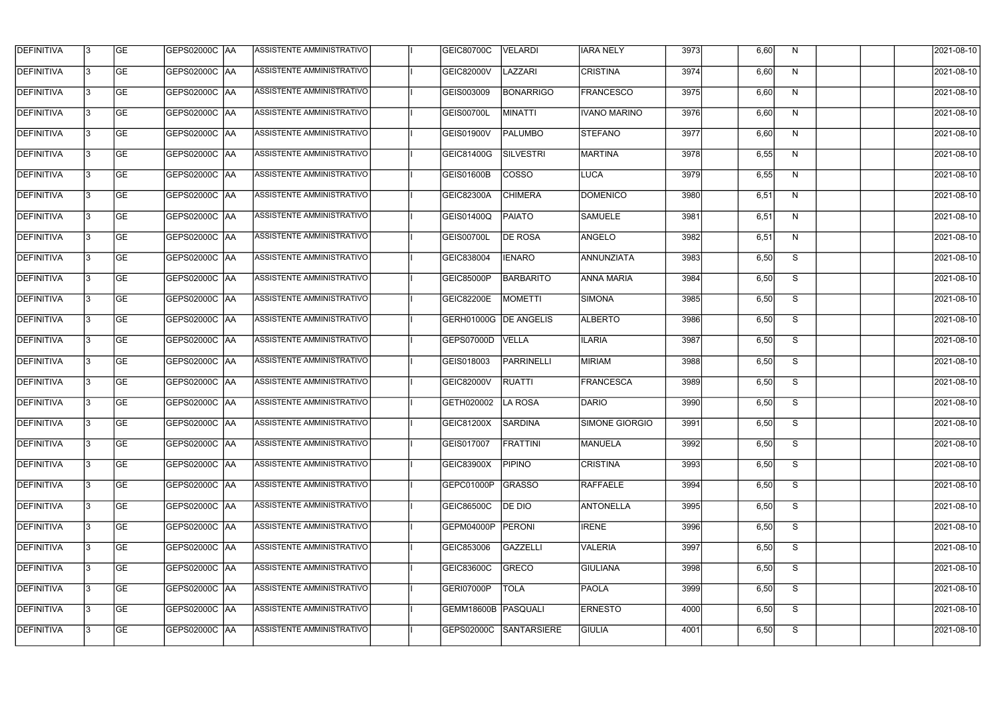| <b>GE</b><br>DEFINITIVA<br>GEPS02000C  AA<br>l3<br><b>DEFINITIVA</b><br><b>GE</b><br><b>GEPS02000C AA</b><br>l3<br><b>GEPS02000C AA</b><br>13<br><b>GE</b><br><b>DEFINITIVA</b><br><b>GE</b><br>GEPS02000C  AA<br>l3<br><b>GE</b><br><b>GEPS02000C AA</b><br>IЗ<br><b>GE</b><br><b>GEPS02000C AA</b><br>l3<br><b>GE</b><br>GEPS02000C AA<br>l3<br><b>DEFINITIVA</b><br><b>GE</b><br>GEPS02000C  AA<br>l3<br><b>GE</b><br>GEPS02000C AA<br>l3<br><b>GE</b><br>GEPS02000C AA<br>l3<br><b>GEPS02000C AA</b><br>13<br><b>GE</b><br><b>DEFINITIVA</b><br><b>GE</b><br>GEPS02000C  AA<br>l3<br>GEPS02000C AA<br><b>GE</b><br>l3 | ASSISTENTE AMMINISTRATIVO<br><b>GEIC82000V</b><br>ASSISTENTE AMMINISTRATIVO<br>GEIS003009<br>ASSISTENTE AMMINISTRATIVO<br>GEIS00700L | LAZZARI<br><b>CRISTINA</b><br><b>FRANCESCO</b><br><b>BONARRIGO</b> | 3974<br>3975 | 6,60<br>6,60 | N  | 2021-08-10 |
|---------------------------------------------------------------------------------------------------------------------------------------------------------------------------------------------------------------------------------------------------------------------------------------------------------------------------------------------------------------------------------------------------------------------------------------------------------------------------------------------------------------------------------------------------------------------------------------------------------------------------|--------------------------------------------------------------------------------------------------------------------------------------|--------------------------------------------------------------------|--------------|--------------|----|------------|
| <b>DEFINITIVA</b><br><b>DEFINITIVA</b><br><b>DEFINITIVA</b><br><b>DEFINITIVA</b><br><b>DEFINITIVA</b><br><b>DEFINITIVA</b>                                                                                                                                                                                                                                                                                                                                                                                                                                                                                                |                                                                                                                                      |                                                                    |              |              |    |            |
|                                                                                                                                                                                                                                                                                                                                                                                                                                                                                                                                                                                                                           |                                                                                                                                      |                                                                    |              |              | N  | 2021-08-10 |
|                                                                                                                                                                                                                                                                                                                                                                                                                                                                                                                                                                                                                           |                                                                                                                                      | <b>MINATTI</b><br><b>IVANO MARINO</b>                              | 3976         | 6,60         | N  | 2021-08-10 |
| <b>DEFINITIVA</b><br><b>DEFINITIVA</b>                                                                                                                                                                                                                                                                                                                                                                                                                                                                                                                                                                                    | ASSISTENTE AMMINISTRATIVO<br><b>GEIS01900V</b>                                                                                       | <b>STEFANO</b><br><b>PALUMBO</b>                                   | 3977         | 6,60         | N  | 2021-08-10 |
|                                                                                                                                                                                                                                                                                                                                                                                                                                                                                                                                                                                                                           | <b>ASSISTENTE AMMINISTRATIVO</b><br>GEIC81400G                                                                                       | <b>SILVESTRI</b><br><b>MARTINA</b>                                 | 3978         | 6,55         | N  | 2021-08-10 |
|                                                                                                                                                                                                                                                                                                                                                                                                                                                                                                                                                                                                                           | <b>ASSISTENTE AMMINISTRATIVO</b><br>GEIS01600B                                                                                       | <b>COSSO</b><br><b>LUCA</b>                                        | 3979         | 6,55         | N  | 2021-08-10 |
|                                                                                                                                                                                                                                                                                                                                                                                                                                                                                                                                                                                                                           | ASSISTENTE AMMINISTRATIVO<br>GEIC82300A                                                                                              | <b>CHIMERA</b><br><b>DOMENICO</b>                                  | 3980         | 6,51         | N  | 2021-08-10 |
|                                                                                                                                                                                                                                                                                                                                                                                                                                                                                                                                                                                                                           | ASSISTENTE AMMINISTRATIVO<br>GEIS01400Q                                                                                              | <b>PAIATO</b><br><b>SAMUELE</b>                                    | 3981         | 6,51         | N  | 2021-08-10 |
|                                                                                                                                                                                                                                                                                                                                                                                                                                                                                                                                                                                                                           | ASSISTENTE AMMINISTRATIVO<br>GEIS00700L                                                                                              | <b>DE ROSA</b><br>ANGELO                                           | 3982         | 6,51         | N  | 2021-08-10 |
|                                                                                                                                                                                                                                                                                                                                                                                                                                                                                                                                                                                                                           | ASSISTENTE AMMINISTRATIVO<br>GEIC838004                                                                                              | ANNUNZIATA<br><b>IENARO</b>                                        | 3983         | 6,50         | S  | 2021-08-10 |
|                                                                                                                                                                                                                                                                                                                                                                                                                                                                                                                                                                                                                           | ASSISTENTE AMMINISTRATIVO<br>GEIC85000P                                                                                              | <b>BARBARITO</b><br><b>ANNA MARIA</b>                              | 3984         | 6,50         | S  | 2021-08-10 |
|                                                                                                                                                                                                                                                                                                                                                                                                                                                                                                                                                                                                                           | ASSISTENTE AMMINISTRATIVO<br><b>GEIC82200E</b>                                                                                       | <b>MOMETTI</b><br>SIMONA                                           | 3985         | 6,50         | S  | 2021-08-10 |
|                                                                                                                                                                                                                                                                                                                                                                                                                                                                                                                                                                                                                           | ASSISTENTE AMMINISTRATIVO<br>GERH01000G                                                                                              | <b>DE ANGELIS</b><br><b>ALBERTO</b>                                | 3986         | 6,50         | S  | 2021-08-10 |
| <b>DEFINITIVA</b><br>l3<br><b>GE</b><br>GEPS02000C  AA                                                                                                                                                                                                                                                                                                                                                                                                                                                                                                                                                                    | ASSISTENTE AMMINISTRATIVO<br>GEPS07000D                                                                                              | <b>VELLA</b><br><b>ILARIA</b>                                      | 3987         | 6,50         | S  | 2021-08-10 |
| <b>DEFINITIVA</b><br><b>GE</b><br>GEPS02000C  AA<br>IЗ                                                                                                                                                                                                                                                                                                                                                                                                                                                                                                                                                                    | ASSISTENTE AMMINISTRATIVO<br>GEIS018003                                                                                              | <b>MIRIAM</b><br><b>PARRINELLI</b>                                 | 3988         | 6,50         | S  | 2021-08-10 |
| <b>DEFINITIVA</b><br><b>GE</b><br>GEPS02000C  AA<br>IЗ                                                                                                                                                                                                                                                                                                                                                                                                                                                                                                                                                                    | ASSISTENTE AMMINISTRATIVO<br>GEIC82000V                                                                                              | FRANCESCA<br><b>RUATTI</b>                                         | 3989         | 6,50         | S  | 2021-08-10 |
| <b>DEFINITIVA</b><br><b>GE</b><br>GEPS02000C  AA                                                                                                                                                                                                                                                                                                                                                                                                                                                                                                                                                                          | ASSISTENTE AMMINISTRATIVO<br>GETH020002                                                                                              | LA ROSA<br>DARIO                                                   | 3990         | 6,50         | S  | 2021-08-10 |
| <b>DEFINITIVA</b><br>IЗ<br> GE<br> GEPS02000C  AA                                                                                                                                                                                                                                                                                                                                                                                                                                                                                                                                                                         | <b>ASSISTENTE AMMINISTRATIVO</b><br>GEIC81200X                                                                                       | SARDINA<br>SIMONE GIORGIO                                          | 3991         | 6,50         | S. | 2021-08-10 |
| <b>DEFINITIVA</b><br>GEPS02000C AA<br><b>GE</b><br>13.                                                                                                                                                                                                                                                                                                                                                                                                                                                                                                                                                                    | ASSISTENTE AMMINISTRATIVO<br>GEIS017007                                                                                              | <b>FRATTINI</b><br><b>MANUELA</b>                                  | 3992         | 6,50         | S  | 2021-08-10 |
| <b>DEFINITIVA</b><br><b>GEPS02000C AA</b><br>13<br><b>GE</b>                                                                                                                                                                                                                                                                                                                                                                                                                                                                                                                                                              | ASSISTENTE AMMINISTRATIVO<br>GEIC83900X                                                                                              | <b>CRISTINA</b><br><b>PIPINO</b>                                   | 3993         | 6,50         | S  | 2021-08-10 |
| <b>DEFINITIVA</b><br><b>GE</b><br><b>GEPS02000C AA</b><br>13.                                                                                                                                                                                                                                                                                                                                                                                                                                                                                                                                                             | ASSISTENTE AMMINISTRATIVO<br>GEPC01000P                                                                                              | GRASSO<br>RAFFAELE                                                 | 3994         | 6,50         | S  | 2021-08-10 |
| <b>DEFINITIVA</b><br><b>GE</b><br>GEPS02000C AA<br>13                                                                                                                                                                                                                                                                                                                                                                                                                                                                                                                                                                     | ASSISTENTE AMMINISTRATIVO<br>GEIC86500C                                                                                              | <b>ANTONELLA</b><br>DE DIO                                         | 3995         | 6,50         | S  | 2021-08-10 |
| <b>DEFINITIVA</b><br><b>GE</b><br>GEPS02000C AA<br>13                                                                                                                                                                                                                                                                                                                                                                                                                                                                                                                                                                     | ASSISTENTE AMMINISTRATIVO<br>GEPM04000P                                                                                              | PERONI<br><b>IRENE</b>                                             | 3996         | 6,50         | S  | 2021-08-10 |
| <b>DEFINITIVA</b><br><b>GE</b><br>l3<br>GEPS02000C  AA                                                                                                                                                                                                                                                                                                                                                                                                                                                                                                                                                                    | ASSISTENTE AMMINISTRATIVO<br>GEIC853006                                                                                              | GAZZELLI<br><b>VALERIA</b>                                         | 3997         | 6,50         | S  | 2021-08-10 |
| <b>GE</b><br>DEFINITIVA<br> GEPS02000C  AA<br>l3                                                                                                                                                                                                                                                                                                                                                                                                                                                                                                                                                                          | ASSISTENTE AMMINISTRATIVO<br>GEIC83600C                                                                                              | GRECO<br><b>GIULIANA</b>                                           | 3998         | 6,50         | S  | 2021-08-10 |
| <b>GE</b><br>DEFINITIVA<br>GEPS02000C  AA<br>l3                                                                                                                                                                                                                                                                                                                                                                                                                                                                                                                                                                           | ASSISTENTE AMMINISTRATIVO<br>GERI07000P                                                                                              | <b>TOLA</b><br><b>PAOLA</b>                                        | 3999         | 6,50         | S  | 2021-08-10 |
| <b>DEFINITIVA</b><br>GEPS02000C AA<br><b>GE</b><br>l3                                                                                                                                                                                                                                                                                                                                                                                                                                                                                                                                                                     |                                                                                                                                      |                                                                    |              |              |    |            |
| <b>DEFINITIVA</b><br>ASSISTENTE AMMINISTRATIVO<br><b>GE</b><br>GEPS02000C  AA<br>IЗ                                                                                                                                                                                                                                                                                                                                                                                                                                                                                                                                       | ASSISTENTE AMMINISTRATIVO<br>GEMM18600B PASQUALI                                                                                     | <b>ERNESTO</b>                                                     | 4000         | 6,50         | S  | 2021-08-10 |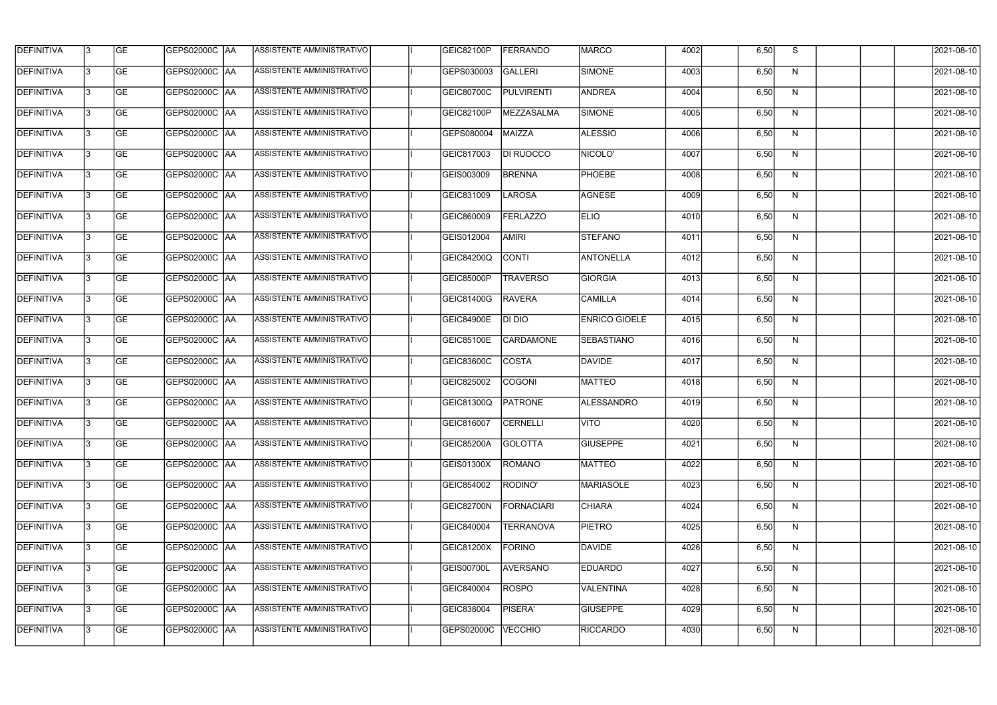| <b>DEFINITIVA</b> | 13 | GE        | GEPS02000C  AA       | ASSISTENTE AMMINISTRATIVO        | GEIC82100P        | FERRANDO          | <b>MARCO</b>         | 4002 | 6,50 | S  | 2021-08-10       |
|-------------------|----|-----------|----------------------|----------------------------------|-------------------|-------------------|----------------------|------|------|----|------------------|
| <b>DEFINITIVA</b> | IЗ | GE        | GEPS02000C   AA      | ASSISTENTE AMMINISTRATIVO        | GEPS030003        | GALLERI           | SIMONE               | 4003 | 6,50 | N  | 2021-08-10       |
| <b>DEFINITIVA</b> | 13 | <b>GE</b> | <b>GEPS02000C AA</b> | ASSISTENTE AMMINISTRATIVO        | <b>GEIC80700C</b> | <b>PULVIRENTI</b> | ANDREA               | 4004 | 6,50 | N  | 2021-08-10       |
| <b>DEFINITIVA</b> | l3 | <b>GE</b> | <b>GEPS02000C AA</b> | ASSISTENTE AMMINISTRATIVO        | GEIC82100P        | MEZZASALMA        | SIMONE               | 4005 | 6,50 | N  | 2021-08-10       |
| <b>DEFINITIVA</b> | l3 | GE        | GEPS02000C AA        | ASSISTENTE AMMINISTRATIVO        | GEPS080004        | MAIZZA            | <b>ALESSIO</b>       | 4006 | 6,50 | N  | 2021-08-10       |
| <b>DEFINITIVA</b> | l3 | <b>GE</b> | <b>GEPS02000C AA</b> | <b>ASSISTENTE AMMINISTRATIVO</b> | GEIC817003        | DI RUOCCO         | NICOLO'              | 4007 | 6,50 | N  | 2021-08-10       |
| <b>DEFINITIVA</b> | l3 | <b>GE</b> | GEPS02000C AA        | ASSISTENTE AMMINISTRATIVO        | GEIS003009        | <b>BRENNA</b>     | <b>PHOEBE</b>        | 4008 | 6,50 | N  | 2021-08-10       |
| <b>DEFINITIVA</b> | l3 | <b>GE</b> | GEPS02000C AA        | <b>ASSISTENTE AMMINISTRATIVO</b> | GEIC831009        | <b>LAROSA</b>     | AGNESE               | 4009 | 6,50 | N  | 2021-08-10       |
| <b>DEFINITIVA</b> | IЗ | <b>GE</b> | GEPS02000C AA        | ASSISTENTE AMMINISTRATIVO        | GEIC860009        | FERLAZZO          | <b>ELIO</b>          | 4010 | 6,50 | N  | 2021-08-10       |
| <b>DEFINITIVA</b> | l3 | GE        | GEPS02000C   AA      | ASSISTENTE AMMINISTRATIVO        | GEIS012004        | <b>AMIRI</b>      | <b>STEFANO</b>       | 4011 | 6,50 | N  | 2021-08-10       |
| DEFINITIVA        | 13 | <b>GE</b> | GEPS02000C AA        | ASSISTENTE AMMINISTRATIVO        | <b>GEIC84200Q</b> | <b>CONTI</b>      | <b>ANTONELLA</b>     | 4012 | 6,50 | N  | 2021-08-10       |
| <b>DEFINITIVA</b> | l3 | <b>GE</b> | GEPS02000C AA        | <b>ASSISTENTE AMMINISTRATIVO</b> | GEIC85000P        | <b>TRAVERSO</b>   | <b>GIORGIA</b>       | 4013 | 6,50 | N  | 2021-08-10       |
| <b>DEFINITIVA</b> | l3 | GE        | GEPS02000C  AA       | ASSISTENTE AMMINISTRATIVO        | GEIC81400G        | <b>RAVERA</b>     | <b>CAMILLA</b>       | 4014 | 6,50 | N  | 2021-08-10       |
| <b>DEFINITIVA</b> | l3 | <b>GE</b> | GEPS02000C AA        | ASSISTENTE AMMINISTRATIVO        | <b>GEIC84900E</b> | DI DIO            | <b>ENRICO GIOELE</b> | 4015 | 6,50 | N  | 2021-08-10       |
| <b>DEFINITIVA</b> | l3 | <b>GE</b> | GEPS02000C AA        | ASSISTENTE AMMINISTRATIVO        | GEIC85100E        | <b>CARDAMONE</b>  | <b>SEBASTIANO</b>    | 4016 | 6,50 | N  | 2021-08-10       |
| <b>DEFINITIVA</b> | 13 | GE        | <b>GEPS02000C AA</b> | ASSISTENTE AMMINISTRATIVO        | GEIC83600C        | <b>COSTA</b>      | DAVIDE               | 4017 | 6,50 | N  | 2021-08-10       |
| <b>DEFINITIVA</b> | l3 | <b>GE</b> | GEPS02000C   AA      | ASSISTENTE AMMINISTRATIVO        | GEIC825002        | <b>COGONI</b>     | MATTEO               | 4018 | 6,50 | N  | 2021-08-10       |
| <b>DEFINITIVA</b> | IЗ | <b>GE</b> | GEPS02000C AA        | ASSISTENTE AMMINISTRATIVO        | GEIC81300Q        | PATRONE           | ALESSANDRO           | 4019 | 6,50 | N  | 2021-08-10       |
| <b>DEFINITIVA</b> | IЗ | GE        | GEPS02000C  AA       | <b>ASSISTENTE AMMINISTRATIVO</b> | <b>GEIC816007</b> | <b>CERNELLI</b>   | <b>IVITO</b>         | 4020 | 6,50 | N, | 2021-08-10       |
| <b>DEFINITIVA</b> | l3 | GE        | GEPS02000C AA        | ASSISTENTE AMMINISTRATIVO        | GEIC85200A        | <b>GOLOTTA</b>    | <b>GIUSEPPE</b>      | 4021 | 6,50 | N  | 2021-08-10       |
| <b>DEFINITIVA</b> | l3 | GE        | GEPS02000C AA        | ASSISTENTE AMMINISTRATIVO        | GEIS01300X        | ROMANO            | MATTEO               | 4022 | 6,50 | N  | 2021-08-10       |
| <b>DEFINITIVA</b> | 13 | <b>GE</b> | GEPS02000C AA        | ASSISTENTE AMMINISTRATIVO        | GEIC854002        | RODINO'           | <b>MARIASOLE</b>     | 4023 | 6,50 | N  | $2021 - 08 - 10$ |
| <b>DEFINITIVA</b> | l3 | <b>GE</b> | GEPS02000C AA        | ASSISTENTE AMMINISTRATIVO        | GEIC82700N        | <b>FORNACIARI</b> | <b>CHIARA</b>        | 4024 | 6,50 | N  | 2021-08-10       |
| <b>DEFINITIVA</b> | 13 | <b>GE</b> | GEPS02000C AA        | ASSISTENTE AMMINISTRATIVO        | GEIC840004        | <b>TERRANOVA</b>  | <b>PIETRO</b>        | 4025 | 6,50 | N  | 2021-08-10       |
| <b>DEFINITIVA</b> | l3 | <b>GE</b> | GEPS02000C  AA       | ASSISTENTE AMMINISTRATIVO        | GEIC81200X        | <b>FORINO</b>     | <b>DAVIDE</b>        | 4026 | 6,50 | N  | 2021-08-10       |
| <b>DEFINITIVA</b> | l3 | <b>GE</b> | GEPS02000C  AA       | ASSISTENTE AMMINISTRATIVO        | <b>GEIS00700L</b> | <b>AVERSANO</b>   | <b>EDUARDO</b>       | 4027 | 6,50 | N  | 2021-08-10       |
| <b>DEFINITIVA</b> | l3 | GE        | GEPS02000C  AA       | ASSISTENTE AMMINISTRATIVO        | GEIC840004        | <b>ROSPO</b>      | VALENTINA            | 4028 | 6,50 | N  | 2021-08-10       |
| <b>DEFINITIVA</b> | l3 | GE        | GEPS02000C AA        | ASSISTENTE AMMINISTRATIVO        | GEIC838004        | PISERA'           | <b>GIUSEPPE</b>      | 4029 | 6,50 | N  | 2021-08-10       |
| <b>DEFINITIVA</b> | l3 | GE        | GEPS02000C  AA       | ASSISTENTE AMMINISTRATIVO        | GEPS02000C        | <b>VECCHIO</b>    | RICCARDO             | 4030 | 6,50 | N  | 2021-08-10       |
|                   |    |           |                      |                                  |                   |                   |                      |      |      |    |                  |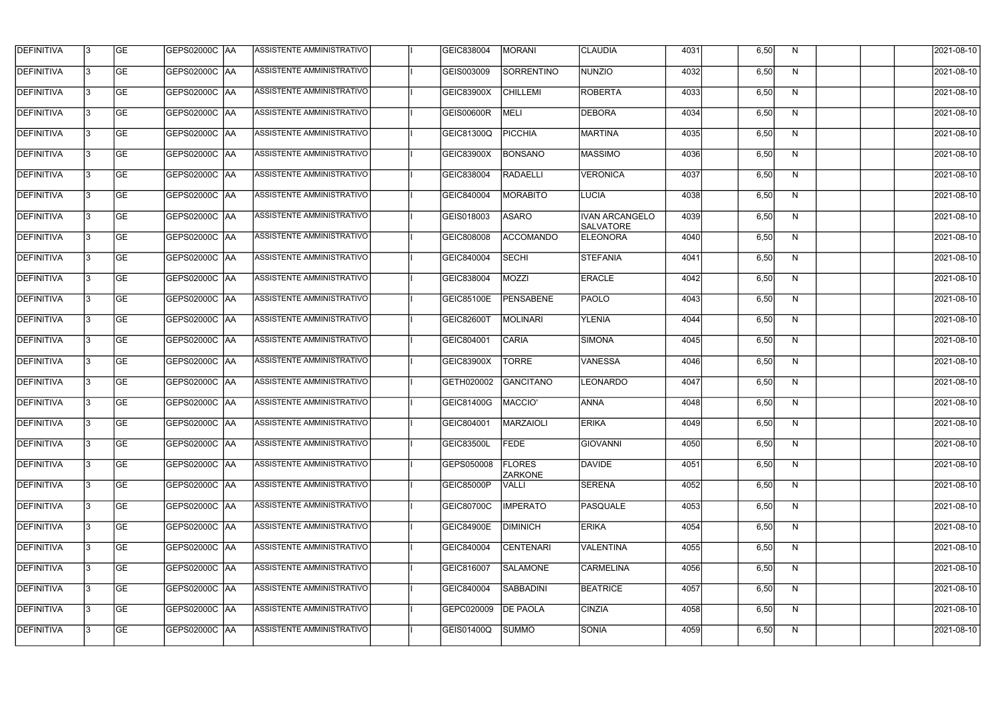| <b>DEFINITIVA</b> | 13  | <b>GE</b> | GEPS02000C  AA       | ASSISTENTE AMMINISTRATIVO        | GEIC838004        | <b>MORANI</b>                   | <b>CLAUDIA</b>                            | 4031 | 6,50 | N.           | 2021-08-10       |
|-------------------|-----|-----------|----------------------|----------------------------------|-------------------|---------------------------------|-------------------------------------------|------|------|--------------|------------------|
| DEFINITIVA        | l3  | <b>GE</b> | GEPS02000C  AA       | ASSISTENTE AMMINISTRATIVO        | GEIS003009        | SORRENTINO                      | <b>NUNZIO</b>                             | 4032 | 6,50 | N            | 2021-08-10       |
| <b>DEFINITIVA</b> | l3  | <b>GE</b> | <b>GEPS02000C AA</b> | ASSISTENTE AMMINISTRATIVO        | <b>GEIC83900X</b> | <b>CHILLEMI</b>                 | <b>ROBERTA</b>                            | 4033 | 6,50 | N            | 2021-08-10       |
| <b>DEFINITIVA</b> | 13  | <b>GE</b> | <b>GEPS02000C AA</b> | ASSISTENTE AMMINISTRATIVO        | <b>GEIS00600R</b> | <b>MELI</b>                     | <b>DEBORA</b>                             | 4034 | 6,50 | $\mathsf{N}$ | 2021-08-10       |
| <b>DEFINITIVA</b> | l3  | <b>GE</b> | GEPS02000C  AA       | ASSISTENTE AMMINISTRATIVO        | GEIC81300Q        | <b>PICCHIA</b>                  | <b>MARTINA</b>                            | 4035 | 6,50 | N            | 2021-08-10       |
| <b>DEFINITIVA</b> | IЗ  | <b>GE</b> | <b>GEPS02000C AA</b> | <b>ASSISTENTE AMMINISTRATIVO</b> | GEIC83900X        | <b>BONSANO</b>                  | <b>MASSIMO</b>                            | 4036 | 6,50 | N            | 2021-08-10       |
| <b>DEFINITIVA</b> | l3  | <b>GE</b> | <b>GEPS02000C AA</b> | <b>ASSISTENTE AMMINISTRATIVO</b> | GEIC838004        | <b>RADAELLI</b>                 | <b>VERONICA</b>                           | 4037 | 6,50 | N            | 2021-08-10       |
| <b>DEFINITIVA</b> | l3  | <b>GE</b> | GEPS02000C AA        | ASSISTENTE AMMINISTRATIVO        | GEIC840004        | <b>MORABITO</b>                 | <b>LUCIA</b>                              | 4038 | 6,50 | N            | 2021-08-10       |
| <b>DEFINITIVA</b> | l3  | <b>GE</b> | GEPS02000C  AA       | ASSISTENTE AMMINISTRATIVO        | GEIS018003        | <b>ASARO</b>                    | <b>IVAN ARCANGELO</b><br><b>SALVATORE</b> | 4039 | 6,50 | N            | 2021-08-10       |
| <b>DEFINITIVA</b> | l3  | <b>GE</b> | GEPS02000C AA        | ASSISTENTE AMMINISTRATIVO        | GEIC808008        | <b>ACCOMANDO</b>                | <b>ELEONORA</b>                           | 4040 | 6,50 | N            | 2021-08-10       |
| <b>DEFINITIVA</b> | l3  | <b>GE</b> | GEPS02000C AA        | ASSISTENTE AMMINISTRATIVO        | GEIC840004        | <b>SECHI</b>                    | <b>STEFANIA</b>                           | 4041 | 6,50 | N            | 2021-08-10       |
| <b>DEFINITIVA</b> | 13  | <b>GE</b> | GEPS02000C AA        | ASSISTENTE AMMINISTRATIVO        | GEIC838004        | <b>MOZZI</b>                    | <b>ERACLE</b>                             | 4042 | 6,50 | N            | 2021-08-10       |
| <b>DEFINITIVA</b> | l3  | <b>GE</b> | GEPS02000C  AA       | ASSISTENTE AMMINISTRATIVO        | <b>GEIC85100E</b> | PENSABENE                       | PAOLO                                     | 4043 | 6,50 | N            | 2021-08-10       |
| <b>DEFINITIVA</b> | l3  | <b>GE</b> | GEPS02000C AA        | ASSISTENTE AMMINISTRATIVO        | GEIC82600T        | <b>MOLINARI</b>                 | <b>YLENIA</b>                             | 4044 | 6,50 | N            | 2021-08-10       |
| <b>DEFINITIVA</b> | l3  | <b>GE</b> | GEPS02000C  AA       | ASSISTENTE AMMINISTRATIVO        | GEIC804001        | <b>CARIA</b>                    | SIMONA                                    | 4045 | 6,50 | N            | 2021-08-10       |
| <b>DEFINITIVA</b> | l3  | <b>GE</b> | GEPS02000C  AA       | ASSISTENTE AMMINISTRATIVO        | GEIC83900X        | <b>TORRE</b>                    | <b>VANESSA</b>                            | 4046 | 6,50 | N            | 2021-08-10       |
| <b>DEFINITIVA</b> | l3  | <b>GE</b> | GEPS02000C  AA       | ASSISTENTE AMMINISTRATIVO        | GETH020002        | GANCITANO                       | <b>LEONARDO</b>                           | 4047 | 6,50 | N            | 2021-08-10       |
| <b>DEFINITIVA</b> |     | <b>GE</b> | GEPS02000C  AA       | ASSISTENTE AMMINISTRATIVO        | GEIC81400G        | MACCIO'                         | <b>ANNA</b>                               | 4048 | 6,50 | N            | 2021-08-10       |
| <b>DEFINITIVA</b> | IЗ  | GE        | GEPS02000C  AA       | <b>ASSISTENTE AMMINISTRATIVO</b> | GEIC804001        | <b>MARZAIOLI</b>                | <b>ERIKA</b>                              | 4049 | 6,50 | N,           | 2021-08-10       |
| <b>DEFINITIVA</b> | 13. | <b>GE</b> | GEPS02000C AA        | ASSISTENTE AMMINISTRATIVO        | <b>GEIC83500L</b> | <b>FEDE</b>                     | <b>GIOVANNI</b>                           | 4050 | 6,50 | N            | 2021-08-10       |
| <b>DEFINITIVA</b> | 13  | <b>GE</b> | <b>GEPS02000C AA</b> | ASSISTENTE AMMINISTRATIVO        | GEPS050008        | <b>FLORES</b><br><b>ZARKONE</b> | DAVIDE                                    | 4051 | 6,50 | N            | 2021-08-10       |
| <b>DEFINITIVA</b> | 13  | <b>GE</b> | <b>GEPS02000C AA</b> | ASSISTENTE AMMINISTRATIVO        | GEIC85000P        | <b>VALLI</b>                    | <b>SERENA</b>                             | 4052 | 6,50 | N            | $2021 - 08 - 10$ |
| <b>DEFINITIVA</b> | 13  | <b>GE</b> | <b>GEPS02000C AA</b> | ASSISTENTE AMMINISTRATIVO        | GEIC80700C        | <b>IMPERATO</b>                 | PASQUALE                                  | 4053 | 6,50 | N            | 2021-08-10       |
| <b>DEFINITIVA</b> | 13  | <b>GE</b> | GEPS02000C AA        | ASSISTENTE AMMINISTRATIVO        | <b>GEIC84900E</b> | <b>DIMINICH</b>                 | <b>ERIKA</b>                              | 4054 | 6,50 | N            | 2021-08-10       |
| <b>DEFINITIVA</b> | l3  | <b>GE</b> | GEPS02000C  AA       | ASSISTENTE AMMINISTRATIVO        | GEIC840004        | <b>CENTENARI</b>                | <b>VALENTINA</b>                          | 4055 | 6,50 | N            | 2021-08-10       |
| DEFINITIVA        | l3  | <b>GE</b> | GEPS02000C  AA       | ASSISTENTE AMMINISTRATIVO        | GEIC816007        | <b>SALAMONE</b>                 | <b>CARMELINA</b>                          | 4056 | 6,50 | N            | 2021-08-10       |
| DEFINITIVA        | l3  | <b>GE</b> | GEPS02000C  AA       | ASSISTENTE AMMINISTRATIVO        | GEIC840004        | SABBADINI                       | <b>BEATRICE</b>                           | 4057 | 6,50 | N            | 2021-08-10       |
| <b>DEFINITIVA</b> | l3  | <b>GE</b> | GEPS02000C AA        | ASSISTENTE AMMINISTRATIVO        | GEPC020009        | <b>DE PAOLA</b>                 | <b>CINZIA</b>                             | 4058 | 6,50 | N            | 2021-08-10       |
| <b>DEFINITIVA</b> | lЗ  | <b>GE</b> | GEPS02000C  AA       | ASSISTENTE AMMINISTRATIVO        | GEIS01400Q        | <b>SUMMO</b>                    | <b>SONIA</b>                              | 4059 | 6,50 | N            | 2021-08-10       |
|                   |     |           |                      |                                  |                   |                                 |                                           |      |      |              |                  |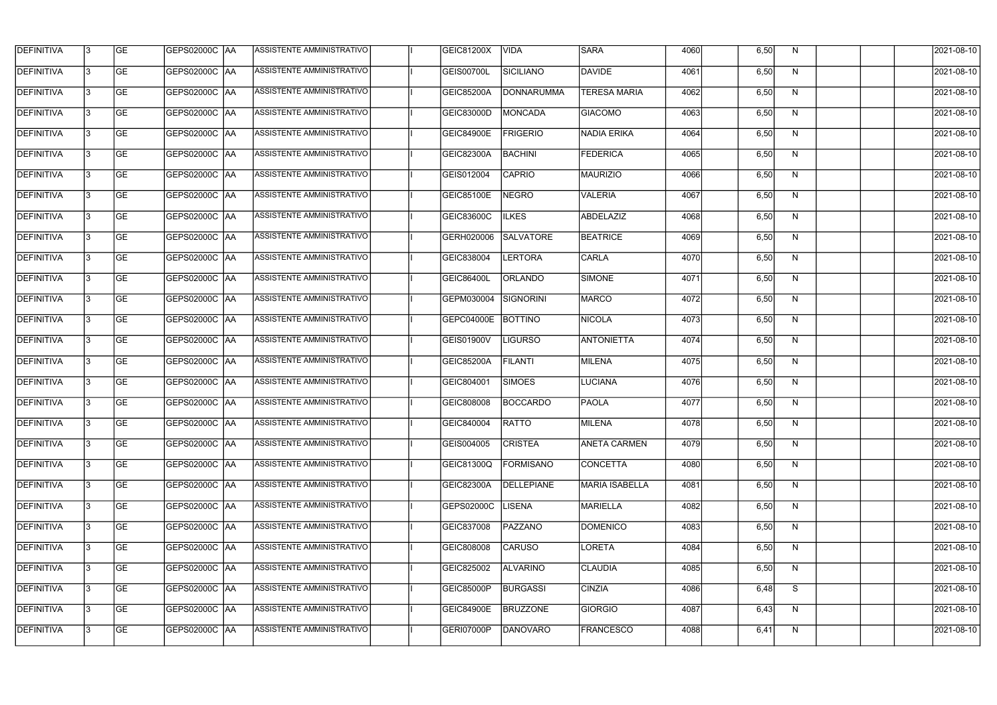| <b>DEFINITIVA</b> | 13 | GE        | GEPS02000C  AA       | ASSISTENTE AMMINISTRATIVO        | GEIC81200X        | <b>VIDA</b>      | <b>SARA</b>           | 4060 | 6,50 | N  | 2021-08-10       |
|-------------------|----|-----------|----------------------|----------------------------------|-------------------|------------------|-----------------------|------|------|----|------------------|
| <b>DEFINITIVA</b> | IЗ | GE        | GEPS02000C   AA      | ASSISTENTE AMMINISTRATIVO        | GEIS00700L        | SICILIANO        | DAVIDE                | 4061 | 6,50 | N  | 2021-08-10       |
| <b>DEFINITIVA</b> | 13 | <b>GE</b> | GEPS02000C AA        | ASSISTENTE AMMINISTRATIVO        | <b>GEIC85200A</b> | DONNARUMMA       | <b>TERESA MARIA</b>   | 4062 | 6,50 | N  | 2021-08-10       |
| <b>DEFINITIVA</b> | l3 | <b>GE</b> | <b>GEPS02000C AA</b> | ASSISTENTE AMMINISTRATIVO        | GEIC83000D        | <b>MONCADA</b>   | <b>GIACOMO</b>        | 4063 | 6,50 | N  | 2021-08-10       |
| <b>DEFINITIVA</b> | l3 | GE        | GEPS02000C AA        | ASSISTENTE AMMINISTRATIVO        | <b>GEIC84900E</b> | <b>FRIGERIO</b>  | NADIA ERIKA           | 4064 | 6,50 | N  | 2021-08-10       |
| <b>DEFINITIVA</b> | l3 | <b>GE</b> | GEPS02000C AA        | <b>ASSISTENTE AMMINISTRATIVO</b> | GEIC82300A        | <b>BACHINI</b>   | <b>FEDERICA</b>       | 4065 | 6,50 | N  | 2021-08-10       |
| <b>DEFINITIVA</b> | l3 | <b>GE</b> | GEPS02000C AA        | ASSISTENTE AMMINISTRATIVO        | GEIS012004        | <b>CAPRIO</b>    | MAURIZIO              | 4066 | 6,50 | N  | 2021-08-10       |
| <b>DEFINITIVA</b> | l3 | <b>GE</b> | GEPS02000C AA        | <b>ASSISTENTE AMMINISTRATIVO</b> | GEIC85100E        | <b>NEGRO</b>     | <b>VALERIA</b>        | 4067 | 6,50 | N  | 2021-08-10       |
| <b>DEFINITIVA</b> | l3 | <b>GE</b> | GEPS02000C AA        | ASSISTENTE AMMINISTRATIVO        | <b>GEIC83600C</b> | <b>ILKES</b>     | ABDELAZIZ             | 4068 | 6,50 | N  | 2021-08-10       |
| <b>DEFINITIVA</b> | l3 | GE        | GEPS02000C   AA      | ASSISTENTE AMMINISTRATIVO        | GERH020006        | <b>SALVATORE</b> | <b>BEATRICE</b>       | 4069 | 6,50 | N  | 2021-08-10       |
| DEFINITIVA        | 13 | GE        | GEPS02000C AA        | ASSISTENTE AMMINISTRATIVO        | GEIC838004        | <b>LERTORA</b>   | <b>CARLA</b>          | 4070 | 6,50 | N  | 2021-08-10       |
| <b>DEFINITIVA</b> | l3 | <b>GE</b> | GEPS02000C AA        | <b>ASSISTENTE AMMINISTRATIVO</b> | <b>GEIC86400L</b> | ORLANDO          | SIMONE                | 4071 | 6,50 | N  | 2021-08-10       |
| <b>DEFINITIVA</b> | l3 | GE        | GEPS02000C  AA       | ASSISTENTE AMMINISTRATIVO        | GEPM030004        | SIGNORINI        | <b>MARCO</b>          | 4072 | 6,50 | N  | 2021-08-10       |
| <b>DEFINITIVA</b> | l3 | <b>GE</b> | GEPS02000C AA        | ASSISTENTE AMMINISTRATIVO        | GEPC04000E        | <b>BOTTINO</b>   | NICOLA                | 4073 | 6,50 | N  | 2021-08-10       |
| <b>DEFINITIVA</b> | l3 | <b>GE</b> | GEPS02000C AA        | ASSISTENTE AMMINISTRATIVO        | GEIS01900V        | <b>LIGURSO</b>   | <b>ANTONIETTA</b>     | 4074 | 6,50 | N  | 2021-08-10       |
| <b>DEFINITIVA</b> | 13 | GE        | GEPS02000C  AA       | ASSISTENTE AMMINISTRATIVO        | <b>GEIC85200A</b> | <b>FILANTI</b>   | MILENA                | 4075 | 6,50 | N  | 2021-08-10       |
| <b>DEFINITIVA</b> | l3 | <b>GE</b> | GEPS02000C   AA      | ASSISTENTE AMMINISTRATIVO        | GEIC804001        | <b>SIMOES</b>    | <b>LUCIANA</b>        | 4076 | 6,50 | N  | 2021-08-10       |
| <b>DEFINITIVA</b> | IЗ | <b>GE</b> | GEPS02000C AA        | ASSISTENTE AMMINISTRATIVO        | GEIC808008        | <b>BOCCARDO</b>  | <b>PAOLA</b>          | 4077 | 6,50 | N  | 2021-08-10       |
| <b>DEFINITIVA</b> | IЗ | GE        | GEPS02000C  AA       | <b>ASSISTENTE AMMINISTRATIVO</b> | <b>GEIC840004</b> | <b>RATTO</b>     | <b>MILENA</b>         | 4078 | 6,50 | N, | 2021-08-10       |
| <b>DEFINITIVA</b> | l3 | GE        | GEPS02000C AA        | ASSISTENTE AMMINISTRATIVO        | GEIS004005        | <b>CRISTEA</b>   | <b>ANETA CARMEN</b>   | 4079 | 6,50 | N  | 2021-08-10       |
| <b>DEFINITIVA</b> | l3 | GE        | GEPS02000C AA        | ASSISTENTE AMMINISTRATIVO        | GEIC81300Q        | <b>FORMISANO</b> | CONCETTA              | 4080 | 6,50 | N  | 2021-08-10       |
| <b>DEFINITIVA</b> | 13 | <b>GE</b> | GEPS02000C AA        | ASSISTENTE AMMINISTRATIVO        | GEIC82300A        | DELLEPIANE       | <b>MARIA ISABELLA</b> | 4081 | 6,50 | N  | $2021 - 08 - 10$ |
| <b>DEFINITIVA</b> | l3 | <b>GE</b> | GEPS02000C AA        | ASSISTENTE AMMINISTRATIVO        | GEPS02000C        | <b>LISENA</b>    | <b>MARIELLA</b>       | 4082 | 6,50 | N  | 2021-08-10       |
| <b>DEFINITIVA</b> | 13 | <b>GE</b> | GEPS02000C AA        | ASSISTENTE AMMINISTRATIVO        | GEIC837008        | PAZZANO          | <b>DOMENICO</b>       | 4083 | 6,50 | N  | 2021-08-10       |
| <b>DEFINITIVA</b> | l3 | <b>GE</b> | GEPS02000C  AA       | ASSISTENTE AMMINISTRATIVO        | GEIC808008        | <b>CARUSO</b>    | LORETA                | 4084 | 6,50 | N  | 2021-08-10       |
| <b>DEFINITIVA</b> | l3 | <b>GE</b> | GEPS02000C  AA       | ASSISTENTE AMMINISTRATIVO        | GEIC825002        | <b>ALVARINO</b>  | <b>CLAUDIA</b>        | 4085 | 6,50 | N  | 2021-08-10       |
| <b>DEFINITIVA</b> | l3 | GE        | GEPS02000C  AA       | ASSISTENTE AMMINISTRATIVO        | <b>GEIC85000P</b> | <b>BURGASSI</b>  | <b>CINZIA</b>         | 4086 | 6,48 | S  | 2021-08-10       |
| <b>DEFINITIVA</b> | l3 | GE        | GEPS02000C AA        | ASSISTENTE AMMINISTRATIVO        | <b>GEIC84900E</b> | <b>BRUZZONE</b>  | GIORGIO               | 4087 | 6,43 | N  | 2021-08-10       |
| <b>DEFINITIVA</b> | l3 | GE        | GEPS02000C  AA       | ASSISTENTE AMMINISTRATIVO        | GERI07000P        | DANOVARO         | <b>FRANCESCO</b>      | 4088 | 6,41 | N  | 2021-08-10       |
|                   |    |           |                      |                                  |                   |                  |                       |      |      |    |                  |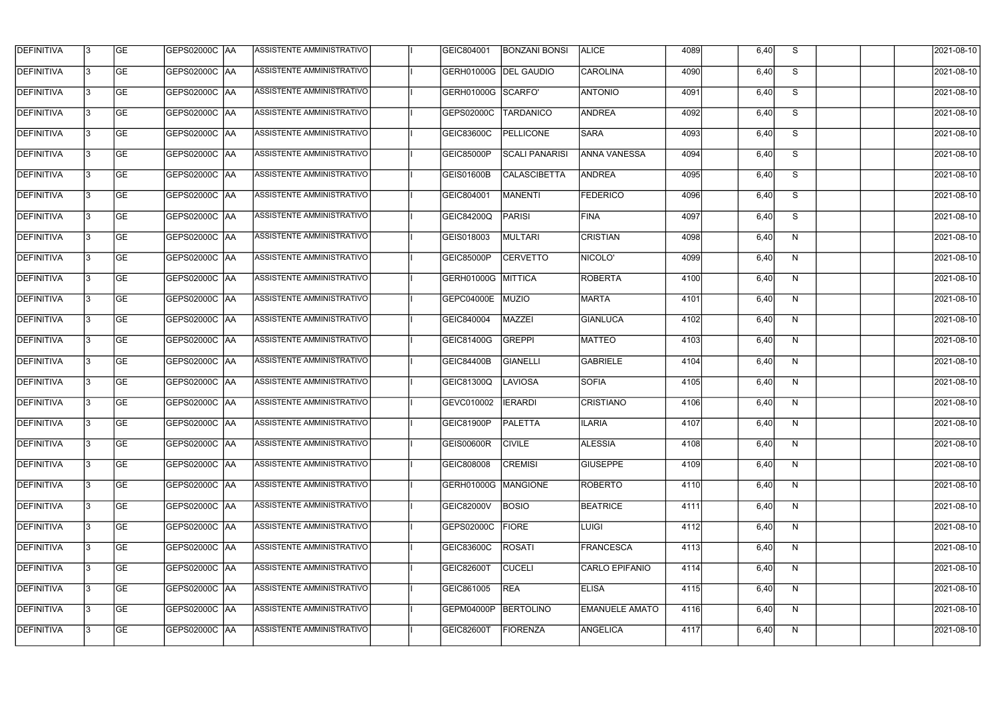| <b>DEFINITIVA</b> | 13 | GE                       | GEPS02000C   AA      | ASSISTENTE AMMINISTRATIVO        | GEIC804001            | <b>BONZANI BONSI</b>  | <b>ALICE</b>          | 4089 | 6,40 | S.                      | 2021-08-10 |
|-------------------|----|--------------------------|----------------------|----------------------------------|-----------------------|-----------------------|-----------------------|------|------|-------------------------|------------|
| <b>DEFINITIVA</b> | l3 | <b>GE</b>                | GEPS02000C  AA       | ASSISTENTE AMMINISTRATIVO        | GERH01000G DEL GAUDIO |                       | <b>CAROLINA</b>       | 4090 | 6,40 | S                       | 2021-08-10 |
| <b>DEFINITIVA</b> | l3 | $\overline{\mathsf{GE}}$ | GEPS02000C AA        | ASSISTENTE AMMINISTRATIVO        | GERH01000G SCARFO'    |                       | <b>ANTONIO</b>        | 4091 | 6,40 | S                       | 2021-08-10 |
| <b>DEFINITIVA</b> | l3 | GE                       | GEPS02000C AA        | ASSISTENTE AMMINISTRATIVO        | GEPS02000C            | TARDANICO             | <b>ANDREA</b>         | 4092 | 6,40 | S                       | 2021-08-10 |
| <b>DEFINITIVA</b> | l3 | GE                       | <b>GEPS02000C AA</b> | <b>ASSISTENTE AMMINISTRATIVO</b> | <b>GEIC83600C</b>     | <b>PELLICONE</b>      | <b>SARA</b>           | 4093 | 6,40 | S                       | 2021-08-10 |
| <b>DEFINITIVA</b> | l3 | <b>GE</b>                | <b>GEPS02000C AA</b> | ASSISTENTE AMMINISTRATIVO        | <b>GEIC85000P</b>     | <b>SCALI PANARISI</b> | <b>ANNA VANESSA</b>   | 4094 | 6,40 | $\overline{\mathsf{s}}$ | 2021-08-10 |
| <b>DEFINITIVA</b> | l3 | <b>GE</b>                | <b>GEPS02000C AA</b> | <b>ASSISTENTE AMMINISTRATIVO</b> | <b>GEIS01600B</b>     | <b>CALASCIBETTA</b>   | ANDREA                | 4095 | 6,40 | S                       | 2021-08-10 |
| <b>DEFINITIVA</b> | l3 | <b>GE</b>                | GEPS02000C AA        | ASSISTENTE AMMINISTRATIVO        | GEIC804001            | <b>MANENTI</b>        | <b>FEDERICO</b>       | 4096 | 6,40 | S                       | 2021-08-10 |
| <b>DEFINITIVA</b> | l3 | <b>GE</b>                | GEPS02000C   AA      | ASSISTENTE AMMINISTRATIVO        | GEIC84200Q            | PARISI                | <b>FINA</b>           | 4097 | 6,40 | S                       | 2021-08-10 |
| <b>DEFINITIVA</b> | IЗ | <b>GE</b>                | GEPS02000C   AA      | ASSISTENTE AMMINISTRATIVO        | GEIS018003            | MULTARI               | <b>CRISTIAN</b>       | 4098 | 6,40 | N                       | 2021-08-10 |
| <b>DEFINITIVA</b> | l3 | GE                       | GEPS02000C   AA      | ASSISTENTE AMMINISTRATIVO        | <b>GEIC85000P</b>     | <b>CERVETTO</b>       | NICOLO'               | 4099 | 6,40 | N                       | 2021-08-10 |
| DEFINITIVA        | l3 | GE                       | GEPS02000C AA        | ASSISTENTE AMMINISTRATIVO        | <b>GERH01000G</b>     | MITTICA               | ROBERTA               | 4100 | 6,40 | N                       | 2021-08-10 |
| <b>DEFINITIVA</b> | l3 | GE                       | GEPS02000C AA        | ASSISTENTE AMMINISTRATIVO        | GEPC04000E            | MUZIO                 | <b>MARTA</b>          | 4101 | 6,40 | N                       | 2021-08-10 |
| <b>DEFINITIVA</b> | l3 | <b>GE</b>                | GEPS02000C AA        | ASSISTENTE AMMINISTRATIVO        | GEIC840004            | MAZZEI                | GIANLUCA              | 4102 | 6,40 | N                       | 2021-08-10 |
| <b>DEFINITIVA</b> | IЗ | <b>GE</b>                | GEPS02000C AA        | ASSISTENTE AMMINISTRATIVO        | GEIC81400G            | GREPPI                | MATTEO                | 4103 | 6,40 | N                       | 2021-08-10 |
| <b>DEFINITIVA</b> | 13 | GE                       | GEPS02000C AA        | ASSISTENTE AMMINISTRATIVO        | <b>GEIC84400B</b>     | <b>GIANELLI</b>       | GABRIELE              | 4104 | 6,40 | N                       | 2021-08-10 |
| <b>DEFINITIVA</b> | l3 | <b>GE</b>                | GEPS02000C  AA       | ASSISTENTE AMMINISTRATIVO        | GEIC81300Q            | <b>LAVIOSA</b>        | SOFIA                 | 4105 | 6,40 | N                       | 2021-08-10 |
| <b>DEFINITIVA</b> | l3 | GE                       | GEPS02000C  AA       | ASSISTENTE AMMINISTRATIVO        | GEVC010002            | <b>IERARDI</b>        | <b>CRISTIANO</b>      | 4106 | 6,40 | N                       | 2021-08-10 |
| <b>DEFINITIVA</b> | IЗ | GE                       | GEPS02000C AA        | <b>ASSISTENTE AMMINISTRATIVO</b> | GEIC81900P            | <b>PALETTA</b>        | <b>ILARIA</b>         | 4107 | 6,40 | N.                      | 2021-08-10 |
| <b>DEFINITIVA</b> | 13 | GE                       | <b>GEPS02000C AA</b> | ASSISTENTE AMMINISTRATIVO        | GEIS00600R            | <b>CIVILE</b>         | <b>ALESSIA</b>        | 4108 | 6,40 | N                       | 2021-08-10 |
| <b>DEFINITIVA</b> | l3 | <b>GE</b>                | GEPS02000C AA        | ASSISTENTE AMMINISTRATIVO        | GEIC808008            | <b>CREMISI</b>        | <b>GIUSEPPE</b>       | 4109 | 6,40 | N                       | 2021-08-10 |
| <b>DEFINITIVA</b> | l3 | GE                       | GEPS02000C  AA       | ASSISTENTE AMMINISTRATIVO        | GERH01000G   MANGIONE |                       | <b>ROBERTO</b>        | 4110 | 6,40 | N                       | 2021-08-10 |
| <b>DEFINITIVA</b> | l3 | <b>GE</b>                | GEPS02000C AA        | ASSISTENTE AMMINISTRATIVO        | <b>GEIC82000V</b>     | <b>BOSIO</b>          | <b>BEATRICE</b>       | 4111 | 6,40 | N                       | 2021-08-10 |
| DEFINITIVA        | 13 | GE                       | GEPS02000C AA        | ASSISTENTE AMMINISTRATIVO        | GEPS02000C            | <b>FIORE</b>          | <b>LUIGI</b>          | 4112 | 6,40 | N                       | 2021-08-10 |
| <b>DEFINITIVA</b> | l3 | <b>GE</b>                | GEPS02000C  AA       | ASSISTENTE AMMINISTRATIVO        | GEIC83600C            | <b>ROSATI</b>         | FRANCESCA             | 4113 | 6,40 | N                       | 2021-08-10 |
| <b>DEFINITIVA</b> | l3 | <b>GE</b>                | GEPS02000C  AA       | ASSISTENTE AMMINISTRATIVO        | <b>GEIC82600T</b>     | <b>CUCELI</b>         | <b>CARLO EPIFANIO</b> | 4114 | 6,40 | N                       | 2021-08-10 |
| <b>DEFINITIVA</b> | l3 | <b>GE</b>                | GEPS02000C   AA      | ASSISTENTE AMMINISTRATIVO        | GEIC861005            | <b>REA</b>            | <b>ELISA</b>          | 4115 | 6,40 | N                       | 2021-08-10 |
| <b>DEFINITIVA</b> | l3 | <b>GE</b>                | GEPS02000C AA        | ASSISTENTE AMMINISTRATIVO        | GEPM04000P            | BERTOLINO             | <b>EMANUELE AMATO</b> | 4116 | 6,40 | N                       | 2021-08-10 |
| <b>DEFINITIVA</b> | 13 | GE                       | GEPS02000C  AA       | ASSISTENTE AMMINISTRATIVO        | <b>GEIC82600T</b>     | <b>FIORENZA</b>       | ANGELICA              | 4117 | 6,40 | N                       | 2021-08-10 |
|                   |    |                          |                      |                                  |                       |                       |                       |      |      |                         |            |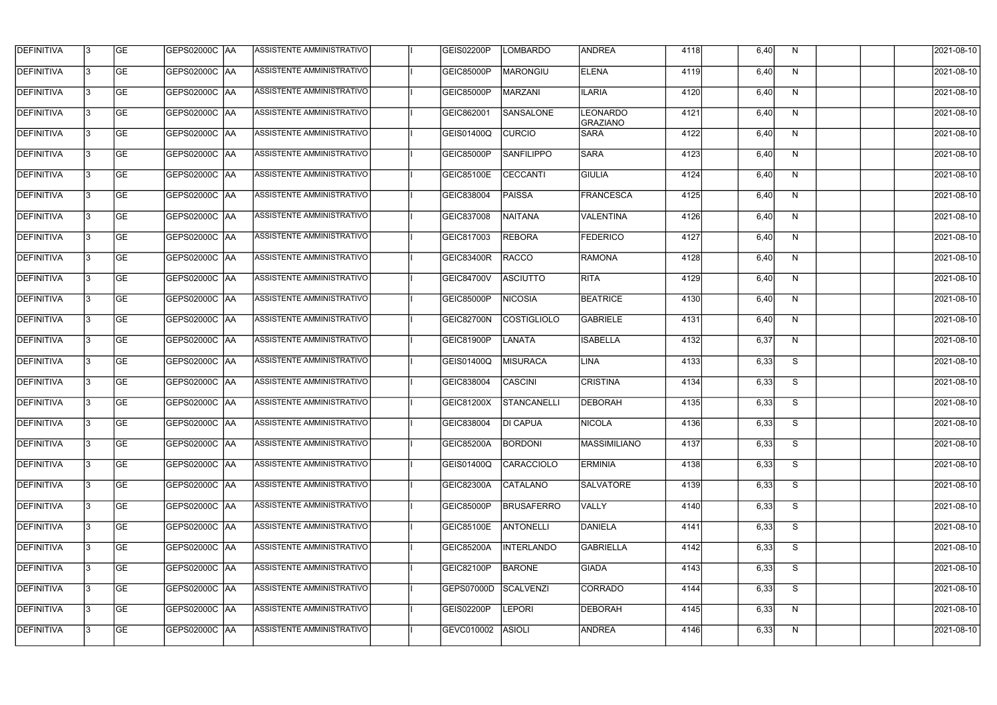| <b>DEFINITIVA</b> | 13  | <b>GE</b> | GEPS02000C  AA       | ASSISTENTE AMMINISTRATIVO        | GEIS02200P        | LOMBARDO           | <b>ANDREA</b>               | 4118 | 6,40 | N.           | 2021-08-10 |
|-------------------|-----|-----------|----------------------|----------------------------------|-------------------|--------------------|-----------------------------|------|------|--------------|------------|
| DEFINITIVA        | l3  | <b>GE</b> | GEPS02000C  AA       | ASSISTENTE AMMINISTRATIVO        | GEIC85000P        | MARONGIU           | <b>ELENA</b>                | 4119 | 6,40 | N            | 2021-08-10 |
| <b>DEFINITIVA</b> | l3  | <b>GE</b> | <b>GEPS02000C AA</b> | ASSISTENTE AMMINISTRATIVO        | GEIC85000P        | <b>MARZANI</b>     | <b>ILARIA</b>               | 4120 | 6,40 | N            | 2021-08-10 |
| <b>DEFINITIVA</b> | l3  | <b>GE</b> | <b>GEPS02000C AA</b> | ASSISTENTE AMMINISTRATIVO        | GEIC862001        | <b>SANSALONE</b>   | <b>LEONARDO</b><br>GRAZIANO | 4121 | 6,40 | $\mathsf{N}$ | 2021-08-10 |
| <b>DEFINITIVA</b> | l3  | <b>GE</b> | GEPS02000C AA        | ASSISTENTE AMMINISTRATIVO        | <b>GEIS01400Q</b> | <b>CURCIO</b>      | <b>SARA</b>                 | 4122 | 6,40 | N            | 2021-08-10 |
| <b>DEFINITIVA</b> | IЗ  | <b>GE</b> | GEPS02000C AA        | <b>ASSISTENTE AMMINISTRATIVO</b> | GEIC85000P        | <b>SANFILIPPO</b>  | <b>SARA</b>                 | 4123 | 6,40 | N            | 2021-08-10 |
| <b>DEFINITIVA</b> | l3  | <b>GE</b> | <b>GEPS02000C AA</b> | <b>ASSISTENTE AMMINISTRATIVO</b> | <b>GEIC85100E</b> | CECCANTI           | GIULIA                      | 4124 | 6,40 | N            | 2021-08-10 |
| <b>DEFINITIVA</b> | l3  | <b>GE</b> | GEPS02000C AA        | ASSISTENTE AMMINISTRATIVO        | GEIC838004        | PAISSA             | FRANCESCA                   | 4125 | 6,40 | N            | 2021-08-10 |
| <b>DEFINITIVA</b> | l3  | <b>GE</b> | GEPS02000C   AA      | ASSISTENTE AMMINISTRATIVO        | GEIC837008        | <b>NAITANA</b>     | VALENTINA                   | 4126 | 6,40 | N            | 2021-08-10 |
| <b>DEFINITIVA</b> | l3  | <b>GE</b> | GEPS02000C AA        | ASSISTENTE AMMINISTRATIVO        | GEIC817003        | <b>REBORA</b>      | <b>FEDERICO</b>             | 4127 | 6,40 | N            | 2021-08-10 |
| <b>DEFINITIVA</b> | l3  | <b>GE</b> | GEPS02000C AA        | ASSISTENTE AMMINISTRATIVO        | <b>GEIC83400R</b> | RACCO              | <b>RAMONA</b>               | 4128 | 6,40 | N            | 2021-08-10 |
| <b>DEFINITIVA</b> | 13  | <b>GE</b> | GEPS02000C AA        | ASSISTENTE AMMINISTRATIVO        | <b>GEIC84700V</b> | <b>ASCIUTTO</b>    | <b>RITA</b>                 | 4129 | 6,40 | N            | 2021-08-10 |
| <b>DEFINITIVA</b> | l3  | <b>GE</b> | GEPS02000C AA        | ASSISTENTE AMMINISTRATIVO        | GEIC85000P        | <b>NICOSIA</b>     | <b>BEATRICE</b>             | 4130 | 6,40 | N            | 2021-08-10 |
| <b>DEFINITIVA</b> | l3  | <b>GE</b> | GEPS02000C AA        | ASSISTENTE AMMINISTRATIVO        | GEIC82700N        | <b>COSTIGLIOLO</b> | <b>GABRIELE</b>             | 4131 | 6,40 | N            | 2021-08-10 |
| <b>DEFINITIVA</b> | l3  | <b>GE</b> | GEPS02000C AA        | ASSISTENTE AMMINISTRATIVO        | GEIC81900P        | <b>LANATA</b>      | <b>ISABELLA</b>             | 4132 | 6,37 | N            | 2021-08-10 |
| <b>DEFINITIVA</b> | l3  | <b>GE</b> | GEPS02000C  AA       | ASSISTENTE AMMINISTRATIVO        | GEIS01400Q        | <b>MISURACA</b>    | LINA                        | 4133 | 6,33 | S            | 2021-08-10 |
| <b>DEFINITIVA</b> | l3  | <b>GE</b> | GEPS02000C  AA       | ASSISTENTE AMMINISTRATIVO        | GEIC838004        | <b>CASCINI</b>     | <b>CRISTINA</b>             | 4134 | 6,33 | S            | 2021-08-10 |
| <b>DEFINITIVA</b> |     | <b>GE</b> | GEPS02000C AA        | ASSISTENTE AMMINISTRATIVO        | GEIC81200X        | STANCANELLI        | DEBORAH                     | 4135 | 6,33 | S            | 2021-08-10 |
| <b>DEFINITIVA</b> | IЗ  | GE        | GEPS02000C  AA       | <b>ASSISTENTE AMMINISTRATIVO</b> | GEIC838004        | <b>DI CAPUA</b>    | <b>NICOLA</b>               | 4136 | 6,33 | S.           | 2021-08-10 |
| <b>DEFINITIVA</b> | 13. | <b>GE</b> | GEPS02000C AA        | ASSISTENTE AMMINISTRATIVO        | <b>GEIC85200A</b> | <b>BORDONI</b>     | <b>MASSIMILIANO</b>         | 4137 | 6,33 | S            | 2021-08-10 |
| <b>DEFINITIVA</b> | 13. | <b>GE</b> | <b>GEPS02000C AA</b> | ASSISTENTE AMMINISTRATIVO        | GEIS01400Q        | CARACCIOLO         | <b>ERMINIA</b>              | 4138 | 6,33 | S            | 2021-08-10 |
| <b>DEFINITIVA</b> | 13. | <b>GE</b> | <b>GEPS02000C AA</b> | ASSISTENTE AMMINISTRATIVO        | <b>GEIC82300A</b> | <b>CATALANO</b>    | <b>SALVATORE</b>            | 4139 | 6,33 | S            | 2021-08-10 |
| <b>DEFINITIVA</b> | 13  | <b>GE</b> | <b>GEPS02000C AA</b> | ASSISTENTE AMMINISTRATIVO        | GEIC85000P        | <b>BRUSAFERRO</b>  | VALLY                       | 4140 | 6,33 | S            | 2021-08-10 |
| <b>DEFINITIVA</b> | 13  | <b>GE</b> | GEPS02000C AA        | ASSISTENTE AMMINISTRATIVO        | <b>GEIC85100E</b> | <b>ANTONELLI</b>   | DANIELA                     | 4141 | 6,33 | S            | 2021-08-10 |
| <b>DEFINITIVA</b> | l3  | <b>GE</b> | GEPS02000C  AA       | ASSISTENTE AMMINISTRATIVO        | <b>GEIC85200A</b> | <b>INTERLANDO</b>  | <b>GABRIELLA</b>            | 4142 | 6,33 | S            | 2021-08-10 |
| DEFINITIVA        | l3  | <b>GE</b> | GEPS02000C  AA       | ASSISTENTE AMMINISTRATIVO        | GEIC82100P        | <b>BARONE</b>      | <b>GIADA</b>                | 4143 | 6,33 | S            | 2021-08-10 |
| DEFINITIVA        | l3  | <b>GE</b> | GEPS02000C  AA       | ASSISTENTE AMMINISTRATIVO        | GEPS07000D        | SCALVENZI          | <b>CORRADO</b>              | 4144 | 6,33 | S            | 2021-08-10 |
| <b>DEFINITIVA</b> | l3  | <b>GE</b> | GEPS02000C AA        | ASSISTENTE AMMINISTRATIVO        | GEIS02200P        | <b>LEPORI</b>      | DEBORAH                     | 4145 | 6,33 | N            | 2021-08-10 |
| <b>DEFINITIVA</b> | lЗ  | <b>GE</b> | GEPS02000C  AA       | ASSISTENTE AMMINISTRATIVO        | GEVC010002        | <b>ASIOLI</b>      | <b>ANDREA</b>               | 4146 | 6,33 | N            | 2021-08-10 |
|                   |     |           |                      |                                  |                   |                    |                             |      |      |              |            |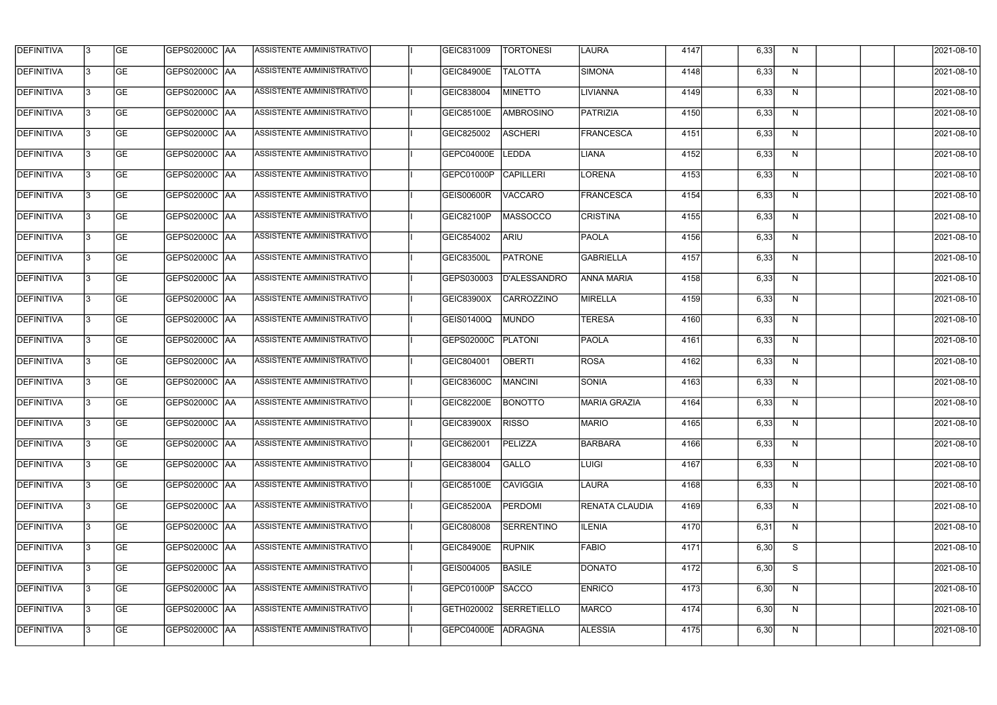| <b>DEFINITIVA</b> | 13 | GE        | GEPS02000C  AA       | ASSISTENTE AMMINISTRATIVO        | GEIC831009        | <b>TORTONESI</b> | <b>LAURA</b>          | 4147 | 6,33 | N. | 2021-08-10       |
|-------------------|----|-----------|----------------------|----------------------------------|-------------------|------------------|-----------------------|------|------|----|------------------|
| <b>DEFINITIVA</b> | IЗ | GE        | GEPS02000C   AA      | ASSISTENTE AMMINISTRATIVO        | <b>GEIC84900E</b> | <b>TALOTTA</b>   | SIMONA                | 4148 | 6,33 | N  | 2021-08-10       |
| <b>DEFINITIVA</b> | 13 | <b>GE</b> | <b>GEPS02000C AA</b> | ASSISTENTE AMMINISTRATIVO        | GEIC838004        | <b>MINETTO</b>   | <b>LIVIANNA</b>       | 4149 | 6,33 | N  | 2021-08-10       |
| <b>DEFINITIVA</b> | l3 | <b>GE</b> | <b>GEPS02000C AA</b> | ASSISTENTE AMMINISTRATIVO        | <b>GEIC85100E</b> | <b>AMBROSINO</b> | PATRIZIA              | 4150 | 6,33 | N  | 2021-08-10       |
| <b>DEFINITIVA</b> | l3 | GE        | GEPS02000C  AA       | ASSISTENTE AMMINISTRATIVO        | GEIC825002        | <b>ASCHERI</b>   | FRANCESCA             | 4151 | 6,33 | N  | 2021-08-10       |
| <b>DEFINITIVA</b> | l3 | <b>GE</b> | <b>GEPS02000C AA</b> | ASSISTENTE AMMINISTRATIVO        | GEPC04000E        | <b>LEDDA</b>     | LIANA                 | 4152 | 6,33 | N  | 2021-08-10       |
| <b>DEFINITIVA</b> | IЗ | <b>GE</b> | GEPS02000C AA        | <b>ASSISTENTE AMMINISTRATIVO</b> | GEPC01000P        | <b>CAPILLERI</b> | LORENA                | 4153 | 6,33 | N  | 2021-08-10       |
| <b>DEFINITIVA</b> | l3 | <b>GE</b> | GEPS02000C AA        | <b>ASSISTENTE AMMINISTRATIVO</b> | <b>GEIS00600R</b> | <b>VACCARO</b>   | FRANCESCA             | 4154 | 6,33 | N  | 2021-08-10       |
| <b>DEFINITIVA</b> | IЗ | <b>GE</b> | GEPS02000C AA        | ASSISTENTE AMMINISTRATIVO        | GEIC82100P        | MASSOCCO         | <b>CRISTINA</b>       | 4155 | 6,33 | N  | 2021-08-10       |
| <b>DEFINITIVA</b> | l3 | GE        | GEPS02000C   AA      | ASSISTENTE AMMINISTRATIVO        | GEIC854002        | ARIU             | <b>PAOLA</b>          | 4156 | 6,33 | N  | 2021-08-10       |
| <b>DEFINITIVA</b> | 13 | <b>GE</b> | GEPS02000C AA        | ASSISTENTE AMMINISTRATIVO        | <b>GEIC83500L</b> | <b>PATRONE</b>   | GABRIELLA             | 4157 | 6,33 | N  | 2021-08-10       |
| <b>DEFINITIVA</b> | l3 | <b>GE</b> | GEPS02000C AA        | <b>ASSISTENTE AMMINISTRATIVO</b> | GEPS030003        | D'ALESSANDRO     | <b>ANNA MARIA</b>     | 4158 | 6,33 | N  | 2021-08-10       |
| <b>DEFINITIVA</b> | l3 | GE        | GEPS02000C  AA       | ASSISTENTE AMMINISTRATIVO        | GEIC83900X        | CARROZZINO       | MIRELLA               | 4159 | 6,33 | N  | 2021-08-10       |
| <b>DEFINITIVA</b> | l3 | <b>GE</b> | GEPS02000C AA        | ASSISTENTE AMMINISTRATIVO        | GEIS01400Q        | <b>MUNDO</b>     | <b>TERESA</b>         | 4160 | 6,33 | N  | 2021-08-10       |
| <b>DEFINITIVA</b> | l3 | <b>GE</b> | GEPS02000C AA        | ASSISTENTE AMMINISTRATIVO        | GEPS02000C        | <b>PLATONI</b>   | <b>PAOLA</b>          | 4161 | 6,33 | N  | 2021-08-10       |
| <b>DEFINITIVA</b> | 13 | GE        | <b>GEPS02000C AA</b> | ASSISTENTE AMMINISTRATIVO        | GEIC804001        | <b>OBERTI</b>    | <b>ROSA</b>           | 4162 | 6,33 | N  | 2021-08-10       |
| <b>DEFINITIVA</b> | l3 | <b>GE</b> | GEPS02000C   AA      | ASSISTENTE AMMINISTRATIVO        | <b>GEIC83600C</b> | <b>MANCINI</b>   | <b>SONIA</b>          | 4163 | 6,33 | N  | 2021-08-10       |
| <b>DEFINITIVA</b> | IЗ | <b>GE</b> | GEPS02000C AA        | ASSISTENTE AMMINISTRATIVO        | <b>GEIC82200E</b> | <b>BONOTTO</b>   | MARIA GRAZIA          | 4164 | 6,33 | N  | 2021-08-10       |
| <b>DEFINITIVA</b> | IЗ | GE        | GEPS02000C  AA       | <b>ASSISTENTE AMMINISTRATIVO</b> | <b>GEIC83900X</b> | <b>RISSO</b>     | MARIO                 | 4165 | 6,33 | N, | 2021-08-10       |
| <b>DEFINITIVA</b> | l3 | GE        | GEPS02000C AA        | ASSISTENTE AMMINISTRATIVO        | GEIC862001        | PELIZZA          | BARBARA               | 4166 | 6,33 | N  | 2021-08-10       |
| <b>DEFINITIVA</b> | l3 | GE        | GEPS02000C AA        | ASSISTENTE AMMINISTRATIVO        | GEIC838004        | <b>GALLO</b>     | <b>LUIGI</b>          | 4167 | 6,33 | N  | 2021-08-10       |
| <b>DEFINITIVA</b> | 13 | <b>GE</b> | GEPS02000C AA        | ASSISTENTE AMMINISTRATIVO        | <b>GEIC85100E</b> | <b>CAVIGGIA</b>  | LAURA                 | 4168 | 6,33 | N  | $2021 - 08 - 10$ |
| <b>DEFINITIVA</b> | l3 | <b>GE</b> | GEPS02000C AA        | ASSISTENTE AMMINISTRATIVO        | <b>GEIC85200A</b> | PERDOMI          | <b>RENATA CLAUDIA</b> | 4169 | 6,33 | N  | 2021-08-10       |
| <b>DEFINITIVA</b> | 13 | <b>GE</b> | GEPS02000C AA        | ASSISTENTE AMMINISTRATIVO        | GEIC808008        | SERRENTINO       | <b>ILENIA</b>         | 4170 | 6,31 | N  | 2021-08-10       |
| <b>DEFINITIVA</b> | l3 | <b>GE</b> | GEPS02000C  AA       | ASSISTENTE AMMINISTRATIVO        | <b>GEIC84900E</b> | <b>RUPNIK</b>    | <b>FABIO</b>          | 4171 | 6,30 | S  | 2021-08-10       |
| <b>DEFINITIVA</b> | l3 | <b>GE</b> | GEPS02000C  AA       | ASSISTENTE AMMINISTRATIVO        | GEIS004005        | <b>BASILE</b>    | <b>DONATO</b>         | 4172 | 6,30 | S  | 2021-08-10       |
| <b>DEFINITIVA</b> | l3 | GE        | GEPS02000C  AA       | ASSISTENTE AMMINISTRATIVO        | GEPC01000P        | SACCO            | <b>ENRICO</b>         | 4173 | 6,30 | N  | 2021-08-10       |
| <b>DEFINITIVA</b> | l3 | GE        | GEPS02000C AA        | ASSISTENTE AMMINISTRATIVO        | GETH020002        | SERRETIELLO      | <b>MARCO</b>          | 4174 | 6,30 | N  | 2021-08-10       |
| <b>DEFINITIVA</b> | l3 | GE        | GEPS02000C  AA       | ASSISTENTE AMMINISTRATIVO        | <b>GEPC04000E</b> | ADRAGNA          | <b>ALESSIA</b>        | 4175 | 6,30 | N  | 2021-08-10       |
|                   |    |           |                      |                                  |                   |                  |                       |      |      |    |                  |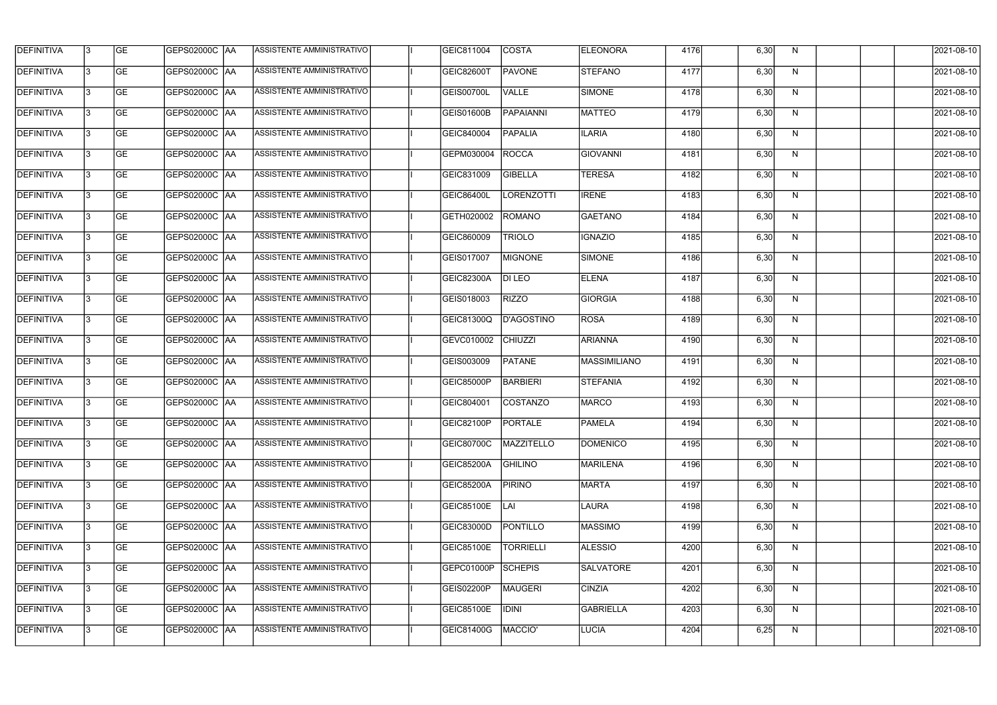| <b>DEFINITIVA</b> | l3 | GE                       | <b>GEPS02000C AA</b> | ASSISTENTE AMMINISTRATIVO        | GEIC811004        | <b>COSTA</b>      | <b>ELEONORA</b>     | 4176 | 6,30 | N | 2021-08-10          |
|-------------------|----|--------------------------|----------------------|----------------------------------|-------------------|-------------------|---------------------|------|------|---|---------------------|
| <b>DEFINITIVA</b> | IЗ | $\overline{\mathsf{GE}}$ | GEPS02000C AA        | ASSISTENTE AMMINISTRATIVO        | <b>GEIC82600T</b> | <b>PAVONE</b>     | STEFANO             | 4177 | 6,30 | N | 2021-08-10          |
| <b>DEFINITIVA</b> | l3 | GE                       | GEPS02000C AA        | ASSISTENTE AMMINISTRATIVO        | GEIS00700L        | <b>VALLE</b>      | SIMONE              | 4178 | 6,30 | N | 2021-08-10          |
| <b>DEFINITIVA</b> | l3 | GE                       | GEPS02000C AA        | ASSISTENTE AMMINISTRATIVO        | <b>GEIS01600B</b> | <b>PAPAIANNI</b>  | <b>MATTEO</b>       | 4179 | 6,30 | N | 2021-08-10          |
| <b>DEFINITIVA</b> | l3 | <b>GE</b>                | <b>GEPS02000C AA</b> | ASSISTENTE AMMINISTRATIVO        | GEIC840004        | <b>PAPALIA</b>    | <b>ILARIA</b>       | 4180 | 6,30 | N | 2021-08-10          |
| <b>DEFINITIVA</b> | IЗ | <b>GE</b>                | <b>GEPS02000C AA</b> | <b>ASSISTENTE AMMINISTRATIVO</b> | GEPM030004        | <b>ROCCA</b>      | <b>GIOVANNI</b>     | 4181 | 6,30 | N | 2021-08-10          |
| <b>DEFINITIVA</b> | l3 | <b>GE</b>                | GEPS02000C AA        | ASSISTENTE AMMINISTRATIVO        | GEIC831009        | <b>GIBELLA</b>    | <b>TERESA</b>       | 4182 | 6,30 | N | 2021-08-10          |
| <b>DEFINITIVA</b> | l3 | <b>GE</b>                | GEPS02000C   AA      | ASSISTENTE AMMINISTRATIVO        | GEIC86400L        | <b>LORENZOTTI</b> | <b>IRENE</b>        | 4183 | 6,30 | N | 2021-08-10          |
| <b>DEFINITIVA</b> | l3 | <b>GE</b>                | GEPS02000C   AA      | ASSISTENTE AMMINISTRATIVO        | GETH020002        | ROMANO            | GAETANO             | 4184 | 6,30 | N | 2021-08-10          |
| <b>DEFINITIVA</b> | l3 | GE                       | GEPS02000C AA        | ASSISTENTE AMMINISTRATIVO        | GEIC860009        | <b>TRIOLO</b>     | <b>IGNAZIO</b>      | 4185 | 6,30 | N | 2021-08-10          |
| <b>DEFINITIVA</b> | l3 | GE                       | GEPS02000C AA        | ASSISTENTE AMMINISTRATIVO        | GEIS017007        | <b>MIGNONE</b>    | SIMONE              | 4186 | 6,30 | N | 2021-08-10          |
| <b>DEFINITIVA</b> | l3 | GE                       | GEPS02000C   AA      | ASSISTENTE AMMINISTRATIVO        | GEIC82300A        | <b>DI LEO</b>     | <b>ELENA</b>        | 4187 | 6,30 | N | 2021-08-10          |
| <b>DEFINITIVA</b> | l3 | <b>GE</b>                | GEPS02000C   AA      | ASSISTENTE AMMINISTRATIVO        | GEIS018003        | <b>RIZZO</b>      | <b>GIORGIA</b>      | 4188 | 6,30 | N | 2021-08-10          |
| <b>DEFINITIVA</b> | IЗ | <b>GE</b>                | GEPS02000C AA        | ASSISTENTE AMMINISTRATIVO        | GEIC81300Q        | <b>D'AGOSTINO</b> | ROSA                | 4189 | 6,30 | N | 2021-08-10          |
| <b>DEFINITIVA</b> | 13 | GE                       | GEPS02000C AA        | ASSISTENTE AMMINISTRATIVO        | GEVC010002        | <b>CHIUZZI</b>    | <b>ARIANNA</b>      | 4190 | 6,30 | N | 2021-08-10          |
| <b>DEFINITIVA</b> | l3 | <b>GE</b>                | GEPS02000C  AA       | ASSISTENTE AMMINISTRATIVO        | GEIS003009        | <b>PATANE</b>     | <b>MASSIMILIANO</b> | 4191 | 6,30 | N | 2021-08-10          |
| <b>DEFINITIVA</b> | IЗ | GE                       | GEPS02000C  AA       | ASSISTENTE AMMINISTRATIVO        | <b>GEIC85000P</b> | <b>BARBIERI</b>   | <b>STEFANIA</b>     | 4192 | 6,30 | N | 2021-08-10          |
| <b>DEFINITIVA</b> | IЗ | GE                       | GEPS02000C   AA      | ASSISTENTE AMMINISTRATIVO        | GEIC804001        | <b>COSTANZO</b>   | <b>MARCO</b>        | 4193 | 6,30 | N | 2021-08-10          |
| DEFINITIVA        | 13 | <b>GE</b>                | GEPS02000C  AA       | ASSISTENTE AMMINISTRATIVO        | <b>GEIC82100P</b> | <b>PORTALE</b>    | <b>PAMELA</b>       | 4194 | 6,30 | N | 2021-08-10          |
| <b>DEFINITIVA</b> | l3 | GE                       | GEPS02000C AA        | ASSISTENTE AMMINISTRATIVO        | GEIC80700C        | MAZZITELLO        | <b>DOMENICO</b>     | 4195 | 6,30 | N | 2021-08-10          |
| <b>DEFINITIVA</b> | 13 | GE                       | GEPS02000C  AA       | ASSISTENTE AMMINISTRATIVO        | <b>GEIC85200A</b> | <b>GHILINO</b>    | MARILENA            | 4196 | 6,30 | N | 2021-08-10          |
| <b>DEFINITIVA</b> | l3 | GE                       | GEPS02000C AA        | ASSISTENTE AMMINISTRATIVO        | <b>GEIC85200A</b> | <b>PIRINO</b>     | <b>MARTA</b>        | 4197 | 6,30 | N | 2021-08-10          |
| <b>DEFINITIVA</b> | 13 | <b>GE</b>                | GEPS02000C AA        | ASSISTENTE AMMINISTRATIVO        | <b>GEIC85100E</b> | <b>LAI</b>        | <b>LAURA</b>        | 4198 | 6,30 | N | 2021-08-10          |
| <b>DEFINITIVA</b> | 13 | <b>GE</b>                | GEPS02000C  AA       | ASSISTENTE AMMINISTRATIVO        | GEIC83000D        | PONTILLO          | <b>MASSIMO</b>      | 4199 | 6,30 | N | 2021-08-10          |
| <b>DEFINITIVA</b> | l3 | <b>GE</b>                | GEPS02000C  AA       | ASSISTENTE AMMINISTRATIVO        | <b>GEIC85100E</b> | <b>TORRIELLI</b>  | ALESSIO             | 4200 | 6,30 | N | 2021-08-10          |
| <b>DEFINITIVA</b> | l3 | <b>GE</b>                | GEPS02000C AA        | ASSISTENTE AMMINISTRATIVO        | GEPC01000P        | <b>SCHEPIS</b>    | <b>SALVATORE</b>    | 4201 | 6,30 | N | 2021-08-10          |
| <b>DEFINITIVA</b> | l3 | <b>GE</b>                | GEPS02000C AA        | ASSISTENTE AMMINISTRATIVO        | GEIS02200P        | MAUGERI           | <b>CINZIA</b>       | 4202 | 6,30 | N | 2021-08-10          |
| <b>DEFINITIVA</b> | l3 | GE                       | GEPS02000C AA        | ASSISTENTE AMMINISTRATIVO        | GEIC85100E        | <b>IDINI</b>      | GABRIELLA           | 4203 | 6,30 | N | 2021-08-10          |
| DEFINITIVA        | l3 | GE                       | GEPS02000C AA        | ASSISTENTE AMMINISTRATIVO        | GEIC81400G        | MACCIO'           | LUCIA               | 4204 | 6,25 | N | $\sqrt{2021-08-10}$ |
|                   |    |                          |                      |                                  |                   |                   |                     |      |      |   |                     |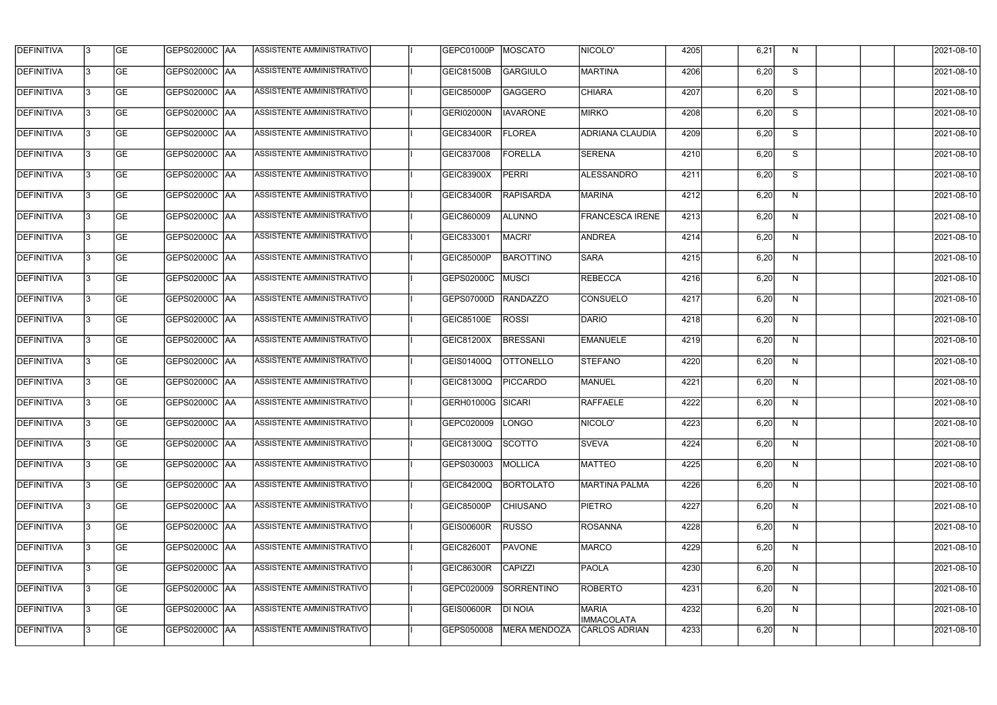| <b>DEFINITIVA</b> | 13 | GE        | GEPS02000C  AA       | ASSISTENTE AMMINISTRATIVO        | GEPC01000P        | <b>MOSCATO</b>      | NICOLO'                           | 4205 | 6,21 | N, | 2021-08-10       |
|-------------------|----|-----------|----------------------|----------------------------------|-------------------|---------------------|-----------------------------------|------|------|----|------------------|
| <b>DEFINITIVA</b> | IЗ | GE        | GEPS02000C   AA      | ASSISTENTE AMMINISTRATIVO        | <b>GEIC81500B</b> | GARGIULO            | MARTINA                           | 4206 | 6,20 | S  | 2021-08-10       |
| <b>DEFINITIVA</b> | 13 | <b>GE</b> | GEPS02000C AA        | ASSISTENTE AMMINISTRATIVO        | GEIC85000P        | <b>GAGGERO</b>      | <b>CHIARA</b>                     | 4207 | 6,20 | S  | 2021-08-10       |
| <b>DEFINITIVA</b> | l3 | <b>GE</b> | <b>GEPS02000C AA</b> | ASSISTENTE AMMINISTRATIVO        | <b>GERI02000N</b> | <b>IAVARONE</b>     | <b>MIRKO</b>                      | 4208 | 6,20 | S  | 2021-08-10       |
| <b>DEFINITIVA</b> | l3 | GE        | GEPS02000C AA        | ASSISTENTE AMMINISTRATIVO        | <b>GEIC83400R</b> | <b>FLOREA</b>       | <b>ADRIANA CLAUDIA</b>            | 4209 | 6,20 | S  | 2021-08-10       |
| <b>DEFINITIVA</b> | l3 | <b>GE</b> | GEPS02000C AA        | <b>ASSISTENTE AMMINISTRATIVO</b> | GEIC837008        | <b>FORELLA</b>      | <b>SERENA</b>                     | 4210 | 6,20 | S  | 2021-08-10       |
| <b>DEFINITIVA</b> | IЗ | <b>GE</b> | GEPS02000C AA        | ASSISTENTE AMMINISTRATIVO        | <b>GEIC83900X</b> | PERRI               | <b>ALESSANDRO</b>                 | 4211 | 6,20 | S  | 2021-08-10       |
| <b>DEFINITIVA</b> | l3 | <b>GE</b> | GEPS02000C AA        | ASSISTENTE AMMINISTRATIVO        | GEIC83400R        | <b>RAPISARDA</b>    | MARINA                            | 4212 | 6,20 | N  | 2021-08-10       |
| <b>DEFINITIVA</b> | IЗ | <b>GE</b> | GEPS02000C AA        | ASSISTENTE AMMINISTRATIVO        | GEIC860009        | <b>ALUNNO</b>       | <b>FRANCESCA IRENE</b>            | 4213 | 6,20 | N  | 2021-08-10       |
| <b>DEFINITIVA</b> | l3 | GE        | GEPS02000C AA        | ASSISTENTE AMMINISTRATIVO        | GEIC833001        | <b>MACRI'</b>       | <b>ANDREA</b>                     | 4214 | 6,20 | N  | 2021-08-10       |
| DEFINITIVA        | 13 | <b>GE</b> | GEPS02000C AA        | ASSISTENTE AMMINISTRATIVO        | GEIC85000P        | <b>BAROTTINO</b>    | <b>SARA</b>                       | 4215 | 6,20 | N  | 2021-08-10       |
| <b>DEFINITIVA</b> | l3 | <b>GE</b> | GEPS02000C AA        | ASSISTENTE AMMINISTRATIVO        | GEPS02000C        | MUSCI               | REBECCA                           | 4216 | 6,20 | N  | 2021-08-10       |
| <b>DEFINITIVA</b> | l3 | GE        | GEPS02000C  AA       | ASSISTENTE AMMINISTRATIVO        | GEPS07000D        | <b>RANDAZZO</b>     | CONSUELO                          | 4217 | 6,20 | N  | 2021-08-10       |
| <b>DEFINITIVA</b> | l3 | <b>GE</b> | GEPS02000C AA        | ASSISTENTE AMMINISTRATIVO        | GEIC85100E        | <b>ROSSI</b>        | DARIO                             | 4218 | 6,20 | N  | 2021-08-10       |
| <b>DEFINITIVA</b> | l3 | <b>GE</b> | GEPS02000C AA        | ASSISTENTE AMMINISTRATIVO        | GEIC81200X        | <b>BRESSANI</b>     | <b>EMANUELE</b>                   | 4219 | 6,20 | N  | 2021-08-10       |
| <b>DEFINITIVA</b> | 13 | GE        | GEPS02000C   AA      | ASSISTENTE AMMINISTRATIVO        | GEIS01400Q        | <b>OTTONELLO</b>    | <b>STEFANO</b>                    | 4220 | 6,20 | N  | 2021-08-10       |
| <b>DEFINITIVA</b> | l3 | <b>GE</b> | GEPS02000C   AA      | ASSISTENTE AMMINISTRATIVO        | GEIC81300Q        | <b>PICCARDO</b>     | <b>MANUEL</b>                     | 4221 | 6,20 | N  | 2021-08-10       |
| <b>DEFINITIVA</b> | IЗ | <b>GE</b> | GEPS02000C AA        | ASSISTENTE AMMINISTRATIVO        | GERH01000G SICARI |                     | RAFFAELE                          | 4222 | 6,20 | N  | 2021-08-10       |
| <b>DEFINITIVA</b> | IЗ | GE        | GEPS02000C  AA       | <b>ASSISTENTE AMMINISTRATIVO</b> | GEPC020009  LONGO |                     | <b>NICOLO'</b>                    | 4223 | 6,20 | N, | 2021-08-10       |
| <b>DEFINITIVA</b> | l3 | GE        | GEPS02000C AA        | ASSISTENTE AMMINISTRATIVO        | GEIC81300Q        | SCOTTO              | <b>SVEVA</b>                      | 4224 | 6,20 | N  | 2021-08-10       |
| <b>DEFINITIVA</b> | l3 | GE        | GEPS02000C AA        | ASSISTENTE AMMINISTRATIVO        | GEPS030003        | MOLLICA             | MATTEO                            | 4225 | 6,20 | N  | 2021-08-10       |
| <b>DEFINITIVA</b> | 13 | <b>GE</b> | GEPS02000C AA        | ASSISTENTE AMMINISTRATIVO        | GEIC84200Q        | <b>BORTOLATO</b>    | MARTINA PALMA                     | 4226 | 6,20 | N  | $2021 - 08 - 10$ |
| <b>DEFINITIVA</b> | l3 | <b>GE</b> | GEPS02000C AA        | ASSISTENTE AMMINISTRATIVO        | GEIC85000P        | <b>CHIUSANO</b>     | <b>PIETRO</b>                     | 4227 | 6,20 | N  | 2021-08-10       |
| <b>DEFINITIVA</b> | 13 | <b>GE</b> | GEPS02000C AA        | ASSISTENTE AMMINISTRATIVO        | <b>GEIS00600R</b> | <b>RUSSO</b>        | ROSANNA                           | 4228 | 6,20 | N  | 2021-08-10       |
| <b>DEFINITIVA</b> | l3 | <b>GE</b> | GEPS02000C  AA       | ASSISTENTE AMMINISTRATIVO        | <b>GEIC82600T</b> | PAVONE              | <b>MARCO</b>                      | 4229 | 6,20 | N  | 2021-08-10       |
| <b>DEFINITIVA</b> | l3 | <b>GE</b> | GEPS02000C AA        | ASSISTENTE AMMINISTRATIVO        | <b>GEIC86300R</b> | CAPIZZI             | <b>PAOLA</b>                      | 4230 | 6,20 | N  | 2021-08-10       |
| <b>DEFINITIVA</b> | l3 | GE        | GEPS02000C  AA       | ASSISTENTE AMMINISTRATIVO        | GEPC020009        | SORRENTINO          | ROBERTO                           | 4231 | 6,20 | N  | 2021-08-10       |
| <b>DEFINITIVA</b> | l3 | GE        | GEPS02000C AA        | ASSISTENTE AMMINISTRATIVO        | <b>GEIS00600R</b> | DI NOIA             | <b>MARIA</b><br><b>IMMACOLATA</b> | 4232 | 6,20 | N  | 2021-08-10       |
| <b>DEFINITIVA</b> | l3 | GE        | GEPS02000C  AA       | ASSISTENTE AMMINISTRATIVO        | GEPS050008        | <b>MERA MENDOZA</b> | <b>CARLOS ADRIAN</b>              | 4233 | 6,20 | N  | 2021-08-10       |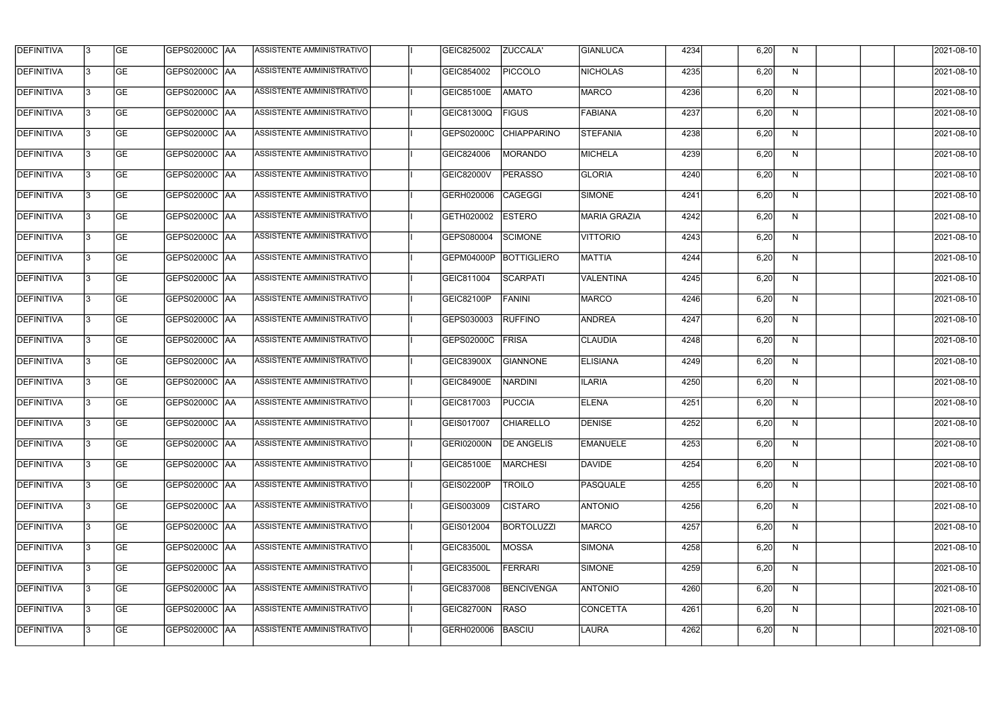| <b>DEFINITIVA</b> | 13  | <b>GE</b> |                      | ASSISTENTE AMMINISTRATIVO        | GEIC825002        | ZUCCALA'           | GIANLUCA            | 4234 | 6,20 | N  | 2021-08-10       |
|-------------------|-----|-----------|----------------------|----------------------------------|-------------------|--------------------|---------------------|------|------|----|------------------|
| DEFINITIVA        | l3  | <b>GE</b> | GEPS02000C  AA       | ASSISTENTE AMMINISTRATIVO        | GEIC854002        | <b>PICCOLO</b>     | NICHOLAS            | 4235 | 6,20 | N  | 2021-08-10       |
| <b>DEFINITIVA</b> | l3  | <b>GE</b> | <b>GEPS02000C AA</b> | ASSISTENTE AMMINISTRATIVO        | <b>GEIC85100E</b> | <b>AMATO</b>       | <b>MARCO</b>        | 4236 | 6,20 | N  | 2021-08-10       |
| <b>DEFINITIVA</b> | 13  | <b>GE</b> | <b>GEPS02000C AA</b> | ASSISTENTE AMMINISTRATIVO        | GEIC81300Q        | <b>FIGUS</b>       | <b>FABIANA</b>      | 4237 | 6,20 | N  | 2021-08-10       |
| <b>DEFINITIVA</b> | l3  | <b>GE</b> | GEPS02000C  AA       | ASSISTENTE AMMINISTRATIVO        | GEPS02000C        | <b>CHIAPPARINO</b> | <b>STEFANIA</b>     | 4238 | 6,20 | N  | 2021-08-10       |
| <b>DEFINITIVA</b> | IЗ  | <b>GE</b> | GEPS02000C AA        | <b>ASSISTENTE AMMINISTRATIVO</b> | GEIC824006        | <b>MORANDO</b>     | <b>MICHELA</b>      | 4239 | 6,20 | N  | 2021-08-10       |
| <b>DEFINITIVA</b> | l3  | <b>GE</b> | <b>GEPS02000C AA</b> | <b>ASSISTENTE AMMINISTRATIVO</b> | <b>GEIC82000V</b> | <b>PERASSO</b>     | <b>GLORIA</b>       | 4240 | 6,20 | N  | 2021-08-10       |
| <b>DEFINITIVA</b> | l3  | <b>GE</b> | GEPS02000C AA        | ASSISTENTE AMMINISTRATIVO        | GERH020006        | CAGEGGI            | SIMONE              | 4241 | 6,20 | N  | 2021-08-10       |
| <b>DEFINITIVA</b> | l3  | <b>GE</b> | GEPS02000C  AA       | ASSISTENTE AMMINISTRATIVO        | GETH020002        | <b>ESTERO</b>      | <b>MARIA GRAZIA</b> | 4242 | 6,20 | N  | 2021-08-10       |
| <b>DEFINITIVA</b> | l3  | <b>GE</b> | GEPS02000C AA        | ASSISTENTE AMMINISTRATIVO        | GEPS080004        | <b>SCIMONE</b>     | <b>VITTORIO</b>     | 4243 | 6,20 | N  | 2021-08-10       |
| <b>DEFINITIVA</b> | l3  | <b>GE</b> | GEPS02000C AA        | ASSISTENTE AMMINISTRATIVO        | GEPM04000P        | <b>BOTTIGLIERO</b> | <b>MATTIA</b>       | 4244 | 6,20 | N  | 2021-08-10       |
| <b>DEFINITIVA</b> | 13  | <b>GE</b> | GEPS02000C  AA       | ASSISTENTE AMMINISTRATIVO        | GEIC811004        | <b>SCARPATI</b>    | VALENTINA           | 4245 | 6,20 | N  | 2021-08-10       |
| <b>DEFINITIVA</b> | l3  | <b>GE</b> | GEPS02000C  AA       | ASSISTENTE AMMINISTRATIVO        | GEIC82100P        | <b>FANINI</b>      | <b>MARCO</b>        | 4246 | 6,20 | N  | 2021-08-10       |
| <b>DEFINITIVA</b> | l3  | <b>GE</b> | GEPS02000C AA        | ASSISTENTE AMMINISTRATIVO        | GEPS030003        | <b>RUFFINO</b>     | ANDREA              | 4247 | 6,20 | N  | 2021-08-10       |
| <b>DEFINITIVA</b> | l3  | <b>GE</b> | GEPS02000C  AA       | ASSISTENTE AMMINISTRATIVO        | GEPS02000C        | <b>FRISA</b>       | <b>CLAUDIA</b>      | 4248 | 6,20 | N  | 2021-08-10       |
| <b>DEFINITIVA</b> | IЗ  | <b>GE</b> | GEPS02000C  AA       | ASSISTENTE AMMINISTRATIVO        | GEIC83900X        | <b>GIANNONE</b>    | <b>ELISIANA</b>     | 4249 | 6,20 | N  | 2021-08-10       |
| <b>DEFINITIVA</b> | IЗ  | <b>GE</b> | GEPS02000C  AA       | ASSISTENTE AMMINISTRATIVO        | <b>GEIC84900E</b> | <b>NARDINI</b>     | <b>ILARIA</b>       | 4250 | 6,20 | N  | 2021-08-10       |
| <b>DEFINITIVA</b> |     | <b>GE</b> | GEPS02000C  AA       | ASSISTENTE AMMINISTRATIVO        | GEIC817003        | <b>PUCCIA</b>      | <b>ELENA</b>        | 4251 | 6,20 | N  | 2021-08-10       |
| <b>DEFINITIVA</b> | IЗ  | GE        | GEPS02000C  AA       | <b>ASSISTENTE AMMINISTRATIVO</b> | GEIS017007        | <b>CHIARELLO</b>   | <b>DENISE</b>       | 4252 | 6,20 | N, | 2021-08-10       |
| <b>DEFINITIVA</b> | 13. | <b>GE</b> | GEPS02000C AA        | ASSISTENTE AMMINISTRATIVO        | GERI02000N        | <b>DE ANGELIS</b>  | <b>EMANUELE</b>     | 4253 | 6,20 | N  | 2021-08-10       |
| <b>DEFINITIVA</b> | 13  | <b>GE</b> | <b>GEPS02000C AA</b> | ASSISTENTE AMMINISTRATIVO        | <b>GEIC85100E</b> | <b>MARCHESI</b>    | DAVIDE              | 4254 | 6,20 | N  | 2021-08-10       |
| <b>DEFINITIVA</b> | 13  | <b>GE</b> | <b>GEPS02000C AA</b> | ASSISTENTE AMMINISTRATIVO        | GEIS02200P        | <b>TROILO</b>      | <b>PASQUALE</b>     | 4255 | 6,20 | N  | $2021 - 08 - 10$ |
| <b>DEFINITIVA</b> | 13  | <b>GE</b> | GEPS02000C AA        | ASSISTENTE AMMINISTRATIVO        | GEIS003009        | <b>CISTARO</b>     | <b>ANTONIO</b>      | 4256 | 6,20 | N  | 2021-08-10       |
| <b>DEFINITIVA</b> | 13  | <b>GE</b> | GEPS02000C AA        | ASSISTENTE AMMINISTRATIVO        | GEIS012004        | <b>BORTOLUZZI</b>  | <b>MARCO</b>        | 4257 | 6,20 | N  | 2021-08-10       |
| <b>DEFINITIVA</b> | 13. | <b>GE</b> | GEPS02000C  AA       | ASSISTENTE AMMINISTRATIVO        | <b>GEIC83500L</b> | MOSSA              | <b>SIMONA</b>       | 4258 | 6,20 | N  | 2021-08-10       |
| DEFINITIVA        | l3  | <b>GE</b> | GEPS02000C  AA       | ASSISTENTE AMMINISTRATIVO        | <b>GEIC83500L</b> | <b>FERRARI</b>     | SIMONE              | 4259 | 6,20 | N  | 2021-08-10       |
| DEFINITIVA        | IЗ  | <b>GE</b> | GEPS02000C  AA       | ASSISTENTE AMMINISTRATIVO        | GEIC837008        | <b>BENCIVENGA</b>  | <b>ANTONIO</b>      | 4260 | 6,20 | N  | 2021-08-10       |
| <b>DEFINITIVA</b> | l3  | <b>GE</b> | <b>GEPS02000C AA</b> | ASSISTENTE AMMINISTRATIVO        | GEIC82700N        | <b>RASO</b>        | <b>CONCETTA</b>     | 4261 | 6,20 | N  | 2021-08-10       |
| <b>DEFINITIVA</b> | lЗ  | <b>GE</b> | GEPS02000C  AA       | ASSISTENTE AMMINISTRATIVO        | GERH020006        | BASCIU             | LAURA               | 4262 | 6,20 | N  | 2021-08-10       |
|                   |     |           |                      |                                  |                   |                    |                     |      |      |    |                  |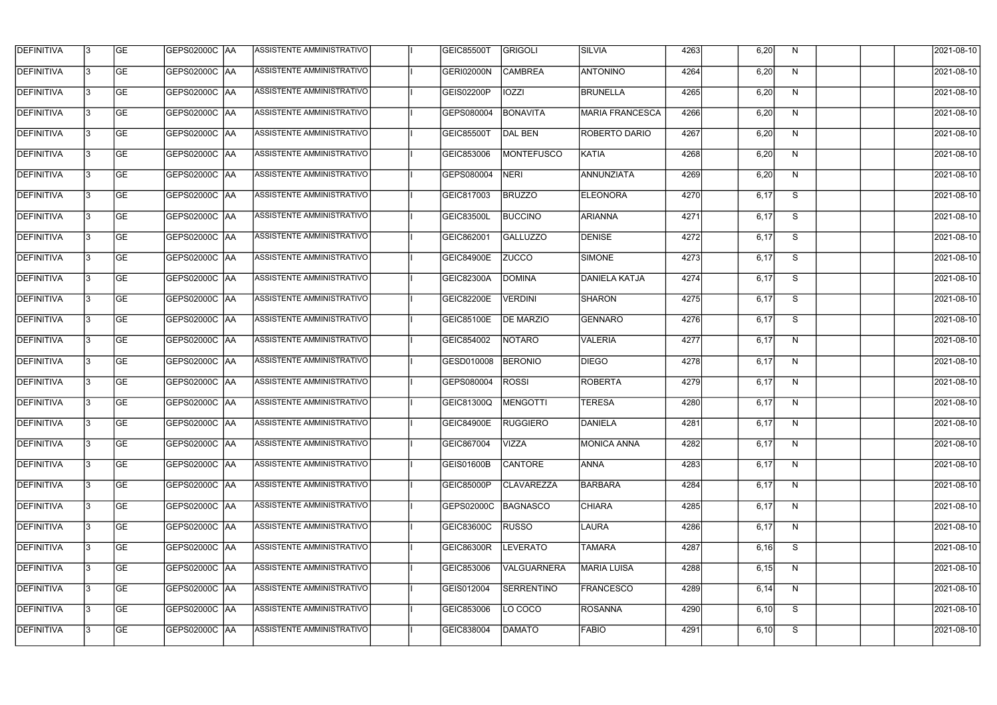| <b>DEFINITIVA</b> | 13 | GE        | GEPS02000C  AA       | ASSISTENTE AMMINISTRATIVO        | <b>GEIC85500T</b> | GRIGOLI           | <b>SILVIA</b>          | 4263 | 6,20 | N. | 2021-08-10       |
|-------------------|----|-----------|----------------------|----------------------------------|-------------------|-------------------|------------------------|------|------|----|------------------|
| <b>DEFINITIVA</b> | IЗ | GE        | GEPS02000C  AA       | ASSISTENTE AMMINISTRATIVO        | GERI02000N        | <b>CAMBREA</b>    | <b>ANTONINO</b>        | 4264 | 6,20 | N  | 2021-08-10       |
| <b>DEFINITIVA</b> | 13 | <b>GE</b> | GEPS02000C AA        | ASSISTENTE AMMINISTRATIVO        | GEIS02200P        | <b>IOZZI</b>      | <b>BRUNELLA</b>        | 4265 | 6,20 | N  | 2021-08-10       |
| <b>DEFINITIVA</b> | l3 | <b>GE</b> | <b>GEPS02000C AA</b> | ASSISTENTE AMMINISTRATIVO        | GEPS080004        | <b>BONAVITA</b>   | <b>MARIA FRANCESCA</b> | 4266 | 6,20 | N  | 2021-08-10       |
| <b>DEFINITIVA</b> | l3 | GE        | GEPS02000C AA        | ASSISTENTE AMMINISTRATIVO        | <b>GEIC85500T</b> | DAL BEN           | ROBERTO DARIO          | 4267 | 6,20 | N  | 2021-08-10       |
| <b>DEFINITIVA</b> | l3 | <b>GE</b> | <b>GEPS02000C AA</b> | <b>ASSISTENTE AMMINISTRATIVO</b> | GEIC853006        | MONTEFUSCO        | KATIA                  | 4268 | 6,20 | N  | 2021-08-10       |
| <b>DEFINITIVA</b> | l3 | <b>GE</b> | GEPS02000C AA        | <b>ASSISTENTE AMMINISTRATIVO</b> | GEPS080004        | <b>NERI</b>       | ANNUNZIATA             | 4269 | 6,20 | N  | 2021-08-10       |
| <b>DEFINITIVA</b> | l3 | <b>GE</b> | GEPS02000C AA        | <b>ASSISTENTE AMMINISTRATIVO</b> | GEIC817003        | <b>BRUZZO</b>     | <b>ELEONORA</b>        | 4270 | 6,17 | S  | 2021-08-10       |
| <b>DEFINITIVA</b> | IЗ | <b>GE</b> | GEPS02000C AA        | ASSISTENTE AMMINISTRATIVO        | GEIC83500L        | <b>BUCCINO</b>    | ARIANNA                | 4271 | 6,17 | S  | 2021-08-10       |
| <b>DEFINITIVA</b> | l3 | GE        | GEPS02000C   AA      | ASSISTENTE AMMINISTRATIVO        | GEIC862001        | GALLUZZO          | DENISE                 | 4272 | 6,17 | S  | 2021-08-10       |
| DEFINITIVA        | 13 | <b>GE</b> | GEPS02000C AA        | ASSISTENTE AMMINISTRATIVO        | <b>GEIC84900E</b> | <b>ZUCCO</b>      | SIMONE                 | 4273 | 6,17 | S  | 2021-08-10       |
| <b>DEFINITIVA</b> | l3 | <b>GE</b> | GEPS02000C AA        | <b>ASSISTENTE AMMINISTRATIVO</b> | GEIC82300A        | <b>DOMINA</b>     | DANIELA KATJA          | 4274 | 6,17 | S  | 2021-08-10       |
| <b>DEFINITIVA</b> | l3 | GE        | GEPS02000C  AA       | ASSISTENTE AMMINISTRATIVO        | <b>GEIC82200E</b> | <b>VERDINI</b>    | <b>SHARON</b>          | 4275 | 6,17 | S  | 2021-08-10       |
| <b>DEFINITIVA</b> | l3 | <b>GE</b> | GEPS02000C AA        | ASSISTENTE AMMINISTRATIVO        | GEIC85100E        | <b>DE MARZIO</b>  | GENNARO                | 4276 | 6,17 | S  | 2021-08-10       |
| <b>DEFINITIVA</b> | l3 | <b>GE</b> | GEPS02000C AA        | ASSISTENTE AMMINISTRATIVO        | GEIC854002        | NOTARO            | <b>VALERIA</b>         | 4277 | 6,17 | N  | 2021-08-10       |
| <b>DEFINITIVA</b> | 13 | GE        | GEPS02000C  AA       | ASSISTENTE AMMINISTRATIVO        | GESD010008        | <b>BERONIO</b>    | <b>DIEGO</b>           | 4278 | 6,17 | N  | 2021-08-10       |
| <b>DEFINITIVA</b> | l3 | <b>GE</b> | GEPS02000C   AA      | ASSISTENTE AMMINISTRATIVO        | GEPS080004        | <b>ROSSI</b>      | <b>ROBERTA</b>         | 4279 | 6,17 | N  | 2021-08-10       |
| <b>DEFINITIVA</b> | IЗ | <b>GE</b> | GEPS02000C AA        | ASSISTENTE AMMINISTRATIVO        | GEIC81300Q        | MENGOTTI          | <b>TERESA</b>          | 4280 | 6,17 | N  | 2021-08-10       |
| <b>DEFINITIVA</b> | IЗ | GE        | GEPS02000C  AA       | <b>ASSISTENTE AMMINISTRATIVO</b> | <b>GEIC84900E</b> | <b>RUGGIERO</b>   | <b>DANIELA</b>         | 4281 | 6,17 | N, | 2021-08-10       |
| <b>DEFINITIVA</b> | l3 | GE        | GEPS02000C AA        | ASSISTENTE AMMINISTRATIVO        | GEIC867004        | <b>VIZZA</b>      | MONICA ANNA            | 4282 | 6,17 | N  | 2021-08-10       |
| <b>DEFINITIVA</b> | l3 | GE        | GEPS02000C AA        | ASSISTENTE AMMINISTRATIVO        | <b>GEIS01600B</b> | <b>CANTORE</b>    | <b>ANNA</b>            | 4283 | 6,17 | N  | 2021-08-10       |
| <b>DEFINITIVA</b> | 13 | <b>GE</b> | GEPS02000C AA        | ASSISTENTE AMMINISTRATIVO        | <b>GEIC85000P</b> | <b>CLAVAREZZA</b> | BARBARA                | 4284 | 6,17 | N  | $2021 - 08 - 10$ |
| <b>DEFINITIVA</b> | l3 | <b>GE</b> | GEPS02000C AA        | ASSISTENTE AMMINISTRATIVO        | GEPS02000C        | BAGNASCO          | <b>CHIARA</b>          | 4285 | 6,17 | N  | 2021-08-10       |
| <b>DEFINITIVA</b> | 13 | <b>GE</b> | GEPS02000C AA        | ASSISTENTE AMMINISTRATIVO        | <b>GEIC83600C</b> | <b>RUSSO</b>      | LAURA                  | 4286 | 6,17 | N  | 2021-08-10       |
| <b>DEFINITIVA</b> | l3 | <b>GE</b> | GEPS02000C  AA       | ASSISTENTE AMMINISTRATIVO        | <b>GEIC86300R</b> | <b>LEVERATO</b>   | <b>TAMARA</b>          | 4287 | 6,16 | S  | 2021-08-10       |
| <b>DEFINITIVA</b> | l3 | <b>GE</b> | GEPS02000C  AA       | ASSISTENTE AMMINISTRATIVO        | GEIC853006        | VALGUARNERA       | MARIA LUISA            | 4288 | 6,15 | N  | 2021-08-10       |
| <b>DEFINITIVA</b> | l3 | GE        | GEPS02000C  AA       | ASSISTENTE AMMINISTRATIVO        | GEIS012004        | <b>SERRENTINO</b> | <b>FRANCESCO</b>       | 4289 | 6,14 | N  | 2021-08-10       |
| <b>DEFINITIVA</b> | l3 | GE        | GEPS02000C AA        | ASSISTENTE AMMINISTRATIVO        | GEIC853006        | LO COCO           | ROSANNA                | 4290 | 6,10 | S  | 2021-08-10       |
| <b>DEFINITIVA</b> | l3 | GE        | GEPS02000C  AA       | ASSISTENTE AMMINISTRATIVO        | GEIC838004        | DAMATO            | <b>FABIO</b>           | 4291 | 6,10 | S  | 2021-08-10       |
|                   |    |           |                      |                                  |                   |                   |                        |      |      |    |                  |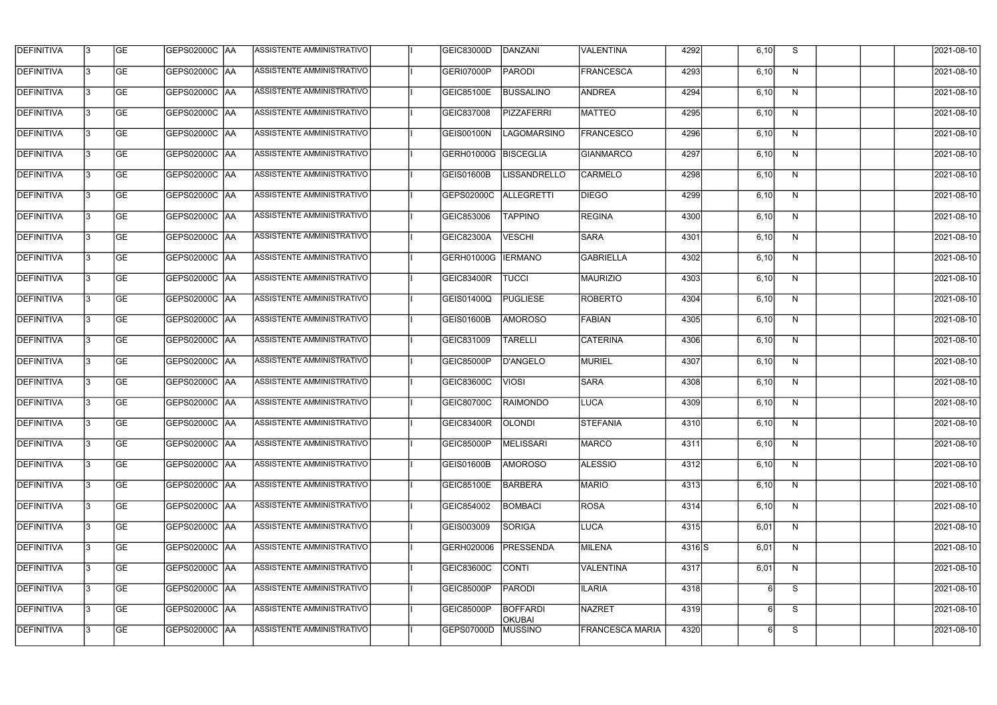| <b>DEFINITIVA</b> | 13  | <b>GE</b> | <b>GEPS02000C AA</b>   | ASSISTENTE AMMINISTRATIVO        | <b>GEIC83000D</b>   | DANZANI                          | VALENTINA              | 4292  | 6,10  | S            | 2021-08-10 |
|-------------------|-----|-----------|------------------------|----------------------------------|---------------------|----------------------------------|------------------------|-------|-------|--------------|------------|
| <b>DEFINITIVA</b> | l3  | <b>GE</b> | GEPS02000C  AA         | ASSISTENTE AMMINISTRATIVO        | GERI07000P          | <b>PARODI</b>                    | <b>FRANCESCA</b>       | 4293  | 6,10  | N            | 2021-08-10 |
| <b>DEFINITIVA</b> | l3  | <b>GE</b> | GEPS02000C AA          | ASSISTENTE AMMINISTRATIVO        | GEIC85100E          | <b>BUSSALINO</b>                 | <b>ANDREA</b>          | 4294  | 6,10  | N            | 2021-08-10 |
| <b>DEFINITIVA</b> | l3  | <b>GE</b> | <b>GEPS02000C AA</b>   | ASSISTENTE AMMINISTRATIVO        | GEIC837008          | <b>PIZZAFERRI</b>                | <b>MATTEO</b>          | 4295  | 6,10  | $\mathsf{N}$ | 2021-08-10 |
| <b>DEFINITIVA</b> | l3  | <b>GE</b> | <b>GEPS02000C AA</b>   | ASSISTENTE AMMINISTRATIVO        | <b>GEIS00100N</b>   | <b>LAGOMARSINO</b>               | <b>FRANCESCO</b>       | 4296  | 6,10  | N            | 2021-08-10 |
| <b>DEFINITIVA</b> | l3  | <b>GE</b> | <b>GEPS02000C AA</b>   | <b>ASSISTENTE AMMINISTRATIVO</b> | GERH01000G          | <b>BISCEGLIA</b>                 | <b>GIANMARCO</b>       | 4297  | 6,10  | N            | 2021-08-10 |
| <b>DEFINITIVA</b> | l3  | <b>GE</b> | GEPS02000C AA          | ASSISTENTE AMMINISTRATIVO        | GEIS01600B          | <b>LISSANDRELLO</b>              | <b>CARMELO</b>         | 4298  | 6,10  | N            | 2021-08-10 |
| <b>DEFINITIVA</b> | l3  | <b>GE</b> | <b>GEPS02000C AA</b>   | ASSISTENTE AMMINISTRATIVO        | GEPS02000C          | <b>ALLEGRETTI</b>                | <b>DIEGO</b>           | 4299  | 6,10  | N            | 2021-08-10 |
| <b>DEFINITIVA</b> |     | <b>GE</b> |                        | ASSISTENTE AMMINISTRATIVO        | GEIC853006          | <b>TAPPINO</b>                   | <b>REGINA</b>          | 4300  | 6,10  | N            | 2021-08-10 |
| <b>DEFINITIVA</b> | l3  | <b>GE</b> |                        | ASSISTENTE AMMINISTRATIVO        | <b>GEIC82300A</b>   | <b>VESCHI</b>                    | <b>SARA</b>            | 4301  | 6,10  | N            | 2021-08-10 |
| DEFINITIVA        | 13  | <b>GE</b> | GEPS02000C AA          | ASSISTENTE AMMINISTRATIVO        | GERH01000G          | <b>IERMANO</b>                   | <b>GABRIELLA</b>       | 4302  | 6,10  | N            | 2021-08-10 |
| <b>DEFINITIVA</b> | l3  | <b>GE</b> |                        | ASSISTENTE AMMINISTRATIVO        | GEIC83400R          | <b>TUCCI</b>                     | <b>MAURIZIO</b>        | 4303  | 6,10  | $\mathsf{N}$ | 2021-08-10 |
| <b>DEFINITIVA</b> | l3  | <b>GE</b> | GEPS02000C AA          | ASSISTENTE AMMINISTRATIVO        | GEIS01400Q          | <b>PUGLIESE</b>                  | <b>ROBERTO</b>         | 4304  | 6, 10 | N            | 2021-08-10 |
| <b>DEFINITIVA</b> | l3  | <b>GE</b> | GEPS02000C  AA         | ASSISTENTE AMMINISTRATIVO        | GEIS01600B          | <b>AMOROSO</b>                   | FABIAN                 | 4305  | 6,10  | N            | 2021-08-10 |
| <b>DEFINITIVA</b> | l3  | <b>GE</b> | GEPS02000C  AA         | ASSISTENTE AMMINISTRATIVO        | GEIC831009          | <b>TARELLI</b>                   | <b>CATERINA</b>        | 4306  | 6,10  | N            | 2021-08-10 |
| <b>DEFINITIVA</b> | IЗ  | <b>GE</b> |                        | ASSISTENTE AMMINISTRATIVO        | <b>GEIC85000P</b>   | D'ANGELO                         | MURIEL                 | 4307  | 6,10  | N            | 2021-08-10 |
| <b>DEFINITIVA</b> | I3  | <b>GE</b> | GEPS02000C  AA         | ASSISTENTE AMMINISTRATIVO        | <b>GEIC83600C</b>   | <b>VIOSI</b>                     | <b>SARA</b>            | 4308  | 6,10  | N            | 2021-08-10 |
| DEFINITIVA        |     | <b>GE</b> |                        | ASSISTENTE AMMINISTRATIVO        | <b>GEIC80700C</b>   | <b>RAIMONDO</b>                  | LUCA                   | 4309  | 6,10  | N            | 2021-08-10 |
| <b>DEFINITIVA</b> | 13  | <b>GE</b> | <b>GEPS02000C   AA</b> | ASSISTENTE AMMINISTRATIVO        | GEIC83400R   OLONDI |                                  | <b>STEFANIA</b>        | 4310  | 6,10  | N            | 2021-08-10 |
| <b>DEFINITIVA</b> | 13  | <b>GE</b> | <b>GEPS02000C AA</b>   | ASSISTENTE AMMINISTRATIVO        | <b>GEIC85000P</b>   | MELISSARI                        | <b>MARCO</b>           | 4311  | 6,10  | N            | 2021-08-10 |
| <b>DEFINITIVA</b> | 13  | <b>GE</b> | GEPS02000C  AA         | ASSISTENTE AMMINISTRATIVO        | <b>GEIS01600B</b>   | <b>AMOROSO</b>                   | <b>ALESSIO</b>         | 4312  | 6,10  | N            | 2021-08-10 |
| <b>DEFINITIVA</b> | 13. | <b>GE</b> | GEPS02000C AA          | ASSISTENTE AMMINISTRATIVO        | <b>GEIC85100E</b>   | <b>BARBERA</b>                   | <b>MARIO</b>           | 4313  | 6,10  | N            | 2021-08-10 |
| <b>DEFINITIVA</b> | 13  | <b>GE</b> | GEPS02000C AA          | ASSISTENTE AMMINISTRATIVO        | GEIC854002          | <b>BOMBACI</b>                   | ROSA                   | 4314  | 6,10  | N            | 2021-08-10 |
| <b>DEFINITIVA</b> | 13  | <b>GE</b> | GEPS02000C  AA         | ASSISTENTE AMMINISTRATIVO        | GEIS003009          | SORIGA                           | LUCA                   | 4315  | 6,01  | N            | 2021-08-10 |
| <b>DEFINITIVA</b> | IЗ  | <b>GE</b> | GEPS02000C  AA         | ASSISTENTE AMMINISTRATIVO        | GERH020006          | PRESSENDA                        | MILENA                 | 4316S | 6,01  | N            | 2021-08-10 |
| DEFINITIVA        | l3  | <b>GE</b> | GEPS02000C  AA         | ASSISTENTE AMMINISTRATIVO        | GEIC83600C          | <b>CONTI</b>                     | <b>VALENTINA</b>       | 4317  | 6,01  | N            | 2021-08-10 |
| <b>DEFINITIVA</b> | l3  | <b>GE</b> | GEPS02000C  AA         | ASSISTENTE AMMINISTRATIVO        | GEIC85000P          | <b>PARODI</b>                    | <b>ILARIA</b>          | 4318  |       | S            | 2021-08-10 |
| <b>DEFINITIVA</b> | 13. | <b>GE</b> | GEPS02000C  AA         | ASSISTENTE AMMINISTRATIVO        | GEIC85000P          | <b>BOFFARDI</b><br><b>OKUBAI</b> | NAZRET                 | 4319  | 6     | S            | 2021-08-10 |
| <b>DEFINITIVA</b> | IЗ  | <b>GE</b> | GEPS02000C  AA         | ASSISTENTE AMMINISTRATIVO        | GEPS07000D          | <b>MUSSINO</b>                   | <b>FRANCESCA MARIA</b> | 4320  | 6     | S            | 2021-08-10 |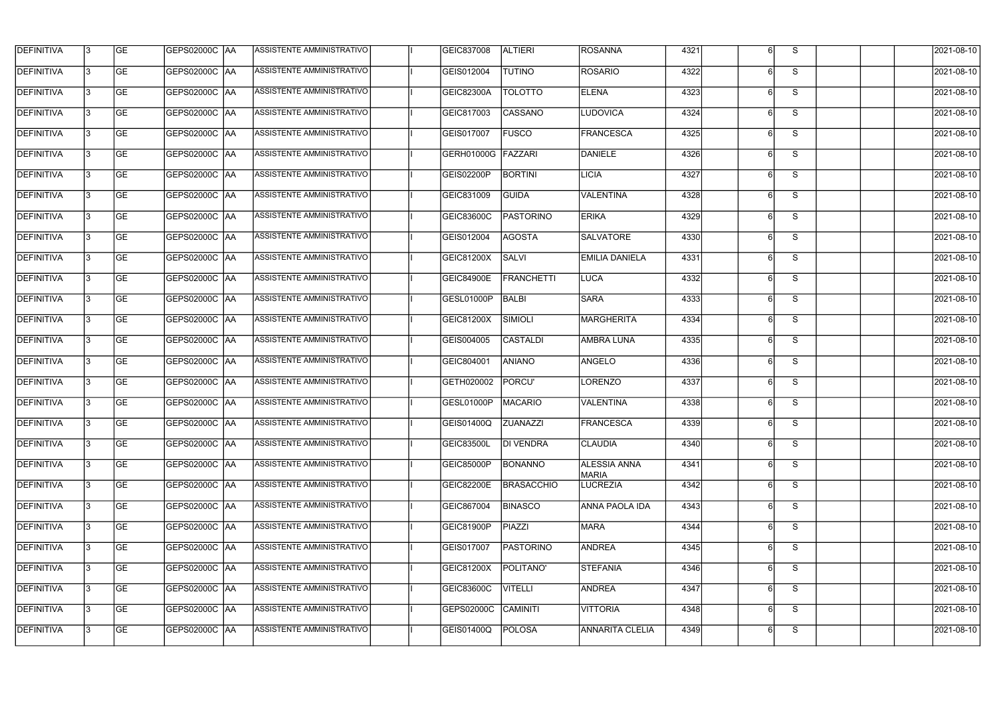| <b>DEFINITIVA</b> | 13 | GE        | GEPS02000C  AA       | ASSISTENTE AMMINISTRATIVO        | GEIC837008          | <b>ALTIERI</b>    | ROSANNA                             | 4321 |   | S. | 2021-08-10 |
|-------------------|----|-----------|----------------------|----------------------------------|---------------------|-------------------|-------------------------------------|------|---|----|------------|
| <b>DEFINITIVA</b> | IЗ | GE        | GEPS02000C  AA       | ASSISTENTE AMMINISTRATIVO        | GEIS012004          | <b>TUTINO</b>     | ROSARIO                             | 4322 |   | S  | 2021-08-10 |
| <b>DEFINITIVA</b> | 13 | GE        | GEPS02000C AA        | ASSISTENTE AMMINISTRATIVO        | <b>GEIC82300A</b>   | <b>TOLOTTO</b>    | <b>ELENA</b>                        | 4323 |   | S  | 2021-08-10 |
| <b>DEFINITIVA</b> | l3 | <b>GE</b> | <b>GEPS02000C AA</b> | ASSISTENTE AMMINISTRATIVO        | GEIC817003          | CASSANO           | <b>LUDOVICA</b>                     | 4324 | 6 | S  | 2021-08-10 |
| <b>DEFINITIVA</b> | l3 | GE        | GEPS02000C AA        | <b>ASSISTENTE AMMINISTRATIVO</b> | GEIS017007          | <b>FUSCO</b>      | FRANCESCA                           | 4325 |   | S  | 2021-08-10 |
| <b>DEFINITIVA</b> | l3 | <b>GE</b> | GEPS02000C AA        | <b>ASSISTENTE AMMINISTRATIVO</b> | <b>GERH01000G</b>   | FAZZARI           | DANIELE                             | 4326 | 6 | S  | 2021-08-10 |
| <b>DEFINITIVA</b> | l3 | <b>GE</b> | GEPS02000C AA        | <b>ASSISTENTE AMMINISTRATIVO</b> | GEIS02200P          | <b>BORTINI</b>    | LICIA                               | 4327 |   | S  | 2021-08-10 |
| <b>DEFINITIVA</b> | l3 | <b>GE</b> | GEPS02000C AA        | <b>ASSISTENTE AMMINISTRATIVO</b> | GEIC831009          | <b>GUIDA</b>      | <b>VALENTINA</b>                    | 4328 |   | S  | 2021-08-10 |
| <b>DEFINITIVA</b> | l3 | <b>GE</b> | GEPS02000C  AA       | ASSISTENTE AMMINISTRATIVO        | <b>GEIC83600C</b>   | <b>PASTORINO</b>  | <b>ERIKA</b>                        | 4329 |   | S  | 2021-08-10 |
| <b>DEFINITIVA</b> | l3 | GE        | GEPS02000C   AA      | ASSISTENTE AMMINISTRATIVO        | GEIS012004          | AGOSTA            | <b>SALVATORE</b>                    | 4330 |   | S  | 2021-08-10 |
| <b>DEFINITIVA</b> | 13 | GE        | GEPS02000C AA        | ASSISTENTE AMMINISTRATIVO        | GEIC81200X          | SALVI             | <b>EMILIA DANIELA</b>               | 4331 |   | S  | 2021-08-10 |
| <b>DEFINITIVA</b> | l3 | <b>GE</b> | GEPS02000C AA        | ASSISTENTE AMMINISTRATIVO        | <b>GEIC84900E</b>   | FRANCHETTI        | LUCA                                | 4332 |   | S  | 2021-08-10 |
| <b>DEFINITIVA</b> | l3 | GE        | GEPS02000C  AA       | ASSISTENTE AMMINISTRATIVO        | <b>GESL01000P</b>   | BALBI             | <b>SARA</b>                         | 4333 |   | S  | 2021-08-10 |
| <b>DEFINITIVA</b> | l3 | <b>GE</b> | GEPS02000C AA        | ASSISTENTE AMMINISTRATIVO        | GEIC81200X          | SIMIOLI           | MARGHERITA                          | 4334 | 6 | S  | 2021-08-10 |
| <b>DEFINITIVA</b> | l3 | <b>GE</b> | GEPS02000C AA        | ASSISTENTE AMMINISTRATIVO        | GEIS004005          | CASTALDI          | <b>AMBRA LUNA</b>                   | 4335 |   | S  | 2021-08-10 |
| <b>DEFINITIVA</b> | 13 | GE        | GEPS02000C AA        | ASSISTENTE AMMINISTRATIVO        | GEIC804001          | <b>ANIANO</b>     | ANGELO                              | 4336 | 6 | S  | 2021-08-10 |
| <b>DEFINITIVA</b> | l3 | <b>GE</b> | GEPS02000C   AA      | ASSISTENTE AMMINISTRATIVO        | GETH020002          | PORCU'            | LORENZO                             | 4337 |   | S  | 2021-08-10 |
| <b>DEFINITIVA</b> | IЗ | <b>GE</b> | GEPS02000C  AA       | ASSISTENTE AMMINISTRATIVO        | GESL01000P          | <b>MACARIO</b>    | VALENTINA                           | 4338 |   | S  | 2021-08-10 |
| <b>DEFINITIVA</b> | IЗ | GE        | GEPS02000C  AA       | <b>ASSISTENTE AMMINISTRATIVO</b> | GEIS01400Q ZUANAZZI |                   | <b>FRANCESCA</b>                    | 4339 |   | S. | 2021-08-10 |
| <b>DEFINITIVA</b> | l3 | GE        | <b>GEPS02000C AA</b> | ASSISTENTE AMMINISTRATIVO        | <b>GEIC83500L</b>   | <b>DI VENDRA</b>  | <b>CLAUDIA</b>                      | 4340 |   | S  | 2021-08-10 |
| <b>DEFINITIVA</b> | l3 | GE        | <b>GEPS02000C AA</b> | ASSISTENTE AMMINISTRATIVO        | GEIC85000P          | BONANNO           | <b>ALESSIA ANNA</b><br><b>MARIA</b> | 4341 |   | S  | 2021-08-10 |
| <b>DEFINITIVA</b> | 13 | <b>GE</b> | GEPS02000C AA        | ASSISTENTE AMMINISTRATIVO        | <b>GEIC82200E</b>   | <b>BRASACCHIO</b> | <b>LUCREZIA</b>                     | 4342 | 6 | S  | 2021-08-10 |
| <b>DEFINITIVA</b> | l3 | <b>GE</b> | <b>GEPS02000C AA</b> | ASSISTENTE AMMINISTRATIVO        | GEIC867004          | <b>BINASCO</b>    | ANNA PAOLA IDA                      | 4343 |   | S  | 2021-08-10 |
| <b>DEFINITIVA</b> | l3 | <b>GE</b> | GEPS02000C AA        | ASSISTENTE AMMINISTRATIVO        | GEIC81900P          | PIAZZI            | <b>MARA</b>                         | 4344 |   | S  | 2021-08-10 |
| <b>DEFINITIVA</b> | l3 | <b>GE</b> | GEPS02000C  AA       | ASSISTENTE AMMINISTRATIVO        | GEIS017007          | PASTORINO         | <b>ANDREA</b>                       | 4345 |   | S  | 2021-08-10 |
| <b>DEFINITIVA</b> | l3 | <b>GE</b> | GEPS02000C  AA       | ASSISTENTE AMMINISTRATIVO        | GEIC81200X          | POLITANO'         | <b>STEFANIA</b>                     | 4346 |   | S  | 2021-08-10 |
| <b>DEFINITIVA</b> | l3 | GE        | GEPS02000C  AA       | ASSISTENTE AMMINISTRATIVO        | <b>GEIC83600C</b>   | <b>VITELLI</b>    | <b>ANDREA</b>                       | 4347 |   | S  | 2021-08-10 |
| <b>DEFINITIVA</b> | l3 | GE        | GEPS02000C AA        | ASSISTENTE AMMINISTRATIVO        | GEPS02000C          | <b>CAMINITI</b>   | <b>VITTORIA</b>                     | 4348 | 6 | S  | 2021-08-10 |
| <b>DEFINITIVA</b> | l3 | GE        | GEPS02000C AA        | ASSISTENTE AMMINISTRATIVO        | GEIS01400Q          | POLOSA            | <b>ANNARITA CLELIA</b>              | 4349 |   | S  | 2021-08-10 |
|                   |    |           |                      |                                  |                     |                   |                                     |      |   |    |            |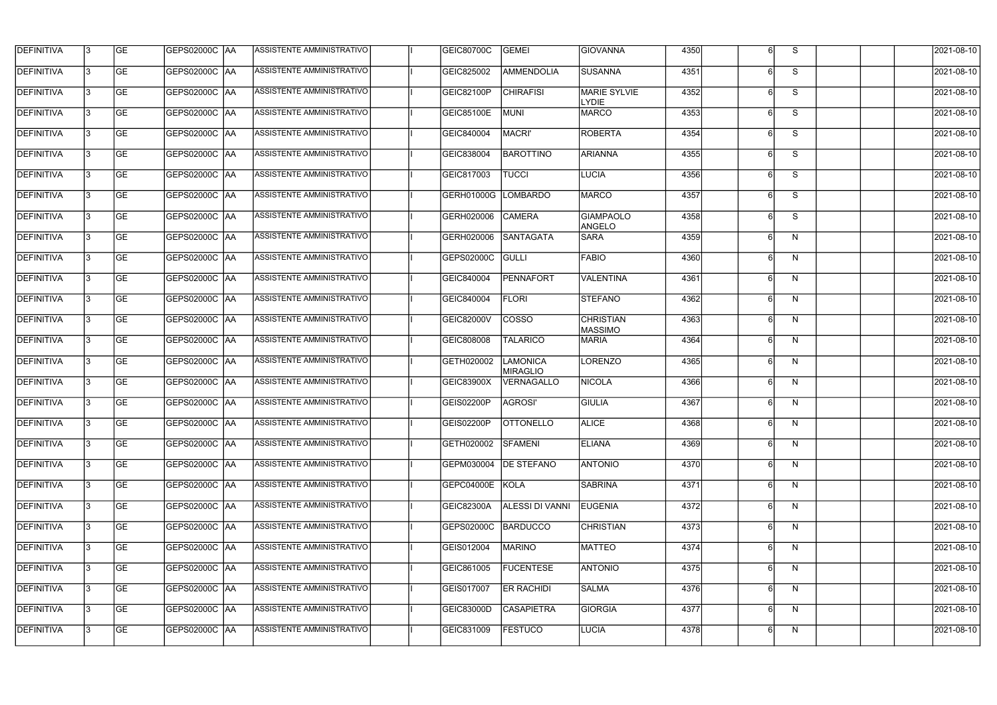| <b>DEFINITIVA</b> | 13  | <b>GE</b> | <b>GEPS02000C AA</b>   | ASSISTENTE AMMINISTRATIVO        | GEIC80700C        | GEMEI                       | <b>GIOVANNA</b>                     | 4350 | 6 | S            | 2021-08-10 |
|-------------------|-----|-----------|------------------------|----------------------------------|-------------------|-----------------------------|-------------------------------------|------|---|--------------|------------|
| DEFINITIVA        | l3  | <b>GE</b> | <b>GEPS02000C AA</b>   | ASSISTENTE AMMINISTRATIVO        | GEIC825002        | AMMENDOLIA                  | <b>SUSANNA</b>                      | 4351 | 6 | S            | 2021-08-10 |
| <b>DEFINITIVA</b> | l3  | <b>GE</b> | <b>GEPS02000C AA</b>   | ASSISTENTE AMMINISTRATIVO        | GEIC82100P        | <b>CHIRAFISI</b>            | <b>MARIE SYLVIE</b><br><b>LYDIE</b> | 4352 | 6 | S            | 2021-08-10 |
| <b>DEFINITIVA</b> | l3  | <b>GE</b> | <b>GEPS02000C AA</b>   | ASSISTENTE AMMINISTRATIVO        | <b>GEIC85100E</b> | <b>MUNI</b>                 | <b>MARCO</b>                        | 4353 | 6 | S            | 2021-08-10 |
| <b>DEFINITIVA</b> | l3  | <b>GE</b> | GEPS02000C AA          | ASSISTENTE AMMINISTRATIVO        | GEIC840004        | <b>MACRI'</b>               | <b>ROBERTA</b>                      | 4354 | 6 | S            | 2021-08-10 |
| <b>DEFINITIVA</b> | lЗ  | <b>GE</b> | <b>GEPS02000C AA</b>   | <b>ASSISTENTE AMMINISTRATIVO</b> | GEIC838004        | <b>BAROTTINO</b>            | <b>ARIANNA</b>                      | 4355 | 6 | S            | 2021-08-10 |
| <b>DEFINITIVA</b> | l3  | <b>GE</b> | <b>GEPS02000C AA</b>   | ASSISTENTE AMMINISTRATIVO        | GEIC817003        | <b>TUCCI</b>                | <b>LUCIA</b>                        | 4356 | 6 | S            | 2021-08-10 |
| <b>DEFINITIVA</b> | l3  | <b>GE</b> | <b>GEPS02000C AA</b>   | ASSISTENTE AMMINISTRATIVO        | GERH01000G        | LOMBARDO                    | MARCO                               | 4357 |   | S            | 2021-08-10 |
| <b>DEFINITIVA</b> | l3  | <b>GE</b> |                        | ASSISTENTE AMMINISTRATIVO        | GERH020006        | <b>CAMERA</b>               | <b>GIAMPAOLO</b><br>ANGELO          | 4358 |   | S            | 2021-08-10 |
| <b>DEFINITIVA</b> | l3  | <b>GE</b> |                        | ASSISTENTE AMMINISTRATIVO        | GERH020006        | <b>SANTAGATA</b>            | <b>SARA</b>                         | 4359 |   | N            | 2021-08-10 |
| <b>DEFINITIVA</b> | 13  | <b>GE</b> | GEPS02000C AA          | ASSISTENTE AMMINISTRATIVO        | GEPS02000C        | <b>GULLI</b>                | <b>FABIO</b>                        | 4360 | 6 | N            | 2021-08-10 |
| <b>DEFINITIVA</b> | l3  | <b>GE</b> |                        | ASSISTENTE AMMINISTRATIVO        | GEIC840004        | PENNAFORT                   | VALENTINA                           | 4361 |   | N            | 2021-08-10 |
| <b>DEFINITIVA</b> | l3  | <b>GE</b> | <b>GEPS02000C   AA</b> | ASSISTENTE AMMINISTRATIVO        | GEIC840004        | <b>FLORI</b>                | <b>STEFANO</b>                      | 4362 |   | N            | 2021-08-10 |
| <b>DEFINITIVA</b> | l3  | <b>GE</b> |                        | ASSISTENTE AMMINISTRATIVO        | <b>GEIC82000V</b> | <b>COSSO</b>                | <b>CHRISTIAN</b><br><b>MASSIMO</b>  | 4363 | 6 | $\mathsf{N}$ | 2021-08-10 |
| <b>DEFINITIVA</b> | l3  | <b>GE</b> |                        | ASSISTENTE AMMINISTRATIVO        | GEIC808008        | <b>TALARICO</b>             | <b>MARIA</b>                        | 4364 | 6 | $\mathsf{N}$ | 2021-08-10 |
| <b>DEFINITIVA</b> | l3  | <b>GE</b> |                        | ASSISTENTE AMMINISTRATIVO        | GETH020002        | LAMONICA<br><b>MIRAGLIO</b> | LORENZO                             | 4365 | 6 | N            | 2021-08-10 |
| <b>DEFINITIVA</b> | l3  | <b>GE</b> | GEPS02000C  AA         | ASSISTENTE AMMINISTRATIVO        | GEIC83900X        | VERNAGALLO                  | <b>NICOLA</b>                       | 4366 |   | N            | 2021-08-10 |
| <b>DEFINITIVA</b> |     | <b>GE</b> |                        | ASSISTENTE AMMINISTRATIVO        | GEIS02200P        | <b>AGROSI'</b>              | <b>GIULIA</b>                       | 4367 |   | N            | 2021-08-10 |
| <b>DEFINITIVA</b> | 13  | <b>GE</b> | GEPS02000C  AA         | ASSISTENTE AMMINISTRATIVO        | GEIS02200P        | <b>OTTONELLO</b>            | <b>ALICE</b>                        | 4368 |   | N.           | 2021-08-10 |
| <b>DEFINITIVA</b> | 13  | <b>GE</b> | <b>GEPS02000C AA</b>   | ASSISTENTE AMMINISTRATIVO        | GETH020002        | SFAMENI                     | <b>ELIANA</b>                       | 4369 | 6 | N            | 2021-08-10 |
| <b>DEFINITIVA</b> | 13  | <b>GE</b> | GEPS02000C  AA         | ASSISTENTE AMMINISTRATIVO        | GEPM030004        | <b>DE STEFANO</b>           | <b>ANTONIO</b>                      | 4370 |   | N            | 2021-08-10 |
| <b>DEFINITIVA</b> | 13. | <b>GE</b> | GEPS02000C AA          | ASSISTENTE AMMINISTRATIVO        | GEPC04000E        | KOLA                        | <b>SABRINA</b>                      | 4371 | 6 | N            | 2021-08-10 |
| <b>DEFINITIVA</b> | 13  | <b>GE</b> | GEPS02000C AA          | ASSISTENTE AMMINISTRATIVO        | GEIC82300A        | ALESSI DI VANNI             | <b>EUGENIA</b>                      | 4372 | 6 | N            | 2021-08-10 |
| <b>DEFINITIVA</b> | 13  | <b>GE</b> | GEPS02000C  AA         | ASSISTENTE AMMINISTRATIVO        | GEPS02000C        | BARDUCCO                    | <b>CHRISTIAN</b>                    | 4373 |   | N            | 2021-08-10 |
| <b>DEFINITIVA</b> | IЗ  | <b>GE</b> | GEPS02000C  AA         | ASSISTENTE AMMINISTRATIVO        | GEIS012004        | <b>MARINO</b>               | MATTEO                              | 4374 |   | N            | 2021-08-10 |
| DEFINITIVA        | l3  | <b>GE</b> | GEPS02000C  AA         | ASSISTENTE AMMINISTRATIVO        | GEIC861005        | <b>FUCENTESE</b>            | <b>ANTONIO</b>                      | 4375 |   | N            | 2021-08-10 |
| <b>DEFINITIVA</b> | l3  | <b>GE</b> | GEPS02000C  AA         | ASSISTENTE AMMINISTRATIVO        | GEIS017007        | <b>ER RACHIDI</b>           | <b>SALMA</b>                        | 4376 | 6 | N,           | 2021-08-10 |
| <b>DEFINITIVA</b> | 13. | <b>GE</b> | GEPS02000C AA          | ASSISTENTE AMMINISTRATIVO        | GEIC83000D        | <b>CASAPIETRA</b>           | <b>GIORGIA</b>                      | 4377 | 6 | N            | 2021-08-10 |
| <b>DEFINITIVA</b> |     | <b>GE</b> | GEPS02000C  AA         | ASSISTENTE AMMINISTRATIVO        | GEIC831009        | <b>FESTUCO</b>              | LUCIA                               | 4378 |   | N            | 2021-08-10 |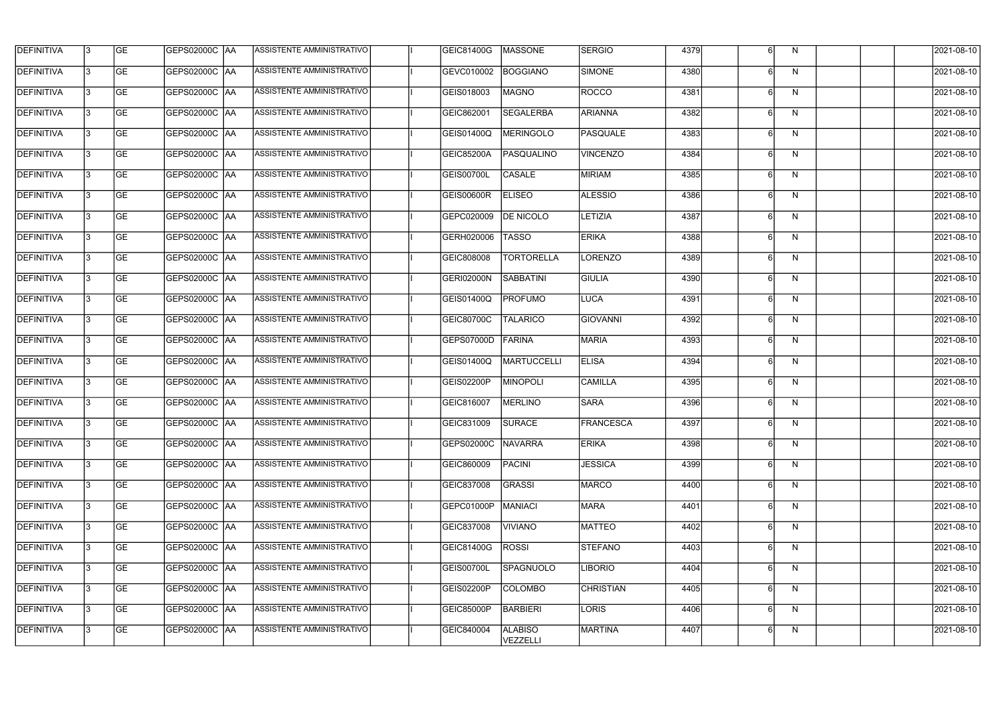| <b>DEFINITIVA</b> | 13 | GE        | GEPS02000C  AA       | ASSISTENTE AMMINISTRATIVO        | GEIC81400G        | <b>MASSONE</b>             | <b>SERGIO</b>    | 4379 |   | N            | 2021-08-10       |
|-------------------|----|-----------|----------------------|----------------------------------|-------------------|----------------------------|------------------|------|---|--------------|------------------|
| <b>DEFINITIVA</b> | IЗ | GE        | GEPS02000C  AA       | ASSISTENTE AMMINISTRATIVO        | GEVC010002        | <b>BOGGIANO</b>            | SIMONE           | 4380 |   | N            | 2021-08-10       |
| <b>DEFINITIVA</b> | 13 | GE        | <b>GEPS02000C AA</b> | ASSISTENTE AMMINISTRATIVO        | GEIS018003        | <b>MAGNO</b>               | ROCCO            | 4381 |   | N            | 2021-08-10       |
| <b>DEFINITIVA</b> | l3 | <b>GE</b> | <b>GEPS02000C AA</b> | ASSISTENTE AMMINISTRATIVO        | GEIC862001        | SEGALERBA                  | <b>ARIANNA</b>   | 4382 | 6 | N            | 2021-08-10       |
| <b>DEFINITIVA</b> | l3 | GE        | GEPS02000C AA        | <b>ASSISTENTE AMMINISTRATIVO</b> | <b>GEIS01400Q</b> | MERINGOLO                  | <b>PASQUALE</b>  | 4383 |   | $\mathsf{N}$ | 2021-08-10       |
| <b>DEFINITIVA</b> | l3 | <b>GE</b> | GEPS02000C AA        | <b>ASSISTENTE AMMINISTRATIVO</b> | <b>GEIC85200A</b> | PASQUALINO                 | <b>VINCENZO</b>  | 4384 | 6 | N            | 2021-08-10       |
| <b>DEFINITIVA</b> | l3 | <b>GE</b> | GEPS02000C AA        | ASSISTENTE AMMINISTRATIVO        | <b>GEIS00700L</b> | <b>CASALE</b>              | MIRIAM           | 4385 |   | N            | 2021-08-10       |
| <b>DEFINITIVA</b> | l3 | <b>GE</b> | GEPS02000C AA        | ASSISTENTE AMMINISTRATIVO        | GEIS00600R        | <b>ELISEO</b>              | <b>ALESSIO</b>   | 4386 |   | N            | 2021-08-10       |
| <b>DEFINITIVA</b> | l3 | <b>GE</b> | GEPS02000C  AA       | ASSISTENTE AMMINISTRATIVO        | GEPC020009        | <b>DE NICOLO</b>           | LETIZIA          | 4387 |   | N            | 2021-08-10       |
| <b>DEFINITIVA</b> | l3 | <b>GE</b> | GEPS02000C   AA      | ASSISTENTE AMMINISTRATIVO        | GERH020006        | <b>TASSO</b>               | <b>ERIKA</b>     | 4388 |   | N            | 2021-08-10       |
| <b>DEFINITIVA</b> | 13 | <b>GE</b> | GEPS02000C AA        | ASSISTENTE AMMINISTRATIVO        | GEIC808008        | <b>TORTORELLA</b>          | LORENZO          | 4389 |   | N            | 2021-08-10       |
| <b>DEFINITIVA</b> | l3 | <b>GE</b> | GEPS02000C AA        | ASSISTENTE AMMINISTRATIVO        | <b>GERI02000N</b> | <b>SABBATINI</b>           | <b>GIULIA</b>    | 4390 |   | N            | 2021-08-10       |
| <b>DEFINITIVA</b> | l3 | GE        | GEPS02000C   AA      | ASSISTENTE AMMINISTRATIVO        | GEIS01400Q        | <b>PROFUMO</b>             | LUCA             | 4391 |   | N            | 2021-08-10       |
| <b>DEFINITIVA</b> | l3 | <b>GE</b> | GEPS02000C AA        | ASSISTENTE AMMINISTRATIVO        | GEIC80700C        | <b>TALARICO</b>            | GIOVANNI         | 4392 | 6 | N            | 2021-08-10       |
| <b>DEFINITIVA</b> | IЗ | <b>GE</b> | GEPS02000C AA        | ASSISTENTE AMMINISTRATIVO        | GEPS07000D        | FARINA                     | <b>MARIA</b>     | 4393 |   | N            | 2021-08-10       |
| <b>DEFINITIVA</b> | 13 | GE        | GEPS02000C AA        | ASSISTENTE AMMINISTRATIVO        | GEIS01400Q        | <b>MARTUCCELLI</b>         | <b>ELISA</b>     | 4394 | 6 | N            | 2021-08-10       |
| <b>DEFINITIVA</b> | l3 | <b>GE</b> | GEPS02000C   AA      | ASSISTENTE AMMINISTRATIVO        | GEIS02200P        | <b>MINOPOLI</b>            | <b>CAMILLA</b>   | 4395 |   | N            | 2021-08-10       |
| <b>DEFINITIVA</b> | IЗ | <b>GE</b> | GEPS02000C AA        | ASSISTENTE AMMINISTRATIVO        | GEIC816007        | MERLINO                    | <b>SARA</b>      | 4396 |   | N            | 2021-08-10       |
| <b>DEFINITIVA</b> | IЗ | GE        | GEPS02000C  AA       | <b>ASSISTENTE AMMINISTRATIVO</b> | GEIC831009        | <b>SURACE</b>              | <b>FRANCESCA</b> | 4397 |   | N.           | 2021-08-10       |
| <b>DEFINITIVA</b> | l3 | GE        | <b>GEPS02000C AA</b> | ASSISTENTE AMMINISTRATIVO        | GEPS02000C        | <b>NAVARRA</b>             | <b>ERIKA</b>     | 4398 |   | N            | 2021-08-10       |
| <b>DEFINITIVA</b> | l3 | GE        | <b>GEPS02000C AA</b> | ASSISTENTE AMMINISTRATIVO        | GEIC860009        | PACINI                     | <b>JESSICA</b>   | 4399 |   | N            | 2021-08-10       |
| <b>DEFINITIVA</b> | 13 | <b>GE</b> | GEPS02000C AA        | ASSISTENTE AMMINISTRATIVO        | GEIC837008        | GRASSI                     | <b>MARCO</b>     | 4400 | 6 | N            | $2021 - 08 - 10$ |
| <b>DEFINITIVA</b> | l3 | <b>GE</b> | GEPS02000C AA        | ASSISTENTE AMMINISTRATIVO        | GEPC01000P        | <b>MANIACI</b>             | MARA             | 4401 |   | N            | 2021-08-10       |
| <b>DEFINITIVA</b> | l3 | <b>GE</b> | GEPS02000C AA        | ASSISTENTE AMMINISTRATIVO        | GEIC837008        | <b>VIVIANO</b>             | <b>MATTEO</b>    | 4402 |   | N            | 2021-08-10       |
| <b>DEFINITIVA</b> | l3 | <b>GE</b> | GEPS02000C  AA       | ASSISTENTE AMMINISTRATIVO        | GEIC81400G        | <b>ROSSI</b>               | STEFANO          | 4403 |   | N            | 2021-08-10       |
| <b>DEFINITIVA</b> | l3 | <b>GE</b> | GEPS02000C  AA       | ASSISTENTE AMMINISTRATIVO        | <b>GEIS00700L</b> | SPAGNUOLO                  | LIBORIO          | 4404 |   | N            | 2021-08-10       |
| <b>DEFINITIVA</b> | l3 | GE        | GEPS02000C  AA       | ASSISTENTE AMMINISTRATIVO        | <b>GEIS02200P</b> | <b>COLOMBO</b>             | <b>CHRISTIAN</b> | 4405 |   | N            | 2021-08-10       |
| <b>DEFINITIVA</b> | l3 | GE        | GEPS02000C AA        | ASSISTENTE AMMINISTRATIVO        | <b>GEIC85000P</b> | BARBIERI                   | <b>LORIS</b>     | 4406 | 6 | N            | 2021-08-10       |
| <b>DEFINITIVA</b> | l3 | GE        | GEPS02000C AA        | ASSISTENTE AMMINISTRATIVO        | GEIC840004        | <b>ALABISO</b><br>VEZZELLI | MARTINA          | 4407 |   | N            | 2021-08-10       |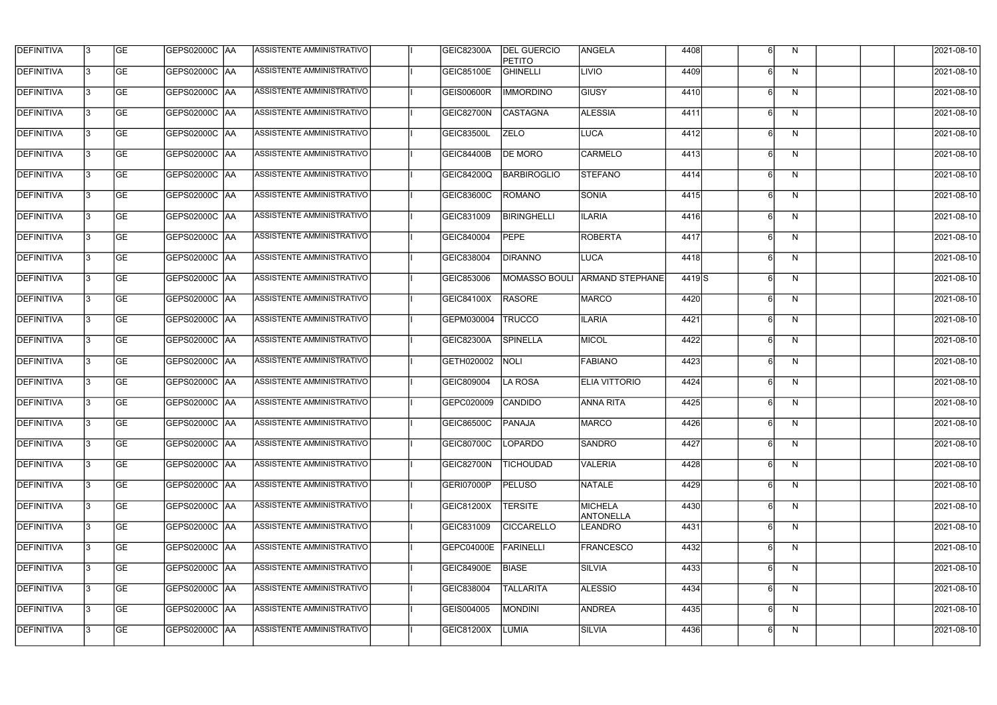| <b>DEFINITIVA</b> | 13 | GE        | GEPS02000C  AA        | ASSISTENTE AMMINISTRATIVO        | <b>GEIC82300A</b> | <b>DEL GUERCIO</b><br><b>PETITO</b> | <b>ANGELA</b>               | 4408  |   | N            | 2021-08-10       |
|-------------------|----|-----------|-----------------------|----------------------------------|-------------------|-------------------------------------|-----------------------------|-------|---|--------------|------------------|
| <b>DEFINITIVA</b> | IЗ | GE        | GEPS02000C   AA       | ASSISTENTE AMMINISTRATIVO        | <b>GEIC85100E</b> | <b>GHINELLI</b>                     | <b>LIVIO</b>                | 4409  |   | N            | 2021-08-10       |
| <b>DEFINITIVA</b> | 13 | <b>GE</b> | <b>GEPS02000C AA</b>  | ASSISTENTE AMMINISTRATIVO        | <b>GEIS00600R</b> | <b>IMMORDINO</b>                    | <b>GIUSY</b>                | 4410  |   | N            | 2021-08-10       |
| <b>DEFINITIVA</b> | l3 | <b>GE</b> | <b>GEPS02000C AA</b>  | ASSISTENTE AMMINISTRATIVO        | GEIC82700N        | <b>CASTAGNA</b>                     | <b>ALESSIA</b>              | 4411  | 6 | $\mathsf{N}$ | 2021-08-10       |
| <b>DEFINITIVA</b> | l3 | GE        | GEPS02000C AA         | <b>ASSISTENTE AMMINISTRATIVO</b> | GEIC83500L        | <b>ZELO</b>                         | <b>LUCA</b>                 | 4412  |   | $\mathsf{N}$ | 2021-08-10       |
| <b>DEFINITIVA</b> | l3 | <b>GE</b> | <b>GEPS02000C AA</b>  | <b>ASSISTENTE AMMINISTRATIVO</b> | <b>GEIC84400B</b> | <b>DE MORO</b>                      | <b>CARMELO</b>              | 4413  | 6 | N            | 2021-08-10       |
| <b>DEFINITIVA</b> | l3 | <b>GE</b> | <b>GEPS02000C AA</b>  | <b>ASSISTENTE AMMINISTRATIVO</b> | <b>GEIC84200Q</b> | <b>BARBIROGLIO</b>                  | STEFANO                     | 4414  |   | N            | 2021-08-10       |
| <b>DEFINITIVA</b> | l3 | <b>GE</b> | GEPS02000C AA         | <b>ASSISTENTE AMMINISTRATIVO</b> | GEIC83600C        | <b>ROMANO</b>                       | SONIA                       | 4415  |   | $\mathsf{N}$ | 2021-08-10       |
| <b>DEFINITIVA</b> | l3 | <b>GE</b> | GEPS02000C AA         | ASSISTENTE AMMINISTRATIVO        | GEIC831009        | <b>BIRINGHELLI</b>                  | <b>ILARIA</b>               | 4416  |   | N            | 2021-08-10       |
| <b>DEFINITIVA</b> | l3 | GE        | GEPS02000C   AA       | ASSISTENTE AMMINISTRATIVO        | GEIC840004        | <b>PEPE</b>                         | ROBERTA                     | 4417  |   | N            | 2021-08-10       |
| <b>DEFINITIVA</b> | 13 | GE        | GEPS02000C AA         | ASSISTENTE AMMINISTRATIVO        | GEIC838004        | <b>DIRANNO</b>                      | LUCA                        | 4418  |   | N            | 2021-08-10       |
| <b>DEFINITIVA</b> | l3 | <b>GE</b> | GEPS02000C AA         | <b>ASSISTENTE AMMINISTRATIVO</b> | GEIC853006        | <b>MOMASSO BOULI</b>                | <b>ARMAND STEPHANE</b>      | 4419S |   | N            | 2021-08-10       |
| <b>DEFINITIVA</b> | l3 | GE        | GEPS02000C  AA        | ASSISTENTE AMMINISTRATIVO        | GEIC84100X        | <b>RASORE</b>                       | <b>MARCO</b>                | 4420  |   | N            | 2021-08-10       |
| <b>DEFINITIVA</b> | l3 | <b>GE</b> | GEPS02000C AA         | ASSISTENTE AMMINISTRATIVO        | GEPM030004        | <b>TRUCCO</b>                       | <b>ILARIA</b>               | 4421  | 6 | N            | 2021-08-10       |
| <b>DEFINITIVA</b> | l3 | <b>GE</b> | <b>GEPS02000C  AA</b> | ASSISTENTE AMMINISTRATIVO        | GEIC82300A        | <b>SPINELLA</b>                     | MICOL                       | 4422  |   | N            | 2021-08-10       |
| <b>DEFINITIVA</b> | 13 | GE        | <b>GEPS02000C AA</b>  | ASSISTENTE AMMINISTRATIVO        | GETH020002        | <b>NOLI</b>                         | <b>FABIANO</b>              | 4423  | ĥ | N            | 2021-08-10       |
| <b>DEFINITIVA</b> | l3 | <b>GE</b> | GEPS02000C   AA       | ASSISTENTE AMMINISTRATIVO        | GEIC809004        | LA ROSA                             | ELIA VITTORIO               | 4424  |   | N            | 2021-08-10       |
| <b>DEFINITIVA</b> | IЗ | <b>GE</b> | GEPS02000C AA         | ASSISTENTE AMMINISTRATIVO        | GEPC020009        | CANDIDO                             | ANNA RITA                   | 4425  |   | N            | 2021-08-10       |
| <b>DEFINITIVA</b> | IЗ | GE        | GEPS02000C  AA        | <b>ASSISTENTE AMMINISTRATIVO</b> | <b>GEIC86500C</b> | <b>PANAJA</b>                       | MARCO                       | 4426  |   | N.           | 2021-08-10       |
| <b>DEFINITIVA</b> | l3 | GE        | <b>GEPS02000C AA</b>  | ASSISTENTE AMMINISTRATIVO        | GEIC80700C        | LOPARDO                             | SANDRO                      | 4427  |   | N            | 2021-08-10       |
| <b>DEFINITIVA</b> | l3 | GE        | <b>GEPS02000C AA</b>  | ASSISTENTE AMMINISTRATIVO        | GEIC82700N        | <b>TICHOUDAD</b>                    | <b>VALERIA</b>              | 4428  |   | N            | 2021-08-10       |
| <b>DEFINITIVA</b> | 13 | <b>GE</b> | GEPS02000C AA         | ASSISTENTE AMMINISTRATIVO        | GERI07000P        | <b>PELUSO</b>                       | NATALE                      | 4429  | 6 | N            | $2021 - 08 - 10$ |
| <b>DEFINITIVA</b> | l3 | <b>GE</b> | GEPS02000C AA         | ASSISTENTE AMMINISTRATIVO        | GEIC81200X        | <b>TERSITE</b>                      | MICHELA<br><b>ANTONELLA</b> | 4430  |   | N            | 2021-08-10       |
| <b>DEFINITIVA</b> | l3 | <b>GE</b> | GEPS02000C AA         | ASSISTENTE AMMINISTRATIVO        | GEIC831009        | <b>CICCARELLO</b>                   | LEANDRO                     | 4431  |   | N            | 2021-08-10       |
| <b>DEFINITIVA</b> | l3 | <b>GE</b> | GEPS02000C  AA        | ASSISTENTE AMMINISTRATIVO        | GEPC04000E        | FARINELLI                           | <b>FRANCESCO</b>            | 4432  |   | N            | 2021-08-10       |
| <b>DEFINITIVA</b> | l3 | <b>GE</b> | GEPS02000C  AA        | ASSISTENTE AMMINISTRATIVO        | <b>GEIC84900E</b> | <b>BIASE</b>                        | <b>SILVIA</b>               | 4433  |   | N            | 2021-08-10       |
| <b>DEFINITIVA</b> | l3 | GE        | GEPS02000C  AA        | ASSISTENTE AMMINISTRATIVO        | GEIC838004        | <b>TALLARITA</b>                    | <b>ALESSIO</b>              | 4434  |   | N            | 2021-08-10       |
| <b>DEFINITIVA</b> | l3 | GE        | GEPS02000C AA         | ASSISTENTE AMMINISTRATIVO        | GEIS004005        | <b>MONDINI</b>                      | ANDREA                      | 4435  | 6 | N            | 2021-08-10       |
| <b>DEFINITIVA</b> | l3 | GE        | GEPS02000C AA         | ASSISTENTE AMMINISTRATIVO        | GEIC81200X        | LUMIA                               | <b>SILVIA</b>               | 4436  |   | N            | 2021-08-10       |
|                   |    |           |                       |                                  |                   |                                     |                             |       |   |              |                  |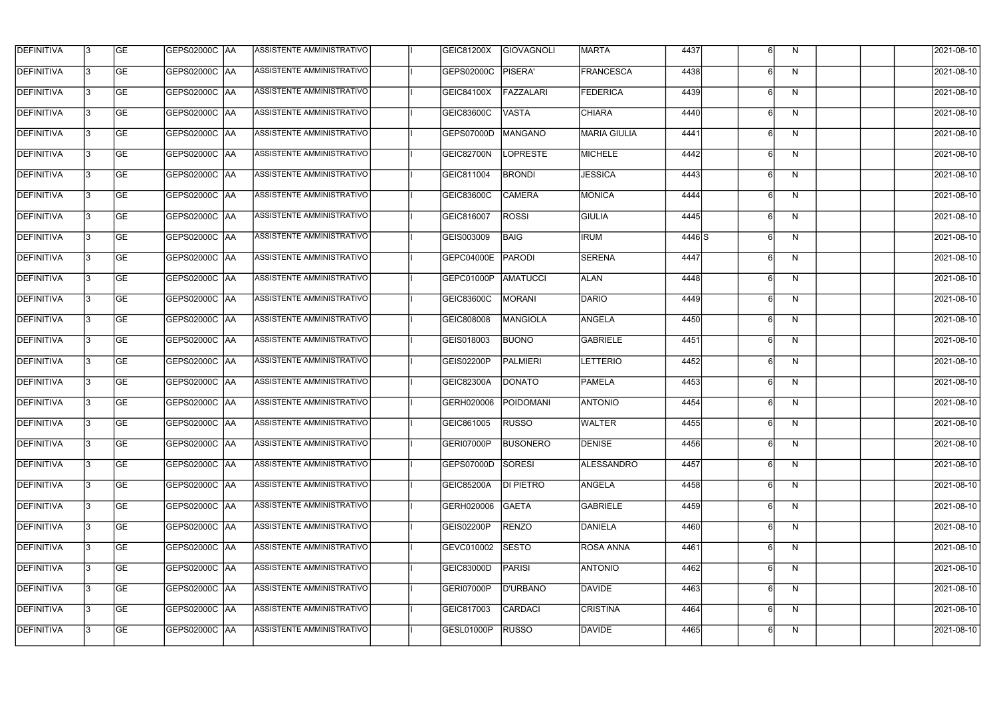| <b>DEFINITIVA</b> | 13 | GE        | GEPS02000C  AA       | ASSISTENTE AMMINISTRATIVO        | GEIC81200X        | GIOVAGNOLI       | <b>MARTA</b>        | 4437   |   | N            | 2021-08-10       |
|-------------------|----|-----------|----------------------|----------------------------------|-------------------|------------------|---------------------|--------|---|--------------|------------------|
| <b>DEFINITIVA</b> | IЗ | GE        | GEPS02000C  AA       | ASSISTENTE AMMINISTRATIVO        | GEPS02000C        | PISERA'          | <b>FRANCESCA</b>    | 4438   |   | N            | 2021-08-10       |
| <b>DEFINITIVA</b> | 13 | <b>GE</b> | <b>GEPS02000C AA</b> | ASSISTENTE AMMINISTRATIVO        | GEIC84100X        | FAZZALARI        | <b>FEDERICA</b>     | 4439   |   | N            | 2021-08-10       |
| <b>DEFINITIVA</b> | l3 | <b>GE</b> | <b>GEPS02000C AA</b> | ASSISTENTE AMMINISTRATIVO        | GEIC83600C        | <b>VASTA</b>     | <b>CHIARA</b>       | 4440   | 6 | N            | 2021-08-10       |
| <b>DEFINITIVA</b> | l3 | GE        | GEPS02000C AA        | <b>ASSISTENTE AMMINISTRATIVO</b> | GEPS07000D        | <b>MANGANO</b>   | <b>MARIA GIULIA</b> | 4441   |   | $\mathsf{N}$ | 2021-08-10       |
| <b>DEFINITIVA</b> | l3 | <b>GE</b> | GEPS02000C AA        | <b>ASSISTENTE AMMINISTRATIVO</b> | GEIC82700N        | <b>LOPRESTE</b>  | MICHELE             | 4442   | 6 | N            | 2021-08-10       |
| <b>DEFINITIVA</b> | l3 | <b>GE</b> | GEPS02000C AA        | ASSISTENTE AMMINISTRATIVO        | GEIC811004        | <b>BRONDI</b>    | <b>JESSICA</b>      | 4443   |   | N            | 2021-08-10       |
| <b>DEFINITIVA</b> | l3 | <b>GE</b> | GEPS02000C AA        | ASSISTENTE AMMINISTRATIVO        | GEIC83600C        | <b>CAMERA</b>    | MONICA              | 4444   |   | $\mathsf{N}$ | 2021-08-10       |
| DEFINITIVA        | l3 | <b>GE</b> | GEPS02000C AA        | ASSISTENTE AMMINISTRATIVO        | GEIC816007        | <b>ROSSI</b>     | <b>GIULIA</b>       | 4445   |   | N            | 2021-08-10       |
| <b>DEFINITIVA</b> | l3 | GE        | GEPS02000C   AA      | ASSISTENTE AMMINISTRATIVO        | GEIS003009        | BAIG             | <b>IRUM</b>         | 4446 S |   | N            | 2021-08-10       |
| <b>DEFINITIVA</b> | 13 | GE        | GEPS02000C AA        | ASSISTENTE AMMINISTRATIVO        | GEPC04000E        | PARODI           | <b>SERENA</b>       | 4447   |   | N            | 2021-08-10       |
| <b>DEFINITIVA</b> | l3 | <b>GE</b> | <b>GEPS02000C AA</b> | ASSISTENTE AMMINISTRATIVO        | GEPC01000P        | AMATUCCI         | <b>ALAN</b>         | 4448   |   | N            | 2021-08-10       |
| <b>DEFINITIVA</b> | l3 | GE        | GEPS02000C   AA      | ASSISTENTE AMMINISTRATIVO        | <b>GEIC83600C</b> | MORANI           | DARIO               | 4449   |   | N            | 2021-08-10       |
| <b>DEFINITIVA</b> | l3 | GE        | GEPS02000C AA        | ASSISTENTE AMMINISTRATIVO        | GEIC808008        | MANGIOLA         | <b>ANGELA</b>       | 4450   | 6 | N            | 2021-08-10       |
| <b>DEFINITIVA</b> | l3 | <b>GE</b> | GEPS02000C AA        | ASSISTENTE AMMINISTRATIVO        | GEIS018003        | <b>BUONO</b>     | <b>GABRIELE</b>     | 4451   |   | N            | 2021-08-10       |
| <b>DEFINITIVA</b> | 13 | GE        | GEPS02000C AA        | ASSISTENTE AMMINISTRATIVO        | GEIS02200P        | <b>PALMIERI</b>  | <b>LETTERIO</b>     | 4452   | ĥ | N            | 2021-08-10       |
| <b>DEFINITIVA</b> | l3 | <b>GE</b> | GEPS02000C   AA      | ASSISTENTE AMMINISTRATIVO        | GEIC82300A        | <b>DONATO</b>    | <b>PAMELA</b>       | 4453   |   | N            | 2021-08-10       |
| <b>DEFINITIVA</b> | IЗ | <b>GE</b> | GEPS02000C AA        | ASSISTENTE AMMINISTRATIVO        | GERH020006        | POIDOMANI        | <b>ANTONIO</b>      | 4454   |   | N            | 2021-08-10       |
| <b>DEFINITIVA</b> | IЗ | GE        | GEPS02000C  AA       | <b>ASSISTENTE AMMINISTRATIVO</b> | <b>GEIC861005</b> | <b>RUSSO</b>     | <b>WALTER</b>       | 4455   |   | N            | 2021-08-10       |
| <b>DEFINITIVA</b> | l3 | GE        | GEPS02000C AA        | ASSISTENTE AMMINISTRATIVO        | GERI07000P        | <b>BUSONERO</b>  | <b>DENISE</b>       | 4456   |   | N            | 2021-08-10       |
| <b>DEFINITIVA</b> | l3 | GE        | <b>GEPS02000C AA</b> | ASSISTENTE AMMINISTRATIVO        | GEPS07000D        | SORESI           | ALESSANDRO          | 4457   |   | N            | 2021-08-10       |
| <b>DEFINITIVA</b> | 13 | <b>GE</b> | GEPS02000C AA        | ASSISTENTE AMMINISTRATIVO        | <b>GEIC85200A</b> | <b>DI PIETRO</b> | <b>ANGELA</b>       | 4458   | 6 | N            | $2021 - 08 - 10$ |
| <b>DEFINITIVA</b> | l3 | <b>GE</b> | GEPS02000C AA        | ASSISTENTE AMMINISTRATIVO        | GERH020006        | <b>GAETA</b>     | GABRIELE            | 4459   |   | N            | 2021-08-10       |
| <b>DEFINITIVA</b> | 13 | <b>GE</b> | GEPS02000C AA        | ASSISTENTE AMMINISTRATIVO        | GEIS02200P        | <b>RENZO</b>     | DANIELA             | 4460   |   | N            | 2021-08-10       |
| <b>DEFINITIVA</b> | l3 | <b>GE</b> | GEPS02000C  AA       | ASSISTENTE AMMINISTRATIVO        | GEVC010002        | <b>SESTO</b>     | <b>ROSA ANNA</b>    | 4461   |   | N            | 2021-08-10       |
| <b>DEFINITIVA</b> | l3 | <b>GE</b> | GEPS02000C  AA       | ASSISTENTE AMMINISTRATIVO        | GEIC83000D        | PARISI           | ANTONIO             | 4462   |   | N            | 2021-08-10       |
| <b>DEFINITIVA</b> | l3 | GE        | GEPS02000C  AA       | ASSISTENTE AMMINISTRATIVO        | GERI07000P        | <b>D'URBANO</b>  | DAVIDE              | 4463   |   | N            | 2021-08-10       |
| <b>DEFINITIVA</b> | l3 | GE        | GEPS02000C AA        | ASSISTENTE AMMINISTRATIVO        | GEIC817003        | CARDACI          | <b>CRISTINA</b>     | 4464   | 6 | N            | 2021-08-10       |
| <b>DEFINITIVA</b> | l3 | GE        | GEPS02000C  AA       | ASSISTENTE AMMINISTRATIVO        | GESL01000P        | <b>RUSSO</b>     | DAVIDE              | 4465   | 6 | N            | 2021-08-10       |
|                   |    |           |                      |                                  |                   |                  |                     |        |   |              |                  |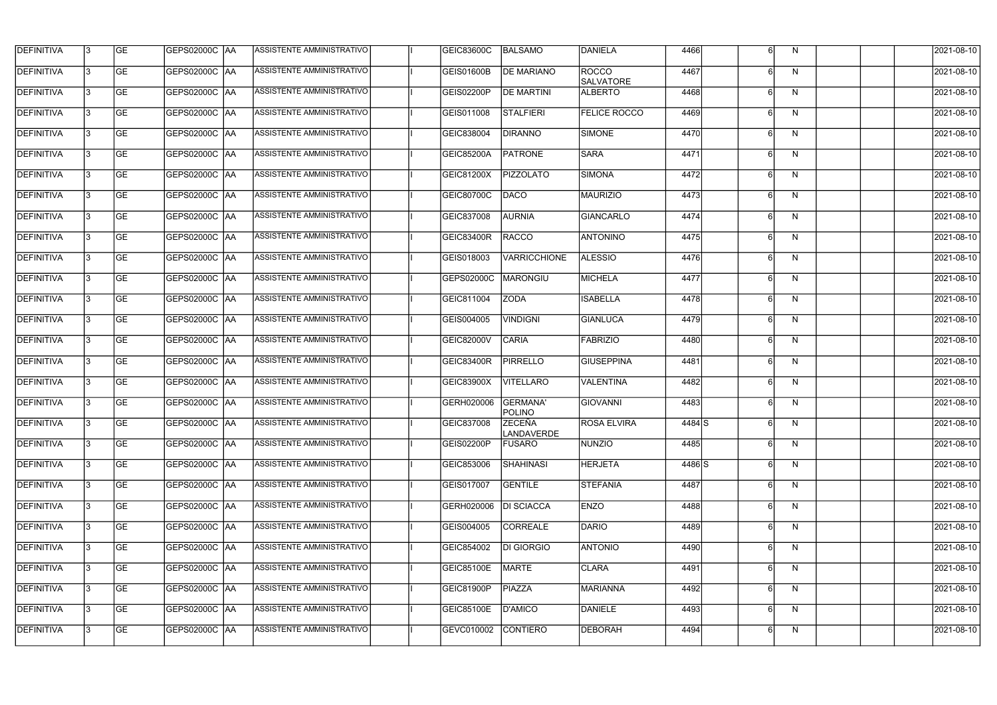| <b>DEFINITIVA</b> | 13  | <b>GE</b> |                      | ASSISTENTE AMMINISTRATIVO        | GEIC83600C        | BALSAMO                            | DANIELA                   | 4466   |   | N.           | 2021-08-10 |
|-------------------|-----|-----------|----------------------|----------------------------------|-------------------|------------------------------------|---------------------------|--------|---|--------------|------------|
| DEFINITIVA        | l3  | <b>GE</b> |                      | ASSISTENTE AMMINISTRATIVO        | GEIS01600B        | <b>DE MARIANO</b>                  | ROCCO<br><b>SALVATORE</b> | 4467   | 6 | N            | 2021-08-10 |
| <b>DEFINITIVA</b> | l3  | <b>GE</b> | <b>GEPS02000C AA</b> | ASSISTENTE AMMINISTRATIVO        | GEIS02200P        | <b>DE MARTINI</b>                  | <b>ALBERTO</b>            | 4468   | 6 | N            | 2021-08-10 |
| <b>DEFINITIVA</b> | l3  | <b>GE</b> | <b>GEPS02000C AA</b> | ASSISTENTE AMMINISTRATIVO        | GEIS011008        | <b>STALFIERI</b>                   | <b>FELICE ROCCO</b>       | 4469   | 6 | $\mathsf{N}$ | 2021-08-10 |
| <b>DEFINITIVA</b> | l3  | <b>GE</b> | GEPS02000C  AA       | ASSISTENTE AMMINISTRATIVO        | GEIC838004        | <b>DIRANNO</b>                     | SIMONE                    | 4470   |   | N            | 2021-08-10 |
| <b>DEFINITIVA</b> | IЗ  | <b>GE</b> | <b>GEPS02000C AA</b> | <b>ASSISTENTE AMMINISTRATIVO</b> | <b>GEIC85200A</b> | <b>PATRONE</b>                     | <b>SARA</b>               | 4471   | 6 | N            | 2021-08-10 |
| <b>DEFINITIVA</b> | l3  | <b>GE</b> | <b>GEPS02000C AA</b> | ASSISTENTE AMMINISTRATIVO        | GEIC81200X        | <b>PIZZOLATO</b>                   | SIMONA                    | 4472   | 6 | N            | 2021-08-10 |
| <b>DEFINITIVA</b> | l3  | <b>GE</b> | GEPS02000C AA        | ASSISTENTE AMMINISTRATIVO        | GEIC80700C        | DACO                               | <b>MAURIZIO</b>           | 4473   |   | N            | 2021-08-10 |
| <b>DEFINITIVA</b> | l3  | <b>GE</b> | GEPS02000C AA        | ASSISTENTE AMMINISTRATIVO        | GEIC837008        | <b>AURNIA</b>                      | <b>GIANCARLO</b>          | 4474   |   | N            | 2021-08-10 |
| <b>DEFINITIVA</b> | l3  | <b>GE</b> | GEPS02000C AA        | ASSISTENTE AMMINISTRATIVO        | <b>GEIC83400R</b> | RACCO                              | <b>ANTONINO</b>           | 4475   |   | N            | 2021-08-10 |
| DEFINITIVA        | l3  | <b>GE</b> | GEPS02000C AA        | ASSISTENTE AMMINISTRATIVO        | GEIS018003        | <b>VARRICCHIONE</b>                | <b>ALESSIO</b>            | 4476   |   | N            | 2021-08-10 |
| <b>DEFINITIVA</b> | 13  | <b>GE</b> | GEPS02000C AA        | ASSISTENTE AMMINISTRATIVO        | GEPS02000C        | MARONGIU                           | <b>MICHELA</b>            | 4477   | 6 | N            | 2021-08-10 |
| <b>DEFINITIVA</b> | l3  | <b>GE</b> | GEPS02000C AA        | ASSISTENTE AMMINISTRATIVO        | GEIC811004        | <b>ZODA</b>                        | <b>ISABELLA</b>           | 4478   |   | N            | 2021-08-10 |
| <b>DEFINITIVA</b> | l3  | <b>GE</b> | GEPS02000C AA        | ASSISTENTE AMMINISTRATIVO        | GEIS004005        | <b>VINDIGNI</b>                    | GIANLUCA                  | 4479   | 6 | N            | 2021-08-10 |
| <b>DEFINITIVA</b> | l3  | <b>GE</b> | GEPS02000C AA        | ASSISTENTE AMMINISTRATIVO        | <b>GEIC82000V</b> | <b>CARIA</b>                       | FABRIZIO                  | 4480   | 6 | N            | 2021-08-10 |
| <b>DEFINITIVA</b> | l3  | <b>GE</b> | GEPS02000C AA        | ASSISTENTE AMMINISTRATIVO        | GEIC83400R        | <b>PIRRELLO</b>                    | <b>GIUSEPPINA</b>         | 4481   | 6 | N            | 2021-08-10 |
| <b>DEFINITIVA</b> | l3  | <b>GE</b> | GEPS02000C  AA       | ASSISTENTE AMMINISTRATIVO        | GEIC83900X        | VITELLARO                          | VALENTINA                 | 4482   |   | N            | 2021-08-10 |
| <b>DEFINITIVA</b> |     | <b>GE</b> | GEPS02000C  AA       | ASSISTENTE AMMINISTRATIVO        | GERH020006        | <b>GERMANA'</b><br><b>POLINO</b>   | GIOVANNI                  | 4483   | 6 | N            | 2021-08-10 |
| <b>DEFINITIVA</b> | IЗ  | GE        | GEPS02000C  AA       | <b>ASSISTENTE AMMINISTRATIVO</b> | GEIC837008        | <b>ZECEÑA</b><br><b>LANDAVERDE</b> | ROSA ELVIRA               | 4484 S |   | N            | 2021-08-10 |
| <b>DEFINITIVA</b> | 13. | <b>GE</b> | GEPS02000C AA        | ASSISTENTE AMMINISTRATIVO        | GEIS02200P        | <b>FUSARO</b>                      | NUNZIO                    | 4485   | 6 | N            | 2021-08-10 |
| <b>DEFINITIVA</b> | 13. | <b>GE</b> | <b>GEPS02000C AA</b> | ASSISTENTE AMMINISTRATIVO        | GEIC853006        | <b>SHAHINASI</b>                   | <b>HERJETA</b>            | 4486 S | 6 | N            | 2021-08-10 |
| <b>DEFINITIVA</b> | 13. | <b>GE</b> | <b>GEPS02000C AA</b> | ASSISTENTE AMMINISTRATIVO        | GEIS017007        | <b>GENTILE</b>                     | <b>STEFANIA</b>           | 4487   |   | N            | 2021-08-10 |
| <b>DEFINITIVA</b> | 13. | <b>GE</b> | GEPS02000C AA        | ASSISTENTE AMMINISTRATIVO        | GERH020006        | <b>DI SCIACCA</b>                  | ENZO                      | 4488   |   | N            | 2021-08-10 |
| <b>DEFINITIVA</b> | 13  | <b>GE</b> | GEPS02000C AA        | ASSISTENTE AMMINISTRATIVO        | GEIS004005        | <b>CORREALE</b>                    | DARIO                     | 4489   | 6 | N            | 2021-08-10 |
| <b>DEFINITIVA</b> | l3  | <b>GE</b> | GEPS02000C  AA       | ASSISTENTE AMMINISTRATIVO        | GEIC854002        | DI GIORGIO                         | <b>ANTONIO</b>            | 4490   |   | N            | 2021-08-10 |
| DEFINITIVA        | l3  | <b>GE</b> | GEPS02000C  AA       | ASSISTENTE AMMINISTRATIVO        | <b>GEIC85100E</b> | MARTE                              | <b>CLARA</b>              | 4491   |   | N            | 2021-08-10 |
| DEFINITIVA        | l3  | <b>GE</b> | GEPS02000C  AA       | ASSISTENTE AMMINISTRATIVO        | GEIC81900P        | PIAZZA                             | <b>MARIANNA</b>           | 4492   |   | N            | 2021-08-10 |
| <b>DEFINITIVA</b> | l3  | <b>GE</b> | GEPS02000C AA        | ASSISTENTE AMMINISTRATIVO        | <b>GEIC85100E</b> | <b>D'AMICO</b>                     | DANIELE                   | 4493   | 6 | N            | 2021-08-10 |
| <b>DEFINITIVA</b> | IЗ  | <b>GE</b> | GEPS02000C  AA       | ASSISTENTE AMMINISTRATIVO        | GEVC010002        | <b>CONTIERO</b>                    | <b>DEBORAH</b>            | 4494   | 6 | N            | 2021-08-10 |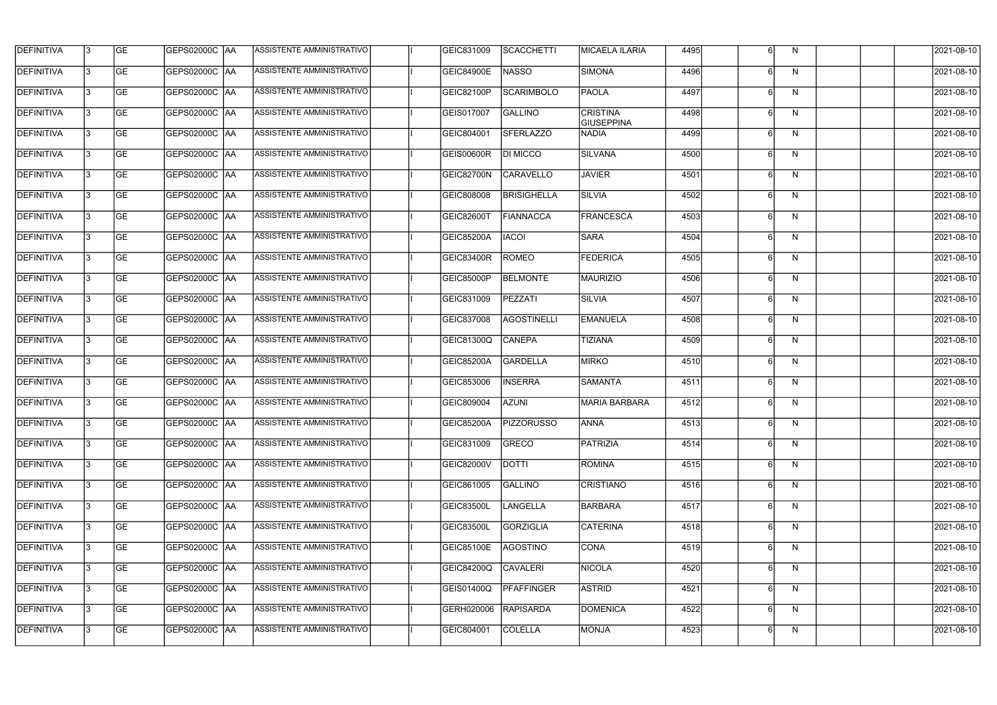| <b>DEFINITIVA</b> | l3 | GE                       | <b>GEPS02000C AA</b> | ASSISTENTE AMMINISTRATIVO        | GEIC831009        | SCACCHETTI         | MICAELA ILARIA                       | 4495 |   | N            | 2021-08-10          |
|-------------------|----|--------------------------|----------------------|----------------------------------|-------------------|--------------------|--------------------------------------|------|---|--------------|---------------------|
| <b>DEFINITIVA</b> | IЗ | $\overline{\mathsf{GE}}$ | GEPS02000C AA        | <b>ASSISTENTE AMMINISTRATIVO</b> | <b>GEIC84900E</b> | <b>NASSO</b>       | <b>SIMONA</b>                        | 4496 |   | N            | 2021-08-10          |
| <b>DEFINITIVA</b> | l3 | GE                       | GEPS02000C AA        | ASSISTENTE AMMINISTRATIVO        | GEIC82100P        | SCARIMBOLO         | <b>PAOLA</b>                         | 4497 | 6 | N            | 2021-08-10          |
| <b>DEFINITIVA</b> | l3 | GE                       | GEPS02000C AA        | ASSISTENTE AMMINISTRATIVO        | GEIS017007        | <b>GALLINO</b>     | <b>CRISTINA</b><br><b>GIUSEPPINA</b> | 4498 |   | N            | 2021-08-10          |
| <b>DEFINITIVA</b> | l3 | GE                       | GEPS02000C AA        | ASSISTENTE AMMINISTRATIVO        | GEIC804001        | <b>SFERLAZZO</b>   | <b>NADIA</b>                         | 4499 | 6 | N            | 2021-08-10          |
| <b>DEFINITIVA</b> | l3 | <b>GE</b>                | GEPS02000C AA        | <b>ASSISTENTE AMMINISTRATIVO</b> | <b>GEIS00600R</b> | <b>DI MICCO</b>    | <b>SILVANA</b>                       | 4500 |   | N            | 2021-08-10          |
| <b>DEFINITIVA</b> | l3 | <b>GE</b>                | GEPS02000C AA        | ASSISTENTE AMMINISTRATIVO        | GEIC82700N        | <b>CARAVELLO</b>   | <b>JAVIER</b>                        | 4501 |   | N            | 2021-08-10          |
| <b>DEFINITIVA</b> | l3 | <b>GE</b>                | GEPS02000C   AA      | ASSISTENTE AMMINISTRATIVO        | GEIC808008        | <b>BRISIGHELLA</b> | <b>SILVIA</b>                        | 4502 |   | N            | 2021-08-10          |
| <b>DEFINITIVA</b> | l3 | <b>GE</b>                | GEPS02000C   AA      | <b>ASSISTENTE AMMINISTRATIVO</b> | <b>GEIC82600T</b> | <b>FIANNACCA</b>   | FRANCESCA                            | 4503 |   | N            | 2021-08-10          |
| <b>DEFINITIVA</b> | l3 | GE                       | GEPS02000C AA        | ASSISTENTE AMMINISTRATIVO        | <b>GEIC85200A</b> | <b>IACOI</b>       | <b>SARA</b>                          | 4504 |   | N            | 2021-08-10          |
| <b>DEFINITIVA</b> | l3 | GE                       | GEPS02000C AA        | ASSISTENTE AMMINISTRATIVO        | <b>GEIC83400R</b> | ROMEO              | <b>FEDERICA</b>                      | 4505 |   | N            | 2021-08-10          |
| <b>DEFINITIVA</b> | l3 | GE                       | GEPS02000C   AA      | ASSISTENTE AMMINISTRATIVO        | <b>GEIC85000P</b> | <b>BELMONTE</b>    | <b>MAURIZIO</b>                      | 4506 |   | N            | 2021-08-10          |
| <b>DEFINITIVA</b> | l3 | <b>GE</b>                | GEPS02000C AA        | ASSISTENTE AMMINISTRATIVO        | GEIC831009        | PEZZATI            | <b>SILVIA</b>                        | 4507 |   | N            | 2021-08-10          |
| <b>DEFINITIVA</b> | IЗ | <b>GE</b>                | GEPS02000C AA        | ASSISTENTE AMMINISTRATIVO        | GEIC837008        | AGOSTINELLI        | <b>EMANUELA</b>                      | 4508 |   | $\mathsf{N}$ | 2021-08-10          |
| <b>DEFINITIVA</b> | 13 | GE                       | GEPS02000C AA        | ASSISTENTE AMMINISTRATIVO        | GEIC81300Q        | CANEPA             | <b>TIZIANA</b>                       | 4509 | 6 | N            | 2021-08-10          |
| <b>DEFINITIVA</b> | l3 | <b>GE</b>                | GEPS02000C  AA       | ASSISTENTE AMMINISTRATIVO        | <b>GEIC85200A</b> | GARDELLA           | <b>MIRKO</b>                         | 4510 |   | N            | 2021-08-10          |
| <b>DEFINITIVA</b> | IЗ | GE                       | GEPS02000C  AA       | ASSISTENTE AMMINISTRATIVO        | GEIC853006        | <b>INSERRA</b>     | <b>SAMANTA</b>                       | 4511 |   | N            | 2021-08-10          |
| <b>DEFINITIVA</b> | l3 | GE                       | GEPS02000C   AA      | ASSISTENTE AMMINISTRATIVO        | GEIC809004        | <b>AZUNI</b>       | <b>MARIA BARBARA</b>                 | 4512 |   | N            | 2021-08-10          |
| DEFINITIVA        | 13 | <b>GE</b>                | GEPS02000C  AA       | ASSISTENTE AMMINISTRATIVO        | <b>GEIC85200A</b> | <b>PIZZORUSSO</b>  | <b>ANNA</b>                          | 4513 |   | N.           | 2021-08-10          |
| <b>DEFINITIVA</b> | l3 | GE                       | <b>GEPS02000C AA</b> | ASSISTENTE AMMINISTRATIVO        | GEIC831009        | GRECO              | PATRIZIA                             | 4514 | 6 | N            | 2021-08-10          |
| <b>DEFINITIVA</b> | l3 | GE                       | GEPS02000C  AA       | ASSISTENTE AMMINISTRATIVO        | <b>GEIC82000V</b> | <b>DOTTI</b>       | ROMINA                               | 4515 |   | N            | 2021-08-10          |
| <b>DEFINITIVA</b> | l3 | GE                       | GEPS02000C AA        | ASSISTENTE AMMINISTRATIVO        | GEIC861005        | <b>GALLINO</b>     | CRISTIANO                            | 4516 |   | N            | 2021-08-10          |
| <b>DEFINITIVA</b> | 13 | <b>GE</b>                | GEPS02000C AA        | ASSISTENTE AMMINISTRATIVO        | <b>GEIC83500L</b> | <b>LANGELLA</b>    | BARBARA                              | 4517 |   | N            | 2021-08-10          |
| <b>DEFINITIVA</b> | l3 | <b>GE</b>                | GEPS02000C  AA       | ASSISTENTE AMMINISTRATIVO        | <b>GEIC83500L</b> | GORZIGLIA          | <b>CATERINA</b>                      | 4518 |   | N            | 2021-08-10          |
| <b>DEFINITIVA</b> | l3 | <b>GE</b>                | GEPS02000C  AA       | ASSISTENTE AMMINISTRATIVO        | <b>GEIC85100E</b> | AGOSTINO           | CONA                                 | 4519 |   | N            | 2021-08-10          |
| <b>DEFINITIVA</b> | l3 | <b>GE</b>                | GEPS02000C  AA       | ASSISTENTE AMMINISTRATIVO        | <b>GEIC84200Q</b> | <b>CAVALERI</b>    | <b>NICOLA</b>                        | 4520 |   | N            | 2021-08-10          |
| <b>DEFINITIVA</b> | l3 | <b>GE</b>                | GEPS02000C AA        | ASSISTENTE AMMINISTRATIVO        | <b>GEIS01400Q</b> | PFAFFINGER         | <b>ASTRID</b>                        | 4521 |   | N            | 2021-08-10          |
| <b>DEFINITIVA</b> | 13 | GE                       | GEPS02000C AA        | ASSISTENTE AMMINISTRATIVO        | GERH020006        | <b>RAPISARDA</b>   | <b>DOMENICA</b>                      | 4522 | 6 | N            | 2021-08-10          |
| DEFINITIVA        | l3 | GE                       |                      | ASSISTENTE AMMINISTRATIVO        | GEIC804001        | <b>COLELLA</b>     | <b>MONJA</b>                         | 4523 |   | N            | $\sqrt{2021-08-10}$ |
|                   |    |                          |                      |                                  |                   |                    |                                      |      |   |              |                     |